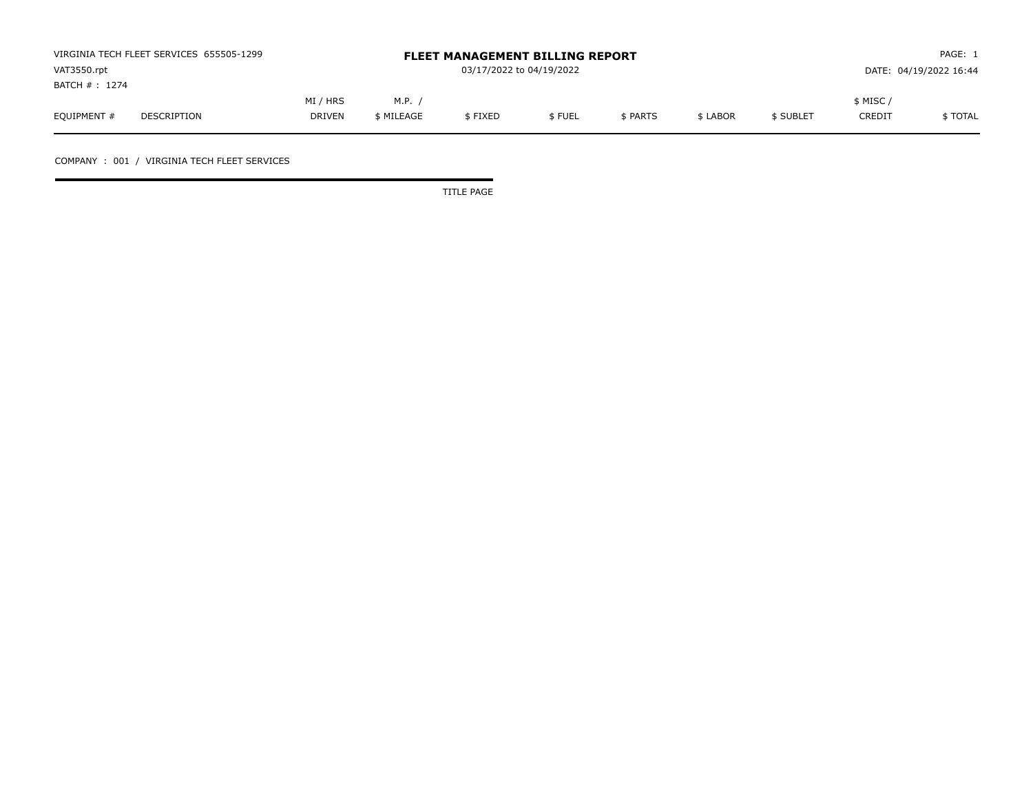| VIRGINIA TECH FLEET SERVICES 655505-1299 |             |               |            | <b>FLEET MANAGEMENT BILLING REPORT</b> |        |          |          | PAGE: 1   |               |                        |  |
|------------------------------------------|-------------|---------------|------------|----------------------------------------|--------|----------|----------|-----------|---------------|------------------------|--|
| VAT3550.rpt                              |             |               |            | 03/17/2022 to 04/19/2022               |        |          |          |           |               | DATE: 04/19/2022 16:44 |  |
| BATCH # : 1274                           |             |               |            |                                        |        |          |          |           |               |                        |  |
|                                          |             | MI / HRS      | M.P.       |                                        |        |          |          |           | \$ MISC /     |                        |  |
| EQUIPMENT #                              | DESCRIPTION | <b>DRIVEN</b> | \$ MILEAGE | \$FIXED                                | \$FUEL | \$ PARTS | \$ LABOR | \$ SUBLET | <b>CREDIT</b> | \$ TOTAL               |  |

COMPANY : 001 / VIRGINIA TECH FLEET SERVICES

TITLE PAGE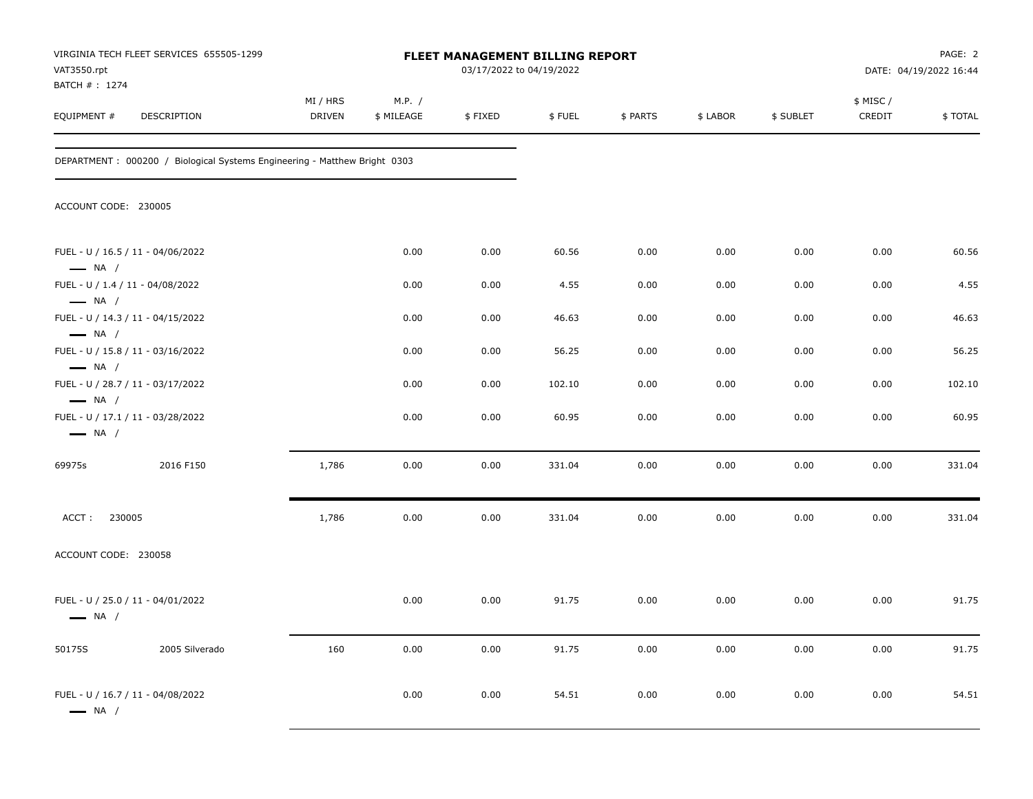| VAT3550.rpt<br>BATCH # : 1274                                                         | VIRGINIA TECH FLEET SERVICES 655505-1299                                  | FLEET MANAGEMENT BILLING REPORT<br>03/17/2022 to 04/19/2022 |                      |         |        |          |          |           | PAGE: 2<br>DATE: 04/19/2022 16:44 |         |
|---------------------------------------------------------------------------------------|---------------------------------------------------------------------------|-------------------------------------------------------------|----------------------|---------|--------|----------|----------|-----------|-----------------------------------|---------|
| EQUIPMENT #                                                                           | DESCRIPTION                                                               | MI / HRS<br><b>DRIVEN</b>                                   | M.P. /<br>\$ MILEAGE | \$FIXED | \$FUEL | \$ PARTS | \$ LABOR | \$ SUBLET | \$ MISC /<br>CREDIT               | \$TOTAL |
|                                                                                       | DEPARTMENT: 000200 / Biological Systems Engineering - Matthew Bright 0303 |                                                             |                      |         |        |          |          |           |                                   |         |
| ACCOUNT CODE: 230005                                                                  |                                                                           |                                                             |                      |         |        |          |          |           |                                   |         |
| FUEL - U / 16.5 / 11 - 04/06/2022<br>$\longrightarrow$ NA /                           |                                                                           |                                                             | 0.00                 | 0.00    | 60.56  | 0.00     | 0.00     | 0.00      | 0.00                              | 60.56   |
| FUEL - U / 1.4 / 11 - 04/08/2022<br>$\longrightarrow$ NA /                            |                                                                           |                                                             | 0.00                 | 0.00    | 4.55   | 0.00     | 0.00     | 0.00      | 0.00                              | 4.55    |
| FUEL - U / 14.3 / 11 - 04/15/2022                                                     |                                                                           |                                                             | 0.00                 | 0.00    | 46.63  | 0.00     | 0.00     | 0.00      | 0.00                              | 46.63   |
| $\longrightarrow$ NA /<br>FUEL - U / 15.8 / 11 - 03/16/2022                           |                                                                           |                                                             | 0.00                 | 0.00    | 56.25  | 0.00     | 0.00     | 0.00      | 0.00                              | 56.25   |
| $\longrightarrow$ NA /<br>FUEL - U / 28.7 / 11 - 03/17/2022                           |                                                                           |                                                             | 0.00                 | 0.00    | 102.10 | 0.00     | 0.00     | 0.00      | 0.00                              | 102.10  |
| $\longrightarrow$ NA /<br>FUEL - U / 17.1 / 11 - 03/28/2022<br>$\longrightarrow$ NA / |                                                                           |                                                             | 0.00                 | 0.00    | 60.95  | 0.00     | 0.00     | 0.00      | 0.00                              | 60.95   |
| 69975s                                                                                | 2016 F150                                                                 | 1,786                                                       | 0.00                 | 0.00    | 331.04 | 0.00     | 0.00     | 0.00      | 0.00                              | 331.04  |
| 230005<br>ACCT:                                                                       |                                                                           | 1,786                                                       | 0.00                 | 0.00    | 331.04 | 0.00     | 0.00     | 0.00      | 0.00                              | 331.04  |
| ACCOUNT CODE: 230058                                                                  |                                                                           |                                                             |                      |         |        |          |          |           |                                   |         |
| FUEL - U / 25.0 / 11 - 04/01/2022<br>$\longrightarrow$ NA /                           |                                                                           |                                                             | 0.00                 | 0.00    | 91.75  | 0.00     | 0.00     | 0.00      | 0.00                              | 91.75   |
| 50175S                                                                                | 2005 Silverado                                                            | 160                                                         | 0.00                 | 0.00    | 91.75  | 0.00     | 0.00     | 0.00      | 0.00                              | 91.75   |
| FUEL - U / 16.7 / 11 - 04/08/2022<br>$\longrightarrow$ NA /                           |                                                                           |                                                             | 0.00                 | 0.00    | 54.51  | 0.00     | 0.00     | 0.00      | 0.00                              | 54.51   |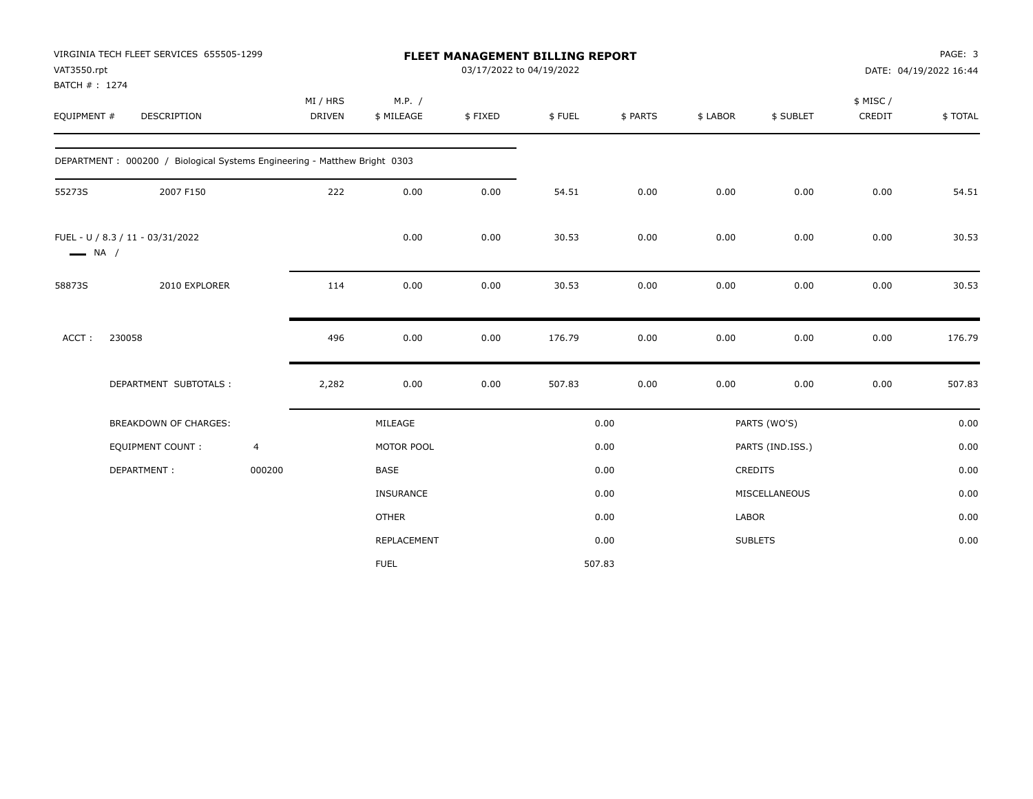| VAT3550.rpt            | VIRGINIA TECH FLEET SERVICES 655505-1299                                  |                |               |              | <b>FLEET MANAGEMENT BILLING REPORT</b> |        |          |          |                  |          | PAGE: 3                |
|------------------------|---------------------------------------------------------------------------|----------------|---------------|--------------|----------------------------------------|--------|----------|----------|------------------|----------|------------------------|
| BATCH #: 1274          |                                                                           |                |               |              | 03/17/2022 to 04/19/2022               |        |          |          |                  |          | DATE: 04/19/2022 16:44 |
|                        |                                                                           |                | MI / HRS      | M.P. /       |                                        |        |          |          |                  | \$ MISC/ |                        |
| EQUIPMENT #            | <b>DESCRIPTION</b>                                                        |                | <b>DRIVEN</b> | \$ MILEAGE   | \$FIXED                                | \$FUEL | \$ PARTS | \$ LABOR | \$ SUBLET        | CREDIT   | \$TOTAL                |
|                        | DEPARTMENT: 000200 / Biological Systems Engineering - Matthew Bright 0303 |                |               |              |                                        |        |          |          |                  |          |                        |
| 55273S                 | 2007 F150                                                                 |                | 222           | 0.00         | 0.00                                   | 54.51  | 0.00     | 0.00     | 0.00             | 0.00     | 54.51                  |
| $\longrightarrow$ NA / | FUEL - U / 8.3 / 11 - 03/31/2022                                          |                |               | 0.00         | 0.00                                   | 30.53  | 0.00     | 0.00     | 0.00             | 0.00     | 30.53                  |
| 58873S                 | 2010 EXPLORER                                                             |                | 114           | 0.00         | 0.00                                   | 30.53  | 0.00     | 0.00     | 0.00             | 0.00     | 30.53                  |
| ACCT:                  | 230058                                                                    |                | 496           | 0.00         | 0.00                                   | 176.79 | 0.00     | 0.00     | 0.00             | 0.00     | 176.79                 |
|                        | DEPARTMENT SUBTOTALS :                                                    |                | 2,282         | 0.00         | 0.00                                   | 507.83 | 0.00     | 0.00     | 0.00             | 0.00     | 507.83                 |
|                        | <b>BREAKDOWN OF CHARGES:</b>                                              |                |               | MILEAGE      |                                        |        | 0.00     |          | PARTS (WO'S)     |          | 0.00                   |
|                        | <b>EQUIPMENT COUNT:</b>                                                   | $\overline{4}$ |               | MOTOR POOL   |                                        |        | 0.00     |          | PARTS (IND.ISS.) |          | 0.00                   |
|                        | DEPARTMENT:                                                               | 000200         |               | BASE         |                                        |        | 0.00     |          | <b>CREDITS</b>   |          | 0.00                   |
|                        |                                                                           |                |               | INSURANCE    |                                        |        | 0.00     |          | MISCELLANEOUS    |          | 0.00                   |
|                        |                                                                           |                |               | <b>OTHER</b> |                                        |        | 0.00     | LABOR    |                  |          | 0.00                   |
|                        |                                                                           |                |               | REPLACEMENT  |                                        |        | 0.00     |          | <b>SUBLETS</b>   |          | 0.00                   |
|                        |                                                                           |                |               | <b>FUEL</b>  |                                        |        | 507.83   |          |                  |          |                        |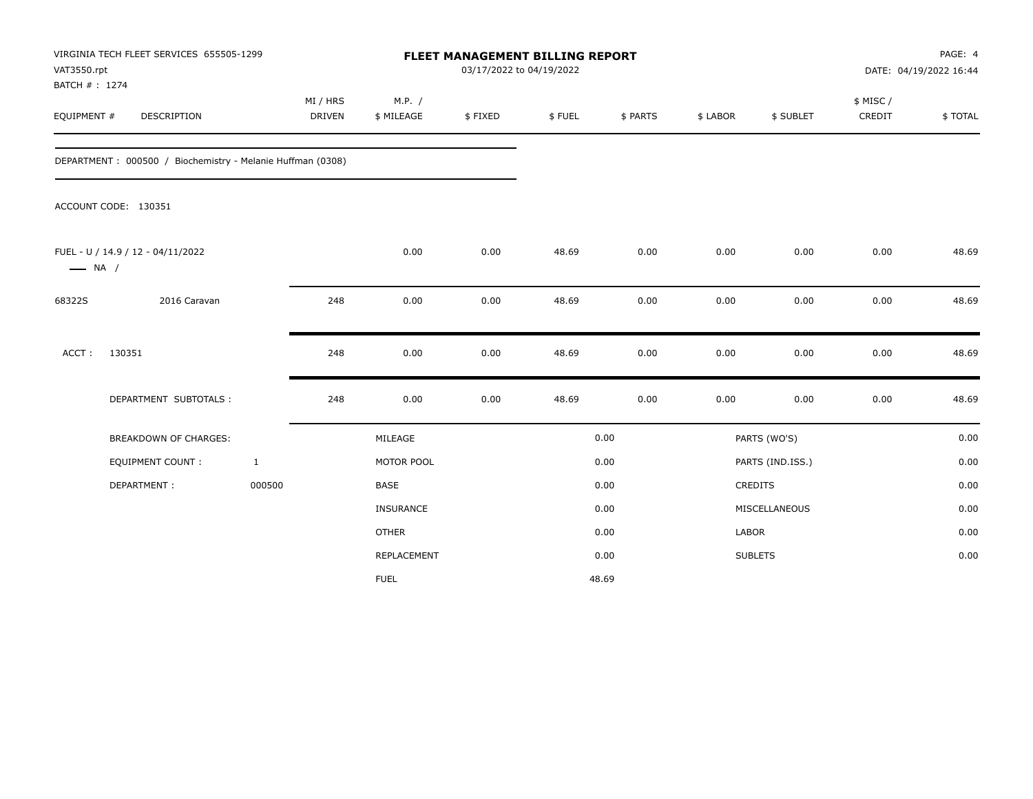| VAT3550.rpt<br>BATCH #: 1274 | VIRGINIA TECH FLEET SERVICES 655505-1299                   |              |                    |                      | FLEET MANAGEMENT BILLING REPORT<br>03/17/2022 to 04/19/2022 |        |          | PAGE: 4<br>DATE: 04/19/2022 16:44 |                  |                    |         |
|------------------------------|------------------------------------------------------------|--------------|--------------------|----------------------|-------------------------------------------------------------|--------|----------|-----------------------------------|------------------|--------------------|---------|
| EQUIPMENT #                  | DESCRIPTION                                                |              | MI / HRS<br>DRIVEN | M.P. /<br>\$ MILEAGE | \$FIXED                                                     | \$FUEL | \$ PARTS | \$ LABOR                          | \$ SUBLET        | \$ MISC/<br>CREDIT | \$TOTAL |
|                              | DEPARTMENT: 000500 / Biochemistry - Melanie Huffman (0308) |              |                    |                      |                                                             |        |          |                                   |                  |                    |         |
|                              | ACCOUNT CODE: 130351                                       |              |                    |                      |                                                             |        |          |                                   |                  |                    |         |
| $\longrightarrow$ NA /       | FUEL - U / 14.9 / 12 - 04/11/2022                          |              |                    | 0.00                 | 0.00                                                        | 48.69  | 0.00     | 0.00                              | 0.00             | 0.00               | 48.69   |
| 68322S                       | 2016 Caravan                                               |              | 248                | 0.00                 | 0.00                                                        | 48.69  | 0.00     | 0.00                              | 0.00             | 0.00               | 48.69   |
| ACCT:                        | 130351                                                     |              | 248                | 0.00                 | 0.00                                                        | 48.69  | 0.00     | 0.00                              | 0.00             | 0.00               | 48.69   |
|                              | DEPARTMENT SUBTOTALS :                                     |              | 248                | 0.00                 | 0.00                                                        | 48.69  | 0.00     | 0.00                              | 0.00             | 0.00               | 48.69   |
|                              | <b>BREAKDOWN OF CHARGES:</b>                               |              |                    | MILEAGE              |                                                             |        | 0.00     |                                   | PARTS (WO'S)     |                    | 0.00    |
|                              | <b>EQUIPMENT COUNT:</b>                                    | $\mathbf{1}$ |                    | MOTOR POOL           |                                                             |        | 0.00     |                                   | PARTS (IND.ISS.) |                    | 0.00    |
|                              | DEPARTMENT:                                                | 000500       |                    | <b>BASE</b>          |                                                             |        | 0.00     |                                   | <b>CREDITS</b>   |                    | 0.00    |
|                              |                                                            |              |                    | INSURANCE            |                                                             |        | 0.00     |                                   | MISCELLANEOUS    |                    | 0.00    |
|                              |                                                            |              |                    | <b>OTHER</b>         |                                                             |        | 0.00     | LABOR                             |                  |                    | 0.00    |
|                              |                                                            |              |                    | REPLACEMENT          |                                                             |        | 0.00     |                                   | <b>SUBLETS</b>   |                    | 0.00    |
|                              |                                                            |              |                    | <b>FUEL</b>          |                                                             |        | 48.69    |                                   |                  |                    |         |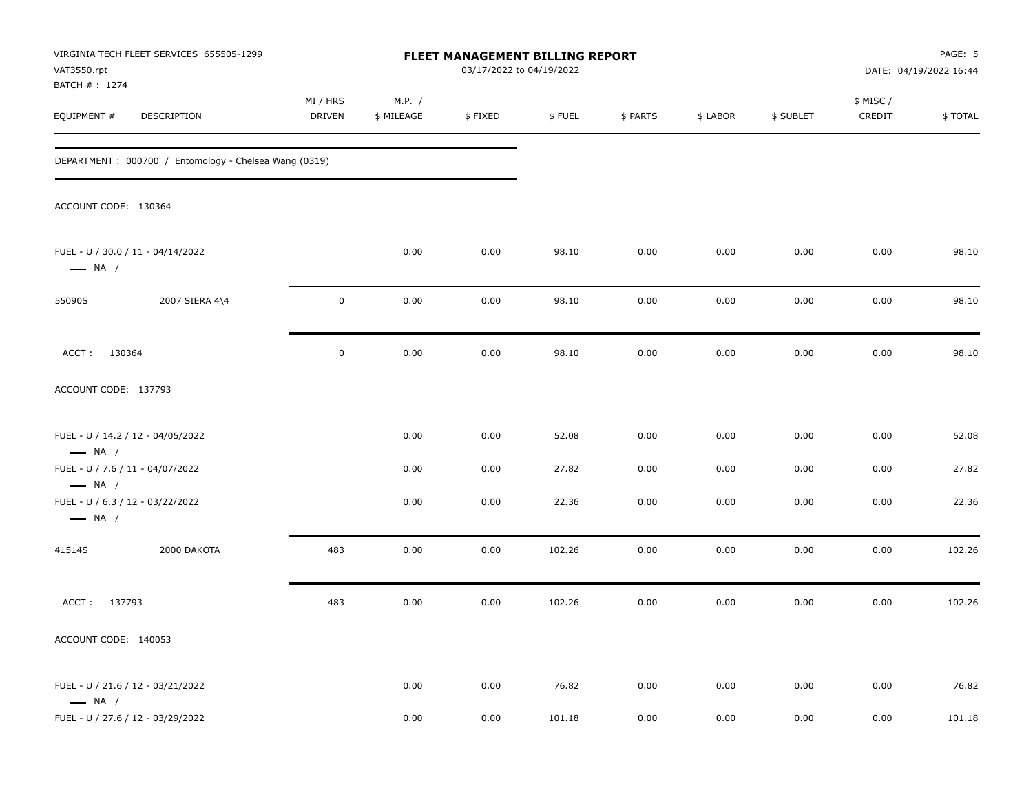| VAT3550.rpt<br>BATCH #: 1274                                                         | VIRGINIA TECH FLEET SERVICES 655505-1299              |                           | <b>FLEET MANAGEMENT BILLING REPORT</b> |         | PAGE: 5<br>DATE: 04/19/2022 16:44 |          |          |           |                     |         |
|--------------------------------------------------------------------------------------|-------------------------------------------------------|---------------------------|----------------------------------------|---------|-----------------------------------|----------|----------|-----------|---------------------|---------|
| EQUIPMENT #                                                                          | DESCRIPTION                                           | MI / HRS<br><b>DRIVEN</b> | M.P. /<br>\$ MILEAGE                   | \$FIXED | \$FUEL                            | \$ PARTS | \$ LABOR | \$ SUBLET | \$ MISC /<br>CREDIT | \$TOTAL |
|                                                                                      | DEPARTMENT: 000700 / Entomology - Chelsea Wang (0319) |                           |                                        |         |                                   |          |          |           |                     |         |
| ACCOUNT CODE: 130364                                                                 |                                                       |                           |                                        |         |                                   |          |          |           |                     |         |
| FUEL - U / 30.0 / 11 - 04/14/2022<br>$\longrightarrow$ NA /                          |                                                       |                           | 0.00                                   | 0.00    | 98.10                             | 0.00     | 0.00     | 0.00      | 0.00                | 98.10   |
| 55090S                                                                               | 2007 SIERA 4\4                                        | $\pmb{0}$                 | 0.00                                   | 0.00    | 98.10                             | 0.00     | 0.00     | 0.00      | 0.00                | 98.10   |
| ACCT: 130364                                                                         |                                                       | $\pmb{0}$                 | 0.00                                   | 0.00    | 98.10                             | 0.00     | 0.00     | 0.00      | 0.00                | 98.10   |
| ACCOUNT CODE: 137793                                                                 |                                                       |                           |                                        |         |                                   |          |          |           |                     |         |
| FUEL - U / 14.2 / 12 - 04/05/2022<br>$\longrightarrow$ NA /                          |                                                       |                           | 0.00                                   | 0.00    | 52.08                             | 0.00     | 0.00     | 0.00      | 0.00                | 52.08   |
| FUEL - U / 7.6 / 11 - 04/07/2022                                                     |                                                       |                           | 0.00                                   | 0.00    | 27.82                             | 0.00     | 0.00     | 0.00      | 0.00                | 27.82   |
| $\longrightarrow$ NA /<br>FUEL - U / 6.3 / 12 - 03/22/2022<br>$\longrightarrow$ NA / |                                                       |                           | 0.00                                   | 0.00    | 22.36                             | 0.00     | 0.00     | 0.00      | 0.00                | 22.36   |
| 41514S                                                                               | 2000 DAKOTA                                           | 483                       | 0.00                                   | 0.00    | 102.26                            | 0.00     | 0.00     | 0.00      | 0.00                | 102.26  |
| ACCT: 137793                                                                         |                                                       | 483                       | 0.00                                   | 0.00    | 102.26                            | 0.00     | 0.00     | 0.00      | 0.00                | 102.26  |
| ACCOUNT CODE: 140053                                                                 |                                                       |                           |                                        |         |                                   |          |          |           |                     |         |
| FUEL - U / 21.6 / 12 - 03/21/2022<br>$\longrightarrow$ NA /                          |                                                       |                           | 0.00                                   | 0.00    | 76.82                             | 0.00     | 0.00     | 0.00      | 0.00                | 76.82   |
| FUEL - U / 27.6 / 12 - 03/29/2022                                                    |                                                       |                           | 0.00                                   | 0.00    | 101.18                            | 0.00     | 0.00     | 0.00      | 0.00                | 101.18  |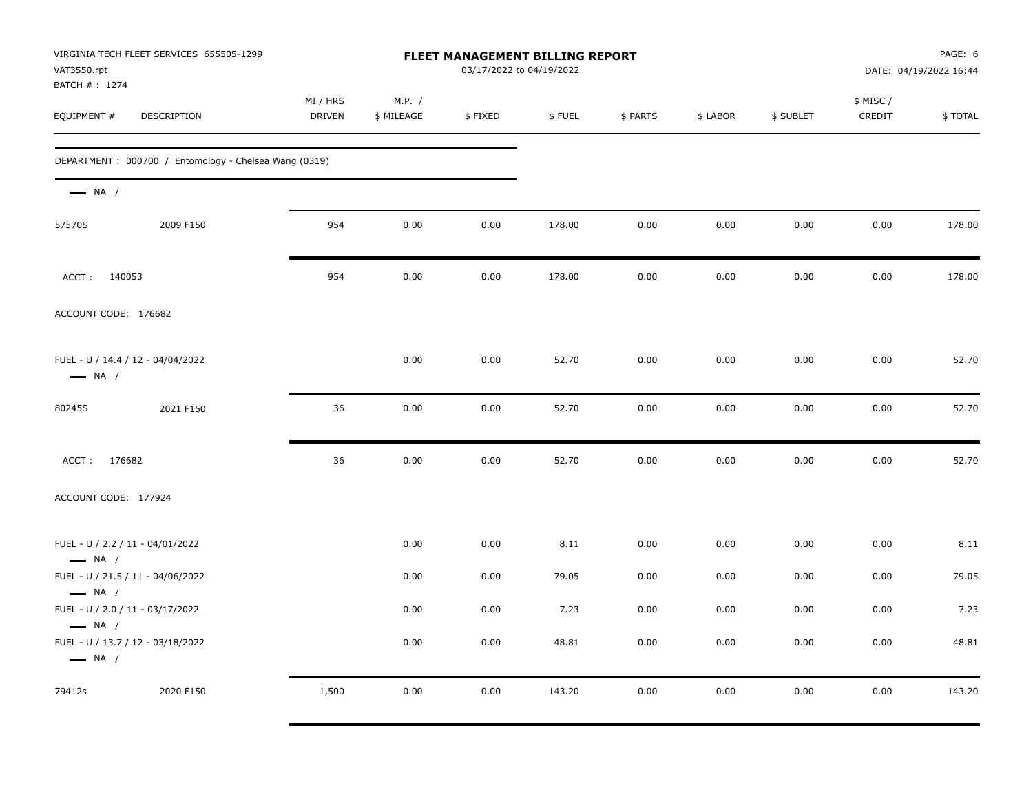| VAT3550.rpt<br>BATCH #: 1274 | VIRGINIA TECH FLEET SERVICES 655505-1299              | FLEET MANAGEMENT BILLING REPORT<br>03/17/2022 to 04/19/2022 |                      |         |        |          |          |           |                     | PAGE: 6<br>DATE: 04/19/2022 16:44 |  |
|------------------------------|-------------------------------------------------------|-------------------------------------------------------------|----------------------|---------|--------|----------|----------|-----------|---------------------|-----------------------------------|--|
| EQUIPMENT #                  | DESCRIPTION                                           | MI / HRS<br>DRIVEN                                          | M.P. /<br>\$ MILEAGE | \$FIXED | \$FUEL | \$ PARTS | \$ LABOR | \$ SUBLET | \$ MISC /<br>CREDIT | \$TOTAL                           |  |
|                              | DEPARTMENT: 000700 / Entomology - Chelsea Wang (0319) |                                                             |                      |         |        |          |          |           |                     |                                   |  |
| $\longrightarrow$ NA /       |                                                       |                                                             |                      |         |        |          |          |           |                     |                                   |  |
| 57570S                       | 2009 F150                                             | 954                                                         | 0.00                 | 0.00    | 178.00 | 0.00     | 0.00     | 0.00      | 0.00                | 178.00                            |  |
| ACCT: 140053                 |                                                       | 954                                                         | 0.00                 | 0.00    | 178.00 | 0.00     | 0.00     | 0.00      | 0.00                | 178.00                            |  |
| ACCOUNT CODE: 176682         |                                                       |                                                             |                      |         |        |          |          |           |                     |                                   |  |
| $\longrightarrow$ NA /       | FUEL - U / 14.4 / 12 - 04/04/2022                     |                                                             | 0.00                 | 0.00    | 52.70  | 0.00     | 0.00     | 0.00      | 0.00                | 52.70                             |  |
| 80245S                       | 2021 F150                                             | 36                                                          | 0.00                 | 0.00    | 52.70  | 0.00     | 0.00     | 0.00      | 0.00                | 52.70                             |  |
| ACCT: 176682                 |                                                       | 36                                                          | 0.00                 | 0.00    | 52.70  | 0.00     | 0.00     | 0.00      | 0.00                | 52.70                             |  |
| ACCOUNT CODE: 177924         |                                                       |                                                             |                      |         |        |          |          |           |                     |                                   |  |
| $\longrightarrow$ NA /       | FUEL - U / 2.2 / 11 - 04/01/2022                      |                                                             | 0.00                 | 0.00    | 8.11   | 0.00     | 0.00     | 0.00      | 0.00                | 8.11                              |  |
| $\longrightarrow$ NA /       | FUEL - U / 21.5 / 11 - 04/06/2022                     |                                                             | 0.00                 | 0.00    | 79.05  | 0.00     | 0.00     | 0.00      | 0.00                | 79.05                             |  |
| $\longrightarrow$ NA /       | FUEL - U / 2.0 / 11 - 03/17/2022                      |                                                             | 0.00                 | 0.00    | 7.23   | 0.00     | 0.00     | 0.00      | 0.00                | 7.23                              |  |
| $\longrightarrow$ NA /       | FUEL - U / 13.7 / 12 - 03/18/2022                     |                                                             | 0.00                 | 0.00    | 48.81  | 0.00     | 0.00     | 0.00      | 0.00                | 48.81                             |  |
| 79412s                       | 2020 F150                                             | 1,500                                                       | 0.00                 | 0.00    | 143.20 | 0.00     | 0.00     | 0.00      | 0.00                | 143.20                            |  |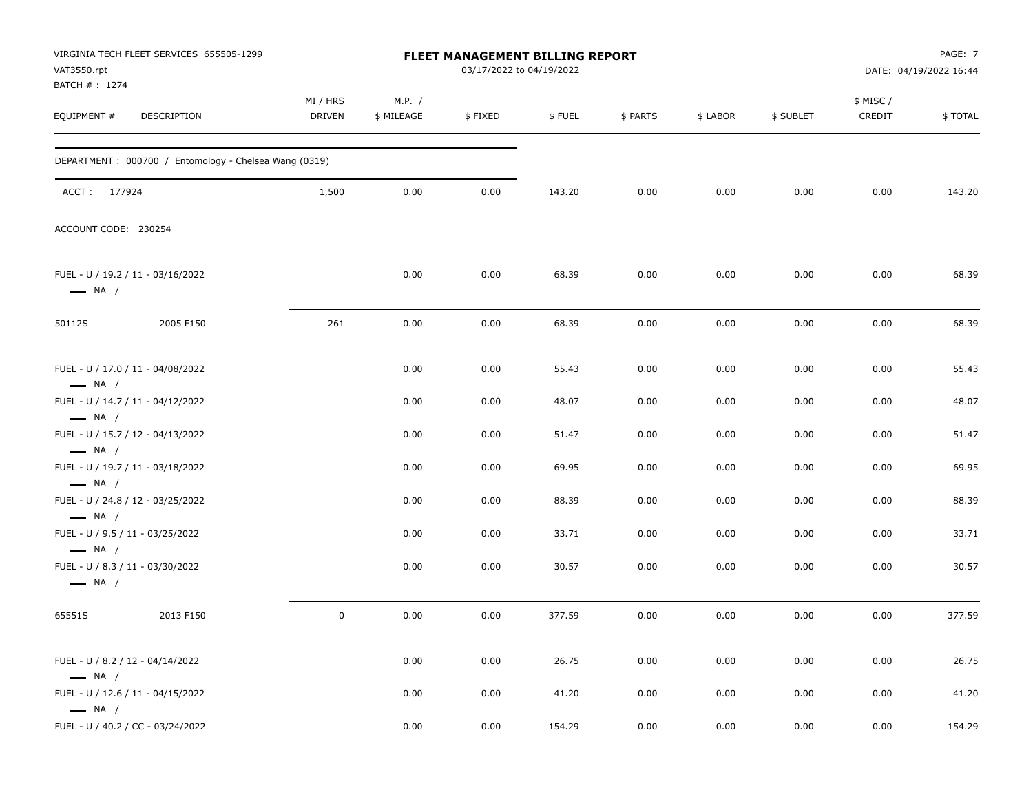| VIRGINIA TECH FLEET SERVICES 655505-1299<br>VAT3550.rpt<br>BATCH # : 1274 |                           |                      | <b>FLEET MANAGEMENT BILLING REPORT</b><br>03/17/2022 to 04/19/2022 |        |          |          |           |                    | PAGE: 7<br>DATE: 04/19/2022 16:44 |
|---------------------------------------------------------------------------|---------------------------|----------------------|--------------------------------------------------------------------|--------|----------|----------|-----------|--------------------|-----------------------------------|
| EQUIPMENT #<br>DESCRIPTION                                                | MI / HRS<br><b>DRIVEN</b> | M.P. /<br>\$ MILEAGE | \$FIXED                                                            | \$FUEL | \$ PARTS | \$ LABOR | \$ SUBLET | \$ MISC/<br>CREDIT | \$TOTAL                           |
| DEPARTMENT: 000700 / Entomology - Chelsea Wang (0319)                     |                           |                      |                                                                    |        |          |          |           |                    |                                   |
| ACCT: 177924                                                              | 1,500                     | 0.00                 | 0.00                                                               | 143.20 | 0.00     | 0.00     | 0.00      | 0.00               | 143.20                            |
| ACCOUNT CODE: 230254                                                      |                           |                      |                                                                    |        |          |          |           |                    |                                   |
| FUEL - U / 19.2 / 11 - 03/16/2022<br>$\longrightarrow$ NA /               |                           | 0.00                 | 0.00                                                               | 68.39  | 0.00     | 0.00     | 0.00      | 0.00               | 68.39                             |
| 2005 F150<br>50112S                                                       | 261                       | 0.00                 | 0.00                                                               | 68.39  | 0.00     | 0.00     | 0.00      | 0.00               | 68.39                             |
| FUEL - U / 17.0 / 11 - 04/08/2022<br>$\longrightarrow$ NA /               |                           | 0.00                 | 0.00                                                               | 55.43  | 0.00     | 0.00     | 0.00      | 0.00               | 55.43                             |
| FUEL - U / 14.7 / 11 - 04/12/2022<br>$\longrightarrow$ NA /               |                           | 0.00                 | 0.00                                                               | 48.07  | 0.00     | 0.00     | 0.00      | 0.00               | 48.07                             |
| FUEL - U / 15.7 / 12 - 04/13/2022<br>$\longrightarrow$ NA /               |                           | 0.00                 | 0.00                                                               | 51.47  | 0.00     | 0.00     | 0.00      | 0.00               | 51.47                             |
| FUEL - U / 19.7 / 11 - 03/18/2022<br>$\longrightarrow$ NA /               |                           | 0.00                 | 0.00                                                               | 69.95  | 0.00     | 0.00     | 0.00      | 0.00               | 69.95                             |
| FUEL - U / 24.8 / 12 - 03/25/2022<br>$\longrightarrow$ NA /               |                           | 0.00                 | 0.00                                                               | 88.39  | 0.00     | 0.00     | 0.00      | 0.00               | 88.39                             |
| FUEL - U / 9.5 / 11 - 03/25/2022<br>$\longrightarrow$ NA /                |                           | 0.00                 | 0.00                                                               | 33.71  | 0.00     | 0.00     | 0.00      | 0.00               | 33.71                             |
| FUEL - U / 8.3 / 11 - 03/30/2022<br>$\longrightarrow$ NA /                |                           | 0.00                 | 0.00                                                               | 30.57  | 0.00     | 0.00     | 0.00      | 0.00               | 30.57                             |
| 65551S<br>2013 F150                                                       | 0                         | 0.00                 | 0.00                                                               | 377.59 | 0.00     | 0.00     | 0.00      | 0.00               | 377.59                            |
| FUEL - U / 8.2 / 12 - 04/14/2022<br>$\longrightarrow$ NA /                |                           | 0.00                 | 0.00                                                               | 26.75  | 0.00     | 0.00     | 0.00      | 0.00               | 26.75                             |
| FUEL - U / 12.6 / 11 - 04/15/2022<br>$\longrightarrow$ NA /               |                           | 0.00                 | 0.00                                                               | 41.20  | 0.00     | 0.00     | 0.00      | 0.00               | 41.20                             |
| FUEL - U / 40.2 / CC - 03/24/2022                                         |                           | 0.00                 | 0.00                                                               | 154.29 | 0.00     | 0.00     | 0.00      | 0.00               | 154.29                            |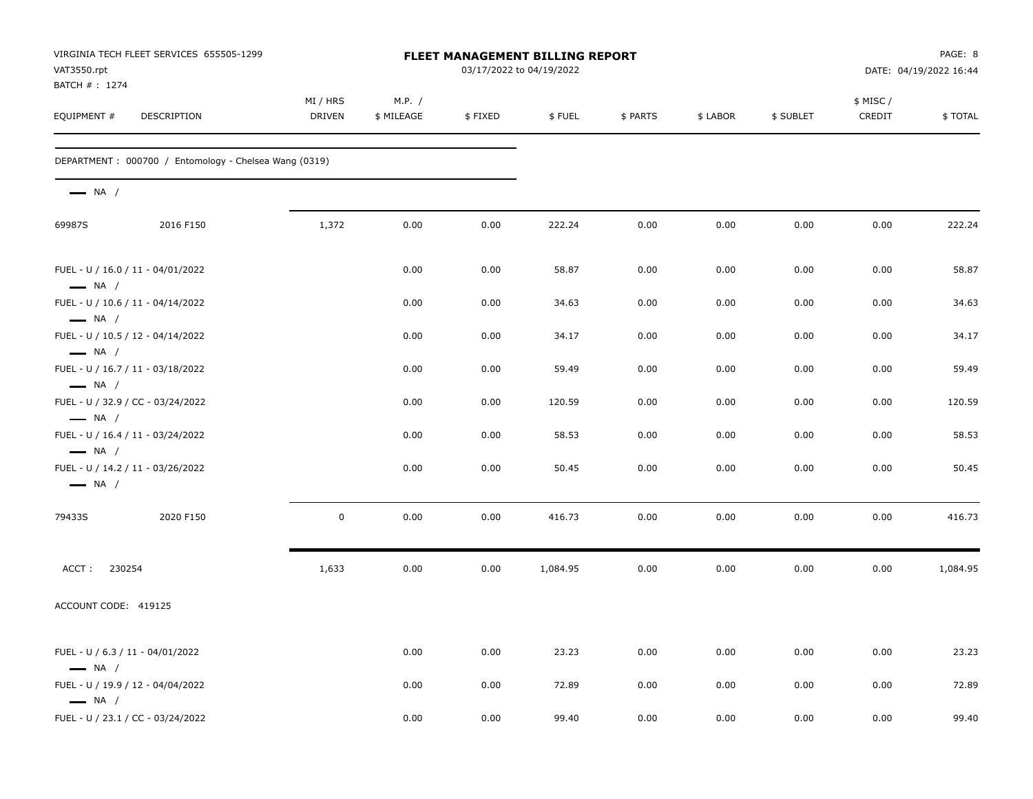| VAT3550.rpt<br>BATCH #: 1274 | VIRGINIA TECH FLEET SERVICES 655505-1299              |                    |                      |         | FLEET MANAGEMENT BILLING REPORT<br>03/17/2022 to 04/19/2022 |          | PAGE: 8<br>DATE: 04/19/2022 16:44 |           |                     |          |
|------------------------------|-------------------------------------------------------|--------------------|----------------------|---------|-------------------------------------------------------------|----------|-----------------------------------|-----------|---------------------|----------|
| EQUIPMENT #                  | DESCRIPTION                                           | MI / HRS<br>DRIVEN | M.P. /<br>\$ MILEAGE | \$FIXED | \$FUEL                                                      | \$ PARTS | \$ LABOR                          | \$ SUBLET | \$ MISC /<br>CREDIT | \$TOTAL  |
|                              | DEPARTMENT: 000700 / Entomology - Chelsea Wang (0319) |                    |                      |         |                                                             |          |                                   |           |                     |          |
| $\longrightarrow$ NA /       |                                                       |                    |                      |         |                                                             |          |                                   |           |                     |          |
| 69987S                       | 2016 F150                                             | 1,372              | 0.00                 | 0.00    | 222.24                                                      | 0.00     | 0.00                              | 0.00      | 0.00                | 222.24   |
| $\longrightarrow$ NA /       | FUEL - U / 16.0 / 11 - 04/01/2022                     |                    | 0.00                 | 0.00    | 58.87                                                       | 0.00     | 0.00                              | 0.00      | 0.00                | 58.87    |
| $\longrightarrow$ NA /       | FUEL - U / 10.6 / 11 - 04/14/2022                     |                    | 0.00                 | 0.00    | 34.63                                                       | 0.00     | 0.00                              | 0.00      | 0.00                | 34.63    |
| $\longrightarrow$ NA /       | FUEL - U / 10.5 / 12 - 04/14/2022                     |                    | 0.00                 | 0.00    | 34.17                                                       | 0.00     | 0.00                              | 0.00      | 0.00                | 34.17    |
| $\longrightarrow$ NA /       | FUEL - U / 16.7 / 11 - 03/18/2022                     |                    | 0.00                 | 0.00    | 59.49                                                       | 0.00     | 0.00                              | 0.00      | 0.00                | 59.49    |
| $\longrightarrow$ NA /       | FUEL - U / 32.9 / CC - 03/24/2022                     |                    | 0.00                 | 0.00    | 120.59                                                      | 0.00     | 0.00                              | 0.00      | 0.00                | 120.59   |
| $\longrightarrow$ NA /       | FUEL - U / 16.4 / 11 - 03/24/2022                     |                    | 0.00                 | 0.00    | 58.53                                                       | 0.00     | 0.00                              | 0.00      | 0.00                | 58.53    |
| $\longrightarrow$ NA /       | FUEL - U / 14.2 / 11 - 03/26/2022                     |                    | 0.00                 | 0.00    | 50.45                                                       | 0.00     | 0.00                              | 0.00      | 0.00                | 50.45    |
| 79433S                       | 2020 F150                                             | $\mathsf 0$        | 0.00                 | 0.00    | 416.73                                                      | 0.00     | 0.00                              | 0.00      | 0.00                | 416.73   |
| ACCT:<br>230254              |                                                       | 1,633              | 0.00                 | 0.00    | 1,084.95                                                    | 0.00     | 0.00                              | 0.00      | 0.00                | 1,084.95 |
| ACCOUNT CODE: 419125         |                                                       |                    |                      |         |                                                             |          |                                   |           |                     |          |
| $\equiv$ NA /                | FUEL - U / 6.3 / 11 - 04/01/2022                      |                    | 0.00                 | 0.00    | 23.23                                                       | 0.00     | 0.00                              | 0.00      | 0.00                | 23.23    |
| $\longrightarrow$ NA /       | FUEL - U / 19.9 / 12 - 04/04/2022                     |                    | 0.00                 | 0.00    | 72.89                                                       | 0.00     | 0.00                              | 0.00      | 0.00                | 72.89    |
|                              | FUEL - U / 23.1 / CC - 03/24/2022                     |                    | 0.00                 | 0.00    | 99.40                                                       | 0.00     | 0.00                              | 0.00      | 0.00                | 99.40    |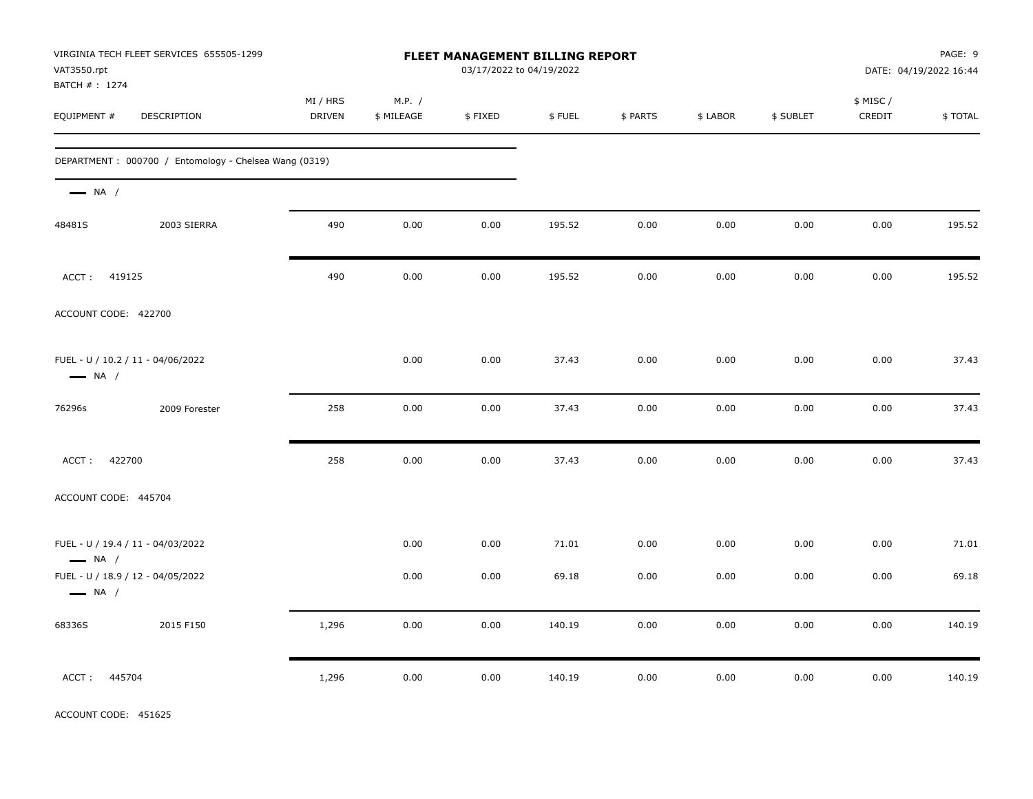| VIRGINIA TECH FLEET SERVICES 655505-1299<br>VAT3550.rpt<br>BATCH # : 1274 | FLEET MANAGEMENT BILLING REPORT<br>03/17/2022 to 04/19/2022 |                      |         |        |          |          |           |                    | PAGE: 9<br>DATE: 04/19/2022 16:44 |  |
|---------------------------------------------------------------------------|-------------------------------------------------------------|----------------------|---------|--------|----------|----------|-----------|--------------------|-----------------------------------|--|
| EQUIPMENT #<br>DESCRIPTION                                                | MI / HRS<br><b>DRIVEN</b>                                   | M.P. /<br>\$ MILEAGE | \$FIXED | \$FUEL | \$ PARTS | \$ LABOR | \$ SUBLET | \$ MISC/<br>CREDIT | \$TOTAL                           |  |
| DEPARTMENT: 000700 / Entomology - Chelsea Wang (0319)                     |                                                             |                      |         |        |          |          |           |                    |                                   |  |
| $\longrightarrow$ NA /                                                    |                                                             |                      |         |        |          |          |           |                    |                                   |  |
| 2003 SIERRA<br>48481S                                                     | 490                                                         | 0.00                 | 0.00    | 195.52 | 0.00     | 0.00     | 0.00      | 0.00               | 195.52                            |  |
| ACCT: 419125                                                              | 490                                                         | 0.00                 | 0.00    | 195.52 | 0.00     | 0.00     | 0.00      | 0.00               | 195.52                            |  |
| ACCOUNT CODE: 422700                                                      |                                                             |                      |         |        |          |          |           |                    |                                   |  |
| FUEL - U / 10.2 / 11 - 04/06/2022<br>$\longrightarrow$ NA /               |                                                             | 0.00                 | 0.00    | 37.43  | 0.00     | 0.00     | 0.00      | 0.00               | 37.43                             |  |
| 76296s<br>2009 Forester                                                   | 258                                                         | 0.00                 | 0.00    | 37.43  | 0.00     | 0.00     | 0.00      | 0.00               | 37.43                             |  |
| ACCT: 422700                                                              | 258                                                         | 0.00                 | 0.00    | 37.43  | 0.00     | 0.00     | 0.00      | 0.00               | 37.43                             |  |
| ACCOUNT CODE: 445704                                                      |                                                             |                      |         |        |          |          |           |                    |                                   |  |
| FUEL - U / 19.4 / 11 - 04/03/2022<br>$\longrightarrow$ NA /               |                                                             | 0.00                 | 0.00    | 71.01  | 0.00     | 0.00     | 0.00      | 0.00               | 71.01                             |  |
| FUEL - U / 18.9 / 12 - 04/05/2022<br>$\longrightarrow$ NA /               |                                                             | 0.00                 | 0.00    | 69.18  | 0.00     | 0.00     | 0.00      | 0.00               | 69.18                             |  |
| 68336S<br>2015 F150                                                       | 1,296                                                       | 0.00                 | 0.00    | 140.19 | 0.00     | 0.00     | 0.00      | 0.00               | 140.19                            |  |
| 445704<br>ACCT:                                                           | 1,296                                                       | 0.00                 | 0.00    | 140.19 | 0.00     | 0.00     | 0.00      | 0.00               | 140.19                            |  |

ACCOUNT CODE: 451625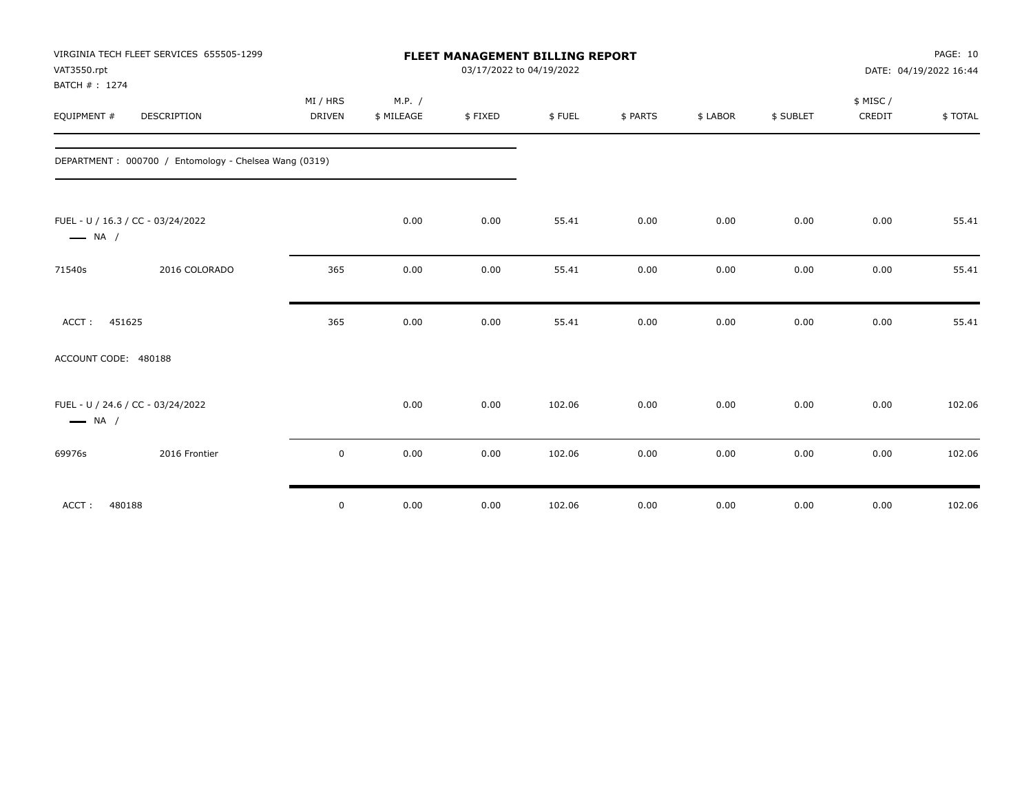| VAT3550.rpt<br>BATCH #: 1274 | VIRGINIA TECH FLEET SERVICES 655505-1299               | FLEET MANAGEMENT BILLING REPORT<br>03/17/2022 to 04/19/2022 |            |         |        |          |          |           | PAGE: 10<br>DATE: 04/19/2022 16:44 |         |  |
|------------------------------|--------------------------------------------------------|-------------------------------------------------------------|------------|---------|--------|----------|----------|-----------|------------------------------------|---------|--|
|                              |                                                        | MI / HRS                                                    | M.P. /     |         |        |          |          |           | \$ MISC/                           |         |  |
| EQUIPMENT #                  | DESCRIPTION                                            | <b>DRIVEN</b>                                               | \$ MILEAGE | \$FIXED | \$FUEL | \$ PARTS | \$ LABOR | \$ SUBLET | CREDIT                             | \$TOTAL |  |
|                              | DEPARTMENT : 000700 / Entomology - Chelsea Wang (0319) |                                                             |            |         |        |          |          |           |                                    |         |  |
| $\longrightarrow$ NA /       | FUEL - U / 16.3 / CC - 03/24/2022                      |                                                             | 0.00       | 0.00    | 55.41  | 0.00     | 0.00     | 0.00      | 0.00                               | 55.41   |  |
| 71540s                       | 2016 COLORADO                                          | 365                                                         | 0.00       | 0.00    | 55.41  | 0.00     | 0.00     | 0.00      | 0.00                               | 55.41   |  |
| 451625<br>ACCT:              |                                                        | 365                                                         | 0.00       | 0.00    | 55.41  | 0.00     | 0.00     | 0.00      | 0.00                               | 55.41   |  |
| ACCOUNT CODE: 480188         |                                                        |                                                             |            |         |        |          |          |           |                                    |         |  |
| $\longrightarrow$ NA /       | FUEL - U / 24.6 / CC - 03/24/2022                      |                                                             | 0.00       | 0.00    | 102.06 | 0.00     | 0.00     | 0.00      | 0.00                               | 102.06  |  |
| 69976s                       | 2016 Frontier                                          | $\mathbf 0$                                                 | 0.00       | 0.00    | 102.06 | 0.00     | 0.00     | 0.00      | 0.00                               | 102.06  |  |
| ACCT:<br>480188              |                                                        | $\mathbf 0$                                                 | 0.00       | 0.00    | 102.06 | 0.00     | 0.00     | 0.00      | 0.00                               | 102.06  |  |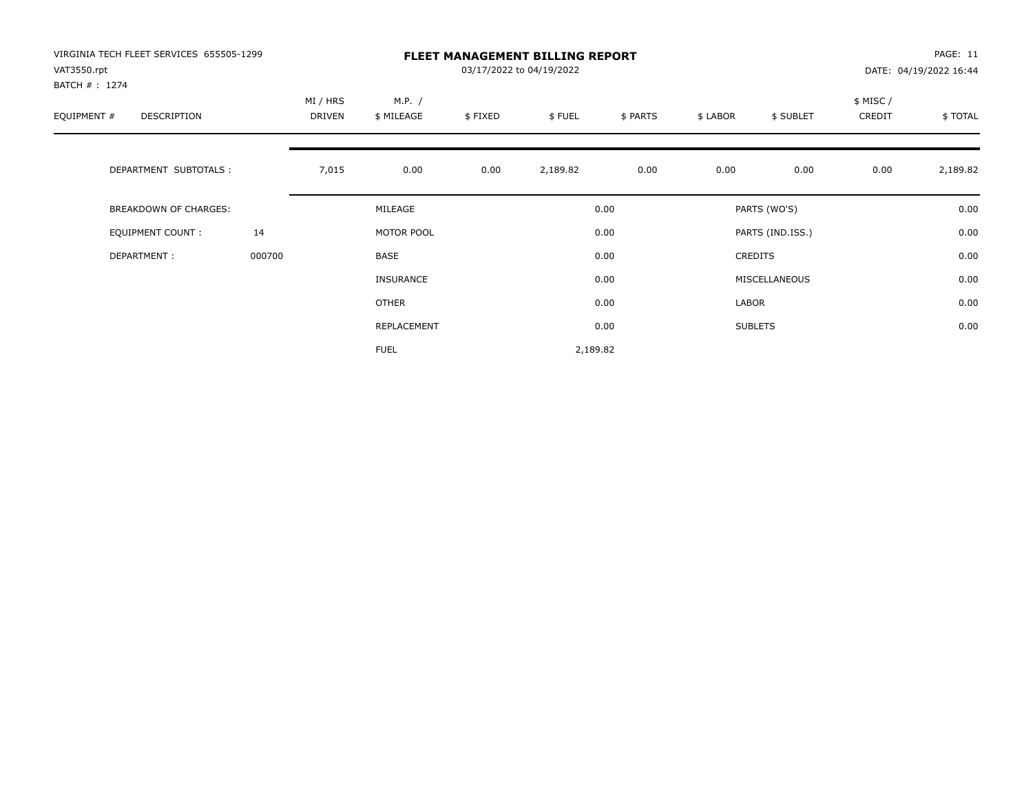| VIRGINIA TECH FLEET SERVICES 655505-1299<br>VAT3550.rpt<br>BATCH #: 1274 |        | <b>FLEET MANAGEMENT BILLING REPORT</b><br>03/17/2022 to 04/19/2022 |                      |         |          |          |          |                  |                     | PAGE: 11<br>DATE: 04/19/2022 16:44 |  |
|--------------------------------------------------------------------------|--------|--------------------------------------------------------------------|----------------------|---------|----------|----------|----------|------------------|---------------------|------------------------------------|--|
| EQUIPMENT #<br><b>DESCRIPTION</b>                                        |        | MI / HRS<br><b>DRIVEN</b>                                          | M.P. /<br>\$ MILEAGE | \$FIXED | \$FUEL   | \$ PARTS | \$ LABOR | \$ SUBLET        | \$ MISC /<br>CREDIT | \$TOTAL                            |  |
| DEPARTMENT SUBTOTALS :                                                   |        | 7,015                                                              | 0.00                 | 0.00    | 2,189.82 | 0.00     | 0.00     | 0.00             | 0.00                | 2,189.82                           |  |
| <b>BREAKDOWN OF CHARGES:</b>                                             |        |                                                                    | MILEAGE              |         |          | 0.00     |          | PARTS (WO'S)     |                     | 0.00                               |  |
| EQUIPMENT COUNT:                                                         | 14     |                                                                    | MOTOR POOL           |         |          | 0.00     |          | PARTS (IND.ISS.) |                     | 0.00                               |  |
| DEPARTMENT:                                                              | 000700 |                                                                    | <b>BASE</b>          |         |          | 0.00     |          | <b>CREDITS</b>   |                     | 0.00                               |  |
|                                                                          |        |                                                                    | <b>INSURANCE</b>     |         |          | 0.00     |          | MISCELLANEOUS    |                     | 0.00                               |  |
|                                                                          |        |                                                                    | <b>OTHER</b>         |         |          | 0.00     | LABOR    |                  |                     | 0.00                               |  |
|                                                                          |        |                                                                    | REPLACEMENT          |         |          | 0.00     |          | <b>SUBLETS</b>   |                     | 0.00                               |  |
|                                                                          |        |                                                                    | <b>FUEL</b>          |         | 2,189.82 |          |          |                  |                     |                                    |  |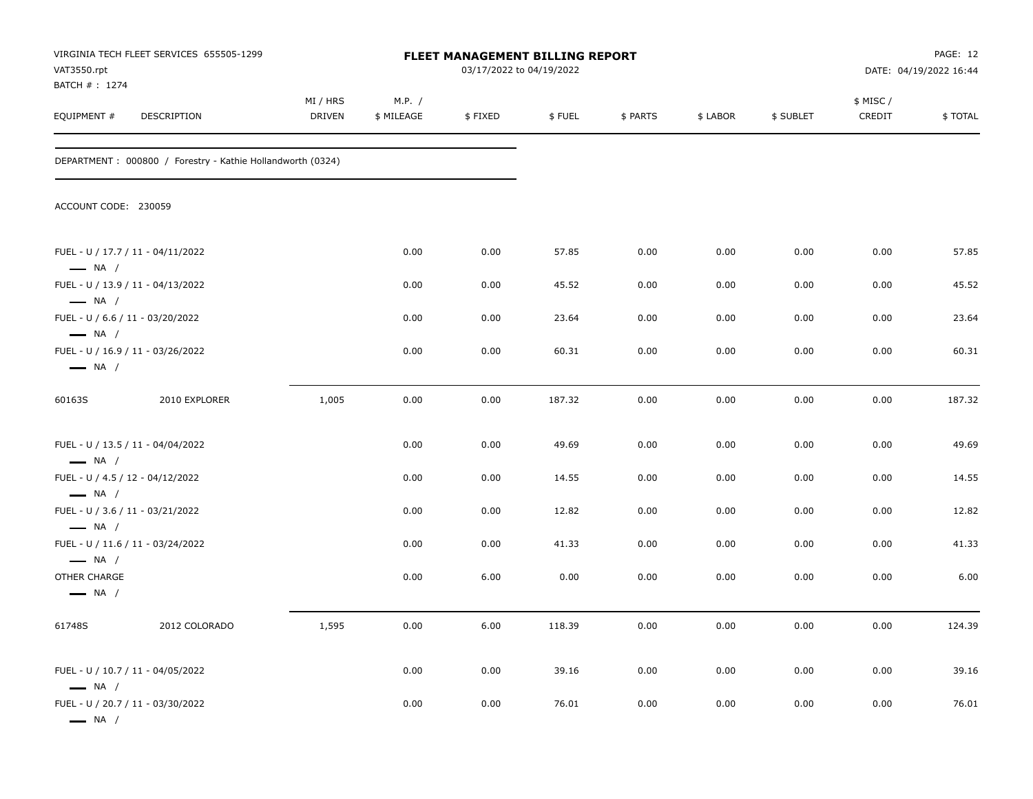| VAT3550.rpt<br>BATCH #: 1274           | VIRGINIA TECH FLEET SERVICES 655505-1299                    | FLEET MANAGEMENT BILLING REPORT<br>03/17/2022 to 04/19/2022 |                      |         |        |          |          |           |                     | PAGE: 12<br>DATE: 04/19/2022 16:44 |  |
|----------------------------------------|-------------------------------------------------------------|-------------------------------------------------------------|----------------------|---------|--------|----------|----------|-----------|---------------------|------------------------------------|--|
| EQUIPMENT #                            | DESCRIPTION                                                 | MI / HRS<br>DRIVEN                                          | M.P. /<br>\$ MILEAGE | \$FIXED | \$FUEL | \$ PARTS | \$ LABOR | \$ SUBLET | \$ MISC /<br>CREDIT | \$TOTAL                            |  |
|                                        | DEPARTMENT : 000800 / Forestry - Kathie Hollandworth (0324) |                                                             |                      |         |        |          |          |           |                     |                                    |  |
| ACCOUNT CODE: 230059                   |                                                             |                                                             |                      |         |        |          |          |           |                     |                                    |  |
| $\longrightarrow$ NA /                 | FUEL - U / 17.7 / 11 - 04/11/2022                           |                                                             | 0.00                 | 0.00    | 57.85  | 0.00     | 0.00     | 0.00      | 0.00                | 57.85                              |  |
| $\longrightarrow$ NA /                 | FUEL - U / 13.9 / 11 - 04/13/2022                           |                                                             | 0.00                 | 0.00    | 45.52  | 0.00     | 0.00     | 0.00      | 0.00                | 45.52                              |  |
| $\longrightarrow$ NA /                 | FUEL - U / 6.6 / 11 - 03/20/2022                            |                                                             | 0.00                 | 0.00    | 23.64  | 0.00     | 0.00     | 0.00      | 0.00                | 23.64                              |  |
| $\longrightarrow$ NA /                 | FUEL - U / 16.9 / 11 - 03/26/2022                           |                                                             | 0.00                 | 0.00    | 60.31  | 0.00     | 0.00     | 0.00      | 0.00                | 60.31                              |  |
| 60163S                                 | 2010 EXPLORER                                               | 1,005                                                       | 0.00                 | 0.00    | 187.32 | 0.00     | 0.00     | 0.00      | 0.00                | 187.32                             |  |
| $\longrightarrow$ NA /                 | FUEL - U / 13.5 / 11 - 04/04/2022                           |                                                             | 0.00                 | 0.00    | 49.69  | 0.00     | 0.00     | 0.00      | 0.00                | 49.69                              |  |
| $\longrightarrow$ NA /                 | FUEL - U / 4.5 / 12 - 04/12/2022                            |                                                             | 0.00                 | 0.00    | 14.55  | 0.00     | 0.00     | 0.00      | 0.00                | 14.55                              |  |
| $\equiv$ NA /                          | FUEL - U / 3.6 / 11 - 03/21/2022                            |                                                             | 0.00                 | 0.00    | 12.82  | 0.00     | 0.00     | 0.00      | 0.00                | 12.82                              |  |
| $\longrightarrow$ NA /                 | FUEL - U / 11.6 / 11 - 03/24/2022                           |                                                             | 0.00                 | 0.00    | 41.33  | 0.00     | 0.00     | 0.00      | 0.00                | 41.33                              |  |
| OTHER CHARGE<br>$\longrightarrow$ NA / |                                                             |                                                             | 0.00                 | 6.00    | 0.00   | 0.00     | 0.00     | 0.00      | 0.00                | 6.00                               |  |
| 61748S                                 | 2012 COLORADO                                               | 1,595                                                       | 0.00                 | 6.00    | 118.39 | 0.00     | 0.00     | 0.00      | 0.00                | 124.39                             |  |
| $\longrightarrow$ NA /                 | FUEL - U / 10.7 / 11 - 04/05/2022                           |                                                             | 0.00                 | 0.00    | 39.16  | 0.00     | 0.00     | 0.00      | 0.00                | 39.16                              |  |
| — NA /                                 | FUEL - U / 20.7 / 11 - 03/30/2022                           |                                                             | 0.00                 | 0.00    | 76.01  | 0.00     | 0.00     | 0.00      | 0.00                | 76.01                              |  |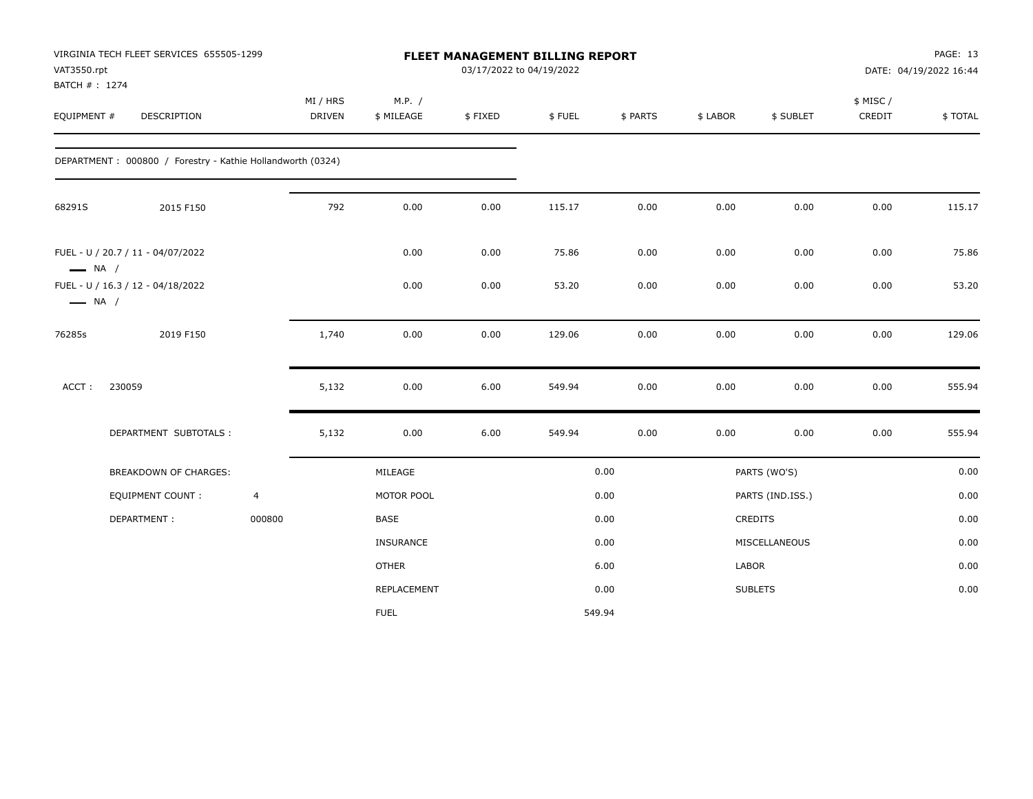| VAT3550.rpt<br>BATCH #: 1274 | VIRGINIA TECH FLEET SERVICES 655505-1299                   |                |                           |                      | FLEET MANAGEMENT BILLING REPORT<br>03/17/2022 to 04/19/2022 |        |          |          |                  |                    | PAGE: 13<br>DATE: 04/19/2022 16:44 |
|------------------------------|------------------------------------------------------------|----------------|---------------------------|----------------------|-------------------------------------------------------------|--------|----------|----------|------------------|--------------------|------------------------------------|
| EQUIPMENT #                  | <b>DESCRIPTION</b>                                         |                | MI / HRS<br><b>DRIVEN</b> | M.P. /<br>\$ MILEAGE | \$FIXED                                                     | \$FUEL | \$ PARTS | \$ LABOR | \$ SUBLET        | \$ MISC/<br>CREDIT | \$TOTAL                            |
|                              | DEPARTMENT: 000800 / Forestry - Kathie Hollandworth (0324) |                |                           |                      |                                                             |        |          |          |                  |                    |                                    |
| 68291S                       | 2015 F150                                                  |                | 792                       | 0.00                 | 0.00                                                        | 115.17 | 0.00     | 0.00     | 0.00             | 0.00               | 115.17                             |
| $\longrightarrow$ NA /       | FUEL - U / 20.7 / 11 - 04/07/2022                          |                |                           | 0.00                 | 0.00                                                        | 75.86  | 0.00     | 0.00     | 0.00             | 0.00               | 75.86                              |
| $\longrightarrow$ NA /       | FUEL - U / 16.3 / 12 - 04/18/2022                          |                |                           | 0.00                 | 0.00                                                        | 53.20  | 0.00     | 0.00     | 0.00             | 0.00               | 53.20                              |
| 76285s                       | 2019 F150                                                  |                | 1,740                     | 0.00                 | 0.00                                                        | 129.06 | 0.00     | 0.00     | 0.00             | 0.00               | 129.06                             |
| ACCT:                        | 230059                                                     |                | 5,132                     | 0.00                 | 6.00                                                        | 549.94 | 0.00     | 0.00     | 0.00             | 0.00               | 555.94                             |
|                              | DEPARTMENT SUBTOTALS :                                     |                | 5,132                     | 0.00                 | 6.00                                                        | 549.94 | 0.00     | 0.00     | 0.00             | 0.00               | 555.94                             |
|                              | <b>BREAKDOWN OF CHARGES:</b>                               |                |                           | MILEAGE              |                                                             |        | 0.00     |          | PARTS (WO'S)     |                    | 0.00                               |
|                              | EQUIPMENT COUNT :                                          | $\overline{4}$ |                           | MOTOR POOL           |                                                             |        | 0.00     |          | PARTS (IND.ISS.) |                    | 0.00                               |
|                              | DEPARTMENT:                                                | 000800         |                           | <b>BASE</b>          |                                                             |        | 0.00     |          | CREDITS          |                    | 0.00                               |
|                              |                                                            |                |                           | <b>INSURANCE</b>     |                                                             |        | 0.00     |          | MISCELLANEOUS    |                    | 0.00                               |
|                              |                                                            |                |                           | <b>OTHER</b>         |                                                             |        | 6.00     | LABOR    |                  |                    | 0.00                               |
|                              |                                                            |                |                           | REPLACEMENT          |                                                             |        | 0.00     |          | <b>SUBLETS</b>   |                    | 0.00                               |
|                              |                                                            |                |                           | <b>FUEL</b>          |                                                             |        | 549.94   |          |                  |                    |                                    |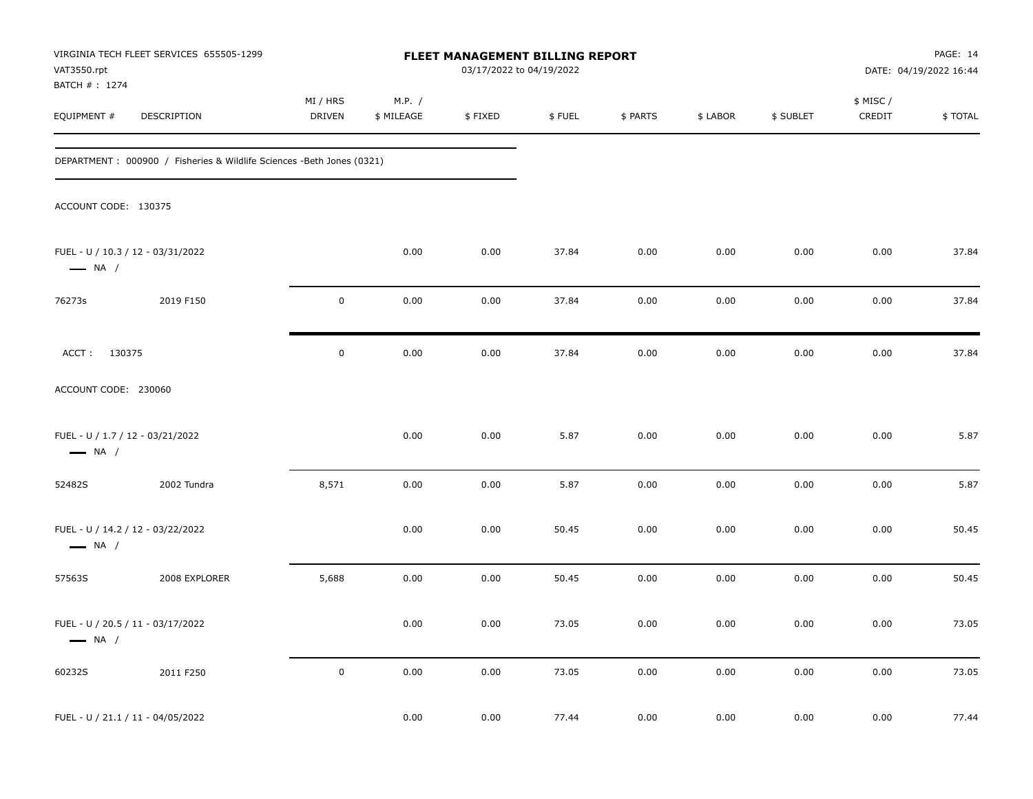| VAT3550.rpt<br>BATCH # : 1274                              | VIRGINIA TECH FLEET SERVICES 655505-1299                               |                           |                      | FLEET MANAGEMENT BILLING REPORT<br>03/17/2022 to 04/19/2022 |        |          |          |           |                     | PAGE: 14<br>DATE: 04/19/2022 16:44 |
|------------------------------------------------------------|------------------------------------------------------------------------|---------------------------|----------------------|-------------------------------------------------------------|--------|----------|----------|-----------|---------------------|------------------------------------|
| EQUIPMENT #                                                | DESCRIPTION                                                            | MI / HRS<br><b>DRIVEN</b> | M.P. /<br>\$ MILEAGE | \$FIXED                                                     | \$FUEL | \$ PARTS | \$ LABOR | \$ SUBLET | \$ MISC /<br>CREDIT | \$TOTAL                            |
|                                                            | DEPARTMENT : 000900 / Fisheries & Wildlife Sciences -Beth Jones (0321) |                           |                      |                                                             |        |          |          |           |                     |                                    |
| ACCOUNT CODE: 130375                                       |                                                                        |                           |                      |                                                             |        |          |          |           |                     |                                    |
| $\longrightarrow$ NA /                                     | FUEL - U / 10.3 / 12 - 03/31/2022                                      |                           | 0.00                 | 0.00                                                        | 37.84  | 0.00     | 0.00     | 0.00      | 0.00                | 37.84                              |
| 76273s                                                     | 2019 F150                                                              | $\mathbf 0$               | 0.00                 | 0.00                                                        | 37.84  | 0.00     | 0.00     | 0.00      | 0.00                | 37.84                              |
| ACCT: 130375                                               |                                                                        | $\mathbf 0$               | 0.00                 | 0.00                                                        | 37.84  | 0.00     | 0.00     | 0.00      | 0.00                | 37.84                              |
| ACCOUNT CODE: 230060                                       |                                                                        |                           |                      |                                                             |        |          |          |           |                     |                                    |
| FUEL - U / 1.7 / 12 - 03/21/2022<br>$\longrightarrow$ NA / |                                                                        |                           | 0.00                 | 0.00                                                        | 5.87   | 0.00     | 0.00     | 0.00      | 0.00                | 5.87                               |
| 52482S                                                     | 2002 Tundra                                                            | 8,571                     | 0.00                 | 0.00                                                        | 5.87   | 0.00     | 0.00     | 0.00      | 0.00                | 5.87                               |
| $\longrightarrow$ NA /                                     | FUEL - U / 14.2 / 12 - 03/22/2022                                      |                           | 0.00                 | 0.00                                                        | 50.45  | 0.00     | 0.00     | 0.00      | 0.00                | 50.45                              |
| 57563S                                                     | 2008 EXPLORER                                                          | 5,688                     | 0.00                 | 0.00                                                        | 50.45  | 0.00     | 0.00     | 0.00      | 0.00                | 50.45                              |
| $\longrightarrow$ NA /                                     | FUEL - U / 20.5 / 11 - 03/17/2022                                      |                           | 0.00                 | 0.00                                                        | 73.05  | 0.00     | 0.00     | 0.00      | 0.00                | 73.05                              |
| 60232S                                                     | 2011 F250                                                              | $\pmb{0}$                 | 0.00                 | 0.00                                                        | 73.05  | 0.00     | 0.00     | 0.00      | 0.00                | 73.05                              |
|                                                            | FUEL - U / 21.1 / 11 - 04/05/2022                                      |                           | 0.00                 | 0.00                                                        | 77.44  | 0.00     | 0.00     | 0.00      | 0.00                | 77.44                              |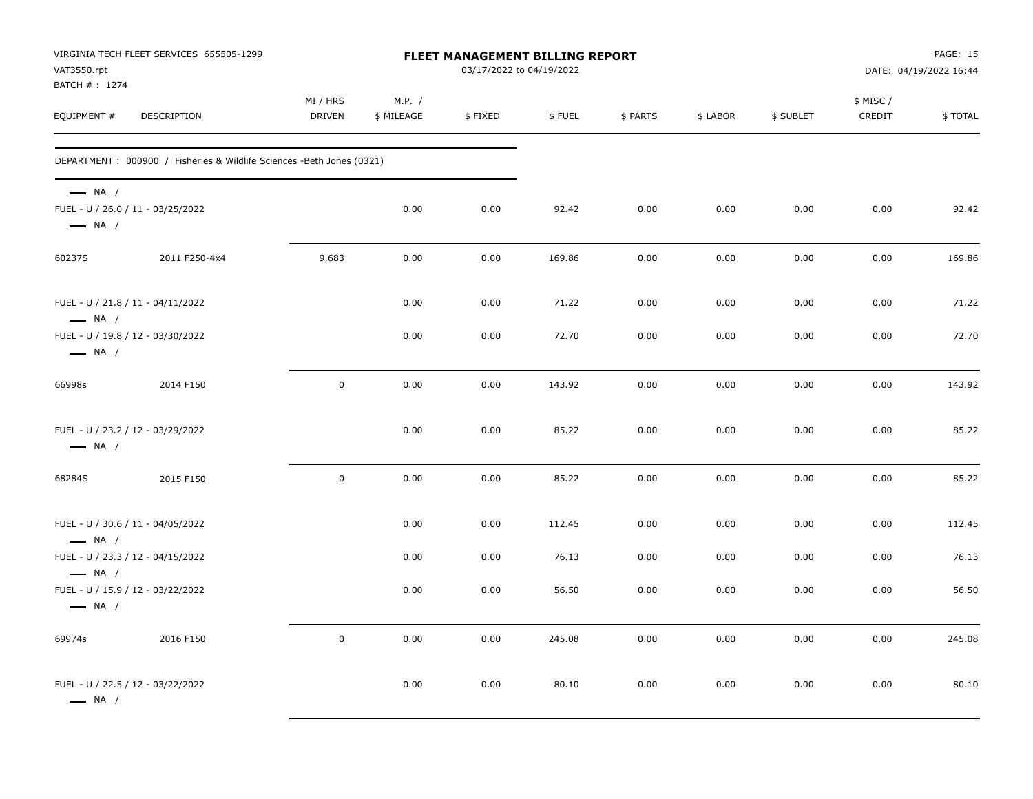| VAT3550.rpt<br>BATCH #: 1274                                                          | VIRGINIA TECH FLEET SERVICES 655505-1299                                |                           |                      | <b>FLEET MANAGEMENT BILLING REPORT</b><br>03/17/2022 to 04/19/2022 |        |          |          |           |                     | PAGE: 15<br>DATE: 04/19/2022 16:44 |
|---------------------------------------------------------------------------------------|-------------------------------------------------------------------------|---------------------------|----------------------|--------------------------------------------------------------------|--------|----------|----------|-----------|---------------------|------------------------------------|
| EQUIPMENT #                                                                           | DESCRIPTION                                                             | MI / HRS<br><b>DRIVEN</b> | M.P. /<br>\$ MILEAGE | \$FIXED                                                            | \$FUEL | \$ PARTS | \$ LABOR | \$ SUBLET | \$ MISC /<br>CREDIT | \$TOTAL                            |
|                                                                                       | DEPARTMENT : 000900 / Fisheries & Wildlife Sciences - Beth Jones (0321) |                           |                      |                                                                    |        |          |          |           |                     |                                    |
| $\longrightarrow$ NA /<br>FUEL - U / 26.0 / 11 - 03/25/2022<br>$\longrightarrow$ NA / |                                                                         |                           | 0.00                 | 0.00                                                               | 92.42  | 0.00     | 0.00     | 0.00      | 0.00                | 92.42                              |
| 60237S                                                                                | 2011 F250-4x4                                                           | 9,683                     | 0.00                 | 0.00                                                               | 169.86 | 0.00     | 0.00     | 0.00      | 0.00                | 169.86                             |
| FUEL - U / 21.8 / 11 - 04/11/2022<br>$\longrightarrow$ NA /                           |                                                                         |                           | 0.00                 | 0.00                                                               | 71.22  | 0.00     | 0.00     | 0.00      | 0.00                | 71.22                              |
| FUEL - U / 19.8 / 12 - 03/30/2022<br>$\longrightarrow$ NA /                           |                                                                         |                           | 0.00                 | 0.00                                                               | 72.70  | 0.00     | 0.00     | 0.00      | 0.00                | 72.70                              |
| 66998s                                                                                | 2014 F150                                                               | $\pmb{0}$                 | 0.00                 | 0.00                                                               | 143.92 | 0.00     | 0.00     | 0.00      | 0.00                | 143.92                             |
| FUEL - U / 23.2 / 12 - 03/29/2022<br>$\longrightarrow$ NA /                           |                                                                         |                           | 0.00                 | 0.00                                                               | 85.22  | 0.00     | 0.00     | 0.00      | 0.00                | 85.22                              |
| 68284S                                                                                | 2015 F150                                                               | $\mathbf 0$               | 0.00                 | 0.00                                                               | 85.22  | 0.00     | 0.00     | 0.00      | 0.00                | 85.22                              |
| FUEL - U / 30.6 / 11 - 04/05/2022<br>$\longrightarrow$ NA /                           |                                                                         |                           | 0.00                 | 0.00                                                               | 112.45 | 0.00     | 0.00     | 0.00      | 0.00                | 112.45                             |
| FUEL - U / 23.3 / 12 - 04/15/2022<br>$\longrightarrow$ NA /                           |                                                                         |                           | 0.00                 | 0.00                                                               | 76.13  | 0.00     | 0.00     | 0.00      | 0.00                | 76.13                              |
| FUEL - U / 15.9 / 12 - 03/22/2022<br>$\longrightarrow$ NA /                           |                                                                         |                           | 0.00                 | 0.00                                                               | 56.50  | 0.00     | 0.00     | 0.00      | 0.00                | 56.50                              |
| 69974s                                                                                | 2016 F150                                                               | $\mathsf 0$               | 0.00                 | 0.00                                                               | 245.08 | 0.00     | 0.00     | 0.00      | 0.00                | 245.08                             |
| FUEL - U / 22.5 / 12 - 03/22/2022<br>$\longrightarrow$ NA /                           |                                                                         |                           | 0.00                 | 0.00                                                               | 80.10  | 0.00     | 0.00     | 0.00      | 0.00                | 80.10                              |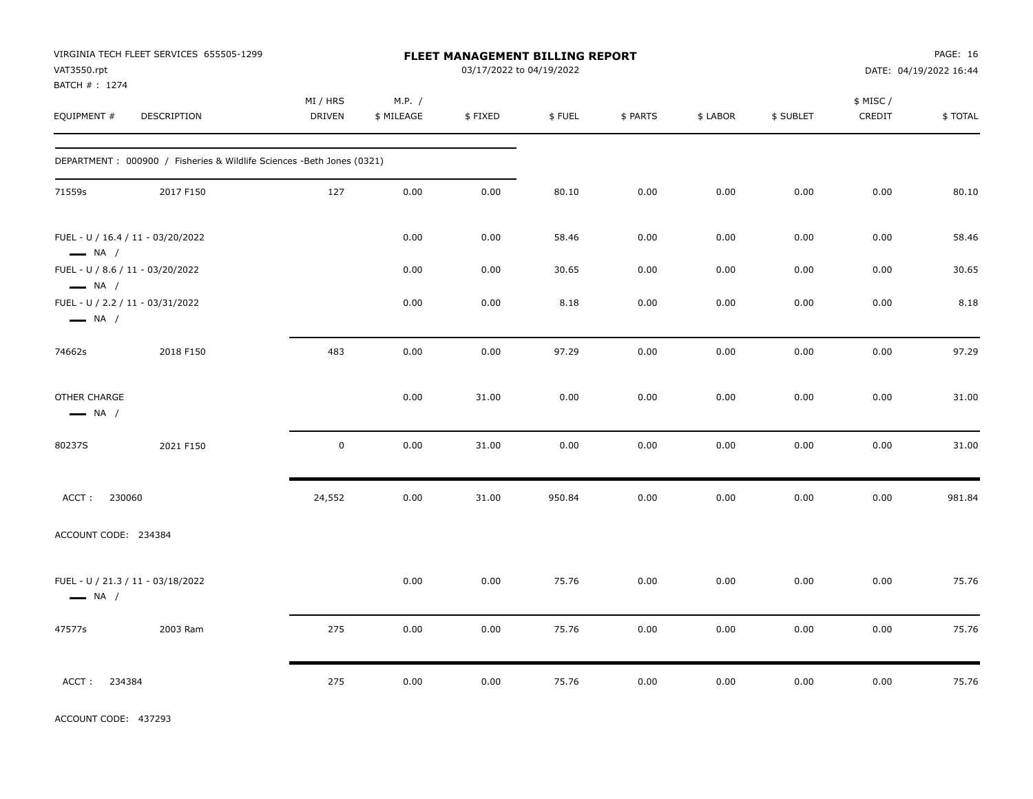| VAT3550.rpt<br>BATCH #: 1274                               | VIRGINIA TECH FLEET SERVICES 655505-1299                               |                           |                      | FLEET MANAGEMENT BILLING REPORT<br>03/17/2022 to 04/19/2022 |        |          |          |           |                     | PAGE: 16<br>DATE: 04/19/2022 16:44 |
|------------------------------------------------------------|------------------------------------------------------------------------|---------------------------|----------------------|-------------------------------------------------------------|--------|----------|----------|-----------|---------------------|------------------------------------|
| EQUIPMENT #                                                | DESCRIPTION                                                            | MI / HRS<br><b>DRIVEN</b> | M.P. /<br>\$ MILEAGE | \$FIXED                                                     | \$FUEL | \$ PARTS | \$ LABOR | \$ SUBLET | \$ MISC /<br>CREDIT | \$TOTAL                            |
|                                                            | DEPARTMENT : 000900 / Fisheries & Wildlife Sciences -Beth Jones (0321) |                           |                      |                                                             |        |          |          |           |                     |                                    |
| 71559s                                                     | 2017 F150                                                              | 127                       | 0.00                 | 0.00                                                        | 80.10  | 0.00     | 0.00     | 0.00      | 0.00                | 80.10                              |
| $\longrightarrow$ NA /                                     | FUEL - U / 16.4 / 11 - 03/20/2022                                      |                           | 0.00                 | 0.00                                                        | 58.46  | 0.00     | 0.00     | 0.00      | 0.00                | 58.46                              |
| FUEL - U / 8.6 / 11 - 03/20/2022<br>$\longrightarrow$ NA / |                                                                        |                           | 0.00                 | 0.00                                                        | 30.65  | 0.00     | 0.00     | 0.00      | 0.00                | 30.65                              |
| FUEL - U / 2.2 / 11 - 03/31/2022<br>$\longrightarrow$ NA / |                                                                        |                           | 0.00                 | 0.00                                                        | 8.18   | 0.00     | 0.00     | 0.00      | 0.00                | 8.18                               |
| 74662s                                                     | 2018 F150                                                              | 483                       | 0.00                 | 0.00                                                        | 97.29  | 0.00     | 0.00     | 0.00      | 0.00                | 97.29                              |
| OTHER CHARGE<br>$\longrightarrow$ NA /                     |                                                                        |                           | 0.00                 | 31.00                                                       | 0.00   | 0.00     | 0.00     | 0.00      | 0.00                | 31.00                              |
| 80237S                                                     | 2021 F150                                                              | $\mathbf 0$               | 0.00                 | 31.00                                                       | 0.00   | 0.00     | 0.00     | 0.00      | 0.00                | 31.00                              |
| ACCT:<br>230060                                            |                                                                        | 24,552                    | 0.00                 | 31.00                                                       | 950.84 | 0.00     | 0.00     | 0.00      | 0.00                | 981.84                             |
| ACCOUNT CODE: 234384                                       |                                                                        |                           |                      |                                                             |        |          |          |           |                     |                                    |
| $\longrightarrow$ NA /                                     | FUEL - U / 21.3 / 11 - 03/18/2022                                      |                           | 0.00                 | 0.00                                                        | 75.76  | 0.00     | 0.00     | 0.00      | 0.00                | 75.76                              |
| 47577s                                                     | 2003 Ram                                                               | 275                       | 0.00                 | 0.00                                                        | 75.76  | 0.00     | 0.00     | 0.00      | 0.00                | 75.76                              |
| ACCT: 234384                                               |                                                                        | 275                       | 0.00                 | 0.00                                                        | 75.76  | 0.00     | 0.00     | 0.00      | 0.00                | 75.76                              |

ACCOUNT CODE: 437293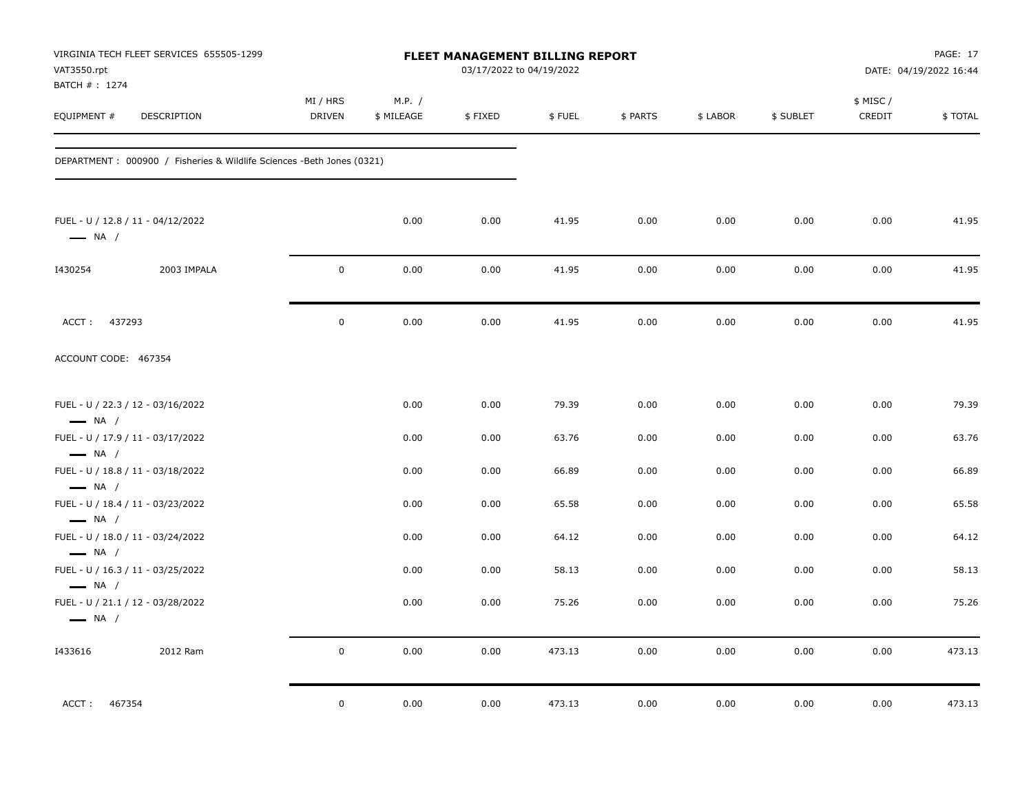| VAT3550.rpt<br>BATCH # : 1274 | VIRGINIA TECH FLEET SERVICES 655505-1299                               |                     |                      | FLEET MANAGEMENT BILLING REPORT<br>03/17/2022 to 04/19/2022 |        |          |          |           |                    | PAGE: 17<br>DATE: 04/19/2022 16:44 |
|-------------------------------|------------------------------------------------------------------------|---------------------|----------------------|-------------------------------------------------------------|--------|----------|----------|-----------|--------------------|------------------------------------|
| EQUIPMENT #                   | DESCRIPTION                                                            | MI / HRS<br>DRIVEN  | M.P. /<br>\$ MILEAGE | \$FIXED                                                     | \$FUEL | \$ PARTS | \$ LABOR | \$ SUBLET | \$ MISC/<br>CREDIT | \$TOTAL                            |
|                               | DEPARTMENT : 000900 / Fisheries & Wildlife Sciences -Beth Jones (0321) |                     |                      |                                                             |        |          |          |           |                    |                                    |
| $\longrightarrow$ NA /        | FUEL - U / 12.8 / 11 - 04/12/2022                                      |                     | 0.00                 | 0.00                                                        | 41.95  | 0.00     | 0.00     | 0.00      | 0.00               | 41.95                              |
| I430254                       | 2003 IMPALA                                                            | $\pmb{0}$           | 0.00                 | 0.00                                                        | 41.95  | 0.00     | 0.00     | 0.00      | 0.00               | 41.95                              |
| ACCT: 437293                  |                                                                        | $\mathsf{O}\xspace$ | 0.00                 | 0.00                                                        | 41.95  | 0.00     | 0.00     | 0.00      | 0.00               | 41.95                              |
| ACCOUNT CODE: 467354          |                                                                        |                     |                      |                                                             |        |          |          |           |                    |                                    |
| $\longrightarrow$ NA /        | FUEL - U / 22.3 / 12 - 03/16/2022                                      |                     | 0.00                 | 0.00                                                        | 79.39  | 0.00     | 0.00     | 0.00      | 0.00               | 79.39                              |
| $\longrightarrow$ NA /        | FUEL - U / 17.9 / 11 - 03/17/2022                                      |                     | 0.00                 | 0.00                                                        | 63.76  | 0.00     | 0.00     | 0.00      | 0.00               | 63.76                              |
| $\longrightarrow$ NA /        | FUEL - U / 18.8 / 11 - 03/18/2022                                      |                     | 0.00                 | 0.00                                                        | 66.89  | 0.00     | 0.00     | 0.00      | 0.00               | 66.89                              |
| $\longrightarrow$ NA /        | FUEL - U / 18.4 / 11 - 03/23/2022                                      |                     | 0.00                 | 0.00                                                        | 65.58  | 0.00     | 0.00     | 0.00      | 0.00               | 65.58                              |
| $\longrightarrow$ NA /        | FUEL - U / 18.0 / 11 - 03/24/2022                                      |                     | 0.00                 | 0.00                                                        | 64.12  | 0.00     | 0.00     | 0.00      | 0.00               | 64.12                              |
| $\longrightarrow$ NA /        | FUEL - U / 16.3 / 11 - 03/25/2022                                      |                     | 0.00                 | 0.00                                                        | 58.13  | 0.00     | 0.00     | 0.00      | 0.00               | 58.13                              |
| $\longrightarrow$ NA /        | FUEL - U / 21.1 / 12 - 03/28/2022                                      |                     | 0.00                 | 0.00                                                        | 75.26  | 0.00     | 0.00     | 0.00      | 0.00               | 75.26                              |
| 1433616                       | 2012 Ram                                                               | $\mathbf 0$         | 0.00                 | 0.00                                                        | 473.13 | 0.00     | 0.00     | 0.00      | 0.00               | 473.13                             |
| ACCT: 467354                  |                                                                        | $\mathbf 0$         | 0.00                 | 0.00                                                        | 473.13 | 0.00     | 0.00     | 0.00      | 0.00               | 473.13                             |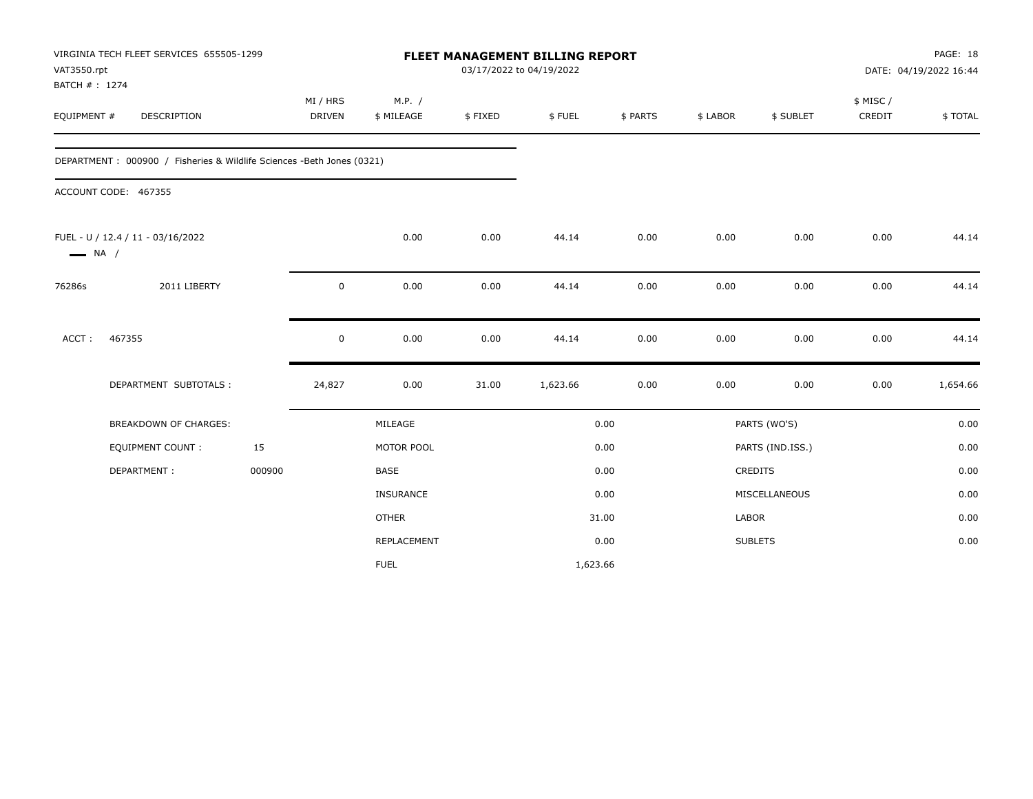|                              | VIRGINIA TECH FLEET SERVICES 655505-1299                               |        | <b>FLEET MANAGEMENT BILLING REPORT</b><br>03/17/2022 to 04/19/2022<br>DATE: 04/19/2022 16:44 |                  |         |          |          |          |                  |           |          |
|------------------------------|------------------------------------------------------------------------|--------|----------------------------------------------------------------------------------------------|------------------|---------|----------|----------|----------|------------------|-----------|----------|
| VAT3550.rpt<br>BATCH #: 1274 |                                                                        |        |                                                                                              |                  |         |          |          |          |                  |           |          |
|                              |                                                                        |        | MI / HRS                                                                                     | M.P. /           |         |          |          |          |                  | \$ MISC / |          |
| EQUIPMENT #                  | DESCRIPTION                                                            |        | <b>DRIVEN</b>                                                                                | \$ MILEAGE       | \$FIXED | \$FUEL   | \$ PARTS | \$ LABOR | \$ SUBLET        | CREDIT    | \$TOTAL  |
|                              | DEPARTMENT : 000900 / Fisheries & Wildlife Sciences -Beth Jones (0321) |        |                                                                                              |                  |         |          |          |          |                  |           |          |
|                              | ACCOUNT CODE: 467355                                                   |        |                                                                                              |                  |         |          |          |          |                  |           |          |
| $\longrightarrow$ NA /       | FUEL - U / 12.4 / 11 - 03/16/2022                                      |        |                                                                                              | 0.00             | 0.00    | 44.14    | 0.00     | 0.00     | 0.00             | 0.00      | 44.14    |
| 76286s                       | 2011 LIBERTY                                                           |        | $\mathbf 0$                                                                                  | 0.00             | 0.00    | 44.14    | 0.00     | 0.00     | 0.00             | 0.00      | 44.14    |
| ACCT:                        | 467355                                                                 |        | $\mathbf 0$                                                                                  | 0.00             | 0.00    | 44.14    | 0.00     | 0.00     | 0.00             | 0.00      | 44.14    |
|                              | DEPARTMENT SUBTOTALS :                                                 |        | 24,827                                                                                       | 0.00             | 31.00   | 1,623.66 | 0.00     | 0.00     | 0.00             | 0.00      | 1,654.66 |
|                              | <b>BREAKDOWN OF CHARGES:</b>                                           |        |                                                                                              | MILEAGE          |         |          | 0.00     |          | PARTS (WO'S)     |           | 0.00     |
|                              | <b>EQUIPMENT COUNT:</b>                                                | 15     |                                                                                              | MOTOR POOL       |         |          | 0.00     |          | PARTS (IND.ISS.) |           | 0.00     |
|                              | DEPARTMENT:                                                            | 000900 |                                                                                              | <b>BASE</b>      |         |          | 0.00     |          | <b>CREDITS</b>   |           | 0.00     |
|                              |                                                                        |        |                                                                                              | <b>INSURANCE</b> |         |          | 0.00     |          | MISCELLANEOUS    |           | 0.00     |
|                              |                                                                        |        |                                                                                              | <b>OTHER</b>     |         |          | 31.00    | LABOR    |                  |           | 0.00     |
|                              |                                                                        |        |                                                                                              | REPLACEMENT      |         |          | 0.00     |          | <b>SUBLETS</b>   |           | 0.00     |
|                              |                                                                        |        |                                                                                              | <b>FUEL</b>      |         | 1,623.66 |          |          |                  |           |          |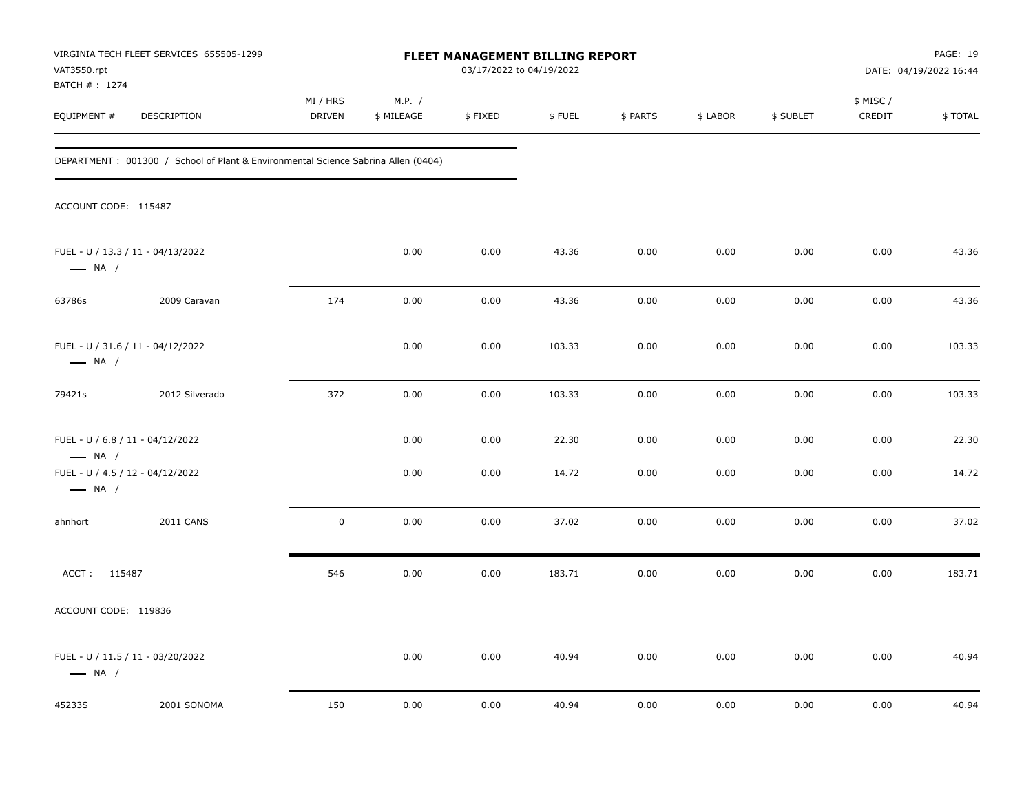| VAT3550.rpt                                                                                                              | VIRGINIA TECH FLEET SERVICES 655505-1299                                          |                    |                      | <b>FLEET MANAGEMENT BILLING REPORT</b><br>03/17/2022 to 04/19/2022 |                |              |              |              |                     | PAGE: 19<br>DATE: 04/19/2022 16:44 |
|--------------------------------------------------------------------------------------------------------------------------|-----------------------------------------------------------------------------------|--------------------|----------------------|--------------------------------------------------------------------|----------------|--------------|--------------|--------------|---------------------|------------------------------------|
| BATCH # : 1274<br>EQUIPMENT #                                                                                            | DESCRIPTION                                                                       | MI / HRS<br>DRIVEN | M.P. /<br>\$ MILEAGE | \$FIXED                                                            | \$FUEL         | \$ PARTS     | \$ LABOR     | \$ SUBLET    | \$ MISC /<br>CREDIT | \$TOTAL                            |
|                                                                                                                          | DEPARTMENT: 001300 / School of Plant & Environmental Science Sabrina Allen (0404) |                    |                      |                                                                    |                |              |              |              |                     |                                    |
| ACCOUNT CODE: 115487                                                                                                     |                                                                                   |                    |                      |                                                                    |                |              |              |              |                     |                                    |
| $\longrightarrow$ NA /                                                                                                   | FUEL - U / 13.3 / 11 - 04/13/2022                                                 |                    | 0.00                 | 0.00                                                               | 43.36          | 0.00         | 0.00         | 0.00         | 0.00                | 43.36                              |
| 63786s                                                                                                                   | 2009 Caravan                                                                      | 174                | 0.00                 | 0.00                                                               | 43.36          | 0.00         | 0.00         | 0.00         | 0.00                | 43.36                              |
| $\longrightarrow$ NA /                                                                                                   | FUEL - U / 31.6 / 11 - 04/12/2022                                                 |                    | 0.00                 | 0.00                                                               | 103.33         | 0.00         | 0.00         | 0.00         | 0.00                | 103.33                             |
| 79421s                                                                                                                   | 2012 Silverado                                                                    | 372                | 0.00                 | 0.00                                                               | 103.33         | 0.00         | 0.00         | 0.00         | 0.00                | 103.33                             |
| FUEL - U / 6.8 / 11 - 04/12/2022<br>$\longrightarrow$ NA /<br>FUEL - U / 4.5 / 12 - 04/12/2022<br>$\longrightarrow$ NA / |                                                                                   |                    | 0.00<br>0.00         | 0.00<br>0.00                                                       | 22.30<br>14.72 | 0.00<br>0.00 | 0.00<br>0.00 | 0.00<br>0.00 | 0.00<br>0.00        | 22.30<br>14.72                     |
| ahnhort                                                                                                                  | <b>2011 CANS</b>                                                                  | $\mathsf 0$        | 0.00                 | 0.00                                                               | 37.02          | 0.00         | 0.00         | 0.00         | 0.00                | 37.02                              |
| ACCT: 115487                                                                                                             |                                                                                   | 546                | 0.00                 | 0.00                                                               | 183.71         | 0.00         | 0.00         | 0.00         | 0.00                | 183.71                             |
| ACCOUNT CODE: 119836                                                                                                     |                                                                                   |                    |                      |                                                                    |                |              |              |              |                     |                                    |
| $\longrightarrow$ NA /                                                                                                   | FUEL - U / 11.5 / 11 - 03/20/2022                                                 |                    | 0.00                 | 0.00                                                               | 40.94          | 0.00         | 0.00         | 0.00         | 0.00                | 40.94                              |
| 45233S                                                                                                                   | 2001 SONOMA                                                                       | 150                | 0.00                 | 0.00                                                               | 40.94          | 0.00         | 0.00         | 0.00         | 0.00                | 40.94                              |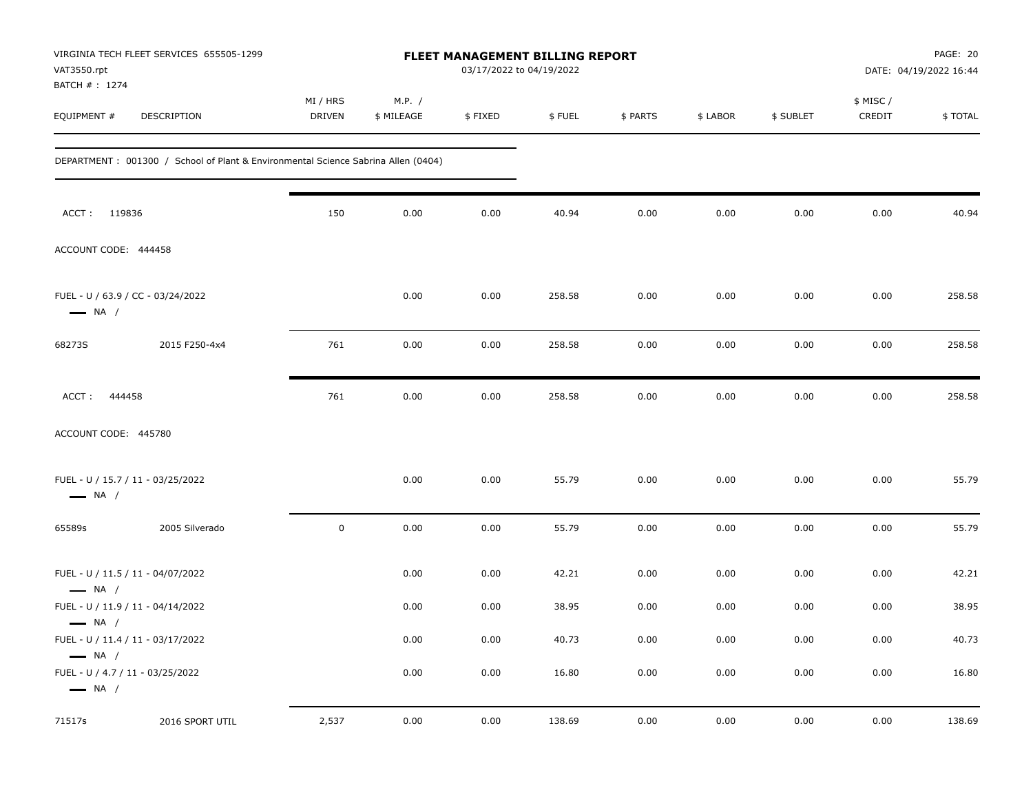| VAT3550.rpt                                                | VIRGINIA TECH FLEET SERVICES 655505-1299                                          |                    |                      | FLEET MANAGEMENT BILLING REPORT<br>03/17/2022 to 04/19/2022 |        |          |          |           |                     | PAGE: 20<br>DATE: 04/19/2022 16:44 |
|------------------------------------------------------------|-----------------------------------------------------------------------------------|--------------------|----------------------|-------------------------------------------------------------|--------|----------|----------|-----------|---------------------|------------------------------------|
| BATCH #: 1274<br>EQUIPMENT #                               | DESCRIPTION                                                                       | MI / HRS<br>DRIVEN | M.P. /<br>\$ MILEAGE | \$FIXED                                                     | \$FUEL | \$ PARTS | \$ LABOR | \$ SUBLET | \$ MISC /<br>CREDIT | \$TOTAL                            |
|                                                            | DEPARTMENT: 001300 / School of Plant & Environmental Science Sabrina Allen (0404) |                    |                      |                                                             |        |          |          |           |                     |                                    |
| ACCT: 119836                                               |                                                                                   | 150                | 0.00                 | 0.00                                                        | 40.94  | 0.00     | 0.00     | 0.00      | 0.00                | 40.94                              |
| ACCOUNT CODE: 444458                                       |                                                                                   |                    |                      |                                                             |        |          |          |           |                     |                                    |
| $\longrightarrow$ NA /                                     | FUEL - U / 63.9 / CC - 03/24/2022                                                 |                    | 0.00                 | 0.00                                                        | 258.58 | 0.00     | 0.00     | 0.00      | 0.00                | 258.58                             |
| 68273S                                                     | 2015 F250-4x4                                                                     | 761                | 0.00                 | 0.00                                                        | 258.58 | 0.00     | 0.00     | 0.00      | 0.00                | 258.58                             |
| ACCT:<br>444458                                            |                                                                                   | 761                | 0.00                 | 0.00                                                        | 258.58 | 0.00     | 0.00     | 0.00      | 0.00                | 258.58                             |
| ACCOUNT CODE: 445780                                       |                                                                                   |                    |                      |                                                             |        |          |          |           |                     |                                    |
| $\longrightarrow$ NA /                                     | FUEL - U / 15.7 / 11 - 03/25/2022                                                 |                    | 0.00                 | 0.00                                                        | 55.79  | 0.00     | 0.00     | 0.00      | 0.00                | 55.79                              |
| 65589s                                                     | 2005 Silverado                                                                    | $\mathbf 0$        | 0.00                 | 0.00                                                        | 55.79  | 0.00     | 0.00     | 0.00      | 0.00                | 55.79                              |
| $\longrightarrow$ NA /                                     | FUEL - U / 11.5 / 11 - 04/07/2022                                                 |                    | 0.00                 | 0.00                                                        | 42.21  | 0.00     | 0.00     | 0.00      | 0.00                | 42.21                              |
|                                                            | FUEL - U / 11.9 / 11 - 04/14/2022                                                 |                    | 0.00                 | 0.00                                                        | 38.95  | 0.00     | 0.00     | 0.00      | 0.00                | 38.95                              |
| $\longrightarrow$ NA /<br>$\longrightarrow$ NA /           | FUEL - U / 11.4 / 11 - 03/17/2022                                                 |                    | 0.00                 | 0.00                                                        | 40.73  | 0.00     | 0.00     | 0.00      | 0.00                | 40.73                              |
| FUEL - U / 4.7 / 11 - 03/25/2022<br>$\longrightarrow$ NA / |                                                                                   |                    | 0.00                 | 0.00                                                        | 16.80  | 0.00     | 0.00     | 0.00      | 0.00                | 16.80                              |
| 71517s                                                     | 2016 SPORT UTIL                                                                   | 2,537              | 0.00                 | 0.00                                                        | 138.69 | 0.00     | 0.00     | 0.00      | 0.00                | 138.69                             |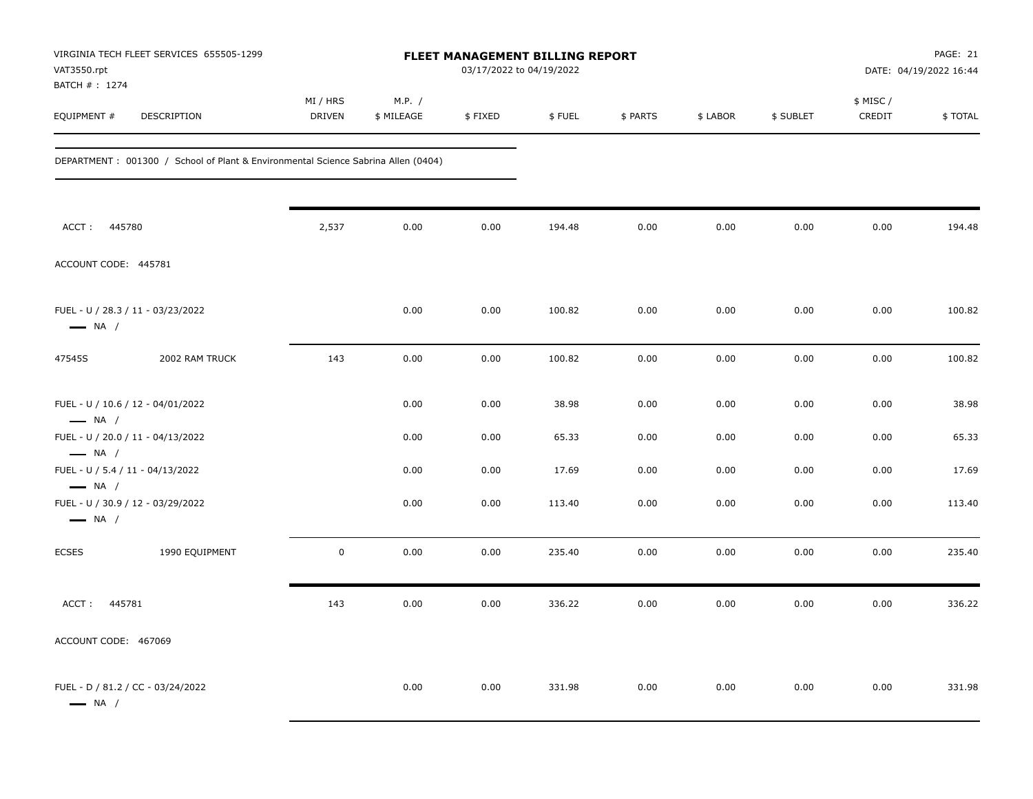| VAT3550.rpt<br>BATCH #: 1274                                | VIRGINIA TECH FLEET SERVICES 655505-1299                                          |                           |                      | <b>FLEET MANAGEMENT BILLING REPORT</b><br>03/17/2022 to 04/19/2022 |        |          |          |           |                     | PAGE: 21<br>DATE: 04/19/2022 16:44 |
|-------------------------------------------------------------|-----------------------------------------------------------------------------------|---------------------------|----------------------|--------------------------------------------------------------------|--------|----------|----------|-----------|---------------------|------------------------------------|
| EQUIPMENT #                                                 | DESCRIPTION                                                                       | MI / HRS<br><b>DRIVEN</b> | M.P. /<br>\$ MILEAGE | \$FIXED                                                            | \$FUEL | \$ PARTS | \$ LABOR | \$ SUBLET | \$ MISC /<br>CREDIT | \$TOTAL                            |
|                                                             | DEPARTMENT: 001300 / School of Plant & Environmental Science Sabrina Allen (0404) |                           |                      |                                                                    |        |          |          |           |                     |                                    |
| ACCT: 445780                                                |                                                                                   | 2,537                     | 0.00                 | 0.00                                                               | 194.48 | 0.00     | 0.00     | 0.00      | 0.00                | 194.48                             |
| ACCOUNT CODE: 445781                                        |                                                                                   |                           |                      |                                                                    |        |          |          |           |                     |                                    |
| FUEL - U / 28.3 / 11 - 03/23/2022<br>$\longrightarrow$ NA / |                                                                                   |                           | 0.00                 | 0.00                                                               | 100.82 | 0.00     | 0.00     | 0.00      | 0.00                | 100.82                             |
| 47545S                                                      | 2002 RAM TRUCK                                                                    | 143                       | 0.00                 | 0.00                                                               | 100.82 | 0.00     | 0.00     | 0.00      | 0.00                | 100.82                             |
| FUEL - U / 10.6 / 12 - 04/01/2022<br>$\longrightarrow$ NA / |                                                                                   |                           | 0.00                 | 0.00                                                               | 38.98  | 0.00     | 0.00     | 0.00      | 0.00                | 38.98                              |
| FUEL - U / 20.0 / 11 - 04/13/2022<br>$\longrightarrow$ NA / |                                                                                   |                           | 0.00                 | 0.00                                                               | 65.33  | 0.00     | 0.00     | 0.00      | 0.00                | 65.33                              |
| FUEL - U / 5.4 / 11 - 04/13/2022<br>$\longrightarrow$ NA /  |                                                                                   |                           | 0.00                 | 0.00                                                               | 17.69  | 0.00     | 0.00     | 0.00      | 0.00                | 17.69                              |
| FUEL - U / 30.9 / 12 - 03/29/2022<br>$\longrightarrow$ NA / |                                                                                   |                           | 0.00                 | 0.00                                                               | 113.40 | 0.00     | 0.00     | 0.00      | 0.00                | 113.40                             |
| <b>ECSES</b>                                                | 1990 EQUIPMENT                                                                    | $\mathsf 0$               | 0.00                 | 0.00                                                               | 235.40 | 0.00     | 0.00     | 0.00      | 0.00                | 235.40                             |
| ACCT: 445781                                                |                                                                                   | 143                       | 0.00                 | 0.00                                                               | 336.22 | 0.00     | 0.00     | 0.00      | 0.00                | 336.22                             |
| ACCOUNT CODE: 467069                                        |                                                                                   |                           |                      |                                                                    |        |          |          |           |                     |                                    |
| FUEL - D / 81.2 / CC - 03/24/2022<br>$\longrightarrow$ NA / |                                                                                   |                           | 0.00                 | 0.00                                                               | 331.98 | 0.00     | 0.00     | 0.00      | 0.00                | 331.98                             |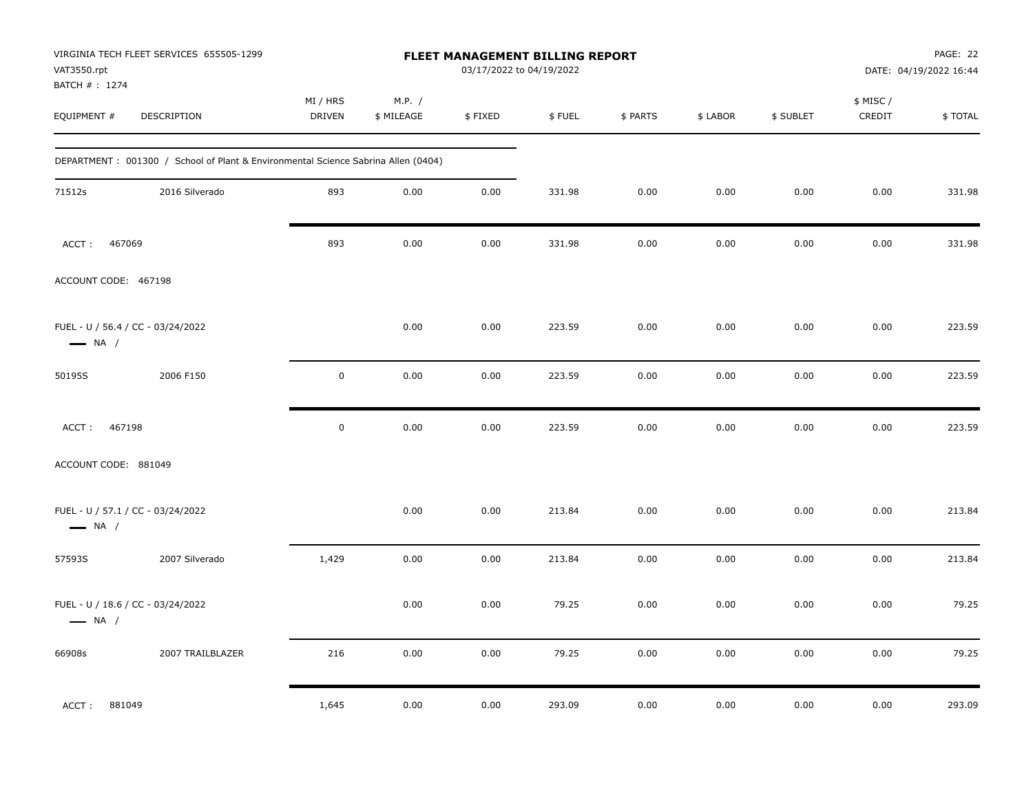| VAT3550.rpt<br>BATCH #: 1274 | VIRGINIA TECH FLEET SERVICES 655505-1299                                          |                           |                      | <b>FLEET MANAGEMENT BILLING REPORT</b><br>03/17/2022 to 04/19/2022 |        |          |          |           |                     | PAGE: 22<br>DATE: 04/19/2022 16:44 |
|------------------------------|-----------------------------------------------------------------------------------|---------------------------|----------------------|--------------------------------------------------------------------|--------|----------|----------|-----------|---------------------|------------------------------------|
| EQUIPMENT #                  | DESCRIPTION                                                                       | MI / HRS<br><b>DRIVEN</b> | M.P. /<br>\$ MILEAGE | \$FIXED                                                            | \$FUEL | \$ PARTS | \$ LABOR | \$ SUBLET | \$ MISC /<br>CREDIT | \$TOTAL                            |
|                              | DEPARTMENT: 001300 / School of Plant & Environmental Science Sabrina Allen (0404) |                           |                      |                                                                    |        |          |          |           |                     |                                    |
| 71512s                       | 2016 Silverado                                                                    | 893                       | 0.00                 | 0.00                                                               | 331.98 | 0.00     | 0.00     | 0.00      | 0.00                | 331.98                             |
| 467069<br>ACCT:              |                                                                                   | 893                       | 0.00                 | 0.00                                                               | 331.98 | 0.00     | 0.00     | 0.00      | 0.00                | 331.98                             |
| ACCOUNT CODE: 467198         |                                                                                   |                           |                      |                                                                    |        |          |          |           |                     |                                    |
| $\longrightarrow$ NA /       | FUEL - U / 56.4 / CC - 03/24/2022                                                 |                           | 0.00                 | 0.00                                                               | 223.59 | 0.00     | 0.00     | 0.00      | 0.00                | 223.59                             |
| 50195S                       | 2006 F150                                                                         | $\pmb{0}$                 | 0.00                 | 0.00                                                               | 223.59 | 0.00     | 0.00     | 0.00      | 0.00                | 223.59                             |
| 467198<br>ACCT:              |                                                                                   | $\mathbf 0$               | 0.00                 | 0.00                                                               | 223.59 | 0.00     | 0.00     | 0.00      | 0.00                | 223.59                             |
| ACCOUNT CODE: 881049         |                                                                                   |                           |                      |                                                                    |        |          |          |           |                     |                                    |
| $\longrightarrow$ NA /       | FUEL - U / 57.1 / CC - 03/24/2022                                                 |                           | 0.00                 | 0.00                                                               | 213.84 | 0.00     | 0.00     | 0.00      | 0.00                | 213.84                             |
| 57593S                       | 2007 Silverado                                                                    | 1,429                     | 0.00                 | 0.00                                                               | 213.84 | 0.00     | 0.00     | 0.00      | 0.00                | 213.84                             |
| $\longrightarrow$ NA /       | FUEL - U / 18.6 / CC - 03/24/2022                                                 |                           | 0.00                 | 0.00                                                               | 79.25  | 0.00     | 0.00     | 0.00      | 0.00                | 79.25                              |
| 66908s                       | 2007 TRAILBLAZER                                                                  | 216                       | 0.00                 | 0.00                                                               | 79.25  | 0.00     | 0.00     | 0.00      | 0.00                | 79.25                              |
| ACCT: 881049                 |                                                                                   | 1,645                     | 0.00                 | 0.00                                                               | 293.09 | 0.00     | 0.00     | 0.00      | 0.00                | 293.09                             |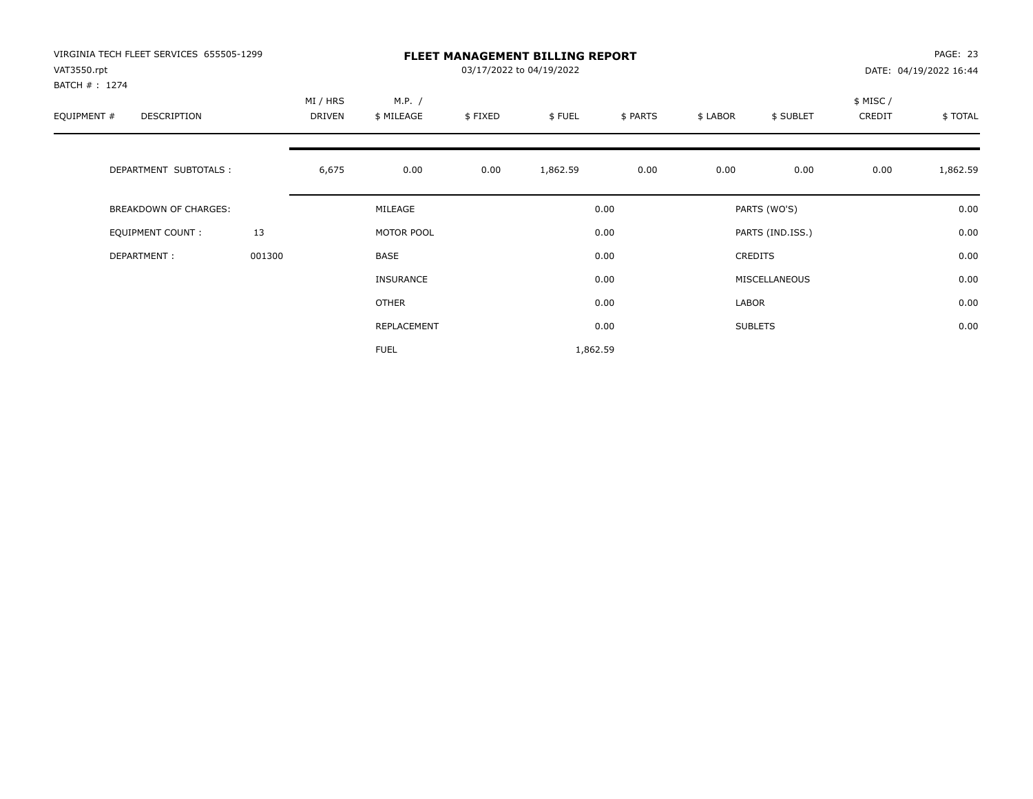| VIRGINIA TECH FLEET SERVICES 655505-1299<br>VAT3550.rpt<br>BATCH #: 1274 |        |                           |                      |         | <b>FLEET MANAGEMENT BILLING REPORT</b><br>03/17/2022 to 04/19/2022 |          |          |                  |                     | PAGE: 23<br>DATE: 04/19/2022 16:44 |
|--------------------------------------------------------------------------|--------|---------------------------|----------------------|---------|--------------------------------------------------------------------|----------|----------|------------------|---------------------|------------------------------------|
| EQUIPMENT #<br><b>DESCRIPTION</b>                                        |        | MI / HRS<br><b>DRIVEN</b> | M.P. /<br>\$ MILEAGE | \$FIXED | \$FUEL                                                             | \$ PARTS | \$ LABOR | \$ SUBLET        | \$ MISC /<br>CREDIT | \$TOTAL                            |
| DEPARTMENT SUBTOTALS :                                                   |        | 6,675                     | 0.00                 | 0.00    | 1,862.59                                                           | 0.00     | 0.00     | 0.00             | 0.00                | 1,862.59                           |
| <b>BREAKDOWN OF CHARGES:</b>                                             |        |                           | MILEAGE              |         |                                                                    | 0.00     |          | PARTS (WO'S)     |                     | 0.00                               |
| EQUIPMENT COUNT:                                                         | 13     |                           | MOTOR POOL           |         |                                                                    | 0.00     |          | PARTS (IND.ISS.) |                     | 0.00                               |
| DEPARTMENT:                                                              | 001300 |                           | <b>BASE</b>          |         |                                                                    | 0.00     |          | <b>CREDITS</b>   |                     | 0.00                               |
|                                                                          |        |                           | <b>INSURANCE</b>     |         |                                                                    | 0.00     |          | MISCELLANEOUS    |                     | 0.00                               |
|                                                                          |        |                           | <b>OTHER</b>         |         |                                                                    | 0.00     | LABOR    |                  |                     | 0.00                               |
|                                                                          |        |                           | REPLACEMENT          |         |                                                                    | 0.00     |          | <b>SUBLETS</b>   |                     | 0.00                               |
|                                                                          |        |                           | <b>FUEL</b>          |         | 1,862.59                                                           |          |          |                  |                     |                                    |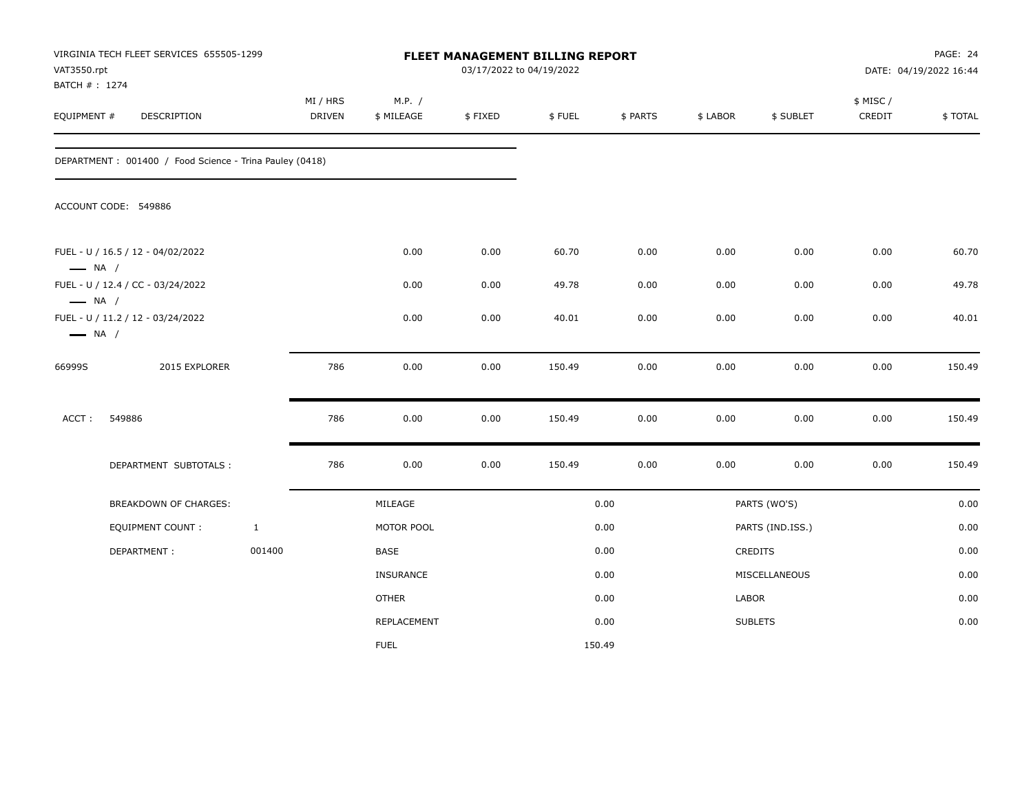| VAT3550.rpt<br>BATCH #: 1274 | VIRGINIA TECH FLEET SERVICES 655505-1299                |              |                    |                      | FLEET MANAGEMENT BILLING REPORT<br>03/17/2022 to 04/19/2022 |        |          |          |                  |                    | PAGE: 24<br>DATE: 04/19/2022 16:44 |
|------------------------------|---------------------------------------------------------|--------------|--------------------|----------------------|-------------------------------------------------------------|--------|----------|----------|------------------|--------------------|------------------------------------|
| EQUIPMENT #                  | DESCRIPTION                                             |              | MI / HRS<br>DRIVEN | M.P. /<br>\$ MILEAGE | \$FIXED                                                     | \$FUEL | \$ PARTS | \$ LABOR | \$ SUBLET        | \$ MISC/<br>CREDIT | \$TOTAL                            |
|                              | DEPARTMENT: 001400 / Food Science - Trina Pauley (0418) |              |                    |                      |                                                             |        |          |          |                  |                    |                                    |
|                              | ACCOUNT CODE: 549886                                    |              |                    |                      |                                                             |        |          |          |                  |                    |                                    |
| $\longrightarrow$ NA /       | FUEL - U / 16.5 / 12 - 04/02/2022                       |              |                    | 0.00                 | 0.00                                                        | 60.70  | 0.00     | 0.00     | 0.00             | 0.00               | 60.70                              |
| $\longrightarrow$ NA /       | FUEL - U / 12.4 / CC - 03/24/2022                       |              |                    | 0.00                 | 0.00                                                        | 49.78  | 0.00     | 0.00     | 0.00             | 0.00               | 49.78                              |
| $\longrightarrow$ NA /       | FUEL - U / 11.2 / 12 - 03/24/2022                       |              |                    | 0.00                 | 0.00                                                        | 40.01  | 0.00     | 0.00     | 0.00             | 0.00               | 40.01                              |
| 66999S                       | 2015 EXPLORER                                           |              | 786                | 0.00                 | 0.00                                                        | 150.49 | 0.00     | 0.00     | 0.00             | 0.00               | 150.49                             |
| ACCT:                        | 549886                                                  |              | 786                | 0.00                 | 0.00                                                        | 150.49 | 0.00     | 0.00     | 0.00             | 0.00               | 150.49                             |
|                              | DEPARTMENT SUBTOTALS :                                  |              | 786                | 0.00                 | 0.00                                                        | 150.49 | 0.00     | 0.00     | 0.00             | 0.00               | 150.49                             |
|                              | BREAKDOWN OF CHARGES:                                   |              |                    | MILEAGE              |                                                             |        | 0.00     |          | PARTS (WO'S)     |                    | 0.00                               |
|                              | EQUIPMENT COUNT:                                        | $\mathbf{1}$ |                    | MOTOR POOL           |                                                             |        | 0.00     |          | PARTS (IND.ISS.) |                    | 0.00                               |
|                              | DEPARTMENT:                                             | 001400       |                    | BASE                 |                                                             |        | 0.00     |          | <b>CREDITS</b>   |                    | 0.00                               |
|                              |                                                         |              |                    | INSURANCE            |                                                             |        | 0.00     |          | MISCELLANEOUS    |                    | 0.00                               |
|                              |                                                         |              |                    | <b>OTHER</b>         |                                                             |        | 0.00     | LABOR    |                  |                    | 0.00                               |
|                              |                                                         |              |                    | <b>REPLACEMENT</b>   |                                                             |        | 0.00     |          | <b>SUBLETS</b>   |                    | 0.00                               |
|                              |                                                         |              |                    | <b>FUEL</b>          |                                                             |        | 150.49   |          |                  |                    |                                    |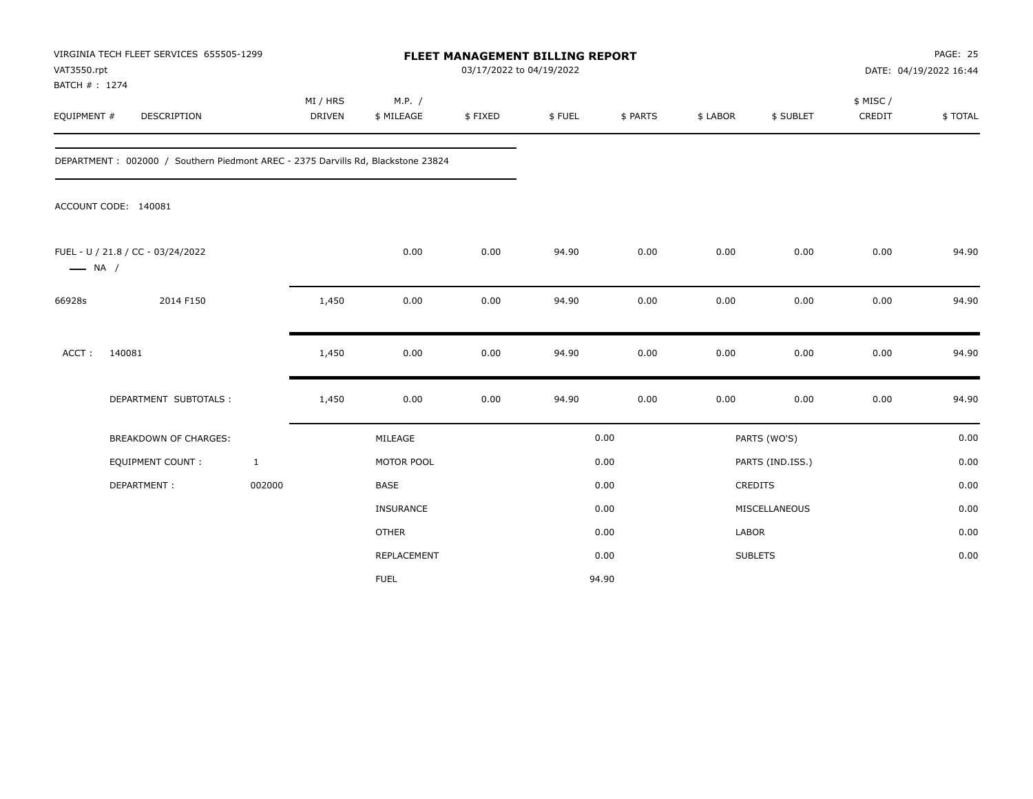| VAT3550.rpt<br>BATCH # : 1274 | VIRGINIA TECH FLEET SERVICES 655505-1299                                         |                           |                      | <b>FLEET MANAGEMENT BILLING REPORT</b><br>03/17/2022 to 04/19/2022 |        |          |              |                  |                     | PAGE: 25<br>DATE: 04/19/2022 16:44 |
|-------------------------------|----------------------------------------------------------------------------------|---------------------------|----------------------|--------------------------------------------------------------------|--------|----------|--------------|------------------|---------------------|------------------------------------|
| EQUIPMENT #                   | DESCRIPTION                                                                      | MI / HRS<br><b>DRIVEN</b> | M.P. /<br>\$ MILEAGE | \$FIXED                                                            | \$FUEL | \$ PARTS | \$ LABOR     | \$ SUBLET        | \$ MISC /<br>CREDIT | \$TOTAL                            |
|                               | DEPARTMENT: 002000 / Southern Piedmont AREC - 2375 Darvills Rd, Blackstone 23824 |                           |                      |                                                                    |        |          |              |                  |                     |                                    |
|                               | ACCOUNT CODE: 140081                                                             |                           |                      |                                                                    |        |          |              |                  |                     |                                    |
| $\longrightarrow$ NA /        | FUEL - U / 21.8 / CC - 03/24/2022                                                |                           | 0.00                 | 0.00                                                               | 94.90  | 0.00     | 0.00         | 0.00             | 0.00                | 94.90                              |
| 66928s                        | 2014 F150                                                                        | 1,450                     | 0.00                 | 0.00                                                               | 94.90  | 0.00     | 0.00         | 0.00             | 0.00                | 94.90                              |
| ACCT:                         | 140081                                                                           | 1,450                     | 0.00                 | 0.00                                                               | 94.90  | 0.00     | 0.00         | 0.00             | 0.00                | 94.90                              |
|                               | DEPARTMENT SUBTOTALS :                                                           | 1,450                     | 0.00                 | 0.00                                                               | 94.90  | 0.00     | 0.00         | 0.00             | 0.00                | 94.90                              |
|                               | <b>BREAKDOWN OF CHARGES:</b>                                                     |                           | MILEAGE              |                                                                    |        | 0.00     |              | PARTS (WO'S)     |                     | 0.00                               |
|                               | <b>EQUIPMENT COUNT:</b>                                                          | $\mathbf{1}$              | MOTOR POOL           |                                                                    |        | 0.00     |              | PARTS (IND.ISS.) |                     | 0.00                               |
|                               | DEPARTMENT:                                                                      | 002000                    | <b>BASE</b>          |                                                                    |        | 0.00     |              | CREDITS          |                     | 0.00                               |
|                               |                                                                                  |                           | <b>INSURANCE</b>     |                                                                    |        | 0.00     |              | MISCELLANEOUS    |                     | 0.00                               |
|                               |                                                                                  |                           | <b>OTHER</b>         |                                                                    |        | 0.00     | <b>LABOR</b> |                  |                     | 0.00                               |
|                               |                                                                                  |                           | <b>REPLACEMENT</b>   |                                                                    |        | 0.00     |              | <b>SUBLETS</b>   |                     | 0.00                               |
|                               |                                                                                  |                           | <b>FUEL</b>          |                                                                    |        | 94.90    |              |                  |                     |                                    |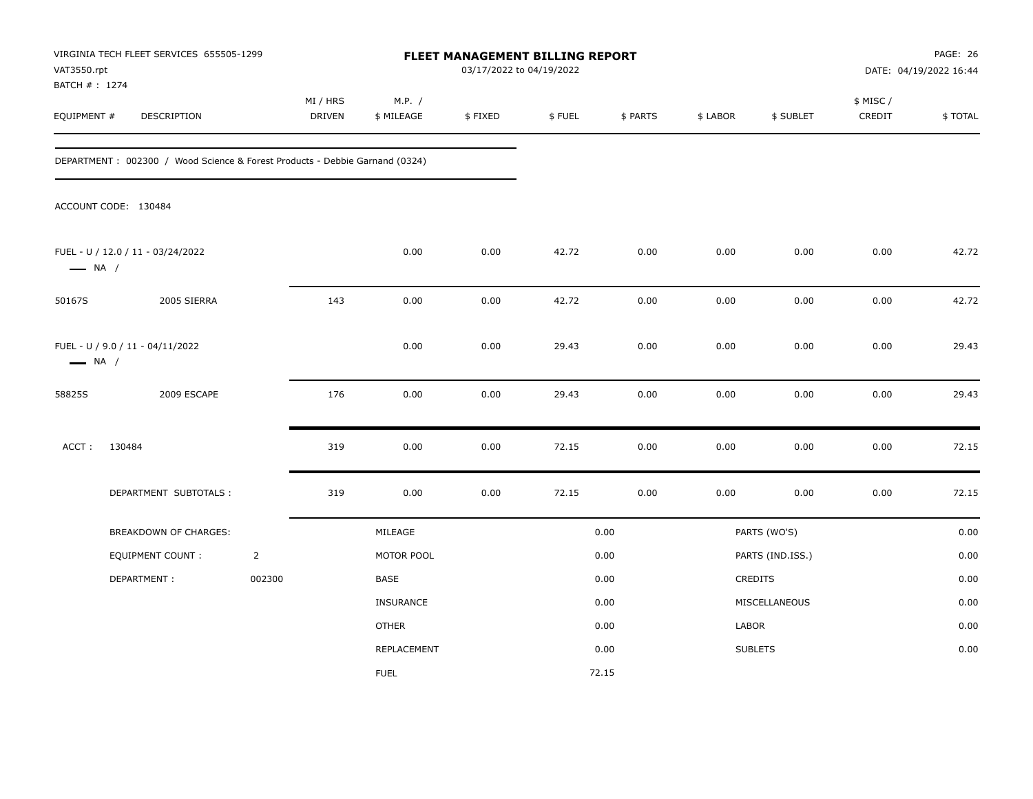| VAT3550.rpt<br>BATCH # : 1274 | VIRGINIA TECH FLEET SERVICES 655505-1299                                     |                |                    |                      | FLEET MANAGEMENT BILLING REPORT<br>03/17/2022 to 04/19/2022 |        |          |          |                  |                     | PAGE: 26<br>DATE: 04/19/2022 16:44 |
|-------------------------------|------------------------------------------------------------------------------|----------------|--------------------|----------------------|-------------------------------------------------------------|--------|----------|----------|------------------|---------------------|------------------------------------|
| EQUIPMENT #                   | DESCRIPTION                                                                  |                | MI / HRS<br>DRIVEN | M.P. /<br>\$ MILEAGE | \$FIXED                                                     | \$FUEL | \$ PARTS | \$ LABOR | \$ SUBLET        | \$ MISC /<br>CREDIT | \$TOTAL                            |
|                               | DEPARTMENT : 002300 / Wood Science & Forest Products - Debbie Garnand (0324) |                |                    |                      |                                                             |        |          |          |                  |                     |                                    |
|                               | ACCOUNT CODE: 130484                                                         |                |                    |                      |                                                             |        |          |          |                  |                     |                                    |
| $\longrightarrow$ NA /        | FUEL - U / 12.0 / 11 - 03/24/2022                                            |                |                    | 0.00                 | 0.00                                                        | 42.72  | 0.00     | 0.00     | 0.00             | 0.00                | 42.72                              |
| 50167S                        | 2005 SIERRA                                                                  |                | 143                | 0.00                 | 0.00                                                        | 42.72  | 0.00     | 0.00     | 0.00             | 0.00                | 42.72                              |
| $\longrightarrow$ NA /        | FUEL - U / 9.0 / 11 - 04/11/2022                                             |                |                    | 0.00                 | 0.00                                                        | 29.43  | 0.00     | 0.00     | 0.00             | 0.00                | 29.43                              |
| 58825S                        | 2009 ESCAPE                                                                  |                | 176                | 0.00                 | $0.00\,$                                                    | 29.43  | 0.00     | 0.00     | 0.00             | 0.00                | 29.43                              |
| ACCT:                         | 130484                                                                       |                | 319                | 0.00                 | 0.00                                                        | 72.15  | 0.00     | 0.00     | 0.00             | 0.00                | 72.15                              |
|                               | DEPARTMENT SUBTOTALS :                                                       |                | 319                | 0.00                 | 0.00                                                        | 72.15  | 0.00     | 0.00     | 0.00             | 0.00                | 72.15                              |
|                               | BREAKDOWN OF CHARGES:                                                        |                |                    | MILEAGE              |                                                             |        | 0.00     |          | PARTS (WO'S)     |                     | 0.00                               |
|                               | <b>EQUIPMENT COUNT:</b>                                                      | $\overline{2}$ |                    | MOTOR POOL           |                                                             |        | 0.00     |          | PARTS (IND.ISS.) |                     | 0.00                               |
|                               | DEPARTMENT:                                                                  | 002300         |                    | BASE                 |                                                             |        | 0.00     |          | CREDITS          |                     | 0.00                               |
|                               |                                                                              |                |                    | INSURANCE            |                                                             |        | 0.00     |          | MISCELLANEOUS    |                     | 0.00                               |
|                               |                                                                              |                |                    | <b>OTHER</b>         |                                                             |        | 0.00     | LABOR    |                  |                     | 0.00                               |
|                               |                                                                              |                |                    | REPLACEMENT          |                                                             |        | 0.00     |          | <b>SUBLETS</b>   |                     | 0.00                               |
|                               |                                                                              |                |                    | <b>FUEL</b>          |                                                             |        | 72.15    |          |                  |                     |                                    |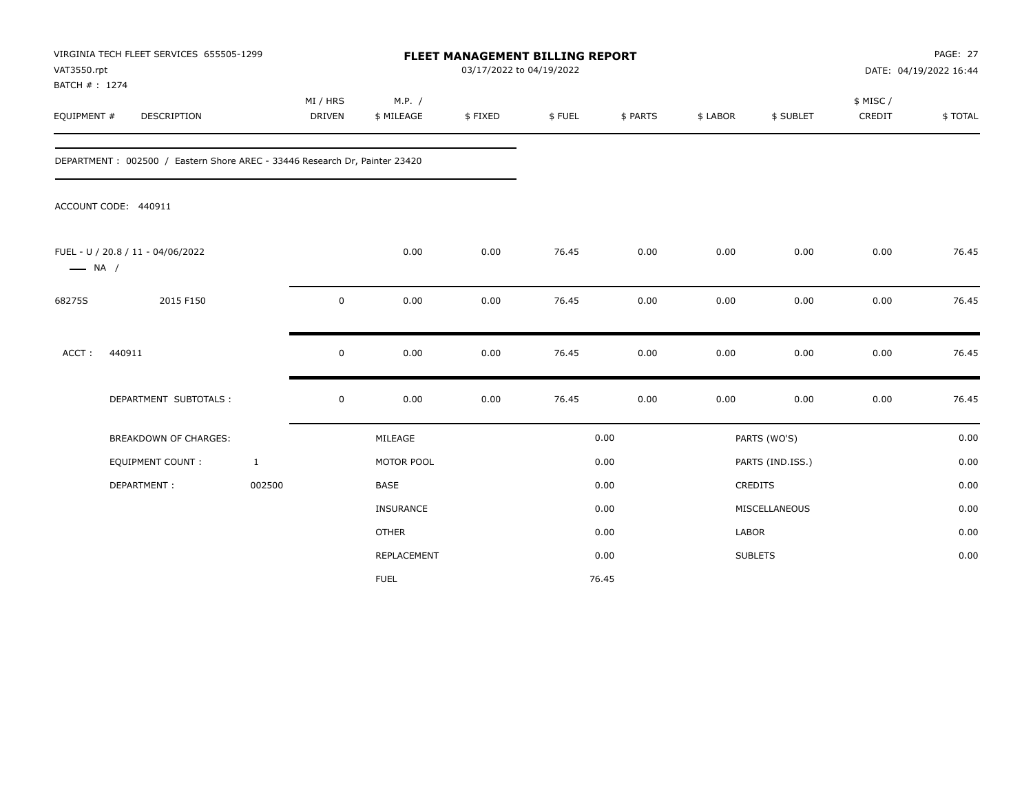| VAT3550.rpt                  | VIRGINIA TECH FLEET SERVICES 655505-1299                                   |                           |                      | <b>FLEET MANAGEMENT BILLING REPORT</b><br>03/17/2022 to 04/19/2022 |        |          |              |                  |                     | PAGE: 27<br>DATE: 04/19/2022 16:44 |
|------------------------------|----------------------------------------------------------------------------|---------------------------|----------------------|--------------------------------------------------------------------|--------|----------|--------------|------------------|---------------------|------------------------------------|
| BATCH #: 1274<br>EQUIPMENT # | DESCRIPTION                                                                | MI / HRS<br><b>DRIVEN</b> | M.P. /<br>\$ MILEAGE | \$FIXED                                                            | \$FUEL | \$ PARTS | \$ LABOR     | \$ SUBLET        | \$ MISC /<br>CREDIT | \$TOTAL                            |
|                              | DEPARTMENT: 002500 / Eastern Shore AREC - 33446 Research Dr, Painter 23420 |                           |                      |                                                                    |        |          |              |                  |                     |                                    |
|                              | ACCOUNT CODE: 440911                                                       |                           |                      |                                                                    |        |          |              |                  |                     |                                    |
| $\longrightarrow$ NA /       | FUEL - U / 20.8 / 11 - 04/06/2022                                          |                           | 0.00                 | 0.00                                                               | 76.45  | 0.00     | 0.00         | 0.00             | 0.00                | 76.45                              |
| 68275S                       | 2015 F150                                                                  | 0                         | 0.00                 | 0.00                                                               | 76.45  | 0.00     | 0.00         | 0.00             | 0.00                | 76.45                              |
| ACCT:                        | 440911                                                                     | $\mathsf 0$               | 0.00                 | 0.00                                                               | 76.45  | 0.00     | 0.00         | 0.00             | 0.00                | 76.45                              |
|                              | DEPARTMENT SUBTOTALS :                                                     | $\mathsf 0$               | 0.00                 | 0.00                                                               | 76.45  | 0.00     | 0.00         | 0.00             | 0.00                | 76.45                              |
|                              | <b>BREAKDOWN OF CHARGES:</b>                                               |                           | MILEAGE              |                                                                    |        | 0.00     |              | PARTS (WO'S)     |                     | 0.00                               |
|                              | <b>EQUIPMENT COUNT:</b>                                                    | $\mathbf{1}$              | MOTOR POOL           |                                                                    |        | 0.00     |              | PARTS (IND.ISS.) |                     | 0.00                               |
|                              | DEPARTMENT:                                                                | 002500                    | <b>BASE</b>          |                                                                    |        | 0.00     |              | CREDITS          |                     | 0.00                               |
|                              |                                                                            |                           | INSURANCE            |                                                                    |        | 0.00     |              | MISCELLANEOUS    |                     | 0.00                               |
|                              |                                                                            |                           | <b>OTHER</b>         |                                                                    |        | 0.00     | <b>LABOR</b> |                  |                     | 0.00                               |
|                              |                                                                            |                           | REPLACEMENT          |                                                                    |        | 0.00     |              | <b>SUBLETS</b>   |                     | 0.00                               |
|                              |                                                                            |                           | <b>FUEL</b>          |                                                                    |        | 76.45    |              |                  |                     |                                    |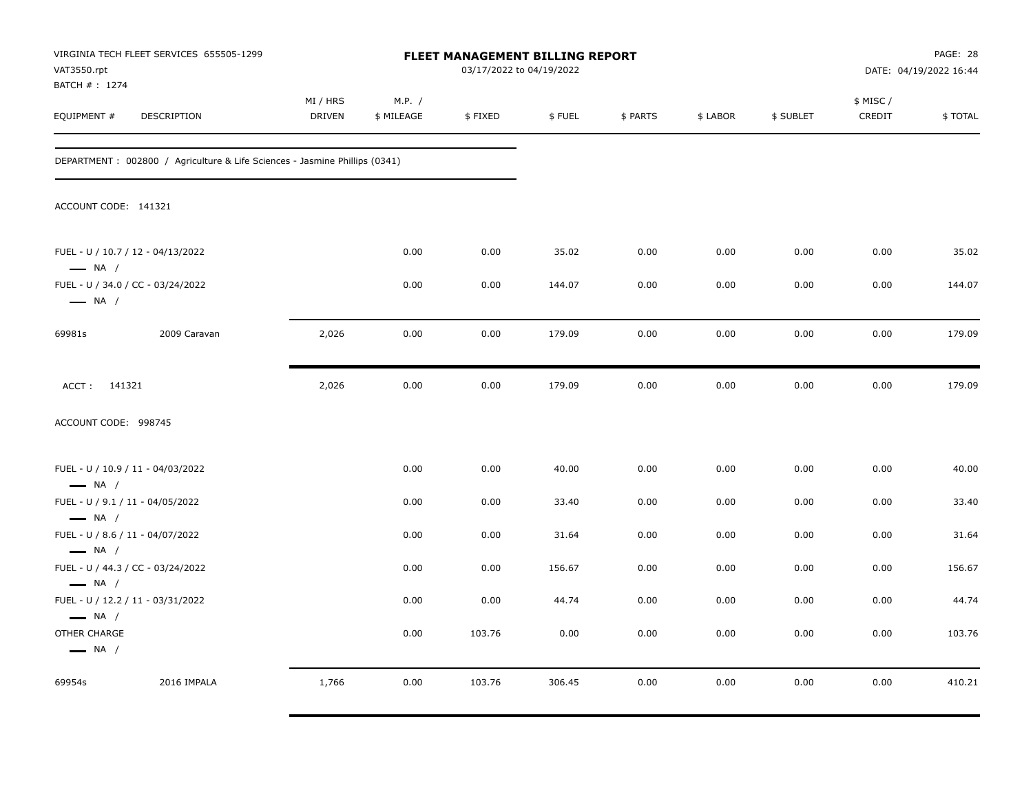| VAT3550.rpt                            | VIRGINIA TECH FLEET SERVICES 655505-1299                                    |                           |                      |         | <b>FLEET MANAGEMENT BILLING REPORT</b><br>03/17/2022 to 04/19/2022 |          |          |           |                     | PAGE: 28<br>DATE: 04/19/2022 16:44 |
|----------------------------------------|-----------------------------------------------------------------------------|---------------------------|----------------------|---------|--------------------------------------------------------------------|----------|----------|-----------|---------------------|------------------------------------|
| BATCH # : 1274<br>EQUIPMENT #          | DESCRIPTION                                                                 | MI / HRS<br><b>DRIVEN</b> | M.P. /<br>\$ MILEAGE | \$FIXED | \$FUEL                                                             | \$ PARTS | \$ LABOR | \$ SUBLET | \$ MISC /<br>CREDIT | \$TOTAL                            |
|                                        | DEPARTMENT : 002800 / Agriculture & Life Sciences - Jasmine Phillips (0341) |                           |                      |         |                                                                    |          |          |           |                     |                                    |
| ACCOUNT CODE: 141321                   |                                                                             |                           |                      |         |                                                                    |          |          |           |                     |                                    |
| $\longrightarrow$ NA /                 | FUEL - U / 10.7 / 12 - 04/13/2022                                           |                           | 0.00                 | 0.00    | 35.02                                                              | 0.00     | 0.00     | 0.00      | 0.00                | 35.02                              |
| $\longrightarrow$ NA /                 | FUEL - U / 34.0 / CC - 03/24/2022                                           |                           | 0.00                 | 0.00    | 144.07                                                             | 0.00     | 0.00     | 0.00      | 0.00                | 144.07                             |
| 69981s                                 | 2009 Caravan                                                                | 2,026                     | 0.00                 | 0.00    | 179.09                                                             | 0.00     | 0.00     | 0.00      | 0.00                | 179.09                             |
| ACCT: 141321                           |                                                                             | 2,026                     | 0.00                 | 0.00    | 179.09                                                             | 0.00     | 0.00     | 0.00      | 0.00                | 179.09                             |
| ACCOUNT CODE: 998745                   |                                                                             |                           |                      |         |                                                                    |          |          |           |                     |                                    |
| $\longrightarrow$ NA /                 | FUEL - U / 10.9 / 11 - 04/03/2022                                           |                           | 0.00                 | 0.00    | 40.00                                                              | 0.00     | 0.00     | 0.00      | 0.00                | 40.00                              |
| $\longrightarrow$ NA /                 | FUEL - U / 9.1 / 11 - 04/05/2022                                            |                           | 0.00                 | 0.00    | 33.40                                                              | 0.00     | 0.00     | 0.00      | 0.00                | 33.40                              |
| $\longrightarrow$ NA /                 | FUEL - U / 8.6 / 11 - 04/07/2022                                            |                           | 0.00                 | 0.00    | 31.64                                                              | 0.00     | 0.00     | 0.00      | 0.00                | 31.64                              |
| $\longrightarrow$ NA /                 | FUEL - U / 44.3 / CC - 03/24/2022                                           |                           | 0.00                 | 0.00    | 156.67                                                             | 0.00     | 0.00     | 0.00      | 0.00                | 156.67                             |
| $\longrightarrow$ NA /                 | FUEL - U / 12.2 / 11 - 03/31/2022                                           |                           | 0.00                 | 0.00    | 44.74                                                              | 0.00     | 0.00     | 0.00      | 0.00                | 44.74                              |
| OTHER CHARGE<br>$\longrightarrow$ NA / |                                                                             |                           | 0.00                 | 103.76  | 0.00                                                               | 0.00     | 0.00     | 0.00      | 0.00                | 103.76                             |
| 69954s                                 | 2016 IMPALA                                                                 | 1,766                     | 0.00                 | 103.76  | 306.45                                                             | 0.00     | 0.00     | 0.00      | 0.00                | 410.21                             |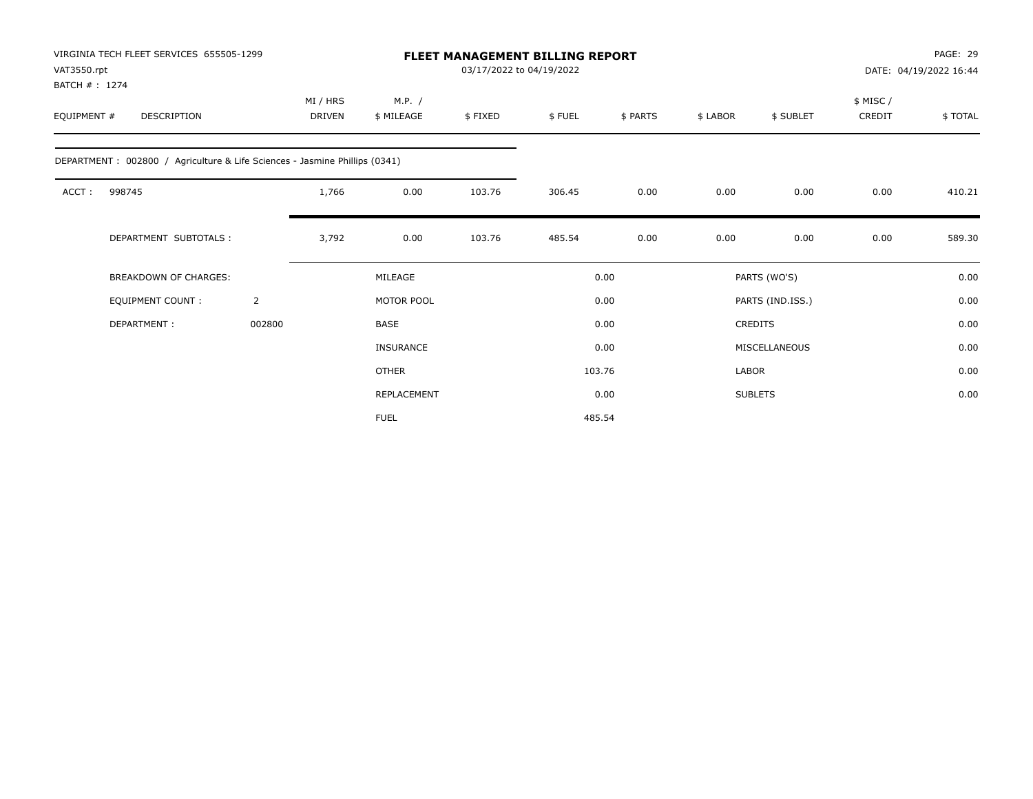| VIRGINIA TECH FLEET SERVICES 655505-1299<br>VAT3550.rpt<br>BATCH #: 1274    |                |                           |                      |         | FLEET MANAGEMENT BILLING REPORT<br>03/17/2022 to 04/19/2022 |          |          |                  |                    | PAGE: 29<br>DATE: 04/19/2022 16:44 |
|-----------------------------------------------------------------------------|----------------|---------------------------|----------------------|---------|-------------------------------------------------------------|----------|----------|------------------|--------------------|------------------------------------|
| EQUIPMENT #<br>DESCRIPTION                                                  |                | MI / HRS<br><b>DRIVEN</b> | M.P. /<br>\$ MILEAGE | \$FIXED | \$FUEL                                                      | \$ PARTS | \$ LABOR | \$ SUBLET        | \$ MISC/<br>CREDIT | \$TOTAL                            |
| DEPARTMENT : 002800 / Agriculture & Life Sciences - Jasmine Phillips (0341) |                |                           |                      |         |                                                             |          |          |                  |                    |                                    |
| ACCT:<br>998745                                                             |                | 1,766                     | 0.00                 | 103.76  | 306.45                                                      | 0.00     | 0.00     | 0.00             | 0.00               | 410.21                             |
| DEPARTMENT SUBTOTALS :                                                      |                | 3,792                     | 0.00                 | 103.76  | 485.54                                                      | 0.00     | 0.00     | 0.00             | 0.00               | 589.30                             |
| <b>BREAKDOWN OF CHARGES:</b>                                                |                |                           | MILEAGE              |         |                                                             | 0.00     |          | PARTS (WO'S)     |                    | 0.00                               |
| <b>EQUIPMENT COUNT:</b>                                                     | $\overline{2}$ |                           | MOTOR POOL           |         |                                                             | 0.00     |          | PARTS (IND.ISS.) |                    | 0.00                               |
| DEPARTMENT:                                                                 | 002800         |                           | BASE                 |         |                                                             | 0.00     |          | <b>CREDITS</b>   |                    | 0.00                               |
|                                                                             |                |                           | <b>INSURANCE</b>     |         |                                                             | 0.00     |          | MISCELLANEOUS    |                    | 0.00                               |
|                                                                             |                |                           | <b>OTHER</b>         |         |                                                             | 103.76   | LABOR    |                  |                    | 0.00                               |
|                                                                             |                |                           | REPLACEMENT          |         |                                                             | 0.00     |          | <b>SUBLETS</b>   |                    | 0.00                               |
|                                                                             |                |                           | <b>FUEL</b>          |         |                                                             | 485.54   |          |                  |                    |                                    |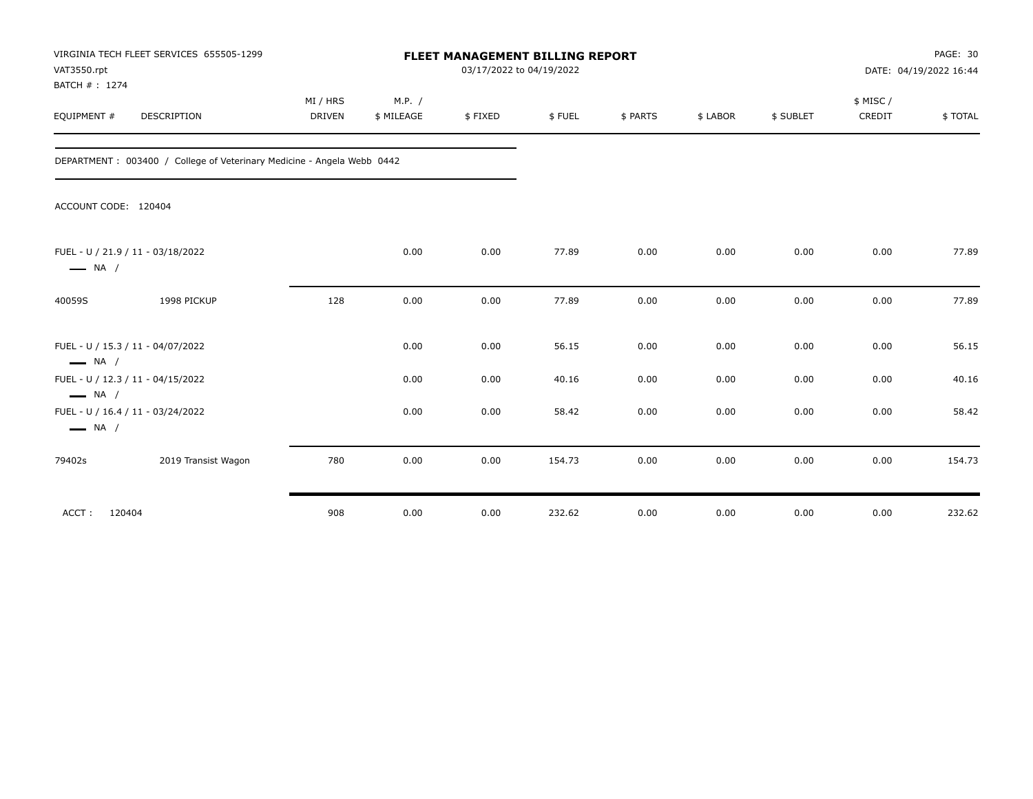| VAT3550.rpt<br>BATCH #: 1274 | VIRGINIA TECH FLEET SERVICES 655505-1299                                |               |            | <b>FLEET MANAGEMENT BILLING REPORT</b><br>03/17/2022 to 04/19/2022 |        |          |          |           |          | PAGE: 30<br>DATE: 04/19/2022 16:44 |
|------------------------------|-------------------------------------------------------------------------|---------------|------------|--------------------------------------------------------------------|--------|----------|----------|-----------|----------|------------------------------------|
|                              |                                                                         | MI / HRS      | M.P. /     |                                                                    |        |          |          |           | \$ MISC/ |                                    |
| EQUIPMENT #                  | DESCRIPTION                                                             | <b>DRIVEN</b> | \$ MILEAGE | \$FIXED                                                            | \$FUEL | \$ PARTS | \$ LABOR | \$ SUBLET | CREDIT   | \$TOTAL                            |
|                              | DEPARTMENT : 003400 / College of Veterinary Medicine - Angela Webb 0442 |               |            |                                                                    |        |          |          |           |          |                                    |
| ACCOUNT CODE: 120404         |                                                                         |               |            |                                                                    |        |          |          |           |          |                                    |
| $\longrightarrow$ NA /       | FUEL - U / 21.9 / 11 - 03/18/2022                                       |               | 0.00       | 0.00                                                               | 77.89  | 0.00     | 0.00     | 0.00      | 0.00     | 77.89                              |
| 40059S                       | 1998 PICKUP                                                             | 128           | 0.00       | 0.00                                                               | 77.89  | 0.00     | 0.00     | 0.00      | 0.00     | 77.89                              |
| $\longrightarrow$ NA /       | FUEL - U / 15.3 / 11 - 04/07/2022                                       |               | 0.00       | 0.00                                                               | 56.15  | 0.00     | 0.00     | 0.00      | 0.00     | 56.15                              |
| $\longrightarrow$ NA /       | FUEL - U / 12.3 / 11 - 04/15/2022                                       |               | 0.00       | 0.00                                                               | 40.16  | 0.00     | 0.00     | 0.00      | 0.00     | 40.16                              |
| $\longrightarrow$ NA /       | FUEL - U / 16.4 / 11 - 03/24/2022                                       |               | 0.00       | 0.00                                                               | 58.42  | 0.00     | 0.00     | 0.00      | 0.00     | 58.42                              |
| 79402s                       | 2019 Transist Wagon                                                     | 780           | 0.00       | 0.00                                                               | 154.73 | 0.00     | 0.00     | 0.00      | 0.00     | 154.73                             |
| ACCT:<br>120404              |                                                                         | 908           | 0.00       | 0.00                                                               | 232.62 | 0.00     | 0.00     | 0.00      | 0.00     | 232.62                             |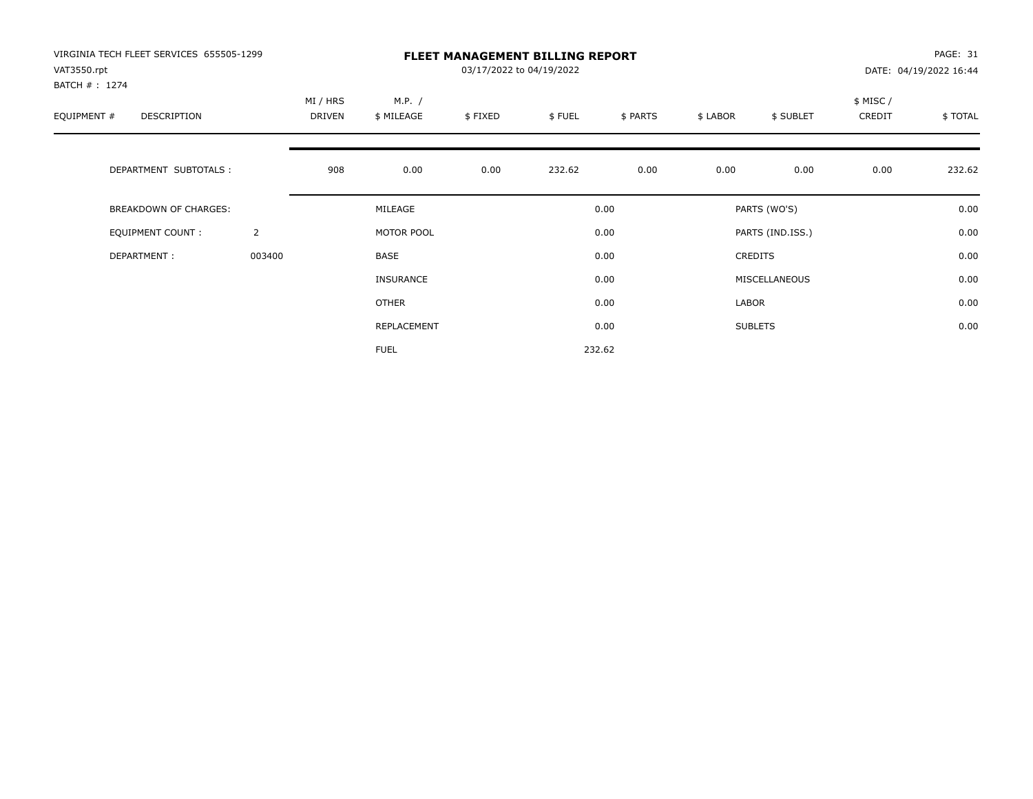| VIRGINIA TECH FLEET SERVICES 655505-1299<br>VAT3550.rpt<br>BATCH #: 1274 |                |                           |                      | 03/17/2022 to 04/19/2022 | <b>FLEET MANAGEMENT BILLING REPORT</b> |          |          |                  |                     | PAGE: 31<br>DATE: 04/19/2022 16:44 |
|--------------------------------------------------------------------------|----------------|---------------------------|----------------------|--------------------------|----------------------------------------|----------|----------|------------------|---------------------|------------------------------------|
| EQUIPMENT #<br><b>DESCRIPTION</b>                                        |                | MI / HRS<br><b>DRIVEN</b> | M.P. /<br>\$ MILEAGE | \$FIXED                  | \$FUEL                                 | \$ PARTS | \$ LABOR | \$ SUBLET        | \$ MISC /<br>CREDIT | \$TOTAL                            |
| DEPARTMENT SUBTOTALS :                                                   |                | 908                       | 0.00                 | 0.00                     | 232.62                                 | 0.00     | 0.00     | 0.00             | 0.00                | 232.62                             |
| <b>BREAKDOWN OF CHARGES:</b>                                             |                |                           | MILEAGE              |                          |                                        | 0.00     |          | PARTS (WO'S)     |                     | 0.00                               |
| EQUIPMENT COUNT:                                                         | $\overline{2}$ |                           | MOTOR POOL           |                          |                                        | 0.00     |          | PARTS (IND.ISS.) |                     | 0.00                               |
| DEPARTMENT:                                                              | 003400         |                           | <b>BASE</b>          |                          |                                        | 0.00     |          | <b>CREDITS</b>   |                     | 0.00                               |
|                                                                          |                |                           | INSURANCE            |                          |                                        | 0.00     |          | MISCELLANEOUS    |                     | 0.00                               |
|                                                                          |                |                           | <b>OTHER</b>         |                          |                                        | 0.00     | LABOR    |                  |                     | 0.00                               |
|                                                                          |                |                           | REPLACEMENT          |                          |                                        | 0.00     |          | <b>SUBLETS</b>   |                     | 0.00                               |
|                                                                          |                |                           | <b>FUEL</b>          |                          |                                        | 232.62   |          |                  |                     |                                    |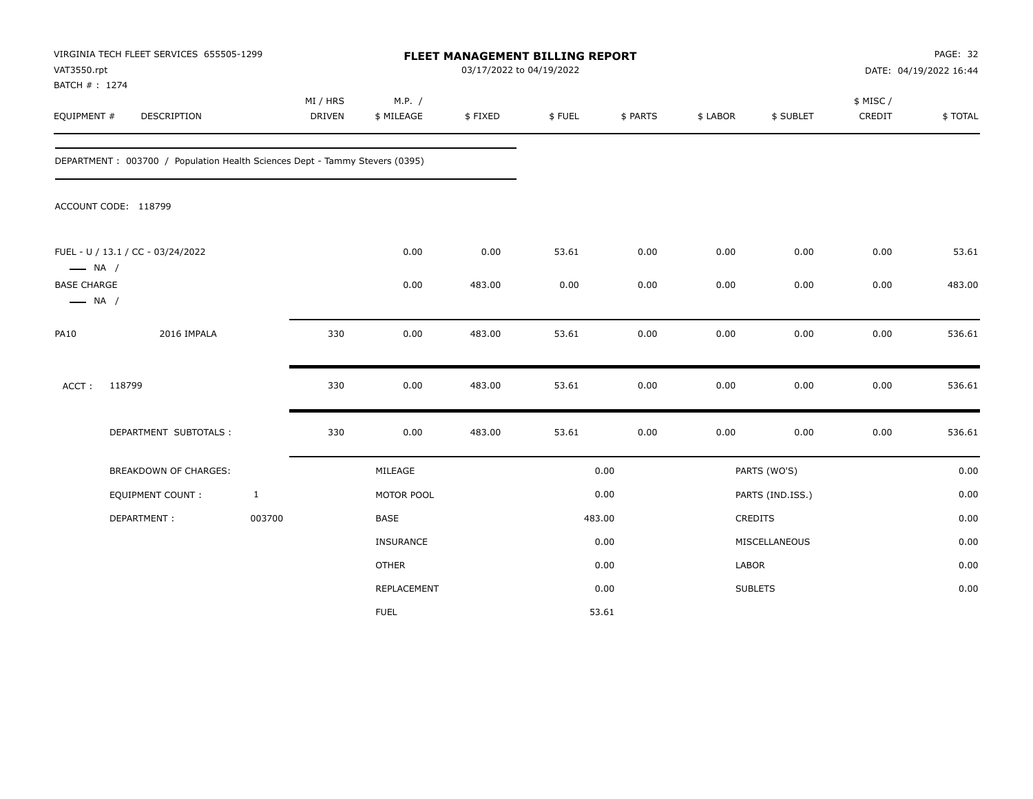| VAT3550.rpt<br>BATCH #: 1274                 | VIRGINIA TECH FLEET SERVICES 655505-1299                                    |              |                           |                      | 03/17/2022 to 04/19/2022 | FLEET MANAGEMENT BILLING REPORT |          |          |                  |                    | PAGE: 32<br>DATE: 04/19/2022 16:44 |
|----------------------------------------------|-----------------------------------------------------------------------------|--------------|---------------------------|----------------------|--------------------------|---------------------------------|----------|----------|------------------|--------------------|------------------------------------|
| EQUIPMENT #                                  | DESCRIPTION                                                                 |              | MI / HRS<br><b>DRIVEN</b> | M.P. /<br>\$ MILEAGE | \$FIXED                  | \$FUEL                          | \$ PARTS | \$ LABOR | \$ SUBLET        | \$ MISC/<br>CREDIT | \$TOTAL                            |
|                                              | DEPARTMENT: 003700 / Population Health Sciences Dept - Tammy Stevers (0395) |              |                           |                      |                          |                                 |          |          |                  |                    |                                    |
|                                              | ACCOUNT CODE: 118799                                                        |              |                           |                      |                          |                                 |          |          |                  |                    |                                    |
| $\longrightarrow$ NA /                       | FUEL - U / 13.1 / CC - 03/24/2022                                           |              |                           | 0.00                 | 0.00                     | 53.61                           | 0.00     | 0.00     | 0.00             | 0.00               | 53.61                              |
| <b>BASE CHARGE</b><br>$\longrightarrow$ NA / |                                                                             |              |                           | 0.00                 | 483.00                   | 0.00                            | 0.00     | 0.00     | 0.00             | 0.00               | 483.00                             |
| <b>PA10</b>                                  | 2016 IMPALA                                                                 |              | 330                       | 0.00                 | 483.00                   | 53.61                           | 0.00     | 0.00     | 0.00             | 0.00               | 536.61                             |
| ACCT:                                        | 118799                                                                      |              | 330                       | 0.00                 | 483.00                   | 53.61                           | 0.00     | 0.00     | 0.00             | 0.00               | 536.61                             |
|                                              | DEPARTMENT SUBTOTALS :                                                      |              | 330                       | 0.00                 | 483.00                   | 53.61                           | 0.00     | 0.00     | 0.00             | 0.00               | 536.61                             |
|                                              | <b>BREAKDOWN OF CHARGES:</b>                                                |              |                           | MILEAGE              |                          |                                 | 0.00     |          | PARTS (WO'S)     |                    | 0.00                               |
|                                              | <b>EQUIPMENT COUNT:</b>                                                     | $\mathbf{1}$ |                           | MOTOR POOL           |                          |                                 | 0.00     |          | PARTS (IND.ISS.) |                    | 0.00                               |
|                                              | DEPARTMENT:                                                                 | 003700       |                           | BASE                 |                          |                                 | 483.00   |          | <b>CREDITS</b>   |                    | 0.00                               |
|                                              |                                                                             |              |                           | INSURANCE            |                          |                                 | 0.00     |          | MISCELLANEOUS    |                    | 0.00                               |
|                                              |                                                                             |              |                           | <b>OTHER</b>         |                          |                                 | 0.00     | LABOR    |                  |                    | 0.00                               |
|                                              |                                                                             |              |                           | REPLACEMENT          |                          |                                 | 0.00     |          | <b>SUBLETS</b>   |                    | 0.00                               |
|                                              |                                                                             |              |                           | <b>FUEL</b>          |                          |                                 | 53.61    |          |                  |                    |                                    |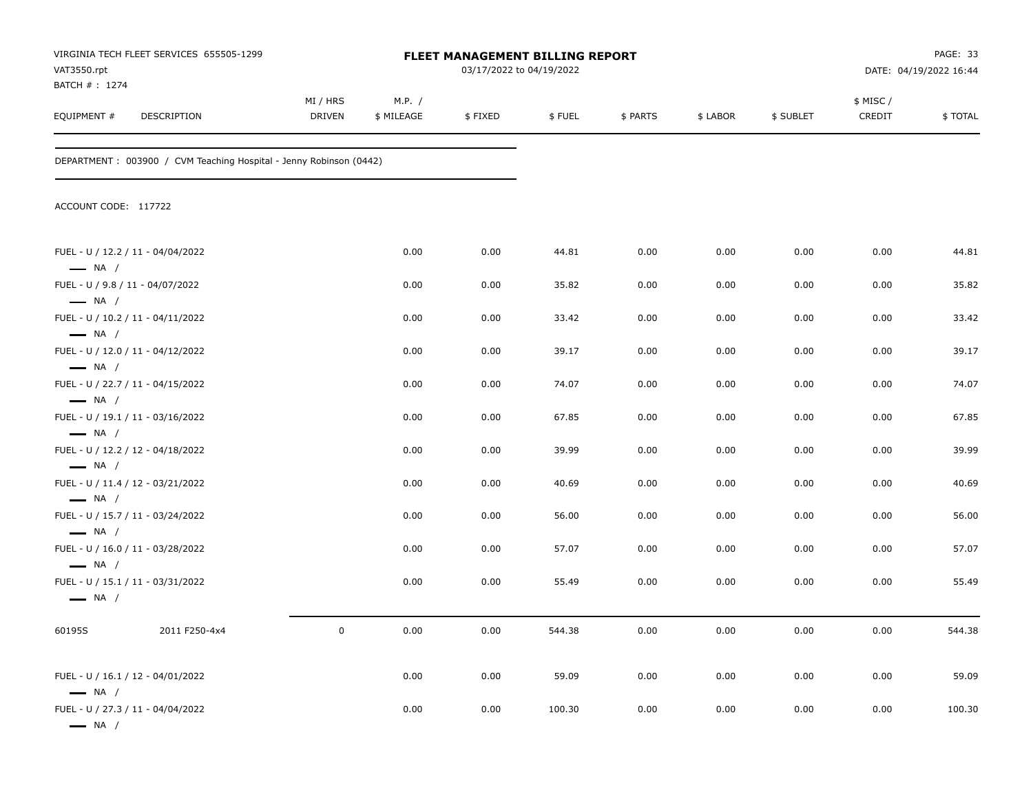| VAT3550.rpt<br>BATCH # : 1274                    | VIRGINIA TECH FLEET SERVICES 655505-1299                           |                    |                      | FLEET MANAGEMENT BILLING REPORT<br>03/17/2022 to 04/19/2022 |        |          |          |           |                    | PAGE: 33<br>DATE: 04/19/2022 16:44 |
|--------------------------------------------------|--------------------------------------------------------------------|--------------------|----------------------|-------------------------------------------------------------|--------|----------|----------|-----------|--------------------|------------------------------------|
| EQUIPMENT#                                       | DESCRIPTION                                                        | MI / HRS<br>DRIVEN | M.P. /<br>\$ MILEAGE | \$FIXED                                                     | \$FUEL | \$ PARTS | \$ LABOR | \$ SUBLET | \$ MISC/<br>CREDIT | \$TOTAL                            |
|                                                  | DEPARTMENT: 003900 / CVM Teaching Hospital - Jenny Robinson (0442) |                    |                      |                                                             |        |          |          |           |                    |                                    |
| ACCOUNT CODE: 117722                             |                                                                    |                    |                      |                                                             |        |          |          |           |                    |                                    |
| $-$ NA $/$                                       | FUEL - U / 12.2 / 11 - 04/04/2022                                  |                    | 0.00                 | 0.00                                                        | 44.81  | 0.00     | 0.00     | 0.00      | 0.00               | 44.81                              |
| $\longrightarrow$ NA /                           | FUEL - U / 9.8 / 11 - 04/07/2022                                   |                    | 0.00                 | 0.00                                                        | 35.82  | 0.00     | 0.00     | 0.00      | 0.00               | 35.82                              |
|                                                  | FUEL - U / 10.2 / 11 - 04/11/2022                                  |                    | 0.00                 | 0.00                                                        | 33.42  | 0.00     | 0.00     | 0.00      | 0.00               | 33.42                              |
| $-$ NA $/$<br>$\longrightarrow$ NA /             | FUEL - U / 12.0 / 11 - 04/12/2022                                  |                    | 0.00                 | 0.00                                                        | 39.17  | 0.00     | 0.00     | 0.00      | 0.00               | 39.17                              |
| $\longrightarrow$ NA /                           | FUEL - U / 22.7 / 11 - 04/15/2022                                  |                    | 0.00                 | 0.00                                                        | 74.07  | 0.00     | 0.00     | 0.00      | 0.00               | 74.07                              |
|                                                  | FUEL - U / 19.1 / 11 - 03/16/2022                                  |                    | 0.00                 | 0.00                                                        | 67.85  | 0.00     | 0.00     | 0.00      | 0.00               | 67.85                              |
| $\longrightarrow$ NA /                           | FUEL - U / 12.2 / 12 - 04/18/2022                                  |                    | 0.00                 | 0.00                                                        | 39.99  | 0.00     | 0.00     | 0.00      | 0.00               | 39.99                              |
| $\longrightarrow$ NA /                           | FUEL - U / 11.4 / 12 - 03/21/2022                                  |                    | 0.00                 | 0.00                                                        | 40.69  | 0.00     | 0.00     | 0.00      | 0.00               | 40.69                              |
| $\longrightarrow$ NA /                           | FUEL - U / 15.7 / 11 - 03/24/2022                                  |                    | 0.00                 | 0.00                                                        | 56.00  | 0.00     | 0.00     | 0.00      | 0.00               | 56.00                              |
| $\longrightarrow$ NA /                           | FUEL - U / 16.0 / 11 - 03/28/2022                                  |                    | 0.00                 | 0.00                                                        | 57.07  | 0.00     | 0.00     | 0.00      | 0.00               | 57.07                              |
| $\longrightarrow$ NA /<br>$\longrightarrow$ NA / | FUEL - U / 15.1 / 11 - 03/31/2022                                  |                    | 0.00                 | 0.00                                                        | 55.49  | 0.00     | 0.00     | 0.00      | 0.00               | 55.49                              |
| 60195S                                           | 2011 F250-4x4                                                      | 0                  | 0.00                 | 0.00                                                        | 544.38 | 0.00     | 0.00     | 0.00      | $0.00\,$           | 544.38                             |
| $\longrightarrow$ NA /                           | FUEL - U / 16.1 / 12 - 04/01/2022                                  |                    | 0.00                 | 0.00                                                        | 59.09  | 0.00     | 0.00     | 0.00      | 0.00               | 59.09                              |
| $\longrightarrow$ NA /                           | FUEL - U / 27.3 / 11 - 04/04/2022                                  |                    | 0.00                 | 0.00                                                        | 100.30 | 0.00     | 0.00     | 0.00      | 0.00               | 100.30                             |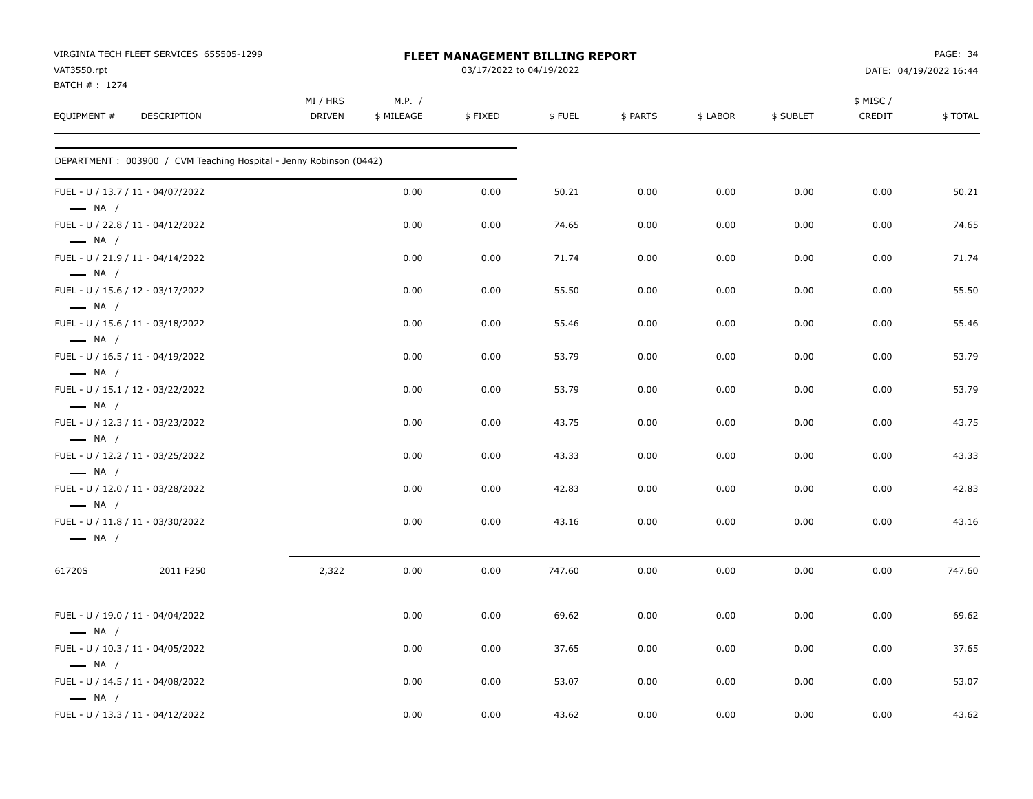| VAT3550.rpt                  | VIRGINIA TECH FLEET SERVICES 655505-1299                           |                           |                      | FLEET MANAGEMENT BILLING REPORT<br>03/17/2022 to 04/19/2022 |        |          |          |           |                     | PAGE: 34<br>DATE: 04/19/2022 16:44 |
|------------------------------|--------------------------------------------------------------------|---------------------------|----------------------|-------------------------------------------------------------|--------|----------|----------|-----------|---------------------|------------------------------------|
| BATCH #: 1274<br>EQUIPMENT # | DESCRIPTION                                                        | MI / HRS<br><b>DRIVEN</b> | M.P. /<br>\$ MILEAGE | \$FIXED                                                     | \$FUEL | \$ PARTS | \$ LABOR | \$ SUBLET | \$ MISC /<br>CREDIT | \$TOTAL                            |
|                              | DEPARTMENT: 003900 / CVM Teaching Hospital - Jenny Robinson (0442) |                           |                      |                                                             |        |          |          |           |                     |                                    |
| $\longrightarrow$ NA /       | FUEL - U / 13.7 / 11 - 04/07/2022                                  |                           | 0.00                 | 0.00                                                        | 50.21  | 0.00     | 0.00     | 0.00      | 0.00                | 50.21                              |
| $\longrightarrow$ NA /       | FUEL - U / 22.8 / 11 - 04/12/2022                                  |                           | 0.00                 | 0.00                                                        | 74.65  | 0.00     | 0.00     | 0.00      | 0.00                | 74.65                              |
| $\longrightarrow$ NA /       | FUEL - U / 21.9 / 11 - 04/14/2022                                  |                           | 0.00                 | 0.00                                                        | 71.74  | 0.00     | 0.00     | 0.00      | 0.00                | 71.74                              |
| $\longrightarrow$ NA /       | FUEL - U / 15.6 / 12 - 03/17/2022                                  |                           | 0.00                 | 0.00                                                        | 55.50  | 0.00     | 0.00     | 0.00      | 0.00                | 55.50                              |
| $\longrightarrow$ NA /       | FUEL - U / 15.6 / 11 - 03/18/2022                                  |                           | 0.00                 | 0.00                                                        | 55.46  | 0.00     | 0.00     | 0.00      | 0.00                | 55.46                              |
| $\longrightarrow$ NA /       | FUEL - U / 16.5 / 11 - 04/19/2022                                  |                           | 0.00                 | 0.00                                                        | 53.79  | 0.00     | 0.00     | 0.00      | 0.00                | 53.79                              |
| $\longrightarrow$ NA /       | FUEL - U / 15.1 / 12 - 03/22/2022                                  |                           | 0.00                 | 0.00                                                        | 53.79  | 0.00     | 0.00     | 0.00      | 0.00                | 53.79                              |
| $\longrightarrow$ NA /       | FUEL - U / 12.3 / 11 - 03/23/2022                                  |                           | 0.00                 | 0.00                                                        | 43.75  | 0.00     | 0.00     | 0.00      | 0.00                | 43.75                              |
| $\longrightarrow$ NA /       | FUEL - U / 12.2 / 11 - 03/25/2022                                  |                           | 0.00                 | 0.00                                                        | 43.33  | 0.00     | 0.00     | 0.00      | 0.00                | 43.33                              |
| $\longrightarrow$ NA /       | FUEL - U / 12.0 / 11 - 03/28/2022                                  |                           | 0.00                 | 0.00                                                        | 42.83  | 0.00     | 0.00     | 0.00      | 0.00                | 42.83                              |
| $\longrightarrow$ NA /       | FUEL - U / 11.8 / 11 - 03/30/2022                                  |                           | 0.00                 | 0.00                                                        | 43.16  | 0.00     | 0.00     | 0.00      | 0.00                | 43.16                              |
| 61720S                       | 2011 F250                                                          | 2,322                     | 0.00                 | 0.00                                                        | 747.60 | 0.00     | 0.00     | 0.00      | 0.00                | 747.60                             |
| $\longrightarrow$ NA /       | FUEL - U / 19.0 / 11 - 04/04/2022                                  |                           | 0.00                 | 0.00                                                        | 69.62  | 0.00     | 0.00     | 0.00      | 0.00                | 69.62                              |
| $\longrightarrow$ NA /       | FUEL - U / 10.3 / 11 - 04/05/2022                                  |                           | 0.00                 | 0.00                                                        | 37.65  | 0.00     | 0.00     | 0.00      | 0.00                | 37.65                              |
| $\longrightarrow$ NA /       | FUEL - U / 14.5 / 11 - 04/08/2022                                  |                           | 0.00                 | 0.00                                                        | 53.07  | 0.00     | 0.00     | 0.00      | 0.00                | 53.07                              |
|                              | FUEL - U / 13.3 / 11 - 04/12/2022                                  |                           | 0.00                 | 0.00                                                        | 43.62  | 0.00     | 0.00     | 0.00      | 0.00                | 43.62                              |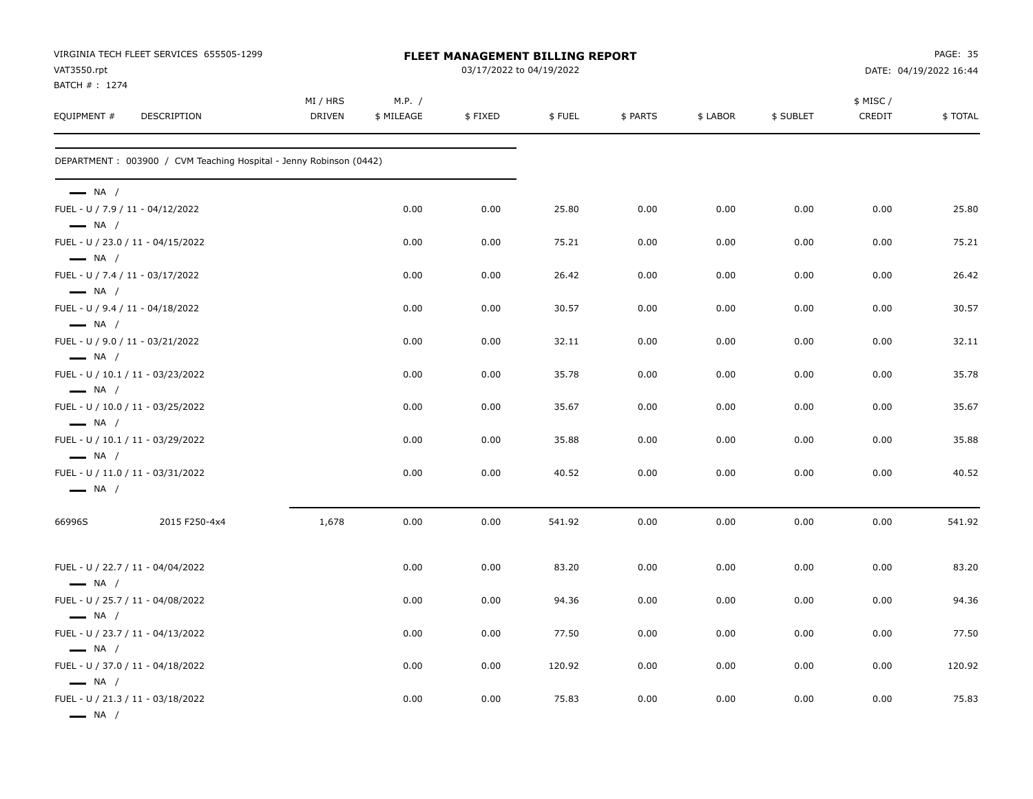| VAT3550.rpt                                      | VIRGINIA TECH FLEET SERVICES 655505-1299                           |                           |                      | <b>FLEET MANAGEMENT BILLING REPORT</b><br>03/17/2022 to 04/19/2022 |        |          |          |           |                     | PAGE: 35<br>DATE: 04/19/2022 16:44 |
|--------------------------------------------------|--------------------------------------------------------------------|---------------------------|----------------------|--------------------------------------------------------------------|--------|----------|----------|-----------|---------------------|------------------------------------|
| BATCH #: 1274<br>EQUIPMENT #                     | DESCRIPTION                                                        | MI / HRS<br><b>DRIVEN</b> | M.P. /<br>\$ MILEAGE | \$FIXED                                                            | \$FUEL | \$ PARTS | \$ LABOR | \$ SUBLET | \$ MISC /<br>CREDIT | \$TOTAL                            |
|                                                  | DEPARTMENT: 003900 / CVM Teaching Hospital - Jenny Robinson (0442) |                           |                      |                                                                    |        |          |          |           |                     |                                    |
| $\longrightarrow$ NA /<br>$\longrightarrow$ NA / | FUEL - U / 7.9 / 11 - 04/12/2022                                   |                           | 0.00                 | 0.00                                                               | 25.80  | 0.00     | 0.00     | 0.00      | 0.00                | 25.80                              |
|                                                  | FUEL - U / 23.0 / 11 - 04/15/2022                                  |                           | 0.00                 | 0.00                                                               | 75.21  | 0.00     | 0.00     | 0.00      | 0.00                | 75.21                              |
| $\longrightarrow$ NA /<br>$\longrightarrow$ NA / | FUEL - U / 7.4 / 11 - 03/17/2022                                   |                           | 0.00                 | 0.00                                                               | 26.42  | 0.00     | 0.00     | 0.00      | 0.00                | 26.42                              |
|                                                  | FUEL - U / 9.4 / 11 - 04/18/2022                                   |                           | 0.00                 | 0.00                                                               | 30.57  | 0.00     | 0.00     | 0.00      | 0.00                | 30.57                              |
| $\longrightarrow$ NA /<br>$\longrightarrow$ NA / | FUEL - U / 9.0 / 11 - 03/21/2022                                   |                           | 0.00                 | 0.00                                                               | 32.11  | 0.00     | 0.00     | 0.00      | 0.00                | 32.11                              |
|                                                  | FUEL - U / 10.1 / 11 - 03/23/2022                                  |                           | 0.00                 | 0.00                                                               | 35.78  | 0.00     | 0.00     | 0.00      | 0.00                | 35.78                              |
| $\longrightarrow$ NA /<br>$\longrightarrow$ NA / | FUEL - U / 10.0 / 11 - 03/25/2022                                  |                           | 0.00                 | 0.00                                                               | 35.67  | 0.00     | 0.00     | 0.00      | 0.00                | 35.67                              |
|                                                  | FUEL - U / 10.1 / 11 - 03/29/2022                                  |                           | 0.00                 | 0.00                                                               | 35.88  | 0.00     | 0.00     | 0.00      | 0.00                | 35.88                              |
| $\longrightarrow$ NA /<br>$\longrightarrow$ NA / | FUEL - U / 11.0 / 11 - 03/31/2022                                  |                           | 0.00                 | 0.00                                                               | 40.52  | 0.00     | 0.00     | 0.00      | 0.00                | 40.52                              |
| 66996S                                           | 2015 F250-4x4                                                      | 1,678                     | 0.00                 | 0.00                                                               | 541.92 | 0.00     | 0.00     | 0.00      | 0.00                | 541.92                             |
| $\longrightarrow$ NA /                           | FUEL - U / 22.7 / 11 - 04/04/2022                                  |                           | 0.00                 | 0.00                                                               | 83.20  | 0.00     | 0.00     | 0.00      | 0.00                | 83.20                              |
|                                                  | FUEL - U / 25.7 / 11 - 04/08/2022                                  |                           | 0.00                 | 0.00                                                               | 94.36  | 0.00     | 0.00     | 0.00      | 0.00                | 94.36                              |
| $\longrightarrow$ NA /                           | FUEL - U / 23.7 / 11 - 04/13/2022                                  |                           | 0.00                 | 0.00                                                               | 77.50  | 0.00     | 0.00     | 0.00      | 0.00                | 77.50                              |
| $\longrightarrow$ NA /<br>$\longrightarrow$ NA / | FUEL - U / 37.0 / 11 - 04/18/2022                                  |                           | 0.00                 | 0.00                                                               | 120.92 | 0.00     | 0.00     | 0.00      | 0.00                | 120.92                             |
| $\longrightarrow$ NA $/$                         | FUEL - U / 21.3 / 11 - 03/18/2022                                  |                           | 0.00                 | 0.00                                                               | 75.83  | 0.00     | 0.00     | 0.00      | 0.00                | 75.83                              |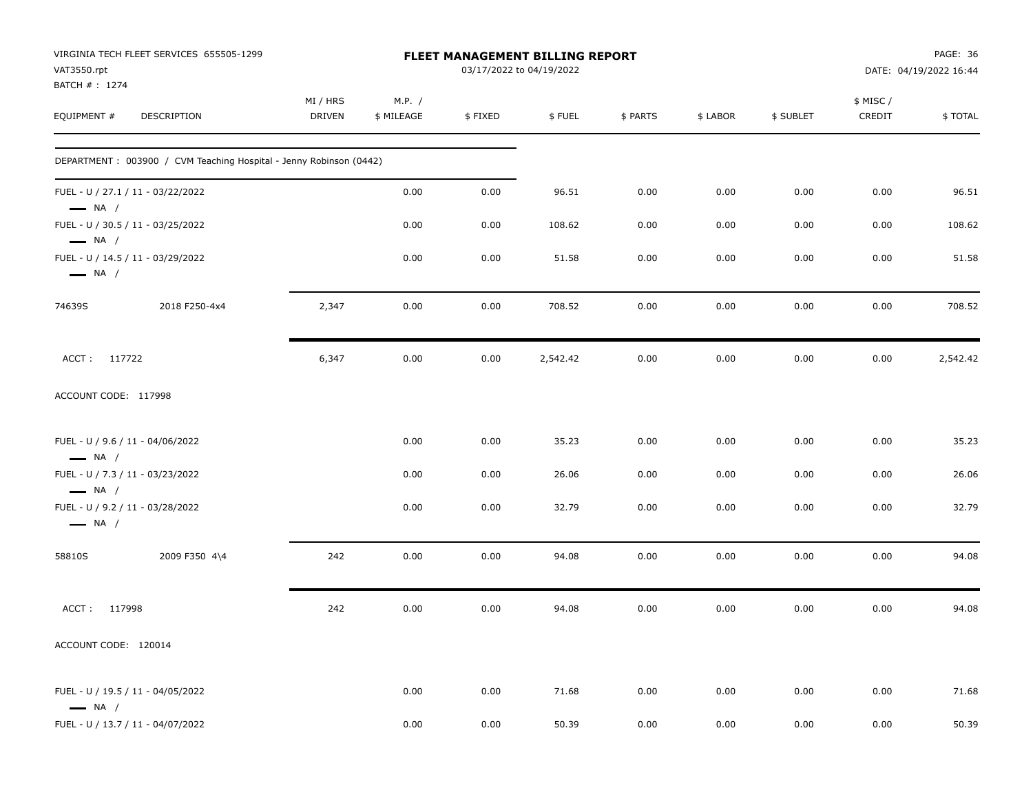| VAT3550.rpt                  | VIRGINIA TECH FLEET SERVICES 655505-1299                           |                           |                      |         | FLEET MANAGEMENT BILLING REPORT<br>03/17/2022 to 04/19/2022 |          |          |           |                     | PAGE: 36<br>DATE: 04/19/2022 16:44 |
|------------------------------|--------------------------------------------------------------------|---------------------------|----------------------|---------|-------------------------------------------------------------|----------|----------|-----------|---------------------|------------------------------------|
| BATCH #: 1274<br>EQUIPMENT # | DESCRIPTION                                                        | MI / HRS<br><b>DRIVEN</b> | M.P. /<br>\$ MILEAGE | \$FIXED | \$FUEL                                                      | \$ PARTS | \$ LABOR | \$ SUBLET | \$ MISC /<br>CREDIT | \$TOTAL                            |
|                              | DEPARTMENT: 003900 / CVM Teaching Hospital - Jenny Robinson (0442) |                           |                      |         |                                                             |          |          |           |                     |                                    |
| $\longrightarrow$ NA /       | FUEL - U / 27.1 / 11 - 03/22/2022                                  |                           | 0.00                 | 0.00    | 96.51                                                       | 0.00     | 0.00     | 0.00      | 0.00                | 96.51                              |
| $\longrightarrow$ NA /       | FUEL - U / 30.5 / 11 - 03/25/2022                                  |                           | 0.00                 | 0.00    | 108.62                                                      | 0.00     | 0.00     | 0.00      | 0.00                | 108.62                             |
| $\longrightarrow$ NA /       | FUEL - U / 14.5 / 11 - 03/29/2022                                  |                           | 0.00                 | 0.00    | 51.58                                                       | 0.00     | 0.00     | 0.00      | 0.00                | 51.58                              |
| 74639S                       | 2018 F250-4x4                                                      | 2,347                     | 0.00                 | 0.00    | 708.52                                                      | 0.00     | 0.00     | 0.00      | 0.00                | 708.52                             |
| ACCT: 117722                 |                                                                    | 6,347                     | 0.00                 | 0.00    | 2,542.42                                                    | 0.00     | 0.00     | 0.00      | 0.00                | 2,542.42                           |
| ACCOUNT CODE: 117998         |                                                                    |                           |                      |         |                                                             |          |          |           |                     |                                    |
| $\longrightarrow$ NA /       | FUEL - U / 9.6 / 11 - 04/06/2022                                   |                           | 0.00                 | 0.00    | 35.23                                                       | 0.00     | 0.00     | 0.00      | 0.00                | 35.23                              |
| $\longrightarrow$ NA /       | FUEL - U / 7.3 / 11 - 03/23/2022                                   |                           | 0.00                 | 0.00    | 26.06                                                       | 0.00     | 0.00     | 0.00      | 0.00                | 26.06                              |
| $\longrightarrow$ NA /       | FUEL - U / 9.2 / 11 - 03/28/2022                                   |                           | 0.00                 | 0.00    | 32.79                                                       | 0.00     | 0.00     | 0.00      | 0.00                | 32.79                              |
| 58810S                       | 2009 F350 4\4                                                      | 242                       | 0.00                 | 0.00    | 94.08                                                       | 0.00     | 0.00     | 0.00      | 0.00                | 94.08                              |
| ACCT: 117998                 |                                                                    | 242                       | 0.00                 | 0.00    | 94.08                                                       | 0.00     | 0.00     | 0.00      | 0.00                | 94.08                              |
| ACCOUNT CODE: 120014         |                                                                    |                           |                      |         |                                                             |          |          |           |                     |                                    |
| $\longrightarrow$ NA /       | FUEL - U / 19.5 / 11 - 04/05/2022                                  |                           | 0.00                 | 0.00    | 71.68                                                       | 0.00     | 0.00     | 0.00      | 0.00                | 71.68                              |
|                              | FUEL - U / 13.7 / 11 - 04/07/2022                                  |                           | 0.00                 | 0.00    | 50.39                                                       | 0.00     | 0.00     | 0.00      | 0.00                | 50.39                              |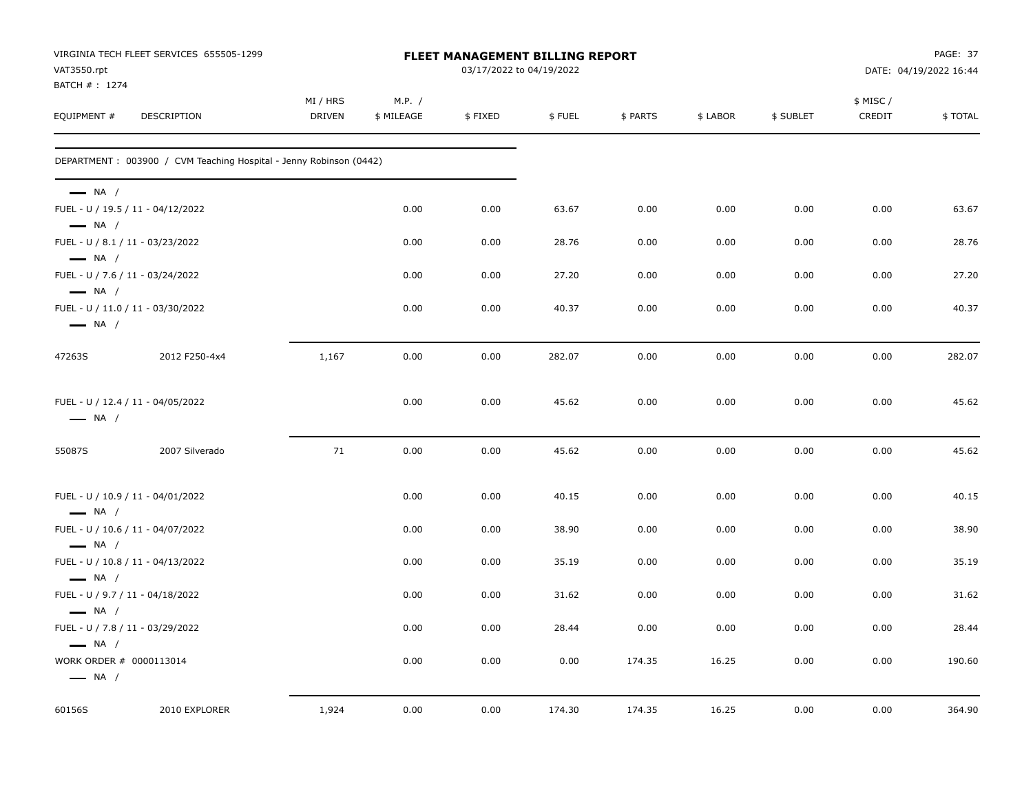| VAT3550.rpt                                                                 | VIRGINIA TECH FLEET SERVICES 655505-1299                           |                           |                      | FLEET MANAGEMENT BILLING REPORT<br>03/17/2022 to 04/19/2022 |        |          |          |           |                     | PAGE: 37<br>DATE: 04/19/2022 16:44 |
|-----------------------------------------------------------------------------|--------------------------------------------------------------------|---------------------------|----------------------|-------------------------------------------------------------|--------|----------|----------|-----------|---------------------|------------------------------------|
| BATCH #: 1274<br>EQUIPMENT #                                                | DESCRIPTION                                                        | MI / HRS<br><b>DRIVEN</b> | M.P. /<br>\$ MILEAGE | \$FIXED                                                     | \$FUEL | \$ PARTS | \$ LABOR | \$ SUBLET | \$ MISC /<br>CREDIT | \$TOTAL                            |
|                                                                             | DEPARTMENT: 003900 / CVM Teaching Hospital - Jenny Robinson (0442) |                           |                      |                                                             |        |          |          |           |                     |                                    |
| $\longrightarrow$ NA /<br>$\longrightarrow$ NA /                            | FUEL - U / 19.5 / 11 - 04/12/2022                                  |                           | 0.00                 | 0.00                                                        | 63.67  | 0.00     | 0.00     | 0.00      | 0.00                | 63.67                              |
|                                                                             | FUEL - U / 8.1 / 11 - 03/23/2022                                   |                           | 0.00                 | 0.00                                                        | 28.76  | 0.00     | 0.00     | 0.00      | 0.00                | 28.76                              |
| $\longrightarrow$ NA /<br>$\longrightarrow$ NA /                            | FUEL - U / 7.6 / 11 - 03/24/2022                                   |                           | 0.00                 | 0.00                                                        | 27.20  | 0.00     | 0.00     | 0.00      | 0.00                | 27.20                              |
| $\longrightarrow$ NA /                                                      | FUEL - U / 11.0 / 11 - 03/30/2022                                  |                           | 0.00                 | 0.00                                                        | 40.37  | 0.00     | 0.00     | 0.00      | 0.00                | 40.37                              |
| 47263S                                                                      | 2012 F250-4x4                                                      | 1,167                     | 0.00                 | 0.00                                                        | 282.07 | 0.00     | 0.00     | 0.00      | 0.00                | 282.07                             |
| $\longrightarrow$ NA /                                                      | FUEL - U / 12.4 / 11 - 04/05/2022                                  |                           | 0.00                 | 0.00                                                        | 45.62  | 0.00     | 0.00     | 0.00      | 0.00                | 45.62                              |
| 55087S                                                                      | 2007 Silverado                                                     | 71                        | 0.00                 | 0.00                                                        | 45.62  | 0.00     | 0.00     | 0.00      | 0.00                | 45.62                              |
| $\longrightarrow$ NA /                                                      | FUEL - U / 10.9 / 11 - 04/01/2022                                  |                           | 0.00                 | 0.00                                                        | 40.15  | 0.00     | 0.00     | 0.00      | 0.00                | 40.15                              |
| $\longrightarrow$ NA /                                                      | FUEL - U / 10.6 / 11 - 04/07/2022                                  |                           | 0.00                 | 0.00                                                        | 38.90  | 0.00     | 0.00     | 0.00      | 0.00                | 38.90                              |
| $\longrightarrow$ NA /                                                      | FUEL - U / 10.8 / 11 - 04/13/2022                                  |                           | 0.00                 | 0.00                                                        | 35.19  | 0.00     | 0.00     | 0.00      | 0.00                | 35.19                              |
| $\longrightarrow$ NA /                                                      | FUEL - U / 9.7 / 11 - 04/18/2022                                   |                           | 0.00                 | 0.00                                                        | 31.62  | 0.00     | 0.00     | 0.00      | 0.00                | 31.62                              |
|                                                                             | FUEL - U / 7.8 / 11 - 03/29/2022                                   |                           | 0.00                 | 0.00                                                        | 28.44  | 0.00     | 0.00     | 0.00      | 0.00                | 28.44                              |
| $\longrightarrow$ NA /<br>WORK ORDER # 0000113014<br>$\longrightarrow$ NA / |                                                                    |                           | 0.00                 | 0.00                                                        | 0.00   | 174.35   | 16.25    | 0.00      | 0.00                | 190.60                             |
| 60156S                                                                      | 2010 EXPLORER                                                      | 1,924                     | 0.00                 | 0.00                                                        | 174.30 | 174.35   | 16.25    | 0.00      | 0.00                | 364.90                             |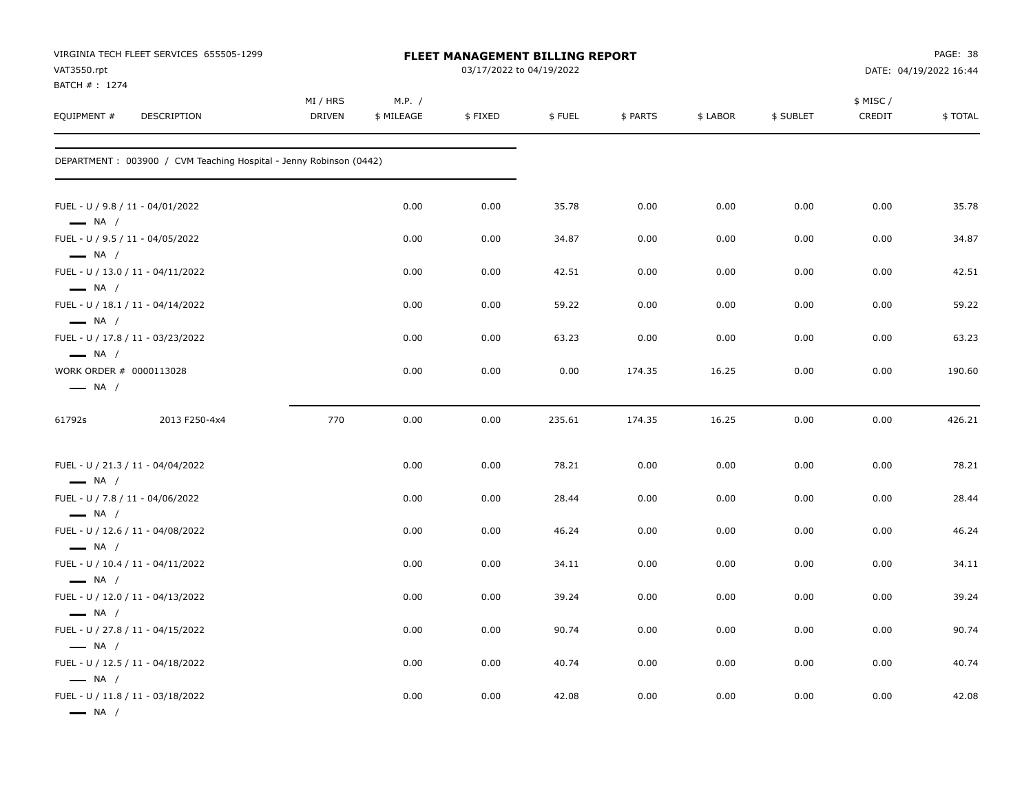| VAT3550.rpt                                       | VIRGINIA TECH FLEET SERVICES 655505-1299                           |                           |                      | <b>FLEET MANAGEMENT BILLING REPORT</b><br>03/17/2022 to 04/19/2022 |        |          |          |           |                    | PAGE: 38<br>DATE: 04/19/2022 16:44 |
|---------------------------------------------------|--------------------------------------------------------------------|---------------------------|----------------------|--------------------------------------------------------------------|--------|----------|----------|-----------|--------------------|------------------------------------|
| BATCH #: 1274<br>EQUIPMENT #                      | DESCRIPTION                                                        | MI / HRS<br><b>DRIVEN</b> | M.P. /<br>\$ MILEAGE | \$FIXED                                                            | \$FUEL | \$ PARTS | \$ LABOR | \$ SUBLET | \$ MISC/<br>CREDIT | \$TOTAL                            |
|                                                   | DEPARTMENT: 003900 / CVM Teaching Hospital - Jenny Robinson (0442) |                           |                      |                                                                    |        |          |          |           |                    |                                    |
| $\longrightarrow$ NA /                            | FUEL - U / 9.8 / 11 - 04/01/2022                                   |                           | 0.00                 | 0.00                                                               | 35.78  | 0.00     | 0.00     | 0.00      | 0.00               | 35.78                              |
|                                                   | FUEL - U / 9.5 / 11 - 04/05/2022                                   |                           | 0.00                 | 0.00                                                               | 34.87  | 0.00     | 0.00     | 0.00      | 0.00               | 34.87                              |
| $\longrightarrow$ NA /<br>$\longrightarrow$ NA /  | FUEL - U / 13.0 / 11 - 04/11/2022                                  |                           | 0.00                 | 0.00                                                               | 42.51  | 0.00     | 0.00     | 0.00      | 0.00               | 42.51                              |
| $\longrightarrow$ NA /                            | FUEL - U / 18.1 / 11 - 04/14/2022                                  |                           | 0.00                 | 0.00                                                               | 59.22  | 0.00     | 0.00     | 0.00      | 0.00               | 59.22                              |
| $\longrightarrow$ NA /                            | FUEL - U / 17.8 / 11 - 03/23/2022                                  |                           | 0.00                 | 0.00                                                               | 63.23  | 0.00     | 0.00     | 0.00      | 0.00               | 63.23                              |
| WORK ORDER # 0000113028<br>$\longrightarrow$ NA / |                                                                    |                           | 0.00                 | 0.00                                                               | 0.00   | 174.35   | 16.25    | 0.00      | 0.00               | 190.60                             |
| 61792s                                            | 2013 F250-4x4                                                      | 770                       | 0.00                 | 0.00                                                               | 235.61 | 174.35   | 16.25    | 0.00      | 0.00               | 426.21                             |
| $\longrightarrow$ NA /                            | FUEL - U / 21.3 / 11 - 04/04/2022                                  |                           | 0.00                 | 0.00                                                               | 78.21  | 0.00     | 0.00     | 0.00      | 0.00               | 78.21                              |
| $\longrightarrow$ NA /                            | FUEL - U / 7.8 / 11 - 04/06/2022                                   |                           | 0.00                 | 0.00                                                               | 28.44  | 0.00     | 0.00     | 0.00      | 0.00               | 28.44                              |
| $\longrightarrow$ NA /                            | FUEL - U / 12.6 / 11 - 04/08/2022                                  |                           | 0.00                 | 0.00                                                               | 46.24  | 0.00     | 0.00     | 0.00      | 0.00               | 46.24                              |
| $\longrightarrow$ NA /                            | FUEL - U / 10.4 / 11 - 04/11/2022                                  |                           | 0.00                 | 0.00                                                               | 34.11  | 0.00     | 0.00     | 0.00      | 0.00               | 34.11                              |
|                                                   | FUEL - U / 12.0 / 11 - 04/13/2022                                  |                           | 0.00                 | 0.00                                                               | 39.24  | 0.00     | 0.00     | 0.00      | 0.00               | 39.24                              |
| $\longrightarrow$ NA /                            | FUEL - U / 27.8 / 11 - 04/15/2022                                  |                           | 0.00                 | 0.00                                                               | 90.74  | 0.00     | 0.00     | 0.00      | 0.00               | 90.74                              |
| $\longrightarrow$ NA /                            | FUEL - U / 12.5 / 11 - 04/18/2022                                  |                           | 0.00                 | 0.00                                                               | 40.74  | 0.00     | 0.00     | 0.00      | 0.00               | 40.74                              |
| $\longrightarrow$ NA /<br>$\longrightarrow$ NA /  | FUEL - U / 11.8 / 11 - 03/18/2022                                  |                           | 0.00                 | 0.00                                                               | 42.08  | 0.00     | 0.00     | 0.00      | 0.00               | 42.08                              |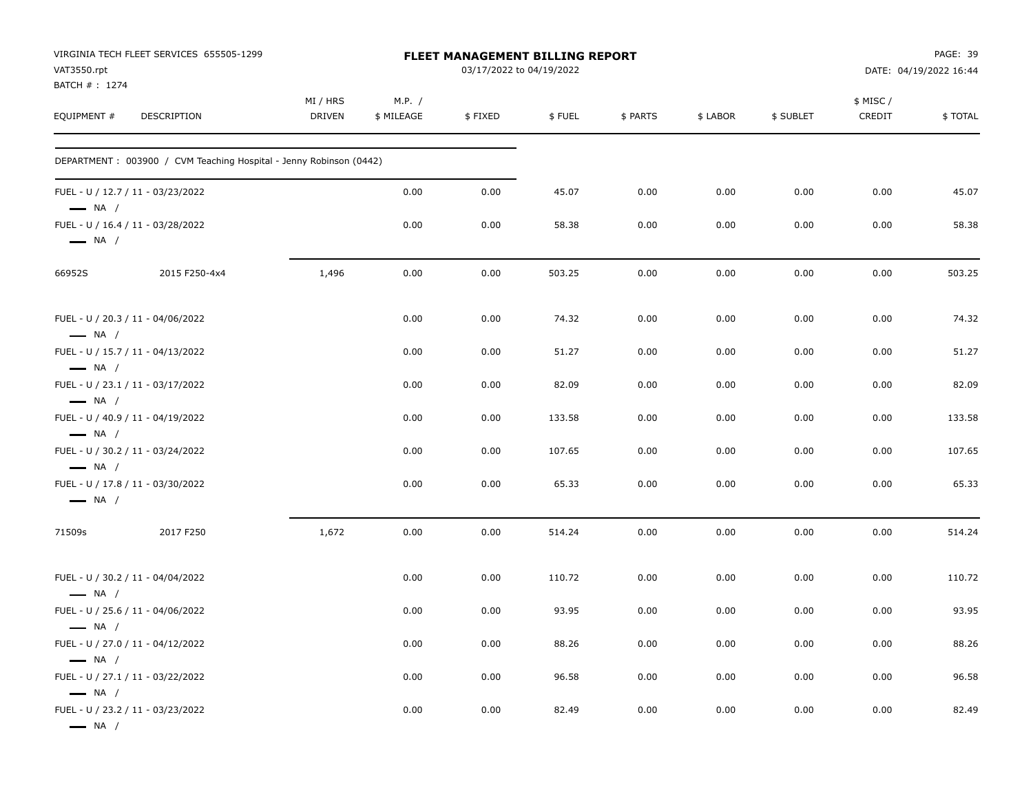| VAT3550.rpt<br>BATCH #: 1274 | VIRGINIA TECH FLEET SERVICES 655505-1299                           |                           |                      | FLEET MANAGEMENT BILLING REPORT<br>03/17/2022 to 04/19/2022 |        |          |          |           |                     | PAGE: 39<br>DATE: 04/19/2022 16:44 |
|------------------------------|--------------------------------------------------------------------|---------------------------|----------------------|-------------------------------------------------------------|--------|----------|----------|-----------|---------------------|------------------------------------|
| EQUIPMENT #                  | DESCRIPTION                                                        | MI / HRS<br><b>DRIVEN</b> | M.P. /<br>\$ MILEAGE | \$FIXED                                                     | \$FUEL | \$ PARTS | \$ LABOR | \$ SUBLET | \$ MISC /<br>CREDIT | \$TOTAL                            |
|                              | DEPARTMENT: 003900 / CVM Teaching Hospital - Jenny Robinson (0442) |                           |                      |                                                             |        |          |          |           |                     |                                    |
| $\longrightarrow$ NA /       | FUEL - U / 12.7 / 11 - 03/23/2022                                  |                           | 0.00                 | 0.00                                                        | 45.07  | 0.00     | 0.00     | 0.00      | 0.00                | 45.07                              |
| $\longrightarrow$ NA /       | FUEL - U / 16.4 / 11 - 03/28/2022                                  |                           | 0.00                 | 0.00                                                        | 58.38  | 0.00     | 0.00     | 0.00      | 0.00                | 58.38                              |
| 66952S                       | 2015 F250-4x4                                                      | 1,496                     | 0.00                 | 0.00                                                        | 503.25 | 0.00     | 0.00     | 0.00      | 0.00                | 503.25                             |
| $\longrightarrow$ NA /       | FUEL - U / 20.3 / 11 - 04/06/2022                                  |                           | 0.00                 | 0.00                                                        | 74.32  | 0.00     | 0.00     | 0.00      | 0.00                | 74.32                              |
| $\longrightarrow$ NA /       | FUEL - U / 15.7 / 11 - 04/13/2022                                  |                           | 0.00                 | 0.00                                                        | 51.27  | 0.00     | 0.00     | 0.00      | 0.00                | 51.27                              |
| $\longrightarrow$ NA /       | FUEL - U / 23.1 / 11 - 03/17/2022                                  |                           | 0.00                 | 0.00                                                        | 82.09  | 0.00     | 0.00     | 0.00      | 0.00                | 82.09                              |
| $\longrightarrow$ NA /       | FUEL - U / 40.9 / 11 - 04/19/2022                                  |                           | 0.00                 | 0.00                                                        | 133.58 | 0.00     | 0.00     | 0.00      | 0.00                | 133.58                             |
| $\longrightarrow$ NA /       | FUEL - U / 30.2 / 11 - 03/24/2022                                  |                           | 0.00                 | 0.00                                                        | 107.65 | 0.00     | 0.00     | 0.00      | 0.00                | 107.65                             |
| $\longrightarrow$ NA /       | FUEL - U / 17.8 / 11 - 03/30/2022                                  |                           | 0.00                 | 0.00                                                        | 65.33  | 0.00     | 0.00     | 0.00      | 0.00                | 65.33                              |
| 71509s                       | 2017 F250                                                          | 1,672                     | 0.00                 | 0.00                                                        | 514.24 | 0.00     | 0.00     | 0.00      | 0.00                | 514.24                             |
| $\longrightarrow$ NA /       | FUEL - U / 30.2 / 11 - 04/04/2022                                  |                           | 0.00                 | 0.00                                                        | 110.72 | 0.00     | 0.00     | 0.00      | 0.00                | 110.72                             |
| $\longrightarrow$ NA /       | FUEL - U / 25.6 / 11 - 04/06/2022                                  |                           | 0.00                 | 0.00                                                        | 93.95  | 0.00     | 0.00     | 0.00      | 0.00                | 93.95                              |
| $\longrightarrow$ NA /       | FUEL - U / 27.0 / 11 - 04/12/2022                                  |                           | 0.00                 | 0.00                                                        | 88.26  | 0.00     | 0.00     | 0.00      | 0.00                | 88.26                              |
| $\longrightarrow$ NA /       | FUEL - U / 27.1 / 11 - 03/22/2022                                  |                           | 0.00                 | 0.00                                                        | 96.58  | 0.00     | 0.00     | 0.00      | 0.00                | 96.58                              |
| $\longrightarrow$ NA $/$     | FUEL - U / 23.2 / 11 - 03/23/2022                                  |                           | 0.00                 | 0.00                                                        | 82.49  | 0.00     | 0.00     | 0.00      | 0.00                | 82.49                              |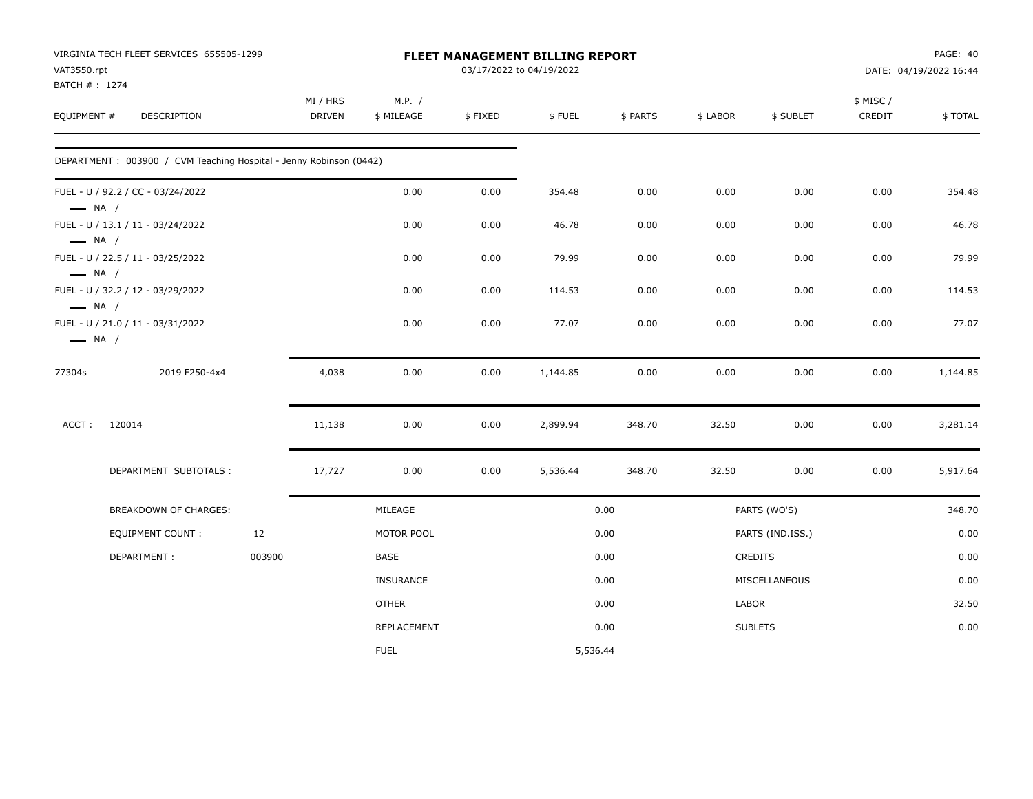| VAT3550.rpt<br>BATCH #: 1274                     | VIRGINIA TECH FLEET SERVICES 655505-1299                            |        |                    |                      |         | FLEET MANAGEMENT BILLING REPORT<br>03/17/2022 to 04/19/2022 |          |          |                  |                     | PAGE: 40<br>DATE: 04/19/2022 16:44 |
|--------------------------------------------------|---------------------------------------------------------------------|--------|--------------------|----------------------|---------|-------------------------------------------------------------|----------|----------|------------------|---------------------|------------------------------------|
| EQUIPMENT #                                      | DESCRIPTION                                                         |        | MI / HRS<br>DRIVEN | M.P. /<br>\$ MILEAGE | \$FIXED | \$FUEL                                                      | \$ PARTS | \$ LABOR | \$ SUBLET        | \$ MISC /<br>CREDIT | \$TOTAL                            |
|                                                  | DEPARTMENT : 003900 / CVM Teaching Hospital - Jenny Robinson (0442) |        |                    |                      |         |                                                             |          |          |                  |                     |                                    |
| $\longrightarrow$ NA /                           | FUEL - U / 92.2 / CC - 03/24/2022                                   |        |                    | 0.00                 | 0.00    | 354.48                                                      | 0.00     | 0.00     | 0.00             | 0.00                | 354.48                             |
|                                                  | FUEL - U / 13.1 / 11 - 03/24/2022                                   |        |                    | 0.00                 | 0.00    | 46.78                                                       | 0.00     | 0.00     | 0.00             | 0.00                | 46.78                              |
| $\longrightarrow$ NA /                           | FUEL - U / 22.5 / 11 - 03/25/2022                                   |        |                    | 0.00                 | 0.00    | 79.99                                                       | 0.00     | 0.00     | 0.00             | 0.00                | 79.99                              |
| $\longrightarrow$ NA /<br>$\longrightarrow$ NA / | FUEL - U / 32.2 / 12 - 03/29/2022                                   |        |                    | 0.00                 | 0.00    | 114.53                                                      | 0.00     | 0.00     | 0.00             | 0.00                | 114.53                             |
| $\longrightarrow$ NA /                           | FUEL - U / 21.0 / 11 - 03/31/2022                                   |        |                    | 0.00                 | 0.00    | 77.07                                                       | 0.00     | 0.00     | 0.00             | 0.00                | 77.07                              |
| 77304s                                           | 2019 F250-4x4                                                       |        | 4,038              | 0.00                 | 0.00    | 1,144.85                                                    | 0.00     | 0.00     | 0.00             | 0.00                | 1,144.85                           |
| ACCT:                                            | 120014                                                              |        | 11,138             | 0.00                 | 0.00    | 2,899.94                                                    | 348.70   | 32.50    | 0.00             | 0.00                | 3,281.14                           |
|                                                  | DEPARTMENT SUBTOTALS :                                              |        | 17,727             | 0.00                 | 0.00    | 5,536.44                                                    | 348.70   | 32.50    | 0.00             | 0.00                | 5,917.64                           |
|                                                  | BREAKDOWN OF CHARGES:                                               |        |                    | MILEAGE              |         |                                                             | 0.00     |          | PARTS (WO'S)     |                     | 348.70                             |
|                                                  | EQUIPMENT COUNT:                                                    | 12     |                    | MOTOR POOL           |         |                                                             | 0.00     |          | PARTS (IND.ISS.) |                     | 0.00                               |
|                                                  | DEPARTMENT:                                                         | 003900 |                    | <b>BASE</b>          |         |                                                             | 0.00     |          | <b>CREDITS</b>   |                     | 0.00                               |
|                                                  |                                                                     |        |                    | <b>INSURANCE</b>     |         |                                                             | 0.00     |          | MISCELLANEOUS    |                     | 0.00                               |
|                                                  |                                                                     |        |                    | <b>OTHER</b>         |         |                                                             | 0.00     | LABOR    |                  |                     | 32.50                              |
|                                                  |                                                                     |        |                    | REPLACEMENT          |         |                                                             | 0.00     |          | <b>SUBLETS</b>   |                     | 0.00                               |
|                                                  |                                                                     |        |                    | <b>FUEL</b>          |         | 5,536.44                                                    |          |          |                  |                     |                                    |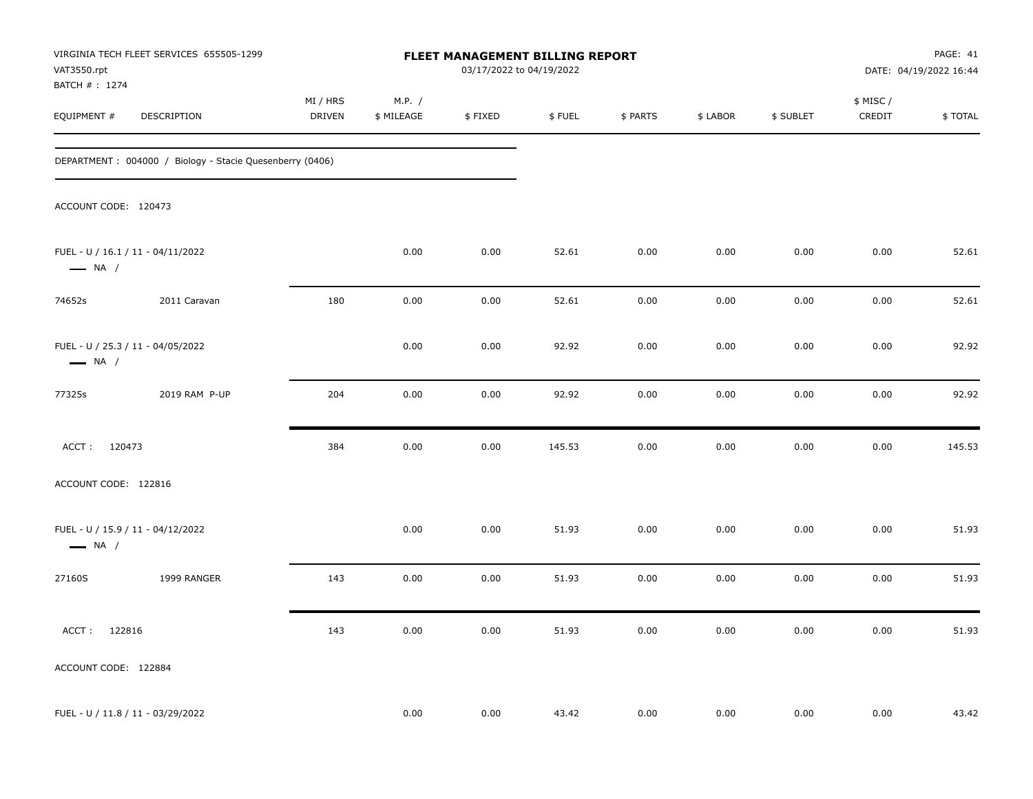| VAT3550.rpt<br>BATCH #: 1274 | VIRGINIA TECH FLEET SERVICES 655505-1299                 |                           |                      | FLEET MANAGEMENT BILLING REPORT<br>03/17/2022 to 04/19/2022 |        |          |          |           |                     | PAGE: 41<br>DATE: 04/19/2022 16:44 |
|------------------------------|----------------------------------------------------------|---------------------------|----------------------|-------------------------------------------------------------|--------|----------|----------|-----------|---------------------|------------------------------------|
| EQUIPMENT #                  | DESCRIPTION                                              | MI / HRS<br><b>DRIVEN</b> | M.P. /<br>\$ MILEAGE | \$FIXED                                                     | \$FUEL | \$ PARTS | \$ LABOR | \$ SUBLET | \$ MISC /<br>CREDIT | \$TOTAL                            |
|                              | DEPARTMENT: 004000 / Biology - Stacie Quesenberry (0406) |                           |                      |                                                             |        |          |          |           |                     |                                    |
| ACCOUNT CODE: 120473         |                                                          |                           |                      |                                                             |        |          |          |           |                     |                                    |
| $\longrightarrow$ NA /       | FUEL - U / 16.1 / 11 - 04/11/2022                        |                           | 0.00                 | 0.00                                                        | 52.61  | 0.00     | 0.00     | 0.00      | 0.00                | 52.61                              |
| 74652s                       | 2011 Caravan                                             | 180                       | 0.00                 | 0.00                                                        | 52.61  | 0.00     | 0.00     | 0.00      | 0.00                | 52.61                              |
| $\longrightarrow$ NA /       | FUEL - U / 25.3 / 11 - 04/05/2022                        |                           | 0.00                 | 0.00                                                        | 92.92  | 0.00     | 0.00     | 0.00      | 0.00                | 92.92                              |
| 77325s                       | 2019 RAM P-UP                                            | 204                       | 0.00                 | 0.00                                                        | 92.92  | 0.00     | 0.00     | 0.00      | 0.00                | 92.92                              |
| ACCT: 120473                 |                                                          | 384                       | 0.00                 | 0.00                                                        | 145.53 | 0.00     | 0.00     | 0.00      | 0.00                | 145.53                             |
| ACCOUNT CODE: 122816         |                                                          |                           |                      |                                                             |        |          |          |           |                     |                                    |
| $\longrightarrow$ NA /       | FUEL - U / 15.9 / 11 - 04/12/2022                        |                           | 0.00                 | 0.00                                                        | 51.93  | 0.00     | 0.00     | 0.00      | 0.00                | 51.93                              |
| 27160S                       | 1999 RANGER                                              | 143                       | 0.00                 | 0.00                                                        | 51.93  | 0.00     | 0.00     | 0.00      | 0.00                | 51.93                              |
| ACCT: 122816                 |                                                          | 143                       | 0.00                 | 0.00                                                        | 51.93  | 0.00     | 0.00     | 0.00      | 0.00                | 51.93                              |
| ACCOUNT CODE: 122884         |                                                          |                           |                      |                                                             |        |          |          |           |                     |                                    |
|                              | FUEL - U / 11.8 / 11 - 03/29/2022                        |                           | 0.00                 | 0.00                                                        | 43.42  | 0.00     | 0.00     | 0.00      | 0.00                | 43.42                              |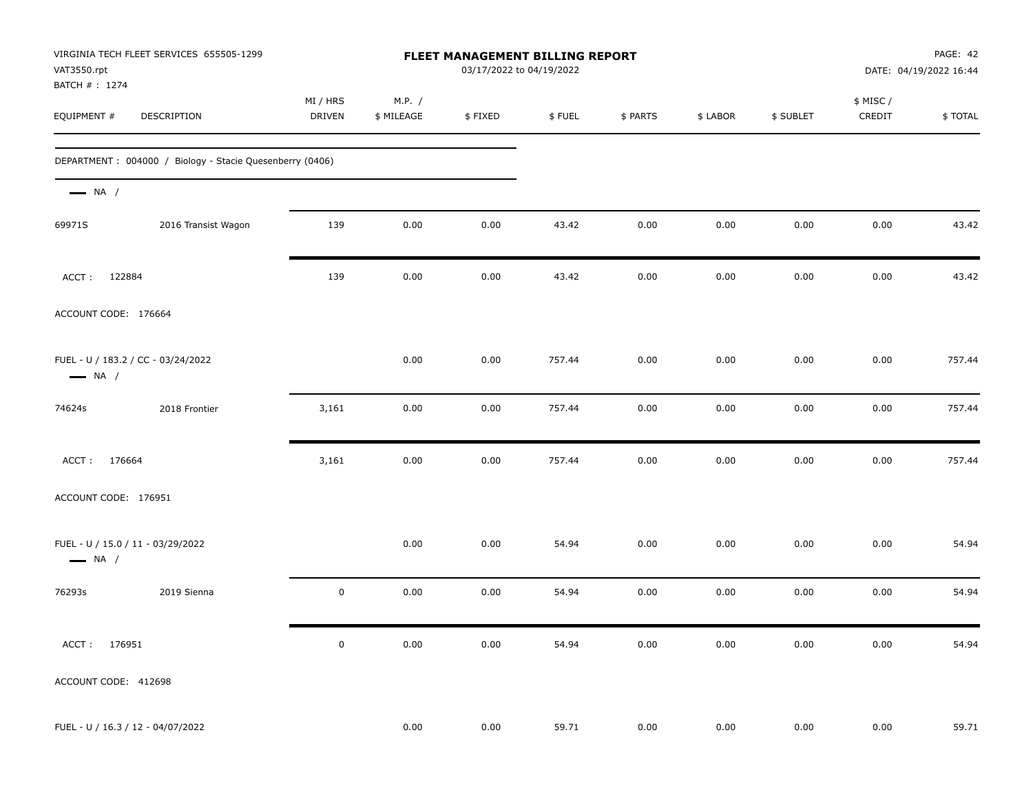| VAT3550.rpt                                                  | VIRGINIA TECH FLEET SERVICES 655505-1299                 |                    |                      | FLEET MANAGEMENT BILLING REPORT<br>03/17/2022 to 04/19/2022 |        |          |          |           |                     | PAGE: 42<br>DATE: 04/19/2022 16:44 |
|--------------------------------------------------------------|----------------------------------------------------------|--------------------|----------------------|-------------------------------------------------------------|--------|----------|----------|-----------|---------------------|------------------------------------|
| BATCH #: 1274<br>EQUIPMENT #                                 | <b>DESCRIPTION</b>                                       | MI / HRS<br>DRIVEN | M.P. /<br>\$ MILEAGE | \$FIXED                                                     | \$FUEL | \$ PARTS | \$ LABOR | \$ SUBLET | \$ MISC /<br>CREDIT | \$TOTAL                            |
|                                                              | DEPARTMENT: 004000 / Biology - Stacie Quesenberry (0406) |                    |                      |                                                             |        |          |          |           |                     |                                    |
| $\longrightarrow$ NA /                                       |                                                          |                    |                      |                                                             |        |          |          |           |                     |                                    |
| 69971S                                                       | 2016 Transist Wagon                                      | 139                | 0.00                 | 0.00                                                        | 43.42  | 0.00     | 0.00     | 0.00      | 0.00                | 43.42                              |
| ACCT: 122884                                                 |                                                          | 139                | 0.00                 | 0.00                                                        | 43.42  | 0.00     | 0.00     | 0.00      | 0.00                | 43.42                              |
| ACCOUNT CODE: 176664                                         |                                                          |                    |                      |                                                             |        |          |          |           |                     |                                    |
| FUEL - U / 183.2 / CC - 03/24/2022<br>$\longrightarrow$ NA / |                                                          |                    | 0.00                 | 0.00                                                        | 757.44 | 0.00     | 0.00     | 0.00      | 0.00                | 757.44                             |
| 74624s                                                       | 2018 Frontier                                            | 3,161              | 0.00                 | 0.00                                                        | 757.44 | 0.00     | 0.00     | 0.00      | 0.00                | 757.44                             |
| ACCT: 176664                                                 |                                                          | 3,161              | 0.00                 | 0.00                                                        | 757.44 | 0.00     | 0.00     | 0.00      | 0.00                | 757.44                             |
| ACCOUNT CODE: 176951                                         |                                                          |                    |                      |                                                             |        |          |          |           |                     |                                    |
| FUEL - U / 15.0 / 11 - 03/29/2022<br>$\longrightarrow$ NA /  |                                                          |                    | 0.00                 | 0.00                                                        | 54.94  | 0.00     | 0.00     | 0.00      | 0.00                | 54.94                              |
| 76293s                                                       | 2019 Sienna                                              | $\mathbf 0$        | 0.00                 | 0.00                                                        | 54.94  | 0.00     | 0.00     | 0.00      | 0.00                | 54.94                              |
| ACCT: 176951                                                 |                                                          | $\mathbf 0$        | 0.00                 | $0.00\,$                                                    | 54.94  | 0.00     | 0.00     | 0.00      | $0.00\,$            | 54.94                              |
| ACCOUNT CODE: 412698                                         |                                                          |                    |                      |                                                             |        |          |          |           |                     |                                    |
| FUEL - U / 16.3 / 12 - 04/07/2022                            |                                                          |                    | 0.00                 | 0.00                                                        | 59.71  | 0.00     | 0.00     | 0.00      | 0.00                | 59.71                              |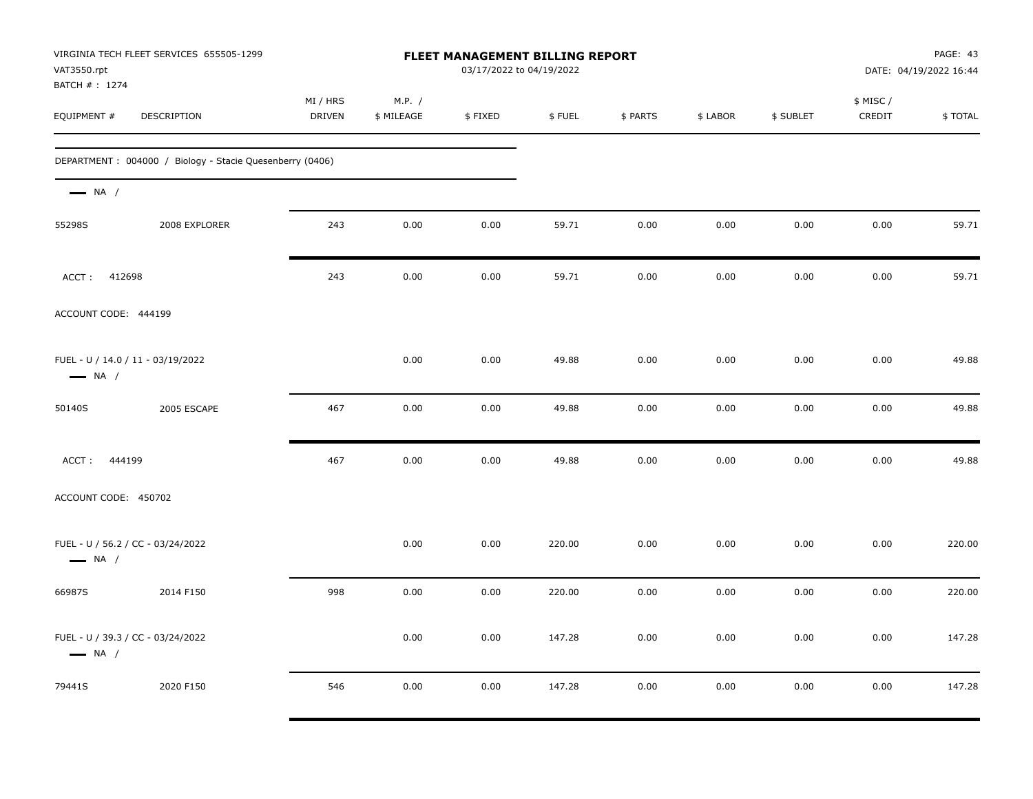| VAT3550.rpt<br>BATCH #: 1274                                | VIRGINIA TECH FLEET SERVICES 655505-1299                 |                           |                      |         | FLEET MANAGEMENT BILLING REPORT<br>03/17/2022 to 04/19/2022 |          |          |           |                    | PAGE: 43<br>DATE: 04/19/2022 16:44 |
|-------------------------------------------------------------|----------------------------------------------------------|---------------------------|----------------------|---------|-------------------------------------------------------------|----------|----------|-----------|--------------------|------------------------------------|
| EQUIPMENT #                                                 | DESCRIPTION                                              | MI / HRS<br><b>DRIVEN</b> | M.P. /<br>\$ MILEAGE | \$FIXED | \$FUEL                                                      | \$ PARTS | \$ LABOR | \$ SUBLET | \$ MISC/<br>CREDIT | \$TOTAL                            |
|                                                             | DEPARTMENT: 004000 / Biology - Stacie Quesenberry (0406) |                           |                      |         |                                                             |          |          |           |                    |                                    |
| $\longrightarrow$ NA /                                      |                                                          |                           |                      |         |                                                             |          |          |           |                    |                                    |
| 55298S                                                      | 2008 EXPLORER                                            | 243                       | 0.00                 | 0.00    | 59.71                                                       | 0.00     | 0.00     | 0.00      | 0.00               | 59.71                              |
| ACCT: 412698                                                |                                                          | 243                       | 0.00                 | 0.00    | 59.71                                                       | 0.00     | 0.00     | 0.00      | 0.00               | 59.71                              |
| ACCOUNT CODE: 444199                                        |                                                          |                           |                      |         |                                                             |          |          |           |                    |                                    |
| FUEL - U / 14.0 / 11 - 03/19/2022<br>$\longrightarrow$ NA / |                                                          |                           | 0.00                 | 0.00    | 49.88                                                       | 0.00     | 0.00     | 0.00      | 0.00               | 49.88                              |
| 50140S                                                      | 2005 ESCAPE                                              | 467                       | 0.00                 | 0.00    | 49.88                                                       | 0.00     | 0.00     | 0.00      | 0.00               | 49.88                              |
| ACCT:<br>444199                                             |                                                          | 467                       | 0.00                 | 0.00    | 49.88                                                       | 0.00     | 0.00     | 0.00      | 0.00               | 49.88                              |
| ACCOUNT CODE: 450702                                        |                                                          |                           |                      |         |                                                             |          |          |           |                    |                                    |
| FUEL - U / 56.2 / CC - 03/24/2022<br>$\longrightarrow$ NA / |                                                          |                           | 0.00                 | 0.00    | 220.00                                                      | 0.00     | 0.00     | 0.00      | 0.00               | 220.00                             |
| 66987S                                                      | 2014 F150                                                | 998                       | 0.00                 | 0.00    | 220.00                                                      | 0.00     | 0.00     | 0.00      | 0.00               | 220.00                             |
| FUEL - U / 39.3 / CC - 03/24/2022<br>$\longrightarrow$ NA / |                                                          |                           | 0.00                 | 0.00    | 147.28                                                      | 0.00     | 0.00     | 0.00      | 0.00               | 147.28                             |
| 79441S                                                      | 2020 F150                                                | 546                       | 0.00                 | 0.00    | 147.28                                                      | 0.00     | 0.00     | 0.00      | 0.00               | 147.28                             |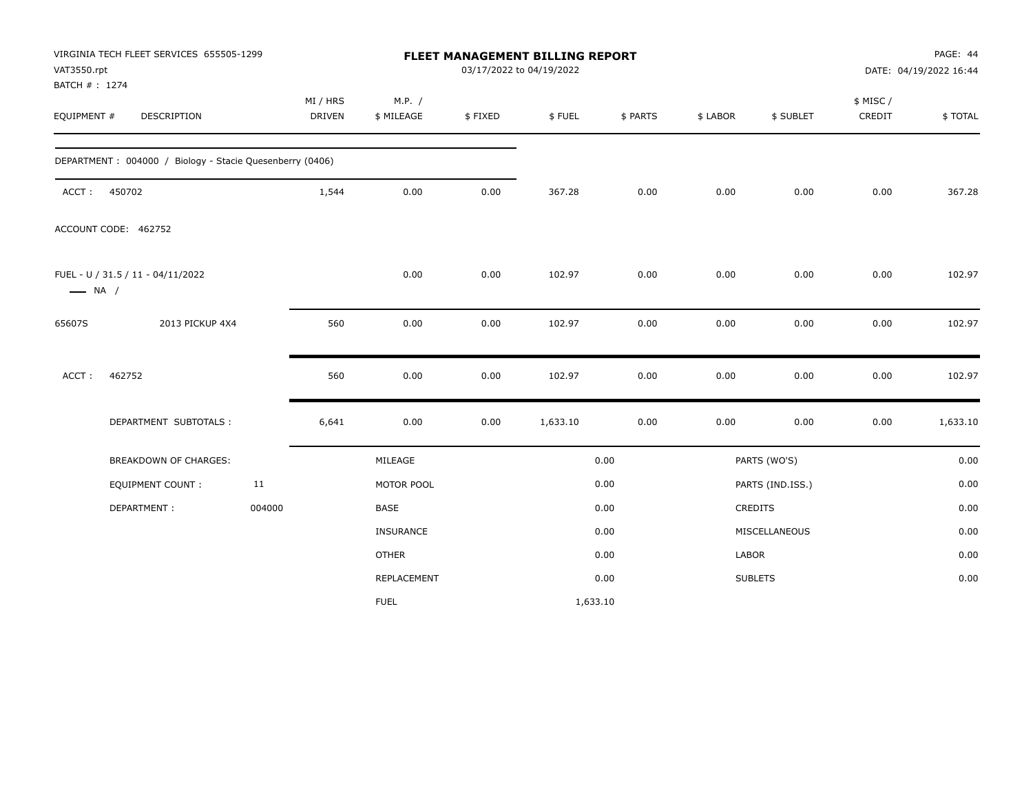| VAT3550.rpt                  | VIRGINIA TECH FLEET SERVICES 655505-1299                 |        |                           |                      |         | FLEET MANAGEMENT BILLING REPORT<br>03/17/2022 to 04/19/2022 |          |          |                  |                    | PAGE: 44<br>DATE: 04/19/2022 16:44 |
|------------------------------|----------------------------------------------------------|--------|---------------------------|----------------------|---------|-------------------------------------------------------------|----------|----------|------------------|--------------------|------------------------------------|
| BATCH #: 1274<br>EQUIPMENT # | DESCRIPTION                                              |        | MI / HRS<br><b>DRIVEN</b> | M.P. /<br>\$ MILEAGE | \$FIXED | \$FUEL                                                      | \$ PARTS | \$ LABOR | \$ SUBLET        | \$ MISC/<br>CREDIT | \$TOTAL                            |
|                              | DEPARTMENT: 004000 / Biology - Stacie Quesenberry (0406) |        |                           |                      |         |                                                             |          |          |                  |                    |                                    |
| ACCT:                        | 450702                                                   |        | 1,544                     | 0.00                 | 0.00    | 367.28                                                      | 0.00     | 0.00     | 0.00             | 0.00               | 367.28                             |
|                              | ACCOUNT CODE: 462752                                     |        |                           |                      |         |                                                             |          |          |                  |                    |                                    |
| $\longrightarrow$ NA /       | FUEL - U / 31.5 / 11 - 04/11/2022                        |        |                           | 0.00                 | 0.00    | 102.97                                                      | 0.00     | 0.00     | 0.00             | 0.00               | 102.97                             |
| 65607S                       | 2013 PICKUP 4X4                                          |        | 560                       | 0.00                 | 0.00    | 102.97                                                      | 0.00     | 0.00     | 0.00             | 0.00               | 102.97                             |
| ACCT:                        | 462752                                                   |        | 560                       | 0.00                 | 0.00    | 102.97                                                      | 0.00     | 0.00     | 0.00             | 0.00               | 102.97                             |
|                              | DEPARTMENT SUBTOTALS :                                   |        | 6,641                     | 0.00                 | 0.00    | 1,633.10                                                    | 0.00     | 0.00     | 0.00             | 0.00               | 1,633.10                           |
|                              | <b>BREAKDOWN OF CHARGES:</b>                             |        |                           | MILEAGE              |         |                                                             | 0.00     |          | PARTS (WO'S)     |                    | 0.00                               |
|                              | <b>EQUIPMENT COUNT:</b>                                  | 11     |                           | MOTOR POOL           |         |                                                             | 0.00     |          | PARTS (IND.ISS.) |                    | 0.00                               |
|                              | DEPARTMENT:                                              | 004000 |                           | <b>BASE</b>          |         |                                                             | 0.00     |          | <b>CREDITS</b>   |                    | 0.00                               |
|                              |                                                          |        |                           | <b>INSURANCE</b>     |         |                                                             | 0.00     |          | MISCELLANEOUS    |                    | 0.00                               |
|                              |                                                          |        |                           | <b>OTHER</b>         |         |                                                             | 0.00     | LABOR    |                  |                    | 0.00                               |
|                              |                                                          |        |                           | REPLACEMENT          |         |                                                             | 0.00     |          | <b>SUBLETS</b>   |                    | 0.00                               |
|                              |                                                          |        |                           | <b>FUEL</b>          |         | 1,633.10                                                    |          |          |                  |                    |                                    |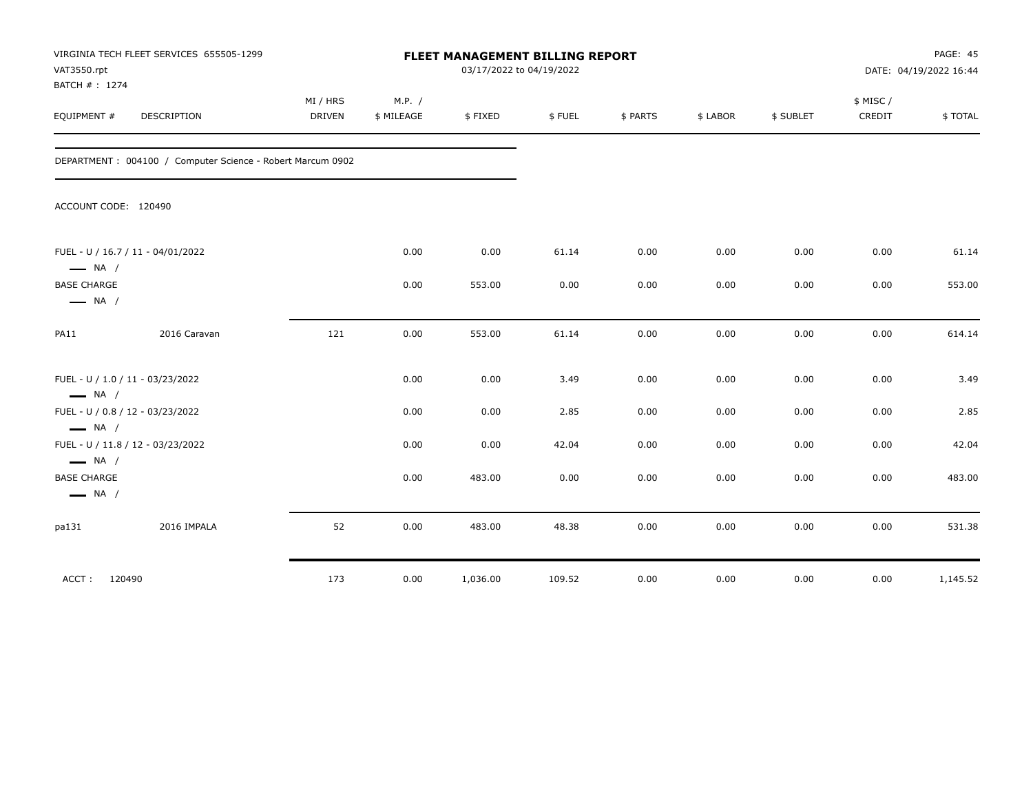| VAT3550.rpt<br>BATCH #: 1274                 | VIRGINIA TECH FLEET SERVICES 655505-1299                   |                           |                      | FLEET MANAGEMENT BILLING REPORT | 03/17/2022 to 04/19/2022 |          |          |           |                     | PAGE: 45<br>DATE: 04/19/2022 16:44 |
|----------------------------------------------|------------------------------------------------------------|---------------------------|----------------------|---------------------------------|--------------------------|----------|----------|-----------|---------------------|------------------------------------|
| EQUIPMENT #                                  | DESCRIPTION                                                | MI / HRS<br><b>DRIVEN</b> | M.P. /<br>\$ MILEAGE | \$FIXED                         | \$FUEL                   | \$ PARTS | \$ LABOR | \$ SUBLET | \$ MISC /<br>CREDIT | \$TOTAL                            |
|                                              | DEPARTMENT: 004100 / Computer Science - Robert Marcum 0902 |                           |                      |                                 |                          |          |          |           |                     |                                    |
| ACCOUNT CODE: 120490                         |                                                            |                           |                      |                                 |                          |          |          |           |                     |                                    |
| $\longrightarrow$ NA /                       | FUEL - U / 16.7 / 11 - 04/01/2022                          |                           | 0.00                 | 0.00                            | 61.14                    | 0.00     | 0.00     | 0.00      | 0.00                | 61.14                              |
| <b>BASE CHARGE</b><br>$\longrightarrow$ NA / |                                                            |                           | 0.00                 | 553.00                          | 0.00                     | 0.00     | 0.00     | 0.00      | 0.00                | 553.00                             |
| PA11                                         | 2016 Caravan                                               | 121                       | 0.00                 | 553.00                          | 61.14                    | 0.00     | 0.00     | 0.00      | 0.00                | 614.14                             |
| $\longrightarrow$ NA /                       | FUEL - U / 1.0 / 11 - 03/23/2022                           |                           | 0.00                 | 0.00                            | 3.49                     | 0.00     | 0.00     | 0.00      | 0.00                | 3.49                               |
| $\longrightarrow$ NA /                       | FUEL - U / 0.8 / 12 - 03/23/2022                           |                           | 0.00                 | 0.00                            | 2.85                     | 0.00     | 0.00     | 0.00      | 0.00                | 2.85                               |
| $\longrightarrow$ NA /                       | FUEL - U / 11.8 / 12 - 03/23/2022                          |                           | 0.00                 | 0.00                            | 42.04                    | 0.00     | 0.00     | 0.00      | 0.00                | 42.04                              |
| <b>BASE CHARGE</b><br>$\longrightarrow$ NA / |                                                            |                           | 0.00                 | 483.00                          | 0.00                     | 0.00     | 0.00     | 0.00      | 0.00                | 483.00                             |
| pa131                                        | 2016 IMPALA                                                | 52                        | 0.00                 | 483.00                          | 48.38                    | 0.00     | 0.00     | 0.00      | 0.00                | 531.38                             |
| ACCT: 120490                                 |                                                            | 173                       | 0.00                 | 1,036.00                        | 109.52                   | 0.00     | 0.00     | 0.00      | 0.00                | 1,145.52                           |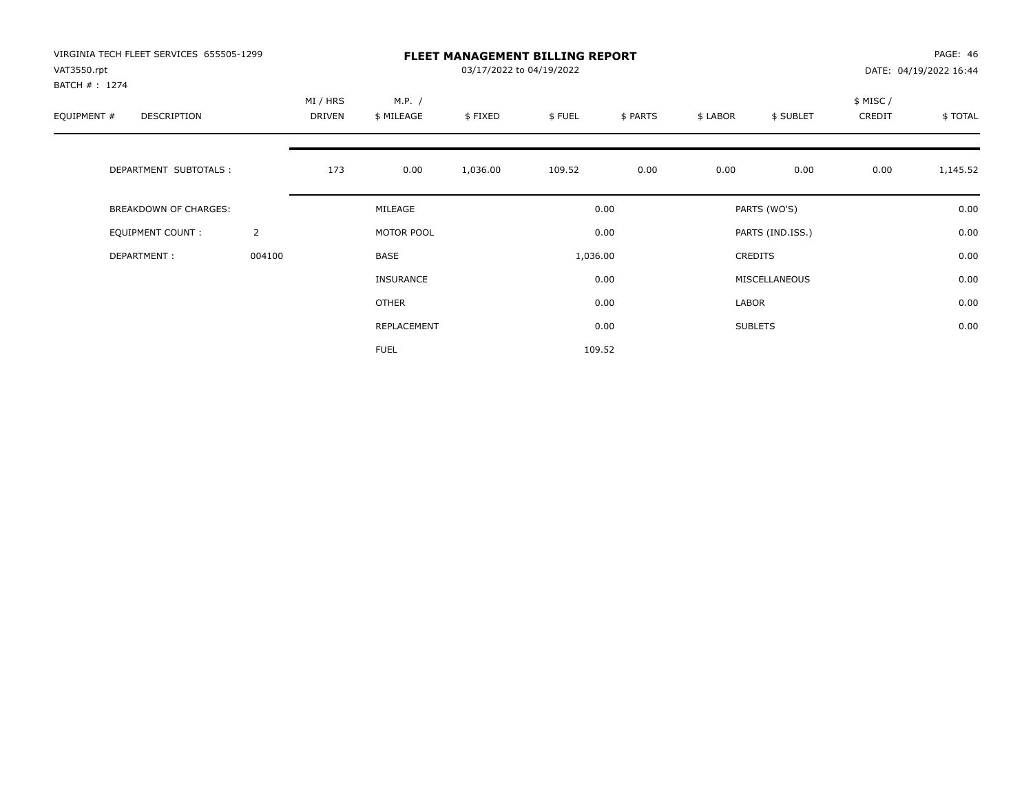| VIRGINIA TECH FLEET SERVICES 655505-1299<br>VAT3550.rpt |                |                    |                      | 03/17/2022 to 04/19/2022 | <b>FLEET MANAGEMENT BILLING REPORT</b> |          |          |                  |                    | PAGE: 46<br>DATE: 04/19/2022 16:44 |
|---------------------------------------------------------|----------------|--------------------|----------------------|--------------------------|----------------------------------------|----------|----------|------------------|--------------------|------------------------------------|
| BATCH #: 1274<br>EQUIPMENT #<br>DESCRIPTION             |                | MI / HRS<br>DRIVEN | M.P. /<br>\$ MILEAGE | \$FIXED                  | \$FUEL                                 | \$ PARTS | \$ LABOR | \$ SUBLET        | \$ MISC/<br>CREDIT | \$ TOTAL                           |
| DEPARTMENT SUBTOTALS :                                  |                | 173                | 0.00                 | 1,036.00                 | 109.52                                 | 0.00     | 0.00     | 0.00             | 0.00               | 1,145.52                           |
| <b>BREAKDOWN OF CHARGES:</b>                            |                |                    | MILEAGE              |                          |                                        | 0.00     |          | PARTS (WO'S)     |                    | 0.00                               |
| EQUIPMENT COUNT:                                        | $\overline{2}$ |                    | MOTOR POOL           |                          |                                        | 0.00     |          | PARTS (IND.ISS.) |                    | 0.00                               |
| DEPARTMENT:                                             | 004100         |                    | BASE                 |                          | 1,036.00                               |          |          | <b>CREDITS</b>   |                    | 0.00                               |
|                                                         |                |                    | INSURANCE            |                          |                                        | 0.00     |          | MISCELLANEOUS    |                    | 0.00                               |
|                                                         |                |                    | <b>OTHER</b>         |                          |                                        | 0.00     | LABOR    |                  |                    | 0.00                               |
|                                                         |                |                    | REPLACEMENT          |                          |                                        | 0.00     |          | <b>SUBLETS</b>   |                    | 0.00                               |
|                                                         |                |                    | <b>FUEL</b>          |                          |                                        | 109.52   |          |                  |                    |                                    |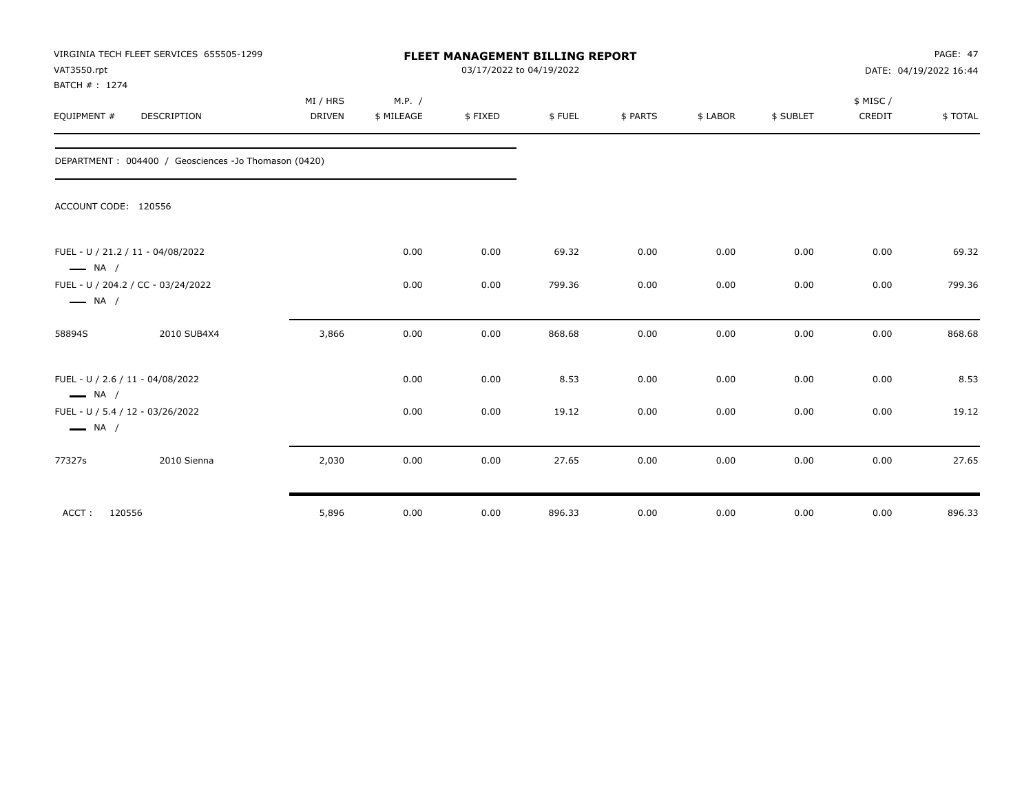| VAT3550.rpt<br>BATCH #: 1274 | VIRGINIA TECH FLEET SERVICES 655505-1299             |               |            | <b>FLEET MANAGEMENT BILLING REPORT</b><br>03/17/2022 to 04/19/2022 |        |          |          |           |          | <b>PAGE: 47</b><br>DATE: 04/19/2022 16:44 |
|------------------------------|------------------------------------------------------|---------------|------------|--------------------------------------------------------------------|--------|----------|----------|-----------|----------|-------------------------------------------|
|                              |                                                      | MI / HRS      | M.P. /     |                                                                    |        |          |          |           | \$ MISC/ |                                           |
| EQUIPMENT #                  | DESCRIPTION                                          | <b>DRIVEN</b> | \$ MILEAGE | \$FIXED                                                            | \$FUEL | \$ PARTS | \$ LABOR | \$ SUBLET | CREDIT   | \$TOTAL                                   |
|                              | DEPARTMENT: 004400 / Geosciences -Jo Thomason (0420) |               |            |                                                                    |        |          |          |           |          |                                           |
| ACCOUNT CODE: 120556         |                                                      |               |            |                                                                    |        |          |          |           |          |                                           |
| $\longrightarrow$ NA /       | FUEL - U / 21.2 / 11 - 04/08/2022                    |               | 0.00       | 0.00                                                               | 69.32  | 0.00     | 0.00     | 0.00      | 0.00     | 69.32                                     |
| $\longrightarrow$ NA /       | FUEL - U / 204.2 / CC - 03/24/2022                   |               | 0.00       | 0.00                                                               | 799.36 | 0.00     | 0.00     | 0.00      | 0.00     | 799.36                                    |
| 58894S                       | 2010 SUB4X4                                          | 3,866         | 0.00       | 0.00                                                               | 868.68 | 0.00     | 0.00     | 0.00      | 0.00     | 868.68                                    |
| $\longrightarrow$ NA /       | FUEL - U / 2.6 / 11 - 04/08/2022                     |               | 0.00       | 0.00                                                               | 8.53   | 0.00     | 0.00     | 0.00      | 0.00     | 8.53                                      |
| $\longrightarrow$ NA /       | FUEL - U / 5.4 / 12 - 03/26/2022                     |               | 0.00       | 0.00                                                               | 19.12  | 0.00     | 0.00     | 0.00      | 0.00     | 19.12                                     |
| 77327s                       | 2010 Sienna                                          | 2,030         | 0.00       | 0.00                                                               | 27.65  | 0.00     | 0.00     | 0.00      | 0.00     | 27.65                                     |
| ACCT:<br>120556              |                                                      | 5,896         | 0.00       | 0.00                                                               | 896.33 | 0.00     | 0.00     | 0.00      | 0.00     | 896.33                                    |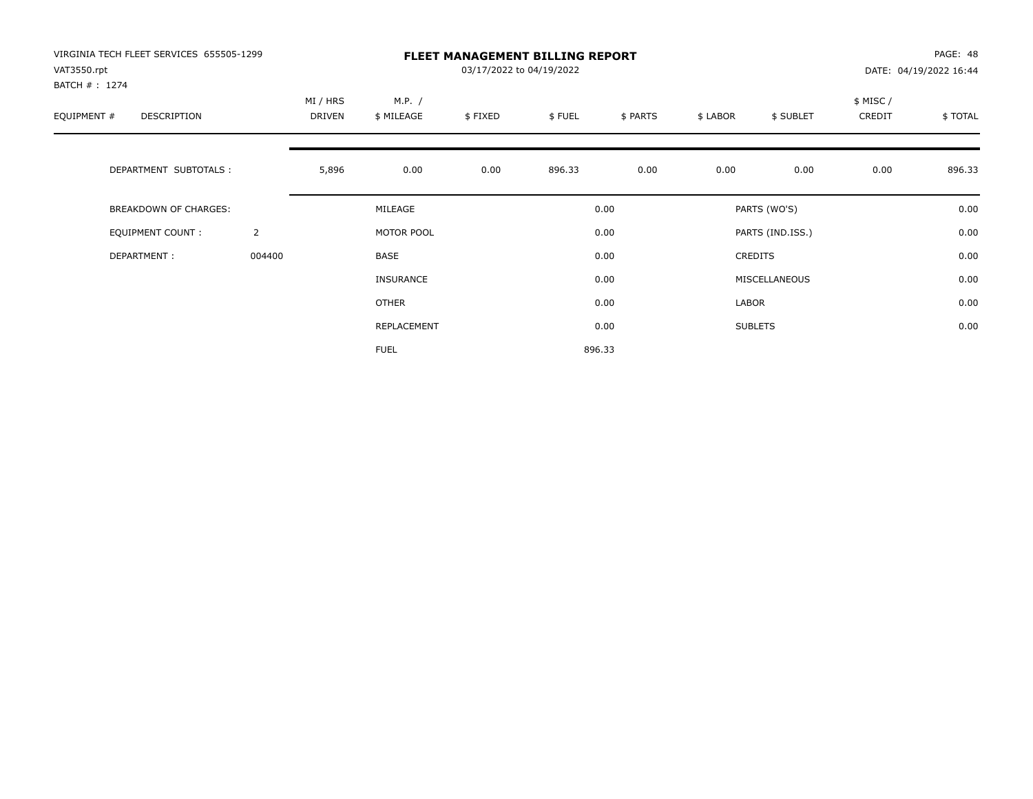| VIRGINIA TECH FLEET SERVICES 655505-1299<br>VAT3550.rpt<br>BATCH #: 1274 |                |                    |                      | 03/17/2022 to 04/19/2022 | <b>FLEET MANAGEMENT BILLING REPORT</b> |          |          |                  |                    | PAGE: 48<br>DATE: 04/19/2022 16:44 |
|--------------------------------------------------------------------------|----------------|--------------------|----------------------|--------------------------|----------------------------------------|----------|----------|------------------|--------------------|------------------------------------|
| EQUIPMENT #<br>DESCRIPTION                                               |                | MI / HRS<br>DRIVEN | M.P. /<br>\$ MILEAGE | \$FIXED                  | \$FUEL                                 | \$ PARTS | \$ LABOR | \$ SUBLET        | \$ MISC/<br>CREDIT | \$ TOTAL                           |
| DEPARTMENT SUBTOTALS :                                                   |                | 5,896              | 0.00                 | 0.00                     | 896.33                                 | 0.00     | 0.00     | 0.00             | 0.00               | 896.33                             |
| BREAKDOWN OF CHARGES:                                                    |                |                    | MILEAGE              |                          |                                        | 0.00     |          | PARTS (WO'S)     |                    | 0.00                               |
| <b>EQUIPMENT COUNT:</b>                                                  | $\overline{2}$ |                    | MOTOR POOL           |                          |                                        | 0.00     |          | PARTS (IND.ISS.) |                    | 0.00                               |
| DEPARTMENT:                                                              | 004400         |                    | <b>BASE</b>          |                          |                                        | 0.00     |          | <b>CREDITS</b>   |                    | 0.00                               |
|                                                                          |                |                    | <b>INSURANCE</b>     |                          |                                        | 0.00     |          | MISCELLANEOUS    |                    | 0.00                               |
|                                                                          |                |                    | OTHER                |                          |                                        | 0.00     | LABOR    |                  |                    | 0.00                               |
|                                                                          |                |                    | REPLACEMENT          |                          |                                        | 0.00     |          | <b>SUBLETS</b>   |                    | 0.00                               |
|                                                                          |                |                    | <b>FUEL</b>          |                          |                                        | 896.33   |          |                  |                    |                                    |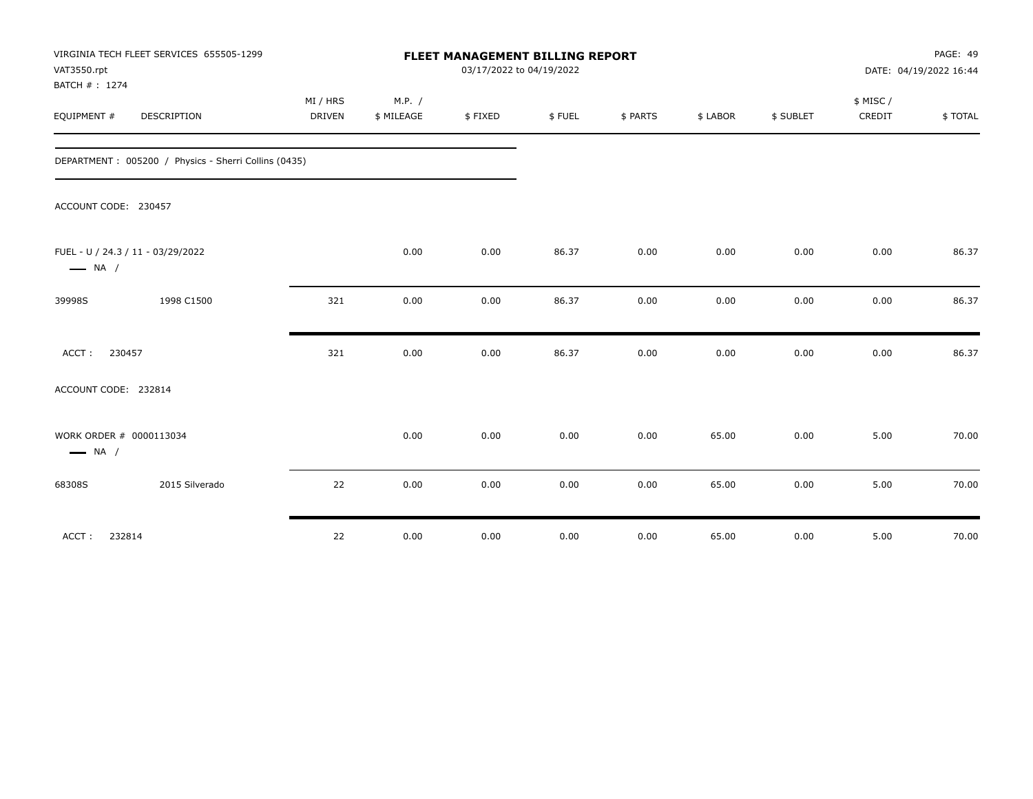| VAT3550.rpt<br>BATCH #: 1274                                | VIRGINIA TECH FLEET SERVICES 655505-1299             |                    | PAGE: 49<br>DATE: 04/19/2022 16:44 |         |        |          |          |           |                    |         |
|-------------------------------------------------------------|------------------------------------------------------|--------------------|------------------------------------|---------|--------|----------|----------|-----------|--------------------|---------|
| EQUIPMENT #                                                 | DESCRIPTION                                          | MI / HRS<br>DRIVEN | M.P. /<br>\$ MILEAGE               | \$FIXED | \$FUEL | \$ PARTS | \$ LABOR | \$ SUBLET | \$ MISC/<br>CREDIT | \$TOTAL |
|                                                             | DEPARTMENT: 005200 / Physics - Sherri Collins (0435) |                    |                                    |         |        |          |          |           |                    |         |
| ACCOUNT CODE: 230457                                        |                                                      |                    |                                    |         |        |          |          |           |                    |         |
| FUEL - U / 24.3 / 11 - 03/29/2022<br>$\longrightarrow$ NA / |                                                      |                    | 0.00                               | 0.00    | 86.37  | 0.00     | 0.00     | 0.00      | 0.00               | 86.37   |
| 39998S                                                      | 1998 C1500                                           | 321                | 0.00                               | 0.00    | 86.37  | 0.00     | 0.00     | 0.00      | 0.00               | 86.37   |
| ACCT: 230457                                                |                                                      | 321                | 0.00                               | 0.00    | 86.37  | 0.00     | 0.00     | 0.00      | 0.00               | 86.37   |
| ACCOUNT CODE: 232814                                        |                                                      |                    |                                    |         |        |          |          |           |                    |         |
| WORK ORDER # 0000113034<br>$\longrightarrow$ NA /           |                                                      |                    | 0.00                               | 0.00    | 0.00   | 0.00     | 65.00    | 0.00      | 5.00               | 70.00   |
| 68308S                                                      | 2015 Silverado                                       | 22                 | 0.00                               | 0.00    | 0.00   | 0.00     | 65.00    | 0.00      | 5.00               | 70.00   |
| ACCT:<br>232814                                             |                                                      | 22                 | 0.00                               | 0.00    | 0.00   | 0.00     | 65.00    | 0.00      | 5.00               | 70.00   |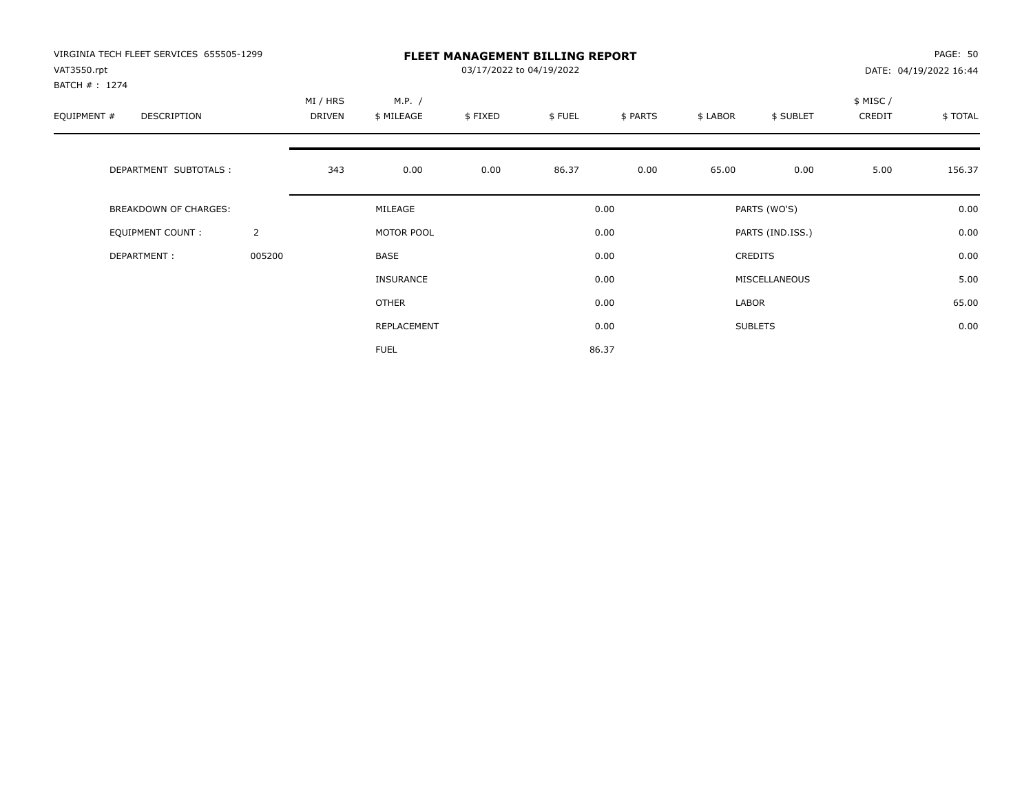| VIRGINIA TECH FLEET SERVICES 655505-1299<br>VAT3550.rpt<br>BATCH #: 1274 |                | <b>FLEET MANAGEMENT BILLING REPORT</b><br>03/17/2022 to 04/19/2022 |                      |         |        |          |          |                  |                     | PAGE: 50<br>DATE: 04/19/2022 16:44 |  |
|--------------------------------------------------------------------------|----------------|--------------------------------------------------------------------|----------------------|---------|--------|----------|----------|------------------|---------------------|------------------------------------|--|
| EQUIPMENT #<br><b>DESCRIPTION</b>                                        |                | MI / HRS<br><b>DRIVEN</b>                                          | M.P. /<br>\$ MILEAGE | \$FIXED | \$FUEL | \$ PARTS | \$ LABOR | \$ SUBLET        | \$ MISC /<br>CREDIT | \$TOTAL                            |  |
| DEPARTMENT SUBTOTALS :                                                   |                | 343                                                                | 0.00                 | 0.00    | 86.37  | 0.00     | 65.00    | 0.00             | 5.00                | 156.37                             |  |
| <b>BREAKDOWN OF CHARGES:</b>                                             |                |                                                                    | MILEAGE              |         |        | 0.00     |          | PARTS (WO'S)     |                     | 0.00                               |  |
| <b>EQUIPMENT COUNT:</b>                                                  | $\overline{2}$ |                                                                    | MOTOR POOL           |         |        | 0.00     |          | PARTS (IND.ISS.) |                     | 0.00                               |  |
| DEPARTMENT:                                                              | 005200         |                                                                    | <b>BASE</b>          |         |        | 0.00     |          | <b>CREDITS</b>   |                     | 0.00                               |  |
|                                                                          |                |                                                                    | INSURANCE            |         |        | 0.00     |          | MISCELLANEOUS    |                     | 5.00                               |  |
|                                                                          |                |                                                                    | OTHER                |         |        | 0.00     | LABOR    |                  |                     | 65.00                              |  |
|                                                                          |                |                                                                    | REPLACEMENT          |         |        | 0.00     |          | <b>SUBLETS</b>   |                     | 0.00                               |  |
|                                                                          |                |                                                                    | <b>FUEL</b>          |         |        | 86.37    |          |                  |                     |                                    |  |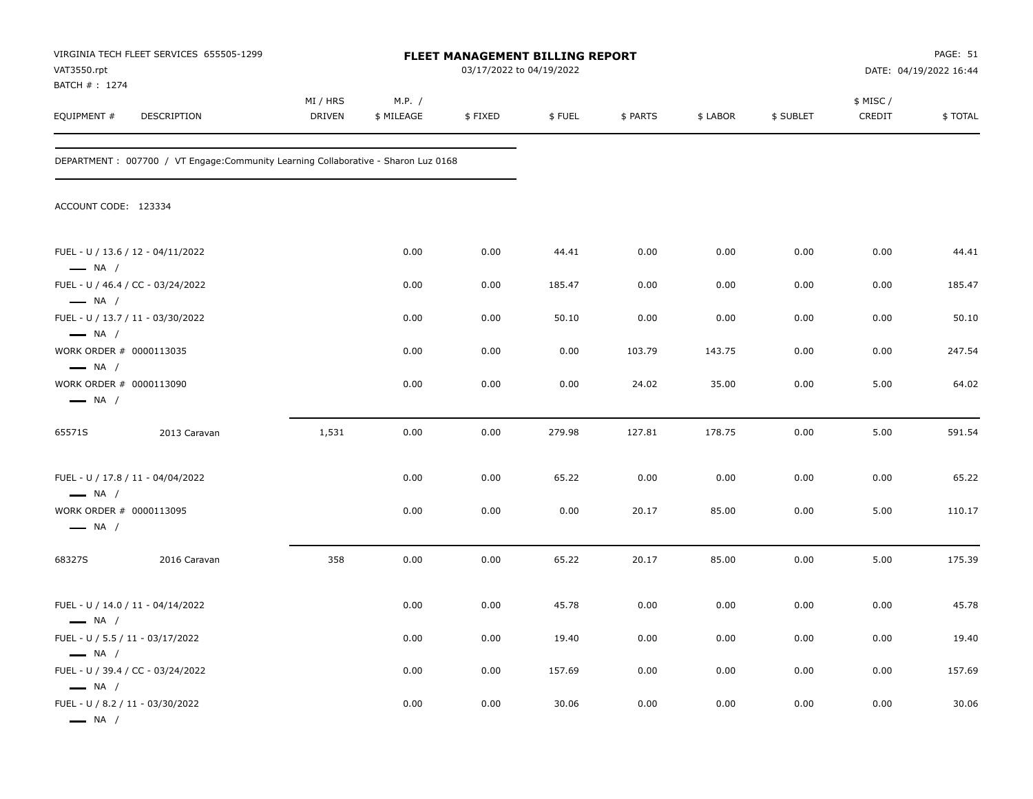| VAT3550.rpt<br>BATCH #: 1274                               | VIRGINIA TECH FLEET SERVICES 655505-1299                                            |                    |                      | FLEET MANAGEMENT BILLING REPORT<br>03/17/2022 to 04/19/2022 |        |          |          |           |                    | PAGE: 51<br>DATE: 04/19/2022 16:44 |
|------------------------------------------------------------|-------------------------------------------------------------------------------------|--------------------|----------------------|-------------------------------------------------------------|--------|----------|----------|-----------|--------------------|------------------------------------|
| EQUIPMENT #                                                | DESCRIPTION                                                                         | MI / HRS<br>DRIVEN | M.P. /<br>\$ MILEAGE | \$FIXED                                                     | \$FUEL | \$ PARTS | \$ LABOR | \$ SUBLET | \$ MISC/<br>CREDIT | \$TOTAL                            |
|                                                            | DEPARTMENT : 007700 / VT Engage: Community Learning Collaborative - Sharon Luz 0168 |                    |                      |                                                             |        |          |          |           |                    |                                    |
| ACCOUNT CODE: 123334                                       |                                                                                     |                    |                      |                                                             |        |          |          |           |                    |                                    |
| $\longrightarrow$ NA /                                     | FUEL - U / 13.6 / 12 - 04/11/2022                                                   |                    | 0.00                 | 0.00                                                        | 44.41  | 0.00     | 0.00     | 0.00      | 0.00               | 44.41                              |
| $\longrightarrow$ NA /                                     | FUEL - U / 46.4 / CC - 03/24/2022                                                   |                    | 0.00                 | 0.00                                                        | 185.47 | 0.00     | 0.00     | 0.00      | 0.00               | 185.47                             |
| $\longrightarrow$ NA /                                     | FUEL - U / 13.7 / 11 - 03/30/2022                                                   |                    | 0.00                 | 0.00                                                        | 50.10  | 0.00     | 0.00     | 0.00      | 0.00               | 50.10                              |
| WORK ORDER # 0000113035<br>$\longrightarrow$ NA /          |                                                                                     |                    | 0.00                 | 0.00                                                        | 0.00   | 103.79   | 143.75   | 0.00      | 0.00               | 247.54                             |
| WORK ORDER # 0000113090<br>$\longrightarrow$ NA /          |                                                                                     |                    | 0.00                 | 0.00                                                        | 0.00   | 24.02    | 35.00    | 0.00      | 5.00               | 64.02                              |
| 65571S                                                     | 2013 Caravan                                                                        | 1,531              | 0.00                 | 0.00                                                        | 279.98 | 127.81   | 178.75   | 0.00      | 5.00               | 591.54                             |
| $\longrightarrow$ NA /                                     | FUEL - U / 17.8 / 11 - 04/04/2022                                                   |                    | 0.00                 | 0.00                                                        | 65.22  | 0.00     | 0.00     | 0.00      | 0.00               | 65.22                              |
| WORK ORDER # 0000113095<br>$\longrightarrow$ NA /          |                                                                                     |                    | 0.00                 | 0.00                                                        | 0.00   | 20.17    | 85.00    | 0.00      | 5.00               | 110.17                             |
| 68327S                                                     | 2016 Caravan                                                                        | 358                | 0.00                 | 0.00                                                        | 65.22  | 20.17    | 85.00    | 0.00      | 5.00               | 175.39                             |
| $\longrightarrow$ NA /                                     | FUEL - U / 14.0 / 11 - 04/14/2022                                                   |                    | 0.00                 | 0.00                                                        | 45.78  | 0.00     | 0.00     | 0.00      | 0.00               | 45.78                              |
| FUEL - U / 5.5 / 11 - 03/17/2022<br>$\longrightarrow$ NA / |                                                                                     |                    | 0.00                 | 0.00                                                        | 19.40  | 0.00     | 0.00     | 0.00      | 0.00               | 19.40                              |
| $\longrightarrow$ NA /                                     | FUEL - U / 39.4 / CC - 03/24/2022                                                   |                    | 0.00                 | 0.00                                                        | 157.69 | 0.00     | 0.00     | 0.00      | 0.00               | 157.69                             |
| FUEL - U / 8.2 / 11 - 03/30/2022<br>$\longrightarrow$ NA / |                                                                                     |                    | 0.00                 | 0.00                                                        | 30.06  | 0.00     | 0.00     | 0.00      | 0.00               | 30.06                              |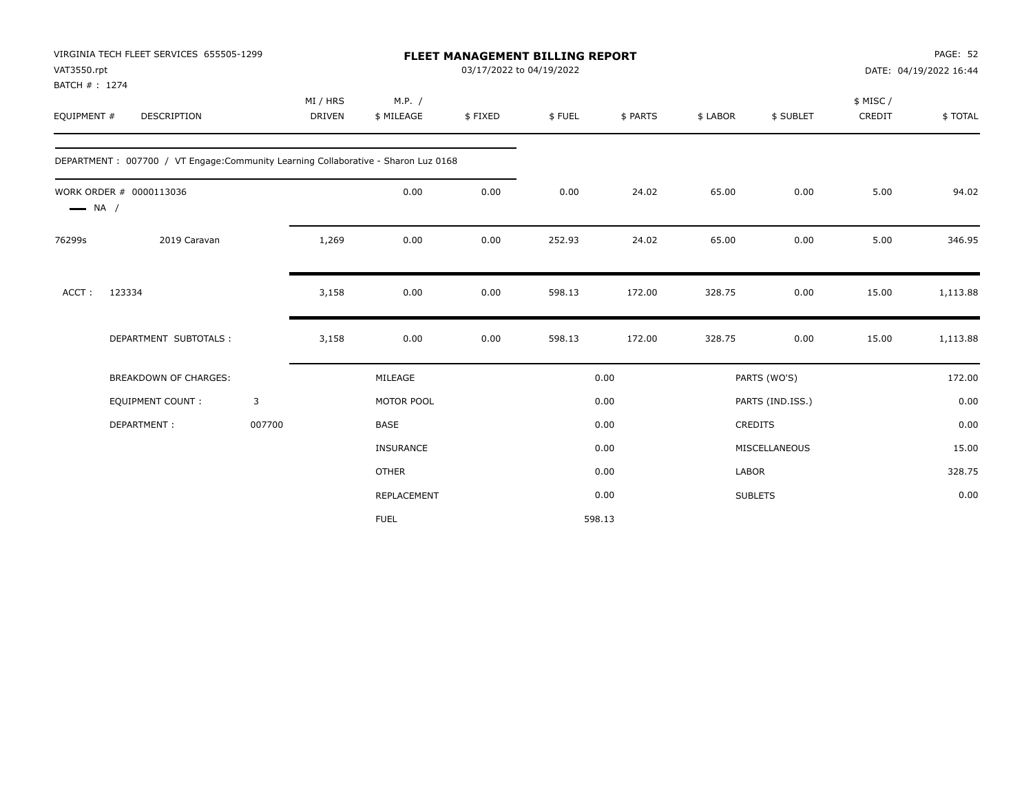| VAT3550.rpt<br>BATCH #: 1274 | VIRGINIA TECH FLEET SERVICES 655505-1299                                          |        | <b>FLEET MANAGEMENT BILLING REPORT</b><br>03/17/2022 to 04/19/2022 |                      |         |        |          |          |                  | PAGE: 52<br>DATE: 04/19/2022 16:44 |          |
|------------------------------|-----------------------------------------------------------------------------------|--------|--------------------------------------------------------------------|----------------------|---------|--------|----------|----------|------------------|------------------------------------|----------|
| EQUIPMENT #                  | DESCRIPTION                                                                       |        | MI / HRS<br>DRIVEN                                                 | M.P. /<br>\$ MILEAGE | \$FIXED | \$FUEL | \$ PARTS | \$ LABOR | \$ SUBLET        | \$ MISC /<br>CREDIT                | \$ TOTAL |
|                              | DEPARTMENT: 007700 / VT Engage:Community Learning Collaborative - Sharon Luz 0168 |        |                                                                    |                      |         |        |          |          |                  |                                    |          |
| $\longrightarrow$ NA /       | WORK ORDER # 0000113036                                                           |        |                                                                    | 0.00                 | 0.00    | 0.00   | 24.02    | 65.00    | 0.00             | 5.00                               | 94.02    |
| 76299s                       | 2019 Caravan                                                                      |        | 1,269                                                              | 0.00                 | 0.00    | 252.93 | 24.02    | 65.00    | 0.00             | 5.00                               | 346.95   |
| ACCT:                        | 123334                                                                            |        | 3,158                                                              | 0.00                 | 0.00    | 598.13 | 172.00   | 328.75   | 0.00             | 15.00                              | 1,113.88 |
|                              | DEPARTMENT SUBTOTALS :                                                            |        | 3,158                                                              | 0.00                 | 0.00    | 598.13 | 172.00   | 328.75   | 0.00             | 15.00                              | 1,113.88 |
|                              | <b>BREAKDOWN OF CHARGES:</b>                                                      |        |                                                                    | MILEAGE              |         |        | 0.00     |          | PARTS (WO'S)     |                                    | 172.00   |
|                              | <b>EQUIPMENT COUNT:</b>                                                           | 3      |                                                                    | MOTOR POOL           |         |        | 0.00     |          | PARTS (IND.ISS.) |                                    | 0.00     |
|                              | DEPARTMENT:                                                                       | 007700 |                                                                    | <b>BASE</b>          |         |        | 0.00     |          | <b>CREDITS</b>   |                                    | 0.00     |
|                              |                                                                                   |        |                                                                    | INSURANCE            |         |        | 0.00     |          | MISCELLANEOUS    |                                    | 15.00    |
|                              |                                                                                   |        |                                                                    | <b>OTHER</b>         |         |        | 0.00     | LABOR    |                  |                                    | 328.75   |
|                              |                                                                                   |        |                                                                    | REPLACEMENT          |         |        | 0.00     |          | <b>SUBLETS</b>   |                                    | 0.00     |
|                              |                                                                                   |        |                                                                    | <b>FUEL</b>          |         |        | 598.13   |          |                  |                                    |          |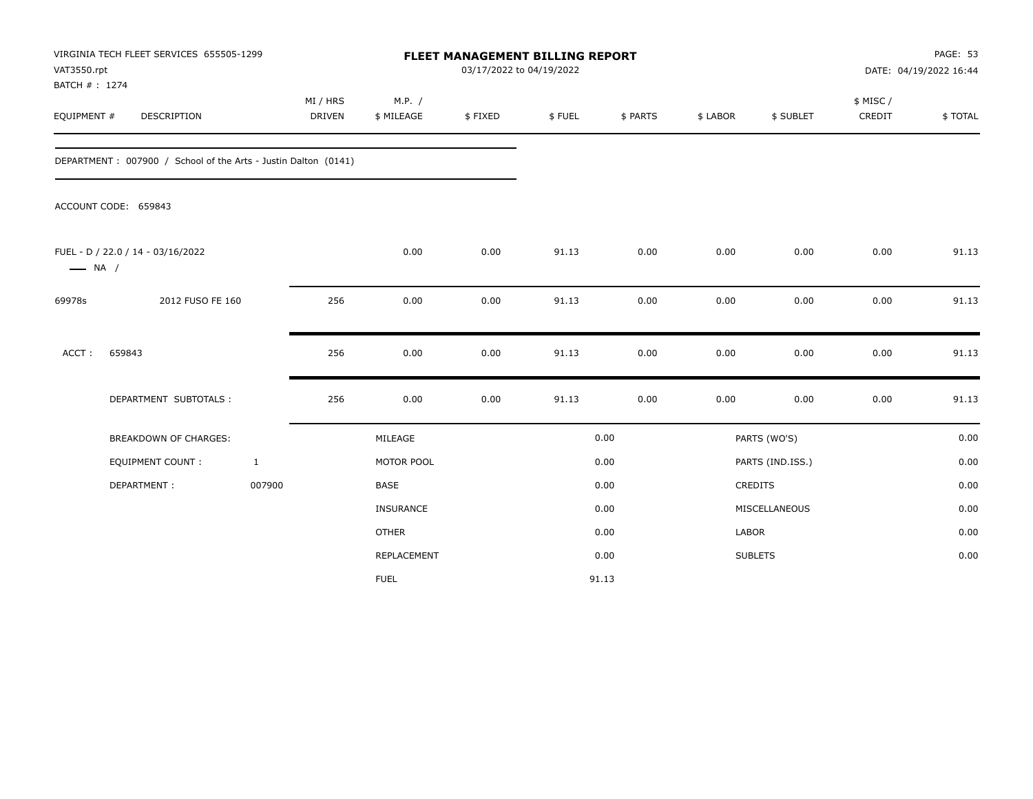| VAT3550.rpt                  | VIRGINIA TECH FLEET SERVICES 655505-1299                       |              |                           |                      | FLEET MANAGEMENT BILLING REPORT<br>03/17/2022 to 04/19/2022 |        |          |          |                  |                     | PAGE: 53<br>DATE: 04/19/2022 16:44 |
|------------------------------|----------------------------------------------------------------|--------------|---------------------------|----------------------|-------------------------------------------------------------|--------|----------|----------|------------------|---------------------|------------------------------------|
| BATCH #: 1274<br>EQUIPMENT # | DESCRIPTION                                                    |              | MI / HRS<br><b>DRIVEN</b> | M.P. /<br>\$ MILEAGE | \$FIXED                                                     | \$FUEL | \$ PARTS | \$ LABOR | \$ SUBLET        | \$ MISC /<br>CREDIT | \$TOTAL                            |
|                              | DEPARTMENT: 007900 / School of the Arts - Justin Dalton (0141) |              |                           |                      |                                                             |        |          |          |                  |                     |                                    |
|                              | ACCOUNT CODE: 659843                                           |              |                           |                      |                                                             |        |          |          |                  |                     |                                    |
| $\longrightarrow$ NA /       | FUEL - D / 22.0 / 14 - 03/16/2022                              |              |                           | 0.00                 | 0.00                                                        | 91.13  | 0.00     | 0.00     | 0.00             | 0.00                | 91.13                              |
| 69978s                       | 2012 FUSO FE 160                                               |              | 256                       | 0.00                 | 0.00                                                        | 91.13  | 0.00     | 0.00     | 0.00             | 0.00                | 91.13                              |
| ACCT:                        | 659843                                                         |              | 256                       | 0.00                 | 0.00                                                        | 91.13  | 0.00     | 0.00     | 0.00             | 0.00                | 91.13                              |
|                              | DEPARTMENT SUBTOTALS :                                         |              | 256                       | 0.00                 | 0.00                                                        | 91.13  | 0.00     | 0.00     | 0.00             | 0.00                | 91.13                              |
|                              | <b>BREAKDOWN OF CHARGES:</b>                                   |              |                           | MILEAGE              |                                                             |        | 0.00     |          | PARTS (WO'S)     |                     | 0.00                               |
|                              | <b>EQUIPMENT COUNT:</b>                                        | $\mathbf{1}$ |                           | MOTOR POOL           |                                                             |        | 0.00     |          | PARTS (IND.ISS.) |                     | 0.00                               |
|                              | DEPARTMENT:                                                    | 007900       |                           | BASE                 |                                                             |        | 0.00     |          | <b>CREDITS</b>   |                     | 0.00                               |
|                              |                                                                |              |                           | INSURANCE            |                                                             |        | 0.00     |          | MISCELLANEOUS    |                     | 0.00                               |
|                              |                                                                |              |                           | <b>OTHER</b>         |                                                             |        | 0.00     | LABOR    |                  |                     | 0.00                               |
|                              |                                                                |              |                           | REPLACEMENT          |                                                             |        | 0.00     |          | <b>SUBLETS</b>   |                     | 0.00                               |
|                              |                                                                |              |                           | <b>FUEL</b>          |                                                             |        | 91.13    |          |                  |                     |                                    |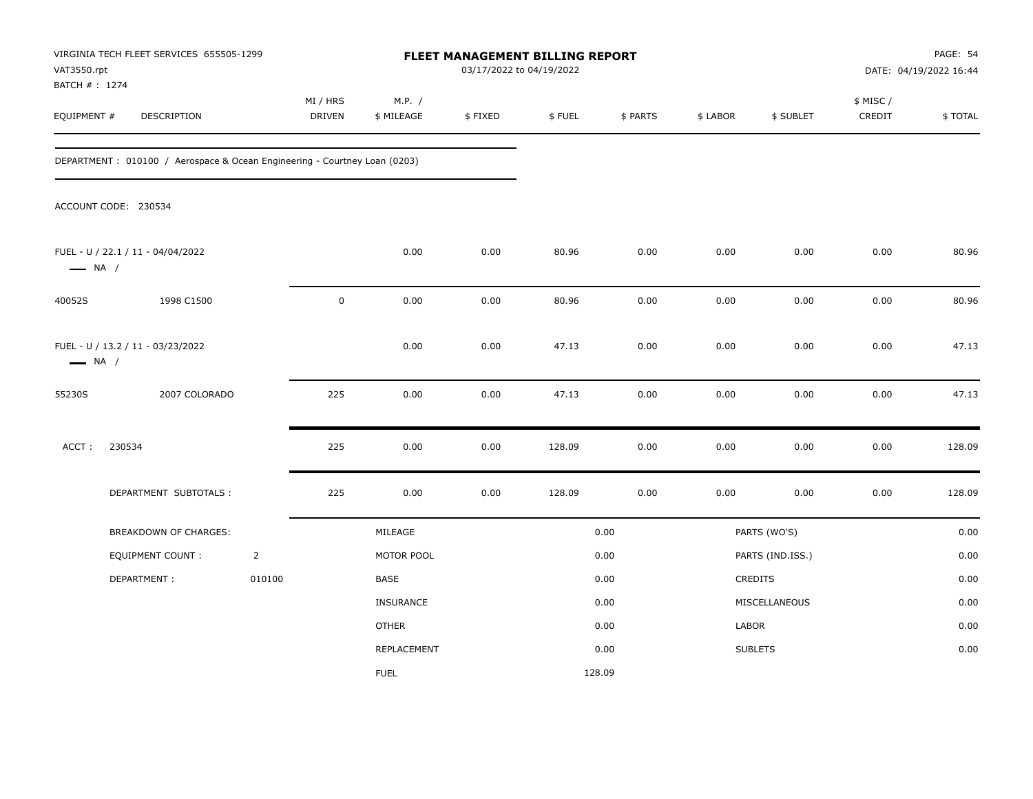| VAT3550.rpt<br>BATCH # : 1274 | VIRGINIA TECH FLEET SERVICES 655505-1299                                  |                |                    |                      | 03/17/2022 to 04/19/2022 | FLEET MANAGEMENT BILLING REPORT |          |          |                  |                     | <b>PAGE: 54</b><br>DATE: 04/19/2022 16:44 |
|-------------------------------|---------------------------------------------------------------------------|----------------|--------------------|----------------------|--------------------------|---------------------------------|----------|----------|------------------|---------------------|-------------------------------------------|
| EQUIPMENT #                   | DESCRIPTION                                                               |                | MI / HRS<br>DRIVEN | M.P. /<br>\$ MILEAGE | \$FIXED                  | \$FUEL                          | \$ PARTS | \$ LABOR | \$ SUBLET        | \$ MISC /<br>CREDIT | \$TOTAL                                   |
|                               | DEPARTMENT: 010100 / Aerospace & Ocean Engineering - Courtney Loan (0203) |                |                    |                      |                          |                                 |          |          |                  |                     |                                           |
|                               | ACCOUNT CODE: 230534                                                      |                |                    |                      |                          |                                 |          |          |                  |                     |                                           |
| $\longrightarrow$ NA /        | FUEL - U / 22.1 / 11 - 04/04/2022                                         |                |                    | 0.00                 | 0.00                     | 80.96                           | 0.00     | 0.00     | 0.00             | 0.00                | 80.96                                     |
| 40052S                        | 1998 C1500                                                                |                | $\mathsf 0$        | 0.00                 | 0.00                     | 80.96                           | 0.00     | 0.00     | 0.00             | 0.00                | 80.96                                     |
| $\longrightarrow$ NA /        | FUEL - U / 13.2 / 11 - 03/23/2022                                         |                |                    | 0.00                 | 0.00                     | 47.13                           | 0.00     | 0.00     | 0.00             | 0.00                | 47.13                                     |
| 55230S                        | 2007 COLORADO                                                             |                | 225                | 0.00                 | $0.00\,$                 | 47.13                           | 0.00     | 0.00     | 0.00             | 0.00                | 47.13                                     |
| ACCT:                         | 230534                                                                    |                | 225                | 0.00                 | 0.00                     | 128.09                          | 0.00     | 0.00     | 0.00             | 0.00                | 128.09                                    |
|                               | DEPARTMENT SUBTOTALS :                                                    |                | 225                | 0.00                 | 0.00                     | 128.09                          | 0.00     | 0.00     | 0.00             | 0.00                | 128.09                                    |
|                               | BREAKDOWN OF CHARGES:                                                     |                |                    | MILEAGE              |                          |                                 | 0.00     |          | PARTS (WO'S)     |                     | 0.00                                      |
|                               | <b>EQUIPMENT COUNT:</b>                                                   | $\overline{2}$ |                    | MOTOR POOL           |                          |                                 | 0.00     |          | PARTS (IND.ISS.) |                     | 0.00                                      |
|                               | DEPARTMENT:                                                               | 010100         |                    | BASE                 |                          |                                 | 0.00     |          | CREDITS          |                     | 0.00                                      |
|                               |                                                                           |                |                    | INSURANCE            |                          |                                 | 0.00     |          | MISCELLANEOUS    |                     | 0.00                                      |
|                               |                                                                           |                |                    | <b>OTHER</b>         |                          |                                 | 0.00     | LABOR    |                  |                     | 0.00                                      |
|                               |                                                                           |                |                    | <b>REPLACEMENT</b>   |                          |                                 | 0.00     |          | <b>SUBLETS</b>   |                     | 0.00                                      |
|                               |                                                                           |                |                    | <b>FUEL</b>          |                          | 128.09                          |          |          |                  |                     |                                           |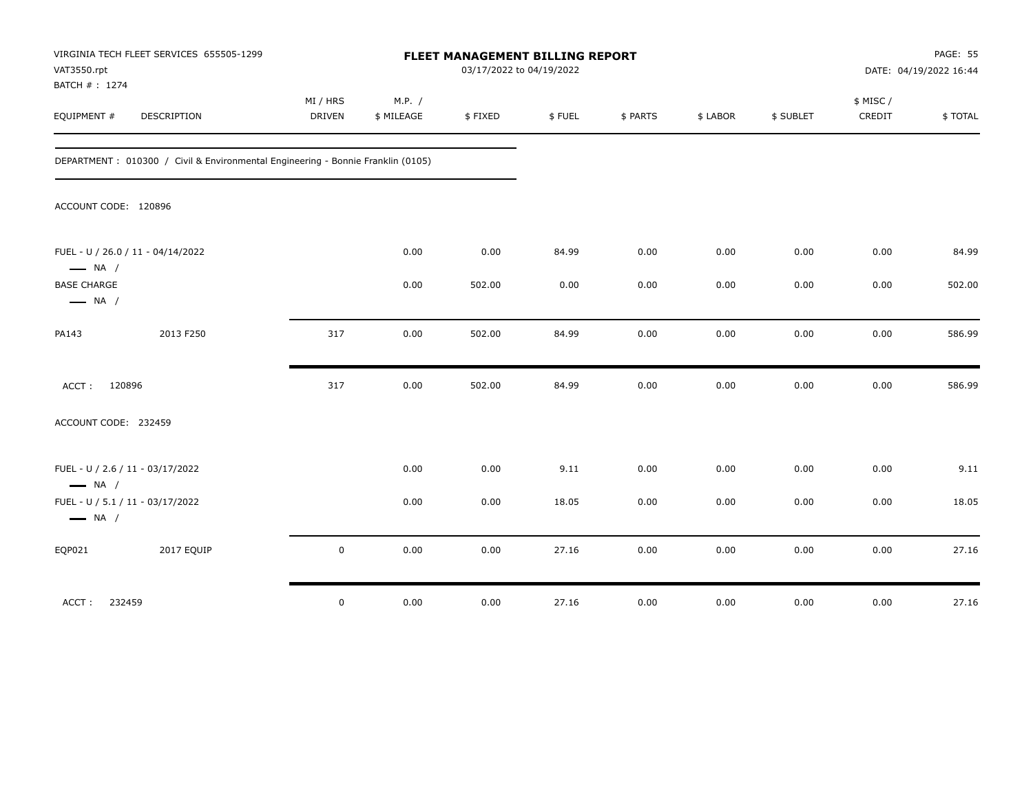| VIRGINIA TECH FLEET SERVICES 655505-1299<br>VAT3550.rpt<br>BATCH #: 1274 |                                                                                 |                    |                      | FLEET MANAGEMENT BILLING REPORT<br>03/17/2022 to 04/19/2022 |        |          |          |           |                    | <b>PAGE: 55</b><br>DATE: 04/19/2022 16:44 |
|--------------------------------------------------------------------------|---------------------------------------------------------------------------------|--------------------|----------------------|-------------------------------------------------------------|--------|----------|----------|-----------|--------------------|-------------------------------------------|
| EQUIPMENT #                                                              | DESCRIPTION                                                                     | MI / HRS<br>DRIVEN | M.P. /<br>\$ MILEAGE | \$FIXED                                                     | \$FUEL | \$ PARTS | \$ LABOR | \$ SUBLET | \$ MISC/<br>CREDIT | \$TOTAL                                   |
|                                                                          | DEPARTMENT: 010300 / Civil & Environmental Engineering - Bonnie Franklin (0105) |                    |                      |                                                             |        |          |          |           |                    |                                           |
| ACCOUNT CODE: 120896                                                     |                                                                                 |                    |                      |                                                             |        |          |          |           |                    |                                           |
| FUEL - U / 26.0 / 11 - 04/14/2022<br>$\longrightarrow$ NA /              |                                                                                 |                    | 0.00                 | 0.00                                                        | 84.99  | 0.00     | 0.00     | 0.00      | 0.00               | 84.99                                     |
| <b>BASE CHARGE</b><br>$\longrightarrow$ NA /                             |                                                                                 |                    | 0.00                 | 502.00                                                      | 0.00   | 0.00     | 0.00     | 0.00      | 0.00               | 502.00                                    |
| PA143                                                                    | 2013 F250                                                                       | 317                | 0.00                 | 502.00                                                      | 84.99  | 0.00     | 0.00     | 0.00      | 0.00               | 586.99                                    |
| 120896<br>ACCT:                                                          |                                                                                 | 317                | 0.00                 | 502.00                                                      | 84.99  | 0.00     | 0.00     | 0.00      | 0.00               | 586.99                                    |
| ACCOUNT CODE: 232459                                                     |                                                                                 |                    |                      |                                                             |        |          |          |           |                    |                                           |
| FUEL - U / 2.6 / 11 - 03/17/2022<br>$\longrightarrow$ NA /               |                                                                                 |                    | 0.00                 | 0.00                                                        | 9.11   | 0.00     | 0.00     | 0.00      | 0.00               | 9.11                                      |
| FUEL - U / 5.1 / 11 - 03/17/2022<br>$\longrightarrow$ NA /               |                                                                                 |                    | 0.00                 | 0.00                                                        | 18.05  | 0.00     | 0.00     | 0.00      | 0.00               | 18.05                                     |
| EQP021                                                                   | 2017 EQUIP                                                                      | $\mathsf 0$        | 0.00                 | 0.00                                                        | 27.16  | 0.00     | 0.00     | 0.00      | 0.00               | 27.16                                     |
| 232459<br>ACCT:                                                          |                                                                                 | $\mathsf 0$        | 0.00                 | 0.00                                                        | 27.16  | 0.00     | 0.00     | 0.00      | 0.00               | 27.16                                     |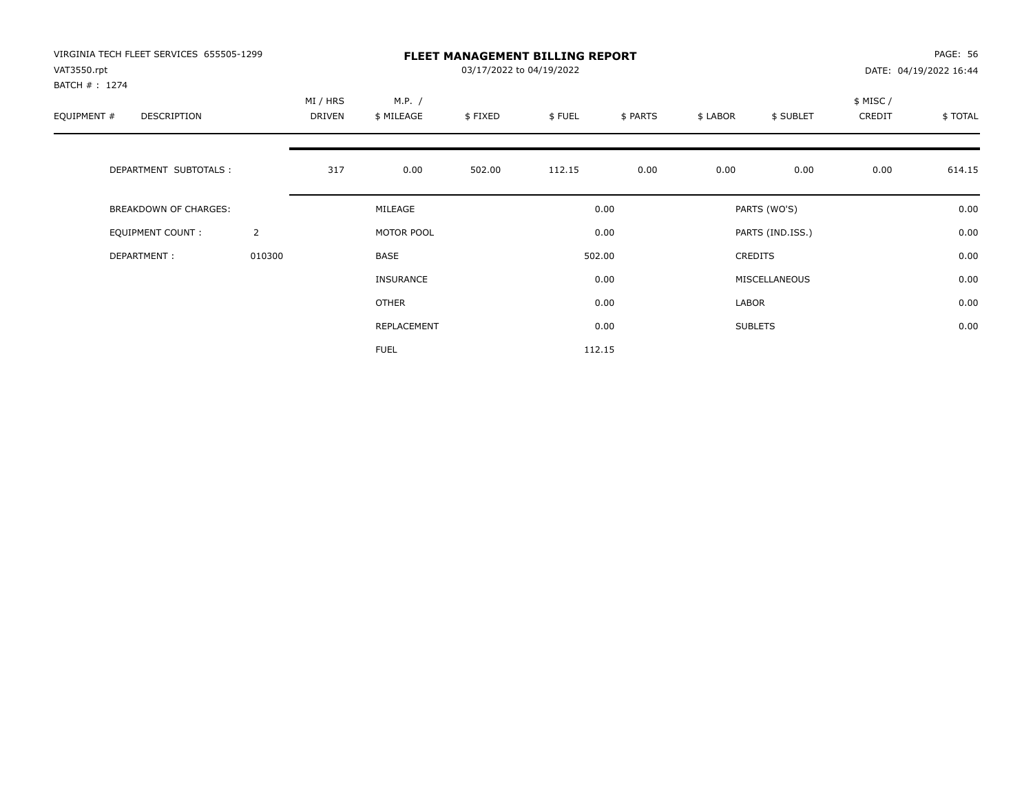| VIRGINIA TECH FLEET SERVICES 655505-1299<br>VAT3550.rpt |                |                    |                      | PAGE: 56<br>DATE: 04/19/2022 16:44 |        |          |          |                  |                    |          |
|---------------------------------------------------------|----------------|--------------------|----------------------|------------------------------------|--------|----------|----------|------------------|--------------------|----------|
| BATCH #: 1274<br>EQUIPMENT #<br>DESCRIPTION             |                | MI / HRS<br>DRIVEN | M.P. /<br>\$ MILEAGE | \$FIXED                            | \$FUEL | \$ PARTS | \$ LABOR | \$ SUBLET        | \$ MISC/<br>CREDIT | \$ TOTAL |
| DEPARTMENT SUBTOTALS :                                  |                | 317                | 0.00                 | 502.00                             | 112.15 | 0.00     | 0.00     | 0.00             | 0.00               | 614.15   |
| <b>BREAKDOWN OF CHARGES:</b>                            |                |                    | MILEAGE              |                                    |        | 0.00     |          | PARTS (WO'S)     |                    | 0.00     |
| EQUIPMENT COUNT:                                        | $\overline{2}$ |                    | MOTOR POOL           |                                    |        | 0.00     |          | PARTS (IND.ISS.) |                    | 0.00     |
| DEPARTMENT:                                             | 010300         |                    | BASE                 |                                    |        | 502.00   |          | <b>CREDITS</b>   |                    | 0.00     |
|                                                         |                |                    | <b>INSURANCE</b>     |                                    |        | 0.00     |          | MISCELLANEOUS    |                    | 0.00     |
|                                                         |                |                    | OTHER                |                                    |        | 0.00     | LABOR    |                  |                    | 0.00     |
|                                                         |                |                    | REPLACEMENT          |                                    |        | 0.00     |          | <b>SUBLETS</b>   |                    | 0.00     |
|                                                         |                |                    | <b>FUEL</b>          |                                    |        | 112.15   |          |                  |                    |          |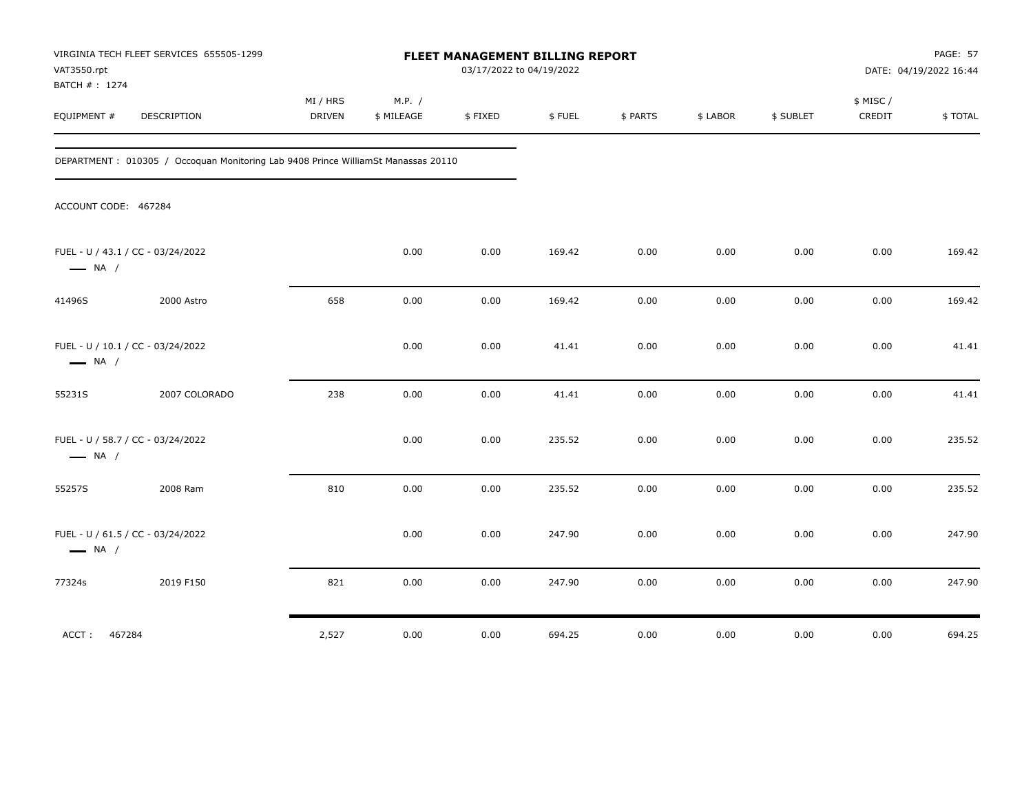| VAT3550.rpt<br>BATCH #: 1274 | VIRGINIA TECH FLEET SERVICES 655505-1299                                           |                    |                      | FLEET MANAGEMENT BILLING REPORT<br>03/17/2022 to 04/19/2022 |        |          |          |           |                     | <b>PAGE: 57</b><br>DATE: 04/19/2022 16:44 |
|------------------------------|------------------------------------------------------------------------------------|--------------------|----------------------|-------------------------------------------------------------|--------|----------|----------|-----------|---------------------|-------------------------------------------|
| EQUIPMENT #                  | DESCRIPTION                                                                        | MI / HRS<br>DRIVEN | M.P. /<br>\$ MILEAGE | \$FIXED                                                     | \$FUEL | \$ PARTS | \$ LABOR | \$ SUBLET | \$ MISC /<br>CREDIT | \$TOTAL                                   |
|                              | DEPARTMENT : 010305 / Occoquan Monitoring Lab 9408 Prince WilliamSt Manassas 20110 |                    |                      |                                                             |        |          |          |           |                     |                                           |
| ACCOUNT CODE: 467284         |                                                                                    |                    |                      |                                                             |        |          |          |           |                     |                                           |
| $\longrightarrow$ NA /       | FUEL - U / 43.1 / CC - 03/24/2022                                                  |                    | 0.00                 | 0.00                                                        | 169.42 | 0.00     | 0.00     | 0.00      | 0.00                | 169.42                                    |
| 41496S                       | 2000 Astro                                                                         | 658                | 0.00                 | 0.00                                                        | 169.42 | 0.00     | 0.00     | 0.00      | 0.00                | 169.42                                    |
| $\longrightarrow$ NA /       | FUEL - U / 10.1 / CC - 03/24/2022                                                  |                    | 0.00                 | 0.00                                                        | 41.41  | 0.00     | 0.00     | 0.00      | 0.00                | 41.41                                     |
| 55231S                       | 2007 COLORADO                                                                      | 238                | 0.00                 | 0.00                                                        | 41.41  | 0.00     | 0.00     | 0.00      | 0.00                | 41.41                                     |
| $\longrightarrow$ NA /       | FUEL - U / 58.7 / CC - 03/24/2022                                                  |                    | 0.00                 | 0.00                                                        | 235.52 | 0.00     | 0.00     | 0.00      | 0.00                | 235.52                                    |
| 55257S                       | 2008 Ram                                                                           | 810                | 0.00                 | 0.00                                                        | 235.52 | 0.00     | 0.00     | 0.00      | 0.00                | 235.52                                    |
| $\longrightarrow$ NA /       | FUEL - U / 61.5 / CC - 03/24/2022                                                  |                    | 0.00                 | 0.00                                                        | 247.90 | 0.00     | 0.00     | 0.00      | 0.00                | 247.90                                    |
| 77324s                       | 2019 F150                                                                          | 821                | 0.00                 | 0.00                                                        | 247.90 | 0.00     | 0.00     | 0.00      | 0.00                | 247.90                                    |
| ACCT:<br>467284              |                                                                                    | 2,527              | 0.00                 | 0.00                                                        | 694.25 | 0.00     | 0.00     | 0.00      | 0.00                | 694.25                                    |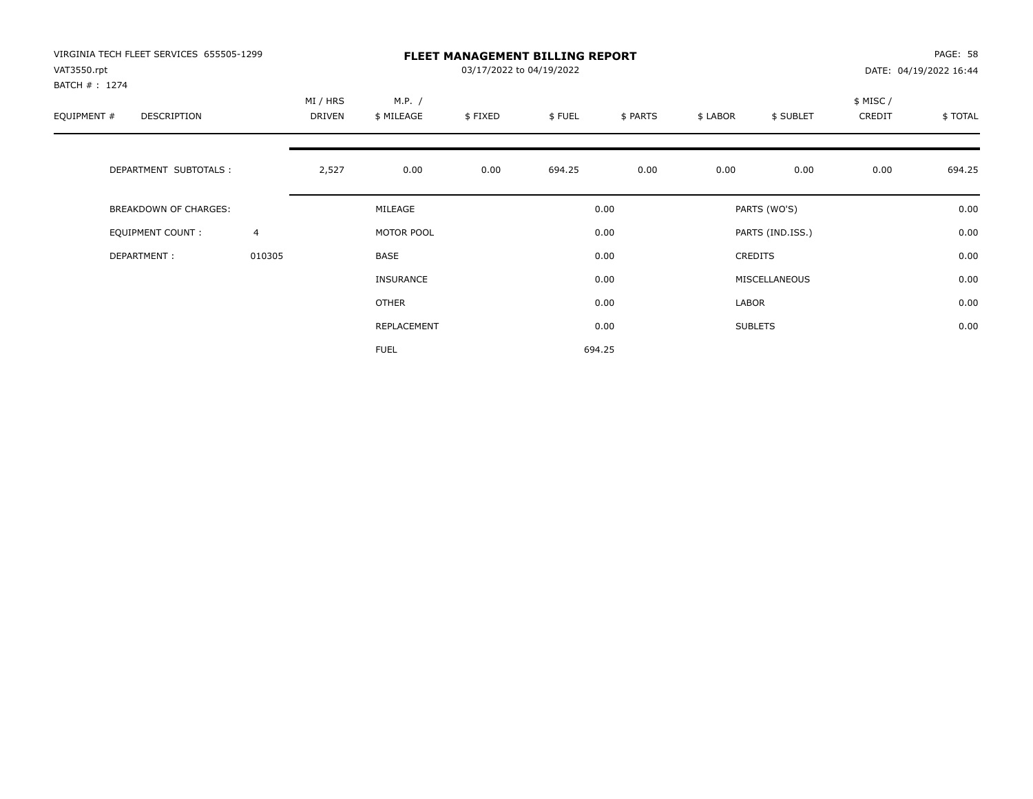| VIRGINIA TECH FLEET SERVICES 655505-1299<br>VAT3550.rpt<br>BATCH #: 1274 |                | <b>FLEET MANAGEMENT BILLING REPORT</b><br>03/17/2022 to 04/19/2022 |                      |         |        |          |          |                  |                     | PAGE: 58<br>DATE: 04/19/2022 16:44 |  |
|--------------------------------------------------------------------------|----------------|--------------------------------------------------------------------|----------------------|---------|--------|----------|----------|------------------|---------------------|------------------------------------|--|
| EQUIPMENT #<br><b>DESCRIPTION</b>                                        |                | MI / HRS<br><b>DRIVEN</b>                                          | M.P. /<br>\$ MILEAGE | \$FIXED | \$FUEL | \$ PARTS | \$ LABOR | \$ SUBLET        | \$ MISC /<br>CREDIT | \$TOTAL                            |  |
| DEPARTMENT SUBTOTALS :                                                   |                | 2,527                                                              | 0.00                 | 0.00    | 694.25 | 0.00     | 0.00     | 0.00             | 0.00                | 694.25                             |  |
| <b>BREAKDOWN OF CHARGES:</b>                                             |                |                                                                    | MILEAGE              |         |        | 0.00     |          | PARTS (WO'S)     |                     | 0.00                               |  |
| EQUIPMENT COUNT:                                                         | $\overline{4}$ |                                                                    | MOTOR POOL           |         |        | 0.00     |          | PARTS (IND.ISS.) |                     | 0.00                               |  |
| DEPARTMENT:                                                              | 010305         |                                                                    | <b>BASE</b>          |         |        | 0.00     |          | <b>CREDITS</b>   |                     | 0.00                               |  |
|                                                                          |                |                                                                    | INSURANCE            |         |        | 0.00     |          | MISCELLANEOUS    |                     | 0.00                               |  |
|                                                                          |                |                                                                    | OTHER                |         |        | 0.00     | LABOR    |                  |                     | 0.00                               |  |
|                                                                          |                |                                                                    | REPLACEMENT          |         |        | 0.00     |          | <b>SUBLETS</b>   |                     | 0.00                               |  |
|                                                                          |                |                                                                    | <b>FUEL</b>          |         |        | 694.25   |          |                  |                     |                                    |  |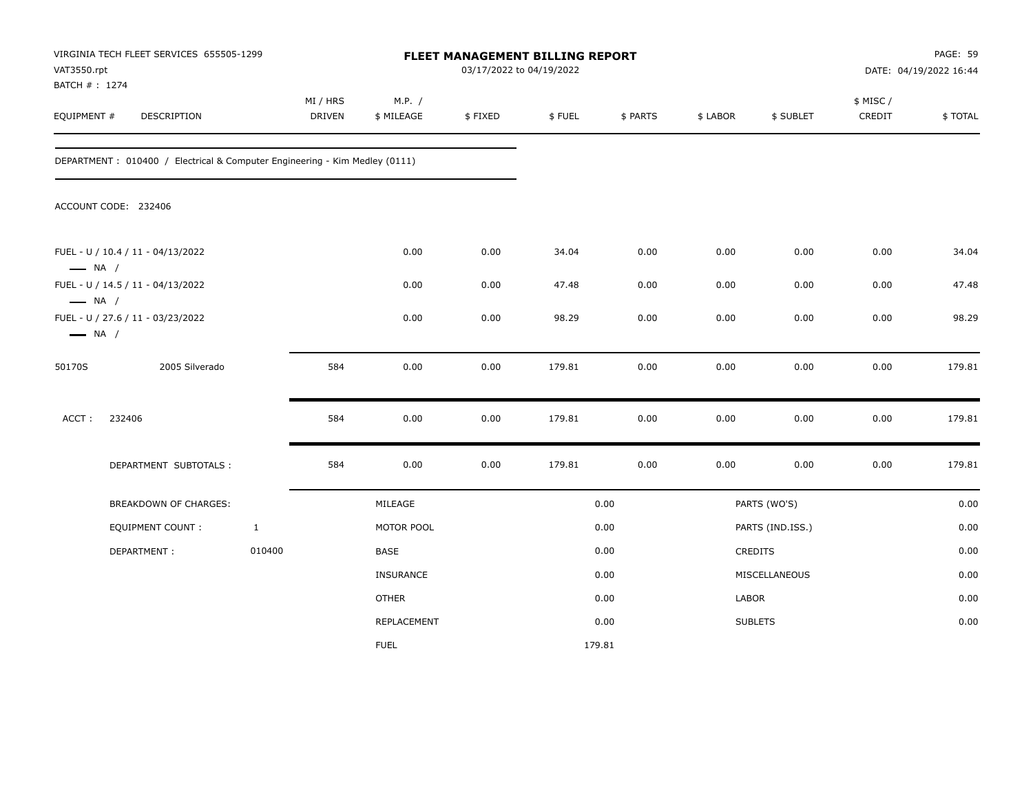| VAT3550.rpt<br>BATCH #: 1274                     | VIRGINIA TECH FLEET SERVICES 655505-1299                                    |              |                           |                      | FLEET MANAGEMENT BILLING REPORT<br>03/17/2022 to 04/19/2022 |        |          |          |                  |                     | PAGE: 59<br>DATE: 04/19/2022 16:44 |
|--------------------------------------------------|-----------------------------------------------------------------------------|--------------|---------------------------|----------------------|-------------------------------------------------------------|--------|----------|----------|------------------|---------------------|------------------------------------|
| EQUIPMENT #                                      | DESCRIPTION                                                                 |              | MI / HRS<br><b>DRIVEN</b> | M.P. /<br>\$ MILEAGE | \$FIXED                                                     | \$FUEL | \$ PARTS | \$ LABOR | \$ SUBLET        | \$ MISC /<br>CREDIT | \$TOTAL                            |
|                                                  | DEPARTMENT : 010400 / Electrical & Computer Engineering - Kim Medley (0111) |              |                           |                      |                                                             |        |          |          |                  |                     |                                    |
|                                                  | ACCOUNT CODE: 232406                                                        |              |                           |                      |                                                             |        |          |          |                  |                     |                                    |
| $\longrightarrow$ NA /                           | FUEL - U / 10.4 / 11 - 04/13/2022                                           |              |                           | 0.00                 | 0.00                                                        | 34.04  | 0.00     | 0.00     | 0.00             | 0.00                | 34.04                              |
|                                                  | FUEL - U / 14.5 / 11 - 04/13/2022                                           |              |                           | 0.00                 | 0.00                                                        | 47.48  | 0.00     | 0.00     | 0.00             | 0.00                | 47.48                              |
| $\longrightarrow$ NA /<br>$\longrightarrow$ NA / | FUEL - U / 27.6 / 11 - 03/23/2022                                           |              |                           | 0.00                 | 0.00                                                        | 98.29  | 0.00     | 0.00     | 0.00             | 0.00                | 98.29                              |
| 50170S                                           | 2005 Silverado                                                              |              | 584                       | 0.00                 | 0.00                                                        | 179.81 | 0.00     | 0.00     | 0.00             | 0.00                | 179.81                             |
| ACCT:                                            | 232406                                                                      |              | 584                       | 0.00                 | 0.00                                                        | 179.81 | 0.00     | 0.00     | 0.00             | 0.00                | 179.81                             |
|                                                  | DEPARTMENT SUBTOTALS :                                                      |              | 584                       | 0.00                 | 0.00                                                        | 179.81 | 0.00     | 0.00     | 0.00             | 0.00                | 179.81                             |
|                                                  | BREAKDOWN OF CHARGES:                                                       |              |                           | MILEAGE              |                                                             |        | 0.00     |          | PARTS (WO'S)     |                     | 0.00                               |
|                                                  | EQUIPMENT COUNT:                                                            | $\mathbf{1}$ |                           | MOTOR POOL           |                                                             |        | 0.00     |          | PARTS (IND.ISS.) |                     | 0.00                               |
|                                                  | DEPARTMENT:                                                                 | 010400       |                           | BASE                 |                                                             |        | 0.00     |          | CREDITS          |                     | 0.00                               |
|                                                  |                                                                             |              |                           | <b>INSURANCE</b>     |                                                             |        | 0.00     |          | MISCELLANEOUS    |                     | 0.00                               |
|                                                  |                                                                             |              |                           | <b>OTHER</b>         |                                                             |        | 0.00     | LABOR    |                  |                     | 0.00                               |
|                                                  |                                                                             |              |                           | REPLACEMENT          |                                                             |        | 0.00     |          | <b>SUBLETS</b>   |                     | 0.00                               |
|                                                  |                                                                             |              |                           | <b>FUEL</b>          |                                                             | 179.81 |          |          |                  |                     |                                    |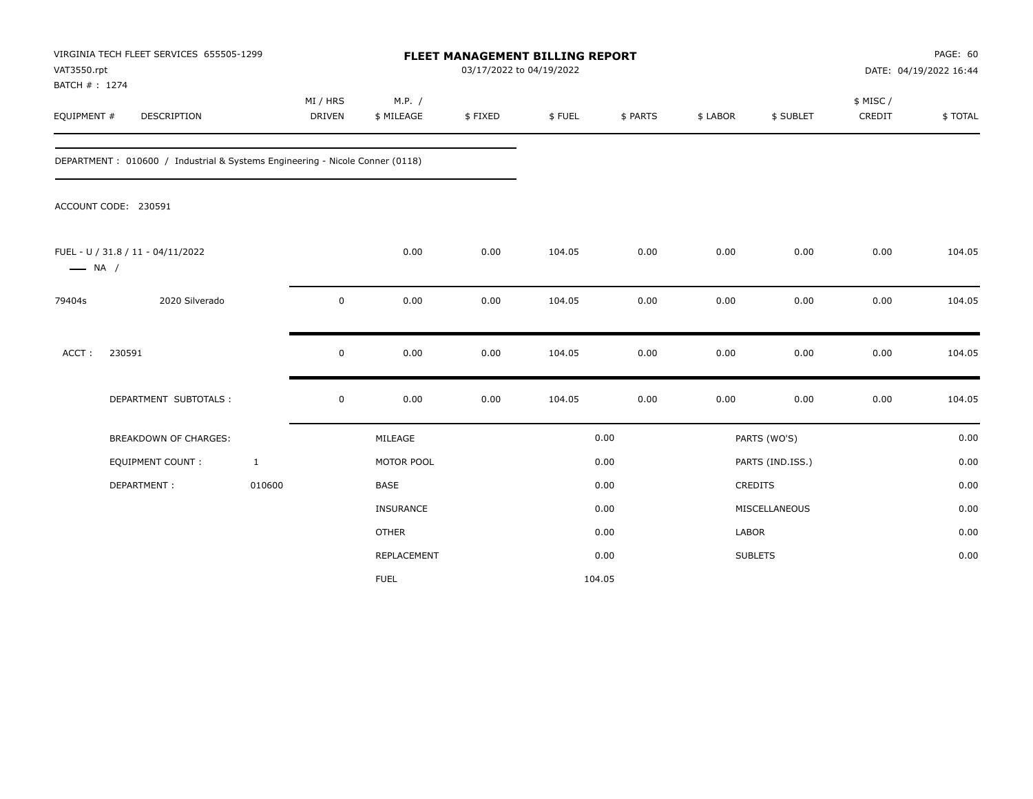| VAT3550.rpt            | VIRGINIA TECH FLEET SERVICES 655505-1299                                     |               |                  | FLEET MANAGEMENT BILLING REPORT<br>03/17/2022 to 04/19/2022 |        |          |              |                  |           | PAGE: 60<br>DATE: 04/19/2022 16:44 |
|------------------------|------------------------------------------------------------------------------|---------------|------------------|-------------------------------------------------------------|--------|----------|--------------|------------------|-----------|------------------------------------|
| BATCH #: 1274          |                                                                              | MI / HRS      | M.P. /           |                                                             |        |          |              |                  | \$ MISC / |                                    |
| EQUIPMENT #            | DESCRIPTION                                                                  | <b>DRIVEN</b> | \$ MILEAGE       | \$FIXED                                                     | \$FUEL | \$ PARTS | \$ LABOR     | \$ SUBLET        | CREDIT    | \$TOTAL                            |
|                        | DEPARTMENT: 010600 / Industrial & Systems Engineering - Nicole Conner (0118) |               |                  |                                                             |        |          |              |                  |           |                                    |
|                        | ACCOUNT CODE: 230591                                                         |               |                  |                                                             |        |          |              |                  |           |                                    |
| $\longrightarrow$ NA / | FUEL - U / 31.8 / 11 - 04/11/2022                                            |               | 0.00             | 0.00                                                        | 104.05 | 0.00     | 0.00         | 0.00             | 0.00      | 104.05                             |
| 79404s                 | 2020 Silverado                                                               | 0             | 0.00             | 0.00                                                        | 104.05 | 0.00     | 0.00         | 0.00             | 0.00      | 104.05                             |
| ACCT:                  | 230591                                                                       | 0             | 0.00             | 0.00                                                        | 104.05 | 0.00     | 0.00         | 0.00             | 0.00      | 104.05                             |
|                        | DEPARTMENT SUBTOTALS :                                                       | 0             | 0.00             | 0.00                                                        | 104.05 | 0.00     | 0.00         | 0.00             | 0.00      | 104.05                             |
|                        | <b>BREAKDOWN OF CHARGES:</b>                                                 |               | MILEAGE          |                                                             |        | 0.00     |              | PARTS (WO'S)     |           | 0.00                               |
|                        | EQUIPMENT COUNT:                                                             | $\mathbf{1}$  | MOTOR POOL       |                                                             |        | 0.00     |              | PARTS (IND.ISS.) |           | 0.00                               |
|                        | DEPARTMENT:                                                                  | 010600        | <b>BASE</b>      |                                                             |        | 0.00     |              | CREDITS          |           | 0.00                               |
|                        |                                                                              |               | <b>INSURANCE</b> |                                                             |        | 0.00     |              | MISCELLANEOUS    |           | 0.00                               |
|                        |                                                                              |               | <b>OTHER</b>     |                                                             |        | 0.00     | <b>LABOR</b> |                  |           | 0.00                               |
|                        |                                                                              |               | REPLACEMENT      |                                                             |        | 0.00     |              | <b>SUBLETS</b>   |           | 0.00                               |
|                        |                                                                              |               | <b>FUEL</b>      |                                                             |        | 104.05   |              |                  |           |                                    |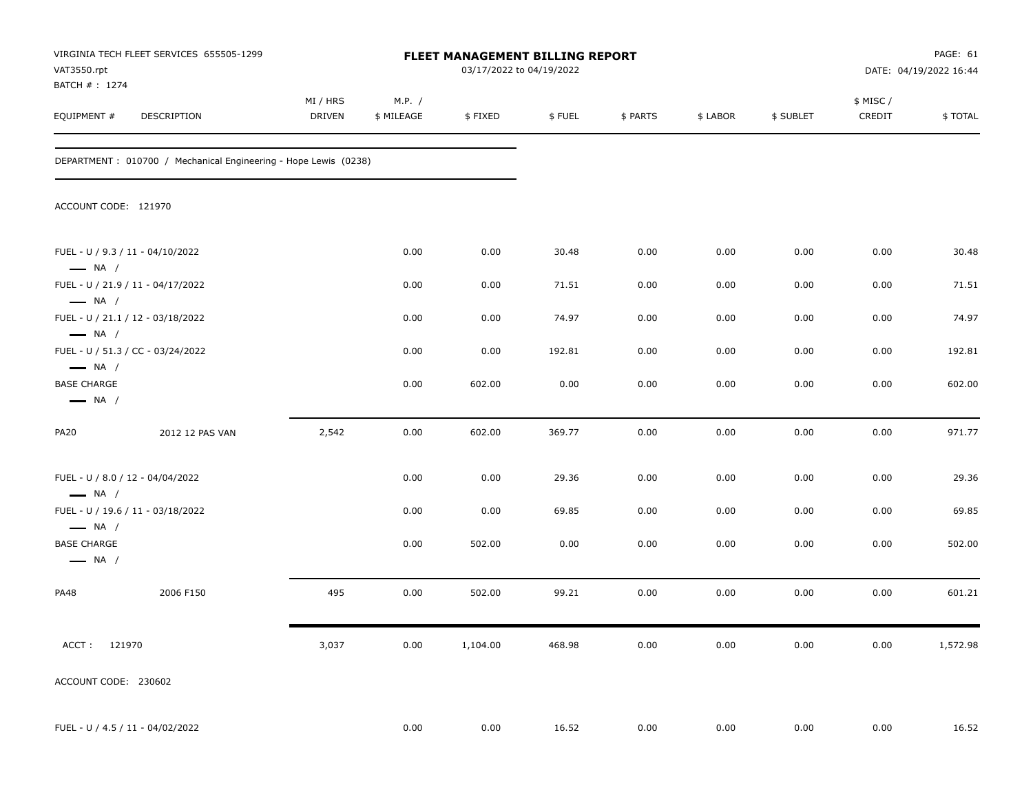| VAT3550.rpt                                                                           | VIRGINIA TECH FLEET SERVICES 655505-1299                        |                    |                      |          | FLEET MANAGEMENT BILLING REPORT<br>03/17/2022 to 04/19/2022 |          |          |           |                    | PAGE: 61<br>DATE: 04/19/2022 16:44 |
|---------------------------------------------------------------------------------------|-----------------------------------------------------------------|--------------------|----------------------|----------|-------------------------------------------------------------|----------|----------|-----------|--------------------|------------------------------------|
| BATCH # : 1274<br>EQUIPMENT #                                                         | DESCRIPTION                                                     | MI / HRS<br>DRIVEN | M.P. /<br>\$ MILEAGE | \$FIXED  | \$FUEL                                                      | \$ PARTS | \$ LABOR | \$ SUBLET | \$ MISC/<br>CREDIT | \$TOTAL                            |
|                                                                                       | DEPARTMENT: 010700 / Mechanical Engineering - Hope Lewis (0238) |                    |                      |          |                                                             |          |          |           |                    |                                    |
| ACCOUNT CODE: 121970                                                                  |                                                                 |                    |                      |          |                                                             |          |          |           |                    |                                    |
| FUEL - U / 9.3 / 11 - 04/10/2022<br>$\longrightarrow$ NA /                            |                                                                 |                    | 0.00                 | 0.00     | 30.48                                                       | 0.00     | 0.00     | 0.00      | 0.00               | 30.48                              |
| FUEL - U / 21.9 / 11 - 04/17/2022                                                     |                                                                 |                    | 0.00                 | 0.00     | 71.51                                                       | 0.00     | 0.00     | 0.00      | 0.00               | 71.51                              |
| $\longrightarrow$ NA /<br>FUEL - U / 21.1 / 12 - 03/18/2022<br>$\longrightarrow$ NA / |                                                                 |                    | 0.00                 | 0.00     | 74.97                                                       | 0.00     | 0.00     | 0.00      | 0.00               | 74.97                              |
| FUEL - U / 51.3 / CC - 03/24/2022<br>$\longrightarrow$ NA /                           |                                                                 |                    | 0.00                 | 0.00     | 192.81                                                      | 0.00     | 0.00     | 0.00      | 0.00               | 192.81                             |
| <b>BASE CHARGE</b><br>$\longrightarrow$ NA /                                          |                                                                 |                    | 0.00                 | 602.00   | 0.00                                                        | 0.00     | 0.00     | 0.00      | 0.00               | 602.00                             |
| <b>PA20</b>                                                                           | 2012 12 PAS VAN                                                 | 2,542              | 0.00                 | 602.00   | 369.77                                                      | 0.00     | 0.00     | 0.00      | 0.00               | 971.77                             |
| FUEL - U / 8.0 / 12 - 04/04/2022<br>$\longrightarrow$ NA /                            |                                                                 |                    | 0.00                 | 0.00     | 29.36                                                       | 0.00     | 0.00     | 0.00      | 0.00               | 29.36                              |
| FUEL - U / 19.6 / 11 - 03/18/2022<br>$\longrightarrow$ NA /                           |                                                                 |                    | 0.00                 | 0.00     | 69.85                                                       | 0.00     | 0.00     | 0.00      | 0.00               | 69.85                              |
| <b>BASE CHARGE</b><br>$\longrightarrow$ NA /                                          |                                                                 |                    | 0.00                 | 502.00   | 0.00                                                        | 0.00     | 0.00     | 0.00      | 0.00               | 502.00                             |
| PA48                                                                                  | 2006 F150                                                       | 495                | 0.00                 | 502.00   | 99.21                                                       | 0.00     | 0.00     | 0.00      | 0.00               | 601.21                             |
| ACCT: 121970                                                                          |                                                                 | 3,037              | 0.00                 | 1,104.00 | 468.98                                                      | 0.00     | 0.00     | 0.00      | 0.00               | 1,572.98                           |
| ACCOUNT CODE: 230602                                                                  |                                                                 |                    |                      |          |                                                             |          |          |           |                    |                                    |
| FUEL - U / 4.5 / 11 - 04/02/2022                                                      |                                                                 |                    | 0.00                 | $0.00\,$ | 16.52                                                       | $0.00\,$ | 0.00     | 0.00      | 0.00               | 16.52                              |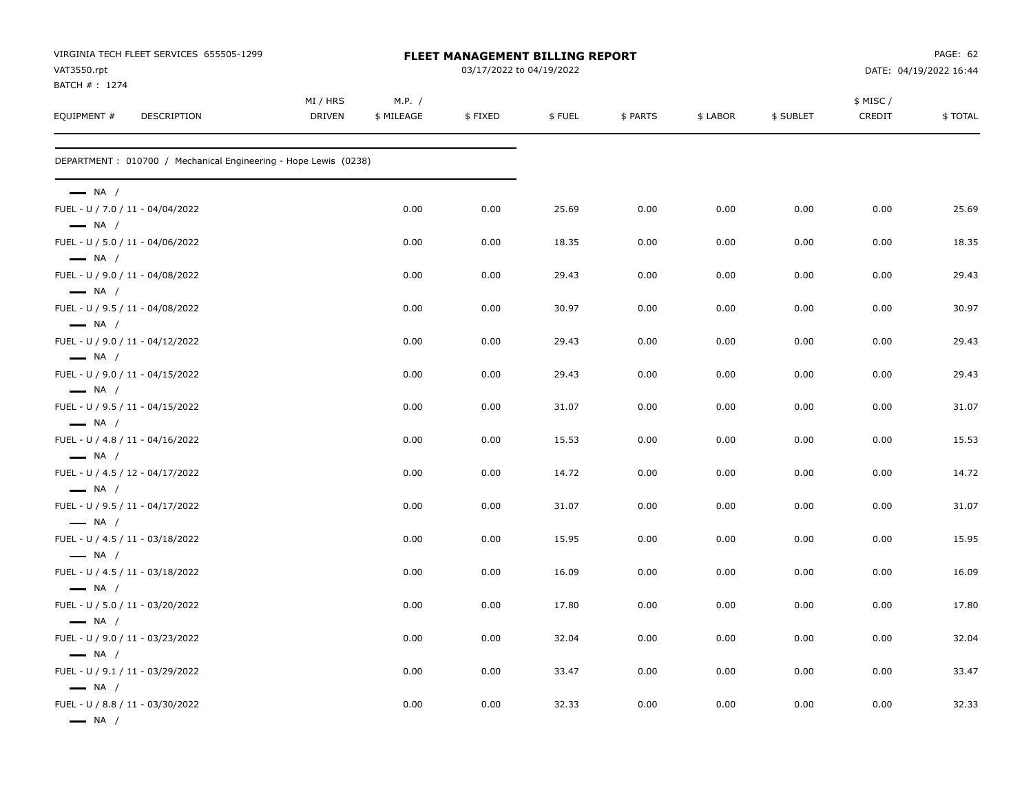| VAT3550.rpt                                                | VIRGINIA TECH FLEET SERVICES 655505-1299                        |               |            | <b>FLEET MANAGEMENT BILLING REPORT</b><br>03/17/2022 to 04/19/2022 |        |          |          |           |           | PAGE: 62<br>DATE: 04/19/2022 16:44 |
|------------------------------------------------------------|-----------------------------------------------------------------|---------------|------------|--------------------------------------------------------------------|--------|----------|----------|-----------|-----------|------------------------------------|
| BATCH #: 1274                                              |                                                                 | MI / HRS      | M.P. /     |                                                                    |        |          |          |           | \$ MISC / |                                    |
| EQUIPMENT #                                                | DESCRIPTION                                                     | <b>DRIVEN</b> | \$ MILEAGE | \$FIXED                                                            | \$FUEL | \$ PARTS | \$ LABOR | \$ SUBLET | CREDIT    | \$TOTAL                            |
|                                                            | DEPARTMENT: 010700 / Mechanical Engineering - Hope Lewis (0238) |               |            |                                                                    |        |          |          |           |           |                                    |
| $\longrightarrow$ NA /                                     |                                                                 |               |            |                                                                    |        |          |          |           |           |                                    |
| $\longrightarrow$ NA /                                     | FUEL - U / 7.0 / 11 - 04/04/2022                                |               | 0.00       | 0.00                                                               | 25.69  | 0.00     | 0.00     | 0.00      | 0.00      | 25.69                              |
| FUEL - U / 5.0 / 11 - 04/06/2022<br>$\longrightarrow$ NA / |                                                                 |               | 0.00       | 0.00                                                               | 18.35  | 0.00     | 0.00     | 0.00      | 0.00      | 18.35                              |
| $\longrightarrow$ NA /                                     | FUEL - U / 9.0 / 11 - 04/08/2022                                |               | 0.00       | 0.00                                                               | 29.43  | 0.00     | 0.00     | 0.00      | 0.00      | 29.43                              |
| $\longrightarrow$ NA /                                     | FUEL - U / 9.5 / 11 - 04/08/2022                                |               | 0.00       | 0.00                                                               | 30.97  | 0.00     | 0.00     | 0.00      | 0.00      | 30.97                              |
| $\longrightarrow$ NA /                                     | FUEL - U / 9.0 / 11 - 04/12/2022                                |               | 0.00       | 0.00                                                               | 29.43  | 0.00     | 0.00     | 0.00      | 0.00      | 29.43                              |
| FUEL - U / 9.0 / 11 - 04/15/2022<br>$\longrightarrow$ NA / |                                                                 |               | 0.00       | 0.00                                                               | 29.43  | 0.00     | 0.00     | 0.00      | 0.00      | 29.43                              |
| $\longrightarrow$ NA /                                     | FUEL - U / 9.5 / 11 - 04/15/2022                                |               | 0.00       | 0.00                                                               | 31.07  | 0.00     | 0.00     | 0.00      | 0.00      | 31.07                              |
| $\longrightarrow$ NA /                                     | FUEL - U / 4.8 / 11 - 04/16/2022                                |               | 0.00       | 0.00                                                               | 15.53  | 0.00     | 0.00     | 0.00      | 0.00      | 15.53                              |
| FUEL - U / 4.5 / 12 - 04/17/2022<br>$\longrightarrow$ NA / |                                                                 |               | 0.00       | 0.00                                                               | 14.72  | 0.00     | 0.00     | 0.00      | 0.00      | 14.72                              |
| $\longrightarrow$ NA /                                     | FUEL - U / 9.5 / 11 - 04/17/2022                                |               | 0.00       | 0.00                                                               | 31.07  | 0.00     | 0.00     | 0.00      | 0.00      | 31.07                              |
| $\longrightarrow$ NA /                                     | FUEL - U / 4.5 / 11 - 03/18/2022                                |               | 0.00       | 0.00                                                               | 15.95  | 0.00     | 0.00     | 0.00      | 0.00      | 15.95                              |
| $\longrightarrow$ NA /                                     | FUEL - U / 4.5 / 11 - 03/18/2022                                |               | 0.00       | 0.00                                                               | 16.09  | 0.00     | 0.00     | 0.00      | 0.00      | 16.09                              |
| $\longrightarrow$ NA /                                     | FUEL - U / 5.0 / 11 - 03/20/2022                                |               | 0.00       | 0.00                                                               | 17.80  | 0.00     | 0.00     | 0.00      | 0.00      | 17.80                              |
| FUEL - U / 9.0 / 11 - 03/23/2022<br>$\longrightarrow$ NA / |                                                                 |               | 0.00       | 0.00                                                               | 32.04  | 0.00     | 0.00     | 0.00      | 0.00      | 32.04                              |
| $\longrightarrow$ NA /                                     | FUEL - U / 9.1 / 11 - 03/29/2022                                |               | 0.00       | 0.00                                                               | 33.47  | 0.00     | 0.00     | 0.00      | 0.00      | 33.47                              |
| $\longrightarrow$ NA /                                     | FUEL - U / 8.8 / 11 - 03/30/2022                                |               | 0.00       | 0.00                                                               | 32.33  | 0.00     | 0.00     | 0.00      | 0.00      | 32.33                              |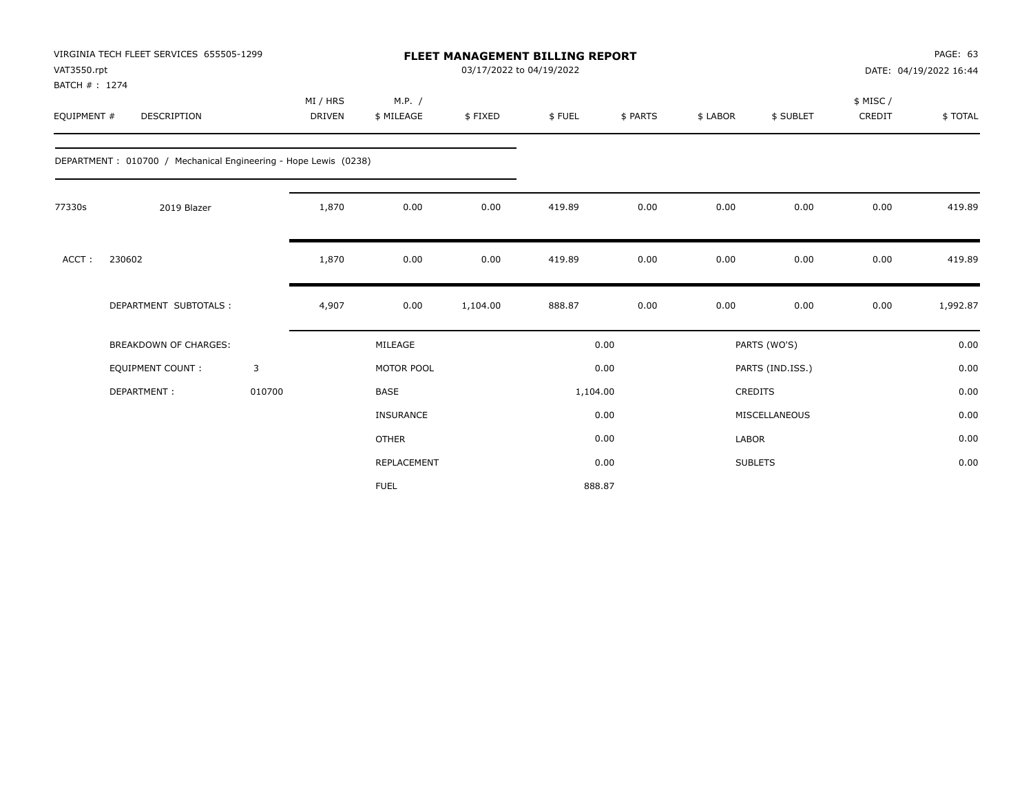| VAT3550.rpt<br>BATCH #: 1274 | VIRGINIA TECH FLEET SERVICES 655505-1299                        |        |                           |                      |          | <b>FLEET MANAGEMENT BILLING REPORT</b><br>03/17/2022 to 04/19/2022 |          |              |                  |                    | PAGE: 63<br>DATE: 04/19/2022 16:44 |
|------------------------------|-----------------------------------------------------------------|--------|---------------------------|----------------------|----------|--------------------------------------------------------------------|----------|--------------|------------------|--------------------|------------------------------------|
| EQUIPMENT #                  | <b>DESCRIPTION</b>                                              |        | MI / HRS<br><b>DRIVEN</b> | M.P. /<br>\$ MILEAGE | \$FIXED  | \$FUEL                                                             | \$ PARTS | \$ LABOR     | \$ SUBLET        | \$ MISC/<br>CREDIT | \$TOTAL                            |
|                              | DEPARTMENT: 010700 / Mechanical Engineering - Hope Lewis (0238) |        |                           |                      |          |                                                                    |          |              |                  |                    |                                    |
| 77330s                       | 2019 Blazer                                                     |        | 1,870                     | 0.00                 | 0.00     | 419.89                                                             | 0.00     | 0.00         | 0.00             | 0.00               | 419.89                             |
| ACCT:                        | 230602                                                          |        | 1,870                     | 0.00                 | 0.00     | 419.89                                                             | 0.00     | 0.00         | 0.00             | 0.00               | 419.89                             |
|                              | DEPARTMENT SUBTOTALS :                                          |        | 4,907                     | 0.00                 | 1,104.00 | 888.87                                                             | 0.00     | 0.00         | 0.00             | 0.00               | 1,992.87                           |
|                              | <b>BREAKDOWN OF CHARGES:</b>                                    |        |                           | MILEAGE              |          |                                                                    | 0.00     |              | PARTS (WO'S)     |                    | 0.00                               |
|                              | <b>EQUIPMENT COUNT:</b>                                         | 3      |                           | MOTOR POOL           |          |                                                                    | 0.00     |              | PARTS (IND.ISS.) |                    | 0.00                               |
|                              | DEPARTMENT:                                                     | 010700 |                           | BASE                 |          | 1,104.00                                                           |          |              | <b>CREDITS</b>   |                    | 0.00                               |
|                              |                                                                 |        |                           | <b>INSURANCE</b>     |          |                                                                    | 0.00     |              | MISCELLANEOUS    |                    | 0.00                               |
|                              |                                                                 |        |                           | <b>OTHER</b>         |          |                                                                    | 0.00     | <b>LABOR</b> |                  |                    | 0.00                               |
|                              |                                                                 |        |                           | REPLACEMENT          |          |                                                                    | 0.00     |              | <b>SUBLETS</b>   |                    | 0.00                               |
|                              |                                                                 |        |                           | <b>FUEL</b>          |          |                                                                    | 888.87   |              |                  |                    |                                    |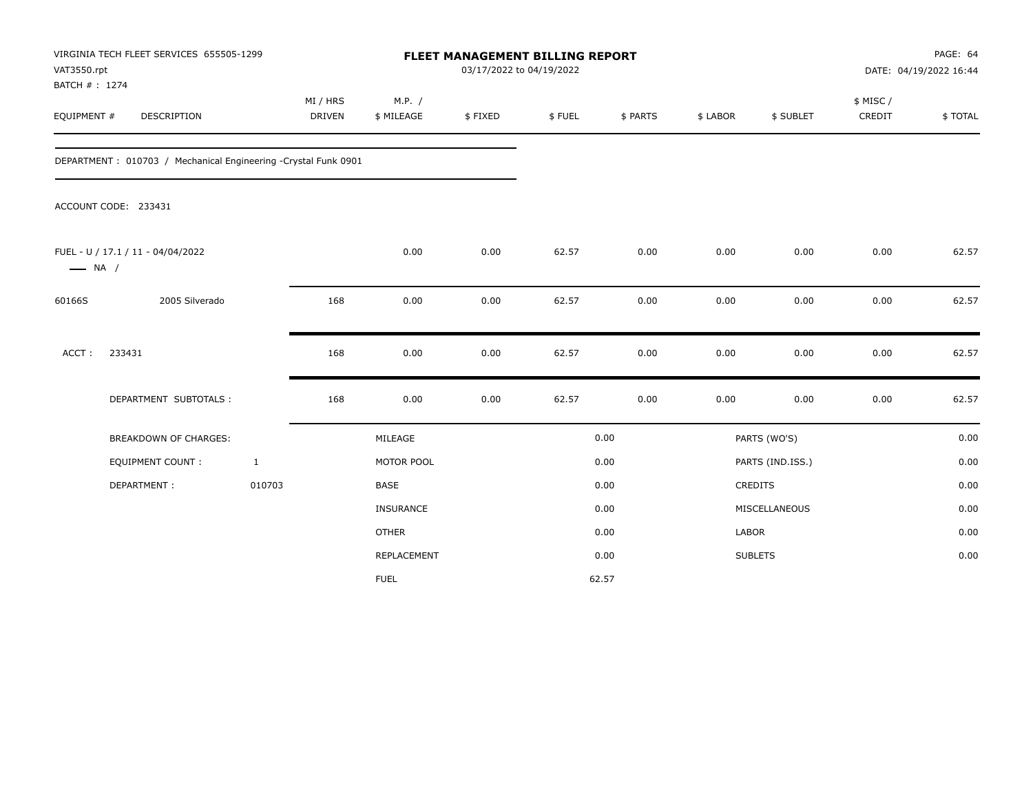| VAT3550.rpt<br>BATCH #: 1274 | VIRGINIA TECH FLEET SERVICES 655505-1299                       |                           |                      | <b>FLEET MANAGEMENT BILLING REPORT</b><br>03/17/2022 to 04/19/2022 |        |          |          |                  |                    | PAGE: 64<br>DATE: 04/19/2022 16:44 |
|------------------------------|----------------------------------------------------------------|---------------------------|----------------------|--------------------------------------------------------------------|--------|----------|----------|------------------|--------------------|------------------------------------|
| EQUIPMENT #                  | DESCRIPTION                                                    | MI / HRS<br><b>DRIVEN</b> | M.P. /<br>\$ MILEAGE | \$FIXED                                                            | \$FUEL | \$ PARTS | \$ LABOR | \$ SUBLET        | \$ MISC/<br>CREDIT | \$TOTAL                            |
|                              | DEPARTMENT: 010703 / Mechanical Engineering -Crystal Funk 0901 |                           |                      |                                                                    |        |          |          |                  |                    |                                    |
|                              | ACCOUNT CODE: 233431                                           |                           |                      |                                                                    |        |          |          |                  |                    |                                    |
| $\longrightarrow$ NA /       | FUEL - U / 17.1 / 11 - 04/04/2022                              |                           | 0.00                 | 0.00                                                               | 62.57  | 0.00     | 0.00     | 0.00             | 0.00               | 62.57                              |
| 60166S                       | 2005 Silverado                                                 | 168                       | 0.00                 | 0.00                                                               | 62.57  | 0.00     | 0.00     | 0.00             | 0.00               | 62.57                              |
| ACCT:                        | 233431                                                         | 168                       | 0.00                 | 0.00                                                               | 62.57  | 0.00     | 0.00     | 0.00             | 0.00               | 62.57                              |
|                              | DEPARTMENT SUBTOTALS :                                         | 168                       | 0.00                 | 0.00                                                               | 62.57  | 0.00     | 0.00     | 0.00             | 0.00               | 62.57                              |
|                              | <b>BREAKDOWN OF CHARGES:</b>                                   |                           | MILEAGE              |                                                                    |        | 0.00     |          | PARTS (WO'S)     |                    | 0.00                               |
|                              | <b>EQUIPMENT COUNT:</b>                                        | $\mathbf{1}$              | MOTOR POOL           |                                                                    |        | 0.00     |          | PARTS (IND.ISS.) |                    | 0.00                               |
|                              | DEPARTMENT:                                                    | 010703                    | <b>BASE</b>          |                                                                    |        | 0.00     |          | CREDITS          |                    | 0.00                               |
|                              |                                                                |                           | <b>INSURANCE</b>     |                                                                    |        | 0.00     |          | MISCELLANEOUS    |                    | 0.00                               |
|                              |                                                                |                           | <b>OTHER</b>         |                                                                    |        | 0.00     | LABOR    |                  |                    | 0.00                               |
|                              |                                                                |                           | REPLACEMENT          |                                                                    |        | 0.00     |          | <b>SUBLETS</b>   |                    | 0.00                               |
|                              |                                                                |                           | <b>FUEL</b>          |                                                                    |        | 62.57    |          |                  |                    |                                    |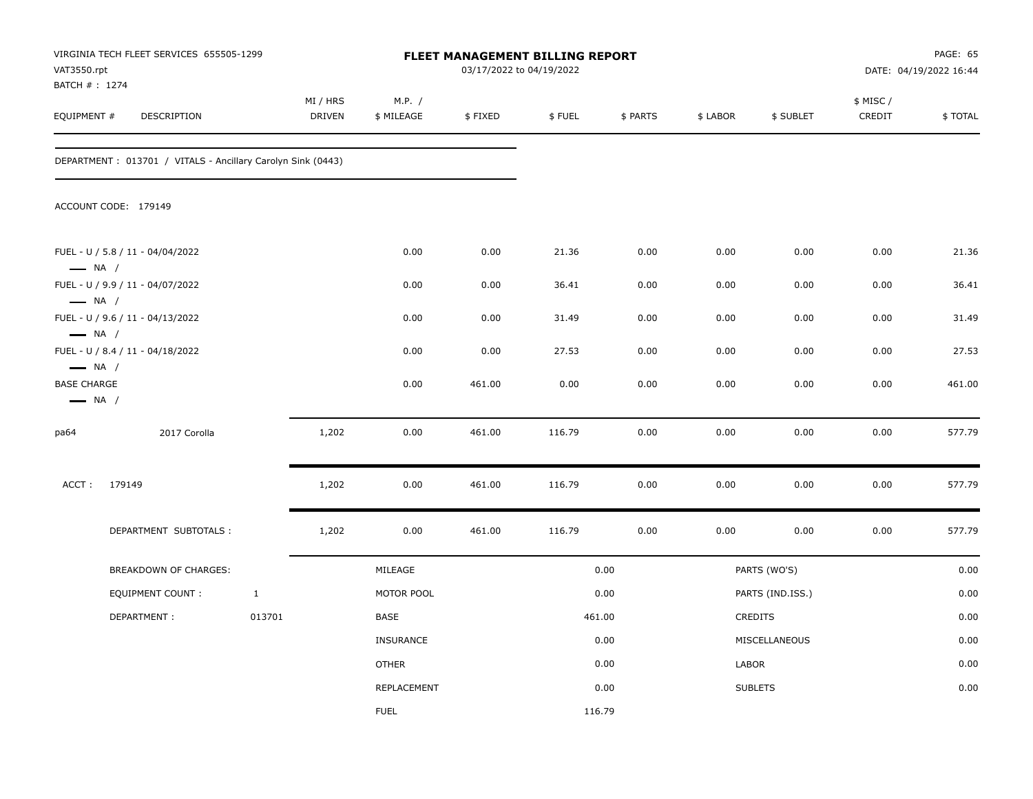| VAT3550.rpt<br>BATCH #: 1274                                           | VIRGINIA TECH FLEET SERVICES 655505-1299                    |              |                           |                      | FLEET MANAGEMENT BILLING REPORT<br>03/17/2022 to 04/19/2022 |        |          |          |                  |                    | PAGE: 65<br>DATE: 04/19/2022 16:44 |
|------------------------------------------------------------------------|-------------------------------------------------------------|--------------|---------------------------|----------------------|-------------------------------------------------------------|--------|----------|----------|------------------|--------------------|------------------------------------|
| EQUIPMENT #                                                            | DESCRIPTION                                                 |              | MI / HRS<br><b>DRIVEN</b> | M.P. /<br>\$ MILEAGE | \$FIXED                                                     | \$FUEL | \$ PARTS | \$ LABOR | \$ SUBLET        | \$ MISC/<br>CREDIT | \$TOTAL                            |
|                                                                        | DEPARTMENT: 013701 / VITALS - Ancillary Carolyn Sink (0443) |              |                           |                      |                                                             |        |          |          |                  |                    |                                    |
|                                                                        | ACCOUNT CODE: 179149                                        |              |                           |                      |                                                             |        |          |          |                  |                    |                                    |
| $\longrightarrow$ NA /                                                 | FUEL - U / 5.8 / 11 - 04/04/2022                            |              |                           | 0.00                 | 0.00                                                        | 21.36  | 0.00     | 0.00     | 0.00             | 0.00               | 21.36                              |
| $\longrightarrow$ NA /                                                 | FUEL - U / 9.9 / 11 - 04/07/2022                            |              |                           | 0.00                 | 0.00                                                        | 36.41  | 0.00     | 0.00     | 0.00             | 0.00               | 36.41                              |
|                                                                        | FUEL - U / 9.6 / 11 - 04/13/2022                            |              |                           | 0.00                 | 0.00                                                        | 31.49  | 0.00     | 0.00     | 0.00             | 0.00               | 31.49                              |
| $\longrightarrow$ NA /                                                 | FUEL - U / 8.4 / 11 - 04/18/2022                            |              |                           | 0.00                 | 0.00                                                        | 27.53  | 0.00     | 0.00     | 0.00             | 0.00               | 27.53                              |
| $\longrightarrow$ NA /<br><b>BASE CHARGE</b><br>$\longrightarrow$ NA / |                                                             |              |                           | 0.00                 | 461.00                                                      | 0.00   | 0.00     | 0.00     | 0.00             | 0.00               | 461.00                             |
| pa64                                                                   | 2017 Corolla                                                |              | 1,202                     | 0.00                 | 461.00                                                      | 116.79 | 0.00     | 0.00     | 0.00             | 0.00               | 577.79                             |
| ACCT:                                                                  | 179149                                                      |              | 1,202                     | 0.00                 | 461.00                                                      | 116.79 | 0.00     | 0.00     | 0.00             | 0.00               | 577.79                             |
|                                                                        | DEPARTMENT SUBTOTALS :                                      |              | 1,202                     | 0.00                 | 461.00                                                      | 116.79 | 0.00     | 0.00     | 0.00             | 0.00               | 577.79                             |
|                                                                        | BREAKDOWN OF CHARGES:                                       |              |                           | MILEAGE              |                                                             |        | 0.00     |          | PARTS (WO'S)     |                    | 0.00                               |
|                                                                        | <b>EQUIPMENT COUNT:</b>                                     | $\mathbf{1}$ |                           | MOTOR POOL           |                                                             |        | 0.00     |          | PARTS (IND.ISS.) |                    | 0.00                               |
|                                                                        | DEPARTMENT:                                                 | 013701       |                           | BASE                 |                                                             |        | 461.00   |          | CREDITS          |                    | 0.00                               |
|                                                                        |                                                             |              |                           | INSURANCE            |                                                             |        | 0.00     |          | MISCELLANEOUS    |                    | 0.00                               |
|                                                                        |                                                             |              |                           | <b>OTHER</b>         |                                                             |        | 0.00     | LABOR    |                  |                    | 0.00                               |
|                                                                        |                                                             |              |                           | REPLACEMENT          |                                                             |        | 0.00     |          | <b>SUBLETS</b>   |                    | 0.00                               |
|                                                                        |                                                             |              |                           | <b>FUEL</b>          |                                                             | 116.79 |          |          |                  |                    |                                    |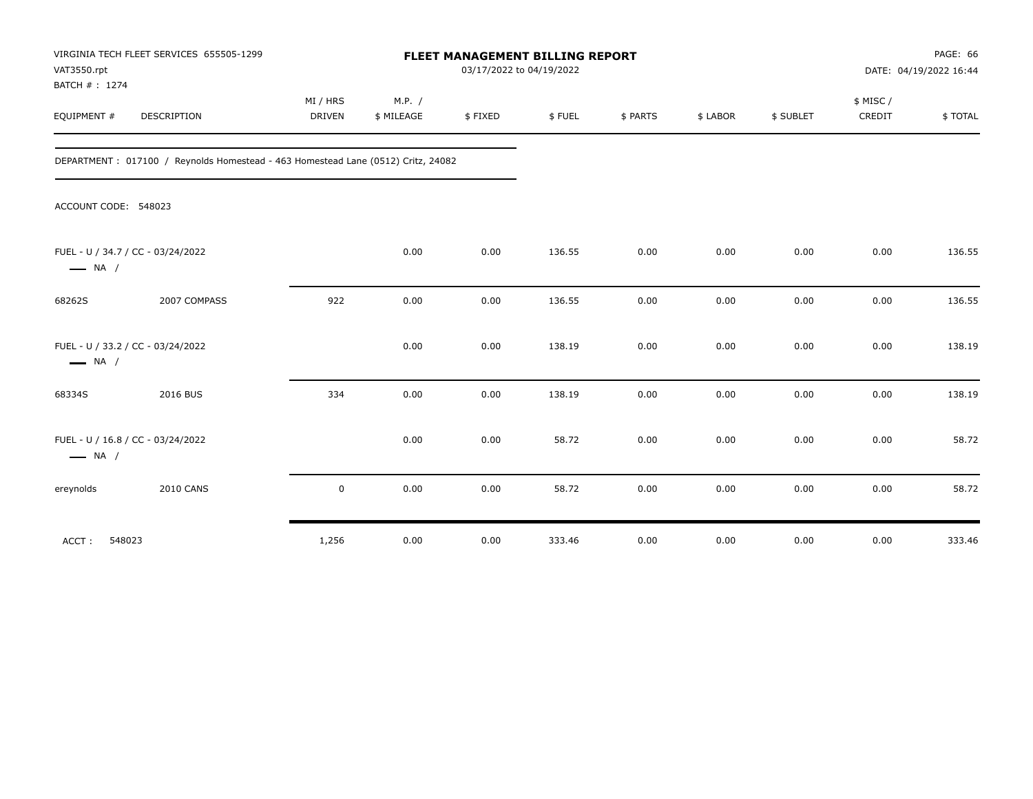| VAT3550.rpt<br>BATCH #: 1274 | VIRGINIA TECH FLEET SERVICES 655505-1299                                         |                           |                      |         | FLEET MANAGEMENT BILLING REPORT<br>03/17/2022 to 04/19/2022 |          |          |           |                    | PAGE: 66<br>DATE: 04/19/2022 16:44 |
|------------------------------|----------------------------------------------------------------------------------|---------------------------|----------------------|---------|-------------------------------------------------------------|----------|----------|-----------|--------------------|------------------------------------|
| EQUIPMENT #                  | DESCRIPTION                                                                      | MI / HRS<br><b>DRIVEN</b> | M.P. /<br>\$ MILEAGE | \$FIXED | \$FUEL                                                      | \$ PARTS | \$ LABOR | \$ SUBLET | \$ MISC/<br>CREDIT | \$TOTAL                            |
|                              | DEPARTMENT: 017100 / Reynolds Homestead - 463 Homestead Lane (0512) Critz, 24082 |                           |                      |         |                                                             |          |          |           |                    |                                    |
| ACCOUNT CODE: 548023         |                                                                                  |                           |                      |         |                                                             |          |          |           |                    |                                    |
| $\longrightarrow$ NA /       | FUEL - U / 34.7 / CC - 03/24/2022                                                |                           | 0.00                 | 0.00    | 136.55                                                      | 0.00     | 0.00     | 0.00      | 0.00               | 136.55                             |
| 68262S                       | 2007 COMPASS                                                                     | 922                       | 0.00                 | 0.00    | 136.55                                                      | 0.00     | 0.00     | 0.00      | 0.00               | 136.55                             |
| $\longrightarrow$ NA /       | FUEL - U / 33.2 / CC - 03/24/2022                                                |                           | 0.00                 | 0.00    | 138.19                                                      | 0.00     | 0.00     | 0.00      | 0.00               | 138.19                             |
| 68334S                       | 2016 BUS                                                                         | 334                       | 0.00                 | 0.00    | 138.19                                                      | 0.00     | 0.00     | 0.00      | 0.00               | 138.19                             |
| $\longrightarrow$ NA /       | FUEL - U / 16.8 / CC - 03/24/2022                                                |                           | 0.00                 | 0.00    | 58.72                                                       | 0.00     | 0.00     | 0.00      | 0.00               | 58.72                              |
| ereynolds                    | <b>2010 CANS</b>                                                                 | $\mathsf 0$               | 0.00                 | 0.00    | 58.72                                                       | 0.00     | 0.00     | 0.00      | 0.00               | 58.72                              |
| ACCT:<br>548023              |                                                                                  | 1,256                     | 0.00                 | 0.00    | 333.46                                                      | 0.00     | 0.00     | 0.00      | 0.00               | 333.46                             |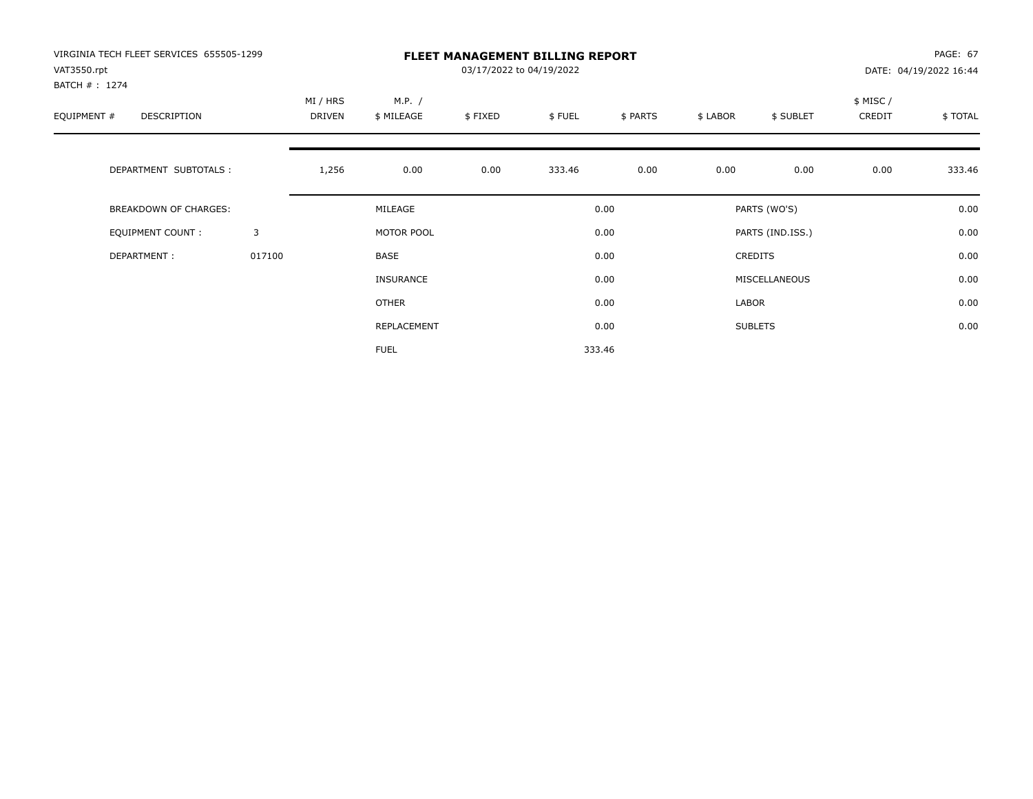| VIRGINIA TECH FLEET SERVICES 655505-1299<br>VAT3550.rpt<br>BATCH #: 1274 |        |                           |                      | 03/17/2022 to 04/19/2022 | <b>FLEET MANAGEMENT BILLING REPORT</b> |          |          |                  |                     | PAGE: 67<br>DATE: 04/19/2022 16:44 |
|--------------------------------------------------------------------------|--------|---------------------------|----------------------|--------------------------|----------------------------------------|----------|----------|------------------|---------------------|------------------------------------|
| EQUIPMENT #<br><b>DESCRIPTION</b>                                        |        | MI / HRS<br><b>DRIVEN</b> | M.P. /<br>\$ MILEAGE | \$FIXED                  | \$FUEL                                 | \$ PARTS | \$ LABOR | \$ SUBLET        | \$ MISC /<br>CREDIT | \$TOTAL                            |
| DEPARTMENT SUBTOTALS :                                                   |        | 1,256                     | 0.00                 | 0.00                     | 333.46                                 | 0.00     | 0.00     | 0.00             | 0.00                | 333.46                             |
| <b>BREAKDOWN OF CHARGES:</b>                                             |        |                           | MILEAGE              |                          |                                        | 0.00     |          | PARTS (WO'S)     |                     | 0.00                               |
| EQUIPMENT COUNT:                                                         | 3      |                           | MOTOR POOL           |                          |                                        | 0.00     |          | PARTS (IND.ISS.) |                     | 0.00                               |
| DEPARTMENT:                                                              | 017100 |                           | <b>BASE</b>          |                          |                                        | 0.00     |          | <b>CREDITS</b>   |                     | 0.00                               |
|                                                                          |        |                           | INSURANCE            |                          |                                        | 0.00     |          | MISCELLANEOUS    |                     | 0.00                               |
|                                                                          |        |                           | <b>OTHER</b>         |                          |                                        | 0.00     | LABOR    |                  |                     | 0.00                               |
|                                                                          |        |                           | REPLACEMENT          |                          |                                        | 0.00     |          | <b>SUBLETS</b>   |                     | 0.00                               |
|                                                                          |        |                           | <b>FUEL</b>          |                          |                                        | 333.46   |          |                  |                     |                                    |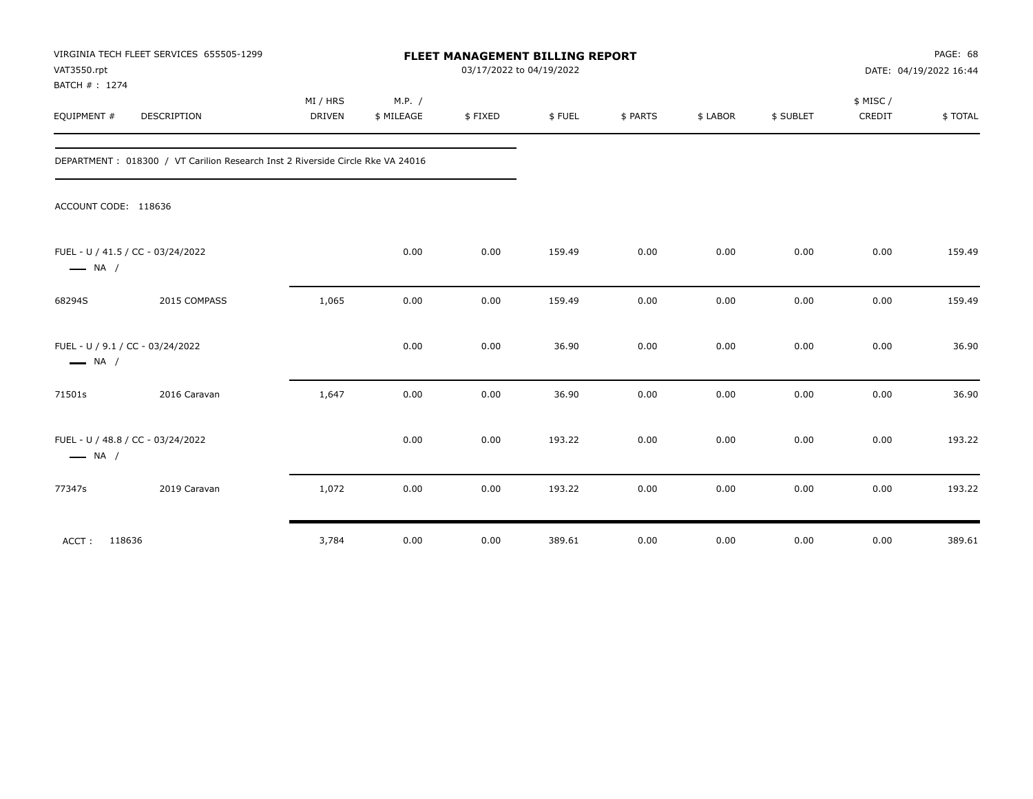| VAT3550.rpt<br>BATCH # : 1274 | VIRGINIA TECH FLEET SERVICES 655505-1299                                        |                           |                      | FLEET MANAGEMENT BILLING REPORT<br>03/17/2022 to 04/19/2022 |        |          |          |           |                    | PAGE: 68<br>DATE: 04/19/2022 16:44 |
|-------------------------------|---------------------------------------------------------------------------------|---------------------------|----------------------|-------------------------------------------------------------|--------|----------|----------|-----------|--------------------|------------------------------------|
| EQUIPMENT #                   | <b>DESCRIPTION</b>                                                              | MI / HRS<br><b>DRIVEN</b> | M.P. /<br>\$ MILEAGE | \$FIXED                                                     | \$FUEL | \$ PARTS | \$ LABOR | \$ SUBLET | \$ MISC/<br>CREDIT | \$TOTAL                            |
|                               | DEPARTMENT : 018300 / VT Carilion Research Inst 2 Riverside Circle Rke VA 24016 |                           |                      |                                                             |        |          |          |           |                    |                                    |
| ACCOUNT CODE: 118636          |                                                                                 |                           |                      |                                                             |        |          |          |           |                    |                                    |
| $\longrightarrow$ NA /        | FUEL - U / 41.5 / CC - 03/24/2022                                               |                           | 0.00                 | 0.00                                                        | 159.49 | 0.00     | 0.00     | 0.00      | 0.00               | 159.49                             |
| 68294S                        | 2015 COMPASS                                                                    | 1,065                     | 0.00                 | 0.00                                                        | 159.49 | 0.00     | 0.00     | 0.00      | 0.00               | 159.49                             |
| $\longrightarrow$ NA /        | FUEL - U / 9.1 / CC - 03/24/2022                                                |                           | 0.00                 | 0.00                                                        | 36.90  | 0.00     | 0.00     | 0.00      | 0.00               | 36.90                              |
| 71501s                        | 2016 Caravan                                                                    | 1,647                     | 0.00                 | 0.00                                                        | 36.90  | 0.00     | 0.00     | 0.00      | 0.00               | 36.90                              |
| $\longrightarrow$ NA /        | FUEL - U / 48.8 / CC - 03/24/2022                                               |                           | 0.00                 | 0.00                                                        | 193.22 | 0.00     | 0.00     | 0.00      | 0.00               | 193.22                             |
| 77347s                        | 2019 Caravan                                                                    | 1,072                     | 0.00                 | 0.00                                                        | 193.22 | 0.00     | 0.00     | 0.00      | 0.00               | 193.22                             |
| 118636<br>ACCT:               |                                                                                 | 3,784                     | 0.00                 | 0.00                                                        | 389.61 | 0.00     | 0.00     | 0.00      | 0.00               | 389.61                             |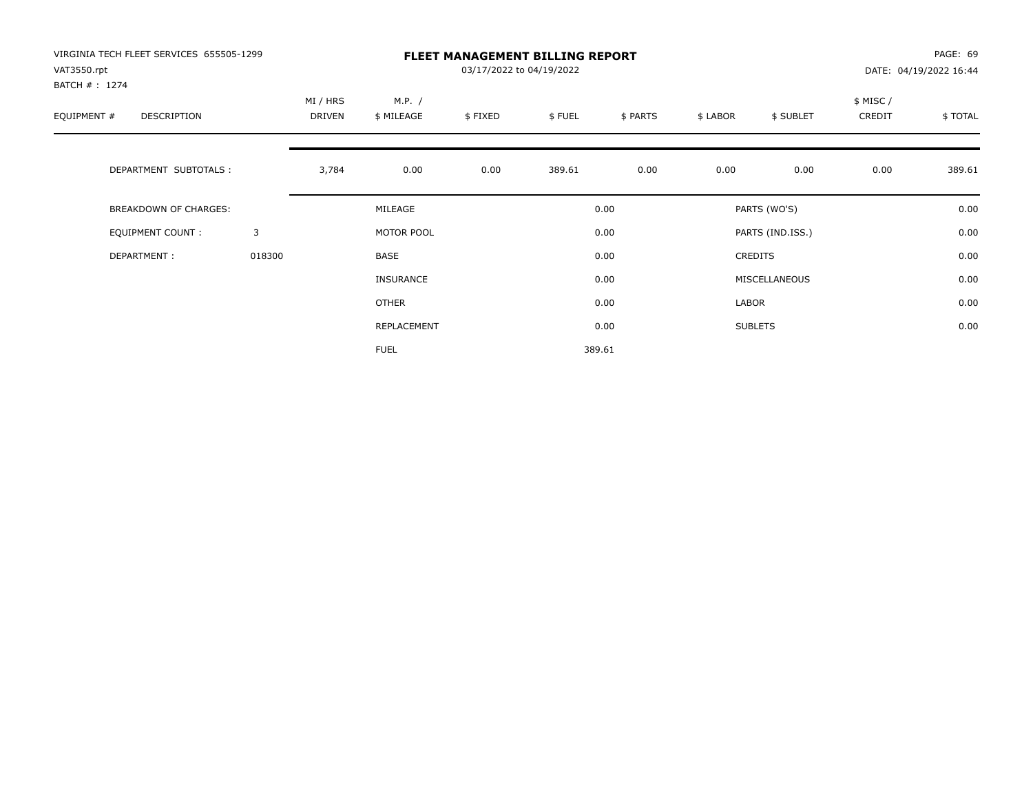| VIRGINIA TECH FLEET SERVICES 655505-1299<br>VAT3550.rpt<br>BATCH #: 1274 |        |                           |                      | 03/17/2022 to 04/19/2022 | <b>FLEET MANAGEMENT BILLING REPORT</b> |          |          |                  |                     | PAGE: 69<br>DATE: 04/19/2022 16:44 |
|--------------------------------------------------------------------------|--------|---------------------------|----------------------|--------------------------|----------------------------------------|----------|----------|------------------|---------------------|------------------------------------|
| EQUIPMENT #<br><b>DESCRIPTION</b>                                        |        | MI / HRS<br><b>DRIVEN</b> | M.P. /<br>\$ MILEAGE | \$FIXED                  | \$FUEL                                 | \$ PARTS | \$ LABOR | \$ SUBLET        | \$ MISC /<br>CREDIT | \$TOTAL                            |
| DEPARTMENT SUBTOTALS :                                                   |        | 3,784                     | 0.00                 | 0.00                     | 389.61                                 | 0.00     | 0.00     | 0.00             | 0.00                | 389.61                             |
| <b>BREAKDOWN OF CHARGES:</b>                                             |        |                           | MILEAGE              |                          |                                        | 0.00     |          | PARTS (WO'S)     |                     | 0.00                               |
| EQUIPMENT COUNT:                                                         | 3      |                           | MOTOR POOL           |                          |                                        | 0.00     |          | PARTS (IND.ISS.) |                     | 0.00                               |
| DEPARTMENT:                                                              | 018300 |                           | <b>BASE</b>          |                          |                                        | 0.00     |          | <b>CREDITS</b>   |                     | 0.00                               |
|                                                                          |        |                           | INSURANCE            |                          |                                        | 0.00     |          | MISCELLANEOUS    |                     | 0.00                               |
|                                                                          |        |                           | OTHER                |                          |                                        | 0.00     | LABOR    |                  |                     | 0.00                               |
|                                                                          |        |                           | REPLACEMENT          |                          |                                        | 0.00     |          | <b>SUBLETS</b>   |                     | 0.00                               |
|                                                                          |        |                           | <b>FUEL</b>          |                          |                                        | 389.61   |          |                  |                     |                                    |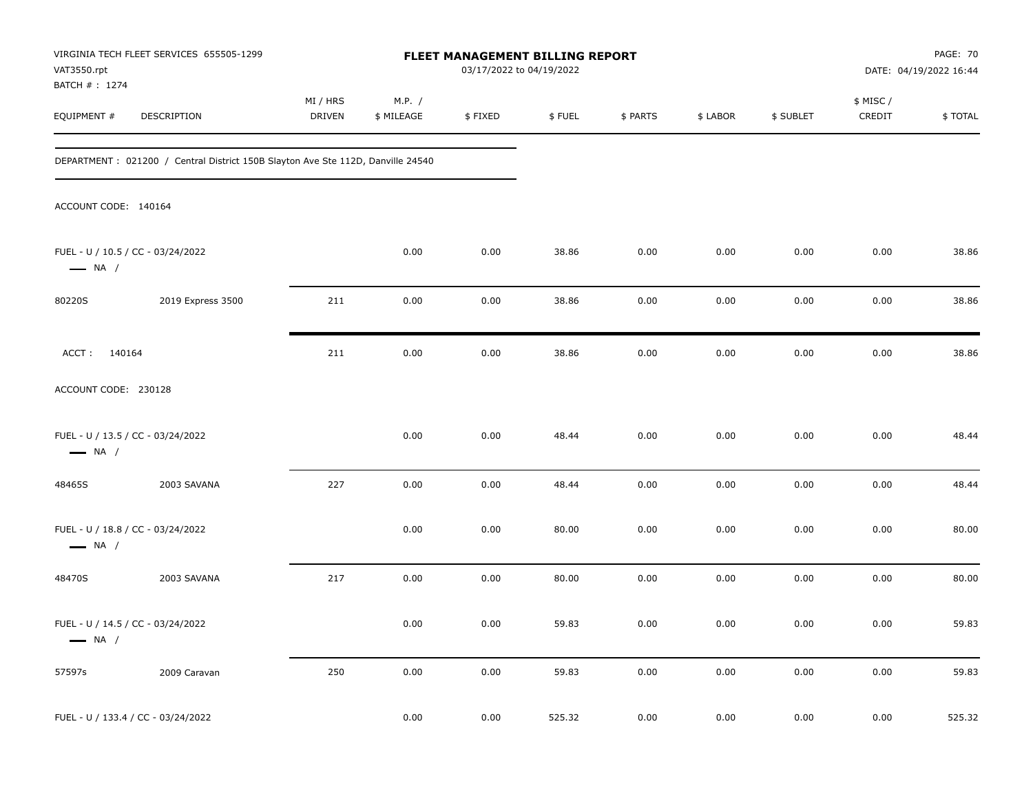| VAT3550.rpt<br>BATCH #: 1274 | VIRGINIA TECH FLEET SERVICES 655505-1299                                        |                    |                      | FLEET MANAGEMENT BILLING REPORT<br>03/17/2022 to 04/19/2022 |        |          |          |           |                    | <b>PAGE: 70</b><br>DATE: 04/19/2022 16:44 |
|------------------------------|---------------------------------------------------------------------------------|--------------------|----------------------|-------------------------------------------------------------|--------|----------|----------|-----------|--------------------|-------------------------------------------|
| EQUIPMENT #                  | DESCRIPTION                                                                     | MI / HRS<br>DRIVEN | M.P. /<br>\$ MILEAGE | \$FIXED                                                     | \$FUEL | \$ PARTS | \$ LABOR | \$ SUBLET | \$ MISC/<br>CREDIT | \$TOTAL                                   |
|                              | DEPARTMENT: 021200 / Central District 150B Slayton Ave Ste 112D, Danville 24540 |                    |                      |                                                             |        |          |          |           |                    |                                           |
| ACCOUNT CODE: 140164         |                                                                                 |                    |                      |                                                             |        |          |          |           |                    |                                           |
| $\longrightarrow$ NA /       | FUEL - U / 10.5 / CC - 03/24/2022                                               |                    | 0.00                 | 0.00                                                        | 38.86  | 0.00     | 0.00     | 0.00      | 0.00               | 38.86                                     |
| 80220S                       | 2019 Express 3500                                                               | 211                | 0.00                 | 0.00                                                        | 38.86  | 0.00     | 0.00     | 0.00      | 0.00               | 38.86                                     |
| ACCT: 140164                 |                                                                                 | 211                | 0.00                 | 0.00                                                        | 38.86  | 0.00     | 0.00     | 0.00      | 0.00               | 38.86                                     |
| ACCOUNT CODE: 230128         |                                                                                 |                    |                      |                                                             |        |          |          |           |                    |                                           |
| $\longrightarrow$ NA /       | FUEL - U / 13.5 / CC - 03/24/2022                                               |                    | 0.00                 | 0.00                                                        | 48.44  | 0.00     | 0.00     | 0.00      | 0.00               | 48.44                                     |
| 48465S                       | 2003 SAVANA                                                                     | 227                | 0.00                 | 0.00                                                        | 48.44  | 0.00     | 0.00     | 0.00      | 0.00               | 48.44                                     |
| $\longrightarrow$ NA /       | FUEL - U / 18.8 / CC - 03/24/2022                                               |                    | 0.00                 | 0.00                                                        | 80.00  | 0.00     | 0.00     | 0.00      | 0.00               | 80.00                                     |
| 48470S                       | 2003 SAVANA                                                                     | 217                | 0.00                 | 0.00                                                        | 80.00  | 0.00     | 0.00     | 0.00      | 0.00               | 80.00                                     |
| $\longrightarrow$ NA /       | FUEL - U / 14.5 / CC - 03/24/2022                                               |                    | 0.00                 | 0.00                                                        | 59.83  | 0.00     | 0.00     | 0.00      | 0.00               | 59.83                                     |
| 57597s                       | 2009 Caravan                                                                    | 250                | 0.00                 | 0.00                                                        | 59.83  | 0.00     | 0.00     | 0.00      | 0.00               | 59.83                                     |
|                              | FUEL - U / 133.4 / CC - 03/24/2022                                              |                    | 0.00                 | 0.00                                                        | 525.32 | 0.00     | 0.00     | 0.00      | 0.00               | 525.32                                    |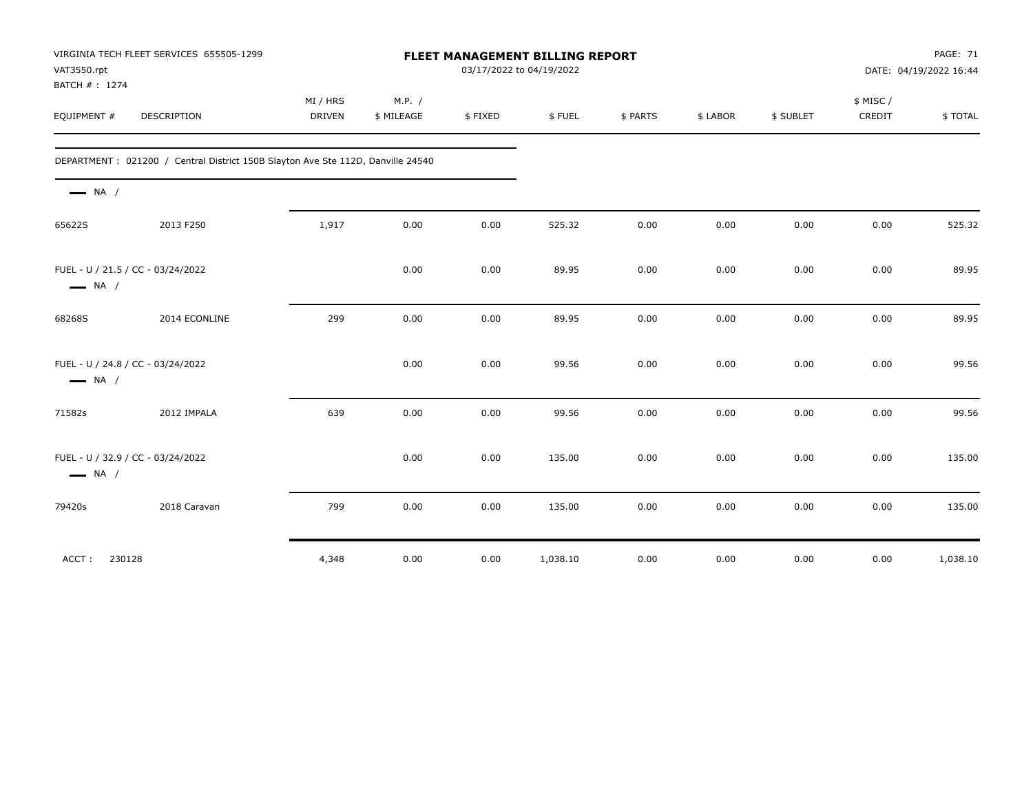| VAT3550.rpt<br>BATCH #: 1274                                | VIRGINIA TECH FLEET SERVICES 655505-1299                                        |                           |                      |         | FLEET MANAGEMENT BILLING REPORT<br>03/17/2022 to 04/19/2022 |          |          |           |                     | <b>PAGE: 71</b><br>DATE: 04/19/2022 16:44 |
|-------------------------------------------------------------|---------------------------------------------------------------------------------|---------------------------|----------------------|---------|-------------------------------------------------------------|----------|----------|-----------|---------------------|-------------------------------------------|
| EQUIPMENT #                                                 | <b>DESCRIPTION</b>                                                              | MI / HRS<br><b>DRIVEN</b> | M.P. /<br>\$ MILEAGE | \$FIXED | \$FUEL                                                      | \$ PARTS | \$ LABOR | \$ SUBLET | \$ MISC /<br>CREDIT | \$TOTAL                                   |
|                                                             | DEPARTMENT: 021200 / Central District 150B Slayton Ave Ste 112D, Danville 24540 |                           |                      |         |                                                             |          |          |           |                     |                                           |
| $\longrightarrow$ NA /                                      |                                                                                 |                           |                      |         |                                                             |          |          |           |                     |                                           |
| 65622S                                                      | 2013 F250                                                                       | 1,917                     | 0.00                 | 0.00    | 525.32                                                      | 0.00     | 0.00     | 0.00      | 0.00                | 525.32                                    |
| FUEL - U / 21.5 / CC - 03/24/2022<br>$\longrightarrow$ NA / |                                                                                 |                           | 0.00                 | 0.00    | 89.95                                                       | 0.00     | 0.00     | 0.00      | 0.00                | 89.95                                     |
| 68268S                                                      | 2014 ECONLINE                                                                   | 299                       | 0.00                 | 0.00    | 89.95                                                       | 0.00     | 0.00     | 0.00      | 0.00                | 89.95                                     |
| FUEL - U / 24.8 / CC - 03/24/2022<br>$\longrightarrow$ NA / |                                                                                 |                           | 0.00                 | 0.00    | 99.56                                                       | 0.00     | 0.00     | 0.00      | 0.00                | 99.56                                     |
| 71582s                                                      | 2012 IMPALA                                                                     | 639                       | 0.00                 | 0.00    | 99.56                                                       | 0.00     | 0.00     | 0.00      | 0.00                | 99.56                                     |
| FUEL - U / 32.9 / CC - 03/24/2022<br>$\longrightarrow$ NA / |                                                                                 |                           | 0.00                 | 0.00    | 135.00                                                      | 0.00     | 0.00     | 0.00      | 0.00                | 135.00                                    |
| 79420s                                                      | 2018 Caravan                                                                    | 799                       | 0.00                 | 0.00    | 135.00                                                      | 0.00     | 0.00     | 0.00      | 0.00                | 135.00                                    |
| ACCT:<br>230128                                             |                                                                                 | 4,348                     | 0.00                 | 0.00    | 1,038.10                                                    | 0.00     | 0.00     | 0.00      | 0.00                | 1,038.10                                  |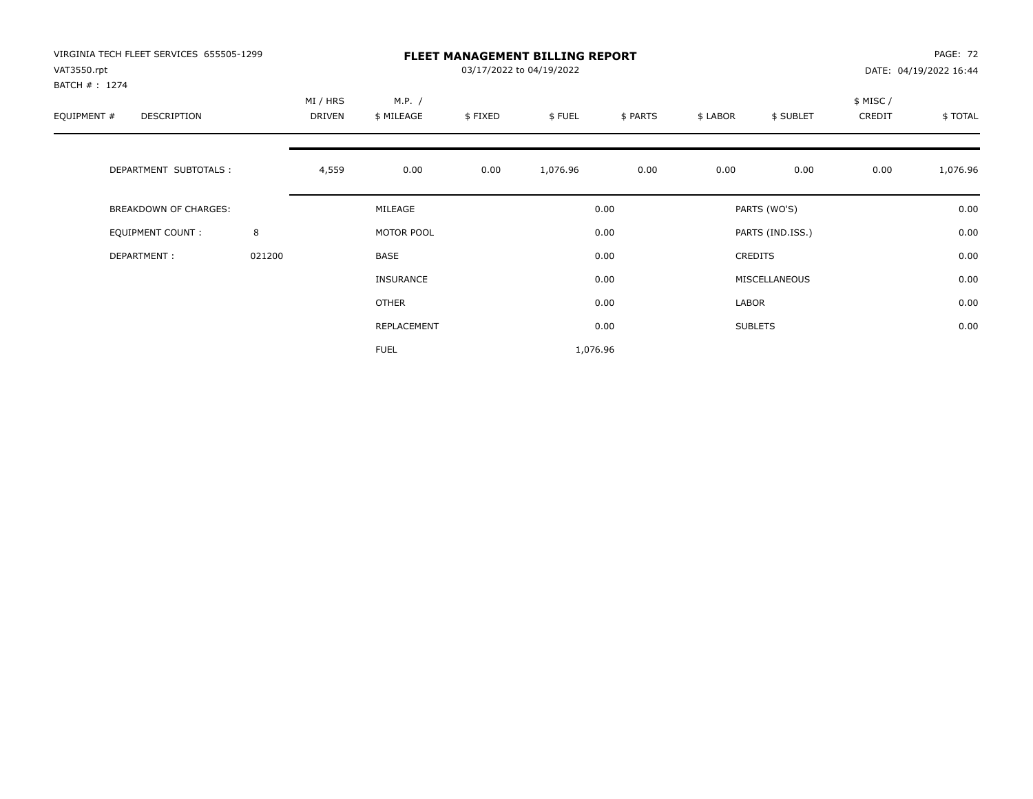| VIRGINIA TECH FLEET SERVICES 655505-1299<br>VAT3550.rpt |        |          |                  |         | <b>FLEET MANAGEMENT BILLING REPORT</b><br>03/17/2022 to 04/19/2022 |          |          |                  |          | PAGE: 72               |
|---------------------------------------------------------|--------|----------|------------------|---------|--------------------------------------------------------------------|----------|----------|------------------|----------|------------------------|
| BATCH #: 1274                                           |        |          |                  |         |                                                                    |          |          |                  |          | DATE: 04/19/2022 16:44 |
|                                                         |        | MI / HRS | M.P. /           |         |                                                                    |          |          |                  | \$ MISC/ |                        |
| EQUIPMENT #<br>DESCRIPTION                              |        | DRIVEN   | \$ MILEAGE       | \$FIXED | \$FUEL                                                             | \$ PARTS | \$ LABOR | \$ SUBLET        | CREDIT   | \$ TOTAL               |
| DEPARTMENT SUBTOTALS :                                  |        | 4,559    | 0.00             | 0.00    | 1,076.96                                                           | 0.00     | 0.00     | 0.00             | 0.00     | 1,076.96               |
| <b>BREAKDOWN OF CHARGES:</b>                            |        |          | MILEAGE          |         |                                                                    | 0.00     |          | PARTS (WO'S)     |          | 0.00                   |
| EQUIPMENT COUNT:                                        | 8      |          | MOTOR POOL       |         |                                                                    | 0.00     |          | PARTS (IND.ISS.) |          | 0.00                   |
| DEPARTMENT:                                             | 021200 |          | BASE             |         |                                                                    | 0.00     |          | <b>CREDITS</b>   |          | 0.00                   |
|                                                         |        |          | <b>INSURANCE</b> |         |                                                                    | 0.00     |          | MISCELLANEOUS    |          | 0.00                   |
|                                                         |        |          | OTHER            |         |                                                                    | 0.00     | LABOR    |                  |          | 0.00                   |
|                                                         |        |          | REPLACEMENT      |         |                                                                    | 0.00     |          | <b>SUBLETS</b>   |          | 0.00                   |
|                                                         |        |          | <b>FUEL</b>      |         | 1,076.96                                                           |          |          |                  |          |                        |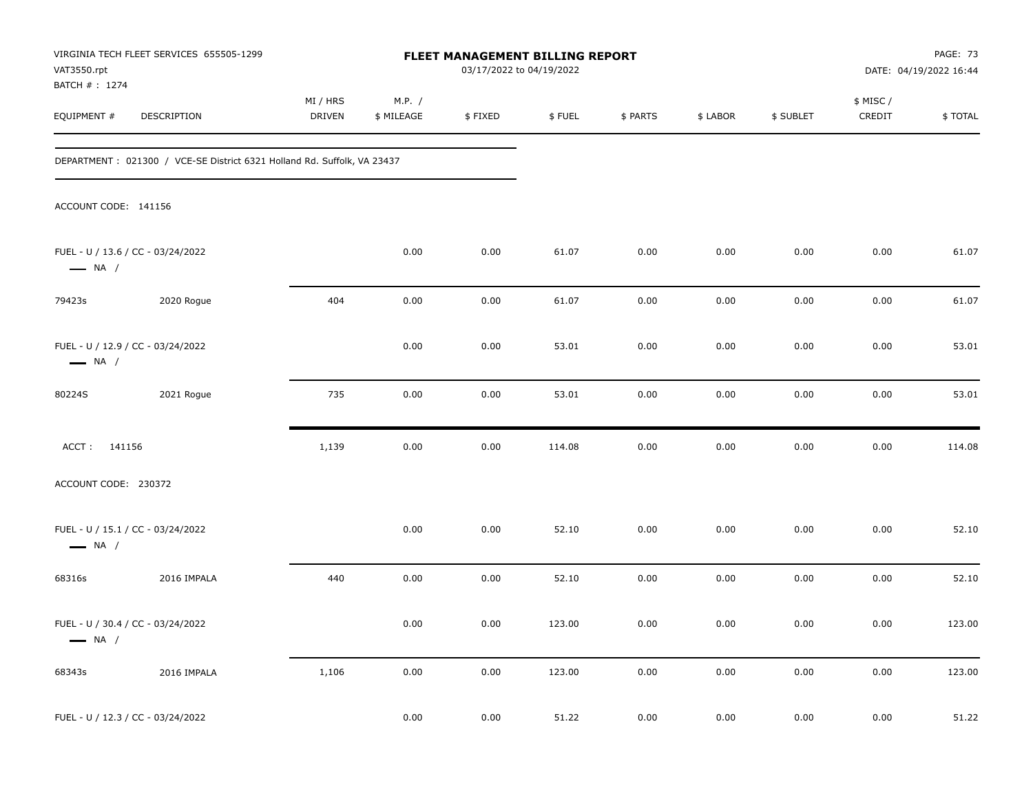| VAT3550.rpt                  | VIRGINIA TECH FLEET SERVICES 655505-1299                                 |                    |                      | FLEET MANAGEMENT BILLING REPORT<br>03/17/2022 to 04/19/2022 |        |          |          |           |                     | PAGE: 73<br>DATE: 04/19/2022 16:44 |
|------------------------------|--------------------------------------------------------------------------|--------------------|----------------------|-------------------------------------------------------------|--------|----------|----------|-----------|---------------------|------------------------------------|
| BATCH #: 1274<br>EQUIPMENT # | DESCRIPTION                                                              | MI / HRS<br>DRIVEN | M.P. /<br>\$ MILEAGE | \$FIXED                                                     | \$FUEL | \$ PARTS | \$ LABOR | \$ SUBLET | \$ MISC /<br>CREDIT | \$TOTAL                            |
|                              | DEPARTMENT : 021300 / VCE-SE District 6321 Holland Rd. Suffolk, VA 23437 |                    |                      |                                                             |        |          |          |           |                     |                                    |
| ACCOUNT CODE: 141156         |                                                                          |                    |                      |                                                             |        |          |          |           |                     |                                    |
| $\longrightarrow$ NA /       | FUEL - U / 13.6 / CC - 03/24/2022                                        |                    | 0.00                 | 0.00                                                        | 61.07  | 0.00     | 0.00     | 0.00      | 0.00                | 61.07                              |
| 79423s                       | 2020 Rogue                                                               | 404                | 0.00                 | 0.00                                                        | 61.07  | 0.00     | 0.00     | 0.00      | 0.00                | 61.07                              |
| $\longrightarrow$ NA /       | FUEL - U / 12.9 / CC - 03/24/2022                                        |                    | 0.00                 | 0.00                                                        | 53.01  | 0.00     | 0.00     | 0.00      | 0.00                | 53.01                              |
| 80224S                       | 2021 Rogue                                                               | 735                | 0.00                 | 0.00                                                        | 53.01  | 0.00     | 0.00     | 0.00      | 0.00                | 53.01                              |
| ACCT: 141156                 |                                                                          | 1,139              | 0.00                 | 0.00                                                        | 114.08 | 0.00     | 0.00     | 0.00      | 0.00                | 114.08                             |
| ACCOUNT CODE: 230372         |                                                                          |                    |                      |                                                             |        |          |          |           |                     |                                    |
| $\longrightarrow$ NA /       | FUEL - U / 15.1 / CC - 03/24/2022                                        |                    | 0.00                 | 0.00                                                        | 52.10  | 0.00     | 0.00     | 0.00      | 0.00                | 52.10                              |
| 68316s                       | 2016 IMPALA                                                              | 440                | 0.00                 | 0.00                                                        | 52.10  | 0.00     | 0.00     | 0.00      | 0.00                | 52.10                              |
| $\longrightarrow$ NA /       | FUEL - U / 30.4 / CC - 03/24/2022                                        |                    | 0.00                 | 0.00                                                        | 123.00 | 0.00     | 0.00     | 0.00      | 0.00                | 123.00                             |
| 68343s                       | 2016 IMPALA                                                              | 1,106              | 0.00                 | 0.00                                                        | 123.00 | 0.00     | 0.00     | 0.00      | 0.00                | 123.00                             |
|                              | FUEL - U / 12.3 / CC - 03/24/2022                                        |                    | 0.00                 | 0.00                                                        | 51.22  | 0.00     | 0.00     | 0.00      | 0.00                | 51.22                              |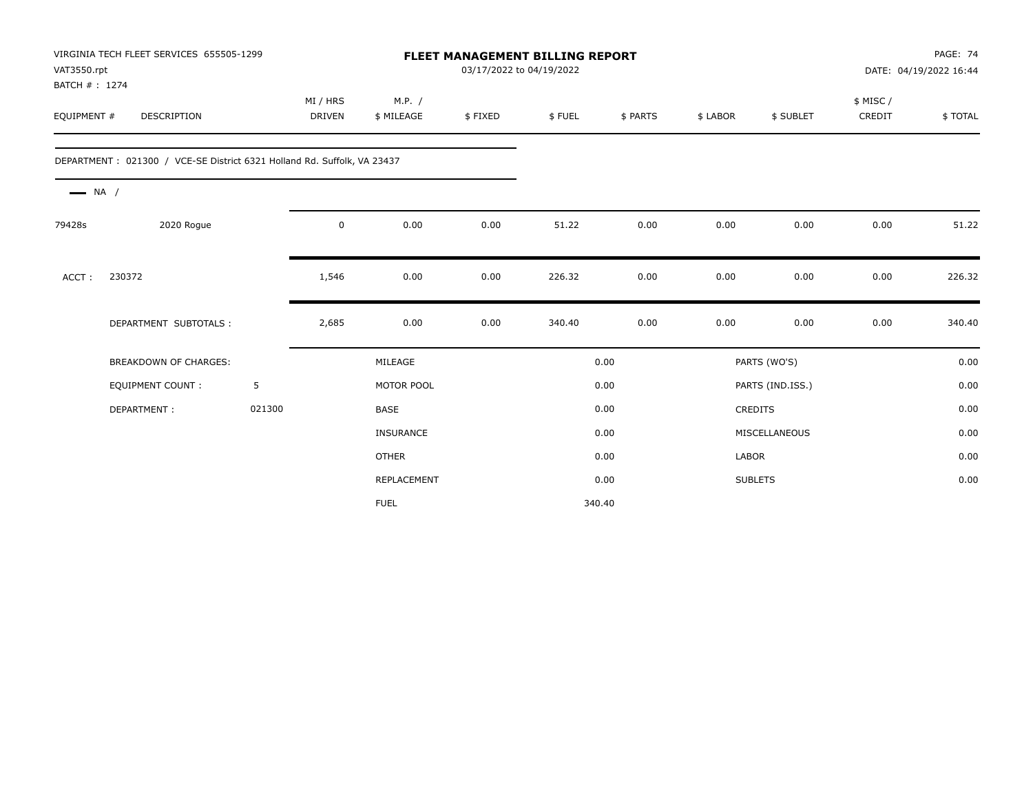| VAT3550.rpt<br>BATCH #: 1274 | VIRGINIA TECH FLEET SERVICES 655505-1299                                 |        |                           |                      | 03/17/2022 to 04/19/2022 | <b>FLEET MANAGEMENT BILLING REPORT</b> |          |              |                  |                    | <b>PAGE: 74</b><br>DATE: 04/19/2022 16:44 |
|------------------------------|--------------------------------------------------------------------------|--------|---------------------------|----------------------|--------------------------|----------------------------------------|----------|--------------|------------------|--------------------|-------------------------------------------|
| EQUIPMENT #                  | DESCRIPTION                                                              |        | MI / HRS<br><b>DRIVEN</b> | M.P. /<br>\$ MILEAGE | \$FIXED                  | \$FUEL                                 | \$ PARTS | \$ LABOR     | \$ SUBLET        | \$ MISC/<br>CREDIT | \$TOTAL                                   |
|                              | DEPARTMENT : 021300 / VCE-SE District 6321 Holland Rd. Suffolk, VA 23437 |        |                           |                      |                          |                                        |          |              |                  |                    |                                           |
| $\longrightarrow$ NA /       |                                                                          |        |                           |                      |                          |                                        |          |              |                  |                    |                                           |
| 79428s                       | 2020 Rogue                                                               |        | $\mathbf 0$               | 0.00                 | 0.00                     | 51.22                                  | 0.00     | 0.00         | 0.00             | 0.00               | 51.22                                     |
| ACCT:                        | 230372                                                                   |        | 1,546                     | 0.00                 | 0.00                     | 226.32                                 | 0.00     | 0.00         | 0.00             | 0.00               | 226.32                                    |
|                              | DEPARTMENT SUBTOTALS :                                                   |        | 2,685                     | 0.00                 | 0.00                     | 340.40                                 | 0.00     | 0.00         | 0.00             | 0.00               | 340.40                                    |
|                              | <b>BREAKDOWN OF CHARGES:</b>                                             |        |                           | MILEAGE              |                          |                                        | 0.00     |              | PARTS (WO'S)     |                    | 0.00                                      |
|                              | <b>EQUIPMENT COUNT:</b>                                                  | 5      |                           | MOTOR POOL           |                          |                                        | 0.00     |              | PARTS (IND.ISS.) |                    | 0.00                                      |
|                              | DEPARTMENT:                                                              | 021300 |                           | BASE                 |                          |                                        | 0.00     |              | <b>CREDITS</b>   |                    | 0.00                                      |
|                              |                                                                          |        |                           | <b>INSURANCE</b>     |                          |                                        | 0.00     |              | MISCELLANEOUS    |                    | 0.00                                      |
|                              |                                                                          |        |                           | <b>OTHER</b>         |                          |                                        | 0.00     | <b>LABOR</b> |                  |                    | 0.00                                      |
|                              |                                                                          |        |                           | REPLACEMENT          |                          |                                        | 0.00     |              | <b>SUBLETS</b>   |                    | 0.00                                      |
|                              |                                                                          |        |                           | <b>FUEL</b>          |                          | 340.40                                 |          |              |                  |                    |                                           |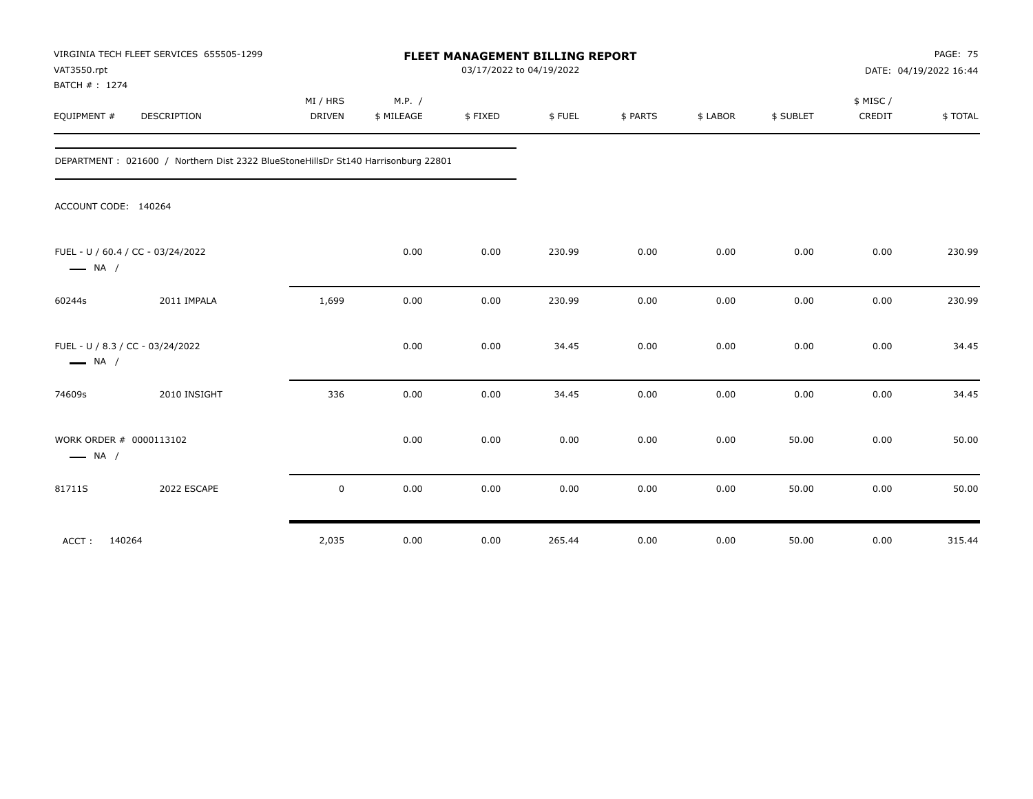| VAT3550.rpt                                       | VIRGINIA TECH FLEET SERVICES 655505-1299<br>BATCH #: 1274                         |                           |                      |         | FLEET MANAGEMENT BILLING REPORT<br>03/17/2022 to 04/19/2022 |          |          |           |                     | <b>PAGE: 75</b><br>DATE: 04/19/2022 16:44 |
|---------------------------------------------------|-----------------------------------------------------------------------------------|---------------------------|----------------------|---------|-------------------------------------------------------------|----------|----------|-----------|---------------------|-------------------------------------------|
| EQUIPMENT #                                       | <b>DESCRIPTION</b>                                                                | MI / HRS<br><b>DRIVEN</b> | M.P. /<br>\$ MILEAGE | \$FIXED | \$FUEL                                                      | \$ PARTS | \$ LABOR | \$ SUBLET | \$ MISC /<br>CREDIT | \$TOTAL                                   |
|                                                   | DEPARTMENT: 021600 / Northern Dist 2322 BlueStoneHillsDr St140 Harrisonburg 22801 |                           |                      |         |                                                             |          |          |           |                     |                                           |
| ACCOUNT CODE: 140264                              |                                                                                   |                           |                      |         |                                                             |          |          |           |                     |                                           |
| $\longrightarrow$ NA /                            | FUEL - U / 60.4 / CC - 03/24/2022                                                 |                           | 0.00                 | 0.00    | 230.99                                                      | 0.00     | 0.00     | 0.00      | 0.00                | 230.99                                    |
| 60244s                                            | 2011 IMPALA                                                                       | 1,699                     | 0.00                 | 0.00    | 230.99                                                      | 0.00     | 0.00     | 0.00      | 0.00                | 230.99                                    |
| $\longrightarrow$ NA /                            | FUEL - U / 8.3 / CC - 03/24/2022                                                  |                           | 0.00                 | 0.00    | 34.45                                                       | 0.00     | 0.00     | 0.00      | 0.00                | 34.45                                     |
| 74609s                                            | 2010 INSIGHT                                                                      | 336                       | 0.00                 | 0.00    | 34.45                                                       | 0.00     | 0.00     | 0.00      | 0.00                | 34.45                                     |
| WORK ORDER # 0000113102<br>$\longrightarrow$ NA / |                                                                                   |                           | 0.00                 | 0.00    | 0.00                                                        | 0.00     | 0.00     | 50.00     | 0.00                | 50.00                                     |
| 81711S                                            | 2022 ESCAPE                                                                       | $\mathbf 0$               | 0.00                 | 0.00    | 0.00                                                        | 0.00     | 0.00     | 50.00     | 0.00                | 50.00                                     |
| 140264<br>ACCT:                                   |                                                                                   | 2,035                     | 0.00                 | 0.00    | 265.44                                                      | 0.00     | 0.00     | 50.00     | 0.00                | 315.44                                    |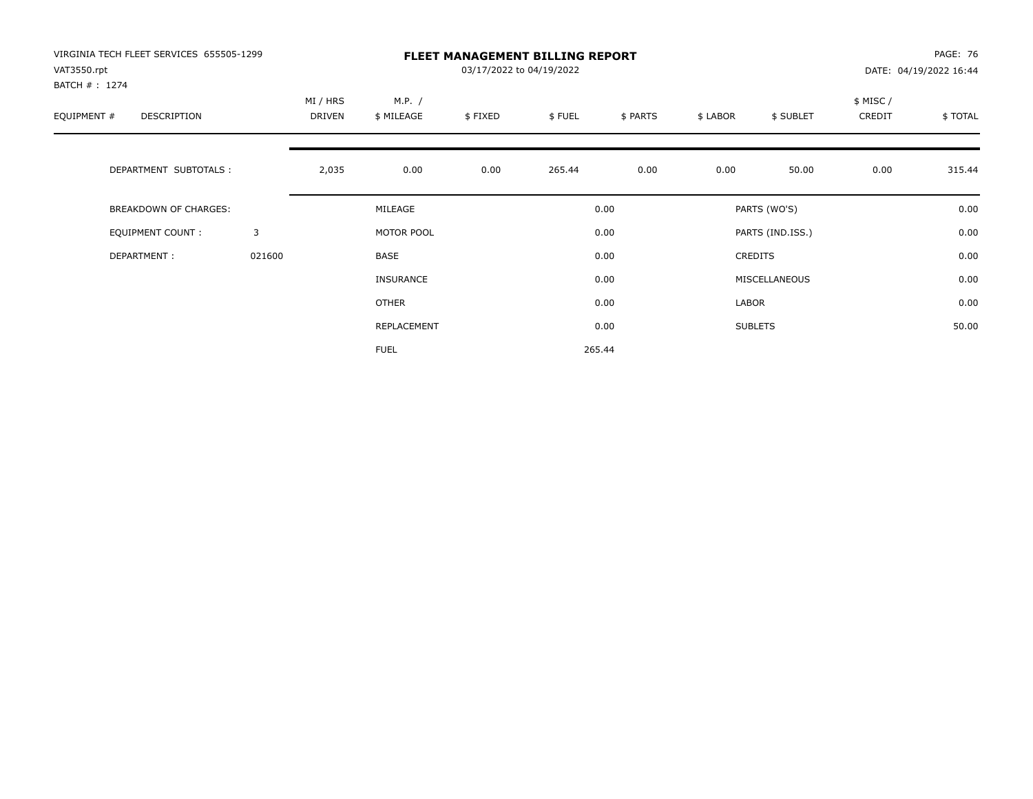| VIRGINIA TECH FLEET SERVICES 655505-1299<br>VAT3550.rpt |        | <b>FLEET MANAGEMENT BILLING REPORT</b><br>03/17/2022 to 04/19/2022<br>DATE: 04/19/2022 16:44 |                      |         |        |          |          |                  |                    |          |
|---------------------------------------------------------|--------|----------------------------------------------------------------------------------------------|----------------------|---------|--------|----------|----------|------------------|--------------------|----------|
| BATCH #: 1274<br>EQUIPMENT #<br>DESCRIPTION             |        | MI / HRS<br>DRIVEN                                                                           | M.P. /<br>\$ MILEAGE | \$FIXED | \$FUEL | \$ PARTS | \$ LABOR | \$ SUBLET        | \$ MISC/<br>CREDIT | \$ TOTAL |
| DEPARTMENT SUBTOTALS :                                  |        | 2,035                                                                                        | 0.00                 | 0.00    | 265.44 | 0.00     | 0.00     | 50.00            | 0.00               | 315.44   |
| BREAKDOWN OF CHARGES:                                   |        |                                                                                              | MILEAGE              |         |        | 0.00     |          | PARTS (WO'S)     |                    | 0.00     |
| <b>EQUIPMENT COUNT:</b>                                 | 3      |                                                                                              | MOTOR POOL           |         |        | 0.00     |          | PARTS (IND.ISS.) |                    | 0.00     |
| DEPARTMENT:                                             | 021600 |                                                                                              | <b>BASE</b>          |         |        | 0.00     |          | <b>CREDITS</b>   |                    | 0.00     |
|                                                         |        |                                                                                              | INSURANCE            |         |        | 0.00     |          | MISCELLANEOUS    |                    | 0.00     |
|                                                         |        |                                                                                              | OTHER                |         |        | 0.00     | LABOR    |                  |                    | 0.00     |
|                                                         |        |                                                                                              | REPLACEMENT          |         |        | 0.00     |          | <b>SUBLETS</b>   |                    | 50.00    |
|                                                         |        |                                                                                              | <b>FUEL</b>          |         |        | 265.44   |          |                  |                    |          |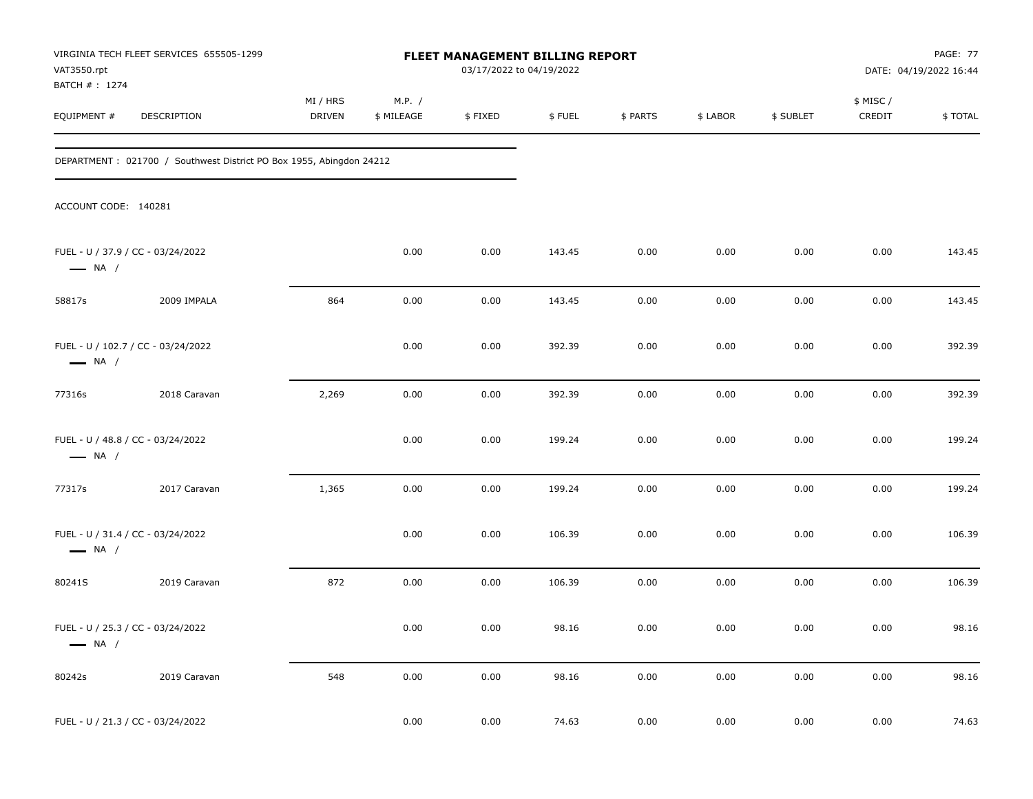| VAT3550.rpt                   | VIRGINIA TECH FLEET SERVICES 655505-1299                            |                           |                      | FLEET MANAGEMENT BILLING REPORT<br>03/17/2022 to 04/19/2022 |        |          |          |           |                     | <b>PAGE: 77</b><br>DATE: 04/19/2022 16:44 |
|-------------------------------|---------------------------------------------------------------------|---------------------------|----------------------|-------------------------------------------------------------|--------|----------|----------|-----------|---------------------|-------------------------------------------|
| BATCH # : 1274<br>EQUIPMENT # | <b>DESCRIPTION</b>                                                  | MI / HRS<br><b>DRIVEN</b> | M.P. /<br>\$ MILEAGE | \$FIXED                                                     | \$FUEL | \$ PARTS | \$ LABOR | \$ SUBLET | \$ MISC /<br>CREDIT | \$ TOTAL                                  |
|                               | DEPARTMENT: 021700 / Southwest District PO Box 1955, Abingdon 24212 |                           |                      |                                                             |        |          |          |           |                     |                                           |
| ACCOUNT CODE: 140281          |                                                                     |                           |                      |                                                             |        |          |          |           |                     |                                           |
| $\longrightarrow$ NA /        | FUEL - U / 37.9 / CC - 03/24/2022                                   |                           | 0.00                 | 0.00                                                        | 143.45 | 0.00     | 0.00     | 0.00      | 0.00                | 143.45                                    |
| 58817s                        | 2009 IMPALA                                                         | 864                       | 0.00                 | 0.00                                                        | 143.45 | 0.00     | 0.00     | 0.00      | 0.00                | 143.45                                    |
| $\longrightarrow$ NA /        | FUEL - U / 102.7 / CC - 03/24/2022                                  |                           | 0.00                 | 0.00                                                        | 392.39 | 0.00     | 0.00     | 0.00      | 0.00                | 392.39                                    |
| 77316s                        | 2018 Caravan                                                        | 2,269                     | 0.00                 | 0.00                                                        | 392.39 | 0.00     | 0.00     | 0.00      | 0.00                | 392.39                                    |
| $\longrightarrow$ NA /        | FUEL - U / 48.8 / CC - 03/24/2022                                   |                           | 0.00                 | 0.00                                                        | 199.24 | 0.00     | 0.00     | 0.00      | 0.00                | 199.24                                    |
| 77317s                        | 2017 Caravan                                                        | 1,365                     | 0.00                 | 0.00                                                        | 199.24 | 0.00     | 0.00     | 0.00      | 0.00                | 199.24                                    |
| $\longrightarrow$ NA /        | FUEL - U / 31.4 / CC - 03/24/2022                                   |                           | 0.00                 | 0.00                                                        | 106.39 | 0.00     | 0.00     | 0.00      | 0.00                | 106.39                                    |
| 80241S                        | 2019 Caravan                                                        | 872                       | 0.00                 | 0.00                                                        | 106.39 | 0.00     | 0.00     | 0.00      | 0.00                | 106.39                                    |
| $\longrightarrow$ NA /        | FUEL - U / 25.3 / CC - 03/24/2022                                   |                           | 0.00                 | 0.00                                                        | 98.16  | 0.00     | 0.00     | 0.00      | 0.00                | 98.16                                     |
| 80242s                        | 2019 Caravan                                                        | 548                       | $0.00\,$             | 0.00                                                        | 98.16  | 0.00     | $0.00\,$ | 0.00      | 0.00                | 98.16                                     |
|                               | FUEL - U / 21.3 / CC - 03/24/2022                                   |                           | 0.00                 | 0.00                                                        | 74.63  | 0.00     | 0.00     | 0.00      | 0.00                | 74.63                                     |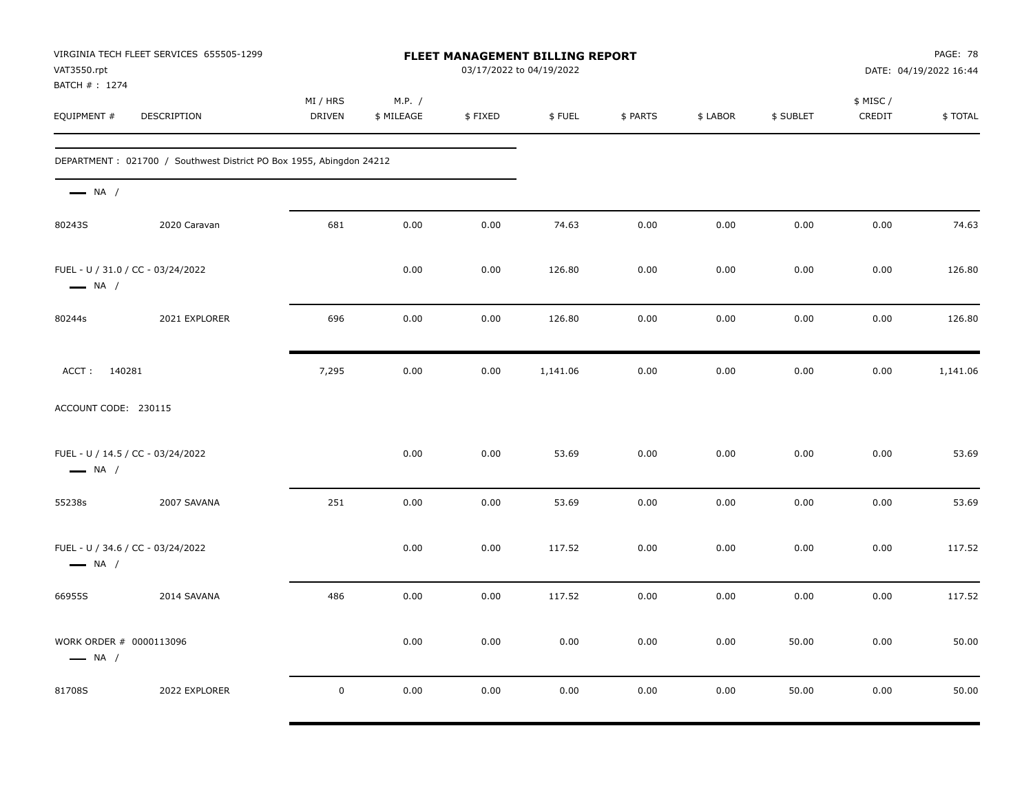| VAT3550.rpt<br>BATCH # : 1274                     | VIRGINIA TECH FLEET SERVICES 655505-1299                            |                    |                      |         | <b>FLEET MANAGEMENT BILLING REPORT</b><br>03/17/2022 to 04/19/2022 |          |          |           |                     | <b>PAGE: 78</b><br>DATE: 04/19/2022 16:44 |
|---------------------------------------------------|---------------------------------------------------------------------|--------------------|----------------------|---------|--------------------------------------------------------------------|----------|----------|-----------|---------------------|-------------------------------------------|
| EQUIPMENT #                                       | DESCRIPTION                                                         | MI / HRS<br>DRIVEN | M.P. /<br>\$ MILEAGE | \$FIXED | \$FUEL                                                             | \$ PARTS | \$ LABOR | \$ SUBLET | \$ MISC /<br>CREDIT | \$TOTAL                                   |
|                                                   | DEPARTMENT: 021700 / Southwest District PO Box 1955, Abingdon 24212 |                    |                      |         |                                                                    |          |          |           |                     |                                           |
| $\longrightarrow$ NA /                            |                                                                     |                    |                      |         |                                                                    |          |          |           |                     |                                           |
| 80243S                                            | 2020 Caravan                                                        | 681                | 0.00                 | 0.00    | 74.63                                                              | 0.00     | 0.00     | 0.00      | 0.00                | 74.63                                     |
| $\longrightarrow$ NA /                            | FUEL - U / 31.0 / CC - 03/24/2022                                   |                    | 0.00                 | 0.00    | 126.80                                                             | 0.00     | 0.00     | 0.00      | 0.00                | 126.80                                    |
| 80244s                                            | 2021 EXPLORER                                                       | 696                | 0.00                 | 0.00    | 126.80                                                             | 0.00     | 0.00     | 0.00      | 0.00                | 126.80                                    |
| ACCT:<br>140281                                   |                                                                     | 7,295              | 0.00                 | 0.00    | 1,141.06                                                           | 0.00     | 0.00     | 0.00      | 0.00                | 1,141.06                                  |
| ACCOUNT CODE: 230115                              |                                                                     |                    |                      |         |                                                                    |          |          |           |                     |                                           |
| $\longrightarrow$ NA /                            | FUEL - U / 14.5 / CC - 03/24/2022                                   |                    | 0.00                 | 0.00    | 53.69                                                              | 0.00     | 0.00     | 0.00      | 0.00                | 53.69                                     |
| 55238s                                            | 2007 SAVANA                                                         | 251                | 0.00                 | 0.00    | 53.69                                                              | 0.00     | 0.00     | 0.00      | 0.00                | 53.69                                     |
| $\longrightarrow$ NA /                            | FUEL - U / 34.6 / CC - 03/24/2022                                   |                    | 0.00                 | 0.00    | 117.52                                                             | 0.00     | 0.00     | 0.00      | 0.00                | 117.52                                    |
| 66955S                                            | 2014 SAVANA                                                         | 486                | 0.00                 | 0.00    | 117.52                                                             | 0.00     | 0.00     | 0.00      | 0.00                | 117.52                                    |
| WORK ORDER # 0000113096<br>$\longrightarrow$ NA / |                                                                     |                    | 0.00                 | 0.00    | 0.00                                                               | 0.00     | 0.00     | 50.00     | 0.00                | 50.00                                     |
| 81708S                                            | 2022 EXPLORER                                                       | $\pmb{0}$          | 0.00                 | 0.00    | 0.00                                                               | 0.00     | 0.00     | 50.00     | 0.00                | 50.00                                     |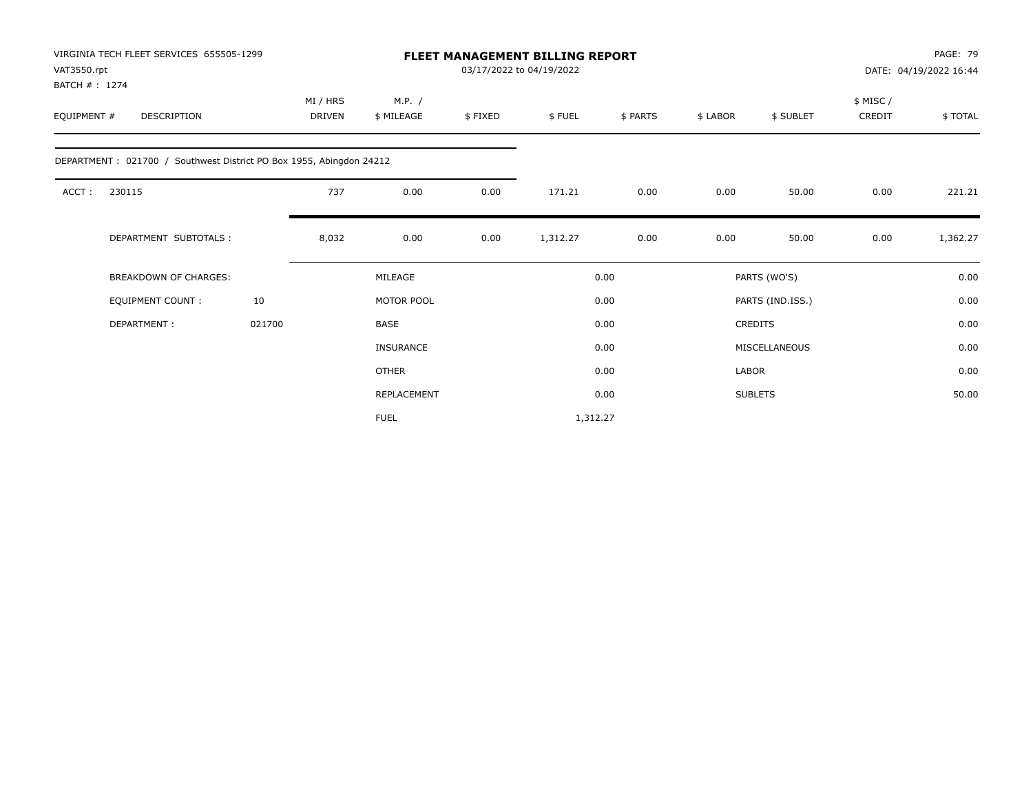| VAT3550.rpt | VIRGINIA TECH FLEET SERVICES 655505-1299<br>BATCH # : 1274          |        |                           |                      |         | <b>FLEET MANAGEMENT BILLING REPORT</b><br>03/17/2022 to 04/19/2022 |          |              |                  |                    | <b>PAGE: 79</b><br>DATE: 04/19/2022 16:44 |
|-------------|---------------------------------------------------------------------|--------|---------------------------|----------------------|---------|--------------------------------------------------------------------|----------|--------------|------------------|--------------------|-------------------------------------------|
| EQUIPMENT # | <b>DESCRIPTION</b>                                                  |        | MI / HRS<br><b>DRIVEN</b> | M.P. /<br>\$ MILEAGE | \$FIXED | \$FUEL                                                             | \$ PARTS | \$ LABOR     | \$ SUBLET        | \$ MISC/<br>CREDIT | \$TOTAL                                   |
|             | DEPARTMENT: 021700 / Southwest District PO Box 1955, Abingdon 24212 |        |                           |                      |         |                                                                    |          |              |                  |                    |                                           |
| ACCT:       | 230115                                                              |        | 737                       | 0.00                 | 0.00    | 171.21                                                             | 0.00     | 0.00         | 50.00            | 0.00               | 221.21                                    |
|             | DEPARTMENT SUBTOTALS :                                              |        | 8,032                     | 0.00                 | 0.00    | 1,312.27                                                           | 0.00     | 0.00         | 50.00            | 0.00               | 1,362.27                                  |
|             | <b>BREAKDOWN OF CHARGES:</b>                                        |        |                           | MILEAGE              |         |                                                                    | 0.00     |              | PARTS (WO'S)     |                    | 0.00                                      |
|             | <b>EQUIPMENT COUNT:</b>                                             | 10     |                           | MOTOR POOL           |         |                                                                    | 0.00     |              | PARTS (IND.ISS.) |                    | 0.00                                      |
|             | DEPARTMENT:                                                         | 021700 |                           | <b>BASE</b>          |         |                                                                    | 0.00     |              | <b>CREDITS</b>   |                    | 0.00                                      |
|             |                                                                     |        |                           | <b>INSURANCE</b>     |         |                                                                    | 0.00     |              | MISCELLANEOUS    |                    | 0.00                                      |
|             |                                                                     |        |                           | <b>OTHER</b>         |         |                                                                    | 0.00     | <b>LABOR</b> |                  |                    | 0.00                                      |
|             |                                                                     |        |                           | REPLACEMENT          |         |                                                                    | 0.00     |              | <b>SUBLETS</b>   |                    | 50.00                                     |
|             |                                                                     |        |                           | <b>FUEL</b>          |         | 1,312.27                                                           |          |              |                  |                    |                                           |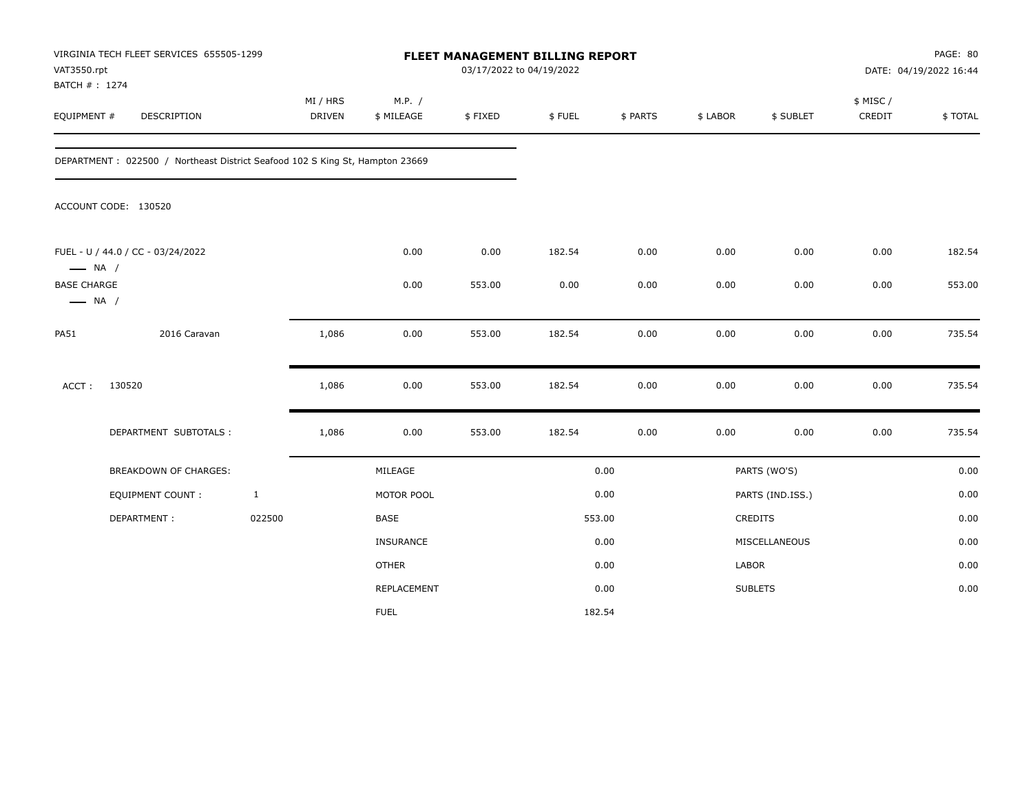| VAT3550.rpt                                  | VIRGINIA TECH FLEET SERVICES 655505-1299<br>BATCH #: 1274                    |              |                           |                      | 03/17/2022 to 04/19/2022 | FLEET MANAGEMENT BILLING REPORT |          |          |                  |                    | PAGE: 80<br>DATE: 04/19/2022 16:44 |
|----------------------------------------------|------------------------------------------------------------------------------|--------------|---------------------------|----------------------|--------------------------|---------------------------------|----------|----------|------------------|--------------------|------------------------------------|
| EQUIPMENT #                                  | DESCRIPTION                                                                  |              | MI / HRS<br><b>DRIVEN</b> | M.P. /<br>\$ MILEAGE | \$FIXED                  | \$FUEL                          | \$ PARTS | \$ LABOR | \$ SUBLET        | \$ MISC/<br>CREDIT | \$TOTAL                            |
|                                              | DEPARTMENT: 022500 / Northeast District Seafood 102 S King St, Hampton 23669 |              |                           |                      |                          |                                 |          |          |                  |                    |                                    |
|                                              | ACCOUNT CODE: 130520                                                         |              |                           |                      |                          |                                 |          |          |                  |                    |                                    |
| $\longrightarrow$ NA /                       | FUEL - U / 44.0 / CC - 03/24/2022                                            |              |                           | 0.00                 | 0.00                     | 182.54                          | 0.00     | 0.00     | 0.00             | 0.00               | 182.54                             |
| <b>BASE CHARGE</b><br>$\longrightarrow$ NA / |                                                                              |              |                           | 0.00                 | 553.00                   | 0.00                            | 0.00     | 0.00     | 0.00             | 0.00               | 553.00                             |
| <b>PA51</b>                                  | 2016 Caravan                                                                 |              | 1,086                     | 0.00                 | 553.00                   | 182.54                          | 0.00     | 0.00     | 0.00             | 0.00               | 735.54                             |
| ACCT:                                        | 130520                                                                       |              | 1,086                     | 0.00                 | 553.00                   | 182.54                          | 0.00     | 0.00     | 0.00             | 0.00               | 735.54                             |
|                                              | DEPARTMENT SUBTOTALS :                                                       |              | 1,086                     | 0.00                 | 553.00                   | 182.54                          | 0.00     | 0.00     | 0.00             | 0.00               | 735.54                             |
|                                              | <b>BREAKDOWN OF CHARGES:</b>                                                 |              |                           | MILEAGE              |                          |                                 | 0.00     |          | PARTS (WO'S)     |                    | 0.00                               |
|                                              | <b>EQUIPMENT COUNT:</b>                                                      | $\mathbf{1}$ |                           | MOTOR POOL           |                          |                                 | 0.00     |          | PARTS (IND.ISS.) |                    | 0.00                               |
|                                              | DEPARTMENT:                                                                  | 022500       |                           | BASE                 |                          |                                 | 553.00   |          | <b>CREDITS</b>   |                    | 0.00                               |
|                                              |                                                                              |              |                           | INSURANCE            |                          |                                 | 0.00     |          | MISCELLANEOUS    |                    | 0.00                               |
|                                              |                                                                              |              |                           | <b>OTHER</b>         |                          |                                 | 0.00     | LABOR    |                  |                    | 0.00                               |
|                                              |                                                                              |              |                           | REPLACEMENT          |                          |                                 | 0.00     |          | <b>SUBLETS</b>   |                    | 0.00                               |
|                                              |                                                                              |              |                           | <b>FUEL</b>          |                          | 182.54                          |          |          |                  |                    |                                    |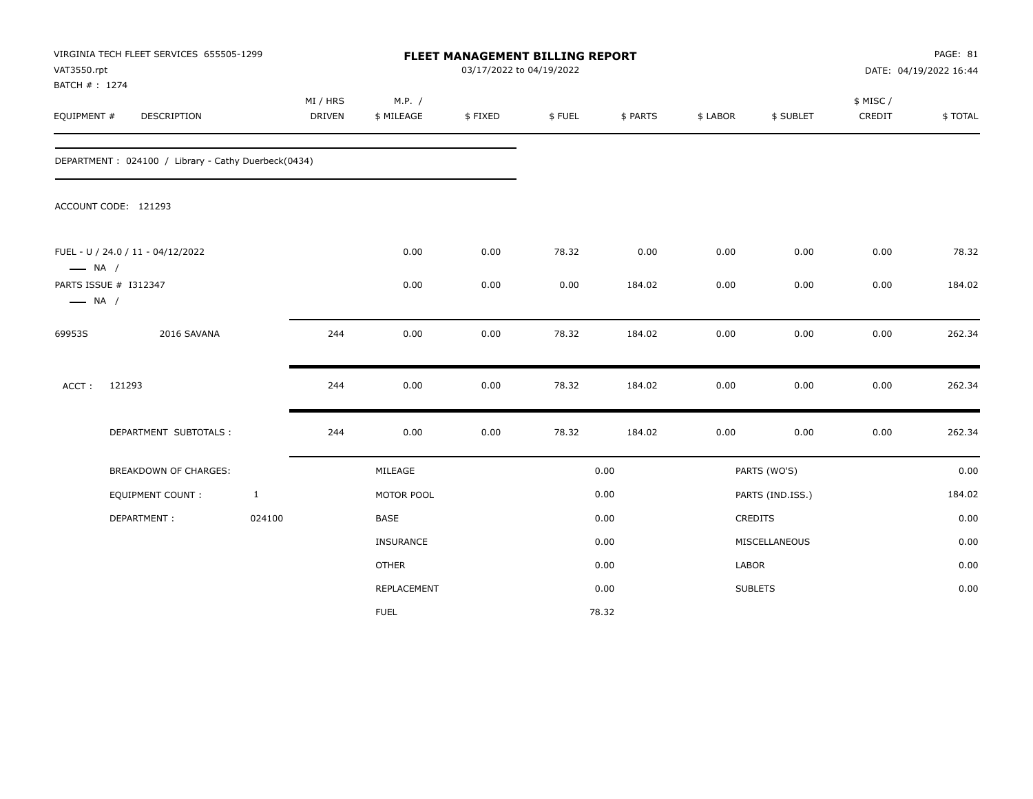| VAT3550.rpt            | VIRGINIA TECH FLEET SERVICES 655505-1299<br>BATCH #: 1274 |              |                           |                      | FLEET MANAGEMENT BILLING REPORT<br>03/17/2022 to 04/19/2022 |        |          |          |                  |                    | PAGE: 81<br>DATE: 04/19/2022 16:44 |
|------------------------|-----------------------------------------------------------|--------------|---------------------------|----------------------|-------------------------------------------------------------|--------|----------|----------|------------------|--------------------|------------------------------------|
| EQUIPMENT #            | DESCRIPTION                                               |              | MI / HRS<br><b>DRIVEN</b> | M.P. /<br>\$ MILEAGE | \$FIXED                                                     | \$FUEL | \$ PARTS | \$ LABOR | \$ SUBLET        | \$ MISC/<br>CREDIT | \$TOTAL                            |
|                        | DEPARTMENT: 024100 / Library - Cathy Duerbeck(0434)       |              |                           |                      |                                                             |        |          |          |                  |                    |                                    |
|                        | ACCOUNT CODE: 121293                                      |              |                           |                      |                                                             |        |          |          |                  |                    |                                    |
| $\longrightarrow$ NA / | FUEL - U / 24.0 / 11 - 04/12/2022                         |              |                           | 0.00                 | 0.00                                                        | 78.32  | 0.00     | 0.00     | 0.00             | 0.00               | 78.32                              |
| $\longrightarrow$ NA / | PARTS ISSUE # I312347                                     |              |                           | 0.00                 | 0.00                                                        | 0.00   | 184.02   | 0.00     | 0.00             | 0.00               | 184.02                             |
| 69953S                 | 2016 SAVANA                                               |              | 244                       | 0.00                 | 0.00                                                        | 78.32  | 184.02   | 0.00     | 0.00             | 0.00               | 262.34                             |
| ACCT:                  | 121293                                                    |              | 244                       | 0.00                 | 0.00                                                        | 78.32  | 184.02   | 0.00     | 0.00             | 0.00               | 262.34                             |
|                        | DEPARTMENT SUBTOTALS :                                    |              | 244                       | 0.00                 | 0.00                                                        | 78.32  | 184.02   | 0.00     | 0.00             | 0.00               | 262.34                             |
|                        | <b>BREAKDOWN OF CHARGES:</b>                              |              |                           | MILEAGE              |                                                             |        | 0.00     |          | PARTS (WO'S)     |                    | 0.00                               |
|                        | <b>EQUIPMENT COUNT:</b>                                   | $\mathbf{1}$ |                           | MOTOR POOL           |                                                             |        | 0.00     |          | PARTS (IND.ISS.) |                    | 184.02                             |
|                        | DEPARTMENT:                                               | 024100       |                           | BASE                 |                                                             |        | 0.00     |          | CREDITS          |                    | 0.00                               |
|                        |                                                           |              |                           | <b>INSURANCE</b>     |                                                             |        | 0.00     |          | MISCELLANEOUS    |                    | 0.00                               |
|                        |                                                           |              |                           | <b>OTHER</b>         |                                                             |        | 0.00     | LABOR    |                  |                    | 0.00                               |
|                        |                                                           |              |                           | REPLACEMENT          |                                                             |        | 0.00     |          | <b>SUBLETS</b>   |                    | 0.00                               |
|                        |                                                           |              |                           | <b>FUEL</b>          |                                                             |        | 78.32    |          |                  |                    |                                    |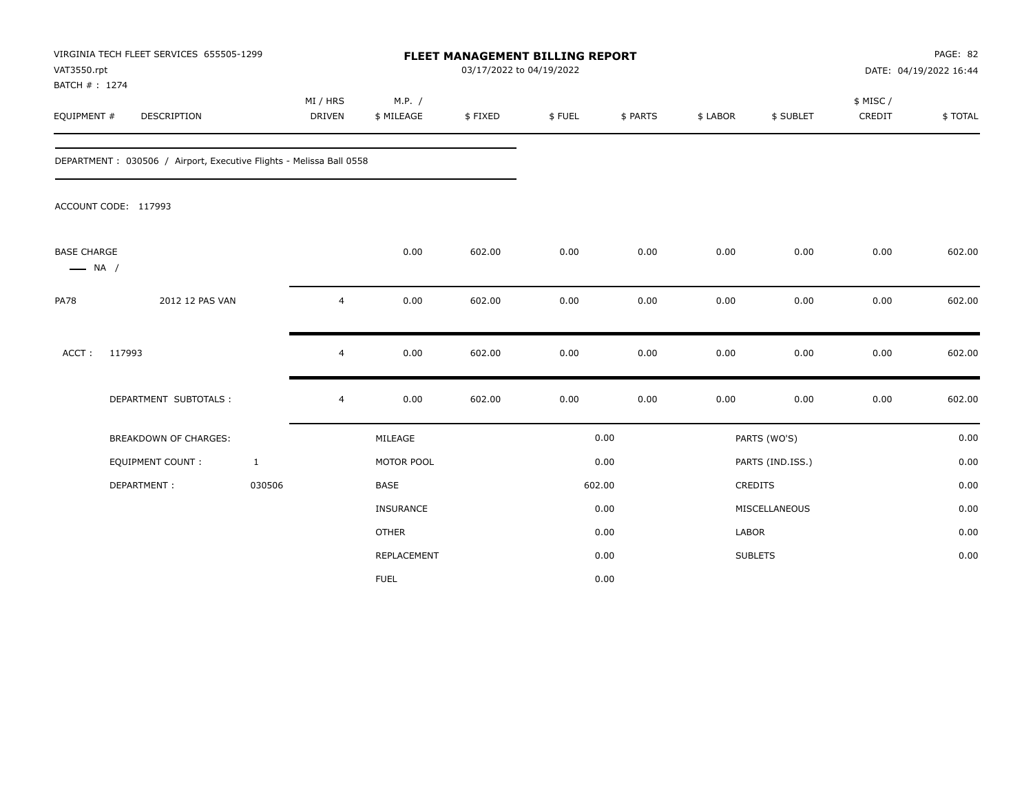| VAT3550.rpt<br>BATCH #: 1274                 | VIRGINIA TECH FLEET SERVICES 655505-1299                            |                           |                      | <b>FLEET MANAGEMENT BILLING REPORT</b> | 03/17/2022 to 04/19/2022 |          |              |                  |                     | PAGE: 82<br>DATE: 04/19/2022 16:44 |
|----------------------------------------------|---------------------------------------------------------------------|---------------------------|----------------------|----------------------------------------|--------------------------|----------|--------------|------------------|---------------------|------------------------------------|
| EQUIPMENT #                                  | DESCRIPTION                                                         | MI / HRS<br><b>DRIVEN</b> | M.P. /<br>\$ MILEAGE | \$FIXED                                | \$FUEL                   | \$ PARTS | \$ LABOR     | \$ SUBLET        | \$ MISC /<br>CREDIT | \$TOTAL                            |
|                                              | DEPARTMENT: 030506 / Airport, Executive Flights - Melissa Ball 0558 |                           |                      |                                        |                          |          |              |                  |                     |                                    |
|                                              | ACCOUNT CODE: 117993                                                |                           |                      |                                        |                          |          |              |                  |                     |                                    |
| <b>BASE CHARGE</b><br>$\longrightarrow$ NA / |                                                                     |                           | 0.00                 | 602.00                                 | 0.00                     | 0.00     | 0.00         | 0.00             | 0.00                | 602.00                             |
| <b>PA78</b>                                  | 2012 12 PAS VAN                                                     | $\overline{4}$            | 0.00                 | 602.00                                 | 0.00                     | 0.00     | 0.00         | 0.00             | 0.00                | 602.00                             |
| ACCT:                                        | 117993                                                              | $\overline{4}$            | 0.00                 | 602.00                                 | 0.00                     | 0.00     | 0.00         | 0.00             | 0.00                | 602.00                             |
|                                              | DEPARTMENT SUBTOTALS :                                              | $\overline{4}$            | 0.00                 | 602.00                                 | 0.00                     | 0.00     | 0.00         | 0.00             | 0.00                | 602.00                             |
|                                              | <b>BREAKDOWN OF CHARGES:</b>                                        |                           | MILEAGE              |                                        |                          | 0.00     |              | PARTS (WO'S)     |                     | 0.00                               |
|                                              | <b>EQUIPMENT COUNT:</b>                                             | $\mathbf{1}$              | MOTOR POOL           |                                        |                          | 0.00     |              | PARTS (IND.ISS.) |                     | 0.00                               |
|                                              | DEPARTMENT:                                                         | 030506                    | <b>BASE</b>          |                                        |                          | 602.00   |              | CREDITS          |                     | 0.00                               |
|                                              |                                                                     |                           | INSURANCE            |                                        |                          | 0.00     |              | MISCELLANEOUS    |                     | 0.00                               |
|                                              |                                                                     |                           | <b>OTHER</b>         |                                        |                          | 0.00     | <b>LABOR</b> |                  |                     | 0.00                               |
|                                              |                                                                     |                           | REPLACEMENT          |                                        |                          | 0.00     |              | <b>SUBLETS</b>   |                     | 0.00                               |
|                                              |                                                                     |                           | <b>FUEL</b>          |                                        |                          | 0.00     |              |                  |                     |                                    |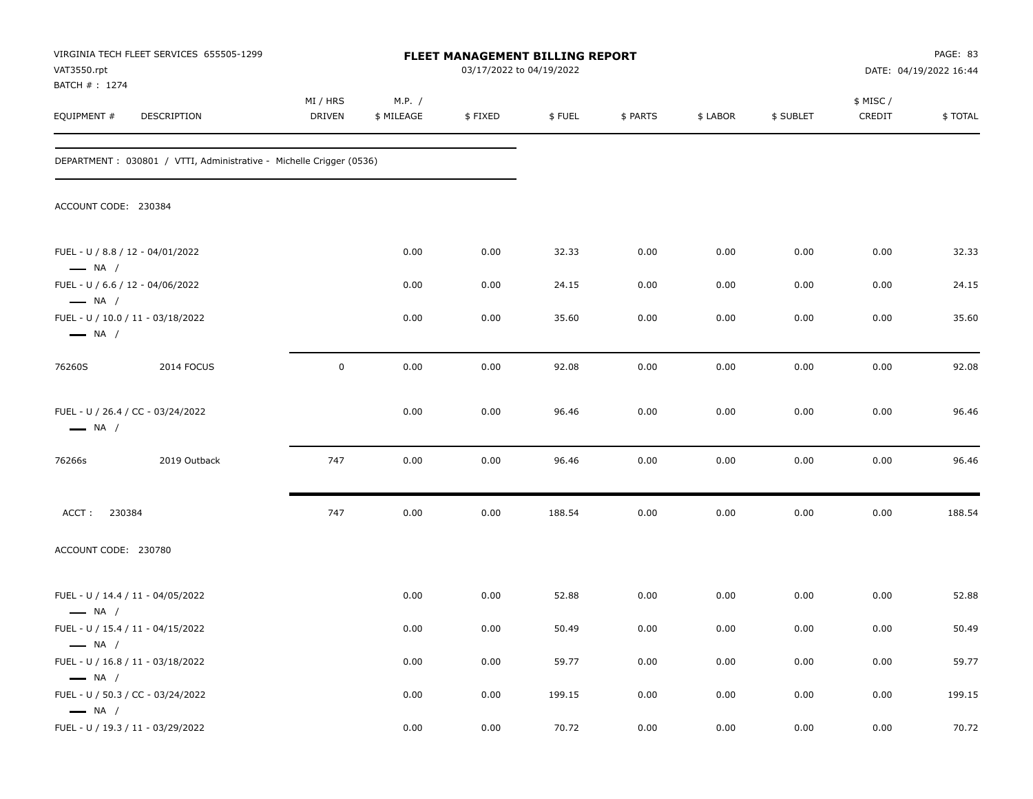| VAT3550.rpt                                                | VIRGINIA TECH FLEET SERVICES 655505-1299                             |                           |                      | FLEET MANAGEMENT BILLING REPORT<br>03/17/2022 to 04/19/2022 |        |          |          |           |                    | PAGE: 83<br>DATE: 04/19/2022 16:44 |
|------------------------------------------------------------|----------------------------------------------------------------------|---------------------------|----------------------|-------------------------------------------------------------|--------|----------|----------|-----------|--------------------|------------------------------------|
| BATCH # : 1274<br>EQUIPMENT #                              | DESCRIPTION                                                          | MI / HRS<br><b>DRIVEN</b> | M.P. /<br>\$ MILEAGE | \$FIXED                                                     | \$FUEL | \$ PARTS | \$ LABOR | \$ SUBLET | \$ MISC/<br>CREDIT | \$TOTAL                            |
|                                                            | DEPARTMENT : 030801 / VTTI, Administrative - Michelle Crigger (0536) |                           |                      |                                                             |        |          |          |           |                    |                                    |
| ACCOUNT CODE: 230384                                       |                                                                      |                           |                      |                                                             |        |          |          |           |                    |                                    |
| FUEL - U / 8.8 / 12 - 04/01/2022<br>$\longrightarrow$ NA / |                                                                      |                           | 0.00                 | 0.00                                                        | 32.33  | 0.00     | 0.00     | 0.00      | 0.00               | 32.33                              |
| FUEL - U / 6.6 / 12 - 04/06/2022                           |                                                                      |                           | 0.00                 | 0.00                                                        | 24.15  | 0.00     | 0.00     | 0.00      | 0.00               | 24.15                              |
| $\longrightarrow$ NA /<br>$\longrightarrow$ NA /           | FUEL - U / 10.0 / 11 - 03/18/2022                                    |                           | 0.00                 | 0.00                                                        | 35.60  | 0.00     | 0.00     | 0.00      | 0.00               | 35.60                              |
| 76260S                                                     | 2014 FOCUS                                                           | 0                         | 0.00                 | 0.00                                                        | 92.08  | 0.00     | 0.00     | 0.00      | 0.00               | 92.08                              |
| $\longrightarrow$ NA /                                     | FUEL - U / 26.4 / CC - 03/24/2022                                    |                           | 0.00                 | 0.00                                                        | 96.46  | 0.00     | 0.00     | 0.00      | 0.00               | 96.46                              |
| 76266s                                                     | 2019 Outback                                                         | 747                       | 0.00                 | 0.00                                                        | 96.46  | 0.00     | 0.00     | 0.00      | 0.00               | 96.46                              |
| ACCT: 230384                                               |                                                                      | 747                       | 0.00                 | 0.00                                                        | 188.54 | 0.00     | 0.00     | 0.00      | 0.00               | 188.54                             |
| ACCOUNT CODE: 230780                                       |                                                                      |                           |                      |                                                             |        |          |          |           |                    |                                    |
| $\longrightarrow$ NA /                                     | FUEL - U / 14.4 / 11 - 04/05/2022                                    |                           | 0.00                 | 0.00                                                        | 52.88  | 0.00     | 0.00     | 0.00      | 0.00               | 52.88                              |
| $\longrightarrow$ NA /                                     | FUEL - U / 15.4 / 11 - 04/15/2022                                    |                           | 0.00                 | 0.00                                                        | 50.49  | 0.00     | 0.00     | 0.00      | 0.00               | 50.49                              |
| $\longrightarrow$ NA /                                     | FUEL - U / 16.8 / 11 - 03/18/2022                                    |                           | 0.00                 | 0.00                                                        | 59.77  | 0.00     | 0.00     | 0.00      | 0.00               | 59.77                              |
| $\longrightarrow$ NA /                                     | FUEL - U / 50.3 / CC - 03/24/2022                                    |                           | 0.00                 | 0.00                                                        | 199.15 | 0.00     | 0.00     | 0.00      | 0.00               | 199.15                             |
|                                                            | FUEL - U / 19.3 / 11 - 03/29/2022                                    |                           | 0.00                 | 0.00                                                        | 70.72  | 0.00     | 0.00     | 0.00      | 0.00               | 70.72                              |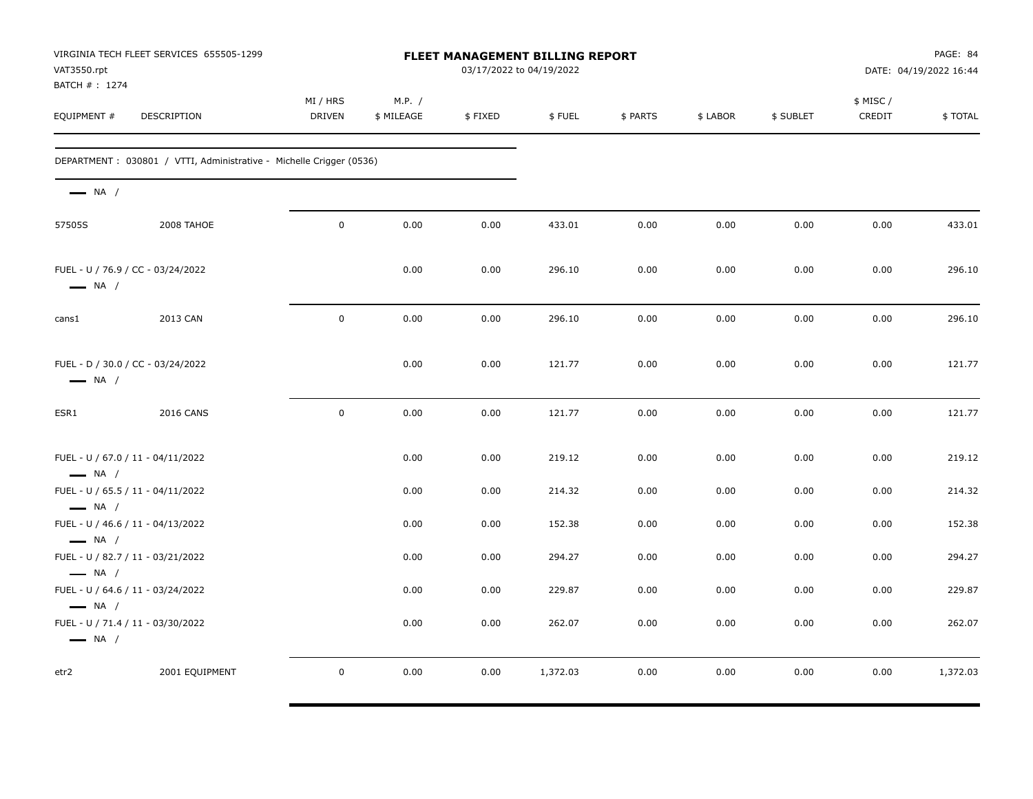| VAT3550.rpt<br>BATCH #: 1274 | VIRGINIA TECH FLEET SERVICES 655505-1299                             |                           |                      |         | FLEET MANAGEMENT BILLING REPORT<br>03/17/2022 to 04/19/2022 |          |          |           |                     | PAGE: 84<br>DATE: 04/19/2022 16:44 |
|------------------------------|----------------------------------------------------------------------|---------------------------|----------------------|---------|-------------------------------------------------------------|----------|----------|-----------|---------------------|------------------------------------|
| EQUIPMENT #                  | DESCRIPTION                                                          | MI / HRS<br><b>DRIVEN</b> | M.P. /<br>\$ MILEAGE | \$FIXED | \$FUEL                                                      | \$ PARTS | \$ LABOR | \$ SUBLET | \$ MISC /<br>CREDIT | \$TOTAL                            |
|                              | DEPARTMENT : 030801 / VTTI, Administrative - Michelle Crigger (0536) |                           |                      |         |                                                             |          |          |           |                     |                                    |
| $\longrightarrow$ NA /       |                                                                      |                           |                      |         |                                                             |          |          |           |                     |                                    |
| 57505S                       | 2008 TAHOE                                                           | $\mathbf 0$               | 0.00                 | 0.00    | 433.01                                                      | 0.00     | 0.00     | 0.00      | 0.00                | 433.01                             |
| $\longrightarrow$ NA /       | FUEL - U / 76.9 / CC - 03/24/2022                                    |                           | 0.00                 | 0.00    | 296.10                                                      | 0.00     | 0.00     | 0.00      | 0.00                | 296.10                             |
| cans1                        | 2013 CAN                                                             | 0                         | 0.00                 | 0.00    | 296.10                                                      | 0.00     | 0.00     | 0.00      | 0.00                | 296.10                             |
| $\longrightarrow$ NA /       | FUEL - D / 30.0 / CC - 03/24/2022                                    |                           | 0.00                 | 0.00    | 121.77                                                      | 0.00     | 0.00     | 0.00      | 0.00                | 121.77                             |
| ESR1                         | <b>2016 CANS</b>                                                     | $\mathbf 0$               | 0.00                 | 0.00    | 121.77                                                      | 0.00     | 0.00     | 0.00      | 0.00                | 121.77                             |
| $\longrightarrow$ NA /       | FUEL - U / 67.0 / 11 - 04/11/2022                                    |                           | 0.00                 | 0.00    | 219.12                                                      | 0.00     | 0.00     | 0.00      | 0.00                | 219.12                             |
| $\longrightarrow$ NA /       | FUEL - U / 65.5 / 11 - 04/11/2022                                    |                           | 0.00                 | 0.00    | 214.32                                                      | 0.00     | 0.00     | 0.00      | 0.00                | 214.32                             |
| $\longrightarrow$ NA /       | FUEL - U / 46.6 / 11 - 04/13/2022                                    |                           | 0.00                 | 0.00    | 152.38                                                      | 0.00     | 0.00     | 0.00      | 0.00                | 152.38                             |
| $\longrightarrow$ NA /       | FUEL - U / 82.7 / 11 - 03/21/2022                                    |                           | 0.00                 | 0.00    | 294.27                                                      | 0.00     | 0.00     | 0.00      | 0.00                | 294.27                             |
| $\longrightarrow$ NA /       | FUEL - U / 64.6 / 11 - 03/24/2022                                    |                           | 0.00                 | 0.00    | 229.87                                                      | 0.00     | 0.00     | 0.00      | 0.00                | 229.87                             |
| $\longrightarrow$ NA /       | FUEL - U / 71.4 / 11 - 03/30/2022                                    |                           | 0.00                 | 0.00    | 262.07                                                      | 0.00     | 0.00     | 0.00      | 0.00                | 262.07                             |
| etr2                         | 2001 EQUIPMENT                                                       | 0                         | 0.00                 | 0.00    | 1,372.03                                                    | 0.00     | 0.00     | 0.00      | 0.00                | 1,372.03                           |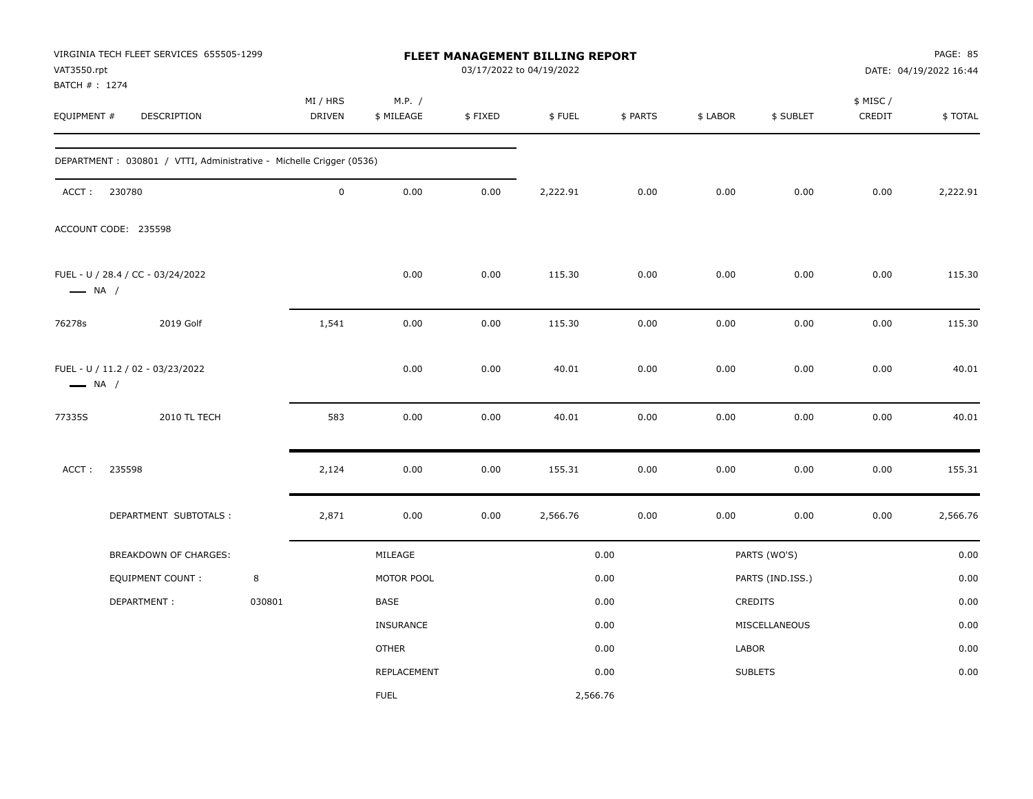| VAT3550.rpt<br>BATCH #: 1274 | VIRGINIA TECH FLEET SERVICES 655505-1299                             |        |                           |                      |          | FLEET MANAGEMENT BILLING REPORT<br>03/17/2022 to 04/19/2022 |          |          |                  |                    | PAGE: 85<br>DATE: 04/19/2022 16:44 |
|------------------------------|----------------------------------------------------------------------|--------|---------------------------|----------------------|----------|-------------------------------------------------------------|----------|----------|------------------|--------------------|------------------------------------|
| EQUIPMENT #                  | <b>DESCRIPTION</b>                                                   |        | MI / HRS<br><b>DRIVEN</b> | M.P. /<br>\$ MILEAGE | \$FIXED  | \$FUEL                                                      | \$ PARTS | \$ LABOR | \$ SUBLET        | \$ MISC/<br>CREDIT | \$TOTAL                            |
|                              | DEPARTMENT : 030801 / VTTI, Administrative - Michelle Crigger (0536) |        |                           |                      |          |                                                             |          |          |                  |                    |                                    |
| ACCT: 230780                 |                                                                      |        | $\pmb{0}$                 | 0.00                 | $0.00\,$ | 2,222.91                                                    | 0.00     | 0.00     | 0.00             | 0.00               | 2,222.91                           |
|                              | ACCOUNT CODE: 235598                                                 |        |                           |                      |          |                                                             |          |          |                  |                    |                                    |
| $\longrightarrow$ NA /       | FUEL - U / 28.4 / CC - 03/24/2022                                    |        |                           | 0.00                 | 0.00     | 115.30                                                      | 0.00     | 0.00     | 0.00             | 0.00               | 115.30                             |
| 76278s                       | 2019 Golf                                                            |        | 1,541                     | 0.00                 | 0.00     | 115.30                                                      | 0.00     | 0.00     | 0.00             | 0.00               | 115.30                             |
| $\longrightarrow$ NA /       | FUEL - U / 11.2 / 02 - 03/23/2022                                    |        |                           | 0.00                 | 0.00     | 40.01                                                       | 0.00     | 0.00     | 0.00             | 0.00               | 40.01                              |
| 77335S                       | 2010 TL TECH                                                         |        | 583                       | 0.00                 | 0.00     | 40.01                                                       | 0.00     | 0.00     | 0.00             | 0.00               | 40.01                              |
| ACCT:                        | 235598                                                               |        | 2,124                     | 0.00                 | 0.00     | 155.31                                                      | 0.00     | 0.00     | 0.00             | 0.00               | 155.31                             |
|                              | DEPARTMENT SUBTOTALS :                                               |        | 2,871                     | 0.00                 | 0.00     | 2,566.76                                                    | 0.00     | 0.00     | 0.00             | 0.00               | 2,566.76                           |
|                              | BREAKDOWN OF CHARGES:                                                |        |                           | MILEAGE              |          |                                                             | 0.00     |          | PARTS (WO'S)     |                    | 0.00                               |
|                              | <b>EQUIPMENT COUNT:</b>                                              | 8      |                           | MOTOR POOL           |          |                                                             | 0.00     |          | PARTS (IND.ISS.) |                    | 0.00                               |
|                              | DEPARTMENT:                                                          | 030801 |                           | BASE                 |          |                                                             | 0.00     |          | CREDITS          |                    | 0.00                               |
|                              |                                                                      |        |                           | <b>INSURANCE</b>     |          |                                                             | 0.00     |          | MISCELLANEOUS    |                    | 0.00                               |
|                              |                                                                      |        |                           | <b>OTHER</b>         |          |                                                             | 0.00     | LABOR    |                  |                    | 0.00                               |
|                              |                                                                      |        |                           | REPLACEMENT          |          |                                                             | 0.00     |          | <b>SUBLETS</b>   |                    | 0.00                               |
|                              |                                                                      |        |                           | <b>FUEL</b>          |          | 2,566.76                                                    |          |          |                  |                    |                                    |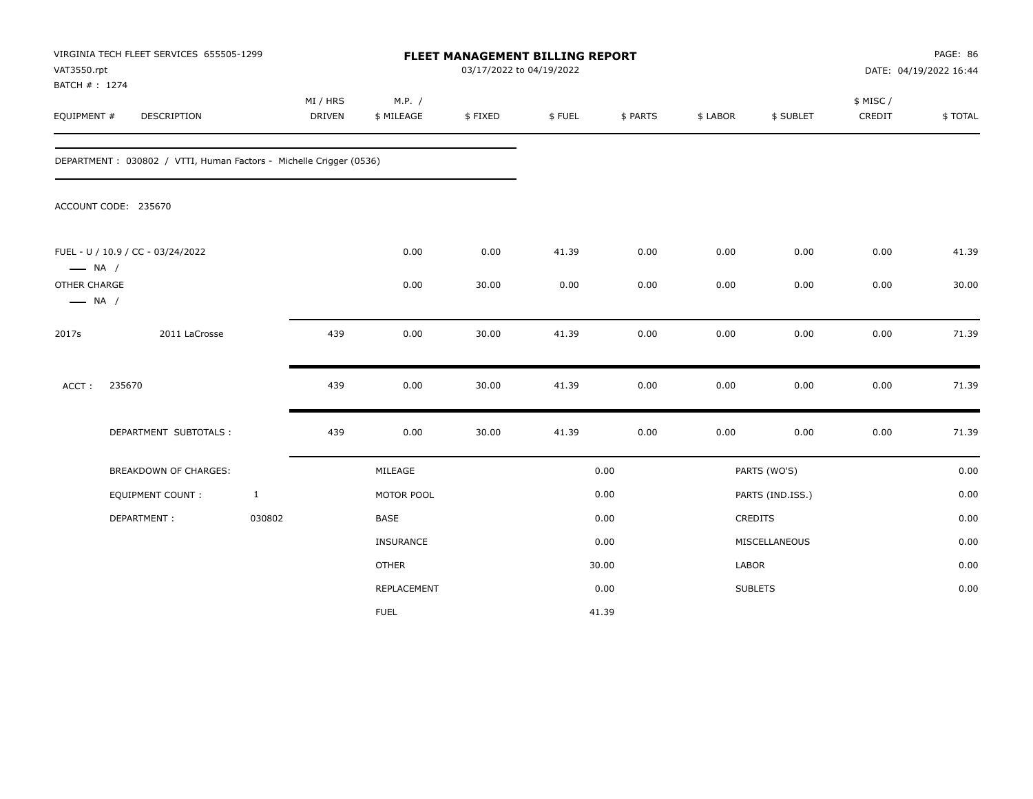| VAT3550.rpt<br>BATCH #: 1274           | VIRGINIA TECH FLEET SERVICES 655505-1299                            |              |                    |                      | 03/17/2022 to 04/19/2022 | FLEET MANAGEMENT BILLING REPORT |          |          |                  |                     | PAGE: 86<br>DATE: 04/19/2022 16:44 |
|----------------------------------------|---------------------------------------------------------------------|--------------|--------------------|----------------------|--------------------------|---------------------------------|----------|----------|------------------|---------------------|------------------------------------|
| EQUIPMENT #                            | <b>DESCRIPTION</b>                                                  |              | MI / HRS<br>DRIVEN | M.P. /<br>\$ MILEAGE | \$FIXED                  | \$FUEL                          | \$ PARTS | \$ LABOR | \$ SUBLET        | \$ MISC /<br>CREDIT | \$TOTAL                            |
|                                        | DEPARTMENT : 030802 / VTTI, Human Factors - Michelle Crigger (0536) |              |                    |                      |                          |                                 |          |          |                  |                     |                                    |
|                                        | ACCOUNT CODE: 235670                                                |              |                    |                      |                          |                                 |          |          |                  |                     |                                    |
| $\longrightarrow$ NA /                 | FUEL - U / 10.9 / CC - 03/24/2022                                   |              |                    | 0.00                 | 0.00                     | 41.39                           | 0.00     | 0.00     | 0.00             | 0.00                | 41.39                              |
| OTHER CHARGE<br>$\longrightarrow$ NA / |                                                                     |              |                    | 0.00                 | 30.00                    | 0.00                            | 0.00     | 0.00     | 0.00             | 0.00                | 30.00                              |
| 2017s                                  | 2011 LaCrosse                                                       |              | 439                | 0.00                 | 30.00                    | 41.39                           | 0.00     | 0.00     | 0.00             | 0.00                | 71.39                              |
| ACCT:                                  | 235670                                                              |              | 439                | 0.00                 | 30.00                    | 41.39                           | 0.00     | 0.00     | 0.00             | 0.00                | 71.39                              |
|                                        | DEPARTMENT SUBTOTALS :                                              |              | 439                | 0.00                 | 30.00                    | 41.39                           | 0.00     | 0.00     | 0.00             | 0.00                | 71.39                              |
|                                        | <b>BREAKDOWN OF CHARGES:</b>                                        |              |                    | MILEAGE              |                          |                                 | 0.00     |          | PARTS (WO'S)     |                     | 0.00                               |
|                                        | EQUIPMENT COUNT:                                                    | $\mathbf{1}$ |                    | MOTOR POOL           |                          |                                 | 0.00     |          | PARTS (IND.ISS.) |                     | 0.00                               |
|                                        | DEPARTMENT:                                                         | 030802       |                    | BASE                 |                          |                                 | 0.00     |          | <b>CREDITS</b>   |                     | 0.00                               |
|                                        |                                                                     |              |                    | INSURANCE            |                          |                                 | 0.00     |          | MISCELLANEOUS    |                     | 0.00                               |
|                                        |                                                                     |              |                    | <b>OTHER</b>         |                          |                                 | 30.00    | LABOR    |                  |                     | 0.00                               |
|                                        |                                                                     |              |                    | REPLACEMENT          |                          |                                 | 0.00     |          | <b>SUBLETS</b>   |                     | 0.00                               |
|                                        |                                                                     |              |                    | <b>FUEL</b>          |                          |                                 | 41.39    |          |                  |                     |                                    |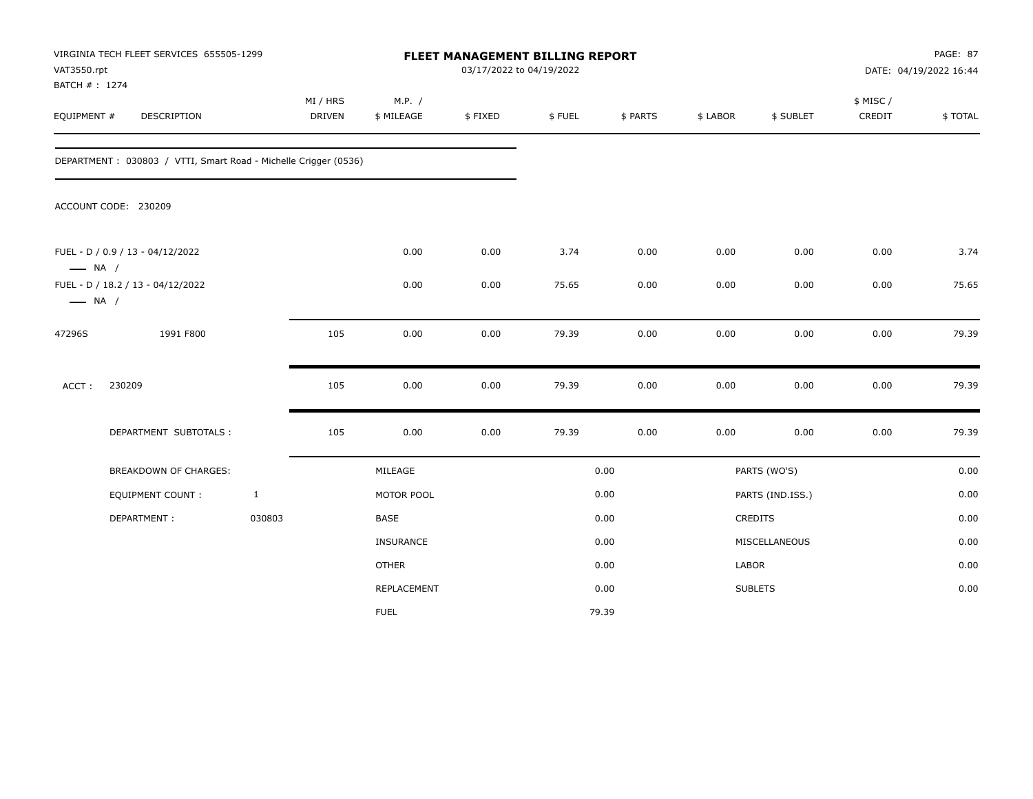| VAT3550.rpt            | VIRGINIA TECH FLEET SERVICES 655505-1299<br>BATCH #: 1274<br>EQUIPMENT #<br>DESCRIPTION |              |                           |                      |         | FLEET MANAGEMENT BILLING REPORT<br>03/17/2022 to 04/19/2022 |          |          |                  | PAGE: 87<br>DATE: 04/19/2022 16:44 |         |
|------------------------|-----------------------------------------------------------------------------------------|--------------|---------------------------|----------------------|---------|-------------------------------------------------------------|----------|----------|------------------|------------------------------------|---------|
|                        |                                                                                         |              | MI / HRS<br><b>DRIVEN</b> | M.P. /<br>\$ MILEAGE | \$FIXED | \$FUEL                                                      | \$ PARTS | \$ LABOR | \$ SUBLET        | \$ MISC/<br>CREDIT                 | \$TOTAL |
|                        | DEPARTMENT: 030803 / VTTI, Smart Road - Michelle Crigger (0536)                         |              |                           |                      |         |                                                             |          |          |                  |                                    |         |
|                        | ACCOUNT CODE: 230209                                                                    |              |                           |                      |         |                                                             |          |          |                  |                                    |         |
| $\longrightarrow$ NA / | FUEL - D / 0.9 / 13 - 04/12/2022                                                        |              |                           | 0.00                 | 0.00    | 3.74                                                        | 0.00     | 0.00     | 0.00             | 0.00                               | 3.74    |
| $\longrightarrow$ NA / | FUEL - D / 18.2 / 13 - 04/12/2022                                                       |              |                           | 0.00                 | 0.00    | 75.65                                                       | 0.00     | 0.00     | 0.00             | 0.00                               | 75.65   |
| 47296S                 | 1991 F800                                                                               |              | 105                       | 0.00                 | 0.00    | 79.39                                                       | 0.00     | 0.00     | 0.00             | 0.00                               | 79.39   |
| ACCT:                  | 230209                                                                                  |              | 105                       | 0.00                 | 0.00    | 79.39                                                       | 0.00     | 0.00     | 0.00             | 0.00                               | 79.39   |
|                        | DEPARTMENT SUBTOTALS :                                                                  |              | 105                       | 0.00                 | 0.00    | 79.39                                                       | $0.00\,$ | 0.00     | 0.00             | $0.00\,$                           | 79.39   |
|                        | <b>BREAKDOWN OF CHARGES:</b>                                                            |              |                           | MILEAGE              |         |                                                             | 0.00     |          | PARTS (WO'S)     |                                    | 0.00    |
|                        | <b>EQUIPMENT COUNT:</b>                                                                 | $\mathbf{1}$ |                           | MOTOR POOL           |         |                                                             | 0.00     |          | PARTS (IND.ISS.) |                                    | 0.00    |
|                        | DEPARTMENT:                                                                             | 030803       |                           | BASE                 |         |                                                             | 0.00     |          | CREDITS          |                                    | 0.00    |
|                        |                                                                                         |              |                           | <b>INSURANCE</b>     |         |                                                             | 0.00     |          | MISCELLANEOUS    |                                    | 0.00    |
|                        |                                                                                         |              |                           | <b>OTHER</b>         |         |                                                             | 0.00     | LABOR    |                  |                                    | 0.00    |
|                        |                                                                                         |              |                           | REPLACEMENT          |         |                                                             | 0.00     |          | <b>SUBLETS</b>   |                                    | 0.00    |
|                        |                                                                                         |              |                           | <b>FUEL</b>          |         |                                                             | 79.39    |          |                  |                                    |         |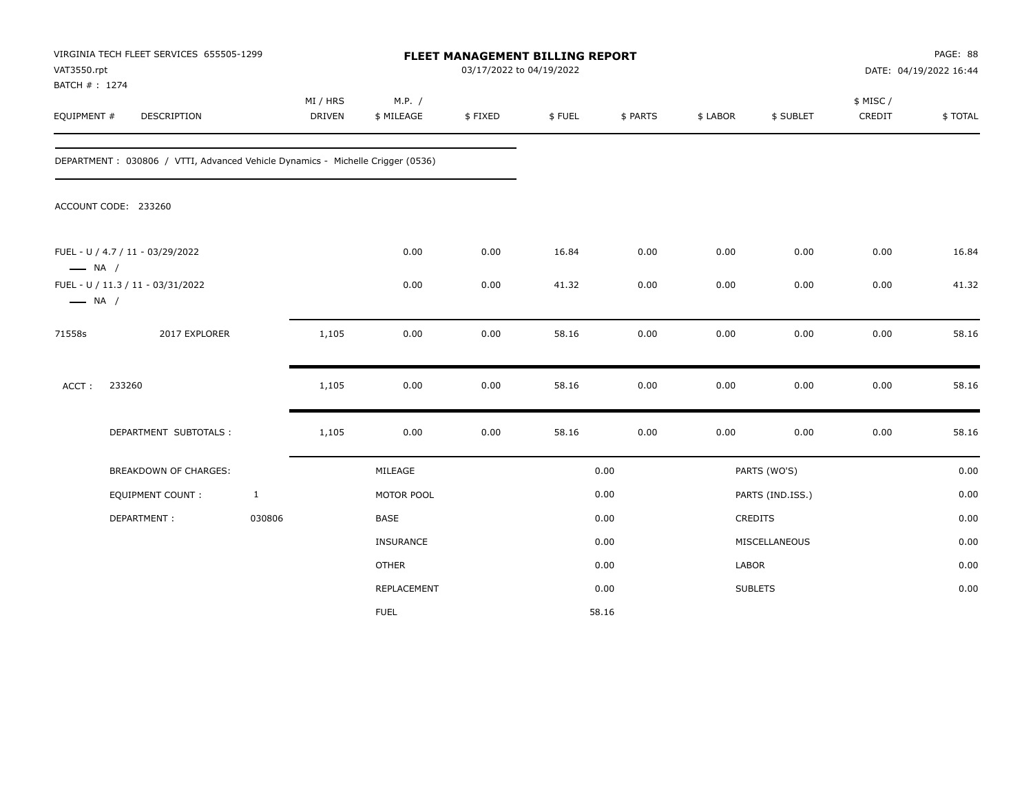| VAT3550.rpt<br>BATCH #: 1274 | VIRGINIA TECH FLEET SERVICES 655505-1299                                       |              |                    |                      | FLEET MANAGEMENT BILLING REPORT<br>03/17/2022 to 04/19/2022 |        |          |          |                  |                    | PAGE: 88<br>DATE: 04/19/2022 16:44 |
|------------------------------|--------------------------------------------------------------------------------|--------------|--------------------|----------------------|-------------------------------------------------------------|--------|----------|----------|------------------|--------------------|------------------------------------|
| EQUIPMENT #                  | DESCRIPTION                                                                    |              | MI / HRS<br>DRIVEN | M.P. /<br>\$ MILEAGE | \$FIXED                                                     | \$FUEL | \$ PARTS | \$ LABOR | \$ SUBLET        | \$ MISC/<br>CREDIT | \$TOTAL                            |
|                              | DEPARTMENT: 030806 / VTTI, Advanced Vehicle Dynamics - Michelle Crigger (0536) |              |                    |                      |                                                             |        |          |          |                  |                    |                                    |
|                              | ACCOUNT CODE: 233260                                                           |              |                    |                      |                                                             |        |          |          |                  |                    |                                    |
| $\longrightarrow$ NA /       | FUEL - U / 4.7 / 11 - 03/29/2022                                               |              |                    | 0.00                 | 0.00                                                        | 16.84  | 0.00     | 0.00     | 0.00             | 0.00               | 16.84                              |
| $\longrightarrow$ NA /       | FUEL - U / 11.3 / 11 - 03/31/2022                                              |              |                    | 0.00                 | 0.00                                                        | 41.32  | 0.00     | 0.00     | 0.00             | 0.00               | 41.32                              |
| 71558s                       | 2017 EXPLORER                                                                  |              | 1,105              | 0.00                 | 0.00                                                        | 58.16  | 0.00     | 0.00     | 0.00             | 0.00               | 58.16                              |
| ACCT:                        | 233260                                                                         |              | 1,105              | 0.00                 | 0.00                                                        | 58.16  | 0.00     | 0.00     | 0.00             | 0.00               | 58.16                              |
|                              | DEPARTMENT SUBTOTALS :                                                         |              | 1,105              | 0.00                 | 0.00                                                        | 58.16  | 0.00     | 0.00     | 0.00             | 0.00               | 58.16                              |
|                              | <b>BREAKDOWN OF CHARGES:</b>                                                   |              |                    | MILEAGE              |                                                             |        | 0.00     |          | PARTS (WO'S)     |                    | 0.00                               |
|                              | <b>EQUIPMENT COUNT:</b>                                                        | $\mathbf{1}$ |                    | MOTOR POOL           |                                                             |        | 0.00     |          | PARTS (IND.ISS.) |                    | 0.00                               |
|                              | DEPARTMENT:                                                                    | 030806       |                    | BASE                 |                                                             |        | 0.00     |          | <b>CREDITS</b>   |                    | 0.00                               |
|                              |                                                                                |              |                    | <b>INSURANCE</b>     |                                                             |        | 0.00     |          | MISCELLANEOUS    |                    | 0.00                               |
|                              |                                                                                |              |                    | <b>OTHER</b>         |                                                             |        | 0.00     | LABOR    |                  |                    | 0.00                               |
|                              |                                                                                |              |                    | REPLACEMENT          |                                                             |        | 0.00     |          | <b>SUBLETS</b>   |                    | 0.00                               |
|                              |                                                                                |              |                    | <b>FUEL</b>          |                                                             |        | 58.16    |          |                  |                    |                                    |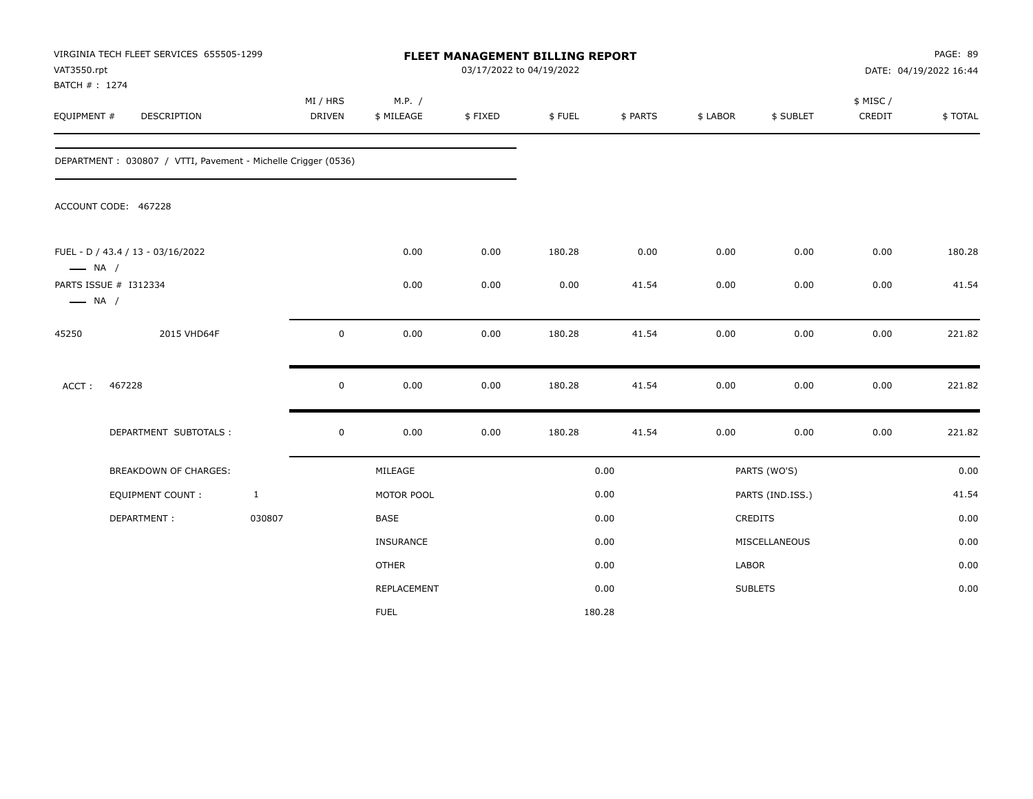| VAT3550.rpt            | VIRGINIA TECH FLEET SERVICES 655505-1299<br>BATCH #: 1274<br>DESCRIPTION |              |                    |                      |         | FLEET MANAGEMENT BILLING REPORT<br>03/17/2022 to 04/19/2022 |          |          |                  | PAGE: 89<br>DATE: 04/19/2022 16:44 |         |
|------------------------|--------------------------------------------------------------------------|--------------|--------------------|----------------------|---------|-------------------------------------------------------------|----------|----------|------------------|------------------------------------|---------|
| EQUIPMENT #            |                                                                          |              | MI / HRS<br>DRIVEN | M.P. /<br>\$ MILEAGE | \$FIXED | \$FUEL                                                      | \$ PARTS | \$ LABOR | \$ SUBLET        | \$ MISC/<br>CREDIT                 | \$TOTAL |
|                        | DEPARTMENT: 030807 / VTTI, Pavement - Michelle Crigger (0536)            |              |                    |                      |         |                                                             |          |          |                  |                                    |         |
|                        | ACCOUNT CODE: 467228                                                     |              |                    |                      |         |                                                             |          |          |                  |                                    |         |
| $\longrightarrow$ NA / | FUEL - D / 43.4 / 13 - 03/16/2022                                        |              |                    | 0.00                 | 0.00    | 180.28                                                      | 0.00     | 0.00     | 0.00             | 0.00                               | 180.28  |
| $\longrightarrow$ NA / | PARTS ISSUE # I312334                                                    |              |                    | 0.00                 | 0.00    | 0.00                                                        | 41.54    | 0.00     | 0.00             | 0.00                               | 41.54   |
| 45250                  | 2015 VHD64F                                                              |              | $\mathbf 0$        | 0.00                 | 0.00    | 180.28                                                      | 41.54    | 0.00     | 0.00             | 0.00                               | 221.82  |
| ACCT:                  | 467228                                                                   |              | $\mathsf 0$        | 0.00                 | 0.00    | 180.28                                                      | 41.54    | 0.00     | 0.00             | 0.00                               | 221.82  |
|                        | DEPARTMENT SUBTOTALS :                                                   |              | $\mathbf 0$        | 0.00                 | 0.00    | 180.28                                                      | 41.54    | 0.00     | 0.00             | 0.00                               | 221.82  |
|                        | BREAKDOWN OF CHARGES:                                                    |              |                    | MILEAGE              |         |                                                             | 0.00     |          | PARTS (WO'S)     |                                    | 0.00    |
|                        | EQUIPMENT COUNT:                                                         | $\mathbf{1}$ |                    | MOTOR POOL           |         |                                                             | 0.00     |          | PARTS (IND.ISS.) |                                    | 41.54   |
|                        | DEPARTMENT:                                                              | 030807       |                    | BASE                 |         |                                                             | 0.00     |          | CREDITS          |                                    | 0.00    |
|                        |                                                                          |              |                    | INSURANCE            |         |                                                             | 0.00     |          | MISCELLANEOUS    |                                    | 0.00    |
|                        |                                                                          |              |                    | <b>OTHER</b>         |         |                                                             | 0.00     | LABOR    |                  |                                    | 0.00    |
|                        |                                                                          |              |                    | REPLACEMENT          |         |                                                             | 0.00     |          | <b>SUBLETS</b>   |                                    | 0.00    |
|                        |                                                                          |              |                    | <b>FUEL</b>          |         |                                                             | 180.28   |          |                  |                                    |         |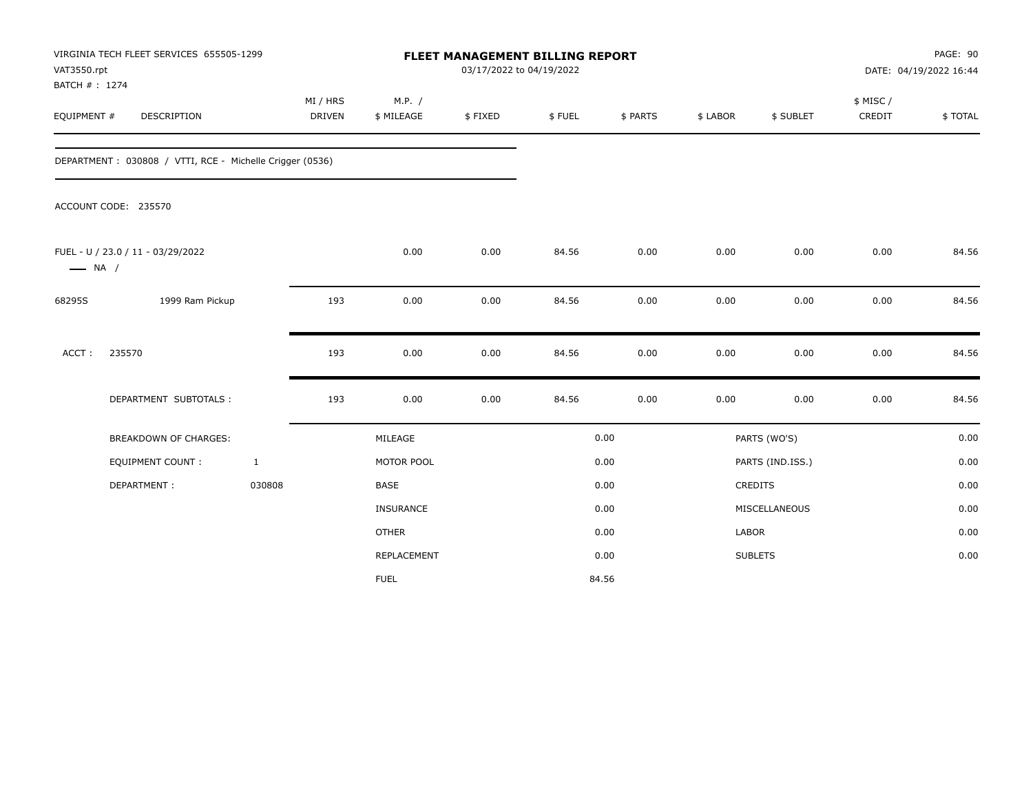| VAT3550.rpt<br>BATCH #: 1274 | VIRGINIA TECH FLEET SERVICES 655505-1299                 |                           |                      | FLEET MANAGEMENT BILLING REPORT<br>03/17/2022 to 04/19/2022 |        |          |          | PAGE: 90<br>DATE: 04/19/2022 16:44 |                    |         |
|------------------------------|----------------------------------------------------------|---------------------------|----------------------|-------------------------------------------------------------|--------|----------|----------|------------------------------------|--------------------|---------|
| EQUIPMENT #                  | <b>DESCRIPTION</b>                                       | MI / HRS<br><b>DRIVEN</b> | M.P. /<br>\$ MILEAGE | \$FIXED                                                     | \$FUEL | \$ PARTS | \$ LABOR | \$ SUBLET                          | \$ MISC/<br>CREDIT | \$TOTAL |
|                              | DEPARTMENT: 030808 / VTTI, RCE - Michelle Crigger (0536) |                           |                      |                                                             |        |          |          |                                    |                    |         |
|                              | ACCOUNT CODE: 235570                                     |                           |                      |                                                             |        |          |          |                                    |                    |         |
| $\longrightarrow$ NA /       | FUEL - U / 23.0 / 11 - 03/29/2022                        |                           | 0.00                 | 0.00                                                        | 84.56  | 0.00     | 0.00     | 0.00                               | 0.00               | 84.56   |
| 68295S                       | 1999 Ram Pickup                                          | 193                       | 0.00                 | 0.00                                                        | 84.56  | 0.00     | 0.00     | 0.00                               | 0.00               | 84.56   |
| ACCT:                        | 235570                                                   | 193                       | 0.00                 | 0.00                                                        | 84.56  | 0.00     | 0.00     | 0.00                               | 0.00               | 84.56   |
|                              | DEPARTMENT SUBTOTALS :                                   | 193                       | 0.00                 | 0.00                                                        | 84.56  | 0.00     | 0.00     | 0.00                               | 0.00               | 84.56   |
|                              | <b>BREAKDOWN OF CHARGES:</b>                             |                           | MILEAGE              |                                                             |        | 0.00     |          | PARTS (WO'S)                       |                    | 0.00    |
|                              | <b>EQUIPMENT COUNT:</b>                                  | $\mathbf{1}$              | MOTOR POOL           |                                                             |        | 0.00     |          | PARTS (IND.ISS.)                   |                    | 0.00    |
|                              | DEPARTMENT:                                              | 030808                    | <b>BASE</b>          |                                                             |        | 0.00     |          | <b>CREDITS</b>                     |                    | 0.00    |
|                              |                                                          |                           | <b>INSURANCE</b>     |                                                             |        | 0.00     |          | MISCELLANEOUS                      |                    | 0.00    |
|                              |                                                          |                           | <b>OTHER</b>         |                                                             |        | 0.00     | LABOR    |                                    |                    | 0.00    |
|                              |                                                          |                           | REPLACEMENT          |                                                             |        | 0.00     |          | <b>SUBLETS</b>                     |                    | 0.00    |
|                              |                                                          |                           | <b>FUEL</b>          |                                                             |        | 84.56    |          |                                    |                    |         |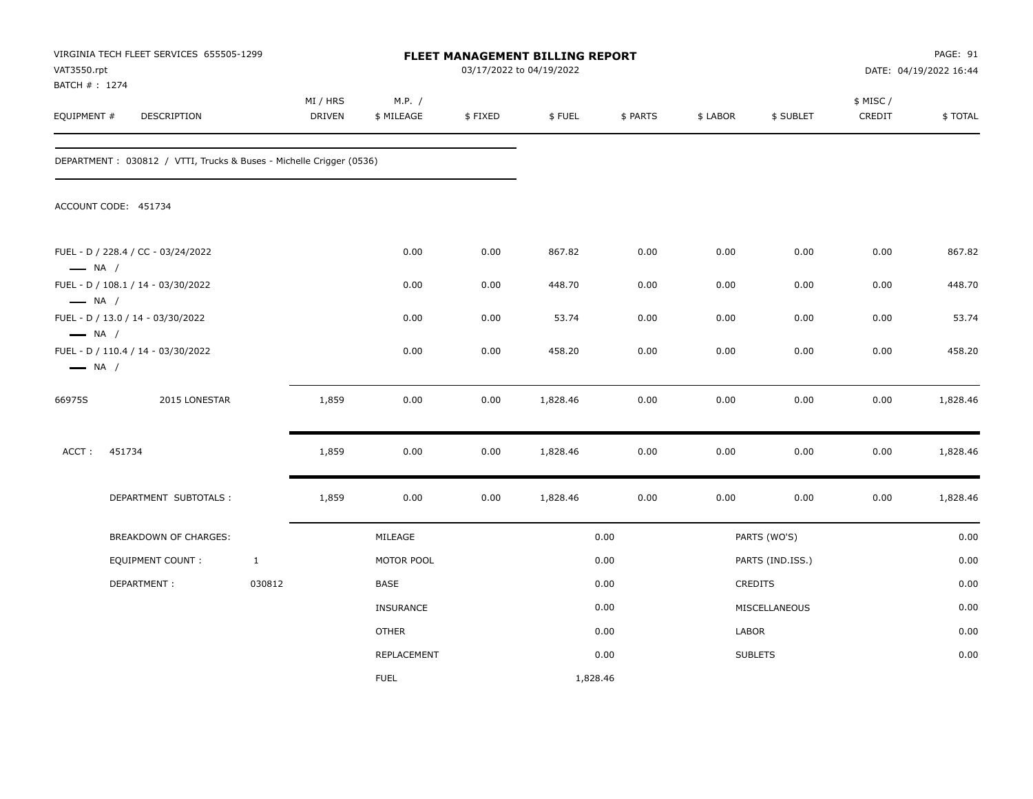| VAT3550.rpt<br>BATCH # : 1274                    | VIRGINIA TECH FLEET SERVICES 655505-1299                            |              |                           |                      |         | FLEET MANAGEMENT BILLING REPORT<br>03/17/2022 to 04/19/2022 |          |          |                  |                     | PAGE: 91<br>DATE: 04/19/2022 16:44 |
|--------------------------------------------------|---------------------------------------------------------------------|--------------|---------------------------|----------------------|---------|-------------------------------------------------------------|----------|----------|------------------|---------------------|------------------------------------|
| EQUIPMENT #                                      | <b>DESCRIPTION</b>                                                  |              | MI / HRS<br><b>DRIVEN</b> | M.P. /<br>\$ MILEAGE | \$FIXED | \$FUEL                                                      | \$ PARTS | \$ LABOR | \$ SUBLET        | \$ MISC /<br>CREDIT | \$TOTAL                            |
|                                                  | DEPARTMENT: 030812 / VTTI, Trucks & Buses - Michelle Crigger (0536) |              |                           |                      |         |                                                             |          |          |                  |                     |                                    |
|                                                  | ACCOUNT CODE: 451734                                                |              |                           |                      |         |                                                             |          |          |                  |                     |                                    |
| $\longrightarrow$ NA /                           | FUEL - D / 228.4 / CC - 03/24/2022                                  |              |                           | 0.00                 | 0.00    | 867.82                                                      | 0.00     | 0.00     | 0.00             | 0.00                | 867.82                             |
|                                                  | FUEL - D / 108.1 / 14 - 03/30/2022                                  |              |                           | 0.00                 | 0.00    | 448.70                                                      | 0.00     | 0.00     | 0.00             | 0.00                | 448.70                             |
| $\longrightarrow$ NA /<br>$\longrightarrow$ NA / | FUEL - D / 13.0 / 14 - 03/30/2022                                   |              |                           | 0.00                 | 0.00    | 53.74                                                       | 0.00     | 0.00     | 0.00             | 0.00                | 53.74                              |
| $\longrightarrow$ NA /                           | FUEL - D / 110.4 / 14 - 03/30/2022                                  |              |                           | 0.00                 | 0.00    | 458.20                                                      | 0.00     | 0.00     | 0.00             | 0.00                | 458.20                             |
| 66975S                                           | 2015 LONESTAR                                                       |              | 1,859                     | 0.00                 | 0.00    | 1,828.46                                                    | 0.00     | 0.00     | 0.00             | 0.00                | 1,828.46                           |
| ACCT:                                            | 451734                                                              |              | 1,859                     | 0.00                 | 0.00    | 1,828.46                                                    | 0.00     | 0.00     | 0.00             | 0.00                | 1,828.46                           |
|                                                  | DEPARTMENT SUBTOTALS :                                              |              | 1,859                     | 0.00                 | 0.00    | 1,828.46                                                    | 0.00     | 0.00     | 0.00             | 0.00                | 1,828.46                           |
|                                                  | <b>BREAKDOWN OF CHARGES:</b>                                        |              |                           | MILEAGE              |         |                                                             | 0.00     |          | PARTS (WO'S)     |                     | 0.00                               |
|                                                  | <b>EQUIPMENT COUNT:</b>                                             | $\mathbf{1}$ |                           | MOTOR POOL           |         |                                                             | 0.00     |          | PARTS (IND.ISS.) |                     | 0.00                               |
|                                                  | DEPARTMENT:                                                         | 030812       |                           | <b>BASE</b>          |         |                                                             | 0.00     |          | <b>CREDITS</b>   |                     | 0.00                               |
|                                                  |                                                                     |              |                           | INSURANCE            |         |                                                             | 0.00     |          | MISCELLANEOUS    |                     | 0.00                               |
|                                                  |                                                                     |              |                           | <b>OTHER</b>         |         |                                                             | 0.00     | LABOR    |                  |                     | 0.00                               |
|                                                  |                                                                     |              |                           | <b>REPLACEMENT</b>   |         |                                                             | 0.00     |          | <b>SUBLETS</b>   |                     | 0.00                               |
|                                                  |                                                                     |              |                           | <b>FUEL</b>          |         | 1,828.46                                                    |          |          |                  |                     |                                    |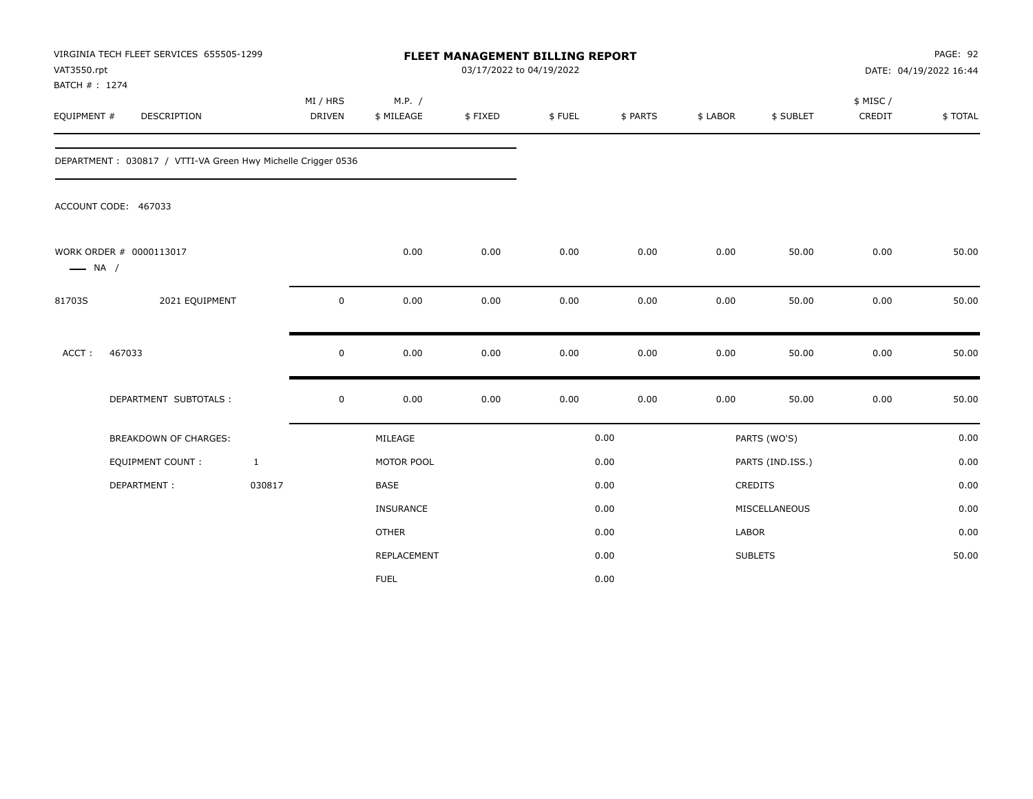| VAT3550.rpt<br>BATCH #: 1274 | VIRGINIA TECH FLEET SERVICES 655505-1299                     |                           |                      |         | <b>FLEET MANAGEMENT BILLING REPORT</b><br>03/17/2022 to 04/19/2022 |          |              |                  | PAGE: 92<br>DATE: 04/19/2022 16:44 |         |  |
|------------------------------|--------------------------------------------------------------|---------------------------|----------------------|---------|--------------------------------------------------------------------|----------|--------------|------------------|------------------------------------|---------|--|
| EQUIPMENT #                  | DESCRIPTION                                                  | MI / HRS<br><b>DRIVEN</b> | M.P. /<br>\$ MILEAGE | \$FIXED | \$FUEL                                                             | \$ PARTS | \$ LABOR     | \$ SUBLET        | \$ MISC /<br>CREDIT                | \$TOTAL |  |
|                              | DEPARTMENT: 030817 / VTTI-VA Green Hwy Michelle Crigger 0536 |                           |                      |         |                                                                    |          |              |                  |                                    |         |  |
|                              | ACCOUNT CODE: 467033                                         |                           |                      |         |                                                                    |          |              |                  |                                    |         |  |
| $\longrightarrow$ NA /       | WORK ORDER # 0000113017                                      |                           | 0.00                 | 0.00    | 0.00                                                               | 0.00     | 0.00         | 50.00            | 0.00                               | 50.00   |  |
| 81703S                       | 2021 EQUIPMENT                                               | $\pmb{0}$                 | 0.00                 | 0.00    | 0.00                                                               | 0.00     | 0.00         | 50.00            | 0.00                               | 50.00   |  |
| ACCT:                        | 467033                                                       | $\mathbf 0$               | 0.00                 | 0.00    | 0.00                                                               | 0.00     | 0.00         | 50.00            | 0.00                               | 50.00   |  |
|                              | DEPARTMENT SUBTOTALS :                                       | $\mathbf 0$               | 0.00                 | 0.00    | 0.00                                                               | 0.00     | 0.00         | 50.00            | 0.00                               | 50.00   |  |
|                              | <b>BREAKDOWN OF CHARGES:</b>                                 |                           | MILEAGE              |         |                                                                    | 0.00     |              | PARTS (WO'S)     |                                    | 0.00    |  |
|                              | <b>EQUIPMENT COUNT:</b>                                      | $\mathbf{1}$              | MOTOR POOL           |         |                                                                    | 0.00     |              | PARTS (IND.ISS.) |                                    | 0.00    |  |
|                              | DEPARTMENT:                                                  | 030817                    | <b>BASE</b>          |         |                                                                    | 0.00     |              | CREDITS          |                                    | 0.00    |  |
|                              |                                                              |                           | INSURANCE            |         |                                                                    | 0.00     |              | MISCELLANEOUS    |                                    | 0.00    |  |
|                              |                                                              |                           | <b>OTHER</b>         |         |                                                                    | 0.00     | <b>LABOR</b> |                  |                                    | 0.00    |  |
|                              |                                                              |                           | REPLACEMENT          |         |                                                                    | 0.00     |              | <b>SUBLETS</b>   |                                    | 50.00   |  |
|                              |                                                              |                           | <b>FUEL</b>          |         |                                                                    | 0.00     |              |                  |                                    |         |  |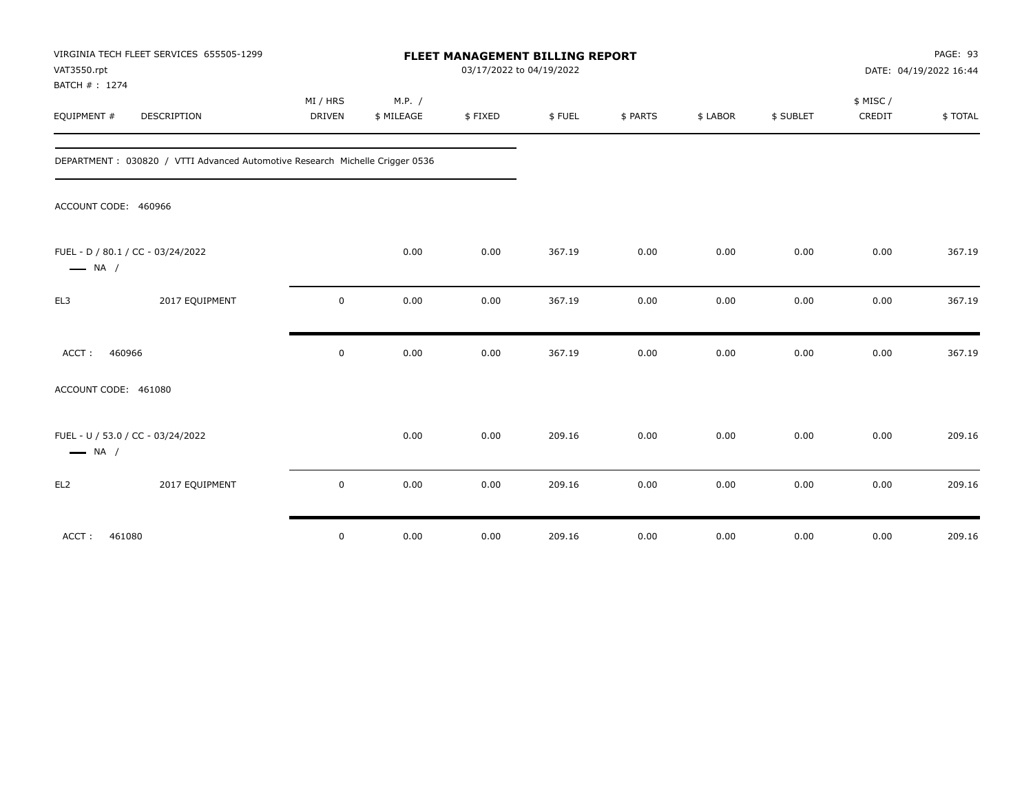| VIRGINIA TECH FLEET SERVICES 655505-1299<br>VAT3550.rpt<br>BATCH #: 1274     | FLEET MANAGEMENT BILLING REPORT<br>03/17/2022 to 04/19/2022 |                      |         |        |          |          | PAGE: 93<br>DATE: 04/19/2022 16:44 |                    |         |  |
|------------------------------------------------------------------------------|-------------------------------------------------------------|----------------------|---------|--------|----------|----------|------------------------------------|--------------------|---------|--|
| EQUIPMENT #<br>DESCRIPTION                                                   | MI / HRS<br>DRIVEN                                          | M.P. /<br>\$ MILEAGE | \$FIXED | \$FUEL | \$ PARTS | \$ LABOR | \$ SUBLET                          | \$ MISC/<br>CREDIT | \$TOTAL |  |
| DEPARTMENT: 030820 / VTTI Advanced Automotive Research Michelle Crigger 0536 |                                                             |                      |         |        |          |          |                                    |                    |         |  |
| ACCOUNT CODE: 460966                                                         |                                                             |                      |         |        |          |          |                                    |                    |         |  |
| FUEL - D / 80.1 / CC - 03/24/2022<br>$\longrightarrow$ NA /                  |                                                             | 0.00                 | 0.00    | 367.19 | 0.00     | 0.00     | 0.00                               | 0.00               | 367.19  |  |
| 2017 EQUIPMENT<br>EL3                                                        | $\mathsf 0$                                                 | 0.00                 | 0.00    | 367.19 | 0.00     | 0.00     | 0.00                               | 0.00               | 367.19  |  |
| 460966<br>ACCT:                                                              | $\mathbf 0$                                                 | 0.00                 | 0.00    | 367.19 | 0.00     | 0.00     | 0.00                               | 0.00               | 367.19  |  |
| ACCOUNT CODE: 461080                                                         |                                                             |                      |         |        |          |          |                                    |                    |         |  |
| FUEL - U / 53.0 / CC - 03/24/2022<br>$\longrightarrow$ NA /                  |                                                             | 0.00                 | 0.00    | 209.16 | 0.00     | 0.00     | 0.00                               | 0.00               | 209.16  |  |
| 2017 EQUIPMENT<br>EL <sub>2</sub>                                            | $\mathsf 0$                                                 | 0.00                 | 0.00    | 209.16 | 0.00     | 0.00     | 0.00                               | 0.00               | 209.16  |  |
| ACCT:<br>461080                                                              | $\mathsf 0$                                                 | 0.00                 | 0.00    | 209.16 | 0.00     | 0.00     | 0.00                               | 0.00               | 209.16  |  |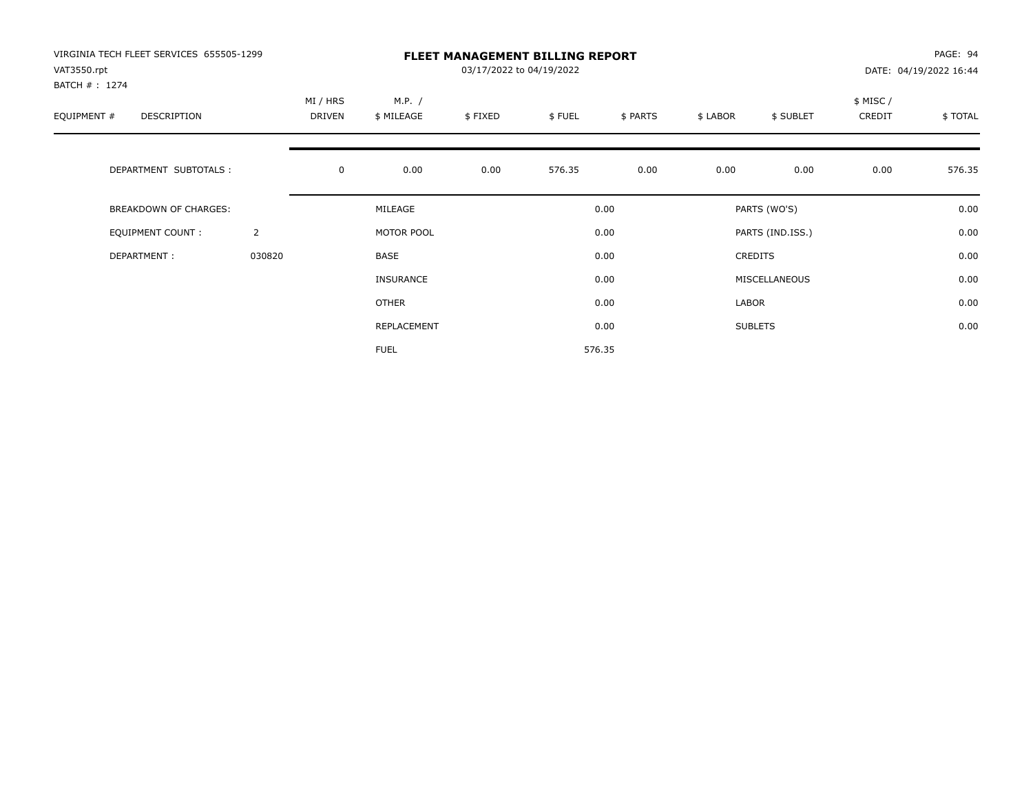| VIRGINIA TECH FLEET SERVICES 655505-1299<br>VAT3550.rpt<br>BATCH #: 1274 |                | <b>FLEET MANAGEMENT BILLING REPORT</b><br>03/17/2022 to 04/19/2022 |                  |      |        |          |          |                  |                    | PAGE: 94<br>DATE: 04/19/2022 16:44 |  |
|--------------------------------------------------------------------------|----------------|--------------------------------------------------------------------|------------------|------|--------|----------|----------|------------------|--------------------|------------------------------------|--|
| EQUIPMENT #<br>DESCRIPTION                                               |                | MI / HRS<br>M.P. /<br>DRIVEN<br>\$ MILEAGE<br>\$FIXED              |                  |      | \$FUEL | \$ PARTS | \$ LABOR | \$ SUBLET        | \$ MISC/<br>CREDIT | \$TOTAL                            |  |
| DEPARTMENT SUBTOTALS :                                                   |                | $\mathbf 0$                                                        | 0.00             | 0.00 | 576.35 | 0.00     | 0.00     | 0.00             | 0.00               | 576.35                             |  |
| BREAKDOWN OF CHARGES:                                                    |                |                                                                    | MILEAGE          |      |        | 0.00     |          | PARTS (WO'S)     |                    | 0.00                               |  |
| <b>EQUIPMENT COUNT:</b>                                                  | $\overline{2}$ |                                                                    | MOTOR POOL       |      |        | 0.00     |          | PARTS (IND.ISS.) |                    | 0.00                               |  |
| DEPARTMENT:                                                              | 030820         |                                                                    | BASE             |      |        | 0.00     |          | <b>CREDITS</b>   |                    | 0.00                               |  |
|                                                                          |                |                                                                    | <b>INSURANCE</b> |      |        | 0.00     |          | MISCELLANEOUS    |                    | 0.00                               |  |
|                                                                          |                |                                                                    | OTHER            |      |        | 0.00     | LABOR    |                  |                    | 0.00                               |  |
|                                                                          |                |                                                                    | REPLACEMENT      |      |        | 0.00     |          | <b>SUBLETS</b>   |                    | 0.00                               |  |
|                                                                          |                |                                                                    | <b>FUEL</b>      |      |        | 576.35   |          |                  |                    |                                    |  |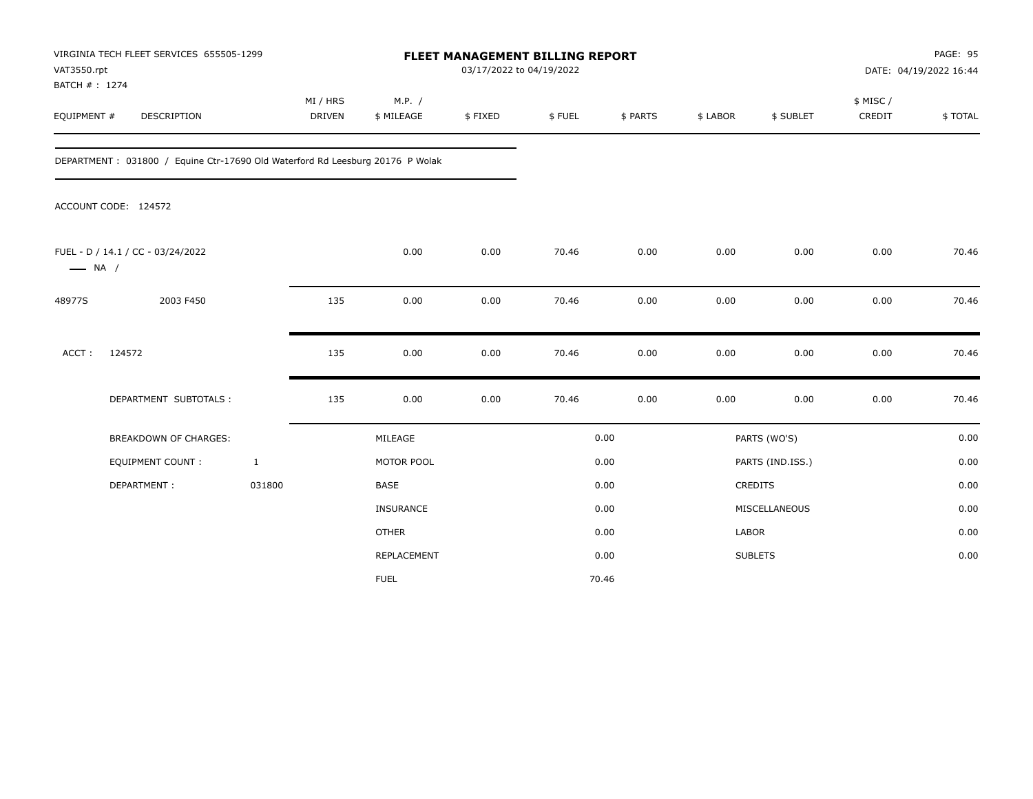| VAT3550.rpt                  | VIRGINIA TECH FLEET SERVICES 655505-1299                                      |                           |                      | FLEET MANAGEMENT BILLING REPORT<br>03/17/2022 to 04/19/2022 |        |          | PAGE: 95<br>DATE: 04/19/2022 16:44 |                  |                     |         |
|------------------------------|-------------------------------------------------------------------------------|---------------------------|----------------------|-------------------------------------------------------------|--------|----------|------------------------------------|------------------|---------------------|---------|
| BATCH #: 1274<br>EQUIPMENT # | <b>DESCRIPTION</b>                                                            | MI / HRS<br><b>DRIVEN</b> | M.P. /<br>\$ MILEAGE | \$FIXED                                                     | \$FUEL | \$ PARTS | \$ LABOR                           | \$ SUBLET        | \$ MISC /<br>CREDIT | \$TOTAL |
|                              | DEPARTMENT: 031800 / Equine Ctr-17690 Old Waterford Rd Leesburg 20176 P Wolak |                           |                      |                                                             |        |          |                                    |                  |                     |         |
|                              | ACCOUNT CODE: 124572                                                          |                           |                      |                                                             |        |          |                                    |                  |                     |         |
| $\longrightarrow$ NA /       | FUEL - D / 14.1 / CC - 03/24/2022                                             |                           | 0.00                 | 0.00                                                        | 70.46  | 0.00     | 0.00                               | 0.00             | 0.00                | 70.46   |
| 48977S                       | 2003 F450                                                                     | 135                       | 0.00                 | 0.00                                                        | 70.46  | 0.00     | 0.00                               | 0.00             | 0.00                | 70.46   |
| ACCT:                        | 124572                                                                        | 135                       | 0.00                 | 0.00                                                        | 70.46  | 0.00     | 0.00                               | 0.00             | 0.00                | 70.46   |
|                              | DEPARTMENT SUBTOTALS :                                                        | 135                       | 0.00                 | 0.00                                                        | 70.46  | 0.00     | 0.00                               | 0.00             | 0.00                | 70.46   |
|                              | <b>BREAKDOWN OF CHARGES:</b>                                                  |                           | MILEAGE              |                                                             |        | 0.00     |                                    | PARTS (WO'S)     |                     | 0.00    |
|                              | <b>EQUIPMENT COUNT:</b>                                                       | $\mathbf{1}$              | MOTOR POOL           |                                                             |        | 0.00     |                                    | PARTS (IND.ISS.) |                     | 0.00    |
|                              | DEPARTMENT:                                                                   | 031800                    | <b>BASE</b>          |                                                             |        | 0.00     |                                    | <b>CREDITS</b>   |                     | 0.00    |
|                              |                                                                               |                           | <b>INSURANCE</b>     |                                                             |        | 0.00     |                                    | MISCELLANEOUS    |                     | 0.00    |
|                              |                                                                               |                           | <b>OTHER</b>         |                                                             |        | 0.00     | <b>LABOR</b>                       |                  |                     | 0.00    |
|                              |                                                                               |                           | REPLACEMENT          |                                                             |        | 0.00     |                                    | <b>SUBLETS</b>   |                     | 0.00    |
|                              |                                                                               |                           | <b>FUEL</b>          |                                                             |        | 70.46    |                                    |                  |                     |         |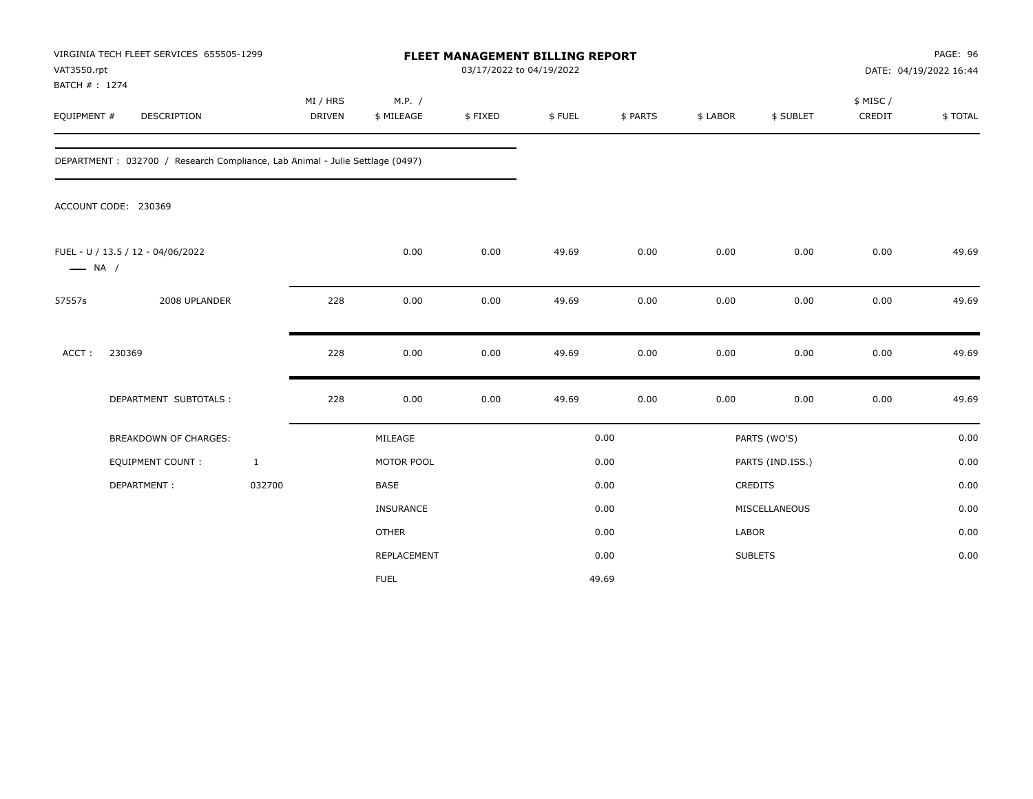| VAT3550.rpt<br>BATCH #: 1274 | VIRGINIA TECH FLEET SERVICES 655505-1299                                      |                           |                      | FLEET MANAGEMENT BILLING REPORT<br>03/17/2022 to 04/19/2022 |        |          |              |                  |                     | PAGE: 96<br>DATE: 04/19/2022 16:44 |
|------------------------------|-------------------------------------------------------------------------------|---------------------------|----------------------|-------------------------------------------------------------|--------|----------|--------------|------------------|---------------------|------------------------------------|
| EQUIPMENT #                  | DESCRIPTION                                                                   | MI / HRS<br><b>DRIVEN</b> | M.P. /<br>\$ MILEAGE | \$FIXED                                                     | \$FUEL | \$ PARTS | \$ LABOR     | \$ SUBLET        | \$ MISC /<br>CREDIT | \$TOTAL                            |
|                              | DEPARTMENT : 032700 / Research Compliance, Lab Animal - Julie Settlage (0497) |                           |                      |                                                             |        |          |              |                  |                     |                                    |
|                              | ACCOUNT CODE: 230369                                                          |                           |                      |                                                             |        |          |              |                  |                     |                                    |
| $\longrightarrow$ NA /       | FUEL - U / 13.5 / 12 - 04/06/2022                                             |                           | 0.00                 | 0.00                                                        | 49.69  | 0.00     | 0.00         | 0.00             | 0.00                | 49.69                              |
| 57557s                       | 2008 UPLANDER                                                                 | 228                       | 0.00                 | 0.00                                                        | 49.69  | 0.00     | 0.00         | 0.00             | 0.00                | 49.69                              |
| ACCT:                        | 230369                                                                        | 228                       | 0.00                 | 0.00                                                        | 49.69  | 0.00     | 0.00         | 0.00             | 0.00                | 49.69                              |
|                              | DEPARTMENT SUBTOTALS :                                                        | 228                       | 0.00                 | 0.00                                                        | 49.69  | 0.00     | 0.00         | 0.00             | 0.00                | 49.69                              |
|                              | <b>BREAKDOWN OF CHARGES:</b>                                                  |                           | MILEAGE              |                                                             |        | 0.00     |              | PARTS (WO'S)     |                     | 0.00                               |
|                              | <b>EQUIPMENT COUNT:</b>                                                       | $\mathbf{1}$              | MOTOR POOL           |                                                             |        | 0.00     |              | PARTS (IND.ISS.) |                     | 0.00                               |
|                              | DEPARTMENT:                                                                   | 032700                    | BASE                 |                                                             |        | 0.00     |              | <b>CREDITS</b>   |                     | 0.00                               |
|                              |                                                                               |                           | INSURANCE            |                                                             |        | 0.00     |              | MISCELLANEOUS    |                     | 0.00                               |
|                              |                                                                               |                           | <b>OTHER</b>         |                                                             |        | 0.00     | <b>LABOR</b> |                  |                     | 0.00                               |
|                              |                                                                               |                           | REPLACEMENT          |                                                             |        | 0.00     |              | <b>SUBLETS</b>   |                     | 0.00                               |
|                              |                                                                               |                           | <b>FUEL</b>          |                                                             |        | 49.69    |              |                  |                     |                                    |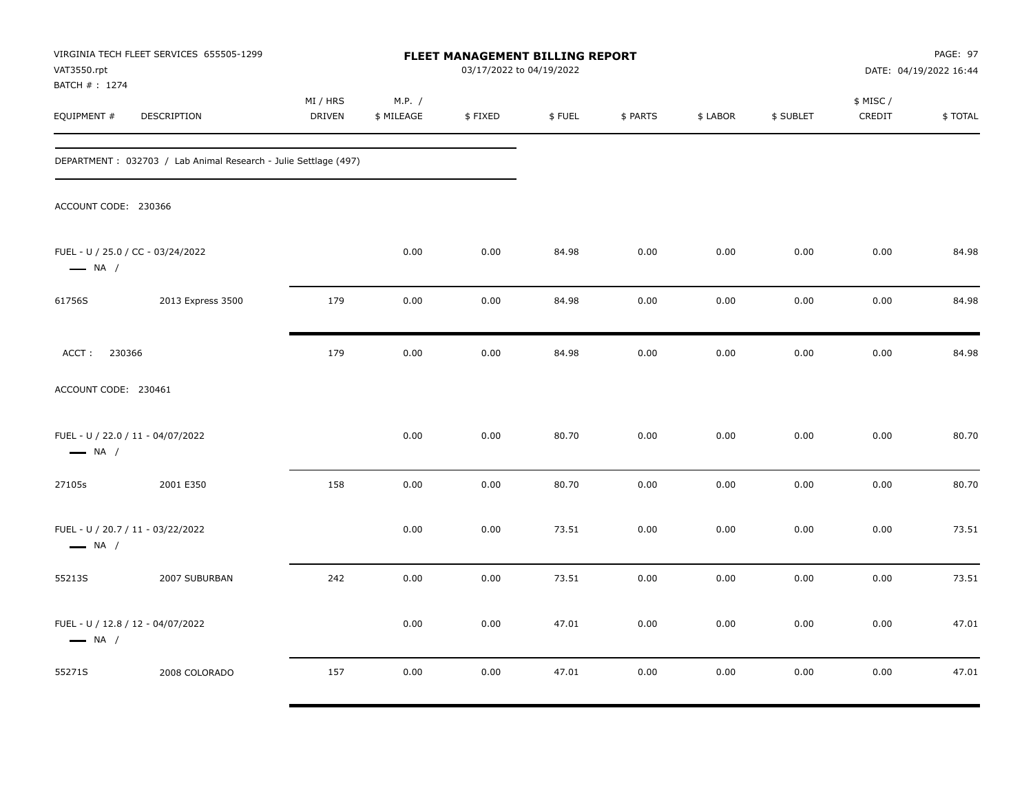| VIRGINIA TECH FLEET SERVICES 655505-1299<br>FLEET MANAGEMENT BILLING REPORT<br>VAT3550.rpt<br>03/17/2022 to 04/19/2022<br>BATCH #: 1274 |                                                                 |                    |                      |         |        | PAGE: 97<br>DATE: 04/19/2022 16:44 |          |           |                     |         |
|-----------------------------------------------------------------------------------------------------------------------------------------|-----------------------------------------------------------------|--------------------|----------------------|---------|--------|------------------------------------|----------|-----------|---------------------|---------|
| EQUIPMENT #                                                                                                                             | DESCRIPTION                                                     | MI / HRS<br>DRIVEN | M.P. /<br>\$ MILEAGE | \$FIXED | \$FUEL | \$ PARTS                           | \$ LABOR | \$ SUBLET | \$ MISC /<br>CREDIT | \$TOTAL |
|                                                                                                                                         | DEPARTMENT: 032703 / Lab Animal Research - Julie Settlage (497) |                    |                      |         |        |                                    |          |           |                     |         |
| ACCOUNT CODE: 230366                                                                                                                    |                                                                 |                    |                      |         |        |                                    |          |           |                     |         |
| FUEL - U / 25.0 / CC - 03/24/2022<br>$\longrightarrow$ NA /                                                                             |                                                                 |                    | 0.00                 | 0.00    | 84.98  | 0.00                               | 0.00     | 0.00      | 0.00                | 84.98   |
| 61756S                                                                                                                                  | 2013 Express 3500                                               | 179                | 0.00                 | 0.00    | 84.98  | 0.00                               | 0.00     | 0.00      | 0.00                | 84.98   |
| ACCT:<br>230366                                                                                                                         |                                                                 | 179                | 0.00                 | 0.00    | 84.98  | 0.00                               | 0.00     | 0.00      | 0.00                | 84.98   |
| ACCOUNT CODE: 230461                                                                                                                    |                                                                 |                    |                      |         |        |                                    |          |           |                     |         |
| FUEL - U / 22.0 / 11 - 04/07/2022<br>$\longrightarrow$ NA /                                                                             |                                                                 |                    | 0.00                 | 0.00    | 80.70  | 0.00                               | 0.00     | 0.00      | 0.00                | 80.70   |
| 27105s                                                                                                                                  | 2001 E350                                                       | 158                | 0.00                 | 0.00    | 80.70  | 0.00                               | 0.00     | 0.00      | 0.00                | 80.70   |
| FUEL - U / 20.7 / 11 - 03/22/2022<br>$\longrightarrow$ NA /                                                                             |                                                                 |                    | 0.00                 | 0.00    | 73.51  | 0.00                               | 0.00     | 0.00      | 0.00                | 73.51   |
| 55213S                                                                                                                                  | 2007 SUBURBAN                                                   | 242                | 0.00                 | 0.00    | 73.51  | 0.00                               | 0.00     | 0.00      | 0.00                | 73.51   |
| FUEL - U / 12.8 / 12 - 04/07/2022<br>$\longrightarrow$ NA /                                                                             |                                                                 |                    | 0.00                 | 0.00    | 47.01  | 0.00                               | 0.00     | 0.00      | 0.00                | 47.01   |
| 55271S                                                                                                                                  | 2008 COLORADO                                                   | 157                | 0.00                 | 0.00    | 47.01  | 0.00                               | 0.00     | 0.00      | 0.00                | 47.01   |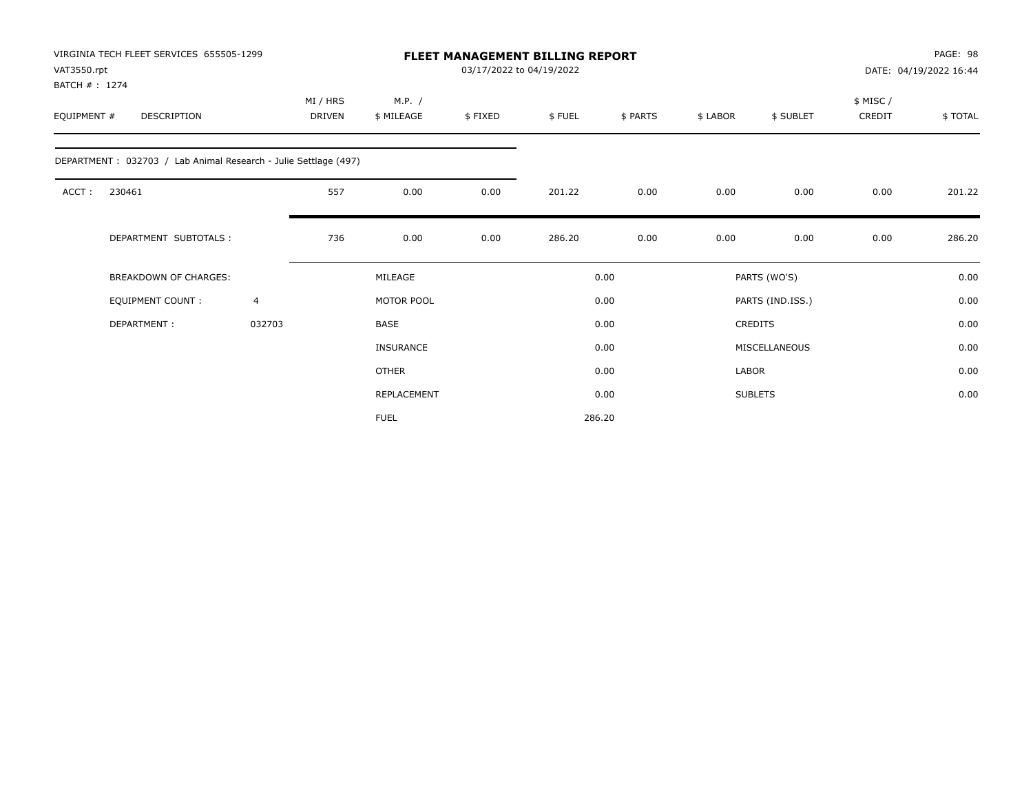| VAT3550.rpt<br>BATCH #: 1274 | VIRGINIA TECH FLEET SERVICES 655505-1299                        |                |                    |                      | <b>FLEET MANAGEMENT BILLING REPORT</b><br>03/17/2022 to 04/19/2022 |        |          |              |                  |                    | PAGE: 98<br>DATE: 04/19/2022 16:44 |
|------------------------------|-----------------------------------------------------------------|----------------|--------------------|----------------------|--------------------------------------------------------------------|--------|----------|--------------|------------------|--------------------|------------------------------------|
| EQUIPMENT #                  | DESCRIPTION                                                     |                | MI / HRS<br>DRIVEN | M.P. /<br>\$ MILEAGE | \$FIXED                                                            | \$FUEL | \$ PARTS | \$ LABOR     | \$ SUBLET        | \$ MISC/<br>CREDIT | \$TOTAL                            |
|                              | DEPARTMENT: 032703 / Lab Animal Research - Julie Settlage (497) |                |                    |                      |                                                                    |        |          |              |                  |                    |                                    |
| ACCT:                        | 230461                                                          |                | 557                | 0.00                 | 0.00                                                               | 201.22 | 0.00     | 0.00         | 0.00             | 0.00               | 201.22                             |
|                              | DEPARTMENT SUBTOTALS :                                          |                | 736                | 0.00                 | 0.00                                                               | 286.20 | 0.00     | 0.00         | 0.00             | 0.00               | 286.20                             |
|                              | <b>BREAKDOWN OF CHARGES:</b>                                    |                |                    | MILEAGE              |                                                                    |        | 0.00     |              | PARTS (WO'S)     |                    | 0.00                               |
|                              | <b>EQUIPMENT COUNT:</b>                                         | $\overline{4}$ |                    | MOTOR POOL           |                                                                    |        | 0.00     |              | PARTS (IND.ISS.) |                    | 0.00                               |
|                              | DEPARTMENT:                                                     | 032703         |                    | <b>BASE</b>          |                                                                    |        | 0.00     |              | <b>CREDITS</b>   |                    | 0.00                               |
|                              |                                                                 |                |                    | <b>INSURANCE</b>     |                                                                    |        | 0.00     |              | MISCELLANEOUS    |                    | 0.00                               |
|                              |                                                                 |                |                    | <b>OTHER</b>         |                                                                    |        | 0.00     | <b>LABOR</b> |                  |                    | 0.00                               |
|                              |                                                                 |                |                    | REPLACEMENT          |                                                                    |        | 0.00     |              | <b>SUBLETS</b>   |                    | 0.00                               |
|                              |                                                                 |                |                    | <b>FUEL</b>          |                                                                    |        | 286.20   |              |                  |                    |                                    |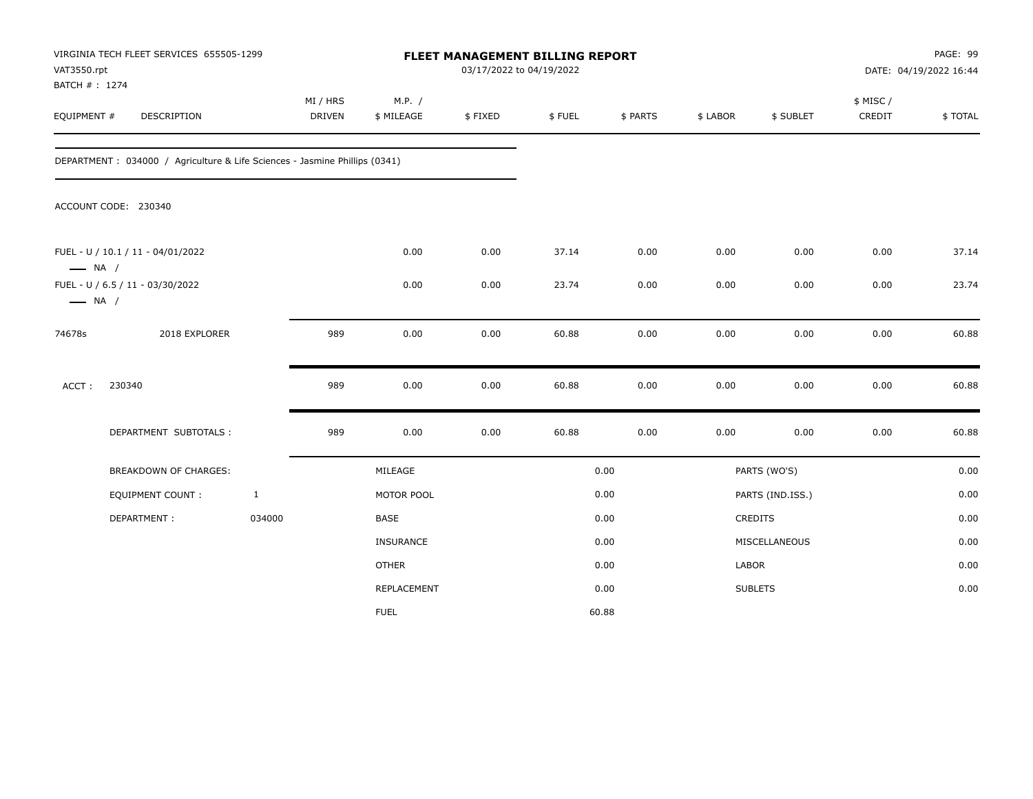| VAT3550.rpt<br>BATCH #: 1274 | VIRGINIA TECH FLEET SERVICES 655505-1299                                    |              |                    |                      | 03/17/2022 to 04/19/2022 | FLEET MANAGEMENT BILLING REPORT |          |          |                  |                     | PAGE: 99<br>DATE: 04/19/2022 16:44 |
|------------------------------|-----------------------------------------------------------------------------|--------------|--------------------|----------------------|--------------------------|---------------------------------|----------|----------|------------------|---------------------|------------------------------------|
| EQUIPMENT #                  | <b>DESCRIPTION</b>                                                          |              | MI / HRS<br>DRIVEN | M.P. /<br>\$ MILEAGE | \$FIXED                  | \$FUEL                          | \$ PARTS | \$ LABOR | \$ SUBLET        | \$ MISC /<br>CREDIT | \$TOTAL                            |
|                              | DEPARTMENT : 034000 / Agriculture & Life Sciences - Jasmine Phillips (0341) |              |                    |                      |                          |                                 |          |          |                  |                     |                                    |
|                              | ACCOUNT CODE: 230340                                                        |              |                    |                      |                          |                                 |          |          |                  |                     |                                    |
| $\longrightarrow$ NA /       | FUEL - U / 10.1 / 11 - 04/01/2022                                           |              |                    | 0.00                 | 0.00                     | 37.14                           | 0.00     | 0.00     | 0.00             | 0.00                | 37.14                              |
| $\longrightarrow$ NA /       | FUEL - U / 6.5 / 11 - 03/30/2022                                            |              |                    | 0.00                 | 0.00                     | 23.74                           | 0.00     | 0.00     | 0.00             | 0.00                | 23.74                              |
| 74678s                       | 2018 EXPLORER                                                               |              | 989                | 0.00                 | 0.00                     | 60.88                           | 0.00     | 0.00     | 0.00             | 0.00                | 60.88                              |
| ACCT:                        | 230340                                                                      |              | 989                | 0.00                 | 0.00                     | 60.88                           | 0.00     | 0.00     | 0.00             | 0.00                | 60.88                              |
|                              | DEPARTMENT SUBTOTALS :                                                      |              | 989                | 0.00                 | 0.00                     | 60.88                           | 0.00     | 0.00     | 0.00             | 0.00                | 60.88                              |
|                              | <b>BREAKDOWN OF CHARGES:</b>                                                |              |                    | MILEAGE              |                          |                                 | 0.00     |          | PARTS (WO'S)     |                     | 0.00                               |
|                              | EQUIPMENT COUNT:                                                            | $\mathbf{1}$ |                    | MOTOR POOL           |                          |                                 | 0.00     |          | PARTS (IND.ISS.) |                     | 0.00                               |
|                              | DEPARTMENT:                                                                 | 034000       |                    | BASE                 |                          |                                 | 0.00     |          | <b>CREDITS</b>   |                     | 0.00                               |
|                              |                                                                             |              |                    | INSURANCE            |                          |                                 | 0.00     |          | MISCELLANEOUS    |                     | 0.00                               |
|                              |                                                                             |              |                    | <b>OTHER</b>         |                          |                                 | 0.00     | LABOR    |                  |                     | 0.00                               |
|                              |                                                                             |              |                    | REPLACEMENT          |                          |                                 | 0.00     |          | <b>SUBLETS</b>   |                     | 0.00                               |
|                              |                                                                             |              |                    | <b>FUEL</b>          |                          |                                 | 60.88    |          |                  |                     |                                    |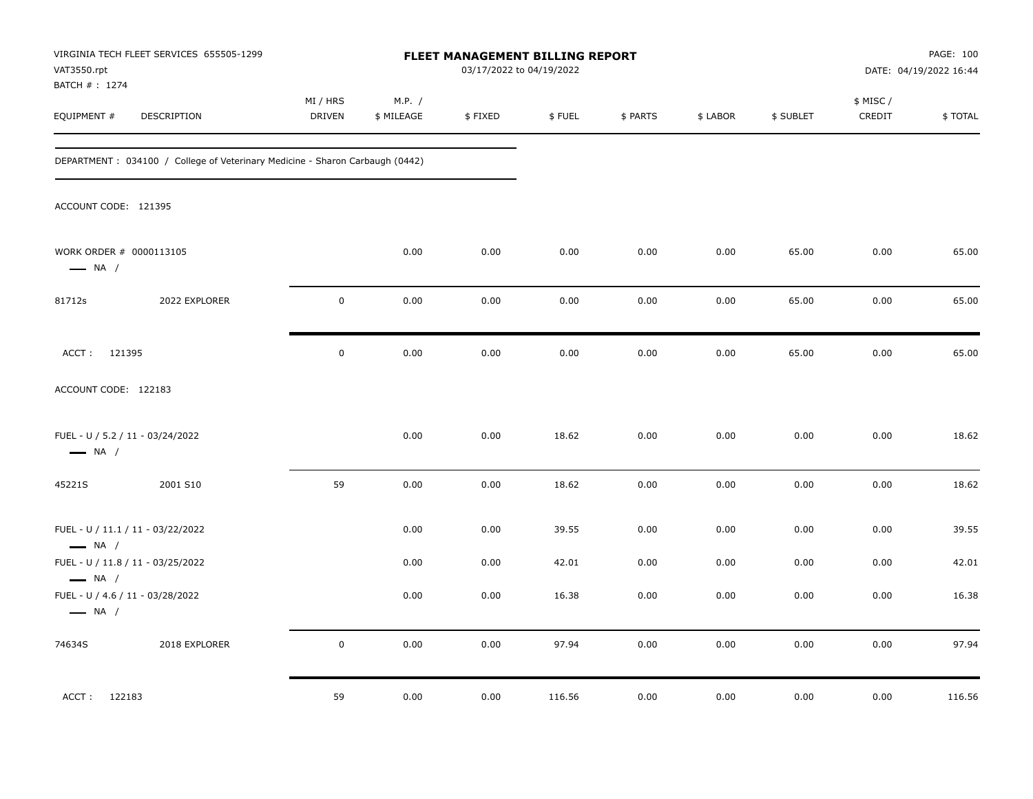| VAT3550.rpt<br>BATCH #: 1274                      | VIRGINIA TECH FLEET SERVICES 655505-1299                                     |                    |                      | <b>FLEET MANAGEMENT BILLING REPORT</b><br>03/17/2022 to 04/19/2022 |        |          |          |           |                     | PAGE: 100<br>DATE: 04/19/2022 16:44 |
|---------------------------------------------------|------------------------------------------------------------------------------|--------------------|----------------------|--------------------------------------------------------------------|--------|----------|----------|-----------|---------------------|-------------------------------------|
| EQUIPMENT #                                       | <b>DESCRIPTION</b>                                                           | MI / HRS<br>DRIVEN | M.P. /<br>\$ MILEAGE | \$FIXED                                                            | \$FUEL | \$ PARTS | \$ LABOR | \$ SUBLET | \$ MISC /<br>CREDIT | \$TOTAL                             |
|                                                   | DEPARTMENT: 034100 / College of Veterinary Medicine - Sharon Carbaugh (0442) |                    |                      |                                                                    |        |          |          |           |                     |                                     |
| ACCOUNT CODE: 121395                              |                                                                              |                    |                      |                                                                    |        |          |          |           |                     |                                     |
| WORK ORDER # 0000113105<br>$\longrightarrow$ NA / |                                                                              |                    | 0.00                 | 0.00                                                               | 0.00   | 0.00     | 0.00     | 65.00     | 0.00                | 65.00                               |
| 81712s                                            | 2022 EXPLORER                                                                | $\mathbf 0$        | 0.00                 | 0.00                                                               | 0.00   | 0.00     | 0.00     | 65.00     | 0.00                | 65.00                               |
| ACCT: 121395                                      |                                                                              | $\mathbf 0$        | 0.00                 | 0.00                                                               | 0.00   | 0.00     | 0.00     | 65.00     | 0.00                | 65.00                               |
| ACCOUNT CODE: 122183                              |                                                                              |                    |                      |                                                                    |        |          |          |           |                     |                                     |
| $\longrightarrow$ NA /                            | FUEL - U / 5.2 / 11 - 03/24/2022                                             |                    | 0.00                 | 0.00                                                               | 18.62  | 0.00     | 0.00     | 0.00      | 0.00                | 18.62                               |
| 45221S                                            | 2001 S10                                                                     | 59                 | 0.00                 | 0.00                                                               | 18.62  | 0.00     | 0.00     | 0.00      | 0.00                | 18.62                               |
| $\longrightarrow$ NA /                            | FUEL - U / 11.1 / 11 - 03/22/2022                                            |                    | 0.00                 | 0.00                                                               | 39.55  | 0.00     | 0.00     | 0.00      | 0.00                | 39.55                               |
| $\longrightarrow$ NA /                            | FUEL - U / 11.8 / 11 - 03/25/2022                                            |                    | 0.00                 | 0.00                                                               | 42.01  | 0.00     | 0.00     | 0.00      | 0.00                | 42.01                               |
| $\longrightarrow$ NA /                            | FUEL - U / 4.6 / 11 - 03/28/2022                                             |                    | 0.00                 | 0.00                                                               | 16.38  | 0.00     | 0.00     | 0.00      | 0.00                | 16.38                               |
| 74634S                                            | 2018 EXPLORER                                                                | $\mathbf 0$        | 0.00                 | 0.00                                                               | 97.94  | 0.00     | 0.00     | 0.00      | 0.00                | 97.94                               |
| ACCT: 122183                                      |                                                                              | 59                 | 0.00                 | 0.00                                                               | 116.56 | 0.00     | 0.00     | 0.00      | 0.00                | 116.56                              |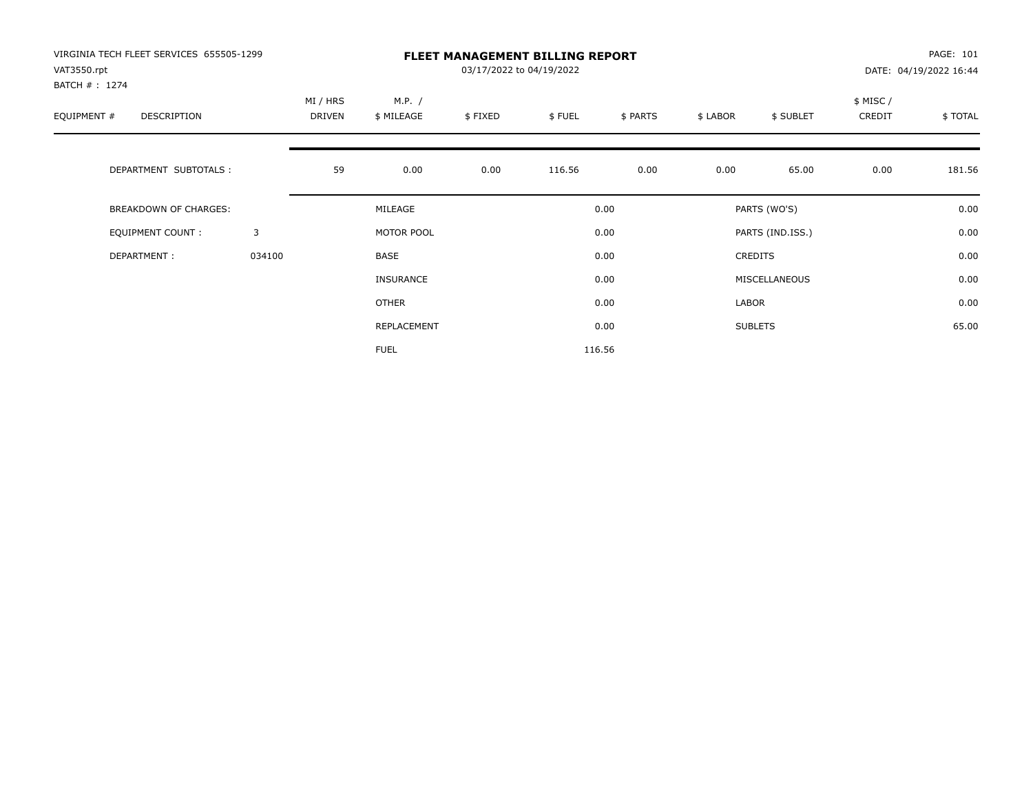| VIRGINIA TECH FLEET SERVICES 655505-1299<br>VAT3550.rpt<br>BATCH #: 1274 |        | <b>FLEET MANAGEMENT BILLING REPORT</b><br>03/17/2022 to 04/19/2022 |                      |         |        |          |          |                  |                     | PAGE: 101<br>DATE: 04/19/2022 16:44 |  |
|--------------------------------------------------------------------------|--------|--------------------------------------------------------------------|----------------------|---------|--------|----------|----------|------------------|---------------------|-------------------------------------|--|
| EQUIPMENT #<br><b>DESCRIPTION</b>                                        |        | MI / HRS<br><b>DRIVEN</b>                                          | M.P. /<br>\$ MILEAGE | \$FIXED | \$FUEL | \$ PARTS | \$ LABOR | \$ SUBLET        | \$ MISC /<br>CREDIT | \$TOTAL                             |  |
| DEPARTMENT SUBTOTALS :                                                   |        | 59                                                                 | 0.00                 | 0.00    | 116.56 | 0.00     | 0.00     | 65.00            | 0.00                | 181.56                              |  |
| <b>BREAKDOWN OF CHARGES:</b>                                             |        |                                                                    | MILEAGE              |         |        | 0.00     |          | PARTS (WO'S)     |                     | 0.00                                |  |
| EQUIPMENT COUNT:                                                         | 3      |                                                                    | MOTOR POOL           |         |        | 0.00     |          | PARTS (IND.ISS.) |                     | 0.00                                |  |
| DEPARTMENT:                                                              | 034100 |                                                                    | <b>BASE</b>          |         |        | 0.00     |          | <b>CREDITS</b>   |                     | 0.00                                |  |
|                                                                          |        |                                                                    | INSURANCE            |         |        | 0.00     |          | MISCELLANEOUS    |                     | 0.00                                |  |
|                                                                          |        |                                                                    | OTHER                |         |        | 0.00     | LABOR    |                  |                     | 0.00                                |  |
|                                                                          |        |                                                                    | REPLACEMENT          |         |        | 0.00     |          | <b>SUBLETS</b>   |                     | 65.00                               |  |
|                                                                          |        |                                                                    | <b>FUEL</b>          |         |        | 116.56   |          |                  |                     |                                     |  |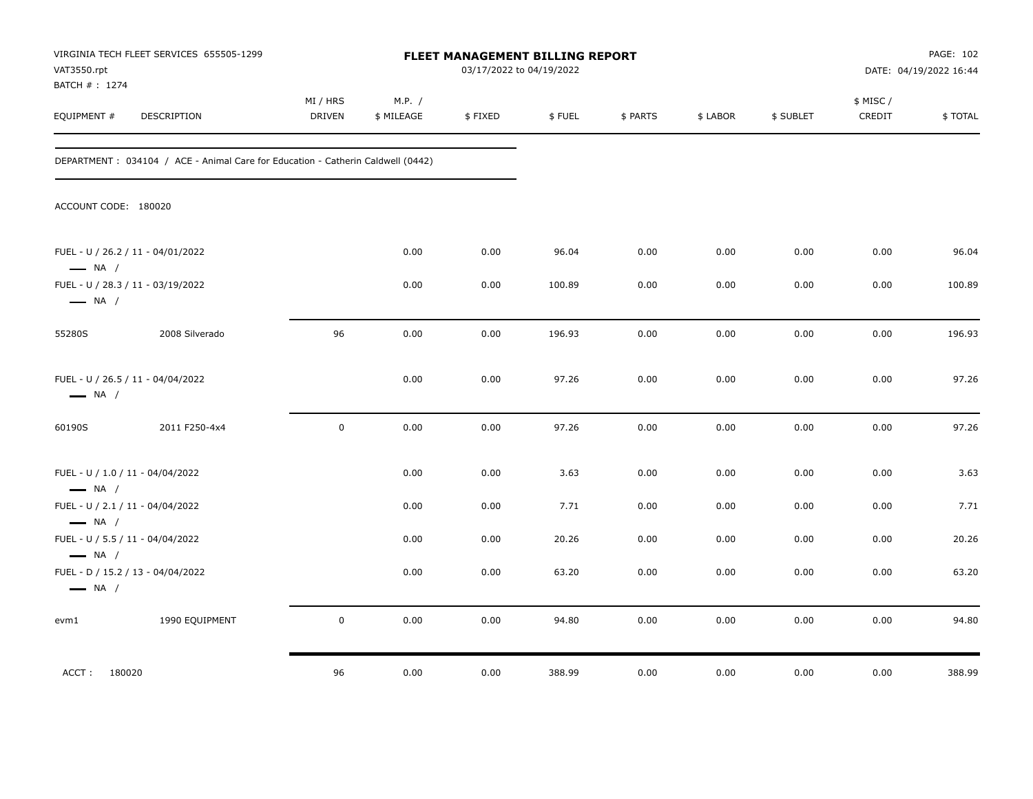| VAT3550.rpt<br>BATCH # : 1274                              | VIRGINIA TECH FLEET SERVICES 655505-1299                                         |                    |                      | 03/17/2022 to 04/19/2022 | FLEET MANAGEMENT BILLING REPORT |          |          |           |                     | PAGE: 102<br>DATE: 04/19/2022 16:44 |
|------------------------------------------------------------|----------------------------------------------------------------------------------|--------------------|----------------------|--------------------------|---------------------------------|----------|----------|-----------|---------------------|-------------------------------------|
| EQUIPMENT #                                                | DESCRIPTION                                                                      | MI / HRS<br>DRIVEN | M.P. /<br>\$ MILEAGE | \$FIXED                  | \$FUEL                          | \$ PARTS | \$ LABOR | \$ SUBLET | \$ MISC /<br>CREDIT | \$TOTAL                             |
|                                                            | DEPARTMENT : 034104 / ACE - Animal Care for Education - Catherin Caldwell (0442) |                    |                      |                          |                                 |          |          |           |                     |                                     |
| ACCOUNT CODE: 180020                                       |                                                                                  |                    |                      |                          |                                 |          |          |           |                     |                                     |
| $\longrightarrow$ NA /                                     | FUEL - U / 26.2 / 11 - 04/01/2022                                                |                    | 0.00                 | 0.00                     | 96.04                           | 0.00     | 0.00     | 0.00      | 0.00                | 96.04                               |
| $\longrightarrow$ NA /                                     | FUEL - U / 28.3 / 11 - 03/19/2022                                                |                    | 0.00                 | 0.00                     | 100.89                          | 0.00     | 0.00     | 0.00      | 0.00                | 100.89                              |
| 55280S                                                     | 2008 Silverado                                                                   | 96                 | 0.00                 | 0.00                     | 196.93                          | 0.00     | 0.00     | 0.00      | 0.00                | 196.93                              |
| $\longrightarrow$ NA /                                     | FUEL - U / 26.5 / 11 - 04/04/2022                                                |                    | 0.00                 | 0.00                     | 97.26                           | 0.00     | 0.00     | 0.00      | 0.00                | 97.26                               |
| 60190S                                                     | 2011 F250-4x4                                                                    | $\mathbf 0$        | 0.00                 | 0.00                     | 97.26                           | 0.00     | 0.00     | 0.00      | 0.00                | 97.26                               |
| FUEL - U / 1.0 / 11 - 04/04/2022<br>$\longrightarrow$ NA / |                                                                                  |                    | 0.00                 | 0.00                     | 3.63                            | 0.00     | 0.00     | 0.00      | 0.00                | 3.63                                |
| FUEL - U / 2.1 / 11 - 04/04/2022<br>$\longrightarrow$ NA / |                                                                                  |                    | 0.00                 | 0.00                     | 7.71                            | 0.00     | 0.00     | 0.00      | 0.00                | 7.71                                |
| FUEL - U / 5.5 / 11 - 04/04/2022<br>$\longrightarrow$ NA / |                                                                                  |                    | 0.00                 | 0.00                     | 20.26                           | 0.00     | 0.00     | 0.00      | 0.00                | 20.26                               |
| $\longrightarrow$ NA /                                     | FUEL - D / 15.2 / 13 - 04/04/2022                                                |                    | 0.00                 | 0.00                     | 63.20                           | 0.00     | 0.00     | 0.00      | 0.00                | 63.20                               |
| evm1                                                       | 1990 EQUIPMENT                                                                   | $\mathbf 0$        | 0.00                 | 0.00                     | 94.80                           | 0.00     | 0.00     | 0.00      | 0.00                | 94.80                               |
| ACCT: 180020                                               |                                                                                  | 96                 | 0.00                 | 0.00                     | 388.99                          | 0.00     | $0.00\,$ | 0.00      | 0.00                | 388.99                              |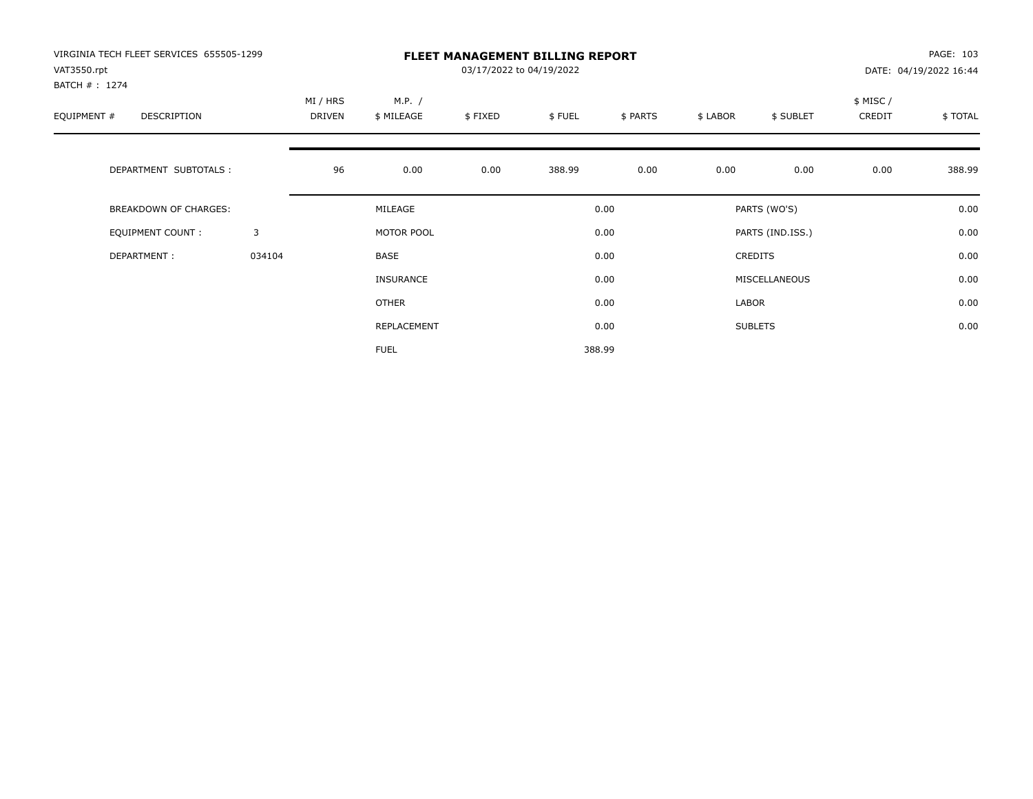| VIRGINIA TECH FLEET SERVICES 655505-1299<br>VAT3550.rpt<br>BATCH #: 1274 |        | <b>FLEET MANAGEMENT BILLING REPORT</b><br>03/17/2022 to 04/19/2022 |                      |         |        |          |          |                  |                     | PAGE: 103<br>DATE: 04/19/2022 16:44 |  |
|--------------------------------------------------------------------------|--------|--------------------------------------------------------------------|----------------------|---------|--------|----------|----------|------------------|---------------------|-------------------------------------|--|
| EQUIPMENT #<br><b>DESCRIPTION</b>                                        |        | MI / HRS<br><b>DRIVEN</b>                                          | M.P. /<br>\$ MILEAGE | \$FIXED | \$FUEL | \$ PARTS | \$ LABOR | \$ SUBLET        | \$ MISC /<br>CREDIT | \$TOTAL                             |  |
| DEPARTMENT SUBTOTALS :                                                   |        | 96                                                                 | 0.00                 | 0.00    | 388.99 | 0.00     | 0.00     | 0.00             | 0.00                | 388.99                              |  |
| <b>BREAKDOWN OF CHARGES:</b>                                             |        |                                                                    | MILEAGE              |         |        | 0.00     |          | PARTS (WO'S)     |                     | 0.00                                |  |
| EQUIPMENT COUNT:                                                         | 3      |                                                                    | MOTOR POOL           |         |        | 0.00     |          | PARTS (IND.ISS.) |                     | 0.00                                |  |
| DEPARTMENT:                                                              | 034104 |                                                                    | <b>BASE</b>          |         |        | 0.00     |          | <b>CREDITS</b>   |                     | 0.00                                |  |
|                                                                          |        |                                                                    | INSURANCE            |         |        | 0.00     |          | MISCELLANEOUS    |                     | 0.00                                |  |
|                                                                          |        |                                                                    | OTHER                |         |        | 0.00     | LABOR    |                  |                     | 0.00                                |  |
|                                                                          |        |                                                                    | REPLACEMENT          |         |        | 0.00     |          | <b>SUBLETS</b>   |                     | 0.00                                |  |
|                                                                          |        |                                                                    | <b>FUEL</b>          |         |        | 388.99   |          |                  |                     |                                     |  |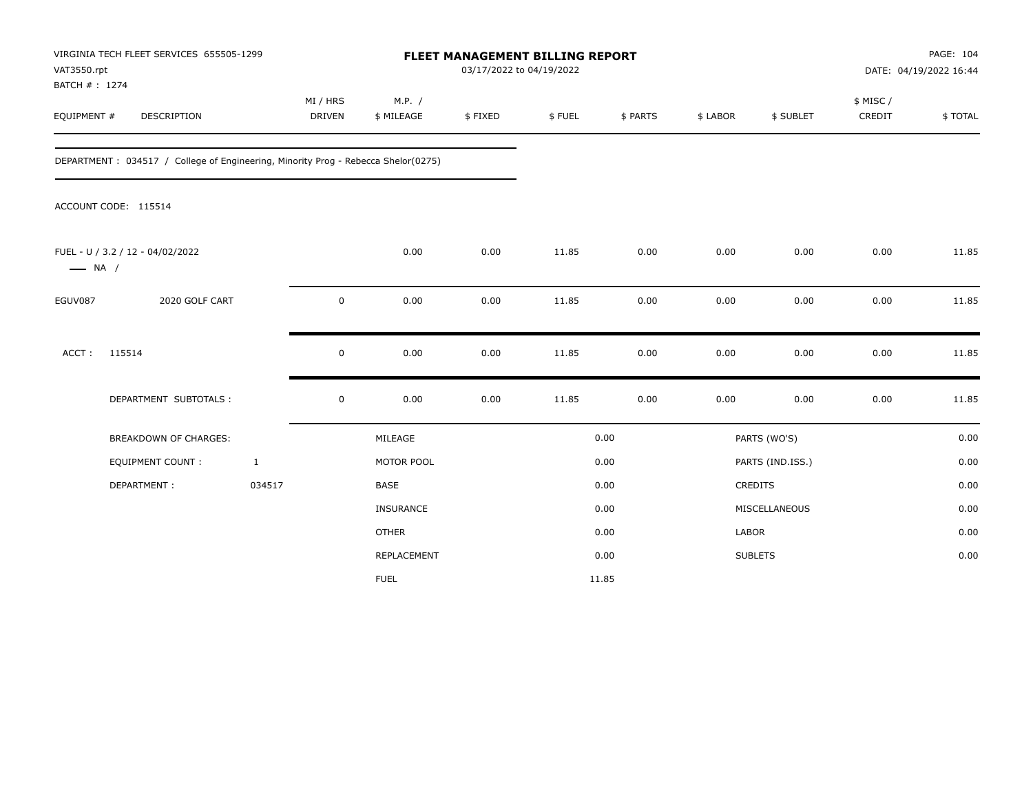| VAT3550.rpt                  | VIRGINIA TECH FLEET SERVICES 655505-1299                                          |               | FLEET MANAGEMENT BILLING REPORT<br>03/17/2022 to 04/19/2022<br>MI / HRS |                      |         |        |          |              |                  |                     | PAGE: 104<br>DATE: 04/19/2022 16:44 |
|------------------------------|-----------------------------------------------------------------------------------|---------------|-------------------------------------------------------------------------|----------------------|---------|--------|----------|--------------|------------------|---------------------|-------------------------------------|
| BATCH #: 1274<br>EQUIPMENT # | DESCRIPTION                                                                       | <b>DRIVEN</b> |                                                                         | M.P. /<br>\$ MILEAGE | \$FIXED | \$FUEL | \$ PARTS | \$ LABOR     | \$ SUBLET        | \$ MISC /<br>CREDIT | \$TOTAL                             |
|                              | DEPARTMENT: 034517 / College of Engineering, Minority Prog - Rebecca Shelor(0275) |               |                                                                         |                      |         |        |          |              |                  |                     |                                     |
|                              | ACCOUNT CODE: 115514                                                              |               |                                                                         |                      |         |        |          |              |                  |                     |                                     |
| $\longrightarrow$ NA /       | FUEL - U / 3.2 / 12 - 04/02/2022                                                  |               |                                                                         | 0.00                 | 0.00    | 11.85  | 0.00     | 0.00         | 0.00             | 0.00                | 11.85                               |
| EGUV087                      | 2020 GOLF CART                                                                    |               | 0                                                                       | 0.00                 | 0.00    | 11.85  | 0.00     | 0.00         | 0.00             | 0.00                | 11.85                               |
| ACCT:                        | 115514                                                                            |               | 0                                                                       | 0.00                 | 0.00    | 11.85  | 0.00     | 0.00         | 0.00             | 0.00                | 11.85                               |
|                              | DEPARTMENT SUBTOTALS :                                                            |               | $\mathsf 0$                                                             | 0.00                 | 0.00    | 11.85  | 0.00     | 0.00         | 0.00             | 0.00                | 11.85                               |
|                              | <b>BREAKDOWN OF CHARGES:</b>                                                      |               |                                                                         | MILEAGE              |         |        | 0.00     |              | PARTS (WO'S)     |                     | 0.00                                |
|                              | EQUIPMENT COUNT:                                                                  | $\mathbf{1}$  |                                                                         | MOTOR POOL           |         |        | 0.00     |              | PARTS (IND.ISS.) |                     | 0.00                                |
|                              | DEPARTMENT:                                                                       | 034517        |                                                                         | BASE                 |         |        | 0.00     |              | CREDITS          |                     | 0.00                                |
|                              |                                                                                   |               |                                                                         | INSURANCE            |         |        | 0.00     |              | MISCELLANEOUS    |                     | 0.00                                |
|                              |                                                                                   |               |                                                                         | <b>OTHER</b>         |         |        | 0.00     | <b>LABOR</b> |                  |                     | 0.00                                |
|                              |                                                                                   |               |                                                                         | REPLACEMENT          |         |        | 0.00     |              | <b>SUBLETS</b>   |                     | 0.00                                |
|                              |                                                                                   |               |                                                                         | <b>FUEL</b>          |         |        | 11.85    |              |                  |                     |                                     |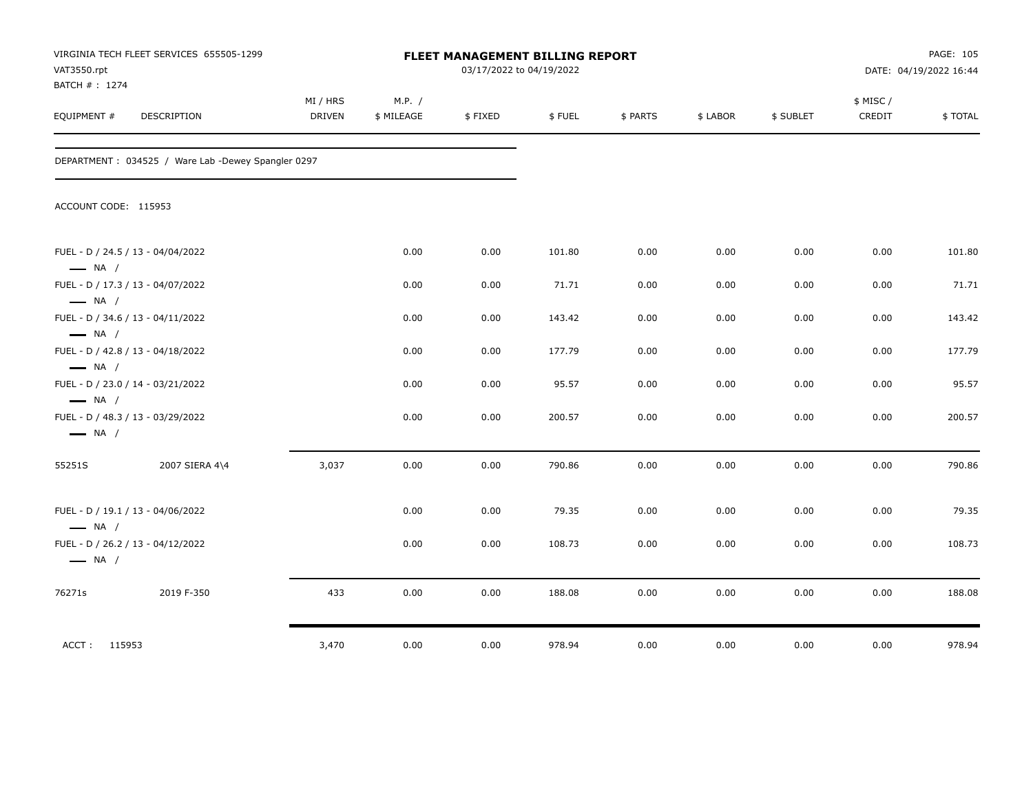| VAT3550.rpt<br>BATCH # : 1274 | VIRGINIA TECH FLEET SERVICES 655505-1299           |                    |                      | FLEET MANAGEMENT BILLING REPORT<br>03/17/2022 to 04/19/2022 |        |          |          |           |                     | PAGE: 105<br>DATE: 04/19/2022 16:44 |
|-------------------------------|----------------------------------------------------|--------------------|----------------------|-------------------------------------------------------------|--------|----------|----------|-----------|---------------------|-------------------------------------|
| EQUIPMENT #                   | DESCRIPTION                                        | MI / HRS<br>DRIVEN | M.P. /<br>\$ MILEAGE | \$FIXED                                                     | \$FUEL | \$ PARTS | \$ LABOR | \$ SUBLET | \$ MISC /<br>CREDIT | \$TOTAL                             |
|                               | DEPARTMENT: 034525 / Ware Lab -Dewey Spangler 0297 |                    |                      |                                                             |        |          |          |           |                     |                                     |
| ACCOUNT CODE: 115953          |                                                    |                    |                      |                                                             |        |          |          |           |                     |                                     |
| $\longrightarrow$ NA /        | FUEL - D / 24.5 / 13 - 04/04/2022                  |                    | 0.00                 | 0.00                                                        | 101.80 | 0.00     | 0.00     | 0.00      | 0.00                | 101.80                              |
| $\longrightarrow$ NA /        | FUEL - D / 17.3 / 13 - 04/07/2022                  |                    | 0.00                 | 0.00                                                        | 71.71  | 0.00     | 0.00     | 0.00      | 0.00                | 71.71                               |
| $\longrightarrow$ NA /        | FUEL - D / 34.6 / 13 - 04/11/2022                  |                    | 0.00                 | 0.00                                                        | 143.42 | 0.00     | 0.00     | 0.00      | 0.00                | 143.42                              |
| $\longrightarrow$ NA /        | FUEL - D / 42.8 / 13 - 04/18/2022                  |                    | 0.00                 | 0.00                                                        | 177.79 | 0.00     | 0.00     | 0.00      | 0.00                | 177.79                              |
| $\longrightarrow$ NA /        | FUEL - D / 23.0 / 14 - 03/21/2022                  |                    | 0.00                 | 0.00                                                        | 95.57  | 0.00     | 0.00     | 0.00      | 0.00                | 95.57                               |
| $\longrightarrow$ NA /        | FUEL - D / 48.3 / 13 - 03/29/2022                  |                    | 0.00                 | 0.00                                                        | 200.57 | 0.00     | 0.00     | 0.00      | 0.00                | 200.57                              |
| 55251S                        | 2007 SIERA 4\4                                     | 3,037              | 0.00                 | 0.00                                                        | 790.86 | 0.00     | 0.00     | 0.00      | 0.00                | 790.86                              |
| $\longrightarrow$ NA /        | FUEL - D / 19.1 / 13 - 04/06/2022                  |                    | 0.00                 | 0.00                                                        | 79.35  | 0.00     | 0.00     | 0.00      | 0.00                | 79.35                               |
| $\longrightarrow$ NA /        | FUEL - D / 26.2 / 13 - 04/12/2022                  |                    | 0.00                 | 0.00                                                        | 108.73 | 0.00     | 0.00     | 0.00      | 0.00                | 108.73                              |
| 76271s                        | 2019 F-350                                         | 433                | 0.00                 | 0.00                                                        | 188.08 | 0.00     | 0.00     | 0.00      | 0.00                | 188.08                              |
| ACCT: 115953                  |                                                    | 3,470              | 0.00                 | 0.00                                                        | 978.94 | 0.00     | 0.00     | 0.00      | 0.00                | 978.94                              |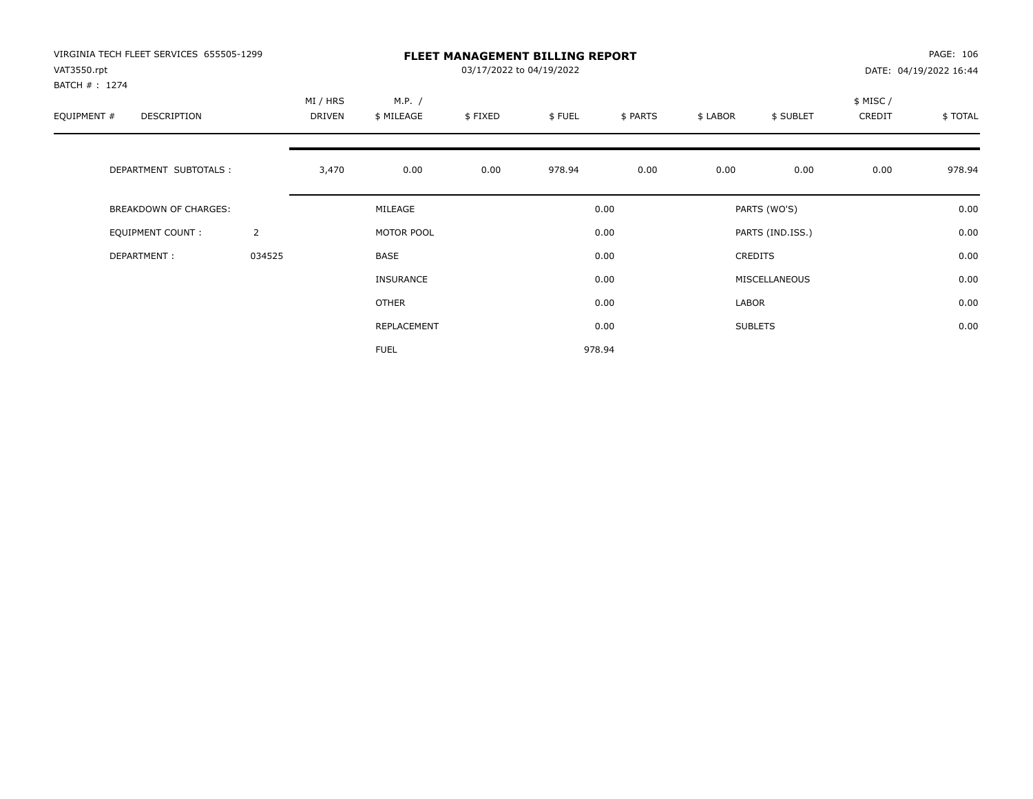| VIRGINIA TECH FLEET SERVICES 655505-1299<br>VAT3550.rpt<br>BATCH #: 1274 |                |                    |                      | PAGE: 106<br>DATE: 04/19/2022 16:44 |        |          |          |                  |                    |          |
|--------------------------------------------------------------------------|----------------|--------------------|----------------------|-------------------------------------|--------|----------|----------|------------------|--------------------|----------|
| EQUIPMENT #<br>DESCRIPTION                                               |                | MI / HRS<br>DRIVEN | M.P. /<br>\$ MILEAGE | \$FIXED                             | \$FUEL | \$ PARTS | \$ LABOR | \$ SUBLET        | \$ MISC/<br>CREDIT | \$ TOTAL |
| DEPARTMENT SUBTOTALS :                                                   |                | 3,470              | 0.00                 | 0.00                                | 978.94 | 0.00     | 0.00     | 0.00             | 0.00               | 978.94   |
| BREAKDOWN OF CHARGES:                                                    |                |                    | MILEAGE              |                                     |        | 0.00     |          | PARTS (WO'S)     |                    | 0.00     |
| <b>EQUIPMENT COUNT:</b>                                                  | $\overline{2}$ |                    | MOTOR POOL           |                                     |        | 0.00     |          | PARTS (IND.ISS.) |                    | 0.00     |
| DEPARTMENT:                                                              | 034525         |                    | <b>BASE</b>          |                                     |        | 0.00     |          | <b>CREDITS</b>   |                    | 0.00     |
|                                                                          |                |                    | <b>INSURANCE</b>     |                                     |        | 0.00     |          | MISCELLANEOUS    |                    | 0.00     |
|                                                                          |                |                    | OTHER                |                                     |        | 0.00     | LABOR    |                  |                    | 0.00     |
|                                                                          |                |                    | REPLACEMENT          |                                     |        | 0.00     |          | <b>SUBLETS</b>   |                    | 0.00     |
|                                                                          |                |                    | <b>FUEL</b>          |                                     |        | 978.94   |          |                  |                    |          |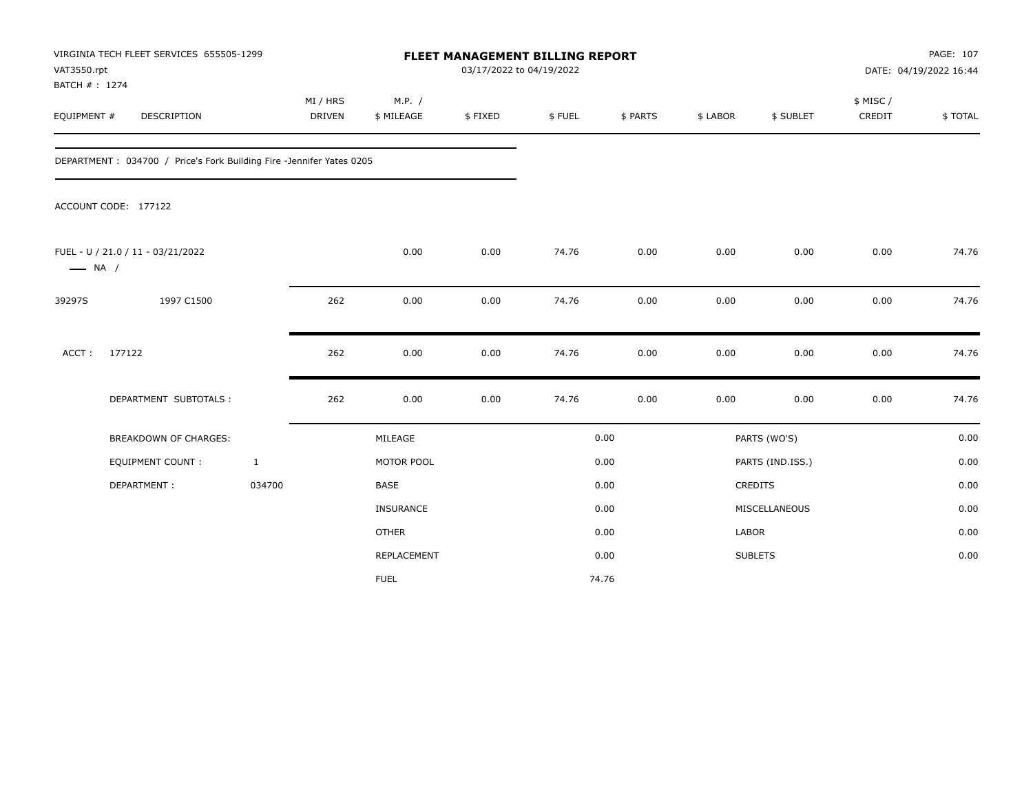| VAT3550.rpt<br>BATCH #: 1274 | VIRGINIA TECH FLEET SERVICES 655505-1299                             |                           |                      | FLEET MANAGEMENT BILLING REPORT<br>03/17/2022 to 04/19/2022 |        |          |          |                  |                     | PAGE: 107<br>DATE: 04/19/2022 16:44 |
|------------------------------|----------------------------------------------------------------------|---------------------------|----------------------|-------------------------------------------------------------|--------|----------|----------|------------------|---------------------|-------------------------------------|
| EQUIPMENT #                  | DESCRIPTION                                                          | MI / HRS<br><b>DRIVEN</b> | M.P. /<br>\$ MILEAGE | \$FIXED                                                     | \$FUEL | \$ PARTS | \$ LABOR | \$ SUBLET        | \$ MISC /<br>CREDIT | \$TOTAL                             |
|                              | DEPARTMENT: 034700 / Price's Fork Building Fire -Jennifer Yates 0205 |                           |                      |                                                             |        |          |          |                  |                     |                                     |
|                              | ACCOUNT CODE: 177122                                                 |                           |                      |                                                             |        |          |          |                  |                     |                                     |
| $\longrightarrow$ NA /       | FUEL - U / 21.0 / 11 - 03/21/2022                                    |                           | 0.00                 | 0.00                                                        | 74.76  | 0.00     | 0.00     | 0.00             | 0.00                | 74.76                               |
| 39297S                       | 1997 C1500                                                           | 262                       | 0.00                 | 0.00                                                        | 74.76  | 0.00     | 0.00     | 0.00             | 0.00                | 74.76                               |
| ACCT:                        | 177122                                                               | 262                       | 0.00                 | 0.00                                                        | 74.76  | 0.00     | 0.00     | 0.00             | 0.00                | 74.76                               |
|                              | DEPARTMENT SUBTOTALS :                                               | 262                       | 0.00                 | 0.00                                                        | 74.76  | 0.00     | 0.00     | 0.00             | 0.00                | 74.76                               |
|                              | <b>BREAKDOWN OF CHARGES:</b>                                         |                           | MILEAGE              |                                                             |        | 0.00     |          | PARTS (WO'S)     |                     | 0.00                                |
|                              | EQUIPMENT COUNT:                                                     | $\mathbf{1}$              | MOTOR POOL           |                                                             |        | 0.00     |          | PARTS (IND.ISS.) |                     | 0.00                                |
|                              | DEPARTMENT:                                                          | 034700                    | <b>BASE</b>          |                                                             |        | 0.00     |          | CREDITS          |                     | 0.00                                |
|                              |                                                                      |                           | INSURANCE            |                                                             |        | 0.00     |          | MISCELLANEOUS    |                     | 0.00                                |
|                              |                                                                      |                           | <b>OTHER</b>         |                                                             |        | 0.00     | LABOR    |                  |                     | 0.00                                |
|                              |                                                                      |                           | REPLACEMENT          |                                                             |        | 0.00     |          | <b>SUBLETS</b>   |                     | 0.00                                |
|                              |                                                                      |                           | <b>FUEL</b>          |                                                             |        | 74.76    |          |                  |                     |                                     |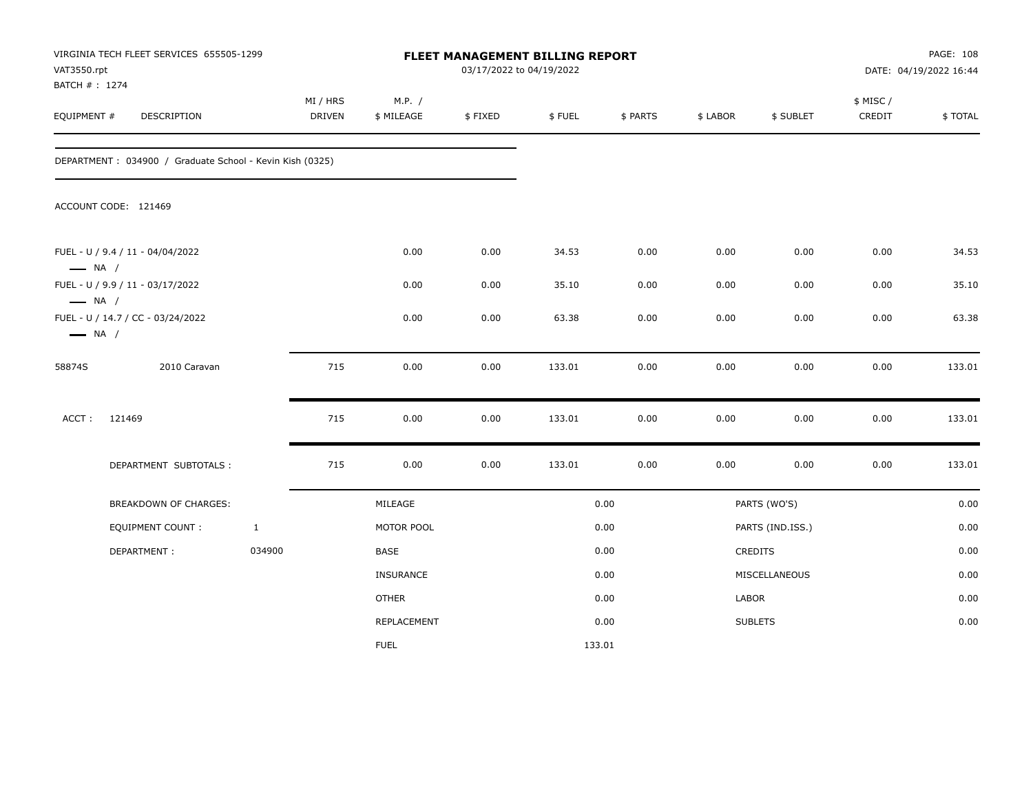| VAT3550.rpt<br>BATCH #: 1274 | VIRGINIA TECH FLEET SERVICES 655505-1299                 |              |                           |                      | FLEET MANAGEMENT BILLING REPORT<br>03/17/2022 to 04/19/2022 |        |          |          |                  |                     | PAGE: 108<br>DATE: 04/19/2022 16:44 |
|------------------------------|----------------------------------------------------------|--------------|---------------------------|----------------------|-------------------------------------------------------------|--------|----------|----------|------------------|---------------------|-------------------------------------|
| EQUIPMENT #                  | DESCRIPTION                                              |              | MI / HRS<br><b>DRIVEN</b> | M.P. /<br>\$ MILEAGE | \$FIXED                                                     | \$FUEL | \$ PARTS | \$ LABOR | \$ SUBLET        | \$ MISC /<br>CREDIT | \$TOTAL                             |
|                              |                                                          |              |                           |                      |                                                             |        |          |          |                  |                     |                                     |
|                              | DEPARTMENT: 034900 / Graduate School - Kevin Kish (0325) |              |                           |                      |                                                             |        |          |          |                  |                     |                                     |
|                              | ACCOUNT CODE: 121469                                     |              |                           |                      |                                                             |        |          |          |                  |                     |                                     |
| $\longrightarrow$ NA /       | FUEL - U / 9.4 / 11 - 04/04/2022                         |              |                           | 0.00                 | 0.00                                                        | 34.53  | 0.00     | 0.00     | 0.00             | 0.00                | 34.53                               |
| $\longrightarrow$ NA /       | FUEL - U / 9.9 / 11 - 03/17/2022                         |              |                           | 0.00                 | 0.00                                                        | 35.10  | 0.00     | 0.00     | 0.00             | 0.00                | 35.10                               |
| $\longrightarrow$ NA /       | FUEL - U / 14.7 / CC - 03/24/2022                        |              |                           | 0.00                 | 0.00                                                        | 63.38  | 0.00     | 0.00     | 0.00             | 0.00                | 63.38                               |
| 58874S                       | 2010 Caravan                                             |              | 715                       | 0.00                 | 0.00                                                        | 133.01 | 0.00     | 0.00     | 0.00             | 0.00                | 133.01                              |
| ACCT:                        | 121469                                                   |              | 715                       | 0.00                 | 0.00                                                        | 133.01 | 0.00     | 0.00     | 0.00             | 0.00                | 133.01                              |
|                              | DEPARTMENT SUBTOTALS :                                   |              | 715                       | 0.00                 | 0.00                                                        | 133.01 | 0.00     | 0.00     | 0.00             | 0.00                | 133.01                              |
|                              | BREAKDOWN OF CHARGES:                                    |              |                           | MILEAGE              |                                                             |        | 0.00     |          | PARTS (WO'S)     |                     | 0.00                                |
|                              | <b>EQUIPMENT COUNT:</b>                                  | $\mathbf{1}$ |                           | MOTOR POOL           |                                                             |        | 0.00     |          | PARTS (IND.ISS.) |                     | 0.00                                |
|                              | DEPARTMENT:                                              | 034900       |                           | BASE                 |                                                             |        | 0.00     |          | <b>CREDITS</b>   |                     | 0.00                                |
|                              |                                                          |              |                           | INSURANCE            |                                                             |        | 0.00     |          | MISCELLANEOUS    |                     | 0.00                                |
|                              |                                                          |              |                           | <b>OTHER</b>         |                                                             |        | 0.00     | LABOR    |                  |                     | 0.00                                |
|                              |                                                          |              |                           | REPLACEMENT          |                                                             |        | 0.00     |          | <b>SUBLETS</b>   |                     | 0.00                                |
|                              |                                                          |              |                           | <b>FUEL</b>          |                                                             |        | 133.01   |          |                  |                     |                                     |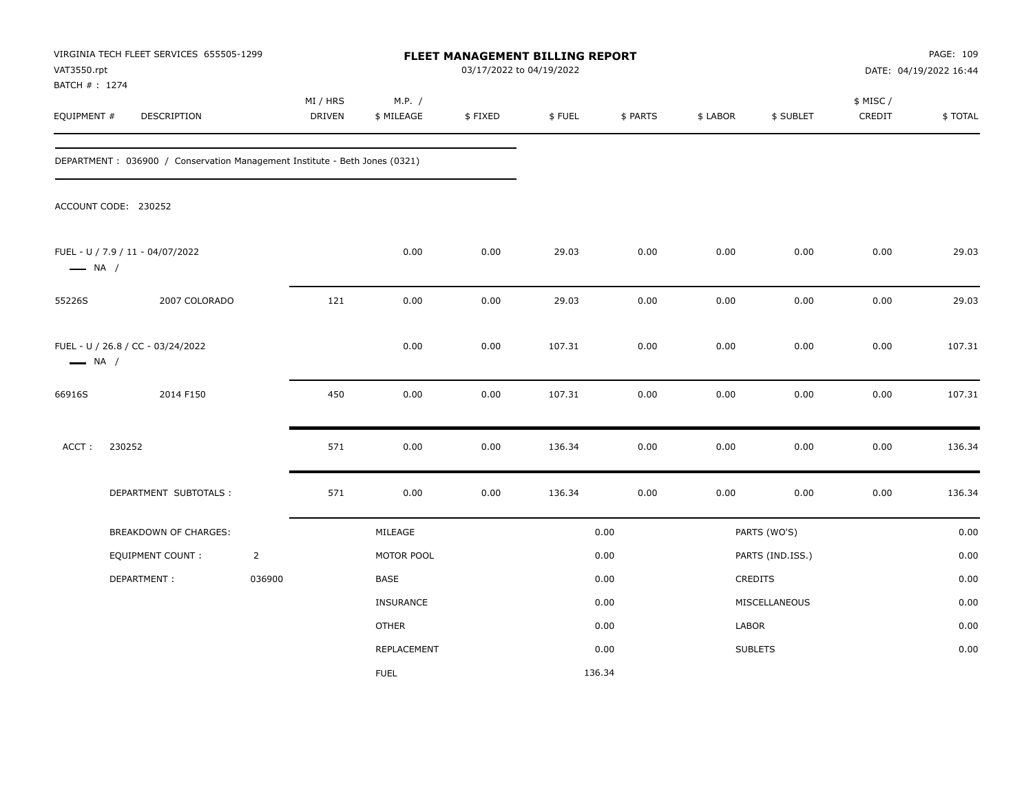| VAT3550.rpt<br>BATCH # : 1274 | VIRGINIA TECH FLEET SERVICES 655505-1299                                    |                |                    |                      | 03/17/2022 to 04/19/2022 | FLEET MANAGEMENT BILLING REPORT |          |          |                  |                     | PAGE: 109<br>DATE: 04/19/2022 16:44 |
|-------------------------------|-----------------------------------------------------------------------------|----------------|--------------------|----------------------|--------------------------|---------------------------------|----------|----------|------------------|---------------------|-------------------------------------|
| EQUIPMENT #                   | DESCRIPTION                                                                 |                | MI / HRS<br>DRIVEN | M.P. /<br>\$ MILEAGE | \$FIXED                  | \$FUEL                          | \$ PARTS | \$ LABOR | \$ SUBLET        | \$ MISC /<br>CREDIT | \$TOTAL                             |
|                               | DEPARTMENT : 036900 / Conservation Management Institute - Beth Jones (0321) |                |                    |                      |                          |                                 |          |          |                  |                     |                                     |
|                               | ACCOUNT CODE: 230252                                                        |                |                    |                      |                          |                                 |          |          |                  |                     |                                     |
| $\longrightarrow$ NA /        | FUEL - U / 7.9 / 11 - 04/07/2022                                            |                |                    | 0.00                 | 0.00                     | 29.03                           | 0.00     | 0.00     | 0.00             | 0.00                | 29.03                               |
| 55226S                        | 2007 COLORADO                                                               |                | 121                | 0.00                 | 0.00                     | 29.03                           | 0.00     | 0.00     | 0.00             | 0.00                | 29.03                               |
| $\longrightarrow$ NA /        | FUEL - U / 26.8 / CC - 03/24/2022                                           |                |                    | 0.00                 | 0.00                     | 107.31                          | 0.00     | 0.00     | 0.00             | 0.00                | 107.31                              |
| 66916S                        | 2014 F150                                                                   |                | 450                | 0.00                 | $0.00\,$                 | 107.31                          | 0.00     | 0.00     | 0.00             | 0.00                | 107.31                              |
| ACCT:                         | 230252                                                                      |                | 571                | 0.00                 | 0.00                     | 136.34                          | 0.00     | 0.00     | 0.00             | 0.00                | 136.34                              |
|                               | DEPARTMENT SUBTOTALS :                                                      |                | 571                | 0.00                 | 0.00                     | 136.34                          | 0.00     | 0.00     | 0.00             | 0.00                | 136.34                              |
|                               | BREAKDOWN OF CHARGES:                                                       |                |                    | MILEAGE              |                          |                                 | 0.00     |          | PARTS (WO'S)     |                     | 0.00                                |
|                               | <b>EQUIPMENT COUNT:</b>                                                     | $\overline{2}$ |                    | MOTOR POOL           |                          |                                 | 0.00     |          | PARTS (IND.ISS.) |                     | 0.00                                |
|                               | DEPARTMENT:                                                                 | 036900         |                    | BASE                 |                          |                                 | 0.00     |          | CREDITS          |                     | 0.00                                |
|                               |                                                                             |                |                    | INSURANCE            |                          |                                 | 0.00     |          | MISCELLANEOUS    |                     | 0.00                                |
|                               |                                                                             |                |                    | <b>OTHER</b>         |                          |                                 | 0.00     | LABOR    |                  |                     | 0.00                                |
|                               |                                                                             |                |                    | <b>REPLACEMENT</b>   |                          |                                 | 0.00     |          | <b>SUBLETS</b>   |                     | 0.00                                |
|                               |                                                                             |                |                    | <b>FUEL</b>          |                          | 136.34                          |          |          |                  |                     |                                     |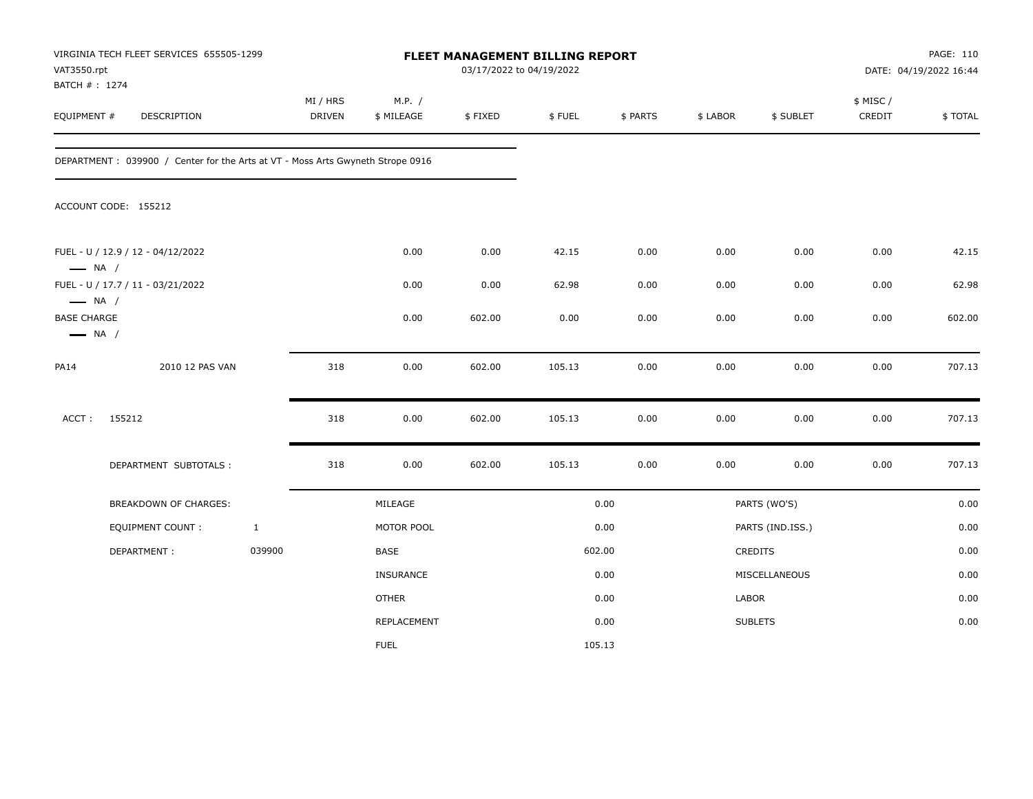| VAT3550.rpt<br>BATCH #: 1274                                           | VIRGINIA TECH FLEET SERVICES 655505-1299                                        |              |                    |                      | FLEET MANAGEMENT BILLING REPORT<br>03/17/2022 to 04/19/2022 |        |          |          |                  |                     | PAGE: 110<br>DATE: 04/19/2022 16:44 |
|------------------------------------------------------------------------|---------------------------------------------------------------------------------|--------------|--------------------|----------------------|-------------------------------------------------------------|--------|----------|----------|------------------|---------------------|-------------------------------------|
| EQUIPMENT #                                                            | DESCRIPTION                                                                     |              | MI / HRS<br>DRIVEN | M.P. /<br>\$ MILEAGE | \$FIXED                                                     | \$FUEL | \$ PARTS | \$ LABOR | \$ SUBLET        | \$ MISC /<br>CREDIT | \$TOTAL                             |
|                                                                        | DEPARTMENT : 039900 / Center for the Arts at VT - Moss Arts Gwyneth Strope 0916 |              |                    |                      |                                                             |        |          |          |                  |                     |                                     |
|                                                                        | ACCOUNT CODE: 155212                                                            |              |                    |                      |                                                             |        |          |          |                  |                     |                                     |
| $\longrightarrow$ NA /                                                 | FUEL - U / 12.9 / 12 - 04/12/2022                                               |              |                    | 0.00                 | 0.00                                                        | 42.15  | 0.00     | 0.00     | 0.00             | 0.00                | 42.15                               |
|                                                                        | FUEL - U / 17.7 / 11 - 03/21/2022                                               |              |                    | 0.00                 | 0.00                                                        | 62.98  | 0.00     | 0.00     | 0.00             | 0.00                | 62.98                               |
| $\longrightarrow$ NA /<br><b>BASE CHARGE</b><br>$\longrightarrow$ NA / |                                                                                 |              |                    | 0.00                 | 602.00                                                      | 0.00   | 0.00     | 0.00     | 0.00             | 0.00                | 602.00                              |
| <b>PA14</b>                                                            | 2010 12 PAS VAN                                                                 |              | 318                | 0.00                 | 602.00                                                      | 105.13 | 0.00     | 0.00     | 0.00             | 0.00                | 707.13                              |
| ACCT:                                                                  | 155212                                                                          |              | 318                | 0.00                 | 602.00                                                      | 105.13 | 0.00     | 0.00     | 0.00             | 0.00                | 707.13                              |
|                                                                        | DEPARTMENT SUBTOTALS :                                                          |              | 318                | 0.00                 | 602.00                                                      | 105.13 | 0.00     | 0.00     | 0.00             | 0.00                | 707.13                              |
|                                                                        | BREAKDOWN OF CHARGES:                                                           |              |                    | MILEAGE              |                                                             |        | 0.00     |          | PARTS (WO'S)     |                     | 0.00                                |
|                                                                        | EQUIPMENT COUNT:                                                                | $\mathbf{1}$ |                    | MOTOR POOL           |                                                             |        | 0.00     |          | PARTS (IND.ISS.) |                     | 0.00                                |
|                                                                        | DEPARTMENT:                                                                     | 039900       |                    | <b>BASE</b>          |                                                             |        | 602.00   |          | CREDITS          |                     | 0.00                                |
|                                                                        |                                                                                 |              |                    | <b>INSURANCE</b>     |                                                             |        | 0.00     |          | MISCELLANEOUS    |                     | 0.00                                |
|                                                                        |                                                                                 |              |                    | <b>OTHER</b>         |                                                             |        | 0.00     | LABOR    |                  |                     | 0.00                                |
|                                                                        |                                                                                 |              |                    | REPLACEMENT          |                                                             |        | 0.00     |          | <b>SUBLETS</b>   |                     | 0.00                                |
|                                                                        |                                                                                 |              |                    | <b>FUEL</b>          |                                                             | 105.13 |          |          |                  |                     |                                     |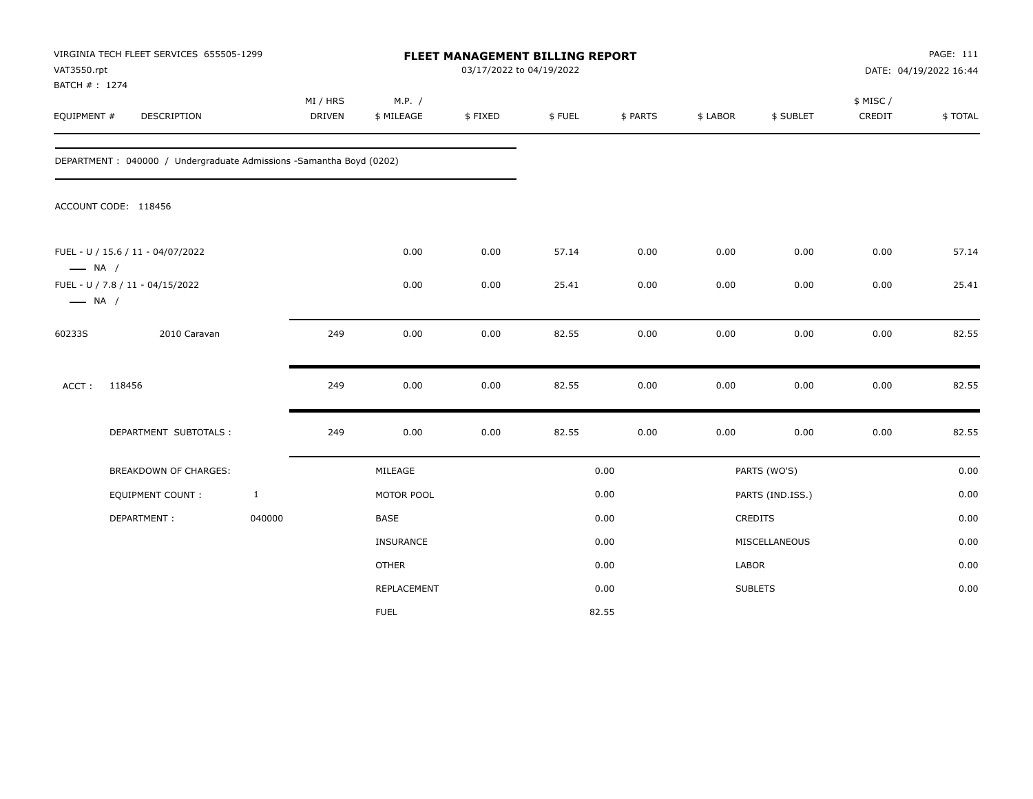| VAT3550.rpt<br>BATCH #: 1274 | VIRGINIA TECH FLEET SERVICES 655505-1299                              |              |                    |                      | FLEET MANAGEMENT BILLING REPORT<br>03/17/2022 to 04/19/2022 |        |          |          |                  |                    | PAGE: 111<br>DATE: 04/19/2022 16:44 |
|------------------------------|-----------------------------------------------------------------------|--------------|--------------------|----------------------|-------------------------------------------------------------|--------|----------|----------|------------------|--------------------|-------------------------------------|
| EQUIPMENT #                  | DESCRIPTION                                                           |              | MI / HRS<br>DRIVEN | M.P. /<br>\$ MILEAGE | \$FIXED                                                     | \$FUEL | \$ PARTS | \$ LABOR | \$ SUBLET        | \$ MISC/<br>CREDIT | \$TOTAL                             |
|                              | DEPARTMENT : 040000 / Undergraduate Admissions - Samantha Boyd (0202) |              |                    |                      |                                                             |        |          |          |                  |                    |                                     |
|                              | ACCOUNT CODE: 118456                                                  |              |                    |                      |                                                             |        |          |          |                  |                    |                                     |
| $\longrightarrow$ NA /       | FUEL - U / 15.6 / 11 - 04/07/2022                                     |              |                    | 0.00                 | 0.00                                                        | 57.14  | 0.00     | 0.00     | 0.00             | 0.00               | 57.14                               |
| $\longrightarrow$ NA /       | FUEL - U / 7.8 / 11 - 04/15/2022                                      |              |                    | 0.00                 | 0.00                                                        | 25.41  | 0.00     | 0.00     | 0.00             | 0.00               | 25.41                               |
| 60233S                       | 2010 Caravan                                                          |              | 249                | 0.00                 | 0.00                                                        | 82.55  | 0.00     | 0.00     | 0.00             | 0.00               | 82.55                               |
| ACCT:                        | 118456                                                                |              | 249                | 0.00                 | 0.00                                                        | 82.55  | 0.00     | 0.00     | 0.00             | 0.00               | 82.55                               |
|                              | DEPARTMENT SUBTOTALS :                                                |              | 249                | 0.00                 | 0.00                                                        | 82.55  | 0.00     | 0.00     | 0.00             | 0.00               | 82.55                               |
|                              | <b>BREAKDOWN OF CHARGES:</b>                                          |              |                    | MILEAGE              |                                                             |        | 0.00     |          | PARTS (WO'S)     |                    | 0.00                                |
|                              | EQUIPMENT COUNT :                                                     | $\mathbf{1}$ |                    | MOTOR POOL           |                                                             |        | 0.00     |          | PARTS (IND.ISS.) |                    | 0.00                                |
|                              | DEPARTMENT:                                                           | 040000       |                    | BASE                 |                                                             |        | 0.00     |          | CREDITS          |                    | 0.00                                |
|                              |                                                                       |              |                    | INSURANCE            |                                                             |        | 0.00     |          | MISCELLANEOUS    |                    | 0.00                                |
|                              |                                                                       |              |                    | <b>OTHER</b>         |                                                             |        | 0.00     | LABOR    |                  |                    | 0.00                                |
|                              |                                                                       |              |                    | REPLACEMENT          |                                                             |        | 0.00     |          | <b>SUBLETS</b>   |                    | 0.00                                |
|                              |                                                                       |              |                    | <b>FUEL</b>          |                                                             |        | 82.55    |          |                  |                    |                                     |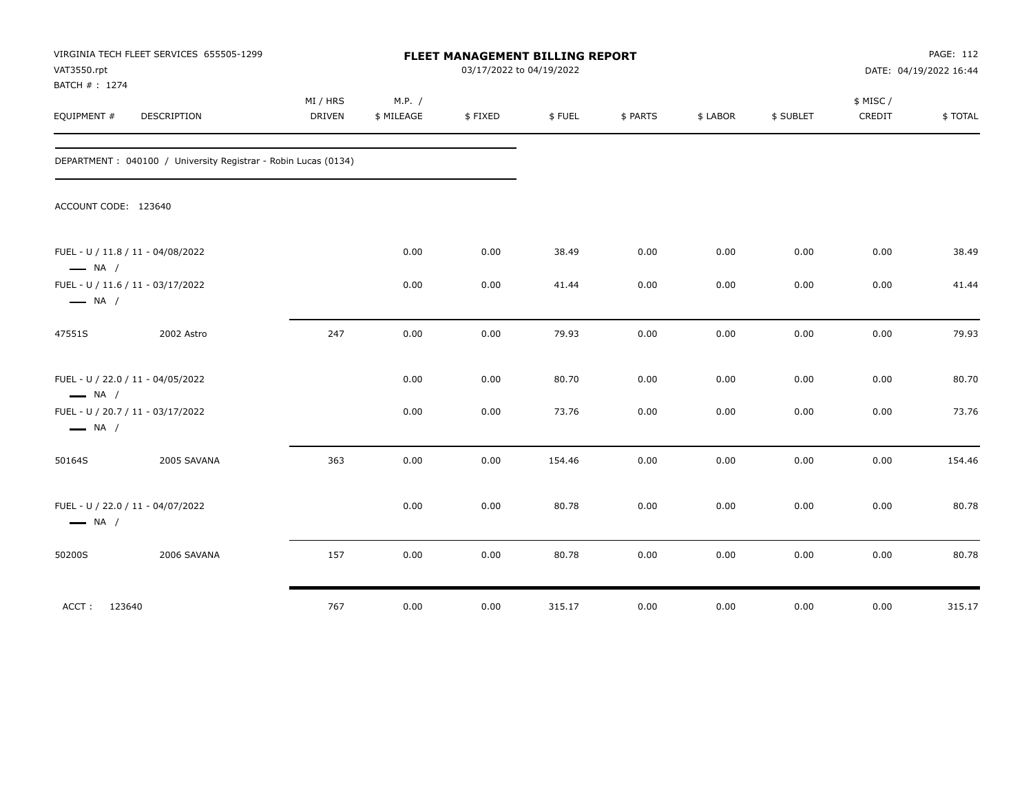| VAT3550.rpt<br>BATCH # : 1274 | VIRGINIA TECH FLEET SERVICES 655505-1299                        |                           |                      | FLEET MANAGEMENT BILLING REPORT | 03/17/2022 to 04/19/2022 |          |          |           |                    | PAGE: 112<br>DATE: 04/19/2022 16:44 |
|-------------------------------|-----------------------------------------------------------------|---------------------------|----------------------|---------------------------------|--------------------------|----------|----------|-----------|--------------------|-------------------------------------|
| EQUIPMENT #                   | <b>DESCRIPTION</b>                                              | MI / HRS<br><b>DRIVEN</b> | M.P. /<br>\$ MILEAGE | \$FIXED                         | \$ FUEL                  | \$ PARTS | \$ LABOR | \$ SUBLET | \$ MISC/<br>CREDIT | \$TOTAL                             |
|                               | DEPARTMENT : 040100 / University Registrar - Robin Lucas (0134) |                           |                      |                                 |                          |          |          |           |                    |                                     |
| ACCOUNT CODE: 123640          |                                                                 |                           |                      |                                 |                          |          |          |           |                    |                                     |
| $\longrightarrow$ NA /        | FUEL - U / 11.8 / 11 - 04/08/2022                               |                           | 0.00                 | 0.00                            | 38.49                    | 0.00     | 0.00     | 0.00      | 0.00               | 38.49                               |
| $\longrightarrow$ NA /        | FUEL - U / 11.6 / 11 - 03/17/2022                               |                           | 0.00                 | 0.00                            | 41.44                    | 0.00     | 0.00     | 0.00      | 0.00               | 41.44                               |
| 47551S                        | 2002 Astro                                                      | 247                       | 0.00                 | 0.00                            | 79.93                    | 0.00     | 0.00     | 0.00      | 0.00               | 79.93                               |
| $\longrightarrow$ NA /        | FUEL - U / 22.0 / 11 - 04/05/2022                               |                           | 0.00                 | 0.00                            | 80.70                    | 0.00     | 0.00     | 0.00      | 0.00               | 80.70                               |
| $\longrightarrow$ NA /        | FUEL - U / 20.7 / 11 - 03/17/2022                               |                           | 0.00                 | 0.00                            | 73.76                    | 0.00     | 0.00     | 0.00      | 0.00               | 73.76                               |
| 50164S                        | 2005 SAVANA                                                     | 363                       | 0.00                 | 0.00                            | 154.46                   | 0.00     | 0.00     | 0.00      | 0.00               | 154.46                              |
| $\longrightarrow$ NA /        | FUEL - U / 22.0 / 11 - 04/07/2022                               |                           | 0.00                 | 0.00                            | 80.78                    | 0.00     | 0.00     | 0.00      | 0.00               | 80.78                               |
| 50200S                        | 2006 SAVANA                                                     | 157                       | 0.00                 | 0.00                            | 80.78                    | 0.00     | 0.00     | 0.00      | 0.00               | 80.78                               |
| ACCT: 123640                  |                                                                 | 767                       | 0.00                 | 0.00                            | 315.17                   | 0.00     | 0.00     | 0.00      | 0.00               | 315.17                              |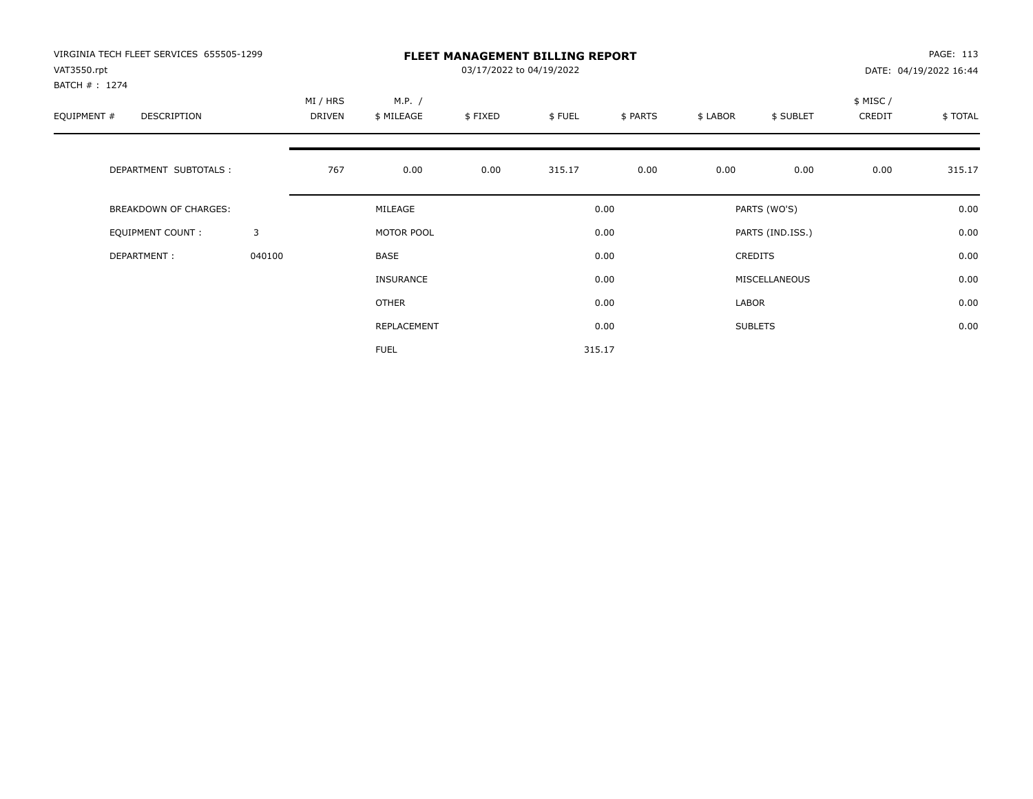| VIRGINIA TECH FLEET SERVICES 655505-1299<br>VAT3550.rpt<br>BATCH #: 1274 |        |                    | <b>FLEET MANAGEMENT BILLING REPORT</b><br>03/17/2022 to 04/19/2022<br>DATE: 04/19/2022 16:44 |         |        |          |          |                  |                     |         |
|--------------------------------------------------------------------------|--------|--------------------|----------------------------------------------------------------------------------------------|---------|--------|----------|----------|------------------|---------------------|---------|
| EQUIPMENT #<br><b>DESCRIPTION</b>                                        |        | MI / HRS<br>DRIVEN | M.P. /<br>\$ MILEAGE                                                                         | \$FIXED | \$FUEL | \$ PARTS | \$ LABOR | \$ SUBLET        | \$ MISC /<br>CREDIT | \$TOTAL |
| DEPARTMENT SUBTOTALS :                                                   |        | 767                | 0.00                                                                                         | 0.00    | 315.17 | 0.00     | 0.00     | 0.00             | 0.00                | 315.17  |
| <b>BREAKDOWN OF CHARGES:</b>                                             |        |                    | MILEAGE                                                                                      |         |        | 0.00     |          | PARTS (WO'S)     |                     | 0.00    |
| EQUIPMENT COUNT:                                                         | 3      |                    | MOTOR POOL                                                                                   |         |        | 0.00     |          | PARTS (IND.ISS.) |                     | 0.00    |
| DEPARTMENT:                                                              | 040100 |                    | <b>BASE</b>                                                                                  |         |        | 0.00     |          | <b>CREDITS</b>   |                     | 0.00    |
|                                                                          |        |                    | INSURANCE                                                                                    |         |        | 0.00     |          | MISCELLANEOUS    |                     | 0.00    |
|                                                                          |        |                    | OTHER                                                                                        |         |        | 0.00     | LABOR    |                  |                     | 0.00    |
|                                                                          |        |                    | REPLACEMENT                                                                                  |         |        | 0.00     |          | <b>SUBLETS</b>   |                     | 0.00    |
|                                                                          |        |                    | <b>FUEL</b>                                                                                  |         |        | 315.17   |          |                  |                     |         |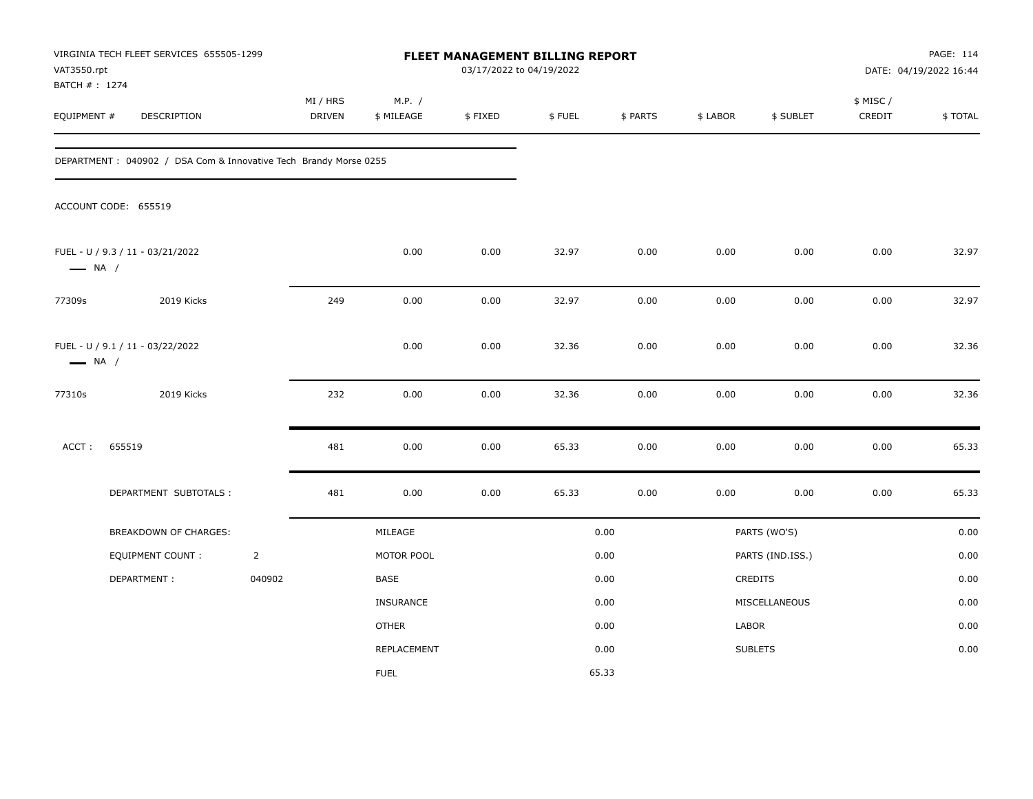| VAT3550.rpt<br>BATCH #: 1274 | VIRGINIA TECH FLEET SERVICES 655505-1299                          |                |                           |                      | FLEET MANAGEMENT BILLING REPORT<br>03/17/2022 to 04/19/2022 |        |          |          |                  |                     | PAGE: 114<br>DATE: 04/19/2022 16:44 |
|------------------------------|-------------------------------------------------------------------|----------------|---------------------------|----------------------|-------------------------------------------------------------|--------|----------|----------|------------------|---------------------|-------------------------------------|
| EQUIPMENT #                  | DESCRIPTION                                                       |                | MI / HRS<br><b>DRIVEN</b> | M.P. /<br>\$ MILEAGE | \$FIXED                                                     | \$FUEL | \$ PARTS | \$ LABOR | \$ SUBLET        | \$ MISC /<br>CREDIT | \$TOTAL                             |
|                              | DEPARTMENT : 040902 / DSA Com & Innovative Tech Brandy Morse 0255 |                |                           |                      |                                                             |        |          |          |                  |                     |                                     |
|                              | ACCOUNT CODE: 655519                                              |                |                           |                      |                                                             |        |          |          |                  |                     |                                     |
| $\longrightarrow$ NA /       | FUEL - U / 9.3 / 11 - 03/21/2022                                  |                |                           | 0.00                 | 0.00                                                        | 32.97  | 0.00     | 0.00     | 0.00             | 0.00                | 32.97                               |
| 77309s                       | 2019 Kicks                                                        |                | 249                       | 0.00                 | $0.00\,$                                                    | 32.97  | $0.00\,$ | 0.00     | 0.00             | 0.00                | 32.97                               |
| $\longrightarrow$ NA /       | FUEL - U / 9.1 / 11 - 03/22/2022                                  |                |                           | 0.00                 | 0.00                                                        | 32.36  | 0.00     | 0.00     | 0.00             | 0.00                | 32.36                               |
| 77310s                       | 2019 Kicks                                                        |                | 232                       | 0.00                 | 0.00                                                        | 32.36  | 0.00     | 0.00     | 0.00             | 0.00                | 32.36                               |
| ACCT:                        | 655519                                                            |                | 481                       | 0.00                 | 0.00                                                        | 65.33  | 0.00     | 0.00     | 0.00             | 0.00                | 65.33                               |
|                              | DEPARTMENT SUBTOTALS :                                            |                | 481                       | 0.00                 | 0.00                                                        | 65.33  | 0.00     | 0.00     | 0.00             | 0.00                | 65.33                               |
|                              | BREAKDOWN OF CHARGES:                                             |                |                           | MILEAGE              |                                                             |        | 0.00     |          | PARTS (WO'S)     |                     | 0.00                                |
|                              | <b>EQUIPMENT COUNT:</b>                                           | $\overline{2}$ |                           | MOTOR POOL           |                                                             |        | 0.00     |          | PARTS (IND.ISS.) |                     | 0.00                                |
|                              | DEPARTMENT:                                                       | 040902         |                           | BASE                 |                                                             |        | 0.00     |          | CREDITS          |                     | 0.00                                |
|                              |                                                                   |                |                           | <b>INSURANCE</b>     |                                                             |        | 0.00     |          | MISCELLANEOUS    |                     | 0.00                                |
|                              |                                                                   |                |                           | <b>OTHER</b>         |                                                             |        | 0.00     | LABOR    |                  |                     | 0.00                                |
|                              |                                                                   |                |                           | REPLACEMENT          |                                                             |        | 0.00     |          | <b>SUBLETS</b>   |                     | 0.00                                |
|                              |                                                                   |                |                           | <b>FUEL</b>          |                                                             |        | 65.33    |          |                  |                     |                                     |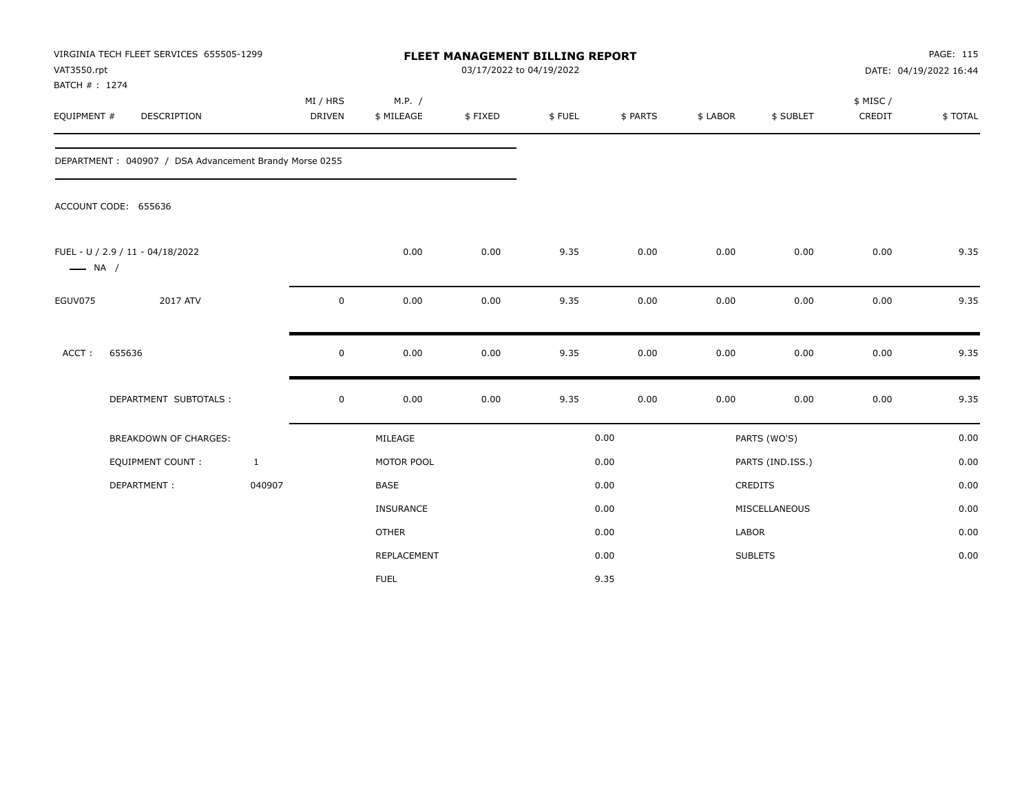| VAT3550.rpt<br>BATCH #: 1274 | VIRGINIA TECH FLEET SERVICES 655505-1299               |                           |                      | FLEET MANAGEMENT BILLING REPORT<br>03/17/2022 to 04/19/2022 |        |          |          |                  |                     | PAGE: 115<br>DATE: 04/19/2022 16:44 |
|------------------------------|--------------------------------------------------------|---------------------------|----------------------|-------------------------------------------------------------|--------|----------|----------|------------------|---------------------|-------------------------------------|
| EQUIPMENT #                  | DESCRIPTION                                            | MI / HRS<br><b>DRIVEN</b> | M.P. /<br>\$ MILEAGE | \$FIXED                                                     | \$FUEL | \$ PARTS | \$ LABOR | \$ SUBLET        | \$ MISC /<br>CREDIT | \$TOTAL                             |
|                              | DEPARTMENT: 040907 / DSA Advancement Brandy Morse 0255 |                           |                      |                                                             |        |          |          |                  |                     |                                     |
|                              | ACCOUNT CODE: 655636                                   |                           |                      |                                                             |        |          |          |                  |                     |                                     |
| $\longrightarrow$ NA /       | FUEL - U / 2.9 / 11 - 04/18/2022                       |                           | 0.00                 | 0.00                                                        | 9.35   | 0.00     | 0.00     | 0.00             | 0.00                | 9.35                                |
| EGUV075                      | 2017 ATV                                               | $\mathsf 0$               | 0.00                 | 0.00                                                        | 9.35   | 0.00     | 0.00     | 0.00             | 0.00                | 9.35                                |
| ACCT:                        | 655636                                                 | $\mathbf 0$               | 0.00                 | 0.00                                                        | 9.35   | 0.00     | 0.00     | 0.00             | 0.00                | 9.35                                |
|                              | DEPARTMENT SUBTOTALS :                                 | $\mathbf 0$               | 0.00                 | 0.00                                                        | 9.35   | 0.00     | 0.00     | 0.00             | 0.00                | 9.35                                |
|                              | <b>BREAKDOWN OF CHARGES:</b>                           |                           | MILEAGE              |                                                             |        | 0.00     |          | PARTS (WO'S)     |                     | 0.00                                |
|                              | <b>EQUIPMENT COUNT:</b>                                | $\mathbf{1}$              | MOTOR POOL           |                                                             |        | 0.00     |          | PARTS (IND.ISS.) |                     | 0.00                                |
|                              | DEPARTMENT:                                            | 040907                    | <b>BASE</b>          |                                                             |        | 0.00     |          | CREDITS          |                     | 0.00                                |
|                              |                                                        |                           | <b>INSURANCE</b>     |                                                             |        | 0.00     |          | MISCELLANEOUS    |                     | 0.00                                |
|                              |                                                        |                           | <b>OTHER</b>         |                                                             |        | 0.00     | LABOR    |                  |                     | 0.00                                |
|                              |                                                        |                           | REPLACEMENT          |                                                             |        | 0.00     |          | <b>SUBLETS</b>   |                     | 0.00                                |
|                              |                                                        |                           | <b>FUEL</b>          |                                                             |        | 9.35     |          |                  |                     |                                     |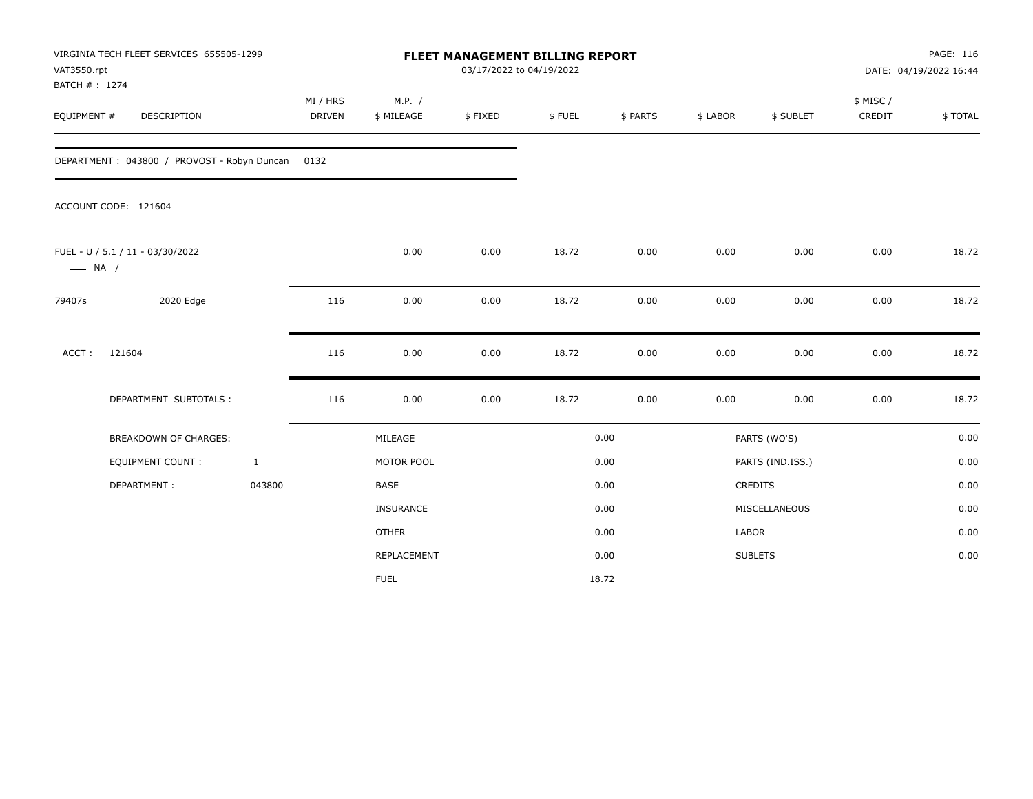| VAT3550.rpt<br>BATCH #: 1274 | VIRGINIA TECH FLEET SERVICES 655505-1299    |                    |                      | FLEET MANAGEMENT BILLING REPORT<br>03/17/2022 to 04/19/2022 |        |          |          |                  |                     | PAGE: 116<br>DATE: 04/19/2022 16:44 |  |
|------------------------------|---------------------------------------------|--------------------|----------------------|-------------------------------------------------------------|--------|----------|----------|------------------|---------------------|-------------------------------------|--|
| EQUIPMENT #                  | <b>DESCRIPTION</b>                          | MI / HRS<br>DRIVEN | M.P. /<br>\$ MILEAGE | \$FIXED                                                     | \$FUEL | \$ PARTS | \$ LABOR | \$ SUBLET        | \$ MISC /<br>CREDIT | \$TOTAL                             |  |
|                              | DEPARTMENT: 043800 / PROVOST - Robyn Duncan | 0132               |                      |                                                             |        |          |          |                  |                     |                                     |  |
|                              | ACCOUNT CODE: 121604                        |                    |                      |                                                             |        |          |          |                  |                     |                                     |  |
| $\longrightarrow$ NA /       | FUEL - U / 5.1 / 11 - 03/30/2022            |                    | 0.00                 | 0.00                                                        | 18.72  | 0.00     | 0.00     | 0.00             | 0.00                | 18.72                               |  |
| 79407s                       | 2020 Edge                                   | 116                | 0.00                 | 0.00                                                        | 18.72  | 0.00     | 0.00     | 0.00             | 0.00                | 18.72                               |  |
| ACCT:                        | 121604                                      | 116                | 0.00                 | 0.00                                                        | 18.72  | 0.00     | 0.00     | 0.00             | 0.00                | 18.72                               |  |
|                              | DEPARTMENT SUBTOTALS :                      | 116                | 0.00                 | 0.00                                                        | 18.72  | 0.00     | 0.00     | 0.00             | 0.00                | 18.72                               |  |
|                              | <b>BREAKDOWN OF CHARGES:</b>                |                    | MILEAGE              |                                                             |        | 0.00     |          | PARTS (WO'S)     |                     | 0.00                                |  |
|                              | <b>EQUIPMENT COUNT:</b>                     | $\mathbf{1}$       | MOTOR POOL           |                                                             |        | 0.00     |          | PARTS (IND.ISS.) |                     | 0.00                                |  |
|                              | DEPARTMENT:                                 | 043800             | <b>BASE</b>          |                                                             |        | 0.00     |          | <b>CREDITS</b>   |                     | 0.00                                |  |
|                              |                                             |                    | INSURANCE            |                                                             |        | 0.00     |          | MISCELLANEOUS    |                     | 0.00                                |  |
|                              |                                             |                    | <b>OTHER</b>         |                                                             |        | 0.00     | LABOR    |                  |                     | 0.00                                |  |
|                              |                                             |                    | REPLACEMENT          |                                                             |        | 0.00     |          | <b>SUBLETS</b>   |                     | 0.00                                |  |
|                              |                                             |                    | <b>FUEL</b>          |                                                             |        | 18.72    |          |                  |                     |                                     |  |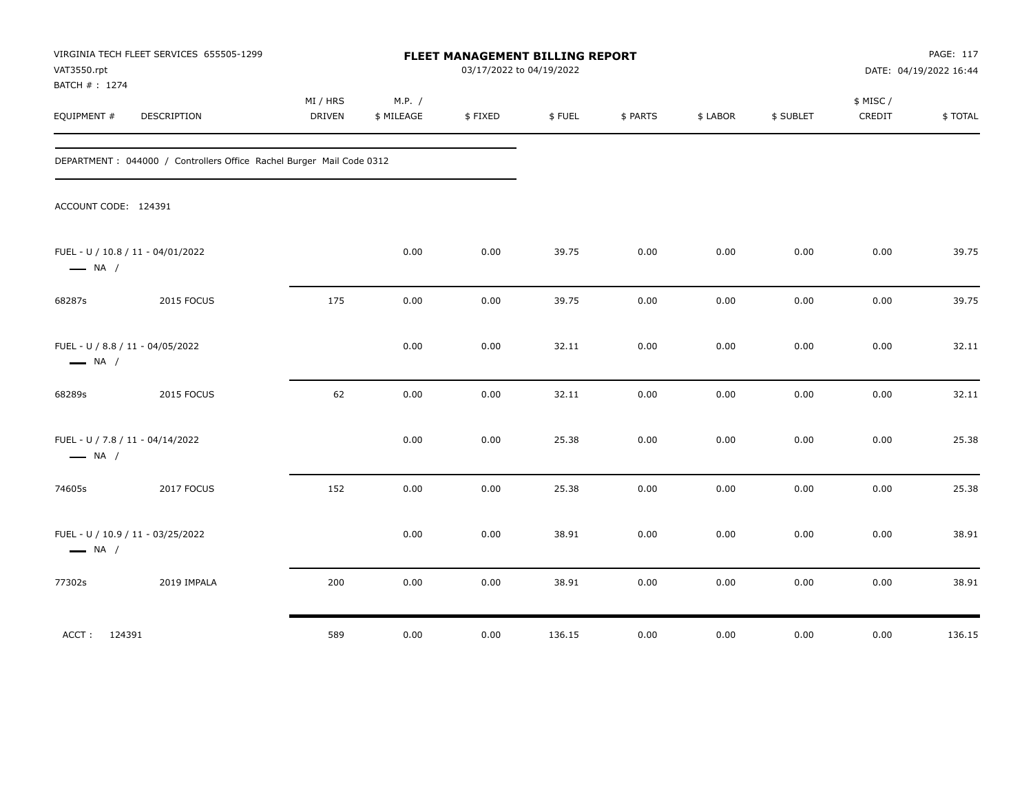| VAT3550.rpt<br>BATCH #: 1274                                | VIRGINIA TECH FLEET SERVICES 655505-1299                              |                           |                      | FLEET MANAGEMENT BILLING REPORT<br>03/17/2022 to 04/19/2022 |        |          |          |           |                    | PAGE: 117<br>DATE: 04/19/2022 16:44 |
|-------------------------------------------------------------|-----------------------------------------------------------------------|---------------------------|----------------------|-------------------------------------------------------------|--------|----------|----------|-----------|--------------------|-------------------------------------|
| EQUIPMENT #                                                 | <b>DESCRIPTION</b>                                                    | MI / HRS<br><b>DRIVEN</b> | M.P. /<br>\$ MILEAGE | \$FIXED                                                     | \$FUEL | \$ PARTS | \$ LABOR | \$ SUBLET | \$ MISC/<br>CREDIT | \$TOTAL                             |
|                                                             | DEPARTMENT : 044000 / Controllers Office Rachel Burger Mail Code 0312 |                           |                      |                                                             |        |          |          |           |                    |                                     |
| ACCOUNT CODE: 124391                                        |                                                                       |                           |                      |                                                             |        |          |          |           |                    |                                     |
| FUEL - U / 10.8 / 11 - 04/01/2022<br>$\longrightarrow$ NA / |                                                                       |                           | 0.00                 | 0.00                                                        | 39.75  | 0.00     | 0.00     | 0.00      | 0.00               | 39.75                               |
| 68287s                                                      | 2015 FOCUS                                                            | 175                       | 0.00                 | 0.00                                                        | 39.75  | 0.00     | 0.00     | 0.00      | 0.00               | 39.75                               |
| FUEL - U / 8.8 / 11 - 04/05/2022<br>$\longrightarrow$ NA /  |                                                                       |                           | 0.00                 | 0.00                                                        | 32.11  | 0.00     | 0.00     | 0.00      | 0.00               | 32.11                               |
| 68289s                                                      | 2015 FOCUS                                                            | 62                        | 0.00                 | 0.00                                                        | 32.11  | 0.00     | 0.00     | 0.00      | 0.00               | 32.11                               |
| FUEL - U / 7.8 / 11 - 04/14/2022<br>$\longrightarrow$ NA /  |                                                                       |                           | 0.00                 | 0.00                                                        | 25.38  | 0.00     | 0.00     | 0.00      | 0.00               | 25.38                               |
| 74605s                                                      | 2017 FOCUS                                                            | 152                       | 0.00                 | 0.00                                                        | 25.38  | 0.00     | 0.00     | 0.00      | 0.00               | 25.38                               |
| FUEL - U / 10.9 / 11 - 03/25/2022<br>$\longrightarrow$ NA / |                                                                       |                           | 0.00                 | 0.00                                                        | 38.91  | 0.00     | 0.00     | 0.00      | 0.00               | 38.91                               |
| 77302s                                                      | 2019 IMPALA                                                           | 200                       | 0.00                 | 0.00                                                        | 38.91  | 0.00     | 0.00     | 0.00      | 0.00               | 38.91                               |
| ACCT: 124391                                                |                                                                       | 589                       | 0.00                 | 0.00                                                        | 136.15 | 0.00     | 0.00     | 0.00      | 0.00               | 136.15                              |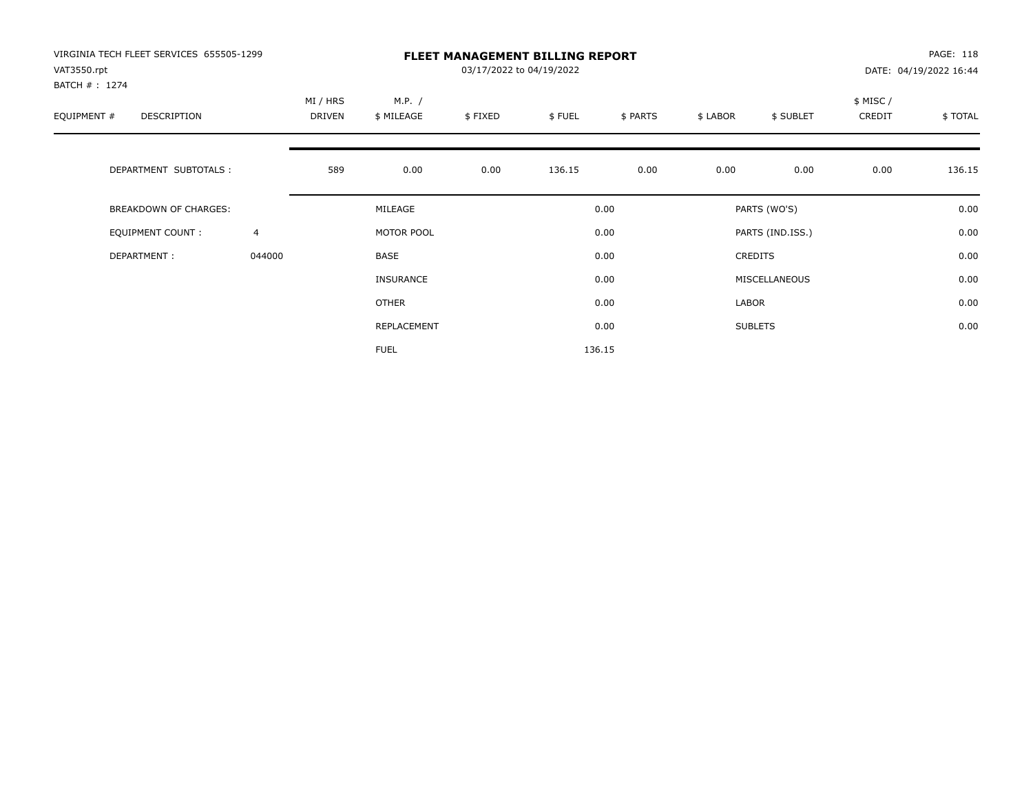| VIRGINIA TECH FLEET SERVICES 655505-1299<br>VAT3550.rpt<br>BATCH #: 1274 |                | <b>FLEET MANAGEMENT BILLING REPORT</b><br>03/17/2022 to 04/19/2022<br>DATE: 04/19/2022 16:44 |                      |         |        |          |          |                  |                     |         |
|--------------------------------------------------------------------------|----------------|----------------------------------------------------------------------------------------------|----------------------|---------|--------|----------|----------|------------------|---------------------|---------|
| EQUIPMENT #<br><b>DESCRIPTION</b>                                        |                | MI / HRS<br>DRIVEN                                                                           | M.P. /<br>\$ MILEAGE | \$FIXED | \$FUEL | \$ PARTS | \$ LABOR | \$ SUBLET        | \$ MISC /<br>CREDIT | \$TOTAL |
| DEPARTMENT SUBTOTALS :                                                   |                | 589                                                                                          | 0.00                 | 0.00    | 136.15 | 0.00     | 0.00     | 0.00             | 0.00                | 136.15  |
| <b>BREAKDOWN OF CHARGES:</b>                                             |                |                                                                                              | MILEAGE              |         |        | 0.00     |          | PARTS (WO'S)     |                     | 0.00    |
| EQUIPMENT COUNT:                                                         | $\overline{4}$ |                                                                                              | MOTOR POOL           |         |        | 0.00     |          | PARTS (IND.ISS.) |                     | 0.00    |
| DEPARTMENT:                                                              | 044000         |                                                                                              | <b>BASE</b>          |         |        | 0.00     |          | <b>CREDITS</b>   |                     | 0.00    |
|                                                                          |                |                                                                                              | INSURANCE            |         |        | 0.00     |          | MISCELLANEOUS    |                     | 0.00    |
|                                                                          |                |                                                                                              | OTHER                |         |        | 0.00     | LABOR    |                  |                     | 0.00    |
|                                                                          |                |                                                                                              | REPLACEMENT          |         |        | 0.00     |          | <b>SUBLETS</b>   |                     | 0.00    |
|                                                                          |                |                                                                                              | <b>FUEL</b>          |         |        | 136.15   |          |                  |                     |         |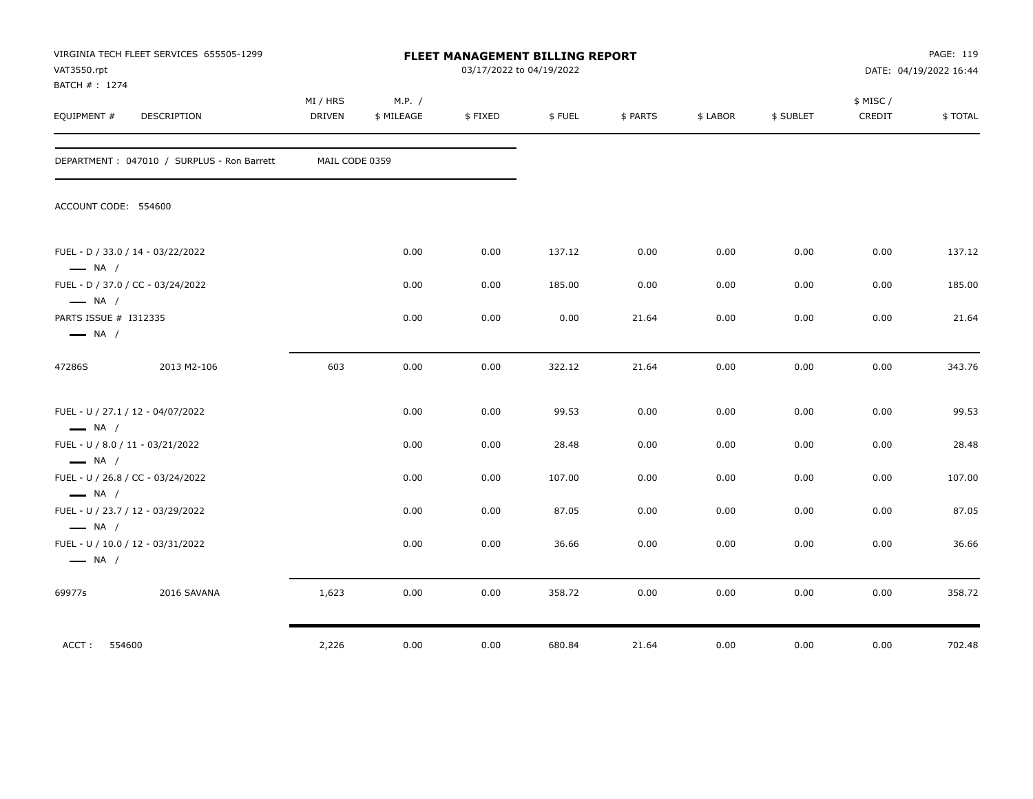| VAT3550.rpt                                     | VIRGINIA TECH FLEET SERVICES 655505-1299   |                    |                      | FLEET MANAGEMENT BILLING REPORT<br>03/17/2022 to 04/19/2022 |        |          |          |           |                     | PAGE: 119<br>DATE: 04/19/2022 16:44 |
|-------------------------------------------------|--------------------------------------------|--------------------|----------------------|-------------------------------------------------------------|--------|----------|----------|-----------|---------------------|-------------------------------------|
| BATCH # : 1274<br>EQUIPMENT #                   | DESCRIPTION                                | MI / HRS<br>DRIVEN | M.P. /<br>\$ MILEAGE | \$FIXED                                                     | \$FUEL | \$ PARTS | \$ LABOR | \$ SUBLET | \$ MISC /<br>CREDIT | \$TOTAL                             |
|                                                 | DEPARTMENT: 047010 / SURPLUS - Ron Barrett | MAIL CODE 0359     |                      |                                                             |        |          |          |           |                     |                                     |
| ACCOUNT CODE: 554600                            |                                            |                    |                      |                                                             |        |          |          |           |                     |                                     |
| $\longrightarrow$ NA /                          | FUEL - D / 33.0 / 14 - 03/22/2022          |                    | 0.00                 | 0.00                                                        | 137.12 | 0.00     | 0.00     | 0.00      | 0.00                | 137.12                              |
| $\longrightarrow$ NA /                          | FUEL - D / 37.0 / CC - 03/24/2022          |                    | 0.00                 | 0.00                                                        | 185.00 | 0.00     | 0.00     | 0.00      | 0.00                | 185.00                              |
| PARTS ISSUE # I312335<br>$\longrightarrow$ NA / |                                            |                    | 0.00                 | 0.00                                                        | 0.00   | 21.64    | 0.00     | 0.00      | 0.00                | 21.64                               |
| 47286S                                          | 2013 M2-106                                | 603                | 0.00                 | 0.00                                                        | 322.12 | 21.64    | 0.00     | 0.00      | 0.00                | 343.76                              |
| $\longrightarrow$ NA /                          | FUEL - U / 27.1 / 12 - 04/07/2022          |                    | 0.00                 | 0.00                                                        | 99.53  | 0.00     | 0.00     | 0.00      | 0.00                | 99.53                               |
| $\longrightarrow$ NA /                          | FUEL - U / 8.0 / 11 - 03/21/2022           |                    | 0.00                 | 0.00                                                        | 28.48  | 0.00     | 0.00     | 0.00      | 0.00                | 28.48                               |
| $\longrightarrow$ NA /                          | FUEL - U / 26.8 / CC - 03/24/2022          |                    | 0.00                 | 0.00                                                        | 107.00 | 0.00     | 0.00     | 0.00      | 0.00                | 107.00                              |
| $\longrightarrow$ NA /                          | FUEL - U / 23.7 / 12 - 03/29/2022          |                    | 0.00                 | 0.00                                                        | 87.05  | 0.00     | 0.00     | 0.00      | 0.00                | 87.05                               |
| $\longrightarrow$ NA /                          | FUEL - U / 10.0 / 12 - 03/31/2022          |                    | 0.00                 | 0.00                                                        | 36.66  | 0.00     | 0.00     | 0.00      | 0.00                | 36.66                               |
| 69977s                                          | 2016 SAVANA                                | 1,623              | 0.00                 | 0.00                                                        | 358.72 | 0.00     | 0.00     | 0.00      | 0.00                | 358.72                              |
| ACCT:                                           | 554600                                     | 2,226              | 0.00                 | 0.00                                                        | 680.84 | 21.64    | 0.00     | 0.00      | 0.00                | 702.48                              |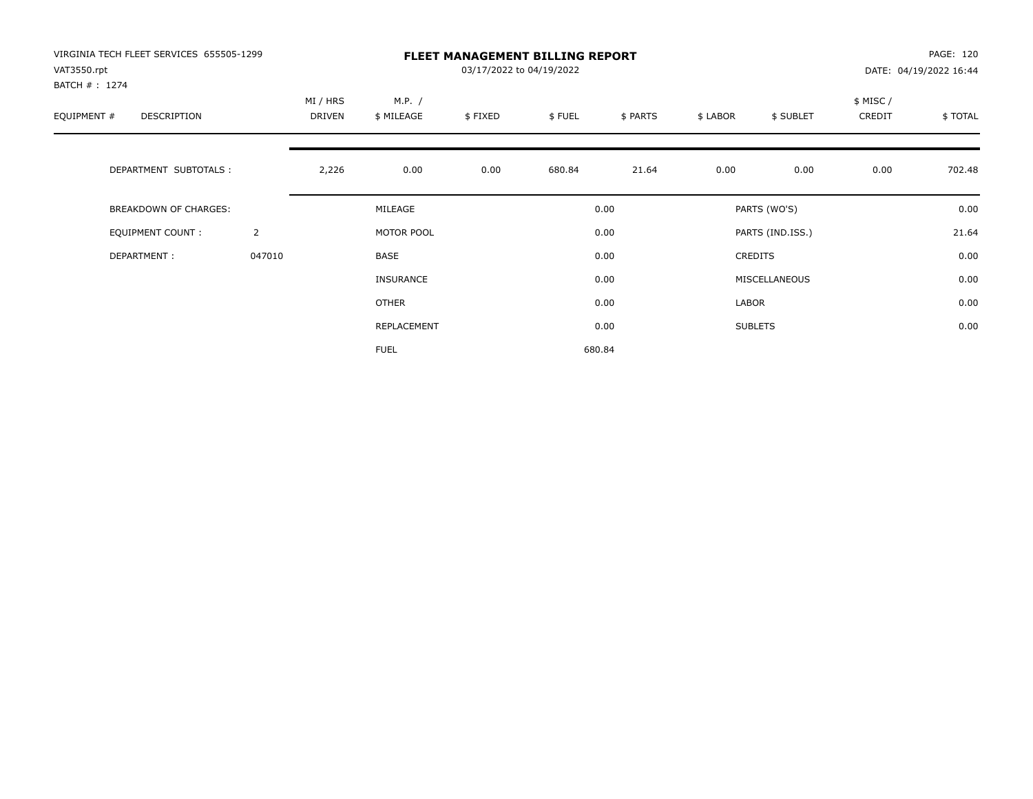| VIRGINIA TECH FLEET SERVICES 655505-1299<br>VAT3550.rpt<br>BATCH #: 1274 |                | <b>FLEET MANAGEMENT BILLING REPORT</b><br>03/17/2022 to 04/19/2022 |                      |         |        |          |          |                  |                     | PAGE: 120<br>DATE: 04/19/2022 16:44 |  |
|--------------------------------------------------------------------------|----------------|--------------------------------------------------------------------|----------------------|---------|--------|----------|----------|------------------|---------------------|-------------------------------------|--|
| EQUIPMENT #<br><b>DESCRIPTION</b>                                        |                | MI / HRS<br>DRIVEN                                                 | M.P. /<br>\$ MILEAGE | \$FIXED | \$FUEL | \$ PARTS | \$ LABOR | \$ SUBLET        | \$ MISC /<br>CREDIT | \$TOTAL                             |  |
| DEPARTMENT SUBTOTALS :                                                   |                | 2,226                                                              | 0.00                 | 0.00    | 680.84 | 21.64    | 0.00     | 0.00             | 0.00                | 702.48                              |  |
| <b>BREAKDOWN OF CHARGES:</b>                                             |                |                                                                    | MILEAGE              |         |        | 0.00     |          | PARTS (WO'S)     |                     | 0.00                                |  |
| <b>EQUIPMENT COUNT:</b>                                                  | $\overline{2}$ |                                                                    | MOTOR POOL           |         |        | 0.00     |          | PARTS (IND.ISS.) |                     | 21.64                               |  |
| DEPARTMENT:                                                              | 047010         |                                                                    | <b>BASE</b>          |         |        | 0.00     |          | <b>CREDITS</b>   |                     | 0.00                                |  |
|                                                                          |                |                                                                    | INSURANCE            |         |        | 0.00     |          | MISCELLANEOUS    |                     | 0.00                                |  |
|                                                                          |                |                                                                    | OTHER                |         |        | 0.00     | LABOR    |                  |                     | 0.00                                |  |
|                                                                          |                |                                                                    | REPLACEMENT          |         |        | 0.00     |          | <b>SUBLETS</b>   |                     | 0.00                                |  |
|                                                                          |                |                                                                    | <b>FUEL</b>          |         |        | 680.84   |          |                  |                     |                                     |  |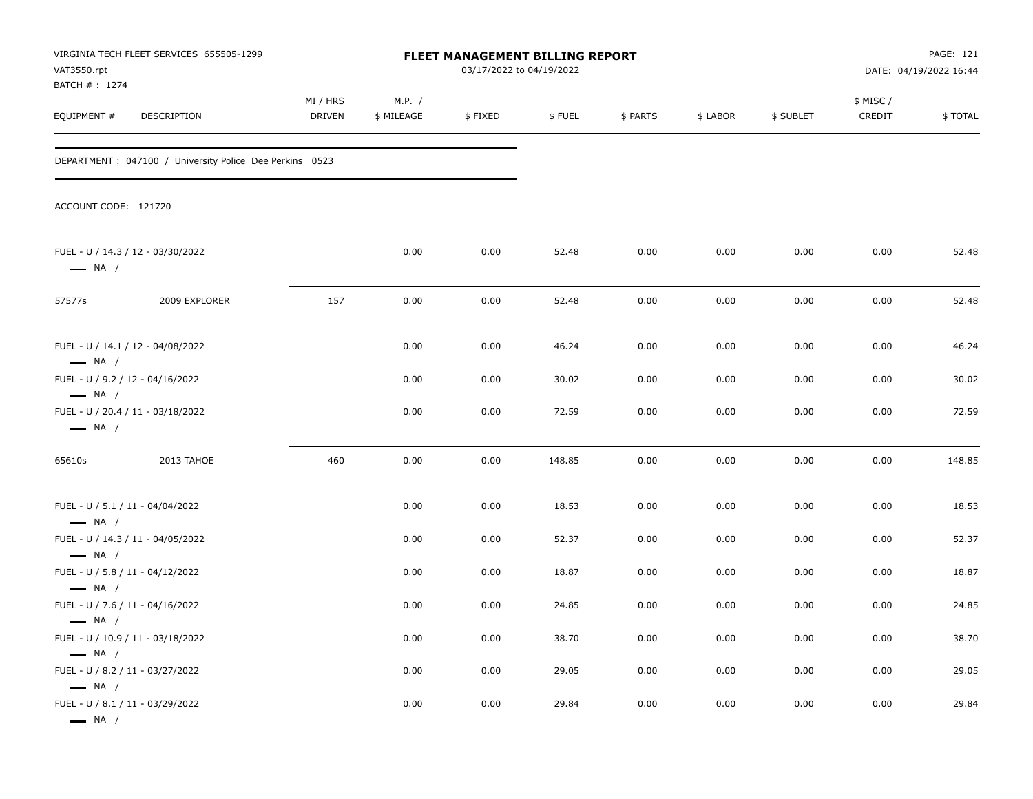| VAT3550.rpt<br>BATCH # : 1274                                                        | VIRGINIA TECH FLEET SERVICES 655505-1299                 | <b>FLEET MANAGEMENT BILLING REPORT</b><br>03/17/2022 to 04/19/2022 |                      |         |        |          |          | PAGE: 121<br>DATE: 04/19/2022 16:44 |                    |         |
|--------------------------------------------------------------------------------------|----------------------------------------------------------|--------------------------------------------------------------------|----------------------|---------|--------|----------|----------|-------------------------------------|--------------------|---------|
| EQUIPMENT #                                                                          | DESCRIPTION                                              | MI / HRS<br><b>DRIVEN</b>                                          | M.P. /<br>\$ MILEAGE | \$FIXED | \$FUEL | \$ PARTS | \$ LABOR | \$ SUBLET                           | \$ MISC/<br>CREDIT | \$TOTAL |
|                                                                                      | DEPARTMENT : 047100 / University Police Dee Perkins 0523 |                                                                    |                      |         |        |          |          |                                     |                    |         |
| ACCOUNT CODE: 121720                                                                 |                                                          |                                                                    |                      |         |        |          |          |                                     |                    |         |
| $\longrightarrow$ NA /                                                               | FUEL - U / 14.3 / 12 - 03/30/2022                        |                                                                    | 0.00                 | 0.00    | 52.48  | 0.00     | 0.00     | 0.00                                | 0.00               | 52.48   |
| 57577s                                                                               | 2009 EXPLORER                                            | 157                                                                | 0.00                 | 0.00    | 52.48  | 0.00     | 0.00     | 0.00                                | 0.00               | 52.48   |
| $\longrightarrow$ NA /                                                               | FUEL - U / 14.1 / 12 - 04/08/2022                        |                                                                    | 0.00                 | 0.00    | 46.24  | 0.00     | 0.00     | 0.00                                | 0.00               | 46.24   |
| FUEL - U / 9.2 / 12 - 04/16/2022                                                     |                                                          |                                                                    | 0.00                 | 0.00    | 30.02  | 0.00     | 0.00     | 0.00                                | 0.00               | 30.02   |
| $\longrightarrow$ NA /<br>$\longrightarrow$ NA /                                     | FUEL - U / 20.4 / 11 - 03/18/2022                        |                                                                    | 0.00                 | 0.00    | 72.59  | 0.00     | 0.00     | 0.00                                | 0.00               | 72.59   |
| 65610s                                                                               | 2013 TAHOE                                               | 460                                                                | 0.00                 | 0.00    | 148.85 | 0.00     | 0.00     | 0.00                                | 0.00               | 148.85  |
| FUEL - U / 5.1 / 11 - 04/04/2022<br>$\longrightarrow$ NA /                           |                                                          |                                                                    | 0.00                 | 0.00    | 18.53  | 0.00     | 0.00     | 0.00                                | 0.00               | 18.53   |
|                                                                                      | FUEL - U / 14.3 / 11 - 04/05/2022                        |                                                                    | 0.00                 | 0.00    | 52.37  | 0.00     | 0.00     | 0.00                                | 0.00               | 52.37   |
| $\longrightarrow$ NA /<br>FUEL - U / 5.8 / 11 - 04/12/2022<br>$\longrightarrow$ NA / |                                                          |                                                                    | 0.00                 | 0.00    | 18.87  | 0.00     | 0.00     | 0.00                                | 0.00               | 18.87   |
| FUEL - U / 7.6 / 11 - 04/16/2022<br>$\longrightarrow$ NA /                           |                                                          |                                                                    | 0.00                 | 0.00    | 24.85  | 0.00     | 0.00     | 0.00                                | 0.00               | 24.85   |
|                                                                                      | FUEL - U / 10.9 / 11 - 03/18/2022                        |                                                                    | 0.00                 | 0.00    | 38.70  | 0.00     | 0.00     | 0.00                                | 0.00               | 38.70   |
| $\longrightarrow$ NA /<br>FUEL - U / 8.2 / 11 - 03/27/2022<br>$\longrightarrow$ NA / |                                                          |                                                                    | 0.00                 | 0.00    | 29.05  | 0.00     | 0.00     | 0.00                                | 0.00               | 29.05   |
| FUEL - U / 8.1 / 11 - 03/29/2022<br>$\longrightarrow$ NA /                           |                                                          |                                                                    | 0.00                 | 0.00    | 29.84  | 0.00     | 0.00     | 0.00                                | 0.00               | 29.84   |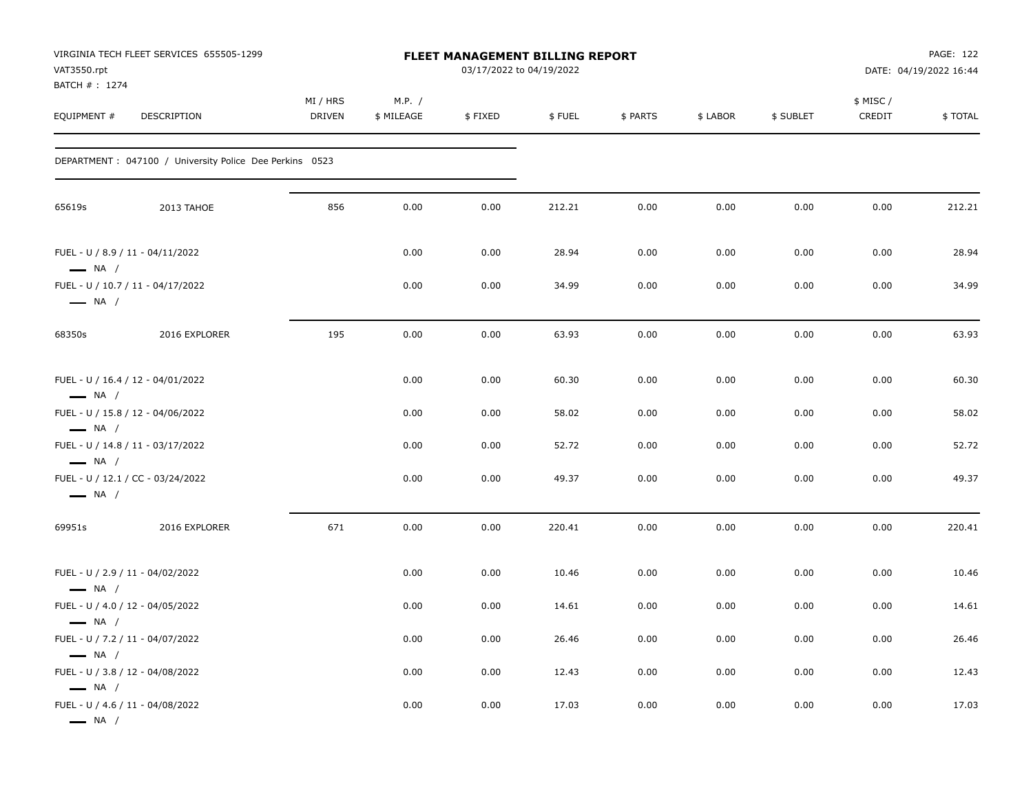| VAT3550.rpt<br>BATCH #: 1274                                                         | VIRGINIA TECH FLEET SERVICES 655505-1299                 |                    |                      | <b>FLEET MANAGEMENT BILLING REPORT</b><br>03/17/2022 to 04/19/2022 |        |          |          |           |                     | PAGE: 122<br>DATE: 04/19/2022 16:44 |
|--------------------------------------------------------------------------------------|----------------------------------------------------------|--------------------|----------------------|--------------------------------------------------------------------|--------|----------|----------|-----------|---------------------|-------------------------------------|
| EQUIPMENT #                                                                          | DESCRIPTION                                              | MI / HRS<br>DRIVEN | M.P. /<br>\$ MILEAGE | \$FIXED                                                            | \$FUEL | \$ PARTS | \$ LABOR | \$ SUBLET | \$ MISC /<br>CREDIT | \$TOTAL                             |
|                                                                                      | DEPARTMENT : 047100 / University Police Dee Perkins 0523 |                    |                      |                                                                    |        |          |          |           |                     |                                     |
| 65619s                                                                               | 2013 TAHOE                                               | 856                | 0.00                 | 0.00                                                               | 212.21 | 0.00     | 0.00     | 0.00      | 0.00                | 212.21                              |
| FUEL - U / 8.9 / 11 - 04/11/2022<br>$\longrightarrow$ NA /                           |                                                          |                    | 0.00                 | 0.00                                                               | 28.94  | 0.00     | 0.00     | 0.00      | 0.00                | 28.94                               |
| $\longrightarrow$ NA /                                                               | FUEL - U / 10.7 / 11 - 04/17/2022                        |                    | 0.00                 | 0.00                                                               | 34.99  | 0.00     | 0.00     | 0.00      | 0.00                | 34.99                               |
| 68350s                                                                               | 2016 EXPLORER                                            | 195                | 0.00                 | 0.00                                                               | 63.93  | 0.00     | 0.00     | 0.00      | 0.00                | 63.93                               |
| $\longrightarrow$ NA /                                                               | FUEL - U / 16.4 / 12 - 04/01/2022                        |                    | 0.00                 | 0.00                                                               | 60.30  | 0.00     | 0.00     | 0.00      | 0.00                | 60.30                               |
|                                                                                      | FUEL - U / 15.8 / 12 - 04/06/2022                        |                    | 0.00                 | 0.00                                                               | 58.02  | 0.00     | 0.00     | 0.00      | 0.00                | 58.02                               |
| $\longrightarrow$ NA /<br>$\longrightarrow$ NA /                                     | FUEL - U / 14.8 / 11 - 03/17/2022                        |                    | 0.00                 | 0.00                                                               | 52.72  | 0.00     | 0.00     | 0.00      | 0.00                | 52.72                               |
| $\longrightarrow$ NA /                                                               | FUEL - U / 12.1 / CC - 03/24/2022                        |                    | 0.00                 | 0.00                                                               | 49.37  | 0.00     | 0.00     | 0.00      | 0.00                | 49.37                               |
| 69951s                                                                               | 2016 EXPLORER                                            | 671                | 0.00                 | 0.00                                                               | 220.41 | 0.00     | 0.00     | 0.00      | 0.00                | 220.41                              |
| FUEL - U / 2.9 / 11 - 04/02/2022<br>$\longrightarrow$ NA /                           |                                                          |                    | 0.00                 | 0.00                                                               | 10.46  | 0.00     | 0.00     | 0.00      | 0.00                | 10.46                               |
| FUEL - U / 4.0 / 12 - 04/05/2022                                                     |                                                          |                    | 0.00                 | 0.00                                                               | 14.61  | 0.00     | 0.00     | 0.00      | 0.00                | 14.61                               |
| $\longrightarrow$ NA /<br>FUEL - U / 7.2 / 11 - 04/07/2022<br>$\longrightarrow$ NA / |                                                          |                    | 0.00                 | 0.00                                                               | 26.46  | 0.00     | 0.00     | 0.00      | 0.00                | 26.46                               |
| FUEL - U / 3.8 / 12 - 04/08/2022                                                     |                                                          |                    | 0.00                 | 0.00                                                               | 12.43  | 0.00     | 0.00     | 0.00      | 0.00                | 12.43                               |
| $\longrightarrow$ NA /<br>FUEL - U / 4.6 / 11 - 04/08/2022<br>$\longrightarrow$ NA / |                                                          |                    | 0.00                 | 0.00                                                               | 17.03  | 0.00     | 0.00     | 0.00      | 0.00                | 17.03                               |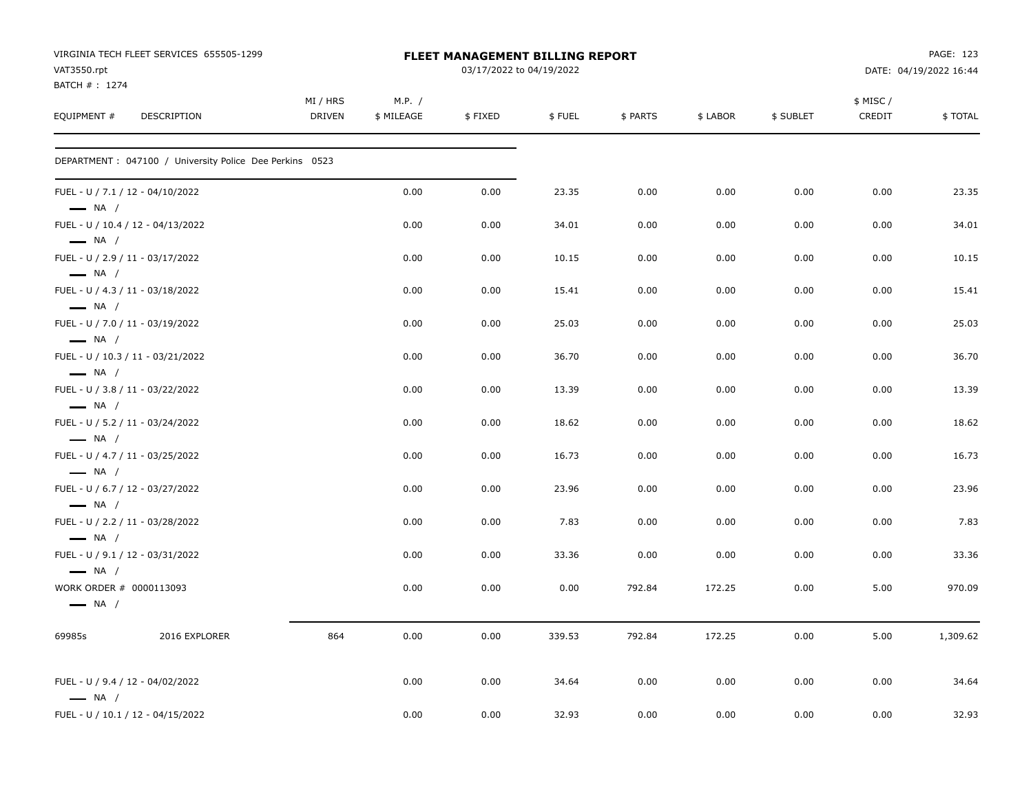| VAT3550.rpt<br>BATCH #: 1274                                                                   | VIRGINIA TECH FLEET SERVICES 655505-1299                 |                           |                      | <b>FLEET MANAGEMENT BILLING REPORT</b><br>03/17/2022 to 04/19/2022 |               |              |              |              |                     | PAGE: 123<br>DATE: 04/19/2022 16:44 |
|------------------------------------------------------------------------------------------------|----------------------------------------------------------|---------------------------|----------------------|--------------------------------------------------------------------|---------------|--------------|--------------|--------------|---------------------|-------------------------------------|
| EQUIPMENT #                                                                                    | DESCRIPTION                                              | MI / HRS<br><b>DRIVEN</b> | M.P. /<br>\$ MILEAGE | \$FIXED                                                            | \$FUEL        | \$ PARTS     | \$ LABOR     | \$ SUBLET    | \$ MISC /<br>CREDIT | \$ TOTAL                            |
|                                                                                                | DEPARTMENT : 047100 / University Police Dee Perkins 0523 |                           |                      |                                                                    |               |              |              |              |                     |                                     |
| FUEL - U / 7.1 / 12 - 04/10/2022<br>$\longrightarrow$ NA /                                     |                                                          |                           | 0.00                 | 0.00                                                               | 23.35         | 0.00         | 0.00         | 0.00         | 0.00                | 23.35                               |
| $\longrightarrow$ NA /                                                                         | FUEL - U / 10.4 / 12 - 04/13/2022                        |                           | 0.00                 | 0.00                                                               | 34.01         | 0.00         | 0.00         | 0.00         | 0.00                | 34.01                               |
| FUEL - U / 2.9 / 11 - 03/17/2022<br>$\longrightarrow$ NA /                                     |                                                          |                           | 0.00                 | 0.00                                                               | 10.15         | 0.00         | 0.00         | 0.00         | 0.00                | 10.15                               |
| FUEL - U / 4.3 / 11 - 03/18/2022<br>$\longrightarrow$ NA /                                     |                                                          |                           | 0.00                 | 0.00                                                               | 15.41         | 0.00         | 0.00         | 0.00         | 0.00                | 15.41                               |
| FUEL - U / 7.0 / 11 - 03/19/2022<br>$-$ NA $/$                                                 |                                                          |                           | 0.00                 | 0.00                                                               | 25.03         | 0.00         | 0.00         | 0.00         | 0.00                | 25.03                               |
| $\longrightarrow$ NA /                                                                         | FUEL - U / 10.3 / 11 - 03/21/2022                        |                           | 0.00                 | 0.00                                                               | 36.70         | 0.00         | 0.00         | 0.00         | 0.00                | 36.70                               |
| FUEL - U / 3.8 / 11 - 03/22/2022<br>$\longrightarrow$ NA /                                     |                                                          |                           | 0.00                 | 0.00                                                               | 13.39         | 0.00         | 0.00         | 0.00         | 0.00                | 13.39                               |
| FUEL - U / 5.2 / 11 - 03/24/2022<br>$\longrightarrow$ NA /                                     |                                                          |                           | 0.00                 | 0.00                                                               | 18.62         | 0.00         | 0.00         | 0.00         | 0.00                | 18.62                               |
| FUEL - U / 4.7 / 11 - 03/25/2022<br>$\longrightarrow$ NA /                                     |                                                          |                           | 0.00                 | 0.00                                                               | 16.73         | 0.00         | 0.00         | 0.00         | 0.00                | 16.73                               |
| FUEL - U / 6.7 / 12 - 03/27/2022<br>$\longrightarrow$ NA /                                     |                                                          |                           | 0.00<br>0.00         | 0.00<br>0.00                                                       | 23.96<br>7.83 | 0.00<br>0.00 | 0.00<br>0.00 | 0.00<br>0.00 | 0.00<br>0.00        | 23.96<br>7.83                       |
| FUEL - U / 2.2 / 11 - 03/28/2022<br>$\longrightarrow$ NA /<br>FUEL - U / 9.1 / 12 - 03/31/2022 |                                                          |                           | 0.00                 | 0.00                                                               | 33.36         | 0.00         | 0.00         | 0.00         | 0.00                | 33.36                               |
| $\longrightarrow$ NA /<br>WORK ORDER # 0000113093                                              |                                                          |                           | 0.00                 | 0.00                                                               | 0.00          | 792.84       | 172.25       | 0.00         | 5.00                | 970.09                              |
| $\longrightarrow$ NA /                                                                         |                                                          |                           |                      |                                                                    |               |              |              |              |                     |                                     |
| 69985s                                                                                         | 2016 EXPLORER                                            | 864                       | 0.00                 | 0.00                                                               | 339.53        | 792.84       | 172.25       | 0.00         | 5.00                | 1,309.62                            |
| FUEL - U / 9.4 / 12 - 04/02/2022<br>$\longrightarrow$ NA /                                     |                                                          |                           | 0.00                 | 0.00                                                               | 34.64         | 0.00         | 0.00         | 0.00         | 0.00                | 34.64                               |
|                                                                                                | FUEL - U / 10.1 / 12 - 04/15/2022                        |                           | 0.00                 | 0.00                                                               | 32.93         | 0.00         | 0.00         | 0.00         | 0.00                | 32.93                               |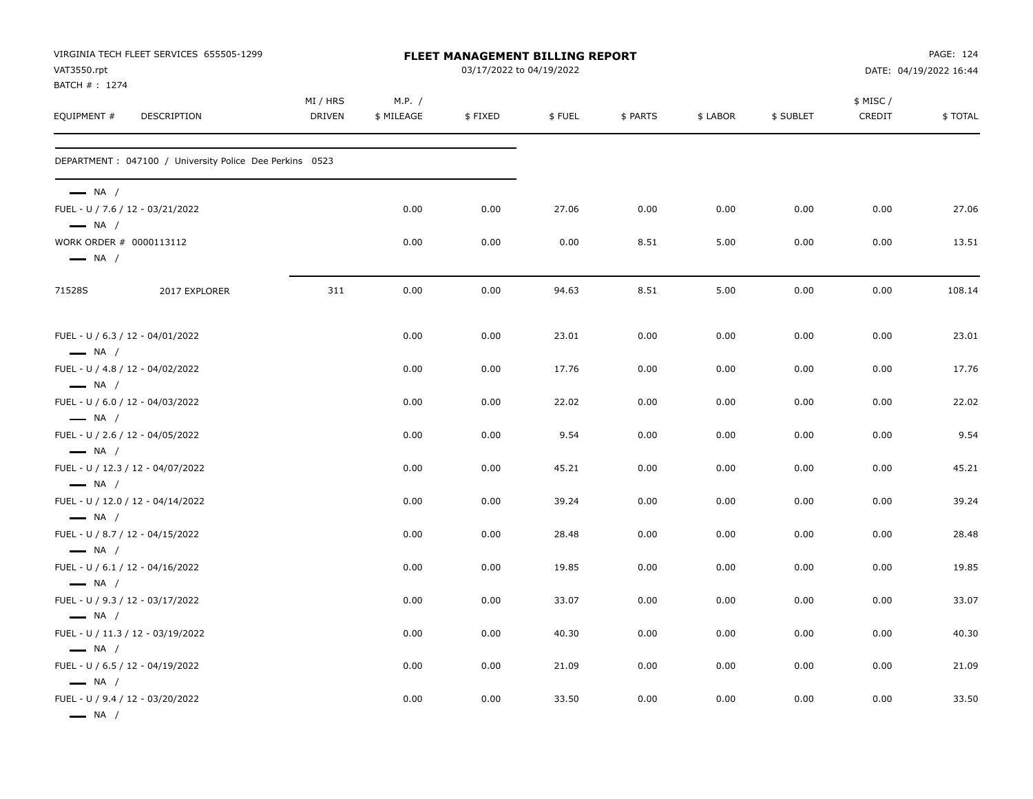| VAT3550.rpt                                       | VIRGINIA TECH FLEET SERVICES 655505-1299                 |                           |                      | <b>FLEET MANAGEMENT BILLING REPORT</b><br>03/17/2022 to 04/19/2022 |        |          |          |           |                    | PAGE: 124<br>DATE: 04/19/2022 16:44 |
|---------------------------------------------------|----------------------------------------------------------|---------------------------|----------------------|--------------------------------------------------------------------|--------|----------|----------|-----------|--------------------|-------------------------------------|
| BATCH #: 1274<br>EQUIPMENT #                      | DESCRIPTION                                              | MI / HRS<br><b>DRIVEN</b> | M.P. /<br>\$ MILEAGE | \$FIXED                                                            | \$FUEL | \$ PARTS | \$ LABOR | \$ SUBLET | \$ MISC/<br>CREDIT | \$TOTAL                             |
|                                                   | DEPARTMENT : 047100 / University Police Dee Perkins 0523 |                           |                      |                                                                    |        |          |          |           |                    |                                     |
| $-$ NA /<br>$\longrightarrow$ NA /                | FUEL - U / 7.6 / 12 - 03/21/2022                         |                           | 0.00                 | 0.00                                                               | 27.06  | 0.00     | 0.00     | 0.00      | 0.00               | 27.06                               |
| WORK ORDER # 0000113112<br>$\longrightarrow$ NA / |                                                          |                           | 0.00                 | 0.00                                                               | 0.00   | 8.51     | 5.00     | 0.00      | 0.00               | 13.51                               |
| 71528S                                            | 2017 EXPLORER                                            | 311                       | 0.00                 | 0.00                                                               | 94.63  | 8.51     | 5.00     | 0.00      | 0.00               | 108.14                              |
| $\longrightarrow$ NA /                            | FUEL - U / 6.3 / 12 - 04/01/2022                         |                           | 0.00                 | 0.00                                                               | 23.01  | 0.00     | 0.00     | 0.00      | 0.00               | 23.01                               |
| $\longrightarrow$ NA /                            | FUEL - U / 4.8 / 12 - 04/02/2022                         |                           | 0.00                 | 0.00                                                               | 17.76  | 0.00     | 0.00     | 0.00      | 0.00               | 17.76                               |
| $\longrightarrow$ NA /                            | FUEL - U / 6.0 / 12 - 04/03/2022                         |                           | 0.00                 | 0.00                                                               | 22.02  | 0.00     | 0.00     | 0.00      | 0.00               | 22.02                               |
| $\longrightarrow$ NA /                            | FUEL - U / 2.6 / 12 - 04/05/2022                         |                           | 0.00                 | 0.00                                                               | 9.54   | 0.00     | 0.00     | 0.00      | 0.00               | 9.54                                |
| $-$ NA /                                          | FUEL - U / 12.3 / 12 - 04/07/2022                        |                           | 0.00                 | 0.00                                                               | 45.21  | 0.00     | 0.00     | 0.00      | 0.00               | 45.21                               |
| $\longrightarrow$ NA /                            | FUEL - U / 12.0 / 12 - 04/14/2022                        |                           | 0.00                 | 0.00                                                               | 39.24  | 0.00     | 0.00     | 0.00      | 0.00               | 39.24                               |
|                                                   | FUEL - U / 8.7 / 12 - 04/15/2022                         |                           | 0.00                 | 0.00                                                               | 28.48  | 0.00     | 0.00     | 0.00      | 0.00               | 28.48                               |
| $-$ NA $/$                                        | FUEL - U / 6.1 / 12 - 04/16/2022                         |                           | 0.00                 | 0.00                                                               | 19.85  | 0.00     | 0.00     | 0.00      | 0.00               | 19.85                               |
| $\longrightarrow$ NA /                            | FUEL - U / 9.3 / 12 - 03/17/2022                         |                           | 0.00                 | 0.00                                                               | 33.07  | 0.00     | 0.00     | 0.00      | 0.00               | 33.07                               |
| $\longrightarrow$ NA /                            | FUEL - U / 11.3 / 12 - 03/19/2022                        |                           | 0.00                 | 0.00                                                               | 40.30  | 0.00     | 0.00     | 0.00      | 0.00               | 40.30                               |
| $\longrightarrow$ NA /                            | FUEL - U / 6.5 / 12 - 04/19/2022                         |                           | 0.00                 | 0.00                                                               | 21.09  | 0.00     | 0.00     | 0.00      | 0.00               | 21.09                               |
| $\longrightarrow$ NA /<br>$\longrightarrow$ NA /  | FUEL - U / 9.4 / 12 - 03/20/2022                         |                           | 0.00                 | 0.00                                                               | 33.50  | 0.00     | 0.00     | 0.00      | 0.00               | 33.50                               |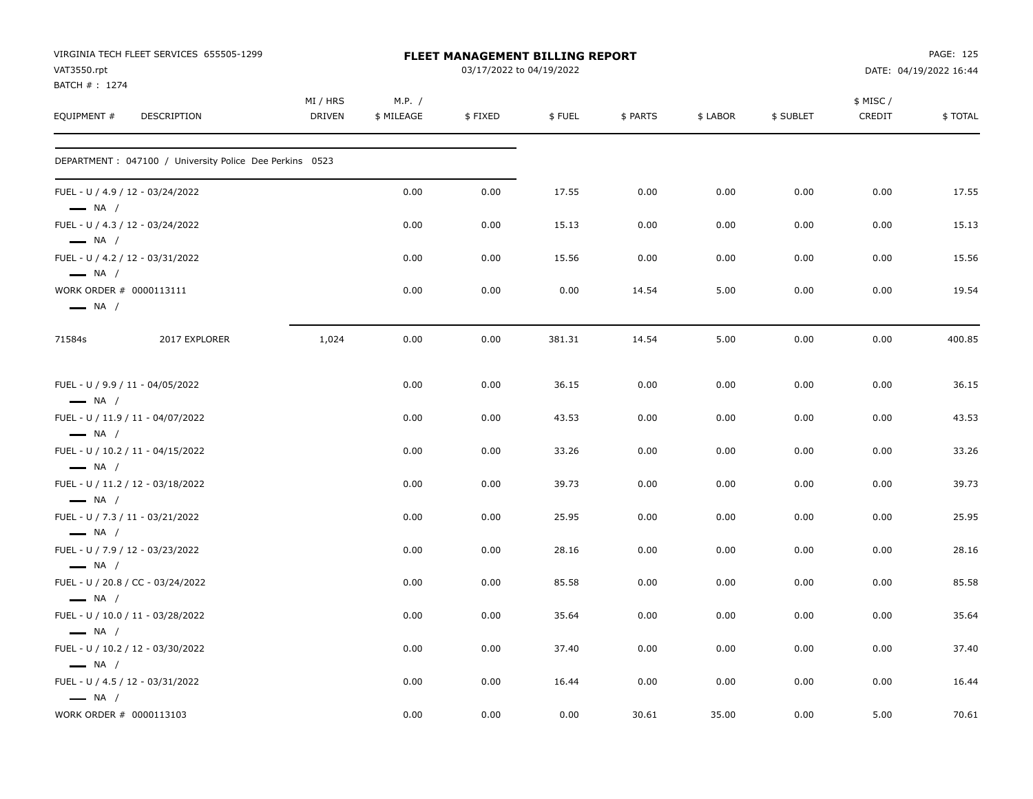| VAT3550.rpt<br>BATCH #: 1274                      | VIRGINIA TECH FLEET SERVICES 655505-1299                 |                           |                      | FLEET MANAGEMENT BILLING REPORT<br>03/17/2022 to 04/19/2022 |        |          |          |           |                    | PAGE: 125<br>DATE: 04/19/2022 16:44 |
|---------------------------------------------------|----------------------------------------------------------|---------------------------|----------------------|-------------------------------------------------------------|--------|----------|----------|-----------|--------------------|-------------------------------------|
| EQUIPMENT #                                       | DESCRIPTION                                              | MI / HRS<br><b>DRIVEN</b> | M.P. /<br>\$ MILEAGE | \$FIXED                                                     | \$FUEL | \$ PARTS | \$ LABOR | \$ SUBLET | \$ MISC/<br>CREDIT | \$TOTAL                             |
|                                                   | DEPARTMENT : 047100 / University Police Dee Perkins 0523 |                           |                      |                                                             |        |          |          |           |                    |                                     |
| $\longrightarrow$ NA /                            | FUEL - U / 4.9 / 12 - 03/24/2022                         |                           | 0.00                 | 0.00                                                        | 17.55  | 0.00     | 0.00     | 0.00      | 0.00               | 17.55                               |
| $\longrightarrow$ NA /                            | FUEL - U / 4.3 / 12 - 03/24/2022                         |                           | 0.00                 | 0.00                                                        | 15.13  | 0.00     | 0.00     | 0.00      | 0.00               | 15.13                               |
| $\longrightarrow$ NA /                            | FUEL - U / 4.2 / 12 - 03/31/2022                         |                           | 0.00                 | 0.00                                                        | 15.56  | 0.00     | 0.00     | 0.00      | 0.00               | 15.56                               |
| WORK ORDER # 0000113111<br>$\longrightarrow$ NA / |                                                          |                           | 0.00                 | 0.00                                                        | 0.00   | 14.54    | 5.00     | 0.00      | 0.00               | 19.54                               |
| 71584s                                            | 2017 EXPLORER                                            | 1,024                     | 0.00                 | 0.00                                                        | 381.31 | 14.54    | 5.00     | 0.00      | 0.00               | 400.85                              |
| $\longrightarrow$ NA /                            | FUEL - U / 9.9 / 11 - 04/05/2022                         |                           | 0.00                 | 0.00                                                        | 36.15  | 0.00     | 0.00     | 0.00      | 0.00               | 36.15                               |
| $\longrightarrow$ NA /                            | FUEL - U / 11.9 / 11 - 04/07/2022                        |                           | 0.00                 | 0.00                                                        | 43.53  | 0.00     | 0.00     | 0.00      | 0.00               | 43.53                               |
| $\longrightarrow$ NA /                            | FUEL - U / 10.2 / 11 - 04/15/2022                        |                           | 0.00                 | 0.00                                                        | 33.26  | 0.00     | 0.00     | 0.00      | 0.00               | 33.26                               |
| $\longrightarrow$ NA /                            | FUEL - U / 11.2 / 12 - 03/18/2022                        |                           | 0.00                 | 0.00                                                        | 39.73  | 0.00     | 0.00     | 0.00      | 0.00               | 39.73                               |
| $\longrightarrow$ NA /                            | FUEL - U / 7.3 / 11 - 03/21/2022                         |                           | 0.00                 | 0.00                                                        | 25.95  | 0.00     | 0.00     | 0.00      | 0.00               | 25.95                               |
| $\longrightarrow$ NA /                            | FUEL - U / 7.9 / 12 - 03/23/2022                         |                           | 0.00                 | 0.00                                                        | 28.16  | 0.00     | 0.00     | 0.00      | 0.00               | 28.16                               |
| $\longrightarrow$ NA /                            | FUEL - U / 20.8 / CC - 03/24/2022                        |                           | 0.00                 | 0.00                                                        | 85.58  | 0.00     | 0.00     | 0.00      | 0.00               | 85.58                               |
| $\longrightarrow$ NA /                            | FUEL - U / 10.0 / 11 - 03/28/2022                        |                           | 0.00                 | 0.00                                                        | 35.64  | 0.00     | 0.00     | 0.00      | 0.00               | 35.64                               |
| $\longrightarrow$ NA /                            | FUEL - U / 10.2 / 12 - 03/30/2022                        |                           | 0.00                 | 0.00                                                        | 37.40  | 0.00     | 0.00     | 0.00      | 0.00               | 37.40                               |
| $\longrightarrow$ NA /                            | FUEL - U / 4.5 / 12 - 03/31/2022                         |                           | 0.00                 | 0.00                                                        | 16.44  | 0.00     | 0.00     | 0.00      | 0.00               | 16.44                               |
| WORK ORDER # 0000113103                           |                                                          |                           | 0.00                 | 0.00                                                        | 0.00   | 30.61    | 35.00    | 0.00      | 5.00               | 70.61                               |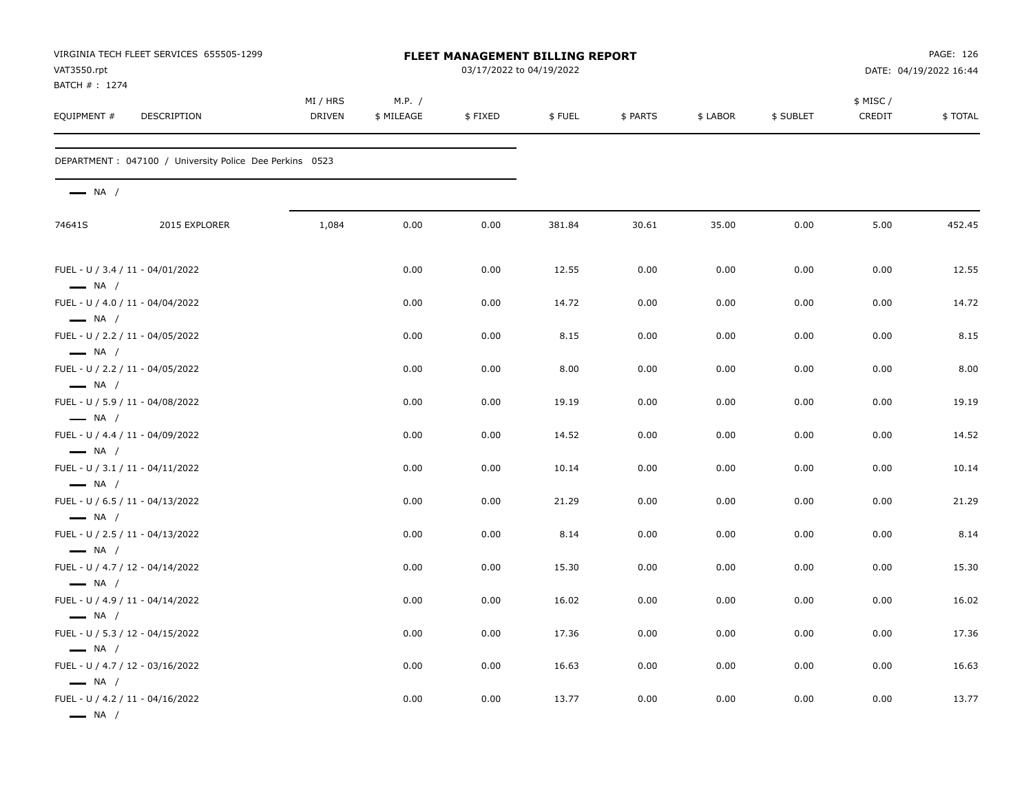| VAT3550.rpt<br>BATCH # : 1274                                                        | VIRGINIA TECH FLEET SERVICES 655505-1299                 |                    |                      | <b>FLEET MANAGEMENT BILLING REPORT</b> | 03/17/2022 to 04/19/2022 |          |          | PAGE: 126<br>DATE: 04/19/2022 16:44 |                    |         |
|--------------------------------------------------------------------------------------|----------------------------------------------------------|--------------------|----------------------|----------------------------------------|--------------------------|----------|----------|-------------------------------------|--------------------|---------|
| EQUIPMENT #                                                                          | DESCRIPTION                                              | MI / HRS<br>DRIVEN | M.P. /<br>\$ MILEAGE | \$FIXED                                | \$FUEL                   | \$ PARTS | \$ LABOR | \$ SUBLET                           | \$ MISC/<br>CREDIT | \$TOTAL |
|                                                                                      | DEPARTMENT : 047100 / University Police Dee Perkins 0523 |                    |                      |                                        |                          |          |          |                                     |                    |         |
| $\longrightarrow$ NA /                                                               |                                                          |                    |                      |                                        |                          |          |          |                                     |                    |         |
| 74641S                                                                               | 2015 EXPLORER                                            | 1,084              | 0.00                 | 0.00                                   | 381.84                   | 30.61    | 35.00    | 0.00                                | 5.00               | 452.45  |
| FUEL - U / 3.4 / 11 - 04/01/2022<br>$\longrightarrow$ NA /                           |                                                          |                    | 0.00                 | 0.00                                   | 12.55                    | 0.00     | 0.00     | 0.00                                | 0.00               | 12.55   |
| FUEL - U / 4.0 / 11 - 04/04/2022<br>$\longrightarrow$ NA /                           |                                                          |                    | 0.00                 | 0.00                                   | 14.72                    | 0.00     | 0.00     | 0.00                                | 0.00               | 14.72   |
| FUEL - U / 2.2 / 11 - 04/05/2022<br>$\longrightarrow$ NA /                           |                                                          |                    | 0.00                 | 0.00                                   | 8.15                     | 0.00     | 0.00     | 0.00                                | 0.00               | 8.15    |
| FUEL - U / 2.2 / 11 - 04/05/2022<br>$\longrightarrow$ NA /                           |                                                          |                    | 0.00                 | 0.00                                   | 8.00                     | 0.00     | 0.00     | 0.00                                | 0.00               | 8.00    |
| FUEL - U / 5.9 / 11 - 04/08/2022<br>$\longrightarrow$ NA /                           |                                                          |                    | 0.00                 | 0.00                                   | 19.19                    | 0.00     | 0.00     | 0.00                                | 0.00               | 19.19   |
| FUEL - U / 4.4 / 11 - 04/09/2022<br>$\longrightarrow$ NA /                           |                                                          |                    | 0.00                 | 0.00                                   | 14.52                    | 0.00     | 0.00     | 0.00                                | 0.00               | 14.52   |
| FUEL - U / 3.1 / 11 - 04/11/2022<br>$\longrightarrow$ NA /                           |                                                          |                    | 0.00                 | 0.00                                   | 10.14                    | 0.00     | 0.00     | 0.00                                | 0.00               | 10.14   |
| FUEL - U / 6.5 / 11 - 04/13/2022<br>$\longrightarrow$ NA /                           |                                                          |                    | 0.00                 | 0.00                                   | 21.29                    | 0.00     | 0.00     | 0.00                                | 0.00               | 21.29   |
| FUEL - U / 2.5 / 11 - 04/13/2022<br>$-$ NA /                                         |                                                          |                    | 0.00                 | 0.00                                   | 8.14                     | 0.00     | 0.00     | 0.00                                | 0.00               | 8.14    |
| FUEL - U / 4.7 / 12 - 04/14/2022                                                     |                                                          |                    | 0.00                 | 0.00                                   | 15.30                    | 0.00     | 0.00     | 0.00                                | 0.00               | 15.30   |
| $\longrightarrow$ NA /<br>FUEL - U / 4.9 / 11 - 04/14/2022                           |                                                          |                    | 0.00                 | 0.00                                   | 16.02                    | 0.00     | 0.00     | 0.00                                | 0.00               | 16.02   |
| $\longrightarrow$ NA /<br>FUEL - U / 5.3 / 12 - 04/15/2022                           |                                                          |                    | 0.00                 | 0.00                                   | 17.36                    | 0.00     | 0.00     | 0.00                                | 0.00               | 17.36   |
| $\longrightarrow$ NA /<br>FUEL - U / 4.7 / 12 - 03/16/2022                           |                                                          |                    | 0.00                 | 0.00                                   | 16.63                    | 0.00     | 0.00     | 0.00                                | 0.00               | 16.63   |
| $\longrightarrow$ NA /<br>FUEL - U / 4.2 / 11 - 04/16/2022<br>$\longrightarrow$ NA / |                                                          |                    | 0.00                 | 0.00                                   | 13.77                    | 0.00     | 0.00     | 0.00                                | 0.00               | 13.77   |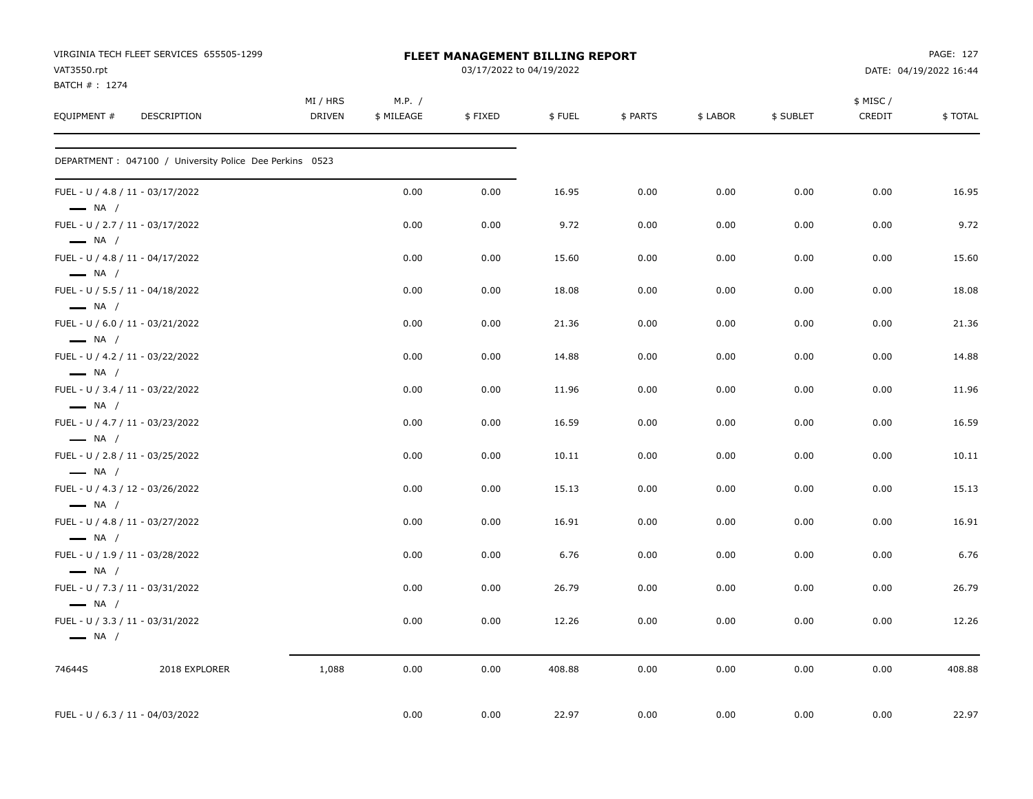| VAT3550.rpt<br>BATCH #: 1274 | VIRGINIA TECH FLEET SERVICES 655505-1299                 |                    |                      | <b>FLEET MANAGEMENT BILLING REPORT</b><br>03/17/2022 to 04/19/2022 |        |          |          |           |                    | PAGE: 127<br>DATE: 04/19/2022 16:44 |
|------------------------------|----------------------------------------------------------|--------------------|----------------------|--------------------------------------------------------------------|--------|----------|----------|-----------|--------------------|-------------------------------------|
| EQUIPMENT #                  | DESCRIPTION                                              | MI / HRS<br>DRIVEN | M.P. /<br>\$ MILEAGE | \$FIXED                                                            | \$FUEL | \$ PARTS | \$ LABOR | \$ SUBLET | \$ MISC/<br>CREDIT | \$TOTAL                             |
|                              | DEPARTMENT : 047100 / University Police Dee Perkins 0523 |                    |                      |                                                                    |        |          |          |           |                    |                                     |
| $\longrightarrow$ NA /       | FUEL - U / 4.8 / 11 - 03/17/2022                         |                    | 0.00                 | 0.00                                                               | 16.95  | 0.00     | 0.00     | 0.00      | 0.00               | 16.95                               |
| $\longrightarrow$ NA /       | FUEL - U / 2.7 / 11 - 03/17/2022                         |                    | 0.00                 | 0.00                                                               | 9.72   | 0.00     | 0.00     | 0.00      | 0.00               | 9.72                                |
| $\longrightarrow$ NA /       | FUEL - U / 4.8 / 11 - 04/17/2022                         |                    | 0.00                 | 0.00                                                               | 15.60  | 0.00     | 0.00     | 0.00      | 0.00               | 15.60                               |
| $\longrightarrow$ NA /       | FUEL - U / 5.5 / 11 - 04/18/2022                         |                    | 0.00                 | 0.00                                                               | 18.08  | 0.00     | 0.00     | 0.00      | 0.00               | 18.08                               |
| $\longrightarrow$ NA /       | FUEL - U / 6.0 / 11 - 03/21/2022                         |                    | 0.00                 | 0.00                                                               | 21.36  | 0.00     | 0.00     | 0.00      | 0.00               | 21.36                               |
| $\longrightarrow$ NA /       | FUEL - U / 4.2 / 11 - 03/22/2022                         |                    | 0.00                 | 0.00                                                               | 14.88  | 0.00     | 0.00     | 0.00      | 0.00               | 14.88                               |
| $\longrightarrow$ NA /       | FUEL - U / 3.4 / 11 - 03/22/2022                         |                    | 0.00                 | 0.00                                                               | 11.96  | 0.00     | 0.00     | 0.00      | 0.00               | 11.96                               |
| $\longrightarrow$ NA /       | FUEL - U / 4.7 / 11 - 03/23/2022                         |                    | 0.00                 | 0.00                                                               | 16.59  | 0.00     | 0.00     | 0.00      | 0.00               | 16.59                               |
| $\longrightarrow$ NA /       | FUEL - U / 2.8 / 11 - 03/25/2022                         |                    | 0.00                 | 0.00                                                               | 10.11  | 0.00     | 0.00     | 0.00      | 0.00               | 10.11                               |
| $\longrightarrow$ NA /       | FUEL - U / 4.3 / 12 - 03/26/2022                         |                    | 0.00                 | 0.00                                                               | 15.13  | 0.00     | 0.00     | 0.00      | 0.00               | 15.13                               |
| $\longrightarrow$ NA /       | FUEL - U / 4.8 / 11 - 03/27/2022                         |                    | 0.00                 | 0.00                                                               | 16.91  | 0.00     | 0.00     | 0.00      | 0.00               | 16.91                               |
| $\longrightarrow$ NA /       | FUEL - U / 1.9 / 11 - 03/28/2022                         |                    | 0.00                 | 0.00                                                               | 6.76   | 0.00     | 0.00     | 0.00      | 0.00               | 6.76                                |
| $\longrightarrow$ NA /       | FUEL - U / 7.3 / 11 - 03/31/2022                         |                    | 0.00                 | 0.00                                                               | 26.79  | 0.00     | 0.00     | 0.00      | 0.00               | 26.79                               |
| $\longrightarrow$ NA /       | FUEL - U / 3.3 / 11 - 03/31/2022                         |                    | 0.00                 | 0.00                                                               | 12.26  | 0.00     | 0.00     | 0.00      | 0.00               | 12.26                               |
| 74644S                       | 2018 EXPLORER                                            | 1,088              | 0.00                 | 0.00                                                               | 408.88 | 0.00     | 0.00     | 0.00      | 0.00               | 408.88                              |
|                              | FUEL - U / 6.3 / 11 - 04/03/2022                         |                    | 0.00                 | 0.00                                                               | 22.97  | 0.00     | 0.00     | 0.00      | 0.00               | 22.97                               |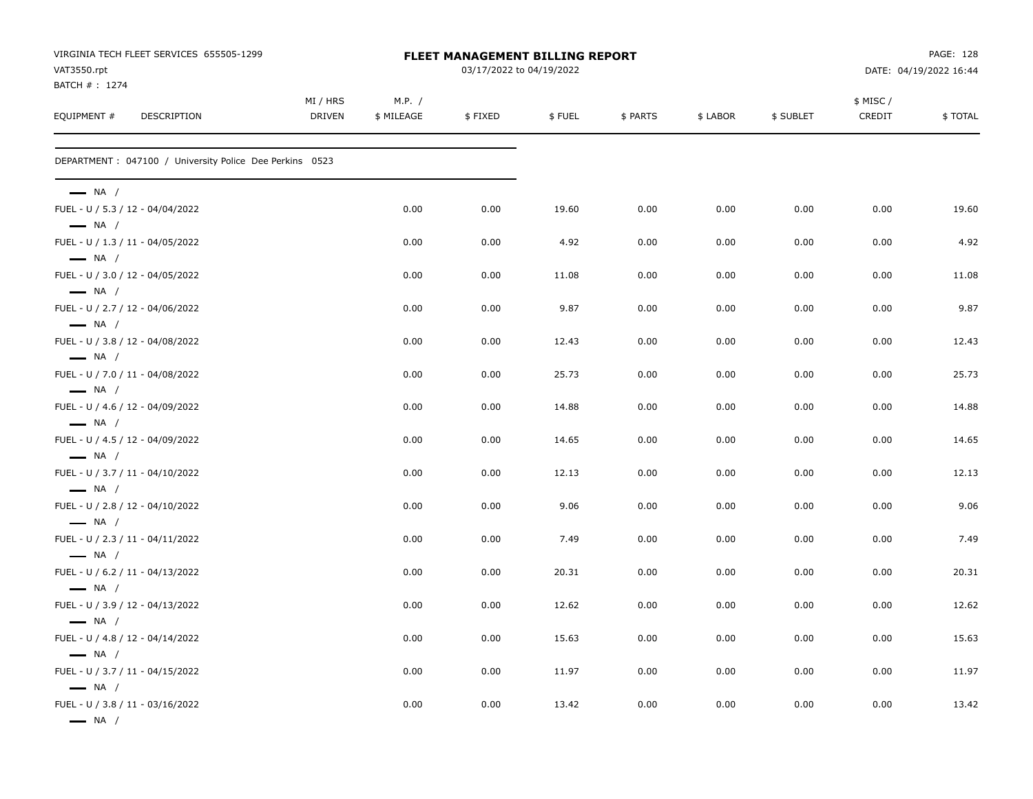| VAT3550.rpt<br>BATCH #: 1274                               | VIRGINIA TECH FLEET SERVICES 655505-1299                 |                           |                      | <b>FLEET MANAGEMENT BILLING REPORT</b><br>03/17/2022 to 04/19/2022 |        |          |          |           |                     | PAGE: 128<br>DATE: 04/19/2022 16:44 |
|------------------------------------------------------------|----------------------------------------------------------|---------------------------|----------------------|--------------------------------------------------------------------|--------|----------|----------|-----------|---------------------|-------------------------------------|
| EQUIPMENT #                                                | <b>DESCRIPTION</b>                                       | MI / HRS<br><b>DRIVEN</b> | M.P. /<br>\$ MILEAGE | \$FIXED                                                            | \$FUEL | \$ PARTS | \$ LABOR | \$ SUBLET | \$ MISC /<br>CREDIT | \$TOTAL                             |
|                                                            | DEPARTMENT : 047100 / University Police Dee Perkins 0523 |                           |                      |                                                                    |        |          |          |           |                     |                                     |
| $\longrightarrow$ NA /                                     |                                                          |                           |                      |                                                                    |        |          |          |           |                     |                                     |
| FUEL - U / 5.3 / 12 - 04/04/2022<br>$\longrightarrow$ NA / |                                                          |                           | 0.00                 | 0.00                                                               | 19.60  | 0.00     | 0.00     | 0.00      | 0.00                | 19.60                               |
| FUEL - U / 1.3 / 11 - 04/05/2022<br>$\longrightarrow$ NA / |                                                          |                           | 0.00                 | 0.00                                                               | 4.92   | 0.00     | 0.00     | 0.00      | 0.00                | 4.92                                |
| FUEL - U / 3.0 / 12 - 04/05/2022<br>$\longrightarrow$ NA / |                                                          |                           | 0.00                 | 0.00                                                               | 11.08  | 0.00     | 0.00     | 0.00      | 0.00                | 11.08                               |
| FUEL - U / 2.7 / 12 - 04/06/2022<br>$\longrightarrow$ NA / |                                                          |                           | 0.00                 | 0.00                                                               | 9.87   | 0.00     | 0.00     | 0.00      | 0.00                | 9.87                                |
| FUEL - U / 3.8 / 12 - 04/08/2022<br>$\longrightarrow$ NA / |                                                          |                           | 0.00                 | 0.00                                                               | 12.43  | 0.00     | 0.00     | 0.00      | 0.00                | 12.43                               |
| FUEL - U / 7.0 / 11 - 04/08/2022<br>$\longrightarrow$ NA / |                                                          |                           | 0.00                 | 0.00                                                               | 25.73  | 0.00     | 0.00     | 0.00      | 0.00                | 25.73                               |
| FUEL - U / 4.6 / 12 - 04/09/2022<br>$\longrightarrow$ NA / |                                                          |                           | 0.00                 | 0.00                                                               | 14.88  | 0.00     | 0.00     | 0.00      | 0.00                | 14.88                               |
| FUEL - U / 4.5 / 12 - 04/09/2022<br>$\longrightarrow$ NA / |                                                          |                           | 0.00                 | 0.00                                                               | 14.65  | 0.00     | 0.00     | 0.00      | 0.00                | 14.65                               |
| FUEL - U / 3.7 / 11 - 04/10/2022<br>$\longrightarrow$ NA / |                                                          |                           | 0.00                 | 0.00                                                               | 12.13  | 0.00     | 0.00     | 0.00      | 0.00                | 12.13                               |
| FUEL - U / 2.8 / 12 - 04/10/2022<br>$\longrightarrow$ NA / |                                                          |                           | 0.00                 | 0.00                                                               | 9.06   | 0.00     | 0.00     | 0.00      | 0.00                | 9.06                                |
| FUEL - U / 2.3 / 11 - 04/11/2022<br>$\longrightarrow$ NA / |                                                          |                           | 0.00                 | 0.00                                                               | 7.49   | 0.00     | 0.00     | 0.00      | 0.00                | 7.49                                |
| FUEL - U / 6.2 / 11 - 04/13/2022<br>$\longrightarrow$ NA / |                                                          |                           | 0.00                 | 0.00                                                               | 20.31  | 0.00     | 0.00     | 0.00      | 0.00                | 20.31                               |
| FUEL - U / 3.9 / 12 - 04/13/2022<br>$\longrightarrow$ NA / |                                                          |                           | 0.00                 | 0.00                                                               | 12.62  | 0.00     | 0.00     | 0.00      | 0.00                | 12.62                               |
| FUEL - U / 4.8 / 12 - 04/14/2022<br>$\longrightarrow$ NA / |                                                          |                           | 0.00                 | 0.00                                                               | 15.63  | 0.00     | 0.00     | 0.00      | 0.00                | 15.63                               |
| FUEL - U / 3.7 / 11 - 04/15/2022<br>$\longrightarrow$ NA / |                                                          |                           | 0.00                 | 0.00                                                               | 11.97  | 0.00     | 0.00     | 0.00      | 0.00                | 11.97                               |
| FUEL - U / 3.8 / 11 - 03/16/2022<br>$\longrightarrow$ NA / |                                                          |                           | 0.00                 | 0.00                                                               | 13.42  | 0.00     | 0.00     | 0.00      | 0.00                | 13.42                               |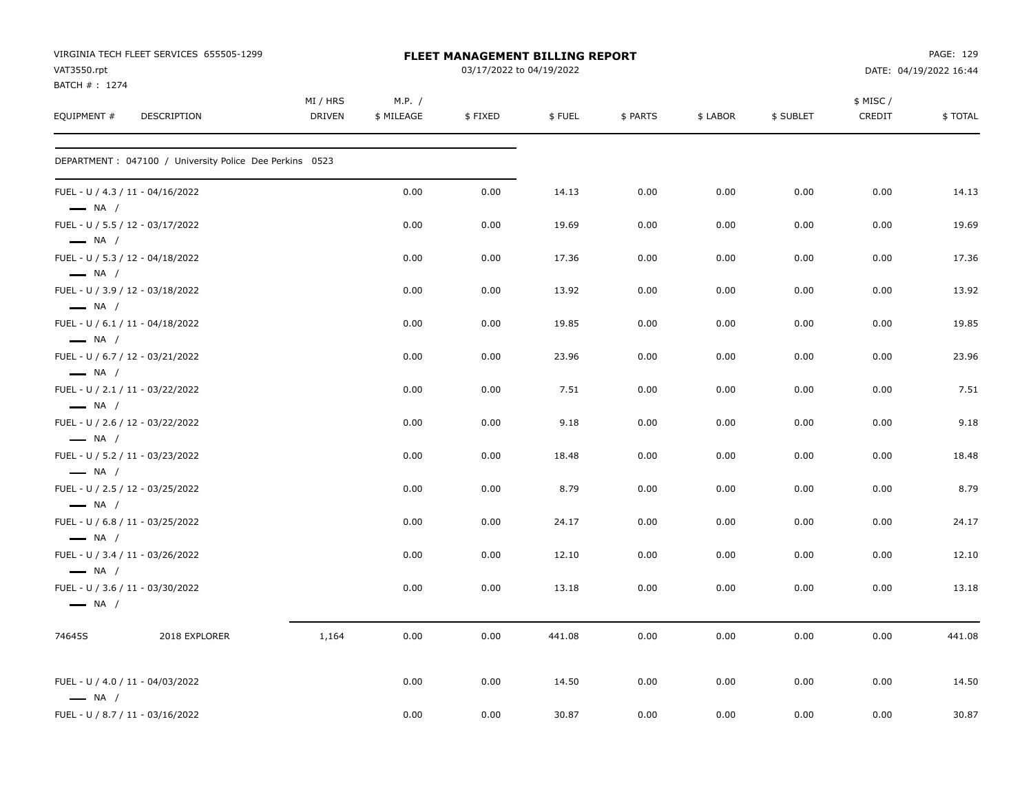| VAT3550.rpt                                                                          | VIRGINIA TECH FLEET SERVICES 655505-1299                 |                           |                      | <b>FLEET MANAGEMENT BILLING REPORT</b><br>03/17/2022 to 04/19/2022 |        |          |          |           |                     | PAGE: 129<br>DATE: 04/19/2022 16:44 |
|--------------------------------------------------------------------------------------|----------------------------------------------------------|---------------------------|----------------------|--------------------------------------------------------------------|--------|----------|----------|-----------|---------------------|-------------------------------------|
| BATCH #: 1274<br>EQUIPMENT #                                                         | DESCRIPTION                                              | MI / HRS<br><b>DRIVEN</b> | M.P. /<br>\$ MILEAGE | \$FIXED                                                            | \$FUEL | \$ PARTS | \$ LABOR | \$ SUBLET | \$ MISC /<br>CREDIT | \$ TOTAL                            |
|                                                                                      |                                                          |                           |                      |                                                                    |        |          |          |           |                     |                                     |
|                                                                                      | DEPARTMENT : 047100 / University Police Dee Perkins 0523 |                           |                      |                                                                    |        |          |          |           |                     |                                     |
| FUEL - U / 4.3 / 11 - 04/16/2022<br>$\longrightarrow$ NA /                           |                                                          |                           | 0.00                 | 0.00                                                               | 14.13  | 0.00     | 0.00     | 0.00      | 0.00                | 14.13                               |
| FUEL - U / 5.5 / 12 - 03/17/2022                                                     |                                                          |                           | 0.00                 | 0.00                                                               | 19.69  | 0.00     | 0.00     | 0.00      | 0.00                | 19.69                               |
| $\longrightarrow$ NA /<br>FUEL - U / 5.3 / 12 - 04/18/2022                           |                                                          |                           | 0.00                 | 0.00                                                               | 17.36  | 0.00     | 0.00     | 0.00      | 0.00                | 17.36                               |
| $\longrightarrow$ NA /<br>FUEL - U / 3.9 / 12 - 03/18/2022                           |                                                          |                           | 0.00                 | 0.00                                                               | 13.92  | 0.00     | 0.00     | 0.00      | 0.00                | 13.92                               |
| $\longrightarrow$ NA /<br>FUEL - U / 6.1 / 11 - 04/18/2022                           |                                                          |                           | 0.00                 | 0.00                                                               | 19.85  | 0.00     | 0.00     | 0.00      | 0.00                | 19.85                               |
| $\longrightarrow$ NA /<br>FUEL - U / 6.7 / 12 - 03/21/2022                           |                                                          |                           | 0.00                 | 0.00                                                               | 23.96  | 0.00     | 0.00     | 0.00      | 0.00                | 23.96                               |
| $\longrightarrow$ NA /<br>FUEL - U / 2.1 / 11 - 03/22/2022                           |                                                          |                           | 0.00                 | 0.00                                                               | 7.51   | 0.00     | 0.00     | 0.00      | 0.00                | 7.51                                |
| $\longrightarrow$ NA /<br>FUEL - U / 2.6 / 12 - 03/22/2022                           |                                                          |                           | 0.00                 | 0.00                                                               | 9.18   | 0.00     | 0.00     | 0.00      | 0.00                | 9.18                                |
| $\longrightarrow$ NA /<br>FUEL - U / 5.2 / 11 - 03/23/2022                           |                                                          |                           | 0.00                 | 0.00                                                               | 18.48  | 0.00     | 0.00     | 0.00      | 0.00                | 18.48                               |
| $\longrightarrow$ NA /<br>FUEL - U / 2.5 / 12 - 03/25/2022                           |                                                          |                           | 0.00                 | 0.00                                                               | 8.79   | 0.00     | 0.00     | 0.00      | 0.00                | 8.79                                |
| $\longrightarrow$ NA /<br>FUEL - U / 6.8 / 11 - 03/25/2022                           |                                                          |                           | 0.00                 | 0.00                                                               | 24.17  | 0.00     | 0.00     | 0.00      | 0.00                | 24.17                               |
| $\longrightarrow$ NA /<br>FUEL - U / 3.4 / 11 - 03/26/2022                           |                                                          |                           | 0.00                 | 0.00                                                               | 12.10  | 0.00     | 0.00     | 0.00      | 0.00                | 12.10                               |
| $\longrightarrow$ NA /<br>FUEL - U / 3.6 / 11 - 03/30/2022<br>$\longrightarrow$ NA / |                                                          |                           | 0.00                 | 0.00                                                               | 13.18  | 0.00     | 0.00     | 0.00      | 0.00                | 13.18                               |
| 74645S                                                                               | 2018 EXPLORER                                            | 1,164                     | 0.00                 | 0.00                                                               | 441.08 | 0.00     | 0.00     | 0.00      | 0.00                | 441.08                              |
| FUEL - U / 4.0 / 11 - 04/03/2022<br>$\longrightarrow$ NA /                           |                                                          |                           | 0.00                 | 0.00                                                               | 14.50  | 0.00     | 0.00     | 0.00      | 0.00                | 14.50                               |
| FUEL - U / 8.7 / 11 - 03/16/2022                                                     |                                                          |                           | 0.00                 | 0.00                                                               | 30.87  | 0.00     | 0.00     | 0.00      | 0.00                | 30.87                               |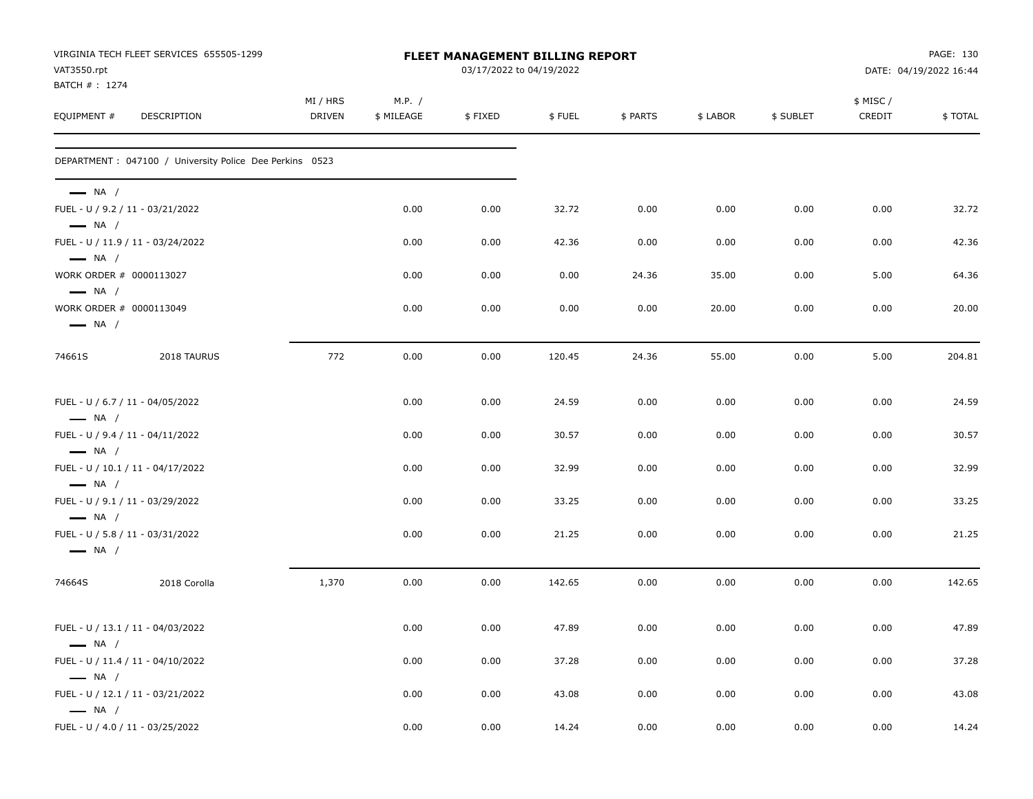| VAT3550.rpt                   | VIRGINIA TECH FLEET SERVICES 655505-1299                 |                    |                      | FLEET MANAGEMENT BILLING REPORT<br>03/17/2022 to 04/19/2022 |        |          |          |           |                    | PAGE: 130<br>DATE: 04/19/2022 16:44 |
|-------------------------------|----------------------------------------------------------|--------------------|----------------------|-------------------------------------------------------------|--------|----------|----------|-----------|--------------------|-------------------------------------|
| BATCH # : 1274<br>EQUIPMENT # | DESCRIPTION                                              | MI / HRS<br>DRIVEN | M.P. /<br>\$ MILEAGE | \$FIXED                                                     | \$FUEL | \$ PARTS | \$ LABOR | \$ SUBLET | \$ MISC/<br>CREDIT | \$TOTAL                             |
|                               | DEPARTMENT : 047100 / University Police Dee Perkins 0523 |                    |                      |                                                             |        |          |          |           |                    |                                     |
| $-$ NA /                      |                                                          |                    |                      |                                                             |        |          |          |           |                    |                                     |
| $\longrightarrow$ NA /        | FUEL - U / 9.2 / 11 - 03/21/2022                         |                    | 0.00                 | 0.00                                                        | 32.72  | 0.00     | 0.00     | 0.00      | 0.00               | 32.72                               |
| $\longrightarrow$ NA /        | FUEL - U / 11.9 / 11 - 03/24/2022                        |                    | 0.00                 | 0.00                                                        | 42.36  | 0.00     | 0.00     | 0.00      | 0.00               | 42.36                               |
| $\longrightarrow$ NA /        | WORK ORDER # 0000113027                                  |                    | 0.00                 | 0.00                                                        | 0.00   | 24.36    | 35.00    | 0.00      | 5.00               | 64.36                               |
| $\longrightarrow$ NA /        | WORK ORDER # 0000113049                                  |                    | 0.00                 | 0.00                                                        | 0.00   | 0.00     | 20.00    | 0.00      | 0.00               | 20.00                               |
| 74661S                        | 2018 TAURUS                                              | 772                | 0.00                 | 0.00                                                        | 120.45 | 24.36    | 55.00    | 0.00      | 5.00               | 204.81                              |
| $\longrightarrow$ NA /        | FUEL - U / 6.7 / 11 - 04/05/2022                         |                    | 0.00                 | 0.00                                                        | 24.59  | 0.00     | 0.00     | 0.00      | 0.00               | 24.59                               |
| $\longrightarrow$ NA /        | FUEL - U / 9.4 / 11 - 04/11/2022                         |                    | 0.00                 | 0.00                                                        | 30.57  | 0.00     | 0.00     | 0.00      | 0.00               | 30.57                               |
| $\longrightarrow$ NA /        | FUEL - U / 10.1 / 11 - 04/17/2022                        |                    | 0.00                 | 0.00                                                        | 32.99  | 0.00     | 0.00     | 0.00      | 0.00               | 32.99                               |
| $\longrightarrow$ NA /        | FUEL - U / 9.1 / 11 - 03/29/2022                         |                    | 0.00                 | 0.00                                                        | 33.25  | 0.00     | 0.00     | 0.00      | 0.00               | 33.25                               |
| $\longrightarrow$ NA /        | FUEL - U / 5.8 / 11 - 03/31/2022                         |                    | 0.00                 | 0.00                                                        | 21.25  | 0.00     | 0.00     | 0.00      | 0.00               | 21.25                               |
| 74664S                        | 2018 Corolla                                             | 1,370              | 0.00                 | 0.00                                                        | 142.65 | 0.00     | 0.00     | 0.00      | 0.00               | 142.65                              |
| $\longrightarrow$ NA /        | FUEL - U / 13.1 / 11 - 04/03/2022                        |                    | 0.00                 | 0.00                                                        | 47.89  | 0.00     | 0.00     | 0.00      | 0.00               | 47.89                               |
| $\longrightarrow$ NA /        | FUEL - U / 11.4 / 11 - 04/10/2022                        |                    | 0.00                 | 0.00                                                        | 37.28  | 0.00     | 0.00     | 0.00      | 0.00               | 37.28                               |
| $\longrightarrow$ NA /        | FUEL - U / 12.1 / 11 - 03/21/2022                        |                    | 0.00                 | 0.00                                                        | 43.08  | 0.00     | 0.00     | 0.00      | 0.00               | 43.08                               |
|                               | FUEL - U / 4.0 / 11 - 03/25/2022                         |                    | 0.00                 | 0.00                                                        | 14.24  | 0.00     | 0.00     | 0.00      | 0.00               | 14.24                               |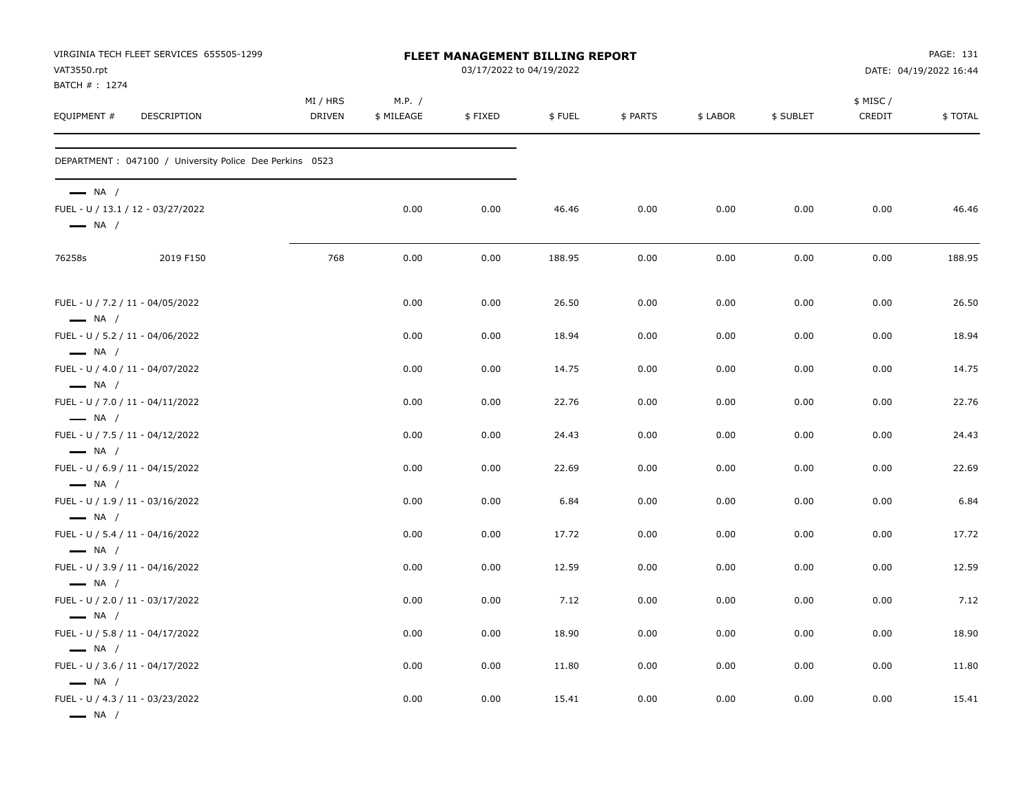| VAT3550.rpt<br>BATCH #: 1274                                                         | VIRGINIA TECH FLEET SERVICES 655505-1299                 |                           |                      | FLEET MANAGEMENT BILLING REPORT<br>03/17/2022 to 04/19/2022 |        |          |          |           |                     | PAGE: 131<br>DATE: 04/19/2022 16:44 |
|--------------------------------------------------------------------------------------|----------------------------------------------------------|---------------------------|----------------------|-------------------------------------------------------------|--------|----------|----------|-----------|---------------------|-------------------------------------|
| EQUIPMENT #                                                                          | DESCRIPTION                                              | MI / HRS<br><b>DRIVEN</b> | M.P. /<br>\$ MILEAGE | \$FIXED                                                     | \$FUEL | \$ PARTS | \$ LABOR | \$ SUBLET | \$ MISC /<br>CREDIT | \$TOTAL                             |
|                                                                                      | DEPARTMENT : 047100 / University Police Dee Perkins 0523 |                           |                      |                                                             |        |          |          |           |                     |                                     |
| $\longrightarrow$ NA /<br>$\longrightarrow$ NA /                                     | FUEL - U / 13.1 / 12 - 03/27/2022                        |                           | 0.00                 | 0.00                                                        | 46.46  | 0.00     | 0.00     | 0.00      | 0.00                | 46.46                               |
| 76258s                                                                               | 2019 F150                                                | 768                       | 0.00                 | 0.00                                                        | 188.95 | 0.00     | 0.00     | 0.00      | 0.00                | 188.95                              |
| FUEL - U / 7.2 / 11 - 04/05/2022<br>$\longrightarrow$ NA /                           |                                                          |                           | 0.00                 | 0.00                                                        | 26.50  | 0.00     | 0.00     | 0.00      | 0.00                | 26.50                               |
| FUEL - U / 5.2 / 11 - 04/06/2022                                                     |                                                          |                           | 0.00                 | 0.00                                                        | 18.94  | 0.00     | 0.00     | 0.00      | 0.00                | 18.94                               |
| $\longrightarrow$ NA /<br>FUEL - U / 4.0 / 11 - 04/07/2022<br>$\longrightarrow$ NA / |                                                          |                           | 0.00                 | 0.00                                                        | 14.75  | 0.00     | 0.00     | 0.00      | 0.00                | 14.75                               |
| FUEL - U / 7.0 / 11 - 04/11/2022<br>$\longrightarrow$ NA /                           |                                                          |                           | 0.00                 | 0.00                                                        | 22.76  | 0.00     | 0.00     | 0.00      | 0.00                | 22.76                               |
| FUEL - U / 7.5 / 11 - 04/12/2022<br>$\longrightarrow$ NA /                           |                                                          |                           | 0.00                 | 0.00                                                        | 24.43  | 0.00     | 0.00     | 0.00      | 0.00                | 24.43                               |
| FUEL - U / 6.9 / 11 - 04/15/2022<br>$\longrightarrow$ NA /                           |                                                          |                           | 0.00                 | 0.00                                                        | 22.69  | 0.00     | 0.00     | 0.00      | 0.00                | 22.69                               |
| FUEL - U / 1.9 / 11 - 03/16/2022<br>$\longrightarrow$ NA /                           |                                                          |                           | 0.00                 | 0.00                                                        | 6.84   | 0.00     | 0.00     | 0.00      | 0.00                | 6.84                                |
| FUEL - U / 5.4 / 11 - 04/16/2022<br>$\longrightarrow$ NA /                           |                                                          |                           | 0.00                 | 0.00                                                        | 17.72  | 0.00     | 0.00     | 0.00      | 0.00                | 17.72                               |
| FUEL - U / 3.9 / 11 - 04/16/2022<br>$\longrightarrow$ NA /                           |                                                          |                           | 0.00                 | 0.00                                                        | 12.59  | 0.00     | 0.00     | 0.00      | 0.00                | 12.59                               |
| FUEL - U / 2.0 / 11 - 03/17/2022<br>$\longrightarrow$ NA /                           |                                                          |                           | 0.00                 | 0.00                                                        | 7.12   | 0.00     | 0.00     | 0.00      | 0.00                | 7.12                                |
| FUEL - U / 5.8 / 11 - 04/17/2022<br>$\longrightarrow$ NA /                           |                                                          |                           | 0.00                 | 0.00                                                        | 18.90  | 0.00     | 0.00     | 0.00      | 0.00                | 18.90                               |
| FUEL - U / 3.6 / 11 - 04/17/2022<br>$\longrightarrow$ NA /                           |                                                          |                           | 0.00                 | 0.00                                                        | 11.80  | 0.00     | 0.00     | 0.00      | 0.00                | 11.80                               |
| FUEL - U / 4.3 / 11 - 03/23/2022<br>$\longrightarrow$ NA /                           |                                                          |                           | 0.00                 | 0.00                                                        | 15.41  | 0.00     | 0.00     | 0.00      | 0.00                | 15.41                               |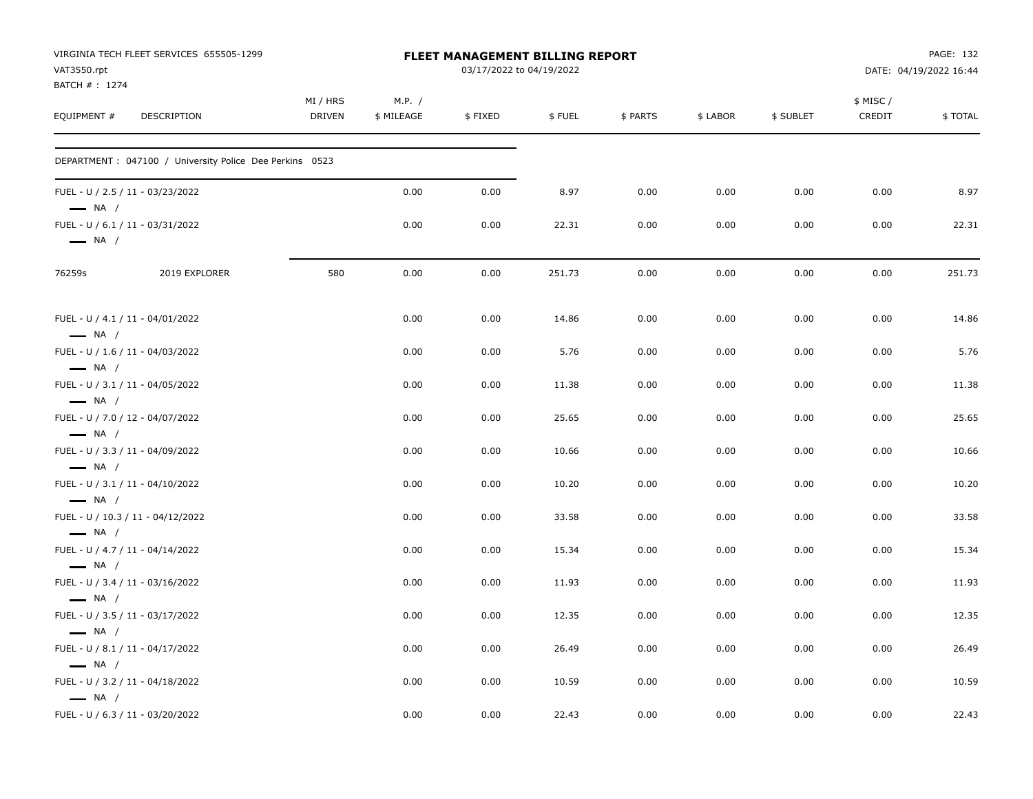| VAT3550.rpt                  | VIRGINIA TECH FLEET SERVICES 655505-1299                 |                           |                      | <b>FLEET MANAGEMENT BILLING REPORT</b><br>03/17/2022 to 04/19/2022 |        |          |          |           |                     | PAGE: 132<br>DATE: 04/19/2022 16:44 |
|------------------------------|----------------------------------------------------------|---------------------------|----------------------|--------------------------------------------------------------------|--------|----------|----------|-----------|---------------------|-------------------------------------|
| BATCH #: 1274<br>EQUIPMENT # | DESCRIPTION                                              | MI / HRS<br><b>DRIVEN</b> | M.P. /<br>\$ MILEAGE | \$FIXED                                                            | \$FUEL | \$ PARTS | \$ LABOR | \$ SUBLET | \$ MISC /<br>CREDIT | \$TOTAL                             |
|                              | DEPARTMENT : 047100 / University Police Dee Perkins 0523 |                           |                      |                                                                    |        |          |          |           |                     |                                     |
| $\longrightarrow$ NA /       | FUEL - U / 2.5 / 11 - 03/23/2022                         |                           | 0.00                 | 0.00                                                               | 8.97   | 0.00     | 0.00     | 0.00      | 0.00                | 8.97                                |
| $\longrightarrow$ NA /       | FUEL - U / 6.1 / 11 - 03/31/2022                         |                           | 0.00                 | 0.00                                                               | 22.31  | 0.00     | 0.00     | 0.00      | 0.00                | 22.31                               |
| 76259s                       | 2019 EXPLORER                                            | 580                       | 0.00                 | 0.00                                                               | 251.73 | 0.00     | 0.00     | 0.00      | 0.00                | 251.73                              |
| $\longrightarrow$ NA /       | FUEL - U / 4.1 / 11 - 04/01/2022                         |                           | 0.00                 | 0.00                                                               | 14.86  | 0.00     | 0.00     | 0.00      | 0.00                | 14.86                               |
| $\longrightarrow$ NA /       | FUEL - U / 1.6 / 11 - 04/03/2022                         |                           | 0.00                 | 0.00                                                               | 5.76   | 0.00     | 0.00     | 0.00      | 0.00                | 5.76                                |
| $\longrightarrow$ NA /       | FUEL - U / 3.1 / 11 - 04/05/2022                         |                           | 0.00                 | 0.00                                                               | 11.38  | 0.00     | 0.00     | 0.00      | 0.00                | 11.38                               |
| $\longrightarrow$ NA /       | FUEL - U / 7.0 / 12 - 04/07/2022                         |                           | 0.00                 | 0.00                                                               | 25.65  | 0.00     | 0.00     | 0.00      | 0.00                | 25.65                               |
| $\longrightarrow$ NA /       | FUEL - U / 3.3 / 11 - 04/09/2022                         |                           | 0.00                 | 0.00                                                               | 10.66  | 0.00     | 0.00     | 0.00      | 0.00                | 10.66                               |
| $\longrightarrow$ NA /       | FUEL - U / 3.1 / 11 - 04/10/2022                         |                           | 0.00                 | 0.00                                                               | 10.20  | 0.00     | 0.00     | 0.00      | 0.00                | 10.20                               |
| $\longrightarrow$ NA /       | FUEL - U / 10.3 / 11 - 04/12/2022                        |                           | 0.00                 | 0.00                                                               | 33.58  | 0.00     | 0.00     | 0.00      | 0.00                | 33.58                               |
| $\longrightarrow$ NA /       | FUEL - U / 4.7 / 11 - 04/14/2022                         |                           | 0.00                 | 0.00                                                               | 15.34  | 0.00     | 0.00     | 0.00      | 0.00                | 15.34                               |
| $\longrightarrow$ NA /       | FUEL - U / 3.4 / 11 - 03/16/2022                         |                           | 0.00                 | 0.00                                                               | 11.93  | 0.00     | 0.00     | 0.00      | 0.00                | 11.93                               |
| $\longrightarrow$ NA /       | FUEL - U / 3.5 / 11 - 03/17/2022                         |                           | 0.00                 | 0.00                                                               | 12.35  | 0.00     | 0.00     | 0.00      | 0.00                | 12.35                               |
| $\longrightarrow$ NA /       | FUEL - U / 8.1 / 11 - 04/17/2022                         |                           | 0.00                 | 0.00                                                               | 26.49  | 0.00     | 0.00     | 0.00      | 0.00                | 26.49                               |
| $\longrightarrow$ NA /       | FUEL - U / 3.2 / 11 - 04/18/2022                         |                           | 0.00                 | 0.00                                                               | 10.59  | 0.00     | 0.00     | 0.00      | 0.00                | 10.59                               |
|                              | FUEL - U / 6.3 / 11 - 03/20/2022                         |                           | 0.00                 | 0.00                                                               | 22.43  | 0.00     | 0.00     | 0.00      | 0.00                | 22.43                               |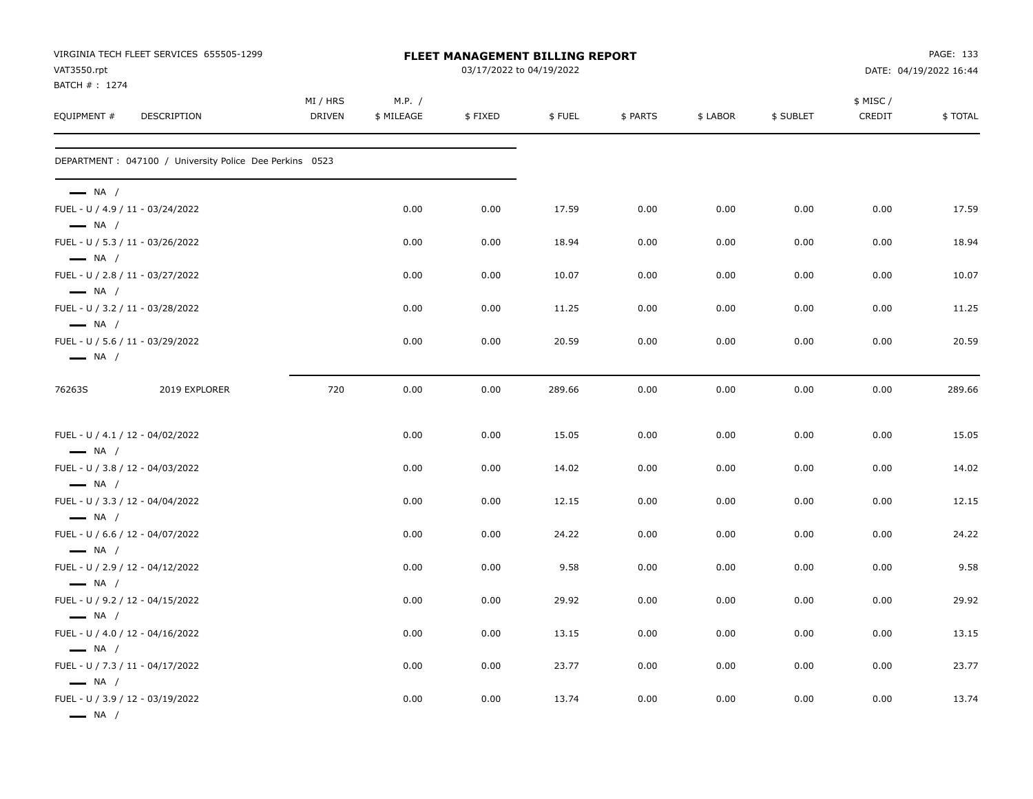| VAT3550.rpt                                      | VIRGINIA TECH FLEET SERVICES 655505-1299                 | <b>FLEET MANAGEMENT BILLING REPORT</b><br>03/17/2022 to 04/19/2022 |                      |         |        |          |          |           |                     | PAGE: 133<br>DATE: 04/19/2022 16:44 |  |
|--------------------------------------------------|----------------------------------------------------------|--------------------------------------------------------------------|----------------------|---------|--------|----------|----------|-----------|---------------------|-------------------------------------|--|
| BATCH #: 1274<br>EQUIPMENT #                     | DESCRIPTION                                              | MI / HRS<br><b>DRIVEN</b>                                          | M.P. /<br>\$ MILEAGE | \$FIXED | \$FUEL | \$ PARTS | \$ LABOR | \$ SUBLET | \$ MISC /<br>CREDIT | \$TOTAL                             |  |
|                                                  | DEPARTMENT : 047100 / University Police Dee Perkins 0523 |                                                                    |                      |         |        |          |          |           |                     |                                     |  |
| $\longrightarrow$ NA /<br>$\longrightarrow$ NA / | FUEL - U / 4.9 / 11 - 03/24/2022                         |                                                                    | 0.00                 | 0.00    | 17.59  | 0.00     | 0.00     | 0.00      | 0.00                | 17.59                               |  |
|                                                  | FUEL - U / 5.3 / 11 - 03/26/2022                         |                                                                    | 0.00                 | 0.00    | 18.94  | 0.00     | 0.00     | 0.00      | 0.00                | 18.94                               |  |
| $\longrightarrow$ NA /<br>$\longrightarrow$ NA / | FUEL - U / 2.8 / 11 - 03/27/2022                         |                                                                    | 0.00                 | 0.00    | 10.07  | 0.00     | 0.00     | 0.00      | 0.00                | 10.07                               |  |
|                                                  | FUEL - U / 3.2 / 11 - 03/28/2022                         |                                                                    | 0.00                 | 0.00    | 11.25  | 0.00     | 0.00     | 0.00      | 0.00                | 11.25                               |  |
| $\longrightarrow$ NA /<br>$\longrightarrow$ NA / | FUEL - U / 5.6 / 11 - 03/29/2022                         |                                                                    | 0.00                 | 0.00    | 20.59  | 0.00     | 0.00     | 0.00      | 0.00                | 20.59                               |  |
| 76263S                                           | 2019 EXPLORER                                            | 720                                                                | 0.00                 | 0.00    | 289.66 | 0.00     | 0.00     | 0.00      | 0.00                | 289.66                              |  |
| $\longrightarrow$ NA /                           | FUEL - U / 4.1 / 12 - 04/02/2022                         |                                                                    | 0.00                 | 0.00    | 15.05  | 0.00     | 0.00     | 0.00      | 0.00                | 15.05                               |  |
|                                                  | FUEL - U / 3.8 / 12 - 04/03/2022                         |                                                                    | 0.00                 | 0.00    | 14.02  | 0.00     | 0.00     | 0.00      | 0.00                | 14.02                               |  |
| $\longrightarrow$ NA /<br>$\longrightarrow$ NA / | FUEL - U / 3.3 / 12 - 04/04/2022                         |                                                                    | 0.00                 | 0.00    | 12.15  | 0.00     | 0.00     | 0.00      | 0.00                | 12.15                               |  |
|                                                  | FUEL - U / 6.6 / 12 - 04/07/2022                         |                                                                    | 0.00                 | 0.00    | 24.22  | 0.00     | 0.00     | 0.00      | 0.00                | 24.22                               |  |
| $\longrightarrow$ NA /<br>$\longrightarrow$ NA / | FUEL - U / 2.9 / 12 - 04/12/2022                         |                                                                    | 0.00                 | 0.00    | 9.58   | 0.00     | 0.00     | 0.00      | 0.00                | 9.58                                |  |
| $\longrightarrow$ NA /                           | FUEL - U / 9.2 / 12 - 04/15/2022                         |                                                                    | 0.00                 | 0.00    | 29.92  | 0.00     | 0.00     | 0.00      | 0.00                | 29.92                               |  |
| $\longrightarrow$ NA /                           | FUEL - U / 4.0 / 12 - 04/16/2022                         |                                                                    | 0.00                 | 0.00    | 13.15  | 0.00     | 0.00     | 0.00      | 0.00                | 13.15                               |  |
| $\longrightarrow$ NA /                           | FUEL - U / 7.3 / 11 - 04/17/2022                         |                                                                    | 0.00                 | 0.00    | 23.77  | 0.00     | 0.00     | 0.00      | 0.00                | 23.77                               |  |
| — NA /                                           | FUEL - U / 3.9 / 12 - 03/19/2022                         |                                                                    | 0.00                 | 0.00    | 13.74  | 0.00     | 0.00     | 0.00      | 0.00                | 13.74                               |  |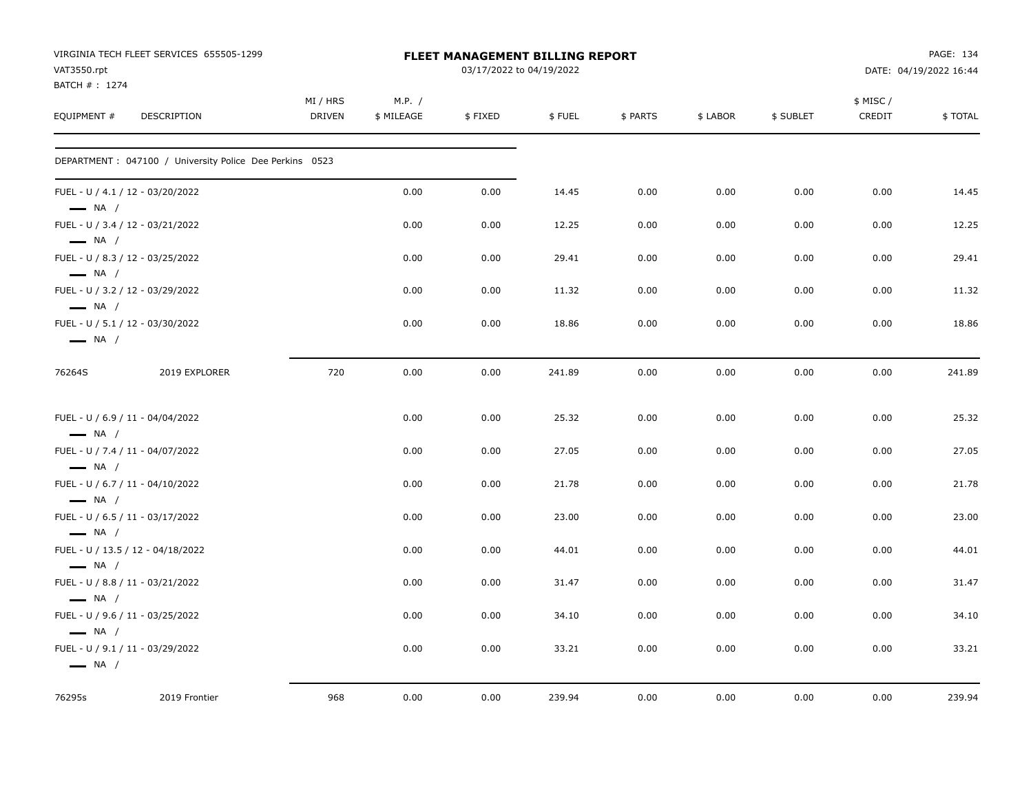|                              | VIRGINIA TECH FLEET SERVICES 655505-1299                             |                           |                      | <b>FLEET MANAGEMENT BILLING REPORT</b> |                |              |              |              |                    | PAGE: 134              |
|------------------------------|----------------------------------------------------------------------|---------------------------|----------------------|----------------------------------------|----------------|--------------|--------------|--------------|--------------------|------------------------|
| VAT3550.rpt<br>BATCH #: 1274 |                                                                      |                           |                      | 03/17/2022 to 04/19/2022               |                |              |              |              |                    | DATE: 04/19/2022 16:44 |
| EQUIPMENT #                  | DESCRIPTION                                                          | MI / HRS<br><b>DRIVEN</b> | M.P. /<br>\$ MILEAGE | \$FIXED                                | \$FUEL         | \$ PARTS     | \$ LABOR     | \$ SUBLET    | \$ MISC/<br>CREDIT | \$TOTAL                |
|                              | DEPARTMENT : 047100 / University Police Dee Perkins 0523             |                           |                      |                                        |                |              |              |              |                    |                        |
| $\longrightarrow$ NA /       | FUEL - U / 4.1 / 12 - 03/20/2022                                     |                           | 0.00                 | 0.00                                   | 14.45          | 0.00         | 0.00         | 0.00         | 0.00               | 14.45                  |
| $\longrightarrow$ NA /       | FUEL - U / 3.4 / 12 - 03/21/2022                                     |                           | 0.00                 | 0.00                                   | 12.25          | 0.00         | 0.00         | 0.00         | 0.00               | 12.25                  |
| $\longrightarrow$ NA /       | FUEL - U / 8.3 / 12 - 03/25/2022                                     |                           | 0.00                 | 0.00                                   | 29.41          | 0.00         | 0.00         | 0.00         | 0.00               | 29.41                  |
| $\longrightarrow$ NA /       | FUEL - U / 3.2 / 12 - 03/29/2022                                     |                           | 0.00                 | 0.00                                   | 11.32          | 0.00         | 0.00         | 0.00         | 0.00               | 11.32                  |
| $\longrightarrow$ NA /       | FUEL - U / 5.1 / 12 - 03/30/2022                                     |                           | 0.00                 | 0.00                                   | 18.86          | 0.00         | 0.00         | 0.00         | 0.00               | 18.86                  |
| 76264S                       | 2019 EXPLORER                                                        | 720                       | 0.00                 | 0.00                                   | 241.89         | 0.00         | 0.00         | 0.00         | 0.00               | 241.89                 |
| $\longrightarrow$ NA /       | FUEL - U / 6.9 / 11 - 04/04/2022                                     |                           | 0.00                 | 0.00                                   | 25.32          | 0.00         | 0.00         | 0.00         | 0.00               | 25.32                  |
| $\longrightarrow$ NA /       | FUEL - U / 7.4 / 11 - 04/07/2022                                     |                           | 0.00                 | 0.00                                   | 27.05          | 0.00         | 0.00         | 0.00         | 0.00               | 27.05                  |
| $-$ NA $/$                   | FUEL - U / 6.7 / 11 - 04/10/2022                                     |                           | 0.00                 | 0.00                                   | 21.78          | 0.00         | 0.00         | 0.00         | 0.00               | 21.78                  |
| $\longrightarrow$ NA /       | FUEL - U / 6.5 / 11 - 03/17/2022                                     |                           | 0.00                 | 0.00                                   | 23.00          | 0.00         | 0.00         | 0.00         | 0.00               | 23.00                  |
| $\longrightarrow$ NA /       | FUEL - U / 13.5 / 12 - 04/18/2022                                    |                           | 0.00                 | 0.00                                   | 44.01          | 0.00         | 0.00         | 0.00         | 0.00               | 44.01                  |
| $\longrightarrow$ NA /       | FUEL - U / 8.8 / 11 - 03/21/2022                                     |                           | 0.00<br>0.00         | 0.00<br>0.00                           | 31.47          | 0.00<br>0.00 | 0.00<br>0.00 | 0.00         | 0.00               | 31.47                  |
| $\longrightarrow$ NA /       | FUEL - U / 9.6 / 11 - 03/25/2022<br>FUEL - U / 9.1 / 11 - 03/29/2022 |                           | 0.00                 | 0.00                                   | 34.10<br>33.21 | 0.00         | 0.00         | 0.00<br>0.00 | 0.00<br>0.00       | 34.10<br>33.21         |
| $\longrightarrow$ NA /       |                                                                      |                           |                      |                                        |                |              |              |              |                    |                        |
| 76295s                       | 2019 Frontier                                                        | 968                       | 0.00                 | 0.00                                   | 239.94         | 0.00         | 0.00         | 0.00         | 0.00               | 239.94                 |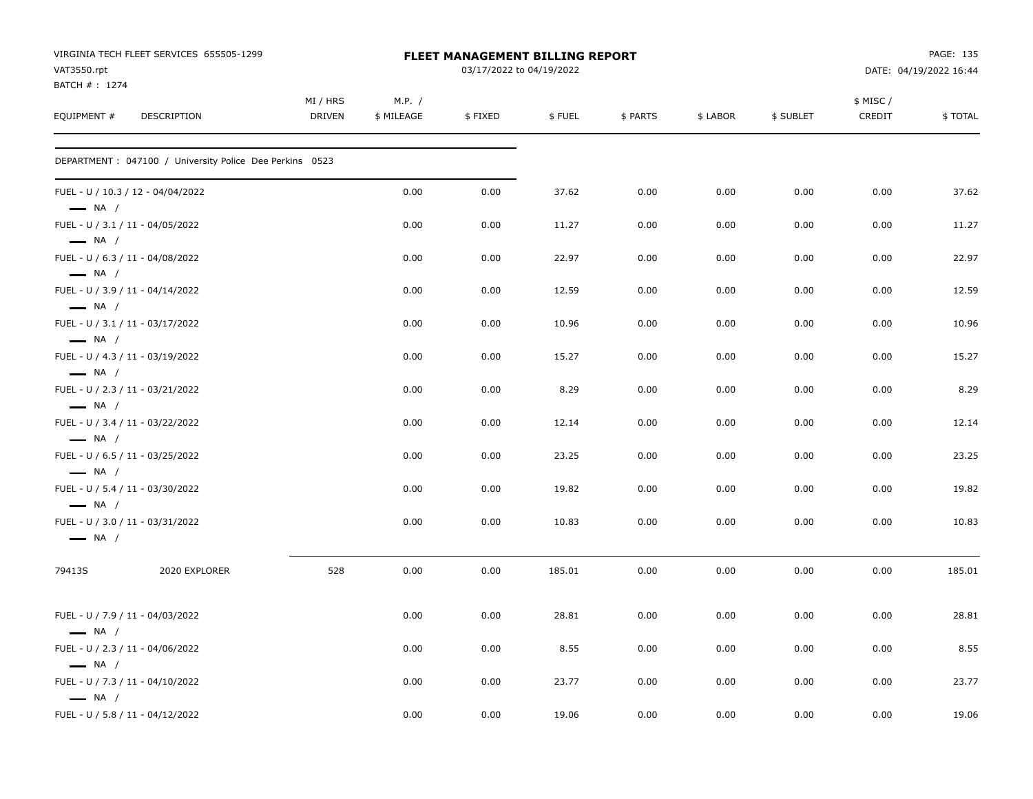| VAT3550.rpt                                                 | VIRGINIA TECH FLEET SERVICES 655505-1299                 |                           |                      | <b>FLEET MANAGEMENT BILLING REPORT</b><br>03/17/2022 to 04/19/2022 |        |          |          |           |                    | PAGE: 135              |
|-------------------------------------------------------------|----------------------------------------------------------|---------------------------|----------------------|--------------------------------------------------------------------|--------|----------|----------|-----------|--------------------|------------------------|
| BATCH #: 1274                                               |                                                          |                           |                      |                                                                    |        |          |          |           |                    | DATE: 04/19/2022 16:44 |
| EQUIPMENT #                                                 | DESCRIPTION                                              | MI / HRS<br><b>DRIVEN</b> | M.P. /<br>\$ MILEAGE | \$FIXED                                                            | \$FUEL | \$ PARTS | \$ LABOR | \$ SUBLET | \$ MISC/<br>CREDIT | \$TOTAL                |
|                                                             | DEPARTMENT : 047100 / University Police Dee Perkins 0523 |                           |                      |                                                                    |        |          |          |           |                    |                        |
| FUEL - U / 10.3 / 12 - 04/04/2022<br>$\longrightarrow$ NA / |                                                          |                           | 0.00                 | 0.00                                                               | 37.62  | 0.00     | 0.00     | 0.00      | 0.00               | 37.62                  |
| FUEL - U / 3.1 / 11 - 04/05/2022<br>$\longrightarrow$ NA /  |                                                          |                           | 0.00                 | 0.00                                                               | 11.27  | 0.00     | 0.00     | 0.00      | 0.00               | 11.27                  |
| FUEL - U / 6.3 / 11 - 04/08/2022<br>$\longrightarrow$ NA /  |                                                          |                           | 0.00                 | 0.00                                                               | 22.97  | 0.00     | 0.00     | 0.00      | 0.00               | 22.97                  |
| FUEL - U / 3.9 / 11 - 04/14/2022<br>$\longrightarrow$ NA /  |                                                          |                           | 0.00                 | 0.00                                                               | 12.59  | 0.00     | 0.00     | 0.00      | 0.00               | 12.59                  |
| FUEL - U / 3.1 / 11 - 03/17/2022<br>$\longrightarrow$ NA /  |                                                          |                           | 0.00                 | 0.00                                                               | 10.96  | 0.00     | 0.00     | 0.00      | 0.00               | 10.96                  |
| FUEL - U / 4.3 / 11 - 03/19/2022<br>$\longrightarrow$ NA /  |                                                          |                           | 0.00                 | 0.00                                                               | 15.27  | 0.00     | 0.00     | 0.00      | 0.00               | 15.27                  |
| FUEL - U / 2.3 / 11 - 03/21/2022<br>$\longrightarrow$ NA /  |                                                          |                           | 0.00                 | 0.00                                                               | 8.29   | 0.00     | 0.00     | 0.00      | 0.00               | 8.29                   |
| FUEL - U / 3.4 / 11 - 03/22/2022<br>$\longrightarrow$ NA /  |                                                          |                           | 0.00                 | 0.00                                                               | 12.14  | 0.00     | 0.00     | 0.00      | 0.00               | 12.14                  |
| FUEL - U / 6.5 / 11 - 03/25/2022<br>$\longrightarrow$ NA /  |                                                          |                           | 0.00                 | 0.00                                                               | 23.25  | 0.00     | 0.00     | 0.00      | 0.00               | 23.25                  |
| FUEL - U / 5.4 / 11 - 03/30/2022<br>$\longrightarrow$ NA /  |                                                          |                           | 0.00                 | 0.00                                                               | 19.82  | 0.00     | 0.00     | 0.00      | 0.00               | 19.82                  |
| FUEL - U / 3.0 / 11 - 03/31/2022<br>$\longrightarrow$ NA /  |                                                          |                           | 0.00                 | 0.00                                                               | 10.83  | 0.00     | 0.00     | 0.00      | 0.00               | 10.83                  |
| 79413S                                                      | 2020 EXPLORER                                            | 528                       | 0.00                 | 0.00                                                               | 185.01 | 0.00     | 0.00     | 0.00      | 0.00               | 185.01                 |
| FUEL - U / 7.9 / 11 - 04/03/2022<br>$\longrightarrow$ NA /  |                                                          |                           | 0.00                 | 0.00                                                               | 28.81  | 0.00     | 0.00     | 0.00      | 0.00               | 28.81                  |
| FUEL - U / 2.3 / 11 - 04/06/2022<br>$\longrightarrow$ NA /  |                                                          |                           | 0.00                 | 0.00                                                               | 8.55   | 0.00     | 0.00     | 0.00      | 0.00               | 8.55                   |
| FUEL - U / 7.3 / 11 - 04/10/2022<br>$\longrightarrow$ NA /  |                                                          |                           | 0.00                 | 0.00                                                               | 23.77  | 0.00     | 0.00     | 0.00      | 0.00               | 23.77                  |
| FUEL - U / 5.8 / 11 - 04/12/2022                            |                                                          |                           | 0.00                 | 0.00                                                               | 19.06  | 0.00     | 0.00     | 0.00      | 0.00               | 19.06                  |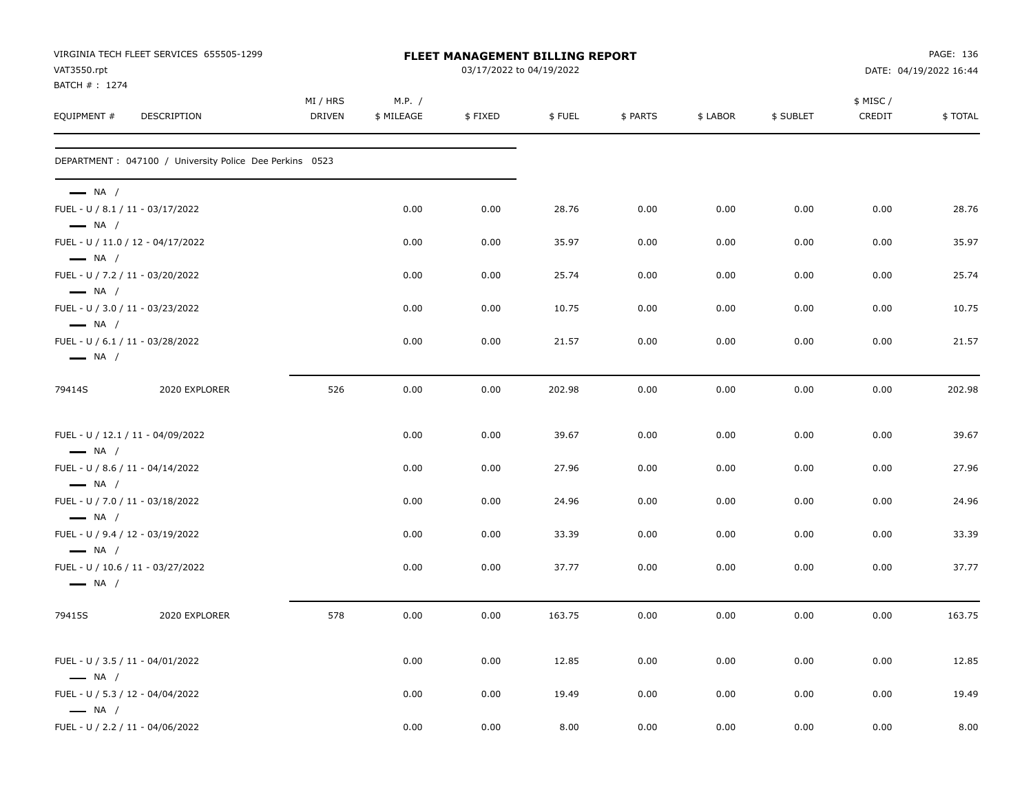| VAT3550.rpt                                      | VIRGINIA TECH FLEET SERVICES 655505-1299                 |                    |                      | FLEET MANAGEMENT BILLING REPORT<br>03/17/2022 to 04/19/2022 |        |          |          |           |                    | PAGE: 136<br>DATE: 04/19/2022 16:44 |
|--------------------------------------------------|----------------------------------------------------------|--------------------|----------------------|-------------------------------------------------------------|--------|----------|----------|-----------|--------------------|-------------------------------------|
| BATCH # : 1274<br>EQUIPMENT #                    | DESCRIPTION                                              | MI / HRS<br>DRIVEN | M.P. /<br>\$ MILEAGE | \$FIXED                                                     | \$FUEL | \$ PARTS | \$ LABOR | \$ SUBLET | \$ MISC/<br>CREDIT | \$TOTAL                             |
|                                                  | DEPARTMENT : 047100 / University Police Dee Perkins 0523 |                    |                      |                                                             |        |          |          |           |                    |                                     |
| $\longrightarrow$ NA /                           | FUEL - U / 8.1 / 11 - 03/17/2022                         |                    | 0.00                 | 0.00                                                        | 28.76  | 0.00     | 0.00     | 0.00      | 0.00               | 28.76                               |
| $\longrightarrow$ NA /                           | FUEL - U / 11.0 / 12 - 04/17/2022                        |                    | 0.00                 | 0.00                                                        | 35.97  | 0.00     | 0.00     | 0.00      | 0.00               | 35.97                               |
| $\longrightarrow$ NA /                           | FUEL - U / 7.2 / 11 - 03/20/2022                         |                    | 0.00                 | 0.00                                                        | 25.74  | 0.00     | 0.00     | 0.00      | 0.00               | 25.74                               |
| $\longrightarrow$ NA /                           | FUEL - U / 3.0 / 11 - 03/23/2022                         |                    | 0.00                 | 0.00                                                        | 10.75  | 0.00     | 0.00     | 0.00      | 0.00               | 10.75                               |
| $\longrightarrow$ NA /<br>$\longrightarrow$ NA / | FUEL - U / 6.1 / 11 - 03/28/2022                         |                    | 0.00                 | 0.00                                                        | 21.57  | 0.00     | 0.00     | 0.00      | 0.00               | 21.57                               |
| 79414S                                           | 2020 EXPLORER                                            | 526                | 0.00                 | 0.00                                                        | 202.98 | 0.00     | 0.00     | 0.00      | 0.00               | 202.98                              |
|                                                  | FUEL - U / 12.1 / 11 - 04/09/2022                        |                    | 0.00                 | 0.00                                                        | 39.67  | 0.00     | 0.00     | 0.00      | 0.00               | 39.67                               |
| $\longrightarrow$ NA /<br>$\longrightarrow$ NA / | FUEL - U / 8.6 / 11 - 04/14/2022                         |                    | 0.00                 | 0.00                                                        | 27.96  | 0.00     | 0.00     | 0.00      | 0.00               | 27.96                               |
| $\longrightarrow$ NA /                           | FUEL - U / 7.0 / 11 - 03/18/2022                         |                    | 0.00                 | 0.00                                                        | 24.96  | 0.00     | 0.00     | 0.00      | 0.00               | 24.96                               |
| $\longrightarrow$ NA /                           | FUEL - U / 9.4 / 12 - 03/19/2022                         |                    | 0.00                 | 0.00                                                        | 33.39  | 0.00     | 0.00     | 0.00      | 0.00               | 33.39                               |
| $\longrightarrow$ NA /                           | FUEL - U / 10.6 / 11 - 03/27/2022                        |                    | 0.00                 | 0.00                                                        | 37.77  | 0.00     | 0.00     | 0.00      | 0.00               | 37.77                               |
| 79415S                                           | 2020 EXPLORER                                            | 578                | 0.00                 | 0.00                                                        | 163.75 | 0.00     | 0.00     | 0.00      | 0.00               | 163.75                              |
| $\longrightarrow$ NA /                           | FUEL - U / 3.5 / 11 - 04/01/2022                         |                    | 0.00                 | 0.00                                                        | 12.85  | 0.00     | 0.00     | 0.00      | 0.00               | 12.85                               |
| $\longrightarrow$ NA /                           | FUEL - U / 5.3 / 12 - 04/04/2022                         |                    | 0.00                 | 0.00                                                        | 19.49  | 0.00     | 0.00     | 0.00      | 0.00               | 19.49                               |
|                                                  | FUEL - U / 2.2 / 11 - 04/06/2022                         |                    | 0.00                 | 0.00                                                        | 8.00   | 0.00     | 0.00     | 0.00      | 0.00               | 8.00                                |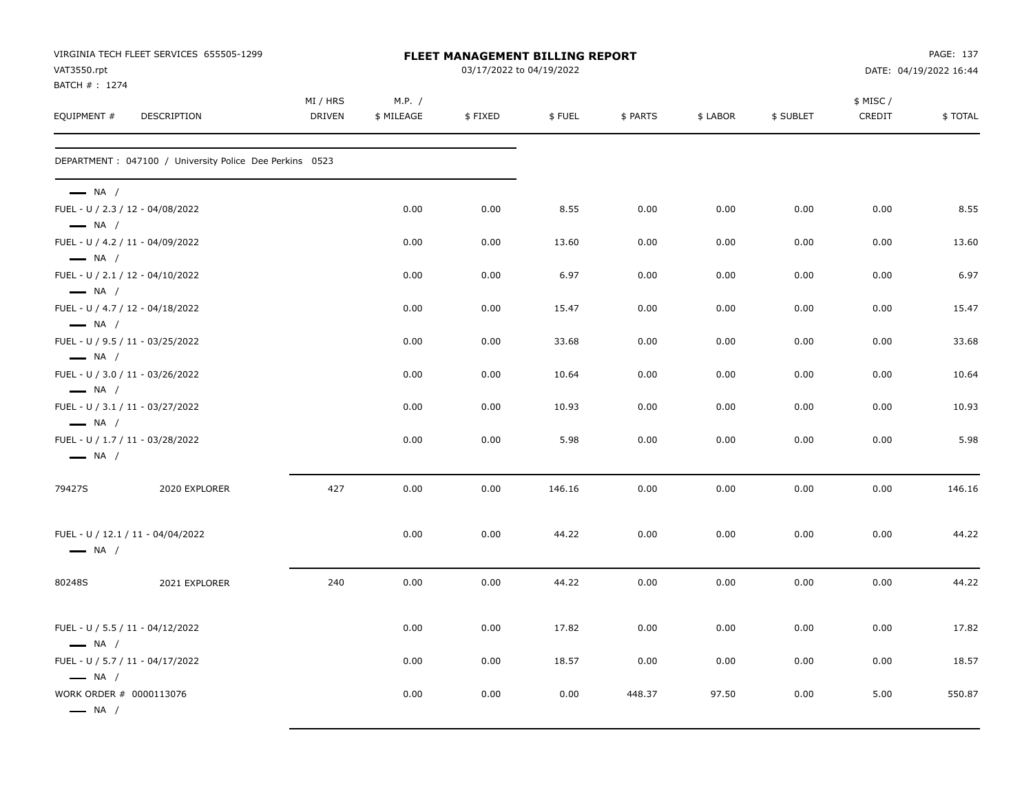| VAT3550.rpt<br>BATCH #: 1274                                                         | VIRGINIA TECH FLEET SERVICES 655505-1299                 |                           |                      |         | FLEET MANAGEMENT BILLING REPORT<br>03/17/2022 to 04/19/2022 |          |          |           |                     | PAGE: 137<br>DATE: 04/19/2022 16:44 |
|--------------------------------------------------------------------------------------|----------------------------------------------------------|---------------------------|----------------------|---------|-------------------------------------------------------------|----------|----------|-----------|---------------------|-------------------------------------|
| EQUIPMENT #                                                                          | DESCRIPTION                                              | MI / HRS<br><b>DRIVEN</b> | M.P. /<br>\$ MILEAGE | \$FIXED | \$FUEL                                                      | \$ PARTS | \$ LABOR | \$ SUBLET | \$ MISC /<br>CREDIT | \$TOTAL                             |
|                                                                                      | DEPARTMENT : 047100 / University Police Dee Perkins 0523 |                           |                      |         |                                                             |          |          |           |                     |                                     |
| $\longrightarrow$ NA /<br>$\longrightarrow$ NA /                                     | FUEL - U / 2.3 / 12 - 04/08/2022                         |                           | 0.00                 | 0.00    | 8.55                                                        | 0.00     | 0.00     | 0.00      | 0.00                | 8.55                                |
| $\longrightarrow$ NA /                                                               | FUEL - U / 4.2 / 11 - 04/09/2022                         |                           | 0.00                 | 0.00    | 13.60                                                       | 0.00     | 0.00     | 0.00      | 0.00                | 13.60                               |
| FUEL - U / 2.1 / 12 - 04/10/2022<br>$\longrightarrow$ NA /                           |                                                          |                           | 0.00                 | 0.00    | 6.97                                                        | 0.00     | 0.00     | 0.00      | 0.00                | 6.97                                |
| FUEL - U / 4.7 / 12 - 04/18/2022                                                     |                                                          |                           | 0.00                 | 0.00    | 15.47                                                       | 0.00     | 0.00     | 0.00      | 0.00                | 15.47                               |
| $\longrightarrow$ NA /<br>FUEL - U / 9.5 / 11 - 03/25/2022                           |                                                          |                           | 0.00                 | 0.00    | 33.68                                                       | 0.00     | 0.00     | 0.00      | 0.00                | 33.68                               |
| $\longrightarrow$ NA /<br>FUEL - U / 3.0 / 11 - 03/26/2022                           |                                                          |                           | 0.00                 | 0.00    | 10.64                                                       | 0.00     | 0.00     | 0.00      | 0.00                | 10.64                               |
| $\longrightarrow$ NA /<br>FUEL - U / 3.1 / 11 - 03/27/2022                           |                                                          |                           | 0.00                 | 0.00    | 10.93                                                       | 0.00     | 0.00     | 0.00      | 0.00                | 10.93                               |
| $\longrightarrow$ NA /<br>FUEL - U / 1.7 / 11 - 03/28/2022<br>$\longrightarrow$ NA / |                                                          |                           | 0.00                 | 0.00    | 5.98                                                        | 0.00     | 0.00     | 0.00      | 0.00                | 5.98                                |
| 79427S                                                                               | 2020 EXPLORER                                            | 427                       | 0.00                 | 0.00    | 146.16                                                      | 0.00     | 0.00     | 0.00      | 0.00                | 146.16                              |
| $\longrightarrow$ NA /                                                               | FUEL - U / 12.1 / 11 - 04/04/2022                        |                           | 0.00                 | 0.00    | 44.22                                                       | 0.00     | 0.00     | 0.00      | 0.00                | 44.22                               |
| 80248S                                                                               | 2021 EXPLORER                                            | 240                       | 0.00                 | 0.00    | 44.22                                                       | 0.00     | 0.00     | 0.00      | 0.00                | 44.22                               |
| FUEL - U / 5.5 / 11 - 04/12/2022<br>$\longrightarrow$ NA /                           |                                                          |                           | 0.00                 | 0.00    | 17.82                                                       | 0.00     | 0.00     | 0.00      | 0.00                | 17.82                               |
| $\longrightarrow$ NA /                                                               | FUEL - U / 5.7 / 11 - 04/17/2022                         |                           | 0.00                 | 0.00    | 18.57                                                       | 0.00     | 0.00     | 0.00      | 0.00                | 18.57                               |
| WORK ORDER # 0000113076<br>$\longrightarrow$ NA /                                    |                                                          |                           | 0.00                 | 0.00    | 0.00                                                        | 448.37   | 97.50    | 0.00      | 5.00                | 550.87                              |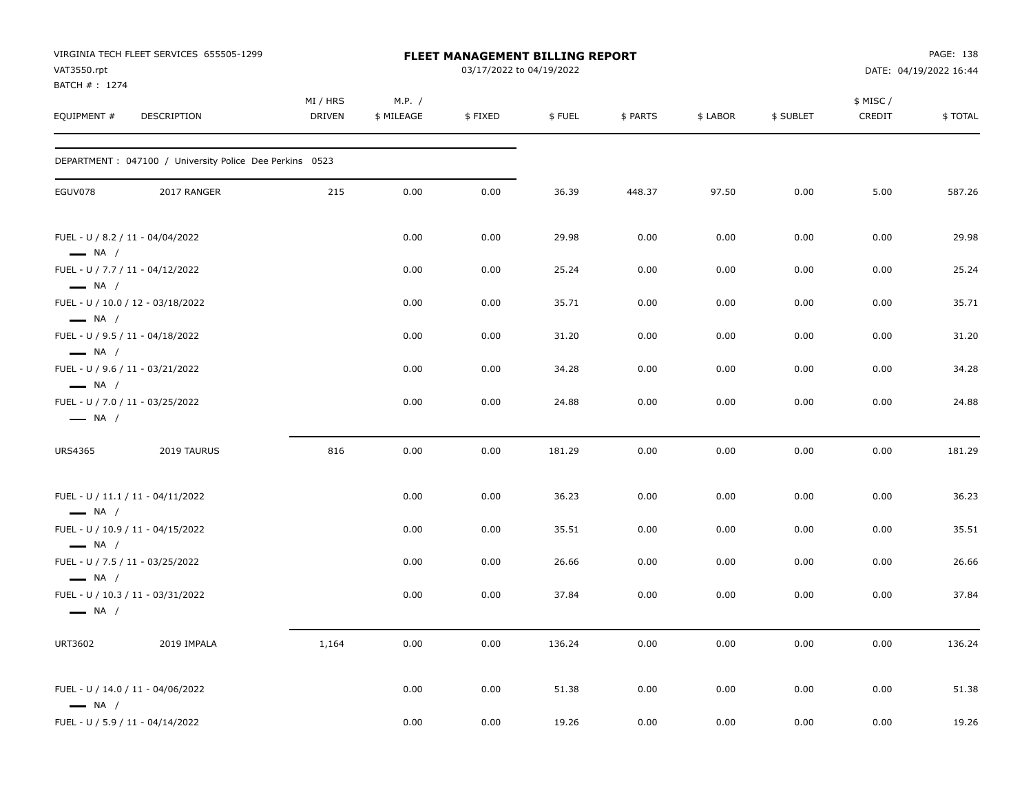| VAT3550.rpt                   | VIRGINIA TECH FLEET SERVICES 655505-1299                 | FLEET MANAGEMENT BILLING REPORT<br>03/17/2022 to 04/19/2022 |                      |         |        |          |          |           | PAGE: 138<br>DATE: 04/19/2022 16:44 |         |  |  |
|-------------------------------|----------------------------------------------------------|-------------------------------------------------------------|----------------------|---------|--------|----------|----------|-----------|-------------------------------------|---------|--|--|
| BATCH # : 1274<br>EQUIPMENT # | DESCRIPTION                                              | MI / HRS<br><b>DRIVEN</b>                                   | M.P. /<br>\$ MILEAGE | \$FIXED | \$FUEL | \$ PARTS | \$ LABOR | \$ SUBLET | \$ MISC /<br>CREDIT                 | \$TOTAL |  |  |
|                               | DEPARTMENT : 047100 / University Police Dee Perkins 0523 |                                                             |                      |         |        |          |          |           |                                     |         |  |  |
| EGUV078                       | 2017 RANGER                                              | 215                                                         | 0.00                 | 0.00    | 36.39  | 448.37   | 97.50    | 0.00      | 5.00                                | 587.26  |  |  |
| $\longrightarrow$ NA /        | FUEL - U / 8.2 / 11 - 04/04/2022                         |                                                             | 0.00                 | 0.00    | 29.98  | 0.00     | 0.00     | 0.00      | 0.00                                | 29.98   |  |  |
| $\longrightarrow$ NA /        | FUEL - U / 7.7 / 11 - 04/12/2022                         |                                                             | 0.00                 | 0.00    | 25.24  | 0.00     | 0.00     | 0.00      | 0.00                                | 25.24   |  |  |
| $\longrightarrow$ NA /        | FUEL - U / 10.0 / 12 - 03/18/2022                        |                                                             | 0.00                 | 0.00    | 35.71  | 0.00     | 0.00     | 0.00      | 0.00                                | 35.71   |  |  |
| $\longrightarrow$ NA /        | FUEL - U / 9.5 / 11 - 04/18/2022                         |                                                             | 0.00                 | 0.00    | 31.20  | 0.00     | 0.00     | 0.00      | 0.00                                | 31.20   |  |  |
| $\equiv$ NA /                 | FUEL - U / 9.6 / 11 - 03/21/2022                         |                                                             | 0.00                 | 0.00    | 34.28  | 0.00     | 0.00     | 0.00      | 0.00                                | 34.28   |  |  |
| $\longrightarrow$ NA /        | FUEL - U / 7.0 / 11 - 03/25/2022                         |                                                             | 0.00                 | 0.00    | 24.88  | 0.00     | 0.00     | 0.00      | 0.00                                | 24.88   |  |  |
| <b>URS4365</b>                | 2019 TAURUS                                              | 816                                                         | 0.00                 | 0.00    | 181.29 | 0.00     | 0.00     | 0.00      | 0.00                                | 181.29  |  |  |
| $\longrightarrow$ NA /        | FUEL - U / 11.1 / 11 - 04/11/2022                        |                                                             | 0.00                 | 0.00    | 36.23  | 0.00     | 0.00     | 0.00      | 0.00                                | 36.23   |  |  |
| $\longrightarrow$ NA /        | FUEL - U / 10.9 / 11 - 04/15/2022                        |                                                             | 0.00                 | 0.00    | 35.51  | 0.00     | 0.00     | 0.00      | 0.00                                | 35.51   |  |  |
| $\longrightarrow$ NA /        | FUEL - U / 7.5 / 11 - 03/25/2022                         |                                                             | 0.00                 | 0.00    | 26.66  | 0.00     | 0.00     | 0.00      | 0.00                                | 26.66   |  |  |
| $\longrightarrow$ NA /        | FUEL - U / 10.3 / 11 - 03/31/2022                        |                                                             | 0.00                 | 0.00    | 37.84  | 0.00     | 0.00     | 0.00      | 0.00                                | 37.84   |  |  |
| <b>URT3602</b>                | 2019 IMPALA                                              | 1,164                                                       | 0.00                 | 0.00    | 136.24 | 0.00     | 0.00     | 0.00      | 0.00                                | 136.24  |  |  |
| $\longrightarrow$ NA /        | FUEL - U / 14.0 / 11 - 04/06/2022                        |                                                             | 0.00                 | 0.00    | 51.38  | 0.00     | 0.00     | 0.00      | 0.00                                | 51.38   |  |  |
|                               | FUEL - U / 5.9 / 11 - 04/14/2022                         |                                                             | 0.00                 | 0.00    | 19.26  | 0.00     | 0.00     | 0.00      | 0.00                                | 19.26   |  |  |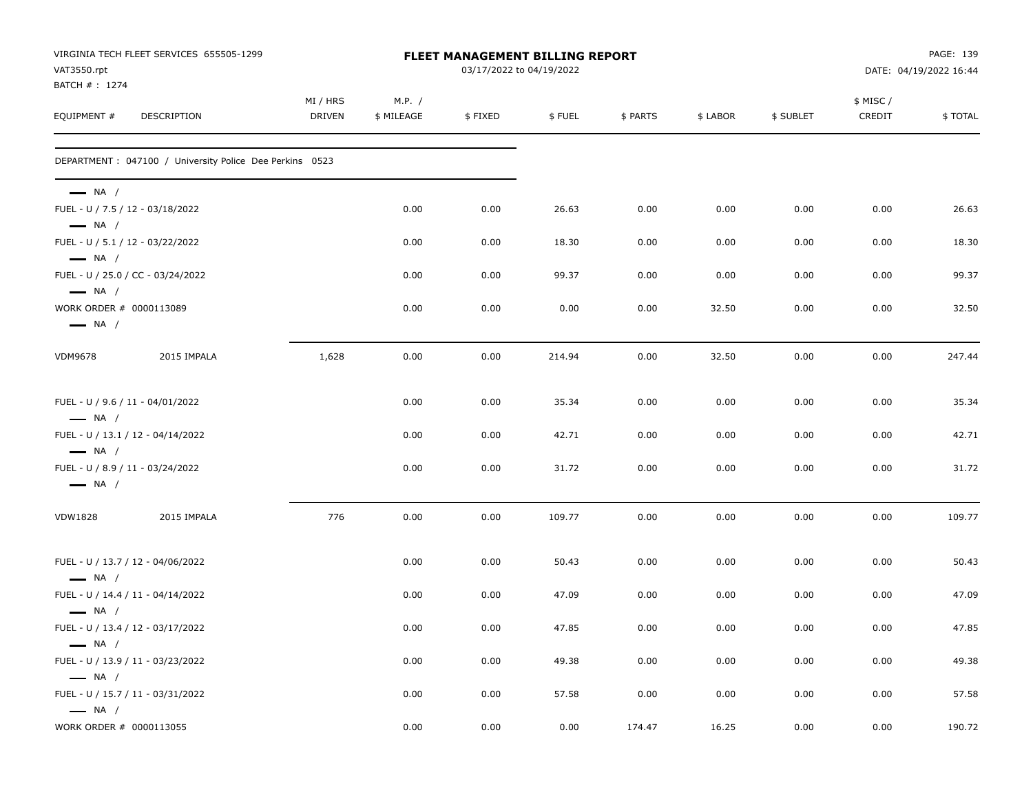| VAT3550.rpt                                       | VIRGINIA TECH FLEET SERVICES 655505-1299                 |                    |                      | FLEET MANAGEMENT BILLING REPORT<br>03/17/2022 to 04/19/2022 |        |          |          |           |                    | PAGE: 139<br>DATE: 04/19/2022 16:44 |
|---------------------------------------------------|----------------------------------------------------------|--------------------|----------------------|-------------------------------------------------------------|--------|----------|----------|-----------|--------------------|-------------------------------------|
| BATCH # : 1274                                    |                                                          |                    |                      |                                                             |        |          |          |           |                    |                                     |
| EQUIPMENT #                                       | DESCRIPTION                                              | MI / HRS<br>DRIVEN | M.P. /<br>\$ MILEAGE | \$FIXED                                                     | \$FUEL | \$ PARTS | \$ LABOR | \$ SUBLET | \$ MISC/<br>CREDIT | \$TOTAL                             |
|                                                   | DEPARTMENT : 047100 / University Police Dee Perkins 0523 |                    |                      |                                                             |        |          |          |           |                    |                                     |
| $-$ NA /                                          |                                                          |                    |                      |                                                             |        |          |          |           |                    |                                     |
| $\longrightarrow$ NA /                            | FUEL - U / 7.5 / 12 - 03/18/2022                         |                    | 0.00                 | 0.00                                                        | 26.63  | 0.00     | 0.00     | 0.00      | 0.00               | 26.63                               |
| $\longrightarrow$ NA /                            | FUEL - U / 5.1 / 12 - 03/22/2022                         |                    | 0.00                 | 0.00                                                        | 18.30  | 0.00     | 0.00     | 0.00      | 0.00               | 18.30                               |
| $\longrightarrow$ NA /                            | FUEL - U / 25.0 / CC - 03/24/2022                        |                    | 0.00                 | 0.00                                                        | 99.37  | 0.00     | 0.00     | 0.00      | 0.00               | 99.37                               |
| WORK ORDER # 0000113089<br>$\longrightarrow$ NA / |                                                          |                    | 0.00                 | 0.00                                                        | 0.00   | 0.00     | 32.50    | 0.00      | 0.00               | 32.50                               |
| <b>VDM9678</b>                                    | 2015 IMPALA                                              | 1,628              | 0.00                 | 0.00                                                        | 214.94 | 0.00     | 32.50    | 0.00      | 0.00               | 247.44                              |
| $\longrightarrow$ NA /                            | FUEL - U / 9.6 / 11 - 04/01/2022                         |                    | 0.00                 | 0.00                                                        | 35.34  | 0.00     | 0.00     | 0.00      | 0.00               | 35.34                               |
| $\longrightarrow$ NA /                            | FUEL - U / 13.1 / 12 - 04/14/2022                        |                    | 0.00                 | 0.00                                                        | 42.71  | 0.00     | 0.00     | 0.00      | 0.00               | 42.71                               |
| $\longrightarrow$ NA /                            | FUEL - U / 8.9 / 11 - 03/24/2022                         |                    | 0.00                 | 0.00                                                        | 31.72  | 0.00     | 0.00     | 0.00      | 0.00               | 31.72                               |
| <b>VDW1828</b>                                    | 2015 IMPALA                                              | 776                | 0.00                 | 0.00                                                        | 109.77 | 0.00     | 0.00     | 0.00      | 0.00               | 109.77                              |
| $\longrightarrow$ NA /                            | FUEL - U / 13.7 / 12 - 04/06/2022                        |                    | 0.00                 | 0.00                                                        | 50.43  | 0.00     | 0.00     | 0.00      | 0.00               | 50.43                               |
| $\longrightarrow$ NA /                            | FUEL - U / 14.4 / 11 - 04/14/2022                        |                    | 0.00                 | 0.00                                                        | 47.09  | 0.00     | 0.00     | 0.00      | 0.00               | 47.09                               |
| $\longrightarrow$ NA /                            | FUEL - U / 13.4 / 12 - 03/17/2022                        |                    | 0.00                 | 0.00                                                        | 47.85  | 0.00     | 0.00     | 0.00      | 0.00               | 47.85                               |
| $\longrightarrow$ NA /                            | FUEL - U / 13.9 / 11 - 03/23/2022                        |                    | 0.00                 | 0.00                                                        | 49.38  | 0.00     | 0.00     | 0.00      | 0.00               | 49.38                               |
| $\longrightarrow$ NA /                            | FUEL - U / 15.7 / 11 - 03/31/2022                        |                    | 0.00                 | 0.00                                                        | 57.58  | 0.00     | 0.00     | 0.00      | 0.00               | 57.58                               |
| WORK ORDER # 0000113055                           |                                                          |                    | 0.00                 | 0.00                                                        | 0.00   | 174.47   | 16.25    | 0.00      | 0.00               | 190.72                              |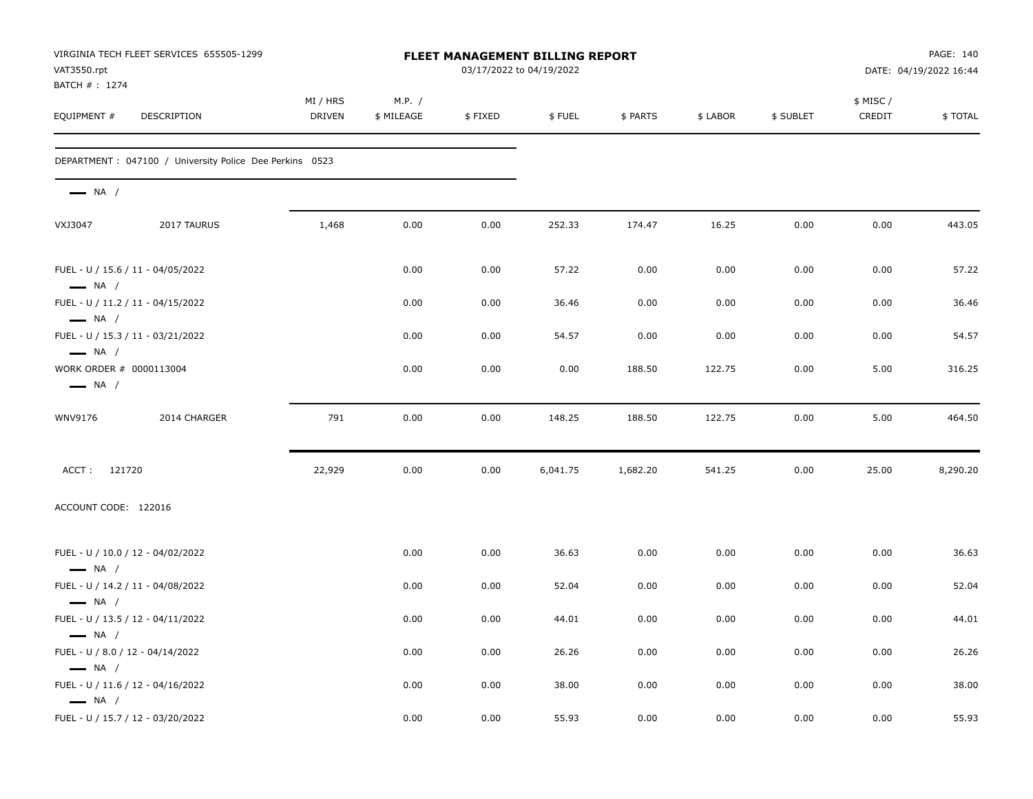| VAT3550.rpt<br>BATCH #: 1274                      | VIRGINIA TECH FLEET SERVICES 655505-1299                 | <b>FLEET MANAGEMENT BILLING REPORT</b><br>03/17/2022 to 04/19/2022 |                      |         |          |          |          |           | PAGE: 140<br>DATE: 04/19/2022 16:44 |          |  |
|---------------------------------------------------|----------------------------------------------------------|--------------------------------------------------------------------|----------------------|---------|----------|----------|----------|-----------|-------------------------------------|----------|--|
| EQUIPMENT #                                       | DESCRIPTION                                              | MI / HRS<br><b>DRIVEN</b>                                          | M.P. /<br>\$ MILEAGE | \$FIXED | \$FUEL   | \$ PARTS | \$ LABOR | \$ SUBLET | \$ MISC/<br>CREDIT                  | \$TOTAL  |  |
|                                                   | DEPARTMENT : 047100 / University Police Dee Perkins 0523 |                                                                    |                      |         |          |          |          |           |                                     |          |  |
| $\longrightarrow$ NA /                            |                                                          |                                                                    |                      |         |          |          |          |           |                                     |          |  |
| VXJ3047                                           | 2017 TAURUS                                              | 1,468                                                              | 0.00                 | 0.00    | 252.33   | 174.47   | 16.25    | 0.00      | 0.00                                | 443.05   |  |
| $\longrightarrow$ NA /                            | FUEL - U / 15.6 / 11 - 04/05/2022                        |                                                                    | 0.00                 | 0.00    | 57.22    | 0.00     | 0.00     | 0.00      | 0.00                                | 57.22    |  |
| $\longrightarrow$ NA /                            | FUEL - U / 11.2 / 11 - 04/15/2022                        |                                                                    | 0.00                 | 0.00    | 36.46    | 0.00     | 0.00     | 0.00      | 0.00                                | 36.46    |  |
| $\longrightarrow$ NA /                            | FUEL - U / 15.3 / 11 - 03/21/2022                        |                                                                    | 0.00                 | 0.00    | 54.57    | 0.00     | 0.00     | 0.00      | 0.00                                | 54.57    |  |
| WORK ORDER # 0000113004<br>$\longrightarrow$ NA / |                                                          |                                                                    | 0.00                 | 0.00    | 0.00     | 188.50   | 122.75   | 0.00      | 5.00                                | 316.25   |  |
| WNV9176                                           | 2014 CHARGER                                             | 791                                                                | 0.00                 | 0.00    | 148.25   | 188.50   | 122.75   | 0.00      | 5.00                                | 464.50   |  |
| ACCT: 121720                                      |                                                          | 22,929                                                             | 0.00                 | 0.00    | 6,041.75 | 1,682.20 | 541.25   | 0.00      | 25.00                               | 8,290.20 |  |
| ACCOUNT CODE: 122016                              |                                                          |                                                                    |                      |         |          |          |          |           |                                     |          |  |
| $\longrightarrow$ NA /                            | FUEL - U / 10.0 / 12 - 04/02/2022                        |                                                                    | 0.00                 | 0.00    | 36.63    | 0.00     | 0.00     | 0.00      | 0.00                                | 36.63    |  |
|                                                   | FUEL - U / 14.2 / 11 - 04/08/2022                        |                                                                    | 0.00                 | 0.00    | 52.04    | 0.00     | 0.00     | 0.00      | 0.00                                | 52.04    |  |
| $\longrightarrow$ NA /                            | FUEL - U / 13.5 / 12 - 04/11/2022                        |                                                                    | 0.00                 | 0.00    | 44.01    | 0.00     | 0.00     | 0.00      | 0.00                                | 44.01    |  |
| $\longrightarrow$ NA /                            | FUEL - U / 8.0 / 12 - 04/14/2022                         |                                                                    | 0.00                 | 0.00    | 26.26    | 0.00     | 0.00     | 0.00      | 0.00                                | 26.26    |  |
| $\longrightarrow$ NA /<br>$\longrightarrow$ NA /  | FUEL - U / 11.6 / 12 - 04/16/2022                        |                                                                    | 0.00                 | 0.00    | 38.00    | 0.00     | 0.00     | 0.00      | 0.00                                | 38.00    |  |
|                                                   | FUEL - U / 15.7 / 12 - 03/20/2022                        |                                                                    | 0.00                 | 0.00    | 55.93    | 0.00     | 0.00     | 0.00      | 0.00                                | 55.93    |  |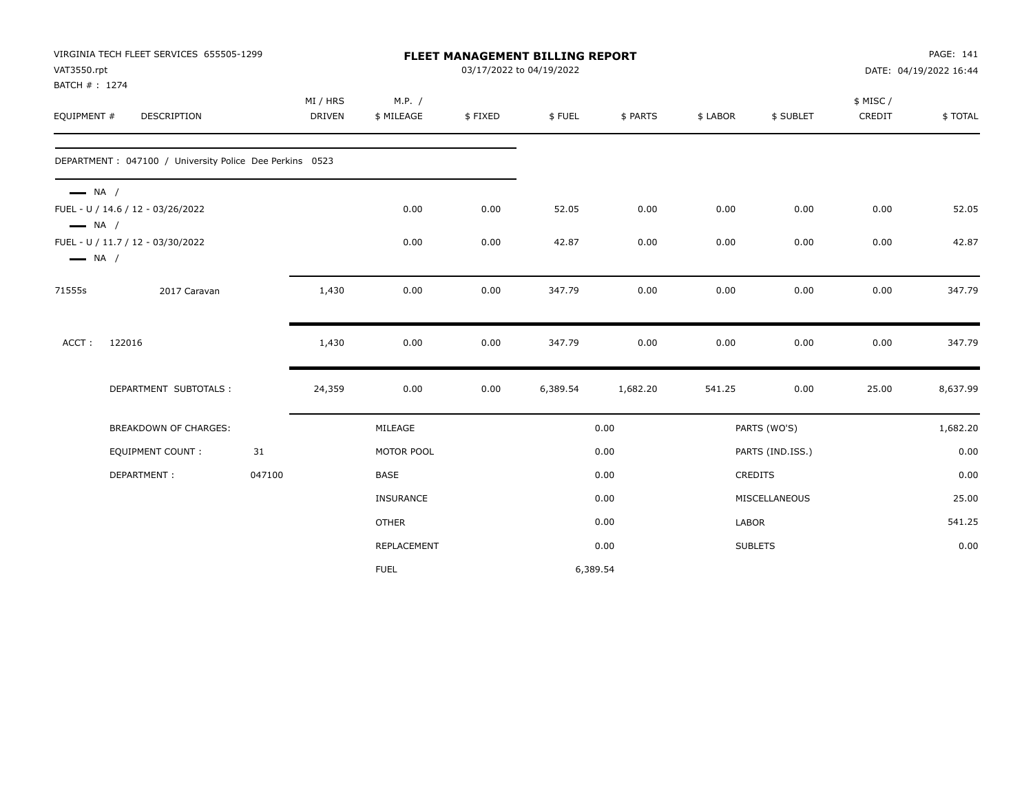| VAT3550.rpt                                      | VIRGINIA TECH FLEET SERVICES 655505-1299                 |        |                           |                      |         | <b>FLEET MANAGEMENT BILLING REPORT</b><br>03/17/2022 to 04/19/2022 |          | PAGE: 141<br>DATE: 04/19/2022 16:44 |                  |                    |          |  |
|--------------------------------------------------|----------------------------------------------------------|--------|---------------------------|----------------------|---------|--------------------------------------------------------------------|----------|-------------------------------------|------------------|--------------------|----------|--|
| BATCH #: 1274<br>EQUIPMENT #                     | DESCRIPTION                                              |        | MI / HRS<br><b>DRIVEN</b> | M.P. /<br>\$ MILEAGE | \$FIXED | \$FUEL                                                             | \$ PARTS | \$ LABOR                            | \$ SUBLET        | \$ MISC/<br>CREDIT | \$TOTAL  |  |
|                                                  | DEPARTMENT : 047100 / University Police Dee Perkins 0523 |        |                           |                      |         |                                                                    |          |                                     |                  |                    |          |  |
| $\longrightarrow$ NA /<br>$\longrightarrow$ NA / | FUEL - U / 14.6 / 12 - 03/26/2022                        |        |                           | 0.00                 | 0.00    | 52.05                                                              | 0.00     | 0.00                                | 0.00             | 0.00               | 52.05    |  |
| $\longrightarrow$ NA /                           | FUEL - U / 11.7 / 12 - 03/30/2022                        |        |                           | 0.00                 | 0.00    | 42.87                                                              | 0.00     | 0.00                                | 0.00             | 0.00               | 42.87    |  |
| 71555s                                           | 2017 Caravan                                             |        | 1,430                     | 0.00                 | 0.00    | 347.79                                                             | 0.00     | 0.00                                | 0.00             | 0.00               | 347.79   |  |
| ACCT:                                            | 122016                                                   |        | 1,430                     | 0.00                 | 0.00    | 347.79                                                             | 0.00     | 0.00                                | 0.00             | 0.00               | 347.79   |  |
|                                                  | DEPARTMENT SUBTOTALS :                                   |        | 24,359                    | 0.00                 | 0.00    | 6,389.54                                                           | 1,682.20 | 541.25                              | 0.00             | 25.00              | 8,637.99 |  |
|                                                  | <b>BREAKDOWN OF CHARGES:</b>                             |        |                           | MILEAGE              |         |                                                                    | 0.00     |                                     | PARTS (WO'S)     |                    | 1,682.20 |  |
|                                                  | EQUIPMENT COUNT :                                        | 31     |                           | MOTOR POOL           |         |                                                                    | 0.00     |                                     | PARTS (IND.ISS.) |                    | 0.00     |  |
|                                                  | DEPARTMENT:                                              | 047100 |                           | <b>BASE</b>          |         |                                                                    | 0.00     |                                     | <b>CREDITS</b>   |                    | 0.00     |  |
|                                                  |                                                          |        |                           | <b>INSURANCE</b>     |         |                                                                    | 0.00     |                                     | MISCELLANEOUS    |                    | 25.00    |  |
|                                                  |                                                          |        |                           | <b>OTHER</b>         |         |                                                                    | 0.00     | LABOR                               |                  |                    | 541.25   |  |
|                                                  |                                                          |        |                           | REPLACEMENT          |         |                                                                    | 0.00     |                                     | <b>SUBLETS</b>   |                    | 0.00     |  |
|                                                  |                                                          |        |                           | <b>FUEL</b>          |         | 6,389.54                                                           |          |                                     |                  |                    |          |  |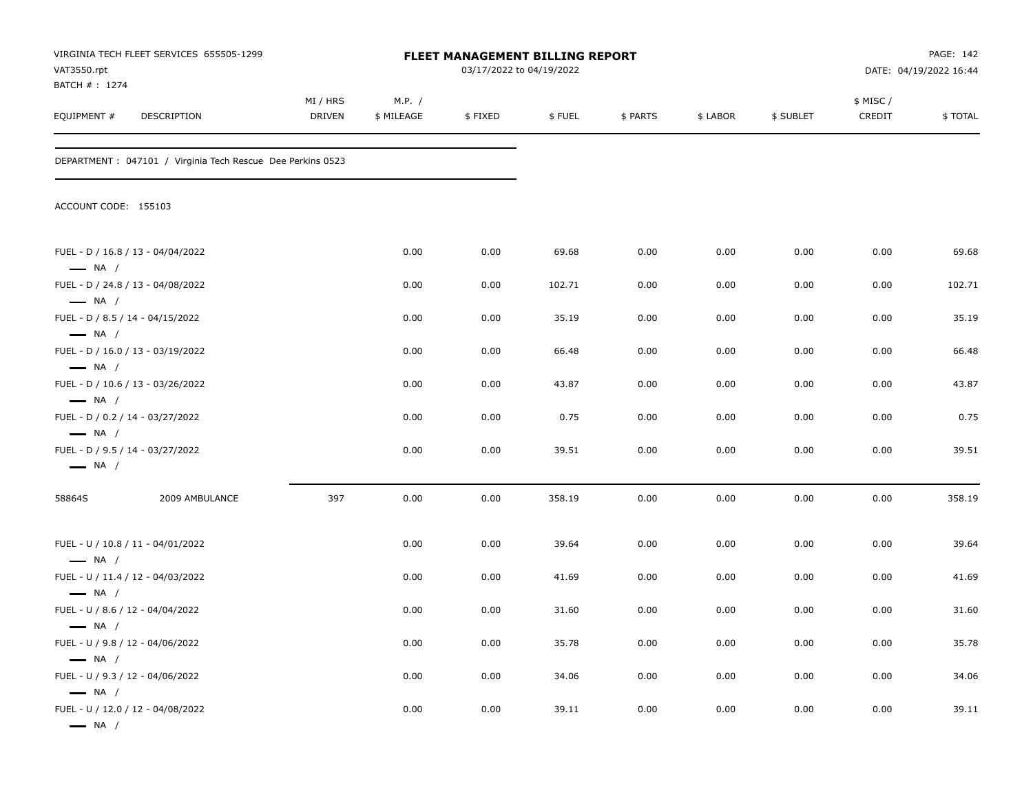| VAT3550.rpt<br>BATCH # : 1274                                                        | VIRGINIA TECH FLEET SERVICES 655505-1299                    |                           | FLEET MANAGEMENT BILLING REPORT<br>03/17/2022 to 04/19/2022 |         |        |          |          |           | PAGE: 142<br>DATE: 04/19/2022 16:44 |         |  |  |  |
|--------------------------------------------------------------------------------------|-------------------------------------------------------------|---------------------------|-------------------------------------------------------------|---------|--------|----------|----------|-----------|-------------------------------------|---------|--|--|--|
| EQUIPMENT #                                                                          | DESCRIPTION                                                 | MI / HRS<br><b>DRIVEN</b> | M.P. /<br>\$ MILEAGE                                        | \$FIXED | \$FUEL | \$ PARTS | \$ LABOR | \$ SUBLET | \$ MISC/<br>CREDIT                  | \$TOTAL |  |  |  |
|                                                                                      | DEPARTMENT : 047101 / Virginia Tech Rescue Dee Perkins 0523 |                           |                                                             |         |        |          |          |           |                                     |         |  |  |  |
| ACCOUNT CODE: 155103                                                                 |                                                             |                           |                                                             |         |        |          |          |           |                                     |         |  |  |  |
| $\longrightarrow$ NA /                                                               | FUEL - D / 16.8 / 13 - 04/04/2022                           |                           | 0.00                                                        | 0.00    | 69.68  | 0.00     | 0.00     | 0.00      | 0.00                                | 69.68   |  |  |  |
|                                                                                      | FUEL - D / 24.8 / 13 - 04/08/2022                           |                           | 0.00                                                        | 0.00    | 102.71 | 0.00     | 0.00     | 0.00      | 0.00                                | 102.71  |  |  |  |
| $\longrightarrow$ NA /<br>FUEL - D / 8.5 / 14 - 04/15/2022                           |                                                             |                           | 0.00                                                        | 0.00    | 35.19  | 0.00     | 0.00     | 0.00      | 0.00                                | 35.19   |  |  |  |
| $\longrightarrow$ NA /<br>$\longrightarrow$ NA /                                     | FUEL - D / 16.0 / 13 - 03/19/2022                           |                           | 0.00                                                        | 0.00    | 66.48  | 0.00     | 0.00     | 0.00      | 0.00                                | 66.48   |  |  |  |
|                                                                                      | FUEL - D / 10.6 / 13 - 03/26/2022                           |                           | 0.00                                                        | 0.00    | 43.87  | 0.00     | 0.00     | 0.00      | 0.00                                | 43.87   |  |  |  |
| $\longrightarrow$ NA /<br>FUEL - D / 0.2 / 14 - 03/27/2022<br>$\longrightarrow$ NA / |                                                             |                           | 0.00                                                        | 0.00    | 0.75   | 0.00     | 0.00     | 0.00      | 0.00                                | 0.75    |  |  |  |
| FUEL - D / 9.5 / 14 - 03/27/2022<br>$\longrightarrow$ NA /                           |                                                             |                           | 0.00                                                        | 0.00    | 39.51  | 0.00     | 0.00     | 0.00      | 0.00                                | 39.51   |  |  |  |
| 58864S                                                                               | 2009 AMBULANCE                                              | 397                       | 0.00                                                        | 0.00    | 358.19 | 0.00     | 0.00     | 0.00      | 0.00                                | 358.19  |  |  |  |
|                                                                                      | FUEL - U / 10.8 / 11 - 04/01/2022                           |                           | 0.00                                                        | 0.00    | 39.64  | 0.00     | 0.00     | 0.00      | 0.00                                | 39.64   |  |  |  |
| $\longrightarrow$ NA /                                                               | FUEL - U / 11.4 / 12 - 04/03/2022                           |                           | 0.00                                                        | 0.00    | 41.69  | 0.00     | 0.00     | 0.00      | 0.00                                | 41.69   |  |  |  |
| $\longrightarrow$ NA /<br>FUEL - U / 8.6 / 12 - 04/04/2022                           |                                                             |                           | 0.00                                                        | 0.00    | 31.60  | 0.00     | 0.00     | 0.00      | 0.00                                | 31.60   |  |  |  |
| — NA /<br>FUEL - U / 9.8 / 12 - 04/06/2022                                           |                                                             |                           | 0.00                                                        | 0.00    | 35.78  | 0.00     | 0.00     | 0.00      | 0.00                                | 35.78   |  |  |  |
| $\longrightarrow$ NA /<br>FUEL - U / 9.3 / 12 - 04/06/2022                           |                                                             |                           | 0.00                                                        | 0.00    | 34.06  | 0.00     | 0.00     | 0.00      | 0.00                                | 34.06   |  |  |  |
| $\longrightarrow$ NA /<br>$\longrightarrow$ NA /                                     | FUEL - U / 12.0 / 12 - 04/08/2022                           |                           | 0.00                                                        | 0.00    | 39.11  | 0.00     | 0.00     | 0.00      | 0.00                                | 39.11   |  |  |  |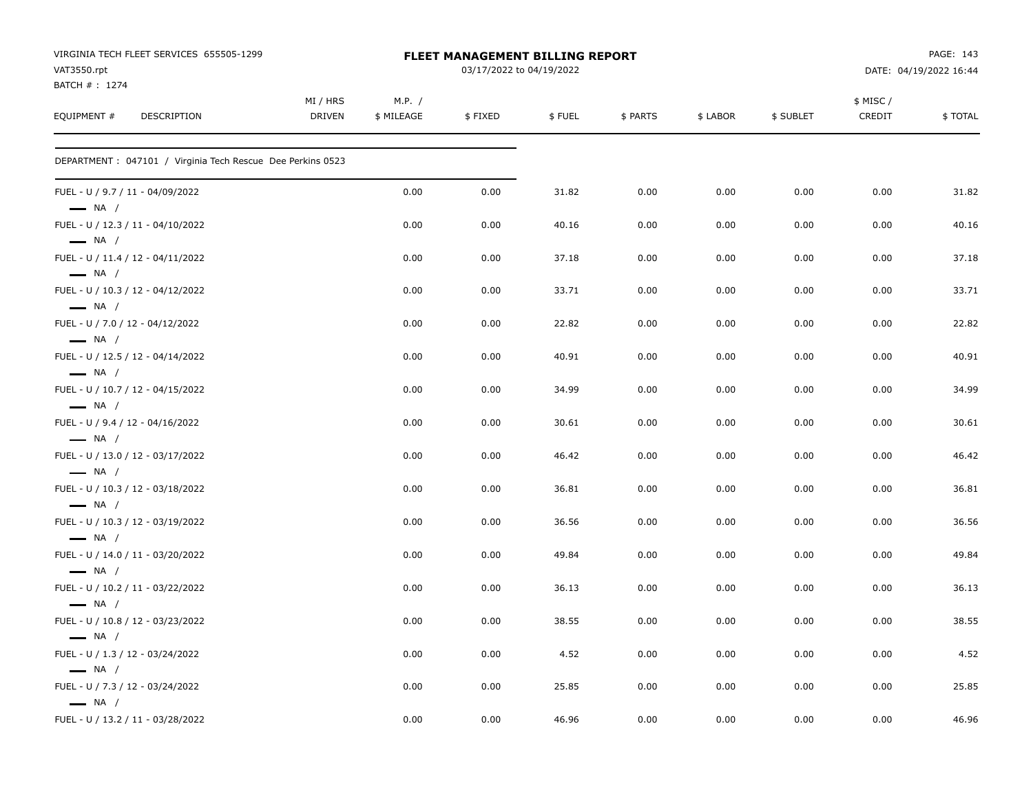| VIRGINIA TECH FLEET SERVICES 655505-1299<br>VAT3550.rpt<br>BATCH #: 1274 |                           |                      | <b>FLEET MANAGEMENT BILLING REPORT</b><br>03/17/2022 to 04/19/2022 |        |          |          |           |                    | PAGE: 143<br>DATE: 04/19/2022 16:44 |
|--------------------------------------------------------------------------|---------------------------|----------------------|--------------------------------------------------------------------|--------|----------|----------|-----------|--------------------|-------------------------------------|
| EQUIPMENT #<br>DESCRIPTION                                               | MI / HRS<br><b>DRIVEN</b> | M.P. /<br>\$ MILEAGE | \$FIXED                                                            | \$FUEL | \$ PARTS | \$ LABOR | \$ SUBLET | \$ MISC/<br>CREDIT | \$TOTAL                             |
| DEPARTMENT : 047101 / Virginia Tech Rescue Dee Perkins 0523              |                           |                      |                                                                    |        |          |          |           |                    |                                     |
| FUEL - U / 9.7 / 11 - 04/09/2022<br>$\longrightarrow$ NA /               |                           | 0.00                 | 0.00                                                               | 31.82  | 0.00     | 0.00     | 0.00      | 0.00               | 31.82                               |
| FUEL - U / 12.3 / 11 - 04/10/2022<br>$\longrightarrow$ NA /              |                           | 0.00                 | 0.00                                                               | 40.16  | 0.00     | 0.00     | 0.00      | 0.00               | 40.16                               |
| FUEL - U / 11.4 / 12 - 04/11/2022<br>$\longrightarrow$ NA /              |                           | 0.00                 | 0.00                                                               | 37.18  | 0.00     | 0.00     | 0.00      | 0.00               | 37.18                               |
| FUEL - U / 10.3 / 12 - 04/12/2022<br>$\longrightarrow$ NA /              |                           | 0.00                 | 0.00                                                               | 33.71  | 0.00     | 0.00     | 0.00      | 0.00               | 33.71                               |
| FUEL - U / 7.0 / 12 - 04/12/2022<br>$\longrightarrow$ NA /               |                           | 0.00                 | 0.00                                                               | 22.82  | 0.00     | 0.00     | 0.00      | 0.00               | 22.82                               |
| FUEL - U / 12.5 / 12 - 04/14/2022<br>$\longrightarrow$ NA /              |                           | 0.00                 | 0.00                                                               | 40.91  | 0.00     | 0.00     | 0.00      | 0.00               | 40.91                               |
| FUEL - U / 10.7 / 12 - 04/15/2022<br>$\longrightarrow$ NA /              |                           | 0.00                 | 0.00                                                               | 34.99  | 0.00     | 0.00     | 0.00      | 0.00               | 34.99                               |
| FUEL - U / 9.4 / 12 - 04/16/2022<br>$\longrightarrow$ NA /               |                           | 0.00                 | 0.00                                                               | 30.61  | 0.00     | 0.00     | 0.00      | 0.00               | 30.61                               |
| FUEL - U / 13.0 / 12 - 03/17/2022<br>$\longrightarrow$ NA /              |                           | 0.00                 | 0.00                                                               | 46.42  | 0.00     | 0.00     | 0.00      | 0.00               | 46.42                               |
| FUEL - U / 10.3 / 12 - 03/18/2022<br>$\longrightarrow$ NA /              |                           | 0.00                 | 0.00                                                               | 36.81  | 0.00     | 0.00     | 0.00      | 0.00               | 36.81                               |
| FUEL - U / 10.3 / 12 - 03/19/2022<br>$\longrightarrow$ NA /              |                           | 0.00                 | 0.00                                                               | 36.56  | 0.00     | 0.00     | 0.00      | 0.00               | 36.56                               |
| FUEL - U / 14.0 / 11 - 03/20/2022<br>$\longrightarrow$ NA /              |                           | 0.00                 | 0.00                                                               | 49.84  | 0.00     | 0.00     | 0.00      | 0.00               | 49.84                               |
| FUEL - U / 10.2 / 11 - 03/22/2022<br>$\longrightarrow$ NA /              |                           | 0.00                 | 0.00                                                               | 36.13  | 0.00     | 0.00     | 0.00      | 0.00               | 36.13                               |
| FUEL - U / 10.8 / 12 - 03/23/2022<br>$\longrightarrow$ NA /              |                           | 0.00                 | 0.00                                                               | 38.55  | 0.00     | 0.00     | 0.00      | 0.00               | 38.55                               |
| FUEL - U / 1.3 / 12 - 03/24/2022<br>$\equiv$ NA /                        |                           | 0.00                 | 0.00                                                               | 4.52   | 0.00     | 0.00     | 0.00      | 0.00               | 4.52                                |
| FUEL - U / 7.3 / 12 - 03/24/2022<br>$\longrightarrow$ NA /               |                           | 0.00                 | 0.00                                                               | 25.85  | 0.00     | 0.00     | 0.00      | 0.00               | 25.85                               |
| FUEL - U / 13.2 / 11 - 03/28/2022                                        |                           | 0.00                 | 0.00                                                               | 46.96  | 0.00     | 0.00     | 0.00      | 0.00               | 46.96                               |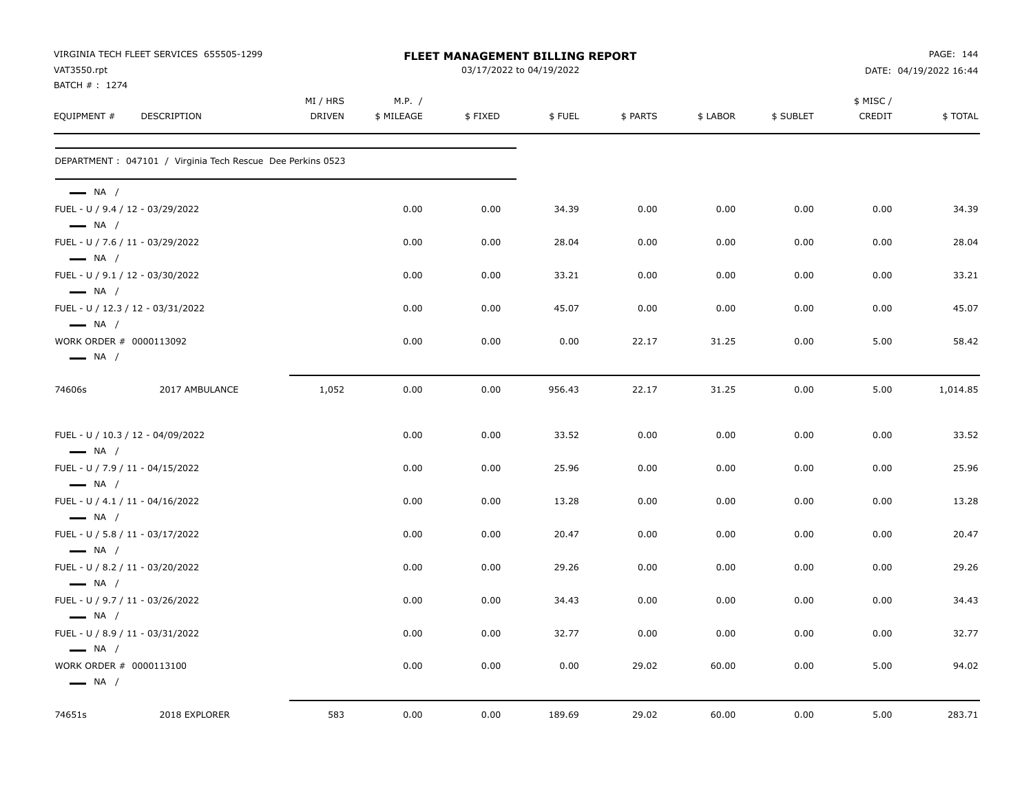|                                                                             | VIRGINIA TECH FLEET SERVICES 655505-1299                    |                           |                      | <b>FLEET MANAGEMENT BILLING REPORT</b> |        |          |          |           |                     | PAGE: 144              |
|-----------------------------------------------------------------------------|-------------------------------------------------------------|---------------------------|----------------------|----------------------------------------|--------|----------|----------|-----------|---------------------|------------------------|
| VAT3550.rpt                                                                 |                                                             |                           |                      | 03/17/2022 to 04/19/2022               |        |          |          |           |                     | DATE: 04/19/2022 16:44 |
| BATCH #: 1274<br>EQUIPMENT #                                                | DESCRIPTION                                                 | MI / HRS<br><b>DRIVEN</b> | M.P. /<br>\$ MILEAGE | \$FIXED                                | \$FUEL | \$ PARTS | \$ LABOR | \$ SUBLET | \$ MISC /<br>CREDIT | \$TOTAL                |
|                                                                             | DEPARTMENT : 047101 / Virginia Tech Rescue Dee Perkins 0523 |                           |                      |                                        |        |          |          |           |                     |                        |
| $\longrightarrow$ NA /<br>$\longrightarrow$ NA /                            | FUEL - U / 9.4 / 12 - 03/29/2022                            |                           | 0.00                 | 0.00                                   | 34.39  | 0.00     | 0.00     | 0.00      | 0.00                | 34.39                  |
|                                                                             | FUEL - U / 7.6 / 11 - 03/29/2022                            |                           | 0.00                 | 0.00                                   | 28.04  | 0.00     | 0.00     | 0.00      | 0.00                | 28.04                  |
| $\longrightarrow$ NA /<br>$\longrightarrow$ NA /                            | FUEL - U / 9.1 / 12 - 03/30/2022                            |                           | 0.00                 | 0.00                                   | 33.21  | 0.00     | 0.00     | 0.00      | 0.00                | 33.21                  |
| $\longrightarrow$ NA /                                                      | FUEL - U / 12.3 / 12 - 03/31/2022                           |                           | 0.00                 | 0.00                                   | 45.07  | 0.00     | 0.00     | 0.00      | 0.00                | 45.07                  |
| WORK ORDER # 0000113092<br>$\longrightarrow$ NA /                           |                                                             |                           | 0.00                 | 0.00                                   | 0.00   | 22.17    | 31.25    | 0.00      | 5.00                | 58.42                  |
| 74606s                                                                      | 2017 AMBULANCE                                              | 1,052                     | 0.00                 | 0.00                                   | 956.43 | 22.17    | 31.25    | 0.00      | 5.00                | 1,014.85               |
| $\longrightarrow$ NA /                                                      | FUEL - U / 10.3 / 12 - 04/09/2022                           |                           | 0.00                 | 0.00                                   | 33.52  | 0.00     | 0.00     | 0.00      | 0.00                | 33.52                  |
| $\longrightarrow$ NA /                                                      | FUEL - U / 7.9 / 11 - 04/15/2022                            |                           | 0.00                 | 0.00                                   | 25.96  | 0.00     | 0.00     | 0.00      | 0.00                | 25.96                  |
| $\longrightarrow$ NA /                                                      | FUEL - U / 4.1 / 11 - 04/16/2022                            |                           | 0.00                 | 0.00                                   | 13.28  | 0.00     | 0.00     | 0.00      | 0.00                | 13.28                  |
| $\longrightarrow$ NA /                                                      | FUEL - U / 5.8 / 11 - 03/17/2022                            |                           | 0.00                 | 0.00                                   | 20.47  | 0.00     | 0.00     | 0.00      | 0.00                | 20.47                  |
| $\longrightarrow$ NA /                                                      | FUEL - U / 8.2 / 11 - 03/20/2022                            |                           | 0.00                 | 0.00                                   | 29.26  | 0.00     | 0.00     | 0.00      | 0.00                | 29.26                  |
|                                                                             | FUEL - U / 9.7 / 11 - 03/26/2022                            |                           | 0.00                 | 0.00                                   | 34.43  | 0.00     | 0.00     | 0.00      | 0.00                | 34.43                  |
| $\longrightarrow$ NA /                                                      | FUEL - U / 8.9 / 11 - 03/31/2022                            |                           | 0.00                 | 0.00                                   | 32.77  | 0.00     | 0.00     | 0.00      | 0.00                | 32.77                  |
| $\longrightarrow$ NA /<br>WORK ORDER # 0000113100<br>$\longrightarrow$ NA / |                                                             |                           | 0.00                 | 0.00                                   | 0.00   | 29.02    | 60.00    | 0.00      | 5.00                | 94.02                  |
| 74651s                                                                      | 2018 EXPLORER                                               | 583                       | 0.00                 | 0.00                                   | 189.69 | 29.02    | 60.00    | 0.00      | 5.00                | 283.71                 |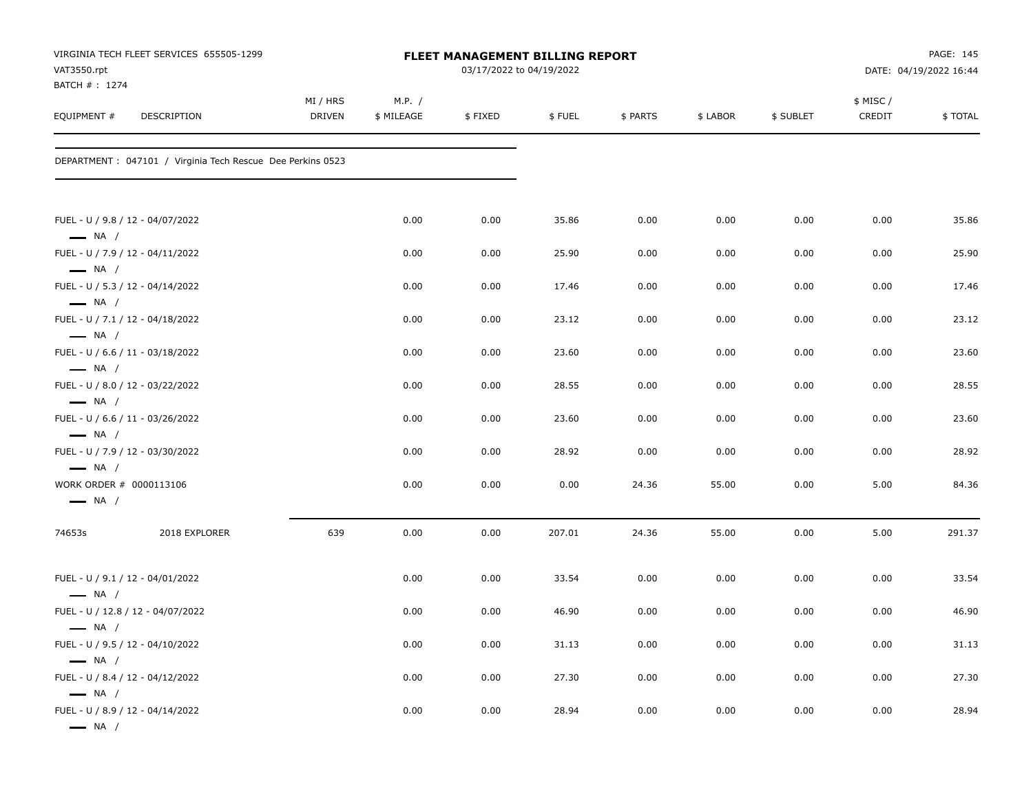| VAT3550.rpt<br>BATCH # : 1274                     | VIRGINIA TECH FLEET SERVICES 655505-1299                    |                           |                      | FLEET MANAGEMENT BILLING REPORT<br>03/17/2022 to 04/19/2022 |        |          |          |           |                    | PAGE: 145<br>DATE: 04/19/2022 16:44 |
|---------------------------------------------------|-------------------------------------------------------------|---------------------------|----------------------|-------------------------------------------------------------|--------|----------|----------|-----------|--------------------|-------------------------------------|
| EQUIPMENT #                                       | DESCRIPTION                                                 | MI / HRS<br><b>DRIVEN</b> | M.P. /<br>\$ MILEAGE | \$FIXED                                                     | \$FUEL | \$ PARTS | \$ LABOR | \$ SUBLET | \$ MISC/<br>CREDIT | \$TOTAL                             |
|                                                   | DEPARTMENT : 047101 / Virginia Tech Rescue Dee Perkins 0523 |                           |                      |                                                             |        |          |          |           |                    |                                     |
| $\longrightarrow$ NA /                            | FUEL - U / 9.8 / 12 - 04/07/2022                            |                           | 0.00                 | 0.00                                                        | 35.86  | 0.00     | 0.00     | 0.00      | 0.00               | 35.86                               |
|                                                   | FUEL - U / 7.9 / 12 - 04/11/2022                            |                           | 0.00                 | 0.00                                                        | 25.90  | 0.00     | 0.00     | 0.00      | 0.00               | 25.90                               |
| $\longrightarrow$ NA /<br>$\longrightarrow$ NA /  | FUEL - U / 5.3 / 12 - 04/14/2022                            |                           | 0.00                 | 0.00                                                        | 17.46  | 0.00     | 0.00     | 0.00      | 0.00               | 17.46                               |
| $\longrightarrow$ NA /                            | FUEL - U / 7.1 / 12 - 04/18/2022                            |                           | 0.00                 | 0.00                                                        | 23.12  | 0.00     | 0.00     | 0.00      | 0.00               | 23.12                               |
| $\longrightarrow$ NA /                            | FUEL - U / 6.6 / 11 - 03/18/2022                            |                           | 0.00                 | 0.00                                                        | 23.60  | 0.00     | 0.00     | 0.00      | 0.00               | 23.60                               |
| $\longrightarrow$ NA /                            | FUEL - U / 8.0 / 12 - 03/22/2022                            |                           | 0.00                 | 0.00                                                        | 28.55  | 0.00     | 0.00     | 0.00      | 0.00               | 28.55                               |
| $\longrightarrow$ NA /                            | FUEL - U / 6.6 / 11 - 03/26/2022                            |                           | 0.00                 | 0.00                                                        | 23.60  | 0.00     | 0.00     | 0.00      | 0.00               | 23.60                               |
| $\longrightarrow$ NA /                            | FUEL - U / 7.9 / 12 - 03/30/2022                            |                           | 0.00                 | 0.00                                                        | 28.92  | 0.00     | 0.00     | 0.00      | 0.00               | 28.92                               |
| WORK ORDER # 0000113106<br>$\longrightarrow$ NA / |                                                             |                           | 0.00                 | 0.00                                                        | 0.00   | 24.36    | 55.00    | 0.00      | 5.00               | 84.36                               |
| 74653s                                            | 2018 EXPLORER                                               | 639                       | 0.00                 | 0.00                                                        | 207.01 | 24.36    | 55.00    | 0.00      | 5.00               | 291.37                              |
|                                                   | FUEL - U / 9.1 / 12 - 04/01/2022                            |                           | 0.00                 | 0.00                                                        | 33.54  | 0.00     | 0.00     | 0.00      | 0.00               | 33.54                               |
| $\longrightarrow$ NA /                            | FUEL - U / 12.8 / 12 - 04/07/2022                           |                           | 0.00                 | 0.00                                                        | 46.90  | 0.00     | 0.00     | 0.00      | 0.00               | 46.90                               |
| $\longrightarrow$ NA /                            | FUEL - U / 9.5 / 12 - 04/10/2022                            |                           | 0.00                 | 0.00                                                        | 31.13  | 0.00     | 0.00     | 0.00      | 0.00               | 31.13                               |
| $\longrightarrow$ NA /                            | FUEL - U / 8.4 / 12 - 04/12/2022                            |                           | 0.00                 | 0.00                                                        | 27.30  | 0.00     | 0.00     | 0.00      | 0.00               | 27.30                               |
| $\longrightarrow$ NA /<br>$\longrightarrow$ NA /  | FUEL - U / 8.9 / 12 - 04/14/2022                            |                           | 0.00                 | 0.00                                                        | 28.94  | 0.00     | 0.00     | 0.00      | 0.00               | 28.94                               |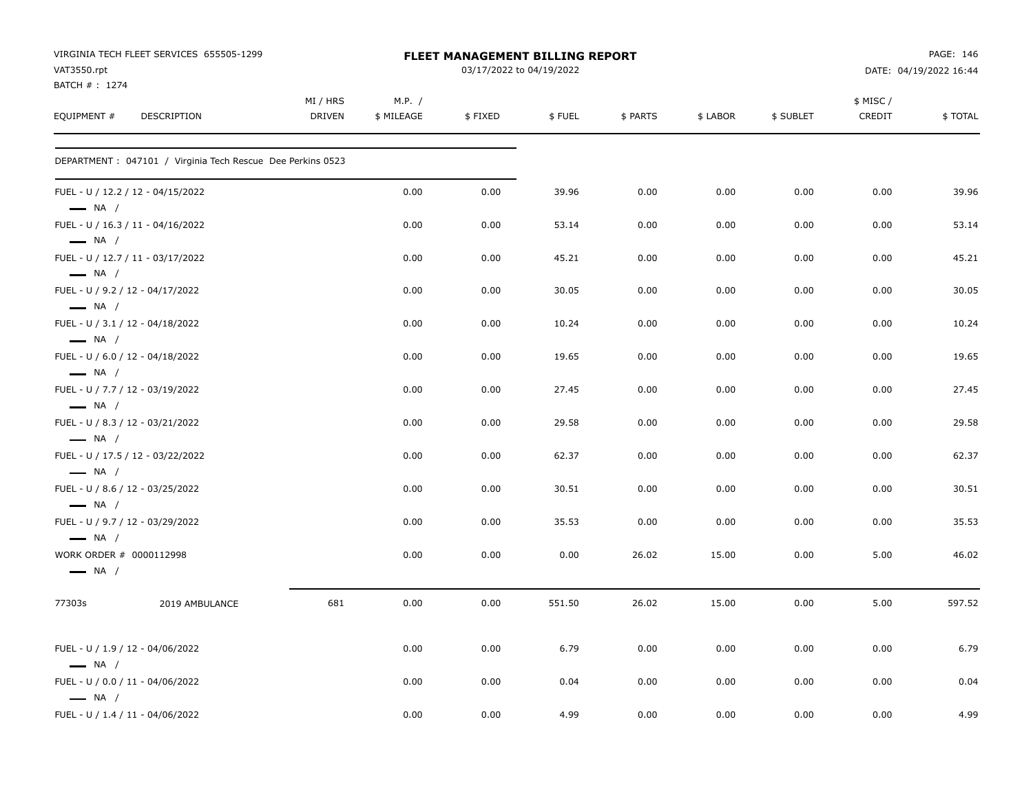| VAT3550.rpt                                       | VIRGINIA TECH FLEET SERVICES 655505-1299                    |                           |                      | FLEET MANAGEMENT BILLING REPORT<br>03/17/2022 to 04/19/2022 |        |          |          | PAGE: 146<br>DATE: 04/19/2022 16:44 |                     |         |  |  |  |  |
|---------------------------------------------------|-------------------------------------------------------------|---------------------------|----------------------|-------------------------------------------------------------|--------|----------|----------|-------------------------------------|---------------------|---------|--|--|--|--|
| BATCH #: 1274                                     |                                                             |                           |                      |                                                             |        |          |          |                                     |                     |         |  |  |  |  |
| EQUIPMENT #                                       | DESCRIPTION                                                 | MI / HRS<br><b>DRIVEN</b> | M.P. /<br>\$ MILEAGE | \$FIXED                                                     | \$FUEL | \$ PARTS | \$ LABOR | \$ SUBLET                           | \$ MISC /<br>CREDIT | \$TOTAL |  |  |  |  |
|                                                   | DEPARTMENT : 047101 / Virginia Tech Rescue Dee Perkins 0523 |                           |                      |                                                             |        |          |          |                                     |                     |         |  |  |  |  |
| $\longrightarrow$ NA /                            | FUEL - U / 12.2 / 12 - 04/15/2022                           |                           | 0.00                 | 0.00                                                        | 39.96  | 0.00     | 0.00     | 0.00                                | 0.00                | 39.96   |  |  |  |  |
| $\longrightarrow$ NA /                            | FUEL - U / 16.3 / 11 - 04/16/2022                           |                           | 0.00                 | 0.00                                                        | 53.14  | 0.00     | 0.00     | 0.00                                | 0.00                | 53.14   |  |  |  |  |
| $\longrightarrow$ NA /                            | FUEL - U / 12.7 / 11 - 03/17/2022                           |                           | 0.00                 | 0.00                                                        | 45.21  | 0.00     | 0.00     | 0.00                                | 0.00                | 45.21   |  |  |  |  |
| $\longrightarrow$ NA /                            | FUEL - U / 9.2 / 12 - 04/17/2022                            |                           | 0.00                 | 0.00                                                        | 30.05  | 0.00     | 0.00     | 0.00                                | 0.00                | 30.05   |  |  |  |  |
| $\longrightarrow$ NA /                            | FUEL - U / 3.1 / 12 - 04/18/2022                            |                           | 0.00                 | 0.00                                                        | 10.24  | 0.00     | 0.00     | 0.00                                | 0.00                | 10.24   |  |  |  |  |
| $\longrightarrow$ NA /                            | FUEL - U / 6.0 / 12 - 04/18/2022                            |                           | 0.00                 | 0.00                                                        | 19.65  | 0.00     | 0.00     | 0.00                                | 0.00                | 19.65   |  |  |  |  |
| $\longrightarrow$ NA /                            | FUEL - U / 7.7 / 12 - 03/19/2022                            |                           | 0.00                 | 0.00                                                        | 27.45  | 0.00     | 0.00     | 0.00                                | 0.00                | 27.45   |  |  |  |  |
| $\longrightarrow$ NA /                            | FUEL - U / 8.3 / 12 - 03/21/2022                            |                           | 0.00                 | 0.00                                                        | 29.58  | 0.00     | 0.00     | 0.00                                | 0.00                | 29.58   |  |  |  |  |
| $\longrightarrow$ NA /                            | FUEL - U / 17.5 / 12 - 03/22/2022                           |                           | 0.00                 | 0.00                                                        | 62.37  | 0.00     | 0.00     | 0.00                                | 0.00                | 62.37   |  |  |  |  |
| $\longrightarrow$ NA /                            | FUEL - U / 8.6 / 12 - 03/25/2022                            |                           | 0.00                 | 0.00                                                        | 30.51  | 0.00     | 0.00     | 0.00                                | 0.00                | 30.51   |  |  |  |  |
| $\longrightarrow$ NA /                            | FUEL - U / 9.7 / 12 - 03/29/2022                            |                           | 0.00                 | 0.00                                                        | 35.53  | 0.00     | 0.00     | 0.00                                | 0.00                | 35.53   |  |  |  |  |
| WORK ORDER # 0000112998<br>$\longrightarrow$ NA / |                                                             |                           | 0.00                 | 0.00                                                        | 0.00   | 26.02    | 15.00    | 0.00                                | 5.00                | 46.02   |  |  |  |  |
| 77303s                                            | 2019 AMBULANCE                                              | 681                       | 0.00                 | 0.00                                                        | 551.50 | 26.02    | 15.00    | 0.00                                | 5.00                | 597.52  |  |  |  |  |
| $\longrightarrow$ NA /                            | FUEL - U / 1.9 / 12 - 04/06/2022                            |                           | 0.00                 | 0.00                                                        | 6.79   | 0.00     | 0.00     | 0.00                                | 0.00                | 6.79    |  |  |  |  |
| $\longrightarrow$ NA /                            | FUEL - U / 0.0 / 11 - 04/06/2022                            |                           | 0.00                 | 0.00                                                        | 0.04   | 0.00     | 0.00     | 0.00                                | 0.00                | 0.04    |  |  |  |  |
|                                                   | FUEL - U / 1.4 / 11 - 04/06/2022                            |                           | 0.00                 | 0.00                                                        | 4.99   | 0.00     | 0.00     | 0.00                                | 0.00                | 4.99    |  |  |  |  |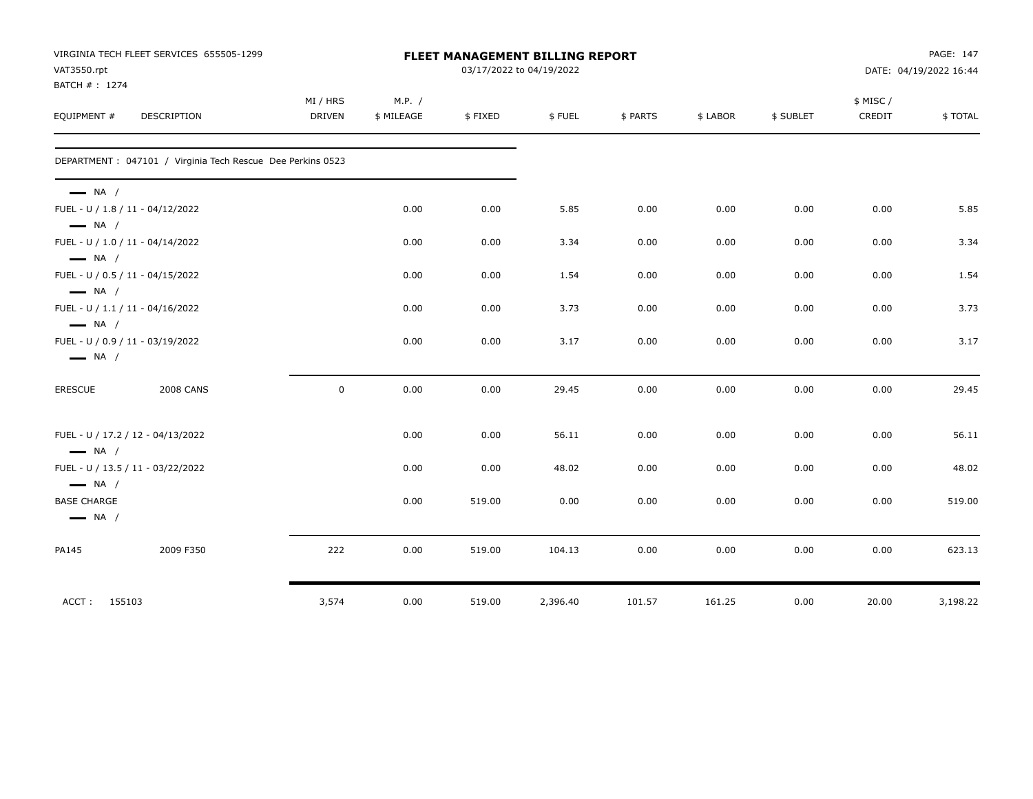|                                                                        | VIRGINIA TECH FLEET SERVICES 655505-1299                   |               |            |         | FLEET MANAGEMENT BILLING REPORT |          |          |           | PAGE: 147<br>DATE: 04/19/2022 16:44 |          |  |  |  |  |
|------------------------------------------------------------------------|------------------------------------------------------------|---------------|------------|---------|---------------------------------|----------|----------|-----------|-------------------------------------|----------|--|--|--|--|
| VAT3550.rpt                                                            |                                                            |               |            |         | 03/17/2022 to 04/19/2022        |          |          |           |                                     |          |  |  |  |  |
| BATCH # : 1274                                                         |                                                            |               |            |         |                                 |          |          |           |                                     |          |  |  |  |  |
|                                                                        |                                                            | MI / HRS      | M.P. /     |         |                                 |          |          |           | \$ MISC/                            |          |  |  |  |  |
| EQUIPMENT #                                                            | <b>DESCRIPTION</b>                                         | <b>DRIVEN</b> | \$ MILEAGE | \$FIXED | \$FUEL                          | \$ PARTS | \$ LABOR | \$ SUBLET | CREDIT                              | \$TOTAL  |  |  |  |  |
|                                                                        | DEPARTMENT: 047101 / Virginia Tech Rescue Dee Perkins 0523 |               |            |         |                                 |          |          |           |                                     |          |  |  |  |  |
| $\longrightarrow$ NA /                                                 |                                                            |               |            |         |                                 |          |          |           |                                     |          |  |  |  |  |
|                                                                        | FUEL - U / 1.8 / 11 - 04/12/2022                           |               | 0.00       | 0.00    | 5.85                            | 0.00     | 0.00     | 0.00      | 0.00                                | 5.85     |  |  |  |  |
| $\longrightarrow$ NA /                                                 |                                                            |               |            |         |                                 |          |          |           |                                     |          |  |  |  |  |
| $\longrightarrow$ NA /                                                 | FUEL - U / 1.0 / 11 - 04/14/2022                           |               | 0.00       | 0.00    | 3.34                            | 0.00     | 0.00     | 0.00      | 0.00                                | 3.34     |  |  |  |  |
| $\longrightarrow$ NA /                                                 | FUEL - U / 0.5 / 11 - 04/15/2022                           |               | 0.00       | 0.00    | 1.54                            | 0.00     | 0.00     | 0.00      | 0.00                                | 1.54     |  |  |  |  |
|                                                                        | FUEL - U / 1.1 / 11 - 04/16/2022                           |               | 0.00       | 0.00    | 3.73                            | 0.00     | 0.00     | 0.00      | 0.00                                | 3.73     |  |  |  |  |
| $\longrightarrow$ NA /                                                 |                                                            |               |            |         |                                 |          |          |           |                                     |          |  |  |  |  |
| $\longrightarrow$ NA /                                                 | FUEL - U / 0.9 / 11 - 03/19/2022                           |               | 0.00       | 0.00    | 3.17                            | 0.00     | 0.00     | 0.00      | 0.00                                | 3.17     |  |  |  |  |
| <b>ERESCUE</b>                                                         | <b>2008 CANS</b>                                           | $\mathsf 0$   | 0.00       | 0.00    | 29.45                           | 0.00     | 0.00     | 0.00      | 0.00                                | 29.45    |  |  |  |  |
|                                                                        |                                                            |               |            |         |                                 |          |          |           |                                     |          |  |  |  |  |
| $\longrightarrow$ NA /                                                 | FUEL - U / 17.2 / 12 - 04/13/2022                          |               | 0.00       | 0.00    | 56.11                           | 0.00     | 0.00     | 0.00      | 0.00                                | 56.11    |  |  |  |  |
|                                                                        | FUEL - U / 13.5 / 11 - 03/22/2022                          |               | 0.00       | 0.00    | 48.02                           | 0.00     | 0.00     | 0.00      | 0.00                                | 48.02    |  |  |  |  |
| $\longrightarrow$ NA /<br><b>BASE CHARGE</b><br>$\longrightarrow$ NA / |                                                            |               | 0.00       | 519.00  | 0.00                            | 0.00     | 0.00     | 0.00      | 0.00                                | 519.00   |  |  |  |  |
| PA145                                                                  | 2009 F350                                                  | 222           | 0.00       | 519.00  | 104.13                          | 0.00     | 0.00     | 0.00      | 0.00                                | 623.13   |  |  |  |  |
| ACCT: 155103                                                           |                                                            | 3,574         | 0.00       | 519.00  | 2,396.40                        | 101.57   | 161.25   | 0.00      | 20.00                               | 3,198.22 |  |  |  |  |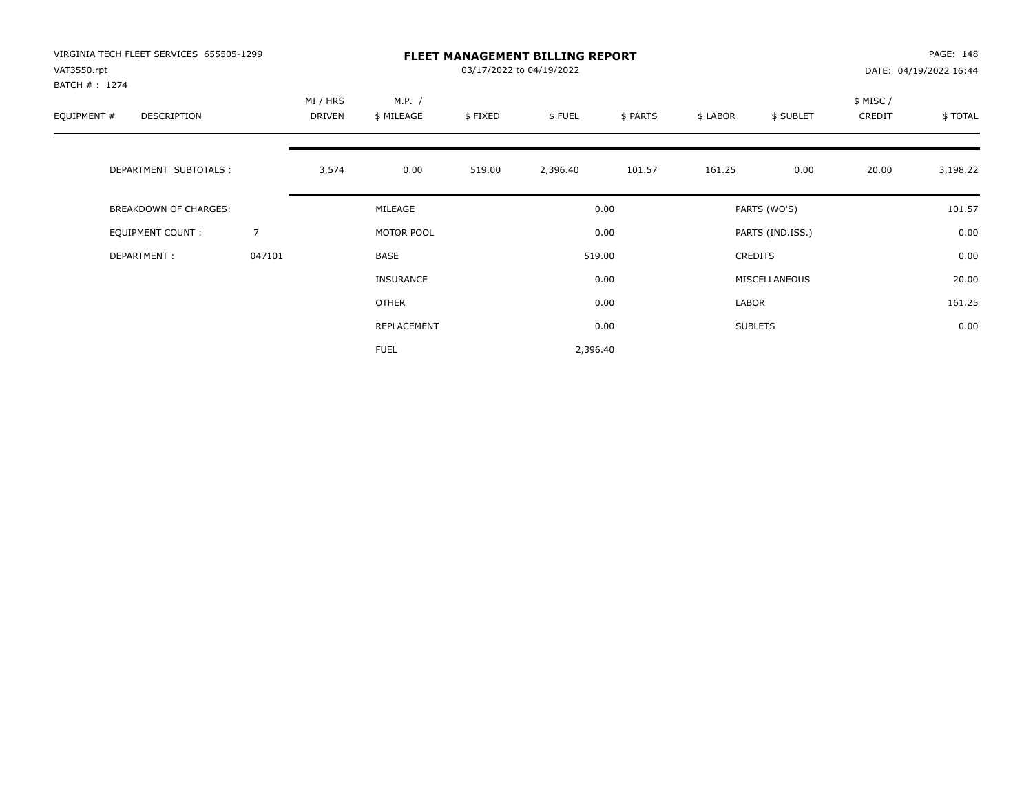| VIRGINIA TECH FLEET SERVICES 655505-1299<br>VAT3550.rpt<br>BATCH # : 1274 |                |                    |                      |         | <b>FLEET MANAGEMENT BILLING REPORT</b><br>03/17/2022 to 04/19/2022 |          |          |                  |                     | PAGE: 148<br>DATE: 04/19/2022 16:44 |
|---------------------------------------------------------------------------|----------------|--------------------|----------------------|---------|--------------------------------------------------------------------|----------|----------|------------------|---------------------|-------------------------------------|
| EQUIPMENT #<br>DESCRIPTION                                                |                | MI / HRS<br>DRIVEN | M.P. /<br>\$ MILEAGE | \$FIXED | \$FUEL                                                             | \$ PARTS | \$ LABOR | \$ SUBLET        | \$ MISC /<br>CREDIT | \$TOTAL                             |
| DEPARTMENT SUBTOTALS :                                                    |                | 3,574              | 0.00                 | 519.00  | 2,396.40                                                           | 101.57   | 161.25   | 0.00             | 20.00               | 3,198.22                            |
| <b>BREAKDOWN OF CHARGES:</b>                                              |                |                    | MILEAGE              |         |                                                                    | 0.00     |          | PARTS (WO'S)     |                     | 101.57                              |
| EQUIPMENT COUNT:                                                          | $\overline{7}$ |                    | MOTOR POOL           |         |                                                                    | 0.00     |          | PARTS (IND.ISS.) |                     | 0.00                                |
| DEPARTMENT:                                                               | 047101         |                    | BASE                 |         |                                                                    | 519.00   |          | <b>CREDITS</b>   |                     | 0.00                                |
|                                                                           |                |                    | <b>INSURANCE</b>     |         |                                                                    | 0.00     |          | MISCELLANEOUS    |                     | 20.00                               |
|                                                                           |                |                    | OTHER                |         |                                                                    | 0.00     | LABOR    |                  |                     | 161.25                              |
|                                                                           |                |                    | REPLACEMENT          |         |                                                                    | 0.00     |          | <b>SUBLETS</b>   |                     | 0.00                                |
|                                                                           |                |                    | <b>FUEL</b>          |         | 2,396.40                                                           |          |          |                  |                     |                                     |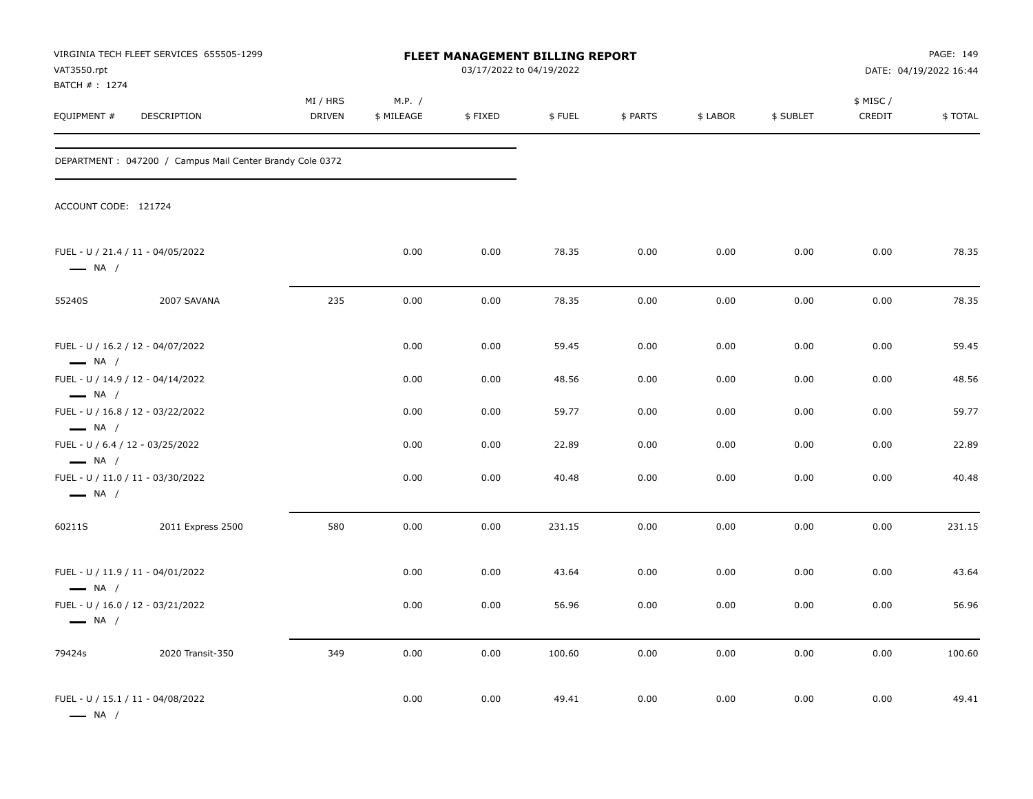| VAT3550.rpt<br>BATCH #: 1274                                                          | VIRGINIA TECH FLEET SERVICES 655505-1299                 |                    |                      |         | <b>FLEET MANAGEMENT BILLING REPORT</b><br>03/17/2022 to 04/19/2022 |          |          |           |                    | PAGE: 149<br>DATE: 04/19/2022 16:44 |
|---------------------------------------------------------------------------------------|----------------------------------------------------------|--------------------|----------------------|---------|--------------------------------------------------------------------|----------|----------|-----------|--------------------|-------------------------------------|
| EQUIPMENT #                                                                           | DESCRIPTION                                              | MI / HRS<br>DRIVEN | M.P. /<br>\$ MILEAGE | \$FIXED | \$FUEL                                                             | \$ PARTS | \$ LABOR | \$ SUBLET | \$ MISC/<br>CREDIT | \$TOTAL                             |
|                                                                                       | DEPARTMENT: 047200 / Campus Mail Center Brandy Cole 0372 |                    |                      |         |                                                                    |          |          |           |                    |                                     |
| ACCOUNT CODE: 121724                                                                  |                                                          |                    |                      |         |                                                                    |          |          |           |                    |                                     |
| FUEL - U / 21.4 / 11 - 04/05/2022<br>$\longrightarrow$ NA /                           |                                                          |                    | 0.00                 | 0.00    | 78.35                                                              | 0.00     | 0.00     | 0.00      | 0.00               | 78.35                               |
| 55240S                                                                                | 2007 SAVANA                                              | 235                | 0.00                 | 0.00    | 78.35                                                              | 0.00     | 0.00     | 0.00      | 0.00               | 78.35                               |
| FUEL - U / 16.2 / 12 - 04/07/2022<br>$\longrightarrow$ NA /                           |                                                          |                    | 0.00                 | 0.00    | 59.45                                                              | 0.00     | 0.00     | 0.00      | 0.00               | 59.45                               |
| FUEL - U / 14.9 / 12 - 04/14/2022                                                     |                                                          |                    | 0.00                 | 0.00    | 48.56                                                              | 0.00     | 0.00     | 0.00      | 0.00               | 48.56                               |
| $\longrightarrow$ NA /<br>FUEL - U / 16.8 / 12 - 03/22/2022<br>$\longrightarrow$ NA / |                                                          |                    | 0.00                 | 0.00    | 59.77                                                              | 0.00     | 0.00     | 0.00      | 0.00               | 59.77                               |
| FUEL - U / 6.4 / 12 - 03/25/2022<br>$\longrightarrow$ NA /                            |                                                          |                    | 0.00                 | 0.00    | 22.89                                                              | 0.00     | 0.00     | 0.00      | 0.00               | 22.89                               |
| $\longrightarrow$ NA /                                                                | FUEL - U / 11.0 / 11 - 03/30/2022                        |                    | 0.00                 | 0.00    | 40.48                                                              | 0.00     | 0.00     | 0.00      | 0.00               | 40.48                               |
| 60211S                                                                                | 2011 Express 2500                                        | 580                | 0.00                 | 0.00    | 231.15                                                             | 0.00     | 0.00     | 0.00      | 0.00               | 231.15                              |
| $\longrightarrow$ NA /                                                                | FUEL - U / 11.9 / 11 - 04/01/2022                        |                    | 0.00                 | 0.00    | 43.64                                                              | 0.00     | 0.00     | 0.00      | 0.00               | 43.64                               |
| $\longrightarrow$ NA /                                                                | FUEL - U / 16.0 / 12 - 03/21/2022                        |                    | 0.00                 | 0.00    | 56.96                                                              | 0.00     | 0.00     | 0.00      | 0.00               | 56.96                               |
| 79424s                                                                                | 2020 Transit-350                                         | 349                | 0.00                 | 0.00    | 100.60                                                             | 0.00     | 0.00     | 0.00      | 0.00               | 100.60                              |
| $\longrightarrow$ NA /                                                                | FUEL - U / 15.1 / 11 - 04/08/2022                        |                    | 0.00                 | 0.00    | 49.41                                                              | 0.00     | 0.00     | 0.00      | 0.00               | 49.41                               |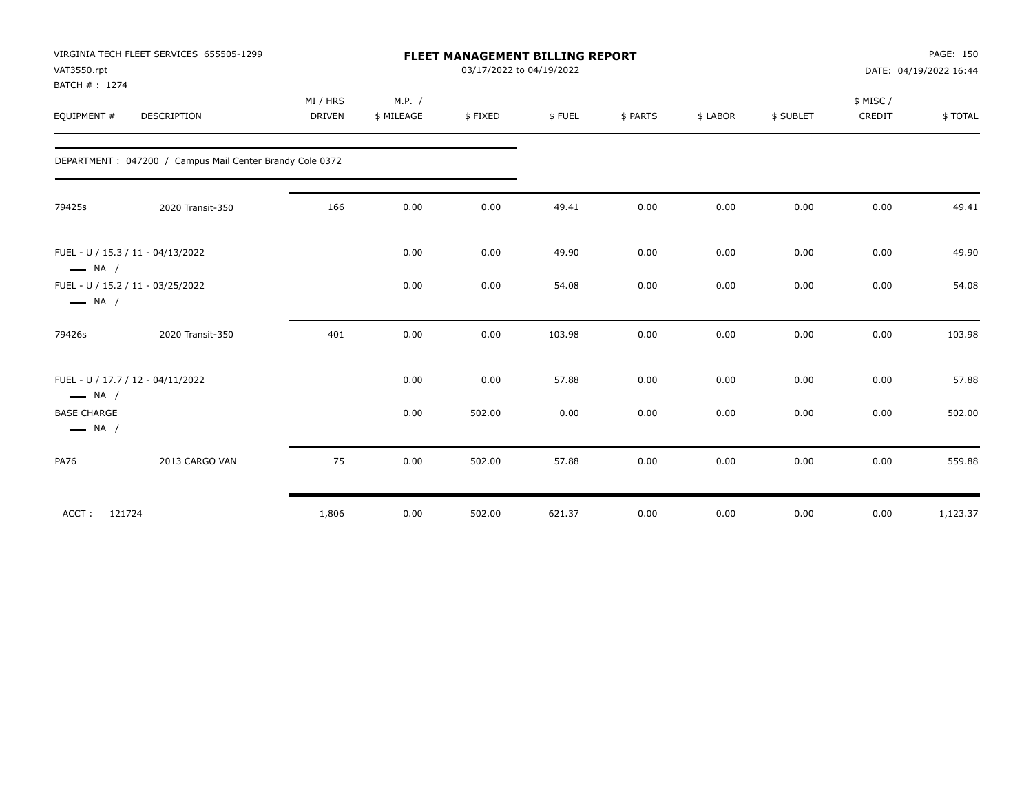| VAT3550.rpt<br>BATCH #: 1274                 | VIRGINIA TECH FLEET SERVICES 655505-1299                 |                           |                      | <b>FLEET MANAGEMENT BILLING REPORT</b><br>03/17/2022 to 04/19/2022 |        |          |          |           |                    | PAGE: 150<br>DATE: 04/19/2022 16:44 |
|----------------------------------------------|----------------------------------------------------------|---------------------------|----------------------|--------------------------------------------------------------------|--------|----------|----------|-----------|--------------------|-------------------------------------|
| EQUIPMENT #                                  | DESCRIPTION                                              | MI / HRS<br><b>DRIVEN</b> | M.P. /<br>\$ MILEAGE | \$FIXED                                                            | \$FUEL | \$ PARTS | \$ LABOR | \$ SUBLET | \$ MISC/<br>CREDIT | \$TOTAL                             |
|                                              | DEPARTMENT: 047200 / Campus Mail Center Brandy Cole 0372 |                           |                      |                                                                    |        |          |          |           |                    |                                     |
| 79425s                                       | 2020 Transit-350                                         | 166                       | 0.00                 | 0.00                                                               | 49.41  | 0.00     | 0.00     | 0.00      | 0.00               | 49.41                               |
| $\longrightarrow$ NA /                       | FUEL - U / 15.3 / 11 - 04/13/2022                        |                           | 0.00                 | 0.00                                                               | 49.90  | 0.00     | 0.00     | 0.00      | 0.00               | 49.90                               |
| $\longrightarrow$ NA /                       | FUEL - U / 15.2 / 11 - 03/25/2022                        |                           | 0.00                 | 0.00                                                               | 54.08  | 0.00     | 0.00     | 0.00      | 0.00               | 54.08                               |
| 79426s                                       | 2020 Transit-350                                         | 401                       | 0.00                 | 0.00                                                               | 103.98 | 0.00     | 0.00     | 0.00      | 0.00               | 103.98                              |
| $\longrightarrow$ NA /                       | FUEL - U / 17.7 / 12 - 04/11/2022                        |                           | 0.00                 | 0.00                                                               | 57.88  | 0.00     | 0.00     | 0.00      | 0.00               | 57.88                               |
| <b>BASE CHARGE</b><br>$\longrightarrow$ NA / |                                                          |                           | 0.00                 | 502.00                                                             | 0.00   | 0.00     | 0.00     | 0.00      | 0.00               | 502.00                              |
| <b>PA76</b>                                  | 2013 CARGO VAN                                           | 75                        | 0.00                 | 502.00                                                             | 57.88  | 0.00     | 0.00     | 0.00      | 0.00               | 559.88                              |
| 121724<br>ACCT:                              |                                                          | 1,806                     | 0.00                 | 502.00                                                             | 621.37 | 0.00     | 0.00     | 0.00      | 0.00               | 1,123.37                            |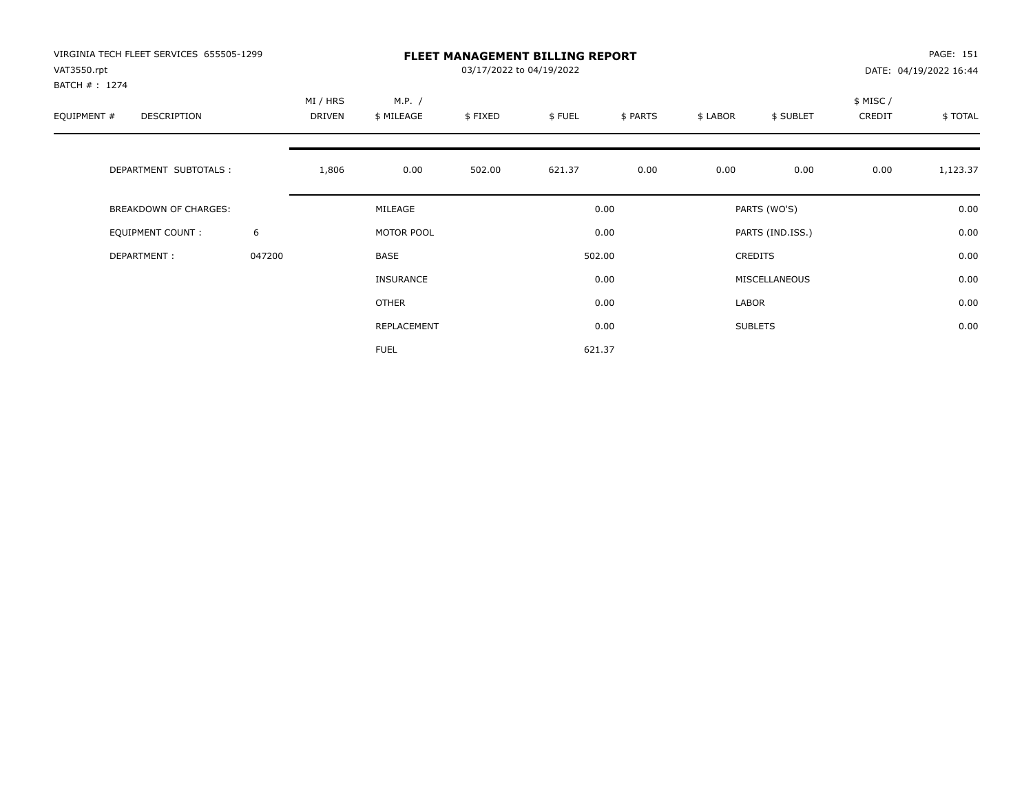| VIRGINIA TECH FLEET SERVICES 655505-1299<br>VAT3550.rpt<br>BATCH #: 1274 |        |                    |                      | 03/17/2022 to 04/19/2022 | <b>FLEET MANAGEMENT BILLING REPORT</b> |          |          |                  |                    | PAGE: 151<br>DATE: 04/19/2022 16:44 |
|--------------------------------------------------------------------------|--------|--------------------|----------------------|--------------------------|----------------------------------------|----------|----------|------------------|--------------------|-------------------------------------|
| EQUIPMENT #<br>DESCRIPTION                                               |        | MI / HRS<br>DRIVEN | M.P. /<br>\$ MILEAGE | \$FIXED                  | \$FUEL                                 | \$ PARTS | \$ LABOR | \$ SUBLET        | \$ MISC/<br>CREDIT | \$TOTAL                             |
| DEPARTMENT SUBTOTALS :                                                   |        | 1,806              | 0.00                 | 502.00                   | 621.37                                 | 0.00     | 0.00     | 0.00             | 0.00               | 1,123.37                            |
| BREAKDOWN OF CHARGES:                                                    |        |                    | MILEAGE              |                          |                                        | 0.00     |          | PARTS (WO'S)     |                    | 0.00                                |
| <b>EQUIPMENT COUNT:</b>                                                  | 6      |                    | MOTOR POOL           |                          |                                        | 0.00     |          | PARTS (IND.ISS.) |                    | 0.00                                |
| DEPARTMENT:                                                              | 047200 |                    | BASE                 |                          |                                        | 502.00   |          | <b>CREDITS</b>   |                    | 0.00                                |
|                                                                          |        |                    | <b>INSURANCE</b>     |                          |                                        | 0.00     |          | MISCELLANEOUS    |                    | 0.00                                |
|                                                                          |        |                    | OTHER                |                          |                                        | 0.00     | LABOR    |                  |                    | 0.00                                |
|                                                                          |        |                    | REPLACEMENT          |                          |                                        | 0.00     |          | <b>SUBLETS</b>   |                    | 0.00                                |
|                                                                          |        |                    | <b>FUEL</b>          |                          |                                        | 621.37   |          |                  |                    |                                     |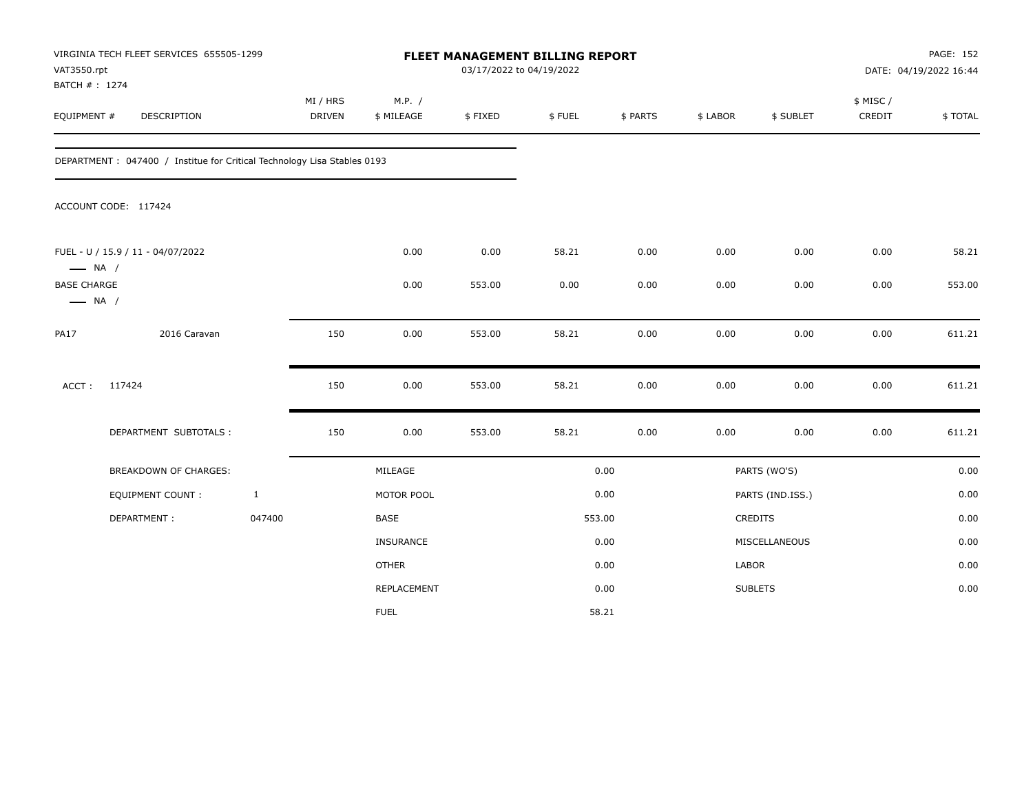| VAT3550.rpt<br>BATCH #: 1274                 | VIRGINIA TECH FLEET SERVICES 655505-1299                                 |              |                           |                      | 03/17/2022 to 04/19/2022 | FLEET MANAGEMENT BILLING REPORT |          |          |                  |                    | PAGE: 152<br>DATE: 04/19/2022 16:44 |
|----------------------------------------------|--------------------------------------------------------------------------|--------------|---------------------------|----------------------|--------------------------|---------------------------------|----------|----------|------------------|--------------------|-------------------------------------|
| EQUIPMENT #                                  | DESCRIPTION                                                              |              | MI / HRS<br><b>DRIVEN</b> | M.P. /<br>\$ MILEAGE | \$FIXED                  | \$FUEL                          | \$ PARTS | \$ LABOR | \$ SUBLET        | \$ MISC/<br>CREDIT | \$TOTAL                             |
|                                              | DEPARTMENT : 047400 / Institue for Critical Technology Lisa Stables 0193 |              |                           |                      |                          |                                 |          |          |                  |                    |                                     |
|                                              | ACCOUNT CODE: 117424                                                     |              |                           |                      |                          |                                 |          |          |                  |                    |                                     |
| $\longrightarrow$ NA /                       | FUEL - U / 15.9 / 11 - 04/07/2022                                        |              |                           | 0.00                 | 0.00                     | 58.21                           | 0.00     | 0.00     | 0.00             | 0.00               | 58.21                               |
| <b>BASE CHARGE</b><br>$\longrightarrow$ NA / |                                                                          |              |                           | 0.00                 | 553.00                   | 0.00                            | 0.00     | 0.00     | 0.00             | 0.00               | 553.00                              |
| <b>PA17</b>                                  | 2016 Caravan                                                             |              | 150                       | 0.00                 | 553.00                   | 58.21                           | 0.00     | 0.00     | 0.00             | 0.00               | 611.21                              |
| ACCT:                                        | 117424                                                                   |              | 150                       | 0.00                 | 553.00                   | 58.21                           | 0.00     | 0.00     | 0.00             | 0.00               | 611.21                              |
|                                              | DEPARTMENT SUBTOTALS :                                                   |              | 150                       | 0.00                 | 553.00                   | 58.21                           | 0.00     | 0.00     | 0.00             | 0.00               | 611.21                              |
|                                              | <b>BREAKDOWN OF CHARGES:</b>                                             |              |                           | MILEAGE              |                          |                                 | 0.00     |          | PARTS (WO'S)     |                    | 0.00                                |
|                                              | <b>EQUIPMENT COUNT:</b>                                                  | $\mathbf{1}$ |                           | MOTOR POOL           |                          |                                 | 0.00     |          | PARTS (IND.ISS.) |                    | 0.00                                |
|                                              | DEPARTMENT:                                                              | 047400       |                           | BASE                 |                          |                                 | 553.00   |          | <b>CREDITS</b>   |                    | 0.00                                |
|                                              |                                                                          |              |                           | INSURANCE            |                          |                                 | 0.00     |          | MISCELLANEOUS    |                    | 0.00                                |
|                                              |                                                                          |              |                           | <b>OTHER</b>         |                          |                                 | 0.00     | LABOR    |                  |                    | 0.00                                |
|                                              |                                                                          |              |                           | REPLACEMENT          |                          |                                 | 0.00     |          | <b>SUBLETS</b>   |                    | 0.00                                |
|                                              |                                                                          |              |                           | <b>FUEL</b>          |                          |                                 | 58.21    |          |                  |                    |                                     |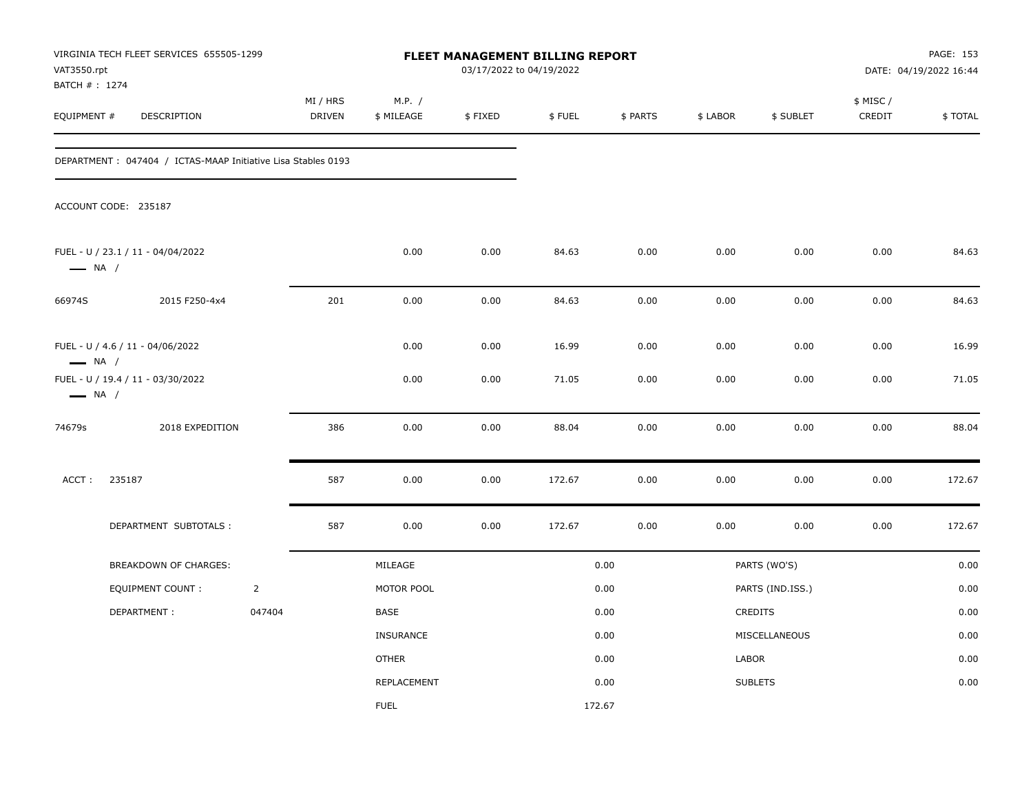| VAT3550.rpt                   | VIRGINIA TECH FLEET SERVICES 655505-1299                      |                |                    |                      | 03/17/2022 to 04/19/2022 | FLEET MANAGEMENT BILLING REPORT |          |          |                  |                     | PAGE: 153<br>DATE: 04/19/2022 16:44 |
|-------------------------------|---------------------------------------------------------------|----------------|--------------------|----------------------|--------------------------|---------------------------------|----------|----------|------------------|---------------------|-------------------------------------|
| BATCH # : 1274<br>EQUIPMENT # | <b>DESCRIPTION</b>                                            |                | MI / HRS<br>DRIVEN | M.P. /<br>\$ MILEAGE | \$FIXED                  | \$FUEL                          | \$ PARTS | \$ LABOR | \$ SUBLET        | \$ MISC /<br>CREDIT | \$TOTAL                             |
|                               | DEPARTMENT : 047404 / ICTAS-MAAP Initiative Lisa Stables 0193 |                |                    |                      |                          |                                 |          |          |                  |                     |                                     |
|                               | ACCOUNT CODE: 235187                                          |                |                    |                      |                          |                                 |          |          |                  |                     |                                     |
| $\longrightarrow$ NA /        | FUEL - U / 23.1 / 11 - 04/04/2022                             |                |                    | 0.00                 | 0.00                     | 84.63                           | 0.00     | 0.00     | 0.00             | 0.00                | 84.63                               |
| 66974S                        | 2015 F250-4x4                                                 |                | 201                | 0.00                 | 0.00                     | 84.63                           | 0.00     | 0.00     | 0.00             | 0.00                | 84.63                               |
| $\longrightarrow$ NA /        | FUEL - U / 4.6 / 11 - 04/06/2022                              |                |                    | 0.00                 | 0.00                     | 16.99                           | 0.00     | 0.00     | 0.00             | 0.00                | 16.99                               |
| $\longrightarrow$ NA /        | FUEL - U / 19.4 / 11 - 03/30/2022                             |                |                    | 0.00                 | 0.00                     | 71.05                           | 0.00     | 0.00     | 0.00             | 0.00                | 71.05                               |
| 74679s                        | 2018 EXPEDITION                                               |                | 386                | 0.00                 | 0.00                     | 88.04                           | 0.00     | 0.00     | 0.00             | 0.00                | 88.04                               |
| ACCT:                         | 235187                                                        |                | 587                | 0.00                 | 0.00                     | 172.67                          | 0.00     | 0.00     | 0.00             | 0.00                | 172.67                              |
|                               | DEPARTMENT SUBTOTALS :                                        |                | 587                | 0.00                 | 0.00                     | 172.67                          | 0.00     | 0.00     | 0.00             | 0.00                | 172.67                              |
|                               | <b>BREAKDOWN OF CHARGES:</b>                                  |                |                    | MILEAGE              |                          |                                 | 0.00     |          | PARTS (WO'S)     |                     | 0.00                                |
|                               | EQUIPMENT COUNT:                                              | $\overline{2}$ |                    | MOTOR POOL           |                          |                                 | 0.00     |          | PARTS (IND.ISS.) |                     | 0.00                                |
|                               | DEPARTMENT:                                                   | 047404         |                    | BASE                 |                          |                                 | 0.00     |          | CREDITS          |                     | 0.00                                |
|                               |                                                               |                |                    | <b>INSURANCE</b>     |                          |                                 | 0.00     |          | MISCELLANEOUS    |                     | 0.00                                |
|                               |                                                               |                |                    | <b>OTHER</b>         |                          |                                 | 0.00     | LABOR    |                  |                     | 0.00                                |
|                               |                                                               |                |                    | REPLACEMENT          |                          |                                 | 0.00     |          | <b>SUBLETS</b>   |                     | 0.00                                |
|                               |                                                               |                |                    | <b>FUEL</b>          |                          | 172.67                          |          |          |                  |                     |                                     |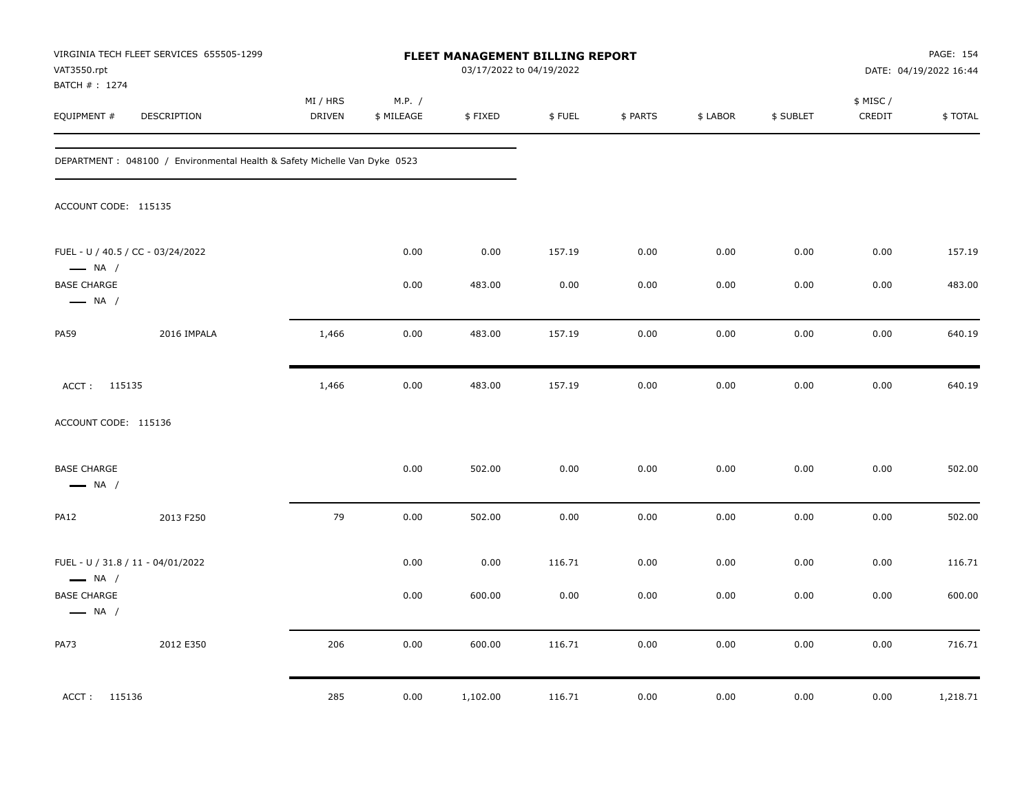| VAT3550.rpt<br>BATCH # : 1274                | VIRGINIA TECH FLEET SERVICES 655505-1299                                   |                    |                      |          | <b>FLEET MANAGEMENT BILLING REPORT</b><br>03/17/2022 to 04/19/2022 |          |          |           |                    | PAGE: 154<br>DATE: 04/19/2022 16:44 |
|----------------------------------------------|----------------------------------------------------------------------------|--------------------|----------------------|----------|--------------------------------------------------------------------|----------|----------|-----------|--------------------|-------------------------------------|
| EQUIPMENT #                                  | DESCRIPTION                                                                | MI / HRS<br>DRIVEN | M.P. /<br>\$ MILEAGE | \$FIXED  | \$FUEL                                                             | \$ PARTS | \$ LABOR | \$ SUBLET | \$ MISC/<br>CREDIT | \$TOTAL                             |
|                                              | DEPARTMENT : 048100 / Environmental Health & Safety Michelle Van Dyke 0523 |                    |                      |          |                                                                    |          |          |           |                    |                                     |
| ACCOUNT CODE: 115135                         |                                                                            |                    |                      |          |                                                                    |          |          |           |                    |                                     |
| $\longrightarrow$ NA /                       | FUEL - U / 40.5 / CC - 03/24/2022                                          |                    | 0.00                 | 0.00     | 157.19                                                             | 0.00     | 0.00     | 0.00      | 0.00               | 157.19                              |
| <b>BASE CHARGE</b><br>$\longrightarrow$ NA / |                                                                            |                    | 0.00                 | 483.00   | 0.00                                                               | 0.00     | 0.00     | 0.00      | 0.00               | 483.00                              |
| <b>PA59</b>                                  | 2016 IMPALA                                                                | 1,466              | 0.00                 | 483.00   | 157.19                                                             | 0.00     | 0.00     | 0.00      | 0.00               | 640.19                              |
| ACCT: 115135                                 |                                                                            | 1,466              | 0.00                 | 483.00   | 157.19                                                             | 0.00     | 0.00     | 0.00      | 0.00               | 640.19                              |
| ACCOUNT CODE: 115136                         |                                                                            |                    |                      |          |                                                                    |          |          |           |                    |                                     |
| <b>BASE CHARGE</b><br>$\longrightarrow$ NA / |                                                                            |                    | 0.00                 | 502.00   | 0.00                                                               | 0.00     | 0.00     | 0.00      | 0.00               | 502.00                              |
| <b>PA12</b>                                  | 2013 F250                                                                  | 79                 | 0.00                 | 502.00   | 0.00                                                               | 0.00     | 0.00     | 0.00      | 0.00               | 502.00                              |
| $\longrightarrow$ NA /                       | FUEL - U / 31.8 / 11 - 04/01/2022                                          |                    | 0.00                 | 0.00     | 116.71                                                             | 0.00     | 0.00     | 0.00      | 0.00               | 116.71                              |
| <b>BASE CHARGE</b><br>$\longrightarrow$ NA / |                                                                            |                    | 0.00                 | 600.00   | 0.00                                                               | 0.00     | 0.00     | 0.00      | 0.00               | 600.00                              |
| <b>PA73</b>                                  | 2012 E350                                                                  | 206                | 0.00                 | 600.00   | 116.71                                                             | 0.00     | 0.00     | 0.00      | 0.00               | 716.71                              |
| ACCT: 115136                                 |                                                                            | 285                | 0.00                 | 1,102.00 | 116.71                                                             | 0.00     | 0.00     | 0.00      | 0.00               | 1,218.71                            |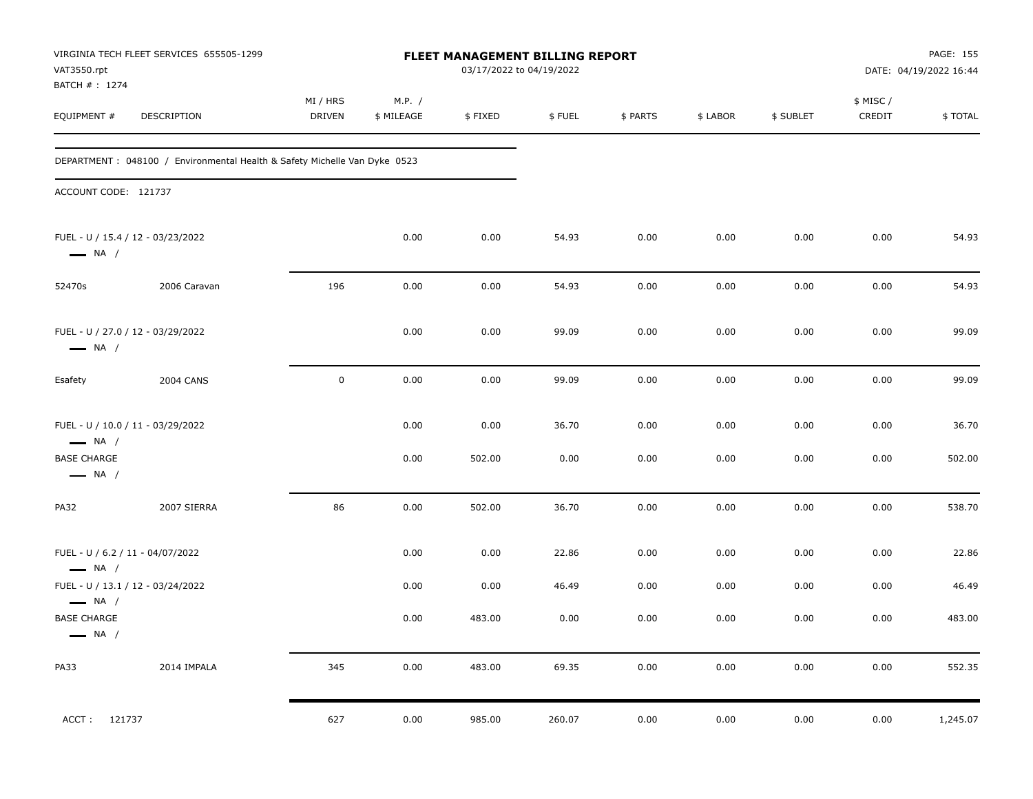| VAT3550.rpt                                                            | VIRGINIA TECH FLEET SERVICES 655505-1299                                   |                    |                      | FLEET MANAGEMENT BILLING REPORT<br>03/17/2022 to 04/19/2022 |               |              |              |              |                     | PAGE: 155<br>DATE: 04/19/2022 16:44 |
|------------------------------------------------------------------------|----------------------------------------------------------------------------|--------------------|----------------------|-------------------------------------------------------------|---------------|--------------|--------------|--------------|---------------------|-------------------------------------|
| BATCH #: 1274<br>EQUIPMENT #                                           | DESCRIPTION                                                                | MI / HRS<br>DRIVEN | M.P. /<br>\$ MILEAGE | \$FIXED                                                     | \$FUEL        | \$ PARTS     | \$ LABOR     | \$ SUBLET    | \$ MISC /<br>CREDIT | \$TOTAL                             |
|                                                                        | DEPARTMENT : 048100 / Environmental Health & Safety Michelle Van Dyke 0523 |                    |                      |                                                             |               |              |              |              |                     |                                     |
| ACCOUNT CODE: 121737                                                   |                                                                            |                    |                      |                                                             |               |              |              |              |                     |                                     |
| $\longrightarrow$ NA /                                                 | FUEL - U / 15.4 / 12 - 03/23/2022                                          |                    | 0.00                 | 0.00                                                        | 54.93         | 0.00         | 0.00         | 0.00         | 0.00                | 54.93                               |
| 52470s                                                                 | 2006 Caravan                                                               | 196                | 0.00                 | 0.00                                                        | 54.93         | 0.00         | 0.00         | 0.00         | 0.00                | 54.93                               |
| $\longrightarrow$ NA /                                                 | FUEL - U / 27.0 / 12 - 03/29/2022                                          |                    | 0.00                 | 0.00                                                        | 99.09         | 0.00         | 0.00         | 0.00         | 0.00                | 99.09                               |
| Esafety                                                                | <b>2004 CANS</b>                                                           | $\mathsf 0$        | 0.00                 | 0.00                                                        | 99.09         | 0.00         | 0.00         | 0.00         | 0.00                | 99.09                               |
| $\longrightarrow$ NA /<br><b>BASE CHARGE</b><br>$\longrightarrow$ NA / | FUEL - U / 10.0 / 11 - 03/29/2022                                          |                    | 0.00<br>0.00         | 0.00<br>502.00                                              | 36.70<br>0.00 | 0.00<br>0.00 | 0.00<br>0.00 | 0.00<br>0.00 | 0.00<br>0.00        | 36.70<br>502.00                     |
| <b>PA32</b>                                                            | 2007 SIERRA                                                                | 86                 | 0.00                 | 502.00                                                      | 36.70         | 0.00         | 0.00         | 0.00         | 0.00                | 538.70                              |
| FUEL - U / 6.2 / 11 - 04/07/2022<br>$\longrightarrow$ NA /             |                                                                            |                    | 0.00                 | 0.00                                                        | 22.86         | 0.00         | 0.00         | 0.00         | 0.00                | 22.86                               |
| $\longrightarrow$ NA /                                                 | FUEL - U / 13.1 / 12 - 03/24/2022                                          |                    | 0.00                 | 0.00                                                        | 46.49         | 0.00         | 0.00         | 0.00         | 0.00                | 46.49                               |
| <b>BASE CHARGE</b><br>$\longrightarrow$ NA /                           |                                                                            |                    | 0.00                 | 483.00                                                      | 0.00          | 0.00         | 0.00         | 0.00         | 0.00                | 483.00                              |
| PA33                                                                   | 2014 IMPALA                                                                | 345                | $0.00\,$             | 483.00                                                      | 69.35         | $0.00\,$     | 0.00         | 0.00         | $0.00\,$            | 552.35                              |
| 121737<br>ACCT:                                                        |                                                                            | 627                | $0.00\,$             | 985.00                                                      | 260.07        | $0.00\,$     | $0.00\,$     | 0.00         | 0.00                | 1,245.07                            |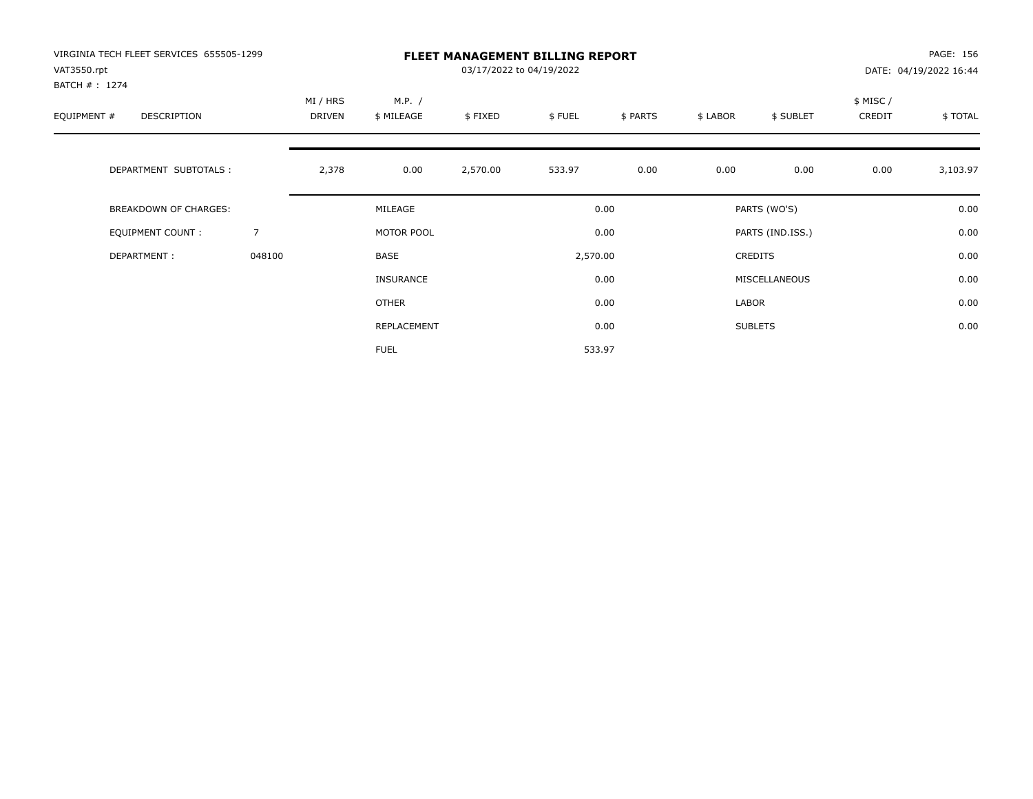| VIRGINIA TECH FLEET SERVICES 655505-1299<br>VAT3550.rpt<br>BATCH #: 1274 |                |                    |                      | 03/17/2022 to 04/19/2022 | <b>FLEET MANAGEMENT BILLING REPORT</b> |          |          |                  |                    | PAGE: 156<br>DATE: 04/19/2022 16:44 |
|--------------------------------------------------------------------------|----------------|--------------------|----------------------|--------------------------|----------------------------------------|----------|----------|------------------|--------------------|-------------------------------------|
| EQUIPMENT #<br>DESCRIPTION                                               |                | MI / HRS<br>DRIVEN | M.P. /<br>\$ MILEAGE | \$FIXED                  | \$FUEL                                 | \$ PARTS | \$ LABOR | \$ SUBLET        | \$ MISC/<br>CREDIT | \$TOTAL                             |
| DEPARTMENT SUBTOTALS :                                                   |                | 2,378              | 0.00                 | 2,570.00                 | 533.97                                 | 0.00     | 0.00     | 0.00             | 0.00               | 3,103.97                            |
| <b>BREAKDOWN OF CHARGES:</b>                                             |                |                    | MILEAGE              |                          |                                        | 0.00     |          | PARTS (WO'S)     |                    | 0.00                                |
| EQUIPMENT COUNT:                                                         | $\overline{7}$ |                    | MOTOR POOL           |                          |                                        | 0.00     |          | PARTS (IND.ISS.) |                    | 0.00                                |
| DEPARTMENT:                                                              | 048100         |                    | BASE                 |                          | 2,570.00                               |          |          | <b>CREDITS</b>   |                    | 0.00                                |
|                                                                          |                |                    | <b>INSURANCE</b>     |                          |                                        | 0.00     |          | MISCELLANEOUS    |                    | 0.00                                |
|                                                                          |                |                    | OTHER                |                          |                                        | 0.00     | LABOR    |                  |                    | 0.00                                |
|                                                                          |                |                    | REPLACEMENT          |                          |                                        | 0.00     |          | <b>SUBLETS</b>   |                    | 0.00                                |
|                                                                          |                |                    | <b>FUEL</b>          |                          |                                        | 533.97   |          |                  |                    |                                     |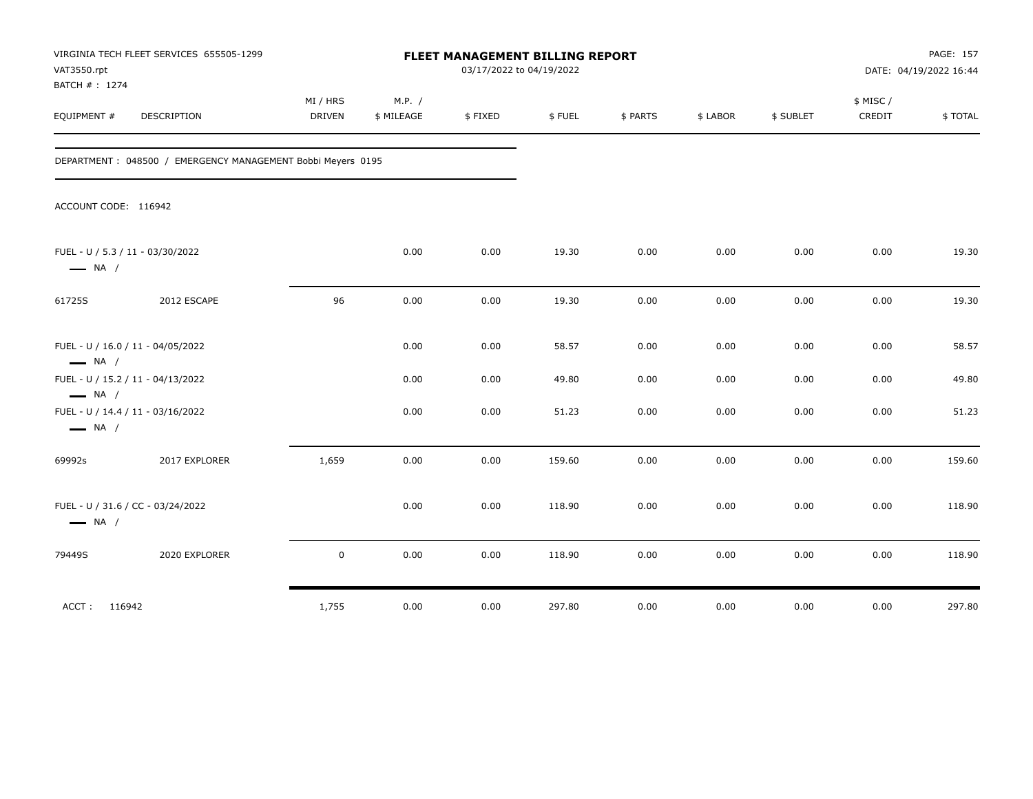| VAT3550.rpt<br>BATCH #: 1274                                                          | VIRGINIA TECH FLEET SERVICES 655505-1299                    |                           |                      | FLEET MANAGEMENT BILLING REPORT<br>03/17/2022 to 04/19/2022 |        |          |          |           |                    | PAGE: 157<br>DATE: 04/19/2022 16:44 |
|---------------------------------------------------------------------------------------|-------------------------------------------------------------|---------------------------|----------------------|-------------------------------------------------------------|--------|----------|----------|-----------|--------------------|-------------------------------------|
| EQUIPMENT #                                                                           | DESCRIPTION                                                 | MI / HRS<br><b>DRIVEN</b> | M.P. /<br>\$ MILEAGE | \$FIXED                                                     | \$FUEL | \$ PARTS | \$ LABOR | \$ SUBLET | \$ MISC/<br>CREDIT | \$TOTAL                             |
|                                                                                       | DEPARTMENT: 048500 / EMERGENCY MANAGEMENT Bobbi Meyers 0195 |                           |                      |                                                             |        |          |          |           |                    |                                     |
| ACCOUNT CODE: 116942                                                                  |                                                             |                           |                      |                                                             |        |          |          |           |                    |                                     |
| FUEL - U / 5.3 / 11 - 03/30/2022<br>$\longrightarrow$ NA /                            |                                                             |                           | 0.00                 | 0.00                                                        | 19.30  | 0.00     | 0.00     | 0.00      | 0.00               | 19.30                               |
| 61725S                                                                                | 2012 ESCAPE                                                 | 96                        | 0.00                 | 0.00                                                        | 19.30  | 0.00     | 0.00     | 0.00      | 0.00               | 19.30                               |
| FUEL - U / 16.0 / 11 - 04/05/2022<br>$\longrightarrow$ NA /                           |                                                             |                           | 0.00                 | 0.00                                                        | 58.57  | 0.00     | 0.00     | 0.00      | 0.00               | 58.57                               |
| FUEL - U / 15.2 / 11 - 04/13/2022                                                     |                                                             |                           | 0.00                 | 0.00                                                        | 49.80  | 0.00     | 0.00     | 0.00      | 0.00               | 49.80                               |
| $\longrightarrow$ NA /<br>FUEL - U / 14.4 / 11 - 03/16/2022<br>$\longrightarrow$ NA / |                                                             |                           | 0.00                 | 0.00                                                        | 51.23  | 0.00     | 0.00     | 0.00      | 0.00               | 51.23                               |
| 69992s                                                                                | 2017 EXPLORER                                               | 1,659                     | 0.00                 | 0.00                                                        | 159.60 | 0.00     | 0.00     | 0.00      | 0.00               | 159.60                              |
| FUEL - U / 31.6 / CC - 03/24/2022<br>$\longrightarrow$ NA /                           |                                                             |                           | 0.00                 | 0.00                                                        | 118.90 | 0.00     | 0.00     | 0.00      | 0.00               | 118.90                              |
| 79449S                                                                                | 2020 EXPLORER                                               | $\mathbf 0$               | 0.00                 | 0.00                                                        | 118.90 | 0.00     | 0.00     | 0.00      | 0.00               | 118.90                              |
| ACCT: 116942                                                                          |                                                             | 1,755                     | 0.00                 | 0.00                                                        | 297.80 | 0.00     | 0.00     | 0.00      | 0.00               | 297.80                              |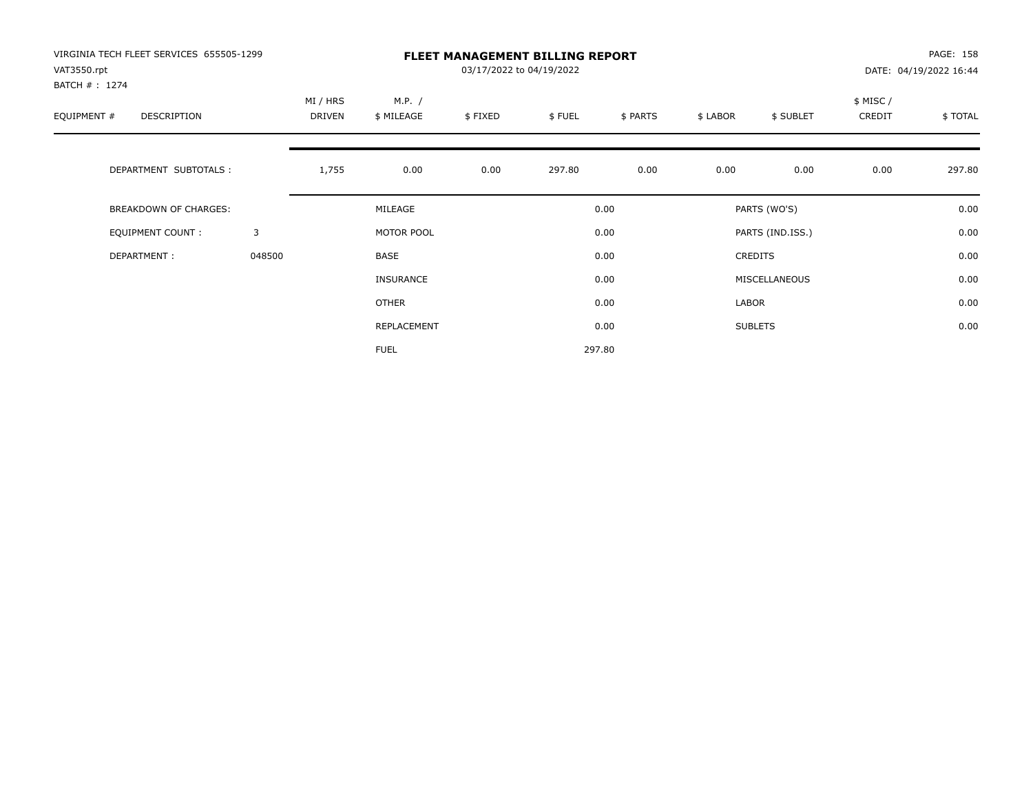| VIRGINIA TECH FLEET SERVICES 655505-1299<br>VAT3550.rpt<br>BATCH #: 1274 |        |                    |                      | 03/17/2022 to 04/19/2022 | <b>FLEET MANAGEMENT BILLING REPORT</b> |          |          |                  |                    | PAGE: 158<br>DATE: 04/19/2022 16:44 |
|--------------------------------------------------------------------------|--------|--------------------|----------------------|--------------------------|----------------------------------------|----------|----------|------------------|--------------------|-------------------------------------|
| EQUIPMENT #<br>DESCRIPTION                                               |        | MI / HRS<br>DRIVEN | M.P. /<br>\$ MILEAGE | \$FIXED                  | \$FUEL                                 | \$ PARTS | \$ LABOR | \$ SUBLET        | \$ MISC/<br>CREDIT | \$TOTAL                             |
| DEPARTMENT SUBTOTALS :                                                   |        | 1,755              | 0.00                 | 0.00                     | 297.80                                 | 0.00     | 0.00     | 0.00             | 0.00               | 297.80                              |
| <b>BREAKDOWN OF CHARGES:</b>                                             |        |                    | MILEAGE              |                          |                                        | 0.00     |          | PARTS (WO'S)     |                    | 0.00                                |
| EQUIPMENT COUNT:                                                         | 3      |                    | MOTOR POOL           |                          |                                        | 0.00     |          | PARTS (IND.ISS.) |                    | 0.00                                |
| DEPARTMENT:                                                              | 048500 |                    | <b>BASE</b>          |                          |                                        | 0.00     |          | <b>CREDITS</b>   |                    | 0.00                                |
|                                                                          |        |                    | <b>INSURANCE</b>     |                          |                                        | 0.00     |          | MISCELLANEOUS    |                    | 0.00                                |
|                                                                          |        |                    | <b>OTHER</b>         |                          |                                        | 0.00     | LABOR    |                  |                    | 0.00                                |
|                                                                          |        |                    | REPLACEMENT          |                          |                                        | 0.00     |          | <b>SUBLETS</b>   |                    | 0.00                                |
|                                                                          |        |                    | <b>FUEL</b>          |                          |                                        | 297.80   |          |                  |                    |                                     |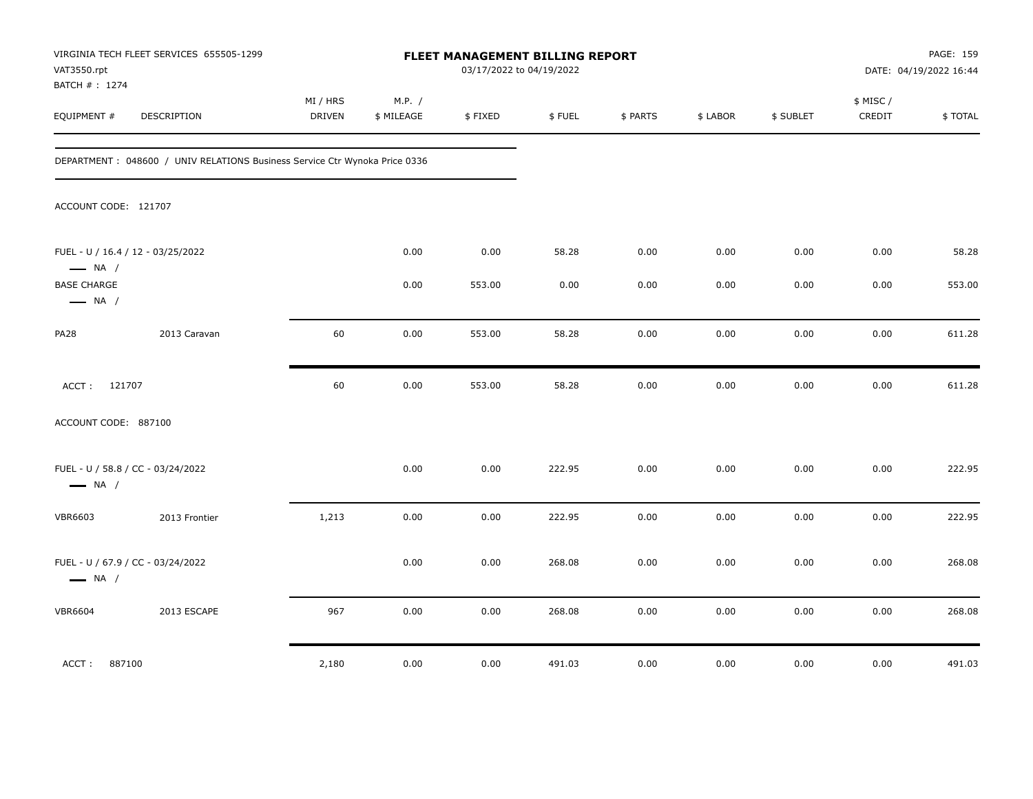| VAT3550.rpt<br>BATCH # : 1274                | VIRGINIA TECH FLEET SERVICES 655505-1299                                   |                    |                      | FLEET MANAGEMENT BILLING REPORT<br>03/17/2022 to 04/19/2022 |        |          |          |           |                     | PAGE: 159<br>DATE: 04/19/2022 16:44 |
|----------------------------------------------|----------------------------------------------------------------------------|--------------------|----------------------|-------------------------------------------------------------|--------|----------|----------|-----------|---------------------|-------------------------------------|
| EQUIPMENT #                                  | DESCRIPTION                                                                | MI / HRS<br>DRIVEN | M.P. /<br>\$ MILEAGE | \$FIXED                                                     | \$FUEL | \$ PARTS | \$ LABOR | \$ SUBLET | \$ MISC /<br>CREDIT | \$TOTAL                             |
|                                              | DEPARTMENT: 048600 / UNIV RELATIONS Business Service Ctr Wynoka Price 0336 |                    |                      |                                                             |        |          |          |           |                     |                                     |
| ACCOUNT CODE: 121707                         |                                                                            |                    |                      |                                                             |        |          |          |           |                     |                                     |
| $\longrightarrow$ NA /                       | FUEL - U / 16.4 / 12 - 03/25/2022                                          |                    | 0.00                 | 0.00                                                        | 58.28  | 0.00     | 0.00     | 0.00      | 0.00                | 58.28                               |
| <b>BASE CHARGE</b><br>$\longrightarrow$ NA / |                                                                            |                    | 0.00                 | 553.00                                                      | 0.00   | 0.00     | 0.00     | 0.00      | 0.00                | 553.00                              |
| <b>PA28</b>                                  | 2013 Caravan                                                               | 60                 | 0.00                 | 553.00                                                      | 58.28  | 0.00     | 0.00     | 0.00      | 0.00                | 611.28                              |
| ACCT: 121707                                 |                                                                            | 60                 | 0.00                 | 553.00                                                      | 58.28  | 0.00     | 0.00     | 0.00      | 0.00                | 611.28                              |
| ACCOUNT CODE: 887100                         |                                                                            |                    |                      |                                                             |        |          |          |           |                     |                                     |
| $\longrightarrow$ NA /                       | FUEL - U / 58.8 / CC - 03/24/2022                                          |                    | 0.00                 | 0.00                                                        | 222.95 | 0.00     | 0.00     | 0.00      | 0.00                | 222.95                              |
| <b>VBR6603</b>                               | 2013 Frontier                                                              | 1,213              | 0.00                 | 0.00                                                        | 222.95 | 0.00     | 0.00     | 0.00      | 0.00                | 222.95                              |
| $\longrightarrow$ NA /                       | FUEL - U / 67.9 / CC - 03/24/2022                                          |                    | 0.00                 | 0.00                                                        | 268.08 | 0.00     | 0.00     | 0.00      | 0.00                | 268.08                              |
| <b>VBR6604</b>                               | 2013 ESCAPE                                                                | 967                | 0.00                 | 0.00                                                        | 268.08 | 0.00     | 0.00     | 0.00      | 0.00                | 268.08                              |
| ACCT:<br>887100                              |                                                                            | 2,180              | 0.00                 | 0.00                                                        | 491.03 | 0.00     | 0.00     | 0.00      | 0.00                | 491.03                              |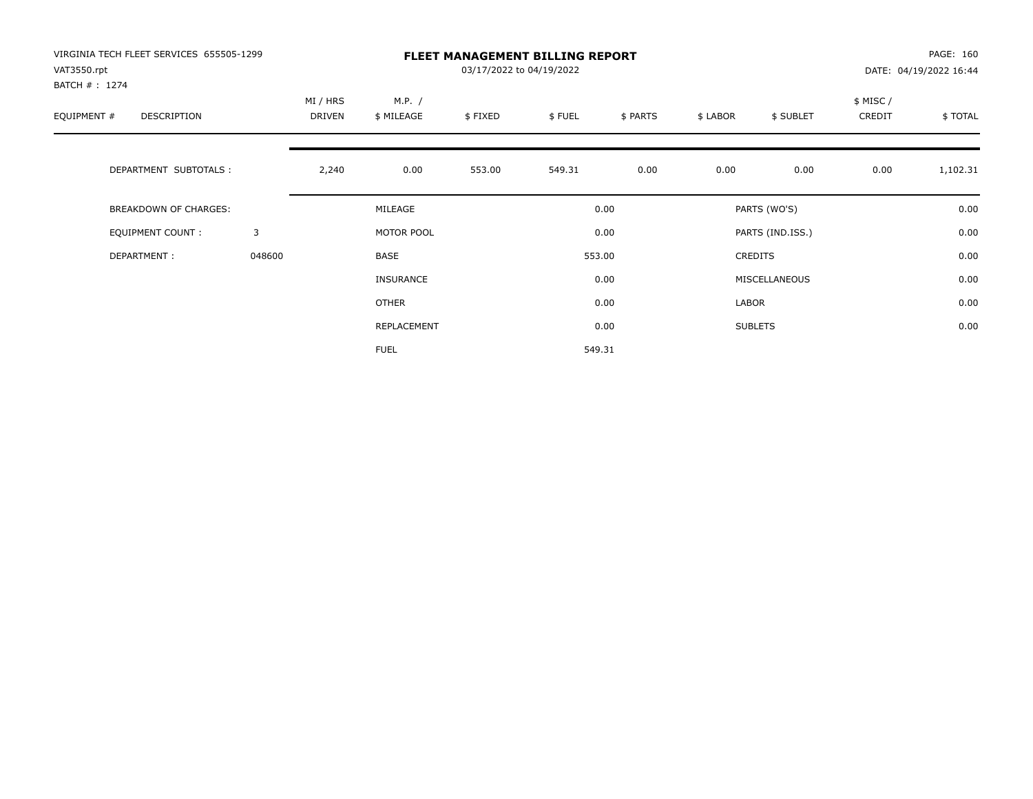| VIRGINIA TECH FLEET SERVICES 655505-1299<br>VAT3550.rpt<br>BATCH #: 1274 |        |                           |                      | 03/17/2022 to 04/19/2022 | <b>FLEET MANAGEMENT BILLING REPORT</b> |          |          |                  |                     | PAGE: 160<br>DATE: 04/19/2022 16:44 |
|--------------------------------------------------------------------------|--------|---------------------------|----------------------|--------------------------|----------------------------------------|----------|----------|------------------|---------------------|-------------------------------------|
| EQUIPMENT #<br><b>DESCRIPTION</b>                                        |        | MI / HRS<br><b>DRIVEN</b> | M.P. /<br>\$ MILEAGE | \$FIXED                  | \$FUEL                                 | \$ PARTS | \$ LABOR | \$ SUBLET        | \$ MISC /<br>CREDIT | \$TOTAL                             |
| DEPARTMENT SUBTOTALS :                                                   |        | 2,240                     | 0.00                 | 553.00                   | 549.31                                 | 0.00     | 0.00     | 0.00             | 0.00                | 1,102.31                            |
| <b>BREAKDOWN OF CHARGES:</b>                                             |        |                           | MILEAGE              |                          |                                        | 0.00     |          | PARTS (WO'S)     |                     | 0.00                                |
| EQUIPMENT COUNT:                                                         | 3      |                           | MOTOR POOL           |                          |                                        | 0.00     |          | PARTS (IND.ISS.) |                     | 0.00                                |
| DEPARTMENT:                                                              | 048600 |                           | <b>BASE</b>          |                          |                                        | 553.00   |          | <b>CREDITS</b>   |                     | 0.00                                |
|                                                                          |        |                           | <b>INSURANCE</b>     |                          |                                        | 0.00     |          | MISCELLANEOUS    |                     | 0.00                                |
|                                                                          |        |                           | OTHER                |                          |                                        | 0.00     | LABOR    |                  |                     | 0.00                                |
|                                                                          |        |                           | REPLACEMENT          |                          |                                        | 0.00     |          | <b>SUBLETS</b>   |                     | 0.00                                |
|                                                                          |        |                           | <b>FUEL</b>          |                          |                                        | 549.31   |          |                  |                     |                                     |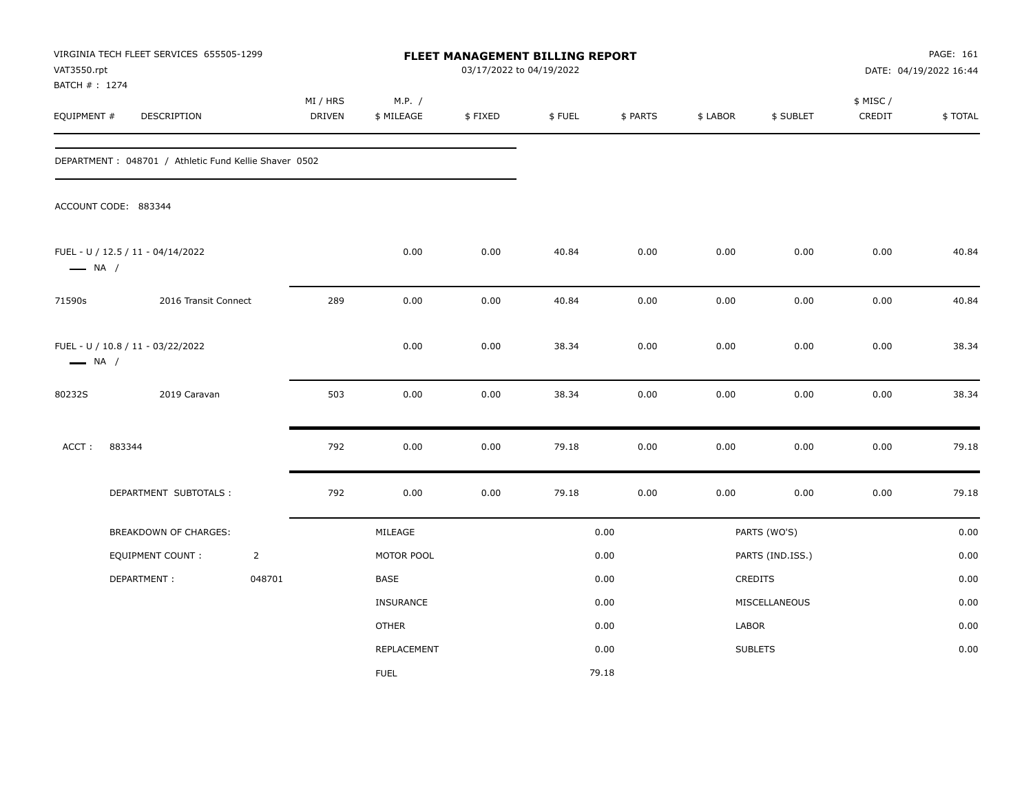| VAT3550.rpt            | VIRGINIA TECH FLEET SERVICES 655505-1299<br>BATCH # : 1274<br>EQUIPMENT #<br>DESCRIPTION |                |                    |                      | FLEET MANAGEMENT BILLING REPORT<br>03/17/2022 to 04/19/2022 |        |          |          |                  |                    | PAGE: 161<br>DATE: 04/19/2022 16:44 |  |
|------------------------|------------------------------------------------------------------------------------------|----------------|--------------------|----------------------|-------------------------------------------------------------|--------|----------|----------|------------------|--------------------|-------------------------------------|--|
|                        |                                                                                          |                | MI / HRS<br>DRIVEN | M.P. /<br>\$ MILEAGE | \$FIXED                                                     | \$FUEL | \$ PARTS | \$ LABOR | \$ SUBLET        | \$ MISC/<br>CREDIT | \$TOTAL                             |  |
|                        | DEPARTMENT: 048701 / Athletic Fund Kellie Shaver 0502                                    |                |                    |                      |                                                             |        |          |          |                  |                    |                                     |  |
|                        | ACCOUNT CODE: 883344                                                                     |                |                    |                      |                                                             |        |          |          |                  |                    |                                     |  |
| $\longrightarrow$ NA / | FUEL - U / 12.5 / 11 - 04/14/2022                                                        |                |                    | 0.00                 | 0.00                                                        | 40.84  | 0.00     | 0.00     | 0.00             | 0.00               | 40.84                               |  |
| 71590s                 | 2016 Transit Connect                                                                     |                | 289                | 0.00                 | 0.00                                                        | 40.84  | 0.00     | 0.00     | 0.00             | 0.00               | 40.84                               |  |
| $\longrightarrow$ NA / | FUEL - U / 10.8 / 11 - 03/22/2022                                                        |                |                    | 0.00                 | 0.00                                                        | 38.34  | 0.00     | 0.00     | 0.00             | 0.00               | 38.34                               |  |
| 80232S                 | 2019 Caravan                                                                             |                | 503                | 0.00                 | 0.00                                                        | 38.34  | 0.00     | 0.00     | 0.00             | 0.00               | 38.34                               |  |
| ACCT:                  | 883344                                                                                   |                | 792                | 0.00                 | 0.00                                                        | 79.18  | 0.00     | 0.00     | 0.00             | 0.00               | 79.18                               |  |
|                        | DEPARTMENT SUBTOTALS :                                                                   |                | 792                | 0.00                 | 0.00                                                        | 79.18  | 0.00     | 0.00     | 0.00             | 0.00               | 79.18                               |  |
|                        | BREAKDOWN OF CHARGES:                                                                    |                |                    | MILEAGE              |                                                             |        | 0.00     |          | PARTS (WO'S)     |                    | 0.00                                |  |
|                        | EQUIPMENT COUNT:                                                                         | $\overline{2}$ |                    | MOTOR POOL           |                                                             |        | 0.00     |          | PARTS (IND.ISS.) |                    | 0.00                                |  |
|                        | DEPARTMENT:                                                                              | 048701         |                    | BASE                 |                                                             |        | 0.00     |          | <b>CREDITS</b>   |                    | 0.00                                |  |
|                        |                                                                                          |                |                    | <b>INSURANCE</b>     |                                                             |        | 0.00     |          | MISCELLANEOUS    |                    | 0.00                                |  |
|                        |                                                                                          |                |                    | <b>OTHER</b>         |                                                             |        | 0.00     | LABOR    |                  |                    | 0.00                                |  |
|                        |                                                                                          |                |                    | <b>REPLACEMENT</b>   |                                                             |        | 0.00     |          | <b>SUBLETS</b>   |                    | 0.00                                |  |
|                        |                                                                                          |                |                    | <b>FUEL</b>          |                                                             |        | 79.18    |          |                  |                    |                                     |  |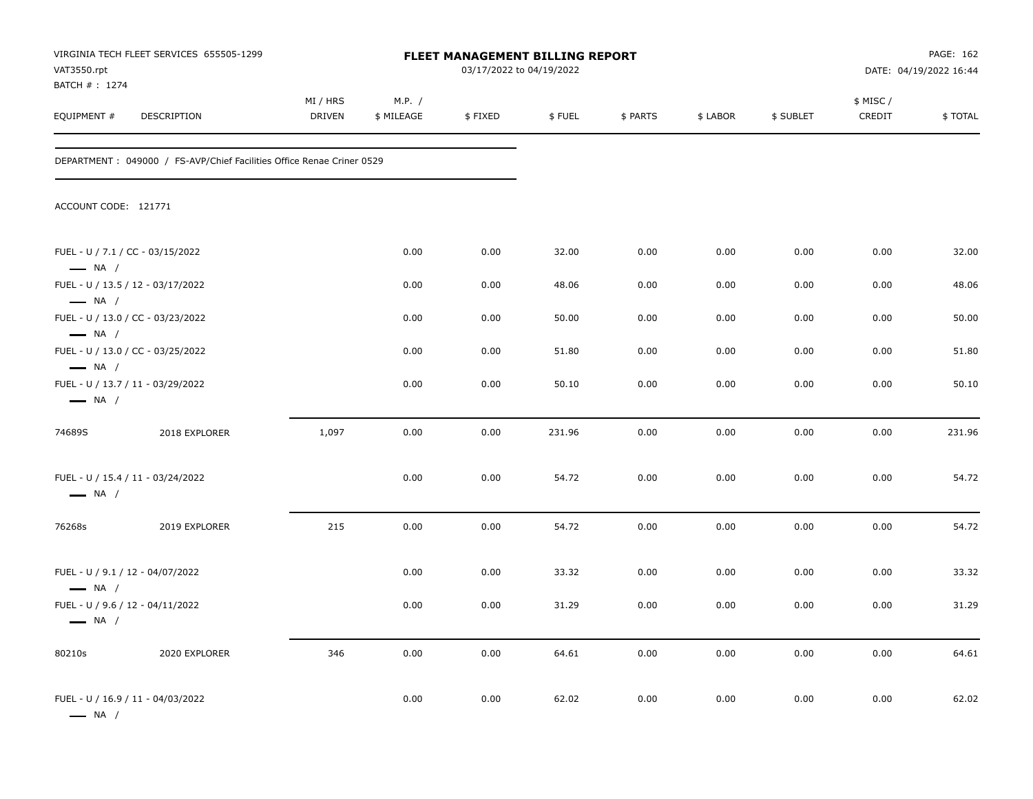| VAT3550.rpt<br>BATCH #: 1274                               | VIRGINIA TECH FLEET SERVICES 655505-1299                               |                           |                      | <b>FLEET MANAGEMENT BILLING REPORT</b><br>03/17/2022 to 04/19/2022 |        |          |          |           |                    | PAGE: 162<br>DATE: 04/19/2022 16:44 |
|------------------------------------------------------------|------------------------------------------------------------------------|---------------------------|----------------------|--------------------------------------------------------------------|--------|----------|----------|-----------|--------------------|-------------------------------------|
| EQUIPMENT #                                                | DESCRIPTION                                                            | MI / HRS<br><b>DRIVEN</b> | M.P. /<br>\$ MILEAGE | \$FIXED                                                            | \$FUEL | \$ PARTS | \$ LABOR | \$ SUBLET | \$ MISC/<br>CREDIT | \$TOTAL                             |
|                                                            | DEPARTMENT : 049000 / FS-AVP/Chief Facilities Office Renae Criner 0529 |                           |                      |                                                                    |        |          |          |           |                    |                                     |
| ACCOUNT CODE: 121771                                       |                                                                        |                           |                      |                                                                    |        |          |          |           |                    |                                     |
| FUEL - U / 7.1 / CC - 03/15/2022<br>$\longrightarrow$ NA / |                                                                        |                           | 0.00                 | 0.00                                                               | 32.00  | 0.00     | 0.00     | 0.00      | 0.00               | 32.00                               |
| $\longrightarrow$ NA /                                     | FUEL - U / 13.5 / 12 - 03/17/2022                                      |                           | 0.00                 | 0.00                                                               | 48.06  | 0.00     | 0.00     | 0.00      | 0.00               | 48.06                               |
| $\longrightarrow$ NA /                                     | FUEL - U / 13.0 / CC - 03/23/2022                                      |                           | 0.00                 | 0.00                                                               | 50.00  | 0.00     | 0.00     | 0.00      | 0.00               | 50.00                               |
| $\longrightarrow$ NA /                                     | FUEL - U / 13.0 / CC - 03/25/2022                                      |                           | 0.00                 | 0.00                                                               | 51.80  | 0.00     | 0.00     | 0.00      | 0.00               | 51.80                               |
| $\longrightarrow$ NA /                                     | FUEL - U / 13.7 / 11 - 03/29/2022                                      |                           | 0.00                 | 0.00                                                               | 50.10  | 0.00     | 0.00     | 0.00      | 0.00               | 50.10                               |
| 74689S                                                     | 2018 EXPLORER                                                          | 1,097                     | 0.00                 | 0.00                                                               | 231.96 | 0.00     | 0.00     | 0.00      | 0.00               | 231.96                              |
| $\longrightarrow$ NA /                                     | FUEL - U / 15.4 / 11 - 03/24/2022                                      |                           | 0.00                 | 0.00                                                               | 54.72  | 0.00     | 0.00     | 0.00      | 0.00               | 54.72                               |
| 76268s                                                     | 2019 EXPLORER                                                          | 215                       | 0.00                 | 0.00                                                               | 54.72  | 0.00     | 0.00     | 0.00      | 0.00               | 54.72                               |
| FUEL - U / 9.1 / 12 - 04/07/2022<br>$\longrightarrow$ NA / |                                                                        |                           | 0.00                 | 0.00                                                               | 33.32  | 0.00     | 0.00     | 0.00      | 0.00               | 33.32                               |
| FUEL - U / 9.6 / 12 - 04/11/2022<br>$\longrightarrow$ NA / |                                                                        |                           | 0.00                 | 0.00                                                               | 31.29  | 0.00     | 0.00     | 0.00      | 0.00               | 31.29                               |
| 80210s                                                     | 2020 EXPLORER                                                          | 346                       | 0.00                 | 0.00                                                               | 64.61  | 0.00     | 0.00     | 0.00      | 0.00               | 64.61                               |
| $\longrightarrow$ NA /                                     | FUEL - U / 16.9 / 11 - 04/03/2022                                      |                           | 0.00                 | 0.00                                                               | 62.02  | 0.00     | 0.00     | 0.00      | 0.00               | 62.02                               |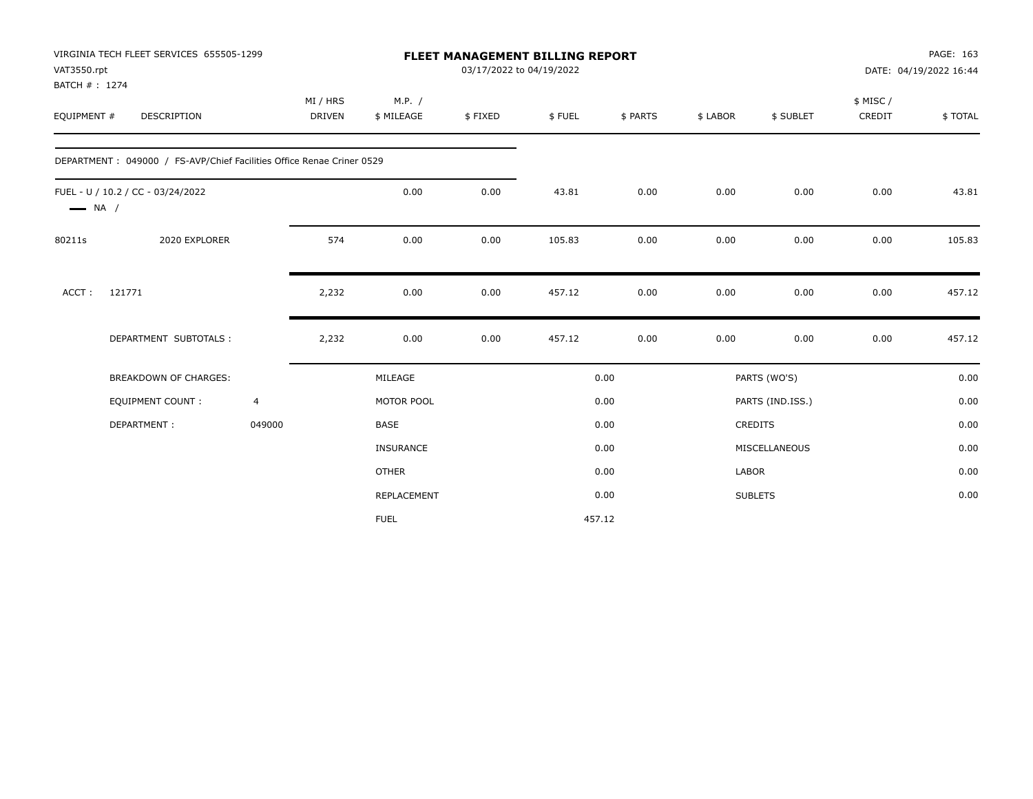| VAT3550.rpt<br>BATCH #: 1274 | VIRGINIA TECH FLEET SERVICES 655505-1299                               |                |                    |                      | FLEET MANAGEMENT BILLING REPORT<br>03/17/2022 to 04/19/2022 |        |          |          |                  |                     | PAGE: 163<br>DATE: 04/19/2022 16:44 |
|------------------------------|------------------------------------------------------------------------|----------------|--------------------|----------------------|-------------------------------------------------------------|--------|----------|----------|------------------|---------------------|-------------------------------------|
| EQUIPMENT #                  | <b>DESCRIPTION</b>                                                     |                | MI / HRS<br>DRIVEN | M.P. /<br>\$ MILEAGE | \$FIXED                                                     | \$FUEL | \$ PARTS | \$ LABOR | \$ SUBLET        | \$ MISC /<br>CREDIT | \$TOTAL                             |
|                              | DEPARTMENT : 049000 / FS-AVP/Chief Facilities Office Renae Criner 0529 |                |                    |                      |                                                             |        |          |          |                  |                     |                                     |
| $\longrightarrow$ NA /       | FUEL - U / 10.2 / CC - 03/24/2022                                      |                |                    | 0.00                 | 0.00                                                        | 43.81  | 0.00     | 0.00     | 0.00             | 0.00                | 43.81                               |
| 80211s                       | 2020 EXPLORER                                                          |                | 574                | 0.00                 | 0.00                                                        | 105.83 | 0.00     | 0.00     | 0.00             | 0.00                | 105.83                              |
| ACCT:                        | 121771                                                                 |                | 2,232              | 0.00                 | 0.00                                                        | 457.12 | 0.00     | 0.00     | 0.00             | 0.00                | 457.12                              |
|                              | DEPARTMENT SUBTOTALS :                                                 |                | 2,232              | 0.00                 | 0.00                                                        | 457.12 | 0.00     | 0.00     | 0.00             | 0.00                | 457.12                              |
|                              | <b>BREAKDOWN OF CHARGES:</b>                                           |                |                    | MILEAGE              |                                                             |        | 0.00     |          | PARTS (WO'S)     |                     | 0.00                                |
|                              | <b>EQUIPMENT COUNT:</b>                                                | $\overline{4}$ |                    | MOTOR POOL           |                                                             |        | 0.00     |          | PARTS (IND.ISS.) |                     | 0.00                                |
|                              | DEPARTMENT:                                                            | 049000         |                    | <b>BASE</b>          |                                                             |        | 0.00     |          | <b>CREDITS</b>   |                     | 0.00                                |
|                              |                                                                        |                |                    | <b>INSURANCE</b>     |                                                             |        | 0.00     |          | MISCELLANEOUS    |                     | 0.00                                |
|                              |                                                                        |                |                    | <b>OTHER</b>         |                                                             |        | 0.00     | LABOR    |                  |                     | 0.00                                |
|                              |                                                                        |                |                    | REPLACEMENT          |                                                             |        | 0.00     |          | <b>SUBLETS</b>   |                     | 0.00                                |
|                              |                                                                        |                |                    | <b>FUEL</b>          |                                                             |        | 457.12   |          |                  |                     |                                     |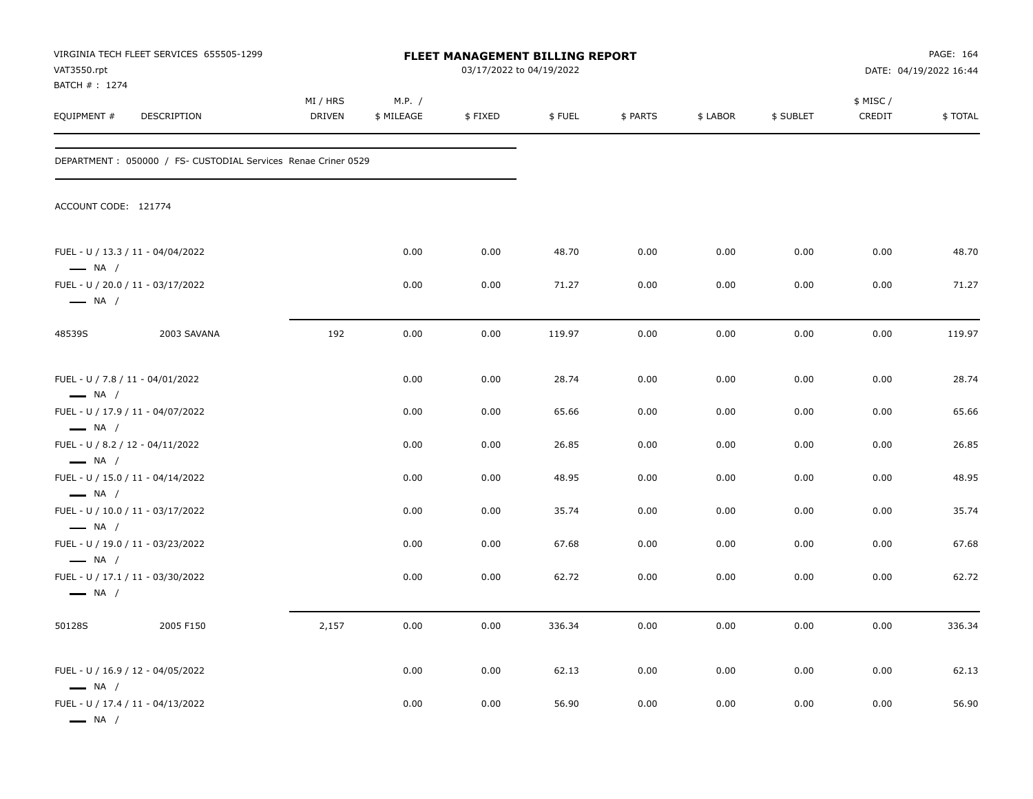| VAT3550.rpt<br>BATCH # : 1274                                                        | VIRGINIA TECH FLEET SERVICES 655505-1299                      |                    |                      | <b>FLEET MANAGEMENT BILLING REPORT</b><br>03/17/2022 to 04/19/2022 |        |          |          |           |                    | PAGE: 164<br>DATE: 04/19/2022 16:44 |
|--------------------------------------------------------------------------------------|---------------------------------------------------------------|--------------------|----------------------|--------------------------------------------------------------------|--------|----------|----------|-----------|--------------------|-------------------------------------|
| EQUIPMENT #                                                                          | DESCRIPTION                                                   | MI / HRS<br>DRIVEN | M.P. /<br>\$ MILEAGE | \$FIXED                                                            | \$FUEL | \$ PARTS | \$ LABOR | \$ SUBLET | \$ MISC/<br>CREDIT | \$TOTAL                             |
|                                                                                      | DEPARTMENT: 050000 / FS- CUSTODIAL Services Renae Criner 0529 |                    |                      |                                                                    |        |          |          |           |                    |                                     |
| ACCOUNT CODE: 121774                                                                 |                                                               |                    |                      |                                                                    |        |          |          |           |                    |                                     |
| $\longrightarrow$ NA /                                                               | FUEL - U / 13.3 / 11 - 04/04/2022                             |                    | 0.00                 | 0.00                                                               | 48.70  | 0.00     | 0.00     | 0.00      | 0.00               | 48.70                               |
| $\longrightarrow$ NA /                                                               | FUEL - U / 20.0 / 11 - 03/17/2022                             |                    | 0.00                 | 0.00                                                               | 71.27  | 0.00     | 0.00     | 0.00      | 0.00               | 71.27                               |
| 48539S                                                                               | 2003 SAVANA                                                   | 192                | 0.00                 | 0.00                                                               | 119.97 | 0.00     | 0.00     | 0.00      | 0.00               | 119.97                              |
| FUEL - U / 7.8 / 11 - 04/01/2022<br>$\longrightarrow$ NA /                           |                                                               |                    | 0.00                 | 0.00                                                               | 28.74  | 0.00     | 0.00     | 0.00      | 0.00               | 28.74                               |
|                                                                                      | FUEL - U / 17.9 / 11 - 04/07/2022                             |                    | 0.00                 | 0.00                                                               | 65.66  | 0.00     | 0.00     | 0.00      | 0.00               | 65.66                               |
| $\longrightarrow$ NA /<br>FUEL - U / 8.2 / 12 - 04/11/2022<br>$\longrightarrow$ NA / |                                                               |                    | 0.00                 | 0.00                                                               | 26.85  | 0.00     | 0.00     | 0.00      | 0.00               | 26.85                               |
|                                                                                      | FUEL - U / 15.0 / 11 - 04/14/2022                             |                    | 0.00                 | 0.00                                                               | 48.95  | 0.00     | 0.00     | 0.00      | 0.00               | 48.95                               |
| $\longrightarrow$ NA /<br>$\longrightarrow$ NA /                                     | FUEL - U / 10.0 / 11 - 03/17/2022                             |                    | 0.00                 | 0.00                                                               | 35.74  | 0.00     | 0.00     | 0.00      | 0.00               | 35.74                               |
|                                                                                      | FUEL - U / 19.0 / 11 - 03/23/2022                             |                    | 0.00                 | 0.00                                                               | 67.68  | 0.00     | 0.00     | 0.00      | 0.00               | 67.68                               |
| $\longrightarrow$ NA /<br>$\longrightarrow$ NA /                                     | FUEL - U / 17.1 / 11 - 03/30/2022                             |                    | 0.00                 | 0.00                                                               | 62.72  | 0.00     | 0.00     | 0.00      | 0.00               | 62.72                               |
| 50128S                                                                               | 2005 F150                                                     | 2,157              | 0.00                 | 0.00                                                               | 336.34 | 0.00     | 0.00     | 0.00      | 0.00               | 336.34                              |
| $\longrightarrow$ NA /                                                               | FUEL - U / 16.9 / 12 - 04/05/2022                             |                    | 0.00                 | 0.00                                                               | 62.13  | 0.00     | 0.00     | 0.00      | 0.00               | 62.13                               |
| $\longrightarrow$ NA /                                                               | FUEL - U / 17.4 / 11 - 04/13/2022                             |                    | 0.00                 | 0.00                                                               | 56.90  | 0.00     | 0.00     | 0.00      | 0.00               | 56.90                               |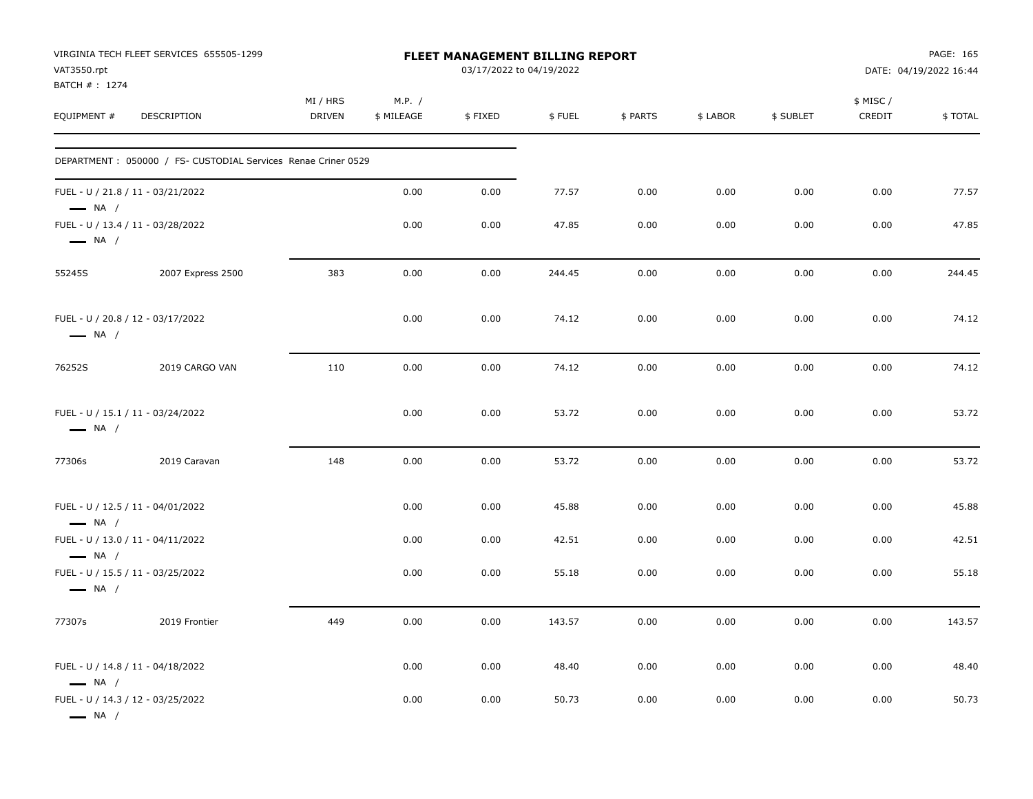| VAT3550.rpt                  | VIRGINIA TECH FLEET SERVICES 655505-1299                       |                    |                      | <b>FLEET MANAGEMENT BILLING REPORT</b><br>03/17/2022 to 04/19/2022 |        |          |          |           |                    | PAGE: 165<br>DATE: 04/19/2022 16:44 |
|------------------------------|----------------------------------------------------------------|--------------------|----------------------|--------------------------------------------------------------------|--------|----------|----------|-----------|--------------------|-------------------------------------|
| BATCH #: 1274<br>EQUIPMENT # | DESCRIPTION                                                    | MI / HRS<br>DRIVEN | M.P. /<br>\$ MILEAGE | \$FIXED                                                            | \$FUEL | \$ PARTS | \$ LABOR | \$ SUBLET | \$ MISC/<br>CREDIT | \$TOTAL                             |
|                              | DEPARTMENT : 050000 / FS- CUSTODIAL Services Renae Criner 0529 |                    |                      |                                                                    |        |          |          |           |                    |                                     |
| $\longrightarrow$ NA /       | FUEL - U / 21.8 / 11 - 03/21/2022                              |                    | 0.00                 | 0.00                                                               | 77.57  | 0.00     | 0.00     | 0.00      | 0.00               | 77.57                               |
| $\longrightarrow$ NA /       | FUEL - U / 13.4 / 11 - 03/28/2022                              |                    | 0.00                 | 0.00                                                               | 47.85  | 0.00     | 0.00     | 0.00      | 0.00               | 47.85                               |
| 55245S                       | 2007 Express 2500                                              | 383                | 0.00                 | 0.00                                                               | 244.45 | 0.00     | 0.00     | 0.00      | 0.00               | 244.45                              |
| $\longrightarrow$ NA /       | FUEL - U / 20.8 / 12 - 03/17/2022                              |                    | 0.00                 | 0.00                                                               | 74.12  | 0.00     | 0.00     | 0.00      | 0.00               | 74.12                               |
| 76252S                       | 2019 CARGO VAN                                                 | 110                | 0.00                 | 0.00                                                               | 74.12  | 0.00     | 0.00     | 0.00      | 0.00               | 74.12                               |
| $\longrightarrow$ NA /       | FUEL - U / 15.1 / 11 - 03/24/2022                              |                    | 0.00                 | 0.00                                                               | 53.72  | 0.00     | 0.00     | 0.00      | 0.00               | 53.72                               |
| 77306s                       | 2019 Caravan                                                   | 148                | 0.00                 | 0.00                                                               | 53.72  | 0.00     | 0.00     | 0.00      | 0.00               | 53.72                               |
| $\longrightarrow$ NA /       | FUEL - U / 12.5 / 11 - 04/01/2022                              |                    | 0.00                 | 0.00                                                               | 45.88  | 0.00     | 0.00     | 0.00      | 0.00               | 45.88                               |
| $\longrightarrow$ NA /       | FUEL - U / 13.0 / 11 - 04/11/2022                              |                    | 0.00                 | 0.00                                                               | 42.51  | 0.00     | 0.00     | 0.00      | 0.00               | 42.51                               |
| $\longrightarrow$ NA /       | FUEL - U / 15.5 / 11 - 03/25/2022                              |                    | 0.00                 | 0.00                                                               | 55.18  | 0.00     | 0.00     | 0.00      | 0.00               | 55.18                               |
| 77307s                       | 2019 Frontier                                                  | 449                | 0.00                 | 0.00                                                               | 143.57 | 0.00     | 0.00     | 0.00      | 0.00               | 143.57                              |
| $\longrightarrow$ NA /       | FUEL - U / 14.8 / 11 - 04/18/2022                              |                    | 0.00                 | 0.00                                                               | 48.40  | 0.00     | 0.00     | 0.00      | 0.00               | 48.40                               |
| $\longrightarrow$ NA $/$     | FUEL - U / 14.3 / 12 - 03/25/2022                              |                    | 0.00                 | 0.00                                                               | 50.73  | 0.00     | 0.00     | 0.00      | 0.00               | 50.73                               |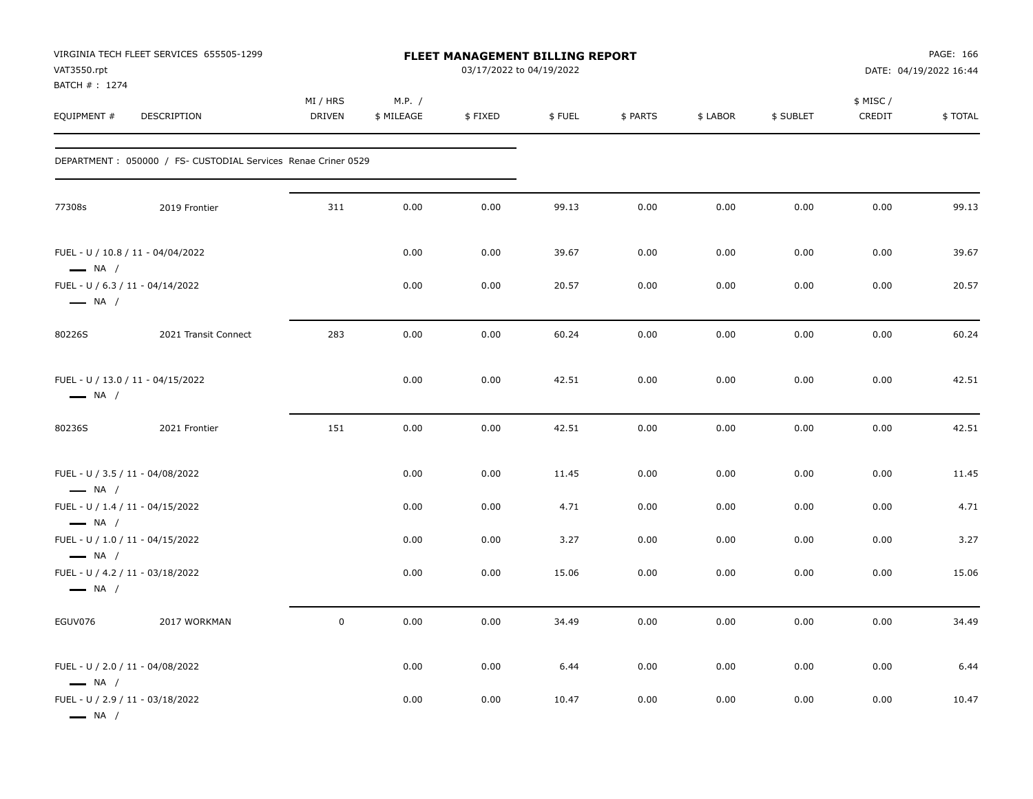| VAT3550.rpt<br>BATCH # : 1274                                                        | VIRGINIA TECH FLEET SERVICES 655505-1299                       |                           |                      | <b>FLEET MANAGEMENT BILLING REPORT</b><br>03/17/2022 to 04/19/2022 |        |          |          |           |                     | PAGE: 166<br>DATE: 04/19/2022 16:44 |
|--------------------------------------------------------------------------------------|----------------------------------------------------------------|---------------------------|----------------------|--------------------------------------------------------------------|--------|----------|----------|-----------|---------------------|-------------------------------------|
| EQUIPMENT #                                                                          | DESCRIPTION                                                    | MI / HRS<br><b>DRIVEN</b> | M.P. /<br>\$ MILEAGE | \$FIXED                                                            | \$FUEL | \$ PARTS | \$ LABOR | \$ SUBLET | \$ MISC /<br>CREDIT | \$TOTAL                             |
|                                                                                      | DEPARTMENT : 050000 / FS- CUSTODIAL Services Renae Criner 0529 |                           |                      |                                                                    |        |          |          |           |                     |                                     |
| 77308s                                                                               | 2019 Frontier                                                  | 311                       | 0.00                 | 0.00                                                               | 99.13  | 0.00     | 0.00     | 0.00      | 0.00                | 99.13                               |
| $\longrightarrow$ NA /                                                               | FUEL - U / 10.8 / 11 - 04/04/2022                              |                           | 0.00                 | 0.00                                                               | 39.67  | 0.00     | 0.00     | 0.00      | 0.00                | 39.67                               |
| FUEL - U / 6.3 / 11 - 04/14/2022<br>$\longrightarrow$ NA /                           |                                                                |                           | 0.00                 | 0.00                                                               | 20.57  | 0.00     | 0.00     | 0.00      | 0.00                | 20.57                               |
| 80226S                                                                               | 2021 Transit Connect                                           | 283                       | 0.00                 | 0.00                                                               | 60.24  | 0.00     | 0.00     | 0.00      | 0.00                | 60.24                               |
| $\longrightarrow$ NA /                                                               | FUEL - U / 13.0 / 11 - 04/15/2022                              |                           | 0.00                 | 0.00                                                               | 42.51  | 0.00     | 0.00     | 0.00      | 0.00                | 42.51                               |
| 80236S                                                                               | 2021 Frontier                                                  | 151                       | 0.00                 | 0.00                                                               | 42.51  | 0.00     | 0.00     | 0.00      | 0.00                | 42.51                               |
| FUEL - U / 3.5 / 11 - 04/08/2022<br>$\longrightarrow$ NA /                           |                                                                |                           | 0.00                 | 0.00                                                               | 11.45  | 0.00     | 0.00     | 0.00      | 0.00                | 11.45                               |
| FUEL - U / 1.4 / 11 - 04/15/2022                                                     |                                                                |                           | 0.00                 | 0.00                                                               | 4.71   | 0.00     | 0.00     | 0.00      | 0.00                | 4.71                                |
| $\longrightarrow$ NA /<br>FUEL - U / 1.0 / 11 - 04/15/2022<br>$\longrightarrow$ NA / |                                                                |                           | 0.00                 | 0.00                                                               | 3.27   | 0.00     | 0.00     | 0.00      | 0.00                | 3.27                                |
| FUEL - U / 4.2 / 11 - 03/18/2022<br>$\longrightarrow$ NA /                           |                                                                |                           | 0.00                 | 0.00                                                               | 15.06  | 0.00     | 0.00     | 0.00      | 0.00                | 15.06                               |
| EGUV076                                                                              | 2017 WORKMAN                                                   | $\mathsf 0$               | 0.00                 | 0.00                                                               | 34.49  | 0.00     | 0.00     | 0.00      | 0.00                | 34.49                               |
| FUEL - U / 2.0 / 11 - 04/08/2022<br>$\longrightarrow$ NA /                           |                                                                |                           | 0.00                 | 0.00                                                               | 6.44   | 0.00     | 0.00     | 0.00      | 0.00                | 6.44                                |
| FUEL - U / 2.9 / 11 - 03/18/2022<br>$\longrightarrow$ NA /                           |                                                                |                           | 0.00                 | 0.00                                                               | 10.47  | 0.00     | 0.00     | 0.00      | 0.00                | 10.47                               |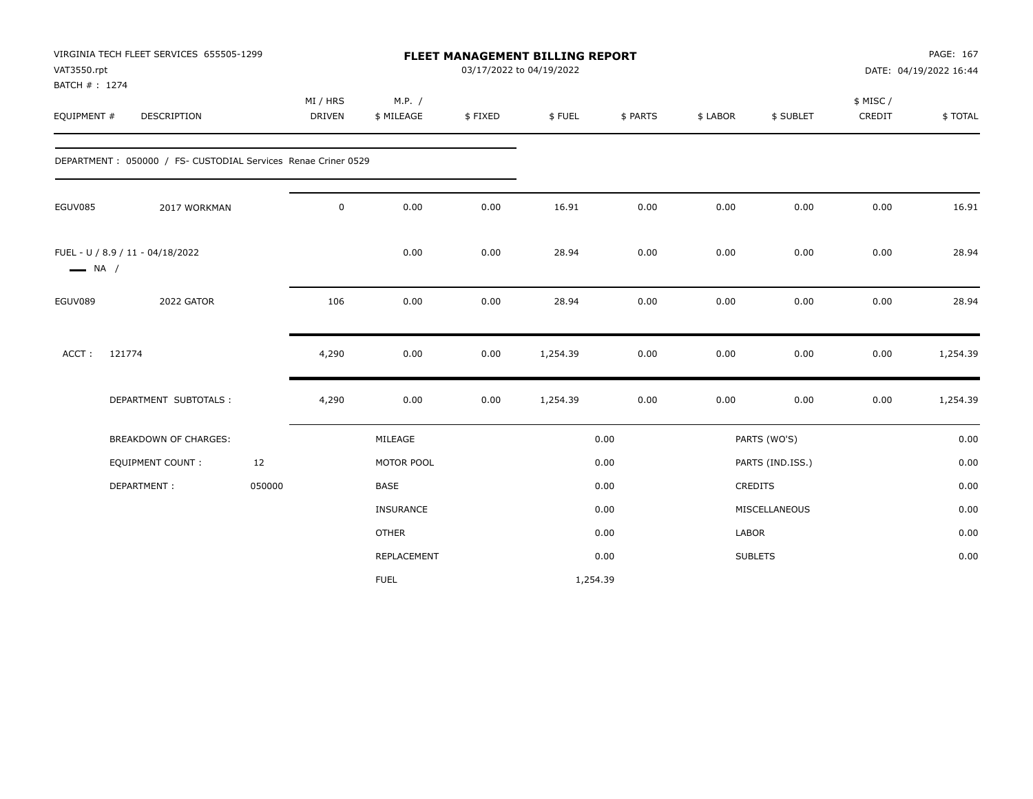| VAT3550.rpt<br>BATCH #: 1274 | VIRGINIA TECH FLEET SERVICES 655505-1299                       |                           |                      |         | FLEET MANAGEMENT BILLING REPORT<br>03/17/2022 to 04/19/2022 |          |          |                  | PAGE: 167<br>DATE: 04/19/2022 16:44 |          |
|------------------------------|----------------------------------------------------------------|---------------------------|----------------------|---------|-------------------------------------------------------------|----------|----------|------------------|-------------------------------------|----------|
| EQUIPMENT #                  | <b>DESCRIPTION</b>                                             | MI / HRS<br><b>DRIVEN</b> | M.P. /<br>\$ MILEAGE | \$FIXED | \$FUEL                                                      | \$ PARTS | \$ LABOR | \$ SUBLET        | \$ MISC/<br>CREDIT                  | \$TOTAL  |
|                              | DEPARTMENT : 050000 / FS- CUSTODIAL Services Renae Criner 0529 |                           |                      |         |                                                             |          |          |                  |                                     |          |
| EGUV085                      | 2017 WORKMAN                                                   | 0                         | 0.00                 | 0.00    | 16.91                                                       | 0.00     | 0.00     | 0.00             | 0.00                                | 16.91    |
| $\longrightarrow$ NA /       | FUEL - U / 8.9 / 11 - 04/18/2022                               |                           | 0.00                 | 0.00    | 28.94                                                       | 0.00     | 0.00     | 0.00             | 0.00                                | 28.94    |
| EGUV089                      | 2022 GATOR                                                     | 106                       | 0.00                 | 0.00    | 28.94                                                       | 0.00     | 0.00     | 0.00             | 0.00                                | 28.94    |
| ACCT:                        | 121774                                                         | 4,290                     | 0.00                 | 0.00    | 1,254.39                                                    | 0.00     | 0.00     | 0.00             | 0.00                                | 1,254.39 |
|                              | DEPARTMENT SUBTOTALS :                                         | 4,290                     | 0.00                 | 0.00    | 1,254.39                                                    | 0.00     | 0.00     | 0.00             | 0.00                                | 1,254.39 |
|                              | <b>BREAKDOWN OF CHARGES:</b>                                   |                           | MILEAGE              |         |                                                             | 0.00     |          | PARTS (WO'S)     |                                     | 0.00     |
|                              | <b>EQUIPMENT COUNT:</b>                                        | 12                        | MOTOR POOL           |         |                                                             | 0.00     |          | PARTS (IND.ISS.) |                                     | 0.00     |
|                              | DEPARTMENT:                                                    | 050000                    | <b>BASE</b>          |         |                                                             | 0.00     |          | <b>CREDITS</b>   |                                     | 0.00     |
|                              |                                                                |                           | INSURANCE            |         |                                                             | 0.00     |          | MISCELLANEOUS    |                                     | 0.00     |
|                              |                                                                |                           | <b>OTHER</b>         |         |                                                             | 0.00     | LABOR    |                  |                                     | 0.00     |
|                              |                                                                |                           | REPLACEMENT          |         |                                                             | 0.00     |          | <b>SUBLETS</b>   |                                     | 0.00     |
|                              |                                                                |                           | <b>FUEL</b>          |         | 1,254.39                                                    |          |          |                  |                                     |          |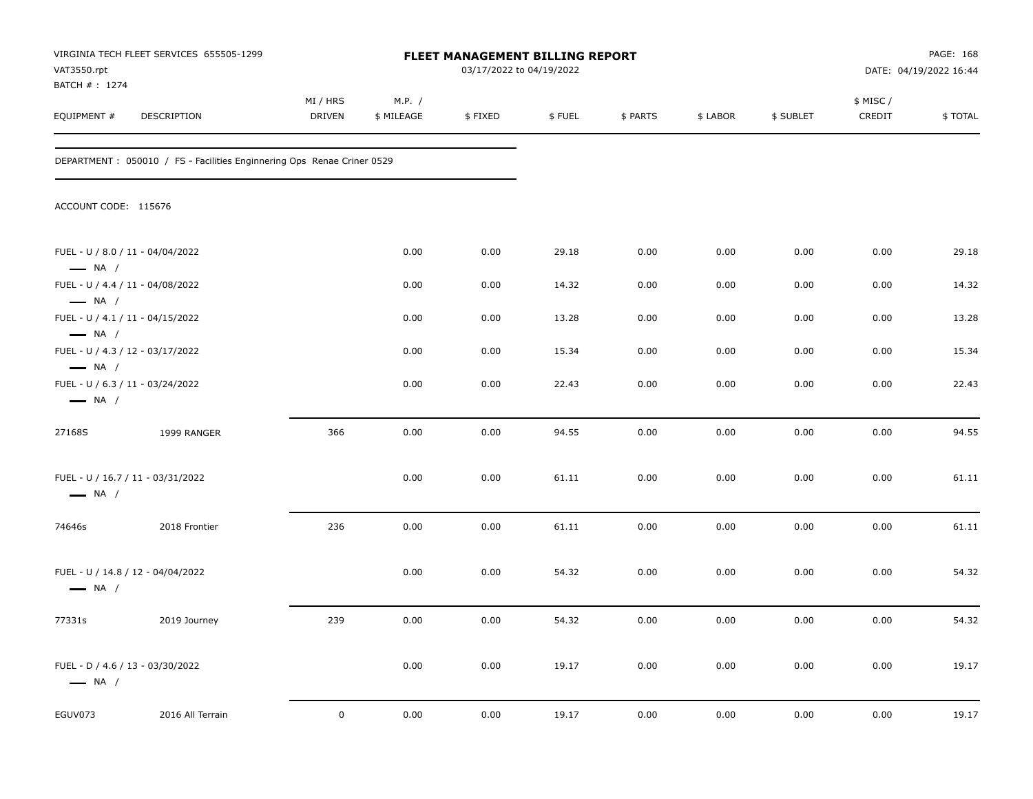| VAT3550.rpt<br>BATCH #: 1274                               | VIRGINIA TECH FLEET SERVICES 655505-1299                                |                           |                      | <b>FLEET MANAGEMENT BILLING REPORT</b><br>03/17/2022 to 04/19/2022 |        |          |          |           |                     | PAGE: 168<br>DATE: 04/19/2022 16:44 |
|------------------------------------------------------------|-------------------------------------------------------------------------|---------------------------|----------------------|--------------------------------------------------------------------|--------|----------|----------|-----------|---------------------|-------------------------------------|
| EQUIPMENT #                                                | <b>DESCRIPTION</b>                                                      | MI / HRS<br><b>DRIVEN</b> | M.P. /<br>\$ MILEAGE | \$FIXED                                                            | \$FUEL | \$ PARTS | \$ LABOR | \$ SUBLET | \$ MISC /<br>CREDIT | \$TOTAL                             |
|                                                            | DEPARTMENT : 050010 / FS - Facilities Enginnering Ops Renae Criner 0529 |                           |                      |                                                                    |        |          |          |           |                     |                                     |
| ACCOUNT CODE: 115676                                       |                                                                         |                           |                      |                                                                    |        |          |          |           |                     |                                     |
| FUEL - U / 8.0 / 11 - 04/04/2022<br>$\longrightarrow$ NA / |                                                                         |                           | 0.00                 | 0.00                                                               | 29.18  | 0.00     | 0.00     | 0.00      | 0.00                | 29.18                               |
| FUEL - U / 4.4 / 11 - 04/08/2022<br>$\longrightarrow$ NA / |                                                                         |                           | 0.00                 | 0.00                                                               | 14.32  | 0.00     | 0.00     | 0.00      | 0.00                | 14.32                               |
| FUEL - U / 4.1 / 11 - 04/15/2022<br>$\longrightarrow$ NA / |                                                                         |                           | 0.00                 | 0.00                                                               | 13.28  | 0.00     | 0.00     | 0.00      | 0.00                | 13.28                               |
| FUEL - U / 4.3 / 12 - 03/17/2022<br>$\longrightarrow$ NA / |                                                                         |                           | 0.00                 | 0.00                                                               | 15.34  | 0.00     | 0.00     | 0.00      | 0.00                | 15.34                               |
| FUEL - U / 6.3 / 11 - 03/24/2022<br>$\longrightarrow$ NA / |                                                                         |                           | 0.00                 | 0.00                                                               | 22.43  | 0.00     | 0.00     | 0.00      | 0.00                | 22.43                               |
| 27168S                                                     | 1999 RANGER                                                             | 366                       | 0.00                 | 0.00                                                               | 94.55  | 0.00     | 0.00     | 0.00      | 0.00                | 94.55                               |
| $\longrightarrow$ NA /                                     | FUEL - U / 16.7 / 11 - 03/31/2022                                       |                           | 0.00                 | 0.00                                                               | 61.11  | 0.00     | 0.00     | 0.00      | 0.00                | 61.11                               |
| 74646s                                                     | 2018 Frontier                                                           | 236                       | 0.00                 | 0.00                                                               | 61.11  | 0.00     | 0.00     | 0.00      | 0.00                | 61.11                               |
| $\longrightarrow$ NA /                                     | FUEL - U / 14.8 / 12 - 04/04/2022                                       |                           | 0.00                 | 0.00                                                               | 54.32  | 0.00     | 0.00     | 0.00      | 0.00                | 54.32                               |
| 77331s                                                     | 2019 Journey                                                            | 239                       | 0.00                 | 0.00                                                               | 54.32  | 0.00     | 0.00     | 0.00      | 0.00                | 54.32                               |
| FUEL - D / 4.6 / 13 - 03/30/2022<br>$\longrightarrow$ NA / |                                                                         |                           | 0.00                 | 0.00                                                               | 19.17  | 0.00     | 0.00     | 0.00      | 0.00                | 19.17                               |
| EGUV073                                                    | 2016 All Terrain                                                        | $\mathsf 0$               | 0.00                 | 0.00                                                               | 19.17  | 0.00     | 0.00     | 0.00      | 0.00                | 19.17                               |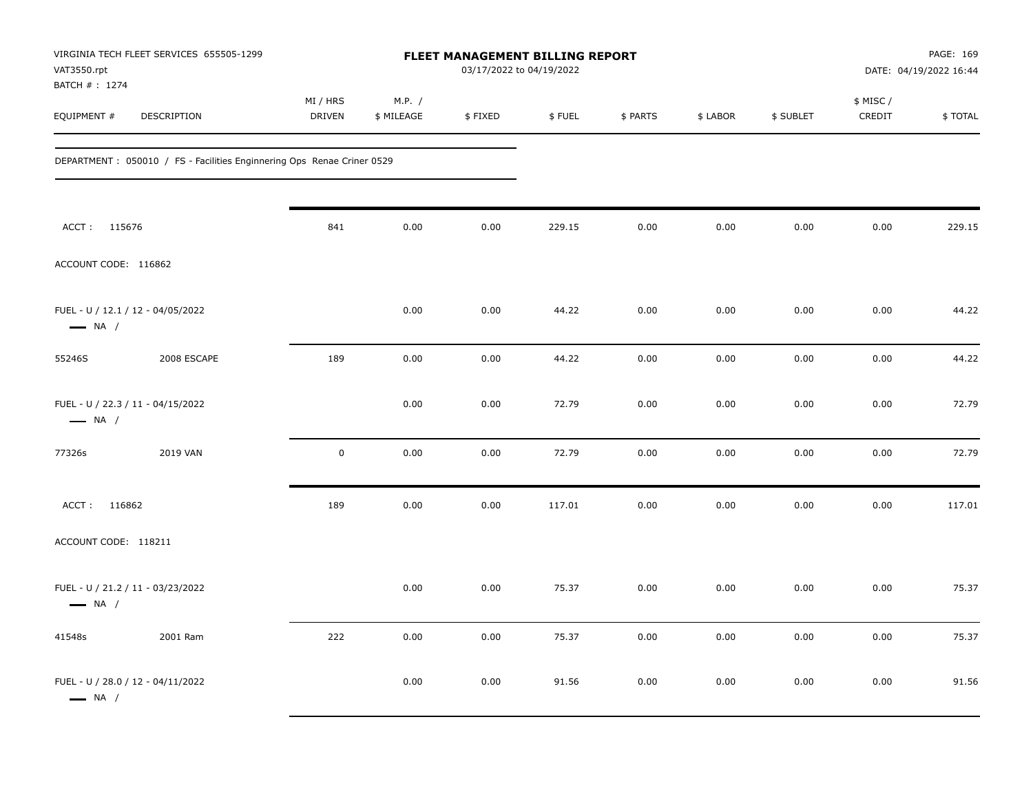| VAT3550.rpt<br>BATCH # : 1274                               | VIRGINIA TECH FLEET SERVICES 655505-1299                                |                    |                      | <b>FLEET MANAGEMENT BILLING REPORT</b><br>03/17/2022 to 04/19/2022 |        |          |          |           |                     | PAGE: 169<br>DATE: 04/19/2022 16:44 |
|-------------------------------------------------------------|-------------------------------------------------------------------------|--------------------|----------------------|--------------------------------------------------------------------|--------|----------|----------|-----------|---------------------|-------------------------------------|
| EQUIPMENT #                                                 | DESCRIPTION                                                             | MI / HRS<br>DRIVEN | M.P. /<br>\$ MILEAGE | \$FIXED                                                            | \$FUEL | \$ PARTS | \$ LABOR | \$ SUBLET | \$ MISC /<br>CREDIT | \$TOTAL                             |
|                                                             | DEPARTMENT : 050010 / FS - Facilities Enginnering Ops Renae Criner 0529 |                    |                      |                                                                    |        |          |          |           |                     |                                     |
| ACCT: 115676                                                |                                                                         | 841                | 0.00                 | 0.00                                                               | 229.15 | 0.00     | 0.00     | 0.00      | 0.00                | 229.15                              |
| ACCOUNT CODE: 116862                                        |                                                                         |                    |                      |                                                                    |        |          |          |           |                     |                                     |
| FUEL - U / 12.1 / 12 - 04/05/2022<br>$\longrightarrow$ NA / |                                                                         |                    | 0.00                 | 0.00                                                               | 44.22  | 0.00     | 0.00     | 0.00      | 0.00                | 44.22                               |
| 55246S                                                      | 2008 ESCAPE                                                             | 189                | 0.00                 | 0.00                                                               | 44.22  | 0.00     | 0.00     | 0.00      | 0.00                | 44.22                               |
| FUEL - U / 22.3 / 11 - 04/15/2022<br>$\longrightarrow$ NA / |                                                                         |                    | 0.00                 | 0.00                                                               | 72.79  | 0.00     | 0.00     | 0.00      | 0.00                | 72.79                               |
| 77326s                                                      | 2019 VAN                                                                | $\mathbf 0$        | 0.00                 | 0.00                                                               | 72.79  | 0.00     | 0.00     | 0.00      | 0.00                | 72.79                               |
| ACCT: 116862                                                |                                                                         | 189                | 0.00                 | 0.00                                                               | 117.01 | 0.00     | 0.00     | 0.00      | 0.00                | 117.01                              |
| ACCOUNT CODE: 118211                                        |                                                                         |                    |                      |                                                                    |        |          |          |           |                     |                                     |
| FUEL - U / 21.2 / 11 - 03/23/2022<br>$\longrightarrow$ NA / |                                                                         |                    | 0.00                 | 0.00                                                               | 75.37  | 0.00     | 0.00     | 0.00      | 0.00                | 75.37                               |
| 41548s                                                      | 2001 Ram                                                                | 222                | 0.00                 | 0.00                                                               | 75.37  | 0.00     | 0.00     | 0.00      | 0.00                | 75.37                               |
| FUEL - U / 28.0 / 12 - 04/11/2022<br>$\longrightarrow$ NA / |                                                                         |                    | 0.00                 | 0.00                                                               | 91.56  | 0.00     | 0.00     | 0.00      | 0.00                | 91.56                               |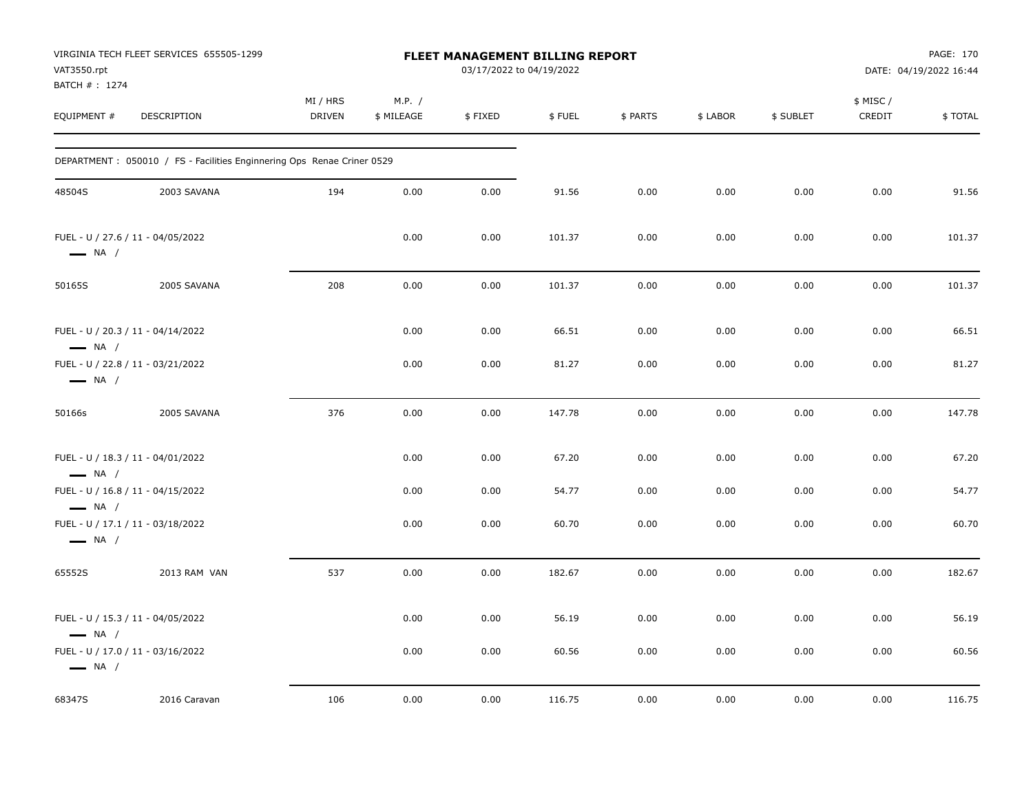| VAT3550.rpt<br>BATCH #: 1274 | VIRGINIA TECH FLEET SERVICES 655505-1299                                |                           |                      | <b>FLEET MANAGEMENT BILLING REPORT</b><br>03/17/2022 to 04/19/2022 |        |          |          |           |                     | PAGE: 170<br>DATE: 04/19/2022 16:44 |
|------------------------------|-------------------------------------------------------------------------|---------------------------|----------------------|--------------------------------------------------------------------|--------|----------|----------|-----------|---------------------|-------------------------------------|
| EQUIPMENT #                  | <b>DESCRIPTION</b>                                                      | MI / HRS<br><b>DRIVEN</b> | M.P. /<br>\$ MILEAGE | \$FIXED                                                            | \$FUEL | \$ PARTS | \$ LABOR | \$ SUBLET | \$ MISC /<br>CREDIT | \$TOTAL                             |
|                              | DEPARTMENT : 050010 / FS - Facilities Enginnering Ops Renae Criner 0529 |                           |                      |                                                                    |        |          |          |           |                     |                                     |
| 48504S                       | 2003 SAVANA                                                             | 194                       | 0.00                 | 0.00                                                               | 91.56  | 0.00     | 0.00     | 0.00      | 0.00                | 91.56                               |
| $\longrightarrow$ NA /       | FUEL - U / 27.6 / 11 - 04/05/2022                                       |                           | 0.00                 | 0.00                                                               | 101.37 | 0.00     | 0.00     | 0.00      | 0.00                | 101.37                              |
| 50165S                       | 2005 SAVANA                                                             | 208                       | 0.00                 | 0.00                                                               | 101.37 | 0.00     | 0.00     | 0.00      | 0.00                | 101.37                              |
| $\longrightarrow$ NA /       | FUEL - U / 20.3 / 11 - 04/14/2022                                       |                           | 0.00                 | 0.00                                                               | 66.51  | 0.00     | 0.00     | 0.00      | 0.00                | 66.51                               |
| $\longrightarrow$ NA /       | FUEL - U / 22.8 / 11 - 03/21/2022                                       |                           | 0.00                 | 0.00                                                               | 81.27  | 0.00     | 0.00     | 0.00      | 0.00                | 81.27                               |
| 50166s                       | 2005 SAVANA                                                             | 376                       | 0.00                 | 0.00                                                               | 147.78 | 0.00     | 0.00     | 0.00      | 0.00                | 147.78                              |
| $\longrightarrow$ NA /       | FUEL - U / 18.3 / 11 - 04/01/2022                                       |                           | 0.00                 | 0.00                                                               | 67.20  | 0.00     | 0.00     | 0.00      | 0.00                | 67.20                               |
| $\longrightarrow$ NA /       | FUEL - U / 16.8 / 11 - 04/15/2022                                       |                           | 0.00                 | 0.00                                                               | 54.77  | 0.00     | 0.00     | 0.00      | 0.00                | 54.77                               |
| $\longrightarrow$ NA /       | FUEL - U / 17.1 / 11 - 03/18/2022                                       |                           | 0.00                 | 0.00                                                               | 60.70  | 0.00     | 0.00     | 0.00      | 0.00                | 60.70                               |
| 65552S                       | 2013 RAM VAN                                                            | 537                       | 0.00                 | 0.00                                                               | 182.67 | 0.00     | 0.00     | 0.00      | 0.00                | 182.67                              |
| $\longrightarrow$ NA /       | FUEL - U / 15.3 / 11 - 04/05/2022                                       |                           | 0.00                 | 0.00                                                               | 56.19  | 0.00     | 0.00     | 0.00      | 0.00                | 56.19                               |
| $\longrightarrow$ NA /       | FUEL - U / 17.0 / 11 - 03/16/2022                                       |                           | 0.00                 | 0.00                                                               | 60.56  | 0.00     | 0.00     | 0.00      | 0.00                | 60.56                               |
| 68347S                       | 2016 Caravan                                                            | 106                       | 0.00                 | 0.00                                                               | 116.75 | 0.00     | 0.00     | 0.00      | 0.00                | 116.75                              |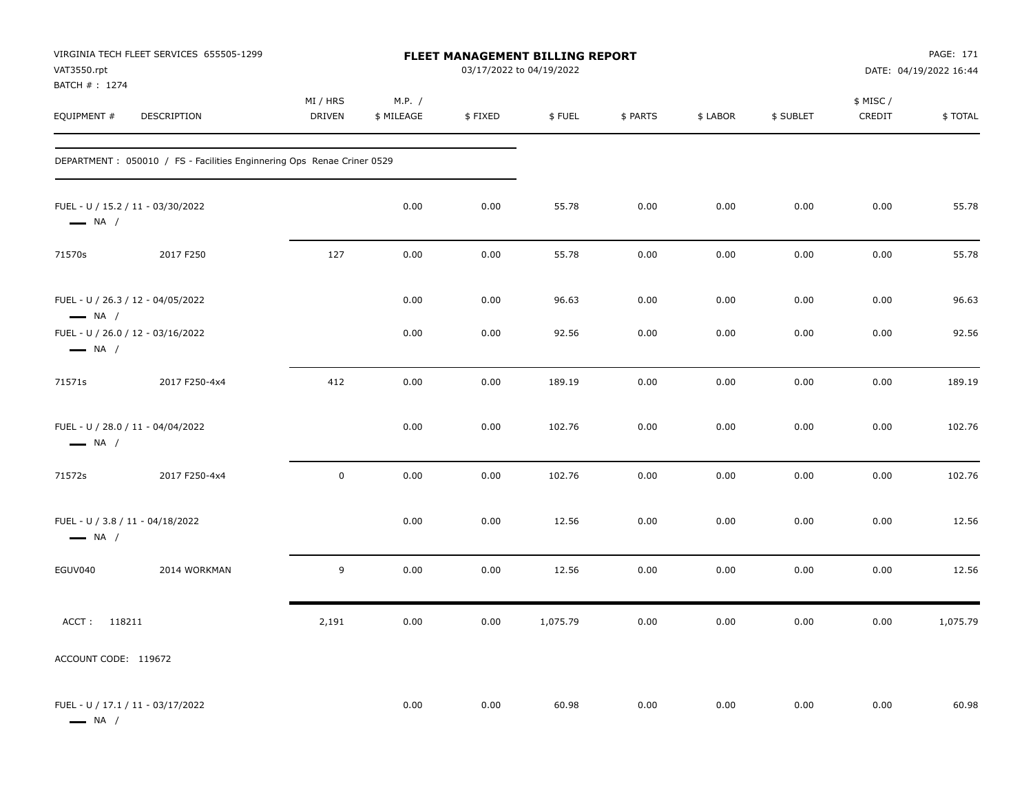| VAT3550.rpt<br>BATCH # : 1274                              | VIRGINIA TECH FLEET SERVICES 655505-1299                                |                           | FLEET MANAGEMENT BILLING REPORT<br>03/17/2022 to 04/19/2022 |         |          |          |          |           |                     | PAGE: 171<br>DATE: 04/19/2022 16:44 |  |
|------------------------------------------------------------|-------------------------------------------------------------------------|---------------------------|-------------------------------------------------------------|---------|----------|----------|----------|-----------|---------------------|-------------------------------------|--|
| EQUIPMENT #                                                | DESCRIPTION                                                             | MI / HRS<br><b>DRIVEN</b> | M.P. /<br>\$ MILEAGE                                        | \$FIXED | \$FUEL   | \$ PARTS | \$ LABOR | \$ SUBLET | \$ MISC /<br>CREDIT | \$TOTAL                             |  |
|                                                            | DEPARTMENT : 050010 / FS - Facilities Enginnering Ops Renae Criner 0529 |                           |                                                             |         |          |          |          |           |                     |                                     |  |
| $\longrightarrow$ NA /                                     | FUEL - U / 15.2 / 11 - 03/30/2022                                       |                           | 0.00                                                        | 0.00    | 55.78    | 0.00     | 0.00     | 0.00      | 0.00                | 55.78                               |  |
| 71570s                                                     | 2017 F250                                                               | 127                       | 0.00                                                        | 0.00    | 55.78    | 0.00     | 0.00     | 0.00      | 0.00                | 55.78                               |  |
| $\longrightarrow$ NA /                                     | FUEL - U / 26.3 / 12 - 04/05/2022                                       |                           | 0.00                                                        | 0.00    | 96.63    | 0.00     | 0.00     | 0.00      | 0.00                | 96.63                               |  |
| $\longrightarrow$ NA /                                     | FUEL - U / 26.0 / 12 - 03/16/2022                                       |                           | 0.00                                                        | 0.00    | 92.56    | 0.00     | 0.00     | 0.00      | 0.00                | 92.56                               |  |
| 71571s                                                     | 2017 F250-4x4                                                           | 412                       | 0.00                                                        | 0.00    | 189.19   | 0.00     | 0.00     | 0.00      | 0.00                | 189.19                              |  |
| $\longrightarrow$ NA /                                     | FUEL - U / 28.0 / 11 - 04/04/2022                                       |                           | 0.00                                                        | 0.00    | 102.76   | 0.00     | 0.00     | 0.00      | 0.00                | 102.76                              |  |
| 71572s                                                     | 2017 F250-4x4                                                           | $\mathbf 0$               | 0.00                                                        | 0.00    | 102.76   | 0.00     | 0.00     | 0.00      | 0.00                | 102.76                              |  |
| FUEL - U / 3.8 / 11 - 04/18/2022<br>$\longrightarrow$ NA / |                                                                         |                           | 0.00                                                        | 0.00    | 12.56    | 0.00     | 0.00     | 0.00      | 0.00                | 12.56                               |  |
| EGUV040                                                    | 2014 WORKMAN                                                            | 9                         | 0.00                                                        | 0.00    | 12.56    | 0.00     | 0.00     | 0.00      | 0.00                | 12.56                               |  |
| ACCT: 118211                                               |                                                                         | 2,191                     | 0.00                                                        | 0.00    | 1,075.79 | 0.00     | 0.00     | 0.00      | 0.00                | 1,075.79                            |  |
| ACCOUNT CODE: 119672                                       |                                                                         |                           |                                                             |         |          |          |          |           |                     |                                     |  |
| $\longrightarrow$ NA $/$                                   | FUEL - U / 17.1 / 11 - 03/17/2022                                       |                           | 0.00                                                        | 0.00    | 60.98    | 0.00     | 0.00     | 0.00      | 0.00                | 60.98                               |  |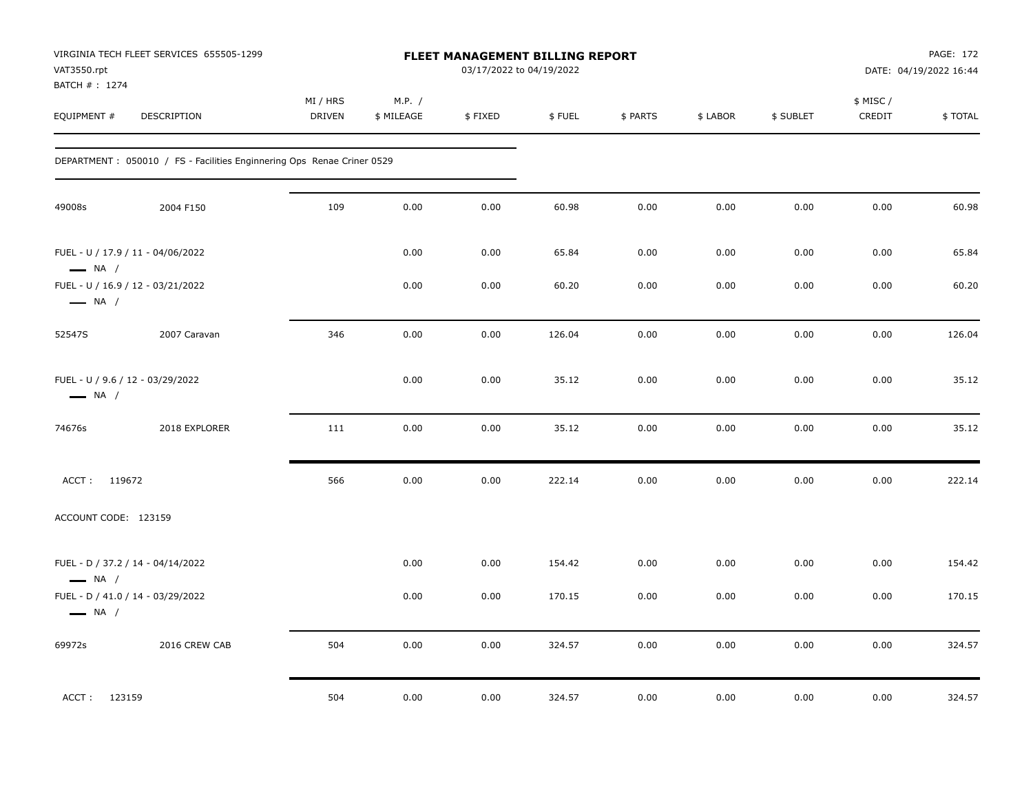| VAT3550.rpt<br>BATCH # : 1274 | VIRGINIA TECH FLEET SERVICES 655505-1299                                |                    |                      | FLEET MANAGEMENT BILLING REPORT<br>03/17/2022 to 04/19/2022 |        |          |          |           |                     | PAGE: 172<br>DATE: 04/19/2022 16:44 |
|-------------------------------|-------------------------------------------------------------------------|--------------------|----------------------|-------------------------------------------------------------|--------|----------|----------|-----------|---------------------|-------------------------------------|
| EQUIPMENT #                   | DESCRIPTION                                                             | MI / HRS<br>DRIVEN | M.P. /<br>\$ MILEAGE | \$FIXED                                                     | \$FUEL | \$ PARTS | \$ LABOR | \$ SUBLET | \$ MISC /<br>CREDIT | \$TOTAL                             |
|                               | DEPARTMENT : 050010 / FS - Facilities Enginnering Ops Renae Criner 0529 |                    |                      |                                                             |        |          |          |           |                     |                                     |
| 49008s                        | 2004 F150                                                               | 109                | 0.00                 | 0.00                                                        | 60.98  | 0.00     | 0.00     | 0.00      | 0.00                | 60.98                               |
| $\longrightarrow$ NA /        | FUEL - U / 17.9 / 11 - 04/06/2022                                       |                    | 0.00                 | 0.00                                                        | 65.84  | 0.00     | 0.00     | 0.00      | 0.00                | 65.84                               |
| $\longrightarrow$ NA /        | FUEL - U / 16.9 / 12 - 03/21/2022                                       |                    | 0.00                 | 0.00                                                        | 60.20  | 0.00     | 0.00     | 0.00      | 0.00                | 60.20                               |
| 52547S                        | 2007 Caravan                                                            | 346                | 0.00                 | 0.00                                                        | 126.04 | 0.00     | 0.00     | 0.00      | 0.00                | 126.04                              |
| $\longrightarrow$ NA /        | FUEL - U / 9.6 / 12 - 03/29/2022                                        |                    | 0.00                 | 0.00                                                        | 35.12  | 0.00     | 0.00     | 0.00      | 0.00                | 35.12                               |
| 74676s                        | 2018 EXPLORER                                                           | 111                | 0.00                 | 0.00                                                        | 35.12  | 0.00     | 0.00     | 0.00      | 0.00                | 35.12                               |
| ACCT: 119672                  |                                                                         | 566                | 0.00                 | 0.00                                                        | 222.14 | 0.00     | 0.00     | 0.00      | 0.00                | 222.14                              |
| ACCOUNT CODE: 123159          |                                                                         |                    |                      |                                                             |        |          |          |           |                     |                                     |
| $\longrightarrow$ NA /        | FUEL - D / 37.2 / 14 - 04/14/2022                                       |                    | 0.00                 | 0.00                                                        | 154.42 | 0.00     | 0.00     | 0.00      | 0.00                | 154.42                              |
| $\longrightarrow$ NA /        | FUEL - D / 41.0 / 14 - 03/29/2022                                       |                    | 0.00                 | 0.00                                                        | 170.15 | 0.00     | 0.00     | 0.00      | 0.00                | 170.15                              |
| 69972s                        | 2016 CREW CAB                                                           | 504                | 0.00                 | 0.00                                                        | 324.57 | 0.00     | 0.00     | 0.00      | 0.00                | 324.57                              |
| ACCT: 123159                  |                                                                         | 504                | 0.00                 | 0.00                                                        | 324.57 | 0.00     | 0.00     | 0.00      | 0.00                | 324.57                              |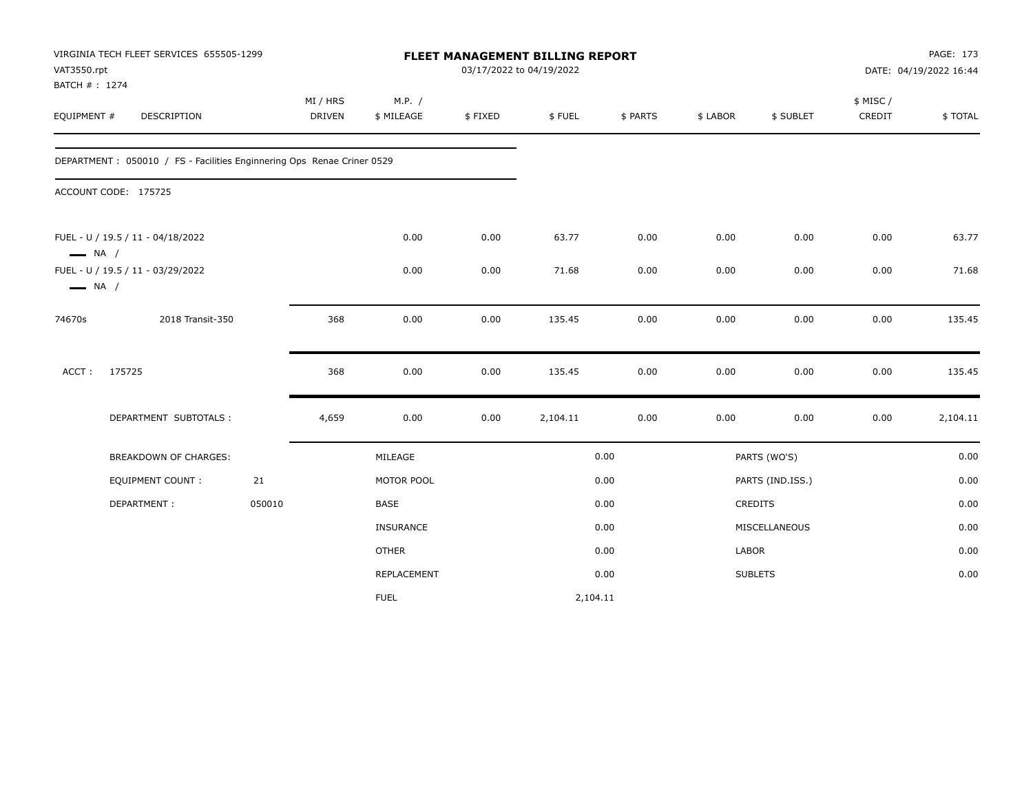| VAT3550.rpt                  | VIRGINIA TECH FLEET SERVICES 655505-1299                                |        |                           |                      |         | FLEET MANAGEMENT BILLING REPORT<br>03/17/2022 to 04/19/2022 |          |          |                  |                    | PAGE: 173<br>DATE: 04/19/2022 16:44<br>\$TOTAL |  |  |  |
|------------------------------|-------------------------------------------------------------------------|--------|---------------------------|----------------------|---------|-------------------------------------------------------------|----------|----------|------------------|--------------------|------------------------------------------------|--|--|--|
| BATCH #: 1274<br>EQUIPMENT # | DESCRIPTION                                                             |        | MI / HRS<br><b>DRIVEN</b> | M.P. /<br>\$ MILEAGE | \$FIXED | \$FUEL                                                      | \$ PARTS | \$ LABOR | \$ SUBLET        | \$ MISC/<br>CREDIT |                                                |  |  |  |
|                              | DEPARTMENT : 050010 / FS - Facilities Enginnering Ops Renae Criner 0529 |        |                           |                      |         |                                                             |          |          |                  |                    |                                                |  |  |  |
|                              | ACCOUNT CODE: 175725                                                    |        |                           |                      |         |                                                             |          |          |                  |                    |                                                |  |  |  |
| $\longrightarrow$ NA /       | FUEL - U / 19.5 / 11 - 04/18/2022                                       |        |                           | 0.00                 | 0.00    | 63.77                                                       | 0.00     | 0.00     | 0.00             | 0.00               | 63.77                                          |  |  |  |
| $\longrightarrow$ NA /       | FUEL - U / 19.5 / 11 - 03/29/2022                                       |        |                           | 0.00                 | 0.00    | 71.68                                                       | 0.00     | 0.00     | 0.00             | 0.00               | 71.68                                          |  |  |  |
| 74670s                       | 2018 Transit-350                                                        |        | 368                       | 0.00                 | 0.00    | 135.45                                                      | 0.00     | 0.00     | 0.00             | 0.00               | 135.45                                         |  |  |  |
| ACCT:                        | 175725                                                                  |        | 368                       | 0.00                 | 0.00    | 135.45                                                      | 0.00     | 0.00     | 0.00             | 0.00               | 135.45                                         |  |  |  |
|                              | DEPARTMENT SUBTOTALS :                                                  |        | 4,659                     | 0.00                 | 0.00    | 2,104.11                                                    | 0.00     | 0.00     | 0.00             | 0.00               | 2,104.11                                       |  |  |  |
|                              | BREAKDOWN OF CHARGES:                                                   |        |                           | MILEAGE              |         |                                                             | 0.00     |          | PARTS (WO'S)     |                    | 0.00                                           |  |  |  |
|                              | <b>EQUIPMENT COUNT:</b>                                                 | 21     |                           | MOTOR POOL           |         |                                                             | 0.00     |          | PARTS (IND.ISS.) |                    | 0.00                                           |  |  |  |
|                              | DEPARTMENT:                                                             | 050010 |                           | BASE                 |         |                                                             | 0.00     |          | CREDITS          |                    | 0.00                                           |  |  |  |
|                              |                                                                         |        |                           | INSURANCE            |         |                                                             | 0.00     |          | MISCELLANEOUS    |                    | 0.00                                           |  |  |  |
|                              |                                                                         |        |                           | <b>OTHER</b>         |         |                                                             | 0.00     | LABOR    |                  |                    | 0.00                                           |  |  |  |
|                              |                                                                         |        |                           | <b>REPLACEMENT</b>   |         |                                                             | 0.00     |          | <b>SUBLETS</b>   |                    | 0.00                                           |  |  |  |
|                              |                                                                         |        |                           | <b>FUEL</b>          |         | 2,104.11                                                    |          |          |                  |                    |                                                |  |  |  |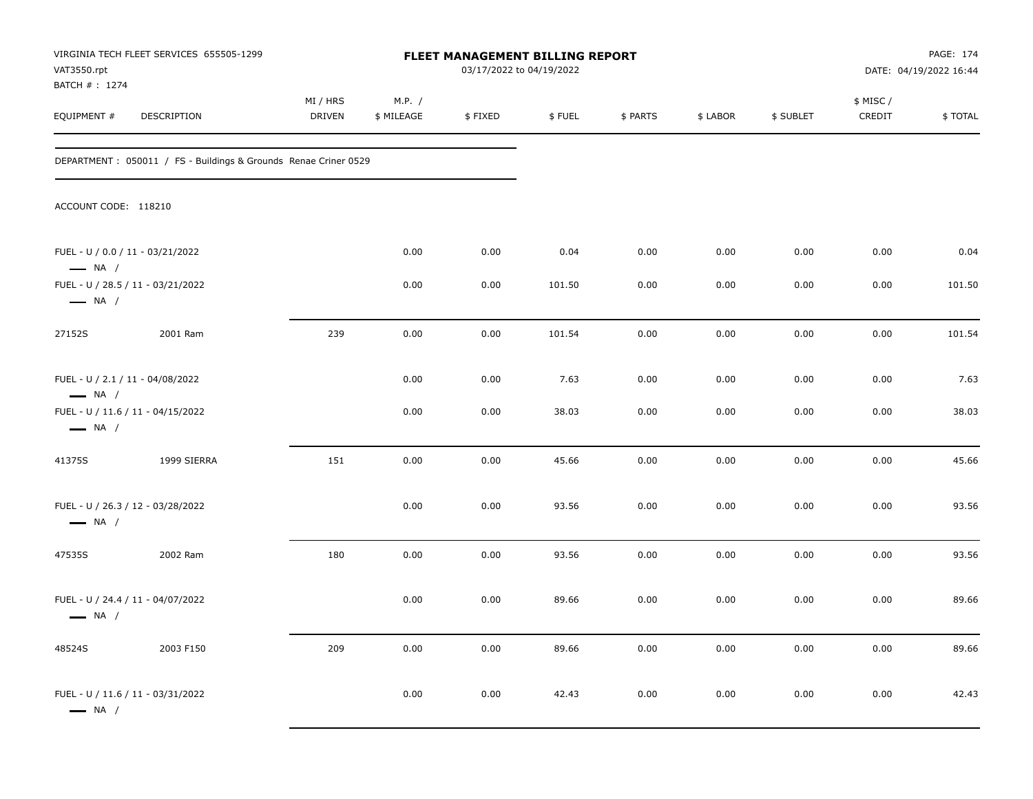| VAT3550.rpt<br>BATCH #: 1274                                | VIRGINIA TECH FLEET SERVICES 655505-1299                         | FLEET MANAGEMENT BILLING REPORT<br>03/17/2022 to 04/19/2022 |                      |         |        |          |          |           | PAGE: 174<br>DATE: 04/19/2022 16:44 |         |
|-------------------------------------------------------------|------------------------------------------------------------------|-------------------------------------------------------------|----------------------|---------|--------|----------|----------|-----------|-------------------------------------|---------|
| EQUIPMENT #                                                 | DESCRIPTION                                                      | MI / HRS<br>DRIVEN                                          | M.P. /<br>\$ MILEAGE | \$FIXED | \$FUEL | \$ PARTS | \$ LABOR | \$ SUBLET | \$ MISC/<br>CREDIT                  | \$TOTAL |
|                                                             | DEPARTMENT : 050011 / FS - Buildings & Grounds Renae Criner 0529 |                                                             |                      |         |        |          |          |           |                                     |         |
| ACCOUNT CODE: 118210                                        |                                                                  |                                                             |                      |         |        |          |          |           |                                     |         |
| FUEL - U / 0.0 / 11 - 03/21/2022<br>$\longrightarrow$ NA /  |                                                                  |                                                             | 0.00                 | 0.00    | 0.04   | 0.00     | 0.00     | 0.00      | 0.00                                | 0.04    |
| FUEL - U / 28.5 / 11 - 03/21/2022<br>$\longrightarrow$ NA / |                                                                  |                                                             | 0.00                 | 0.00    | 101.50 | 0.00     | 0.00     | 0.00      | 0.00                                | 101.50  |
| 27152S                                                      | 2001 Ram                                                         | 239                                                         | 0.00                 | 0.00    | 101.54 | 0.00     | 0.00     | 0.00      | 0.00                                | 101.54  |
| FUEL - U / 2.1 / 11 - 04/08/2022<br>$\longrightarrow$ NA /  |                                                                  |                                                             | 0.00                 | 0.00    | 7.63   | 0.00     | 0.00     | 0.00      | 0.00                                | 7.63    |
| FUEL - U / 11.6 / 11 - 04/15/2022<br>$\longrightarrow$ NA / |                                                                  |                                                             | 0.00                 | 0.00    | 38.03  | 0.00     | 0.00     | 0.00      | 0.00                                | 38.03   |
| 41375S                                                      | 1999 SIERRA                                                      | 151                                                         | 0.00                 | 0.00    | 45.66  | 0.00     | 0.00     | 0.00      | 0.00                                | 45.66   |
| FUEL - U / 26.3 / 12 - 03/28/2022<br>$\longrightarrow$ NA / |                                                                  |                                                             | 0.00                 | 0.00    | 93.56  | 0.00     | 0.00     | 0.00      | 0.00                                | 93.56   |
| 47535S                                                      | 2002 Ram                                                         | 180                                                         | 0.00                 | 0.00    | 93.56  | 0.00     | 0.00     | 0.00      | 0.00                                | 93.56   |
| FUEL - U / 24.4 / 11 - 04/07/2022<br>$\longrightarrow$ NA / |                                                                  |                                                             | 0.00                 | 0.00    | 89.66  | 0.00     | 0.00     | 0.00      | 0.00                                | 89.66   |
| 48524S                                                      | 2003 F150                                                        | 209                                                         | 0.00                 | 0.00    | 89.66  | 0.00     | 0.00     | 0.00      | 0.00                                | 89.66   |
| FUEL - U / 11.6 / 11 - 03/31/2022<br>$\longrightarrow$ NA / |                                                                  |                                                             | 0.00                 | 0.00    | 42.43  | 0.00     | 0.00     | 0.00      | 0.00                                | 42.43   |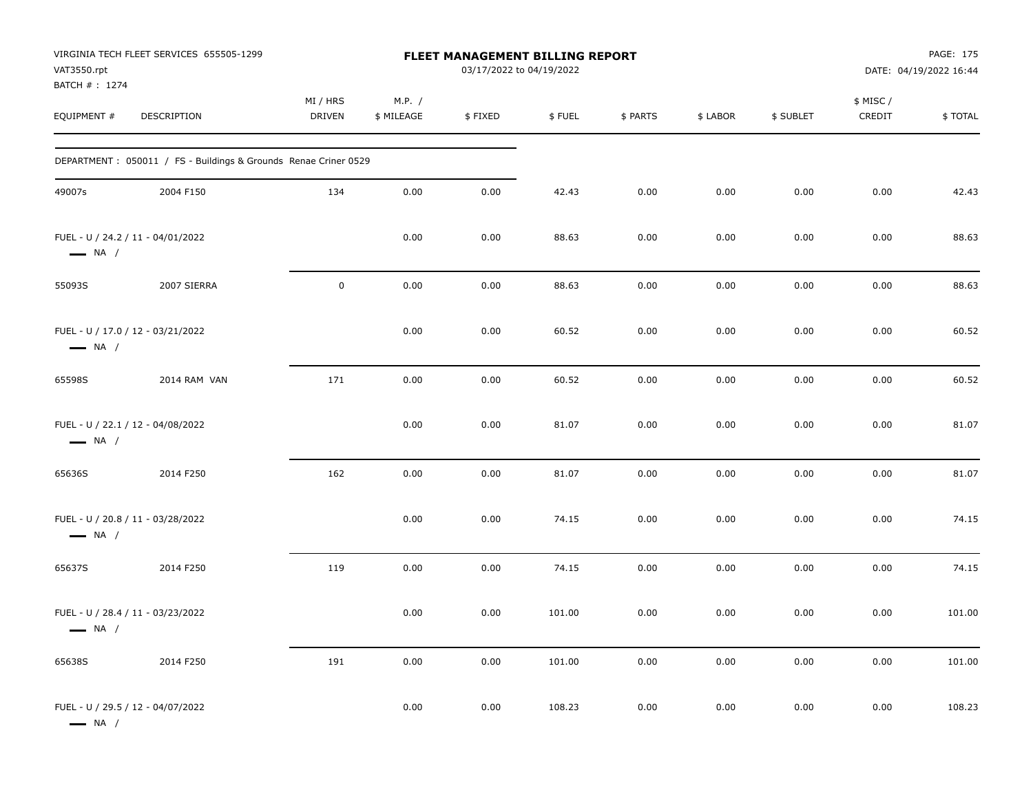| VAT3550.rpt                                                 | VIRGINIA TECH FLEET SERVICES 655505-1299                        |                    |                      | FLEET MANAGEMENT BILLING REPORT<br>03/17/2022 to 04/19/2022 |        |          |          |           |                     | PAGE: 175<br>DATE: 04/19/2022 16:44 |
|-------------------------------------------------------------|-----------------------------------------------------------------|--------------------|----------------------|-------------------------------------------------------------|--------|----------|----------|-----------|---------------------|-------------------------------------|
| BATCH #: 1274<br>EQUIPMENT #                                | DESCRIPTION                                                     | MI / HRS<br>DRIVEN | M.P. /<br>\$ MILEAGE | \$FIXED                                                     | \$FUEL | \$ PARTS | \$ LABOR | \$ SUBLET | \$ MISC /<br>CREDIT | \$TOTAL                             |
|                                                             | DEPARTMENT: 050011 / FS - Buildings & Grounds Renae Criner 0529 |                    |                      |                                                             |        |          |          |           |                     |                                     |
| 49007s                                                      | 2004 F150                                                       | 134                | 0.00                 | 0.00                                                        | 42.43  | 0.00     | 0.00     | 0.00      | 0.00                | 42.43                               |
| FUEL - U / 24.2 / 11 - 04/01/2022<br>$\longrightarrow$ NA / |                                                                 |                    | 0.00                 | 0.00                                                        | 88.63  | 0.00     | 0.00     | 0.00      | 0.00                | 88.63                               |
| 55093S                                                      | 2007 SIERRA                                                     | $\mathsf 0$        | 0.00                 | 0.00                                                        | 88.63  | 0.00     | 0.00     | 0.00      | 0.00                | 88.63                               |
| FUEL - U / 17.0 / 12 - 03/21/2022<br>$\longrightarrow$ NA / |                                                                 |                    | 0.00                 | 0.00                                                        | 60.52  | 0.00     | 0.00     | 0.00      | 0.00                | 60.52                               |
| 65598S                                                      | 2014 RAM VAN                                                    | 171                | 0.00                 | 0.00                                                        | 60.52  | 0.00     | 0.00     | 0.00      | 0.00                | 60.52                               |
| FUEL - U / 22.1 / 12 - 04/08/2022<br>$\longrightarrow$ NA / |                                                                 |                    | 0.00                 | 0.00                                                        | 81.07  | 0.00     | 0.00     | 0.00      | 0.00                | 81.07                               |
| 65636S                                                      | 2014 F250                                                       | 162                | 0.00                 | 0.00                                                        | 81.07  | 0.00     | 0.00     | 0.00      | 0.00                | 81.07                               |
| FUEL - U / 20.8 / 11 - 03/28/2022<br>$\longrightarrow$ NA / |                                                                 |                    | 0.00                 | 0.00                                                        | 74.15  | 0.00     | 0.00     | 0.00      | 0.00                | 74.15                               |
| 65637S                                                      | 2014 F250                                                       | 119                | 0.00                 | 0.00                                                        | 74.15  | 0.00     | 0.00     | 0.00      | 0.00                | 74.15                               |
| FUEL - U / 28.4 / 11 - 03/23/2022<br>— NA /                 |                                                                 |                    | 0.00                 | 0.00                                                        | 101.00 | 0.00     | 0.00     | 0.00      | 0.00                | 101.00                              |
| 65638S                                                      | 2014 F250                                                       | 191                | 0.00                 | 0.00                                                        | 101.00 | $0.00\,$ | 0.00     | 0.00      | 0.00                | 101.00                              |
| FUEL - U / 29.5 / 12 - 04/07/2022<br>$\longrightarrow$ NA / |                                                                 |                    | 0.00                 | 0.00                                                        | 108.23 | $0.00\,$ | 0.00     | 0.00      | 0.00                | 108.23                              |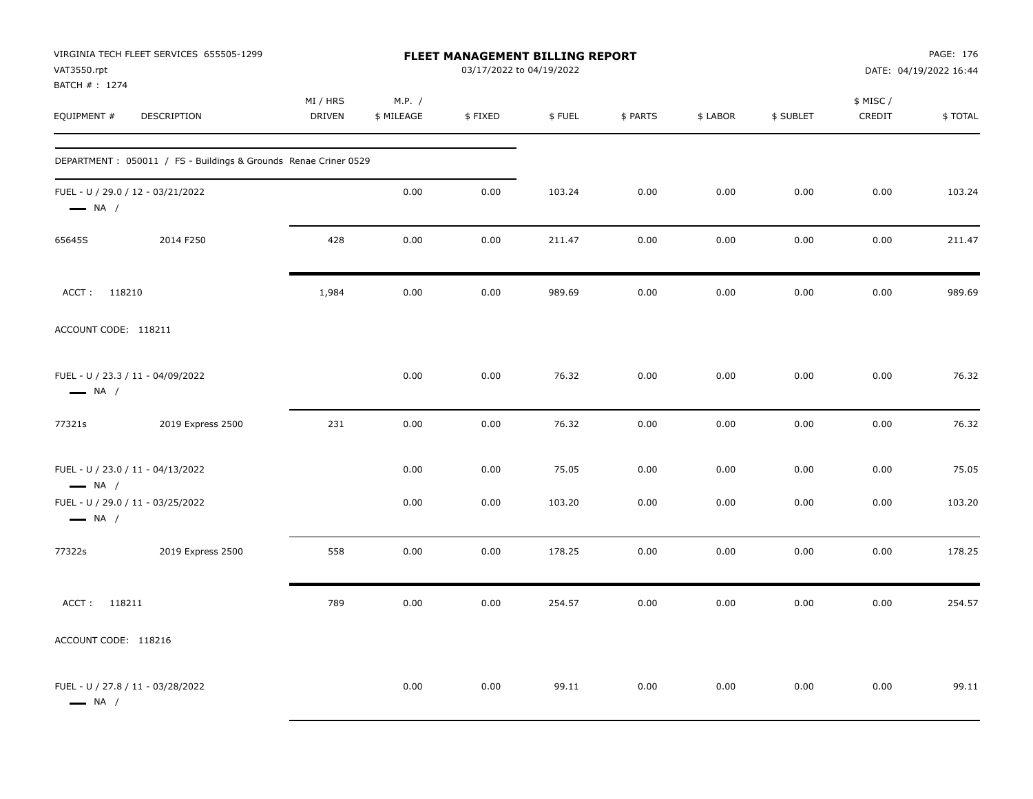| VAT3550.rpt<br>BATCH #: 1274 | VIRGINIA TECH FLEET SERVICES 655505-1299                         |                           |                      | FLEET MANAGEMENT BILLING REPORT<br>03/17/2022 to 04/19/2022 |        |          |          |           |                     | PAGE: 176<br>DATE: 04/19/2022 16:44 |
|------------------------------|------------------------------------------------------------------|---------------------------|----------------------|-------------------------------------------------------------|--------|----------|----------|-----------|---------------------|-------------------------------------|
| EQUIPMENT #                  | DESCRIPTION                                                      | MI / HRS<br><b>DRIVEN</b> | M.P. /<br>\$ MILEAGE | \$FIXED                                                     | \$FUEL | \$ PARTS | \$ LABOR | \$ SUBLET | \$ MISC /<br>CREDIT | \$TOTAL                             |
|                              | DEPARTMENT : 050011 / FS - Buildings & Grounds Renae Criner 0529 |                           |                      |                                                             |        |          |          |           |                     |                                     |
| $\longrightarrow$ NA /       | FUEL - U / 29.0 / 12 - 03/21/2022                                |                           | 0.00                 | 0.00                                                        | 103.24 | 0.00     | 0.00     | 0.00      | 0.00                | 103.24                              |
| 65645S                       | 2014 F250                                                        | 428                       | 0.00                 | 0.00                                                        | 211.47 | 0.00     | 0.00     | 0.00      | 0.00                | 211.47                              |
| ACCT: 118210                 |                                                                  | 1,984                     | 0.00                 | 0.00                                                        | 989.69 | 0.00     | 0.00     | 0.00      | 0.00                | 989.69                              |
| ACCOUNT CODE: 118211         |                                                                  |                           |                      |                                                             |        |          |          |           |                     |                                     |
| $\longrightarrow$ NA /       | FUEL - U / 23.3 / 11 - 04/09/2022                                |                           | 0.00                 | 0.00                                                        | 76.32  | 0.00     | 0.00     | 0.00      | 0.00                | 76.32                               |
| 77321s                       | 2019 Express 2500                                                | 231                       | 0.00                 | 0.00                                                        | 76.32  | 0.00     | 0.00     | 0.00      | 0.00                | 76.32                               |
| $\longrightarrow$ NA /       | FUEL - U / 23.0 / 11 - 04/13/2022                                |                           | 0.00                 | 0.00                                                        | 75.05  | 0.00     | 0.00     | 0.00      | 0.00                | 75.05                               |
| $\longrightarrow$ NA /       | FUEL - U / 29.0 / 11 - 03/25/2022                                |                           | 0.00                 | 0.00                                                        | 103.20 | 0.00     | 0.00     | 0.00      | 0.00                | 103.20                              |
| 77322s                       | 2019 Express 2500                                                | 558                       | 0.00                 | 0.00                                                        | 178.25 | 0.00     | 0.00     | 0.00      | 0.00                | 178.25                              |
| ACCT: 118211                 |                                                                  | 789                       | 0.00                 | 0.00                                                        | 254.57 | 0.00     | 0.00     | 0.00      | 0.00                | 254.57                              |
| ACCOUNT CODE: 118216         |                                                                  |                           |                      |                                                             |        |          |          |           |                     |                                     |
| $\longrightarrow$ NA /       | FUEL - U / 27.8 / 11 - 03/28/2022                                |                           | 0.00                 | 0.00                                                        | 99.11  | 0.00     | 0.00     | 0.00      | 0.00                | 99.11                               |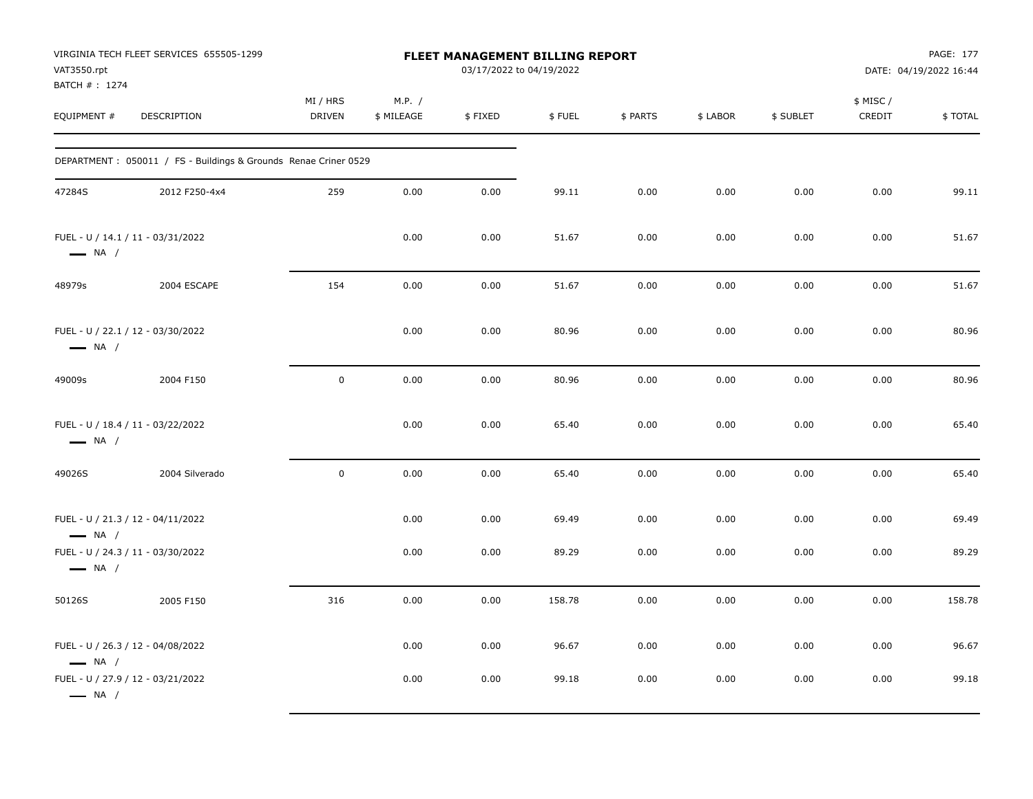| VAT3550.rpt<br>BATCH #: 1274                                                          | VIRGINIA TECH FLEET SERVICES 655505-1299                               |                    |                      | FLEET MANAGEMENT BILLING REPORT<br>03/17/2022 to 04/19/2022 |                |              |              |              |                     | PAGE: 177<br>DATE: 04/19/2022 16:44 |
|---------------------------------------------------------------------------------------|------------------------------------------------------------------------|--------------------|----------------------|-------------------------------------------------------------|----------------|--------------|--------------|--------------|---------------------|-------------------------------------|
| EQUIPMENT #                                                                           | DESCRIPTION                                                            | MI / HRS<br>DRIVEN | M.P. /<br>\$ MILEAGE | \$FIXED                                                     | \$FUEL         | \$ PARTS     | \$ LABOR     | \$ SUBLET    | \$ MISC /<br>CREDIT | \$TOTAL                             |
|                                                                                       | DEPARTMENT: 050011 / FS - Buildings & Grounds Renae Criner 0529        |                    |                      |                                                             |                |              |              |              |                     |                                     |
| 47284S                                                                                | 2012 F250-4x4                                                          | 259                | 0.00                 | 0.00                                                        | 99.11          | 0.00         | 0.00         | 0.00         | 0.00                | 99.11                               |
| $\longrightarrow$ NA /                                                                | FUEL - U / 14.1 / 11 - 03/31/2022                                      |                    | 0.00                 | 0.00                                                        | 51.67          | 0.00         | 0.00         | 0.00         | 0.00                | 51.67                               |
| 48979s                                                                                | 2004 ESCAPE                                                            | 154                | 0.00                 | 0.00                                                        | 51.67          | 0.00         | 0.00         | 0.00         | 0.00                | 51.67                               |
| $\longrightarrow$ NA /                                                                | FUEL - U / 22.1 / 12 - 03/30/2022                                      |                    | 0.00                 | 0.00                                                        | 80.96          | 0.00         | 0.00         | 0.00         | 0.00                | 80.96                               |
| 49009s                                                                                | 2004 F150                                                              | $\mathbf 0$        | 0.00                 | 0.00                                                        | 80.96          | 0.00         | 0.00         | 0.00         | 0.00                | 80.96                               |
| $\longrightarrow$ NA /                                                                | FUEL - U / 18.4 / 11 - 03/22/2022                                      |                    | 0.00                 | 0.00                                                        | 65.40          | 0.00         | 0.00         | 0.00         | 0.00                | 65.40                               |
| 49026S                                                                                | 2004 Silverado                                                         | $\mathsf 0$        | 0.00                 | 0.00                                                        | 65.40          | 0.00         | 0.00         | 0.00         | 0.00                | 65.40                               |
| $\longrightarrow$ NA /<br>FUEL - U / 24.3 / 11 - 03/30/2022<br>$\longrightarrow$ NA / | FUEL - U / 21.3 / 12 - 04/11/2022                                      |                    | 0.00<br>0.00         | 0.00<br>0.00                                                | 69.49<br>89.29 | 0.00<br>0.00 | 0.00<br>0.00 | 0.00<br>0.00 | 0.00<br>0.00        | 69.49<br>89.29                      |
| 50126S                                                                                | 2005 F150                                                              | 316                | 0.00                 | 0.00                                                        | 158.78         | 0.00         | 0.00         | 0.00         | 0.00                | 158.78                              |
| $\longrightarrow$ NA /<br>$\longrightarrow$ NA /                                      | FUEL - U / 26.3 / 12 - 04/08/2022<br>FUEL - U / 27.9 / 12 - 03/21/2022 |                    | 0.00<br>0.00         | 0.00<br>0.00                                                | 96.67<br>99.18 | 0.00<br>0.00 | 0.00<br>0.00 | 0.00<br>0.00 | 0.00<br>0.00        | 96.67<br>99.18                      |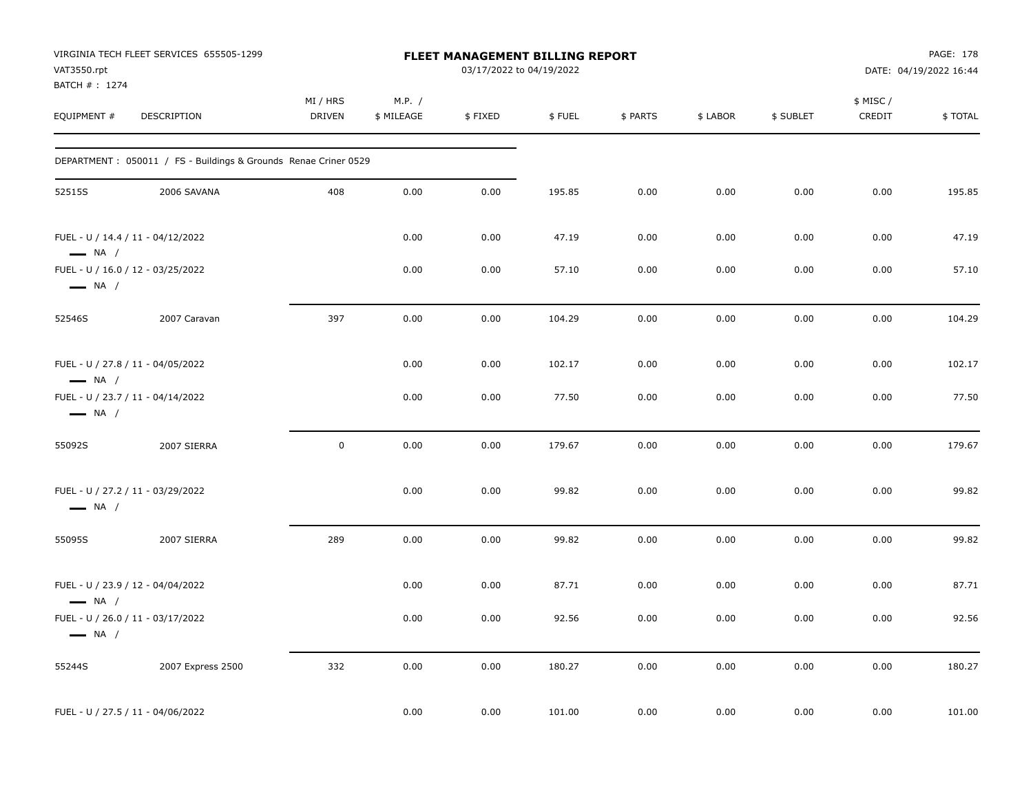| VAT3550.rpt                  | VIRGINIA TECH FLEET SERVICES 655505-1299                        |                    |                      | FLEET MANAGEMENT BILLING REPORT<br>03/17/2022 to 04/19/2022 |        |          |          |           |                     | PAGE: 178<br>DATE: 04/19/2022 16:44 |
|------------------------------|-----------------------------------------------------------------|--------------------|----------------------|-------------------------------------------------------------|--------|----------|----------|-----------|---------------------|-------------------------------------|
| BATCH #: 1274<br>EQUIPMENT # | DESCRIPTION                                                     | MI / HRS<br>DRIVEN | M.P. /<br>\$ MILEAGE | \$FIXED                                                     | \$FUEL | \$ PARTS | \$ LABOR | \$ SUBLET | \$ MISC /<br>CREDIT | \$TOTAL                             |
|                              | DEPARTMENT: 050011 / FS - Buildings & Grounds Renae Criner 0529 |                    |                      |                                                             |        |          |          |           |                     |                                     |
| 52515S                       | 2006 SAVANA                                                     | 408                | 0.00                 | 0.00                                                        | 195.85 | 0.00     | 0.00     | 0.00      | 0.00                | 195.85                              |
| $\longrightarrow$ NA /       | FUEL - U / 14.4 / 11 - 04/12/2022                               |                    | 0.00                 | 0.00                                                        | 47.19  | 0.00     | 0.00     | 0.00      | 0.00                | 47.19                               |
| $\longrightarrow$ NA /       | FUEL - U / 16.0 / 12 - 03/25/2022                               |                    | 0.00                 | 0.00                                                        | 57.10  | 0.00     | 0.00     | 0.00      | 0.00                | 57.10                               |
| 52546S                       | 2007 Caravan                                                    | 397                | 0.00                 | 0.00                                                        | 104.29 | 0.00     | 0.00     | 0.00      | 0.00                | 104.29                              |
| $\longrightarrow$ NA /       | FUEL - U / 27.8 / 11 - 04/05/2022                               |                    | 0.00                 | 0.00                                                        | 102.17 | 0.00     | 0.00     | 0.00      | 0.00                | 102.17                              |
| $\longrightarrow$ NA /       | FUEL - U / 23.7 / 11 - 04/14/2022                               |                    | 0.00                 | 0.00                                                        | 77.50  | 0.00     | 0.00     | 0.00      | 0.00                | 77.50                               |
| 55092S                       | 2007 SIERRA                                                     | $\pmb{0}$          | 0.00                 | 0.00                                                        | 179.67 | 0.00     | 0.00     | 0.00      | 0.00                | 179.67                              |
| $\longrightarrow$ NA /       | FUEL - U / 27.2 / 11 - 03/29/2022                               |                    | 0.00                 | 0.00                                                        | 99.82  | 0.00     | 0.00     | 0.00      | 0.00                | 99.82                               |
| 55095S                       | 2007 SIERRA                                                     | 289                | 0.00                 | 0.00                                                        | 99.82  | 0.00     | 0.00     | 0.00      | 0.00                | 99.82                               |
| $\longrightarrow$ NA /       | FUEL - U / 23.9 / 12 - 04/04/2022                               |                    | 0.00                 | 0.00                                                        | 87.71  | 0.00     | 0.00     | 0.00      | 0.00                | 87.71                               |
| $\longrightarrow$ NA /       | FUEL - U / 26.0 / 11 - 03/17/2022                               |                    | 0.00                 | 0.00                                                        | 92.56  | 0.00     | 0.00     | 0.00      | 0.00                | 92.56                               |
| 55244S                       | 2007 Express 2500                                               | 332                | 0.00                 | 0.00                                                        | 180.27 | 0.00     | 0.00     | 0.00      | 0.00                | 180.27                              |
|                              | FUEL - U / 27.5 / 11 - 04/06/2022                               |                    | 0.00                 | 0.00                                                        | 101.00 | 0.00     | 0.00     | 0.00      | 0.00                | 101.00                              |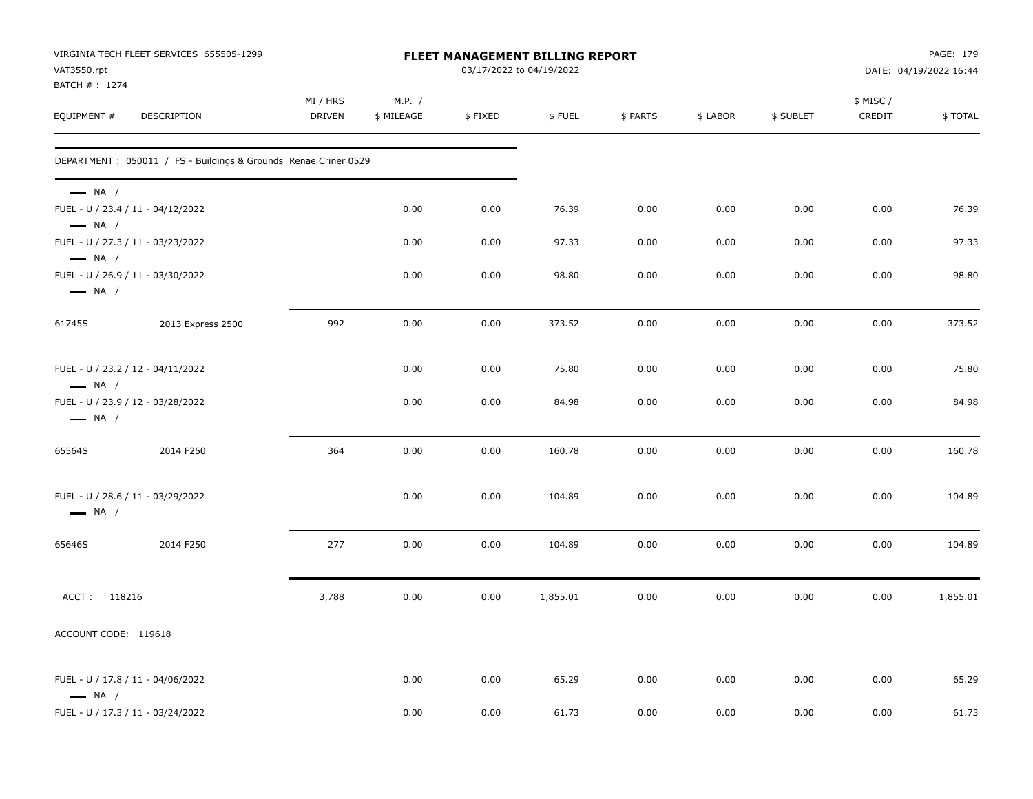| VAT3550.rpt<br>BATCH #: 1274                     | VIRGINIA TECH FLEET SERVICES 655505-1299                         |                    |                      |         | <b>FLEET MANAGEMENT BILLING REPORT</b><br>03/17/2022 to 04/19/2022 |          |          |           |                    | PAGE: 179<br>DATE: 04/19/2022 16:44 |
|--------------------------------------------------|------------------------------------------------------------------|--------------------|----------------------|---------|--------------------------------------------------------------------|----------|----------|-----------|--------------------|-------------------------------------|
| EQUIPMENT #                                      | DESCRIPTION                                                      | MI / HRS<br>DRIVEN | M.P. /<br>\$ MILEAGE | \$FIXED | \$FUEL                                                             | \$ PARTS | \$ LABOR | \$ SUBLET | \$ MISC/<br>CREDIT | \$TOTAL                             |
|                                                  | DEPARTMENT : 050011 / FS - Buildings & Grounds Renae Criner 0529 |                    |                      |         |                                                                    |          |          |           |                    |                                     |
| $\longrightarrow$ NA /<br>$\longrightarrow$ NA / | FUEL - U / 23.4 / 11 - 04/12/2022                                |                    | 0.00                 | 0.00    | 76.39                                                              | 0.00     | 0.00     | 0.00      | 0.00               | 76.39                               |
|                                                  | FUEL - U / 27.3 / 11 - 03/23/2022                                |                    | 0.00                 | 0.00    | 97.33                                                              | 0.00     | 0.00     | 0.00      | 0.00               | 97.33                               |
| $\longrightarrow$ NA /<br>$\longrightarrow$ NA / | FUEL - U / 26.9 / 11 - 03/30/2022                                |                    | 0.00                 | 0.00    | 98.80                                                              | 0.00     | 0.00     | 0.00      | 0.00               | 98.80                               |
| 61745S                                           | 2013 Express 2500                                                | 992                | 0.00                 | 0.00    | 373.52                                                             | 0.00     | 0.00     | 0.00      | 0.00               | 373.52                              |
| $\longrightarrow$ NA /                           | FUEL - U / 23.2 / 12 - 04/11/2022                                |                    | 0.00                 | 0.00    | 75.80                                                              | 0.00     | 0.00     | 0.00      | 0.00               | 75.80                               |
| $\longrightarrow$ NA /                           | FUEL - U / 23.9 / 12 - 03/28/2022                                |                    | 0.00                 | 0.00    | 84.98                                                              | 0.00     | 0.00     | 0.00      | 0.00               | 84.98                               |
| 65564S                                           | 2014 F250                                                        | 364                | 0.00                 | 0.00    | 160.78                                                             | 0.00     | 0.00     | 0.00      | 0.00               | 160.78                              |
| $\longrightarrow$ NA /                           | FUEL - U / 28.6 / 11 - 03/29/2022                                |                    | 0.00                 | 0.00    | 104.89                                                             | 0.00     | 0.00     | 0.00      | 0.00               | 104.89                              |
| 65646S                                           | 2014 F250                                                        | 277                | 0.00                 | 0.00    | 104.89                                                             | 0.00     | 0.00     | 0.00      | 0.00               | 104.89                              |
| ACCT: 118216                                     |                                                                  | 3,788              | 0.00                 | 0.00    | 1,855.01                                                           | 0.00     | 0.00     | 0.00      | 0.00               | 1,855.01                            |
| ACCOUNT CODE: 119618                             |                                                                  |                    |                      |         |                                                                    |          |          |           |                    |                                     |
| $\longrightarrow$ NA /                           | FUEL - U / 17.8 / 11 - 04/06/2022                                |                    | 0.00                 | 0.00    | 65.29                                                              | 0.00     | 0.00     | 0.00      | 0.00               | 65.29                               |
|                                                  | FUEL - U / 17.3 / 11 - 03/24/2022                                |                    | 0.00                 | 0.00    | 61.73                                                              | 0.00     | 0.00     | 0.00      | 0.00               | 61.73                               |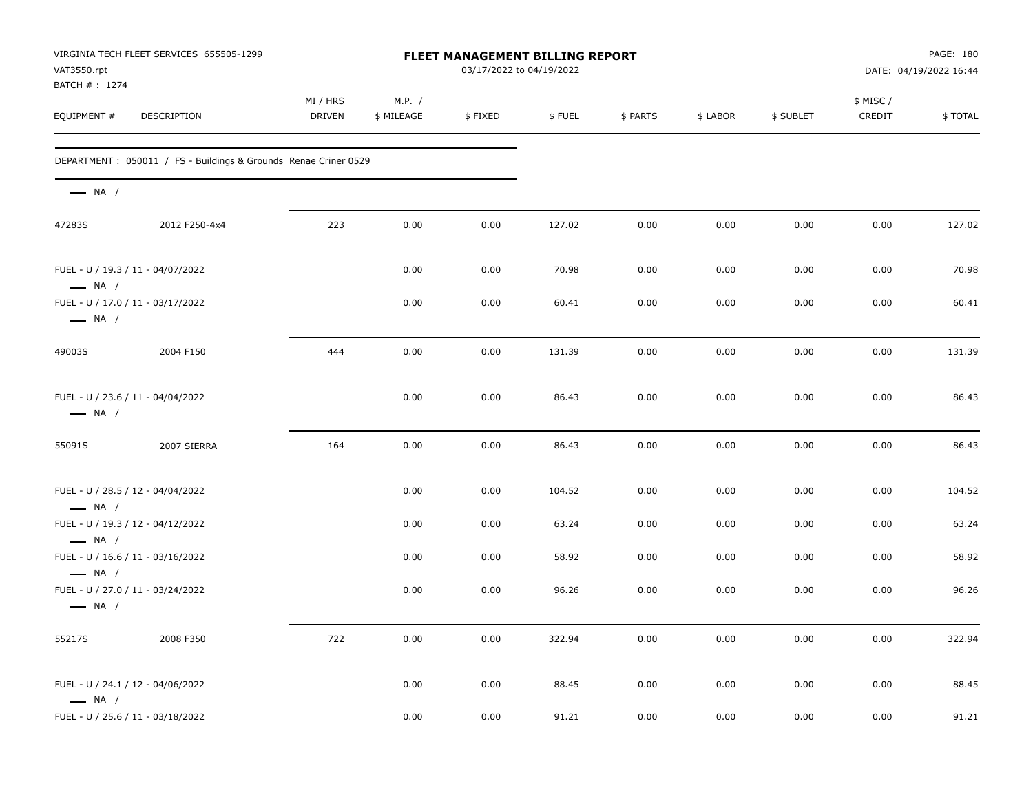| VAT3550.rpt<br>BATCH #: 1274                                | VIRGINIA TECH FLEET SERVICES 655505-1299                        |                           |                      | <b>FLEET MANAGEMENT BILLING REPORT</b><br>03/17/2022 to 04/19/2022 |        |          |          |           |                    | PAGE: 180<br>DATE: 04/19/2022 16:44 |
|-------------------------------------------------------------|-----------------------------------------------------------------|---------------------------|----------------------|--------------------------------------------------------------------|--------|----------|----------|-----------|--------------------|-------------------------------------|
| EQUIPMENT #                                                 | DESCRIPTION                                                     | MI / HRS<br><b>DRIVEN</b> | M.P. /<br>\$ MILEAGE | \$FIXED                                                            | \$FUEL | \$ PARTS | \$ LABOR | \$ SUBLET | \$ MISC/<br>CREDIT | \$TOTAL                             |
|                                                             | DEPARTMENT: 050011 / FS - Buildings & Grounds Renae Criner 0529 |                           |                      |                                                                    |        |          |          |           |                    |                                     |
| $\longrightarrow$ NA /                                      |                                                                 |                           |                      |                                                                    |        |          |          |           |                    |                                     |
| 47283S                                                      | 2012 F250-4x4                                                   | 223                       | 0.00                 | 0.00                                                               | 127.02 | 0.00     | 0.00     | 0.00      | 0.00               | 127.02                              |
| FUEL - U / 19.3 / 11 - 04/07/2022<br>$\longrightarrow$ NA / |                                                                 |                           | 0.00                 | 0.00                                                               | 70.98  | 0.00     | 0.00     | 0.00      | 0.00               | 70.98                               |
| FUEL - U / 17.0 / 11 - 03/17/2022<br>$\longrightarrow$ NA / |                                                                 |                           | 0.00                 | 0.00                                                               | 60.41  | 0.00     | 0.00     | 0.00      | 0.00               | 60.41                               |
| 49003S                                                      | 2004 F150                                                       | 444                       | 0.00                 | 0.00                                                               | 131.39 | 0.00     | 0.00     | 0.00      | 0.00               | 131.39                              |
| FUEL - U / 23.6 / 11 - 04/04/2022<br>$\longrightarrow$ NA / |                                                                 |                           | 0.00                 | 0.00                                                               | 86.43  | 0.00     | 0.00     | 0.00      | 0.00               | 86.43                               |
| 55091S                                                      | 2007 SIERRA                                                     | 164                       | 0.00                 | 0.00                                                               | 86.43  | 0.00     | 0.00     | 0.00      | 0.00               | 86.43                               |
| FUEL - U / 28.5 / 12 - 04/04/2022<br>$\longrightarrow$ NA / |                                                                 |                           | 0.00                 | 0.00                                                               | 104.52 | 0.00     | 0.00     | 0.00      | 0.00               | 104.52                              |
| FUEL - U / 19.3 / 12 - 04/12/2022<br>$\longrightarrow$ NA / |                                                                 |                           | 0.00                 | 0.00                                                               | 63.24  | 0.00     | 0.00     | 0.00      | 0.00               | 63.24                               |
| FUEL - U / 16.6 / 11 - 03/16/2022<br>$\longrightarrow$ NA / |                                                                 |                           | 0.00                 | 0.00                                                               | 58.92  | 0.00     | 0.00     | 0.00      | 0.00               | 58.92                               |
| FUEL - U / 27.0 / 11 - 03/24/2022<br>$\longrightarrow$ NA / |                                                                 |                           | 0.00                 | 0.00                                                               | 96.26  | 0.00     | 0.00     | 0.00      | 0.00               | 96.26                               |
| 55217S                                                      | 2008 F350                                                       | 722                       | 0.00                 | 0.00                                                               | 322.94 | 0.00     | 0.00     | 0.00      | 0.00               | 322.94                              |
| FUEL - U / 24.1 / 12 - 04/06/2022<br>$\longrightarrow$ NA / |                                                                 |                           | 0.00                 | 0.00                                                               | 88.45  | 0.00     | 0.00     | 0.00      | 0.00               | 88.45                               |
| FUEL - U / 25.6 / 11 - 03/18/2022                           |                                                                 |                           | 0.00                 | 0.00                                                               | 91.21  | 0.00     | 0.00     | 0.00      | 0.00               | 91.21                               |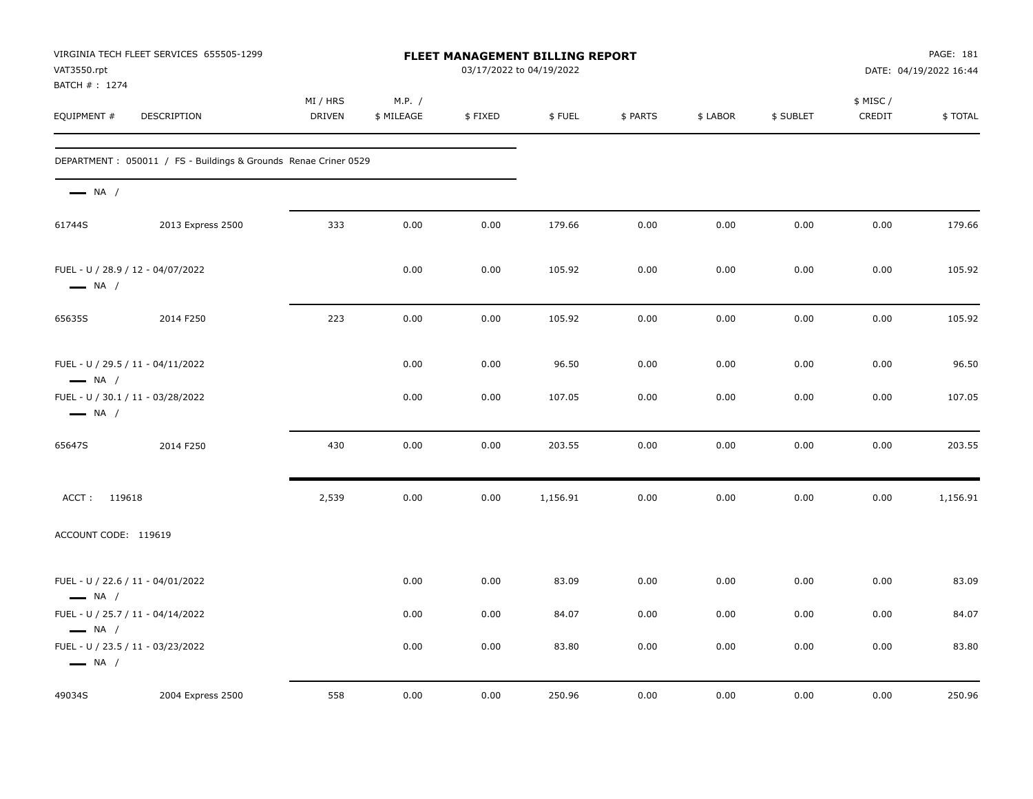| VIRGINIA TECH FLEET SERVICES 655505-1299<br><b>FLEET MANAGEMENT BILLING REPORT</b><br>VAT3550.rpt<br>BATCH # : 1274 |                                                                  |                           |                      |         | 03/17/2022 to 04/19/2022 | PAGE: 181<br>DATE: 04/19/2022 16:44 |          |           |                     |          |
|---------------------------------------------------------------------------------------------------------------------|------------------------------------------------------------------|---------------------------|----------------------|---------|--------------------------|-------------------------------------|----------|-----------|---------------------|----------|
| EQUIPMENT #                                                                                                         | <b>DESCRIPTION</b>                                               | MI / HRS<br><b>DRIVEN</b> | M.P. /<br>\$ MILEAGE | \$FIXED | \$FUEL                   | \$ PARTS                            | \$ LABOR | \$ SUBLET | \$ MISC /<br>CREDIT | \$TOTAL  |
|                                                                                                                     | DEPARTMENT : 050011 / FS - Buildings & Grounds Renae Criner 0529 |                           |                      |         |                          |                                     |          |           |                     |          |
| $\longrightarrow$ NA /                                                                                              |                                                                  |                           |                      |         |                          |                                     |          |           |                     |          |
| 61744S                                                                                                              | 2013 Express 2500                                                | 333                       | 0.00                 | 0.00    | 179.66                   | 0.00                                | 0.00     | 0.00      | 0.00                | 179.66   |
| $\longrightarrow$ NA /                                                                                              | FUEL - U / 28.9 / 12 - 04/07/2022                                |                           | 0.00                 | 0.00    | 105.92                   | 0.00                                | 0.00     | 0.00      | 0.00                | 105.92   |
| 65635S                                                                                                              | 2014 F250                                                        | 223                       | 0.00                 | 0.00    | 105.92                   | 0.00                                | 0.00     | 0.00      | 0.00                | 105.92   |
| $\longrightarrow$ NA /                                                                                              | FUEL - U / 29.5 / 11 - 04/11/2022                                |                           | 0.00                 | 0.00    | 96.50                    | 0.00                                | 0.00     | 0.00      | 0.00                | 96.50    |
| $\longrightarrow$ NA /                                                                                              | FUEL - U / 30.1 / 11 - 03/28/2022                                |                           | 0.00                 | 0.00    | 107.05                   | 0.00                                | 0.00     | 0.00      | 0.00                | 107.05   |
| 65647S                                                                                                              | 2014 F250                                                        | 430                       | 0.00                 | 0.00    | 203.55                   | 0.00                                | 0.00     | 0.00      | 0.00                | 203.55   |
| ACCT: 119618                                                                                                        |                                                                  | 2,539                     | 0.00                 | 0.00    | 1,156.91                 | 0.00                                | 0.00     | 0.00      | 0.00                | 1,156.91 |
| ACCOUNT CODE: 119619                                                                                                |                                                                  |                           |                      |         |                          |                                     |          |           |                     |          |
| $\longrightarrow$ NA /                                                                                              | FUEL - U / 22.6 / 11 - 04/01/2022                                |                           | 0.00                 | 0.00    | 83.09                    | 0.00                                | 0.00     | 0.00      | 0.00                | 83.09    |
| $\longrightarrow$ NA /                                                                                              | FUEL - U / 25.7 / 11 - 04/14/2022                                |                           | 0.00                 | 0.00    | 84.07                    | 0.00                                | 0.00     | 0.00      | 0.00                | 84.07    |
| $\longrightarrow$ NA /                                                                                              | FUEL - U / 23.5 / 11 - 03/23/2022                                |                           | 0.00                 | 0.00    | 83.80                    | 0.00                                | 0.00     | 0.00      | 0.00                | 83.80    |
| 49034S                                                                                                              | 2004 Express 2500                                                | 558                       | 0.00                 | 0.00    | 250.96                   | 0.00                                | 0.00     | 0.00      | 0.00                | 250.96   |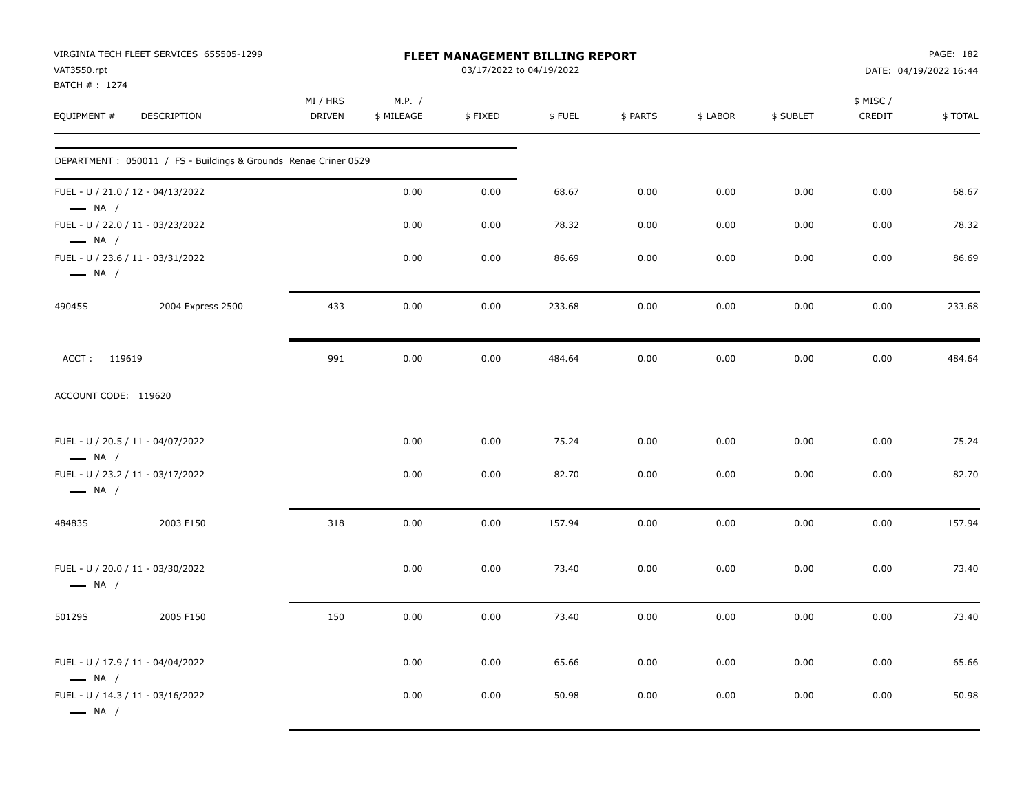| VAT3550.rpt                                                 | VIRGINIA TECH FLEET SERVICES 655505-1299                        |                           |                      | FLEET MANAGEMENT BILLING REPORT | 03/17/2022 to 04/19/2022 |          |          | PAGE: 182<br>DATE: 04/19/2022 16:44 |                     |         |
|-------------------------------------------------------------|-----------------------------------------------------------------|---------------------------|----------------------|---------------------------------|--------------------------|----------|----------|-------------------------------------|---------------------|---------|
| BATCH # : 1274<br>EQUIPMENT #                               | DESCRIPTION                                                     | MI / HRS<br><b>DRIVEN</b> | M.P. /<br>\$ MILEAGE | \$FIXED                         | \$FUEL                   | \$ PARTS | \$ LABOR | \$ SUBLET                           | \$ MISC /<br>CREDIT | \$TOTAL |
|                                                             | DEPARTMENT: 050011 / FS - Buildings & Grounds Renae Criner 0529 |                           |                      |                                 |                          |          |          |                                     |                     |         |
| FUEL - U / 21.0 / 12 - 04/13/2022<br>$\longrightarrow$ NA / |                                                                 |                           | 0.00                 | 0.00                            | 68.67                    | 0.00     | 0.00     | 0.00                                | 0.00                | 68.67   |
| FUEL - U / 22.0 / 11 - 03/23/2022<br>$\longrightarrow$ NA / |                                                                 |                           | 0.00                 | 0.00                            | 78.32                    | 0.00     | 0.00     | 0.00                                | 0.00                | 78.32   |
| FUEL - U / 23.6 / 11 - 03/31/2022<br>$\longrightarrow$ NA / |                                                                 |                           | 0.00                 | 0.00                            | 86.69                    | 0.00     | 0.00     | 0.00                                | 0.00                | 86.69   |
| 49045S                                                      | 2004 Express 2500                                               | 433                       | 0.00                 | 0.00                            | 233.68                   | 0.00     | 0.00     | 0.00                                | 0.00                | 233.68  |
| ACCT: 119619                                                |                                                                 | 991                       | 0.00                 | 0.00                            | 484.64                   | 0.00     | 0.00     | 0.00                                | 0.00                | 484.64  |
| ACCOUNT CODE: 119620                                        |                                                                 |                           |                      |                                 |                          |          |          |                                     |                     |         |
| FUEL - U / 20.5 / 11 - 04/07/2022<br>$\longrightarrow$ NA / |                                                                 |                           | 0.00                 | 0.00                            | 75.24                    | 0.00     | 0.00     | 0.00                                | 0.00                | 75.24   |
| FUEL - U / 23.2 / 11 - 03/17/2022<br>$\longrightarrow$ NA / |                                                                 |                           | 0.00                 | 0.00                            | 82.70                    | 0.00     | 0.00     | 0.00                                | 0.00                | 82.70   |
| 48483S                                                      | 2003 F150                                                       | 318                       | 0.00                 | 0.00                            | 157.94                   | 0.00     | 0.00     | 0.00                                | 0.00                | 157.94  |
| FUEL - U / 20.0 / 11 - 03/30/2022<br>$\longrightarrow$ NA / |                                                                 |                           | 0.00                 | 0.00                            | 73.40                    | 0.00     | 0.00     | 0.00                                | 0.00                | 73.40   |
| 50129S                                                      | 2005 F150                                                       | 150                       | 0.00                 | 0.00                            | 73.40                    | 0.00     | 0.00     | 0.00                                | 0.00                | 73.40   |
| FUEL - U / 17.9 / 11 - 04/04/2022<br>$\longrightarrow$ NA / |                                                                 |                           | 0.00                 | 0.00                            | 65.66                    | 0.00     | 0.00     | 0.00                                | 0.00                | 65.66   |
| FUEL - U / 14.3 / 11 - 03/16/2022<br>$\longrightarrow$ NA / |                                                                 |                           | 0.00                 | 0.00                            | 50.98                    | 0.00     | 0.00     | 0.00                                | 0.00                | 50.98   |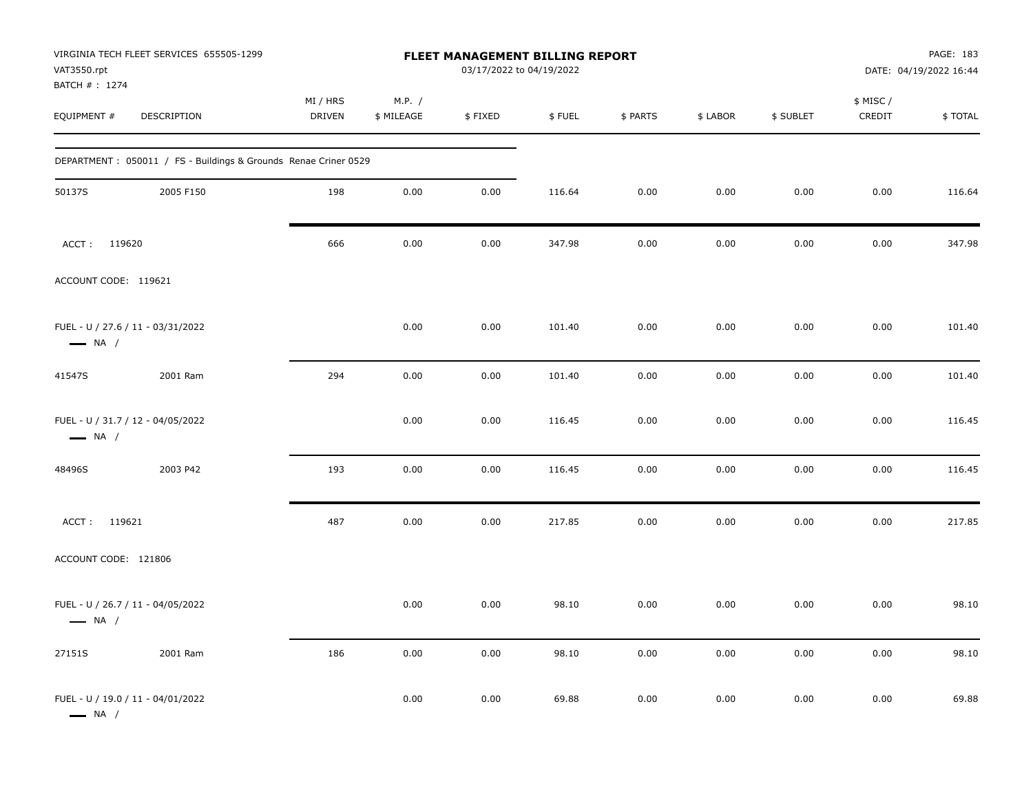| VAT3550.rpt<br>BATCH #: 1274 | VIRGINIA TECH FLEET SERVICES 655505-1299                        | FLEET MANAGEMENT BILLING REPORT<br>03/17/2022 to 04/19/2022 |                      |         |        |          |          |           | PAGE: 183<br>DATE: 04/19/2022 16:44 |         |
|------------------------------|-----------------------------------------------------------------|-------------------------------------------------------------|----------------------|---------|--------|----------|----------|-----------|-------------------------------------|---------|
| EQUIPMENT #                  | DESCRIPTION                                                     | MI / HRS<br><b>DRIVEN</b>                                   | M.P. /<br>\$ MILEAGE | \$FIXED | \$FUEL | \$ PARTS | \$ LABOR | \$ SUBLET | \$ MISC /<br>CREDIT                 | \$TOTAL |
|                              | DEPARTMENT: 050011 / FS - Buildings & Grounds Renae Criner 0529 |                                                             |                      |         |        |          |          |           |                                     |         |
| 50137S                       | 2005 F150                                                       | 198                                                         | 0.00                 | 0.00    | 116.64 | 0.00     | 0.00     | 0.00      | 0.00                                | 116.64  |
| ACCT: 119620                 |                                                                 | 666                                                         | 0.00                 | 0.00    | 347.98 | 0.00     | 0.00     | 0.00      | 0.00                                | 347.98  |
| ACCOUNT CODE: 119621         |                                                                 |                                                             |                      |         |        |          |          |           |                                     |         |
| $\longrightarrow$ NA /       | FUEL - U / 27.6 / 11 - 03/31/2022                               |                                                             | 0.00                 | 0.00    | 101.40 | 0.00     | 0.00     | 0.00      | 0.00                                | 101.40  |
| 41547S                       | 2001 Ram                                                        | 294                                                         | 0.00                 | 0.00    | 101.40 | 0.00     | 0.00     | 0.00      | 0.00                                | 101.40  |
| $\longrightarrow$ NA /       | FUEL - U / 31.7 / 12 - 04/05/2022                               |                                                             | 0.00                 | 0.00    | 116.45 | 0.00     | 0.00     | 0.00      | 0.00                                | 116.45  |
| 48496S                       | 2003 P42                                                        | 193                                                         | 0.00                 | 0.00    | 116.45 | 0.00     | 0.00     | 0.00      | 0.00                                | 116.45  |
| ACCT: 119621                 |                                                                 | 487                                                         | 0.00                 | 0.00    | 217.85 | 0.00     | 0.00     | 0.00      | 0.00                                | 217.85  |
| ACCOUNT CODE: 121806         |                                                                 |                                                             |                      |         |        |          |          |           |                                     |         |
| $\longrightarrow$ NA /       | FUEL - U / 26.7 / 11 - 04/05/2022                               |                                                             | 0.00                 | 0.00    | 98.10  | 0.00     | 0.00     | 0.00      | 0.00                                | 98.10   |
| 27151S                       | 2001 Ram                                                        | 186                                                         | 0.00                 | 0.00    | 98.10  | 0.00     | 0.00     | 0.00      | 0.00                                | 98.10   |
| $\longrightarrow$ NA /       | FUEL - U / 19.0 / 11 - 04/01/2022                               |                                                             | 0.00                 | 0.00    | 69.88  | 0.00     | 0.00     | 0.00      | 0.00                                | 69.88   |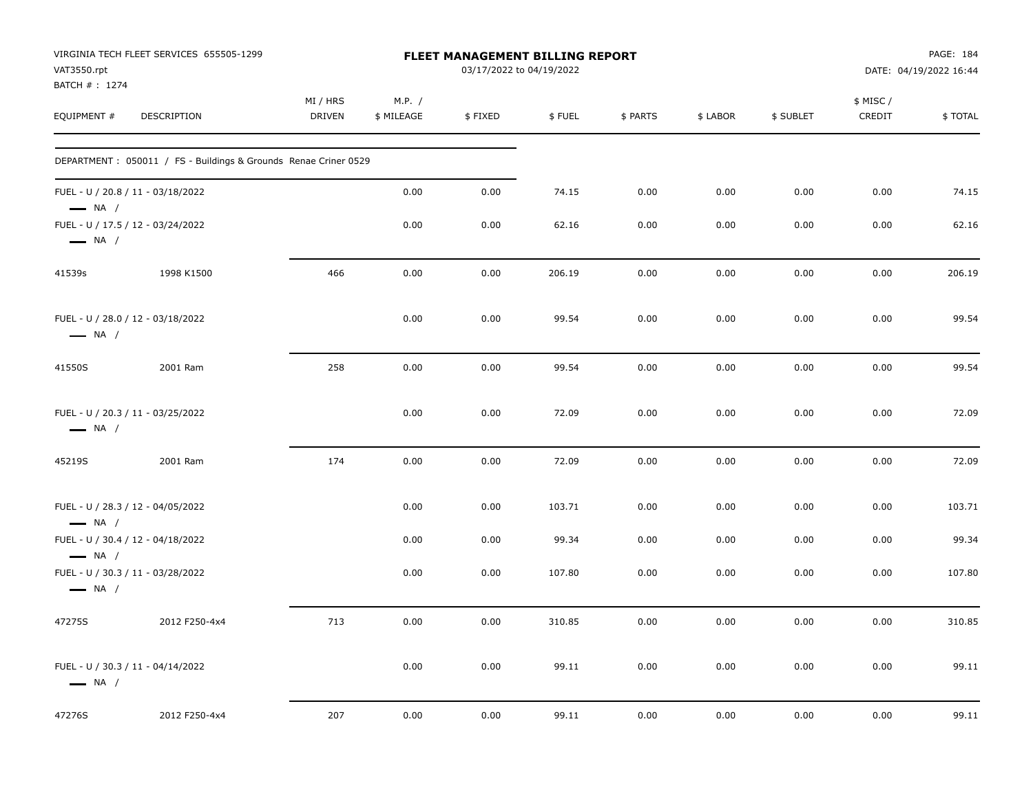| VAT3550.rpt                   | VIRGINIA TECH FLEET SERVICES 655505-1299                         | FLEET MANAGEMENT BILLING REPORT<br>03/17/2022 to 04/19/2022 |                      |         |        |          |          | PAGE: 184<br>DATE: 04/19/2022 16:44 |                     |         |  |  |
|-------------------------------|------------------------------------------------------------------|-------------------------------------------------------------|----------------------|---------|--------|----------|----------|-------------------------------------|---------------------|---------|--|--|
| BATCH # : 1274<br>EQUIPMENT # | <b>DESCRIPTION</b>                                               | MI / HRS<br><b>DRIVEN</b>                                   | M.P. /<br>\$ MILEAGE | \$FIXED | \$FUEL | \$ PARTS | \$ LABOR | \$ SUBLET                           | \$ MISC /<br>CREDIT | \$TOTAL |  |  |
|                               | DEPARTMENT : 050011 / FS - Buildings & Grounds Renae Criner 0529 |                                                             |                      |         |        |          |          |                                     |                     |         |  |  |
| $\longrightarrow$ NA /        | FUEL - U / 20.8 / 11 - 03/18/2022                                |                                                             | 0.00                 | 0.00    | 74.15  | 0.00     | 0.00     | 0.00                                | 0.00                | 74.15   |  |  |
| $\longrightarrow$ NA /        | FUEL - U / 17.5 / 12 - 03/24/2022                                |                                                             | 0.00                 | 0.00    | 62.16  | 0.00     | 0.00     | 0.00                                | 0.00                | 62.16   |  |  |
| 41539s                        | 1998 K1500                                                       | 466                                                         | 0.00                 | 0.00    | 206.19 | 0.00     | 0.00     | 0.00                                | 0.00                | 206.19  |  |  |
| $\longrightarrow$ NA /        | FUEL - U / 28.0 / 12 - 03/18/2022                                |                                                             | 0.00                 | 0.00    | 99.54  | 0.00     | 0.00     | 0.00                                | 0.00                | 99.54   |  |  |
| 41550S                        | 2001 Ram                                                         | 258                                                         | 0.00                 | 0.00    | 99.54  | 0.00     | 0.00     | 0.00                                | 0.00                | 99.54   |  |  |
| $\longrightarrow$ NA /        | FUEL - U / 20.3 / 11 - 03/25/2022                                |                                                             | 0.00                 | 0.00    | 72.09  | 0.00     | 0.00     | 0.00                                | 0.00                | 72.09   |  |  |
| 45219S                        | 2001 Ram                                                         | 174                                                         | 0.00                 | 0.00    | 72.09  | 0.00     | 0.00     | 0.00                                | 0.00                | 72.09   |  |  |
| $\longrightarrow$ NA /        | FUEL - U / 28.3 / 12 - 04/05/2022                                |                                                             | 0.00                 | 0.00    | 103.71 | 0.00     | 0.00     | 0.00                                | 0.00                | 103.71  |  |  |
| $\longrightarrow$ NA /        | FUEL - U / 30.4 / 12 - 04/18/2022                                |                                                             | 0.00                 | 0.00    | 99.34  | 0.00     | 0.00     | 0.00                                | 0.00                | 99.34   |  |  |
| $\longrightarrow$ NA /        | FUEL - U / 30.3 / 11 - 03/28/2022                                |                                                             | 0.00                 | 0.00    | 107.80 | 0.00     | 0.00     | 0.00                                | 0.00                | 107.80  |  |  |
| 47275S                        | 2012 F250-4x4                                                    | 713                                                         | 0.00                 | 0.00    | 310.85 | 0.00     | 0.00     | 0.00                                | 0.00                | 310.85  |  |  |
| $\longrightarrow$ NA /        | FUEL - U / 30.3 / 11 - 04/14/2022                                |                                                             | 0.00                 | 0.00    | 99.11  | 0.00     | 0.00     | 0.00                                | 0.00                | 99.11   |  |  |
| 47276S                        | 2012 F250-4x4                                                    | 207                                                         | 0.00                 | 0.00    | 99.11  | 0.00     | 0.00     | 0.00                                | 0.00                | 99.11   |  |  |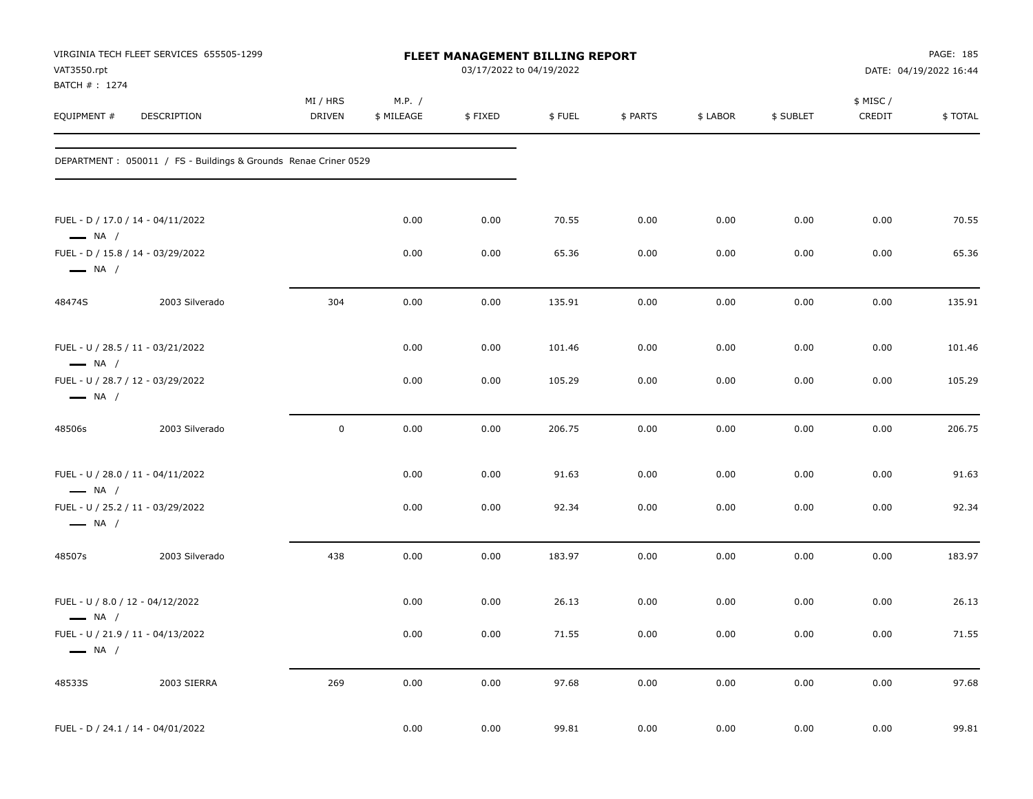| VAT3550.rpt                                                 | VIRGINIA TECH FLEET SERVICES 655505-1299                        | FLEET MANAGEMENT BILLING REPORT<br>03/17/2022 to 04/19/2022 |                      |         |        |          |          |           | PAGE: 185<br>DATE: 04/19/2022 16:44 |         |
|-------------------------------------------------------------|-----------------------------------------------------------------|-------------------------------------------------------------|----------------------|---------|--------|----------|----------|-----------|-------------------------------------|---------|
| BATCH #: 1274<br>EQUIPMENT#                                 | DESCRIPTION                                                     | MI / HRS<br><b>DRIVEN</b>                                   | M.P. /<br>\$ MILEAGE | \$FIXED | \$FUEL | \$ PARTS | \$ LABOR | \$ SUBLET | \$ MISC/<br>CREDIT                  | \$TOTAL |
|                                                             | DEPARTMENT: 050011 / FS - Buildings & Grounds Renae Criner 0529 |                                                             |                      |         |        |          |          |           |                                     |         |
| FUEL - D / 17.0 / 14 - 04/11/2022<br>$\longrightarrow$ NA / |                                                                 |                                                             | 0.00                 | 0.00    | 70.55  | 0.00     | 0.00     | 0.00      | 0.00                                | 70.55   |
| FUEL - D / 15.8 / 14 - 03/29/2022<br>$\longrightarrow$ NA / |                                                                 |                                                             | 0.00                 | 0.00    | 65.36  | 0.00     | 0.00     | 0.00      | 0.00                                | 65.36   |
| 48474S                                                      | 2003 Silverado                                                  | 304                                                         | 0.00                 | 0.00    | 135.91 | 0.00     | 0.00     | 0.00      | 0.00                                | 135.91  |
| FUEL - U / 28.5 / 11 - 03/21/2022<br>$\longrightarrow$ NA / |                                                                 |                                                             | 0.00                 | 0.00    | 101.46 | 0.00     | 0.00     | 0.00      | 0.00                                | 101.46  |
| FUEL - U / 28.7 / 12 - 03/29/2022<br>$\longrightarrow$ NA / |                                                                 |                                                             | 0.00                 | 0.00    | 105.29 | 0.00     | 0.00     | 0.00      | 0.00                                | 105.29  |
| 48506s                                                      | 2003 Silverado                                                  | $\mathsf 0$                                                 | 0.00                 | 0.00    | 206.75 | 0.00     | 0.00     | 0.00      | 0.00                                | 206.75  |
| FUEL - U / 28.0 / 11 - 04/11/2022<br>$\longrightarrow$ NA / |                                                                 |                                                             | 0.00                 | 0.00    | 91.63  | 0.00     | 0.00     | 0.00      | 0.00                                | 91.63   |
| FUEL - U / 25.2 / 11 - 03/29/2022<br>$\longrightarrow$ NA / |                                                                 |                                                             | 0.00                 | 0.00    | 92.34  | 0.00     | 0.00     | 0.00      | 0.00                                | 92.34   |
| 48507s                                                      | 2003 Silverado                                                  | 438                                                         | 0.00                 | 0.00    | 183.97 | 0.00     | 0.00     | 0.00      | 0.00                                | 183.97  |
| FUEL - U / 8.0 / 12 - 04/12/2022<br>$\longrightarrow$ NA /  |                                                                 |                                                             | 0.00                 | 0.00    | 26.13  | 0.00     | 0.00     | 0.00      | 0.00                                | 26.13   |
| FUEL - U / 21.9 / 11 - 04/13/2022<br>$\longrightarrow$ NA / |                                                                 |                                                             | 0.00                 | 0.00    | 71.55  | 0.00     | 0.00     | 0.00      | 0.00                                | 71.55   |
| 48533S                                                      | 2003 SIERRA                                                     | 269                                                         | 0.00                 | 0.00    | 97.68  | 0.00     | 0.00     | 0.00      | 0.00                                | 97.68   |
| FUEL - D / 24.1 / 14 - 04/01/2022                           |                                                                 |                                                             | 0.00                 | 0.00    | 99.81  | 0.00     | 0.00     | 0.00      | 0.00                                | 99.81   |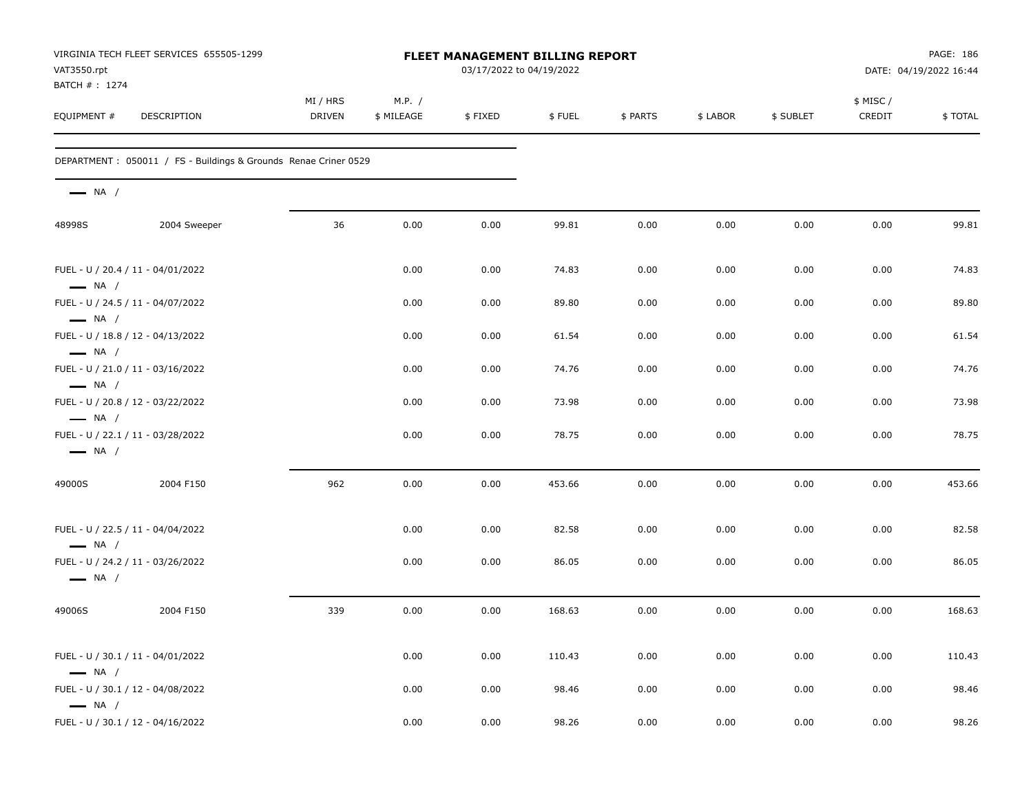| VAT3550.rpt<br>BATCH #: 1274 | VIRGINIA TECH FLEET SERVICES 655505-1299                         | <b>FLEET MANAGEMENT BILLING REPORT</b><br>03/17/2022 to 04/19/2022 |                      |         |        |          |          |           | PAGE: 186<br>DATE: 04/19/2022 16:44 |         |
|------------------------------|------------------------------------------------------------------|--------------------------------------------------------------------|----------------------|---------|--------|----------|----------|-----------|-------------------------------------|---------|
| EQUIPMENT #                  | <b>DESCRIPTION</b>                                               | MI / HRS<br><b>DRIVEN</b>                                          | M.P. /<br>\$ MILEAGE | \$FIXED | \$FUEL | \$ PARTS | \$ LABOR | \$ SUBLET | \$ MISC /<br>CREDIT                 | \$TOTAL |
|                              | DEPARTMENT : 050011 / FS - Buildings & Grounds Renae Criner 0529 |                                                                    |                      |         |        |          |          |           |                                     |         |
| $\longrightarrow$ NA /       |                                                                  |                                                                    |                      |         |        |          |          |           |                                     |         |
| 48998S                       | 2004 Sweeper                                                     | 36                                                                 | 0.00                 | 0.00    | 99.81  | 0.00     | 0.00     | 0.00      | 0.00                                | 99.81   |
| $\longrightarrow$ NA /       | FUEL - U / 20.4 / 11 - 04/01/2022                                |                                                                    | 0.00                 | 0.00    | 74.83  | 0.00     | 0.00     | 0.00      | 0.00                                | 74.83   |
| $\longrightarrow$ NA /       | FUEL - U / 24.5 / 11 - 04/07/2022                                |                                                                    | 0.00                 | 0.00    | 89.80  | 0.00     | 0.00     | 0.00      | 0.00                                | 89.80   |
| $\longrightarrow$ NA /       | FUEL - U / 18.8 / 12 - 04/13/2022                                |                                                                    | 0.00                 | 0.00    | 61.54  | 0.00     | 0.00     | 0.00      | 0.00                                | 61.54   |
| $\longrightarrow$ NA /       | FUEL - U / 21.0 / 11 - 03/16/2022                                |                                                                    | 0.00                 | 0.00    | 74.76  | 0.00     | 0.00     | 0.00      | 0.00                                | 74.76   |
| $\longrightarrow$ NA /       | FUEL - U / 20.8 / 12 - 03/22/2022                                |                                                                    | 0.00                 | 0.00    | 73.98  | 0.00     | 0.00     | 0.00      | 0.00                                | 73.98   |
| $\longrightarrow$ NA /       | FUEL - U / 22.1 / 11 - 03/28/2022                                |                                                                    | 0.00                 | 0.00    | 78.75  | 0.00     | 0.00     | 0.00      | 0.00                                | 78.75   |
| 49000S                       | 2004 F150                                                        | 962                                                                | 0.00                 | 0.00    | 453.66 | 0.00     | 0.00     | 0.00      | 0.00                                | 453.66  |
| $\longrightarrow$ NA /       | FUEL - U / 22.5 / 11 - 04/04/2022                                |                                                                    | 0.00                 | 0.00    | 82.58  | 0.00     | 0.00     | 0.00      | 0.00                                | 82.58   |
| $\longrightarrow$ NA /       | FUEL - U / 24.2 / 11 - 03/26/2022                                |                                                                    | 0.00                 | 0.00    | 86.05  | 0.00     | 0.00     | 0.00      | 0.00                                | 86.05   |
| 49006S                       | 2004 F150                                                        | 339                                                                | 0.00                 | 0.00    | 168.63 | 0.00     | 0.00     | 0.00      | 0.00                                | 168.63  |
| $\longrightarrow$ NA /       | FUEL - U / 30.1 / 11 - 04/01/2022                                |                                                                    | 0.00                 | 0.00    | 110.43 | 0.00     | 0.00     | 0.00      | 0.00                                | 110.43  |
| $\longrightarrow$ NA /       | FUEL - U / 30.1 / 12 - 04/08/2022                                |                                                                    | 0.00                 | 0.00    | 98.46  | 0.00     | 0.00     | 0.00      | 0.00                                | 98.46   |
|                              | FUEL - U / 30.1 / 12 - 04/16/2022                                |                                                                    | 0.00                 | 0.00    | 98.26  | 0.00     | 0.00     | 0.00      | 0.00                                | 98.26   |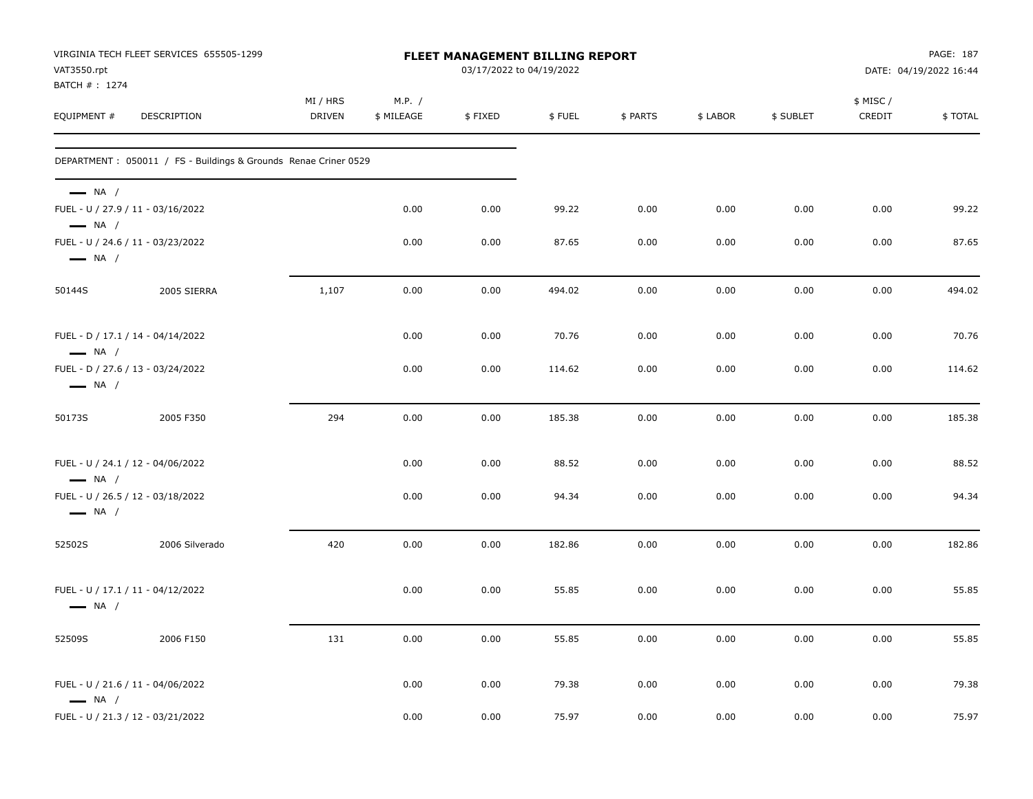| VAT3550.rpt<br>BATCH # : 1274                                                         | VIRGINIA TECH FLEET SERVICES 655505-1299                         |                    |                      | FLEET MANAGEMENT BILLING REPORT<br>03/17/2022 to 04/19/2022 |        | PAGE: 187<br>DATE: 04/19/2022 16:44 |          |           |                    |         |  |
|---------------------------------------------------------------------------------------|------------------------------------------------------------------|--------------------|----------------------|-------------------------------------------------------------|--------|-------------------------------------|----------|-----------|--------------------|---------|--|
| EQUIPMENT #                                                                           | DESCRIPTION                                                      | MI / HRS<br>DRIVEN | M.P. /<br>\$ MILEAGE | \$FIXED                                                     | \$FUEL | \$ PARTS                            | \$ LABOR | \$ SUBLET | \$ MISC/<br>CREDIT | \$TOTAL |  |
|                                                                                       | DEPARTMENT : 050011 / FS - Buildings & Grounds Renae Criner 0529 |                    |                      |                                                             |        |                                     |          |           |                    |         |  |
| $\longrightarrow$ NA /<br>FUEL - U / 27.9 / 11 - 03/16/2022<br>$\longrightarrow$ NA / |                                                                  |                    | 0.00                 | 0.00                                                        | 99.22  | 0.00                                | 0.00     | 0.00      | 0.00               | 99.22   |  |
| FUEL - U / 24.6 / 11 - 03/23/2022<br>$\longrightarrow$ NA /                           |                                                                  |                    | 0.00                 | 0.00                                                        | 87.65  | 0.00                                | 0.00     | 0.00      | 0.00               | 87.65   |  |
| 50144S                                                                                | 2005 SIERRA                                                      | 1,107              | 0.00                 | 0.00                                                        | 494.02 | 0.00                                | 0.00     | 0.00      | 0.00               | 494.02  |  |
| FUEL - D / 17.1 / 14 - 04/14/2022<br>$\longrightarrow$ NA /                           |                                                                  |                    | 0.00                 | 0.00                                                        | 70.76  | 0.00                                | 0.00     | 0.00      | 0.00               | 70.76   |  |
| FUEL - D / 27.6 / 13 - 03/24/2022<br>$\longrightarrow$ NA /                           |                                                                  |                    | 0.00                 | 0.00                                                        | 114.62 | 0.00                                | 0.00     | 0.00      | 0.00               | 114.62  |  |
| 50173S                                                                                | 2005 F350                                                        | 294                | 0.00                 | 0.00                                                        | 185.38 | 0.00                                | 0.00     | 0.00      | 0.00               | 185.38  |  |
| FUEL - U / 24.1 / 12 - 04/06/2022<br>$\longrightarrow$ NA /                           |                                                                  |                    | 0.00                 | 0.00                                                        | 88.52  | 0.00                                | 0.00     | 0.00      | 0.00               | 88.52   |  |
| FUEL - U / 26.5 / 12 - 03/18/2022<br>$\longrightarrow$ NA /                           |                                                                  |                    | 0.00                 | 0.00                                                        | 94.34  | 0.00                                | 0.00     | 0.00      | 0.00               | 94.34   |  |
| 52502S                                                                                | 2006 Silverado                                                   | 420                | 0.00                 | 0.00                                                        | 182.86 | 0.00                                | 0.00     | 0.00      | 0.00               | 182.86  |  |
| FUEL - U / 17.1 / 11 - 04/12/2022<br>$\longrightarrow$ NA /                           |                                                                  |                    | 0.00                 | 0.00                                                        | 55.85  | 0.00                                | 0.00     | 0.00      | 0.00               | 55.85   |  |
| 52509S                                                                                | 2006 F150                                                        | 131                | 0.00                 | 0.00                                                        | 55.85  | 0.00                                | 0.00     | 0.00      | 0.00               | 55.85   |  |
| FUEL - U / 21.6 / 11 - 04/06/2022<br>$\longrightarrow$ NA /                           |                                                                  |                    | 0.00                 | 0.00                                                        | 79.38  | 0.00                                | 0.00     | 0.00      | 0.00               | 79.38   |  |
| FUEL - U / 21.3 / 12 - 03/21/2022                                                     |                                                                  |                    | 0.00                 | 0.00                                                        | 75.97  | 0.00                                | 0.00     | 0.00      | 0.00               | 75.97   |  |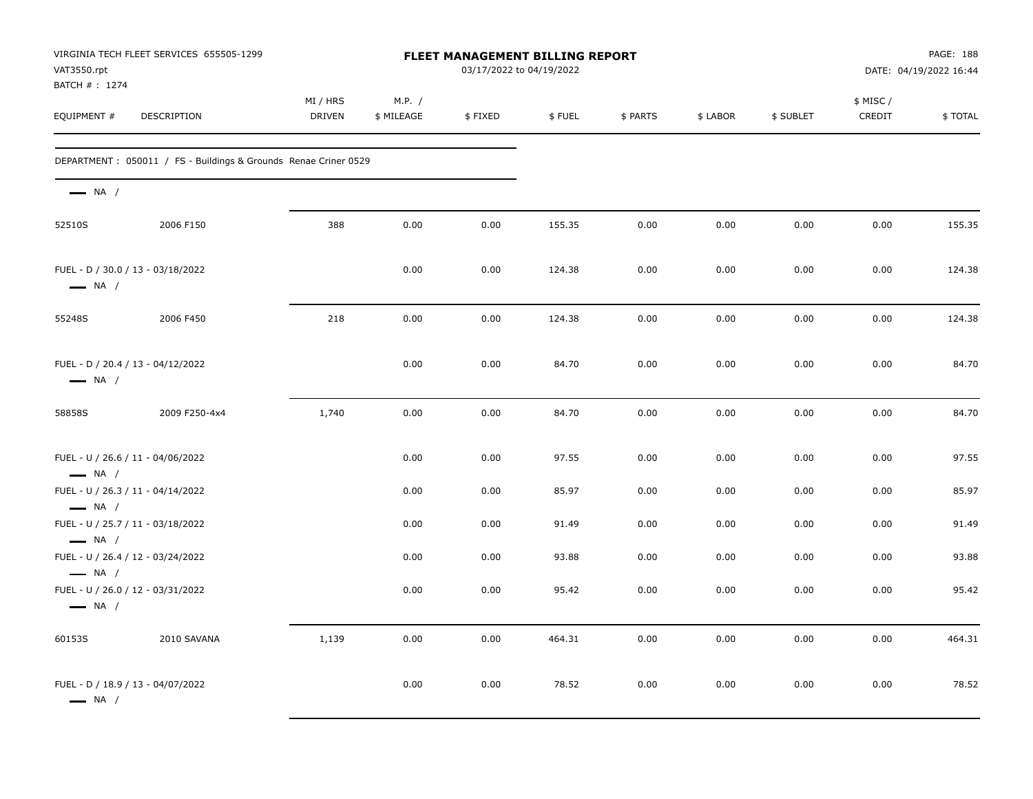| VAT3550.rpt<br>BATCH #: 1274                                                          | VIRGINIA TECH FLEET SERVICES 655505-1299                         | FLEET MANAGEMENT BILLING REPORT<br>03/17/2022 to 04/19/2022 |                      |         |        |          |          |           | PAGE: 188<br>DATE: 04/19/2022 16:44 |         |
|---------------------------------------------------------------------------------------|------------------------------------------------------------------|-------------------------------------------------------------|----------------------|---------|--------|----------|----------|-----------|-------------------------------------|---------|
| EQUIPMENT #                                                                           | DESCRIPTION                                                      | MI / HRS<br><b>DRIVEN</b>                                   | M.P. /<br>\$ MILEAGE | \$FIXED | \$FUEL | \$ PARTS | \$ LABOR | \$ SUBLET | \$ MISC /<br>CREDIT                 | \$TOTAL |
|                                                                                       | DEPARTMENT : 050011 / FS - Buildings & Grounds Renae Criner 0529 |                                                             |                      |         |        |          |          |           |                                     |         |
| $\longrightarrow$ NA /                                                                |                                                                  |                                                             |                      |         |        |          |          |           |                                     |         |
| 52510S                                                                                | 2006 F150                                                        | 388                                                         | 0.00                 | 0.00    | 155.35 | 0.00     | 0.00     | 0.00      | 0.00                                | 155.35  |
| FUEL - D / 30.0 / 13 - 03/18/2022<br>$\longrightarrow$ NA /                           |                                                                  |                                                             | 0.00                 | 0.00    | 124.38 | 0.00     | 0.00     | 0.00      | 0.00                                | 124.38  |
| 55248S                                                                                | 2006 F450                                                        | 218                                                         | 0.00                 | 0.00    | 124.38 | 0.00     | 0.00     | 0.00      | 0.00                                | 124.38  |
| FUEL - D / 20.4 / 13 - 04/12/2022<br>$\longrightarrow$ NA /                           |                                                                  |                                                             | 0.00                 | 0.00    | 84.70  | 0.00     | 0.00     | 0.00      | 0.00                                | 84.70   |
| 58858S                                                                                | 2009 F250-4x4                                                    | 1,740                                                       | 0.00                 | 0.00    | 84.70  | 0.00     | 0.00     | 0.00      | 0.00                                | 84.70   |
| FUEL - U / 26.6 / 11 - 04/06/2022<br>$\longrightarrow$ NA /                           |                                                                  |                                                             | 0.00                 | 0.00    | 97.55  | 0.00     | 0.00     | 0.00      | 0.00                                | 97.55   |
| FUEL - U / 26.3 / 11 - 04/14/2022<br>$\longrightarrow$ NA /                           |                                                                  |                                                             | 0.00                 | 0.00    | 85.97  | 0.00     | 0.00     | 0.00      | 0.00                                | 85.97   |
| FUEL - U / 25.7 / 11 - 03/18/2022<br>$\longrightarrow$ NA /                           |                                                                  |                                                             | 0.00                 | 0.00    | 91.49  | 0.00     | 0.00     | 0.00      | 0.00                                | 91.49   |
| FUEL - U / 26.4 / 12 - 03/24/2022                                                     |                                                                  |                                                             | 0.00                 | 0.00    | 93.88  | 0.00     | 0.00     | 0.00      | 0.00                                | 93.88   |
| $\longrightarrow$ NA /<br>FUEL - U / 26.0 / 12 - 03/31/2022<br>$\longrightarrow$ NA / |                                                                  |                                                             | 0.00                 | 0.00    | 95.42  | 0.00     | 0.00     | 0.00      | 0.00                                | 95.42   |
| 60153S                                                                                | 2010 SAVANA                                                      | 1,139                                                       | 0.00                 | 0.00    | 464.31 | 0.00     | 0.00     | 0.00      | 0.00                                | 464.31  |
| FUEL - D / 18.9 / 13 - 04/07/2022<br>$\longrightarrow$ NA /                           |                                                                  |                                                             | 0.00                 | 0.00    | 78.52  | 0.00     | 0.00     | 0.00      | 0.00                                | 78.52   |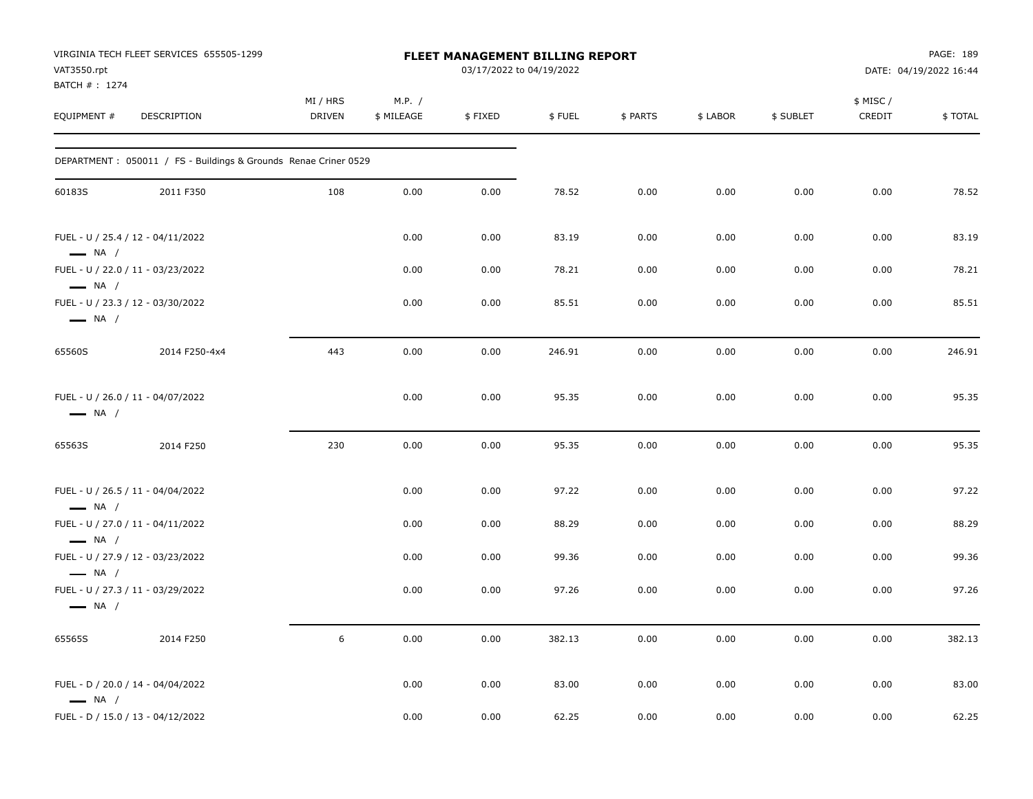| VAT3550.rpt                                      | VIRGINIA TECH FLEET SERVICES 655505-1299                         | <b>FLEET MANAGEMENT BILLING REPORT</b><br>03/17/2022 to 04/19/2022 |                      |         |        |          |          |           |                     | PAGE: 189<br>DATE: 04/19/2022 16:44 |  |
|--------------------------------------------------|------------------------------------------------------------------|--------------------------------------------------------------------|----------------------|---------|--------|----------|----------|-----------|---------------------|-------------------------------------|--|
| BATCH #: 1274<br>EQUIPMENT #                     | <b>DESCRIPTION</b>                                               | MI / HRS<br><b>DRIVEN</b>                                          | M.P. /<br>\$ MILEAGE | \$FIXED | \$FUEL | \$ PARTS | \$ LABOR | \$ SUBLET | \$ MISC /<br>CREDIT | \$TOTAL                             |  |
|                                                  | DEPARTMENT : 050011 / FS - Buildings & Grounds Renae Criner 0529 |                                                                    |                      |         |        |          |          |           |                     |                                     |  |
| 60183S                                           | 2011 F350                                                        | 108                                                                | 0.00                 | 0.00    | 78.52  | 0.00     | 0.00     | 0.00      | 0.00                | 78.52                               |  |
| $\longrightarrow$ NA /                           | FUEL - U / 25.4 / 12 - 04/11/2022                                |                                                                    | 0.00                 | 0.00    | 83.19  | 0.00     | 0.00     | 0.00      | 0.00                | 83.19                               |  |
|                                                  | FUEL - U / 22.0 / 11 - 03/23/2022                                |                                                                    | 0.00                 | 0.00    | 78.21  | 0.00     | 0.00     | 0.00      | 0.00                | 78.21                               |  |
| $\longrightarrow$ NA /<br>$\longrightarrow$ NA / | FUEL - U / 23.3 / 12 - 03/30/2022                                |                                                                    | 0.00                 | 0.00    | 85.51  | 0.00     | 0.00     | 0.00      | 0.00                | 85.51                               |  |
| 65560S                                           | 2014 F250-4x4                                                    | 443                                                                | 0.00                 | 0.00    | 246.91 | 0.00     | 0.00     | 0.00      | 0.00                | 246.91                              |  |
| $\longrightarrow$ NA /                           | FUEL - U / 26.0 / 11 - 04/07/2022                                |                                                                    | 0.00                 | 0.00    | 95.35  | 0.00     | 0.00     | 0.00      | 0.00                | 95.35                               |  |
| 65563S                                           | 2014 F250                                                        | 230                                                                | 0.00                 | 0.00    | 95.35  | 0.00     | 0.00     | 0.00      | 0.00                | 95.35                               |  |
| $\longrightarrow$ NA /                           | FUEL - U / 26.5 / 11 - 04/04/2022                                |                                                                    | 0.00                 | 0.00    | 97.22  | 0.00     | 0.00     | 0.00      | 0.00                | 97.22                               |  |
|                                                  | FUEL - U / 27.0 / 11 - 04/11/2022                                |                                                                    | 0.00                 | 0.00    | 88.29  | 0.00     | 0.00     | 0.00      | 0.00                | 88.29                               |  |
| $\longrightarrow$ NA /<br>$\longrightarrow$ NA / | FUEL - U / 27.9 / 12 - 03/23/2022                                |                                                                    | 0.00                 | 0.00    | 99.36  | 0.00     | 0.00     | 0.00      | 0.00                | 99.36                               |  |
| $\longrightarrow$ NA /                           | FUEL - U / 27.3 / 11 - 03/29/2022                                |                                                                    | 0.00                 | 0.00    | 97.26  | 0.00     | 0.00     | 0.00      | 0.00                | 97.26                               |  |
| 65565S                                           | 2014 F250                                                        | 6                                                                  | 0.00                 | 0.00    | 382.13 | 0.00     | 0.00     | 0.00      | 0.00                | 382.13                              |  |
| $\longrightarrow$ NA /                           | FUEL - D / 20.0 / 14 - 04/04/2022                                |                                                                    | 0.00                 | 0.00    | 83.00  | 0.00     | 0.00     | 0.00      | 0.00                | 83.00                               |  |
|                                                  | FUEL - D / 15.0 / 13 - 04/12/2022                                |                                                                    | 0.00                 | 0.00    | 62.25  | 0.00     | 0.00     | 0.00      | 0.00                | 62.25                               |  |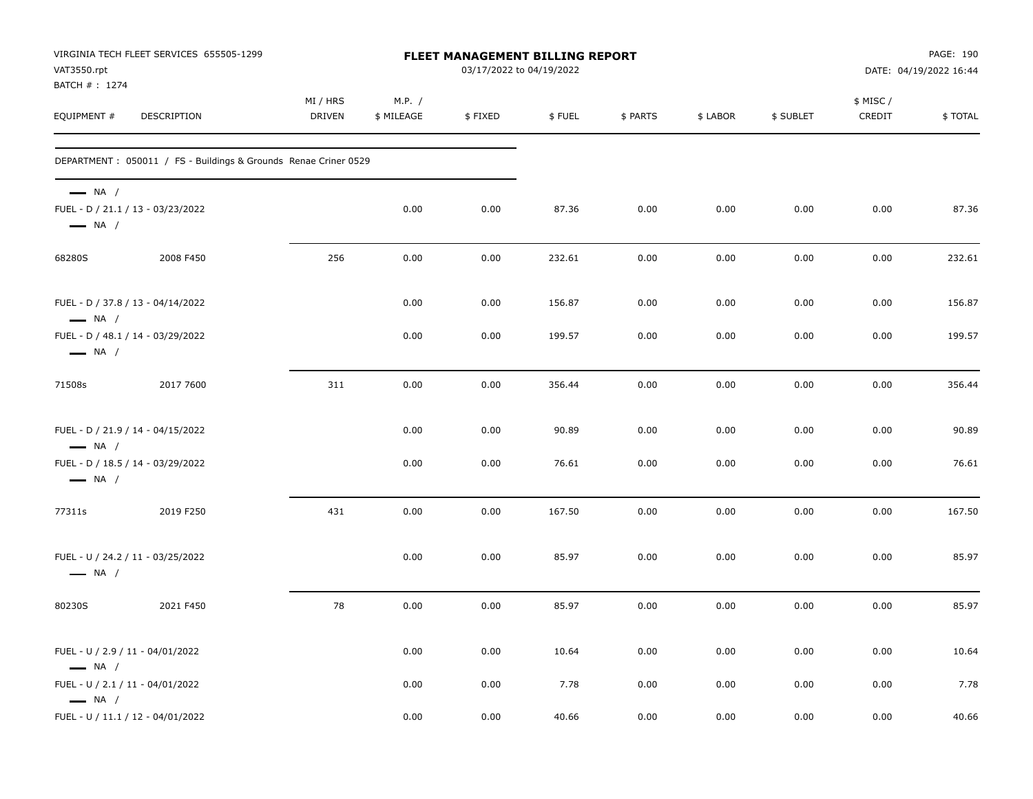| VAT3550.rpt<br>BATCH # : 1274                              | VIRGINIA TECH FLEET SERVICES 655505-1299                         | FLEET MANAGEMENT BILLING REPORT<br>03/17/2022 to 04/19/2022 |                      |         |        |          |          |           | PAGE: 190<br>DATE: 04/19/2022 16:44 |         |
|------------------------------------------------------------|------------------------------------------------------------------|-------------------------------------------------------------|----------------------|---------|--------|----------|----------|-----------|-------------------------------------|---------|
| EQUIPMENT #                                                | DESCRIPTION                                                      | MI / HRS<br><b>DRIVEN</b>                                   | M.P. /<br>\$ MILEAGE | \$FIXED | \$FUEL | \$ PARTS | \$ LABOR | \$ SUBLET | \$ MISC/<br>CREDIT                  | \$TOTAL |
|                                                            | DEPARTMENT : 050011 / FS - Buildings & Grounds Renae Criner 0529 |                                                             |                      |         |        |          |          |           |                                     |         |
| $\longrightarrow$ NA /<br>$\longrightarrow$ NA /           | FUEL - D / 21.1 / 13 - 03/23/2022                                |                                                             | 0.00                 | 0.00    | 87.36  | 0.00     | 0.00     | 0.00      | 0.00                                | 87.36   |
| 68280S                                                     | 2008 F450                                                        | 256                                                         | 0.00                 | 0.00    | 232.61 | 0.00     | 0.00     | 0.00      | 0.00                                | 232.61  |
| $\longrightarrow$ NA /                                     | FUEL - D / 37.8 / 13 - 04/14/2022                                |                                                             | 0.00                 | 0.00    | 156.87 | 0.00     | 0.00     | 0.00      | 0.00                                | 156.87  |
| $\longrightarrow$ NA /                                     | FUEL - D / 48.1 / 14 - 03/29/2022                                |                                                             | 0.00                 | 0.00    | 199.57 | 0.00     | 0.00     | 0.00      | 0.00                                | 199.57  |
| 71508s                                                     | 2017 7600                                                        | 311                                                         | 0.00                 | 0.00    | 356.44 | 0.00     | 0.00     | 0.00      | 0.00                                | 356.44  |
| $\longrightarrow$ NA /                                     | FUEL - D / 21.9 / 14 - 04/15/2022                                |                                                             | 0.00                 | 0.00    | 90.89  | 0.00     | 0.00     | 0.00      | 0.00                                | 90.89   |
| $\longrightarrow$ NA /                                     | FUEL - D / 18.5 / 14 - 03/29/2022                                |                                                             | 0.00                 | 0.00    | 76.61  | 0.00     | 0.00     | 0.00      | 0.00                                | 76.61   |
| 77311s                                                     | 2019 F250                                                        | 431                                                         | 0.00                 | 0.00    | 167.50 | 0.00     | 0.00     | 0.00      | 0.00                                | 167.50  |
| $\longrightarrow$ NA /                                     | FUEL - U / 24.2 / 11 - 03/25/2022                                |                                                             | 0.00                 | 0.00    | 85.97  | 0.00     | 0.00     | 0.00      | 0.00                                | 85.97   |
| 80230S                                                     | 2021 F450                                                        | 78                                                          | 0.00                 | 0.00    | 85.97  | 0.00     | 0.00     | 0.00      | 0.00                                | 85.97   |
| FUEL - U / 2.9 / 11 - 04/01/2022<br>$\longrightarrow$ NA / |                                                                  |                                                             | 0.00                 | 0.00    | 10.64  | 0.00     | 0.00     | 0.00      | 0.00                                | 10.64   |
| FUEL - U / 2.1 / 11 - 04/01/2022<br>$\longrightarrow$ NA / |                                                                  |                                                             | 0.00                 | 0.00    | 7.78   | 0.00     | 0.00     | 0.00      | 0.00                                | 7.78    |
|                                                            | FUEL - U / 11.1 / 12 - 04/01/2022                                |                                                             | 0.00                 | 0.00    | 40.66  | 0.00     | 0.00     | 0.00      | 0.00                                | 40.66   |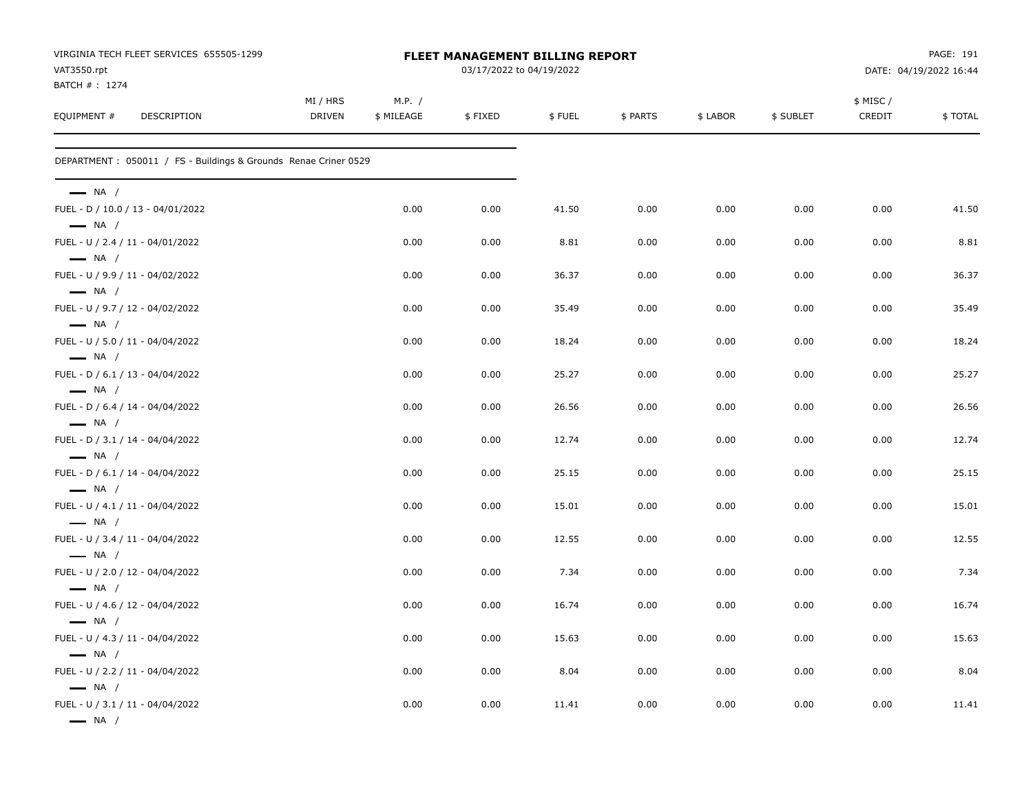| VAT3550.rpt                                                                          | VIRGINIA TECH FLEET SERVICES 655505-1299                        | FLEET MANAGEMENT BILLING REPORT<br>03/17/2022 to 04/19/2022 |                      |         |        |          |          |           | PAGE: 191<br>DATE: 04/19/2022 16:44 |         |
|--------------------------------------------------------------------------------------|-----------------------------------------------------------------|-------------------------------------------------------------|----------------------|---------|--------|----------|----------|-----------|-------------------------------------|---------|
| BATCH #: 1274<br>EQUIPMENT #                                                         | DESCRIPTION                                                     | MI / HRS<br>DRIVEN                                          | M.P. /<br>\$ MILEAGE | \$FIXED | \$FUEL | \$ PARTS | \$ LABOR | \$ SUBLET | \$ MISC/<br>CREDIT                  | \$TOTAL |
|                                                                                      | DEPARTMENT: 050011 / FS - Buildings & Grounds Renae Criner 0529 |                                                             |                      |         |        |          |          |           |                                     |         |
| $-$ NA $/$                                                                           |                                                                 |                                                             |                      |         |        |          |          |           |                                     |         |
| FUEL - D / 10.0 / 13 - 04/01/2022<br>$\longrightarrow$ NA /                          |                                                                 |                                                             | 0.00                 | 0.00    | 41.50  | 0.00     | 0.00     | 0.00      | 0.00                                | 41.50   |
| FUEL - U / 2.4 / 11 - 04/01/2022<br>$\longrightarrow$ NA /                           |                                                                 |                                                             | 0.00                 | 0.00    | 8.81   | 0.00     | 0.00     | 0.00      | 0.00                                | 8.81    |
| FUEL - U / 9.9 / 11 - 04/02/2022<br>$\longrightarrow$ NA /                           |                                                                 |                                                             | 0.00                 | 0.00    | 36.37  | 0.00     | 0.00     | 0.00      | 0.00                                | 36.37   |
| FUEL - U / 9.7 / 12 - 04/02/2022<br>$\longrightarrow$ NA /                           |                                                                 |                                                             | 0.00                 | 0.00    | 35.49  | 0.00     | 0.00     | 0.00      | 0.00                                | 35.49   |
| FUEL - U / 5.0 / 11 - 04/04/2022<br>$\longrightarrow$ NA /                           |                                                                 |                                                             | 0.00                 | 0.00    | 18.24  | 0.00     | 0.00     | 0.00      | 0.00                                | 18.24   |
| FUEL - D / 6.1 / 13 - 04/04/2022<br>$\longrightarrow$ NA /                           |                                                                 |                                                             | 0.00                 | 0.00    | 25.27  | 0.00     | 0.00     | 0.00      | 0.00                                | 25.27   |
| FUEL - D / 6.4 / 14 - 04/04/2022<br>$\longrightarrow$ NA /                           |                                                                 |                                                             | 0.00                 | 0.00    | 26.56  | 0.00     | 0.00     | 0.00      | 0.00                                | 26.56   |
| FUEL - D / 3.1 / 14 - 04/04/2022<br>$\longrightarrow$ NA /                           |                                                                 |                                                             | 0.00                 | 0.00    | 12.74  | 0.00     | 0.00     | 0.00      | 0.00                                | 12.74   |
| FUEL - D / 6.1 / 14 - 04/04/2022<br>$\longrightarrow$ NA /                           |                                                                 |                                                             | 0.00                 | 0.00    | 25.15  | 0.00     | 0.00     | 0.00      | 0.00                                | 25.15   |
| FUEL - U / 4.1 / 11 - 04/04/2022<br>$\longrightarrow$ NA /                           |                                                                 |                                                             | 0.00                 | 0.00    | 15.01  | 0.00     | 0.00     | 0.00      | 0.00                                | 15.01   |
| FUEL - U / 3.4 / 11 - 04/04/2022<br>$\longrightarrow$ NA /                           |                                                                 |                                                             | 0.00                 | 0.00    | 12.55  | 0.00     | 0.00     | 0.00      | 0.00                                | 12.55   |
| FUEL - U / 2.0 / 12 - 04/04/2022<br>$\longrightarrow$ NA /                           |                                                                 |                                                             | 0.00                 | 0.00    | 7.34   | 0.00     | 0.00     | 0.00      | 0.00                                | 7.34    |
| FUEL - U / 4.6 / 12 - 04/04/2022<br>$\longrightarrow$ NA /                           |                                                                 |                                                             | 0.00                 | 0.00    | 16.74  | 0.00     | 0.00     | 0.00      | 0.00                                | 16.74   |
| FUEL - U / 4.3 / 11 - 04/04/2022                                                     |                                                                 |                                                             | 0.00                 | 0.00    | 15.63  | 0.00     | 0.00     | 0.00      | 0.00                                | 15.63   |
| $\longrightarrow$ NA /<br>FUEL - U / 2.2 / 11 - 04/04/2022<br>$\longrightarrow$ NA / |                                                                 |                                                             | 0.00                 | 0.00    | 8.04   | 0.00     | 0.00     | 0.00      | 0.00                                | 8.04    |
| FUEL - U / 3.1 / 11 - 04/04/2022<br>$\longrightarrow$ NA /                           |                                                                 |                                                             | 0.00                 | 0.00    | 11.41  | 0.00     | 0.00     | 0.00      | 0.00                                | 11.41   |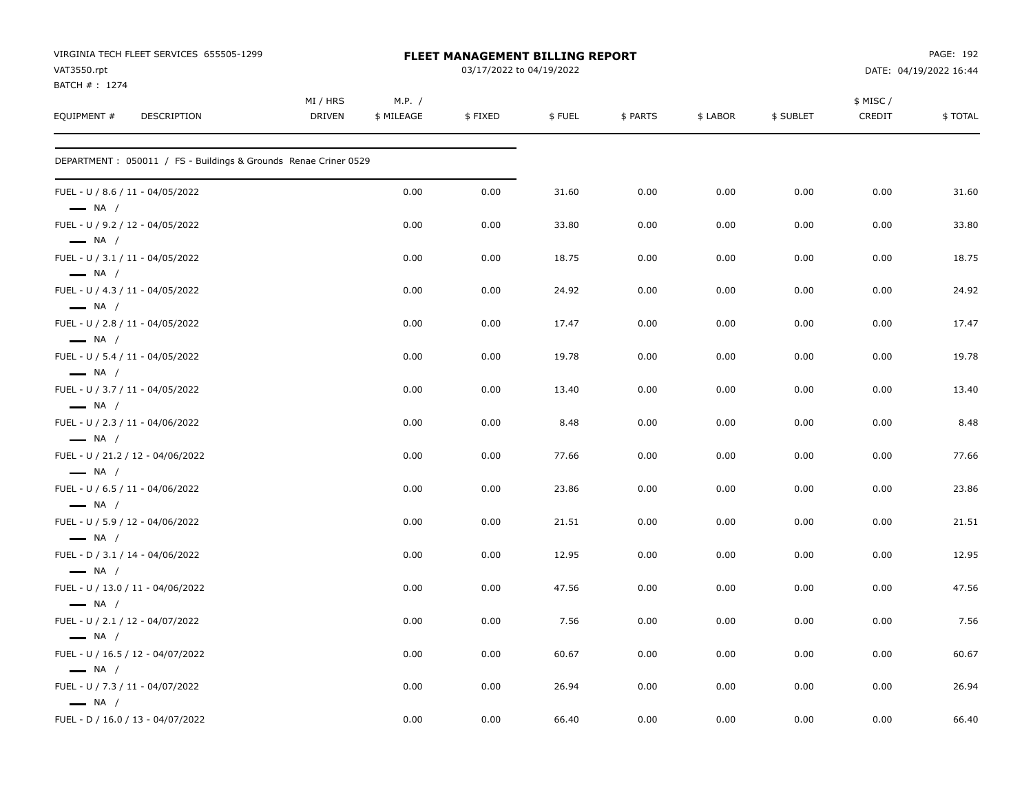| VIRGINIA TECH FLEET SERVICES 655505-1299<br>VAT3550.rpt<br>BATCH #: 1274 |                    |                      | <b>FLEET MANAGEMENT BILLING REPORT</b><br>03/17/2022 to 04/19/2022 |        |          |          | PAGE: 192<br>DATE: 04/19/2022 16:44 |                    |         |  |
|--------------------------------------------------------------------------|--------------------|----------------------|--------------------------------------------------------------------|--------|----------|----------|-------------------------------------|--------------------|---------|--|
| EQUIPMENT #<br>DESCRIPTION                                               | MI / HRS<br>DRIVEN | M.P. /<br>\$ MILEAGE | \$FIXED                                                            | \$FUEL | \$ PARTS | \$ LABOR | \$ SUBLET                           | \$ MISC/<br>CREDIT | \$TOTAL |  |
| DEPARTMENT: 050011 / FS - Buildings & Grounds Renae Criner 0529          |                    |                      |                                                                    |        |          |          |                                     |                    |         |  |
| FUEL - U / 8.6 / 11 - 04/05/2022<br>$\longrightarrow$ NA /               |                    | 0.00                 | 0.00                                                               | 31.60  | 0.00     | 0.00     | 0.00                                | 0.00               | 31.60   |  |
| FUEL - U / 9.2 / 12 - 04/05/2022<br>$\longrightarrow$ NA /               |                    | 0.00                 | 0.00                                                               | 33.80  | 0.00     | 0.00     | 0.00                                | 0.00               | 33.80   |  |
| FUEL - U / 3.1 / 11 - 04/05/2022<br>$\longrightarrow$ NA /               |                    | 0.00                 | 0.00                                                               | 18.75  | 0.00     | 0.00     | 0.00                                | 0.00               | 18.75   |  |
| FUEL - U / 4.3 / 11 - 04/05/2022<br>$\longrightarrow$ NA /               |                    | 0.00                 | 0.00                                                               | 24.92  | 0.00     | 0.00     | 0.00                                | 0.00               | 24.92   |  |
| FUEL - U / 2.8 / 11 - 04/05/2022<br>$\longrightarrow$ NA /               |                    | 0.00                 | 0.00                                                               | 17.47  | 0.00     | 0.00     | 0.00                                | 0.00               | 17.47   |  |
| FUEL - U / 5.4 / 11 - 04/05/2022<br>$\longrightarrow$ NA /               |                    | 0.00                 | 0.00                                                               | 19.78  | 0.00     | 0.00     | 0.00                                | 0.00               | 19.78   |  |
| FUEL - U / 3.7 / 11 - 04/05/2022<br>$\longrightarrow$ NA /               |                    | 0.00                 | 0.00                                                               | 13.40  | 0.00     | 0.00     | 0.00                                | 0.00               | 13.40   |  |
| FUEL - U / 2.3 / 11 - 04/06/2022<br>$\longrightarrow$ NA /               |                    | 0.00                 | 0.00                                                               | 8.48   | 0.00     | 0.00     | 0.00                                | 0.00               | 8.48    |  |
| FUEL - U / 21.2 / 12 - 04/06/2022<br>$\longrightarrow$ NA /              |                    | 0.00                 | 0.00                                                               | 77.66  | 0.00     | 0.00     | 0.00                                | 0.00               | 77.66   |  |
| FUEL - U / 6.5 / 11 - 04/06/2022<br>$\longrightarrow$ NA /               |                    | 0.00                 | 0.00                                                               | 23.86  | 0.00     | 0.00     | 0.00                                | 0.00               | 23.86   |  |
| FUEL - U / 5.9 / 12 - 04/06/2022<br>$\longrightarrow$ NA /               |                    | 0.00                 | 0.00                                                               | 21.51  | 0.00     | 0.00     | 0.00                                | 0.00               | 21.51   |  |
| FUEL - D / 3.1 / 14 - 04/06/2022<br>$\longrightarrow$ NA /               |                    | 0.00                 | 0.00                                                               | 12.95  | 0.00     | 0.00     | 0.00                                | 0.00               | 12.95   |  |
| FUEL - U / 13.0 / 11 - 04/06/2022<br>$\longrightarrow$ NA /              |                    | 0.00                 | 0.00                                                               | 47.56  | 0.00     | 0.00     | 0.00                                | 0.00               | 47.56   |  |
| FUEL - U / 2.1 / 12 - 04/07/2022<br>$\longrightarrow$ NA /               |                    | 0.00                 | 0.00                                                               | 7.56   | 0.00     | 0.00     | 0.00                                | 0.00               | 7.56    |  |
| FUEL - U / 16.5 / 12 - 04/07/2022<br>$\longrightarrow$ NA /              |                    | 0.00                 | 0.00                                                               | 60.67  | 0.00     | 0.00     | 0.00                                | 0.00               | 60.67   |  |
| FUEL - U / 7.3 / 11 - 04/07/2022<br>$\longrightarrow$ NA /               |                    | 0.00                 | 0.00                                                               | 26.94  | 0.00     | 0.00     | 0.00                                | 0.00               | 26.94   |  |
| FUEL - D / 16.0 / 13 - 04/07/2022                                        |                    | 0.00                 | 0.00                                                               | 66.40  | 0.00     | 0.00     | 0.00                                | 0.00               | 66.40   |  |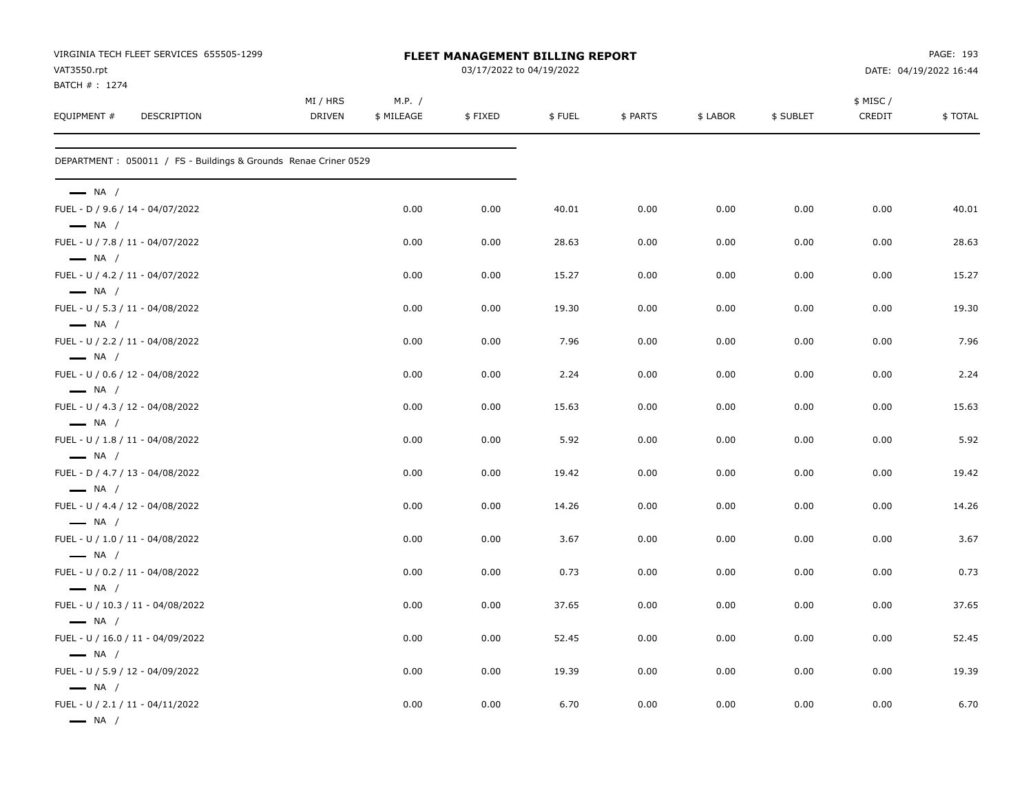| VAT3550.rpt                                                                          | VIRGINIA TECH FLEET SERVICES 655505-1299                         | FLEET MANAGEMENT BILLING REPORT<br>03/17/2022 to 04/19/2022 |                      |         |        |          |          |           | PAGE: 193<br>DATE: 04/19/2022 16:44 |         |
|--------------------------------------------------------------------------------------|------------------------------------------------------------------|-------------------------------------------------------------|----------------------|---------|--------|----------|----------|-----------|-------------------------------------|---------|
| BATCH # : 1274<br>EQUIPMENT #<br>DESCRIPTION                                         |                                                                  | MI / HRS<br><b>DRIVEN</b>                                   | M.P. /<br>\$ MILEAGE | \$FIXED | \$FUEL | \$ PARTS | \$ LABOR | \$ SUBLET | \$ MISC/<br>CREDIT                  | \$TOTAL |
|                                                                                      | DEPARTMENT : 050011 / FS - Buildings & Grounds Renae Criner 0529 |                                                             |                      |         |        |          |          |           |                                     |         |
| $\longrightarrow$ NA /                                                               |                                                                  |                                                             |                      |         |        |          |          |           |                                     |         |
| FUEL - D / 9.6 / 14 - 04/07/2022<br>$\longrightarrow$ NA /                           |                                                                  |                                                             | 0.00                 | 0.00    | 40.01  | 0.00     | 0.00     | 0.00      | 0.00                                | 40.01   |
| FUEL - U / 7.8 / 11 - 04/07/2022<br>$\longrightarrow$ NA /                           |                                                                  |                                                             | 0.00                 | 0.00    | 28.63  | 0.00     | 0.00     | 0.00      | 0.00                                | 28.63   |
| FUEL - U / 4.2 / 11 - 04/07/2022<br>$\longrightarrow$ NA /                           |                                                                  |                                                             | 0.00                 | 0.00    | 15.27  | 0.00     | 0.00     | 0.00      | 0.00                                | 15.27   |
| FUEL - U / 5.3 / 11 - 04/08/2022<br>$\longrightarrow$ NA /                           |                                                                  |                                                             | 0.00                 | 0.00    | 19.30  | 0.00     | 0.00     | 0.00      | 0.00                                | 19.30   |
| FUEL - U / 2.2 / 11 - 04/08/2022                                                     |                                                                  |                                                             | 0.00                 | 0.00    | 7.96   | 0.00     | 0.00     | 0.00      | 0.00                                | 7.96    |
| $\longrightarrow$ NA /<br>FUEL - U / 0.6 / 12 - 04/08/2022                           |                                                                  |                                                             | 0.00                 | 0.00    | 2.24   | 0.00     | 0.00     | 0.00      | 0.00                                | 2.24    |
| $\longrightarrow$ NA /<br>FUEL - U / 4.3 / 12 - 04/08/2022                           |                                                                  |                                                             | 0.00                 | 0.00    | 15.63  | 0.00     | 0.00     | 0.00      | 0.00                                | 15.63   |
| $\longrightarrow$ NA /<br>FUEL - U / 1.8 / 11 - 04/08/2022                           |                                                                  |                                                             | 0.00                 | 0.00    | 5.92   | 0.00     | 0.00     | 0.00      | 0.00                                | 5.92    |
| $\longrightarrow$ NA /<br>FUEL - D / 4.7 / 13 - 04/08/2022                           |                                                                  |                                                             | 0.00                 | 0.00    | 19.42  | 0.00     | 0.00     | 0.00      | 0.00                                | 19.42   |
| $\longrightarrow$ NA /<br>FUEL - U / 4.4 / 12 - 04/08/2022                           |                                                                  |                                                             | 0.00                 | 0.00    | 14.26  | 0.00     | 0.00     | 0.00      | 0.00                                | 14.26   |
| $\longrightarrow$ NA /<br>FUEL - U / 1.0 / 11 - 04/08/2022                           |                                                                  |                                                             | 0.00                 | 0.00    | 3.67   | 0.00     | 0.00     | 0.00      | 0.00                                | 3.67    |
| $\longrightarrow$ NA /<br>FUEL - U / 0.2 / 11 - 04/08/2022                           |                                                                  |                                                             | 0.00                 | 0.00    | 0.73   | 0.00     | 0.00     | 0.00      | 0.00                                | 0.73    |
| $\longrightarrow$ NA /<br>FUEL - U / 10.3 / 11 - 04/08/2022                          |                                                                  |                                                             | 0.00                 | 0.00    | 37.65  | 0.00     | 0.00     | 0.00      | 0.00                                | 37.65   |
| $\longrightarrow$ NA /<br>FUEL - U / 16.0 / 11 - 04/09/2022                          |                                                                  |                                                             | 0.00                 | 0.00    | 52.45  | 0.00     | 0.00     | 0.00      | 0.00                                | 52.45   |
| $\longrightarrow$ NA /<br>FUEL - U / 5.9 / 12 - 04/09/2022                           |                                                                  |                                                             | 0.00                 | 0.00    | 19.39  | 0.00     | 0.00     | 0.00      | 0.00                                | 19.39   |
| $\longrightarrow$ NA /<br>FUEL - U / 2.1 / 11 - 04/11/2022<br>$\longrightarrow$ NA / |                                                                  |                                                             | 0.00                 | 0.00    | 6.70   | 0.00     | 0.00     | 0.00      | 0.00                                | 6.70    |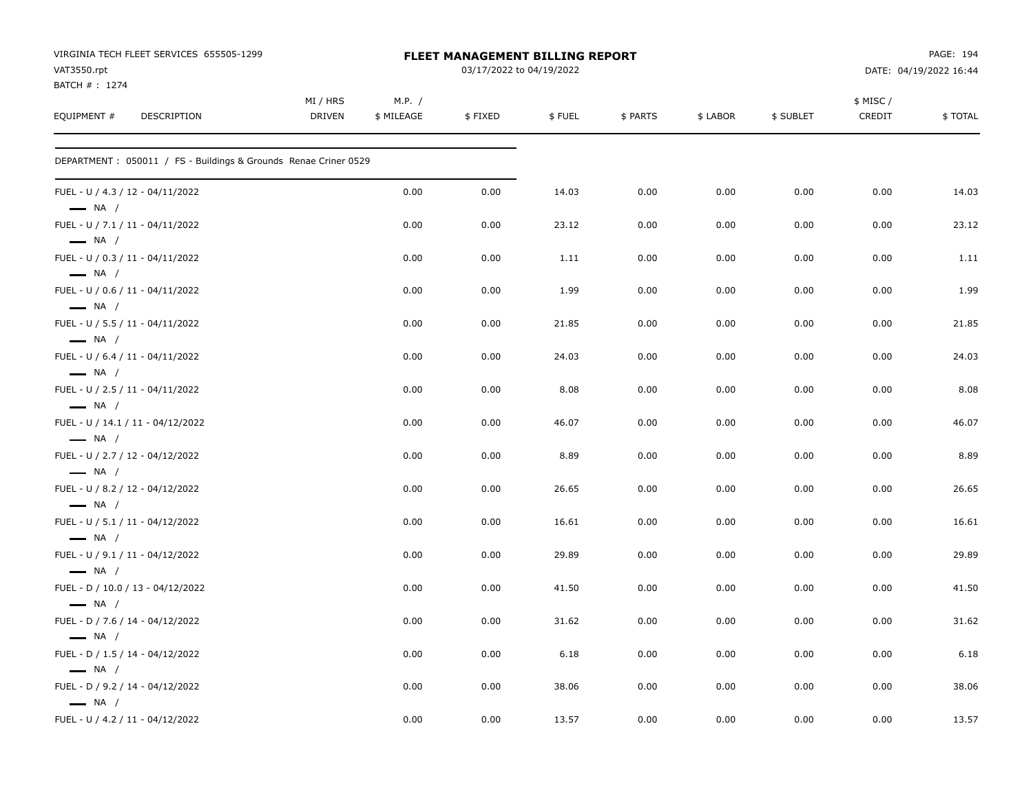| VIRGINIA TECH FLEET SERVICES 655505-1299<br>VAT3550.rpt<br>BATCH #: 1274 |                    |                      | <b>FLEET MANAGEMENT BILLING REPORT</b><br>03/17/2022 to 04/19/2022 |        |          | PAGE: 194<br>DATE: 04/19/2022 16:44 |           |                    |         |
|--------------------------------------------------------------------------|--------------------|----------------------|--------------------------------------------------------------------|--------|----------|-------------------------------------|-----------|--------------------|---------|
| EQUIPMENT #<br>DESCRIPTION                                               | MI / HRS<br>DRIVEN | M.P. /<br>\$ MILEAGE | \$FIXED                                                            | \$FUEL | \$ PARTS | \$ LABOR                            | \$ SUBLET | \$ MISC/<br>CREDIT | \$TOTAL |
| DEPARTMENT : 050011 / FS - Buildings & Grounds Renae Criner 0529         |                    |                      |                                                                    |        |          |                                     |           |                    |         |
| FUEL - U / 4.3 / 12 - 04/11/2022<br>$\longrightarrow$ NA /               |                    | 0.00                 | 0.00                                                               | 14.03  | 0.00     | 0.00                                | 0.00      | 0.00               | 14.03   |
| FUEL - U / 7.1 / 11 - 04/11/2022<br>$\longrightarrow$ NA /               |                    | 0.00                 | 0.00                                                               | 23.12  | 0.00     | 0.00                                | 0.00      | 0.00               | 23.12   |
| FUEL - U / 0.3 / 11 - 04/11/2022<br>$\longrightarrow$ NA /               |                    | 0.00                 | 0.00                                                               | 1.11   | 0.00     | 0.00                                | 0.00      | 0.00               | 1.11    |
| FUEL - U / 0.6 / 11 - 04/11/2022<br>$\longrightarrow$ NA /               |                    | 0.00                 | 0.00                                                               | 1.99   | 0.00     | 0.00                                | 0.00      | 0.00               | 1.99    |
| FUEL - U / 5.5 / 11 - 04/11/2022<br>$\longrightarrow$ NA /               |                    | 0.00                 | 0.00                                                               | 21.85  | 0.00     | 0.00                                | 0.00      | 0.00               | 21.85   |
| FUEL - U / 6.4 / 11 - 04/11/2022<br>$\longrightarrow$ NA /               |                    | 0.00                 | 0.00                                                               | 24.03  | 0.00     | 0.00                                | 0.00      | 0.00               | 24.03   |
| FUEL - U / 2.5 / 11 - 04/11/2022<br>$\longrightarrow$ NA /               |                    | 0.00                 | 0.00                                                               | 8.08   | 0.00     | 0.00                                | 0.00      | 0.00               | 8.08    |
| FUEL - U / 14.1 / 11 - 04/12/2022<br>$\longrightarrow$ NA /              |                    | 0.00                 | 0.00                                                               | 46.07  | 0.00     | 0.00                                | 0.00      | 0.00               | 46.07   |
| FUEL - U / 2.7 / 12 - 04/12/2022<br>$\longrightarrow$ NA /               |                    | 0.00                 | 0.00                                                               | 8.89   | 0.00     | 0.00                                | 0.00      | 0.00               | 8.89    |
| FUEL - U / 8.2 / 12 - 04/12/2022<br>$\longrightarrow$ NA /               |                    | 0.00                 | 0.00                                                               | 26.65  | 0.00     | 0.00                                | 0.00      | 0.00               | 26.65   |
| FUEL - U / 5.1 / 11 - 04/12/2022<br>$\longrightarrow$ NA /               |                    | 0.00                 | 0.00                                                               | 16.61  | 0.00     | 0.00                                | 0.00      | 0.00               | 16.61   |
| FUEL - U / 9.1 / 11 - 04/12/2022<br>$\longrightarrow$ NA /               |                    | 0.00                 | 0.00                                                               | 29.89  | 0.00     | 0.00                                | 0.00      | 0.00               | 29.89   |
| FUEL - D / 10.0 / 13 - 04/12/2022<br>$\longrightarrow$ NA /              |                    | 0.00                 | 0.00                                                               | 41.50  | 0.00     | 0.00                                | 0.00      | 0.00               | 41.50   |
| FUEL - D / 7.6 / 14 - 04/12/2022<br>$\longrightarrow$ NA /               |                    | 0.00                 | 0.00                                                               | 31.62  | 0.00     | 0.00                                | 0.00      | 0.00               | 31.62   |
| FUEL - D / 1.5 / 14 - 04/12/2022<br>$\equiv$ NA /                        |                    | 0.00                 | 0.00                                                               | 6.18   | 0.00     | 0.00                                | 0.00      | 0.00               | 6.18    |
| FUEL - D / 9.2 / 14 - 04/12/2022<br>$\longrightarrow$ NA /               |                    | 0.00                 | 0.00                                                               | 38.06  | 0.00     | 0.00                                | 0.00      | 0.00               | 38.06   |
| FUEL - U / 4.2 / 11 - 04/12/2022                                         |                    | 0.00                 | 0.00                                                               | 13.57  | 0.00     | 0.00                                | 0.00      | 0.00               | 13.57   |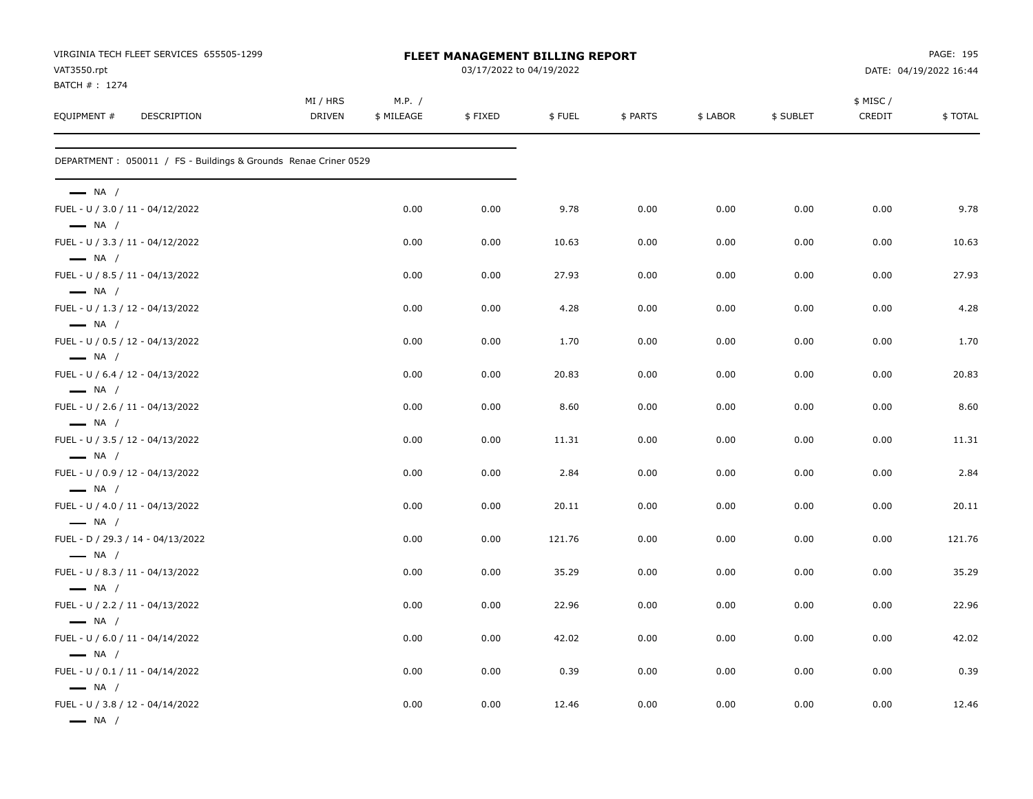| VIRGINIA TECH FLEET SERVICES 655505-1299<br>VAT3550.rpt                              |                           |                      | FLEET MANAGEMENT BILLING REPORT<br>03/17/2022 to 04/19/2022 |        |          | PAGE: 195<br>DATE: 04/19/2022 16:44 |           |                    |         |  |
|--------------------------------------------------------------------------------------|---------------------------|----------------------|-------------------------------------------------------------|--------|----------|-------------------------------------|-----------|--------------------|---------|--|
| BATCH #: 1274<br>EQUIPMENT #<br>DESCRIPTION                                          | MI / HRS<br><b>DRIVEN</b> | M.P. /<br>\$ MILEAGE | \$FIXED                                                     | \$FUEL | \$ PARTS | \$ LABOR                            | \$ SUBLET | \$ MISC/<br>CREDIT | \$TOTAL |  |
| DEPARTMENT : 050011 / FS - Buildings & Grounds Renae Criner 0529                     |                           |                      |                                                             |        |          |                                     |           |                    |         |  |
| $\longrightarrow$ NA /                                                               |                           |                      |                                                             |        |          |                                     |           |                    |         |  |
| FUEL - U / 3.0 / 11 - 04/12/2022<br>$\longrightarrow$ NA /                           |                           | 0.00                 | 0.00                                                        | 9.78   | 0.00     | 0.00                                | 0.00      | 0.00               | 9.78    |  |
| FUEL - U / 3.3 / 11 - 04/12/2022<br>$\longrightarrow$ NA /                           |                           | 0.00                 | 0.00                                                        | 10.63  | 0.00     | 0.00                                | 0.00      | 0.00               | 10.63   |  |
| FUEL - U / 8.5 / 11 - 04/13/2022<br>$\longrightarrow$ NA /                           |                           | 0.00                 | 0.00                                                        | 27.93  | 0.00     | 0.00                                | 0.00      | 0.00               | 27.93   |  |
| FUEL - U / 1.3 / 12 - 04/13/2022<br>$\longrightarrow$ NA /                           |                           | 0.00                 | 0.00                                                        | 4.28   | 0.00     | 0.00                                | 0.00      | 0.00               | 4.28    |  |
| FUEL - U / 0.5 / 12 - 04/13/2022<br>$\longrightarrow$ NA /                           |                           | 0.00                 | 0.00                                                        | 1.70   | 0.00     | 0.00                                | 0.00      | 0.00               | 1.70    |  |
| FUEL - U / 6.4 / 12 - 04/13/2022                                                     |                           | 0.00                 | 0.00                                                        | 20.83  | 0.00     | 0.00                                | 0.00      | 0.00               | 20.83   |  |
| $\longrightarrow$ NA /<br>FUEL - U / 2.6 / 11 - 04/13/2022                           |                           | 0.00                 | 0.00                                                        | 8.60   | 0.00     | 0.00                                | 0.00      | 0.00               | 8.60    |  |
| $\longrightarrow$ NA /<br>FUEL - U / 3.5 / 12 - 04/13/2022                           |                           | 0.00                 | 0.00                                                        | 11.31  | 0.00     | 0.00                                | 0.00      | 0.00               | 11.31   |  |
| $\longrightarrow$ NA /<br>FUEL - U / 0.9 / 12 - 04/13/2022                           |                           | 0.00                 | 0.00                                                        | 2.84   | 0.00     | 0.00                                | 0.00      | 0.00               | 2.84    |  |
| $\longrightarrow$ NA /<br>FUEL - U / 4.0 / 11 - 04/13/2022                           |                           | 0.00                 | 0.00                                                        | 20.11  | 0.00     | 0.00                                | 0.00      | 0.00               | 20.11   |  |
| $\longrightarrow$ NA /<br>FUEL - D / 29.3 / 14 - 04/13/2022                          |                           | 0.00                 | 0.00                                                        | 121.76 | 0.00     | 0.00                                | 0.00      | 0.00               | 121.76  |  |
| $\longrightarrow$ NA /<br>FUEL - U / 8.3 / 11 - 04/13/2022                           |                           | 0.00                 | 0.00                                                        | 35.29  | 0.00     | 0.00                                | 0.00      | 0.00               | 35.29   |  |
| $\longrightarrow$ NA /<br>FUEL - U / 2.2 / 11 - 04/13/2022                           |                           | 0.00                 | 0.00                                                        | 22.96  | 0.00     | 0.00                                | 0.00      | 0.00               | 22.96   |  |
| $\longrightarrow$ NA /<br>FUEL - U / 6.0 / 11 - 04/14/2022                           |                           | 0.00                 | 0.00                                                        | 42.02  | 0.00     | 0.00                                | 0.00      | 0.00               | 42.02   |  |
| $\longrightarrow$ NA /<br>FUEL - U / 0.1 / 11 - 04/14/2022                           |                           | 0.00                 | 0.00                                                        | 0.39   | 0.00     | 0.00                                | 0.00      | 0.00               | 0.39    |  |
| $\longrightarrow$ NA /<br>FUEL - U / 3.8 / 12 - 04/14/2022<br>$\longrightarrow$ NA / |                           | 0.00                 | 0.00                                                        | 12.46  | 0.00     | 0.00                                | 0.00      | 0.00               | 12.46   |  |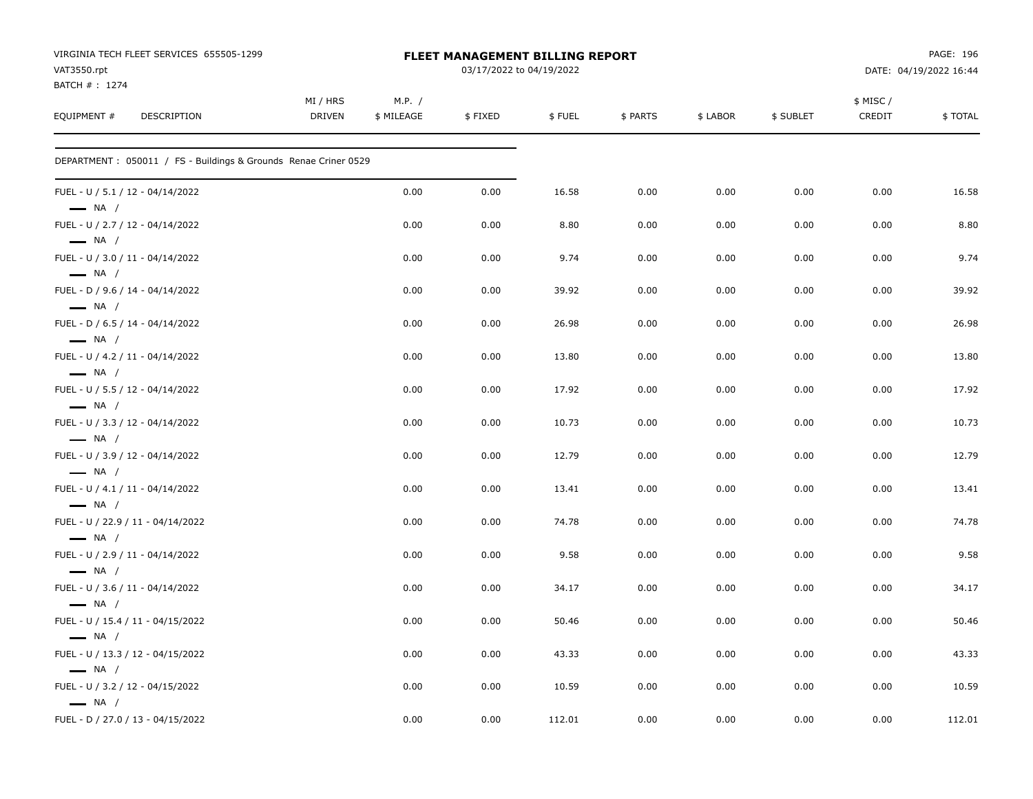| VIRGINIA TECH FLEET SERVICES 655505-1299<br>VAT3550.rpt<br>BATCH #: 1274 |                           |                      | <b>FLEET MANAGEMENT BILLING REPORT</b><br>03/17/2022 to 04/19/2022 |        |          | PAGE: 196<br>DATE: 04/19/2022 16:44 |           |                     |         |
|--------------------------------------------------------------------------|---------------------------|----------------------|--------------------------------------------------------------------|--------|----------|-------------------------------------|-----------|---------------------|---------|
| EQUIPMENT #<br><b>DESCRIPTION</b>                                        | MI / HRS<br><b>DRIVEN</b> | M.P. /<br>\$ MILEAGE | \$FIXED                                                            | \$FUEL | \$ PARTS | \$ LABOR                            | \$ SUBLET | \$ MISC /<br>CREDIT | \$TOTAL |
| DEPARTMENT: 050011 / FS - Buildings & Grounds Renae Criner 0529          |                           |                      |                                                                    |        |          |                                     |           |                     |         |
| FUEL - U / 5.1 / 12 - 04/14/2022<br>$\longrightarrow$ NA /               |                           | 0.00                 | 0.00                                                               | 16.58  | 0.00     | 0.00                                | 0.00      | 0.00                | 16.58   |
| FUEL - U / 2.7 / 12 - 04/14/2022<br>$\longrightarrow$ NA /               |                           | 0.00                 | 0.00                                                               | 8.80   | 0.00     | 0.00                                | 0.00      | 0.00                | 8.80    |
| FUEL - U / 3.0 / 11 - 04/14/2022<br>$\longrightarrow$ NA /               |                           | 0.00                 | 0.00                                                               | 9.74   | 0.00     | 0.00                                | 0.00      | 0.00                | 9.74    |
| FUEL - D / 9.6 / 14 - 04/14/2022<br>$\longrightarrow$ NA /               |                           | 0.00                 | 0.00                                                               | 39.92  | 0.00     | 0.00                                | 0.00      | 0.00                | 39.92   |
| FUEL - D / 6.5 / 14 - 04/14/2022<br>$\longrightarrow$ NA /               |                           | 0.00                 | 0.00                                                               | 26.98  | 0.00     | 0.00                                | 0.00      | 0.00                | 26.98   |
| FUEL - U / 4.2 / 11 - 04/14/2022<br>$\longrightarrow$ NA /               |                           | 0.00                 | 0.00                                                               | 13.80  | 0.00     | 0.00                                | 0.00      | 0.00                | 13.80   |
| FUEL - U / 5.5 / 12 - 04/14/2022<br>$\longrightarrow$ NA /               |                           | 0.00                 | 0.00                                                               | 17.92  | 0.00     | 0.00                                | 0.00      | 0.00                | 17.92   |
| FUEL - U / 3.3 / 12 - 04/14/2022<br>$\longrightarrow$ NA /               |                           | 0.00                 | 0.00                                                               | 10.73  | 0.00     | 0.00                                | 0.00      | 0.00                | 10.73   |
| FUEL - U / 3.9 / 12 - 04/14/2022<br>$\longrightarrow$ NA /               |                           | 0.00                 | 0.00                                                               | 12.79  | 0.00     | 0.00                                | 0.00      | 0.00                | 12.79   |
| FUEL - U / 4.1 / 11 - 04/14/2022<br>$\longrightarrow$ NA /               |                           | 0.00                 | 0.00                                                               | 13.41  | 0.00     | 0.00                                | 0.00      | 0.00                | 13.41   |
| FUEL - U / 22.9 / 11 - 04/14/2022<br>$\longrightarrow$ NA /              |                           | 0.00                 | 0.00                                                               | 74.78  | 0.00     | 0.00                                | 0.00      | 0.00                | 74.78   |
| FUEL - U / 2.9 / 11 - 04/14/2022<br>$\longrightarrow$ NA /               |                           | 0.00                 | 0.00                                                               | 9.58   | 0.00     | 0.00                                | 0.00      | 0.00                | 9.58    |
| FUEL - U / 3.6 / 11 - 04/14/2022<br>$\longrightarrow$ NA /               |                           | 0.00                 | 0.00                                                               | 34.17  | 0.00     | 0.00                                | 0.00      | 0.00                | 34.17   |
| FUEL - U / 15.4 / 11 - 04/15/2022<br>$\longrightarrow$ NA /              |                           | 0.00                 | 0.00                                                               | 50.46  | 0.00     | 0.00                                | 0.00      | 0.00                | 50.46   |
| FUEL - U / 13.3 / 12 - 04/15/2022<br>$\equiv$ NA /                       |                           | 0.00                 | 0.00                                                               | 43.33  | 0.00     | 0.00                                | 0.00      | 0.00                | 43.33   |
| FUEL - U / 3.2 / 12 - 04/15/2022<br>$\longrightarrow$ NA /               |                           | 0.00                 | 0.00                                                               | 10.59  | 0.00     | 0.00                                | 0.00      | 0.00                | 10.59   |
| FUEL - D / 27.0 / 13 - 04/15/2022                                        |                           | 0.00                 | 0.00                                                               | 112.01 | 0.00     | 0.00                                | 0.00      | 0.00                | 112.01  |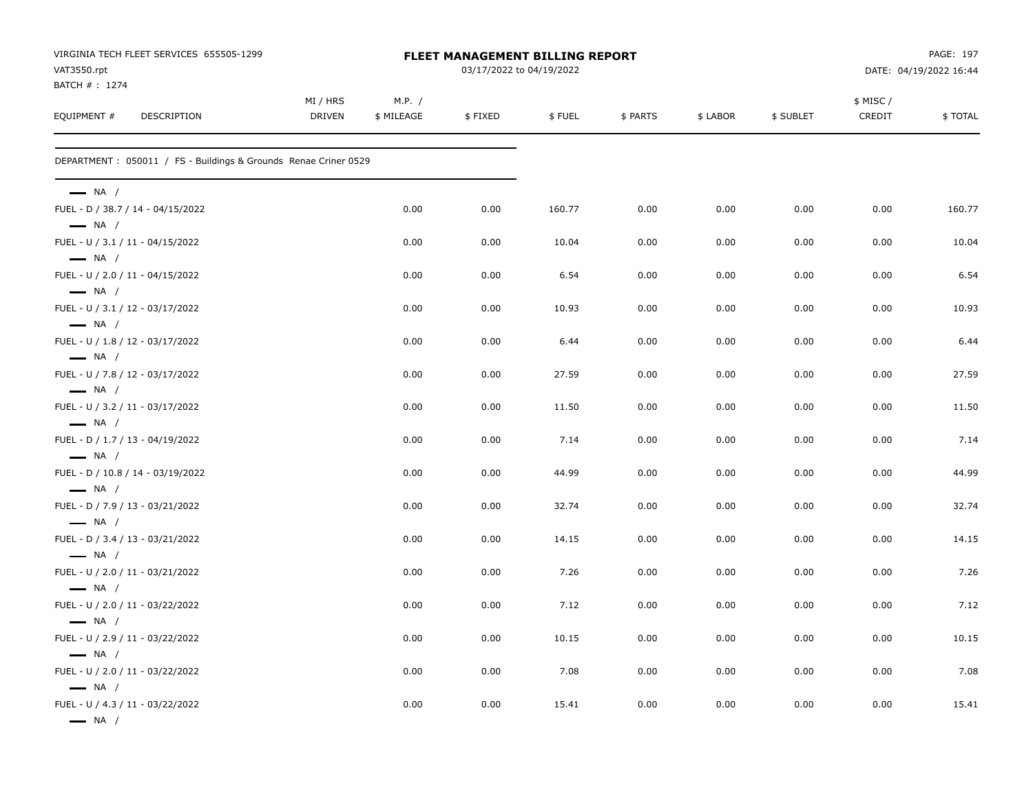| VIRGINIA TECH FLEET SERVICES 655505-1299<br>VAT3550.rpt         |                           |                      | <b>FLEET MANAGEMENT BILLING REPORT</b><br>03/17/2022 to 04/19/2022 |        |          | PAGE: 197<br>DATE: 04/19/2022 16:44 |           |                     |         |  |
|-----------------------------------------------------------------|---------------------------|----------------------|--------------------------------------------------------------------|--------|----------|-------------------------------------|-----------|---------------------|---------|--|
| BATCH #: 1274<br>DESCRIPTION                                    |                           |                      |                                                                    |        |          |                                     |           |                     |         |  |
| EQUIPMENT #                                                     | MI / HRS<br><b>DRIVEN</b> | M.P. /<br>\$ MILEAGE | \$FIXED                                                            | \$FUEL | \$ PARTS | \$ LABOR                            | \$ SUBLET | \$ MISC /<br>CREDIT | \$TOTAL |  |
| DEPARTMENT: 050011 / FS - Buildings & Grounds Renae Criner 0529 |                           |                      |                                                                    |        |          |                                     |           |                     |         |  |
| $\longrightarrow$ NA /                                          |                           |                      |                                                                    |        |          |                                     |           |                     |         |  |
| FUEL - D / 38.7 / 14 - 04/15/2022<br>$\longrightarrow$ NA /     |                           | 0.00                 | 0.00                                                               | 160.77 | 0.00     | 0.00                                | 0.00      | 0.00                | 160.77  |  |
| FUEL - U / 3.1 / 11 - 04/15/2022<br>$\longrightarrow$ NA /      |                           | 0.00                 | 0.00                                                               | 10.04  | 0.00     | 0.00                                | 0.00      | 0.00                | 10.04   |  |
| FUEL - U / 2.0 / 11 - 04/15/2022<br>$\longrightarrow$ NA /      |                           | 0.00                 | 0.00                                                               | 6.54   | 0.00     | 0.00                                | 0.00      | 0.00                | 6.54    |  |
| FUEL - U / 3.1 / 12 - 03/17/2022                                |                           | 0.00                 | 0.00                                                               | 10.93  | 0.00     | 0.00                                | 0.00      | 0.00                | 10.93   |  |
| $\longrightarrow$ NA /<br>FUEL - U / 1.8 / 12 - 03/17/2022      |                           | 0.00                 | 0.00                                                               | 6.44   | 0.00     | 0.00                                | 0.00      | 0.00                | 6.44    |  |
| $\longrightarrow$ NA /<br>FUEL - U / 7.8 / 12 - 03/17/2022      |                           | 0.00                 | 0.00                                                               | 27.59  | 0.00     | 0.00                                | 0.00      | 0.00                | 27.59   |  |
| $\longrightarrow$ NA /<br>FUEL - U / 3.2 / 11 - 03/17/2022      |                           | 0.00                 | 0.00                                                               | 11.50  | 0.00     | 0.00                                | 0.00      | 0.00                | 11.50   |  |
| $\longrightarrow$ NA /<br>FUEL - D / 1.7 / 13 - 04/19/2022      |                           | 0.00                 | 0.00                                                               | 7.14   | 0.00     | 0.00                                | 0.00      | 0.00                | 7.14    |  |
| $\longrightarrow$ NA /<br>FUEL - D / 10.8 / 14 - 03/19/2022     |                           | 0.00                 | 0.00                                                               | 44.99  | 0.00     | 0.00                                | 0.00      | 0.00                | 44.99   |  |
| $\longrightarrow$ NA /<br>FUEL - D / 7.9 / 13 - 03/21/2022      |                           | 0.00                 | 0.00                                                               | 32.74  | 0.00     | 0.00                                | 0.00      | 0.00                | 32.74   |  |
| $\longrightarrow$ NA /<br>FUEL - D / 3.4 / 13 - 03/21/2022      |                           | 0.00                 | 0.00                                                               | 14.15  | 0.00     | 0.00                                | 0.00      | 0.00                | 14.15   |  |
| $\longrightarrow$ NA /<br>FUEL - U / 2.0 / 11 - 03/21/2022      |                           | 0.00                 | 0.00                                                               | 7.26   | 0.00     | 0.00                                | 0.00      | 0.00                | 7.26    |  |
| $\longrightarrow$ NA /                                          |                           |                      |                                                                    |        |          |                                     |           |                     |         |  |
| FUEL - U / 2.0 / 11 - 03/22/2022<br>$\longrightarrow$ NA /      |                           | 0.00                 | 0.00                                                               | 7.12   | 0.00     | 0.00                                | 0.00      | 0.00                | 7.12    |  |
| FUEL - U / 2.9 / 11 - 03/22/2022<br>$\longrightarrow$ NA /      |                           | 0.00                 | 0.00                                                               | 10.15  | 0.00     | 0.00                                | 0.00      | 0.00                | 10.15   |  |
| FUEL - U / 2.0 / 11 - 03/22/2022<br>$\longrightarrow$ NA /      |                           | 0.00                 | 0.00                                                               | 7.08   | 0.00     | 0.00                                | 0.00      | 0.00                | 7.08    |  |
| FUEL - U / 4.3 / 11 - 03/22/2022<br>$\longrightarrow$ NA $/$    |                           | 0.00                 | 0.00                                                               | 15.41  | 0.00     | 0.00                                | 0.00      | 0.00                | 15.41   |  |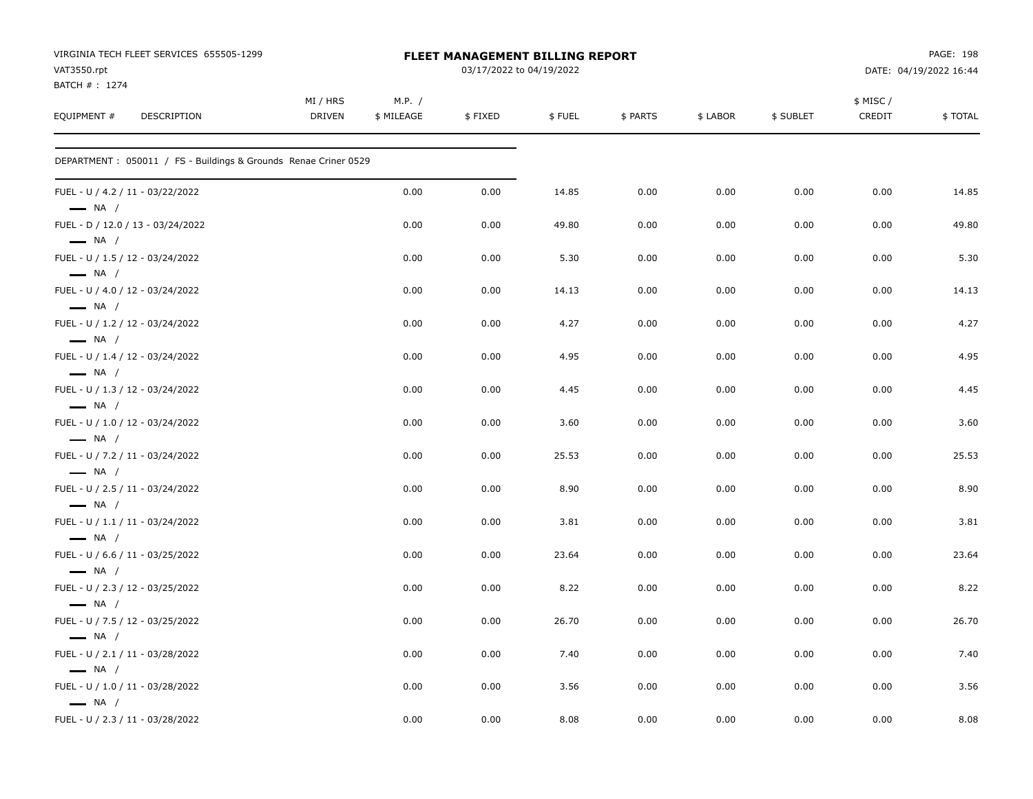| VIRGINIA TECH FLEET SERVICES 655505-1299<br>VAT3550.rpt<br>BATCH #: 1274 |                           |                      | <b>FLEET MANAGEMENT BILLING REPORT</b><br>03/17/2022 to 04/19/2022 |        |          | PAGE: 198<br>DATE: 04/19/2022 16:44 |           |                     |         |
|--------------------------------------------------------------------------|---------------------------|----------------------|--------------------------------------------------------------------|--------|----------|-------------------------------------|-----------|---------------------|---------|
| EQUIPMENT #<br><b>DESCRIPTION</b>                                        | MI / HRS<br><b>DRIVEN</b> | M.P. /<br>\$ MILEAGE | \$FIXED                                                            | \$FUEL | \$ PARTS | \$ LABOR                            | \$ SUBLET | \$ MISC /<br>CREDIT | \$TOTAL |
| DEPARTMENT : 050011 / FS - Buildings & Grounds Renae Criner 0529         |                           |                      |                                                                    |        |          |                                     |           |                     |         |
| FUEL - U / 4.2 / 11 - 03/22/2022<br>$\longrightarrow$ NA /               |                           | 0.00                 | 0.00                                                               | 14.85  | 0.00     | 0.00                                | 0.00      | 0.00                | 14.85   |
| FUEL - D / 12.0 / 13 - 03/24/2022<br>$\longrightarrow$ NA /              |                           | 0.00                 | 0.00                                                               | 49.80  | 0.00     | 0.00                                | 0.00      | 0.00                | 49.80   |
| FUEL - U / 1.5 / 12 - 03/24/2022<br>$\longrightarrow$ NA /               |                           | 0.00                 | 0.00                                                               | 5.30   | 0.00     | 0.00                                | 0.00      | 0.00                | 5.30    |
| FUEL - U / 4.0 / 12 - 03/24/2022<br>$\longrightarrow$ NA /               |                           | 0.00                 | 0.00                                                               | 14.13  | 0.00     | 0.00                                | 0.00      | 0.00                | 14.13   |
| FUEL - U / 1.2 / 12 - 03/24/2022<br>$\longrightarrow$ NA /               |                           | 0.00                 | 0.00                                                               | 4.27   | 0.00     | 0.00                                | 0.00      | 0.00                | 4.27    |
| FUEL - U / 1.4 / 12 - 03/24/2022<br>$\longrightarrow$ NA /               |                           | 0.00                 | 0.00                                                               | 4.95   | 0.00     | 0.00                                | 0.00      | 0.00                | 4.95    |
| FUEL - U / 1.3 / 12 - 03/24/2022<br>$\longrightarrow$ NA /               |                           | 0.00                 | 0.00                                                               | 4.45   | 0.00     | 0.00                                | 0.00      | 0.00                | 4.45    |
| FUEL - U / 1.0 / 12 - 03/24/2022<br>$\longrightarrow$ NA /               |                           | 0.00                 | 0.00                                                               | 3.60   | 0.00     | 0.00                                | 0.00      | 0.00                | 3.60    |
| FUEL - U / 7.2 / 11 - 03/24/2022<br>$\longrightarrow$ NA /               |                           | 0.00                 | 0.00                                                               | 25.53  | 0.00     | 0.00                                | 0.00      | 0.00                | 25.53   |
| FUEL - U / 2.5 / 11 - 03/24/2022<br>$\longrightarrow$ NA /               |                           | 0.00                 | 0.00                                                               | 8.90   | 0.00     | 0.00                                | 0.00      | 0.00                | 8.90    |
| FUEL - U / 1.1 / 11 - 03/24/2022<br>$\longrightarrow$ NA /               |                           | 0.00                 | 0.00                                                               | 3.81   | 0.00     | 0.00                                | 0.00      | 0.00                | 3.81    |
| FUEL - U / 6.6 / 11 - 03/25/2022<br>$\longrightarrow$ NA /               |                           | 0.00                 | 0.00                                                               | 23.64  | 0.00     | 0.00                                | 0.00      | 0.00                | 23.64   |
| FUEL - U / 2.3 / 12 - 03/25/2022<br>$\longrightarrow$ NA /               |                           | 0.00                 | 0.00                                                               | 8.22   | 0.00     | 0.00                                | 0.00      | 0.00                | 8.22    |
| FUEL - U / 7.5 / 12 - 03/25/2022<br>$\longrightarrow$ NA /               |                           | 0.00                 | 0.00                                                               | 26.70  | 0.00     | 0.00                                | 0.00      | 0.00                | 26.70   |
| FUEL - U / 2.1 / 11 - 03/28/2022<br>$\equiv$ NA /                        |                           | 0.00                 | 0.00                                                               | 7.40   | 0.00     | 0.00                                | 0.00      | 0.00                | 7.40    |
| FUEL - U / 1.0 / 11 - 03/28/2022<br>$\longrightarrow$ NA /               |                           | 0.00                 | 0.00                                                               | 3.56   | 0.00     | 0.00                                | 0.00      | 0.00                | 3.56    |
| FUEL - U / 2.3 / 11 - 03/28/2022                                         |                           | 0.00                 | 0.00                                                               | 8.08   | 0.00     | 0.00                                | 0.00      | 0.00                | 8.08    |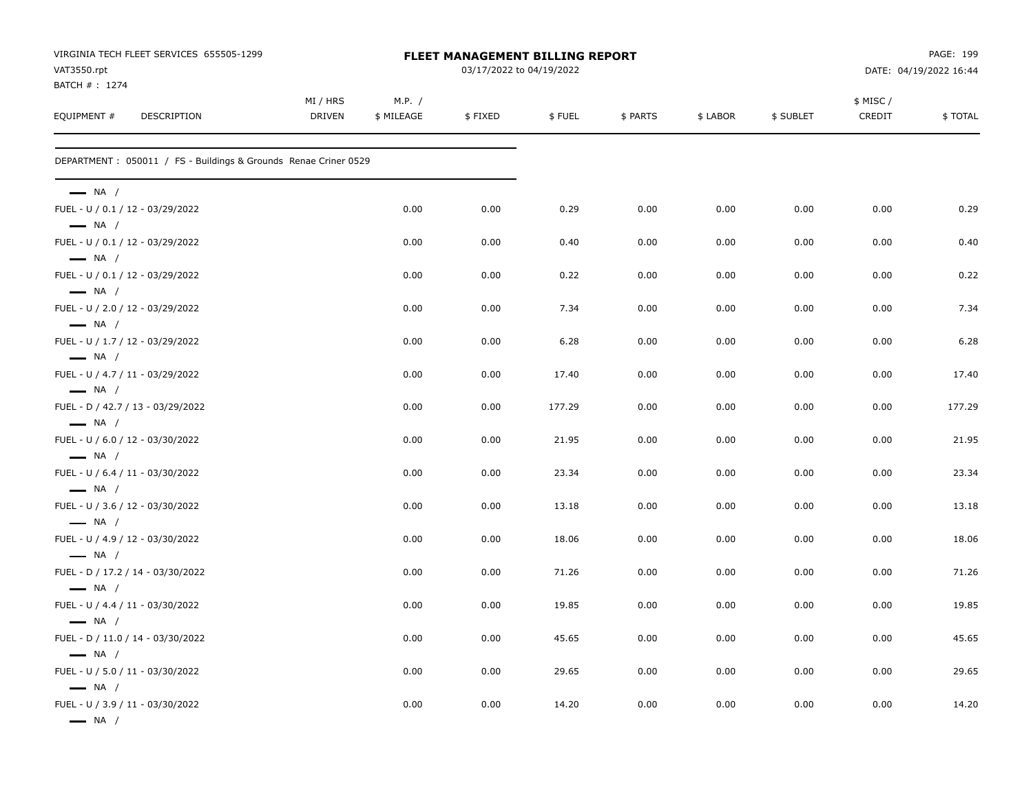| VIRGINIA TECH FLEET SERVICES 655505-1299<br>VAT3550.rpt                              |                           |                      | FLEET MANAGEMENT BILLING REPORT<br>03/17/2022 to 04/19/2022 |        |          | PAGE: 199<br>DATE: 04/19/2022 16:44 |           |                    |         |
|--------------------------------------------------------------------------------------|---------------------------|----------------------|-------------------------------------------------------------|--------|----------|-------------------------------------|-----------|--------------------|---------|
| BATCH # : 1274<br>EQUIPMENT #<br>DESCRIPTION                                         | MI / HRS<br><b>DRIVEN</b> | M.P. /<br>\$ MILEAGE | \$FIXED                                                     | \$FUEL | \$ PARTS | \$ LABOR                            | \$ SUBLET | \$ MISC/<br>CREDIT | \$TOTAL |
| DEPARTMENT : 050011 / FS - Buildings & Grounds Renae Criner 0529                     |                           |                      |                                                             |        |          |                                     |           |                    |         |
| $\longrightarrow$ NA /                                                               |                           |                      |                                                             |        |          |                                     |           |                    |         |
| FUEL - U / 0.1 / 12 - 03/29/2022<br>$\longrightarrow$ NA /                           |                           | 0.00                 | 0.00                                                        | 0.29   | 0.00     | 0.00                                | 0.00      | 0.00               | 0.29    |
| FUEL - U / 0.1 / 12 - 03/29/2022<br>$\longrightarrow$ NA /                           |                           | 0.00                 | 0.00                                                        | 0.40   | 0.00     | 0.00                                | 0.00      | 0.00               | 0.40    |
| FUEL - U / 0.1 / 12 - 03/29/2022<br>$\longrightarrow$ NA /                           |                           | 0.00                 | 0.00                                                        | 0.22   | 0.00     | 0.00                                | 0.00      | 0.00               | 0.22    |
| FUEL - U / 2.0 / 12 - 03/29/2022<br>$\longrightarrow$ NA /                           |                           | 0.00                 | 0.00                                                        | 7.34   | 0.00     | 0.00                                | 0.00      | 0.00               | 7.34    |
| FUEL - U / 1.7 / 12 - 03/29/2022                                                     |                           | 0.00                 | 0.00                                                        | 6.28   | 0.00     | 0.00                                | 0.00      | 0.00               | 6.28    |
| $\longrightarrow$ NA /<br>FUEL - U / 4.7 / 11 - 03/29/2022                           |                           | 0.00                 | 0.00                                                        | 17.40  | 0.00     | 0.00                                | 0.00      | 0.00               | 17.40   |
| $\longrightarrow$ NA /<br>FUEL - D / 42.7 / 13 - 03/29/2022                          |                           | 0.00                 | 0.00                                                        | 177.29 | 0.00     | 0.00                                | 0.00      | 0.00               | 177.29  |
| $\longrightarrow$ NA /<br>FUEL - U / 6.0 / 12 - 03/30/2022                           |                           | 0.00                 | 0.00                                                        | 21.95  | 0.00     | 0.00                                | 0.00      | 0.00               | 21.95   |
| $\longrightarrow$ NA /<br>FUEL - U / 6.4 / 11 - 03/30/2022                           |                           | 0.00                 | 0.00                                                        | 23.34  | 0.00     | 0.00                                | 0.00      | 0.00               | 23.34   |
| $\longrightarrow$ NA /<br>FUEL - U / 3.6 / 12 - 03/30/2022                           |                           | 0.00                 | 0.00                                                        | 13.18  | 0.00     | 0.00                                | 0.00      | 0.00               | 13.18   |
| $\longrightarrow$ NA /<br>FUEL - U / 4.9 / 12 - 03/30/2022                           |                           | 0.00                 | 0.00                                                        | 18.06  | 0.00     | 0.00                                | 0.00      | 0.00               | 18.06   |
| $\longrightarrow$ NA /<br>FUEL - D / 17.2 / 14 - 03/30/2022                          |                           | 0.00                 | 0.00                                                        | 71.26  | 0.00     | 0.00                                | 0.00      | 0.00               | 71.26   |
| $\longrightarrow$ NA /<br>FUEL - U / 4.4 / 11 - 03/30/2022                           |                           | 0.00                 | 0.00                                                        | 19.85  | 0.00     | 0.00                                | 0.00      | 0.00               | 19.85   |
| $\longrightarrow$ NA /<br>FUEL - D / 11.0 / 14 - 03/30/2022                          |                           | 0.00                 | 0.00                                                        | 45.65  | 0.00     | 0.00                                | 0.00      | 0.00               | 45.65   |
| $\longrightarrow$ NA /<br>FUEL - U / 5.0 / 11 - 03/30/2022                           |                           | 0.00                 | 0.00                                                        | 29.65  | 0.00     | 0.00                                | 0.00      | 0.00               | 29.65   |
| $\longrightarrow$ NA /<br>FUEL - U / 3.9 / 11 - 03/30/2022<br>$\longrightarrow$ NA / |                           | 0.00                 | 0.00                                                        | 14.20  | 0.00     | 0.00                                | 0.00      | 0.00               | 14.20   |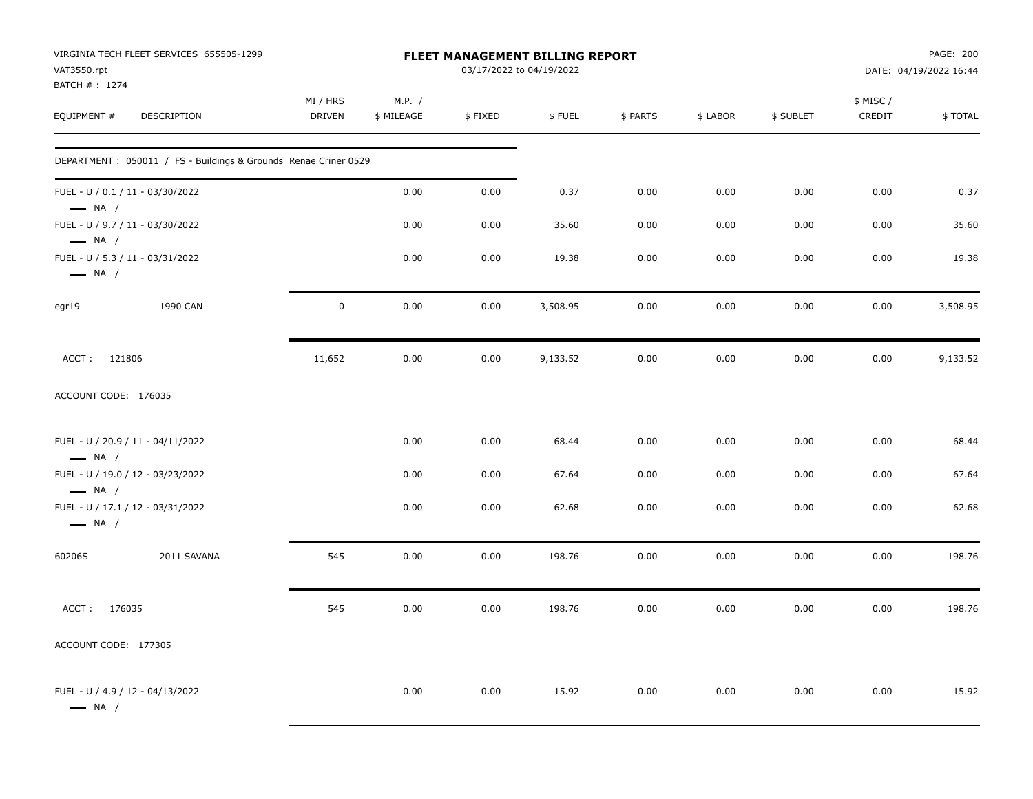| VAT3550.rpt<br>BATCH #: 1274                               | VIRGINIA TECH FLEET SERVICES 655505-1299                         | FLEET MANAGEMENT BILLING REPORT<br>03/17/2022 to 04/19/2022 |                      |         |          |          |          |           |                     | PAGE: 200<br>DATE: 04/19/2022 16:44 |  |
|------------------------------------------------------------|------------------------------------------------------------------|-------------------------------------------------------------|----------------------|---------|----------|----------|----------|-----------|---------------------|-------------------------------------|--|
| EQUIPMENT #                                                | DESCRIPTION                                                      | MI / HRS<br><b>DRIVEN</b>                                   | M.P. /<br>\$ MILEAGE | \$FIXED | \$FUEL   | \$ PARTS | \$ LABOR | \$ SUBLET | \$ MISC /<br>CREDIT | \$TOTAL                             |  |
|                                                            | DEPARTMENT : 050011 / FS - Buildings & Grounds Renae Criner 0529 |                                                             |                      |         |          |          |          |           |                     |                                     |  |
| FUEL - U / 0.1 / 11 - 03/30/2022<br>$\longrightarrow$ NA / |                                                                  |                                                             | 0.00                 | 0.00    | 0.37     | 0.00     | 0.00     | 0.00      | 0.00                | 0.37                                |  |
| FUEL - U / 9.7 / 11 - 03/30/2022<br>$\longrightarrow$ NA / |                                                                  |                                                             | 0.00                 | 0.00    | 35.60    | 0.00     | 0.00     | 0.00      | 0.00                | 35.60                               |  |
| FUEL - U / 5.3 / 11 - 03/31/2022<br>$\longrightarrow$ NA / |                                                                  |                                                             | 0.00                 | 0.00    | 19.38    | 0.00     | 0.00     | 0.00      | 0.00                | 19.38                               |  |
| egr19                                                      | 1990 CAN                                                         | $\mathbf 0$                                                 | 0.00                 | 0.00    | 3,508.95 | 0.00     | 0.00     | 0.00      | 0.00                | 3,508.95                            |  |
| ACCT: 121806                                               |                                                                  | 11,652                                                      | 0.00                 | 0.00    | 9,133.52 | 0.00     | 0.00     | 0.00      | 0.00                | 9,133.52                            |  |
| ACCOUNT CODE: 176035                                       |                                                                  |                                                             |                      |         |          |          |          |           |                     |                                     |  |
| $\longrightarrow$ NA /                                     | FUEL - U / 20.9 / 11 - 04/11/2022                                |                                                             | 0.00                 | 0.00    | 68.44    | 0.00     | 0.00     | 0.00      | 0.00                | 68.44                               |  |
| $\longrightarrow$ NA /                                     | FUEL - U / 19.0 / 12 - 03/23/2022                                |                                                             | 0.00                 | 0.00    | 67.64    | 0.00     | 0.00     | 0.00      | 0.00                | 67.64                               |  |
| $\longrightarrow$ NA /                                     | FUEL - U / 17.1 / 12 - 03/31/2022                                |                                                             | 0.00                 | 0.00    | 62.68    | 0.00     | 0.00     | 0.00      | 0.00                | 62.68                               |  |
| 60206S                                                     | 2011 SAVANA                                                      | 545                                                         | 0.00                 | 0.00    | 198.76   | 0.00     | 0.00     | 0.00      | 0.00                | 198.76                              |  |
| ACCT: 176035                                               |                                                                  | 545                                                         | 0.00                 | 0.00    | 198.76   | 0.00     | 0.00     | 0.00      | 0.00                | 198.76                              |  |
| ACCOUNT CODE: 177305                                       |                                                                  |                                                             |                      |         |          |          |          |           |                     |                                     |  |
| FUEL - U / 4.9 / 12 - 04/13/2022<br>$\longrightarrow$ NA / |                                                                  |                                                             | 0.00                 | 0.00    | 15.92    | 0.00     | 0.00     | 0.00      | 0.00                | 15.92                               |  |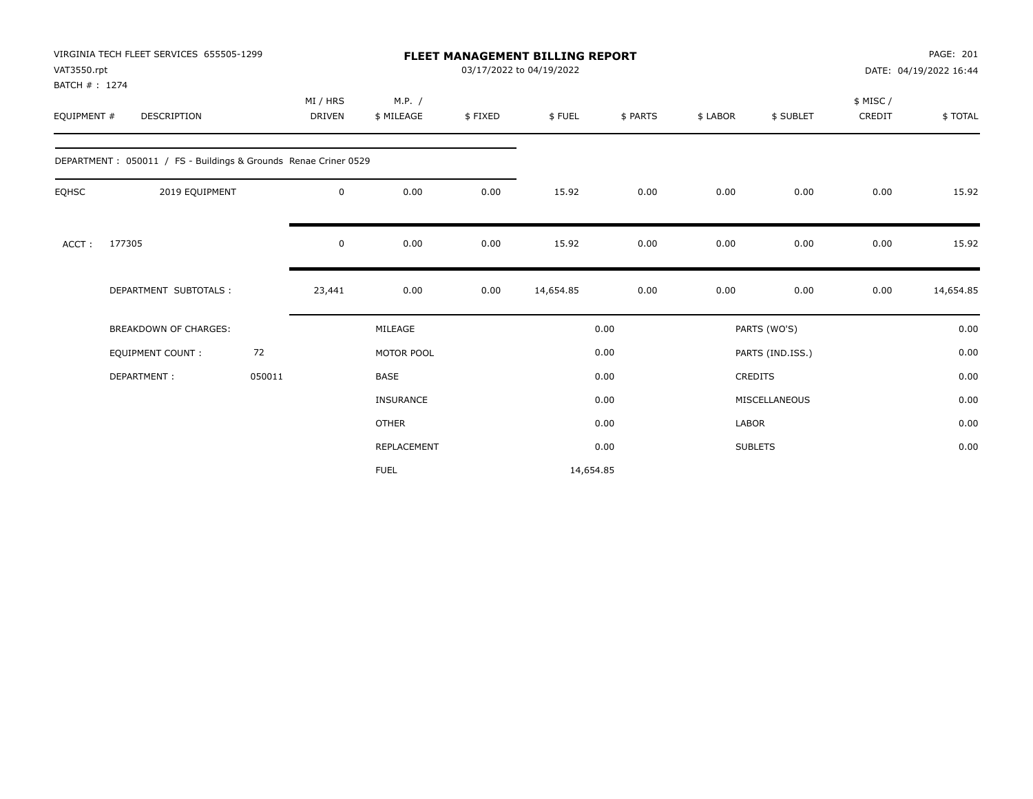| VAT3550.rpt<br>BATCH #: 1274 | VIRGINIA TECH FLEET SERVICES 655505-1299                        |        |                    |                      |         | PAGE: 201<br><b>FLEET MANAGEMENT BILLING REPORT</b><br>03/17/2022 to 04/19/2022<br>DATE: 04/19/2022 16:44 |          |          |                  |                     |           |
|------------------------------|-----------------------------------------------------------------|--------|--------------------|----------------------|---------|-----------------------------------------------------------------------------------------------------------|----------|----------|------------------|---------------------|-----------|
| EQUIPMENT #                  | DESCRIPTION                                                     |        | MI / HRS<br>DRIVEN | M.P. /<br>\$ MILEAGE | \$FIXED | \$FUEL                                                                                                    | \$ PARTS | \$ LABOR | \$ SUBLET        | \$ MISC /<br>CREDIT | \$TOTAL   |
|                              | DEPARTMENT: 050011 / FS - Buildings & Grounds Renae Criner 0529 |        |                    |                      |         |                                                                                                           |          |          |                  |                     |           |
| <b>EQHSC</b>                 | 2019 EQUIPMENT                                                  |        | 0                  | 0.00                 | 0.00    | 15.92                                                                                                     | 0.00     | 0.00     | 0.00             | 0.00                | 15.92     |
| ACCT:                        | 177305                                                          |        | 0                  | 0.00                 | 0.00    | 15.92                                                                                                     | 0.00     | 0.00     | 0.00             | 0.00                | 15.92     |
|                              | DEPARTMENT SUBTOTALS :                                          |        | 23,441             | 0.00                 | 0.00    | 14,654.85                                                                                                 | 0.00     | 0.00     | 0.00             | 0.00                | 14,654.85 |
|                              | <b>BREAKDOWN OF CHARGES:</b>                                    |        |                    | MILEAGE              |         |                                                                                                           | 0.00     |          | PARTS (WO'S)     |                     | 0.00      |
|                              | <b>EQUIPMENT COUNT:</b>                                         | 72     |                    | MOTOR POOL           |         |                                                                                                           | 0.00     |          | PARTS (IND.ISS.) |                     | 0.00      |
|                              | DEPARTMENT:                                                     | 050011 |                    | <b>BASE</b>          |         |                                                                                                           | 0.00     |          | CREDITS          |                     | 0.00      |
|                              |                                                                 |        |                    | <b>INSURANCE</b>     |         |                                                                                                           | 0.00     |          | MISCELLANEOUS    |                     | 0.00      |
|                              |                                                                 |        |                    | <b>OTHER</b>         |         |                                                                                                           | 0.00     | LABOR    |                  |                     | 0.00      |
|                              |                                                                 |        |                    | REPLACEMENT          |         |                                                                                                           | 0.00     |          | <b>SUBLETS</b>   |                     | 0.00      |
|                              |                                                                 |        |                    | <b>FUEL</b>          |         | 14,654.85                                                                                                 |          |          |                  |                     |           |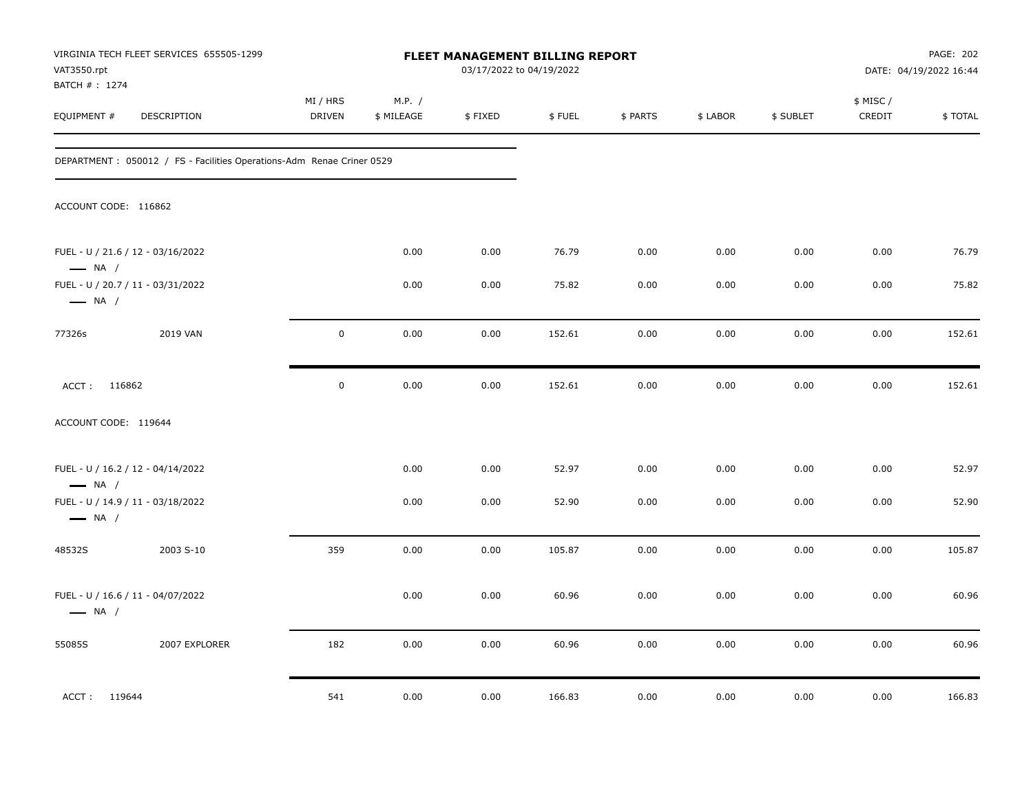| VAT3550.rpt<br>BATCH #: 1274 | VIRGINIA TECH FLEET SERVICES 655505-1299                               | <b>FLEET MANAGEMENT BILLING REPORT</b><br>03/17/2022 to 04/19/2022 |                      |         |        |          |          |           | PAGE: 202<br>DATE: 04/19/2022 16:44 |         |
|------------------------------|------------------------------------------------------------------------|--------------------------------------------------------------------|----------------------|---------|--------|----------|----------|-----------|-------------------------------------|---------|
| EQUIPMENT #                  | DESCRIPTION                                                            | MI / HRS<br><b>DRIVEN</b>                                          | M.P. /<br>\$ MILEAGE | \$FIXED | \$FUEL | \$ PARTS | \$ LABOR | \$ SUBLET | \$ MISC /<br>CREDIT                 | \$TOTAL |
|                              | DEPARTMENT : 050012 / FS - Facilities Operations-Adm Renae Criner 0529 |                                                                    |                      |         |        |          |          |           |                                     |         |
| ACCOUNT CODE: 116862         |                                                                        |                                                                    |                      |         |        |          |          |           |                                     |         |
| $\longrightarrow$ NA /       | FUEL - U / 21.6 / 12 - 03/16/2022                                      |                                                                    | 0.00                 | 0.00    | 76.79  | 0.00     | 0.00     | 0.00      | 0.00                                | 76.79   |
| $\longrightarrow$ NA /       | FUEL - U / 20.7 / 11 - 03/31/2022                                      |                                                                    | 0.00                 | 0.00    | 75.82  | 0.00     | 0.00     | 0.00      | 0.00                                | 75.82   |
| 77326s                       | 2019 VAN                                                               | $\mathbf 0$                                                        | 0.00                 | 0.00    | 152.61 | 0.00     | 0.00     | 0.00      | 0.00                                | 152.61  |
| ACCT: 116862                 |                                                                        | $\mathsf 0$                                                        | 0.00                 | 0.00    | 152.61 | 0.00     | 0.00     | 0.00      | 0.00                                | 152.61  |
| ACCOUNT CODE: 119644         |                                                                        |                                                                    |                      |         |        |          |          |           |                                     |         |
| $\longrightarrow$ NA /       | FUEL - U / 16.2 / 12 - 04/14/2022                                      |                                                                    | 0.00                 | 0.00    | 52.97  | 0.00     | 0.00     | 0.00      | 0.00                                | 52.97   |
| $\longrightarrow$ NA /       | FUEL - U / 14.9 / 11 - 03/18/2022                                      |                                                                    | 0.00                 | 0.00    | 52.90  | 0.00     | 0.00     | 0.00      | 0.00                                | 52.90   |
| 48532S                       | 2003 S-10                                                              | 359                                                                | 0.00                 | 0.00    | 105.87 | 0.00     | 0.00     | 0.00      | 0.00                                | 105.87  |
| $\longrightarrow$ NA /       | FUEL - U / 16.6 / 11 - 04/07/2022                                      |                                                                    | 0.00                 | 0.00    | 60.96  | 0.00     | 0.00     | 0.00      | 0.00                                | 60.96   |
| 55085S                       | 2007 EXPLORER                                                          | 182                                                                | 0.00                 | 0.00    | 60.96  | 0.00     | 0.00     | 0.00      | 0.00                                | 60.96   |
| ACCT: 119644                 |                                                                        | 541                                                                | 0.00                 | 0.00    | 166.83 | 0.00     | 0.00     | 0.00      | 0.00                                | 166.83  |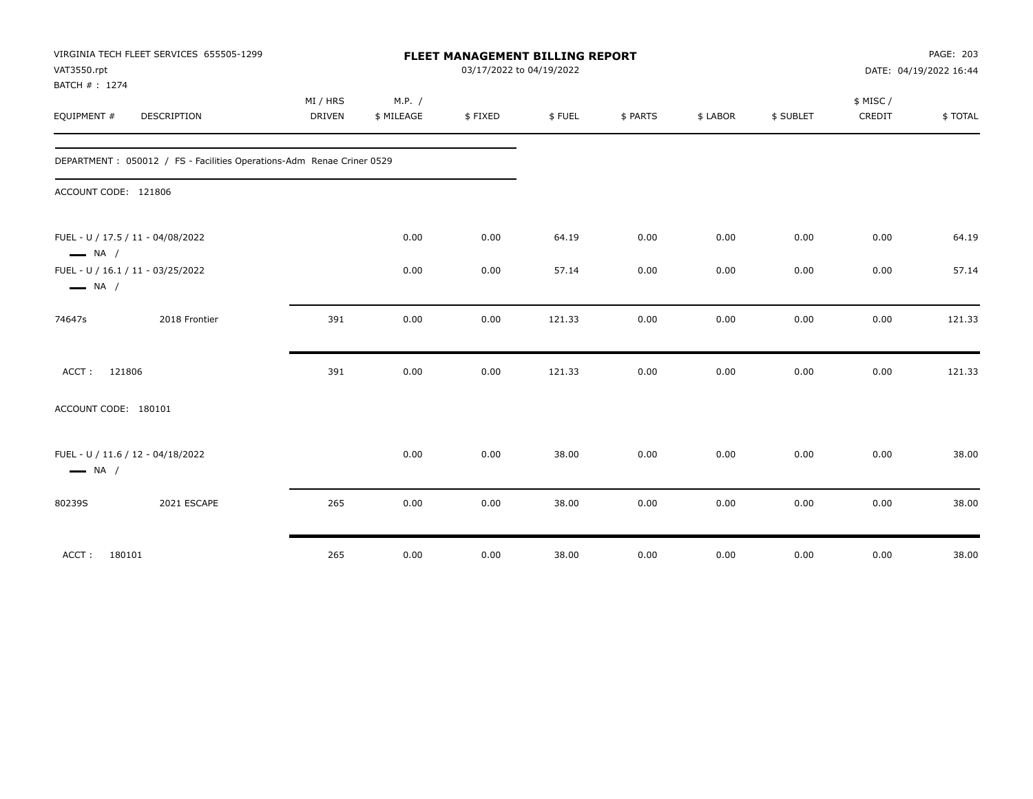| VAT3550.rpt                                                 | VIRGINIA TECH FLEET SERVICES 655505-1299                               |          | PAGE: 203<br>FLEET MANAGEMENT BILLING REPORT<br>03/17/2022 to 04/19/2022<br>DATE: 04/19/2022 16:44 |         |        |          |          |           |          |         |
|-------------------------------------------------------------|------------------------------------------------------------------------|----------|----------------------------------------------------------------------------------------------------|---------|--------|----------|----------|-----------|----------|---------|
| BATCH #: 1274                                               |                                                                        |          |                                                                                                    |         |        |          |          |           |          |         |
|                                                             |                                                                        | MI / HRS | M.P. /                                                                                             |         |        |          |          |           | \$ MISC/ |         |
| EQUIPMENT #                                                 | DESCRIPTION                                                            | DRIVEN   | \$ MILEAGE                                                                                         | \$FIXED | \$FUEL | \$ PARTS | \$ LABOR | \$ SUBLET | CREDIT   | \$TOTAL |
|                                                             | DEPARTMENT : 050012 / FS - Facilities Operations-Adm Renae Criner 0529 |          |                                                                                                    |         |        |          |          |           |          |         |
| ACCOUNT CODE: 121806                                        |                                                                        |          |                                                                                                    |         |        |          |          |           |          |         |
| FUEL - U / 17.5 / 11 - 04/08/2022<br>$\longrightarrow$ NA / |                                                                        |          | 0.00                                                                                               | 0.00    | 64.19  | 0.00     | 0.00     | 0.00      | 0.00     | 64.19   |
| FUEL - U / 16.1 / 11 - 03/25/2022<br>$\longrightarrow$ NA / |                                                                        |          | 0.00                                                                                               | 0.00    | 57.14  | 0.00     | 0.00     | 0.00      | 0.00     | 57.14   |
| 74647s                                                      | 2018 Frontier                                                          | 391      | 0.00                                                                                               | 0.00    | 121.33 | 0.00     | 0.00     | 0.00      | 0.00     | 121.33  |
| 121806<br>ACCT:                                             |                                                                        | 391      | 0.00                                                                                               | 0.00    | 121.33 | 0.00     | 0.00     | 0.00      | 0.00     | 121.33  |
| ACCOUNT CODE: 180101                                        |                                                                        |          |                                                                                                    |         |        |          |          |           |          |         |
| FUEL - U / 11.6 / 12 - 04/18/2022<br>$\longrightarrow$ NA / |                                                                        |          | 0.00                                                                                               | 0.00    | 38.00  | 0.00     | 0.00     | 0.00      | 0.00     | 38.00   |
| 80239S                                                      | 2021 ESCAPE                                                            | 265      | 0.00                                                                                               | 0.00    | 38.00  | 0.00     | 0.00     | 0.00      | 0.00     | 38.00   |
| ACCT:<br>180101                                             |                                                                        | 265      | 0.00                                                                                               | 0.00    | 38.00  | 0.00     | 0.00     | 0.00      | 0.00     | 38.00   |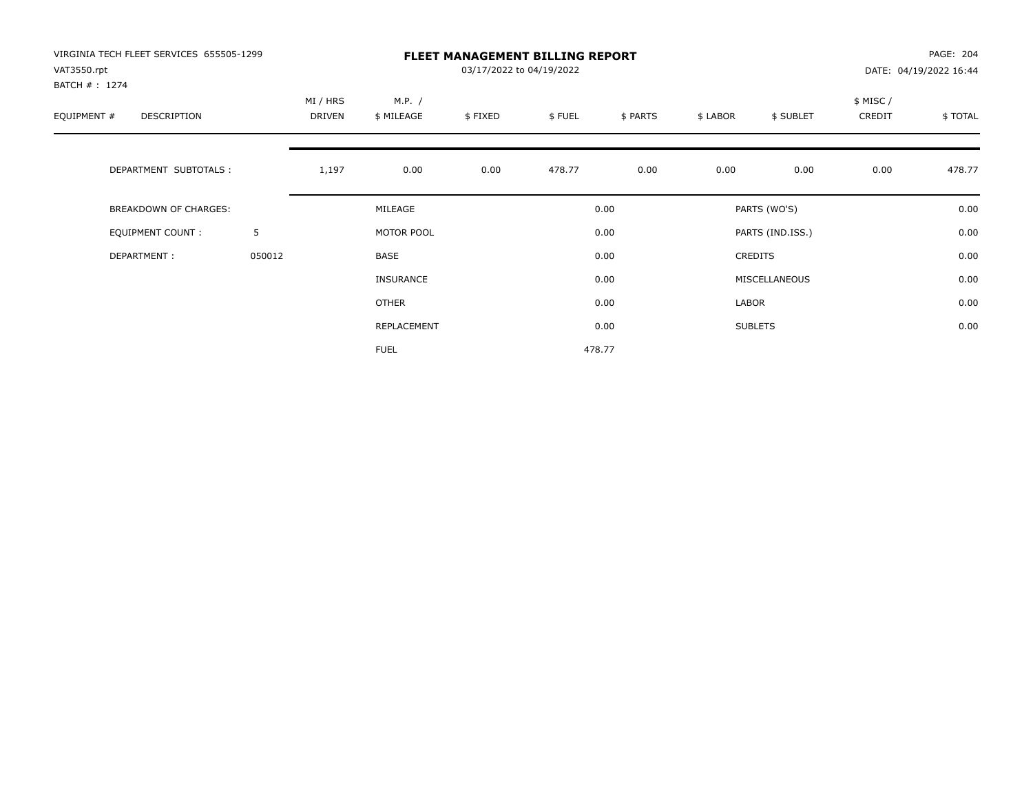| VIRGINIA TECH FLEET SERVICES 655505-1299<br>VAT3550.rpt<br>BATCH #: 1274 |        |                    |                      | PAGE: 204<br>DATE: 04/19/2022 16:44 |        |          |                |                  |                    |         |
|--------------------------------------------------------------------------|--------|--------------------|----------------------|-------------------------------------|--------|----------|----------------|------------------|--------------------|---------|
| EQUIPMENT #<br>DESCRIPTION                                               |        | MI / HRS<br>DRIVEN | M.P. /<br>\$ MILEAGE | \$FIXED                             | \$FUEL | \$ PARTS | \$ LABOR       | \$ SUBLET        | \$ MISC/<br>CREDIT | \$TOTAL |
| DEPARTMENT SUBTOTALS :                                                   |        | 1,197              | 0.00                 | 0.00                                | 478.77 | 0.00     | 0.00           | 0.00             | 0.00               | 478.77  |
| <b>BREAKDOWN OF CHARGES:</b>                                             |        |                    | MILEAGE              |                                     |        | 0.00     |                | PARTS (WO'S)     |                    | 0.00    |
| EQUIPMENT COUNT:                                                         | 5      |                    | MOTOR POOL           |                                     |        | 0.00     |                | PARTS (IND.ISS.) |                    | 0.00    |
| DEPARTMENT:                                                              | 050012 |                    | BASE                 |                                     |        | 0.00     |                | <b>CREDITS</b>   |                    | 0.00    |
|                                                                          |        |                    | <b>INSURANCE</b>     |                                     |        | 0.00     |                | MISCELLANEOUS    |                    | 0.00    |
|                                                                          |        |                    | OTHER                |                                     |        | 0.00     | LABOR          |                  |                    | 0.00    |
|                                                                          |        | REPLACEMENT        |                      |                                     | 0.00   |          | <b>SUBLETS</b> |                  | 0.00               |         |
|                                                                          |        |                    | <b>FUEL</b>          |                                     |        | 478.77   |                |                  |                    |         |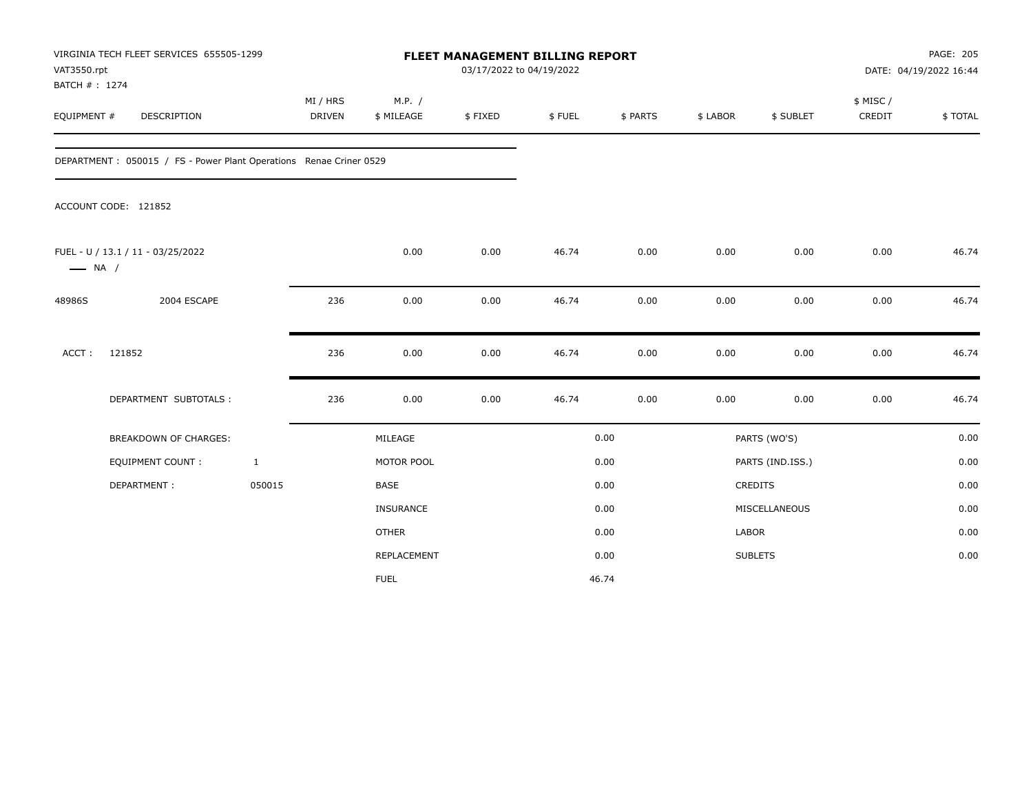| VAT3550.rpt<br>BATCH #: 1274 | VIRGINIA TECH FLEET SERVICES 655505-1299                            |              |                           |                      | FLEET MANAGEMENT BILLING REPORT<br>03/17/2022 to 04/19/2022 |        |          |          |                  |                    | PAGE: 205<br>DATE: 04/19/2022 16:44 |
|------------------------------|---------------------------------------------------------------------|--------------|---------------------------|----------------------|-------------------------------------------------------------|--------|----------|----------|------------------|--------------------|-------------------------------------|
| EQUIPMENT #                  | <b>DESCRIPTION</b>                                                  |              | MI / HRS<br><b>DRIVEN</b> | M.P. /<br>\$ MILEAGE | \$FIXED                                                     | \$FUEL | \$ PARTS | \$ LABOR | \$ SUBLET        | \$ MISC/<br>CREDIT | \$TOTAL                             |
|                              | DEPARTMENT : 050015 / FS - Power Plant Operations Renae Criner 0529 |              |                           |                      |                                                             |        |          |          |                  |                    |                                     |
|                              | ACCOUNT CODE: 121852                                                |              |                           |                      |                                                             |        |          |          |                  |                    |                                     |
| $\longrightarrow$ NA /       | FUEL - U / 13.1 / 11 - 03/25/2022                                   |              |                           | 0.00                 | 0.00                                                        | 46.74  | 0.00     | 0.00     | 0.00             | 0.00               | 46.74                               |
| 48986S                       | 2004 ESCAPE                                                         |              | 236                       | 0.00                 | 0.00                                                        | 46.74  | 0.00     | 0.00     | 0.00             | 0.00               | 46.74                               |
| ACCT:                        | 121852                                                              |              | 236                       | 0.00                 | 0.00                                                        | 46.74  | 0.00     | 0.00     | 0.00             | 0.00               | 46.74                               |
|                              | DEPARTMENT SUBTOTALS :                                              |              | 236                       | 0.00                 | 0.00                                                        | 46.74  | 0.00     | 0.00     | 0.00             | 0.00               | 46.74                               |
|                              | <b>BREAKDOWN OF CHARGES:</b>                                        |              |                           | MILEAGE              |                                                             |        | 0.00     |          | PARTS (WO'S)     |                    | 0.00                                |
|                              | <b>EQUIPMENT COUNT:</b>                                             | $\mathbf{1}$ |                           | MOTOR POOL           |                                                             |        | 0.00     |          | PARTS (IND.ISS.) |                    | 0.00                                |
|                              | DEPARTMENT:                                                         | 050015       |                           | <b>BASE</b>          |                                                             |        | 0.00     |          | <b>CREDITS</b>   |                    | 0.00                                |
|                              |                                                                     |              |                           | INSURANCE            |                                                             |        | 0.00     |          | MISCELLANEOUS    |                    | 0.00                                |
|                              |                                                                     |              |                           | <b>OTHER</b>         |                                                             |        | 0.00     | LABOR    |                  |                    | 0.00                                |
|                              |                                                                     |              |                           | REPLACEMENT          |                                                             |        | 0.00     |          | <b>SUBLETS</b>   |                    | 0.00                                |
|                              |                                                                     |              |                           | <b>FUEL</b>          |                                                             |        | 46.74    |          |                  |                    |                                     |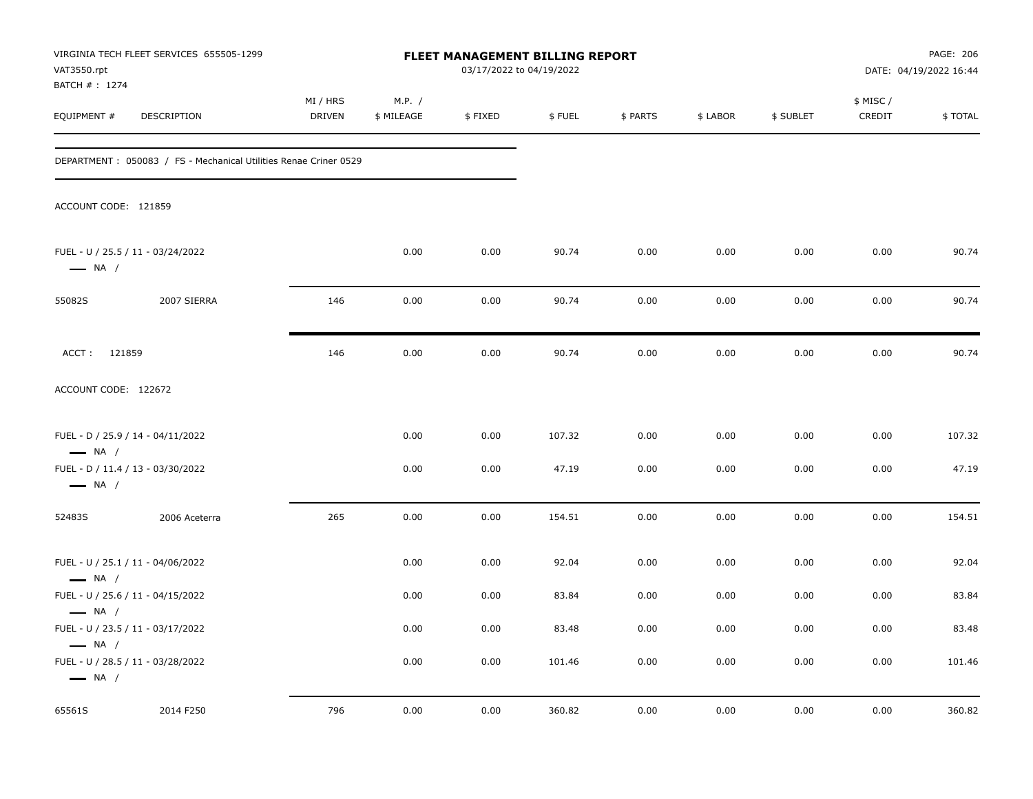| VAT3550.rpt<br>BATCH #: 1274                     | VIRGINIA TECH FLEET SERVICES 655505-1299                          |                           |                      | <b>FLEET MANAGEMENT BILLING REPORT</b><br>03/17/2022 to 04/19/2022 |        |          |          |           |                     | PAGE: 206<br>DATE: 04/19/2022 16:44 |
|--------------------------------------------------|-------------------------------------------------------------------|---------------------------|----------------------|--------------------------------------------------------------------|--------|----------|----------|-----------|---------------------|-------------------------------------|
| EQUIPMENT #                                      | DESCRIPTION                                                       | MI / HRS<br><b>DRIVEN</b> | M.P. /<br>\$ MILEAGE | \$FIXED                                                            | \$FUEL | \$ PARTS | \$ LABOR | \$ SUBLET | \$ MISC /<br>CREDIT | \$TOTAL                             |
|                                                  | DEPARTMENT : 050083 / FS - Mechanical Utilities Renae Criner 0529 |                           |                      |                                                                    |        |          |          |           |                     |                                     |
| ACCOUNT CODE: 121859                             |                                                                   |                           |                      |                                                                    |        |          |          |           |                     |                                     |
| $\longrightarrow$ NA /                           | FUEL - U / 25.5 / 11 - 03/24/2022                                 |                           | 0.00                 | 0.00                                                               | 90.74  | 0.00     | 0.00     | 0.00      | 0.00                | 90.74                               |
| 55082S                                           | 2007 SIERRA                                                       | 146                       | 0.00                 | 0.00                                                               | 90.74  | 0.00     | 0.00     | 0.00      | 0.00                | 90.74                               |
| ACCT: 121859                                     |                                                                   | 146                       | 0.00                 | 0.00                                                               | 90.74  | 0.00     | 0.00     | 0.00      | 0.00                | 90.74                               |
| ACCOUNT CODE: 122672                             |                                                                   |                           |                      |                                                                    |        |          |          |           |                     |                                     |
| $\longrightarrow$ NA /                           | FUEL - D / 25.9 / 14 - 04/11/2022                                 |                           | 0.00                 | 0.00                                                               | 107.32 | 0.00     | 0.00     | 0.00      | 0.00                | 107.32                              |
| $\longrightarrow$ NA /                           | FUEL - D / 11.4 / 13 - 03/30/2022                                 |                           | 0.00                 | 0.00                                                               | 47.19  | 0.00     | 0.00     | 0.00      | 0.00                | 47.19                               |
| 52483S                                           | 2006 Aceterra                                                     | 265                       | 0.00                 | 0.00                                                               | 154.51 | 0.00     | 0.00     | 0.00      | 0.00                | 154.51                              |
| $\longrightarrow$ NA /                           | FUEL - U / 25.1 / 11 - 04/06/2022                                 |                           | 0.00                 | 0.00                                                               | 92.04  | 0.00     | 0.00     | 0.00      | 0.00                | 92.04                               |
|                                                  | FUEL - U / 25.6 / 11 - 04/15/2022                                 |                           | 0.00                 | 0.00                                                               | 83.84  | 0.00     | 0.00     | 0.00      | 0.00                | 83.84                               |
| $\longrightarrow$ NA /<br>$\longrightarrow$ NA / | FUEL - U / 23.5 / 11 - 03/17/2022                                 |                           | 0.00                 | 0.00                                                               | 83.48  | 0.00     | 0.00     | 0.00      | 0.00                | 83.48                               |
| $\longrightarrow$ NA /                           | FUEL - U / 28.5 / 11 - 03/28/2022                                 |                           | 0.00                 | 0.00                                                               | 101.46 | 0.00     | 0.00     | 0.00      | 0.00                | 101.46                              |
| 65561S                                           | 2014 F250                                                         | 796                       | 0.00                 | 0.00                                                               | 360.82 | 0.00     | 0.00     | 0.00      | 0.00                | 360.82                              |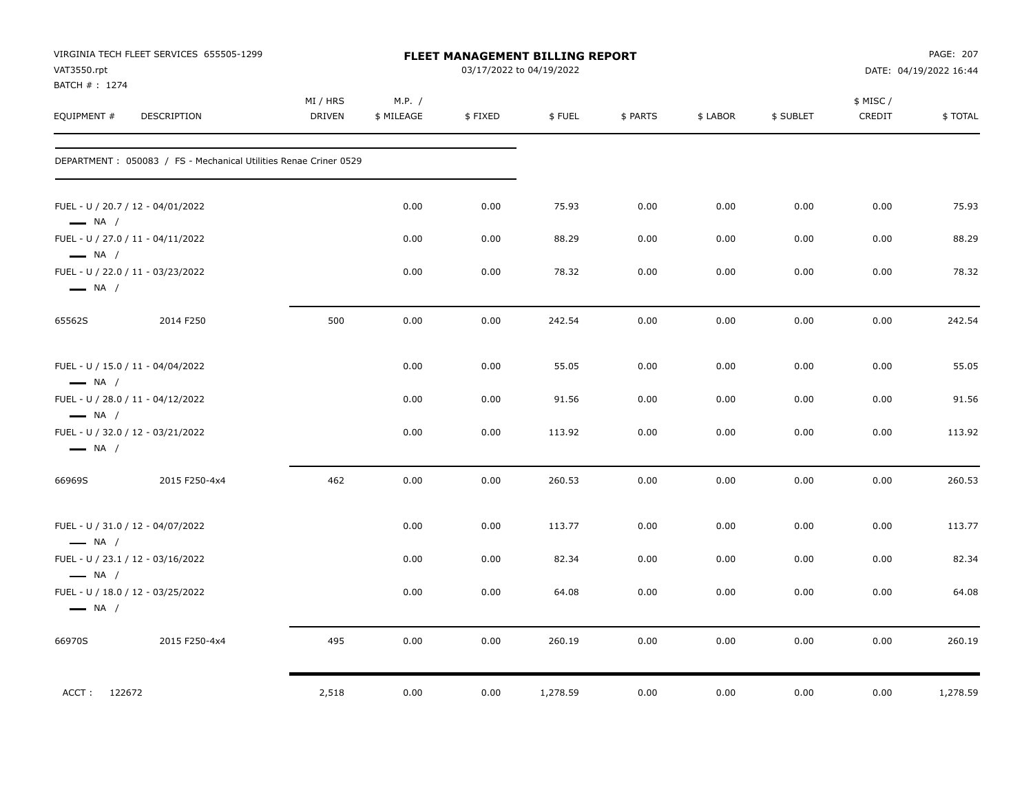| VAT3550.rpt<br>BATCH #: 1274                     | VIRGINIA TECH FLEET SERVICES 655505-1299                          |                           |                      |         | <b>FLEET MANAGEMENT BILLING REPORT</b><br>03/17/2022 to 04/19/2022 |          |          |           |                    | PAGE: 207<br>DATE: 04/19/2022 16:44 |
|--------------------------------------------------|-------------------------------------------------------------------|---------------------------|----------------------|---------|--------------------------------------------------------------------|----------|----------|-----------|--------------------|-------------------------------------|
| EQUIPMENT #                                      | DESCRIPTION                                                       | MI / HRS<br><b>DRIVEN</b> | M.P. /<br>\$ MILEAGE | \$FIXED | \$FUEL                                                             | \$ PARTS | \$ LABOR | \$ SUBLET | \$ MISC/<br>CREDIT | \$TOTAL                             |
|                                                  | DEPARTMENT : 050083 / FS - Mechanical Utilities Renae Criner 0529 |                           |                      |         |                                                                    |          |          |           |                    |                                     |
| $\longrightarrow$ NA /                           | FUEL - U / 20.7 / 12 - 04/01/2022                                 |                           | 0.00                 | 0.00    | 75.93                                                              | 0.00     | 0.00     | 0.00      | 0.00               | 75.93                               |
|                                                  | FUEL - U / 27.0 / 11 - 04/11/2022                                 |                           | 0.00                 | 0.00    | 88.29                                                              | 0.00     | 0.00     | 0.00      | 0.00               | 88.29                               |
| $\longrightarrow$ NA /<br>$\longrightarrow$ NA / | FUEL - U / 22.0 / 11 - 03/23/2022                                 |                           | 0.00                 | 0.00    | 78.32                                                              | 0.00     | 0.00     | 0.00      | 0.00               | 78.32                               |
| 65562S                                           | 2014 F250                                                         | 500                       | 0.00                 | 0.00    | 242.54                                                             | 0.00     | 0.00     | 0.00      | 0.00               | 242.54                              |
| $\longrightarrow$ NA /                           | FUEL - U / 15.0 / 11 - 04/04/2022                                 |                           | 0.00                 | 0.00    | 55.05                                                              | 0.00     | 0.00     | 0.00      | 0.00               | 55.05                               |
|                                                  | FUEL - U / 28.0 / 11 - 04/12/2022                                 |                           | 0.00                 | 0.00    | 91.56                                                              | 0.00     | 0.00     | 0.00      | 0.00               | 91.56                               |
| $-$ NA $/$<br>$\longrightarrow$ NA /             | FUEL - U / 32.0 / 12 - 03/21/2022                                 |                           | 0.00                 | 0.00    | 113.92                                                             | 0.00     | 0.00     | 0.00      | 0.00               | 113.92                              |
| 66969S                                           | 2015 F250-4x4                                                     | 462                       | 0.00                 | 0.00    | 260.53                                                             | 0.00     | 0.00     | 0.00      | 0.00               | 260.53                              |
| $\longrightarrow$ NA /                           | FUEL - U / 31.0 / 12 - 04/07/2022                                 |                           | 0.00                 | 0.00    | 113.77                                                             | 0.00     | 0.00     | 0.00      | 0.00               | 113.77                              |
| $\longrightarrow$ NA /                           | FUEL - U / 23.1 / 12 - 03/16/2022                                 |                           | 0.00                 | 0.00    | 82.34                                                              | 0.00     | 0.00     | 0.00      | 0.00               | 82.34                               |
| $\longrightarrow$ NA /                           | FUEL - U / 18.0 / 12 - 03/25/2022                                 |                           | 0.00                 | 0.00    | 64.08                                                              | 0.00     | 0.00     | 0.00      | 0.00               | 64.08                               |
| 66970S                                           | 2015 F250-4x4                                                     | 495                       | 0.00                 | 0.00    | 260.19                                                             | 0.00     | 0.00     | 0.00      | 0.00               | 260.19                              |
| ACCT: 122672                                     |                                                                   | 2,518                     | 0.00                 | 0.00    | 1,278.59                                                           | 0.00     | 0.00     | 0.00      | 0.00               | 1,278.59                            |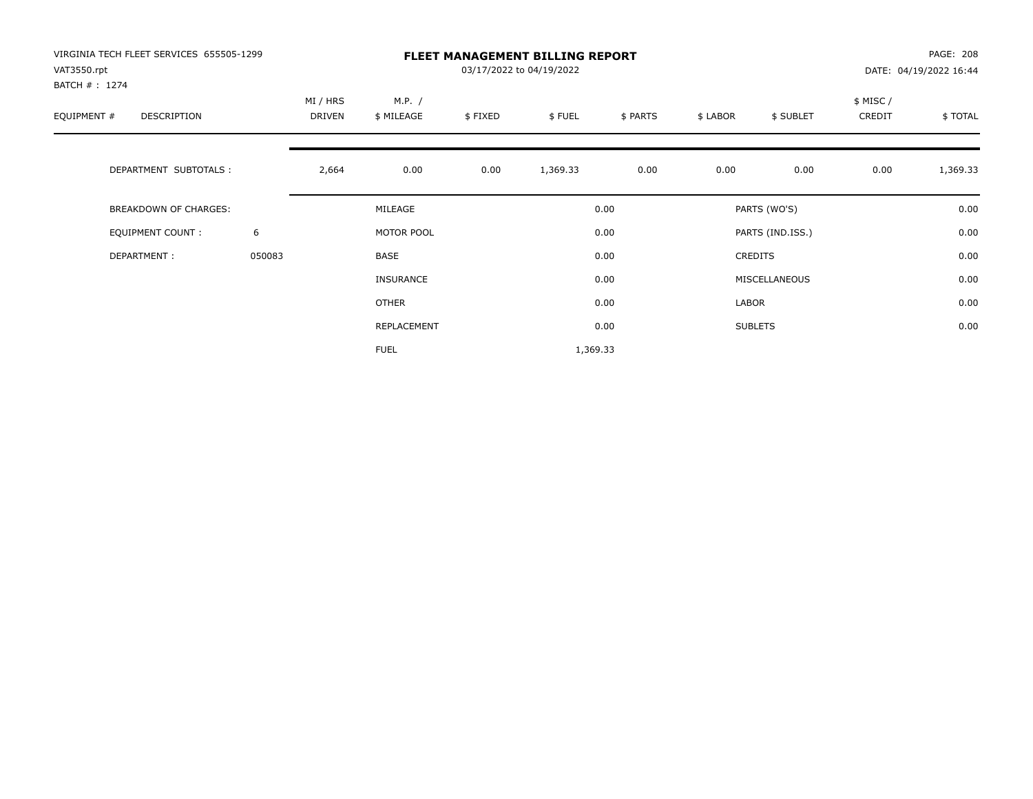| VIRGINIA TECH FLEET SERVICES 655505-1299<br>VAT3550.rpt<br>BATCH #: 1274 |        |                    |                      |         | <b>FLEET MANAGEMENT BILLING REPORT</b><br>03/17/2022 to 04/19/2022 |          |          |                  |                     | PAGE: 208<br>DATE: 04/19/2022 16:44 |
|--------------------------------------------------------------------------|--------|--------------------|----------------------|---------|--------------------------------------------------------------------|----------|----------|------------------|---------------------|-------------------------------------|
| EQUIPMENT #<br><b>DESCRIPTION</b>                                        |        | MI / HRS<br>DRIVEN | M.P. /<br>\$ MILEAGE | \$FIXED | \$FUEL                                                             | \$ PARTS | \$ LABOR | \$ SUBLET        | \$ MISC /<br>CREDIT | \$TOTAL                             |
| DEPARTMENT SUBTOTALS :                                                   |        | 2,664              | 0.00                 | 0.00    | 1,369.33                                                           | 0.00     | 0.00     | 0.00             | 0.00                | 1,369.33                            |
| <b>BREAKDOWN OF CHARGES:</b>                                             |        |                    | MILEAGE              |         |                                                                    | 0.00     |          | PARTS (WO'S)     |                     | 0.00                                |
| EQUIPMENT COUNT:                                                         | 6      |                    | MOTOR POOL           |         |                                                                    | 0.00     |          | PARTS (IND.ISS.) |                     | 0.00                                |
| DEPARTMENT:                                                              | 050083 |                    | <b>BASE</b>          |         |                                                                    | 0.00     |          | <b>CREDITS</b>   |                     | 0.00                                |
|                                                                          |        |                    | <b>INSURANCE</b>     |         |                                                                    | 0.00     |          | MISCELLANEOUS    |                     | 0.00                                |
|                                                                          |        |                    | OTHER                |         |                                                                    | 0.00     | LABOR    |                  |                     | 0.00                                |
|                                                                          |        |                    | REPLACEMENT          |         |                                                                    | 0.00     |          | <b>SUBLETS</b>   |                     | 0.00                                |
|                                                                          |        |                    | <b>FUEL</b>          |         | 1,369.33                                                           |          |          |                  |                     |                                     |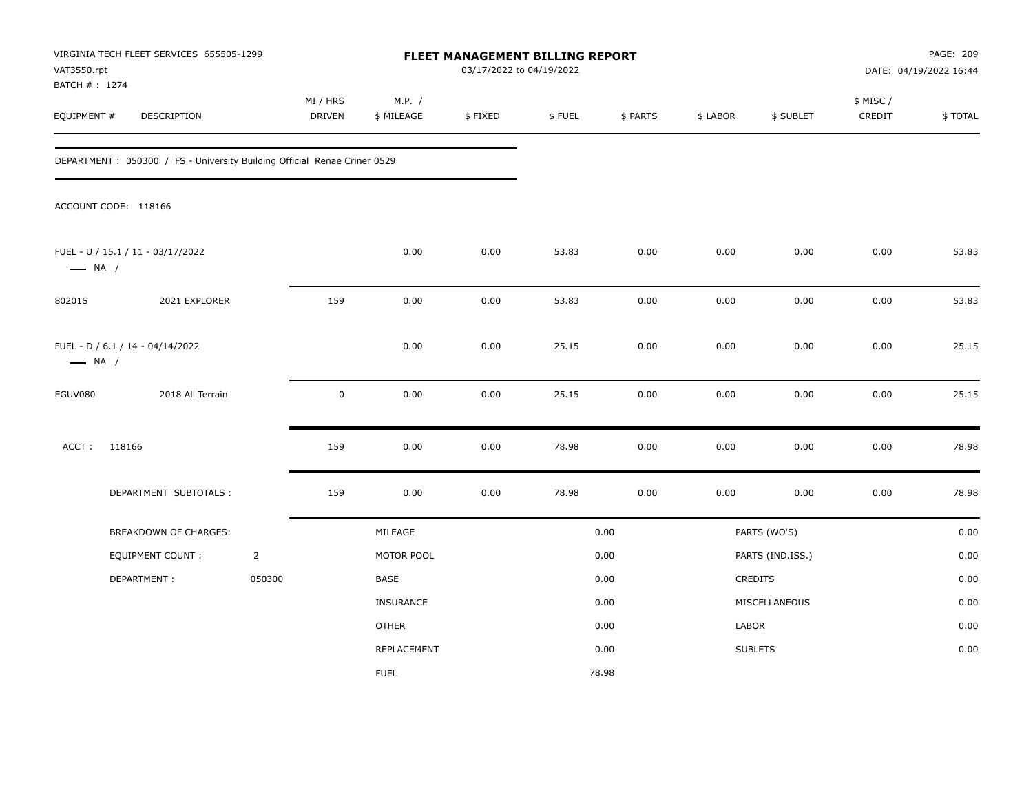| VAT3550.rpt<br>BATCH # : 1274 | VIRGINIA TECH FLEET SERVICES 655505-1299                                 |                |                    |                      | 03/17/2022 to 04/19/2022 | FLEET MANAGEMENT BILLING REPORT |          |          |                  |                     | PAGE: 209<br>DATE: 04/19/2022 16:44 |
|-------------------------------|--------------------------------------------------------------------------|----------------|--------------------|----------------------|--------------------------|---------------------------------|----------|----------|------------------|---------------------|-------------------------------------|
| EQUIPMENT #                   | DESCRIPTION                                                              |                | MI / HRS<br>DRIVEN | M.P. /<br>\$ MILEAGE | \$FIXED                  | \$FUEL                          | \$ PARTS | \$ LABOR | \$ SUBLET        | \$ MISC /<br>CREDIT | \$TOTAL                             |
|                               | DEPARTMENT: 050300 / FS - University Building Official Renae Criner 0529 |                |                    |                      |                          |                                 |          |          |                  |                     |                                     |
|                               | ACCOUNT CODE: 118166                                                     |                |                    |                      |                          |                                 |          |          |                  |                     |                                     |
| $\longrightarrow$ NA /        | FUEL - U / 15.1 / 11 - 03/17/2022                                        |                |                    | 0.00                 | 0.00                     | 53.83                           | 0.00     | 0.00     | 0.00             | 0.00                | 53.83                               |
| 80201S                        | 2021 EXPLORER                                                            |                | 159                | 0.00                 | 0.00                     | 53.83                           | 0.00     | 0.00     | 0.00             | 0.00                | 53.83                               |
| $\longrightarrow$ NA /        | FUEL - D / 6.1 / 14 - 04/14/2022                                         |                |                    | 0.00                 | 0.00                     | 25.15                           | 0.00     | 0.00     | 0.00             | 0.00                | 25.15                               |
| EGUV080                       | 2018 All Terrain                                                         |                | $\mathbf 0$        | 0.00                 | $0.00\,$                 | 25.15                           | 0.00     | 0.00     | 0.00             | 0.00                | 25.15                               |
| ACCT:                         | 118166                                                                   |                | 159                | 0.00                 | 0.00                     | 78.98                           | 0.00     | 0.00     | 0.00             | 0.00                | 78.98                               |
|                               | DEPARTMENT SUBTOTALS :                                                   |                | 159                | 0.00                 | 0.00                     | 78.98                           | 0.00     | 0.00     | 0.00             | 0.00                | 78.98                               |
|                               | BREAKDOWN OF CHARGES:                                                    |                |                    | MILEAGE              |                          |                                 | 0.00     |          | PARTS (WO'S)     |                     | 0.00                                |
|                               | <b>EQUIPMENT COUNT:</b>                                                  | $\overline{2}$ |                    | MOTOR POOL           |                          |                                 | 0.00     |          | PARTS (IND.ISS.) |                     | 0.00                                |
|                               | DEPARTMENT:                                                              | 050300         |                    | BASE                 |                          |                                 | 0.00     |          | CREDITS          |                     | 0.00                                |
|                               |                                                                          |                |                    | INSURANCE            |                          |                                 | 0.00     |          | MISCELLANEOUS    |                     | 0.00                                |
|                               |                                                                          |                |                    | <b>OTHER</b>         |                          |                                 | 0.00     | LABOR    |                  |                     | 0.00                                |
|                               |                                                                          |                |                    | REPLACEMENT          |                          |                                 | 0.00     |          | <b>SUBLETS</b>   |                     | 0.00                                |
|                               |                                                                          |                |                    | <b>FUEL</b>          |                          |                                 | 78.98    |          |                  |                     |                                     |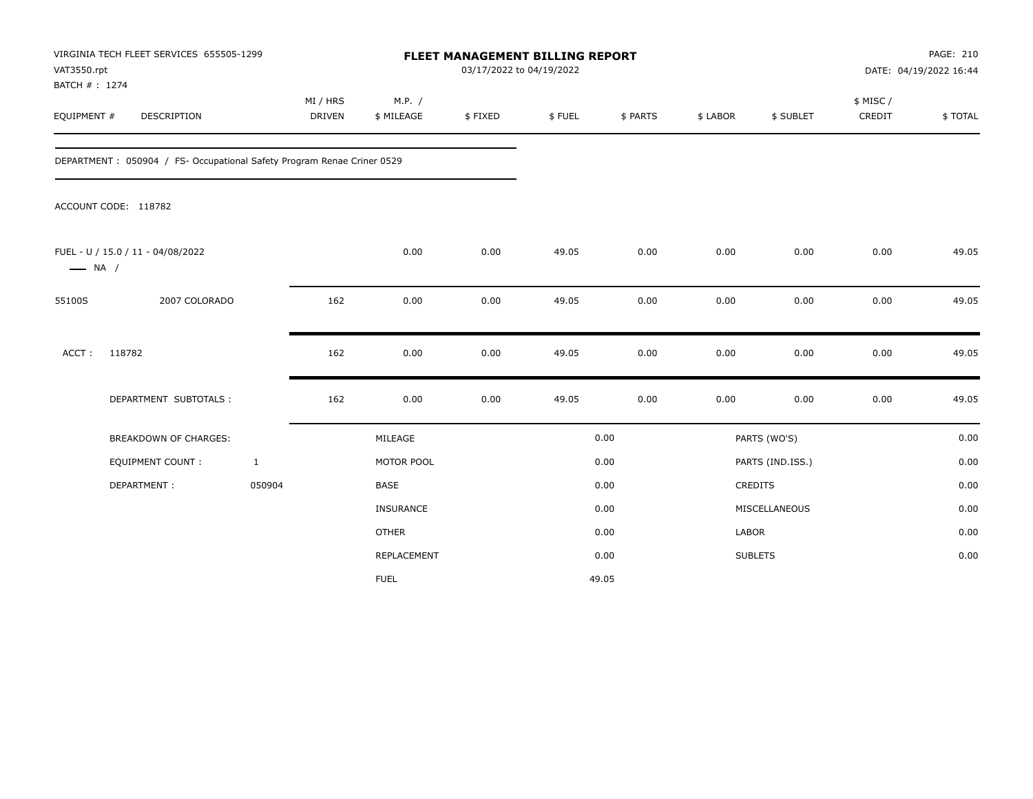| VAT3550.rpt                  | VIRGINIA TECH FLEET SERVICES 655505-1299                                |                           |                      | FLEET MANAGEMENT BILLING REPORT<br>03/17/2022 to 04/19/2022 |        |          |          |                  |                     | PAGE: 210<br>DATE: 04/19/2022 16:44 |
|------------------------------|-------------------------------------------------------------------------|---------------------------|----------------------|-------------------------------------------------------------|--------|----------|----------|------------------|---------------------|-------------------------------------|
| BATCH #: 1274<br>EQUIPMENT # | DESCRIPTION                                                             | MI / HRS<br><b>DRIVEN</b> | M.P. /<br>\$ MILEAGE | \$FIXED                                                     | \$FUEL | \$ PARTS | \$ LABOR | \$ SUBLET        | \$ MISC /<br>CREDIT | \$TOTAL                             |
|                              | DEPARTMENT : 050904 / FS- Occupational Safety Program Renae Criner 0529 |                           |                      |                                                             |        |          |          |                  |                     |                                     |
|                              | ACCOUNT CODE: 118782                                                    |                           |                      |                                                             |        |          |          |                  |                     |                                     |
| $\longrightarrow$ NA /       | FUEL - U / 15.0 / 11 - 04/08/2022                                       |                           | 0.00                 | 0.00                                                        | 49.05  | 0.00     | 0.00     | 0.00             | 0.00                | 49.05                               |
| 55100S                       | 2007 COLORADO                                                           | 162                       | 0.00                 | 0.00                                                        | 49.05  | 0.00     | 0.00     | 0.00             | 0.00                | 49.05                               |
| ACCT:                        | 118782                                                                  | 162                       | 0.00                 | 0.00                                                        | 49.05  | 0.00     | 0.00     | 0.00             | 0.00                | 49.05                               |
|                              | DEPARTMENT SUBTOTALS :                                                  | 162                       | 0.00                 | 0.00                                                        | 49.05  | 0.00     | 0.00     | 0.00             | 0.00                | 49.05                               |
|                              | <b>BREAKDOWN OF CHARGES:</b>                                            |                           | MILEAGE              |                                                             |        | 0.00     |          | PARTS (WO'S)     |                     | 0.00                                |
|                              | <b>EQUIPMENT COUNT:</b>                                                 | $\mathbf{1}$              | MOTOR POOL           |                                                             |        | 0.00     |          | PARTS (IND.ISS.) |                     | 0.00                                |
|                              | DEPARTMENT:                                                             | 050904                    | <b>BASE</b>          |                                                             |        | 0.00     |          | <b>CREDITS</b>   |                     | 0.00                                |
|                              |                                                                         |                           | <b>INSURANCE</b>     |                                                             |        | 0.00     |          | MISCELLANEOUS    |                     | 0.00                                |
|                              |                                                                         |                           | <b>OTHER</b>         |                                                             |        | 0.00     | LABOR    |                  |                     | 0.00                                |
|                              |                                                                         |                           | REPLACEMENT          |                                                             |        | 0.00     |          | <b>SUBLETS</b>   |                     | 0.00                                |
|                              |                                                                         |                           | <b>FUEL</b>          |                                                             |        | 49.05    |          |                  |                     |                                     |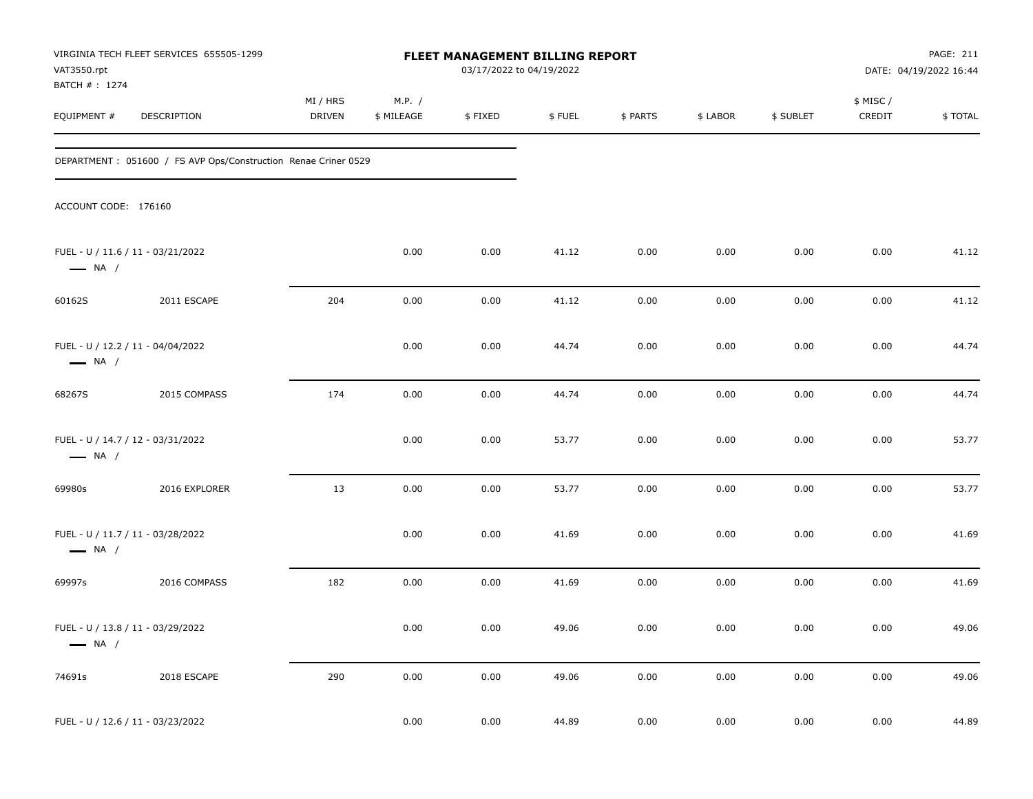| VAT3550.rpt                  | VIRGINIA TECH FLEET SERVICES 655505-1299                        |                    |                      | FLEET MANAGEMENT BILLING REPORT<br>03/17/2022 to 04/19/2022 |        |          |          |           |                     | PAGE: 211<br>DATE: 04/19/2022 16:44 |
|------------------------------|-----------------------------------------------------------------|--------------------|----------------------|-------------------------------------------------------------|--------|----------|----------|-----------|---------------------|-------------------------------------|
| BATCH #: 1274<br>EQUIPMENT # | DESCRIPTION                                                     | MI / HRS<br>DRIVEN | M.P. /<br>\$ MILEAGE | \$FIXED                                                     | \$FUEL | \$ PARTS | \$ LABOR | \$ SUBLET | \$ MISC /<br>CREDIT | \$TOTAL                             |
|                              | DEPARTMENT : 051600 / FS AVP Ops/Construction Renae Criner 0529 |                    |                      |                                                             |        |          |          |           |                     |                                     |
| ACCOUNT CODE: 176160         |                                                                 |                    |                      |                                                             |        |          |          |           |                     |                                     |
| $\longrightarrow$ NA /       | FUEL - U / 11.6 / 11 - 03/21/2022                               |                    | 0.00                 | 0.00                                                        | 41.12  | 0.00     | 0.00     | 0.00      | 0.00                | 41.12                               |
| 60162S                       | 2011 ESCAPE                                                     | 204                | 0.00                 | 0.00                                                        | 41.12  | 0.00     | 0.00     | 0.00      | 0.00                | 41.12                               |
| $\longrightarrow$ NA /       | FUEL - U / 12.2 / 11 - 04/04/2022                               |                    | 0.00                 | 0.00                                                        | 44.74  | 0.00     | 0.00     | 0.00      | 0.00                | 44.74                               |
| 68267S                       | 2015 COMPASS                                                    | 174                | 0.00                 | 0.00                                                        | 44.74  | 0.00     | 0.00     | 0.00      | 0.00                | 44.74                               |
| $\longrightarrow$ NA /       | FUEL - U / 14.7 / 12 - 03/31/2022                               |                    | 0.00                 | 0.00                                                        | 53.77  | 0.00     | 0.00     | 0.00      | 0.00                | 53.77                               |
| 69980s                       | 2016 EXPLORER                                                   | 13                 | 0.00                 | 0.00                                                        | 53.77  | 0.00     | 0.00     | 0.00      | 0.00                | 53.77                               |
| $\longrightarrow$ NA /       | FUEL - U / 11.7 / 11 - 03/28/2022                               |                    | 0.00                 | 0.00                                                        | 41.69  | 0.00     | 0.00     | 0.00      | 0.00                | 41.69                               |
| 69997s                       | 2016 COMPASS                                                    | 182                | 0.00                 | 0.00                                                        | 41.69  | 0.00     | 0.00     | 0.00      | 0.00                | 41.69                               |
| $\longrightarrow$ NA /       | FUEL - U / 13.8 / 11 - 03/29/2022                               |                    | 0.00                 | 0.00                                                        | 49.06  | 0.00     | 0.00     | 0.00      | 0.00                | 49.06                               |
| 74691s                       | 2018 ESCAPE                                                     | 290                | 0.00                 | 0.00                                                        | 49.06  | 0.00     | 0.00     | 0.00      | $0.00\,$            | 49.06                               |
|                              | FUEL - U / 12.6 / 11 - 03/23/2022                               |                    | 0.00                 | 0.00                                                        | 44.89  | 0.00     | 0.00     | 0.00      | 0.00                | 44.89                               |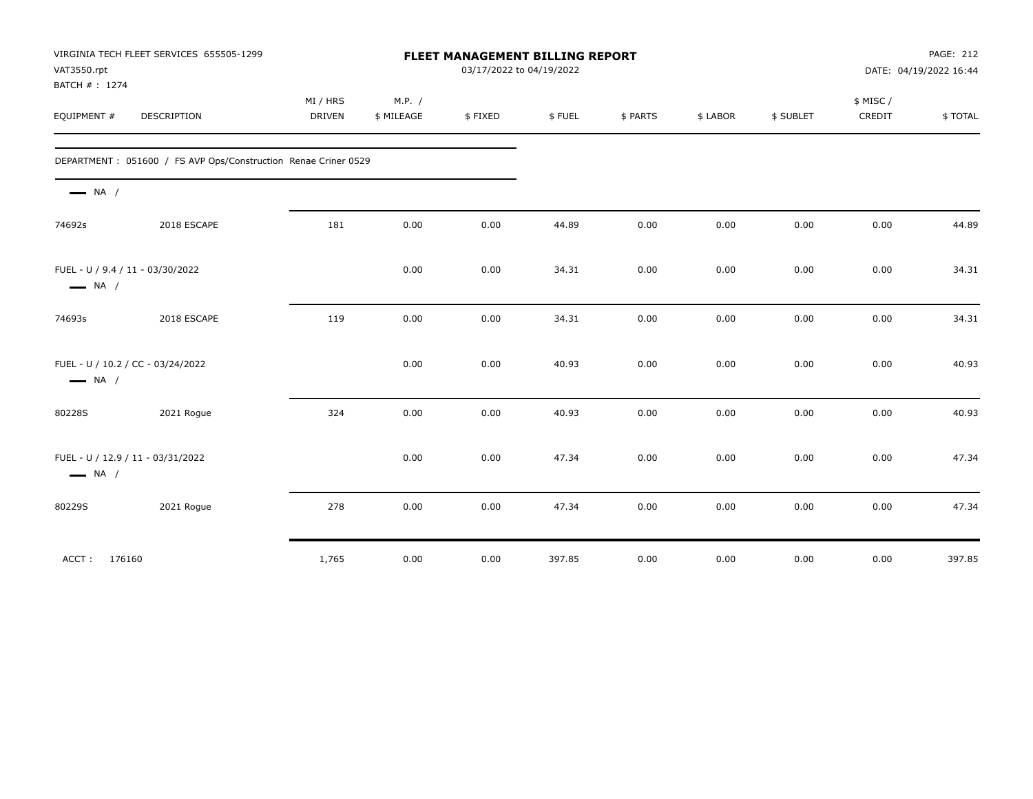| VAT3550.rpt<br>BATCH #: 1274                                | VIRGINIA TECH FLEET SERVICES 655505-1299                        |                    |                      |         | FLEET MANAGEMENT BILLING REPORT<br>03/17/2022 to 04/19/2022 |          |          |           |                     | PAGE: 212<br>DATE: 04/19/2022 16:44 |
|-------------------------------------------------------------|-----------------------------------------------------------------|--------------------|----------------------|---------|-------------------------------------------------------------|----------|----------|-----------|---------------------|-------------------------------------|
| EQUIPMENT #                                                 | DESCRIPTION                                                     | MI / HRS<br>DRIVEN | M.P. /<br>\$ MILEAGE | \$FIXED | \$FUEL                                                      | \$ PARTS | \$ LABOR | \$ SUBLET | \$ MISC /<br>CREDIT | \$TOTAL                             |
|                                                             | DEPARTMENT : 051600 / FS AVP Ops/Construction Renae Criner 0529 |                    |                      |         |                                                             |          |          |           |                     |                                     |
| $\longrightarrow$ NA /                                      |                                                                 |                    |                      |         |                                                             |          |          |           |                     |                                     |
| 74692s                                                      | 2018 ESCAPE                                                     | 181                | 0.00                 | 0.00    | 44.89                                                       | 0.00     | 0.00     | 0.00      | 0.00                | 44.89                               |
| FUEL - U / 9.4 / 11 - 03/30/2022<br>$\longrightarrow$ NA /  |                                                                 |                    | 0.00                 | 0.00    | 34.31                                                       | 0.00     | 0.00     | 0.00      | 0.00                | 34.31                               |
| 74693s                                                      | 2018 ESCAPE                                                     | 119                | 0.00                 | 0.00    | 34.31                                                       | 0.00     | 0.00     | 0.00      | 0.00                | 34.31                               |
| FUEL - U / 10.2 / CC - 03/24/2022<br>$\longrightarrow$ NA / |                                                                 |                    | 0.00                 | 0.00    | 40.93                                                       | 0.00     | 0.00     | 0.00      | 0.00                | 40.93                               |
| 80228S                                                      | 2021 Rogue                                                      | 324                | 0.00                 | 0.00    | 40.93                                                       | 0.00     | 0.00     | 0.00      | 0.00                | 40.93                               |
| FUEL - U / 12.9 / 11 - 03/31/2022<br>$\longrightarrow$ NA / |                                                                 |                    | 0.00                 | 0.00    | 47.34                                                       | 0.00     | 0.00     | 0.00      | 0.00                | 47.34                               |
| 80229S                                                      | 2021 Rogue                                                      | 278                | 0.00                 | 0.00    | 47.34                                                       | 0.00     | 0.00     | 0.00      | 0.00                | 47.34                               |
| 176160<br>ACCT:                                             |                                                                 | 1,765              | 0.00                 | 0.00    | 397.85                                                      | 0.00     | 0.00     | 0.00      | 0.00                | 397.85                              |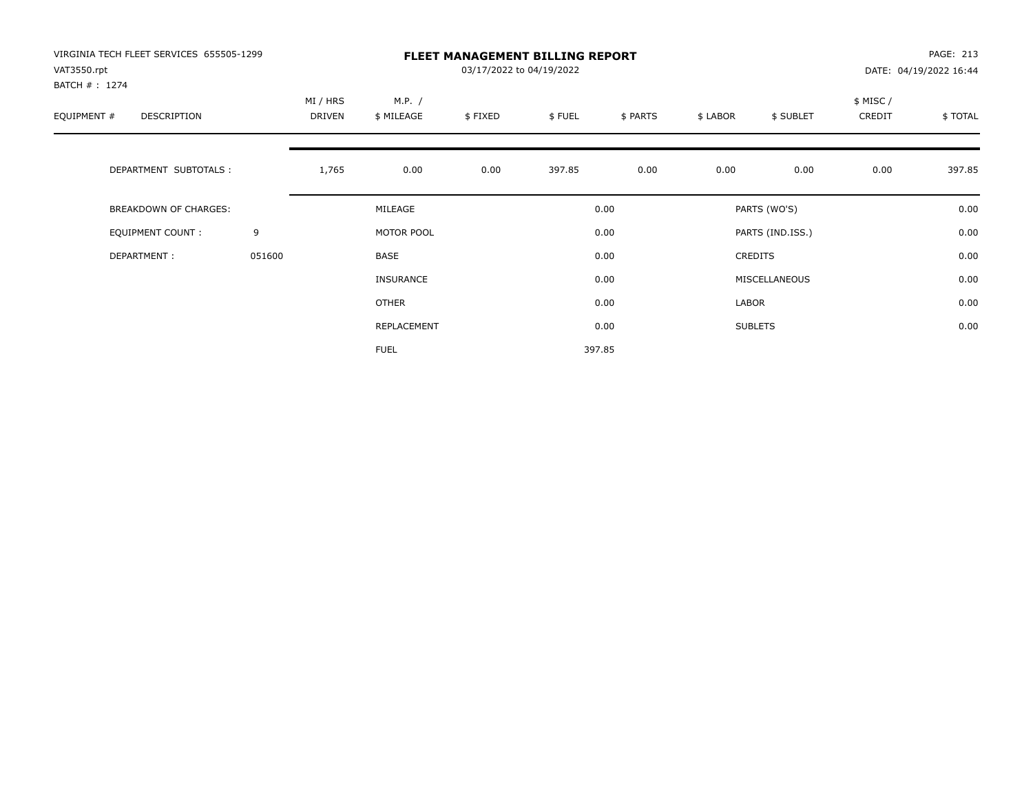| VIRGINIA TECH FLEET SERVICES 655505-1299<br>VAT3550.rpt<br>BATCH #: 1274 |        |                    |                      | 03/17/2022 to 04/19/2022 | <b>FLEET MANAGEMENT BILLING REPORT</b> |          |          |                  |                    | PAGE: 213<br>DATE: 04/19/2022 16:44 |
|--------------------------------------------------------------------------|--------|--------------------|----------------------|--------------------------|----------------------------------------|----------|----------|------------------|--------------------|-------------------------------------|
| EQUIPMENT #<br>DESCRIPTION                                               |        | MI / HRS<br>DRIVEN | M.P. /<br>\$ MILEAGE | \$FIXED                  | \$FUEL                                 | \$ PARTS | \$ LABOR | \$ SUBLET        | \$ MISC/<br>CREDIT | \$TOTAL                             |
| DEPARTMENT SUBTOTALS :                                                   |        | 1,765              | 0.00                 | 0.00                     | 397.85                                 | 0.00     | 0.00     | 0.00             | 0.00               | 397.85                              |
| <b>BREAKDOWN OF CHARGES:</b>                                             |        |                    | MILEAGE              |                          |                                        | 0.00     |          | PARTS (WO'S)     |                    | 0.00                                |
| EQUIPMENT COUNT:                                                         | 9      |                    | MOTOR POOL           |                          |                                        | 0.00     |          | PARTS (IND.ISS.) |                    | 0.00                                |
| DEPARTMENT:                                                              | 051600 |                    | <b>BASE</b>          |                          |                                        | 0.00     |          | <b>CREDITS</b>   |                    | 0.00                                |
|                                                                          |        |                    | INSURANCE            |                          |                                        | 0.00     |          | MISCELLANEOUS    |                    | 0.00                                |
|                                                                          |        |                    | <b>OTHER</b>         |                          |                                        | 0.00     | LABOR    |                  |                    | 0.00                                |
|                                                                          |        |                    | REPLACEMENT          |                          |                                        | 0.00     |          | <b>SUBLETS</b>   |                    | 0.00                                |
|                                                                          |        |                    | <b>FUEL</b>          |                          |                                        | 397.85   |          |                  |                    |                                     |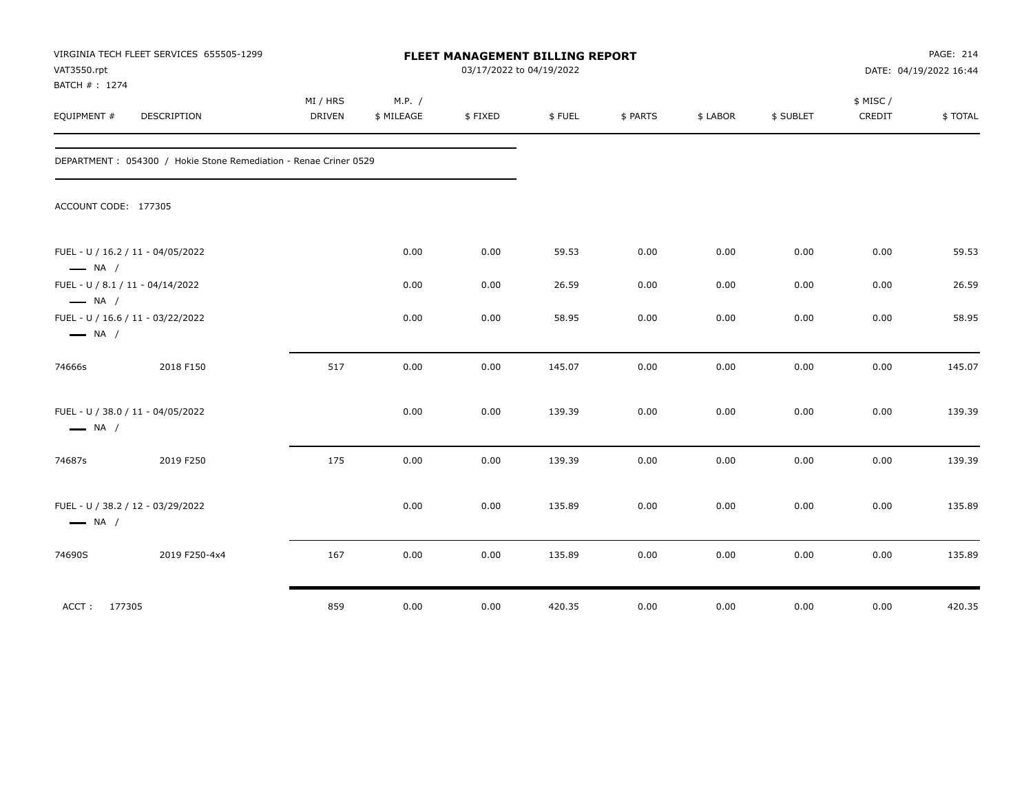| VAT3550.rpt<br>BATCH # : 1274 | VIRGINIA TECH FLEET SERVICES 655505-1299                          |                           |                      | FLEET MANAGEMENT BILLING REPORT<br>03/17/2022 to 04/19/2022 |        |          |          |           |                    | PAGE: 214<br>DATE: 04/19/2022 16:44 |
|-------------------------------|-------------------------------------------------------------------|---------------------------|----------------------|-------------------------------------------------------------|--------|----------|----------|-----------|--------------------|-------------------------------------|
| EQUIPMENT #                   | DESCRIPTION                                                       | MI / HRS<br><b>DRIVEN</b> | M.P. /<br>\$ MILEAGE | \$FIXED                                                     | \$FUEL | \$ PARTS | \$ LABOR | \$ SUBLET | \$ MISC/<br>CREDIT | \$TOTAL                             |
|                               | DEPARTMENT : 054300 / Hokie Stone Remediation - Renae Criner 0529 |                           |                      |                                                             |        |          |          |           |                    |                                     |
|                               | ACCOUNT CODE: 177305                                              |                           |                      |                                                             |        |          |          |           |                    |                                     |
| $\longrightarrow$ NA /        | FUEL - U / 16.2 / 11 - 04/05/2022                                 |                           | 0.00                 | 0.00                                                        | 59.53  | 0.00     | 0.00     | 0.00      | 0.00               | 59.53                               |
| $\longrightarrow$ NA /        | FUEL - U / 8.1 / 11 - 04/14/2022                                  |                           | 0.00                 | 0.00                                                        | 26.59  | 0.00     | 0.00     | 0.00      | 0.00               | 26.59                               |
| $\longrightarrow$ NA /        | FUEL - U / 16.6 / 11 - 03/22/2022                                 |                           | 0.00                 | 0.00                                                        | 58.95  | 0.00     | 0.00     | 0.00      | 0.00               | 58.95                               |
| 74666s                        | 2018 F150                                                         | 517                       | 0.00                 | 0.00                                                        | 145.07 | 0.00     | 0.00     | 0.00      | 0.00               | 145.07                              |
| $\longrightarrow$ NA /        | FUEL - U / 38.0 / 11 - 04/05/2022                                 |                           | 0.00                 | 0.00                                                        | 139.39 | 0.00     | 0.00     | 0.00      | 0.00               | 139.39                              |
| 74687s                        | 2019 F250                                                         | 175                       | 0.00                 | 0.00                                                        | 139.39 | 0.00     | 0.00     | 0.00      | 0.00               | 139.39                              |
| $\longrightarrow$ NA /        | FUEL - U / 38.2 / 12 - 03/29/2022                                 |                           | 0.00                 | 0.00                                                        | 135.89 | 0.00     | 0.00     | 0.00      | 0.00               | 135.89                              |
| 74690S                        | 2019 F250-4x4                                                     | 167                       | 0.00                 | 0.00                                                        | 135.89 | 0.00     | 0.00     | 0.00      | 0.00               | 135.89                              |
| ACCT: 177305                  |                                                                   | 859                       | 0.00                 | 0.00                                                        | 420.35 | 0.00     | 0.00     | 0.00      | 0.00               | 420.35                              |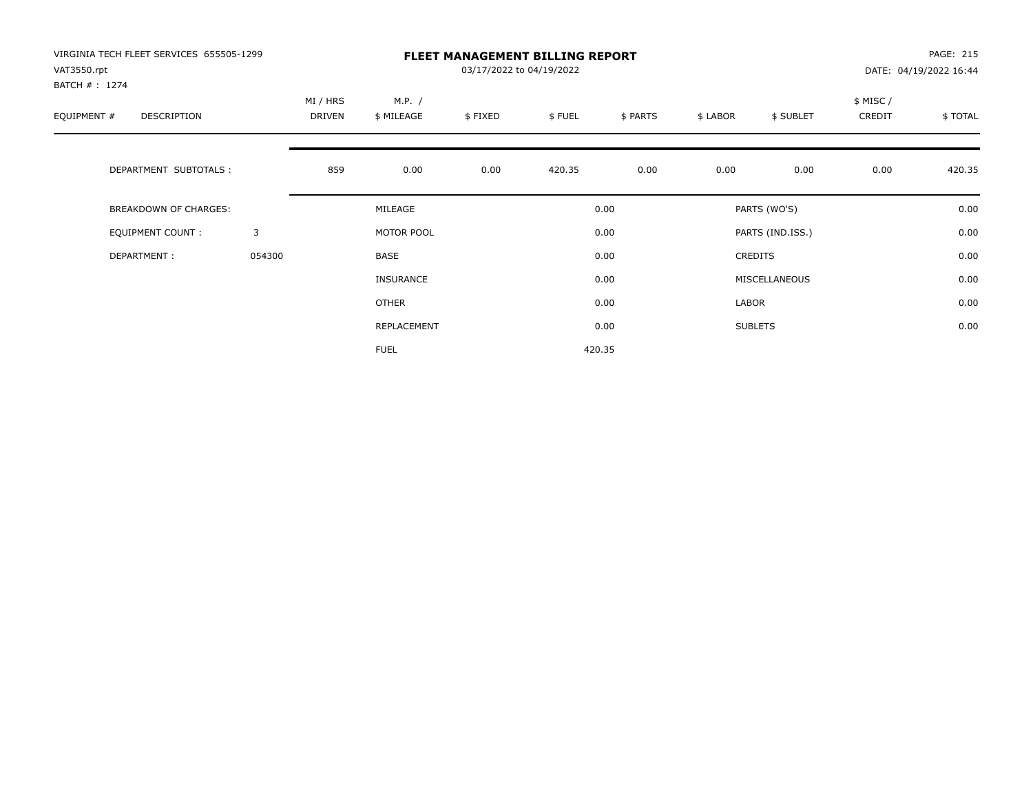| VIRGINIA TECH FLEET SERVICES 655505-1299<br>VAT3550.rpt<br>BATCH #: 1274 |        |                    |                      | 03/17/2022 to 04/19/2022 | <b>FLEET MANAGEMENT BILLING REPORT</b> |          |          |                  |                     | PAGE: 215<br>DATE: 04/19/2022 16:44 |
|--------------------------------------------------------------------------|--------|--------------------|----------------------|--------------------------|----------------------------------------|----------|----------|------------------|---------------------|-------------------------------------|
| EQUIPMENT #<br><b>DESCRIPTION</b>                                        |        | MI / HRS<br>DRIVEN | M.P. /<br>\$ MILEAGE | \$FIXED                  | \$FUEL                                 | \$ PARTS | \$ LABOR | \$ SUBLET        | \$ MISC /<br>CREDIT | \$TOTAL                             |
| DEPARTMENT SUBTOTALS :                                                   |        | 859                | 0.00                 | 0.00                     | 420.35                                 | 0.00     | 0.00     | 0.00             | 0.00                | 420.35                              |
| <b>BREAKDOWN OF CHARGES:</b>                                             |        |                    | MILEAGE              |                          |                                        | 0.00     |          | PARTS (WO'S)     |                     | 0.00                                |
| EQUIPMENT COUNT:                                                         | 3      |                    | MOTOR POOL           |                          |                                        | 0.00     |          | PARTS (IND.ISS.) |                     | 0.00                                |
| DEPARTMENT:                                                              | 054300 |                    | <b>BASE</b>          |                          |                                        | 0.00     |          | <b>CREDITS</b>   |                     | 0.00                                |
|                                                                          |        |                    | INSURANCE            |                          |                                        | 0.00     |          | MISCELLANEOUS    |                     | 0.00                                |
|                                                                          |        |                    | OTHER                |                          |                                        | 0.00     | LABOR    |                  |                     | 0.00                                |
|                                                                          |        |                    | REPLACEMENT          |                          |                                        | 0.00     |          | <b>SUBLETS</b>   |                     | 0.00                                |
|                                                                          |        |                    | <b>FUEL</b>          |                          |                                        | 420.35   |          |                  |                     |                                     |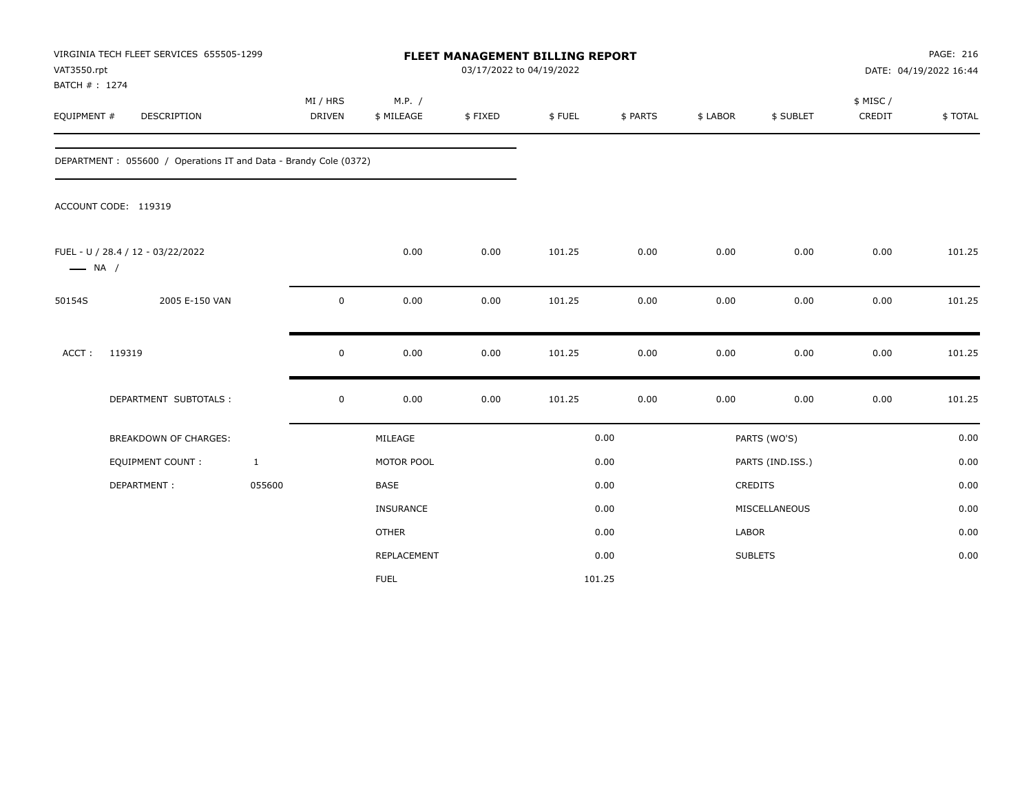| VAT3550.rpt<br>BATCH # : 1274 | VIRGINIA TECH FLEET SERVICES 655505-1299                         |              |                           |                      | <b>FLEET MANAGEMENT BILLING REPORT</b><br>03/17/2022 to 04/19/2022 |        |          |          |                  |                     | PAGE: 216<br>DATE: 04/19/2022 16:44 |
|-------------------------------|------------------------------------------------------------------|--------------|---------------------------|----------------------|--------------------------------------------------------------------|--------|----------|----------|------------------|---------------------|-------------------------------------|
| EQUIPMENT #                   | DESCRIPTION                                                      |              | MI / HRS<br><b>DRIVEN</b> | M.P. /<br>\$ MILEAGE | \$FIXED                                                            | \$FUEL | \$ PARTS | \$ LABOR | \$ SUBLET        | \$ MISC /<br>CREDIT | \$TOTAL                             |
|                               | DEPARTMENT: 055600 / Operations IT and Data - Brandy Cole (0372) |              |                           |                      |                                                                    |        |          |          |                  |                     |                                     |
|                               | ACCOUNT CODE: 119319                                             |              |                           |                      |                                                                    |        |          |          |                  |                     |                                     |
| $\longrightarrow$ NA /        | FUEL - U / 28.4 / 12 - 03/22/2022                                |              |                           | 0.00                 | 0.00                                                               | 101.25 | 0.00     | 0.00     | 0.00             | 0.00                | 101.25                              |
| 50154S                        | 2005 E-150 VAN                                                   |              | $\mathbf 0$               | 0.00                 | 0.00                                                               | 101.25 | 0.00     | 0.00     | 0.00             | 0.00                | 101.25                              |
| ACCT:                         | 119319                                                           |              | $\mathbf 0$               | 0.00                 | 0.00                                                               | 101.25 | 0.00     | 0.00     | 0.00             | 0.00                | 101.25                              |
|                               | DEPARTMENT SUBTOTALS :                                           |              | $\mathbf 0$               | 0.00                 | 0.00                                                               | 101.25 | 0.00     | 0.00     | 0.00             | 0.00                | 101.25                              |
|                               | <b>BREAKDOWN OF CHARGES:</b>                                     |              |                           | MILEAGE              |                                                                    |        | 0.00     |          | PARTS (WO'S)     |                     | 0.00                                |
|                               | <b>EQUIPMENT COUNT:</b>                                          | $\mathbf{1}$ |                           | MOTOR POOL           |                                                                    |        | 0.00     |          | PARTS (IND.ISS.) |                     | 0.00                                |
|                               | DEPARTMENT:                                                      | 055600       |                           | <b>BASE</b>          |                                                                    |        | 0.00     |          | CREDITS          |                     | 0.00                                |
|                               |                                                                  |              |                           | INSURANCE            |                                                                    |        | 0.00     |          | MISCELLANEOUS    |                     | 0.00                                |
|                               |                                                                  |              |                           | <b>OTHER</b>         |                                                                    |        | 0.00     | LABOR    |                  |                     | 0.00                                |
|                               |                                                                  |              |                           | <b>REPLACEMENT</b>   |                                                                    |        | 0.00     |          | <b>SUBLETS</b>   |                     | 0.00                                |
|                               |                                                                  |              |                           | <b>FUEL</b>          |                                                                    | 101.25 |          |          |                  |                     |                                     |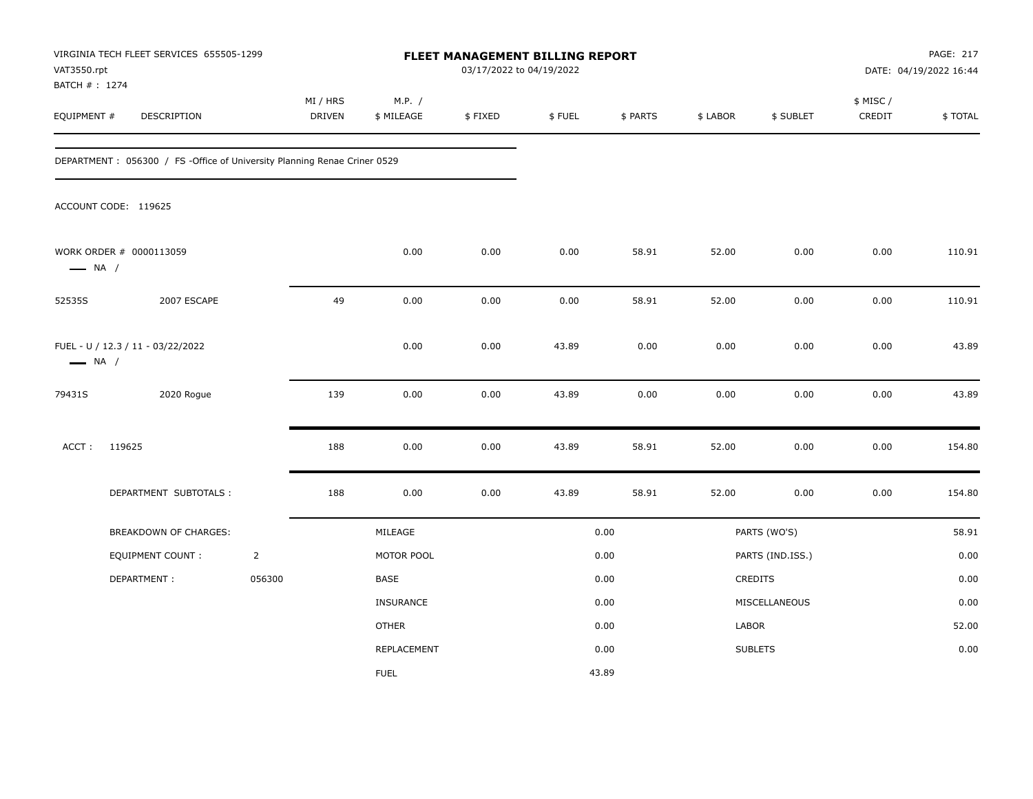| VAT3550.rpt<br>BATCH # : 1274 | VIRGINIA TECH FLEET SERVICES 655505-1299                                 |                |                    |                      | FLEET MANAGEMENT BILLING REPORT<br>03/17/2022 to 04/19/2022 |        |          |          | PAGE: 217<br>DATE: 04/19/2022 16:44 |                     |         |
|-------------------------------|--------------------------------------------------------------------------|----------------|--------------------|----------------------|-------------------------------------------------------------|--------|----------|----------|-------------------------------------|---------------------|---------|
| EQUIPMENT #                   | DESCRIPTION                                                              |                | MI / HRS<br>DRIVEN | M.P. /<br>\$ MILEAGE | \$FIXED                                                     | \$FUEL | \$ PARTS | \$ LABOR | \$ SUBLET                           | \$ MISC /<br>CREDIT | \$TOTAL |
|                               | DEPARTMENT: 056300 / FS -Office of University Planning Renae Criner 0529 |                |                    |                      |                                                             |        |          |          |                                     |                     |         |
|                               | ACCOUNT CODE: 119625                                                     |                |                    |                      |                                                             |        |          |          |                                     |                     |         |
| $\longrightarrow$ NA /        | WORK ORDER # 0000113059                                                  |                |                    | 0.00                 | 0.00                                                        | 0.00   | 58.91    | 52.00    | 0.00                                | 0.00                | 110.91  |
| 52535S                        | 2007 ESCAPE                                                              |                | 49                 | 0.00                 | 0.00                                                        | 0.00   | 58.91    | 52.00    | 0.00                                | 0.00                | 110.91  |
| $\longrightarrow$ NA /        | FUEL - U / 12.3 / 11 - 03/22/2022                                        |                |                    | 0.00                 | 0.00                                                        | 43.89  | 0.00     | 0.00     | 0.00                                | 0.00                | 43.89   |
| 79431S                        | 2020 Rogue                                                               |                | 139                | 0.00                 | 0.00                                                        | 43.89  | 0.00     | 0.00     | 0.00                                | 0.00                | 43.89   |
| ACCT:                         | 119625                                                                   |                | 188                | 0.00                 | 0.00                                                        | 43.89  | 58.91    | 52.00    | 0.00                                | 0.00                | 154.80  |
|                               | DEPARTMENT SUBTOTALS :                                                   |                | 188                | 0.00                 | 0.00                                                        | 43.89  | 58.91    | 52.00    | 0.00                                | 0.00                | 154.80  |
|                               | BREAKDOWN OF CHARGES:                                                    |                |                    | MILEAGE              |                                                             |        | 0.00     |          | PARTS (WO'S)                        |                     | 58.91   |
|                               | <b>EQUIPMENT COUNT:</b>                                                  | $\overline{2}$ |                    | MOTOR POOL           |                                                             |        | 0.00     |          | PARTS (IND.ISS.)                    |                     | 0.00    |
|                               | DEPARTMENT:                                                              | 056300         |                    | <b>BASE</b>          |                                                             |        | 0.00     |          | CREDITS                             |                     | 0.00    |
|                               |                                                                          |                |                    | INSURANCE            |                                                             |        | 0.00     |          | MISCELLANEOUS                       |                     | 0.00    |
|                               |                                                                          |                |                    | <b>OTHER</b>         |                                                             |        | 0.00     | LABOR    |                                     |                     | 52.00   |
|                               |                                                                          |                |                    | REPLACEMENT          |                                                             |        | 0.00     |          | <b>SUBLETS</b>                      |                     | 0.00    |
|                               |                                                                          |                |                    | <b>FUEL</b>          |                                                             |        | 43.89    |          |                                     |                     |         |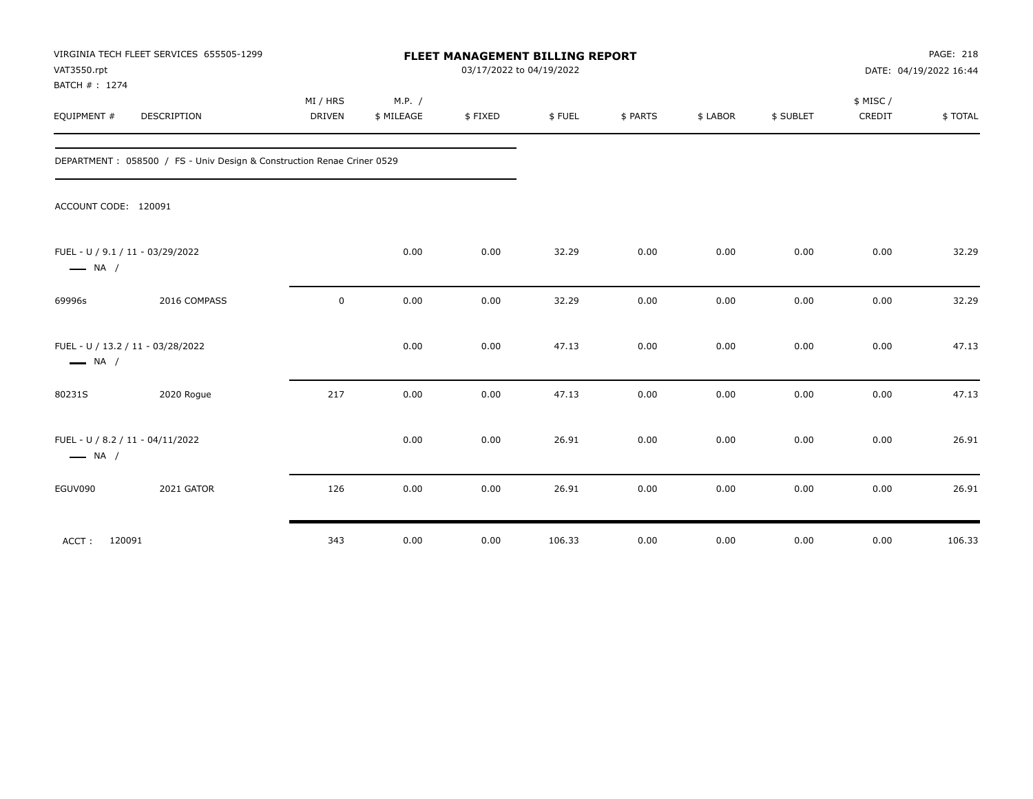| VAT3550.rpt<br>BATCH #: 1274 | VIRGINIA TECH FLEET SERVICES 655505-1299                                | FLEET MANAGEMENT BILLING REPORT<br>03/17/2022 to 04/19/2022 |                      |         |        |          |          |           |                    | PAGE: 218<br>DATE: 04/19/2022 16:44 |  |
|------------------------------|-------------------------------------------------------------------------|-------------------------------------------------------------|----------------------|---------|--------|----------|----------|-----------|--------------------|-------------------------------------|--|
| EQUIPMENT #                  | DESCRIPTION                                                             | MI / HRS<br>DRIVEN                                          | M.P. /<br>\$ MILEAGE | \$FIXED | \$FUEL | \$ PARTS | \$ LABOR | \$ SUBLET | \$ MISC/<br>CREDIT | \$TOTAL                             |  |
|                              | DEPARTMENT : 058500 / FS - Univ Design & Construction Renae Criner 0529 |                                                             |                      |         |        |          |          |           |                    |                                     |  |
| ACCOUNT CODE: 120091         |                                                                         |                                                             |                      |         |        |          |          |           |                    |                                     |  |
| $\longrightarrow$ NA /       | FUEL - U / 9.1 / 11 - 03/29/2022                                        |                                                             | 0.00                 | 0.00    | 32.29  | 0.00     | 0.00     | 0.00      | 0.00               | 32.29                               |  |
| 69996s                       | 2016 COMPASS                                                            | $\mathbf 0$                                                 | 0.00                 | 0.00    | 32.29  | 0.00     | 0.00     | 0.00      | 0.00               | 32.29                               |  |
| $\longrightarrow$ NA /       | FUEL - U / 13.2 / 11 - 03/28/2022                                       |                                                             | 0.00                 | 0.00    | 47.13  | 0.00     | 0.00     | 0.00      | 0.00               | 47.13                               |  |
| 80231S                       | 2020 Rogue                                                              | 217                                                         | 0.00                 | 0.00    | 47.13  | 0.00     | 0.00     | 0.00      | 0.00               | 47.13                               |  |
| $\longrightarrow$ NA /       | FUEL - U / 8.2 / 11 - 04/11/2022                                        |                                                             | 0.00                 | 0.00    | 26.91  | 0.00     | 0.00     | 0.00      | 0.00               | 26.91                               |  |
| EGUV090                      | 2021 GATOR                                                              | 126                                                         | 0.00                 | 0.00    | 26.91  | 0.00     | 0.00     | 0.00      | 0.00               | 26.91                               |  |
| ACCT:                        | 120091                                                                  | 343                                                         | 0.00                 | 0.00    | 106.33 | 0.00     | 0.00     | 0.00      | 0.00               | 106.33                              |  |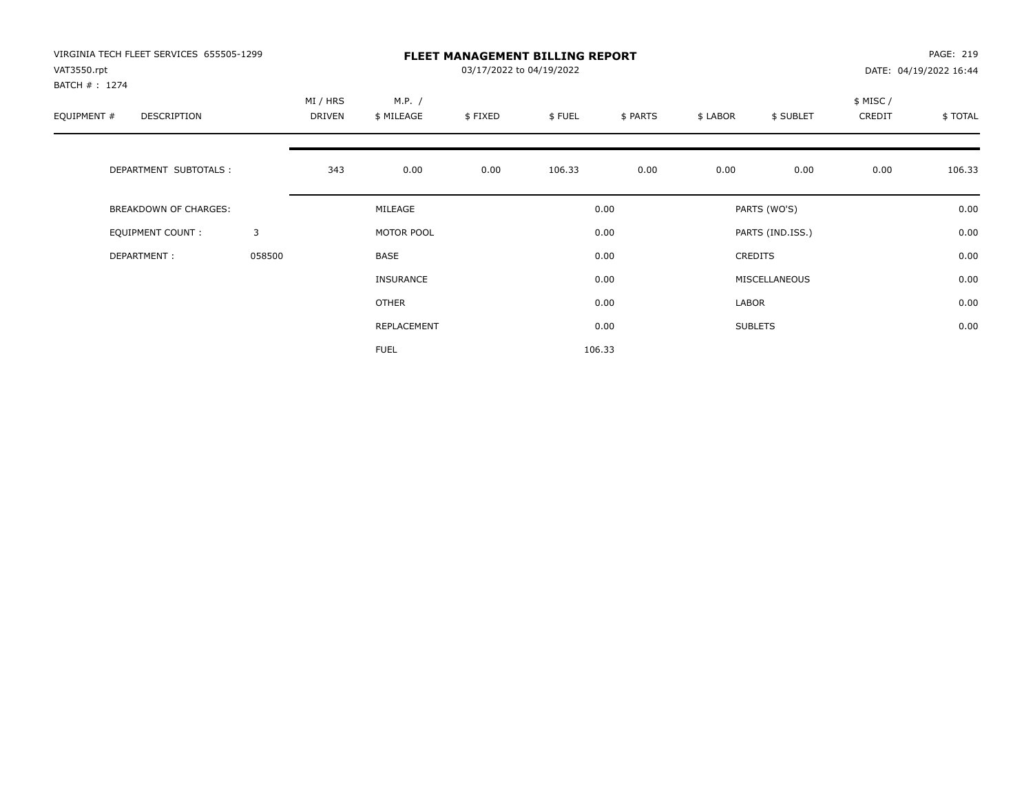| VIRGINIA TECH FLEET SERVICES 655505-1299<br>VAT3550.rpt<br>BATCH #: 1274 |        |                           |                      | PAGE: 219<br>DATE: 04/19/2022 16:44 |        |          |          |                  |                     |         |
|--------------------------------------------------------------------------|--------|---------------------------|----------------------|-------------------------------------|--------|----------|----------|------------------|---------------------|---------|
| EQUIPMENT #<br><b>DESCRIPTION</b>                                        |        | MI / HRS<br><b>DRIVEN</b> | M.P. /<br>\$ MILEAGE | \$FIXED                             | \$FUEL | \$ PARTS | \$ LABOR | \$ SUBLET        | \$ MISC /<br>CREDIT | \$TOTAL |
| DEPARTMENT SUBTOTALS :                                                   |        | 343                       | 0.00                 | 0.00                                | 106.33 | 0.00     | 0.00     | 0.00             | 0.00                | 106.33  |
| <b>BREAKDOWN OF CHARGES:</b>                                             |        |                           | MILEAGE              |                                     |        | 0.00     |          | PARTS (WO'S)     |                     | 0.00    |
| EQUIPMENT COUNT:                                                         | 3      |                           | MOTOR POOL           |                                     |        | 0.00     |          | PARTS (IND.ISS.) |                     | 0.00    |
| DEPARTMENT:                                                              | 058500 |                           | <b>BASE</b>          |                                     |        | 0.00     |          | <b>CREDITS</b>   |                     | 0.00    |
|                                                                          |        |                           | INSURANCE            |                                     |        | 0.00     |          | MISCELLANEOUS    |                     | 0.00    |
|                                                                          |        |                           | OTHER                |                                     |        | 0.00     | LABOR    |                  |                     | 0.00    |
|                                                                          |        |                           | REPLACEMENT          |                                     |        | 0.00     |          | <b>SUBLETS</b>   |                     | 0.00    |
|                                                                          |        |                           | <b>FUEL</b>          |                                     |        | 106.33   |          |                  |                     |         |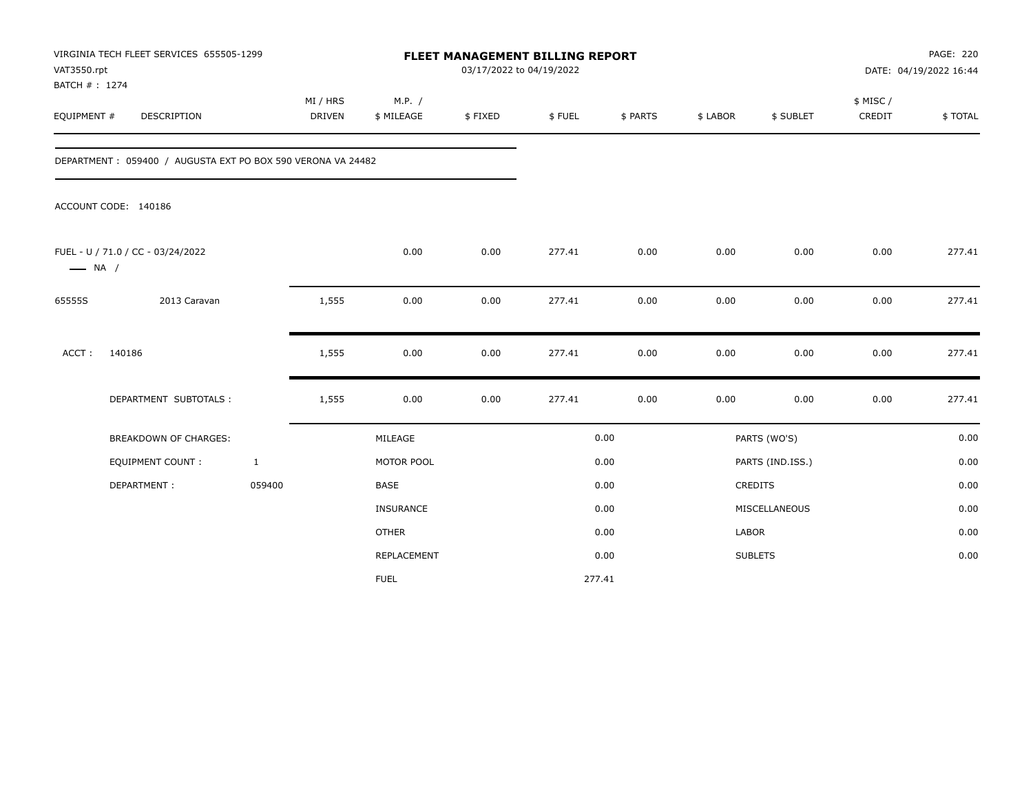| VAT3550.rpt<br>BATCH #: 1274 | VIRGINIA TECH FLEET SERVICES 655505-1299                    |                           | FLEET MANAGEMENT BILLING REPORT<br>03/17/2022 to 04/19/2022 |         |        |          |          |                  |                     | PAGE: 220<br>DATE: 04/19/2022 16:44 |  |
|------------------------------|-------------------------------------------------------------|---------------------------|-------------------------------------------------------------|---------|--------|----------|----------|------------------|---------------------|-------------------------------------|--|
| EQUIPMENT #                  | DESCRIPTION                                                 | MI / HRS<br><b>DRIVEN</b> | M.P. /<br>\$ MILEAGE                                        | \$FIXED | \$FUEL | \$ PARTS | \$ LABOR | \$ SUBLET        | \$ MISC /<br>CREDIT | \$TOTAL                             |  |
|                              | DEPARTMENT: 059400 / AUGUSTA EXT PO BOX 590 VERONA VA 24482 |                           |                                                             |         |        |          |          |                  |                     |                                     |  |
|                              | ACCOUNT CODE: 140186                                        |                           |                                                             |         |        |          |          |                  |                     |                                     |  |
| $\longrightarrow$ NA /       | FUEL - U / 71.0 / CC - 03/24/2022                           |                           | 0.00                                                        | 0.00    | 277.41 | 0.00     | 0.00     | 0.00             | 0.00                | 277.41                              |  |
| 65555S                       | 2013 Caravan                                                | 1,555                     | 0.00                                                        | 0.00    | 277.41 | 0.00     | 0.00     | 0.00             | 0.00                | 277.41                              |  |
| ACCT:                        | 140186                                                      | 1,555                     | 0.00                                                        | 0.00    | 277.41 | 0.00     | 0.00     | 0.00             | 0.00                | 277.41                              |  |
|                              | DEPARTMENT SUBTOTALS :                                      | 1,555                     | 0.00                                                        | 0.00    | 277.41 | 0.00     | 0.00     | 0.00             | 0.00                | 277.41                              |  |
|                              | <b>BREAKDOWN OF CHARGES:</b>                                |                           | MILEAGE                                                     |         |        | 0.00     |          | PARTS (WO'S)     |                     | 0.00                                |  |
|                              | <b>EQUIPMENT COUNT:</b>                                     | $\mathbf{1}$              | MOTOR POOL                                                  |         |        | 0.00     |          | PARTS (IND.ISS.) |                     | 0.00                                |  |
|                              | DEPARTMENT:                                                 | 059400                    | <b>BASE</b>                                                 |         |        | 0.00     |          | CREDITS          |                     | 0.00                                |  |
|                              |                                                             |                           | INSURANCE                                                   |         |        | 0.00     |          | MISCELLANEOUS    |                     | 0.00                                |  |
|                              |                                                             |                           | <b>OTHER</b>                                                |         |        | 0.00     | LABOR    |                  |                     | 0.00                                |  |
|                              |                                                             |                           | REPLACEMENT                                                 |         |        | 0.00     |          | <b>SUBLETS</b>   |                     | 0.00                                |  |
|                              |                                                             |                           | <b>FUEL</b>                                                 |         |        | 277.41   |          |                  |                     |                                     |  |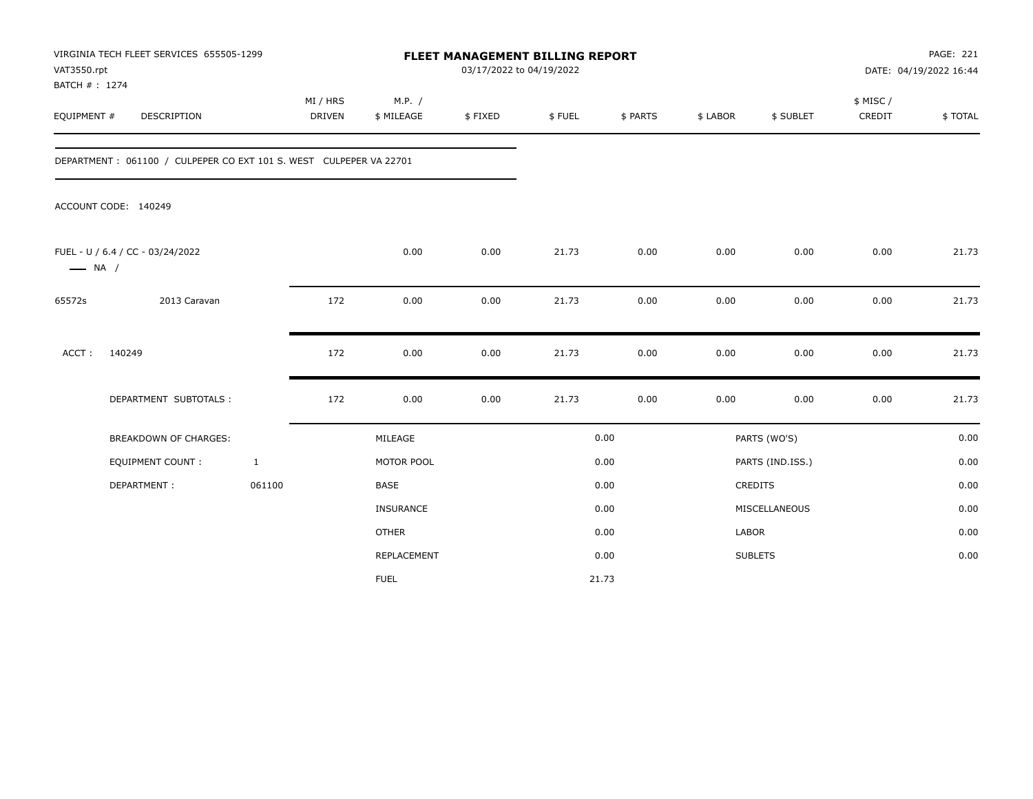| VAT3550.rpt<br>BATCH #: 1274 | VIRGINIA TECH FLEET SERVICES 655505-1299                           |                           |                      | <b>FLEET MANAGEMENT BILLING REPORT</b> | 03/17/2022 to 04/19/2022 |          | PAGE: 221<br>DATE: 04/19/2022 16:44 |                  |                     |         |  |
|------------------------------|--------------------------------------------------------------------|---------------------------|----------------------|----------------------------------------|--------------------------|----------|-------------------------------------|------------------|---------------------|---------|--|
| EQUIPMENT #                  | DESCRIPTION                                                        | MI / HRS<br><b>DRIVEN</b> | M.P. /<br>\$ MILEAGE | \$FIXED                                | \$FUEL                   | \$ PARTS | \$ LABOR                            | \$ SUBLET        | \$ MISC /<br>CREDIT | \$TOTAL |  |
|                              | DEPARTMENT: 061100 / CULPEPER CO EXT 101 S. WEST CULPEPER VA 22701 |                           |                      |                                        |                          |          |                                     |                  |                     |         |  |
|                              | ACCOUNT CODE: 140249                                               |                           |                      |                                        |                          |          |                                     |                  |                     |         |  |
| $\longrightarrow$ NA /       | FUEL - U / 6.4 / CC - 03/24/2022                                   |                           | 0.00                 | 0.00                                   | 21.73                    | 0.00     | 0.00                                | 0.00             | 0.00                | 21.73   |  |
| 65572s                       | 2013 Caravan                                                       | 172                       | 0.00                 | 0.00                                   | 21.73                    | 0.00     | 0.00                                | 0.00             | 0.00                | 21.73   |  |
| ACCT:                        | 140249                                                             | 172                       | 0.00                 | 0.00                                   | 21.73                    | 0.00     | 0.00                                | 0.00             | 0.00                | 21.73   |  |
|                              | DEPARTMENT SUBTOTALS :                                             | 172                       | 0.00                 | 0.00                                   | 21.73                    | 0.00     | 0.00                                | 0.00             | 0.00                | 21.73   |  |
|                              | <b>BREAKDOWN OF CHARGES:</b>                                       |                           | MILEAGE              |                                        |                          | 0.00     |                                     | PARTS (WO'S)     |                     | 0.00    |  |
|                              | <b>EQUIPMENT COUNT:</b>                                            | $\mathbf{1}$              | MOTOR POOL           |                                        |                          | 0.00     |                                     | PARTS (IND.ISS.) |                     | 0.00    |  |
|                              | DEPARTMENT:                                                        | 061100                    | <b>BASE</b>          |                                        |                          | 0.00     |                                     | CREDITS          |                     | 0.00    |  |
|                              |                                                                    |                           | INSURANCE            |                                        |                          | 0.00     |                                     | MISCELLANEOUS    |                     | 0.00    |  |
|                              |                                                                    |                           | <b>OTHER</b>         |                                        |                          | 0.00     |                                     | LABOR            |                     | 0.00    |  |
|                              |                                                                    |                           | REPLACEMENT          |                                        |                          | 0.00     |                                     | <b>SUBLETS</b>   |                     | 0.00    |  |
|                              |                                                                    |                           | <b>FUEL</b>          |                                        |                          | 21.73    |                                     |                  |                     |         |  |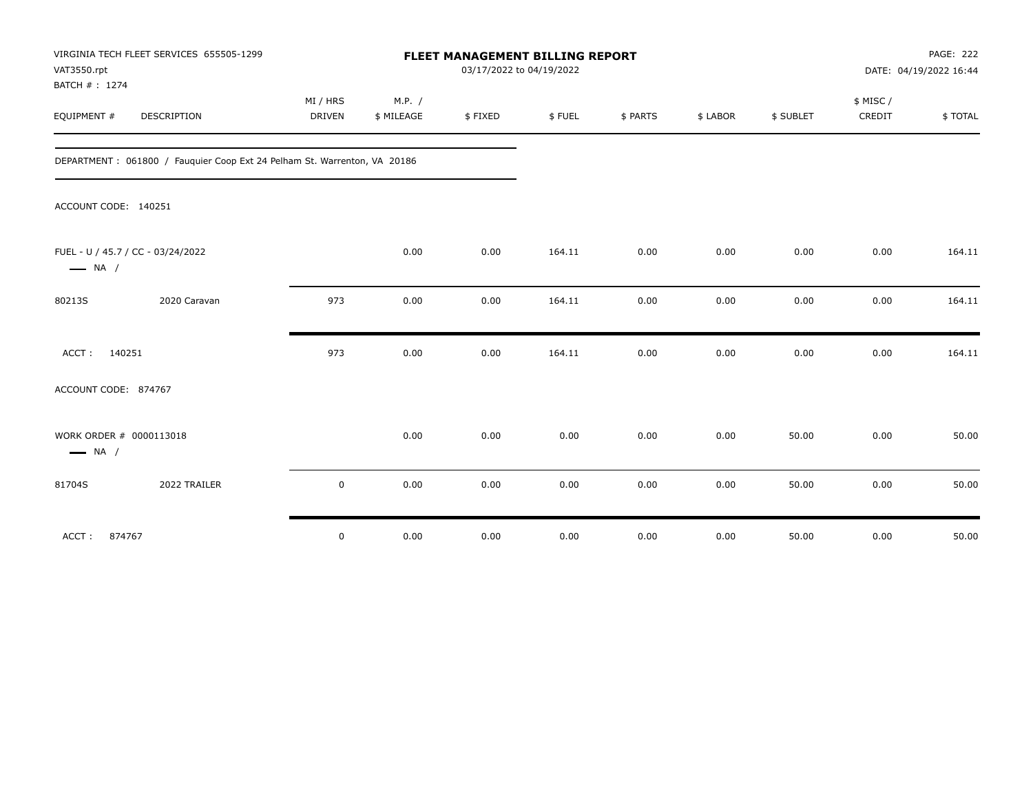| VIRGINIA TECH FLEET SERVICES 655505-1299<br>VAT3550.rpt<br>BATCH #: 1274 | FLEET MANAGEMENT BILLING REPORT<br>03/17/2022 to 04/19/2022 |                      |         |        |          |          |           |                    | <b>PAGE: 222</b><br>DATE: 04/19/2022 16:44 |  |
|--------------------------------------------------------------------------|-------------------------------------------------------------|----------------------|---------|--------|----------|----------|-----------|--------------------|--------------------------------------------|--|
| EQUIPMENT #<br><b>DESCRIPTION</b>                                        | MI / HRS<br>DRIVEN                                          | M.P. /<br>\$ MILEAGE | \$FIXED | \$FUEL | \$ PARTS | \$ LABOR | \$ SUBLET | \$ MISC/<br>CREDIT | \$TOTAL                                    |  |
| DEPARTMENT: 061800 / Fauquier Coop Ext 24 Pelham St. Warrenton, VA 20186 |                                                             |                      |         |        |          |          |           |                    |                                            |  |
| ACCOUNT CODE: 140251                                                     |                                                             |                      |         |        |          |          |           |                    |                                            |  |
| FUEL - U / 45.7 / CC - 03/24/2022<br>$\longrightarrow$ NA /              |                                                             | 0.00                 | 0.00    | 164.11 | 0.00     | 0.00     | 0.00      | 0.00               | 164.11                                     |  |
| 2020 Caravan<br>80213S                                                   | 973                                                         | 0.00                 | 0.00    | 164.11 | 0.00     | 0.00     | 0.00      | 0.00               | 164.11                                     |  |
| ACCT:<br>140251                                                          | 973                                                         | 0.00                 | 0.00    | 164.11 | 0.00     | 0.00     | 0.00      | 0.00               | 164.11                                     |  |
| ACCOUNT CODE: 874767                                                     |                                                             |                      |         |        |          |          |           |                    |                                            |  |
| WORK ORDER # 0000113018<br>$\longrightarrow$ NA /                        |                                                             | 0.00                 | 0.00    | 0.00   | 0.00     | 0.00     | 50.00     | 0.00               | 50.00                                      |  |
| 2022 TRAILER<br>81704S                                                   | $\mathsf 0$                                                 | 0.00                 | 0.00    | 0.00   | 0.00     | 0.00     | 50.00     | 0.00               | 50.00                                      |  |
| ACCT:<br>874767                                                          | $\mathsf 0$                                                 | 0.00                 | 0.00    | 0.00   | 0.00     | 0.00     | 50.00     | 0.00               | 50.00                                      |  |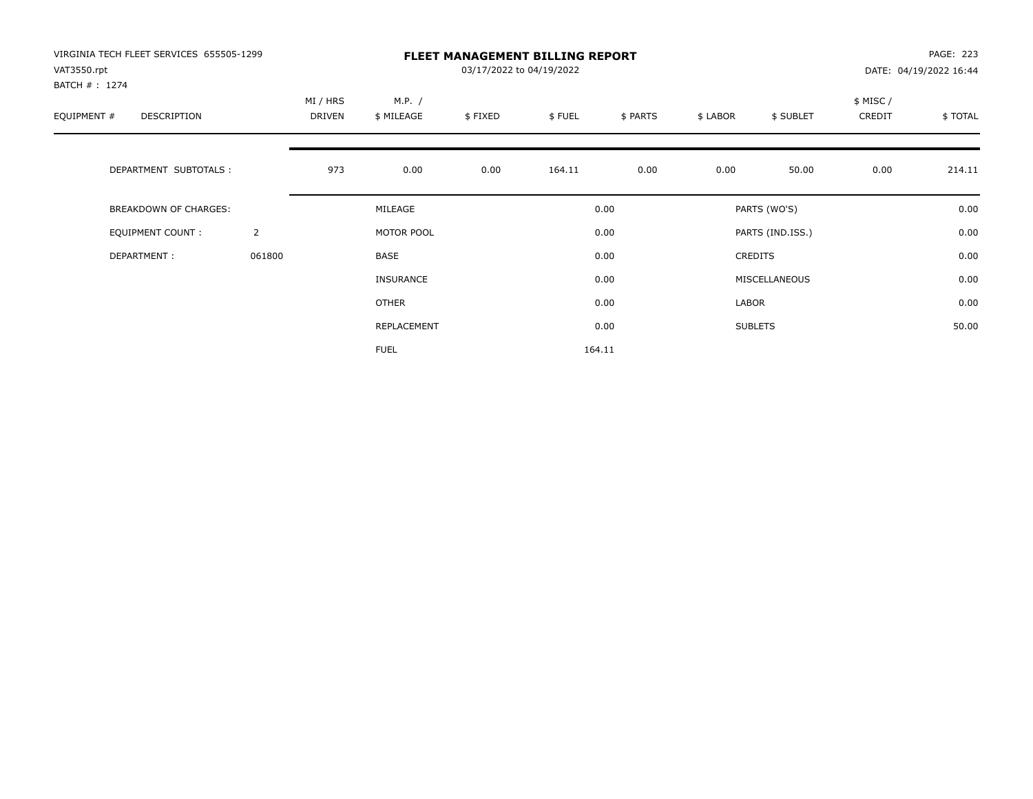| VIRGINIA TECH FLEET SERVICES 655505-1299<br>VAT3550.rpt<br>BATCH #: 1274 |                |                           |                      | PAGE: 223<br>DATE: 04/19/2022 16:44 |        |          |          |                  |                     |         |
|--------------------------------------------------------------------------|----------------|---------------------------|----------------------|-------------------------------------|--------|----------|----------|------------------|---------------------|---------|
| EQUIPMENT #<br><b>DESCRIPTION</b>                                        |                | MI / HRS<br><b>DRIVEN</b> | M.P. /<br>\$ MILEAGE | \$FIXED                             | \$FUEL | \$ PARTS | \$ LABOR | \$ SUBLET        | \$ MISC /<br>CREDIT | \$TOTAL |
| DEPARTMENT SUBTOTALS :                                                   |                | 973                       | 0.00                 | 0.00                                | 164.11 | 0.00     | 0.00     | 50.00            | 0.00                | 214.11  |
| <b>BREAKDOWN OF CHARGES:</b>                                             |                |                           | MILEAGE              |                                     |        | 0.00     |          | PARTS (WO'S)     |                     | 0.00    |
| EQUIPMENT COUNT:                                                         | $\overline{2}$ |                           | MOTOR POOL           |                                     |        | 0.00     |          | PARTS (IND.ISS.) |                     | 0.00    |
| DEPARTMENT:                                                              | 061800         |                           | <b>BASE</b>          |                                     |        | 0.00     |          | <b>CREDITS</b>   |                     | 0.00    |
|                                                                          |                |                           | INSURANCE            |                                     |        | 0.00     |          | MISCELLANEOUS    |                     | 0.00    |
|                                                                          |                |                           | OTHER                |                                     |        | 0.00     | LABOR    |                  |                     | 0.00    |
|                                                                          |                |                           | REPLACEMENT          |                                     |        | 0.00     |          | <b>SUBLETS</b>   |                     | 50.00   |
|                                                                          |                |                           | <b>FUEL</b>          |                                     |        | 164.11   |          |                  |                     |         |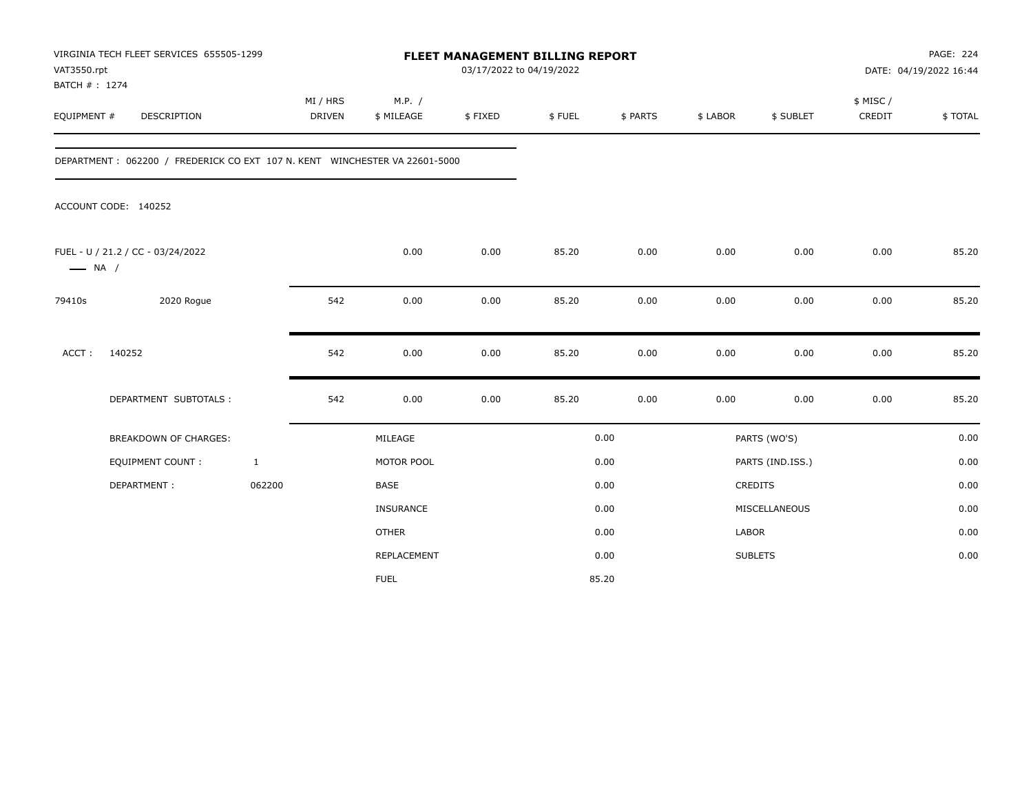| VAT3550.rpt<br>BATCH #: 1274 | VIRGINIA TECH FLEET SERVICES 655505-1299                                   |                           |                      | <b>FLEET MANAGEMENT BILLING REPORT</b><br>03/17/2022 to 04/19/2022 |        | PAGE: 224<br>DATE: 04/19/2022 16:44 |          |                  |                     |         |
|------------------------------|----------------------------------------------------------------------------|---------------------------|----------------------|--------------------------------------------------------------------|--------|-------------------------------------|----------|------------------|---------------------|---------|
| EQUIPMENT #                  | <b>DESCRIPTION</b>                                                         | MI / HRS<br><b>DRIVEN</b> | M.P. /<br>\$ MILEAGE | \$FIXED                                                            | \$FUEL | \$ PARTS                            | \$ LABOR | \$ SUBLET        | \$ MISC /<br>CREDIT | \$TOTAL |
|                              | DEPARTMENT: 062200 / FREDERICK CO EXT 107 N. KENT WINCHESTER VA 22601-5000 |                           |                      |                                                                    |        |                                     |          |                  |                     |         |
|                              | ACCOUNT CODE: 140252                                                       |                           |                      |                                                                    |        |                                     |          |                  |                     |         |
| $\longrightarrow$ NA /       | FUEL - U / 21.2 / CC - 03/24/2022                                          |                           | 0.00                 | 0.00                                                               | 85.20  | 0.00                                | 0.00     | 0.00             | 0.00                | 85.20   |
| 79410s                       | 2020 Rogue                                                                 | 542                       | 0.00                 | 0.00                                                               | 85.20  | 0.00                                | 0.00     | 0.00             | 0.00                | 85.20   |
| ACCT:                        | 140252                                                                     | 542                       | 0.00                 | 0.00                                                               | 85.20  | 0.00                                | 0.00     | 0.00             | 0.00                | 85.20   |
|                              | DEPARTMENT SUBTOTALS :                                                     | 542                       | 0.00                 | 0.00                                                               | 85.20  | 0.00                                | 0.00     | 0.00             | 0.00                | 85.20   |
|                              | BREAKDOWN OF CHARGES:                                                      |                           | MILEAGE              |                                                                    |        | 0.00                                |          | PARTS (WO'S)     |                     | 0.00    |
|                              | <b>EQUIPMENT COUNT:</b>                                                    | $\mathbf{1}$              | MOTOR POOL           |                                                                    |        | 0.00                                |          | PARTS (IND.ISS.) |                     | 0.00    |
|                              | DEPARTMENT:                                                                | 062200                    | <b>BASE</b>          |                                                                    |        | 0.00                                |          | CREDITS          |                     | 0.00    |
|                              |                                                                            |                           | <b>INSURANCE</b>     |                                                                    |        | 0.00                                |          | MISCELLANEOUS    |                     | 0.00    |
|                              |                                                                            |                           | <b>OTHER</b>         |                                                                    |        | 0.00                                |          | <b>LABOR</b>     |                     | 0.00    |
|                              |                                                                            |                           | REPLACEMENT          |                                                                    |        | 0.00                                |          | <b>SUBLETS</b>   |                     | 0.00    |
|                              |                                                                            |                           | <b>FUEL</b>          |                                                                    |        | 85.20                               |          |                  |                     |         |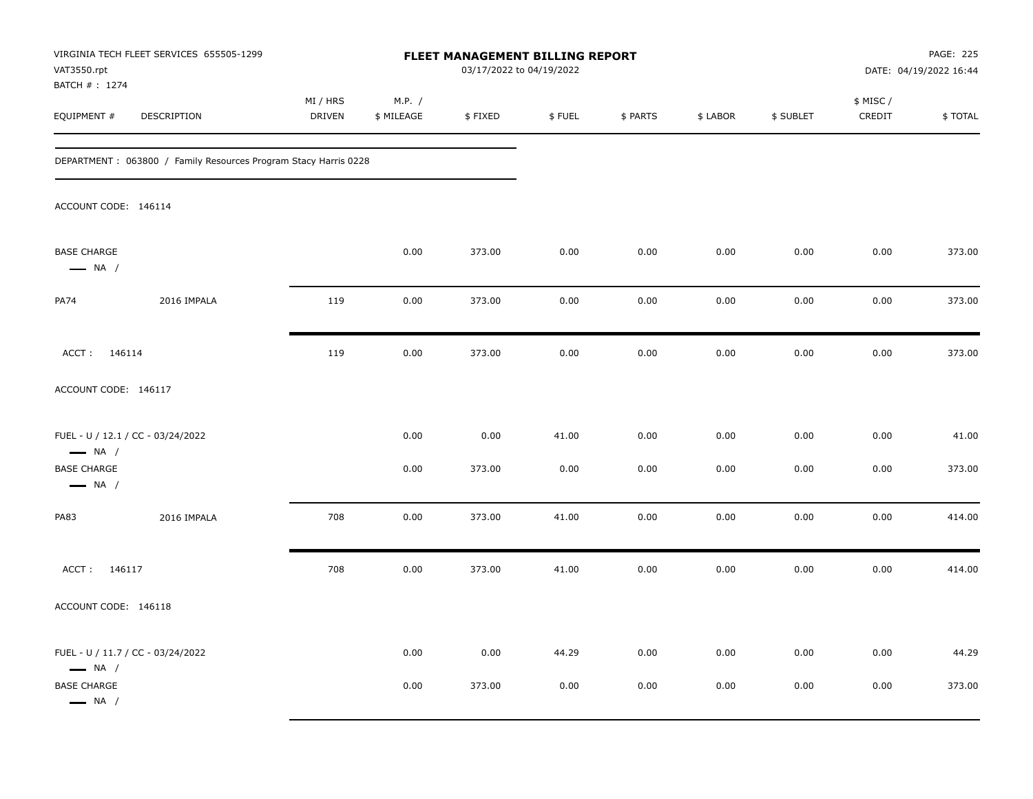| VAT3550.rpt<br>BATCH #: 1274                 | VIRGINIA TECH FLEET SERVICES 655505-1299                        |                    |                      | FLEET MANAGEMENT BILLING REPORT<br>03/17/2022 to 04/19/2022 |        |          |          |           |                     | PAGE: 225<br>DATE: 04/19/2022 16:44 |
|----------------------------------------------|-----------------------------------------------------------------|--------------------|----------------------|-------------------------------------------------------------|--------|----------|----------|-----------|---------------------|-------------------------------------|
| EQUIPMENT #                                  | DESCRIPTION                                                     | MI / HRS<br>DRIVEN | M.P. /<br>\$ MILEAGE | \$FIXED                                                     | \$FUEL | \$ PARTS | \$ LABOR | \$ SUBLET | \$ MISC /<br>CREDIT | \$TOTAL                             |
|                                              | DEPARTMENT: 063800 / Family Resources Program Stacy Harris 0228 |                    |                      |                                                             |        |          |          |           |                     |                                     |
| ACCOUNT CODE: 146114                         |                                                                 |                    |                      |                                                             |        |          |          |           |                     |                                     |
| <b>BASE CHARGE</b><br>$\longrightarrow$ NA / |                                                                 |                    | 0.00                 | 373.00                                                      | 0.00   | 0.00     | 0.00     | 0.00      | 0.00                | 373.00                              |
| <b>PA74</b>                                  | 2016 IMPALA                                                     | 119                | 0.00                 | 373.00                                                      | 0.00   | 0.00     | 0.00     | 0.00      | 0.00                | 373.00                              |
| ACCT: 146114                                 |                                                                 | 119                | 0.00                 | 373.00                                                      | 0.00   | 0.00     | 0.00     | 0.00      | 0.00                | 373.00                              |
| ACCOUNT CODE: 146117                         |                                                                 |                    |                      |                                                             |        |          |          |           |                     |                                     |
| $\longrightarrow$ NA /                       | FUEL - U / 12.1 / CC - 03/24/2022                               |                    | 0.00                 | 0.00                                                        | 41.00  | 0.00     | 0.00     | 0.00      | 0.00                | 41.00                               |
| <b>BASE CHARGE</b><br>$\longrightarrow$ NA / |                                                                 |                    | 0.00                 | 373.00                                                      | 0.00   | 0.00     | 0.00     | 0.00      | 0.00                | 373.00                              |
| <b>PA83</b>                                  | 2016 IMPALA                                                     | 708                | 0.00                 | 373.00                                                      | 41.00  | 0.00     | 0.00     | 0.00      | 0.00                | 414.00                              |
| ACCT: 146117                                 |                                                                 | 708                | 0.00                 | 373.00                                                      | 41.00  | 0.00     | 0.00     | 0.00      | 0.00                | 414.00                              |
| ACCOUNT CODE: 146118                         |                                                                 |                    |                      |                                                             |        |          |          |           |                     |                                     |
| $\longrightarrow$ NA /                       | FUEL - U / 11.7 / CC - 03/24/2022                               |                    | 0.00                 | 0.00                                                        | 44.29  | 0.00     | 0.00     | 0.00      | 0.00                | 44.29                               |
| <b>BASE CHARGE</b><br>$\longrightarrow$ NA / |                                                                 |                    | 0.00                 | 373.00                                                      | 0.00   | 0.00     | 0.00     | 0.00      | 0.00                | 373.00                              |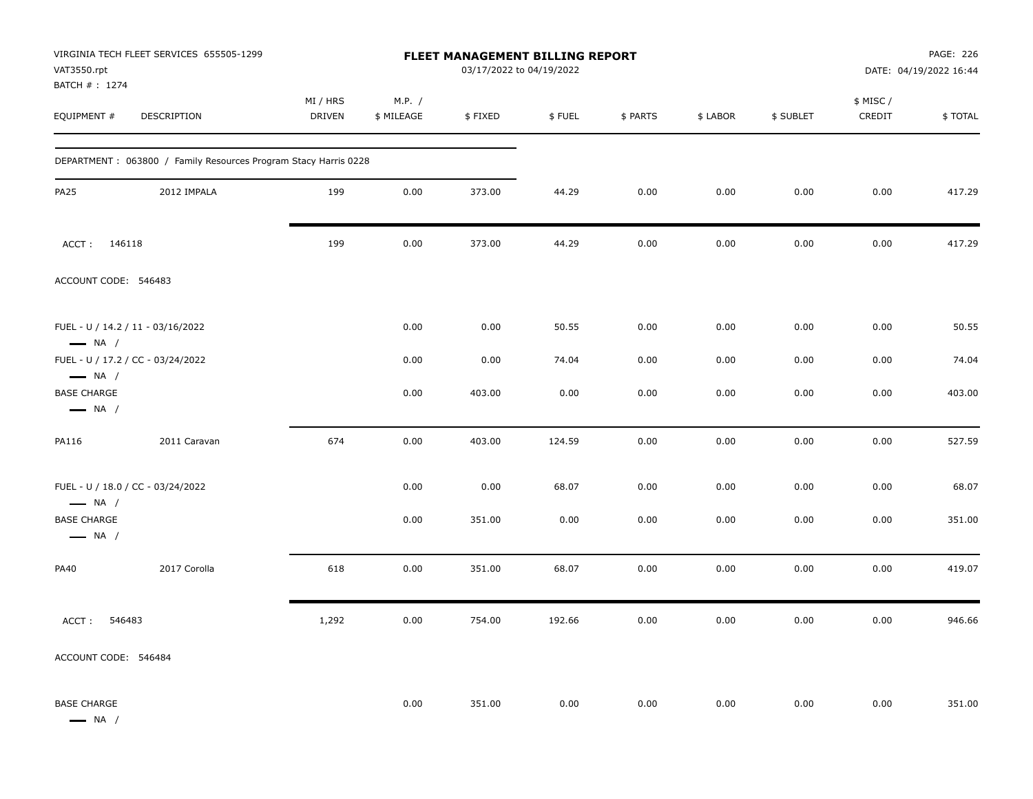| VAT3550.rpt<br>BATCH #: 1274                 | VIRGINIA TECH FLEET SERVICES 655505-1299                        |                           |                      | FLEET MANAGEMENT BILLING REPORT<br>03/17/2022 to 04/19/2022 |        |          |          |           |                     | PAGE: 226<br>DATE: 04/19/2022 16:44 |
|----------------------------------------------|-----------------------------------------------------------------|---------------------------|----------------------|-------------------------------------------------------------|--------|----------|----------|-----------|---------------------|-------------------------------------|
| EQUIPMENT #                                  | DESCRIPTION                                                     | MI / HRS<br><b>DRIVEN</b> | M.P. /<br>\$ MILEAGE | \$FIXED                                                     | \$FUEL | \$ PARTS | \$ LABOR | \$ SUBLET | \$ MISC /<br>CREDIT | \$TOTAL                             |
|                                              | DEPARTMENT: 063800 / Family Resources Program Stacy Harris 0228 |                           |                      |                                                             |        |          |          |           |                     |                                     |
| <b>PA25</b>                                  | 2012 IMPALA                                                     | 199                       | 0.00                 | 373.00                                                      | 44.29  | 0.00     | 0.00     | 0.00      | 0.00                | 417.29                              |
| ACCT: 146118                                 |                                                                 | 199                       | 0.00                 | 373.00                                                      | 44.29  | 0.00     | 0.00     | 0.00      | 0.00                | 417.29                              |
| ACCOUNT CODE: 546483                         |                                                                 |                           |                      |                                                             |        |          |          |           |                     |                                     |
| $\longrightarrow$ NA /                       | FUEL - U / 14.2 / 11 - 03/16/2022                               |                           | 0.00                 | 0.00                                                        | 50.55  | 0.00     | 0.00     | 0.00      | 0.00                | 50.55                               |
| $\longrightarrow$ NA /                       | FUEL - U / 17.2 / CC - 03/24/2022                               |                           | 0.00                 | 0.00                                                        | 74.04  | 0.00     | 0.00     | 0.00      | 0.00                | 74.04                               |
| <b>BASE CHARGE</b><br>$\longrightarrow$ NA / |                                                                 |                           | 0.00                 | 403.00                                                      | 0.00   | 0.00     | 0.00     | 0.00      | 0.00                | 403.00                              |
| PA116                                        | 2011 Caravan                                                    | 674                       | 0.00                 | 403.00                                                      | 124.59 | 0.00     | 0.00     | 0.00      | 0.00                | 527.59                              |
| $\longrightarrow$ NA /                       | FUEL - U / 18.0 / CC - 03/24/2022                               |                           | 0.00                 | 0.00                                                        | 68.07  | 0.00     | 0.00     | 0.00      | 0.00                | 68.07                               |
| <b>BASE CHARGE</b><br>$\longrightarrow$ NA / |                                                                 |                           | 0.00                 | 351.00                                                      | 0.00   | 0.00     | 0.00     | 0.00      | 0.00                | 351.00                              |
| <b>PA40</b>                                  | 2017 Corolla                                                    | 618                       | 0.00                 | 351.00                                                      | 68.07  | 0.00     | 0.00     | 0.00      | 0.00                | 419.07                              |
| 546483<br>ACCT:                              |                                                                 | 1,292                     | 0.00                 | 754.00                                                      | 192.66 | 0.00     | 0.00     | 0.00      | 0.00                | 946.66                              |
| ACCOUNT CODE: 546484                         |                                                                 |                           |                      |                                                             |        |          |          |           |                     |                                     |
| <b>BASE CHARGE</b><br>$\longrightarrow$ NA / |                                                                 |                           | 0.00                 | 351.00                                                      | 0.00   | 0.00     | 0.00     | 0.00      | 0.00                | 351.00                              |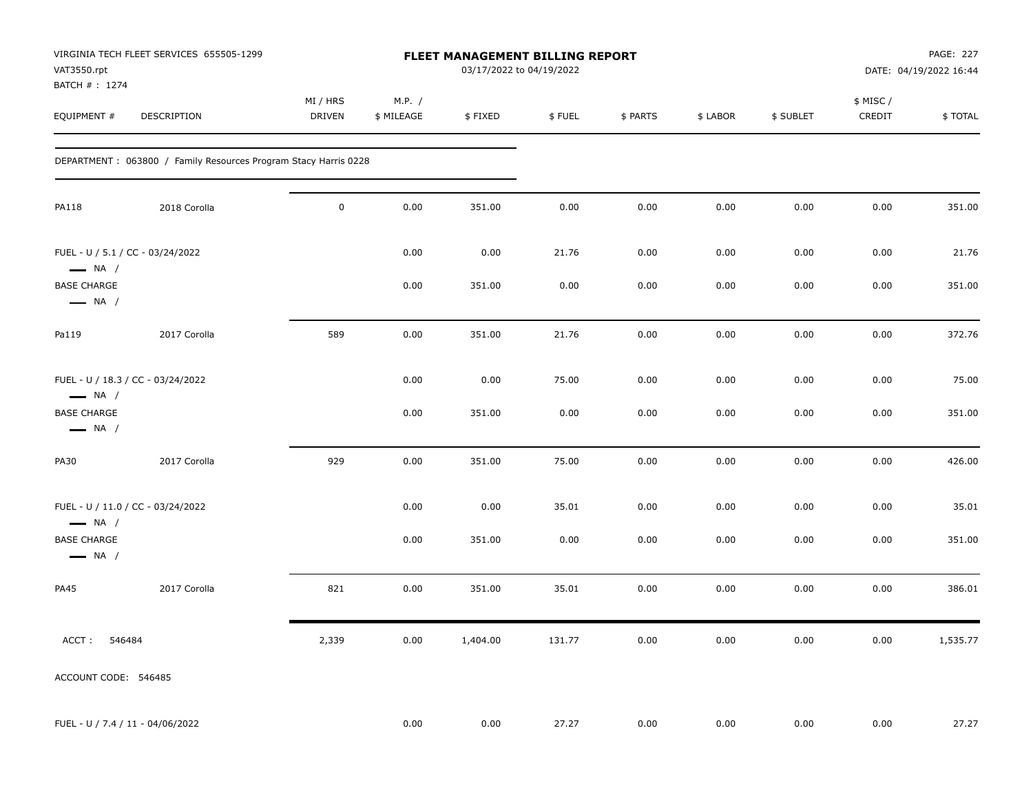| VAT3550.rpt<br>BATCH #: 1274                               | VIRGINIA TECH FLEET SERVICES 655505-1299                         |                           |                      | FLEET MANAGEMENT BILLING REPORT<br>03/17/2022 to 04/19/2022 |        |          |          |           |                     | <b>PAGE: 227</b><br>DATE: 04/19/2022 16:44 |
|------------------------------------------------------------|------------------------------------------------------------------|---------------------------|----------------------|-------------------------------------------------------------|--------|----------|----------|-----------|---------------------|--------------------------------------------|
| EQUIPMENT #                                                | DESCRIPTION                                                      | MI / HRS<br><b>DRIVEN</b> | M.P. /<br>\$ MILEAGE | \$FIXED                                                     | \$FUEL | \$ PARTS | \$ LABOR | \$ SUBLET | \$ MISC /<br>CREDIT | \$ TOTAL                                   |
|                                                            | DEPARTMENT : 063800 / Family Resources Program Stacy Harris 0228 |                           |                      |                                                             |        |          |          |           |                     |                                            |
| <b>PA118</b>                                               | 2018 Corolla                                                     | $\mathbf 0$               | 0.00                 | 351.00                                                      | 0.00   | 0.00     | 0.00     | 0.00      | 0.00                | 351.00                                     |
| FUEL - U / 5.1 / CC - 03/24/2022<br>$\longrightarrow$ NA / |                                                                  |                           | 0.00                 | 0.00                                                        | 21.76  | 0.00     | 0.00     | 0.00      | 0.00                | 21.76                                      |
| <b>BASE CHARGE</b><br>$\longrightarrow$ NA /               |                                                                  |                           | 0.00                 | 351.00                                                      | 0.00   | 0.00     | 0.00     | 0.00      | 0.00                | 351.00                                     |
| Pa119                                                      | 2017 Corolla                                                     | 589                       | 0.00                 | 351.00                                                      | 21.76  | 0.00     | 0.00     | 0.00      | 0.00                | 372.76                                     |
| $\longrightarrow$ NA /                                     | FUEL - U / 18.3 / CC - 03/24/2022                                |                           | 0.00                 | 0.00                                                        | 75.00  | 0.00     | 0.00     | 0.00      | 0.00                | 75.00                                      |
| <b>BASE CHARGE</b><br>$\longrightarrow$ NA /               |                                                                  |                           | 0.00                 | 351.00                                                      | 0.00   | 0.00     | 0.00     | 0.00      | 0.00                | 351.00                                     |
| <b>PA30</b>                                                | 2017 Corolla                                                     | 929                       | 0.00                 | 351.00                                                      | 75.00  | 0.00     | 0.00     | 0.00      | 0.00                | 426.00                                     |
| $\longrightarrow$ NA /                                     | FUEL - U / 11.0 / CC - 03/24/2022                                |                           | 0.00                 | 0.00                                                        | 35.01  | 0.00     | 0.00     | 0.00      | 0.00                | 35.01                                      |
| <b>BASE CHARGE</b><br>$\longrightarrow$ NA /               |                                                                  |                           | 0.00                 | 351.00                                                      | 0.00   | 0.00     | 0.00     | 0.00      | 0.00                | 351.00                                     |
| <b>PA45</b>                                                | 2017 Corolla                                                     | 821                       | 0.00                 | 351.00                                                      | 35.01  | 0.00     | 0.00     | 0.00      | 0.00                | 386.01                                     |
| ACCT:<br>546484                                            |                                                                  | 2,339                     | 0.00                 | 1,404.00                                                    | 131.77 | 0.00     | 0.00     | 0.00      | 0.00                | 1,535.77                                   |
| ACCOUNT CODE: 546485                                       |                                                                  |                           |                      |                                                             |        |          |          |           |                     |                                            |
| FUEL - U / 7.4 / 11 - 04/06/2022                           |                                                                  |                           | 0.00                 | 0.00                                                        | 27.27  | 0.00     | 0.00     | 0.00      | 0.00                | 27.27                                      |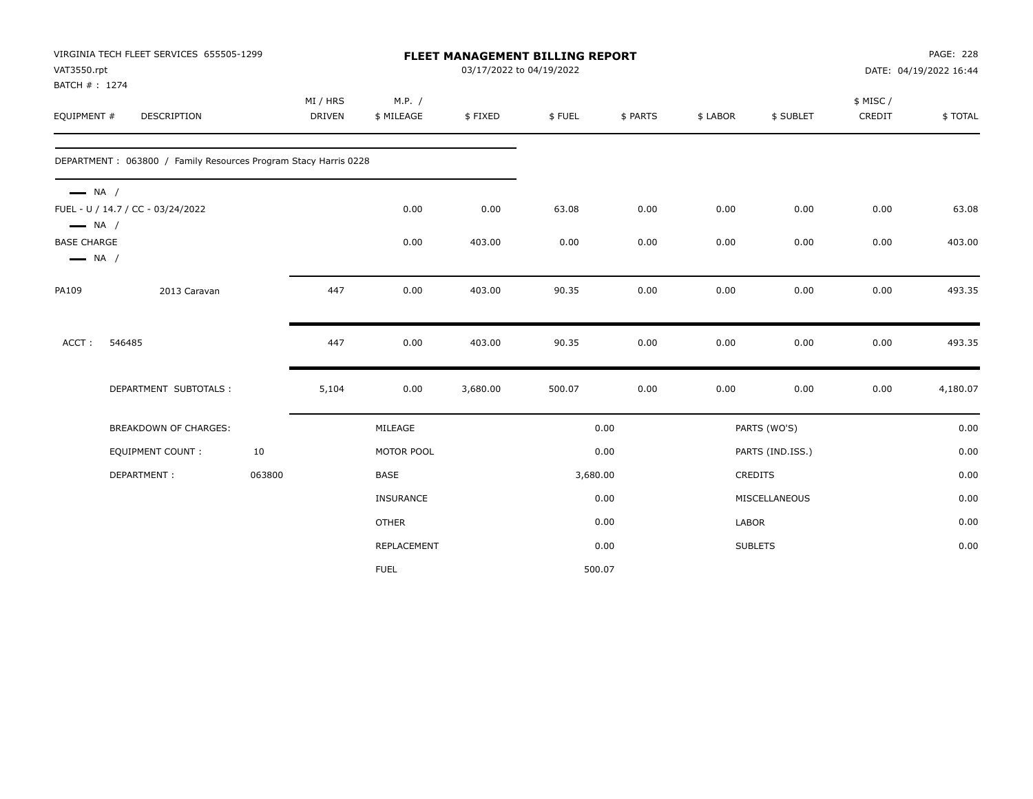| VAT3550.rpt                                  | VIRGINIA TECH FLEET SERVICES 655505-1299                         |        |               |                  | <b>FLEET MANAGEMENT BILLING REPORT</b><br>03/17/2022 to 04/19/2022 |          |          |          | PAGE: 228<br>DATE: 04/19/2022 16:44 |          |          |
|----------------------------------------------|------------------------------------------------------------------|--------|---------------|------------------|--------------------------------------------------------------------|----------|----------|----------|-------------------------------------|----------|----------|
| BATCH #: 1274                                |                                                                  |        | MI / HRS      | M.P. /           |                                                                    |          |          |          |                                     | \$ MISC/ |          |
| EQUIPMENT #                                  | DESCRIPTION                                                      |        | <b>DRIVEN</b> | \$ MILEAGE       | \$FIXED                                                            | \$FUEL   | \$ PARTS | \$ LABOR | \$ SUBLET                           | CREDIT   | \$TOTAL  |
|                                              | DEPARTMENT : 063800 / Family Resources Program Stacy Harris 0228 |        |               |                  |                                                                    |          |          |          |                                     |          |          |
| $\longrightarrow$ NA /                       | FUEL - U / 14.7 / CC - 03/24/2022                                |        |               | 0.00             | 0.00                                                               | 63.08    | 0.00     | 0.00     | 0.00                                | 0.00     | 63.08    |
| $\longrightarrow$ NA /                       |                                                                  |        |               |                  |                                                                    |          |          |          |                                     |          |          |
| <b>BASE CHARGE</b><br>$\longrightarrow$ NA / |                                                                  |        |               | 0.00             | 403.00                                                             | 0.00     | 0.00     | 0.00     | 0.00                                | 0.00     | 403.00   |
| PA109                                        | 2013 Caravan                                                     |        | 447           | 0.00             | 403.00                                                             | 90.35    | 0.00     | 0.00     | 0.00                                | 0.00     | 493.35   |
| ACCT:                                        | 546485                                                           |        | 447           | 0.00             | 403.00                                                             | 90.35    | 0.00     | 0.00     | 0.00                                | 0.00     | 493.35   |
|                                              | DEPARTMENT SUBTOTALS :                                           |        | 5,104         | 0.00             | 3,680.00                                                           | 500.07   | 0.00     | 0.00     | 0.00                                | 0.00     | 4,180.07 |
|                                              | BREAKDOWN OF CHARGES:                                            |        |               | MILEAGE          |                                                                    |          | 0.00     |          | PARTS (WO'S)                        |          | 0.00     |
|                                              | <b>EQUIPMENT COUNT:</b>                                          | 10     |               | MOTOR POOL       |                                                                    |          | 0.00     |          | PARTS (IND.ISS.)                    |          | 0.00     |
|                                              | DEPARTMENT:                                                      | 063800 |               | <b>BASE</b>      |                                                                    | 3,680.00 |          |          | <b>CREDITS</b>                      |          | 0.00     |
|                                              |                                                                  |        |               | <b>INSURANCE</b> |                                                                    |          | 0.00     |          | MISCELLANEOUS                       |          | 0.00     |
|                                              |                                                                  |        |               | <b>OTHER</b>     |                                                                    |          | 0.00     | LABOR    |                                     |          | 0.00     |
|                                              |                                                                  |        |               | REPLACEMENT      |                                                                    |          | 0.00     |          | <b>SUBLETS</b>                      |          | 0.00     |
|                                              |                                                                  |        |               | <b>FUEL</b>      |                                                                    |          | 500.07   |          |                                     |          |          |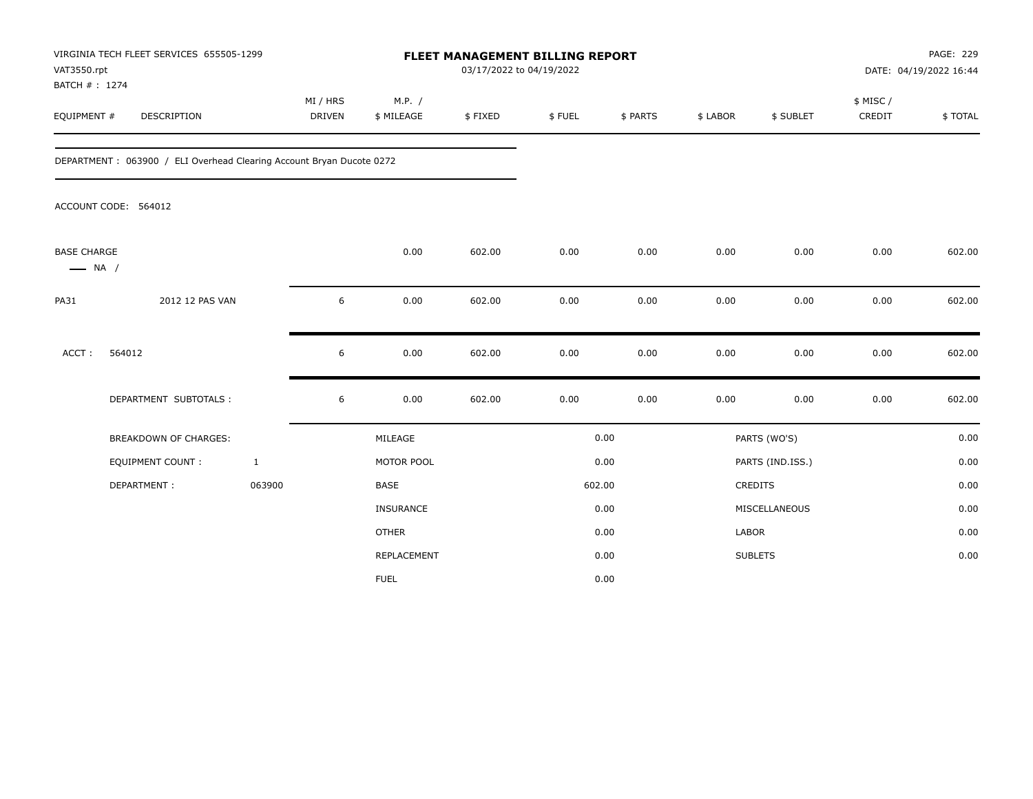| VAT3550.rpt<br>BATCH #: 1274                 | VIRGINIA TECH FLEET SERVICES 655505-1299                             |                           |                      | FLEET MANAGEMENT BILLING REPORT<br>03/17/2022 to 04/19/2022 |        |          |          |                  |                     | PAGE: 229<br>DATE: 04/19/2022 16:44 |
|----------------------------------------------|----------------------------------------------------------------------|---------------------------|----------------------|-------------------------------------------------------------|--------|----------|----------|------------------|---------------------|-------------------------------------|
| EQUIPMENT #                                  | <b>DESCRIPTION</b>                                                   | MI / HRS<br><b>DRIVEN</b> | M.P. /<br>\$ MILEAGE | \$FIXED                                                     | \$FUEL | \$ PARTS | \$ LABOR | \$ SUBLET        | \$ MISC /<br>CREDIT | \$TOTAL                             |
|                                              | DEPARTMENT: 063900 / ELI Overhead Clearing Account Bryan Ducote 0272 |                           |                      |                                                             |        |          |          |                  |                     |                                     |
|                                              | ACCOUNT CODE: 564012                                                 |                           |                      |                                                             |        |          |          |                  |                     |                                     |
| <b>BASE CHARGE</b><br>$\longrightarrow$ NA / |                                                                      |                           | 0.00                 | 602.00                                                      | 0.00   | 0.00     | 0.00     | 0.00             | 0.00                | 602.00                              |
| <b>PA31</b>                                  | 2012 12 PAS VAN                                                      | 6                         | 0.00                 | 602.00                                                      | 0.00   | 0.00     | 0.00     | 0.00             | 0.00                | 602.00                              |
| ACCT:                                        | 564012                                                               | 6                         | $0.00\,$             | 602.00                                                      | 0.00   | 0.00     | 0.00     | 0.00             | 0.00                | 602.00                              |
|                                              | DEPARTMENT SUBTOTALS :                                               | 6                         | 0.00                 | 602.00                                                      | 0.00   | 0.00     | 0.00     | 0.00             | 0.00                | 602.00                              |
|                                              | <b>BREAKDOWN OF CHARGES:</b>                                         |                           | MILEAGE              |                                                             |        | 0.00     |          | PARTS (WO'S)     |                     | 0.00                                |
|                                              | <b>EQUIPMENT COUNT:</b>                                              | $\mathbf{1}$              | MOTOR POOL           |                                                             |        | 0.00     |          | PARTS (IND.ISS.) |                     | 0.00                                |
|                                              | DEPARTMENT:                                                          | 063900                    | <b>BASE</b>          |                                                             |        | 602.00   |          | <b>CREDITS</b>   |                     | 0.00                                |
|                                              |                                                                      |                           | INSURANCE            |                                                             |        | 0.00     |          | MISCELLANEOUS    |                     | 0.00                                |
|                                              |                                                                      |                           | <b>OTHER</b>         |                                                             |        | 0.00     | LABOR    |                  |                     | 0.00                                |
|                                              |                                                                      |                           | REPLACEMENT          |                                                             |        | 0.00     |          | <b>SUBLETS</b>   |                     | 0.00                                |
|                                              |                                                                      |                           | <b>FUEL</b>          |                                                             |        | 0.00     |          |                  |                     |                                     |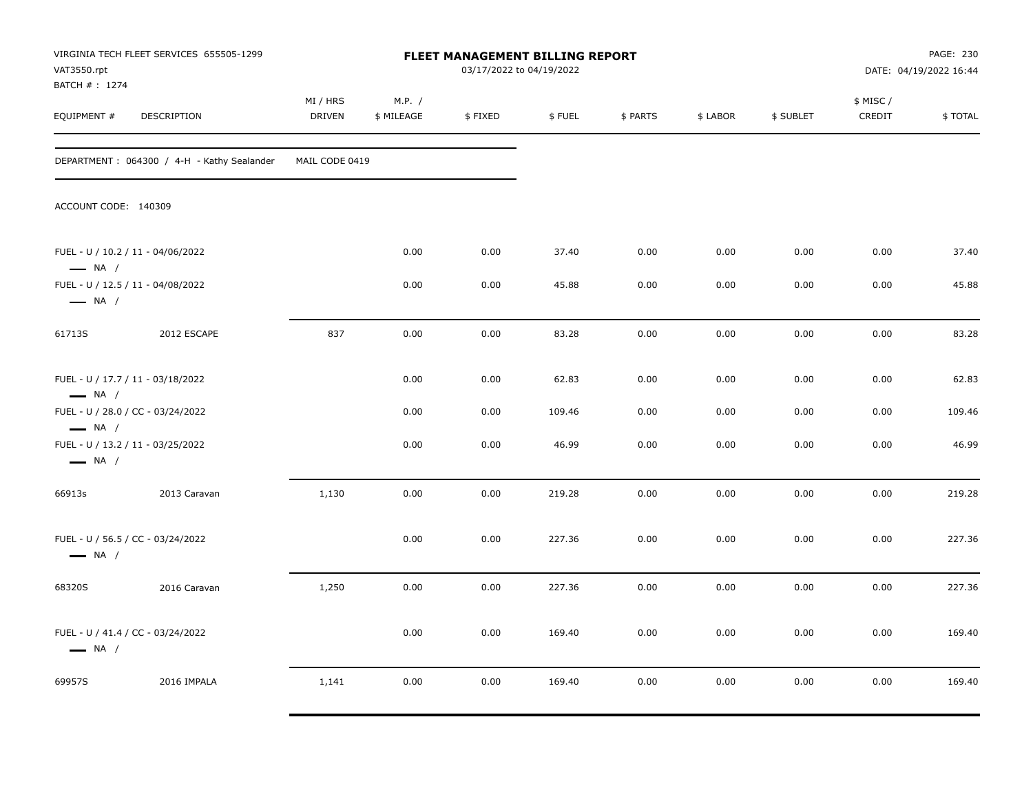| VAT3550.rpt<br>BATCH #: 1274                                | VIRGINIA TECH FLEET SERVICES 655505-1299   |                           |                      |         | FLEET MANAGEMENT BILLING REPORT<br>03/17/2022 to 04/19/2022 |          |          |           |                     | PAGE: 230<br>DATE: 04/19/2022 16:44 |
|-------------------------------------------------------------|--------------------------------------------|---------------------------|----------------------|---------|-------------------------------------------------------------|----------|----------|-----------|---------------------|-------------------------------------|
| EQUIPMENT #                                                 | <b>DESCRIPTION</b>                         | MI / HRS<br><b>DRIVEN</b> | M.P. /<br>\$ MILEAGE | \$FIXED | \$FUEL                                                      | \$ PARTS | \$ LABOR | \$ SUBLET | \$ MISC /<br>CREDIT | \$TOTAL                             |
|                                                             | DEPARTMENT: 064300 / 4-H - Kathy Sealander | MAIL CODE 0419            |                      |         |                                                             |          |          |           |                     |                                     |
| ACCOUNT CODE: 140309                                        |                                            |                           |                      |         |                                                             |          |          |           |                     |                                     |
| FUEL - U / 10.2 / 11 - 04/06/2022<br>$\longrightarrow$ NA / |                                            |                           | 0.00                 | 0.00    | 37.40                                                       | 0.00     | 0.00     | 0.00      | 0.00                | 37.40                               |
| FUEL - U / 12.5 / 11 - 04/08/2022<br>$\longrightarrow$ NA / |                                            |                           | 0.00                 | 0.00    | 45.88                                                       | 0.00     | 0.00     | 0.00      | 0.00                | 45.88                               |
| 61713S                                                      | 2012 ESCAPE                                | 837                       | 0.00                 | 0.00    | 83.28                                                       | 0.00     | 0.00     | 0.00      | 0.00                | 83.28                               |
| FUEL - U / 17.7 / 11 - 03/18/2022<br>$\longrightarrow$ NA / |                                            |                           | 0.00                 | 0.00    | 62.83                                                       | 0.00     | 0.00     | 0.00      | 0.00                | 62.83                               |
| FUEL - U / 28.0 / CC - 03/24/2022<br>$\longrightarrow$ NA / |                                            |                           | 0.00                 | 0.00    | 109.46                                                      | 0.00     | 0.00     | 0.00      | 0.00                | 109.46                              |
| FUEL - U / 13.2 / 11 - 03/25/2022<br>$\longrightarrow$ NA / |                                            |                           | 0.00                 | 0.00    | 46.99                                                       | 0.00     | 0.00     | 0.00      | 0.00                | 46.99                               |
| 66913s                                                      | 2013 Caravan                               | 1,130                     | 0.00                 | 0.00    | 219.28                                                      | 0.00     | 0.00     | 0.00      | 0.00                | 219.28                              |
| FUEL - U / 56.5 / CC - 03/24/2022<br>$\longrightarrow$ NA / |                                            |                           | 0.00                 | 0.00    | 227.36                                                      | 0.00     | 0.00     | 0.00      | 0.00                | 227.36                              |
| 68320S                                                      | 2016 Caravan                               | 1,250                     | 0.00                 | 0.00    | 227.36                                                      | 0.00     | 0.00     | 0.00      | 0.00                | 227.36                              |
| FUEL - U / 41.4 / CC - 03/24/2022<br>$\longrightarrow$ NA / |                                            |                           | 0.00                 | 0.00    | 169.40                                                      | 0.00     | 0.00     | 0.00      | 0.00                | 169.40                              |
| 69957S                                                      | 2016 IMPALA                                | 1,141                     | 0.00                 | 0.00    | 169.40                                                      | 0.00     | 0.00     | 0.00      | 0.00                | 169.40                              |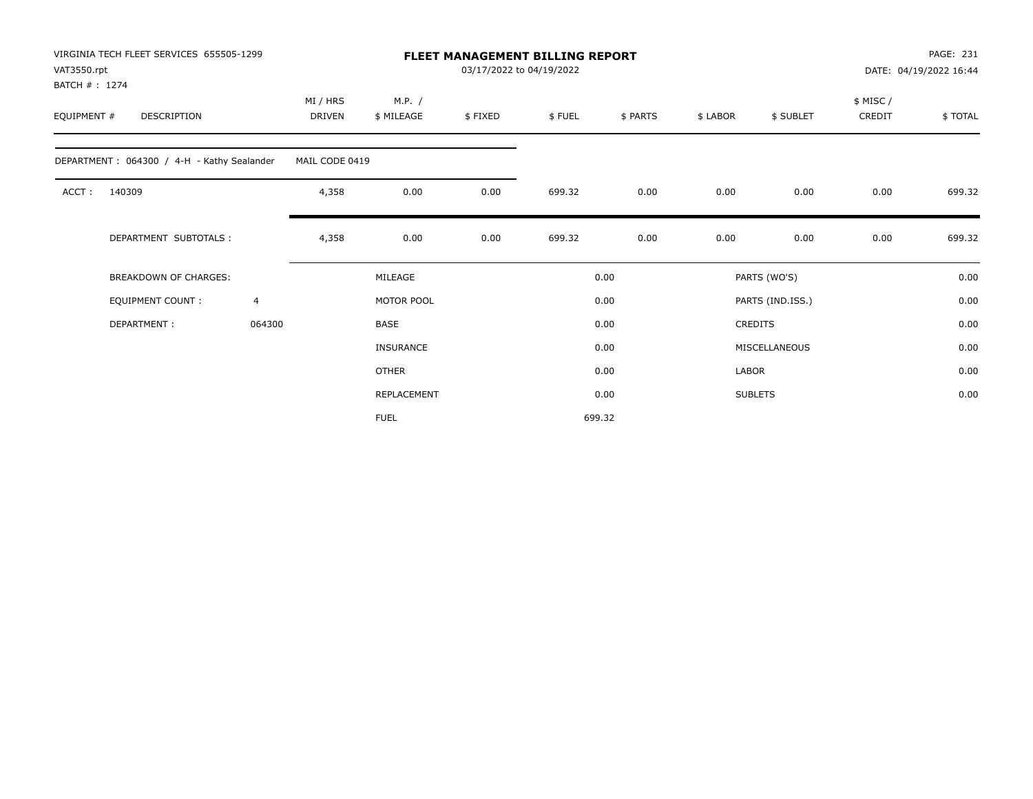| VAT3550.rpt<br>BATCH #: 1274 | VIRGINIA TECH FLEET SERVICES 655505-1299   |        |                           |                      |         | 03/17/2022 to 04/19/2022 | PAGE: 231<br>FLEET MANAGEMENT BILLING REPORT<br>DATE: 04/19/2022 16:44 |          |                  |                    |         |  |
|------------------------------|--------------------------------------------|--------|---------------------------|----------------------|---------|--------------------------|------------------------------------------------------------------------|----------|------------------|--------------------|---------|--|
| EQUIPMENT #                  | DESCRIPTION                                |        | MI / HRS<br><b>DRIVEN</b> | M.P. /<br>\$ MILEAGE | \$FIXED | \$FUEL                   | \$ PARTS                                                               | \$ LABOR | \$ SUBLET        | \$ MISC/<br>CREDIT | \$TOTAL |  |
|                              | DEPARTMENT: 064300 / 4-H - Kathy Sealander |        | MAIL CODE 0419            |                      |         |                          |                                                                        |          |                  |                    |         |  |
| ACCT:                        | 140309                                     |        | 4,358                     | 0.00                 | 0.00    | 699.32                   | 0.00                                                                   | 0.00     | 0.00             | 0.00               | 699.32  |  |
|                              | DEPARTMENT SUBTOTALS :                     |        | 4,358                     | 0.00                 | 0.00    | 699.32                   | 0.00                                                                   | 0.00     | 0.00             | 0.00               | 699.32  |  |
|                              | <b>BREAKDOWN OF CHARGES:</b>               |        |                           | MILEAGE              |         |                          | 0.00                                                                   |          | PARTS (WO'S)     |                    | 0.00    |  |
|                              | <b>EQUIPMENT COUNT:</b>                    | 4      |                           | MOTOR POOL           |         |                          | 0.00                                                                   |          | PARTS (IND.ISS.) |                    | 0.00    |  |
|                              | DEPARTMENT:                                | 064300 |                           | <b>BASE</b>          |         |                          | 0.00                                                                   |          | <b>CREDITS</b>   |                    | 0.00    |  |
|                              |                                            |        |                           | <b>INSURANCE</b>     |         |                          | 0.00                                                                   |          | MISCELLANEOUS    |                    | 0.00    |  |
|                              |                                            |        |                           | <b>OTHER</b>         |         |                          | 0.00                                                                   | LABOR    |                  |                    | 0.00    |  |
|                              |                                            |        |                           | REPLACEMENT          |         |                          | 0.00                                                                   |          | <b>SUBLETS</b>   |                    | 0.00    |  |
|                              |                                            |        |                           | <b>FUEL</b>          |         |                          | 699.32                                                                 |          |                  |                    |         |  |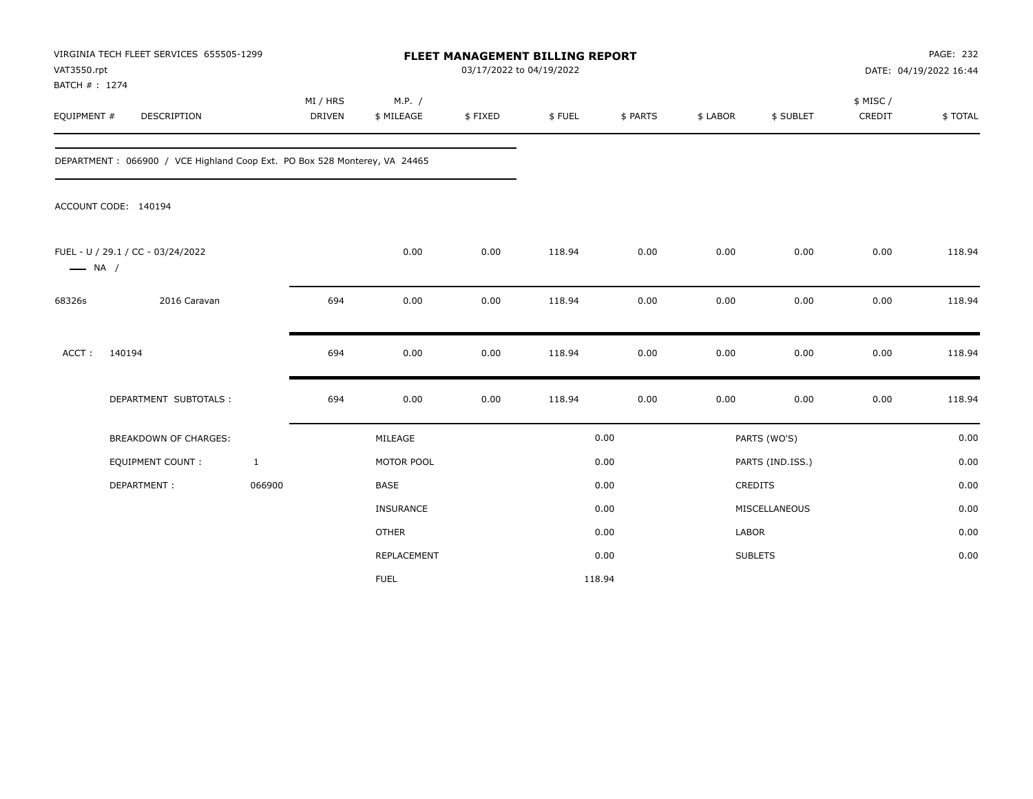| VAT3550.rpt                  | VIRGINIA TECH FLEET SERVICES 655505-1299                                  |              |                           |                      | <b>FLEET MANAGEMENT BILLING REPORT</b><br>03/17/2022 to 04/19/2022 |        |          |              |                  |                     | PAGE: 232<br>DATE: 04/19/2022 16:44 |
|------------------------------|---------------------------------------------------------------------------|--------------|---------------------------|----------------------|--------------------------------------------------------------------|--------|----------|--------------|------------------|---------------------|-------------------------------------|
| BATCH #: 1274<br>EQUIPMENT # | DESCRIPTION                                                               |              | MI / HRS<br><b>DRIVEN</b> | M.P. /<br>\$ MILEAGE | \$FIXED                                                            | \$FUEL | \$ PARTS | \$ LABOR     | \$ SUBLET        | \$ MISC /<br>CREDIT | \$TOTAL                             |
|                              | DEPARTMENT: 066900 / VCE Highland Coop Ext. PO Box 528 Monterey, VA 24465 |              |                           |                      |                                                                    |        |          |              |                  |                     |                                     |
|                              | ACCOUNT CODE: 140194                                                      |              |                           |                      |                                                                    |        |          |              |                  |                     |                                     |
| $\longrightarrow$ NA /       | FUEL - U / 29.1 / CC - 03/24/2022                                         |              |                           | 0.00                 | 0.00                                                               | 118.94 | 0.00     | 0.00         | 0.00             | 0.00                | 118.94                              |
| 68326s                       | 2016 Caravan                                                              |              | 694                       | 0.00                 | 0.00                                                               | 118.94 | 0.00     | 0.00         | 0.00             | 0.00                | 118.94                              |
| ACCT:                        | 140194                                                                    |              | 694                       | 0.00                 | 0.00                                                               | 118.94 | 0.00     | 0.00         | 0.00             | 0.00                | 118.94                              |
|                              | DEPARTMENT SUBTOTALS :                                                    |              | 694                       | 0.00                 | 0.00                                                               | 118.94 | 0.00     | 0.00         | 0.00             | 0.00                | 118.94                              |
|                              | BREAKDOWN OF CHARGES:                                                     |              |                           | MILEAGE              |                                                                    |        | 0.00     |              | PARTS (WO'S)     |                     | 0.00                                |
|                              | EQUIPMENT COUNT :                                                         | $\mathbf{1}$ |                           | MOTOR POOL           |                                                                    |        | 0.00     |              | PARTS (IND.ISS.) |                     | 0.00                                |
|                              | DEPARTMENT:                                                               | 066900       |                           | <b>BASE</b>          |                                                                    |        | 0.00     |              | CREDITS          |                     | 0.00                                |
|                              |                                                                           |              |                           | INSURANCE            |                                                                    |        | 0.00     |              | MISCELLANEOUS    |                     | 0.00                                |
|                              |                                                                           |              |                           | <b>OTHER</b>         |                                                                    |        | 0.00     | <b>LABOR</b> |                  |                     | 0.00                                |
|                              |                                                                           |              |                           | REPLACEMENT          |                                                                    |        | 0.00     |              | <b>SUBLETS</b>   |                     | 0.00                                |
|                              |                                                                           |              |                           | <b>FUEL</b>          |                                                                    | 118.94 |          |              |                  |                     |                                     |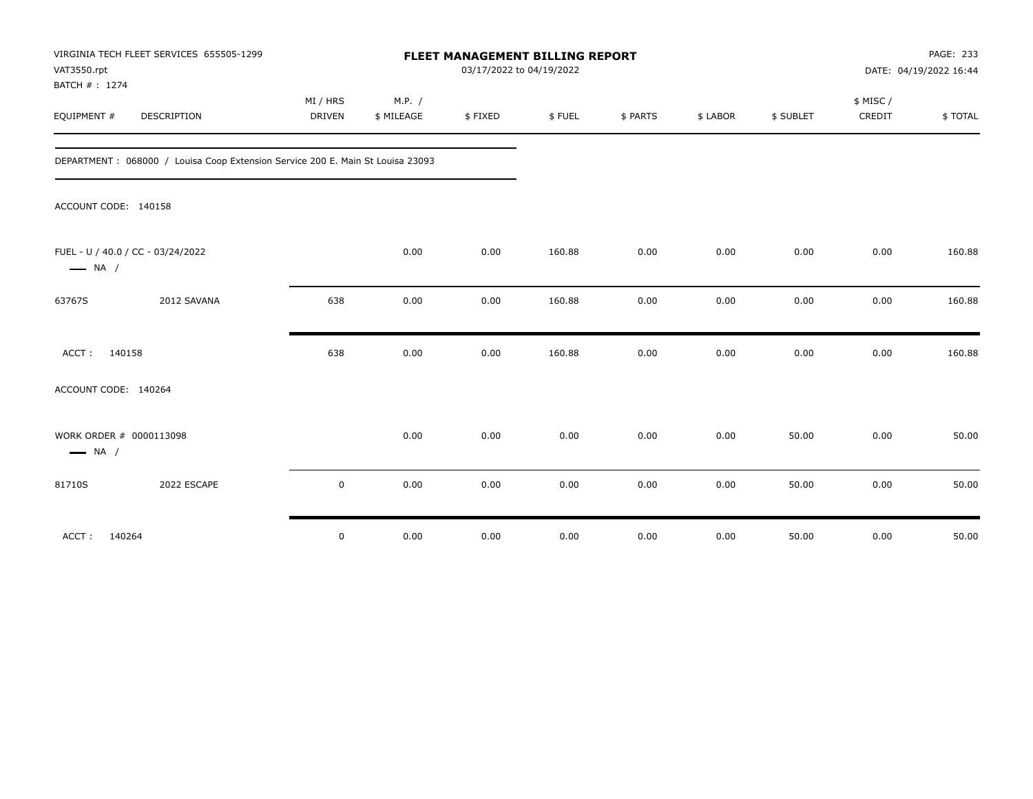| VAT3550.rpt<br>BATCH #: 1274                      | VIRGINIA TECH FLEET SERVICES 655505-1299                                       |               |            |         | FLEET MANAGEMENT BILLING REPORT<br>03/17/2022 to 04/19/2022 |          |          |           |          | PAGE: 233<br>DATE: 04/19/2022 16:44 |
|---------------------------------------------------|--------------------------------------------------------------------------------|---------------|------------|---------|-------------------------------------------------------------|----------|----------|-----------|----------|-------------------------------------|
|                                                   |                                                                                | MI / HRS      | M.P. /     |         |                                                             |          |          |           | \$ MISC/ |                                     |
| EQUIPMENT #                                       | DESCRIPTION                                                                    | <b>DRIVEN</b> | \$ MILEAGE | \$FIXED | \$FUEL                                                      | \$ PARTS | \$ LABOR | \$ SUBLET | CREDIT   | \$TOTAL                             |
|                                                   | DEPARTMENT: 068000 / Louisa Coop Extension Service 200 E. Main St Louisa 23093 |               |            |         |                                                             |          |          |           |          |                                     |
| ACCOUNT CODE: 140158                              |                                                                                |               |            |         |                                                             |          |          |           |          |                                     |
| $\longrightarrow$ NA /                            | FUEL - U / 40.0 / CC - 03/24/2022                                              |               | 0.00       | 0.00    | 160.88                                                      | 0.00     | 0.00     | 0.00      | 0.00     | 160.88                              |
| 63767S                                            | 2012 SAVANA                                                                    | 638           | 0.00       | 0.00    | 160.88                                                      | 0.00     | 0.00     | 0.00      | 0.00     | 160.88                              |
| ACCT: 140158                                      |                                                                                | 638           | 0.00       | 0.00    | 160.88                                                      | 0.00     | 0.00     | 0.00      | 0.00     | 160.88                              |
| ACCOUNT CODE: 140264                              |                                                                                |               |            |         |                                                             |          |          |           |          |                                     |
| WORK ORDER # 0000113098<br>$\longrightarrow$ NA / |                                                                                |               | 0.00       | 0.00    | 0.00                                                        | 0.00     | 0.00     | 50.00     | 0.00     | 50.00                               |
| 81710S                                            | 2022 ESCAPE                                                                    | $\pmb{0}$     | 0.00       | 0.00    | 0.00                                                        | 0.00     | 0.00     | 50.00     | 0.00     | 50.00                               |
| ACCT:<br>140264                                   |                                                                                | $\mathbf 0$   | 0.00       | 0.00    | 0.00                                                        | 0.00     | 0.00     | 50.00     | 0.00     | 50.00                               |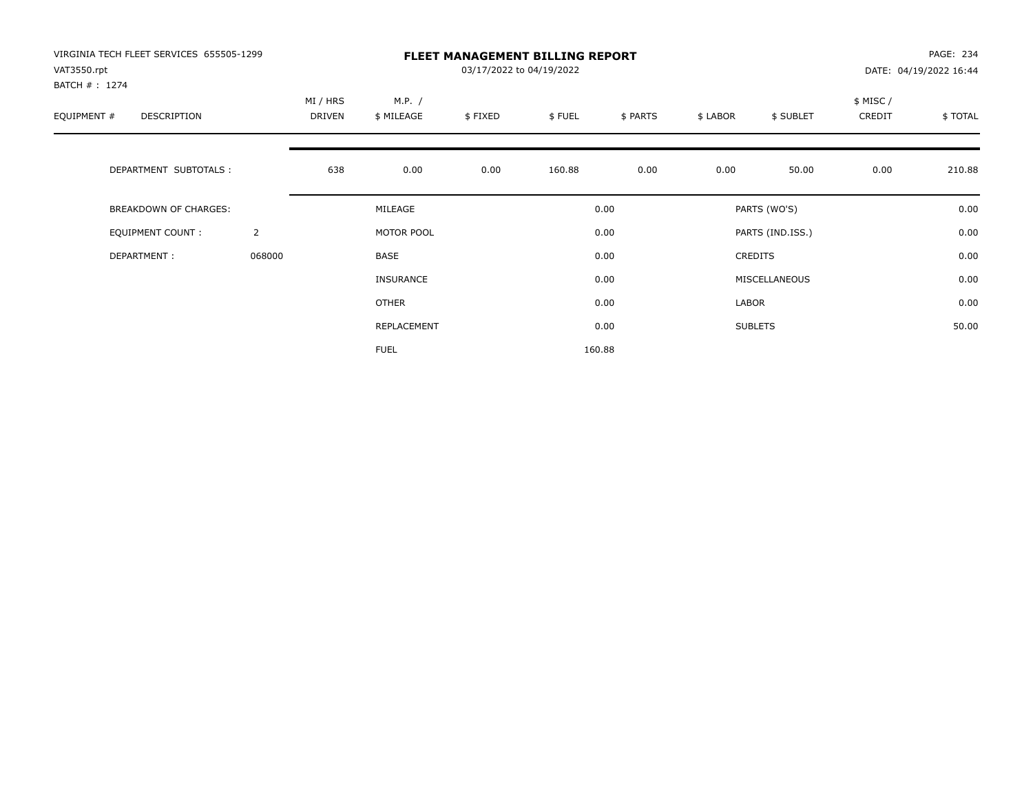| VIRGINIA TECH FLEET SERVICES 655505-1299<br>VAT3550.rpt<br>BATCH #: 1274 |                |                    | <b>FLEET MANAGEMENT BILLING REPORT</b><br>03/17/2022 to 04/19/2022<br>DATE: 04/19/2022 16:44 |         |        |          |          |                  |                    |          |  |
|--------------------------------------------------------------------------|----------------|--------------------|----------------------------------------------------------------------------------------------|---------|--------|----------|----------|------------------|--------------------|----------|--|
| EQUIPMENT #<br>DESCRIPTION                                               |                | MI / HRS<br>DRIVEN | M.P. /<br>\$ MILEAGE                                                                         | \$FIXED | \$FUEL | \$ PARTS | \$ LABOR | \$ SUBLET        | \$ MISC/<br>CREDIT | \$ TOTAL |  |
| DEPARTMENT SUBTOTALS :                                                   |                | 638                | 0.00                                                                                         | 0.00    | 160.88 | 0.00     | 0.00     | 50.00            | 0.00               | 210.88   |  |
| BREAKDOWN OF CHARGES:                                                    |                |                    | MILEAGE                                                                                      |         |        | 0.00     |          | PARTS (WO'S)     |                    | 0.00     |  |
| <b>EQUIPMENT COUNT:</b>                                                  | $\overline{2}$ |                    | MOTOR POOL                                                                                   |         |        | 0.00     |          | PARTS (IND.ISS.) |                    | 0.00     |  |
| DEPARTMENT:                                                              | 068000         |                    | <b>BASE</b>                                                                                  |         |        | 0.00     |          | <b>CREDITS</b>   |                    | 0.00     |  |
|                                                                          |                |                    | <b>INSURANCE</b>                                                                             |         |        | 0.00     |          | MISCELLANEOUS    |                    | 0.00     |  |
|                                                                          |                |                    | OTHER                                                                                        |         |        | 0.00     | LABOR    |                  |                    | 0.00     |  |
|                                                                          |                |                    | REPLACEMENT                                                                                  |         |        | 0.00     |          | <b>SUBLETS</b>   |                    | 50.00    |  |
|                                                                          |                |                    | <b>FUEL</b>                                                                                  |         |        | 160.88   |          |                  |                    |          |  |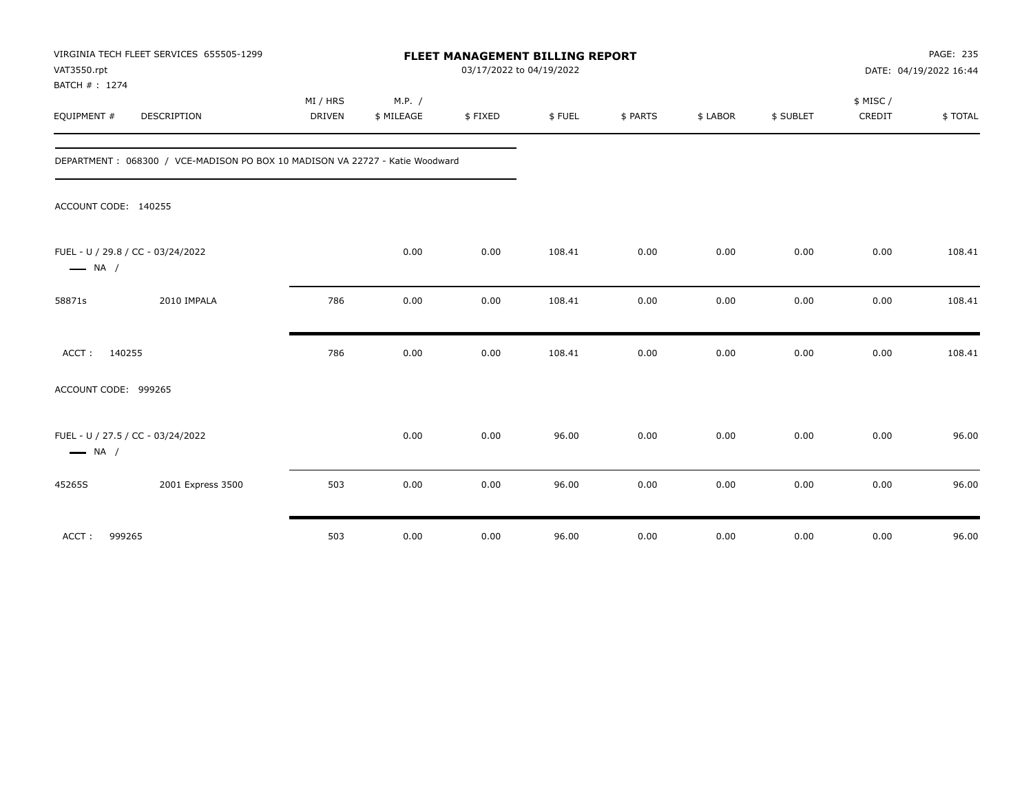| VAT3550.rpt<br>BATCH #: 1274                                | VIRGINIA TECH FLEET SERVICES 655505-1299                                     |                           |                      |         | FLEET MANAGEMENT BILLING REPORT<br>03/17/2022 to 04/19/2022 |          |          |           |                    | PAGE: 235<br>DATE: 04/19/2022 16:44 |
|-------------------------------------------------------------|------------------------------------------------------------------------------|---------------------------|----------------------|---------|-------------------------------------------------------------|----------|----------|-----------|--------------------|-------------------------------------|
| EQUIPMENT #                                                 | DESCRIPTION                                                                  | MI / HRS<br><b>DRIVEN</b> | M.P. /<br>\$ MILEAGE | \$FIXED | \$FUEL                                                      | \$ PARTS | \$ LABOR | \$ SUBLET | \$ MISC/<br>CREDIT | \$TOTAL                             |
|                                                             | DEPARTMENT: 068300 / VCE-MADISON PO BOX 10 MADISON VA 22727 - Katie Woodward |                           |                      |         |                                                             |          |          |           |                    |                                     |
| ACCOUNT CODE: 140255                                        |                                                                              |                           |                      |         |                                                             |          |          |           |                    |                                     |
| FUEL - U / 29.8 / CC - 03/24/2022<br>$\longrightarrow$ NA / |                                                                              |                           | 0.00                 | 0.00    | 108.41                                                      | 0.00     | 0.00     | 0.00      | 0.00               | 108.41                              |
| 58871s                                                      | 2010 IMPALA                                                                  | 786                       | 0.00                 | 0.00    | 108.41                                                      | 0.00     | 0.00     | 0.00      | 0.00               | 108.41                              |
| ACCT: 140255                                                |                                                                              | 786                       | 0.00                 | 0.00    | 108.41                                                      | 0.00     | 0.00     | 0.00      | 0.00               | 108.41                              |
| ACCOUNT CODE: 999265                                        |                                                                              |                           |                      |         |                                                             |          |          |           |                    |                                     |
| FUEL - U / 27.5 / CC - 03/24/2022<br>$\longrightarrow$ NA / |                                                                              |                           | 0.00                 | 0.00    | 96.00                                                       | 0.00     | 0.00     | 0.00      | 0.00               | 96.00                               |
| 45265S                                                      | 2001 Express 3500                                                            | 503                       | 0.00                 | 0.00    | 96.00                                                       | 0.00     | 0.00     | 0.00      | 0.00               | 96.00                               |
| 999265<br>ACCT:                                             |                                                                              | 503                       | 0.00                 | 0.00    | 96.00                                                       | 0.00     | 0.00     | 0.00      | 0.00               | 96.00                               |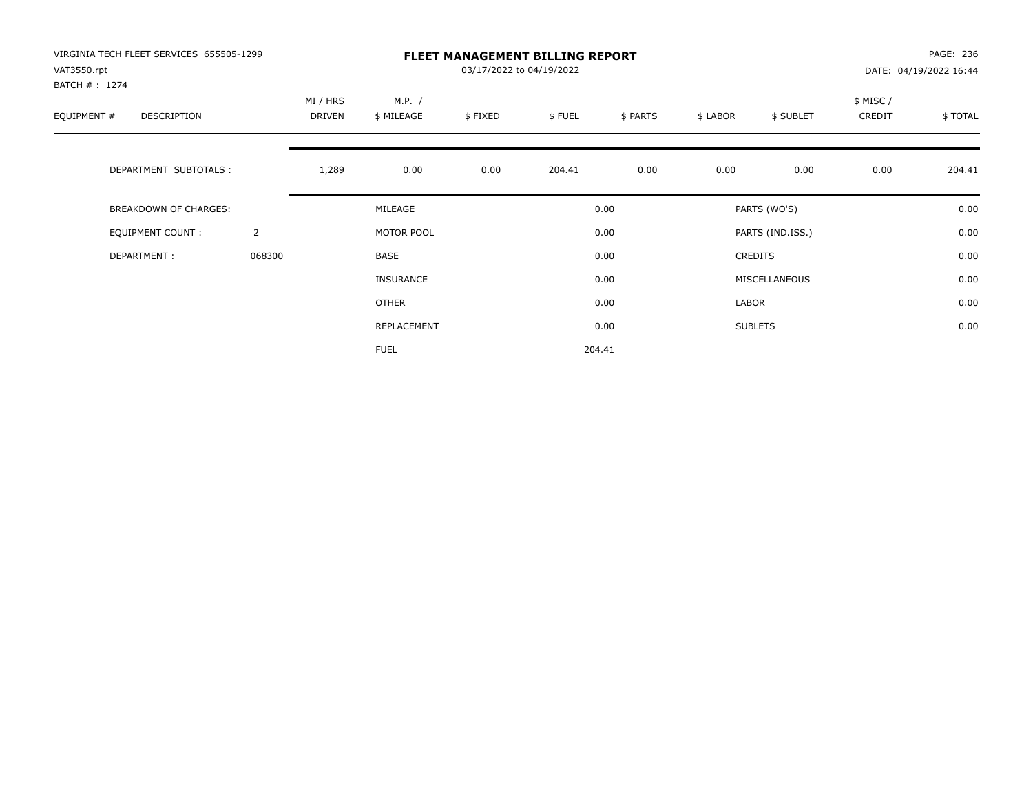| VIRGINIA TECH FLEET SERVICES 655505-1299<br>VAT3550.rpt<br>BATCH #: 1274 |                | <b>FLEET MANAGEMENT BILLING REPORT</b><br>03/17/2022 to 04/19/2022<br>DATE: 04/19/2022 16:44 |                      |         |        |          |          |                  |                    |         |  |
|--------------------------------------------------------------------------|----------------|----------------------------------------------------------------------------------------------|----------------------|---------|--------|----------|----------|------------------|--------------------|---------|--|
| EQUIPMENT #<br>DESCRIPTION                                               |                | MI / HRS<br>DRIVEN                                                                           | M.P. /<br>\$ MILEAGE | \$FIXED | \$FUEL | \$ PARTS | \$ LABOR | \$ SUBLET        | \$ MISC/<br>CREDIT | \$TOTAL |  |
| DEPARTMENT SUBTOTALS :                                                   |                | 1,289                                                                                        | 0.00                 | 0.00    | 204.41 | 0.00     | 0.00     | 0.00             | 0.00               | 204.41  |  |
| <b>BREAKDOWN OF CHARGES:</b>                                             |                |                                                                                              | MILEAGE              |         |        | 0.00     |          | PARTS (WO'S)     |                    | 0.00    |  |
| EQUIPMENT COUNT:                                                         | $\overline{2}$ |                                                                                              | MOTOR POOL           |         |        | 0.00     |          | PARTS (IND.ISS.) |                    | 0.00    |  |
| DEPARTMENT:                                                              | 068300         |                                                                                              | <b>BASE</b>          |         |        | 0.00     |          | <b>CREDITS</b>   |                    | 0.00    |  |
|                                                                          |                |                                                                                              | <b>INSURANCE</b>     |         |        | 0.00     |          | MISCELLANEOUS    |                    | 0.00    |  |
|                                                                          |                |                                                                                              | <b>OTHER</b>         |         |        | 0.00     | LABOR    |                  |                    | 0.00    |  |
|                                                                          |                |                                                                                              | REPLACEMENT          |         |        | 0.00     |          | <b>SUBLETS</b>   |                    | 0.00    |  |
|                                                                          |                |                                                                                              | <b>FUEL</b>          |         |        | 204.41   |          |                  |                    |         |  |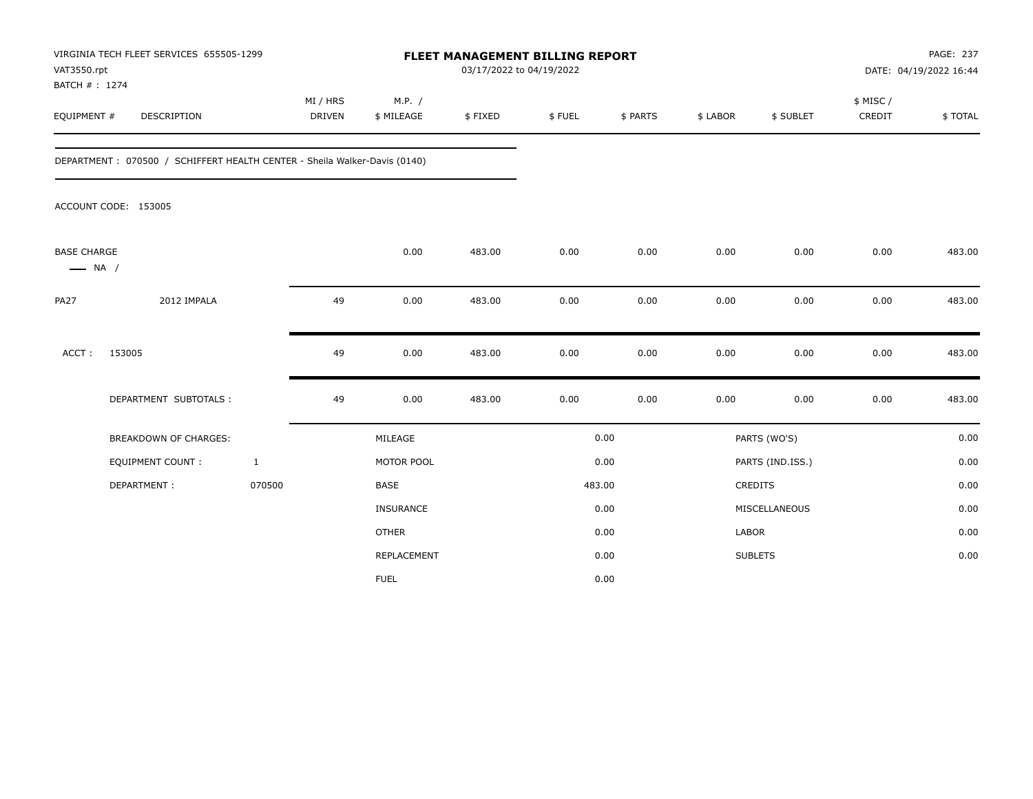| VAT3550.rpt                                  | VIRGINIA TECH FLEET SERVICES 655505-1299                                  |                           |                      | FLEET MANAGEMENT BILLING REPORT<br>03/17/2022 to 04/19/2022 |        |          |              |                  |                     | PAGE: 237<br>DATE: 04/19/2022 16:44 |
|----------------------------------------------|---------------------------------------------------------------------------|---------------------------|----------------------|-------------------------------------------------------------|--------|----------|--------------|------------------|---------------------|-------------------------------------|
| BATCH #: 1274<br>EQUIPMENT #                 | <b>DESCRIPTION</b>                                                        | MI / HRS<br><b>DRIVEN</b> | M.P. /<br>\$ MILEAGE | \$FIXED                                                     | \$FUEL | \$ PARTS | \$ LABOR     | \$ SUBLET        | \$ MISC /<br>CREDIT | \$TOTAL                             |
|                                              | DEPARTMENT: 070500 / SCHIFFERT HEALTH CENTER - Sheila Walker-Davis (0140) |                           |                      |                                                             |        |          |              |                  |                     |                                     |
|                                              | ACCOUNT CODE: 153005                                                      |                           |                      |                                                             |        |          |              |                  |                     |                                     |
| <b>BASE CHARGE</b><br>$\longrightarrow$ NA / |                                                                           |                           | 0.00                 | 483.00                                                      | 0.00   | 0.00     | 0.00         | 0.00             | 0.00                | 483.00                              |
| <b>PA27</b>                                  | 2012 IMPALA                                                               | 49                        | 0.00                 | 483.00                                                      | 0.00   | 0.00     | 0.00         | 0.00             | 0.00                | 483.00                              |
| $ACCT$ :                                     | 153005                                                                    | 49                        | 0.00                 | 483.00                                                      | 0.00   | 0.00     | 0.00         | 0.00             | 0.00                | 483.00                              |
|                                              | DEPARTMENT SUBTOTALS :                                                    | 49                        | 0.00                 | 483.00                                                      | 0.00   | 0.00     | 0.00         | 0.00             | 0.00                | 483.00                              |
|                                              | <b>BREAKDOWN OF CHARGES:</b>                                              |                           | MILEAGE              |                                                             |        | 0.00     |              | PARTS (WO'S)     |                     | 0.00                                |
|                                              | <b>EQUIPMENT COUNT:</b>                                                   | $\mathbf{1}$              | MOTOR POOL           |                                                             |        | 0.00     |              | PARTS (IND.ISS.) |                     | 0.00                                |
|                                              | DEPARTMENT:                                                               | 070500                    | <b>BASE</b>          |                                                             |        | 483.00   |              | <b>CREDITS</b>   |                     | 0.00                                |
|                                              |                                                                           |                           | <b>INSURANCE</b>     |                                                             |        | 0.00     |              | MISCELLANEOUS    |                     | 0.00                                |
|                                              |                                                                           |                           | <b>OTHER</b>         |                                                             |        | 0.00     | <b>LABOR</b> |                  |                     | 0.00                                |
|                                              |                                                                           |                           | REPLACEMENT          |                                                             |        | 0.00     |              | <b>SUBLETS</b>   |                     | 0.00                                |
|                                              |                                                                           |                           | <b>FUEL</b>          |                                                             |        | 0.00     |              |                  |                     |                                     |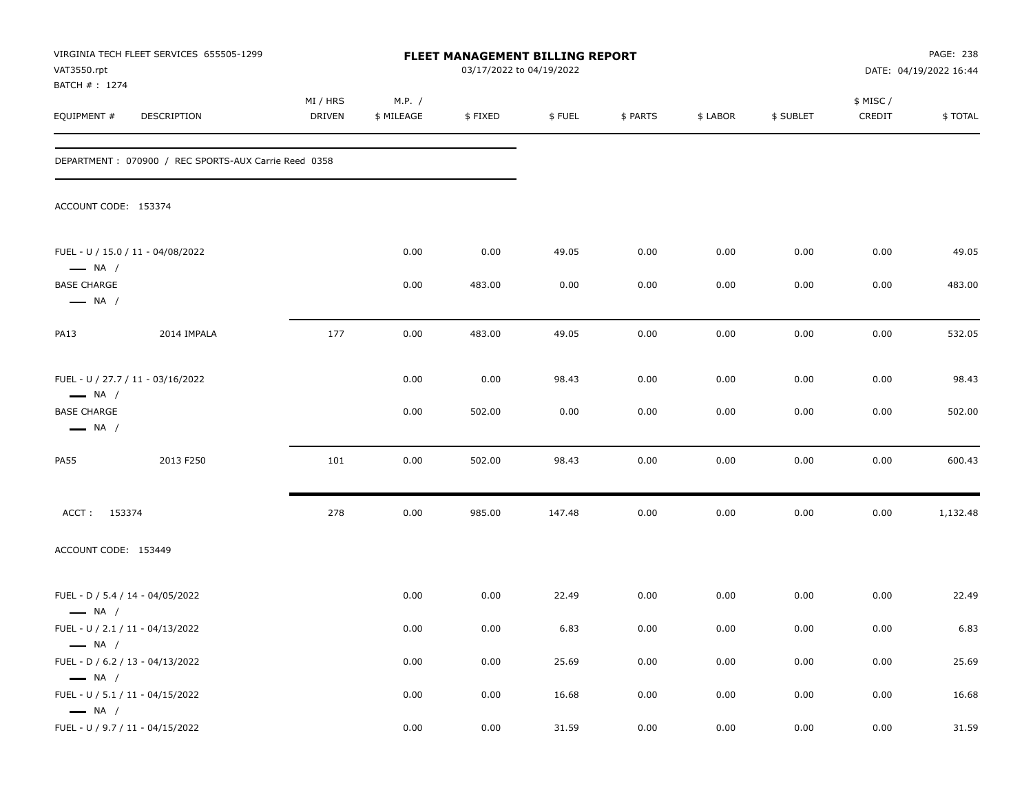| VAT3550.rpt                                                                          | VIRGINIA TECH FLEET SERVICES 655505-1299             |                    |                      | FLEET MANAGEMENT BILLING REPORT<br>03/17/2022 to 04/19/2022 |               |              |              |              |                     | PAGE: 238<br>DATE: 04/19/2022 16:44 |
|--------------------------------------------------------------------------------------|------------------------------------------------------|--------------------|----------------------|-------------------------------------------------------------|---------------|--------------|--------------|--------------|---------------------|-------------------------------------|
| BATCH # : 1274<br>EQUIPMENT#                                                         | DESCRIPTION                                          | MI / HRS<br>DRIVEN | M.P. /<br>\$ MILEAGE | \$FIXED                                                     | \$FUEL        | \$ PARTS     | \$ LABOR     | \$ SUBLET    | \$ MISC /<br>CREDIT | \$TOTAL                             |
|                                                                                      | DEPARTMENT: 070900 / REC SPORTS-AUX Carrie Reed 0358 |                    |                      |                                                             |               |              |              |              |                     |                                     |
| ACCOUNT CODE: 153374                                                                 |                                                      |                    |                      |                                                             |               |              |              |              |                     |                                     |
| $\longrightarrow$ NA /                                                               | FUEL - U / 15.0 / 11 - 04/08/2022                    |                    | 0.00                 | 0.00                                                        | 49.05         | 0.00         | 0.00         | 0.00         | 0.00                | 49.05                               |
| <b>BASE CHARGE</b><br>$\longrightarrow$ NA /                                         |                                                      |                    | 0.00                 | 483.00                                                      | 0.00          | 0.00         | 0.00         | 0.00         | 0.00                | 483.00                              |
| PA13                                                                                 | 2014 IMPALA                                          | 177                | 0.00                 | 483.00                                                      | 49.05         | 0.00         | 0.00         | 0.00         | 0.00                | 532.05                              |
| $\longrightarrow$ NA /<br><b>BASE CHARGE</b><br>$\longrightarrow$ NA /               | FUEL - U / 27.7 / 11 - 03/16/2022                    |                    | 0.00<br>0.00         | 0.00<br>502.00                                              | 98.43<br>0.00 | 0.00<br>0.00 | 0.00<br>0.00 | 0.00<br>0.00 | 0.00<br>0.00        | 98.43<br>502.00                     |
| <b>PA55</b>                                                                          | 2013 F250                                            | 101                | 0.00                 | 502.00                                                      | 98.43         | 0.00         | 0.00         | 0.00         | 0.00                | 600.43                              |
| ACCT: 153374                                                                         |                                                      | 278                | 0.00                 | 985.00                                                      | 147.48        | 0.00         | 0.00         | 0.00         | 0.00                | 1,132.48                            |
| ACCOUNT CODE: 153449                                                                 |                                                      |                    |                      |                                                             |               |              |              |              |                     |                                     |
| FUEL - D / 5.4 / 14 - 04/05/2022<br>$\longrightarrow$ NA /                           |                                                      |                    | 0.00                 | 0.00                                                        | 22.49         | 0.00         | 0.00         | 0.00         | 0.00                | 22.49                               |
| FUEL - U / 2.1 / 11 - 04/13/2022                                                     |                                                      |                    | 0.00                 | 0.00                                                        | 6.83          | 0.00         | 0.00         | 0.00         | 0.00                | 6.83                                |
| $\longrightarrow$ NA /<br>FUEL - D / 6.2 / 13 - 04/13/2022<br>$\longrightarrow$ NA / |                                                      |                    | 0.00                 | 0.00                                                        | 25.69         | 0.00         | 0.00         | 0.00         | $0.00\,$            | 25.69                               |
| FUEL - U / 5.1 / 11 - 04/15/2022<br>$\longrightarrow$ NA /                           |                                                      |                    | 0.00                 | 0.00                                                        | 16.68         | 0.00         | 0.00         | 0.00         | 0.00                | 16.68                               |
| FUEL - U / 9.7 / 11 - 04/15/2022                                                     |                                                      |                    | 0.00                 | 0.00                                                        | 31.59         | 0.00         | 0.00         | 0.00         | $0.00\,$            | 31.59                               |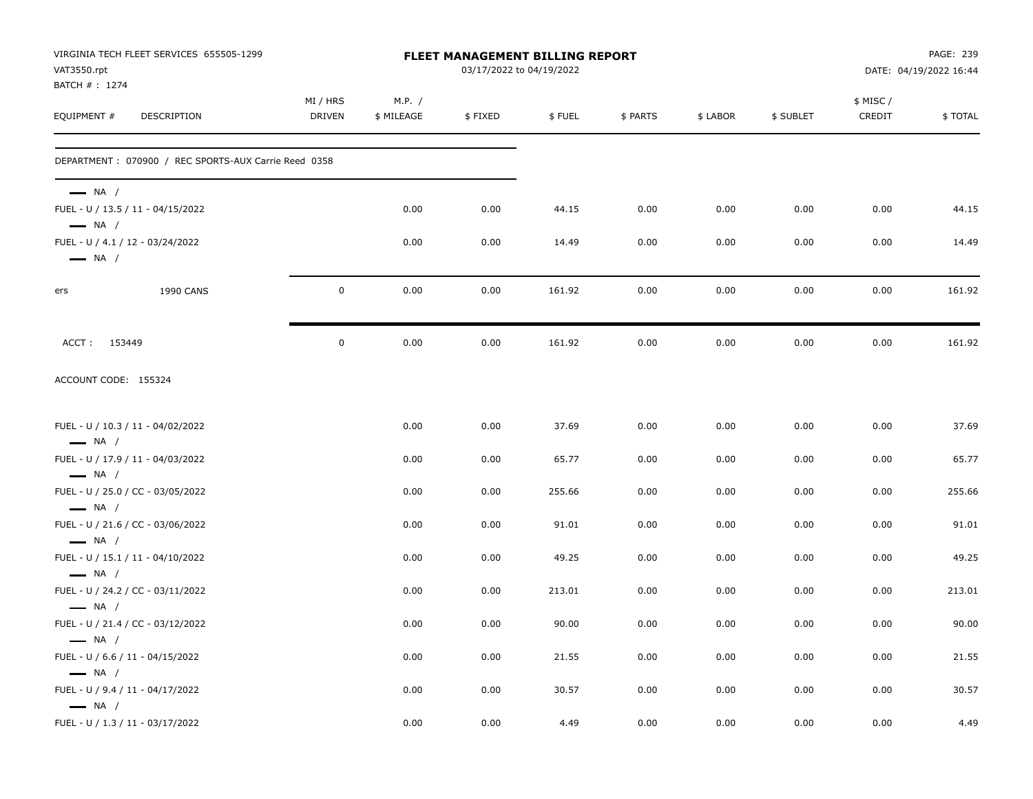| VAT3550.rpt                                                | VIRGINIA TECH FLEET SERVICES 655505-1299             |                    |                      | FLEET MANAGEMENT BILLING REPORT<br>03/17/2022 to 04/19/2022 |        |          |          |           |                    | PAGE: 239<br>DATE: 04/19/2022 16:44 |
|------------------------------------------------------------|------------------------------------------------------|--------------------|----------------------|-------------------------------------------------------------|--------|----------|----------|-----------|--------------------|-------------------------------------|
| BATCH # : 1274<br>EQUIPMENT #                              | DESCRIPTION                                          | MI / HRS<br>DRIVEN | M.P. /<br>\$ MILEAGE | \$FIXED                                                     | \$FUEL | \$ PARTS | \$ LABOR | \$ SUBLET | \$ MISC/<br>CREDIT | \$TOTAL                             |
|                                                            | DEPARTMENT: 070900 / REC SPORTS-AUX Carrie Reed 0358 |                    |                      |                                                             |        |          |          |           |                    |                                     |
| $\longrightarrow$ NA /<br>$\longrightarrow$ NA /           | FUEL - U / 13.5 / 11 - 04/15/2022                    |                    | 0.00                 | 0.00                                                        | 44.15  | 0.00     | 0.00     | 0.00      | 0.00               | 44.15                               |
| FUEL - U / 4.1 / 12 - 03/24/2022<br>$\longrightarrow$ NA / |                                                      |                    | 0.00                 | 0.00                                                        | 14.49  | 0.00     | 0.00     | 0.00      | 0.00               | 14.49                               |
| ers                                                        | <b>1990 CANS</b>                                     | $\mathbf 0$        | 0.00                 | 0.00                                                        | 161.92 | 0.00     | 0.00     | 0.00      | 0.00               | 161.92                              |
| 153449<br>ACCT:                                            |                                                      | $\mathbf 0$        | 0.00                 | 0.00                                                        | 161.92 | 0.00     | 0.00     | 0.00      | 0.00               | 161.92                              |
| ACCOUNT CODE: 155324                                       |                                                      |                    |                      |                                                             |        |          |          |           |                    |                                     |
| $\longrightarrow$ NA /                                     | FUEL - U / 10.3 / 11 - 04/02/2022                    |                    | 0.00                 | 0.00                                                        | 37.69  | 0.00     | 0.00     | 0.00      | 0.00               | 37.69                               |
| $-$ NA $/$                                                 | FUEL - U / 17.9 / 11 - 04/03/2022                    |                    | 0.00                 | 0.00                                                        | 65.77  | 0.00     | 0.00     | 0.00      | 0.00               | 65.77                               |
| $\longrightarrow$ NA /                                     | FUEL - U / 25.0 / CC - 03/05/2022                    |                    | 0.00                 | 0.00                                                        | 255.66 | 0.00     | 0.00     | 0.00      | 0.00               | 255.66                              |
| $\longrightarrow$ NA /                                     | FUEL - U / 21.6 / CC - 03/06/2022                    |                    | 0.00                 | 0.00                                                        | 91.01  | 0.00     | 0.00     | 0.00      | 0.00               | 91.01                               |
| $\longrightarrow$ NA /                                     | FUEL - U / 15.1 / 11 - 04/10/2022                    |                    | 0.00                 | 0.00                                                        | 49.25  | 0.00     | 0.00     | 0.00      | 0.00               | 49.25                               |
|                                                            | FUEL - U / 24.2 / CC - 03/11/2022                    |                    | 0.00                 | 0.00                                                        | 213.01 | 0.00     | 0.00     | 0.00      | 0.00               | 213.01                              |
| $\longrightarrow$ NA /<br>$\longrightarrow$ NA /           | FUEL - U / 21.4 / CC - 03/12/2022                    |                    | 0.00                 | 0.00                                                        | 90.00  | 0.00     | 0.00     | 0.00      | 0.00               | 90.00                               |
| FUEL - U / 6.6 / 11 - 04/15/2022<br>$\longrightarrow$ NA / |                                                      |                    | 0.00                 | 0.00                                                        | 21.55  | 0.00     | 0.00     | 0.00      | 0.00               | 21.55                               |
| FUEL - U / 9.4 / 11 - 04/17/2022<br>$\longrightarrow$ NA / |                                                      |                    | 0.00                 | 0.00                                                        | 30.57  | 0.00     | 0.00     | 0.00      | 0.00               | 30.57                               |
| FUEL - U / 1.3 / 11 - 03/17/2022                           |                                                      |                    | 0.00                 | 0.00                                                        | 4.49   | 0.00     | 0.00     | 0.00      | 0.00               | 4.49                                |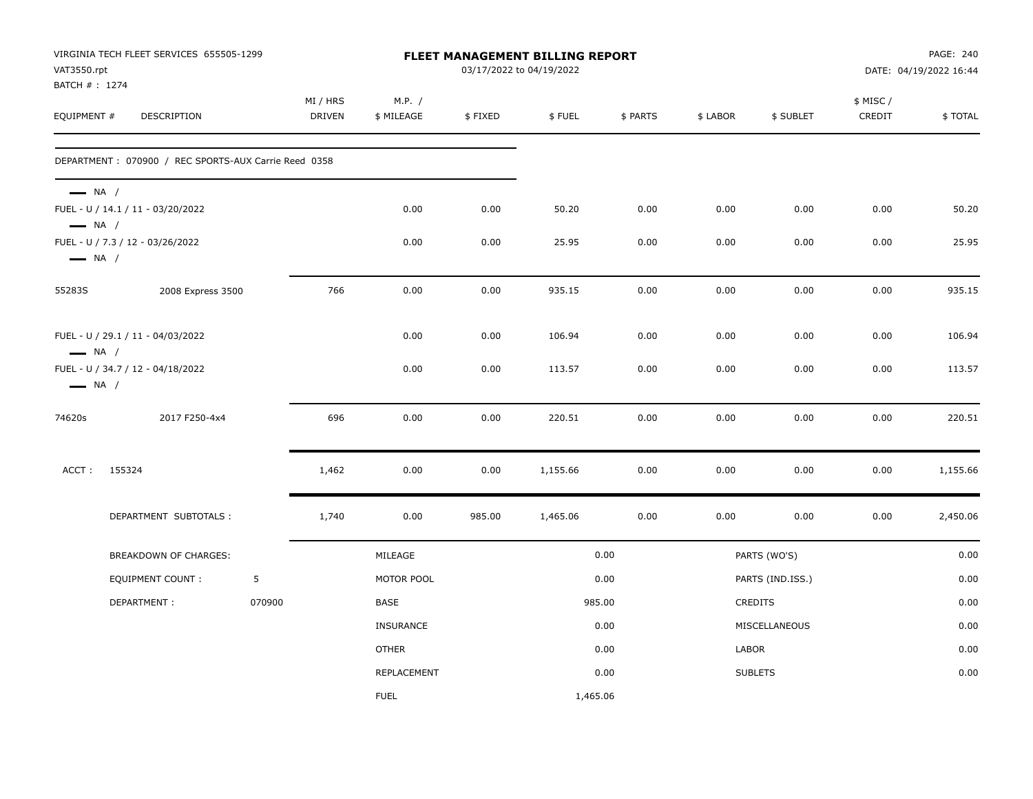| VAT3550.rpt<br>BATCH # : 1274                    | VIRGINIA TECH FLEET SERVICES 655505-1299              |        |                           |                      |         | FLEET MANAGEMENT BILLING REPORT<br>03/17/2022 to 04/19/2022 |          |          |                  |                    | PAGE: 240<br>DATE: 04/19/2022 16:44 |
|--------------------------------------------------|-------------------------------------------------------|--------|---------------------------|----------------------|---------|-------------------------------------------------------------|----------|----------|------------------|--------------------|-------------------------------------|
| EQUIPMENT #                                      | DESCRIPTION                                           |        | MI / HRS<br><b>DRIVEN</b> | M.P. /<br>\$ MILEAGE | \$FIXED | \$FUEL                                                      | \$ PARTS | \$ LABOR | \$ SUBLET        | \$ MISC/<br>CREDIT | \$TOTAL                             |
|                                                  | DEPARTMENT : 070900 / REC SPORTS-AUX Carrie Reed 0358 |        |                           |                      |         |                                                             |          |          |                  |                    |                                     |
| $\longrightarrow$ NA /<br>$\longrightarrow$ NA / | FUEL - U / 14.1 / 11 - 03/20/2022                     |        |                           | 0.00                 | 0.00    | 50.20                                                       | 0.00     | 0.00     | 0.00             | 0.00               | 50.20                               |
| $\longrightarrow$ NA /                           | FUEL - U / 7.3 / 12 - 03/26/2022                      |        |                           | 0.00                 | 0.00    | 25.95                                                       | 0.00     | 0.00     | 0.00             | 0.00               | 25.95                               |
| 55283S                                           | 2008 Express 3500                                     |        | 766                       | 0.00                 | 0.00    | 935.15                                                      | 0.00     | 0.00     | 0.00             | 0.00               | 935.15                              |
| $\longrightarrow$ NA /                           | FUEL - U / 29.1 / 11 - 04/03/2022                     |        |                           | 0.00                 | 0.00    | 106.94                                                      | 0.00     | 0.00     | 0.00             | 0.00               | 106.94                              |
| $\longrightarrow$ NA /                           | FUEL - U / 34.7 / 12 - 04/18/2022                     |        |                           | 0.00                 | 0.00    | 113.57                                                      | 0.00     | 0.00     | 0.00             | 0.00               | 113.57                              |
| 74620s                                           | 2017 F250-4x4                                         |        | 696                       | 0.00                 | 0.00    | 220.51                                                      | 0.00     | 0.00     | 0.00             | 0.00               | 220.51                              |
| ACCT:                                            | 155324                                                |        | 1,462                     | 0.00                 | 0.00    | 1,155.66                                                    | 0.00     | 0.00     | 0.00             | 0.00               | 1,155.66                            |
|                                                  | DEPARTMENT SUBTOTALS :                                |        | 1,740                     | 0.00                 | 985.00  | 1,465.06                                                    | 0.00     | 0.00     | 0.00             | 0.00               | 2,450.06                            |
|                                                  | BREAKDOWN OF CHARGES:                                 |        |                           | MILEAGE              |         |                                                             | 0.00     |          | PARTS (WO'S)     |                    | 0.00                                |
|                                                  | <b>EQUIPMENT COUNT:</b>                               | 5      |                           | MOTOR POOL           |         |                                                             | 0.00     |          | PARTS (IND.ISS.) |                    | 0.00                                |
|                                                  | DEPARTMENT:                                           | 070900 |                           | <b>BASE</b>          |         |                                                             | 985.00   |          | CREDITS          |                    | 0.00                                |
|                                                  |                                                       |        |                           | <b>INSURANCE</b>     |         |                                                             | 0.00     |          | MISCELLANEOUS    |                    | 0.00                                |
|                                                  |                                                       |        |                           | <b>OTHER</b>         |         |                                                             | 0.00     | LABOR    |                  |                    | 0.00                                |
|                                                  |                                                       |        |                           | REPLACEMENT          |         |                                                             | 0.00     |          | <b>SUBLETS</b>   |                    | 0.00                                |
|                                                  |                                                       |        |                           | <b>FUEL</b>          |         | 1,465.06                                                    |          |          |                  |                    |                                     |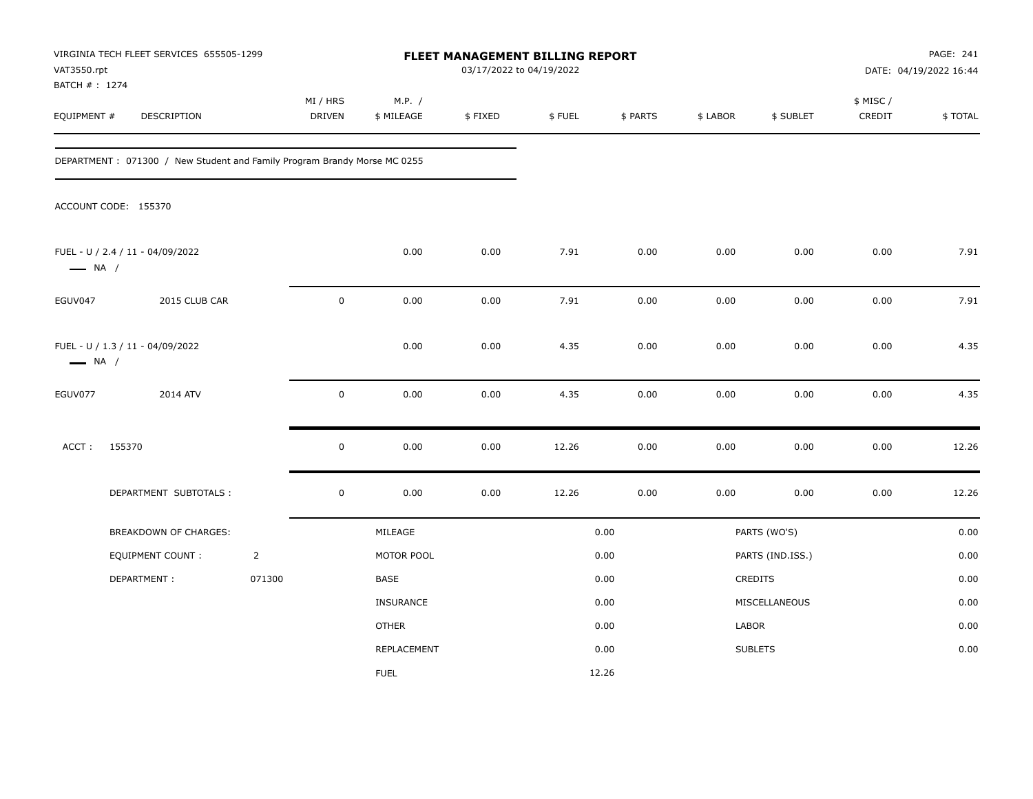| VAT3550.rpt<br>BATCH # : 1274 | VIRGINIA TECH FLEET SERVICES 655505-1299                                 |                |                    |                      | FLEET MANAGEMENT BILLING REPORT<br>03/17/2022 to 04/19/2022 |        |          |          |                  |                     | PAGE: 241<br>DATE: 04/19/2022 16:44 |
|-------------------------------|--------------------------------------------------------------------------|----------------|--------------------|----------------------|-------------------------------------------------------------|--------|----------|----------|------------------|---------------------|-------------------------------------|
| EQUIPMENT #                   | DESCRIPTION                                                              |                | MI / HRS<br>DRIVEN | M.P. /<br>\$ MILEAGE | \$FIXED                                                     | \$FUEL | \$ PARTS | \$ LABOR | \$ SUBLET        | \$ MISC /<br>CREDIT | \$TOTAL                             |
|                               | DEPARTMENT: 071300 / New Student and Family Program Brandy Morse MC 0255 |                |                    |                      |                                                             |        |          |          |                  |                     |                                     |
|                               | ACCOUNT CODE: 155370                                                     |                |                    |                      |                                                             |        |          |          |                  |                     |                                     |
| $\longrightarrow$ NA /        | FUEL - U / 2.4 / 11 - 04/09/2022                                         |                |                    | 0.00                 | 0.00                                                        | 7.91   | 0.00     | 0.00     | 0.00             | 0.00                | 7.91                                |
| EGUV047                       | 2015 CLUB CAR                                                            |                | $\mathbf 0$        | 0.00                 | 0.00                                                        | 7.91   | 0.00     | 0.00     | 0.00             | 0.00                | 7.91                                |
| $\longrightarrow$ NA /        | FUEL - U / 1.3 / 11 - 04/09/2022                                         |                |                    | 0.00                 | 0.00                                                        | 4.35   | 0.00     | 0.00     | 0.00             | 0.00                | 4.35                                |
| EGUV077                       | 2014 ATV                                                                 |                | $\mathbf 0$        | 0.00                 | 0.00                                                        | 4.35   | 0.00     | 0.00     | 0.00             | 0.00                | 4.35                                |
| ACCT:                         | 155370                                                                   |                | $\mathsf 0$        | 0.00                 | 0.00                                                        | 12.26  | 0.00     | 0.00     | 0.00             | 0.00                | 12.26                               |
|                               | DEPARTMENT SUBTOTALS :                                                   |                | $\mathbf 0$        | 0.00                 | 0.00                                                        | 12.26  | 0.00     | 0.00     | 0.00             | 0.00                | 12.26                               |
|                               | BREAKDOWN OF CHARGES:                                                    |                |                    | MILEAGE              |                                                             |        | 0.00     |          | PARTS (WO'S)     |                     | 0.00                                |
|                               | <b>EQUIPMENT COUNT:</b>                                                  | $\overline{2}$ |                    | MOTOR POOL           |                                                             |        | 0.00     |          | PARTS (IND.ISS.) |                     | 0.00                                |
|                               | DEPARTMENT:                                                              | 071300         |                    | BASE                 |                                                             |        | 0.00     |          | CREDITS          |                     | 0.00                                |
|                               |                                                                          |                |                    | INSURANCE            |                                                             |        | 0.00     |          | MISCELLANEOUS    |                     | 0.00                                |
|                               |                                                                          |                |                    | <b>OTHER</b>         |                                                             |        | 0.00     | LABOR    |                  |                     | 0.00                                |
|                               |                                                                          |                |                    | REPLACEMENT          |                                                             |        | 0.00     |          | <b>SUBLETS</b>   |                     | 0.00                                |
|                               |                                                                          |                |                    | <b>FUEL</b>          |                                                             |        | 12.26    |          |                  |                     |                                     |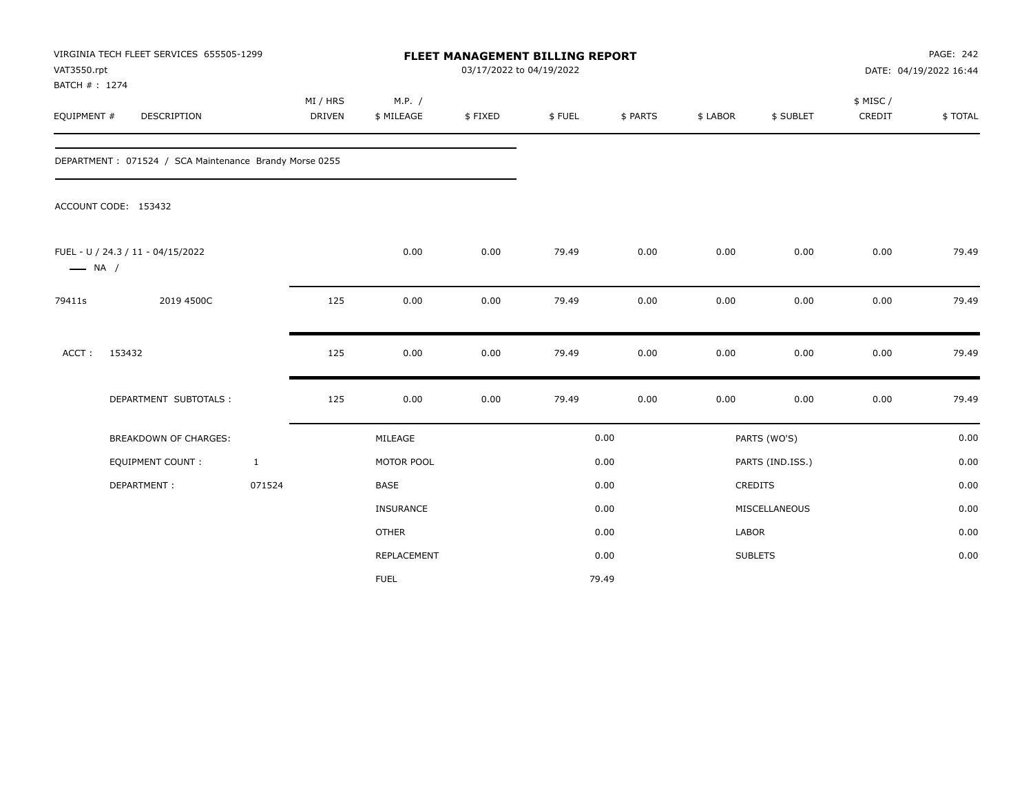| VAT3550.rpt<br>BATCH #: 1274 | VIRGINIA TECH FLEET SERVICES 655505-1299               |                           |                      | <b>FLEET MANAGEMENT BILLING REPORT</b><br>03/17/2022 to 04/19/2022 |        |          |          |                  |                     | <b>PAGE: 242</b><br>DATE: 04/19/2022 16:44 |
|------------------------------|--------------------------------------------------------|---------------------------|----------------------|--------------------------------------------------------------------|--------|----------|----------|------------------|---------------------|--------------------------------------------|
| EQUIPMENT #                  | DESCRIPTION                                            | MI / HRS<br><b>DRIVEN</b> | M.P. /<br>\$ MILEAGE | \$FIXED                                                            | \$FUEL | \$ PARTS | \$ LABOR | \$ SUBLET        | \$ MISC /<br>CREDIT | \$TOTAL                                    |
|                              | DEPARTMENT: 071524 / SCA Maintenance Brandy Morse 0255 |                           |                      |                                                                    |        |          |          |                  |                     |                                            |
|                              | ACCOUNT CODE: 153432                                   |                           |                      |                                                                    |        |          |          |                  |                     |                                            |
| $\longrightarrow$ NA /       | FUEL - U / 24.3 / 11 - 04/15/2022                      |                           | 0.00                 | 0.00                                                               | 79.49  | 0.00     | 0.00     | 0.00             | 0.00                | 79.49                                      |
| 79411s                       | 2019 4500C                                             | 125                       | 0.00                 | 0.00                                                               | 79.49  | 0.00     | 0.00     | 0.00             | 0.00                | 79.49                                      |
| ACCT:                        | 153432                                                 | 125                       | 0.00                 | 0.00                                                               | 79.49  | 0.00     | 0.00     | 0.00             | 0.00                | 79.49                                      |
|                              | DEPARTMENT SUBTOTALS :                                 | 125                       | 0.00                 | 0.00                                                               | 79.49  | 0.00     | 0.00     | 0.00             | 0.00                | 79.49                                      |
|                              | <b>BREAKDOWN OF CHARGES:</b>                           |                           | MILEAGE              |                                                                    |        | 0.00     |          | PARTS (WO'S)     |                     | 0.00                                       |
|                              | <b>EQUIPMENT COUNT:</b>                                | $\mathbf{1}$              | MOTOR POOL           |                                                                    |        | 0.00     |          | PARTS (IND.ISS.) |                     | 0.00                                       |
|                              | DEPARTMENT:                                            | 071524                    | <b>BASE</b>          |                                                                    |        | 0.00     |          | <b>CREDITS</b>   |                     | 0.00                                       |
|                              |                                                        |                           | <b>INSURANCE</b>     |                                                                    |        | 0.00     |          | MISCELLANEOUS    |                     | 0.00                                       |
|                              |                                                        |                           | <b>OTHER</b>         |                                                                    |        | 0.00     | LABOR    |                  |                     | 0.00                                       |
|                              |                                                        |                           | REPLACEMENT          |                                                                    |        | 0.00     |          | <b>SUBLETS</b>   |                     | 0.00                                       |
|                              |                                                        |                           | <b>FUEL</b>          |                                                                    |        | 79.49    |          |                  |                     |                                            |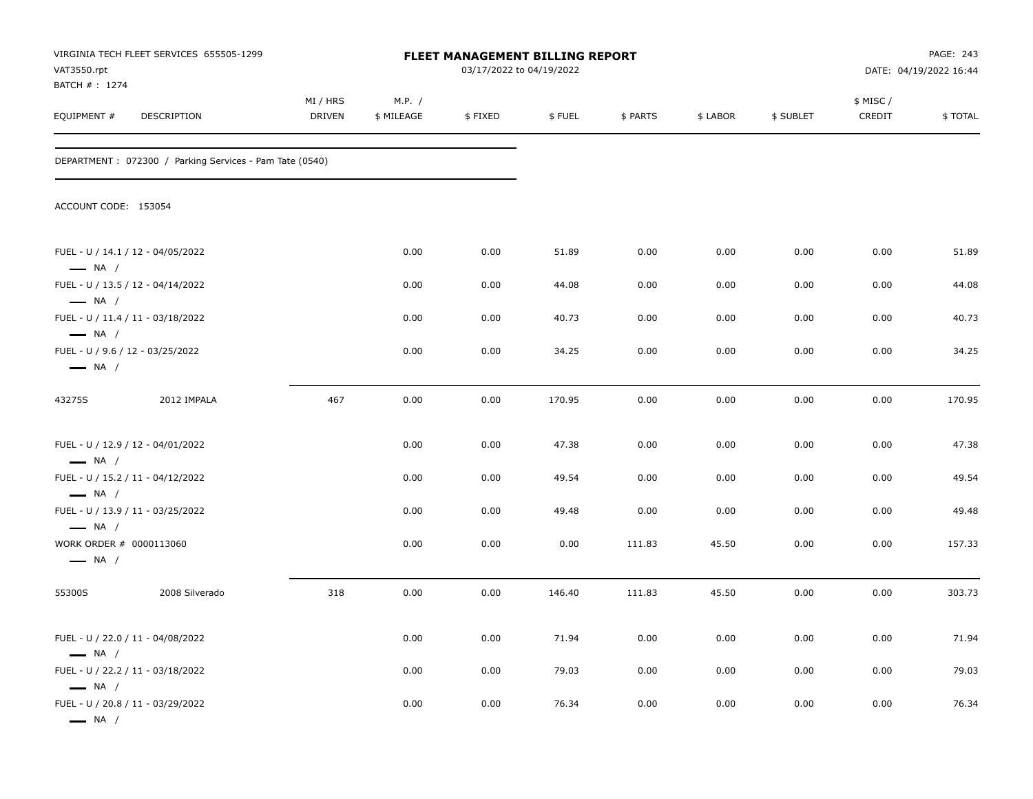| VAT3550.rpt<br>BATCH # : 1274                     | VIRGINIA TECH FLEET SERVICES 655505-1299                |                           | <b>FLEET MANAGEMENT BILLING REPORT</b><br>03/17/2022 to 04/19/2022 |         |        |          |          |           |                     | PAGE: 243<br>DATE: 04/19/2022 16:44 |  |
|---------------------------------------------------|---------------------------------------------------------|---------------------------|--------------------------------------------------------------------|---------|--------|----------|----------|-----------|---------------------|-------------------------------------|--|
| EQUIPMENT #                                       | DESCRIPTION                                             | MI / HRS<br><b>DRIVEN</b> | M.P. /<br>\$ MILEAGE                                               | \$FIXED | \$FUEL | \$ PARTS | \$ LABOR | \$ SUBLET | \$ MISC /<br>CREDIT | \$TOTAL                             |  |
|                                                   | DEPARTMENT: 072300 / Parking Services - Pam Tate (0540) |                           |                                                                    |         |        |          |          |           |                     |                                     |  |
| ACCOUNT CODE: 153054                              |                                                         |                           |                                                                    |         |        |          |          |           |                     |                                     |  |
| $\longrightarrow$ NA /                            | FUEL - U / 14.1 / 12 - 04/05/2022                       |                           | 0.00                                                               | 0.00    | 51.89  | 0.00     | 0.00     | 0.00      | 0.00                | 51.89                               |  |
| $\longrightarrow$ NA /                            | FUEL - U / 13.5 / 12 - 04/14/2022                       |                           | 0.00                                                               | 0.00    | 44.08  | 0.00     | 0.00     | 0.00      | 0.00                | 44.08                               |  |
| $\longrightarrow$ NA /                            | FUEL - U / 11.4 / 11 - 03/18/2022                       |                           | 0.00                                                               | 0.00    | 40.73  | 0.00     | 0.00     | 0.00      | 0.00                | 40.73                               |  |
| $\longrightarrow$ NA /                            | FUEL - U / 9.6 / 12 - 03/25/2022                        |                           | 0.00                                                               | 0.00    | 34.25  | 0.00     | 0.00     | 0.00      | 0.00                | 34.25                               |  |
| 43275S                                            | 2012 IMPALA                                             | 467                       | 0.00                                                               | 0.00    | 170.95 | 0.00     | 0.00     | 0.00      | 0.00                | 170.95                              |  |
| $\longrightarrow$ NA /                            | FUEL - U / 12.9 / 12 - 04/01/2022                       |                           | 0.00                                                               | 0.00    | 47.38  | 0.00     | 0.00     | 0.00      | 0.00                | 47.38                               |  |
| $\longrightarrow$ NA /                            | FUEL - U / 15.2 / 11 - 04/12/2022                       |                           | 0.00                                                               | 0.00    | 49.54  | 0.00     | 0.00     | 0.00      | 0.00                | 49.54                               |  |
| $\longrightarrow$ NA /                            | FUEL - U / 13.9 / 11 - 03/25/2022                       |                           | 0.00                                                               | 0.00    | 49.48  | 0.00     | 0.00     | 0.00      | 0.00                | 49.48                               |  |
| WORK ORDER # 0000113060<br>$\longrightarrow$ NA / |                                                         |                           | 0.00                                                               | 0.00    | 0.00   | 111.83   | 45.50    | 0.00      | 0.00                | 157.33                              |  |
| 55300S                                            | 2008 Silverado                                          | 318                       | 0.00                                                               | 0.00    | 146.40 | 111.83   | 45.50    | 0.00      | 0.00                | 303.73                              |  |
| $\longrightarrow$ NA /                            | FUEL - U / 22.0 / 11 - 04/08/2022                       |                           | 0.00                                                               | 0.00    | 71.94  | 0.00     | 0.00     | 0.00      | 0.00                | 71.94                               |  |
|                                                   | FUEL - U / 22.2 / 11 - 03/18/2022                       |                           | 0.00                                                               | 0.00    | 79.03  | 0.00     | 0.00     | 0.00      | 0.00                | 79.03                               |  |
| $\longrightarrow$ NA /<br>$\longrightarrow$ NA /  | FUEL - U / 20.8 / 11 - 03/29/2022                       |                           | 0.00                                                               | 0.00    | 76.34  | 0.00     | 0.00     | 0.00      | 0.00                | 76.34                               |  |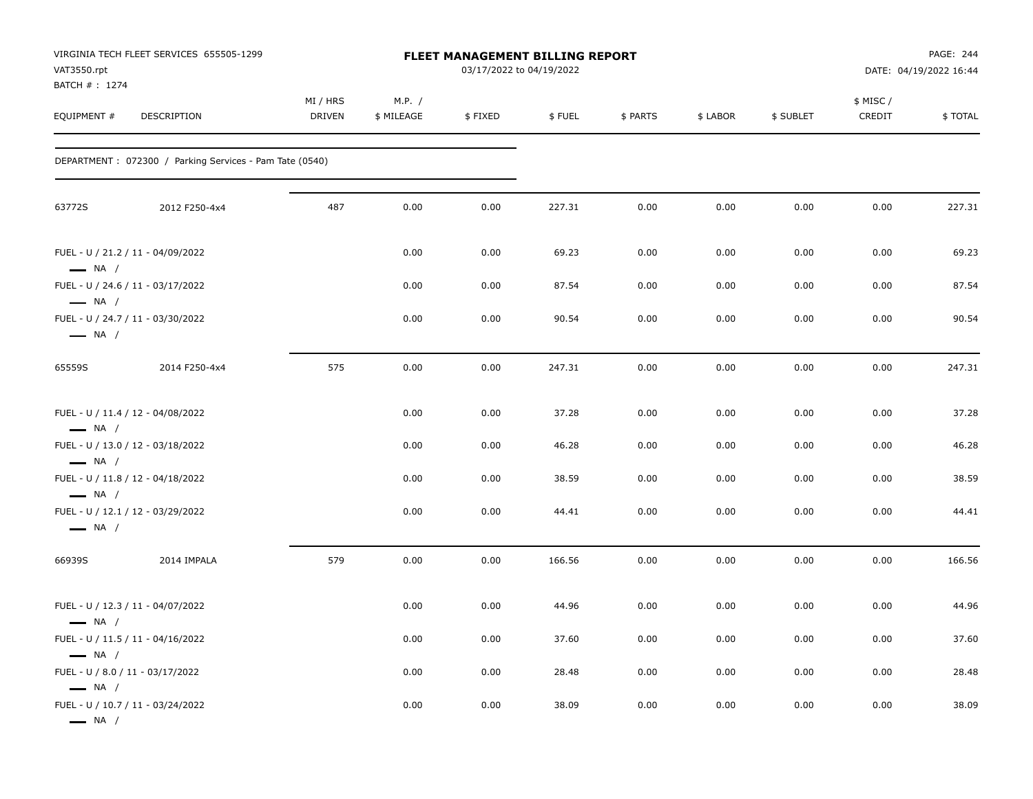| VAT3550.rpt<br>BATCH #: 1274                                                         | VIRGINIA TECH FLEET SERVICES 655505-1299                 |                           |                      | <b>FLEET MANAGEMENT BILLING REPORT</b><br>03/17/2022 to 04/19/2022 |        |          |          |           |                    | PAGE: 244<br>DATE: 04/19/2022 16:44 |
|--------------------------------------------------------------------------------------|----------------------------------------------------------|---------------------------|----------------------|--------------------------------------------------------------------|--------|----------|----------|-----------|--------------------|-------------------------------------|
| EQUIPMENT #                                                                          | DESCRIPTION                                              | MI / HRS<br><b>DRIVEN</b> | M.P. /<br>\$ MILEAGE | \$FIXED                                                            | \$FUEL | \$ PARTS | \$ LABOR | \$ SUBLET | \$ MISC/<br>CREDIT | \$TOTAL                             |
|                                                                                      | DEPARTMENT : 072300 / Parking Services - Pam Tate (0540) |                           |                      |                                                                    |        |          |          |           |                    |                                     |
| 63772S                                                                               | 2012 F250-4x4                                            | 487                       | 0.00                 | 0.00                                                               | 227.31 | 0.00     | 0.00     | 0.00      | 0.00               | 227.31                              |
| $\longrightarrow$ NA /                                                               | FUEL - U / 21.2 / 11 - 04/09/2022                        |                           | 0.00                 | 0.00                                                               | 69.23  | 0.00     | 0.00     | 0.00      | 0.00               | 69.23                               |
|                                                                                      | FUEL - U / 24.6 / 11 - 03/17/2022                        |                           | 0.00                 | 0.00                                                               | 87.54  | 0.00     | 0.00     | 0.00      | 0.00               | 87.54                               |
| $\longrightarrow$ NA /<br>$\longrightarrow$ NA /                                     | FUEL - U / 24.7 / 11 - 03/30/2022                        |                           | 0.00                 | 0.00                                                               | 90.54  | 0.00     | 0.00     | 0.00      | 0.00               | 90.54                               |
| 65559S                                                                               | 2014 F250-4x4                                            | 575                       | 0.00                 | 0.00                                                               | 247.31 | 0.00     | 0.00     | 0.00      | 0.00               | 247.31                              |
| $\longrightarrow$ NA /                                                               | FUEL - U / 11.4 / 12 - 04/08/2022                        |                           | 0.00                 | 0.00                                                               | 37.28  | 0.00     | 0.00     | 0.00      | 0.00               | 37.28                               |
| $\longrightarrow$ NA /                                                               | FUEL - U / 13.0 / 12 - 03/18/2022                        |                           | 0.00                 | 0.00                                                               | 46.28  | 0.00     | 0.00     | 0.00      | 0.00               | 46.28                               |
| $\longrightarrow$ NA /                                                               | FUEL - U / 11.8 / 12 - 04/18/2022                        |                           | 0.00                 | 0.00                                                               | 38.59  | 0.00     | 0.00     | 0.00      | 0.00               | 38.59                               |
| $\longrightarrow$ NA /                                                               | FUEL - U / 12.1 / 12 - 03/29/2022                        |                           | 0.00                 | 0.00                                                               | 44.41  | 0.00     | 0.00     | 0.00      | 0.00               | 44.41                               |
| 66939S                                                                               | 2014 IMPALA                                              | 579                       | 0.00                 | 0.00                                                               | 166.56 | 0.00     | 0.00     | 0.00      | 0.00               | 166.56                              |
| $\longrightarrow$ NA /                                                               | FUEL - U / 12.3 / 11 - 04/07/2022                        |                           | 0.00                 | 0.00                                                               | 44.96  | 0.00     | 0.00     | 0.00      | 0.00               | 44.96                               |
|                                                                                      | FUEL - U / 11.5 / 11 - 04/16/2022                        |                           | 0.00                 | 0.00                                                               | 37.60  | 0.00     | 0.00     | 0.00      | 0.00               | 37.60                               |
| $\longrightarrow$ NA /<br>FUEL - U / 8.0 / 11 - 03/17/2022<br>$\longrightarrow$ NA / |                                                          |                           | 0.00                 | 0.00                                                               | 28.48  | 0.00     | 0.00     | 0.00      | 0.00               | 28.48                               |
| $\longrightarrow$ NA /                                                               | FUEL - U / 10.7 / 11 - 03/24/2022                        |                           | 0.00                 | 0.00                                                               | 38.09  | 0.00     | 0.00     | 0.00      | 0.00               | 38.09                               |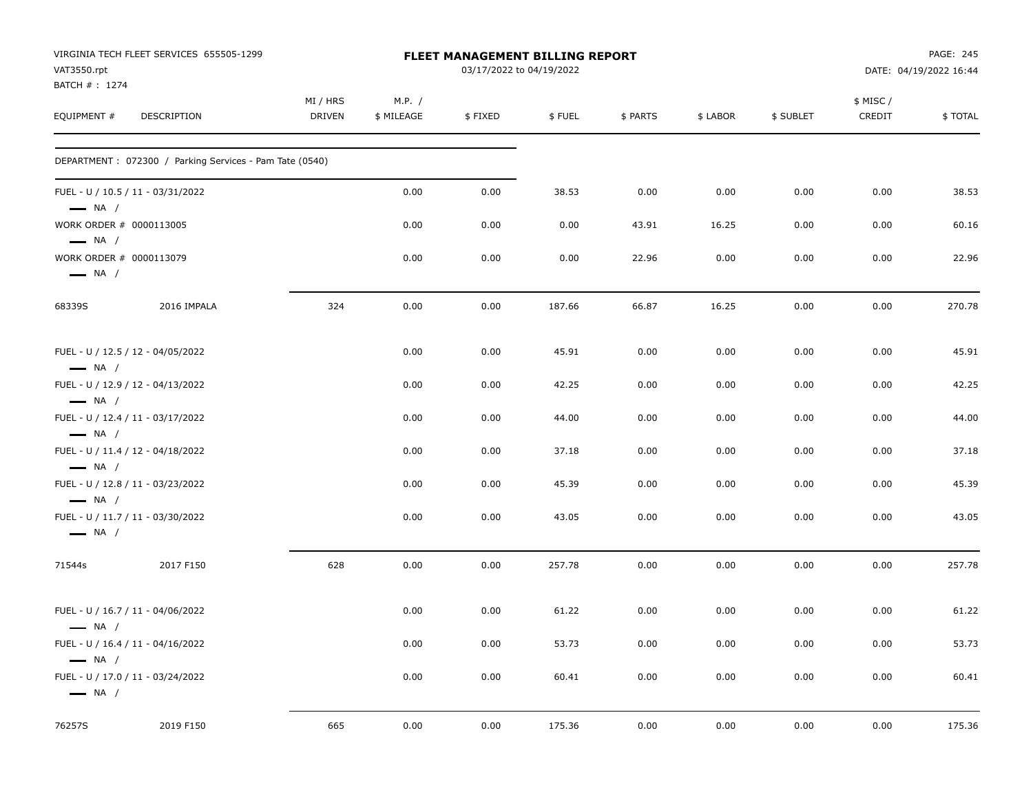| VAT3550.rpt                                       | VIRGINIA TECH FLEET SERVICES 655505-1299                |                    |                      | FLEET MANAGEMENT BILLING REPORT<br>03/17/2022 to 04/19/2022 |        |          |          |           |                    | PAGE: 245<br>DATE: 04/19/2022 16:44 |
|---------------------------------------------------|---------------------------------------------------------|--------------------|----------------------|-------------------------------------------------------------|--------|----------|----------|-----------|--------------------|-------------------------------------|
| BATCH # : 1274<br>EQUIPMENT #                     | DESCRIPTION                                             | MI / HRS<br>DRIVEN | M.P. /<br>\$ MILEAGE | \$FIXED                                                     | \$FUEL | \$ PARTS | \$ LABOR | \$ SUBLET | \$ MISC/<br>CREDIT | \$TOTAL                             |
|                                                   | DEPARTMENT: 072300 / Parking Services - Pam Tate (0540) |                    |                      |                                                             |        |          |          |           |                    |                                     |
| $\longrightarrow$ NA /                            | FUEL - U / 10.5 / 11 - 03/31/2022                       |                    | 0.00                 | 0.00                                                        | 38.53  | 0.00     | 0.00     | 0.00      | 0.00               | 38.53                               |
| WORK ORDER # 0000113005<br>$\longrightarrow$ NA / |                                                         |                    | 0.00                 | 0.00                                                        | 0.00   | 43.91    | 16.25    | 0.00      | 0.00               | 60.16                               |
| WORK ORDER # 0000113079<br>$\longrightarrow$ NA / |                                                         |                    | 0.00                 | 0.00                                                        | 0.00   | 22.96    | 0.00     | 0.00      | 0.00               | 22.96                               |
| 68339S                                            | 2016 IMPALA                                             | 324                | 0.00                 | 0.00                                                        | 187.66 | 66.87    | 16.25    | 0.00      | 0.00               | 270.78                              |
| $\longrightarrow$ NA /                            | FUEL - U / 12.5 / 12 - 04/05/2022                       |                    | 0.00                 | 0.00                                                        | 45.91  | 0.00     | 0.00     | 0.00      | 0.00               | 45.91                               |
| $\longrightarrow$ NA /                            | FUEL - U / 12.9 / 12 - 04/13/2022                       |                    | 0.00                 | 0.00                                                        | 42.25  | 0.00     | 0.00     | 0.00      | 0.00               | 42.25                               |
| $-$ NA $/$                                        | FUEL - U / 12.4 / 11 - 03/17/2022                       |                    | 0.00                 | 0.00                                                        | 44.00  | 0.00     | 0.00     | 0.00      | 0.00               | 44.00                               |
| $\longrightarrow$ NA /                            | FUEL - U / 11.4 / 12 - 04/18/2022                       |                    | 0.00                 | 0.00                                                        | 37.18  | 0.00     | 0.00     | 0.00      | 0.00               | 37.18                               |
| $-$ NA /                                          | FUEL - U / 12.8 / 11 - 03/23/2022                       |                    | 0.00                 | 0.00                                                        | 45.39  | 0.00     | 0.00     | 0.00      | 0.00               | 45.39                               |
| $\longrightarrow$ NA /                            | FUEL - U / 11.7 / 11 - 03/30/2022                       |                    | 0.00                 | 0.00                                                        | 43.05  | 0.00     | 0.00     | 0.00      | 0.00               | 43.05                               |
| 71544s                                            | 2017 F150                                               | 628                | 0.00                 | 0.00                                                        | 257.78 | 0.00     | 0.00     | 0.00      | 0.00               | 257.78                              |
| $\longrightarrow$ NA /                            | FUEL - U / 16.7 / 11 - 04/06/2022                       |                    | 0.00                 | 0.00                                                        | 61.22  | 0.00     | 0.00     | 0.00      | 0.00               | 61.22                               |
| $\longrightarrow$ NA /                            | FUEL - U / 16.4 / 11 - 04/16/2022                       |                    | 0.00                 | 0.00                                                        | 53.73  | 0.00     | 0.00     | 0.00      | 0.00               | 53.73                               |
| $\longrightarrow$ NA /                            | FUEL - U / 17.0 / 11 - 03/24/2022                       |                    | 0.00                 | 0.00                                                        | 60.41  | 0.00     | 0.00     | 0.00      | 0.00               | 60.41                               |
| 76257S                                            | 2019 F150                                               | 665                | 0.00                 | 0.00                                                        | 175.36 | 0.00     | 0.00     | 0.00      | 0.00               | 175.36                              |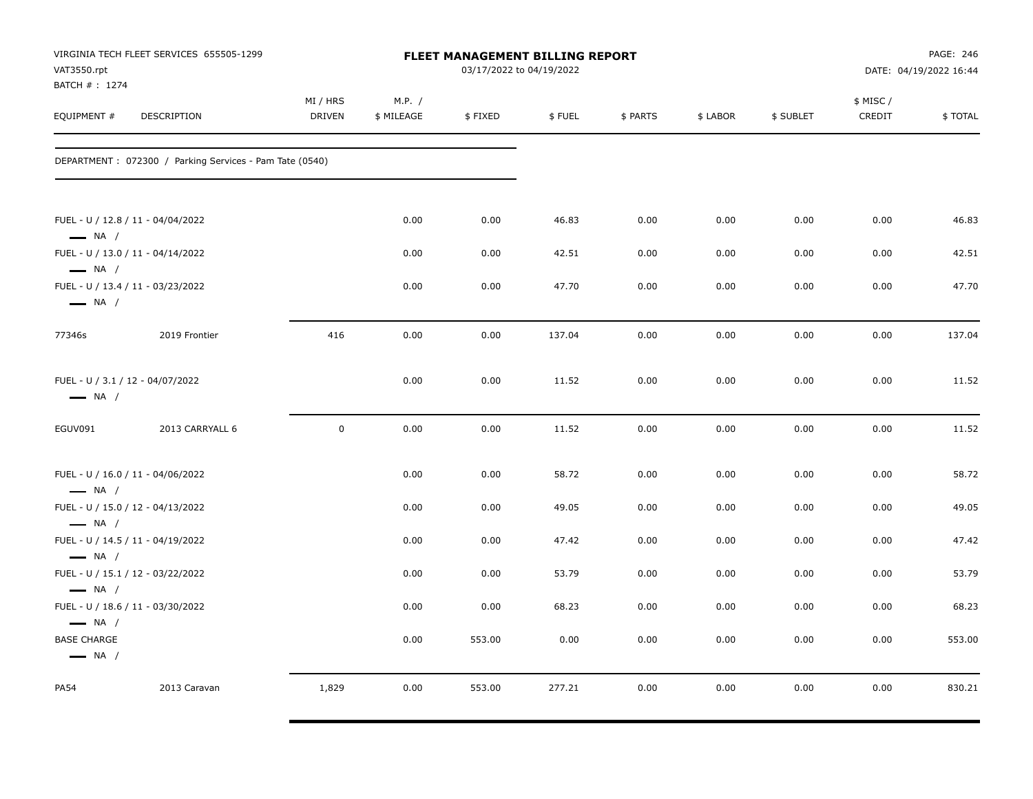| VAT3550.rpt<br>BATCH #: 1274                                                          | VIRGINIA TECH FLEET SERVICES 655505-1299                |                           |                      |         | <b>FLEET MANAGEMENT BILLING REPORT</b><br>03/17/2022 to 04/19/2022 |          |          |           |                     | PAGE: 246<br>DATE: 04/19/2022 16:44 |
|---------------------------------------------------------------------------------------|---------------------------------------------------------|---------------------------|----------------------|---------|--------------------------------------------------------------------|----------|----------|-----------|---------------------|-------------------------------------|
| EQUIPMENT #                                                                           | DESCRIPTION                                             | MI / HRS<br><b>DRIVEN</b> | M.P. /<br>\$ MILEAGE | \$FIXED | \$FUEL                                                             | \$ PARTS | \$ LABOR | \$ SUBLET | \$ MISC /<br>CREDIT | \$TOTAL                             |
|                                                                                       | DEPARTMENT: 072300 / Parking Services - Pam Tate (0540) |                           |                      |         |                                                                    |          |          |           |                     |                                     |
| FUEL - U / 12.8 / 11 - 04/04/2022<br>$\longrightarrow$ NA /                           |                                                         |                           | 0.00                 | 0.00    | 46.83                                                              | 0.00     | 0.00     | 0.00      | 0.00                | 46.83                               |
| FUEL - U / 13.0 / 11 - 04/14/2022                                                     |                                                         |                           | 0.00                 | 0.00    | 42.51                                                              | 0.00     | 0.00     | 0.00      | 0.00                | 42.51                               |
| $\longrightarrow$ NA /<br>FUEL - U / 13.4 / 11 - 03/23/2022<br>$\longrightarrow$ NA / |                                                         |                           | 0.00                 | 0.00    | 47.70                                                              | 0.00     | 0.00     | 0.00      | 0.00                | 47.70                               |
| 77346s                                                                                | 2019 Frontier                                           | 416                       | 0.00                 | 0.00    | 137.04                                                             | 0.00     | 0.00     | 0.00      | 0.00                | 137.04                              |
| FUEL - U / 3.1 / 12 - 04/07/2022<br>$\longrightarrow$ NA /                            |                                                         |                           | 0.00                 | 0.00    | 11.52                                                              | 0.00     | 0.00     | 0.00      | 0.00                | 11.52                               |
| EGUV091                                                                               | 2013 CARRYALL 6                                         | $\mathbf 0$               | 0.00                 | 0.00    | 11.52                                                              | 0.00     | 0.00     | 0.00      | 0.00                | 11.52                               |
| FUEL - U / 16.0 / 11 - 04/06/2022<br>$\longrightarrow$ NA /                           |                                                         |                           | 0.00                 | 0.00    | 58.72                                                              | 0.00     | 0.00     | 0.00      | 0.00                | 58.72                               |
| FUEL - U / 15.0 / 12 - 04/13/2022<br>$\longrightarrow$ NA /                           |                                                         |                           | 0.00                 | 0.00    | 49.05                                                              | 0.00     | 0.00     | 0.00      | 0.00                | 49.05                               |
| FUEL - U / 14.5 / 11 - 04/19/2022<br>$\longrightarrow$ NA /                           |                                                         |                           | 0.00                 | 0.00    | 47.42                                                              | 0.00     | 0.00     | 0.00      | 0.00                | 47.42                               |
| FUEL - U / 15.1 / 12 - 03/22/2022<br>$\longrightarrow$ NA /                           |                                                         |                           | 0.00                 | 0.00    | 53.79                                                              | 0.00     | 0.00     | 0.00      | 0.00                | 53.79                               |
| $\longrightarrow$ NA /                                                                | FUEL - U / 18.6 / 11 - 03/30/2022                       |                           | 0.00                 | 0.00    | 68.23                                                              | 0.00     | 0.00     | 0.00      | 0.00                | 68.23                               |
| <b>BASE CHARGE</b><br>$\longrightarrow$ NA /                                          |                                                         |                           | 0.00                 | 553.00  | 0.00                                                               | 0.00     | 0.00     | 0.00      | 0.00                | 553.00                              |
| <b>PA54</b>                                                                           | 2013 Caravan                                            | 1,829                     | 0.00                 | 553.00  | 277.21                                                             | 0.00     | 0.00     | 0.00      | 0.00                | 830.21                              |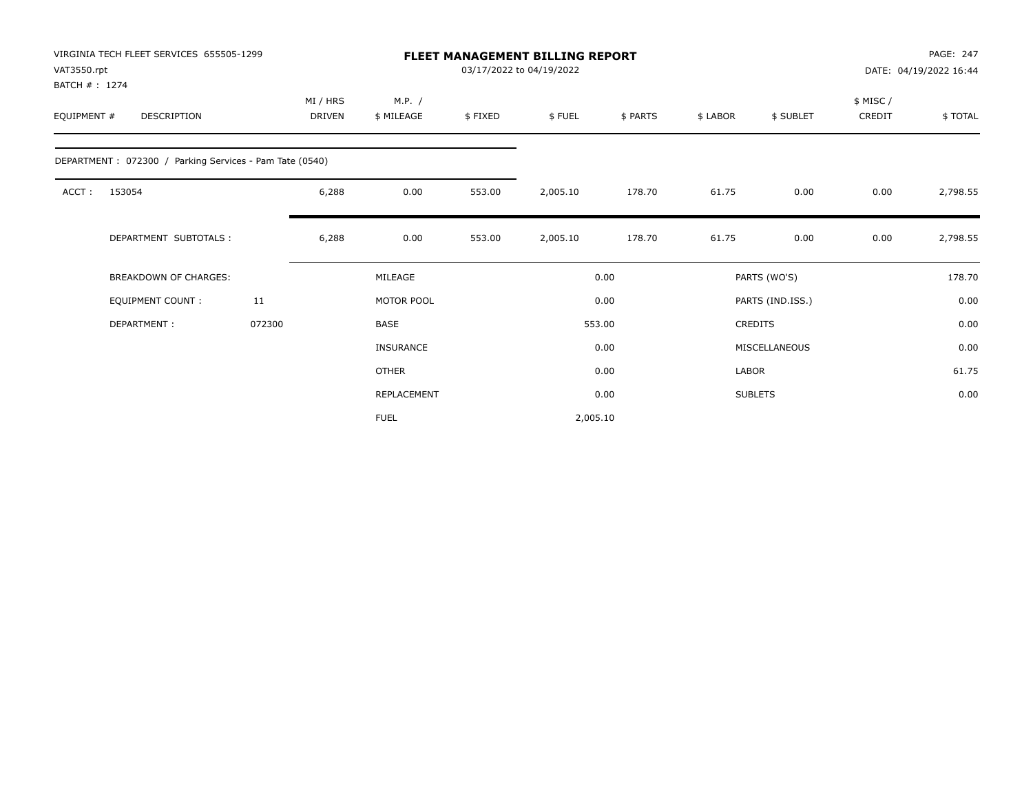| VAT3550.rpt<br>BATCH #: 1274 | VIRGINIA TECH FLEET SERVICES 655505-1299                |        |                           |                      |         | <b>FLEET MANAGEMENT BILLING REPORT</b><br>03/17/2022 to 04/19/2022 |          | PAGE: 247<br>DATE: 04/19/2022 16:44 |                  |                     |          |
|------------------------------|---------------------------------------------------------|--------|---------------------------|----------------------|---------|--------------------------------------------------------------------|----------|-------------------------------------|------------------|---------------------|----------|
| EQUIPMENT #                  | DESCRIPTION                                             |        | MI / HRS<br><b>DRIVEN</b> | M.P. /<br>\$ MILEAGE | \$FIXED | \$FUEL                                                             | \$ PARTS | \$LABOR                             | \$ SUBLET        | \$ MISC /<br>CREDIT | \$TOTAL  |
|                              | DEPARTMENT: 072300 / Parking Services - Pam Tate (0540) |        |                           |                      |         |                                                                    |          |                                     |                  |                     |          |
| ACCT:                        | 153054                                                  |        | 6,288                     | 0.00                 | 553.00  | 2,005.10                                                           | 178.70   | 61.75                               | 0.00             | 0.00                | 2,798.55 |
|                              | DEPARTMENT SUBTOTALS :                                  |        | 6,288                     | 0.00                 | 553.00  | 2,005.10                                                           | 178.70   | 61.75                               | 0.00             | 0.00                | 2,798.55 |
|                              | <b>BREAKDOWN OF CHARGES:</b>                            |        |                           | MILEAGE              |         |                                                                    | 0.00     |                                     | PARTS (WO'S)     |                     | 178.70   |
|                              | EQUIPMENT COUNT :                                       | 11     |                           | MOTOR POOL           |         |                                                                    | 0.00     |                                     | PARTS (IND.ISS.) |                     | 0.00     |
|                              | DEPARTMENT:                                             | 072300 |                           | <b>BASE</b>          |         |                                                                    | 553.00   |                                     | <b>CREDITS</b>   |                     | 0.00     |
|                              |                                                         |        |                           | <b>INSURANCE</b>     |         |                                                                    | 0.00     |                                     | MISCELLANEOUS    |                     | 0.00     |
|                              |                                                         |        |                           | <b>OTHER</b>         |         |                                                                    | 0.00     | LABOR                               |                  |                     | 61.75    |
|                              |                                                         |        |                           | REPLACEMENT          |         |                                                                    | 0.00     |                                     | <b>SUBLETS</b>   |                     | 0.00     |
|                              |                                                         |        |                           | <b>FUEL</b>          |         | 2,005.10                                                           |          |                                     |                  |                     |          |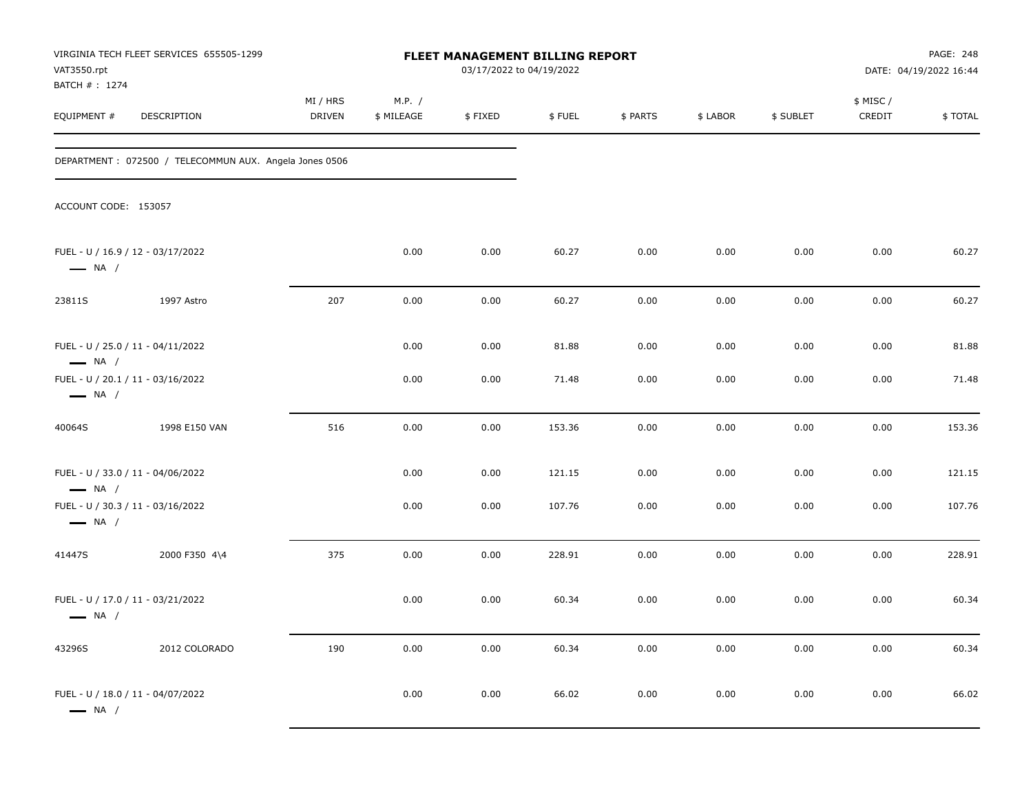| VAT3550.rpt<br>BATCH #: 1274 | VIRGINIA TECH FLEET SERVICES 655505-1299               |                    |                      | FLEET MANAGEMENT BILLING REPORT<br>03/17/2022 to 04/19/2022 |        |          |          |           |                    | PAGE: 248<br>DATE: 04/19/2022 16:44 |
|------------------------------|--------------------------------------------------------|--------------------|----------------------|-------------------------------------------------------------|--------|----------|----------|-----------|--------------------|-------------------------------------|
| EQUIPMENT #                  | DESCRIPTION                                            | MI / HRS<br>DRIVEN | M.P. /<br>\$ MILEAGE | \$FIXED                                                     | \$FUEL | \$ PARTS | \$ LABOR | \$ SUBLET | \$ MISC/<br>CREDIT | \$TOTAL                             |
|                              | DEPARTMENT: 072500 / TELECOMMUN AUX. Angela Jones 0506 |                    |                      |                                                             |        |          |          |           |                    |                                     |
| ACCOUNT CODE: 153057         |                                                        |                    |                      |                                                             |        |          |          |           |                    |                                     |
| $\longrightarrow$ NA /       | FUEL - U / 16.9 / 12 - 03/17/2022                      |                    | 0.00                 | 0.00                                                        | 60.27  | 0.00     | 0.00     | 0.00      | 0.00               | 60.27                               |
| 23811S                       | 1997 Astro                                             | 207                | 0.00                 | 0.00                                                        | 60.27  | 0.00     | 0.00     | 0.00      | 0.00               | 60.27                               |
| $\longrightarrow$ NA /       | FUEL - U / 25.0 / 11 - 04/11/2022                      |                    | 0.00                 | 0.00                                                        | 81.88  | 0.00     | 0.00     | 0.00      | 0.00               | 81.88                               |
| $\longrightarrow$ NA /       | FUEL - U / 20.1 / 11 - 03/16/2022                      |                    | 0.00                 | 0.00                                                        | 71.48  | 0.00     | 0.00     | 0.00      | 0.00               | 71.48                               |
| 40064S                       | 1998 E150 VAN                                          | 516                | 0.00                 | 0.00                                                        | 153.36 | 0.00     | 0.00     | 0.00      | 0.00               | 153.36                              |
| $\longrightarrow$ NA /       | FUEL - U / 33.0 / 11 - 04/06/2022                      |                    | 0.00                 | 0.00                                                        | 121.15 | 0.00     | 0.00     | 0.00      | 0.00               | 121.15                              |
| $\longrightarrow$ NA /       | FUEL - U / 30.3 / 11 - 03/16/2022                      |                    | 0.00                 | 0.00                                                        | 107.76 | 0.00     | 0.00     | 0.00      | 0.00               | 107.76                              |
| 41447S                       | 2000 F350 4\4                                          | 375                | 0.00                 | 0.00                                                        | 228.91 | 0.00     | 0.00     | 0.00      | 0.00               | 228.91                              |
| $\longrightarrow$ NA /       | FUEL - U / 17.0 / 11 - 03/21/2022                      |                    | 0.00                 | 0.00                                                        | 60.34  | 0.00     | 0.00     | 0.00      | 0.00               | 60.34                               |
| 43296S                       | 2012 COLORADO                                          | 190                | 0.00                 | 0.00                                                        | 60.34  | 0.00     | 0.00     | 0.00      | 0.00               | 60.34                               |
| $\longrightarrow$ NA /       | FUEL - U / 18.0 / 11 - 04/07/2022                      |                    | 0.00                 | 0.00                                                        | 66.02  | 0.00     | 0.00     | 0.00      | 0.00               | 66.02                               |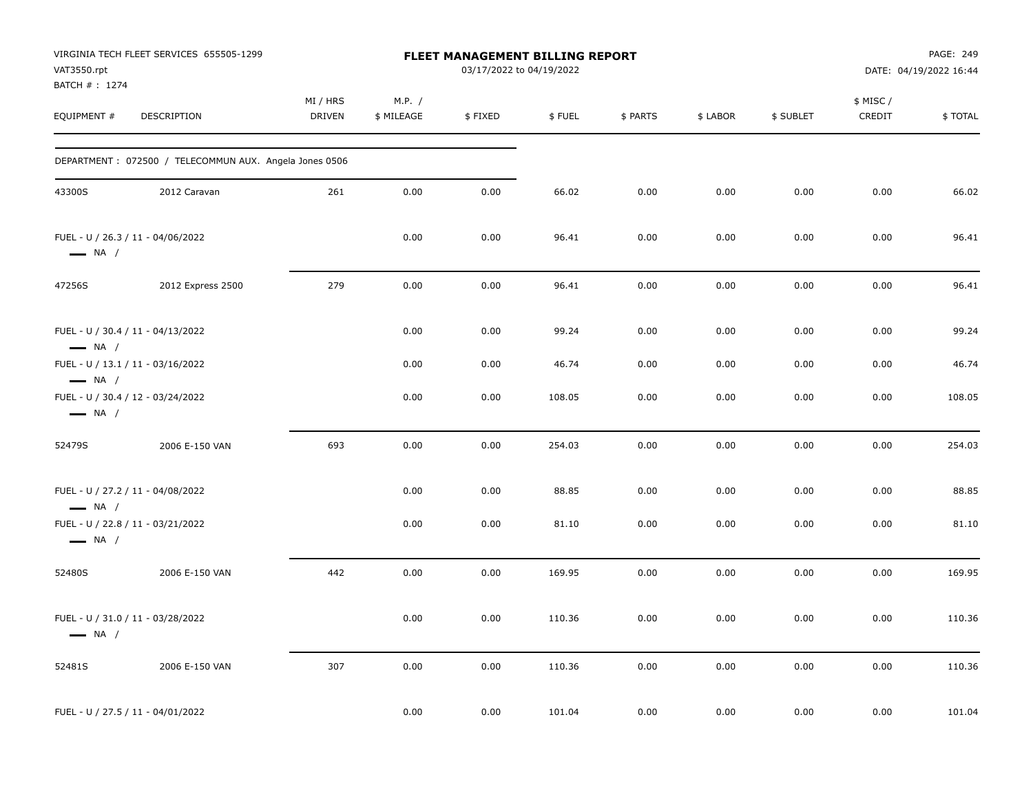| VAT3550.rpt<br>BATCH #: 1274                                | VIRGINIA TECH FLEET SERVICES 655505-1299               |                           |                      | FLEET MANAGEMENT BILLING REPORT<br>03/17/2022 to 04/19/2022 |        |          |          |           |                     | PAGE: 249<br>DATE: 04/19/2022 16:44 |
|-------------------------------------------------------------|--------------------------------------------------------|---------------------------|----------------------|-------------------------------------------------------------|--------|----------|----------|-----------|---------------------|-------------------------------------|
| EQUIPMENT #                                                 | DESCRIPTION                                            | MI / HRS<br><b>DRIVEN</b> | M.P. /<br>\$ MILEAGE | \$FIXED                                                     | \$FUEL | \$ PARTS | \$ LABOR | \$ SUBLET | \$ MISC /<br>CREDIT | \$TOTAL                             |
|                                                             | DEPARTMENT: 072500 / TELECOMMUN AUX. Angela Jones 0506 |                           |                      |                                                             |        |          |          |           |                     |                                     |
| 43300S                                                      | 2012 Caravan                                           | 261                       | 0.00                 | 0.00                                                        | 66.02  | 0.00     | 0.00     | 0.00      | 0.00                | 66.02                               |
| FUEL - U / 26.3 / 11 - 04/06/2022<br>$\longrightarrow$ NA / |                                                        |                           | 0.00                 | 0.00                                                        | 96.41  | 0.00     | 0.00     | 0.00      | 0.00                | 96.41                               |
| 47256S                                                      | 2012 Express 2500                                      | 279                       | 0.00                 | 0.00                                                        | 96.41  | 0.00     | 0.00     | 0.00      | 0.00                | 96.41                               |
| FUEL - U / 30.4 / 11 - 04/13/2022<br>$\longrightarrow$ NA / |                                                        |                           | 0.00                 | 0.00                                                        | 99.24  | 0.00     | 0.00     | 0.00      | 0.00                | 99.24                               |
| FUEL - U / 13.1 / 11 - 03/16/2022<br>$\longrightarrow$ NA / |                                                        |                           | 0.00                 | 0.00                                                        | 46.74  | 0.00     | 0.00     | 0.00      | 0.00                | 46.74                               |
| FUEL - U / 30.4 / 12 - 03/24/2022<br>$\longrightarrow$ NA / |                                                        |                           | 0.00                 | 0.00                                                        | 108.05 | 0.00     | 0.00     | 0.00      | 0.00                | 108.05                              |
| 52479S                                                      | 2006 E-150 VAN                                         | 693                       | 0.00                 | 0.00                                                        | 254.03 | 0.00     | 0.00     | 0.00      | 0.00                | 254.03                              |
| FUEL - U / 27.2 / 11 - 04/08/2022<br>$\longrightarrow$ NA / |                                                        |                           | 0.00                 | 0.00                                                        | 88.85  | 0.00     | 0.00     | 0.00      | 0.00                | 88.85                               |
| FUEL - U / 22.8 / 11 - 03/21/2022<br>$\longrightarrow$ NA / |                                                        |                           | 0.00                 | 0.00                                                        | 81.10  | 0.00     | 0.00     | 0.00      | 0.00                | 81.10                               |
| 52480S                                                      | 2006 E-150 VAN                                         | 442                       | 0.00                 | 0.00                                                        | 169.95 | 0.00     | 0.00     | 0.00      | 0.00                | 169.95                              |
| FUEL - U / 31.0 / 11 - 03/28/2022<br>$\longrightarrow$ NA / |                                                        |                           | 0.00                 | 0.00                                                        | 110.36 | 0.00     | 0.00     | 0.00      | 0.00                | 110.36                              |
| 52481S                                                      | 2006 E-150 VAN                                         | 307                       | 0.00                 | 0.00                                                        | 110.36 | 0.00     | 0.00     | 0.00      | 0.00                | 110.36                              |
| FUEL - U / 27.5 / 11 - 04/01/2022                           |                                                        |                           | 0.00                 | 0.00                                                        | 101.04 | 0.00     | 0.00     | 0.00      | 0.00                | 101.04                              |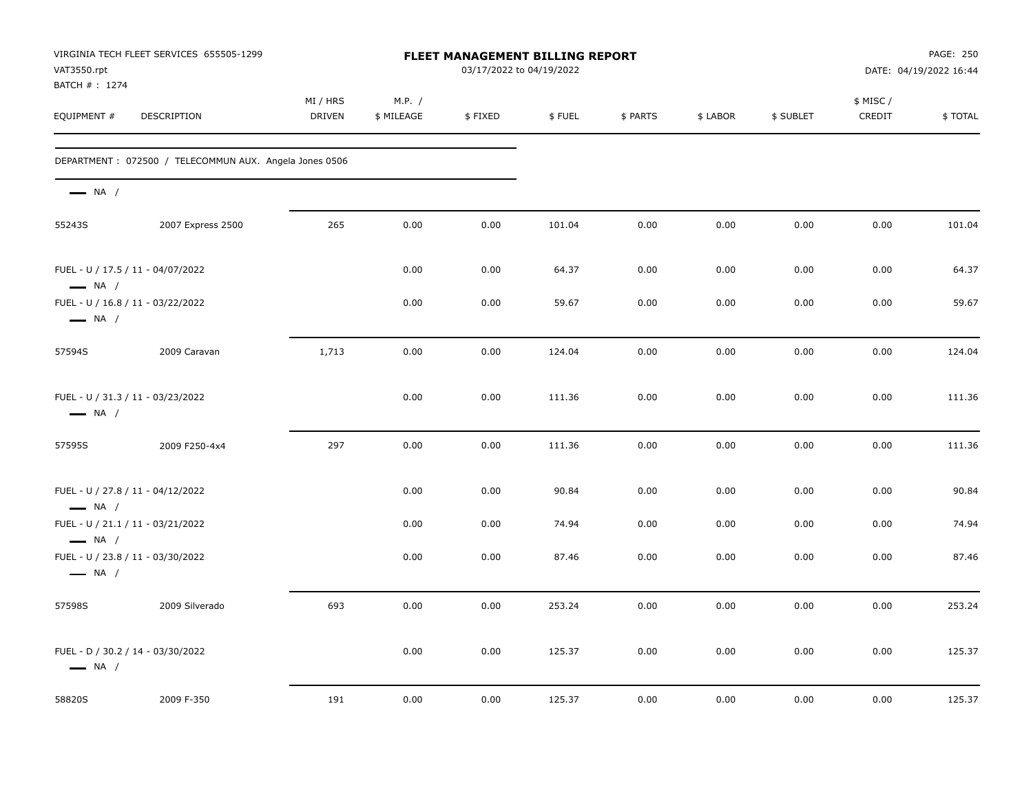| VAT3550.rpt                  | VIRGINIA TECH FLEET SERVICES 655505-1299               |                           |                      | <b>FLEET MANAGEMENT BILLING REPORT</b><br>03/17/2022 to 04/19/2022 |        |          |          |           |                     | PAGE: 250<br>DATE: 04/19/2022 16:44 |
|------------------------------|--------------------------------------------------------|---------------------------|----------------------|--------------------------------------------------------------------|--------|----------|----------|-----------|---------------------|-------------------------------------|
| BATCH #: 1274<br>EQUIPMENT # | <b>DESCRIPTION</b>                                     | MI / HRS<br><b>DRIVEN</b> | M.P. /<br>\$ MILEAGE | \$FIXED                                                            | \$FUEL | \$ PARTS | \$ LABOR | \$ SUBLET | \$ MISC /<br>CREDIT | \$TOTAL                             |
|                              | DEPARTMENT: 072500 / TELECOMMUN AUX. Angela Jones 0506 |                           |                      |                                                                    |        |          |          |           |                     |                                     |
| $\longrightarrow$ NA /       |                                                        |                           |                      |                                                                    |        |          |          |           |                     |                                     |
| 55243S                       | 2007 Express 2500                                      | 265                       | 0.00                 | 0.00                                                               | 101.04 | 0.00     | 0.00     | 0.00      | 0.00                | 101.04                              |
| $\longrightarrow$ NA /       | FUEL - U / 17.5 / 11 - 04/07/2022                      |                           | 0.00                 | 0.00                                                               | 64.37  | 0.00     | 0.00     | 0.00      | 0.00                | 64.37                               |
| $\longrightarrow$ NA /       | FUEL - U / 16.8 / 11 - 03/22/2022                      |                           | 0.00                 | 0.00                                                               | 59.67  | 0.00     | 0.00     | 0.00      | 0.00                | 59.67                               |
| 57594S                       | 2009 Caravan                                           | 1,713                     | 0.00                 | 0.00                                                               | 124.04 | 0.00     | 0.00     | 0.00      | 0.00                | 124.04                              |
| $\longrightarrow$ NA /       | FUEL - U / 31.3 / 11 - 03/23/2022                      |                           | 0.00                 | 0.00                                                               | 111.36 | 0.00     | 0.00     | 0.00      | 0.00                | 111.36                              |
| 57595S                       | 2009 F250-4x4                                          | 297                       | 0.00                 | 0.00                                                               | 111.36 | 0.00     | 0.00     | 0.00      | 0.00                | 111.36                              |
| $\longrightarrow$ NA /       | FUEL - U / 27.8 / 11 - 04/12/2022                      |                           | 0.00                 | 0.00                                                               | 90.84  | 0.00     | 0.00     | 0.00      | 0.00                | 90.84                               |
| $\longrightarrow$ NA /       | FUEL - U / 21.1 / 11 - 03/21/2022                      |                           | 0.00                 | 0.00                                                               | 74.94  | 0.00     | 0.00     | 0.00      | 0.00                | 74.94                               |
| $\longrightarrow$ NA /       | FUEL - U / 23.8 / 11 - 03/30/2022                      |                           | 0.00                 | 0.00                                                               | 87.46  | 0.00     | 0.00     | 0.00      | 0.00                | 87.46                               |
| 57598S                       | 2009 Silverado                                         | 693                       | 0.00                 | 0.00                                                               | 253.24 | 0.00     | 0.00     | 0.00      | 0.00                | 253.24                              |
| $\longrightarrow$ NA /       | FUEL - D / 30.2 / 14 - 03/30/2022                      |                           | 0.00                 | 0.00                                                               | 125.37 | 0.00     | 0.00     | 0.00      | 0.00                | 125.37                              |
| 58820S                       | 2009 F-350                                             | 191                       | 0.00                 | 0.00                                                               | 125.37 | 0.00     | 0.00     | 0.00      | 0.00                | 125.37                              |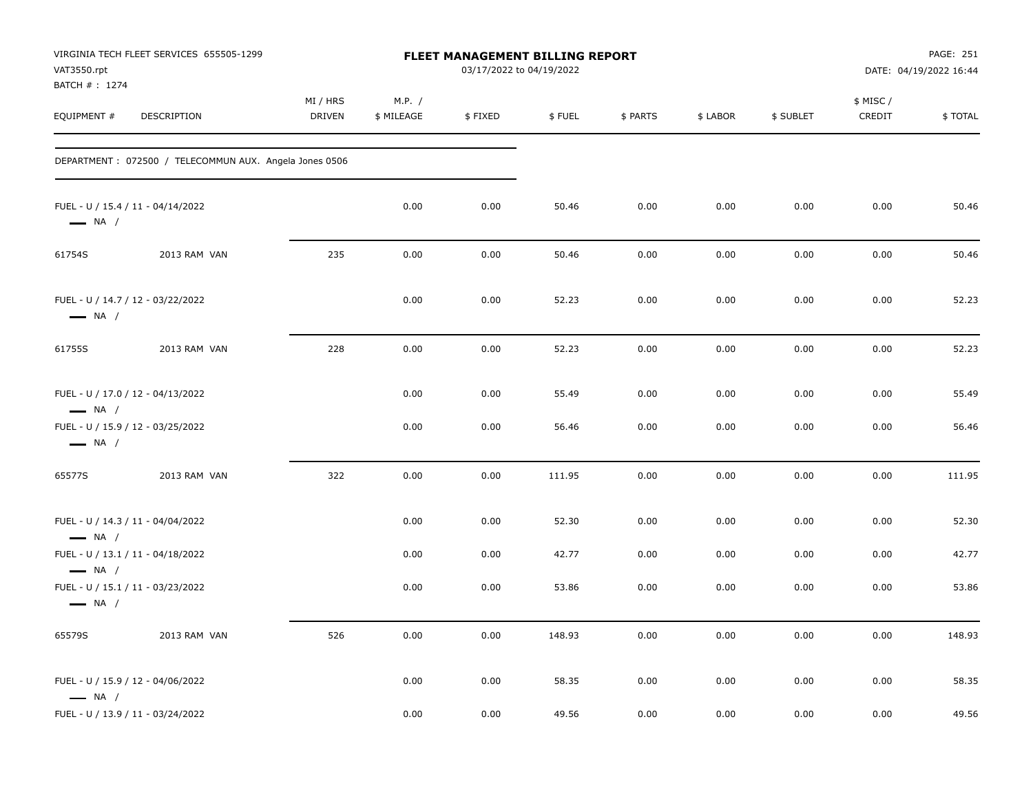| VAT3550.rpt<br>BATCH #: 1274 | VIRGINIA TECH FLEET SERVICES 655505-1299               |                           |                      | <b>FLEET MANAGEMENT BILLING REPORT</b><br>03/17/2022 to 04/19/2022 |        |          |          |           |                     | PAGE: 251<br>DATE: 04/19/2022 16:44 |
|------------------------------|--------------------------------------------------------|---------------------------|----------------------|--------------------------------------------------------------------|--------|----------|----------|-----------|---------------------|-------------------------------------|
| EQUIPMENT #                  | <b>DESCRIPTION</b>                                     | MI / HRS<br><b>DRIVEN</b> | M.P. /<br>\$ MILEAGE | \$FIXED                                                            | \$FUEL | \$ PARTS | \$ LABOR | \$ SUBLET | \$ MISC /<br>CREDIT | \$TOTAL                             |
|                              | DEPARTMENT: 072500 / TELECOMMUN AUX. Angela Jones 0506 |                           |                      |                                                                    |        |          |          |           |                     |                                     |
| $\longrightarrow$ NA /       | FUEL - U / 15.4 / 11 - 04/14/2022                      |                           | 0.00                 | 0.00                                                               | 50.46  | 0.00     | 0.00     | 0.00      | 0.00                | 50.46                               |
| 61754S                       | 2013 RAM VAN                                           | 235                       | 0.00                 | 0.00                                                               | 50.46  | 0.00     | 0.00     | 0.00      | 0.00                | 50.46                               |
| $\longrightarrow$ NA /       | FUEL - U / 14.7 / 12 - 03/22/2022                      |                           | 0.00                 | 0.00                                                               | 52.23  | 0.00     | 0.00     | 0.00      | 0.00                | 52.23                               |
| 61755S                       | 2013 RAM VAN                                           | 228                       | 0.00                 | 0.00                                                               | 52.23  | 0.00     | 0.00     | 0.00      | 0.00                | 52.23                               |
| $\longrightarrow$ NA /       | FUEL - U / 17.0 / 12 - 04/13/2022                      |                           | 0.00                 | 0.00                                                               | 55.49  | 0.00     | 0.00     | 0.00      | 0.00                | 55.49                               |
| $\longrightarrow$ NA /       | FUEL - U / 15.9 / 12 - 03/25/2022                      |                           | 0.00                 | 0.00                                                               | 56.46  | 0.00     | 0.00     | 0.00      | 0.00                | 56.46                               |
| 65577S                       | 2013 RAM VAN                                           | 322                       | 0.00                 | 0.00                                                               | 111.95 | 0.00     | 0.00     | 0.00      | 0.00                | 111.95                              |
| $\longrightarrow$ NA /       | FUEL - U / 14.3 / 11 - 04/04/2022                      |                           | 0.00                 | 0.00                                                               | 52.30  | 0.00     | 0.00     | 0.00      | 0.00                | 52.30                               |
| $\longrightarrow$ NA /       | FUEL - U / 13.1 / 11 - 04/18/2022                      |                           | 0.00                 | 0.00                                                               | 42.77  | 0.00     | 0.00     | 0.00      | 0.00                | 42.77                               |
| $\longrightarrow$ NA /       | FUEL - U / 15.1 / 11 - 03/23/2022                      |                           | 0.00                 | 0.00                                                               | 53.86  | 0.00     | 0.00     | 0.00      | 0.00                | 53.86                               |
| 65579S                       | 2013 RAM VAN                                           | 526                       | 0.00                 | 0.00                                                               | 148.93 | 0.00     | 0.00     | 0.00      | 0.00                | 148.93                              |
| $\longrightarrow$ NA /       | FUEL - U / 15.9 / 12 - 04/06/2022                      |                           | 0.00                 | 0.00                                                               | 58.35  | 0.00     | 0.00     | 0.00      | 0.00                | 58.35                               |
|                              | FUEL - U / 13.9 / 11 - 03/24/2022                      |                           | 0.00                 | 0.00                                                               | 49.56  | 0.00     | 0.00     | 0.00      | 0.00                | 49.56                               |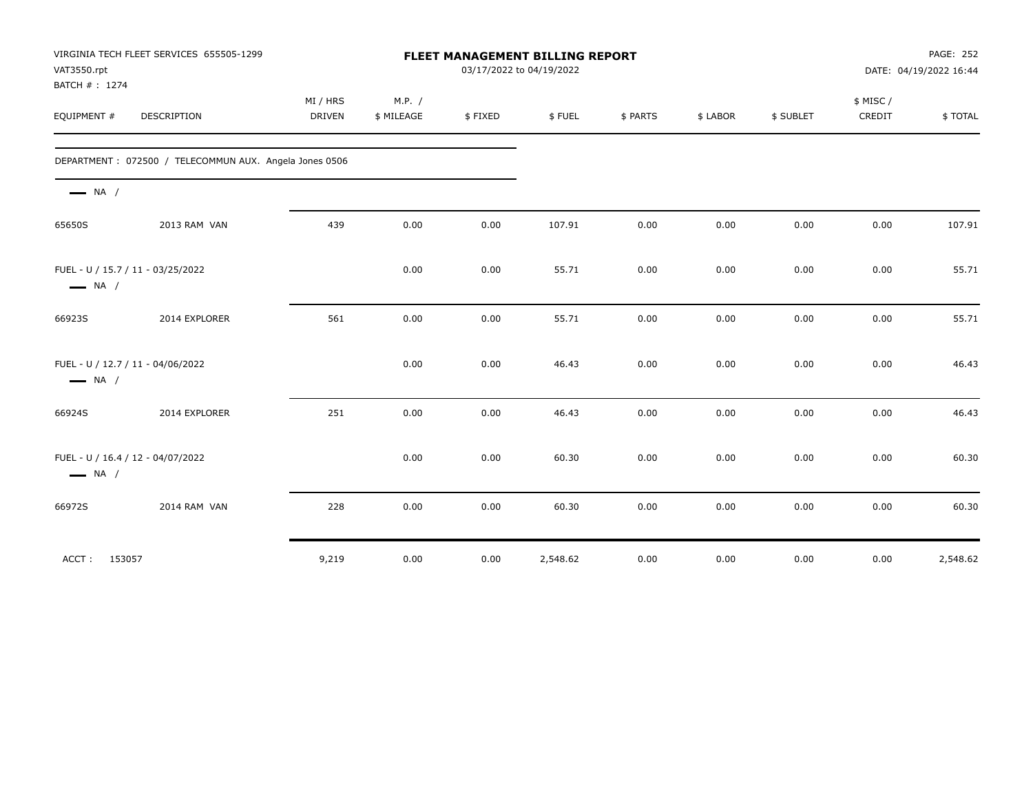| VAT3550.rpt<br>BATCH #: 1274                                | VIRGINIA TECH FLEET SERVICES 655505-1299               | FLEET MANAGEMENT BILLING REPORT<br>03/17/2022 to 04/19/2022 |                      |         |          |          |          |           |                    | <b>PAGE: 252</b><br>DATE: 04/19/2022 16:44 |  |
|-------------------------------------------------------------|--------------------------------------------------------|-------------------------------------------------------------|----------------------|---------|----------|----------|----------|-----------|--------------------|--------------------------------------------|--|
| EQUIPMENT #                                                 | DESCRIPTION                                            | MI / HRS<br><b>DRIVEN</b>                                   | M.P. /<br>\$ MILEAGE | \$FIXED | \$FUEL   | \$ PARTS | \$ LABOR | \$ SUBLET | \$ MISC/<br>CREDIT | \$TOTAL                                    |  |
|                                                             | DEPARTMENT: 072500 / TELECOMMUN AUX. Angela Jones 0506 |                                                             |                      |         |          |          |          |           |                    |                                            |  |
| $\longrightarrow$ NA /                                      |                                                        |                                                             |                      |         |          |          |          |           |                    |                                            |  |
| 65650S                                                      | 2013 RAM VAN                                           | 439                                                         | 0.00                 | 0.00    | 107.91   | 0.00     | 0.00     | 0.00      | 0.00               | 107.91                                     |  |
| FUEL - U / 15.7 / 11 - 03/25/2022<br>$\longrightarrow$ NA / |                                                        |                                                             | 0.00                 | 0.00    | 55.71    | 0.00     | 0.00     | 0.00      | 0.00               | 55.71                                      |  |
| 66923S                                                      | 2014 EXPLORER                                          | 561                                                         | 0.00                 | 0.00    | 55.71    | 0.00     | 0.00     | 0.00      | 0.00               | 55.71                                      |  |
| FUEL - U / 12.7 / 11 - 04/06/2022<br>$\longrightarrow$ NA / |                                                        |                                                             | 0.00                 | 0.00    | 46.43    | 0.00     | 0.00     | 0.00      | 0.00               | 46.43                                      |  |
| 66924S                                                      | 2014 EXPLORER                                          | 251                                                         | 0.00                 | 0.00    | 46.43    | 0.00     | 0.00     | 0.00      | 0.00               | 46.43                                      |  |
| FUEL - U / 16.4 / 12 - 04/07/2022<br>$\longrightarrow$ NA / |                                                        |                                                             | 0.00                 | 0.00    | 60.30    | 0.00     | 0.00     | 0.00      | 0.00               | 60.30                                      |  |
| 66972S                                                      | 2014 RAM VAN                                           | 228                                                         | 0.00                 | 0.00    | 60.30    | 0.00     | 0.00     | 0.00      | 0.00               | 60.30                                      |  |
| ACCT: 153057                                                |                                                        | 9,219                                                       | 0.00                 | 0.00    | 2,548.62 | 0.00     | 0.00     | 0.00      | 0.00               | 2,548.62                                   |  |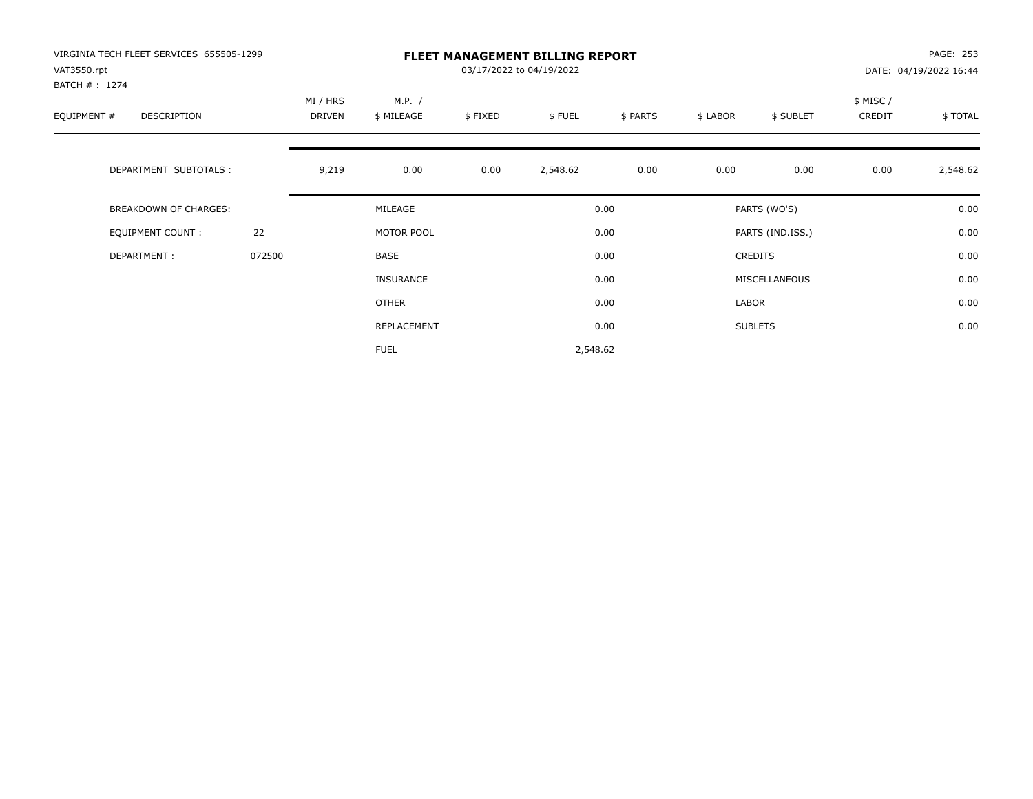| VIRGINIA TECH FLEET SERVICES 655505-1299<br>VAT3550.rpt<br>BATCH #: 1274 |        |                    |                      | PAGE: 253<br>DATE: 04/19/2022 16:44 |          |          |          |                  |                     |          |
|--------------------------------------------------------------------------|--------|--------------------|----------------------|-------------------------------------|----------|----------|----------|------------------|---------------------|----------|
| EQUIPMENT #<br><b>DESCRIPTION</b>                                        |        | MI / HRS<br>DRIVEN | M.P. /<br>\$ MILEAGE | \$FIXED                             | \$FUEL   | \$ PARTS | \$ LABOR | \$ SUBLET        | \$ MISC /<br>CREDIT | \$TOTAL  |
| DEPARTMENT SUBTOTALS :                                                   |        | 9,219              | 0.00                 | 0.00                                | 2,548.62 | 0.00     | 0.00     | 0.00             | 0.00                | 2,548.62 |
| <b>BREAKDOWN OF CHARGES:</b>                                             |        |                    | MILEAGE              |                                     |          | 0.00     |          | PARTS (WO'S)     |                     | 0.00     |
| EQUIPMENT COUNT:                                                         | 22     |                    | MOTOR POOL           |                                     |          | 0.00     |          | PARTS (IND.ISS.) |                     | 0.00     |
| DEPARTMENT:                                                              | 072500 |                    | <b>BASE</b>          |                                     |          | 0.00     |          | <b>CREDITS</b>   |                     | 0.00     |
|                                                                          |        |                    | <b>INSURANCE</b>     |                                     |          | 0.00     |          | MISCELLANEOUS    |                     | 0.00     |
|                                                                          |        |                    | OTHER                |                                     |          | 0.00     | LABOR    |                  |                     | 0.00     |
|                                                                          |        |                    | REPLACEMENT          |                                     |          | 0.00     |          | <b>SUBLETS</b>   |                     | 0.00     |
|                                                                          |        |                    | <b>FUEL</b>          |                                     | 2,548.62 |          |          |                  |                     |          |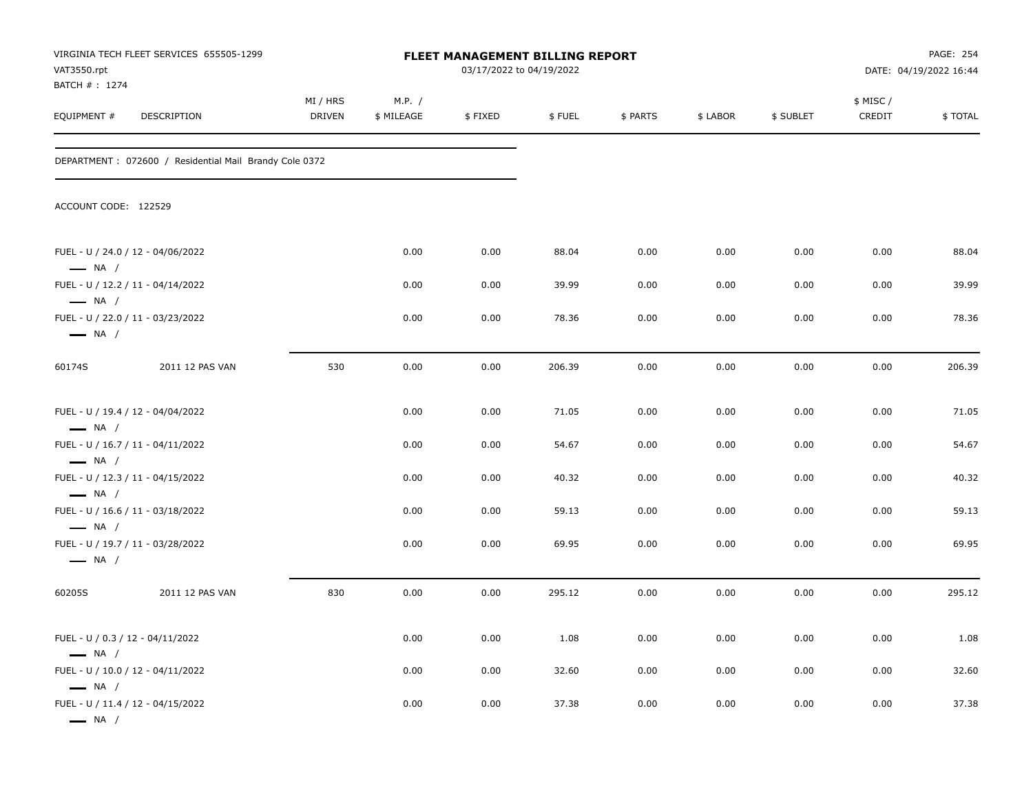| VAT3550.rpt<br>BATCH # : 1274                    | VIRGINIA TECH FLEET SERVICES 655505-1299                |                           |                      |         | <b>FLEET MANAGEMENT BILLING REPORT</b><br>03/17/2022 to 04/19/2022 |          |          |           |                    | PAGE: 254<br>DATE: 04/19/2022 16:44 |
|--------------------------------------------------|---------------------------------------------------------|---------------------------|----------------------|---------|--------------------------------------------------------------------|----------|----------|-----------|--------------------|-------------------------------------|
| EQUIPMENT #                                      | DESCRIPTION                                             | MI / HRS<br><b>DRIVEN</b> | M.P. /<br>\$ MILEAGE | \$FIXED | \$FUEL                                                             | \$ PARTS | \$ LABOR | \$ SUBLET | \$ MISC/<br>CREDIT | \$TOTAL                             |
|                                                  | DEPARTMENT : 072600 / Residential Mail Brandy Cole 0372 |                           |                      |         |                                                                    |          |          |           |                    |                                     |
| ACCOUNT CODE: 122529                             |                                                         |                           |                      |         |                                                                    |          |          |           |                    |                                     |
| $\longrightarrow$ NA /                           | FUEL - U / 24.0 / 12 - 04/06/2022                       |                           | 0.00                 | 0.00    | 88.04                                                              | 0.00     | 0.00     | 0.00      | 0.00               | 88.04                               |
| $\longrightarrow$ NA /                           | FUEL - U / 12.2 / 11 - 04/14/2022                       |                           | 0.00                 | 0.00    | 39.99                                                              | 0.00     | 0.00     | 0.00      | 0.00               | 39.99                               |
| $\longrightarrow$ NA /                           | FUEL - U / 22.0 / 11 - 03/23/2022                       |                           | 0.00                 | 0.00    | 78.36                                                              | 0.00     | 0.00     | 0.00      | 0.00               | 78.36                               |
| 60174S                                           | 2011 12 PAS VAN                                         | 530                       | 0.00                 | 0.00    | 206.39                                                             | 0.00     | 0.00     | 0.00      | 0.00               | 206.39                              |
| $\longrightarrow$ NA /                           | FUEL - U / 19.4 / 12 - 04/04/2022                       |                           | 0.00                 | 0.00    | 71.05                                                              | 0.00     | 0.00     | 0.00      | 0.00               | 71.05                               |
| $\longrightarrow$ NA /                           | FUEL - U / 16.7 / 11 - 04/11/2022                       |                           | 0.00                 | 0.00    | 54.67                                                              | 0.00     | 0.00     | 0.00      | 0.00               | 54.67                               |
| $\longrightarrow$ NA /                           | FUEL - U / 12.3 / 11 - 04/15/2022                       |                           | 0.00                 | 0.00    | 40.32                                                              | 0.00     | 0.00     | 0.00      | 0.00               | 40.32                               |
|                                                  | FUEL - U / 16.6 / 11 - 03/18/2022                       |                           | 0.00                 | 0.00    | 59.13                                                              | 0.00     | 0.00     | 0.00      | 0.00               | 59.13                               |
| $\longrightarrow$ NA /<br>$\longrightarrow$ NA / | FUEL - U / 19.7 / 11 - 03/28/2022                       |                           | 0.00                 | 0.00    | 69.95                                                              | 0.00     | 0.00     | 0.00      | 0.00               | 69.95                               |
| 60205S                                           | 2011 12 PAS VAN                                         | 830                       | 0.00                 | 0.00    | 295.12                                                             | 0.00     | 0.00     | 0.00      | 0.00               | 295.12                              |
| $\longrightarrow$ NA /                           | FUEL - U / 0.3 / 12 - 04/11/2022                        |                           | 0.00                 | 0.00    | 1.08                                                               | 0.00     | 0.00     | 0.00      | 0.00               | 1.08                                |
| $\longrightarrow$ NA /                           | FUEL - U / 10.0 / 12 - 04/11/2022                       |                           | 0.00                 | 0.00    | 32.60                                                              | 0.00     | 0.00     | 0.00      | 0.00               | 32.60                               |
| $\longrightarrow$ NA /                           | FUEL - U / 11.4 / 12 - 04/15/2022                       |                           | 0.00                 | 0.00    | 37.38                                                              | 0.00     | 0.00     | 0.00      | 0.00               | 37.38                               |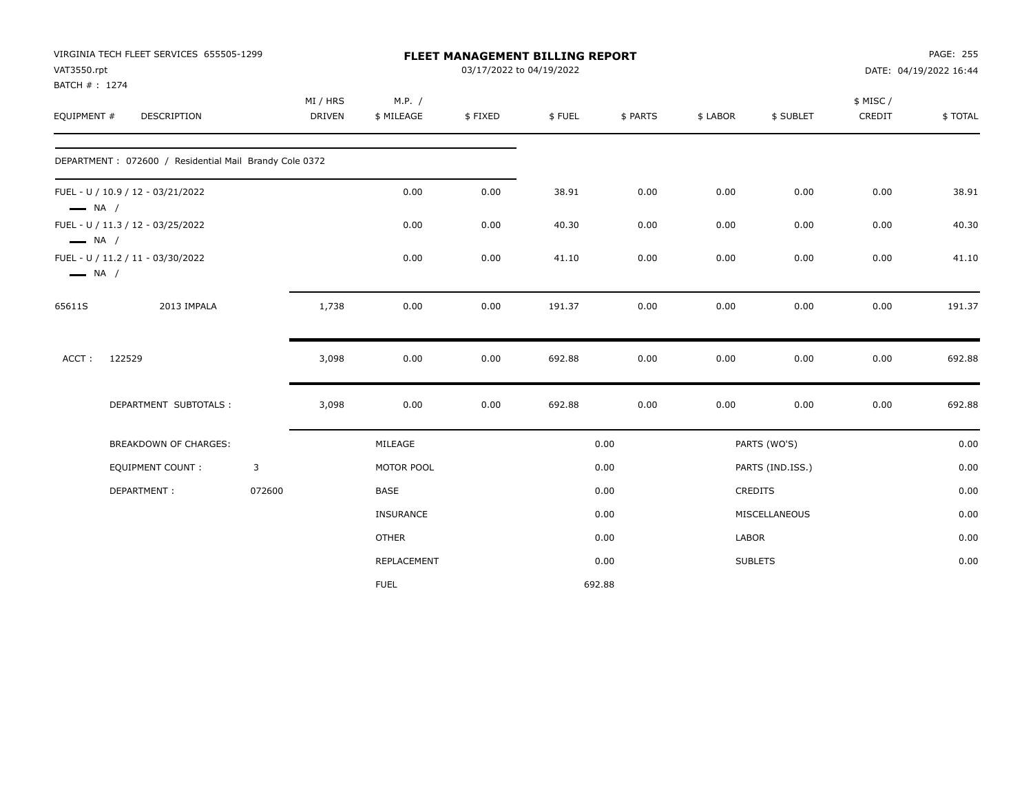| VAT3550.rpt<br>BATCH #: 1274                     | VIRGINIA TECH FLEET SERVICES 655505-1299               |                           |                      | FLEET MANAGEMENT BILLING REPORT | 03/17/2022 to 04/19/2022 |          |          |                  |                     | PAGE: 255<br>DATE: 04/19/2022 16:44 |
|--------------------------------------------------|--------------------------------------------------------|---------------------------|----------------------|---------------------------------|--------------------------|----------|----------|------------------|---------------------|-------------------------------------|
| EQUIPMENT #                                      | <b>DESCRIPTION</b>                                     | MI / HRS<br><b>DRIVEN</b> | M.P. /<br>\$ MILEAGE | \$FIXED                         | \$FUEL                   | \$ PARTS | \$ LABOR | \$ SUBLET        | \$ MISC /<br>CREDIT | \$TOTAL                             |
|                                                  | DEPARTMENT: 072600 / Residential Mail Brandy Cole 0372 |                           |                      |                                 |                          |          |          |                  |                     |                                     |
|                                                  | FUEL - U / 10.9 / 12 - 03/21/2022                      |                           | 0.00                 | 0.00                            | 38.91                    | 0.00     | 0.00     | 0.00             | 0.00                | 38.91                               |
| $\longrightarrow$ NA /<br>$\longrightarrow$ NA / | FUEL - U / 11.3 / 12 - 03/25/2022                      |                           | 0.00                 | 0.00                            | 40.30                    | 0.00     | 0.00     | 0.00             | 0.00                | 40.30                               |
| $\longrightarrow$ NA /                           | FUEL - U / 11.2 / 11 - 03/30/2022                      |                           | 0.00                 | 0.00                            | 41.10                    | 0.00     | 0.00     | 0.00             | 0.00                | 41.10                               |
| 65611S                                           | 2013 IMPALA                                            |                           | 1,738<br>0.00        | 0.00                            | 191.37                   | 0.00     | 0.00     | 0.00             | 0.00                | 191.37                              |
| ACCT:                                            | 122529                                                 |                           | 3,098<br>0.00        | 0.00                            | 692.88                   | 0.00     | 0.00     | 0.00             | 0.00                | 692.88                              |
|                                                  | DEPARTMENT SUBTOTALS :                                 |                           | 3,098<br>0.00        | 0.00                            | 692.88                   | 0.00     | 0.00     | 0.00             | 0.00                | 692.88                              |
|                                                  | <b>BREAKDOWN OF CHARGES:</b>                           |                           | MILEAGE              |                                 |                          | 0.00     |          | PARTS (WO'S)     |                     | 0.00                                |
|                                                  | <b>EQUIPMENT COUNT:</b>                                | 3                         | MOTOR POOL           |                                 |                          | 0.00     |          | PARTS (IND.ISS.) |                     | 0.00                                |
|                                                  | DEPARTMENT:                                            | 072600                    | <b>BASE</b>          |                                 |                          | 0.00     |          | CREDITS          |                     | 0.00                                |
|                                                  |                                                        |                           | INSURANCE            |                                 |                          | 0.00     |          | MISCELLANEOUS    |                     | 0.00                                |
|                                                  |                                                        |                           | <b>OTHER</b>         |                                 |                          | 0.00     | LABOR    |                  |                     | 0.00                                |
|                                                  |                                                        |                           | REPLACEMENT          |                                 |                          | 0.00     |          | <b>SUBLETS</b>   |                     | 0.00                                |
|                                                  |                                                        |                           | <b>FUEL</b>          |                                 |                          | 692.88   |          |                  |                     |                                     |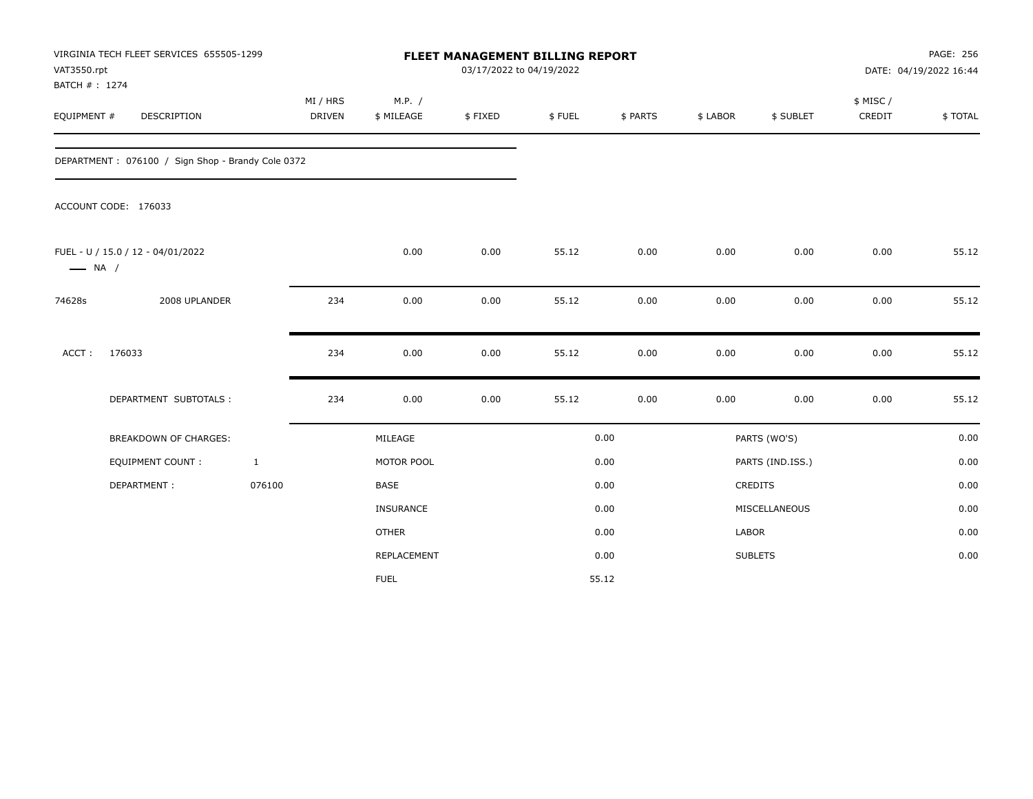| VAT3550.rpt<br>BATCH #: 1274 | VIRGINIA TECH FLEET SERVICES 655505-1299          |              |                           |                      | FLEET MANAGEMENT BILLING REPORT<br>03/17/2022 to 04/19/2022 |        |          |          |                  |                    | PAGE: 256<br>DATE: 04/19/2022 16:44 |
|------------------------------|---------------------------------------------------|--------------|---------------------------|----------------------|-------------------------------------------------------------|--------|----------|----------|------------------|--------------------|-------------------------------------|
| EQUIPMENT #                  | <b>DESCRIPTION</b>                                |              | MI / HRS<br><b>DRIVEN</b> | M.P. /<br>\$ MILEAGE | \$FIXED                                                     | \$FUEL | \$ PARTS | \$ LABOR | \$ SUBLET        | \$ MISC/<br>CREDIT | \$TOTAL                             |
|                              | DEPARTMENT: 076100 / Sign Shop - Brandy Cole 0372 |              |                           |                      |                                                             |        |          |          |                  |                    |                                     |
|                              | ACCOUNT CODE: 176033                              |              |                           |                      |                                                             |        |          |          |                  |                    |                                     |
| $\longrightarrow$ NA /       | FUEL - U / 15.0 / 12 - 04/01/2022                 |              |                           | 0.00                 | 0.00                                                        | 55.12  | 0.00     | 0.00     | 0.00             | 0.00               | 55.12                               |
| 74628s                       | 2008 UPLANDER                                     |              | 234                       | 0.00                 | 0.00                                                        | 55.12  | 0.00     | 0.00     | 0.00             | 0.00               | 55.12                               |
| ACCT:                        | 176033                                            |              | 234                       | 0.00                 | 0.00                                                        | 55.12  | 0.00     | 0.00     | 0.00             | 0.00               | 55.12                               |
|                              | DEPARTMENT SUBTOTALS :                            |              | 234                       | 0.00                 | 0.00                                                        | 55.12  | 0.00     | 0.00     | 0.00             | 0.00               | 55.12                               |
|                              | BREAKDOWN OF CHARGES:                             |              |                           | MILEAGE              |                                                             |        | 0.00     |          | PARTS (WO'S)     |                    | 0.00                                |
|                              | <b>EQUIPMENT COUNT:</b>                           | $\mathbf{1}$ |                           | MOTOR POOL           |                                                             |        | 0.00     |          | PARTS (IND.ISS.) |                    | 0.00                                |
|                              | DEPARTMENT:                                       | 076100       |                           | <b>BASE</b>          |                                                             |        | 0.00     |          | <b>CREDITS</b>   |                    | 0.00                                |
|                              |                                                   |              |                           | INSURANCE            |                                                             |        | 0.00     |          | MISCELLANEOUS    |                    | 0.00                                |
|                              |                                                   |              |                           | <b>OTHER</b>         |                                                             |        | 0.00     | LABOR    |                  |                    | 0.00                                |
|                              |                                                   |              |                           | REPLACEMENT          |                                                             |        | 0.00     |          | <b>SUBLETS</b>   |                    | 0.00                                |
|                              |                                                   |              |                           | <b>FUEL</b>          |                                                             |        | 55.12    |          |                  |                    |                                     |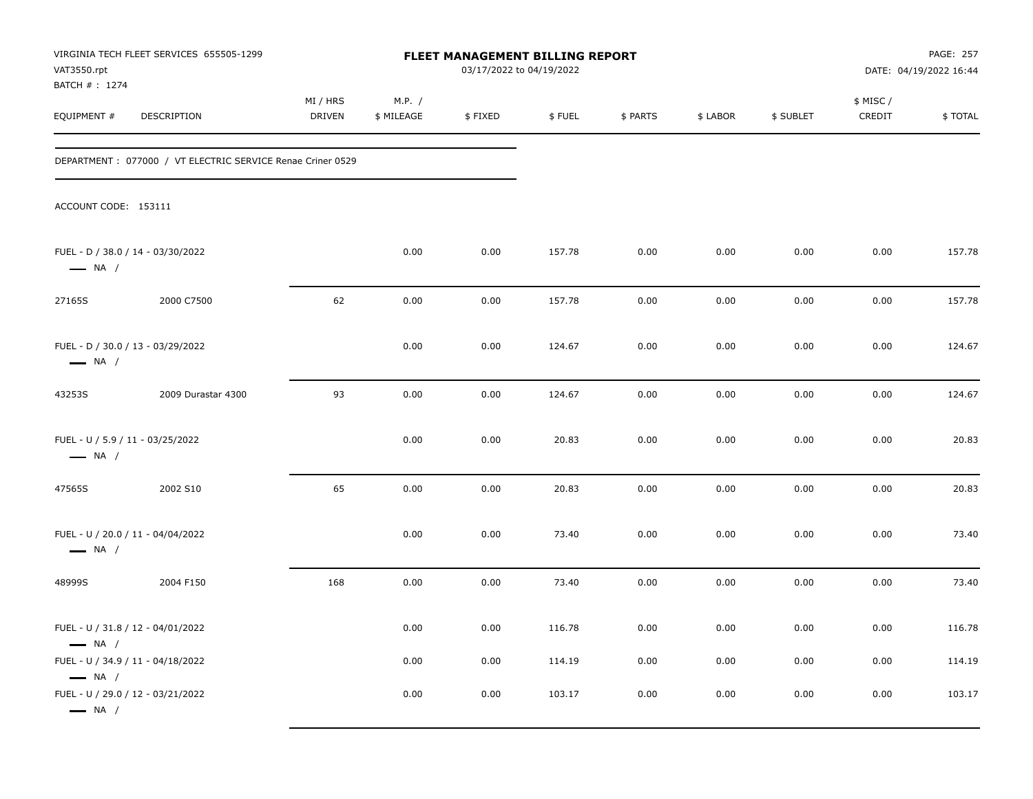| VAT3550.rpt<br>BATCH # : 1274                                                                                              | VIRGINIA TECH FLEET SERVICES 655505-1299                   |                           |                      | FLEET MANAGEMENT BILLING REPORT<br>03/17/2022 to 04/19/2022 |                  |              |              |              |                     | PAGE: 257<br>DATE: 04/19/2022 16:44 |
|----------------------------------------------------------------------------------------------------------------------------|------------------------------------------------------------|---------------------------|----------------------|-------------------------------------------------------------|------------------|--------------|--------------|--------------|---------------------|-------------------------------------|
| EQUIPMENT #                                                                                                                | DESCRIPTION                                                | MI / HRS<br><b>DRIVEN</b> | M.P. /<br>\$ MILEAGE | \$FIXED                                                     | \$FUEL           | \$ PARTS     | \$ LABOR     | \$ SUBLET    | \$ MISC /<br>CREDIT | \$TOTAL                             |
|                                                                                                                            | DEPARTMENT: 077000 / VT ELECTRIC SERVICE Renae Criner 0529 |                           |                      |                                                             |                  |              |              |              |                     |                                     |
| ACCOUNT CODE: 153111                                                                                                       |                                                            |                           |                      |                                                             |                  |              |              |              |                     |                                     |
| FUEL - D / 38.0 / 14 - 03/30/2022<br>$\longrightarrow$ NA /                                                                |                                                            |                           | 0.00                 | 0.00                                                        | 157.78           | 0.00         | 0.00         | 0.00         | 0.00                | 157.78                              |
| 27165S                                                                                                                     | 2000 C7500                                                 | 62                        | 0.00                 | 0.00                                                        | 157.78           | 0.00         | 0.00         | 0.00         | 0.00                | 157.78                              |
| FUEL - D / 30.0 / 13 - 03/29/2022<br>$\longrightarrow$ NA /                                                                |                                                            |                           | 0.00                 | 0.00                                                        | 124.67           | 0.00         | 0.00         | 0.00         | 0.00                | 124.67                              |
| 43253S                                                                                                                     | 2009 Durastar 4300                                         | 93                        | 0.00                 | 0.00                                                        | 124.67           | 0.00         | 0.00         | 0.00         | 0.00                | 124.67                              |
| FUEL - U / 5.9 / 11 - 03/25/2022<br>$\longrightarrow$ NA /                                                                 |                                                            |                           | 0.00                 | 0.00                                                        | 20.83            | 0.00         | 0.00         | 0.00         | 0.00                | 20.83                               |
| 47565S                                                                                                                     | 2002 S10                                                   | 65                        | 0.00                 | 0.00                                                        | 20.83            | 0.00         | 0.00         | 0.00         | 0.00                | 20.83                               |
| FUEL - U / 20.0 / 11 - 04/04/2022<br>$\longrightarrow$ NA /                                                                |                                                            |                           | 0.00                 | 0.00                                                        | 73.40            | 0.00         | 0.00         | 0.00         | 0.00                | 73.40                               |
| 48999S                                                                                                                     | 2004 F150                                                  | 168                       | 0.00                 | 0.00                                                        | 73.40            | 0.00         | 0.00         | 0.00         | 0.00                | 73.40                               |
| FUEL - U / 31.8 / 12 - 04/01/2022<br>$\longrightarrow$ NA /                                                                |                                                            |                           | 0.00                 | 0.00                                                        | 116.78           | 0.00         | 0.00         | 0.00         | 0.00                | 116.78                              |
| FUEL - U / 34.9 / 11 - 04/18/2022<br>$\longrightarrow$ NA /<br>FUEL - U / 29.0 / 12 - 03/21/2022<br>$\longrightarrow$ NA / |                                                            |                           | 0.00<br>0.00         | 0.00<br>0.00                                                | 114.19<br>103.17 | 0.00<br>0.00 | 0.00<br>0.00 | 0.00<br>0.00 | 0.00<br>0.00        | 114.19<br>103.17                    |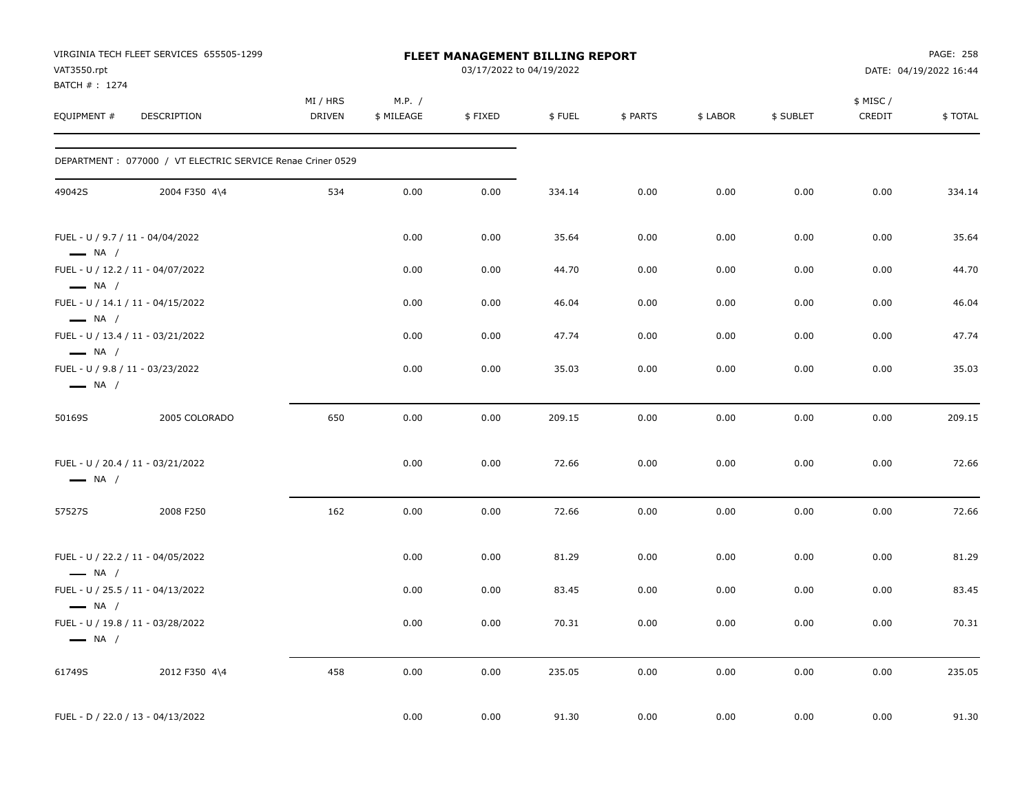| VAT3550.rpt                  | VIRGINIA TECH FLEET SERVICES 655505-1299                   |                           |                      | <b>FLEET MANAGEMENT BILLING REPORT</b><br>03/17/2022 to 04/19/2022 |        |          |          |           |                    | PAGE: 258<br>DATE: 04/19/2022 16:44 |
|------------------------------|------------------------------------------------------------|---------------------------|----------------------|--------------------------------------------------------------------|--------|----------|----------|-----------|--------------------|-------------------------------------|
| BATCH #: 1274<br>EQUIPMENT # | DESCRIPTION                                                | MI / HRS<br><b>DRIVEN</b> | M.P. /<br>\$ MILEAGE | \$FIXED                                                            | \$FUEL | \$ PARTS | \$ LABOR | \$ SUBLET | \$ MISC/<br>CREDIT | \$TOTAL                             |
|                              | DEPARTMENT: 077000 / VT ELECTRIC SERVICE Renae Criner 0529 |                           |                      |                                                                    |        |          |          |           |                    |                                     |
| 49042S                       | 2004 F350 4\4                                              | 534                       | 0.00                 | 0.00                                                               | 334.14 | 0.00     | 0.00     | 0.00      | 0.00               | 334.14                              |
| $\longrightarrow$ NA /       | FUEL - U / 9.7 / 11 - 04/04/2022                           |                           | 0.00                 | 0.00                                                               | 35.64  | 0.00     | 0.00     | 0.00      | 0.00               | 35.64                               |
| $\longrightarrow$ NA /       | FUEL - U / 12.2 / 11 - 04/07/2022                          |                           | 0.00                 | 0.00                                                               | 44.70  | 0.00     | 0.00     | 0.00      | 0.00               | 44.70                               |
| $\longrightarrow$ NA /       | FUEL - U / 14.1 / 11 - 04/15/2022                          |                           | 0.00                 | 0.00                                                               | 46.04  | 0.00     | 0.00     | 0.00      | 0.00               | 46.04                               |
| $\longrightarrow$ NA /       | FUEL - U / 13.4 / 11 - 03/21/2022                          |                           | 0.00                 | 0.00                                                               | 47.74  | 0.00     | 0.00     | 0.00      | 0.00               | 47.74                               |
| $\longrightarrow$ NA /       | FUEL - U / 9.8 / 11 - 03/23/2022                           |                           | 0.00                 | 0.00                                                               | 35.03  | 0.00     | 0.00     | 0.00      | 0.00               | 35.03                               |
| 50169S                       | 2005 COLORADO                                              | 650                       | 0.00                 | 0.00                                                               | 209.15 | 0.00     | 0.00     | 0.00      | 0.00               | 209.15                              |
| $\longrightarrow$ NA /       | FUEL - U / 20.4 / 11 - 03/21/2022                          |                           | 0.00                 | 0.00                                                               | 72.66  | 0.00     | 0.00     | 0.00      | 0.00               | 72.66                               |
| 57527S                       | 2008 F250                                                  | 162                       | 0.00                 | 0.00                                                               | 72.66  | 0.00     | 0.00     | 0.00      | 0.00               | 72.66                               |
| $\longrightarrow$ NA /       | FUEL - U / 22.2 / 11 - 04/05/2022                          |                           | 0.00                 | 0.00                                                               | 81.29  | 0.00     | 0.00     | 0.00      | 0.00               | 81.29                               |
| $\longrightarrow$ NA /       | FUEL - U / 25.5 / 11 - 04/13/2022                          |                           | 0.00                 | 0.00                                                               | 83.45  | 0.00     | 0.00     | 0.00      | 0.00               | 83.45                               |
| $\longrightarrow$ NA /       | FUEL - U / 19.8 / 11 - 03/28/2022                          |                           | 0.00                 | 0.00                                                               | 70.31  | 0.00     | 0.00     | 0.00      | 0.00               | 70.31                               |
| 61749S                       | 2012 F350 4\4                                              | 458                       | 0.00                 | 0.00                                                               | 235.05 | 0.00     | 0.00     | 0.00      | 0.00               | 235.05                              |
|                              | FUEL - D / 22.0 / 13 - 04/13/2022                          |                           | 0.00                 | 0.00                                                               | 91.30  | 0.00     | 0.00     | 0.00      | 0.00               | 91.30                               |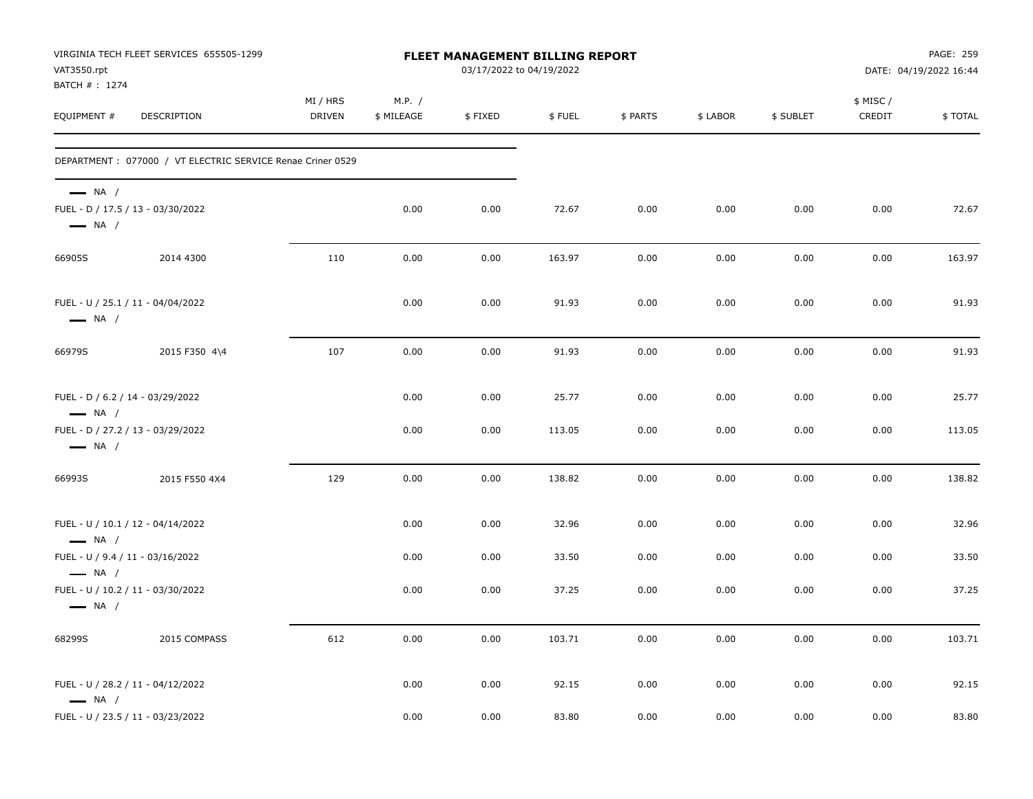| VAT3550.rpt<br>BATCH #: 1274                                                         | VIRGINIA TECH FLEET SERVICES 655505-1299                    |                    |                      | FLEET MANAGEMENT BILLING REPORT<br>03/17/2022 to 04/19/2022 |                 |              |              |              |                     | PAGE: 259<br>DATE: 04/19/2022 16:44 |
|--------------------------------------------------------------------------------------|-------------------------------------------------------------|--------------------|----------------------|-------------------------------------------------------------|-----------------|--------------|--------------|--------------|---------------------|-------------------------------------|
| EQUIPMENT #                                                                          | DESCRIPTION                                                 | MI / HRS<br>DRIVEN | M.P. /<br>\$ MILEAGE | \$FIXED                                                     | \$FUEL          | \$ PARTS     | \$ LABOR     | \$ SUBLET    | \$ MISC /<br>CREDIT | \$TOTAL                             |
|                                                                                      | DEPARTMENT : 077000 / VT ELECTRIC SERVICE Renae Criner 0529 |                    |                      |                                                             |                 |              |              |              |                     |                                     |
| $\longrightarrow$ NA /<br>$\longrightarrow$ NA /                                     | FUEL - D / 17.5 / 13 - 03/30/2022                           |                    | 0.00                 | 0.00                                                        | 72.67           | 0.00         | 0.00         | 0.00         | 0.00                | 72.67                               |
| 66905S                                                                               | 2014 4300                                                   | 110                | 0.00                 | 0.00                                                        | 163.97          | 0.00         | 0.00         | 0.00         | 0.00                | 163.97                              |
| $\longrightarrow$ NA /                                                               | FUEL - U / 25.1 / 11 - 04/04/2022                           |                    | 0.00                 | 0.00                                                        | 91.93           | 0.00         | 0.00         | 0.00         | 0.00                | 91.93                               |
| 66979S                                                                               | 2015 F350 4\4                                               | 107                | 0.00                 | 0.00                                                        | 91.93           | 0.00         | 0.00         | 0.00         | 0.00                | 91.93                               |
| FUEL - D / 6.2 / 14 - 03/29/2022<br>$\longrightarrow$ NA /<br>$\longrightarrow$ NA / | FUEL - D / 27.2 / 13 - 03/29/2022                           |                    | 0.00<br>0.00         | 0.00<br>0.00                                                | 25.77<br>113.05 | 0.00<br>0.00 | 0.00<br>0.00 | 0.00<br>0.00 | 0.00<br>0.00        | 25.77<br>113.05                     |
| 66993S                                                                               | 2015 F550 4X4                                               | 129                | 0.00                 | 0.00                                                        | 138.82          | 0.00         | 0.00         | 0.00         | 0.00                | 138.82                              |
| $\longrightarrow$ NA /                                                               | FUEL - U / 10.1 / 12 - 04/14/2022                           |                    | 0.00                 | 0.00                                                        | 32.96           | 0.00         | 0.00         | 0.00         | 0.00                | 32.96                               |
| FUEL - U / 9.4 / 11 - 03/16/2022<br>$\longrightarrow$ NA /                           |                                                             |                    | 0.00                 | 0.00                                                        | 33.50           | 0.00         | 0.00         | 0.00         | 0.00                | 33.50                               |
| $\longrightarrow$ NA /                                                               | FUEL - U / 10.2 / 11 - 03/30/2022                           |                    | 0.00                 | 0.00                                                        | 37.25           | 0.00         | 0.00         | 0.00         | 0.00                | 37.25                               |
| 68299S                                                                               | 2015 COMPASS                                                | 612                | 0.00                 | 0.00                                                        | 103.71          | 0.00         | 0.00         | 0.00         | 0.00                | 103.71                              |
| $\longrightarrow$ NA /                                                               | FUEL - U / 28.2 / 11 - 04/12/2022                           |                    | 0.00                 | 0.00                                                        | 92.15           | 0.00         | 0.00         | 0.00         | 0.00                | 92.15                               |
|                                                                                      | FUEL - U / 23.5 / 11 - 03/23/2022                           |                    | 0.00                 | 0.00                                                        | 83.80           | 0.00         | 0.00         | 0.00         | 0.00                | 83.80                               |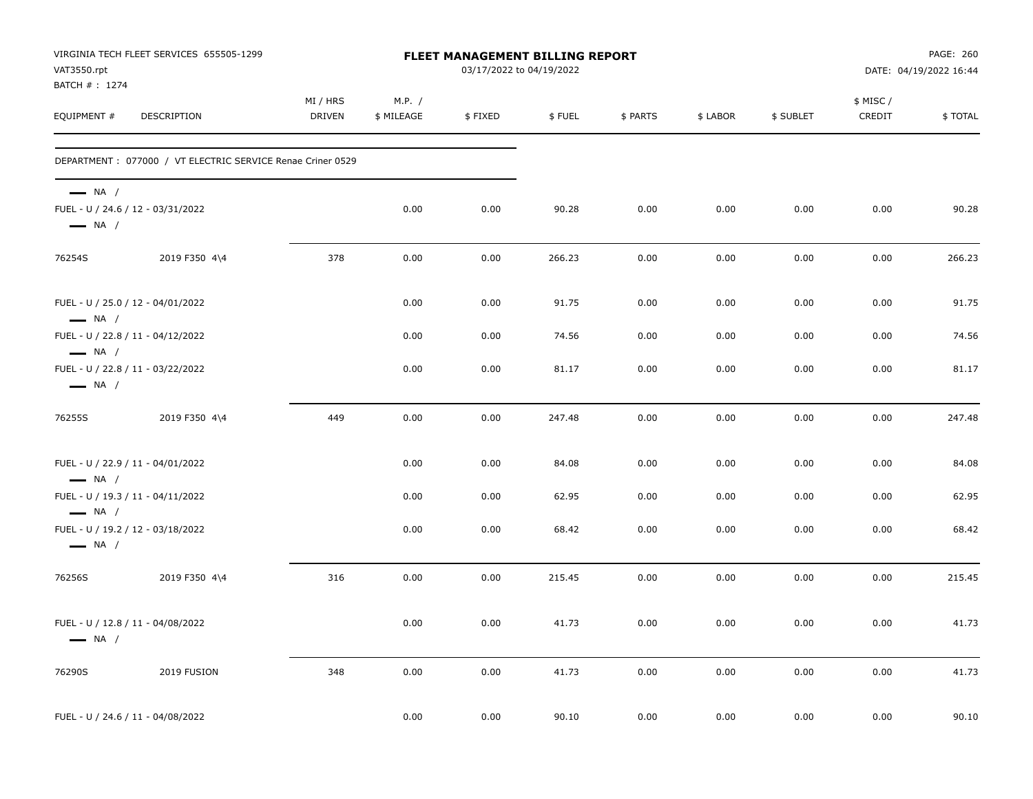| VAT3550.rpt<br>BATCH #: 1274                                                          | VIRGINIA TECH FLEET SERVICES 655505-1299                    |                           |                      | FLEET MANAGEMENT BILLING REPORT<br>03/17/2022 to 04/19/2022 |        |          |          |           |                     | PAGE: 260<br>DATE: 04/19/2022 16:44 |
|---------------------------------------------------------------------------------------|-------------------------------------------------------------|---------------------------|----------------------|-------------------------------------------------------------|--------|----------|----------|-----------|---------------------|-------------------------------------|
| EQUIPMENT #                                                                           | DESCRIPTION                                                 | MI / HRS<br><b>DRIVEN</b> | M.P. /<br>\$ MILEAGE | \$FIXED                                                     | \$FUEL | \$ PARTS | \$ LABOR | \$ SUBLET | \$ MISC /<br>CREDIT | \$TOTAL                             |
|                                                                                       | DEPARTMENT : 077000 / VT ELECTRIC SERVICE Renae Criner 0529 |                           |                      |                                                             |        |          |          |           |                     |                                     |
| $\longrightarrow$ NA /<br>FUEL - U / 24.6 / 12 - 03/31/2022<br>$\longrightarrow$ NA / |                                                             |                           | 0.00                 | 0.00                                                        | 90.28  | 0.00     | 0.00     | 0.00      | 0.00                | 90.28                               |
| 76254S                                                                                | 2019 F350 4\4                                               | 378                       | 0.00                 | 0.00                                                        | 266.23 | 0.00     | 0.00     | 0.00      | 0.00                | 266.23                              |
| FUEL - U / 25.0 / 12 - 04/01/2022<br>$\longrightarrow$ NA /                           |                                                             |                           | 0.00                 | 0.00                                                        | 91.75  | 0.00     | 0.00     | 0.00      | 0.00                | 91.75                               |
| FUEL - U / 22.8 / 11 - 04/12/2022<br>$\longrightarrow$ NA /                           |                                                             |                           | 0.00                 | 0.00                                                        | 74.56  | 0.00     | 0.00     | 0.00      | 0.00                | 74.56                               |
| FUEL - U / 22.8 / 11 - 03/22/2022<br>$\longrightarrow$ NA /                           |                                                             |                           | 0.00                 | 0.00                                                        | 81.17  | 0.00     | 0.00     | 0.00      | 0.00                | 81.17                               |
| 76255S                                                                                | 2019 F350 4\4                                               | 449                       | 0.00                 | 0.00                                                        | 247.48 | 0.00     | 0.00     | 0.00      | 0.00                | 247.48                              |
| FUEL - U / 22.9 / 11 - 04/01/2022<br>$\longrightarrow$ NA /                           |                                                             |                           | 0.00                 | 0.00                                                        | 84.08  | 0.00     | 0.00     | 0.00      | 0.00                | 84.08                               |
| FUEL - U / 19.3 / 11 - 04/11/2022<br>$\longrightarrow$ NA /                           |                                                             |                           | 0.00                 | 0.00                                                        | 62.95  | 0.00     | 0.00     | 0.00      | 0.00                | 62.95                               |
| FUEL - U / 19.2 / 12 - 03/18/2022<br>$\longrightarrow$ NA /                           |                                                             |                           | 0.00                 | 0.00                                                        | 68.42  | 0.00     | 0.00     | 0.00      | 0.00                | 68.42                               |
| 76256S                                                                                | 2019 F350 4\4                                               | 316                       | 0.00                 | 0.00                                                        | 215.45 | 0.00     | 0.00     | 0.00      | 0.00                | 215.45                              |
| FUEL - U / 12.8 / 11 - 04/08/2022<br>$\longrightarrow$ NA /                           |                                                             |                           | 0.00                 | 0.00                                                        | 41.73  | 0.00     | 0.00     | 0.00      | 0.00                | 41.73                               |
| 76290S                                                                                | 2019 FUSION                                                 | 348                       | 0.00                 | 0.00                                                        | 41.73  | 0.00     | 0.00     | 0.00      | 0.00                | 41.73                               |
| FUEL - U / 24.6 / 11 - 04/08/2022                                                     |                                                             |                           | 0.00                 | 0.00                                                        | 90.10  | 0.00     | 0.00     | 0.00      | 0.00                | 90.10                               |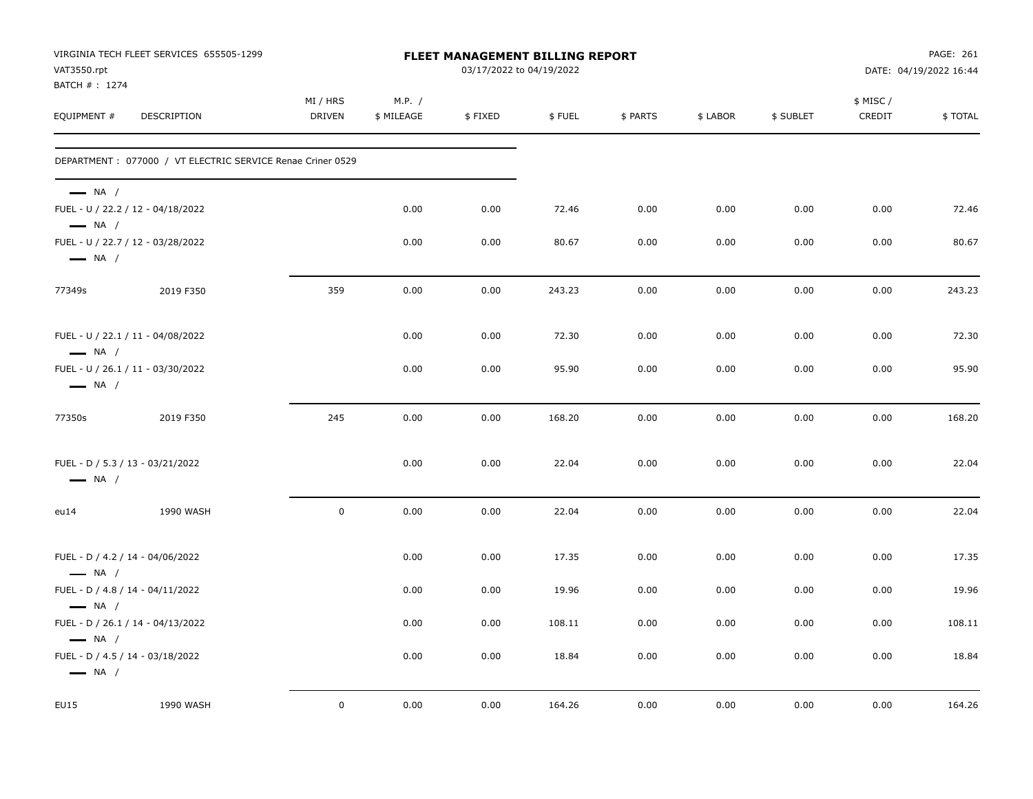| VAT3550.rpt<br>BATCH #: 1274                                                          | VIRGINIA TECH FLEET SERVICES 655505-1299                   |                           |                      | FLEET MANAGEMENT BILLING REPORT<br>03/17/2022 to 04/19/2022 |        |          |          |           |                    | PAGE: 261<br>DATE: 04/19/2022 16:44 |
|---------------------------------------------------------------------------------------|------------------------------------------------------------|---------------------------|----------------------|-------------------------------------------------------------|--------|----------|----------|-----------|--------------------|-------------------------------------|
| EQUIPMENT #                                                                           | DESCRIPTION                                                | MI / HRS<br><b>DRIVEN</b> | M.P. /<br>\$ MILEAGE | \$FIXED                                                     | \$FUEL | \$ PARTS | \$ LABOR | \$ SUBLET | \$ MISC/<br>CREDIT | \$TOTAL                             |
|                                                                                       | DEPARTMENT: 077000 / VT ELECTRIC SERVICE Renae Criner 0529 |                           |                      |                                                             |        |          |          |           |                    |                                     |
| $\longrightarrow$ NA /<br>FUEL - U / 22.2 / 12 - 04/18/2022<br>$\longrightarrow$ NA / |                                                            |                           | 0.00                 | 0.00                                                        | 72.46  | 0.00     | 0.00     | 0.00      | 0.00               | 72.46                               |
| FUEL - U / 22.7 / 12 - 03/28/2022<br>$\longrightarrow$ NA /                           |                                                            |                           | 0.00                 | 0.00                                                        | 80.67  | 0.00     | 0.00     | 0.00      | 0.00               | 80.67                               |
| 77349s                                                                                | 2019 F350                                                  | 359                       | 0.00                 | 0.00                                                        | 243.23 | 0.00     | 0.00     | 0.00      | 0.00               | 243.23                              |
| FUEL - U / 22.1 / 11 - 04/08/2022<br>$\longrightarrow$ NA /                           |                                                            |                           | 0.00                 | 0.00                                                        | 72.30  | 0.00     | 0.00     | 0.00      | 0.00               | 72.30                               |
| FUEL - U / 26.1 / 11 - 03/30/2022<br>$\longrightarrow$ NA /                           |                                                            |                           | 0.00                 | 0.00                                                        | 95.90  | 0.00     | 0.00     | 0.00      | 0.00               | 95.90                               |
| 77350s                                                                                | 2019 F350                                                  | 245                       | 0.00                 | 0.00                                                        | 168.20 | 0.00     | 0.00     | 0.00      | 0.00               | 168.20                              |
| FUEL - D / 5.3 / 13 - 03/21/2022<br>$\longrightarrow$ NA /                            |                                                            |                           | 0.00                 | 0.00                                                        | 22.04  | 0.00     | 0.00     | 0.00      | 0.00               | 22.04                               |
| eu14                                                                                  | 1990 WASH                                                  | $\mathbf 0$               | 0.00                 | 0.00                                                        | 22.04  | 0.00     | 0.00     | 0.00      | 0.00               | 22.04                               |
| FUEL - D / 4.2 / 14 - 04/06/2022<br>$\longrightarrow$ NA /                            |                                                            |                           | 0.00                 | 0.00                                                        | 17.35  | 0.00     | 0.00     | 0.00      | 0.00               | 17.35                               |
| FUEL - D / 4.8 / 14 - 04/11/2022                                                      |                                                            |                           | 0.00                 | 0.00                                                        | 19.96  | 0.00     | 0.00     | 0.00      | 0.00               | 19.96                               |
| $\longrightarrow$ NA /<br>FUEL - D / 26.1 / 14 - 04/13/2022<br>$\longrightarrow$ NA / |                                                            |                           | 0.00                 | 0.00                                                        | 108.11 | 0.00     | 0.00     | 0.00      | 0.00               | 108.11                              |
| FUEL - D / 4.5 / 14 - 03/18/2022<br>$\longrightarrow$ NA /                            |                                                            |                           | 0.00                 | 0.00                                                        | 18.84  | 0.00     | 0.00     | 0.00      | 0.00               | 18.84                               |
| EU15                                                                                  | 1990 WASH                                                  | $\mathbf 0$               | 0.00                 | 0.00                                                        | 164.26 | 0.00     | 0.00     | 0.00      | 0.00               | 164.26                              |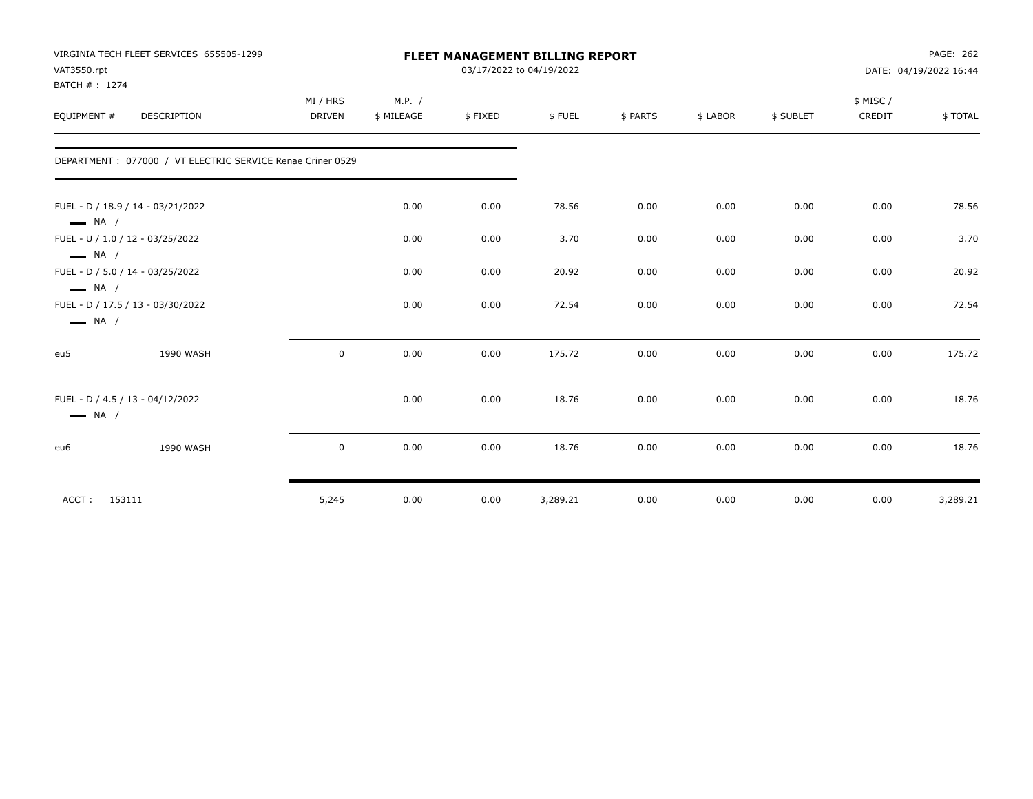| VAT3550.rpt<br>BATCH # : 1274                              | VIRGINIA TECH FLEET SERVICES 655505-1299                   |          |            |         | <b>FLEET MANAGEMENT BILLING REPORT</b><br>03/17/2022 to 04/19/2022 |          |          |           |           | PAGE: 262<br>DATE: 04/19/2022 16:44 |
|------------------------------------------------------------|------------------------------------------------------------|----------|------------|---------|--------------------------------------------------------------------|----------|----------|-----------|-----------|-------------------------------------|
|                                                            |                                                            | MI / HRS | M.P. /     |         |                                                                    |          |          |           | \$ MISC / |                                     |
| EQUIPMENT #                                                | <b>DESCRIPTION</b>                                         | DRIVEN   | \$ MILEAGE | \$FIXED | \$FUEL                                                             | \$ PARTS | \$ LABOR | \$ SUBLET | CREDIT    | \$TOTAL                             |
|                                                            | DEPARTMENT: 077000 / VT ELECTRIC SERVICE Renae Criner 0529 |          |            |         |                                                                    |          |          |           |           |                                     |
| $\longrightarrow$ NA /                                     | FUEL - D / 18.9 / 14 - 03/21/2022                          |          | 0.00       | 0.00    | 78.56                                                              | 0.00     | 0.00     | 0.00      | 0.00      | 78.56                               |
| FUEL - U / 1.0 / 12 - 03/25/2022<br>$\longrightarrow$ NA / |                                                            |          | 0.00       | 0.00    | 3.70                                                               | 0.00     | 0.00     | 0.00      | 0.00      | 3.70                                |
| $\longrightarrow$ NA /                                     | FUEL - D / 5.0 / 14 - 03/25/2022                           |          | 0.00       | 0.00    | 20.92                                                              | 0.00     | 0.00     | 0.00      | 0.00      | 20.92                               |
| $\longrightarrow$ NA /                                     | FUEL - D / 17.5 / 13 - 03/30/2022                          |          | 0.00       | 0.00    | 72.54                                                              | 0.00     | 0.00     | 0.00      | 0.00      | 72.54                               |
| eu5                                                        | 1990 WASH                                                  | 0        | 0.00       | 0.00    | 175.72                                                             | 0.00     | 0.00     | 0.00      | 0.00      | 175.72                              |
| $\longrightarrow$ NA /                                     | FUEL - D / 4.5 / 13 - 04/12/2022                           |          | 0.00       | 0.00    | 18.76                                                              | 0.00     | 0.00     | 0.00      | 0.00      | 18.76                               |
| eu6                                                        | 1990 WASH                                                  | 0        | 0.00       | 0.00    | 18.76                                                              | 0.00     | 0.00     | 0.00      | 0.00      | 18.76                               |
| 153111<br>ACCT:                                            |                                                            | 5,245    | 0.00       | 0.00    | 3,289.21                                                           | 0.00     | 0.00     | 0.00      | 0.00      | 3,289.21                            |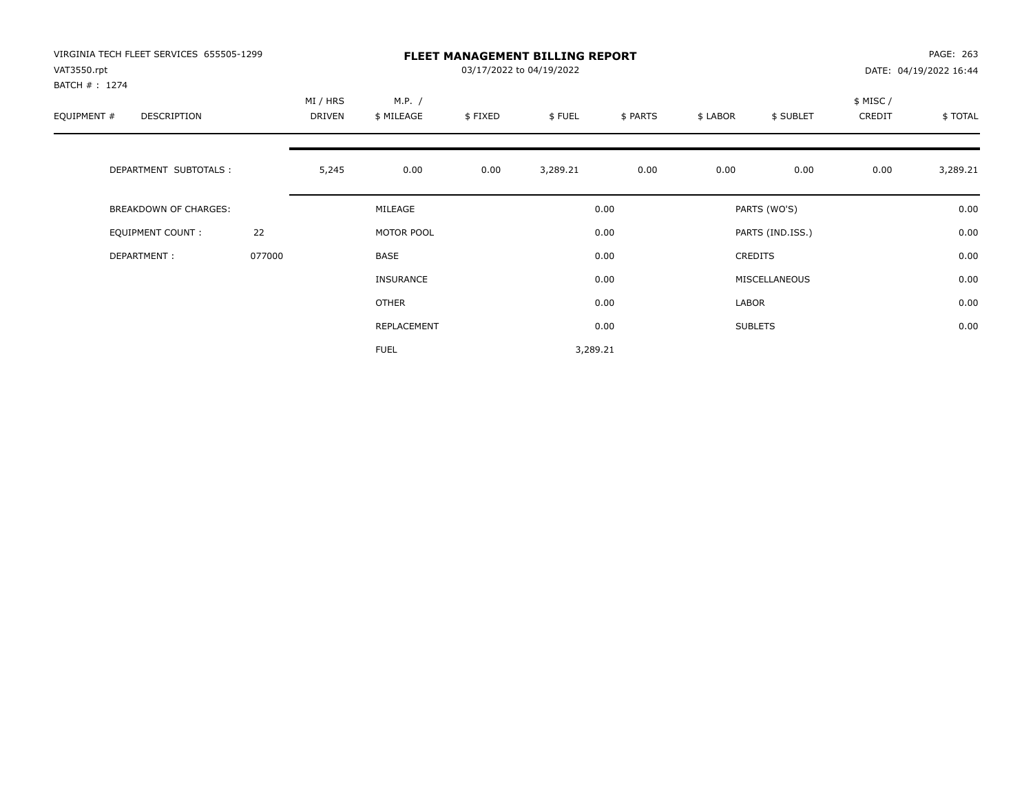| VIRGINIA TECH FLEET SERVICES 655505-1299<br>VAT3550.rpt<br>BATCH #: 1274 |        |                           |                      | PAGE: 263<br>DATE: 04/19/2022 16:44 |          |          |          |                  |                     |          |
|--------------------------------------------------------------------------|--------|---------------------------|----------------------|-------------------------------------|----------|----------|----------|------------------|---------------------|----------|
| EQUIPMENT #<br><b>DESCRIPTION</b>                                        |        | MI / HRS<br><b>DRIVEN</b> | M.P. /<br>\$ MILEAGE | \$FIXED                             | \$FUEL   | \$ PARTS | \$ LABOR | \$ SUBLET        | \$ MISC /<br>CREDIT | \$TOTAL  |
| DEPARTMENT SUBTOTALS :                                                   |        | 5,245                     | 0.00                 | 0.00                                | 3,289.21 | 0.00     | 0.00     | 0.00             | 0.00                | 3,289.21 |
| <b>BREAKDOWN OF CHARGES:</b>                                             |        |                           | MILEAGE              |                                     |          | 0.00     |          | PARTS (WO'S)     |                     | 0.00     |
| EQUIPMENT COUNT:                                                         | 22     |                           | MOTOR POOL           |                                     |          | 0.00     |          | PARTS (IND.ISS.) |                     | 0.00     |
| DEPARTMENT:                                                              | 077000 |                           | <b>BASE</b>          |                                     |          | 0.00     |          | <b>CREDITS</b>   |                     | 0.00     |
|                                                                          |        |                           | <b>INSURANCE</b>     |                                     |          | 0.00     |          | MISCELLANEOUS    |                     | 0.00     |
|                                                                          |        |                           | <b>OTHER</b>         |                                     |          | 0.00     | LABOR    |                  |                     | 0.00     |
|                                                                          |        |                           | REPLACEMENT          |                                     |          | 0.00     |          | <b>SUBLETS</b>   |                     | 0.00     |
|                                                                          |        |                           | <b>FUEL</b>          |                                     | 3,289.21 |          |          |                  |                     |          |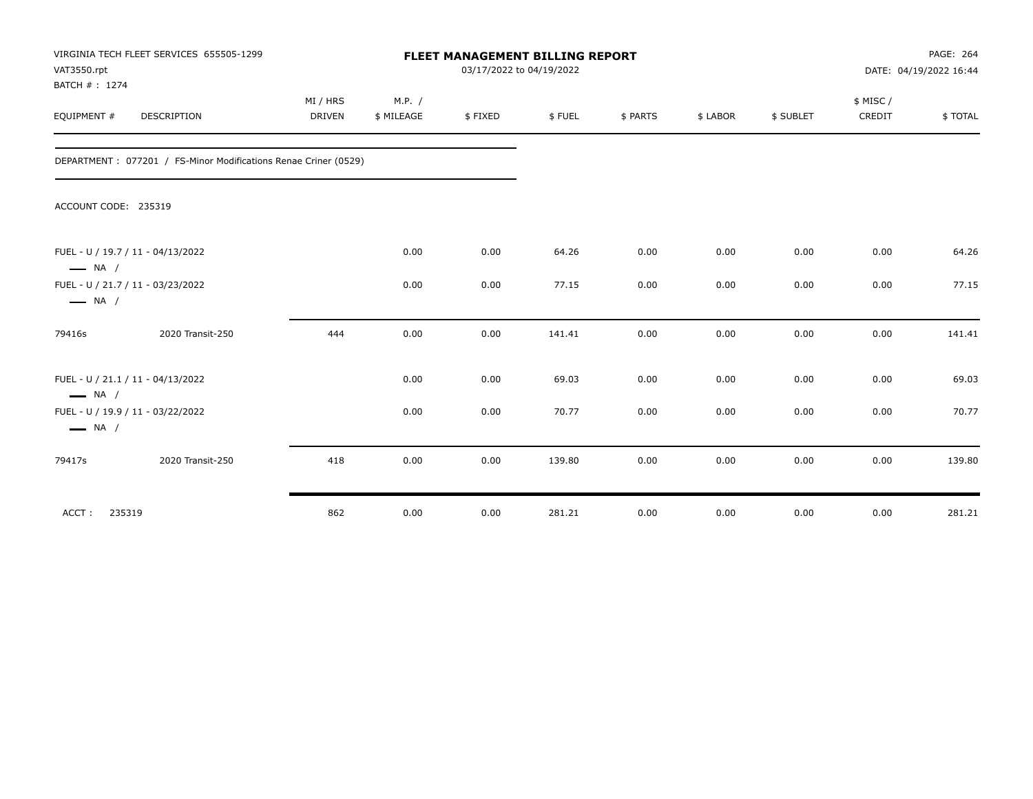| VAT3550.rpt<br>BATCH #: 1274 | VIRGINIA TECH FLEET SERVICES 655505-1299                        |                           | FLEET MANAGEMENT BILLING REPORT<br>03/17/2022 to 04/19/2022 |         |        |          |          |           |                     |         |
|------------------------------|-----------------------------------------------------------------|---------------------------|-------------------------------------------------------------|---------|--------|----------|----------|-----------|---------------------|---------|
| EQUIPMENT #                  | DESCRIPTION                                                     | MI / HRS<br><b>DRIVEN</b> | M.P. /<br>\$ MILEAGE                                        | \$FIXED | \$FUEL | \$ PARTS | \$ LABOR | \$ SUBLET | \$ MISC /<br>CREDIT | \$TOTAL |
|                              | DEPARTMENT: 077201 / FS-Minor Modifications Renae Criner (0529) |                           |                                                             |         |        |          |          |           |                     |         |
| ACCOUNT CODE: 235319         |                                                                 |                           |                                                             |         |        |          |          |           |                     |         |
| $\longrightarrow$ NA /       | FUEL - U / 19.7 / 11 - 04/13/2022                               |                           | 0.00                                                        | 0.00    | 64.26  | 0.00     | 0.00     | 0.00      | 0.00                | 64.26   |
| $\longrightarrow$ NA /       | FUEL - U / 21.7 / 11 - 03/23/2022                               |                           | 0.00                                                        | 0.00    | 77.15  | 0.00     | 0.00     | 0.00      | 0.00                | 77.15   |
| 79416s                       | 2020 Transit-250                                                | 444                       | 0.00                                                        | 0.00    | 141.41 | 0.00     | 0.00     | 0.00      | 0.00                | 141.41  |
| $\longrightarrow$ NA /       | FUEL - U / 21.1 / 11 - 04/13/2022                               |                           | 0.00                                                        | 0.00    | 69.03  | 0.00     | 0.00     | 0.00      | 0.00                | 69.03   |
| $\longrightarrow$ NA /       | FUEL - U / 19.9 / 11 - 03/22/2022                               |                           | 0.00                                                        | 0.00    | 70.77  | 0.00     | 0.00     | 0.00      | 0.00                | 70.77   |
| 79417s                       | 2020 Transit-250                                                | 418                       | 0.00                                                        | 0.00    | 139.80 | 0.00     | 0.00     | 0.00      | 0.00                | 139.80  |
| ACCT:<br>235319              |                                                                 | 862                       | 0.00                                                        | 0.00    | 281.21 | 0.00     | 0.00     | 0.00      | 0.00                | 281.21  |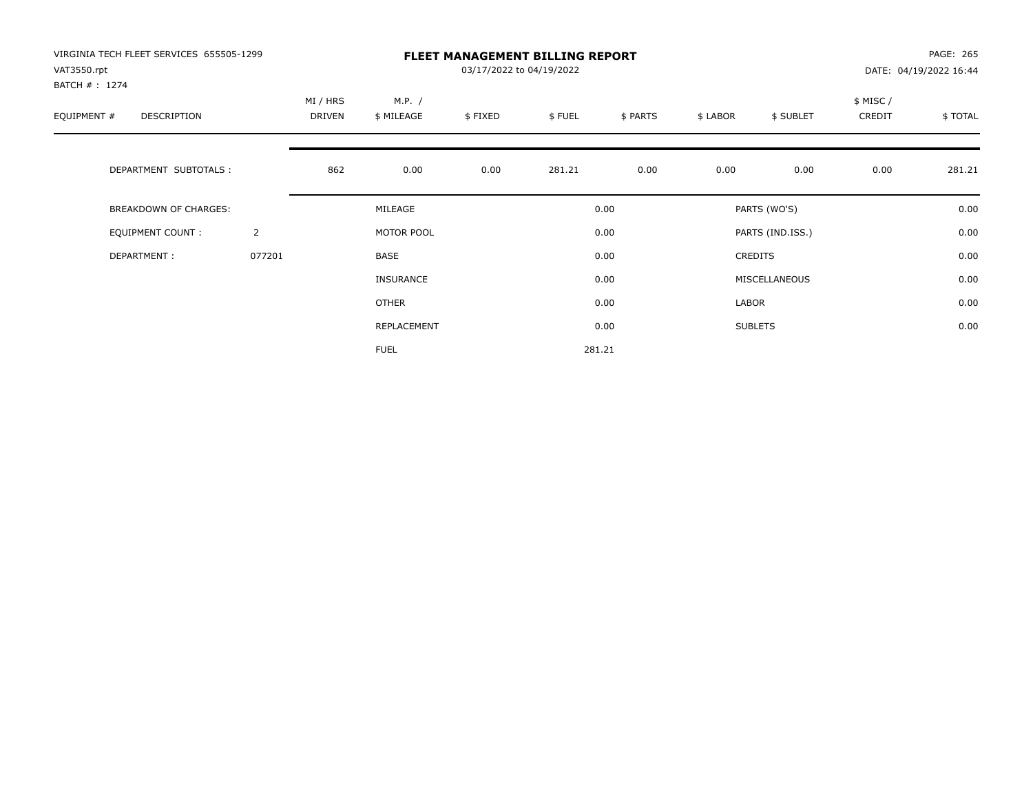| VIRGINIA TECH FLEET SERVICES 655505-1299<br>VAT3550.rpt<br>BATCH #: 1274 |                |                           | <b>FLEET MANAGEMENT BILLING REPORT</b><br>03/17/2022 to 04/19/2022 |         |        |          |          |                  |                     |         |
|--------------------------------------------------------------------------|----------------|---------------------------|--------------------------------------------------------------------|---------|--------|----------|----------|------------------|---------------------|---------|
| EQUIPMENT #<br><b>DESCRIPTION</b>                                        |                | MI / HRS<br><b>DRIVEN</b> | M.P. /<br>\$ MILEAGE                                               | \$FIXED | \$FUEL | \$ PARTS | \$ LABOR | \$ SUBLET        | \$ MISC /<br>CREDIT | \$TOTAL |
| DEPARTMENT SUBTOTALS :                                                   |                | 862                       | 0.00                                                               | 0.00    | 281.21 | 0.00     | 0.00     | 0.00             | 0.00                | 281.21  |
| <b>BREAKDOWN OF CHARGES:</b>                                             |                |                           | MILEAGE                                                            |         |        | 0.00     |          | PARTS (WO'S)     |                     | 0.00    |
| EQUIPMENT COUNT:                                                         | $\overline{2}$ |                           | MOTOR POOL                                                         |         |        | 0.00     |          | PARTS (IND.ISS.) |                     | 0.00    |
| DEPARTMENT:                                                              | 077201         |                           | <b>BASE</b>                                                        |         |        | 0.00     |          | <b>CREDITS</b>   |                     | 0.00    |
|                                                                          |                |                           | INSURANCE                                                          |         |        | 0.00     |          | MISCELLANEOUS    |                     | 0.00    |
|                                                                          |                |                           | <b>OTHER</b>                                                       |         |        | 0.00     | LABOR    |                  |                     | 0.00    |
|                                                                          |                |                           | REPLACEMENT                                                        |         |        | 0.00     |          | <b>SUBLETS</b>   |                     | 0.00    |
|                                                                          |                |                           | <b>FUEL</b>                                                        |         |        | 281.21   |          |                  |                     |         |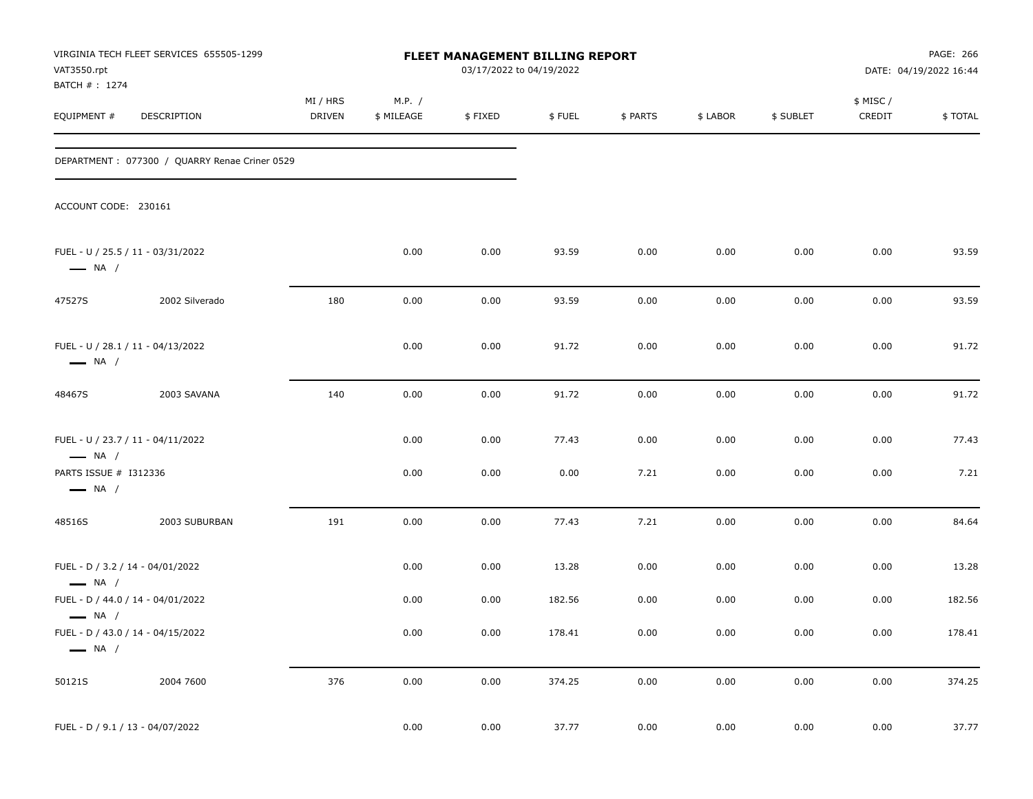| VAT3550.rpt                                      | VIRGINIA TECH FLEET SERVICES 655505-1299      |                           |                      | FLEET MANAGEMENT BILLING REPORT<br>03/17/2022 to 04/19/2022 |        |          |          |           |                     | PAGE: 266<br>DATE: 04/19/2022 16:44 |
|--------------------------------------------------|-----------------------------------------------|---------------------------|----------------------|-------------------------------------------------------------|--------|----------|----------|-----------|---------------------|-------------------------------------|
| BATCH #: 1274<br>EQUIPMENT #                     | DESCRIPTION                                   | MI / HRS<br><b>DRIVEN</b> | M.P. /<br>\$ MILEAGE | \$FIXED                                                     | \$FUEL | \$ PARTS | \$ LABOR | \$ SUBLET | \$ MISC /<br>CREDIT | \$TOTAL                             |
|                                                  | DEPARTMENT: 077300 / QUARRY Renae Criner 0529 |                           |                      |                                                             |        |          |          |           |                     |                                     |
| ACCOUNT CODE: 230161                             |                                               |                           |                      |                                                             |        |          |          |           |                     |                                     |
| $\longrightarrow$ NA /                           | FUEL - U / 25.5 / 11 - 03/31/2022             |                           | 0.00                 | 0.00                                                        | 93.59  | 0.00     | 0.00     | 0.00      | 0.00                | 93.59                               |
| 47527S                                           | 2002 Silverado                                | 180                       | 0.00                 | 0.00                                                        | 93.59  | 0.00     | 0.00     | 0.00      | 0.00                | 93.59                               |
| $\longrightarrow$ NA /                           | FUEL - U / 28.1 / 11 - 04/13/2022             |                           | 0.00                 | 0.00                                                        | 91.72  | 0.00     | 0.00     | 0.00      | 0.00                | 91.72                               |
| 48467S                                           | 2003 SAVANA                                   | 140                       | 0.00                 | 0.00                                                        | 91.72  | 0.00     | 0.00     | 0.00      | 0.00                | 91.72                               |
| $\longrightarrow$ NA /                           | FUEL - U / 23.7 / 11 - 04/11/2022             |                           | 0.00                 | 0.00                                                        | 77.43  | 0.00     | 0.00     | 0.00      | 0.00                | 77.43                               |
| PARTS ISSUE # I312336<br>$\longrightarrow$ NA /  |                                               |                           | 0.00                 | 0.00                                                        | 0.00   | 7.21     | 0.00     | 0.00      | 0.00                | 7.21                                |
| 48516S                                           | 2003 SUBURBAN                                 | 191                       | 0.00                 | 0.00                                                        | 77.43  | 7.21     | 0.00     | 0.00      | 0.00                | 84.64                               |
| $\longrightarrow$ NA /                           | FUEL - D / 3.2 / 14 - 04/01/2022              |                           | 0.00                 | 0.00                                                        | 13.28  | 0.00     | 0.00     | 0.00      | 0.00                | 13.28                               |
|                                                  | FUEL - D / 44.0 / 14 - 04/01/2022             |                           | 0.00                 | 0.00                                                        | 182.56 | 0.00     | 0.00     | 0.00      | 0.00                | 182.56                              |
| $\longrightarrow$ NA /<br>$\longrightarrow$ NA / | FUEL - D / 43.0 / 14 - 04/15/2022             |                           | 0.00                 | 0.00                                                        | 178.41 | 0.00     | 0.00     | 0.00      | 0.00                | 178.41                              |
| 50121S                                           | 2004 7600                                     | 376                       | 0.00                 | 0.00                                                        | 374.25 | 0.00     | 0.00     | 0.00      | 0.00                | 374.25                              |
| FUEL - D / 9.1 / 13 - 04/07/2022                 |                                               |                           | 0.00                 | 0.00                                                        | 37.77  | 0.00     | 0.00     | 0.00      | 0.00                | 37.77                               |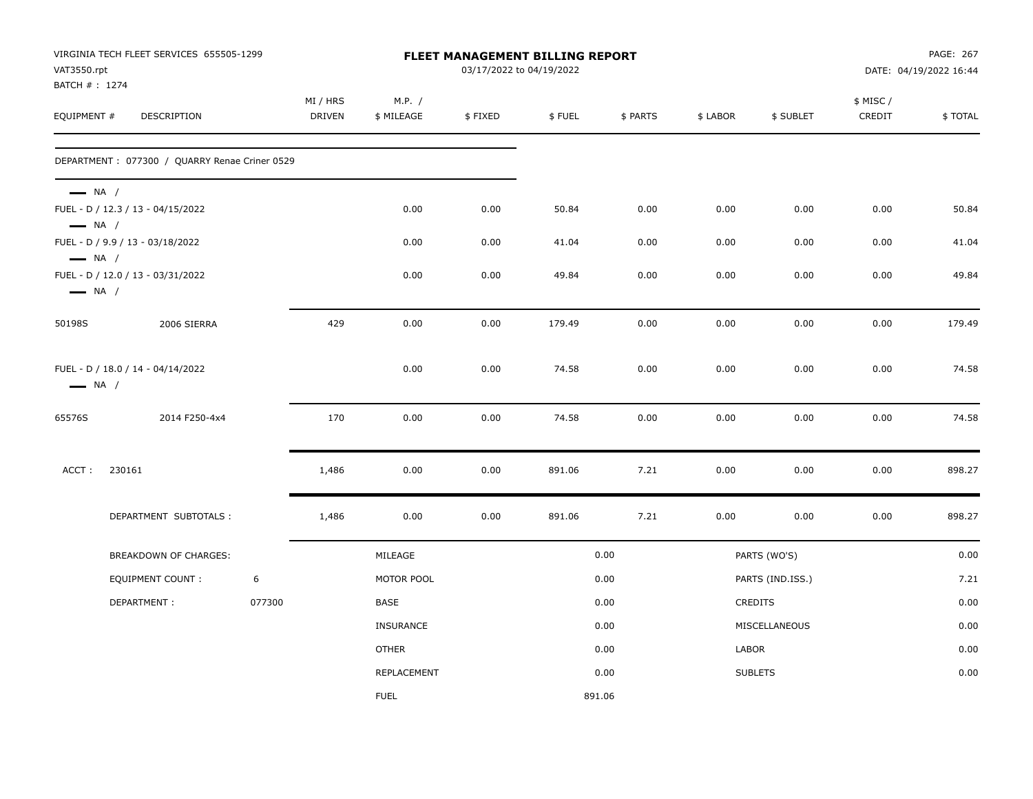| VAT3550.rpt<br>BATCH #: 1274                     | VIRGINIA TECH FLEET SERVICES 655505-1299      |        |                    |                      | 03/17/2022 to 04/19/2022 | <b>FLEET MANAGEMENT BILLING REPORT</b> |          |          |                  |                     | PAGE: 267<br>DATE: 04/19/2022 16:44 |
|--------------------------------------------------|-----------------------------------------------|--------|--------------------|----------------------|--------------------------|----------------------------------------|----------|----------|------------------|---------------------|-------------------------------------|
| EQUIPMENT #                                      | DESCRIPTION                                   |        | MI / HRS<br>DRIVEN | M.P. /<br>\$ MILEAGE | \$FIXED                  | \$FUEL                                 | \$ PARTS | \$ LABOR | \$ SUBLET        | \$ MISC /<br>CREDIT | \$TOTAL                             |
|                                                  | DEPARTMENT: 077300 / QUARRY Renae Criner 0529 |        |                    |                      |                          |                                        |          |          |                  |                     |                                     |
| $\longrightarrow$ NA /                           | FUEL - D / 12.3 / 13 - 04/15/2022             |        |                    | 0.00                 | 0.00                     | 50.84                                  | 0.00     | 0.00     | 0.00             | 0.00                | 50.84                               |
| $\longrightarrow$ NA /<br>$\longrightarrow$ NA / | FUEL - D / 9.9 / 13 - 03/18/2022              |        |                    | 0.00                 | 0.00                     | 41.04                                  | 0.00     | 0.00     | 0.00             | 0.00                | 41.04                               |
| $\longrightarrow$ NA /                           | FUEL - D / 12.0 / 13 - 03/31/2022             |        |                    | 0.00                 | 0.00                     | 49.84                                  | 0.00     | 0.00     | 0.00             | 0.00                | 49.84                               |
| 50198S                                           | 2006 SIERRA                                   |        | 429                | 0.00                 | 0.00                     | 179.49                                 | 0.00     | 0.00     | 0.00             | 0.00                | 179.49                              |
| $\longrightarrow$ NA /                           | FUEL - D / 18.0 / 14 - 04/14/2022             |        |                    | 0.00                 | 0.00                     | 74.58                                  | 0.00     | 0.00     | 0.00             | 0.00                | 74.58                               |
| 65576S                                           | 2014 F250-4x4                                 |        | 170                | 0.00                 | 0.00                     | 74.58                                  | 0.00     | 0.00     | 0.00             | 0.00                | 74.58                               |
| ACCT:                                            | 230161                                        |        | 1,486              | 0.00                 | 0.00                     | 891.06                                 | 7.21     | 0.00     | 0.00             | 0.00                | 898.27                              |
|                                                  | DEPARTMENT SUBTOTALS :                        |        | 1,486              | 0.00                 | 0.00                     | 891.06                                 | 7.21     | 0.00     | 0.00             | 0.00                | 898.27                              |
|                                                  | BREAKDOWN OF CHARGES:                         |        |                    | MILEAGE              |                          |                                        | 0.00     |          | PARTS (WO'S)     |                     | 0.00                                |
|                                                  | <b>EQUIPMENT COUNT:</b>                       | 6      |                    | MOTOR POOL           |                          |                                        | 0.00     |          | PARTS (IND.ISS.) |                     | 7.21                                |
|                                                  | DEPARTMENT:                                   | 077300 |                    | BASE                 |                          |                                        | 0.00     |          | CREDITS          |                     | 0.00                                |
|                                                  |                                               |        |                    | <b>INSURANCE</b>     |                          |                                        | 0.00     |          | MISCELLANEOUS    |                     | 0.00                                |
|                                                  |                                               |        |                    | <b>OTHER</b>         |                          |                                        | 0.00     | LABOR    |                  |                     | 0.00                                |
|                                                  |                                               |        |                    | REPLACEMENT          |                          |                                        | 0.00     |          | <b>SUBLETS</b>   |                     | 0.00                                |
|                                                  |                                               |        |                    | <b>FUEL</b>          |                          |                                        | 891.06   |          |                  |                     |                                     |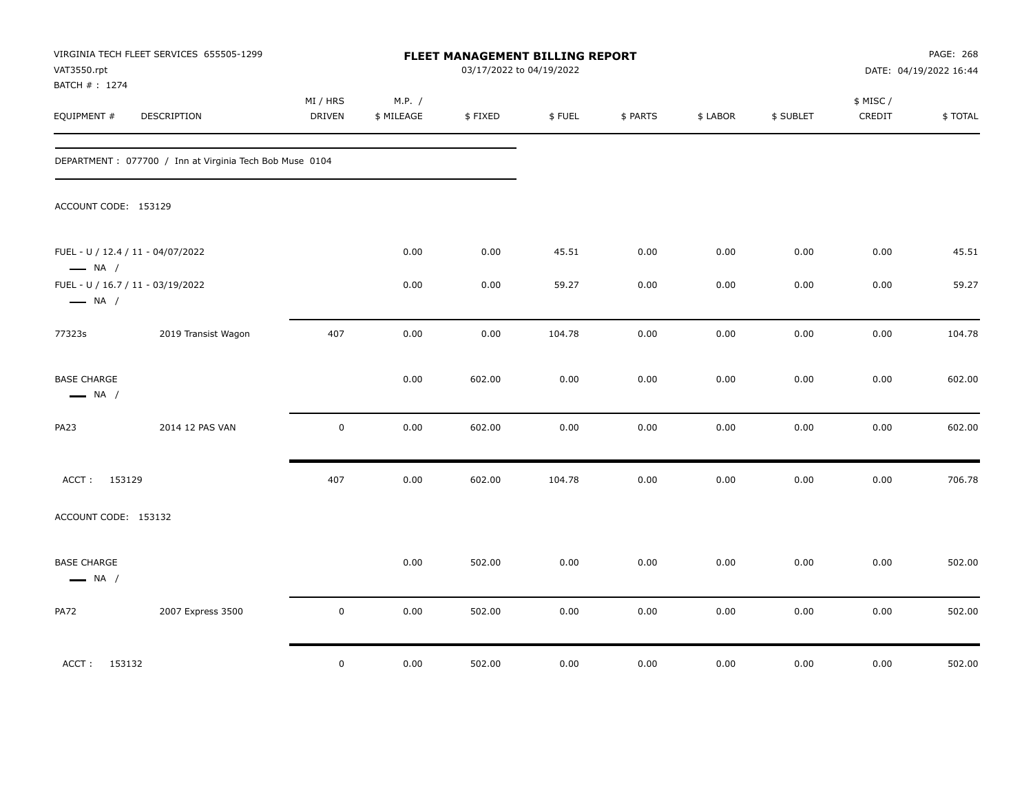| VAT3550.rpt<br>BATCH # : 1274                | VIRGINIA TECH FLEET SERVICES 655505-1299                 |                           |                      | <b>FLEET MANAGEMENT BILLING REPORT</b><br>03/17/2022 to 04/19/2022 |        |          |          |           |                     | PAGE: 268<br>DATE: 04/19/2022 16:44 |
|----------------------------------------------|----------------------------------------------------------|---------------------------|----------------------|--------------------------------------------------------------------|--------|----------|----------|-----------|---------------------|-------------------------------------|
| EQUIPMENT #                                  | DESCRIPTION                                              | MI / HRS<br><b>DRIVEN</b> | M.P. /<br>\$ MILEAGE | \$FIXED                                                            | \$FUEL | \$ PARTS | \$ LABOR | \$ SUBLET | \$ MISC /<br>CREDIT | \$TOTAL                             |
|                                              | DEPARTMENT : 077700 / Inn at Virginia Tech Bob Muse 0104 |                           |                      |                                                                    |        |          |          |           |                     |                                     |
| ACCOUNT CODE: 153129                         |                                                          |                           |                      |                                                                    |        |          |          |           |                     |                                     |
| $\longrightarrow$ NA /                       | FUEL - U / 12.4 / 11 - 04/07/2022                        |                           | 0.00                 | 0.00                                                               | 45.51  | 0.00     | 0.00     | 0.00      | 0.00                | 45.51                               |
| $\longrightarrow$ NA /                       | FUEL - U / 16.7 / 11 - 03/19/2022                        |                           | 0.00                 | 0.00                                                               | 59.27  | 0.00     | 0.00     | 0.00      | 0.00                | 59.27                               |
| 77323s                                       | 2019 Transist Wagon                                      | 407                       | 0.00                 | 0.00                                                               | 104.78 | 0.00     | 0.00     | 0.00      | 0.00                | 104.78                              |
| <b>BASE CHARGE</b><br>$\longrightarrow$ NA / |                                                          |                           | 0.00                 | 602.00                                                             | 0.00   | 0.00     | 0.00     | 0.00      | 0.00                | 602.00                              |
| PA <sub>23</sub>                             | 2014 12 PAS VAN                                          | $\mathbf 0$               | 0.00                 | 602.00                                                             | 0.00   | 0.00     | 0.00     | 0.00      | 0.00                | 602.00                              |
| ACCT: 153129                                 |                                                          | 407                       | $0.00\,$             | 602.00                                                             | 104.78 | $0.00\,$ | 0.00     | 0.00      | $0.00\,$            | 706.78                              |
| ACCOUNT CODE: 153132                         |                                                          |                           |                      |                                                                    |        |          |          |           |                     |                                     |
| <b>BASE CHARGE</b><br>$\longrightarrow$ NA / |                                                          |                           | 0.00                 | 502.00                                                             | 0.00   | 0.00     | 0.00     | 0.00      | 0.00                | 502.00                              |
| <b>PA72</b>                                  | 2007 Express 3500                                        | $\mathbf 0$               | 0.00                 | 502.00                                                             | 0.00   | 0.00     | 0.00     | 0.00      | 0.00                | 502.00                              |
| ACCT: 153132                                 |                                                          | $\mathsf 0$               | 0.00                 | 502.00                                                             | 0.00   | 0.00     | 0.00     | 0.00      | 0.00                | 502.00                              |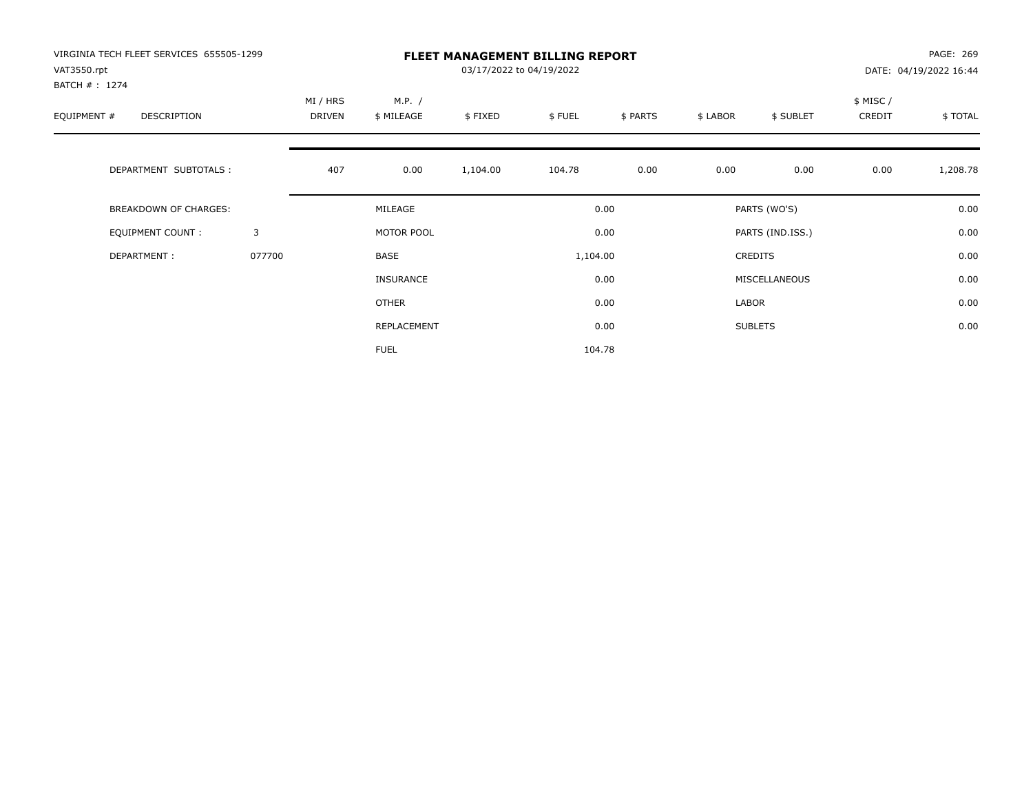| VIRGINIA TECH FLEET SERVICES 655505-1299<br>VAT3550.rpt<br>BATCH #: 1274 |        | <b>FLEET MANAGEMENT BILLING REPORT</b><br>03/17/2022 to 04/19/2022 |                      |          |          |          |          |                  |                    | PAGE: 269<br>DATE: 04/19/2022 16:44 |  |
|--------------------------------------------------------------------------|--------|--------------------------------------------------------------------|----------------------|----------|----------|----------|----------|------------------|--------------------|-------------------------------------|--|
| EQUIPMENT #<br>DESCRIPTION                                               |        | MI / HRS<br>DRIVEN                                                 | M.P. /<br>\$ MILEAGE | \$FIXED  | \$FUEL   | \$ PARTS | \$ LABOR | \$ SUBLET        | \$ MISC/<br>CREDIT | \$TOTAL                             |  |
| DEPARTMENT SUBTOTALS :                                                   |        | 407                                                                | 0.00                 | 1,104.00 | 104.78   | 0.00     | 0.00     | 0.00             | 0.00               | 1,208.78                            |  |
| <b>BREAKDOWN OF CHARGES:</b>                                             |        |                                                                    | MILEAGE              |          |          | 0.00     |          | PARTS (WO'S)     |                    | 0.00                                |  |
| EQUIPMENT COUNT:                                                         | 3      |                                                                    | MOTOR POOL           |          |          | 0.00     |          | PARTS (IND.ISS.) |                    | 0.00                                |  |
| DEPARTMENT:                                                              | 077700 |                                                                    | <b>BASE</b>          |          | 1,104.00 |          |          | <b>CREDITS</b>   |                    | 0.00                                |  |
|                                                                          |        |                                                                    | INSURANCE            |          |          | 0.00     |          | MISCELLANEOUS    |                    | 0.00                                |  |
|                                                                          |        |                                                                    | <b>OTHER</b>         |          |          | 0.00     | LABOR    |                  |                    | 0.00                                |  |
|                                                                          |        |                                                                    | <b>REPLACEMENT</b>   |          |          | 0.00     |          | <b>SUBLETS</b>   |                    | 0.00                                |  |
|                                                                          |        |                                                                    | <b>FUEL</b>          |          |          | 104.78   |          |                  |                    |                                     |  |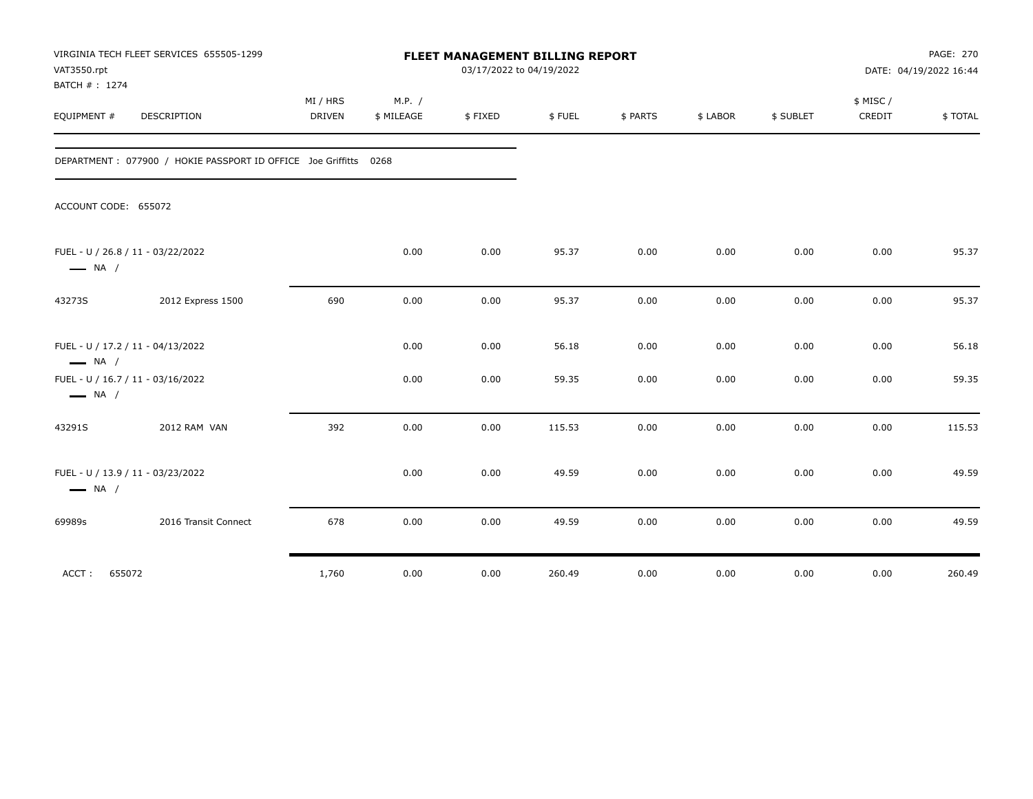| VAT3550.rpt<br>BATCH #: 1274 | VIRGINIA TECH FLEET SERVICES 655505-1299                         |                           |                      | FLEET MANAGEMENT BILLING REPORT<br>03/17/2022 to 04/19/2022 |        |          |          |           |                     | PAGE: 270<br>DATE: 04/19/2022 16:44 |
|------------------------------|------------------------------------------------------------------|---------------------------|----------------------|-------------------------------------------------------------|--------|----------|----------|-----------|---------------------|-------------------------------------|
| EQUIPMENT #                  | DESCRIPTION                                                      | MI / HRS<br><b>DRIVEN</b> | M.P. /<br>\$ MILEAGE | \$FIXED                                                     | \$FUEL | \$ PARTS | \$ LABOR | \$ SUBLET | \$ MISC /<br>CREDIT | \$TOTAL                             |
|                              | DEPARTMENT: 077900 / HOKIE PASSPORT ID OFFICE Joe Griffitts 0268 |                           |                      |                                                             |        |          |          |           |                     |                                     |
| ACCOUNT CODE: 655072         |                                                                  |                           |                      |                                                             |        |          |          |           |                     |                                     |
| $\longrightarrow$ NA /       | FUEL - U / 26.8 / 11 - 03/22/2022                                |                           | 0.00                 | 0.00                                                        | 95.37  | 0.00     | 0.00     | 0.00      | 0.00                | 95.37                               |
| 43273S                       | 2012 Express 1500                                                | 690                       | 0.00                 | 0.00                                                        | 95.37  | 0.00     | 0.00     | 0.00      | 0.00                | 95.37                               |
| $\longrightarrow$ NA /       | FUEL - U / 17.2 / 11 - 04/13/2022                                |                           | 0.00                 | 0.00                                                        | 56.18  | 0.00     | 0.00     | 0.00      | 0.00                | 56.18                               |
| $\longrightarrow$ NA /       | FUEL - U / 16.7 / 11 - 03/16/2022                                |                           | 0.00                 | 0.00                                                        | 59.35  | 0.00     | 0.00     | 0.00      | 0.00                | 59.35                               |
| 43291S                       | 2012 RAM VAN                                                     | 392                       | 0.00                 | 0.00                                                        | 115.53 | 0.00     | 0.00     | 0.00      | 0.00                | 115.53                              |
| $\longrightarrow$ NA /       | FUEL - U / 13.9 / 11 - 03/23/2022                                |                           | 0.00                 | 0.00                                                        | 49.59  | 0.00     | 0.00     | 0.00      | 0.00                | 49.59                               |
| 69989s                       | 2016 Transit Connect                                             | 678                       | 0.00                 | 0.00                                                        | 49.59  | 0.00     | 0.00     | 0.00      | 0.00                | 49.59                               |
| 655072<br>ACCT:              |                                                                  | 1,760                     | 0.00                 | 0.00                                                        | 260.49 | 0.00     | 0.00     | 0.00      | 0.00                | 260.49                              |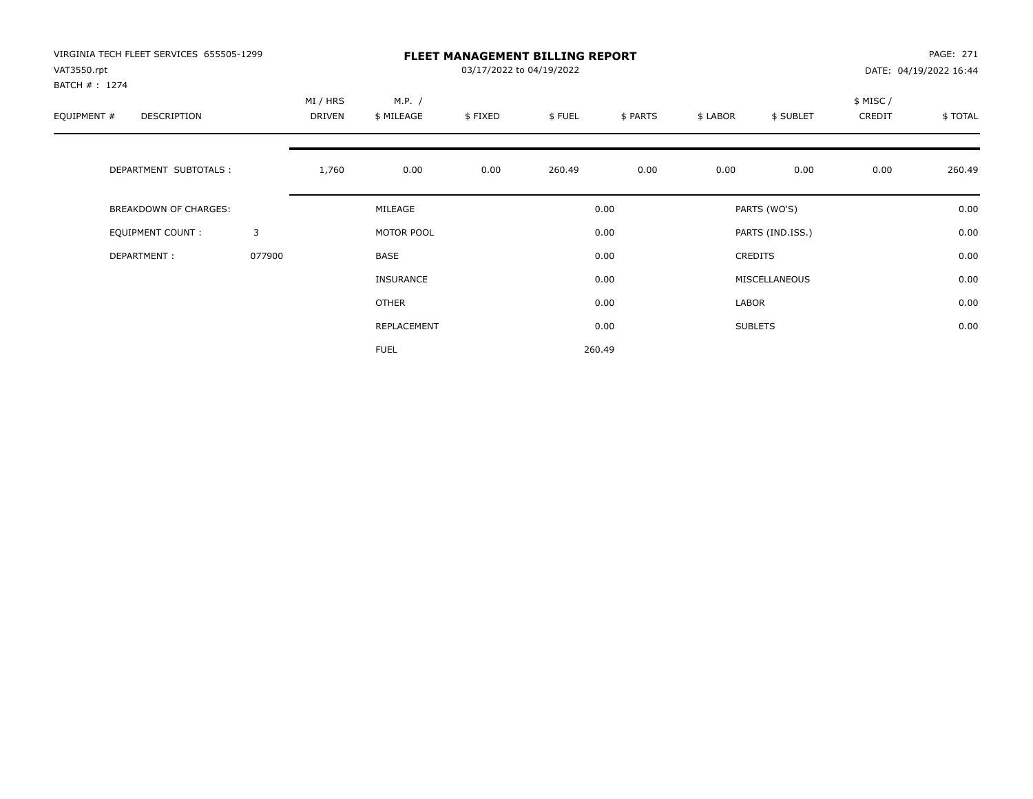| VIRGINIA TECH FLEET SERVICES 655505-1299<br>VAT3550.rpt<br>BATCH #: 1274 |        | <b>FLEET MANAGEMENT BILLING REPORT</b><br>03/17/2022 to 04/19/2022 |                      |         |        |          |          |                  |                    | PAGE: 271<br>DATE: 04/19/2022 16:44 |  |
|--------------------------------------------------------------------------|--------|--------------------------------------------------------------------|----------------------|---------|--------|----------|----------|------------------|--------------------|-------------------------------------|--|
| EQUIPMENT #<br>DESCRIPTION                                               |        | MI / HRS<br>DRIVEN                                                 | M.P. /<br>\$ MILEAGE | \$FIXED | \$FUEL | \$ PARTS | \$ LABOR | \$ SUBLET        | \$ MISC/<br>CREDIT | \$TOTAL                             |  |
| DEPARTMENT SUBTOTALS :                                                   |        | 1,760                                                              | 0.00                 | 0.00    | 260.49 | 0.00     | 0.00     | 0.00             | 0.00               | 260.49                              |  |
| BREAKDOWN OF CHARGES:                                                    |        |                                                                    | MILEAGE              |         |        | 0.00     |          | PARTS (WO'S)     |                    | 0.00                                |  |
| <b>EQUIPMENT COUNT:</b>                                                  | 3      |                                                                    | MOTOR POOL           |         |        | 0.00     |          | PARTS (IND.ISS.) |                    | 0.00                                |  |
| DEPARTMENT:                                                              | 077900 |                                                                    | BASE                 |         |        | 0.00     |          | <b>CREDITS</b>   |                    | 0.00                                |  |
|                                                                          |        |                                                                    | <b>INSURANCE</b>     |         |        | 0.00     |          | MISCELLANEOUS    |                    | 0.00                                |  |
|                                                                          |        |                                                                    | <b>OTHER</b>         |         |        | 0.00     | LABOR    |                  |                    | 0.00                                |  |
|                                                                          |        |                                                                    | REPLACEMENT          |         |        | 0.00     |          | <b>SUBLETS</b>   |                    | 0.00                                |  |
|                                                                          |        |                                                                    | <b>FUEL</b>          |         |        | 260.49   |          |                  |                    |                                     |  |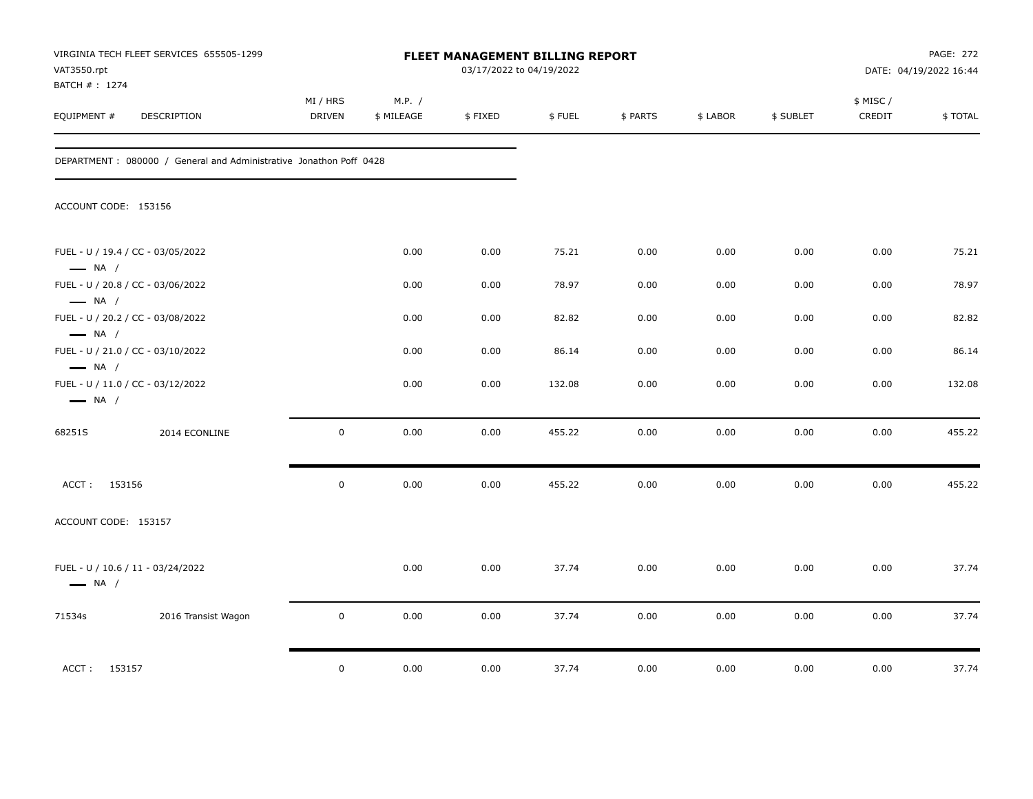| VAT3550.rpt<br>BATCH # : 1274                               | VIRGINIA TECH FLEET SERVICES 655505-1299                            |                           |                      | FLEET MANAGEMENT BILLING REPORT<br>03/17/2022 to 04/19/2022 |        |          |          |           |                     | PAGE: 272<br>DATE: 04/19/2022 16:44 |
|-------------------------------------------------------------|---------------------------------------------------------------------|---------------------------|----------------------|-------------------------------------------------------------|--------|----------|----------|-----------|---------------------|-------------------------------------|
| EQUIPMENT #                                                 | <b>DESCRIPTION</b>                                                  | MI / HRS<br><b>DRIVEN</b> | M.P. /<br>\$ MILEAGE | \$FIXED                                                     | \$FUEL | \$ PARTS | \$ LABOR | \$ SUBLET | \$ MISC /<br>CREDIT | \$TOTAL                             |
|                                                             | DEPARTMENT : 080000 / General and Administrative Jonathon Poff 0428 |                           |                      |                                                             |        |          |          |           |                     |                                     |
| ACCOUNT CODE: 153156                                        |                                                                     |                           |                      |                                                             |        |          |          |           |                     |                                     |
| FUEL - U / 19.4 / CC - 03/05/2022<br>$\longrightarrow$ NA / |                                                                     |                           | 0.00                 | 0.00                                                        | 75.21  | 0.00     | 0.00     | 0.00      | 0.00                | 75.21                               |
| FUEL - U / 20.8 / CC - 03/06/2022<br>$\longrightarrow$ NA / |                                                                     |                           | 0.00                 | 0.00                                                        | 78.97  | 0.00     | 0.00     | 0.00      | 0.00                | 78.97                               |
| FUEL - U / 20.2 / CC - 03/08/2022<br>$\longrightarrow$ NA / |                                                                     |                           | 0.00                 | 0.00                                                        | 82.82  | 0.00     | 0.00     | 0.00      | 0.00                | 82.82                               |
| FUEL - U / 21.0 / CC - 03/10/2022<br>$\longrightarrow$ NA / |                                                                     |                           | 0.00                 | 0.00                                                        | 86.14  | 0.00     | 0.00     | 0.00      | 0.00                | 86.14                               |
| FUEL - U / 11.0 / CC - 03/12/2022<br>$\longrightarrow$ NA / |                                                                     |                           | 0.00                 | 0.00                                                        | 132.08 | 0.00     | 0.00     | 0.00      | 0.00                | 132.08                              |
| 68251S                                                      | 2014 ECONLINE                                                       | $\mathbf 0$               | 0.00                 | 0.00                                                        | 455.22 | 0.00     | 0.00     | 0.00      | 0.00                | 455.22                              |
| ACCT: 153156                                                |                                                                     | $\mathbf 0$               | 0.00                 | 0.00                                                        | 455.22 | 0.00     | 0.00     | 0.00      | 0.00                | 455.22                              |
| ACCOUNT CODE: 153157                                        |                                                                     |                           |                      |                                                             |        |          |          |           |                     |                                     |
| FUEL - U / 10.6 / 11 - 03/24/2022<br>$\longrightarrow$ NA / |                                                                     |                           | 0.00                 | 0.00                                                        | 37.74  | 0.00     | 0.00     | 0.00      | 0.00                | 37.74                               |
| 71534s                                                      | 2016 Transist Wagon                                                 | $\mathbf 0$               | 0.00                 | 0.00                                                        | 37.74  | 0.00     | 0.00     | 0.00      | 0.00                | 37.74                               |
| ACCT: 153157                                                |                                                                     | $\mathbf 0$               | 0.00                 | 0.00                                                        | 37.74  | 0.00     | 0.00     | 0.00      | 0.00                | 37.74                               |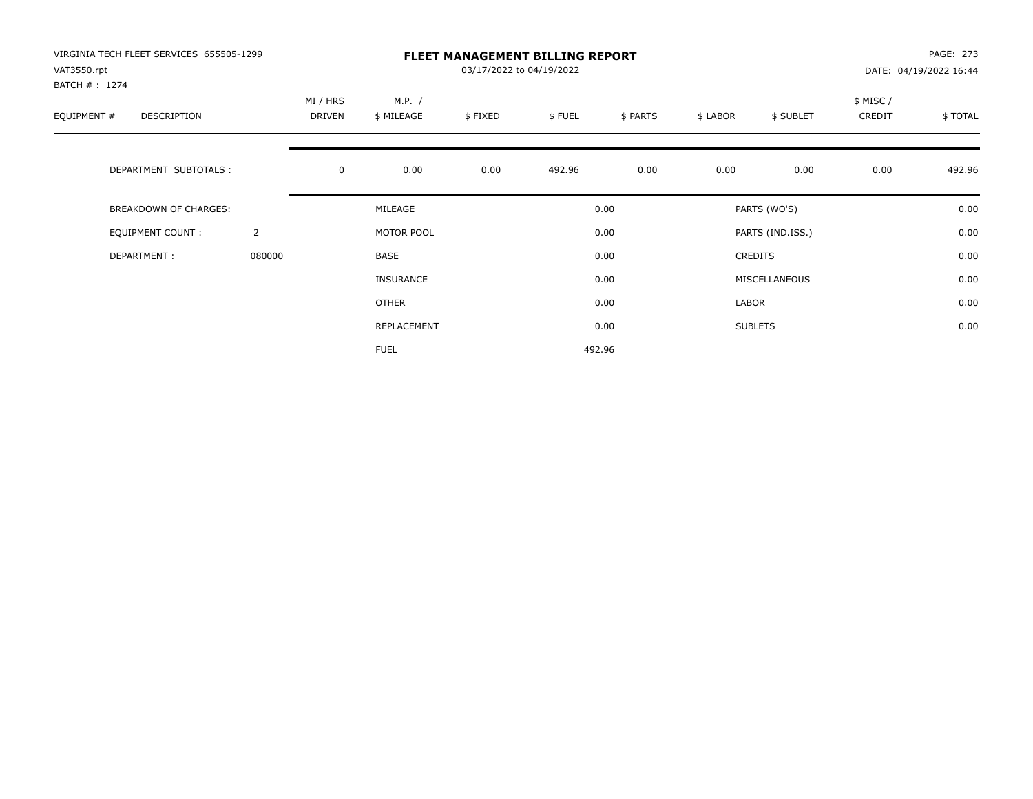| VIRGINIA TECH FLEET SERVICES 655505-1299<br>VAT3550.rpt<br>BATCH #: 1274 |                |                    | <b>FLEET MANAGEMENT BILLING REPORT</b><br>03/17/2022 to 04/19/2022<br>DATE: 04/19/2022 16:44 |         |        |          |          |                  |                    |         |
|--------------------------------------------------------------------------|----------------|--------------------|----------------------------------------------------------------------------------------------|---------|--------|----------|----------|------------------|--------------------|---------|
| EQUIPMENT #<br>DESCRIPTION                                               |                | MI / HRS<br>DRIVEN | M.P. /<br>\$ MILEAGE                                                                         | \$FIXED | \$FUEL | \$ PARTS | \$ LABOR | \$ SUBLET        | \$ MISC/<br>CREDIT | \$TOTAL |
| DEPARTMENT SUBTOTALS :                                                   |                | $\mathbf 0$        | 0.00                                                                                         | 0.00    | 492.96 | 0.00     | 0.00     | 0.00             | 0.00               | 492.96  |
| BREAKDOWN OF CHARGES:                                                    |                |                    | MILEAGE                                                                                      |         |        | 0.00     |          | PARTS (WO'S)     |                    | 0.00    |
| <b>EQUIPMENT COUNT:</b>                                                  | $\overline{2}$ |                    | MOTOR POOL                                                                                   |         |        | 0.00     |          | PARTS (IND.ISS.) |                    | 0.00    |
| DEPARTMENT:                                                              | 080000         |                    | BASE                                                                                         |         |        | 0.00     |          | <b>CREDITS</b>   |                    | 0.00    |
|                                                                          |                |                    | <b>INSURANCE</b>                                                                             |         |        | 0.00     |          | MISCELLANEOUS    |                    | 0.00    |
|                                                                          |                |                    | <b>OTHER</b>                                                                                 |         |        | 0.00     | LABOR    |                  |                    | 0.00    |
|                                                                          |                |                    | REPLACEMENT                                                                                  |         |        | 0.00     |          | <b>SUBLETS</b>   |                    | 0.00    |
|                                                                          |                |                    | <b>FUEL</b>                                                                                  |         |        | 492.96   |          |                  |                    |         |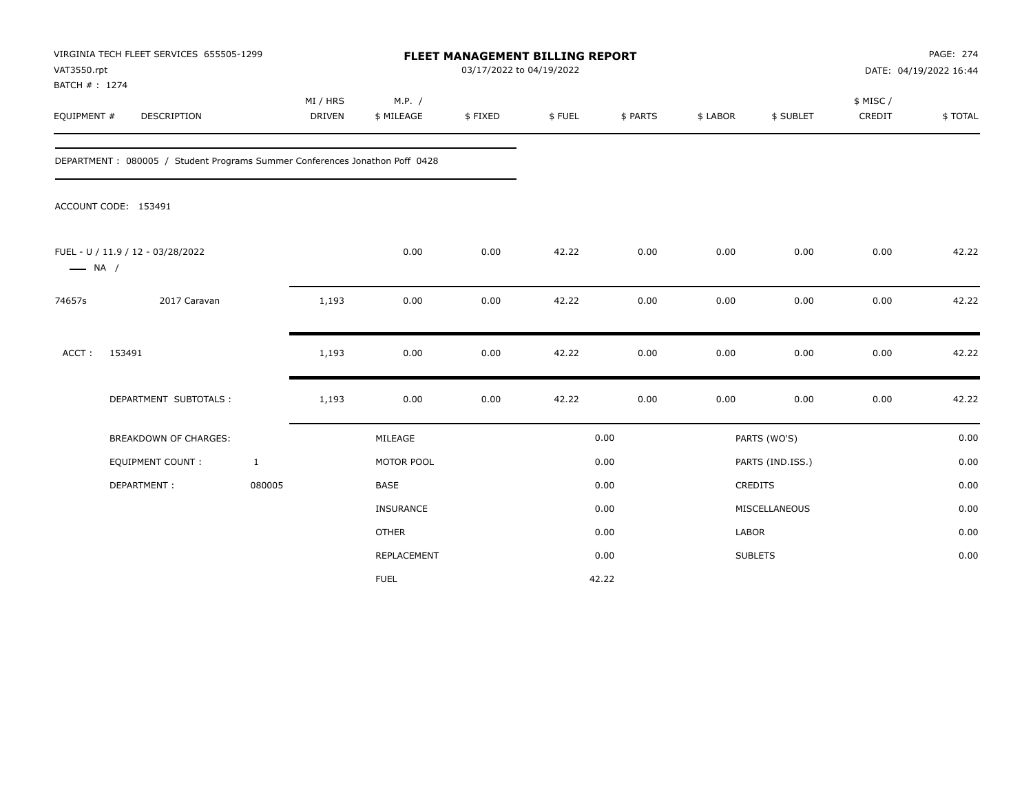| VAT3550.rpt                  | VIRGINIA TECH FLEET SERVICES 655505-1299                                    |                           |                      | FLEET MANAGEMENT BILLING REPORT<br>03/17/2022 to 04/19/2022 |        |          |              |                      |                     | PAGE: 274<br>DATE: 04/19/2022 16:44 |
|------------------------------|-----------------------------------------------------------------------------|---------------------------|----------------------|-------------------------------------------------------------|--------|----------|--------------|----------------------|---------------------|-------------------------------------|
| BATCH #: 1274<br>EQUIPMENT # | DESCRIPTION                                                                 | MI / HRS<br><b>DRIVEN</b> | M.P. /<br>\$ MILEAGE | \$FIXED                                                     | \$FUEL | \$ PARTS | \$ LABOR     | \$ SUBLET            | \$ MISC /<br>CREDIT | \$TOTAL                             |
|                              | DEPARTMENT: 080005 / Student Programs Summer Conferences Jonathon Poff 0428 |                           |                      |                                                             |        |          |              |                      |                     |                                     |
|                              | ACCOUNT CODE: 153491                                                        |                           |                      |                                                             |        |          |              |                      |                     |                                     |
| $\longrightarrow$ NA /       | FUEL - U / 11.9 / 12 - 03/28/2022                                           |                           | 0.00                 | 0.00                                                        | 42.22  | 0.00     | 0.00         | 0.00                 | 0.00                | 42.22                               |
| 74657s                       | 2017 Caravan                                                                | 1,193                     | 0.00                 | 0.00                                                        | 42.22  | 0.00     | 0.00         | 0.00                 | 0.00                | 42.22                               |
| ACCT:                        | 153491                                                                      | 1,193                     | 0.00                 | 0.00                                                        | 42.22  | 0.00     | 0.00         | 0.00                 | 0.00                | 42.22                               |
|                              | DEPARTMENT SUBTOTALS :                                                      | 1,193                     | 0.00                 | 0.00                                                        | 42.22  | 0.00     | 0.00         | 0.00                 | 0.00                | 42.22                               |
|                              | <b>BREAKDOWN OF CHARGES:</b>                                                |                           | MILEAGE              |                                                             |        | 0.00     |              | PARTS (WO'S)         |                     | 0.00                                |
|                              | EQUIPMENT COUNT:                                                            | $\mathbf{1}$              | MOTOR POOL           |                                                             |        | 0.00     |              | PARTS (IND.ISS.)     |                     | 0.00                                |
|                              | DEPARTMENT:                                                                 | 080005                    | <b>BASE</b>          |                                                             |        | 0.00     |              | CREDITS              |                     | 0.00                                |
|                              |                                                                             |                           | <b>INSURANCE</b>     |                                                             |        | 0.00     |              | <b>MISCELLANEOUS</b> |                     | 0.00                                |
|                              |                                                                             |                           | <b>OTHER</b>         |                                                             |        | 0.00     | <b>LABOR</b> |                      |                     | 0.00                                |
|                              |                                                                             |                           | REPLACEMENT          |                                                             |        | 0.00     |              | <b>SUBLETS</b>       |                     | 0.00                                |
|                              |                                                                             |                           | <b>FUEL</b>          |                                                             |        | 42.22    |              |                      |                     |                                     |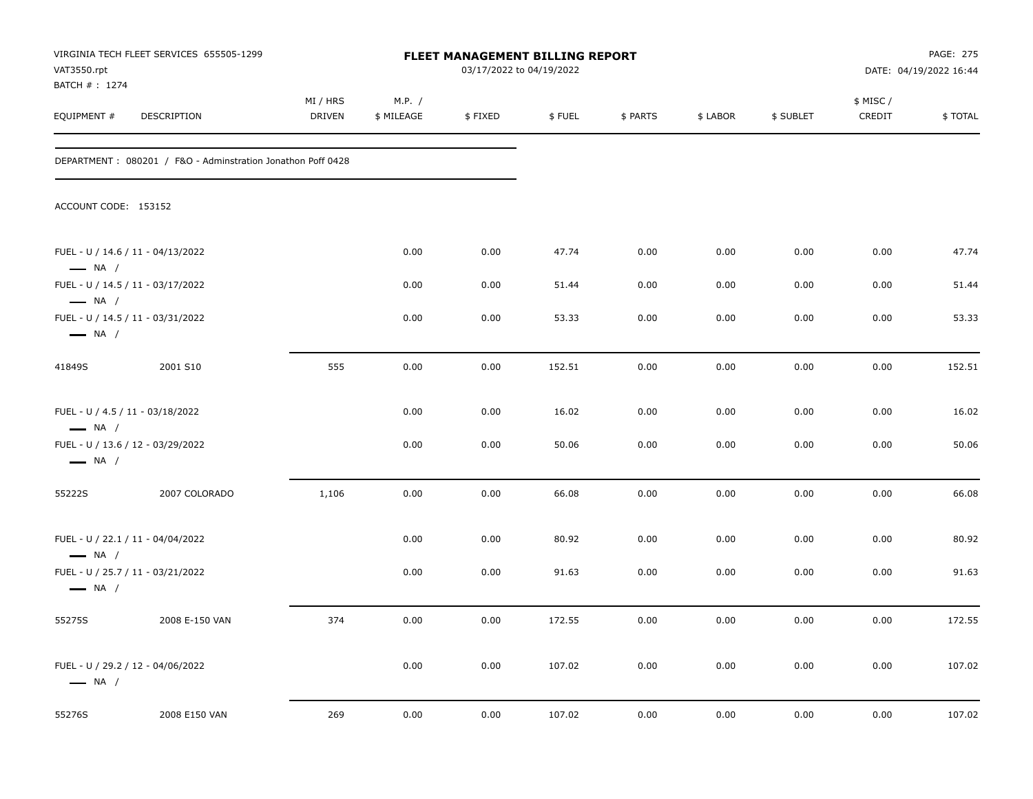| VAT3550.rpt                                                | VIRGINIA TECH FLEET SERVICES 655505-1299                    |                           |                      | <b>FLEET MANAGEMENT BILLING REPORT</b><br>03/17/2022 to 04/19/2022 |        |          |          | PAGE: 275<br>DATE: 04/19/2022 16:44 |                     |         |
|------------------------------------------------------------|-------------------------------------------------------------|---------------------------|----------------------|--------------------------------------------------------------------|--------|----------|----------|-------------------------------------|---------------------|---------|
| BATCH # : 1274<br>EQUIPMENT #                              | DESCRIPTION                                                 | MI / HRS<br><b>DRIVEN</b> | M.P. /<br>\$ MILEAGE | \$FIXED                                                            | \$FUEL | \$ PARTS | \$ LABOR | \$ SUBLET                           | \$ MISC /<br>CREDIT | \$TOTAL |
|                                                            | DEPARTMENT: 080201 / F&O - Adminstration Jonathon Poff 0428 |                           |                      |                                                                    |        |          |          |                                     |                     |         |
| ACCOUNT CODE: 153152                                       |                                                             |                           |                      |                                                                    |        |          |          |                                     |                     |         |
| $\longrightarrow$ NA /                                     | FUEL - U / 14.6 / 11 - 04/13/2022                           |                           | 0.00                 | 0.00                                                               | 47.74  | 0.00     | 0.00     | 0.00                                | 0.00                | 47.74   |
| $\longrightarrow$ NA /                                     | FUEL - U / 14.5 / 11 - 03/17/2022                           |                           | 0.00                 | 0.00                                                               | 51.44  | 0.00     | 0.00     | 0.00                                | 0.00                | 51.44   |
| $\longrightarrow$ NA /                                     | FUEL - U / 14.5 / 11 - 03/31/2022                           |                           | 0.00                 | 0.00                                                               | 53.33  | 0.00     | 0.00     | 0.00                                | 0.00                | 53.33   |
| 41849S                                                     | 2001 S10                                                    | 555                       | 0.00                 | 0.00                                                               | 152.51 | 0.00     | 0.00     | 0.00                                | 0.00                | 152.51  |
| FUEL - U / 4.5 / 11 - 03/18/2022<br>$\longrightarrow$ NA / |                                                             |                           | 0.00                 | 0.00                                                               | 16.02  | 0.00     | 0.00     | 0.00                                | 0.00                | 16.02   |
| $\longrightarrow$ NA /                                     | FUEL - U / 13.6 / 12 - 03/29/2022                           |                           | 0.00                 | 0.00                                                               | 50.06  | 0.00     | 0.00     | 0.00                                | 0.00                | 50.06   |
| 55222S                                                     | 2007 COLORADO                                               | 1,106                     | 0.00                 | 0.00                                                               | 66.08  | 0.00     | 0.00     | 0.00                                | 0.00                | 66.08   |
| $\longrightarrow$ NA /                                     | FUEL - U / 22.1 / 11 - 04/04/2022                           |                           | 0.00                 | 0.00                                                               | 80.92  | 0.00     | 0.00     | 0.00                                | 0.00                | 80.92   |
| $\longrightarrow$ NA /                                     | FUEL - U / 25.7 / 11 - 03/21/2022                           |                           | 0.00                 | 0.00                                                               | 91.63  | 0.00     | 0.00     | 0.00                                | 0.00                | 91.63   |
| 55275S                                                     | 2008 E-150 VAN                                              | 374                       | 0.00                 | 0.00                                                               | 172.55 | 0.00     | 0.00     | 0.00                                | 0.00                | 172.55  |
| $\longrightarrow$ NA /                                     | FUEL - U / 29.2 / 12 - 04/06/2022                           |                           | 0.00                 | 0.00                                                               | 107.02 | 0.00     | 0.00     | 0.00                                | 0.00                | 107.02  |
| 55276S                                                     | 2008 E150 VAN                                               | 269                       | 0.00                 | 0.00                                                               | 107.02 | 0.00     | 0.00     | 0.00                                | 0.00                | 107.02  |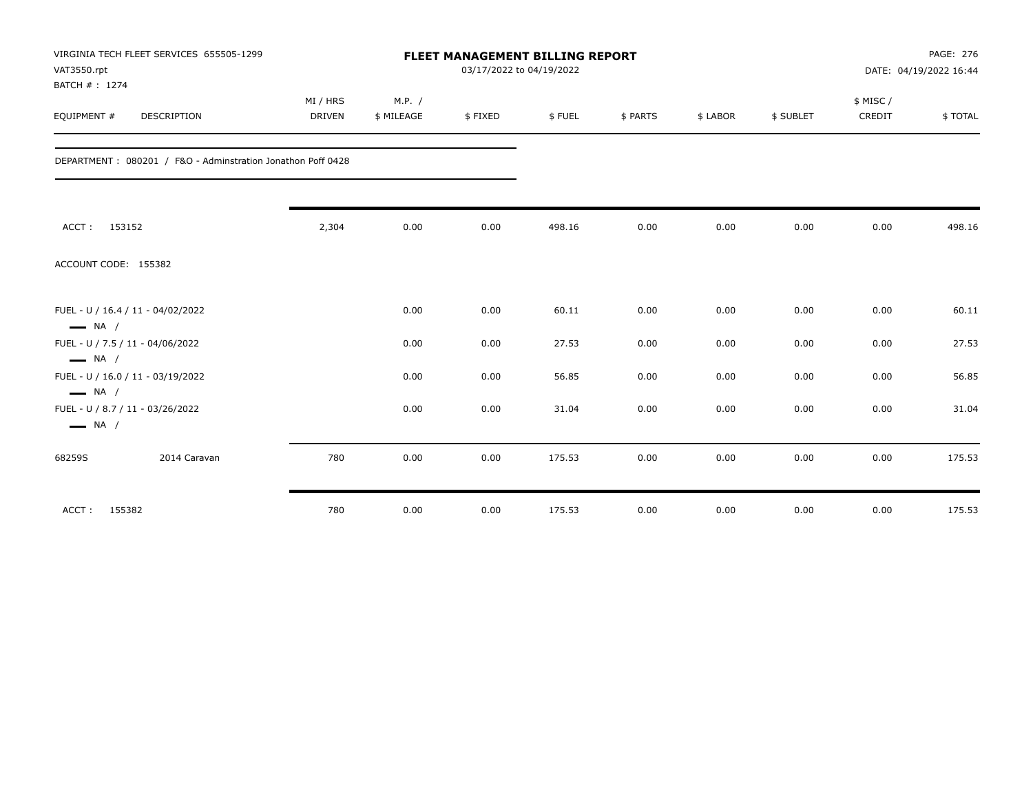| VAT3550.rpt<br>BATCH #: 1274 | VIRGINIA TECH FLEET SERVICES 655505-1299                    |                           | <b>FLEET MANAGEMENT BILLING REPORT</b><br>03/17/2022 to 04/19/2022 |         |        |          |          |           |                     |         |
|------------------------------|-------------------------------------------------------------|---------------------------|--------------------------------------------------------------------|---------|--------|----------|----------|-----------|---------------------|---------|
| EQUIPMENT #                  | <b>DESCRIPTION</b>                                          | MI / HRS<br><b>DRIVEN</b> | M.P. /<br>\$ MILEAGE                                               | \$FIXED | \$FUEL | \$ PARTS | \$ LABOR | \$ SUBLET | \$ MISC /<br>CREDIT | \$TOTAL |
|                              | DEPARTMENT: 080201 / F&O - Adminstration Jonathon Poff 0428 |                           |                                                                    |         |        |          |          |           |                     |         |
| ACCT: 153152                 |                                                             | 2,304                     | 0.00                                                               | 0.00    | 498.16 | 0.00     | 0.00     | 0.00      | 0.00                | 498.16  |
| ACCOUNT CODE: 155382         |                                                             |                           |                                                                    |         |        |          |          |           |                     |         |
| $\longrightarrow$ NA /       | FUEL - U / 16.4 / 11 - 04/02/2022                           |                           | 0.00                                                               | 0.00    | 60.11  | 0.00     | 0.00     | 0.00      | 0.00                | 60.11   |
| $\longrightarrow$ NA /       | FUEL - U / 7.5 / 11 - 04/06/2022                            |                           | 0.00                                                               | 0.00    | 27.53  | 0.00     | 0.00     | 0.00      | 0.00                | 27.53   |
| $\longrightarrow$ NA /       | FUEL - U / 16.0 / 11 - 03/19/2022                           |                           | 0.00                                                               | 0.00    | 56.85  | 0.00     | 0.00     | 0.00      | 0.00                | 56.85   |
| $\longrightarrow$ NA /       | FUEL - U / 8.7 / 11 - 03/26/2022                            |                           | 0.00                                                               | 0.00    | 31.04  | 0.00     | 0.00     | 0.00      | 0.00                | 31.04   |
| 68259S                       | 2014 Caravan                                                | 780                       | 0.00                                                               | 0.00    | 175.53 | 0.00     | 0.00     | 0.00      | 0.00                | 175.53  |
| ACCT: 155382                 |                                                             | 780                       | 0.00                                                               | 0.00    | 175.53 | 0.00     | 0.00     | 0.00      | 0.00                | 175.53  |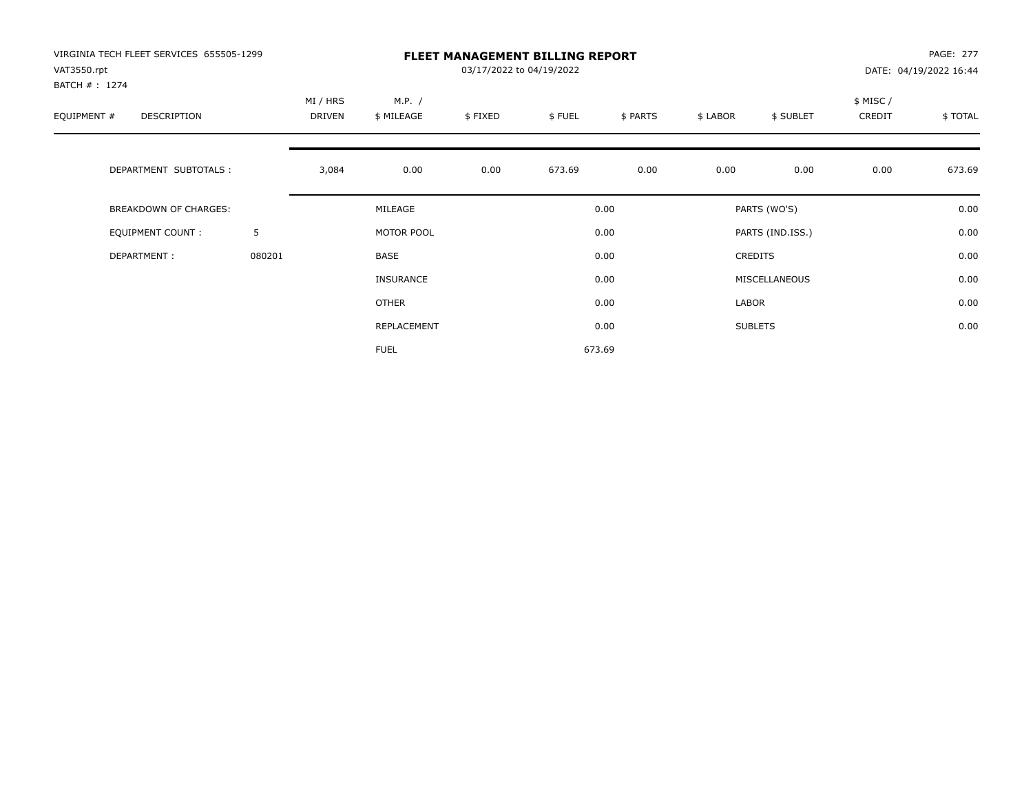| VIRGINIA TECH FLEET SERVICES 655505-1299<br>VAT3550.rpt<br>BATCH #: 1274 |        |                           |                      | 03/17/2022 to 04/19/2022 | <b>FLEET MANAGEMENT BILLING REPORT</b> |          |          |                  |                     | <b>PAGE: 277</b><br>DATE: 04/19/2022 16:44 |
|--------------------------------------------------------------------------|--------|---------------------------|----------------------|--------------------------|----------------------------------------|----------|----------|------------------|---------------------|--------------------------------------------|
| EQUIPMENT #<br><b>DESCRIPTION</b>                                        |        | MI / HRS<br><b>DRIVEN</b> | M.P. /<br>\$ MILEAGE | \$FIXED                  | \$FUEL                                 | \$ PARTS | \$ LABOR | \$ SUBLET        | \$ MISC /<br>CREDIT | \$TOTAL                                    |
| DEPARTMENT SUBTOTALS :                                                   |        | 3,084                     | 0.00                 | 0.00                     | 673.69                                 | 0.00     | 0.00     | 0.00             | 0.00                | 673.69                                     |
| <b>BREAKDOWN OF CHARGES:</b>                                             |        |                           | MILEAGE              |                          |                                        | 0.00     |          | PARTS (WO'S)     |                     | 0.00                                       |
| EQUIPMENT COUNT:                                                         | 5      |                           | MOTOR POOL           |                          |                                        | 0.00     |          | PARTS (IND.ISS.) |                     | 0.00                                       |
| DEPARTMENT:                                                              | 080201 |                           | <b>BASE</b>          |                          |                                        | 0.00     |          | <b>CREDITS</b>   |                     | 0.00                                       |
|                                                                          |        |                           | INSURANCE            |                          |                                        | 0.00     |          | MISCELLANEOUS    |                     | 0.00                                       |
|                                                                          |        |                           | <b>OTHER</b>         |                          |                                        | 0.00     | LABOR    |                  |                     | 0.00                                       |
|                                                                          |        |                           | REPLACEMENT          |                          |                                        | 0.00     |          | <b>SUBLETS</b>   |                     | 0.00                                       |
|                                                                          |        |                           | <b>FUEL</b>          |                          |                                        | 673.69   |          |                  |                     |                                            |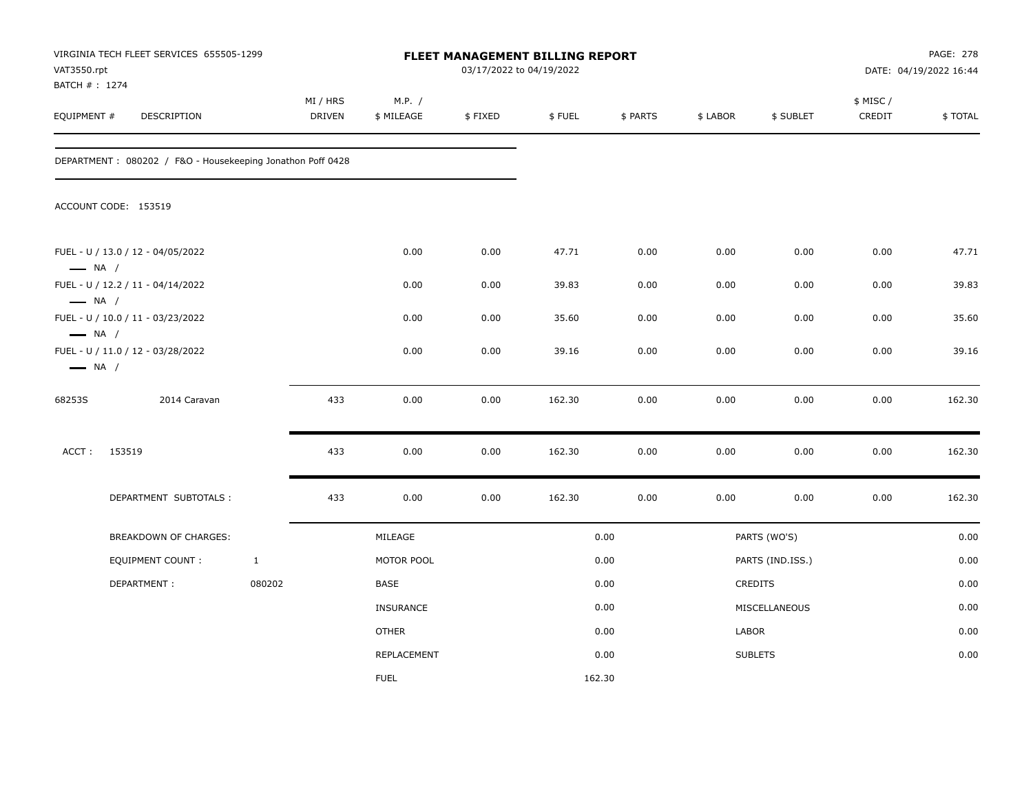| VAT3550.rpt<br>BATCH # : 1274                    | VIRGINIA TECH FLEET SERVICES 655505-1299                   |              |                           |                      | FLEET MANAGEMENT BILLING REPORT<br>03/17/2022 to 04/19/2022 |        |          |          |                  |                    | PAGE: 278<br>DATE: 04/19/2022 16:44 |
|--------------------------------------------------|------------------------------------------------------------|--------------|---------------------------|----------------------|-------------------------------------------------------------|--------|----------|----------|------------------|--------------------|-------------------------------------|
| EQUIPMENT #                                      | DESCRIPTION                                                |              | MI / HRS<br><b>DRIVEN</b> | M.P. /<br>\$ MILEAGE | \$FIXED                                                     | \$FUEL | \$ PARTS | \$ LABOR | \$ SUBLET        | \$ MISC/<br>CREDIT | \$TOTAL                             |
|                                                  | DEPARTMENT: 080202 / F&O - Housekeeping Jonathon Poff 0428 |              |                           |                      |                                                             |        |          |          |                  |                    |                                     |
|                                                  | ACCOUNT CODE: 153519                                       |              |                           |                      |                                                             |        |          |          |                  |                    |                                     |
| $\longrightarrow$ NA /                           | FUEL - U / 13.0 / 12 - 04/05/2022                          |              |                           | 0.00                 | 0.00                                                        | 47.71  | 0.00     | 0.00     | 0.00             | 0.00               | 47.71                               |
|                                                  | FUEL - U / 12.2 / 11 - 04/14/2022                          |              |                           | 0.00                 | 0.00                                                        | 39.83  | 0.00     | 0.00     | 0.00             | 0.00               | 39.83                               |
| $\longrightarrow$ NA /<br>$\longrightarrow$ NA / | FUEL - U / 10.0 / 11 - 03/23/2022                          |              |                           | 0.00                 | 0.00                                                        | 35.60  | 0.00     | 0.00     | 0.00             | 0.00               | 35.60                               |
| $\longrightarrow$ NA /                           | FUEL - U / 11.0 / 12 - 03/28/2022                          |              |                           | 0.00                 | 0.00                                                        | 39.16  | 0.00     | 0.00     | 0.00             | 0.00               | 39.16                               |
| 68253S                                           | 2014 Caravan                                               |              | 433                       | 0.00                 | 0.00                                                        | 162.30 | 0.00     | 0.00     | 0.00             | 0.00               | 162.30                              |
| ACCT:                                            | 153519                                                     |              | 433                       | 0.00                 | 0.00                                                        | 162.30 | 0.00     | 0.00     | 0.00             | 0.00               | 162.30                              |
|                                                  | DEPARTMENT SUBTOTALS :                                     |              | 433                       | 0.00                 | 0.00                                                        | 162.30 | 0.00     | 0.00     | 0.00             | 0.00               | 162.30                              |
|                                                  | <b>BREAKDOWN OF CHARGES:</b>                               |              |                           | MILEAGE              |                                                             |        | 0.00     |          | PARTS (WO'S)     |                    | 0.00                                |
|                                                  | <b>EQUIPMENT COUNT:</b>                                    | $\mathbf{1}$ |                           | MOTOR POOL           |                                                             |        | 0.00     |          | PARTS (IND.ISS.) |                    | 0.00                                |
|                                                  | DEPARTMENT:                                                | 080202       |                           | BASE                 |                                                             |        | 0.00     |          | CREDITS          |                    | 0.00                                |
|                                                  |                                                            |              |                           | <b>INSURANCE</b>     |                                                             |        | 0.00     |          | MISCELLANEOUS    |                    | 0.00                                |
|                                                  |                                                            |              |                           | OTHER                |                                                             |        | 0.00     | LABOR    |                  |                    | 0.00                                |
|                                                  |                                                            |              |                           | REPLACEMENT          |                                                             |        | 0.00     |          | <b>SUBLETS</b>   |                    | 0.00                                |
|                                                  |                                                            |              |                           | <b>FUEL</b>          |                                                             |        | 162.30   |          |                  |                    |                                     |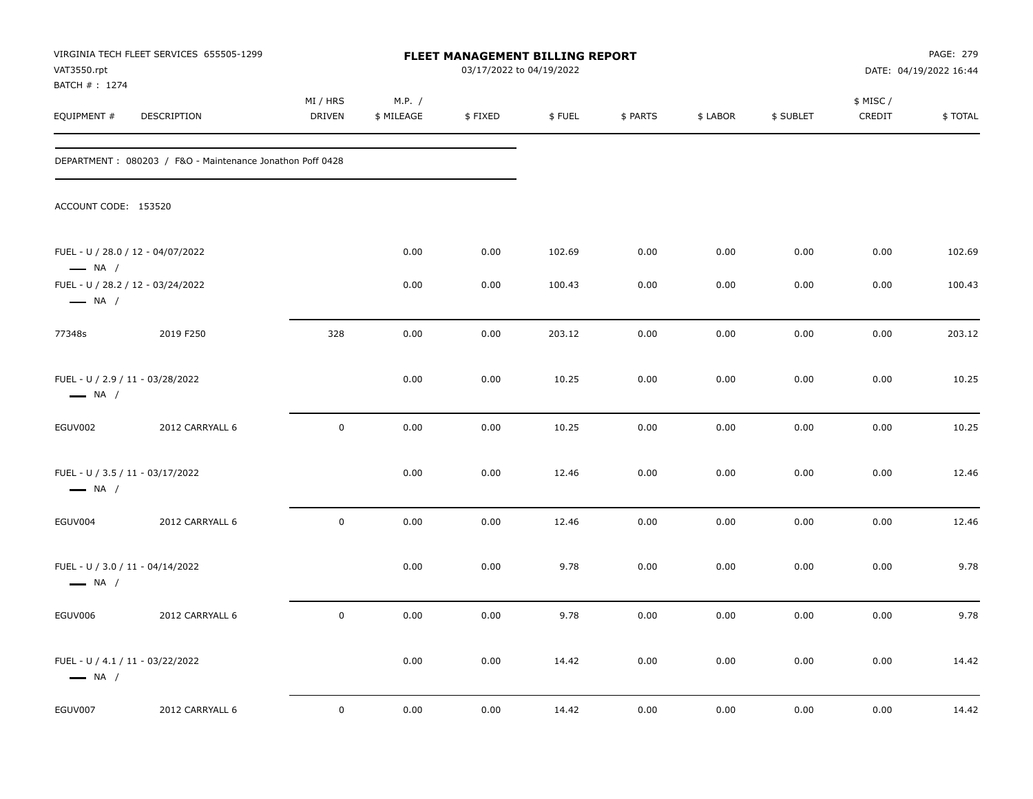| VAT3550.rpt                                                | VIRGINIA TECH FLEET SERVICES 655505-1299                  |                    |                      | FLEET MANAGEMENT BILLING REPORT<br>03/17/2022 to 04/19/2022 |        |          |          |           |                    | PAGE: 279<br>DATE: 04/19/2022 16:44 |
|------------------------------------------------------------|-----------------------------------------------------------|--------------------|----------------------|-------------------------------------------------------------|--------|----------|----------|-----------|--------------------|-------------------------------------|
| BATCH #: 1274<br>EQUIPMENT #                               | DESCRIPTION                                               | MI / HRS<br>DRIVEN | M.P. /<br>\$ MILEAGE | \$FIXED                                                     | \$FUEL | \$ PARTS | \$ LABOR | \$ SUBLET | \$ MISC/<br>CREDIT | \$TOTAL                             |
|                                                            | DEPARTMENT: 080203 / F&O - Maintenance Jonathon Poff 0428 |                    |                      |                                                             |        |          |          |           |                    |                                     |
| ACCOUNT CODE: 153520                                       |                                                           |                    |                      |                                                             |        |          |          |           |                    |                                     |
| $\longrightarrow$ NA /                                     | FUEL - U / 28.0 / 12 - 04/07/2022                         |                    | 0.00                 | 0.00                                                        | 102.69 | 0.00     | 0.00     | 0.00      | 0.00               | 102.69                              |
| $\longrightarrow$ NA /                                     | FUEL - U / 28.2 / 12 - 03/24/2022                         |                    | 0.00                 | 0.00                                                        | 100.43 | 0.00     | 0.00     | 0.00      | 0.00               | 100.43                              |
| 77348s                                                     | 2019 F250                                                 | 328                | 0.00                 | 0.00                                                        | 203.12 | 0.00     | 0.00     | 0.00      | 0.00               | 203.12                              |
| FUEL - U / 2.9 / 11 - 03/28/2022<br>$\longrightarrow$ NA / |                                                           |                    | 0.00                 | 0.00                                                        | 10.25  | 0.00     | 0.00     | 0.00      | 0.00               | 10.25                               |
| EGUV002                                                    | 2012 CARRYALL 6                                           | $\mathbf 0$        | 0.00                 | 0.00                                                        | 10.25  | 0.00     | 0.00     | 0.00      | 0.00               | 10.25                               |
| FUEL - U / 3.5 / 11 - 03/17/2022<br>$\longrightarrow$ NA / |                                                           |                    | 0.00                 | 0.00                                                        | 12.46  | 0.00     | 0.00     | 0.00      | 0.00               | 12.46                               |
| EGUV004                                                    | 2012 CARRYALL 6                                           | $\pmb{0}$          | 0.00                 | 0.00                                                        | 12.46  | 0.00     | 0.00     | 0.00      | 0.00               | 12.46                               |
| FUEL - U / 3.0 / 11 - 04/14/2022<br>$\longrightarrow$ NA / |                                                           |                    | 0.00                 | 0.00                                                        | 9.78   | 0.00     | 0.00     | 0.00      | 0.00               | 9.78                                |
| EGUV006                                                    | 2012 CARRYALL 6                                           | $\mathbf 0$        | 0.00                 | 0.00                                                        | 9.78   | 0.00     | 0.00     | 0.00      | 0.00               | 9.78                                |
| FUEL - U / 4.1 / 11 - 03/22/2022<br>$\longrightarrow$ NA / |                                                           |                    | 0.00                 | 0.00                                                        | 14.42  | 0.00     | 0.00     | 0.00      | 0.00               | 14.42                               |
| EGUV007                                                    | 2012 CARRYALL 6                                           | $\pmb{0}$          | 0.00                 | 0.00                                                        | 14.42  | 0.00     | 0.00     | 0.00      | 0.00               | 14.42                               |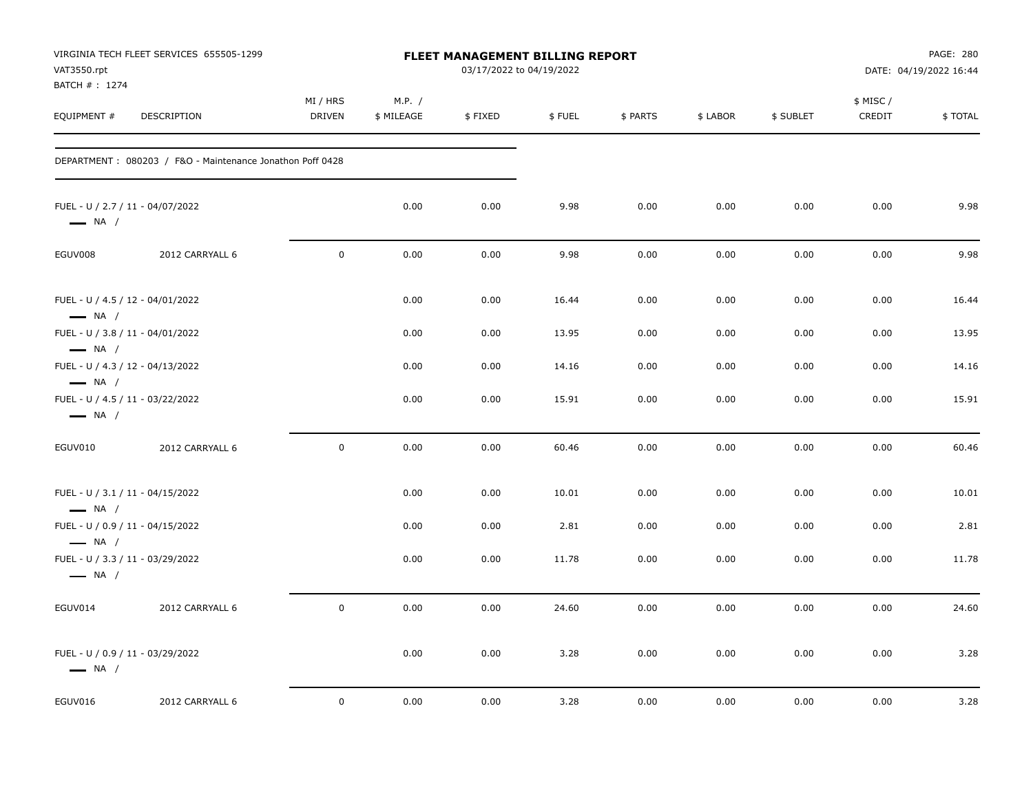| VAT3550.rpt<br>BATCH #: 1274                     | VIRGINIA TECH FLEET SERVICES 655505-1299                  |                           |                      | FLEET MANAGEMENT BILLING REPORT<br>03/17/2022 to 04/19/2022 |        |          |          |           | PAGE: 280<br>DATE: 04/19/2022 16:44 |         |  |
|--------------------------------------------------|-----------------------------------------------------------|---------------------------|----------------------|-------------------------------------------------------------|--------|----------|----------|-----------|-------------------------------------|---------|--|
| EQUIPMENT #                                      | DESCRIPTION                                               | MI / HRS<br><b>DRIVEN</b> | M.P. /<br>\$ MILEAGE | \$FIXED                                                     | \$FUEL | \$ PARTS | \$ LABOR | \$ SUBLET | \$ MISC /<br>CREDIT                 | \$TOTAL |  |
|                                                  | DEPARTMENT: 080203 / F&O - Maintenance Jonathon Poff 0428 |                           |                      |                                                             |        |          |          |           |                                     |         |  |
| $\longrightarrow$ NA /                           | FUEL - U / 2.7 / 11 - 04/07/2022                          |                           | 0.00                 | 0.00                                                        | 9.98   | 0.00     | 0.00     | 0.00      | 0.00                                | 9.98    |  |
| EGUV008                                          | 2012 CARRYALL 6                                           | $\mathsf{O}$              | 0.00                 | 0.00                                                        | 9.98   | 0.00     | 0.00     | 0.00      | 0.00                                | 9.98    |  |
| $\longrightarrow$ NA /                           | FUEL - U / 4.5 / 12 - 04/01/2022                          |                           | 0.00                 | 0.00                                                        | 16.44  | 0.00     | 0.00     | 0.00      | 0.00                                | 16.44   |  |
|                                                  | FUEL - U / 3.8 / 11 - 04/01/2022                          |                           | 0.00                 | 0.00                                                        | 13.95  | 0.00     | 0.00     | 0.00      | 0.00                                | 13.95   |  |
| $\longrightarrow$ NA /<br>$\longrightarrow$ NA / | FUEL - U / 4.3 / 12 - 04/13/2022                          |                           | 0.00                 | 0.00                                                        | 14.16  | 0.00     | 0.00     | 0.00      | 0.00                                | 14.16   |  |
| $\longrightarrow$ NA /                           | FUEL - U / 4.5 / 11 - 03/22/2022                          |                           | 0.00                 | 0.00                                                        | 15.91  | 0.00     | 0.00     | 0.00      | 0.00                                | 15.91   |  |
| EGUV010                                          | 2012 CARRYALL 6                                           | 0                         | 0.00                 | 0.00                                                        | 60.46  | 0.00     | 0.00     | 0.00      | 0.00                                | 60.46   |  |
| $\longrightarrow$ NA /                           | FUEL - U / 3.1 / 11 - 04/15/2022                          |                           | 0.00                 | 0.00                                                        | 10.01  | 0.00     | 0.00     | 0.00      | 0.00                                | 10.01   |  |
|                                                  | FUEL - U / 0.9 / 11 - 04/15/2022                          |                           | 0.00                 | 0.00                                                        | 2.81   | 0.00     | 0.00     | 0.00      | 0.00                                | 2.81    |  |
| $\longrightarrow$ NA /<br>$\longrightarrow$ NA / | FUEL - U / 3.3 / 11 - 03/29/2022                          |                           | 0.00                 | 0.00                                                        | 11.78  | 0.00     | 0.00     | 0.00      | 0.00                                | 11.78   |  |
| EGUV014                                          | 2012 CARRYALL 6                                           | $\mathsf{O}$              | 0.00                 | 0.00                                                        | 24.60  | 0.00     | 0.00     | 0.00      | 0.00                                | 24.60   |  |
| $\longrightarrow$ NA /                           | FUEL - U / 0.9 / 11 - 03/29/2022                          |                           | 0.00                 | 0.00                                                        | 3.28   | 0.00     | 0.00     | 0.00      | 0.00                                | 3.28    |  |
| EGUV016                                          | 2012 CARRYALL 6                                           | 0                         | 0.00                 | 0.00                                                        | 3.28   | 0.00     | 0.00     | 0.00      | 0.00                                | 3.28    |  |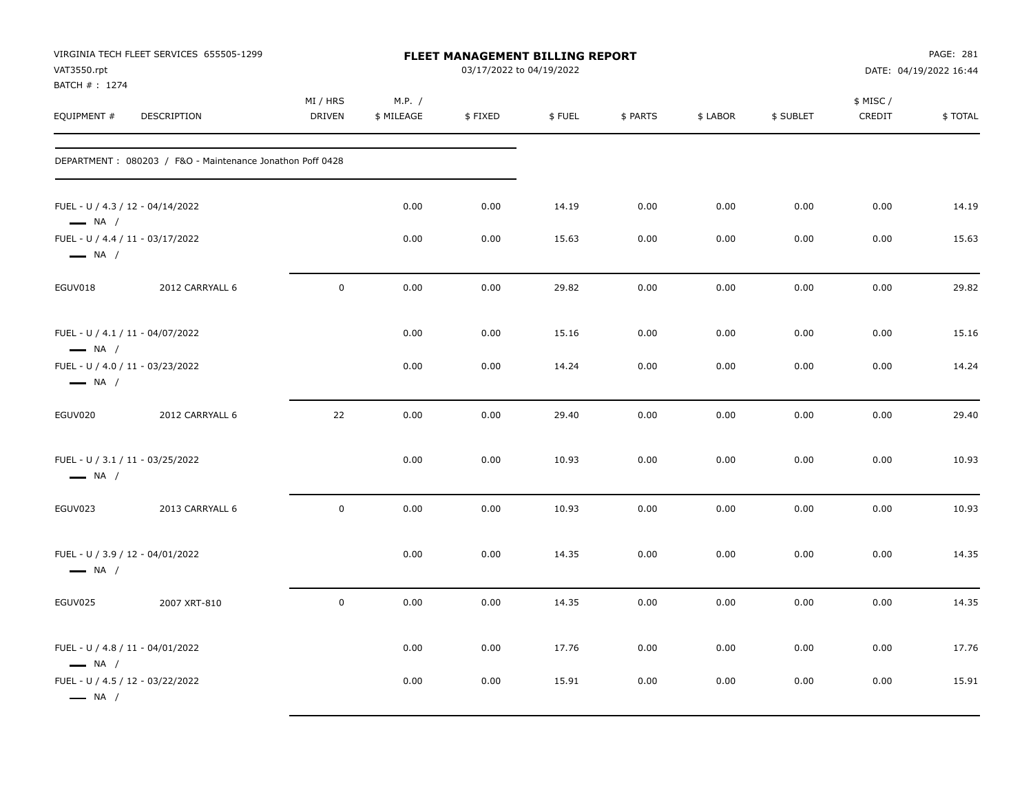| VAT3550.rpt<br>BATCH #: 1274                               | VIRGINIA TECH FLEET SERVICES 655505-1299                  |                           |                      | FLEET MANAGEMENT BILLING REPORT<br>03/17/2022 to 04/19/2022 |        |          |          |           |                     | PAGE: 281<br>DATE: 04/19/2022 16:44 |
|------------------------------------------------------------|-----------------------------------------------------------|---------------------------|----------------------|-------------------------------------------------------------|--------|----------|----------|-----------|---------------------|-------------------------------------|
| EQUIPMENT #                                                | DESCRIPTION                                               | MI / HRS<br><b>DRIVEN</b> | M.P. /<br>\$ MILEAGE | \$FIXED                                                     | \$FUEL | \$ PARTS | \$ LABOR | \$ SUBLET | \$ MISC /<br>CREDIT | \$TOTAL                             |
|                                                            | DEPARTMENT: 080203 / F&O - Maintenance Jonathon Poff 0428 |                           |                      |                                                             |        |          |          |           |                     |                                     |
| FUEL - U / 4.3 / 12 - 04/14/2022<br>$\longrightarrow$ NA / |                                                           |                           | 0.00                 | 0.00                                                        | 14.19  | 0.00     | 0.00     | 0.00      | 0.00                | 14.19                               |
| FUEL - U / 4.4 / 11 - 03/17/2022<br>$\longrightarrow$ NA / |                                                           |                           | 0.00                 | 0.00                                                        | 15.63  | 0.00     | 0.00     | 0.00      | 0.00                | 15.63                               |
| EGUV018                                                    | 2012 CARRYALL 6                                           | $\mathsf{O}\xspace$       | 0.00                 | 0.00                                                        | 29.82  | 0.00     | 0.00     | 0.00      | 0.00                | 29.82                               |
| FUEL - U / 4.1 / 11 - 04/07/2022<br>$\longrightarrow$ NA / |                                                           |                           | 0.00                 | 0.00                                                        | 15.16  | 0.00     | 0.00     | 0.00      | 0.00                | 15.16                               |
| FUEL - U / 4.0 / 11 - 03/23/2022<br>$\longrightarrow$ NA / |                                                           |                           | 0.00                 | 0.00                                                        | 14.24  | 0.00     | 0.00     | 0.00      | 0.00                | 14.24                               |
| EGUV020                                                    | 2012 CARRYALL 6                                           | 22                        | 0.00                 | 0.00                                                        | 29.40  | 0.00     | 0.00     | 0.00      | 0.00                | 29.40                               |
| FUEL - U / 3.1 / 11 - 03/25/2022<br>$\longrightarrow$ NA / |                                                           |                           | 0.00                 | 0.00                                                        | 10.93  | 0.00     | 0.00     | 0.00      | 0.00                | 10.93                               |
| EGUV023                                                    | 2013 CARRYALL 6                                           | $\mathbf 0$               | 0.00                 | 0.00                                                        | 10.93  | 0.00     | 0.00     | 0.00      | 0.00                | 10.93                               |
| FUEL - U / 3.9 / 12 - 04/01/2022<br>$\longrightarrow$ NA / |                                                           |                           | 0.00                 | 0.00                                                        | 14.35  | 0.00     | 0.00     | 0.00      | 0.00                | 14.35                               |
| EGUV025                                                    | 2007 XRT-810                                              | $\mathbf 0$               | 0.00                 | 0.00                                                        | 14.35  | 0.00     | 0.00     | 0.00      | 0.00                | 14.35                               |
| FUEL - U / 4.8 / 11 - 04/01/2022<br>$\longrightarrow$ NA / |                                                           |                           | 0.00                 | 0.00                                                        | 17.76  | 0.00     | 0.00     | 0.00      | 0.00                | 17.76                               |
| FUEL - U / 4.5 / 12 - 03/22/2022<br>$\longrightarrow$ NA / |                                                           |                           | 0.00                 | 0.00                                                        | 15.91  | 0.00     | 0.00     | 0.00      | 0.00                | 15.91                               |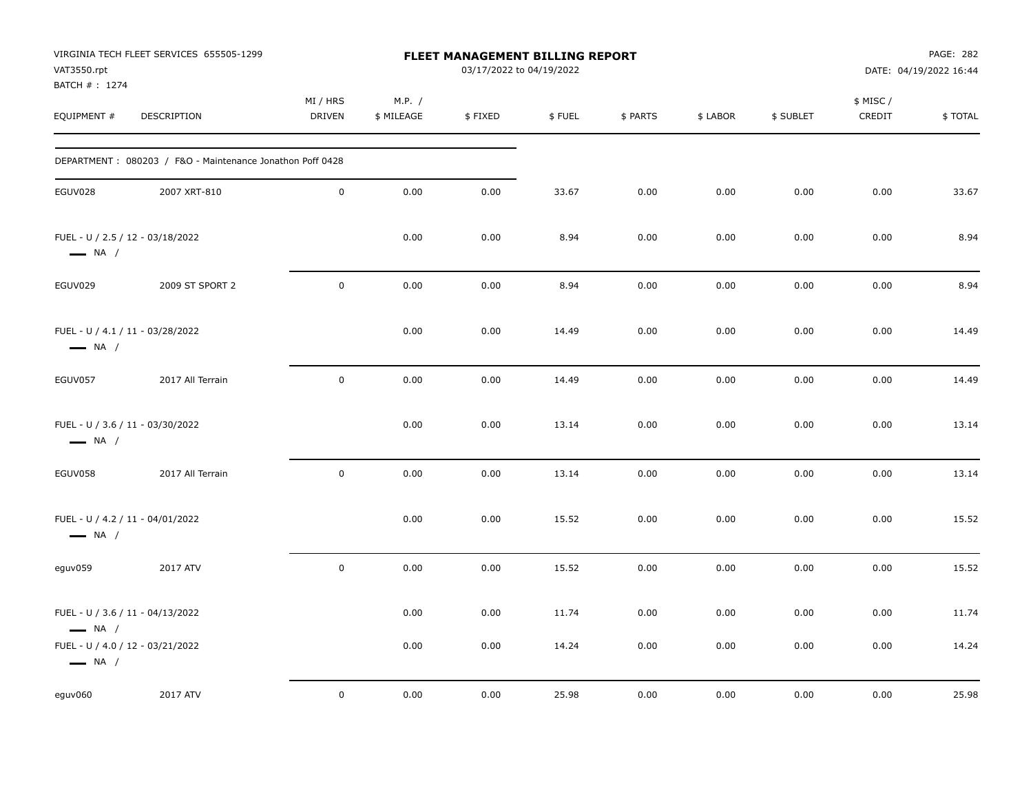| VAT3550.rpt<br>BATCH #: 1274 | VIRGINIA TECH FLEET SERVICES 655505-1299                  |                    |                      | <b>FLEET MANAGEMENT BILLING REPORT</b><br>03/17/2022 to 04/19/2022 |        |          |          |           |                    | PAGE: 282<br>DATE: 04/19/2022 16:44 |
|------------------------------|-----------------------------------------------------------|--------------------|----------------------|--------------------------------------------------------------------|--------|----------|----------|-----------|--------------------|-------------------------------------|
| EQUIPMENT #                  | DESCRIPTION                                               | MI / HRS<br>DRIVEN | M.P. /<br>\$ MILEAGE | \$FIXED                                                            | \$FUEL | \$ PARTS | \$ LABOR | \$ SUBLET | \$ MISC/<br>CREDIT | \$TOTAL                             |
|                              | DEPARTMENT: 080203 / F&O - Maintenance Jonathon Poff 0428 |                    |                      |                                                                    |        |          |          |           |                    |                                     |
| EGUV028                      | 2007 XRT-810                                              | $\pmb{0}$          | 0.00                 | 0.00                                                               | 33.67  | 0.00     | 0.00     | 0.00      | 0.00               | 33.67                               |
| $\longrightarrow$ NA /       | FUEL - U / 2.5 / 12 - 03/18/2022                          |                    | 0.00                 | 0.00                                                               | 8.94   | 0.00     | 0.00     | 0.00      | 0.00               | 8.94                                |
| EGUV029                      | 2009 ST SPORT 2                                           | $\mathbf 0$        | 0.00                 | 0.00                                                               | 8.94   | 0.00     | 0.00     | 0.00      | 0.00               | 8.94                                |
| $\longrightarrow$ NA /       | FUEL - U / 4.1 / 11 - 03/28/2022                          |                    | 0.00                 | 0.00                                                               | 14.49  | 0.00     | 0.00     | 0.00      | 0.00               | 14.49                               |
| EGUV057                      | 2017 All Terrain                                          | $\pmb{0}$          | 0.00                 | 0.00                                                               | 14.49  | 0.00     | 0.00     | 0.00      | 0.00               | 14.49                               |
| $\longrightarrow$ NA /       | FUEL - U / 3.6 / 11 - 03/30/2022                          |                    | 0.00                 | 0.00                                                               | 13.14  | 0.00     | 0.00     | 0.00      | 0.00               | 13.14                               |
| EGUV058                      | 2017 All Terrain                                          | $\pmb{0}$          | 0.00                 | 0.00                                                               | 13.14  | 0.00     | 0.00     | 0.00      | 0.00               | 13.14                               |
| $\longrightarrow$ NA /       | FUEL - U / 4.2 / 11 - 04/01/2022                          |                    | 0.00                 | 0.00                                                               | 15.52  | 0.00     | 0.00     | 0.00      | 0.00               | 15.52                               |
| eguv059                      | 2017 ATV                                                  | $\pmb{0}$          | 0.00                 | 0.00                                                               | 15.52  | 0.00     | 0.00     | 0.00      | 0.00               | 15.52                               |
| $\longrightarrow$ NA /       | FUEL - U / 3.6 / 11 - 04/13/2022                          |                    | 0.00                 | 0.00                                                               | 11.74  | 0.00     | 0.00     | 0.00      | 0.00               | 11.74                               |
| $\longrightarrow$ NA /       | FUEL - U / 4.0 / 12 - 03/21/2022                          |                    | 0.00                 | 0.00                                                               | 14.24  | 0.00     | 0.00     | 0.00      | 0.00               | 14.24                               |
| eguv060                      | 2017 ATV                                                  | $\mathbf 0$        | 0.00                 | 0.00                                                               | 25.98  | 0.00     | 0.00     | 0.00      | 0.00               | 25.98                               |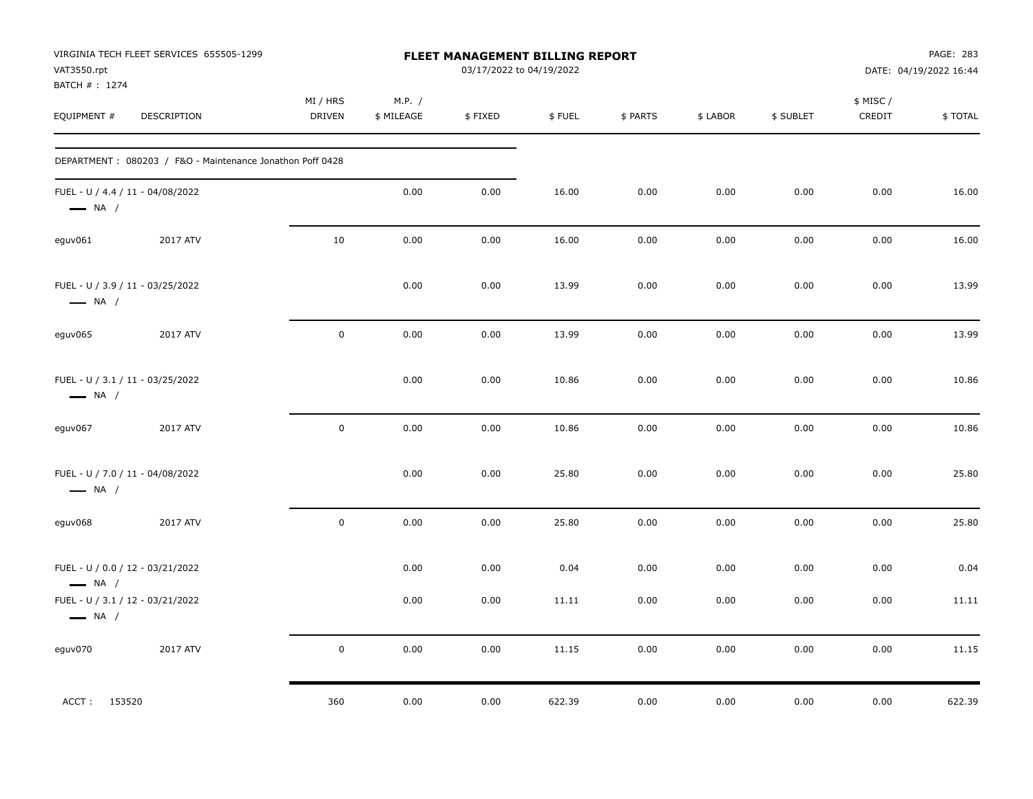| VAT3550.rpt<br>BATCH # : 1274                              | VIRGINIA TECH FLEET SERVICES 655505-1299                  |                           |                      | FLEET MANAGEMENT BILLING REPORT<br>03/17/2022 to 04/19/2022 |        |          |          |           |                     | PAGE: 283<br>DATE: 04/19/2022 16:44 |
|------------------------------------------------------------|-----------------------------------------------------------|---------------------------|----------------------|-------------------------------------------------------------|--------|----------|----------|-----------|---------------------|-------------------------------------|
| EQUIPMENT #                                                | DESCRIPTION                                               | MI / HRS<br><b>DRIVEN</b> | M.P. /<br>\$ MILEAGE | \$FIXED                                                     | \$FUEL | \$ PARTS | \$ LABOR | \$ SUBLET | \$ MISC /<br>CREDIT | \$TOTAL                             |
|                                                            | DEPARTMENT: 080203 / F&O - Maintenance Jonathon Poff 0428 |                           |                      |                                                             |        |          |          |           |                     |                                     |
| FUEL - U / 4.4 / 11 - 04/08/2022<br>$\longrightarrow$ NA / |                                                           |                           | 0.00                 | 0.00                                                        | 16.00  | 0.00     | 0.00     | 0.00      | 0.00                | 16.00                               |
| eguv061                                                    | 2017 ATV                                                  | 10                        | 0.00                 | 0.00                                                        | 16.00  | 0.00     | 0.00     | 0.00      | 0.00                | 16.00                               |
| FUEL - U / 3.9 / 11 - 03/25/2022<br>$\longrightarrow$ NA / |                                                           |                           | 0.00                 | 0.00                                                        | 13.99  | 0.00     | 0.00     | 0.00      | 0.00                | 13.99                               |
| eguv065                                                    | 2017 ATV                                                  | $\mathsf{O}$              | 0.00                 | 0.00                                                        | 13.99  | 0.00     | 0.00     | 0.00      | 0.00                | 13.99                               |
| FUEL - U / 3.1 / 11 - 03/25/2022<br>$\longrightarrow$ NA / |                                                           |                           | 0.00                 | 0.00                                                        | 10.86  | 0.00     | 0.00     | 0.00      | 0.00                | 10.86                               |
| eguv067                                                    | 2017 ATV                                                  | $\mathbf 0$               | 0.00                 | 0.00                                                        | 10.86  | 0.00     | 0.00     | 0.00      | 0.00                | 10.86                               |
| FUEL - U / 7.0 / 11 - 04/08/2022<br>$\longrightarrow$ NA / |                                                           |                           | 0.00                 | 0.00                                                        | 25.80  | 0.00     | 0.00     | 0.00      | 0.00                | 25.80                               |
| eguv068                                                    | 2017 ATV                                                  | $\mathbf 0$               | 0.00                 | 0.00                                                        | 25.80  | 0.00     | 0.00     | 0.00      | 0.00                | 25.80                               |
| FUEL - U / 0.0 / 12 - 03/21/2022<br>$\longrightarrow$ NA / |                                                           |                           | 0.00                 | 0.00                                                        | 0.04   | 0.00     | 0.00     | 0.00      | 0.00                | 0.04                                |
| FUEL - U / 3.1 / 12 - 03/21/2022<br>$\longrightarrow$ NA / |                                                           |                           | 0.00                 | 0.00                                                        | 11.11  | 0.00     | 0.00     | 0.00      | 0.00                | 11.11                               |
| eguv070                                                    | 2017 ATV                                                  | $\mathbf 0$               | 0.00                 | 0.00                                                        | 11.15  | 0.00     | 0.00     | 0.00      | 0.00                | 11.15                               |
| ACCT: 153520                                               |                                                           | 360                       | 0.00                 | 0.00                                                        | 622.39 | 0.00     | 0.00     | 0.00      | 0.00                | 622.39                              |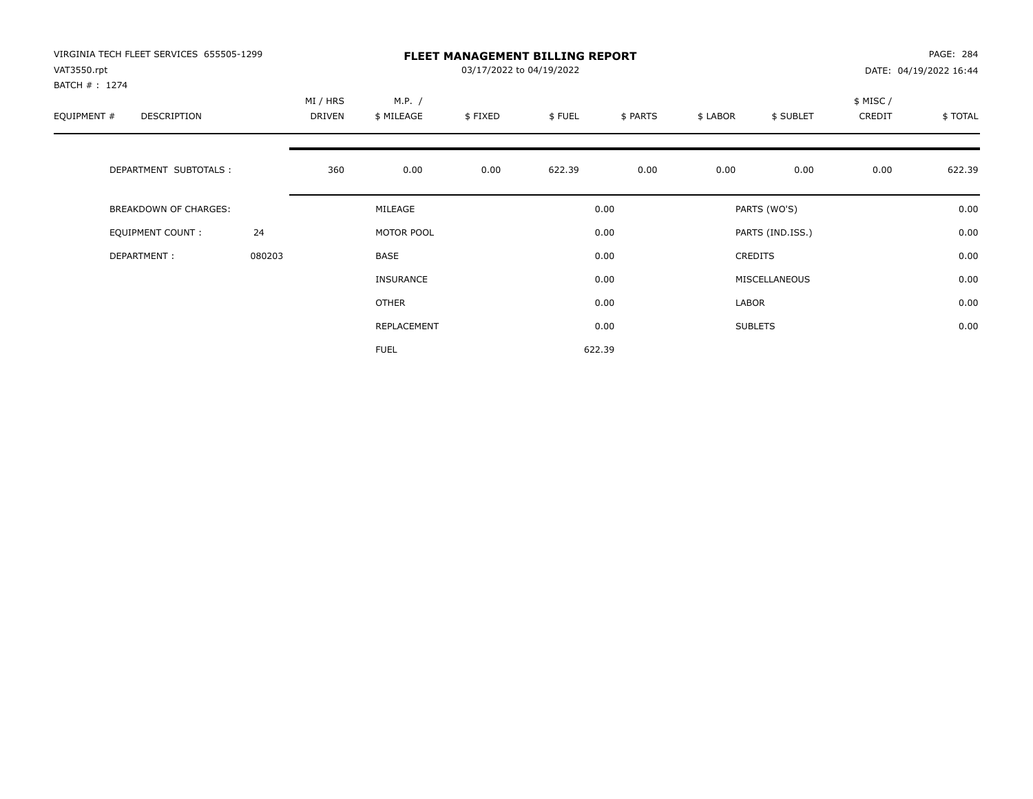| VIRGINIA TECH FLEET SERVICES 655505-1299<br>VAT3550.rpt<br>BATCH #: 1274 |        |                           |                      | 03/17/2022 to 04/19/2022 | <b>FLEET MANAGEMENT BILLING REPORT</b> |          |          |                  |                     | PAGE: 284<br>DATE: 04/19/2022 16:44 |
|--------------------------------------------------------------------------|--------|---------------------------|----------------------|--------------------------|----------------------------------------|----------|----------|------------------|---------------------|-------------------------------------|
| EQUIPMENT #<br><b>DESCRIPTION</b>                                        |        | MI / HRS<br><b>DRIVEN</b> | M.P. /<br>\$ MILEAGE | \$FIXED                  | \$FUEL                                 | \$ PARTS | \$ LABOR | \$ SUBLET        | \$ MISC /<br>CREDIT | \$TOTAL                             |
| DEPARTMENT SUBTOTALS :                                                   |        | 360                       | 0.00                 | 0.00                     | 622.39                                 | 0.00     | 0.00     | 0.00             | 0.00                | 622.39                              |
| <b>BREAKDOWN OF CHARGES:</b>                                             |        |                           | MILEAGE              |                          |                                        | 0.00     |          | PARTS (WO'S)     |                     | 0.00                                |
| EQUIPMENT COUNT:                                                         | 24     |                           | MOTOR POOL           |                          |                                        | 0.00     |          | PARTS (IND.ISS.) |                     | 0.00                                |
| DEPARTMENT:                                                              | 080203 |                           | <b>BASE</b>          |                          |                                        | 0.00     |          | <b>CREDITS</b>   |                     | 0.00                                |
|                                                                          |        |                           | INSURANCE            |                          |                                        | 0.00     |          | MISCELLANEOUS    |                     | 0.00                                |
|                                                                          |        |                           | <b>OTHER</b>         |                          |                                        | 0.00     | LABOR    |                  |                     | 0.00                                |
|                                                                          |        |                           | REPLACEMENT          |                          |                                        | 0.00     |          | <b>SUBLETS</b>   |                     | 0.00                                |
|                                                                          |        |                           | <b>FUEL</b>          |                          |                                        | 622.39   |          |                  |                     |                                     |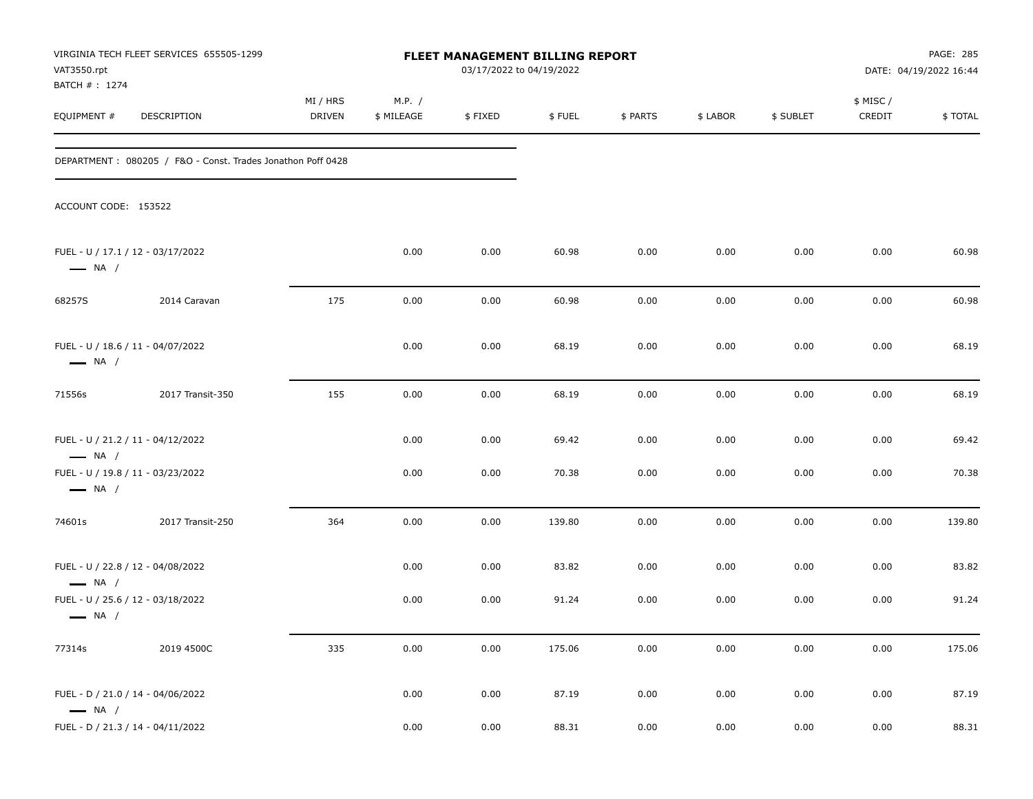| VAT3550.rpt<br>BATCH # : 1274 | VIRGINIA TECH FLEET SERVICES 655505-1299                               |                           |                      | FLEET MANAGEMENT BILLING REPORT<br>03/17/2022 to 04/19/2022 |                |              |              |              |                    | PAGE: 285<br>DATE: 04/19/2022 16:44 |
|-------------------------------|------------------------------------------------------------------------|---------------------------|----------------------|-------------------------------------------------------------|----------------|--------------|--------------|--------------|--------------------|-------------------------------------|
| EQUIPMENT #                   | DESCRIPTION                                                            | MI / HRS<br><b>DRIVEN</b> | M.P. /<br>\$ MILEAGE | \$FIXED                                                     | \$FUEL         | \$ PARTS     | \$ LABOR     | \$ SUBLET    | \$ MISC/<br>CREDIT | \$TOTAL                             |
|                               | DEPARTMENT: 080205 / F&O - Const. Trades Jonathon Poff 0428            |                           |                      |                                                             |                |              |              |              |                    |                                     |
| ACCOUNT CODE: 153522          |                                                                        |                           |                      |                                                             |                |              |              |              |                    |                                     |
| $\longrightarrow$ NA /        | FUEL - U / 17.1 / 12 - 03/17/2022                                      |                           | 0.00                 | 0.00                                                        | 60.98          | 0.00         | 0.00         | 0.00         | 0.00               | 60.98                               |
| 68257S                        | 2014 Caravan                                                           | 175                       | 0.00                 | 0.00                                                        | 60.98          | 0.00         | 0.00         | 0.00         | 0.00               | 60.98                               |
| $\longrightarrow$ NA /        | FUEL - U / 18.6 / 11 - 04/07/2022                                      |                           | 0.00                 | 0.00                                                        | 68.19          | 0.00         | 0.00         | 0.00         | 0.00               | 68.19                               |
| 71556s                        | 2017 Transit-350                                                       | 155                       | 0.00                 | 0.00                                                        | 68.19          | 0.00         | 0.00         | 0.00         | 0.00               | 68.19                               |
| $\longrightarrow$ NA /        | FUEL - U / 21.2 / 11 - 04/12/2022                                      |                           | 0.00                 | 0.00                                                        | 69.42          | 0.00         | 0.00         | 0.00         | 0.00               | 69.42                               |
| $\longrightarrow$ NA /        | FUEL - U / 19.8 / 11 - 03/23/2022                                      |                           | 0.00                 | 0.00                                                        | 70.38          | 0.00         | 0.00         | 0.00         | 0.00               | 70.38                               |
| 74601s                        | 2017 Transit-250                                                       | 364                       | 0.00                 | 0.00                                                        | 139.80         | 0.00         | 0.00         | 0.00         | 0.00               | 139.80                              |
| $\longrightarrow$ NA /        | FUEL - U / 22.8 / 12 - 04/08/2022<br>FUEL - U / 25.6 / 12 - 03/18/2022 |                           | 0.00<br>0.00         | 0.00<br>0.00                                                | 83.82<br>91.24 | 0.00<br>0.00 | 0.00<br>0.00 | 0.00<br>0.00 | 0.00<br>0.00       | 83.82<br>91.24                      |
| $\longrightarrow$ NA /        |                                                                        |                           |                      |                                                             |                |              |              |              |                    |                                     |
| 77314s                        | 2019 4500C                                                             | 335                       | 0.00                 | 0.00                                                        | 175.06         | 0.00         | 0.00         | 0.00         | 0.00               | 175.06                              |
| $\longrightarrow$ NA /        | FUEL - D / 21.0 / 14 - 04/06/2022                                      |                           | 0.00                 | 0.00                                                        | 87.19          | 0.00         | 0.00         | 0.00         | 0.00               | 87.19                               |
|                               | FUEL - D / 21.3 / 14 - 04/11/2022                                      |                           | 0.00                 | 0.00                                                        | 88.31          | 0.00         | 0.00         | 0.00         | 0.00               | 88.31                               |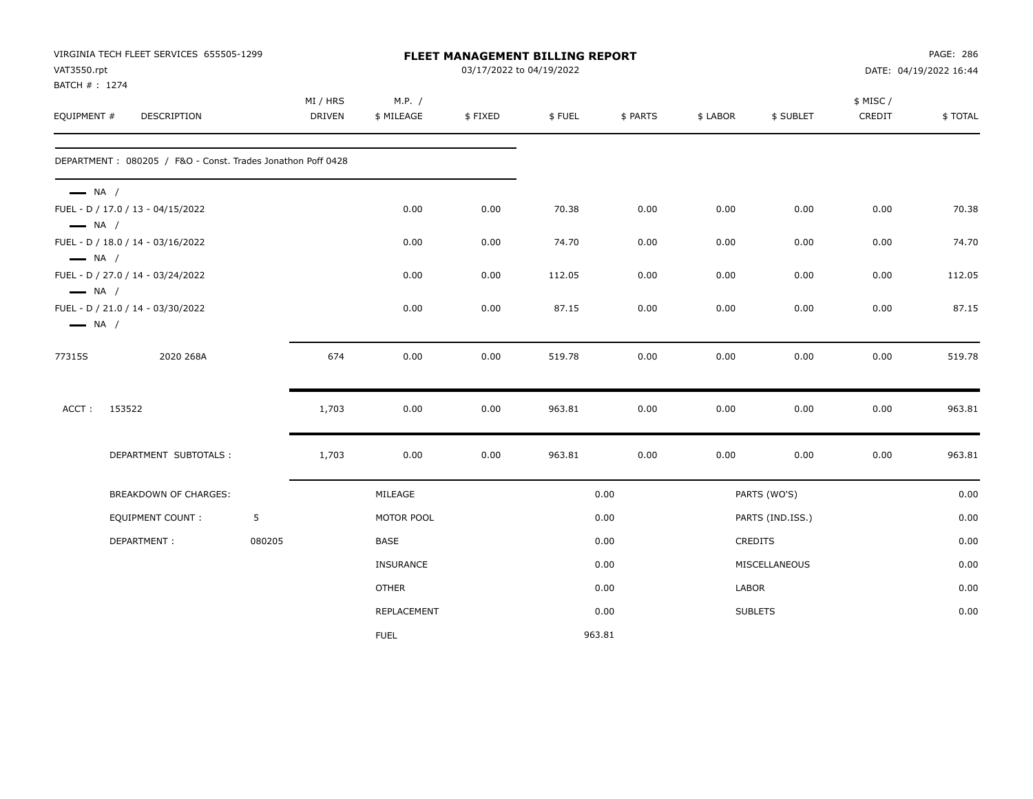| VAT3550.rpt<br>BATCH # : 1274                    | VIRGINIA TECH FLEET SERVICES 655505-1299                    |        |                           |                      |         | <b>FLEET MANAGEMENT BILLING REPORT</b><br>03/17/2022 to 04/19/2022 |          |              |                  |                    | PAGE: 286<br>DATE: 04/19/2022 16:44 |
|--------------------------------------------------|-------------------------------------------------------------|--------|---------------------------|----------------------|---------|--------------------------------------------------------------------|----------|--------------|------------------|--------------------|-------------------------------------|
| EQUIPMENT #                                      | <b>DESCRIPTION</b>                                          |        | MI / HRS<br><b>DRIVEN</b> | M.P. /<br>\$ MILEAGE | \$FIXED | \$FUEL                                                             | \$ PARTS | \$ LABOR     | \$ SUBLET        | \$ MISC/<br>CREDIT | \$TOTAL                             |
|                                                  | DEPARTMENT: 080205 / F&O - Const. Trades Jonathon Poff 0428 |        |                           |                      |         |                                                                    |          |              |                  |                    |                                     |
| $\longrightarrow$ NA /                           | FUEL - D / 17.0 / 13 - 04/15/2022                           |        |                           | 0.00                 | 0.00    | 70.38                                                              | 0.00     | 0.00         | 0.00             | 0.00               | 70.38                               |
| $\longrightarrow$ NA /                           | FUEL - D / 18.0 / 14 - 03/16/2022                           |        |                           | 0.00                 | 0.00    | 74.70                                                              | 0.00     | 0.00         | 0.00             | 0.00               | 74.70                               |
| $\longrightarrow$ NA /<br>$\longrightarrow$ NA / | FUEL - D / 27.0 / 14 - 03/24/2022                           |        |                           | 0.00                 | 0.00    | 112.05                                                             | 0.00     | 0.00         | 0.00             | 0.00               | 112.05                              |
| $\longrightarrow$ NA /                           | FUEL - D / 21.0 / 14 - 03/30/2022                           |        |                           | 0.00                 | 0.00    | 87.15                                                              | 0.00     | 0.00         | 0.00             | 0.00               | 87.15                               |
| 77315S                                           | 2020 268A                                                   |        | 674                       | 0.00                 | 0.00    | 519.78                                                             | 0.00     | 0.00         | 0.00             | 0.00               | 519.78                              |
| ACCT:                                            | 153522                                                      |        | 1,703                     | 0.00                 | 0.00    | 963.81                                                             | 0.00     | 0.00         | 0.00             | 0.00               | 963.81                              |
|                                                  | DEPARTMENT SUBTOTALS :                                      |        | 1,703                     | 0.00                 | 0.00    | 963.81                                                             | 0.00     | 0.00         | 0.00             | 0.00               | 963.81                              |
|                                                  | <b>BREAKDOWN OF CHARGES:</b>                                |        |                           | MILEAGE              |         |                                                                    | 0.00     |              | PARTS (WO'S)     |                    | 0.00                                |
|                                                  | EQUIPMENT COUNT :                                           | 5      |                           | MOTOR POOL           |         |                                                                    | 0.00     |              | PARTS (IND.ISS.) |                    | 0.00                                |
|                                                  | DEPARTMENT:                                                 | 080205 |                           | <b>BASE</b>          |         |                                                                    | 0.00     |              | <b>CREDITS</b>   |                    | 0.00                                |
|                                                  |                                                             |        |                           | <b>INSURANCE</b>     |         |                                                                    | 0.00     |              | MISCELLANEOUS    |                    | 0.00                                |
|                                                  |                                                             |        |                           | <b>OTHER</b>         |         |                                                                    | 0.00     | <b>LABOR</b> |                  |                    | 0.00                                |
|                                                  |                                                             |        |                           | REPLACEMENT          |         |                                                                    | 0.00     |              | <b>SUBLETS</b>   |                    | 0.00                                |
|                                                  |                                                             |        |                           | <b>FUEL</b>          |         | 963.81                                                             |          |              |                  |                    |                                     |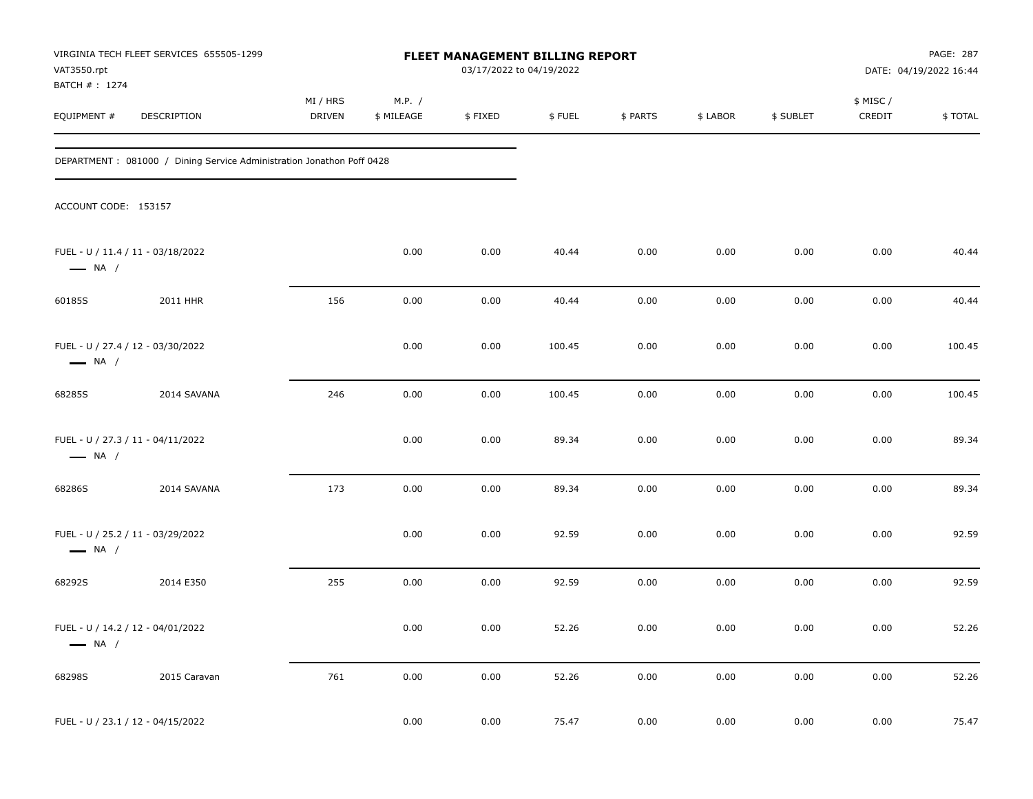| VAT3550.rpt                  | VIRGINIA TECH FLEET SERVICES 655505-1299                              |                    |                      | FLEET MANAGEMENT BILLING REPORT<br>03/17/2022 to 04/19/2022 |        |          |          |           |                    | PAGE: 287<br>DATE: 04/19/2022 16:44 |
|------------------------------|-----------------------------------------------------------------------|--------------------|----------------------|-------------------------------------------------------------|--------|----------|----------|-----------|--------------------|-------------------------------------|
| BATCH #: 1274<br>EQUIPMENT # | DESCRIPTION                                                           | MI / HRS<br>DRIVEN | M.P. /<br>\$ MILEAGE | \$FIXED                                                     | \$FUEL | \$ PARTS | \$ LABOR | \$ SUBLET | \$ MISC/<br>CREDIT | \$TOTAL                             |
|                              | DEPARTMENT: 081000 / Dining Service Administration Jonathon Poff 0428 |                    |                      |                                                             |        |          |          |           |                    |                                     |
| ACCOUNT CODE: 153157         |                                                                       |                    |                      |                                                             |        |          |          |           |                    |                                     |
| $\longrightarrow$ NA /       | FUEL - U / 11.4 / 11 - 03/18/2022                                     |                    | 0.00                 | 0.00                                                        | 40.44  | 0.00     | 0.00     | 0.00      | 0.00               | 40.44                               |
| 60185S                       | 2011 HHR                                                              | 156                | 0.00                 | 0.00                                                        | 40.44  | 0.00     | 0.00     | 0.00      | 0.00               | 40.44                               |
| $\longrightarrow$ NA /       | FUEL - U / 27.4 / 12 - 03/30/2022                                     |                    | 0.00                 | 0.00                                                        | 100.45 | 0.00     | 0.00     | 0.00      | 0.00               | 100.45                              |
| 68285S                       | 2014 SAVANA                                                           | 246                | 0.00                 | 0.00                                                        | 100.45 | 0.00     | 0.00     | 0.00      | 0.00               | 100.45                              |
| $\longrightarrow$ NA /       | FUEL - U / 27.3 / 11 - 04/11/2022                                     |                    | 0.00                 | 0.00                                                        | 89.34  | 0.00     | 0.00     | 0.00      | 0.00               | 89.34                               |
| 68286S                       | 2014 SAVANA                                                           | 173                | 0.00                 | 0.00                                                        | 89.34  | 0.00     | 0.00     | 0.00      | 0.00               | 89.34                               |
| $\longrightarrow$ NA /       | FUEL - U / 25.2 / 11 - 03/29/2022                                     |                    | 0.00                 | 0.00                                                        | 92.59  | 0.00     | 0.00     | 0.00      | 0.00               | 92.59                               |
| 68292S                       | 2014 E350                                                             | 255                | 0.00                 | 0.00                                                        | 92.59  | 0.00     | 0.00     | 0.00      | 0.00               | 92.59                               |
| $\longrightarrow$ NA /       | FUEL - U / 14.2 / 12 - 04/01/2022                                     |                    | 0.00                 | 0.00                                                        | 52.26  | 0.00     | 0.00     | 0.00      | 0.00               | 52.26                               |
| 68298S                       | 2015 Caravan                                                          | 761                | 0.00                 | 0.00                                                        | 52.26  | 0.00     | 0.00     | 0.00      | 0.00               | 52.26                               |
|                              | FUEL - U / 23.1 / 12 - 04/15/2022                                     |                    | 0.00                 | 0.00                                                        | 75.47  | 0.00     | 0.00     | 0.00      | 0.00               | 75.47                               |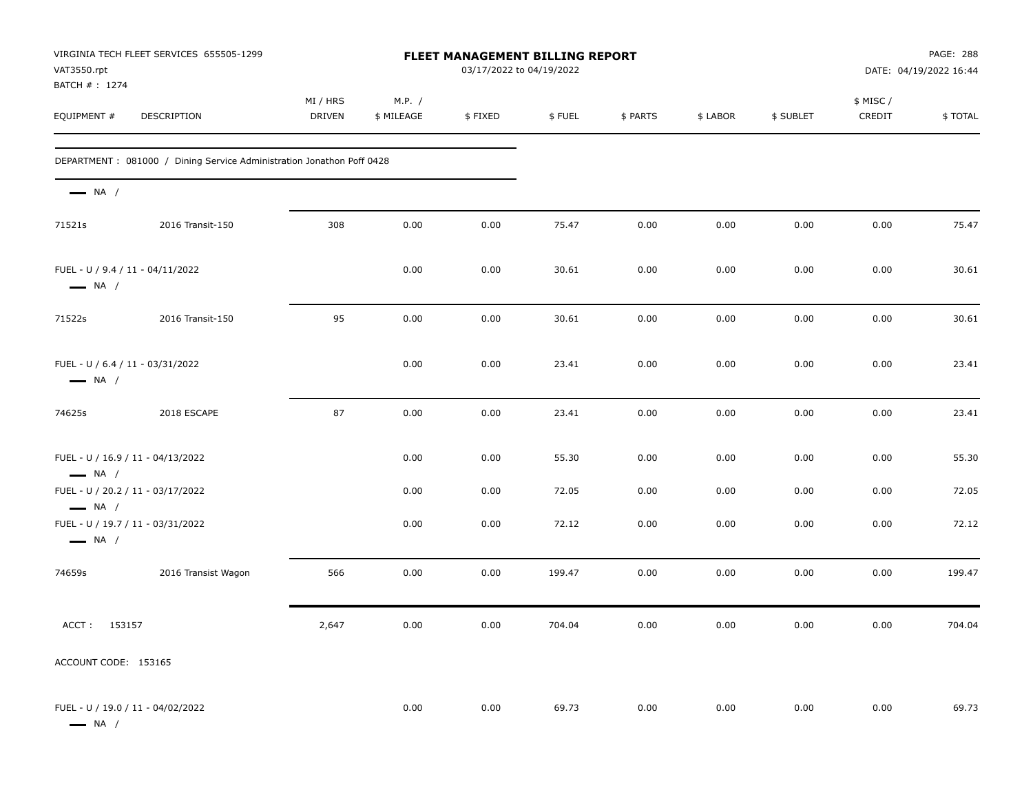| VAT3550.rpt<br>BATCH # : 1274                              | VIRGINIA TECH FLEET SERVICES 655505-1299                               |                           |                      | FLEET MANAGEMENT BILLING REPORT<br>03/17/2022 to 04/19/2022 |        |          |          |           |                     | PAGE: 288<br>DATE: 04/19/2022 16:44 |
|------------------------------------------------------------|------------------------------------------------------------------------|---------------------------|----------------------|-------------------------------------------------------------|--------|----------|----------|-----------|---------------------|-------------------------------------|
| EQUIPMENT #                                                | DESCRIPTION                                                            | MI / HRS<br><b>DRIVEN</b> | M.P. /<br>\$ MILEAGE | \$FIXED                                                     | \$FUEL | \$ PARTS | \$ LABOR | \$ SUBLET | \$ MISC /<br>CREDIT | \$TOTAL                             |
|                                                            | DEPARTMENT : 081000 / Dining Service Administration Jonathon Poff 0428 |                           |                      |                                                             |        |          |          |           |                     |                                     |
| $\longrightarrow$ NA /                                     |                                                                        |                           |                      |                                                             |        |          |          |           |                     |                                     |
| 71521s                                                     | 2016 Transit-150                                                       | 308                       | 0.00                 | 0.00                                                        | 75.47  | 0.00     | 0.00     | 0.00      | 0.00                | 75.47                               |
| FUEL - U / 9.4 / 11 - 04/11/2022<br>$\longrightarrow$ NA / |                                                                        |                           | 0.00                 | 0.00                                                        | 30.61  | 0.00     | 0.00     | 0.00      | 0.00                | 30.61                               |
| 71522s                                                     | 2016 Transit-150                                                       | 95                        | 0.00                 | 0.00                                                        | 30.61  | 0.00     | 0.00     | 0.00      | 0.00                | 30.61                               |
| FUEL - U / 6.4 / 11 - 03/31/2022<br>$\longrightarrow$ NA / |                                                                        |                           | 0.00                 | 0.00                                                        | 23.41  | 0.00     | 0.00     | 0.00      | 0.00                | 23.41                               |
| 74625s                                                     | 2018 ESCAPE                                                            | 87                        | 0.00                 | 0.00                                                        | 23.41  | 0.00     | 0.00     | 0.00      | 0.00                | 23.41                               |
| $\longrightarrow$ NA /                                     | FUEL - U / 16.9 / 11 - 04/13/2022                                      |                           | 0.00                 | 0.00                                                        | 55.30  | 0.00     | 0.00     | 0.00      | 0.00                | 55.30                               |
| $\longrightarrow$ NA /                                     | FUEL - U / 20.2 / 11 - 03/17/2022                                      |                           | 0.00                 | 0.00                                                        | 72.05  | 0.00     | 0.00     | 0.00      | 0.00                | 72.05                               |
| $\longrightarrow$ NA /                                     | FUEL - U / 19.7 / 11 - 03/31/2022                                      |                           | 0.00                 | 0.00                                                        | 72.12  | 0.00     | 0.00     | 0.00      | 0.00                | 72.12                               |
| 74659s                                                     | 2016 Transist Wagon                                                    | 566                       | 0.00                 | 0.00                                                        | 199.47 | 0.00     | 0.00     | 0.00      | 0.00                | 199.47                              |
| ACCT: 153157                                               |                                                                        | 2,647                     | 0.00                 | 0.00                                                        | 704.04 | 0.00     | 0.00     | 0.00      | 0.00                | 704.04                              |
| ACCOUNT CODE: 153165                                       |                                                                        |                           |                      |                                                             |        |          |          |           |                     |                                     |
| $\longrightarrow$ NA $/$                                   | FUEL - U / 19.0 / 11 - 04/02/2022                                      |                           | 0.00                 | 0.00                                                        | 69.73  | 0.00     | 0.00     | 0.00      | 0.00                | 69.73                               |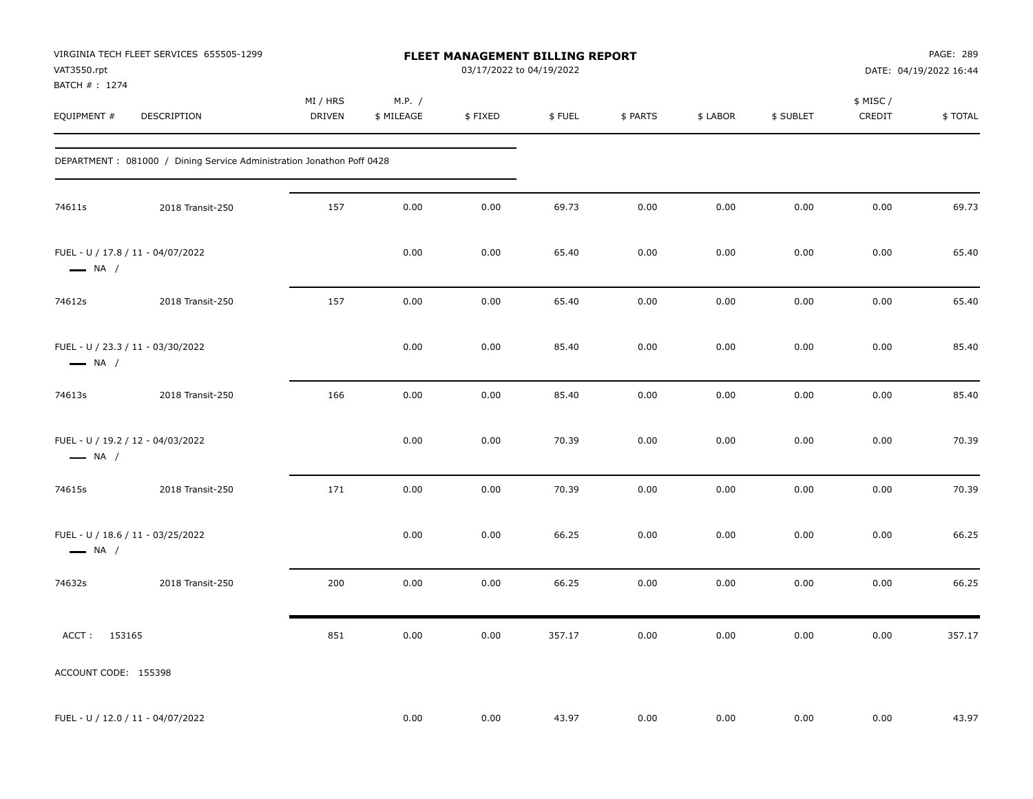| VAT3550.rpt<br>BATCH #: 1274 | VIRGINIA TECH FLEET SERVICES 655505-1299                               |                    |                      | <b>FLEET MANAGEMENT BILLING REPORT</b><br>03/17/2022 to 04/19/2022 |        |          |          |           |                    | PAGE: 289<br>DATE: 04/19/2022 16:44 |
|------------------------------|------------------------------------------------------------------------|--------------------|----------------------|--------------------------------------------------------------------|--------|----------|----------|-----------|--------------------|-------------------------------------|
| EQUIPMENT #                  | DESCRIPTION                                                            | MI / HRS<br>DRIVEN | M.P. /<br>\$ MILEAGE | \$FIXED                                                            | \$FUEL | \$ PARTS | \$ LABOR | \$ SUBLET | \$ MISC/<br>CREDIT | \$TOTAL                             |
|                              | DEPARTMENT : 081000 / Dining Service Administration Jonathon Poff 0428 |                    |                      |                                                                    |        |          |          |           |                    |                                     |
| 74611s                       | 2018 Transit-250                                                       | 157                | 0.00                 | 0.00                                                               | 69.73  | 0.00     | 0.00     | 0.00      | 0.00               | 69.73                               |
| $\longrightarrow$ NA /       | FUEL - U / 17.8 / 11 - 04/07/2022                                      |                    | 0.00                 | 0.00                                                               | 65.40  | 0.00     | 0.00     | 0.00      | 0.00               | 65.40                               |
| 74612s                       | 2018 Transit-250                                                       | 157                | 0.00                 | 0.00                                                               | 65.40  | 0.00     | 0.00     | 0.00      | 0.00               | 65.40                               |
| $\longrightarrow$ NA /       | FUEL - U / 23.3 / 11 - 03/30/2022                                      |                    | 0.00                 | 0.00                                                               | 85.40  | 0.00     | 0.00     | 0.00      | 0.00               | 85.40                               |
| 74613s                       | 2018 Transit-250                                                       | 166                | 0.00                 | 0.00                                                               | 85.40  | 0.00     | 0.00     | 0.00      | 0.00               | 85.40                               |
| $\longrightarrow$ NA /       | FUEL - U / 19.2 / 12 - 04/03/2022                                      |                    | 0.00                 | 0.00                                                               | 70.39  | 0.00     | 0.00     | 0.00      | 0.00               | 70.39                               |
| 74615s                       | 2018 Transit-250                                                       | 171                | 0.00                 | 0.00                                                               | 70.39  | 0.00     | 0.00     | 0.00      | 0.00               | 70.39                               |
| $\longrightarrow$ NA /       | FUEL - U / 18.6 / 11 - 03/25/2022                                      |                    | 0.00                 | 0.00                                                               | 66.25  | 0.00     | 0.00     | 0.00      | 0.00               | 66.25                               |
| 74632s                       | 2018 Transit-250                                                       | 200                | 0.00                 | 0.00                                                               | 66.25  | 0.00     | 0.00     | 0.00      | 0.00               | 66.25                               |
| ACCT: 153165                 |                                                                        | 851                | 0.00                 | 0.00                                                               | 357.17 | 0.00     | 0.00     | 0.00      | 0.00               | 357.17                              |
| ACCOUNT CODE: 155398         |                                                                        |                    |                      |                                                                    |        |          |          |           |                    |                                     |
|                              | FUEL - U / 12.0 / 11 - 04/07/2022                                      |                    | 0.00                 | 0.00                                                               | 43.97  | 0.00     | 0.00     | 0.00      | 0.00               | 43.97                               |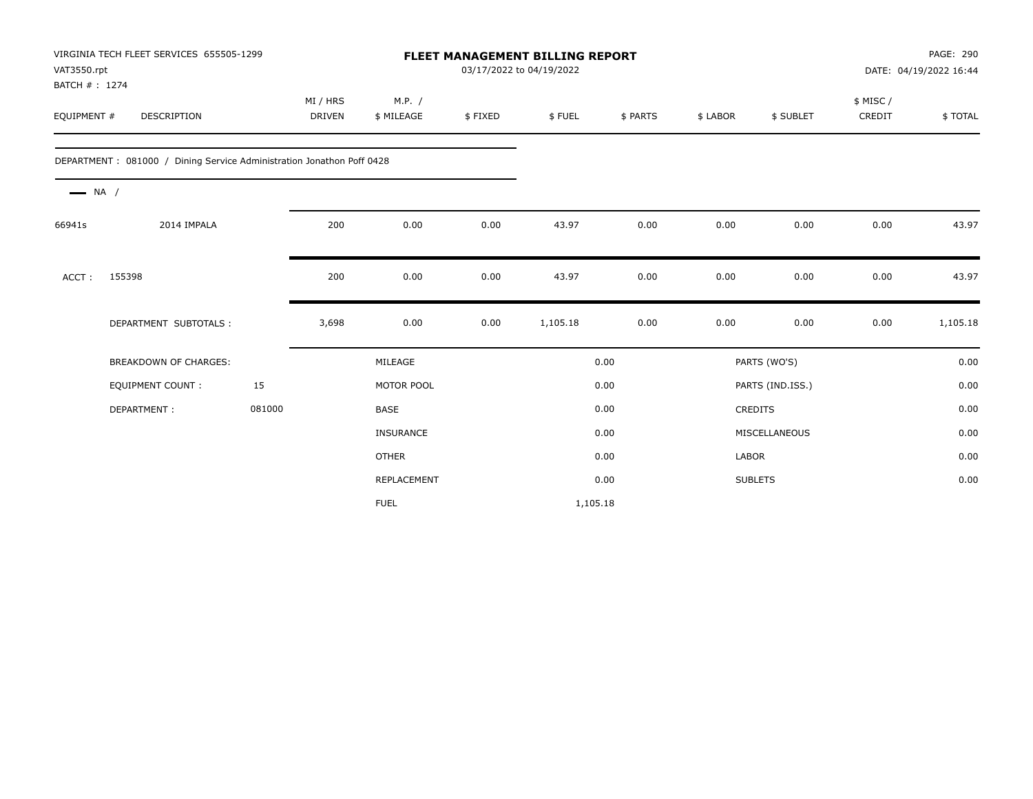| VAT3550.rpt<br>BATCH #: 1274 | VIRGINIA TECH FLEET SERVICES 655505-1299                               |        |                           |                      |         | <b>FLEET MANAGEMENT BILLING REPORT</b><br>03/17/2022 to 04/19/2022 |          |              |                  |                    | PAGE: 290<br>DATE: 04/19/2022 16:44 |
|------------------------------|------------------------------------------------------------------------|--------|---------------------------|----------------------|---------|--------------------------------------------------------------------|----------|--------------|------------------|--------------------|-------------------------------------|
| EQUIPMENT #                  | <b>DESCRIPTION</b>                                                     |        | MI / HRS<br><b>DRIVEN</b> | M.P. /<br>\$ MILEAGE | \$FIXED | \$FUEL                                                             | \$ PARTS | \$ LABOR     | \$ SUBLET        | \$ MISC/<br>CREDIT | \$TOTAL                             |
|                              | DEPARTMENT : 081000 / Dining Service Administration Jonathon Poff 0428 |        |                           |                      |         |                                                                    |          |              |                  |                    |                                     |
| $\longrightarrow$ NA /       |                                                                        |        |                           |                      |         |                                                                    |          |              |                  |                    |                                     |
| 66941s                       | 2014 IMPALA                                                            |        | 200                       | 0.00                 | 0.00    | 43.97                                                              | 0.00     | 0.00         | 0.00             | 0.00               | 43.97                               |
| ACCT:                        | 155398                                                                 |        | 200                       | 0.00                 | 0.00    | 43.97                                                              | 0.00     | 0.00         | 0.00             | 0.00               | 43.97                               |
|                              | DEPARTMENT SUBTOTALS :                                                 |        | 3,698                     | 0.00                 | 0.00    | 1,105.18                                                           | 0.00     | 0.00         | 0.00             | 0.00               | 1,105.18                            |
|                              | BREAKDOWN OF CHARGES:                                                  |        |                           | MILEAGE              |         |                                                                    | 0.00     |              | PARTS (WO'S)     |                    | 0.00                                |
|                              | <b>EQUIPMENT COUNT:</b>                                                | 15     |                           | MOTOR POOL           |         |                                                                    | 0.00     |              | PARTS (IND.ISS.) |                    | 0.00                                |
|                              | DEPARTMENT:                                                            | 081000 |                           | <b>BASE</b>          |         |                                                                    | 0.00     |              | <b>CREDITS</b>   |                    | 0.00                                |
|                              |                                                                        |        |                           | <b>INSURANCE</b>     |         |                                                                    | 0.00     |              | MISCELLANEOUS    |                    | 0.00                                |
|                              |                                                                        |        |                           | <b>OTHER</b>         |         |                                                                    | 0.00     | <b>LABOR</b> |                  |                    | 0.00                                |
|                              |                                                                        |        |                           | REPLACEMENT          |         |                                                                    | 0.00     |              | <b>SUBLETS</b>   |                    | 0.00                                |
|                              |                                                                        |        |                           | <b>FUEL</b>          |         | 1,105.18                                                           |          |              |                  |                    |                                     |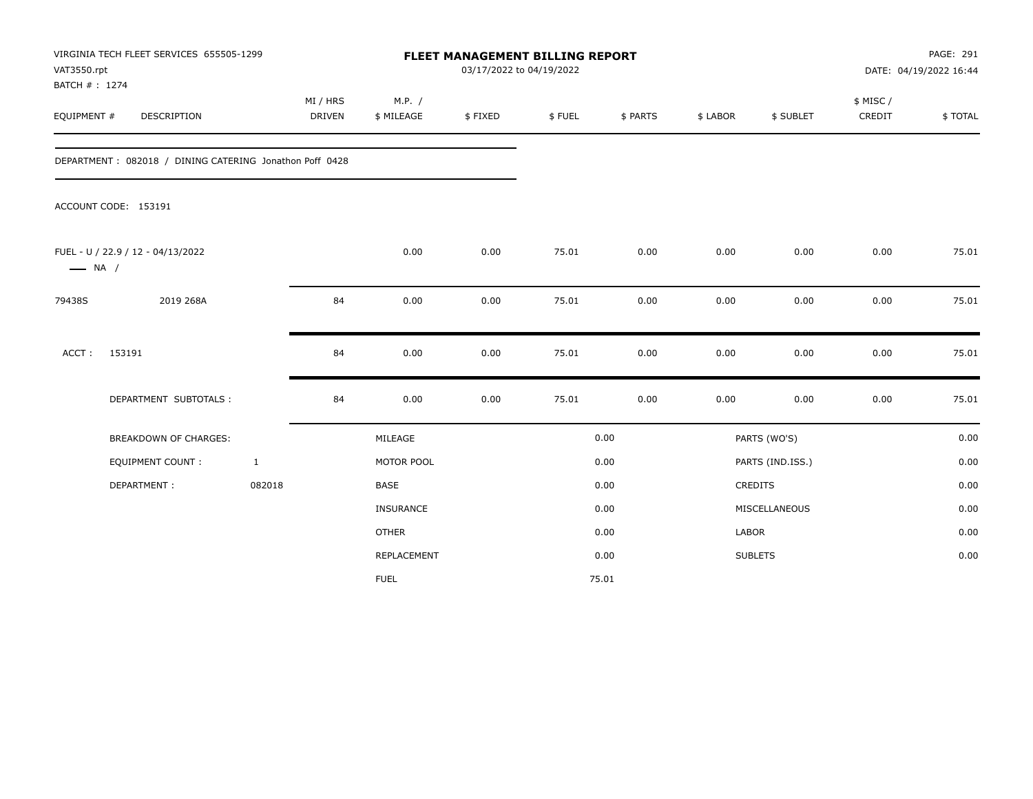| VAT3550.rpt<br>BATCH #: 1274 | VIRGINIA TECH FLEET SERVICES 655505-1299                |                           |    |                      | 03/17/2022 to 04/19/2022 | FLEET MANAGEMENT BILLING REPORT |          |              |                  |                     | PAGE: 291<br>DATE: 04/19/2022 16:44 |
|------------------------------|---------------------------------------------------------|---------------------------|----|----------------------|--------------------------|---------------------------------|----------|--------------|------------------|---------------------|-------------------------------------|
| EQUIPMENT #                  | <b>DESCRIPTION</b>                                      | MI / HRS<br><b>DRIVEN</b> |    | M.P. /<br>\$ MILEAGE | \$FIXED                  | \$FUEL                          | \$ PARTS | \$ LABOR     | \$ SUBLET        | \$ MISC /<br>CREDIT | \$TOTAL                             |
|                              | DEPARTMENT: 082018 / DINING CATERING Jonathon Poff 0428 |                           |    |                      |                          |                                 |          |              |                  |                     |                                     |
|                              | ACCOUNT CODE: 153191                                    |                           |    |                      |                          |                                 |          |              |                  |                     |                                     |
| $\longrightarrow$ NA /       | FUEL - U / 22.9 / 12 - 04/13/2022                       |                           |    | 0.00                 | 0.00                     | 75.01                           | 0.00     | 0.00         | 0.00             | 0.00                | 75.01                               |
| 79438S                       | 2019 268A                                               |                           | 84 | 0.00                 | 0.00                     | 75.01                           | 0.00     | 0.00         | 0.00             | 0.00                | 75.01                               |
| ACCT:                        | 153191                                                  |                           | 84 | 0.00                 | 0.00                     | 75.01                           | 0.00     | 0.00         | 0.00             | 0.00                | 75.01                               |
|                              | DEPARTMENT SUBTOTALS :                                  |                           | 84 | 0.00                 | 0.00                     | 75.01                           | 0.00     | 0.00         | 0.00             | 0.00                | 75.01                               |
|                              | <b>BREAKDOWN OF CHARGES:</b>                            |                           |    | MILEAGE              |                          |                                 | 0.00     |              | PARTS (WO'S)     |                     | 0.00                                |
|                              | <b>EQUIPMENT COUNT:</b>                                 | $\mathbf{1}$              |    | MOTOR POOL           |                          |                                 | 0.00     |              | PARTS (IND.ISS.) |                     | 0.00                                |
|                              | DEPARTMENT:                                             | 082018                    |    | <b>BASE</b>          |                          |                                 | 0.00     |              | <b>CREDITS</b>   |                     | 0.00                                |
|                              |                                                         |                           |    | <b>INSURANCE</b>     |                          |                                 | 0.00     |              | MISCELLANEOUS    |                     | 0.00                                |
|                              |                                                         |                           |    | <b>OTHER</b>         |                          |                                 | 0.00     | <b>LABOR</b> |                  |                     | 0.00                                |
|                              |                                                         |                           |    | REPLACEMENT          |                          |                                 | 0.00     |              | <b>SUBLETS</b>   |                     | 0.00                                |
|                              |                                                         |                           |    | <b>FUEL</b>          |                          |                                 | 75.01    |              |                  |                     |                                     |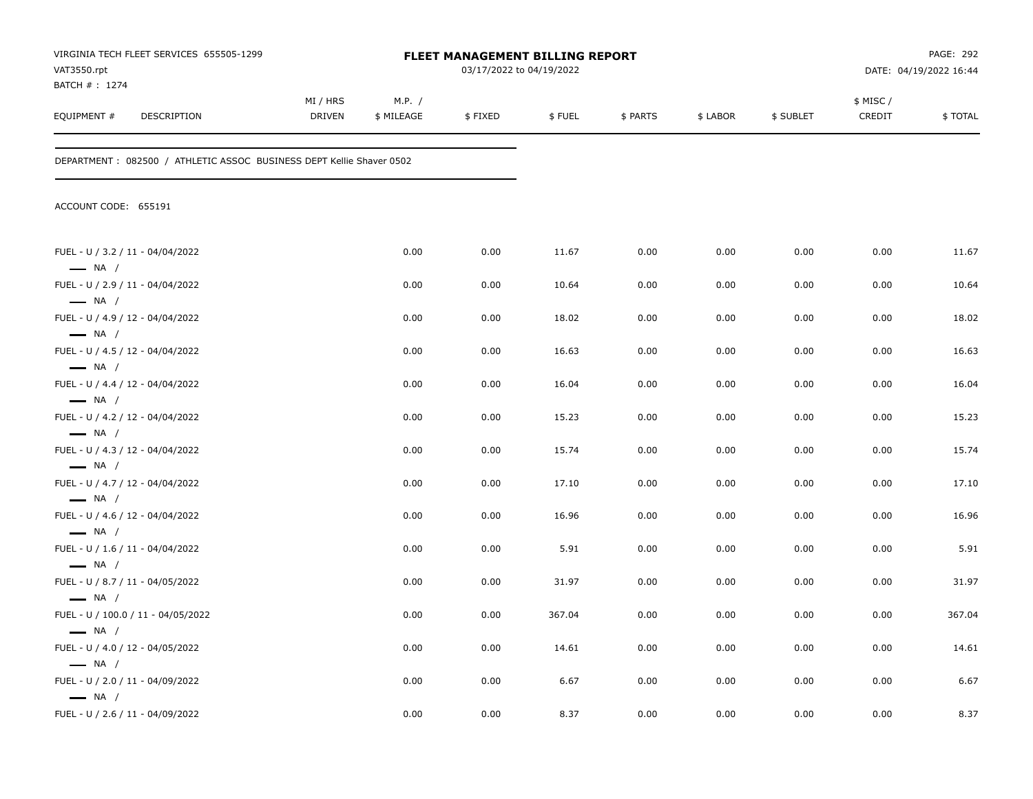| VAT3550.rpt                                                | VIRGINIA TECH FLEET SERVICES 655505-1299                             |                           |                      | <b>FLEET MANAGEMENT BILLING REPORT</b><br>03/17/2022 to 04/19/2022 |        |          |          |           |                     | PAGE: 292<br>DATE: 04/19/2022 16:44 |
|------------------------------------------------------------|----------------------------------------------------------------------|---------------------------|----------------------|--------------------------------------------------------------------|--------|----------|----------|-----------|---------------------|-------------------------------------|
| BATCH #: 1274<br>EQUIPMENT #                               | DESCRIPTION                                                          | MI / HRS<br><b>DRIVEN</b> | M.P. /<br>\$ MILEAGE | \$FIXED                                                            | \$FUEL | \$ PARTS | \$ LABOR | \$ SUBLET | \$ MISC /<br>CREDIT | \$TOTAL                             |
|                                                            | DEPARTMENT: 082500 / ATHLETIC ASSOC BUSINESS DEPT Kellie Shaver 0502 |                           |                      |                                                                    |        |          |          |           |                     |                                     |
| ACCOUNT CODE: 655191                                       |                                                                      |                           |                      |                                                                    |        |          |          |           |                     |                                     |
| FUEL - U / 3.2 / 11 - 04/04/2022<br>$\longrightarrow$ NA / |                                                                      |                           | 0.00                 | 0.00                                                               | 11.67  | 0.00     | 0.00     | 0.00      | 0.00                | 11.67                               |
| FUEL - U / 2.9 / 11 - 04/04/2022                           |                                                                      |                           | 0.00                 | 0.00                                                               | 10.64  | 0.00     | 0.00     | 0.00      | 0.00                | 10.64                               |
| $\longrightarrow$ NA /<br>FUEL - U / 4.9 / 12 - 04/04/2022 |                                                                      |                           | 0.00                 | 0.00                                                               | 18.02  | 0.00     | 0.00     | 0.00      | 0.00                | 18.02                               |
| $\longrightarrow$ NA /<br>FUEL - U / 4.5 / 12 - 04/04/2022 |                                                                      |                           | 0.00                 | 0.00                                                               | 16.63  | 0.00     | 0.00     | 0.00      | 0.00                | 16.63                               |
| $\longrightarrow$ NA /                                     |                                                                      |                           |                      |                                                                    |        |          |          |           |                     |                                     |
| FUEL - U / 4.4 / 12 - 04/04/2022                           |                                                                      |                           | 0.00                 | 0.00                                                               | 16.04  | 0.00     | 0.00     | 0.00      | 0.00                | 16.04                               |
| $\longrightarrow$ NA /<br>FUEL - U / 4.2 / 12 - 04/04/2022 |                                                                      |                           | 0.00                 | 0.00                                                               | 15.23  | 0.00     | 0.00     | 0.00      | 0.00                | 15.23                               |
| $\longrightarrow$ NA /                                     |                                                                      |                           |                      |                                                                    |        |          |          |           |                     |                                     |
| FUEL - U / 4.3 / 12 - 04/04/2022<br>$\longrightarrow$ NA / |                                                                      |                           | 0.00                 | 0.00                                                               | 15.74  | 0.00     | 0.00     | 0.00      | 0.00                | 15.74                               |
| FUEL - U / 4.7 / 12 - 04/04/2022                           |                                                                      |                           | 0.00                 | 0.00                                                               | 17.10  | 0.00     | 0.00     | 0.00      | 0.00                | 17.10                               |
| $\longrightarrow$ NA /                                     |                                                                      |                           |                      |                                                                    |        |          |          |           |                     |                                     |
| FUEL - U / 4.6 / 12 - 04/04/2022<br>$\longrightarrow$ NA / |                                                                      |                           | 0.00                 | 0.00                                                               | 16.96  | 0.00     | 0.00     | 0.00      | 0.00                | 16.96                               |
| FUEL - U / 1.6 / 11 - 04/04/2022                           |                                                                      |                           | 0.00                 | 0.00                                                               | 5.91   | 0.00     | 0.00     | 0.00      | 0.00                | 5.91                                |
| $\longrightarrow$ NA /                                     |                                                                      |                           |                      |                                                                    |        |          |          |           |                     |                                     |
| FUEL - U / 8.7 / 11 - 04/05/2022<br>$\longrightarrow$ NA / |                                                                      |                           | 0.00                 | 0.00                                                               | 31.97  | 0.00     | 0.00     | 0.00      | 0.00                | 31.97                               |
|                                                            | FUEL - U / 100.0 / 11 - 04/05/2022                                   |                           | 0.00                 | 0.00                                                               | 367.04 | 0.00     | 0.00     | 0.00      | 0.00                | 367.04                              |
| $\longrightarrow$ NA /                                     |                                                                      |                           |                      |                                                                    |        |          |          |           |                     |                                     |
| FUEL - U / 4.0 / 12 - 04/05/2022<br>$\longrightarrow$ NA / |                                                                      |                           | 0.00                 | 0.00                                                               | 14.61  | 0.00     | 0.00     | 0.00      | 0.00                | 14.61                               |
| FUEL - U / 2.0 / 11 - 04/09/2022                           |                                                                      |                           | 0.00                 | 0.00                                                               | 6.67   | 0.00     | 0.00     | 0.00      | 0.00                | 6.67                                |
| $\longrightarrow$ NA /                                     |                                                                      |                           |                      |                                                                    |        |          |          |           |                     |                                     |
| FUEL - U / 2.6 / 11 - 04/09/2022                           |                                                                      |                           | 0.00                 | 0.00                                                               | 8.37   | 0.00     | 0.00     | 0.00      | 0.00                | 8.37                                |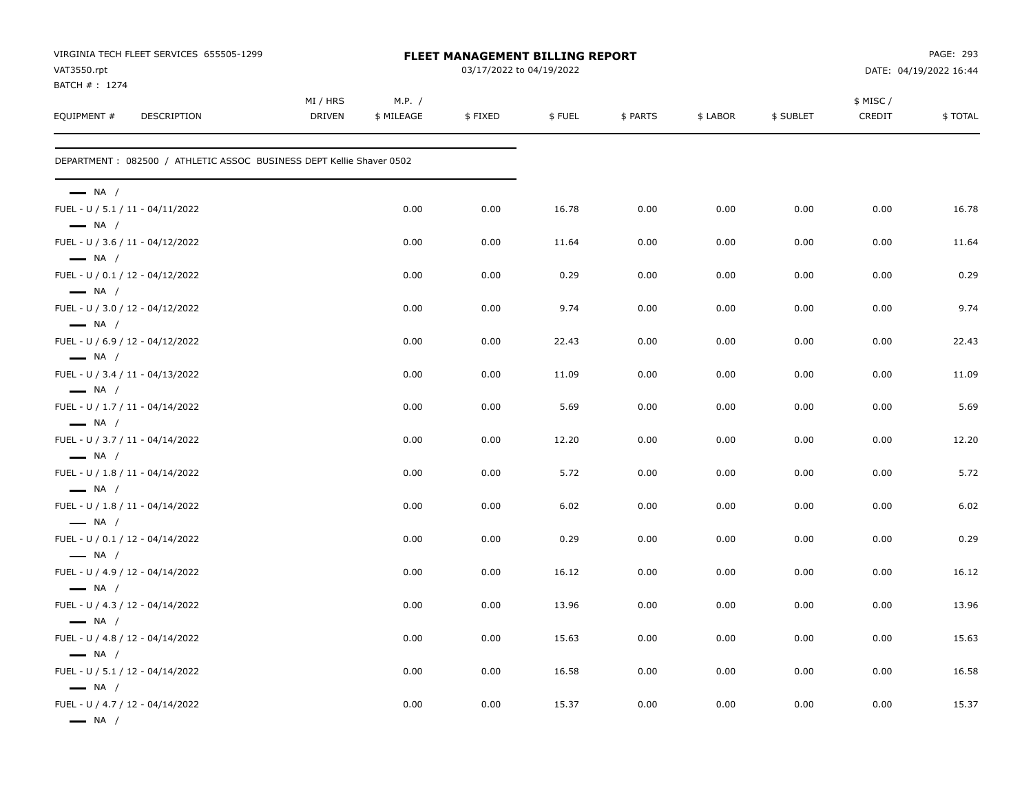| VIRGINIA TECH FLEET SERVICES 655505-1299<br>VAT3550.rpt                              |                    |                        | FLEET MANAGEMENT BILLING REPORT<br>03/17/2022 to 04/19/2022 |        |          |          |           |                    | PAGE: 293<br>DATE: 04/19/2022 16:44 |
|--------------------------------------------------------------------------------------|--------------------|------------------------|-------------------------------------------------------------|--------|----------|----------|-----------|--------------------|-------------------------------------|
| BATCH # : 1274<br>EQUIPMENT #<br>DESCRIPTION                                         | MI / HRS<br>DRIVEN | M.P. $/$<br>\$ MILEAGE | \$FIXED                                                     | \$FUEL | \$ PARTS | \$ LABOR | \$ SUBLET | \$ MISC/<br>CREDIT | \$TOTAL                             |
| DEPARTMENT: 082500 / ATHLETIC ASSOC BUSINESS DEPT Kellie Shaver 0502                 |                    |                        |                                                             |        |          |          |           |                    |                                     |
| $-$ NA $/$                                                                           |                    |                        |                                                             |        |          |          |           |                    |                                     |
| FUEL - U / 5.1 / 11 - 04/11/2022<br>$\longrightarrow$ NA /                           |                    | 0.00                   | 0.00                                                        | 16.78  | 0.00     | 0.00     | 0.00      | 0.00               | 16.78                               |
| FUEL - U / 3.6 / 11 - 04/12/2022<br>$\longrightarrow$ NA /                           |                    | 0.00                   | 0.00                                                        | 11.64  | 0.00     | 0.00     | 0.00      | 0.00               | 11.64                               |
| FUEL - U / 0.1 / 12 - 04/12/2022<br>$\longrightarrow$ NA /                           |                    | 0.00                   | 0.00                                                        | 0.29   | 0.00     | 0.00     | 0.00      | 0.00               | 0.29                                |
| FUEL - U / 3.0 / 12 - 04/12/2022<br>$\longrightarrow$ NA /                           |                    | 0.00                   | 0.00                                                        | 9.74   | 0.00     | 0.00     | 0.00      | 0.00               | 9.74                                |
| FUEL - U / 6.9 / 12 - 04/12/2022<br>$\longrightarrow$ NA /                           |                    | 0.00                   | 0.00                                                        | 22.43  | 0.00     | 0.00     | 0.00      | 0.00               | 22.43                               |
| FUEL - U / 3.4 / 11 - 04/13/2022<br>$\longrightarrow$ NA /                           |                    | 0.00                   | 0.00                                                        | 11.09  | 0.00     | 0.00     | 0.00      | 0.00               | 11.09                               |
| FUEL - U / 1.7 / 11 - 04/14/2022                                                     |                    | 0.00                   | 0.00                                                        | 5.69   | 0.00     | 0.00     | 0.00      | 0.00               | 5.69                                |
| $\longrightarrow$ NA /<br>FUEL - U / 3.7 / 11 - 04/14/2022                           |                    | 0.00                   | 0.00                                                        | 12.20  | 0.00     | 0.00     | 0.00      | 0.00               | 12.20                               |
| $\longrightarrow$ NA /<br>FUEL - U / 1.8 / 11 - 04/14/2022                           |                    | 0.00                   | 0.00                                                        | 5.72   | 0.00     | 0.00     | 0.00      | 0.00               | 5.72                                |
| $\longrightarrow$ NA /<br>FUEL - U / 1.8 / 11 - 04/14/2022                           |                    | 0.00                   | 0.00                                                        | 6.02   | 0.00     | 0.00     | 0.00      | 0.00               | 6.02                                |
| $\longrightarrow$ NA /<br>FUEL - U / 0.1 / 12 - 04/14/2022                           |                    | 0.00                   | 0.00                                                        | 0.29   | 0.00     | 0.00     | 0.00      | 0.00               | 0.29                                |
| $\longrightarrow$ NA /<br>FUEL - U / 4.9 / 12 - 04/14/2022                           |                    | 0.00                   | 0.00                                                        | 16.12  | 0.00     | 0.00     | 0.00      | 0.00               | 16.12                               |
| $\longrightarrow$ NA /<br>FUEL - U / 4.3 / 12 - 04/14/2022                           |                    | 0.00                   | 0.00                                                        | 13.96  | 0.00     | 0.00     | 0.00      | 0.00               | 13.96                               |
| $\longrightarrow$ NA /<br>FUEL - U / 4.8 / 12 - 04/14/2022                           |                    | 0.00                   | 0.00                                                        | 15.63  | 0.00     | 0.00     | 0.00      | 0.00               | 15.63                               |
| $\longrightarrow$ NA /<br>FUEL - U / 5.1 / 12 - 04/14/2022                           |                    | 0.00                   | 0.00                                                        | 16.58  | 0.00     | 0.00     | 0.00      | 0.00               | 16.58                               |
| $\longrightarrow$ NA /<br>FUEL - U / 4.7 / 12 - 04/14/2022<br>$\longrightarrow$ NA / |                    | 0.00                   | 0.00                                                        | 15.37  | 0.00     | 0.00     | 0.00      | 0.00               | 15.37                               |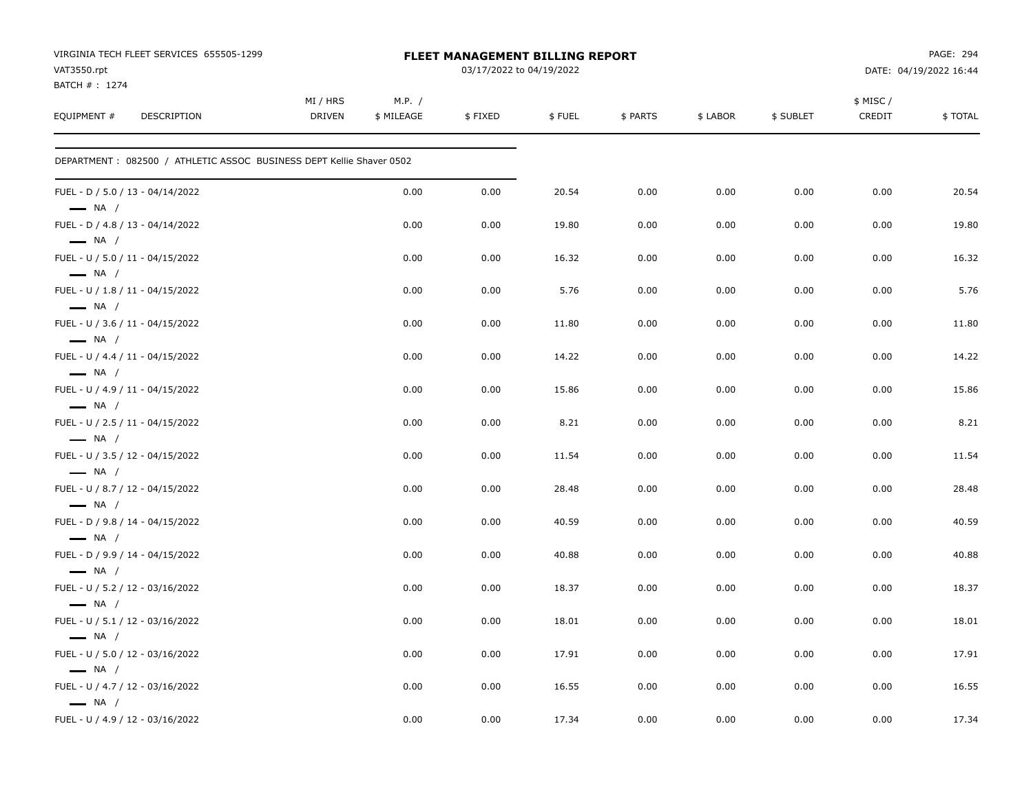| VIRGINIA TECH FLEET SERVICES 655505-1299<br>VAT3550.rpt<br>BATCH #: 1274 |                           |                      | <b>FLEET MANAGEMENT BILLING REPORT</b><br>03/17/2022 to 04/19/2022 |        |          |          |           |                    | PAGE: 294<br>DATE: 04/19/2022 16:44 |
|--------------------------------------------------------------------------|---------------------------|----------------------|--------------------------------------------------------------------|--------|----------|----------|-----------|--------------------|-------------------------------------|
| EQUIPMENT #<br><b>DESCRIPTION</b>                                        | MI / HRS<br><b>DRIVEN</b> | M.P. /<br>\$ MILEAGE | \$FIXED                                                            | \$FUEL | \$ PARTS | \$ LABOR | \$ SUBLET | \$ MISC/<br>CREDIT | \$TOTAL                             |
| DEPARTMENT: 082500 / ATHLETIC ASSOC BUSINESS DEPT Kellie Shaver 0502     |                           |                      |                                                                    |        |          |          |           |                    |                                     |
| FUEL - D / 5.0 / 13 - 04/14/2022<br>$\longrightarrow$ NA /               |                           | 0.00                 | 0.00                                                               | 20.54  | 0.00     | 0.00     | 0.00      | 0.00               | 20.54                               |
| FUEL - D / 4.8 / 13 - 04/14/2022<br>$\longrightarrow$ NA /               |                           | 0.00                 | 0.00                                                               | 19.80  | 0.00     | 0.00     | 0.00      | 0.00               | 19.80                               |
| FUEL - U / 5.0 / 11 - 04/15/2022<br>$\longrightarrow$ NA /               |                           | 0.00                 | 0.00                                                               | 16.32  | 0.00     | 0.00     | 0.00      | 0.00               | 16.32                               |
| FUEL - U / 1.8 / 11 - 04/15/2022<br>$\longrightarrow$ NA /               |                           | 0.00                 | 0.00                                                               | 5.76   | 0.00     | 0.00     | 0.00      | 0.00               | 5.76                                |
| FUEL - U / 3.6 / 11 - 04/15/2022<br>$\longrightarrow$ NA /               |                           | 0.00                 | 0.00                                                               | 11.80  | 0.00     | 0.00     | 0.00      | 0.00               | 11.80                               |
| FUEL - U / 4.4 / 11 - 04/15/2022<br>$\longrightarrow$ NA /               |                           | 0.00                 | 0.00                                                               | 14.22  | 0.00     | 0.00     | 0.00      | 0.00               | 14.22                               |
| FUEL - U / 4.9 / 11 - 04/15/2022<br>$\longrightarrow$ NA /               |                           | 0.00                 | 0.00                                                               | 15.86  | 0.00     | 0.00     | 0.00      | 0.00               | 15.86                               |
| FUEL - U / 2.5 / 11 - 04/15/2022<br>$\longrightarrow$ NA /               |                           | 0.00                 | 0.00                                                               | 8.21   | 0.00     | 0.00     | 0.00      | 0.00               | 8.21                                |
| FUEL - U / 3.5 / 12 - 04/15/2022<br>$\longrightarrow$ NA /               |                           | 0.00                 | 0.00                                                               | 11.54  | 0.00     | 0.00     | 0.00      | 0.00               | 11.54                               |
| FUEL - U / 8.7 / 12 - 04/15/2022<br>$\longrightarrow$ NA /               |                           | 0.00                 | 0.00                                                               | 28.48  | 0.00     | 0.00     | 0.00      | 0.00               | 28.48                               |
| FUEL - D / 9.8 / 14 - 04/15/2022<br>$\longrightarrow$ NA /               |                           | 0.00                 | 0.00                                                               | 40.59  | 0.00     | 0.00     | 0.00      | 0.00               | 40.59                               |
| FUEL - D / 9.9 / 14 - 04/15/2022<br>$\longrightarrow$ NA /               |                           | 0.00                 | 0.00                                                               | 40.88  | 0.00     | 0.00     | 0.00      | 0.00               | 40.88                               |
| FUEL - U / 5.2 / 12 - 03/16/2022<br>$\longrightarrow$ NA /               |                           | 0.00                 | 0.00                                                               | 18.37  | 0.00     | 0.00     | 0.00      | 0.00               | 18.37                               |
| FUEL - U / 5.1 / 12 - 03/16/2022<br>$\longrightarrow$ NA /               |                           | 0.00                 | 0.00                                                               | 18.01  | 0.00     | 0.00     | 0.00      | 0.00               | 18.01                               |
| FUEL - U / 5.0 / 12 - 03/16/2022<br>$\equiv$ NA /                        |                           | 0.00                 | 0.00                                                               | 17.91  | 0.00     | 0.00     | 0.00      | 0.00               | 17.91                               |
| FUEL - U / 4.7 / 12 - 03/16/2022<br>$\longrightarrow$ NA /               |                           | 0.00                 | 0.00                                                               | 16.55  | 0.00     | 0.00     | 0.00      | 0.00               | 16.55                               |
| FUEL - U / 4.9 / 12 - 03/16/2022                                         |                           | 0.00                 | 0.00                                                               | 17.34  | 0.00     | 0.00     | 0.00      | 0.00               | 17.34                               |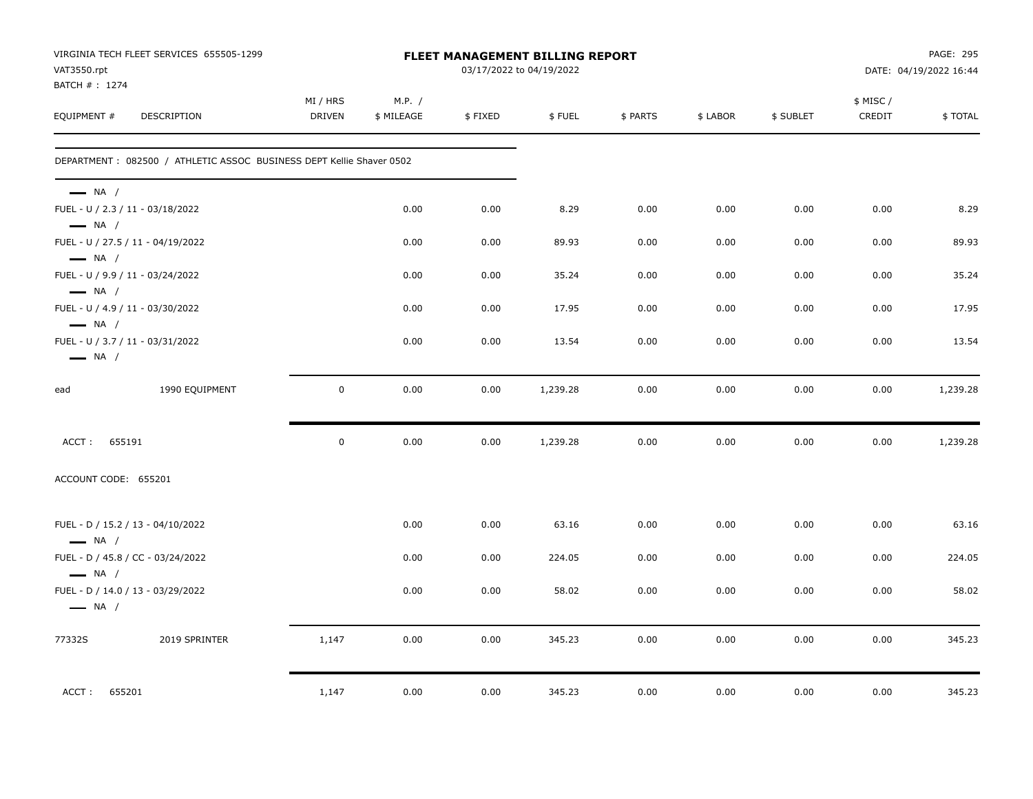| VAT3550.rpt                                                | VIRGINIA TECH FLEET SERVICES 655505-1299                             |                    |                      |         | <b>FLEET MANAGEMENT BILLING REPORT</b><br>03/17/2022 to 04/19/2022 |          |          |           |                     | PAGE: 295<br>DATE: 04/19/2022 16:44 |
|------------------------------------------------------------|----------------------------------------------------------------------|--------------------|----------------------|---------|--------------------------------------------------------------------|----------|----------|-----------|---------------------|-------------------------------------|
| BATCH #: 1274<br>EQUIPMENT #                               | DESCRIPTION                                                          | MI / HRS<br>DRIVEN | M.P. /<br>\$ MILEAGE | \$FIXED | \$FUEL                                                             | \$ PARTS | \$ LABOR | \$ SUBLET | \$ MISC /<br>CREDIT | \$TOTAL                             |
|                                                            | DEPARTMENT: 082500 / ATHLETIC ASSOC BUSINESS DEPT Kellie Shaver 0502 |                    |                      |         |                                                                    |          |          |           |                     |                                     |
| $\longrightarrow$ NA /                                     |                                                                      |                    |                      |         |                                                                    |          |          |           |                     |                                     |
| FUEL - U / 2.3 / 11 - 03/18/2022<br>$\longrightarrow$ NA / |                                                                      |                    | 0.00                 | 0.00    | 8.29                                                               | 0.00     | 0.00     | 0.00      | 0.00                | 8.29                                |
| $\longrightarrow$ NA /                                     | FUEL - U / 27.5 / 11 - 04/19/2022                                    |                    | 0.00                 | 0.00    | 89.93                                                              | 0.00     | 0.00     | 0.00      | 0.00                | 89.93                               |
| FUEL - U / 9.9 / 11 - 03/24/2022<br>$\longrightarrow$ NA / |                                                                      |                    | 0.00                 | 0.00    | 35.24                                                              | 0.00     | 0.00     | 0.00      | 0.00                | 35.24                               |
| FUEL - U / 4.9 / 11 - 03/30/2022<br>$\longrightarrow$ NA / |                                                                      |                    | 0.00                 | 0.00    | 17.95                                                              | 0.00     | 0.00     | 0.00      | 0.00                | 17.95                               |
| FUEL - U / 3.7 / 11 - 03/31/2022<br>$\longrightarrow$ NA / |                                                                      |                    | 0.00                 | 0.00    | 13.54                                                              | 0.00     | 0.00     | 0.00      | 0.00                | 13.54                               |
| ead                                                        | 1990 EQUIPMENT                                                       | $\mathbf 0$        | 0.00                 | 0.00    | 1,239.28                                                           | 0.00     | 0.00     | 0.00      | 0.00                | 1,239.28                            |
| 655191<br>ACCT:                                            |                                                                      | $\mathbf 0$        | 0.00                 | 0.00    | 1,239.28                                                           | 0.00     | 0.00     | 0.00      | 0.00                | 1,239.28                            |
| ACCOUNT CODE: 655201                                       |                                                                      |                    |                      |         |                                                                    |          |          |           |                     |                                     |
| $\longrightarrow$ NA /                                     | FUEL - D / 15.2 / 13 - 04/10/2022                                    |                    | 0.00                 | 0.00    | 63.16                                                              | 0.00     | 0.00     | 0.00      | 0.00                | 63.16                               |
| $\longrightarrow$ NA /                                     | FUEL - D / 45.8 / CC - 03/24/2022                                    |                    | 0.00                 | 0.00    | 224.05                                                             | 0.00     | 0.00     | 0.00      | 0.00                | 224.05                              |
| $\longrightarrow$ NA /                                     | FUEL - D / 14.0 / 13 - 03/29/2022                                    |                    | 0.00                 | 0.00    | 58.02                                                              | 0.00     | 0.00     | 0.00      | 0.00                | 58.02                               |
| 77332S                                                     | 2019 SPRINTER                                                        | 1,147              | 0.00                 | 0.00    | 345.23                                                             | 0.00     | 0.00     | 0.00      | 0.00                | 345.23                              |
| ACCT: 655201                                               |                                                                      | 1,147              | 0.00                 | 0.00    | 345.23                                                             | 0.00     | 0.00     | 0.00      | 0.00                | 345.23                              |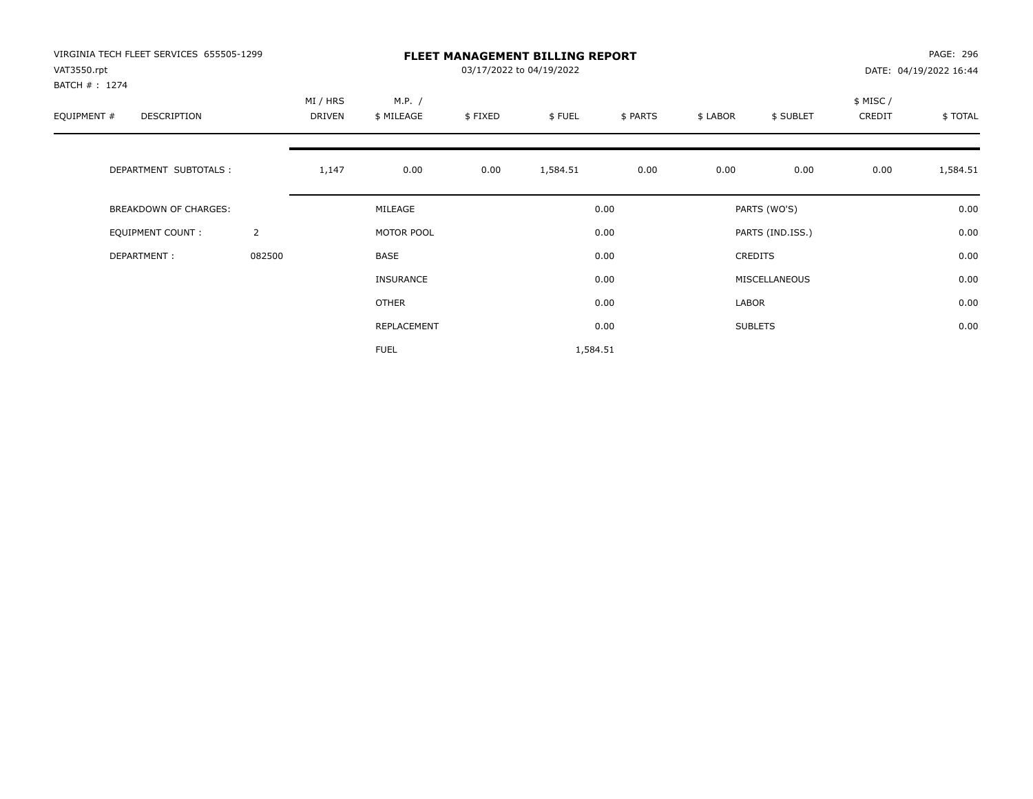| VIRGINIA TECH FLEET SERVICES 655505-1299<br>VAT3550.rpt |                |                    |                      |         | <b>FLEET MANAGEMENT BILLING REPORT</b><br>03/17/2022 to 04/19/2022 |          |          |                  |                    | PAGE: 296<br>DATE: 04/19/2022 16:44 |
|---------------------------------------------------------|----------------|--------------------|----------------------|---------|--------------------------------------------------------------------|----------|----------|------------------|--------------------|-------------------------------------|
| BATCH #: 1274<br>EQUIPMENT #<br>DESCRIPTION             |                | MI / HRS<br>DRIVEN | M.P. /<br>\$ MILEAGE | \$FIXED | \$FUEL                                                             | \$ PARTS | \$ LABOR | \$ SUBLET        | \$ MISC/<br>CREDIT | \$TOTAL                             |
| DEPARTMENT SUBTOTALS :                                  |                | 1,147              | 0.00                 | 0.00    | 1,584.51                                                           | 0.00     | 0.00     | 0.00             | 0.00               | 1,584.51                            |
| <b>BREAKDOWN OF CHARGES:</b>                            |                |                    | MILEAGE              |         |                                                                    | 0.00     |          | PARTS (WO'S)     |                    | 0.00                                |
| <b>EQUIPMENT COUNT:</b>                                 | $\overline{2}$ |                    | MOTOR POOL           |         |                                                                    | 0.00     |          | PARTS (IND.ISS.) |                    | 0.00                                |
| DEPARTMENT:                                             | 082500         |                    | BASE                 |         |                                                                    | 0.00     |          | CREDITS          |                    | 0.00                                |
|                                                         |                |                    | <b>INSURANCE</b>     |         |                                                                    | 0.00     |          | MISCELLANEOUS    |                    | 0.00                                |
|                                                         |                |                    | OTHER                |         |                                                                    | 0.00     | LABOR    |                  |                    | 0.00                                |
|                                                         |                |                    | REPLACEMENT          |         |                                                                    | 0.00     |          | <b>SUBLETS</b>   |                    | 0.00                                |
|                                                         |                |                    | <b>FUEL</b>          |         | 1,584.51                                                           |          |          |                  |                    |                                     |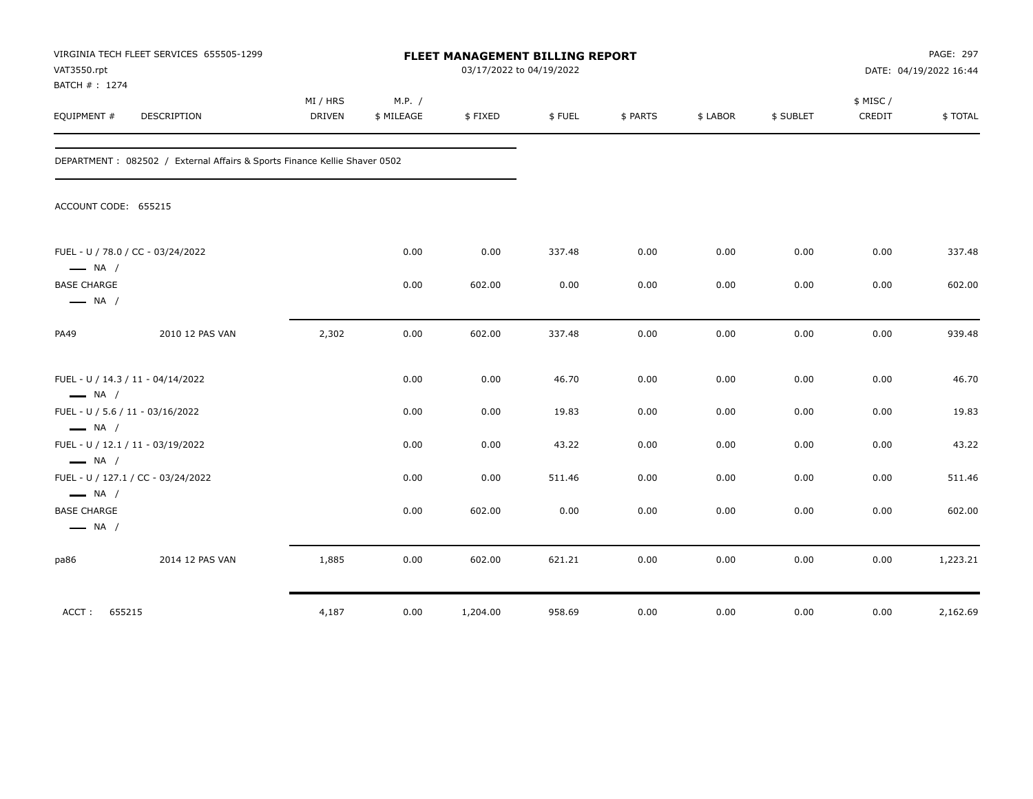| VAT3550.rpt<br>BATCH # : 1274                | VIRGINIA TECH FLEET SERVICES 655505-1299                                   |                           |                      |          | FLEET MANAGEMENT BILLING REPORT<br>03/17/2022 to 04/19/2022 |          |          |           |                     | PAGE: 297<br>DATE: 04/19/2022 16:44 |
|----------------------------------------------|----------------------------------------------------------------------------|---------------------------|----------------------|----------|-------------------------------------------------------------|----------|----------|-----------|---------------------|-------------------------------------|
| EQUIPMENT #                                  | DESCRIPTION                                                                | MI / HRS<br><b>DRIVEN</b> | M.P. /<br>\$ MILEAGE | \$FIXED  | \$FUEL                                                      | \$ PARTS | \$ LABOR | \$ SUBLET | \$ MISC /<br>CREDIT | \$TOTAL                             |
|                                              | DEPARTMENT : 082502 / External Affairs & Sports Finance Kellie Shaver 0502 |                           |                      |          |                                                             |          |          |           |                     |                                     |
|                                              | ACCOUNT CODE: 655215                                                       |                           |                      |          |                                                             |          |          |           |                     |                                     |
| $\longrightarrow$ NA /                       | FUEL - U / 78.0 / CC - 03/24/2022                                          |                           | 0.00                 | 0.00     | 337.48                                                      | 0.00     | 0.00     | 0.00      | 0.00                | 337.48                              |
| <b>BASE CHARGE</b><br>$\longrightarrow$ NA / |                                                                            |                           | 0.00                 | 602.00   | 0.00                                                        | 0.00     | 0.00     | 0.00      | 0.00                | 602.00                              |
| <b>PA49</b>                                  | 2010 12 PAS VAN                                                            | 2,302                     | 0.00                 | 602.00   | 337.48                                                      | 0.00     | 0.00     | 0.00      | 0.00                | 939.48                              |
| $\longrightarrow$ NA /                       | FUEL - U / 14.3 / 11 - 04/14/2022                                          |                           | 0.00                 | 0.00     | 46.70                                                       | 0.00     | 0.00     | 0.00      | 0.00                | 46.70                               |
| $\longrightarrow$ NA /                       | FUEL - U / 5.6 / 11 - 03/16/2022                                           |                           | 0.00                 | 0.00     | 19.83                                                       | 0.00     | 0.00     | 0.00      | 0.00                | 19.83                               |
| $\longrightarrow$ NA /                       | FUEL - U / 12.1 / 11 - 03/19/2022                                          |                           | 0.00                 | 0.00     | 43.22                                                       | 0.00     | 0.00     | 0.00      | 0.00                | 43.22                               |
| $\longrightarrow$ NA /                       | FUEL - U / 127.1 / CC - 03/24/2022                                         |                           | 0.00                 | 0.00     | 511.46                                                      | 0.00     | 0.00     | 0.00      | 0.00                | 511.46                              |
| <b>BASE CHARGE</b><br>$\longrightarrow$ NA / |                                                                            |                           | 0.00                 | 602.00   | 0.00                                                        | 0.00     | 0.00     | 0.00      | 0.00                | 602.00                              |
| pa86                                         | 2014 12 PAS VAN                                                            | 1,885                     | 0.00                 | 602.00   | 621.21                                                      | 0.00     | 0.00     | 0.00      | 0.00                | 1,223.21                            |
| ACCT:                                        | 655215                                                                     | 4,187                     | 0.00                 | 1,204.00 | 958.69                                                      | 0.00     | 0.00     | 0.00      | 0.00                | 2,162.69                            |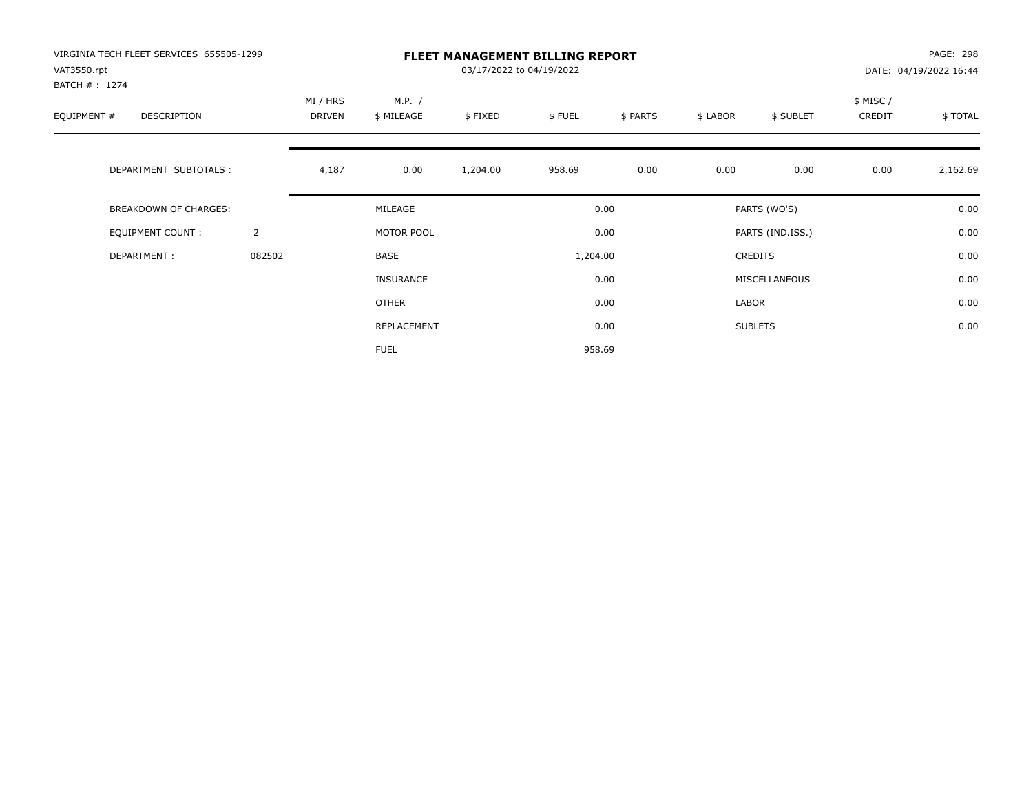| VIRGINIA TECH FLEET SERVICES 655505-1299<br>VAT3550.rpt<br>BATCH #: 1274 |                |                    |                      | 03/17/2022 to 04/19/2022 | <b>FLEET MANAGEMENT BILLING REPORT</b> |          |          |                  |                    | PAGE: 298<br>DATE: 04/19/2022 16:44 |
|--------------------------------------------------------------------------|----------------|--------------------|----------------------|--------------------------|----------------------------------------|----------|----------|------------------|--------------------|-------------------------------------|
| EQUIPMENT #<br>DESCRIPTION                                               |                | MI / HRS<br>DRIVEN | M.P. /<br>\$ MILEAGE | \$FIXED                  | \$FUEL                                 | \$ PARTS | \$ LABOR | \$ SUBLET        | \$ MISC/<br>CREDIT | \$TOTAL                             |
| DEPARTMENT SUBTOTALS :                                                   |                | 4,187              | 0.00                 | 1,204.00                 | 958.69                                 | 0.00     | 0.00     | 0.00             | 0.00               | 2,162.69                            |
| <b>BREAKDOWN OF CHARGES:</b>                                             |                |                    | MILEAGE              |                          |                                        | 0.00     |          | PARTS (WO'S)     |                    | 0.00                                |
| EQUIPMENT COUNT:                                                         | $\overline{2}$ |                    | MOTOR POOL           |                          |                                        | 0.00     |          | PARTS (IND.ISS.) |                    | 0.00                                |
| DEPARTMENT:                                                              | 082502         |                    | <b>BASE</b>          |                          | 1,204.00                               |          |          | <b>CREDITS</b>   |                    | 0.00                                |
|                                                                          |                |                    | INSURANCE            |                          |                                        | 0.00     |          | MISCELLANEOUS    |                    | 0.00                                |
|                                                                          |                |                    | <b>OTHER</b>         |                          |                                        | 0.00     | LABOR    |                  |                    | 0.00                                |
|                                                                          |                |                    | <b>REPLACEMENT</b>   |                          |                                        | 0.00     |          | <b>SUBLETS</b>   |                    | 0.00                                |
|                                                                          |                |                    | <b>FUEL</b>          |                          |                                        | 958.69   |          |                  |                    |                                     |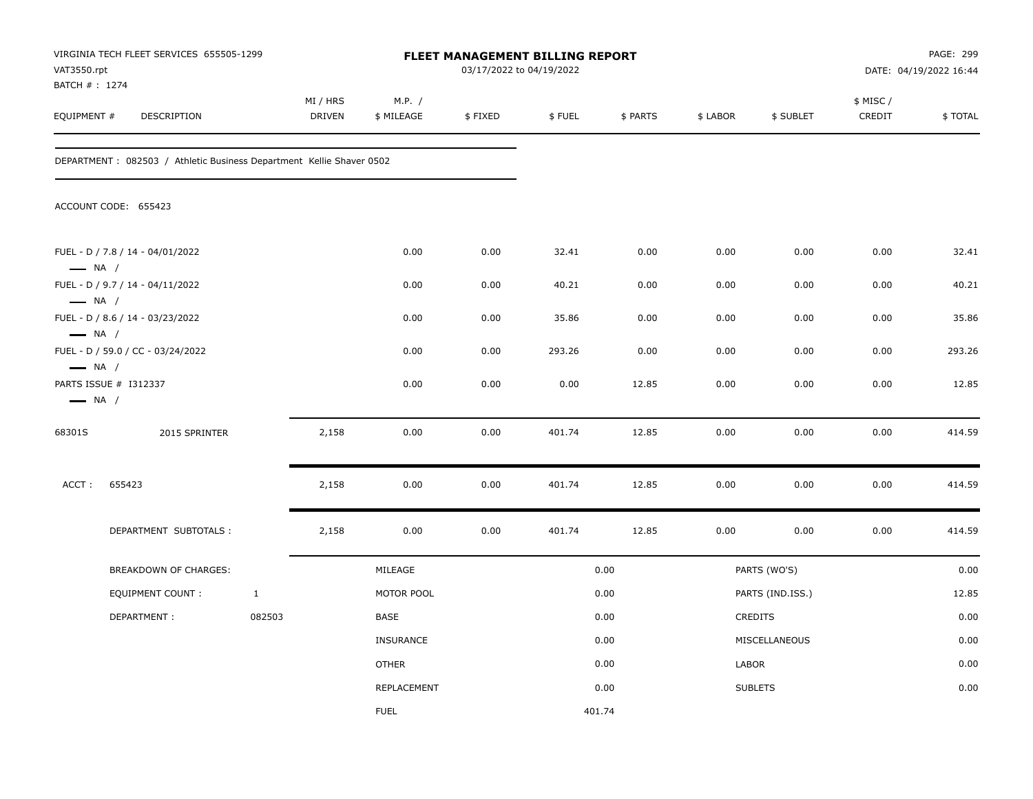| VAT3550.rpt<br>BATCH #: 1274                     | VIRGINIA TECH FLEET SERVICES 655505-1299                              |              |                           |                      | 03/17/2022 to 04/19/2022 | <b>FLEET MANAGEMENT BILLING REPORT</b> |          |          |                  |                     | PAGE: 299<br>DATE: 04/19/2022 16:44 |
|--------------------------------------------------|-----------------------------------------------------------------------|--------------|---------------------------|----------------------|--------------------------|----------------------------------------|----------|----------|------------------|---------------------|-------------------------------------|
| EQUIPMENT #                                      | DESCRIPTION                                                           |              | MI / HRS<br><b>DRIVEN</b> | M.P. /<br>\$ MILEAGE | \$FIXED                  | \$FUEL                                 | \$ PARTS | \$ LABOR | \$ SUBLET        | \$ MISC /<br>CREDIT | \$TOTAL                             |
|                                                  | DEPARTMENT : 082503 / Athletic Business Department Kellie Shaver 0502 |              |                           |                      |                          |                                        |          |          |                  |                     |                                     |
|                                                  | ACCOUNT CODE: 655423                                                  |              |                           |                      |                          |                                        |          |          |                  |                     |                                     |
| $\longrightarrow$ NA /                           | FUEL - D / 7.8 / 14 - 04/01/2022                                      |              |                           | 0.00                 | 0.00                     | 32.41                                  | 0.00     | 0.00     | 0.00             | 0.00                | 32.41                               |
| $\longrightarrow$ NA /                           | FUEL - D / 9.7 / 14 - 04/11/2022                                      |              |                           | 0.00                 | 0.00                     | 40.21                                  | 0.00     | 0.00     | 0.00             | 0.00                | 40.21                               |
|                                                  | FUEL - D / 8.6 / 14 - 03/23/2022                                      |              |                           | 0.00                 | 0.00                     | 35.86                                  | 0.00     | 0.00     | 0.00             | 0.00                | 35.86                               |
| $\longrightarrow$ NA /<br>$\longrightarrow$ NA / | FUEL - D / 59.0 / CC - 03/24/2022                                     |              |                           | 0.00                 | 0.00                     | 293.26                                 | 0.00     | 0.00     | 0.00             | 0.00                | 293.26                              |
| $\longrightarrow$ NA /                           | PARTS ISSUE # I312337                                                 |              |                           | 0.00                 | 0.00                     | 0.00                                   | 12.85    | 0.00     | 0.00             | 0.00                | 12.85                               |
| 68301S                                           | 2015 SPRINTER                                                         |              | 2,158                     | 0.00                 | 0.00                     | 401.74                                 | 12.85    | 0.00     | 0.00             | 0.00                | 414.59                              |
| ACCT:                                            | 655423                                                                |              | 2,158                     | 0.00                 | 0.00                     | 401.74                                 | 12.85    | 0.00     | 0.00             | 0.00                | 414.59                              |
|                                                  | DEPARTMENT SUBTOTALS :                                                |              | 2,158                     | 0.00                 | 0.00                     | 401.74                                 | 12.85    | 0.00     | 0.00             | 0.00                | 414.59                              |
|                                                  | <b>BREAKDOWN OF CHARGES:</b>                                          |              |                           | MILEAGE              |                          |                                        | 0.00     |          | PARTS (WO'S)     |                     | 0.00                                |
|                                                  | <b>EQUIPMENT COUNT:</b>                                               | $\mathbf{1}$ |                           | MOTOR POOL           |                          |                                        | 0.00     |          | PARTS (IND.ISS.) |                     | 12.85                               |
|                                                  | DEPARTMENT:                                                           | 082503       |                           | BASE                 |                          |                                        | 0.00     |          | <b>CREDITS</b>   |                     | 0.00                                |
|                                                  |                                                                       |              |                           | <b>INSURANCE</b>     |                          |                                        | 0.00     |          | MISCELLANEOUS    |                     | 0.00                                |
|                                                  |                                                                       |              |                           | OTHER                |                          |                                        | 0.00     | LABOR    |                  |                     | 0.00                                |
|                                                  |                                                                       |              |                           | REPLACEMENT          |                          |                                        | 0.00     |          | <b>SUBLETS</b>   |                     | 0.00                                |
|                                                  |                                                                       |              |                           | <b>FUEL</b>          |                          |                                        | 401.74   |          |                  |                     |                                     |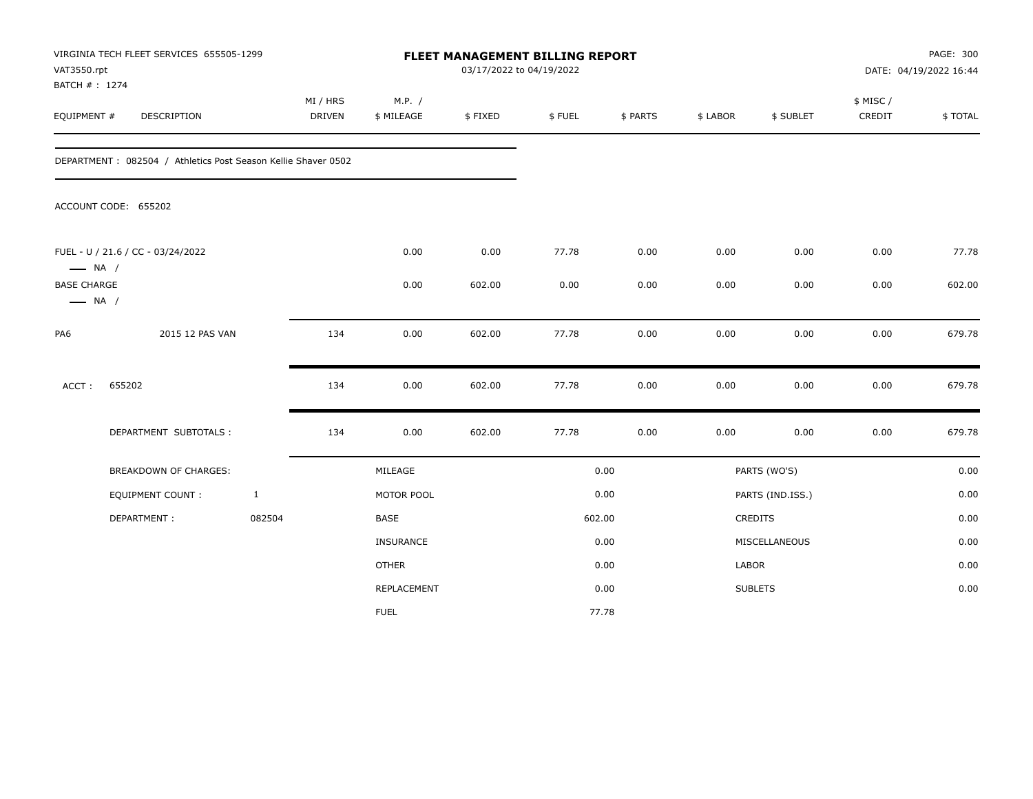| VAT3550.rpt<br>BATCH #: 1274                 | VIRGINIA TECH FLEET SERVICES 655505-1299                      |              |                           |                      | 03/17/2022 to 04/19/2022 | FLEET MANAGEMENT BILLING REPORT |          |          |                  |                    | PAGE: 300<br>DATE: 04/19/2022 16:44 |
|----------------------------------------------|---------------------------------------------------------------|--------------|---------------------------|----------------------|--------------------------|---------------------------------|----------|----------|------------------|--------------------|-------------------------------------|
| EQUIPMENT #                                  | <b>DESCRIPTION</b>                                            |              | MI / HRS<br><b>DRIVEN</b> | M.P. /<br>\$ MILEAGE | \$FIXED                  | \$FUEL                          | \$ PARTS | \$ LABOR | \$ SUBLET        | \$ MISC/<br>CREDIT | \$TOTAL                             |
|                                              | DEPARTMENT: 082504 / Athletics Post Season Kellie Shaver 0502 |              |                           |                      |                          |                                 |          |          |                  |                    |                                     |
|                                              | ACCOUNT CODE: 655202                                          |              |                           |                      |                          |                                 |          |          |                  |                    |                                     |
| $\longrightarrow$ NA /                       | FUEL - U / 21.6 / CC - 03/24/2022                             |              |                           | 0.00                 | 0.00                     | 77.78                           | 0.00     | 0.00     | 0.00             | 0.00               | 77.78                               |
| <b>BASE CHARGE</b><br>$\longrightarrow$ NA / |                                                               |              |                           | 0.00                 | 602.00                   | 0.00                            | 0.00     | 0.00     | 0.00             | 0.00               | 602.00                              |
| PA6                                          | 2015 12 PAS VAN                                               |              | 134                       | 0.00                 | 602.00                   | 77.78                           | 0.00     | 0.00     | 0.00             | 0.00               | 679.78                              |
| ACCT:                                        | 655202                                                        |              | 134                       | 0.00                 | 602.00                   | 77.78                           | 0.00     | 0.00     | 0.00             | 0.00               | 679.78                              |
|                                              | DEPARTMENT SUBTOTALS :                                        |              | 134                       | 0.00                 | 602.00                   | 77.78                           | 0.00     | 0.00     | 0.00             | 0.00               | 679.78                              |
|                                              | BREAKDOWN OF CHARGES:                                         |              |                           | MILEAGE              |                          |                                 | 0.00     |          | PARTS (WO'S)     |                    | 0.00                                |
|                                              | EQUIPMENT COUNT :                                             | $\mathbf{1}$ |                           | MOTOR POOL           |                          |                                 | 0.00     |          | PARTS (IND.ISS.) |                    | 0.00                                |
|                                              | DEPARTMENT:                                                   | 082504       |                           | BASE                 |                          |                                 | 602.00   |          | <b>CREDITS</b>   |                    | 0.00                                |
|                                              |                                                               |              |                           | INSURANCE            |                          |                                 | 0.00     |          | MISCELLANEOUS    |                    | 0.00                                |
|                                              |                                                               |              |                           | <b>OTHER</b>         |                          |                                 | 0.00     | LABOR    |                  |                    | 0.00                                |
|                                              |                                                               |              |                           | REPLACEMENT          |                          |                                 | 0.00     |          | <b>SUBLETS</b>   |                    | 0.00                                |
|                                              |                                                               |              |                           | <b>FUEL</b>          |                          |                                 | 77.78    |          |                  |                    |                                     |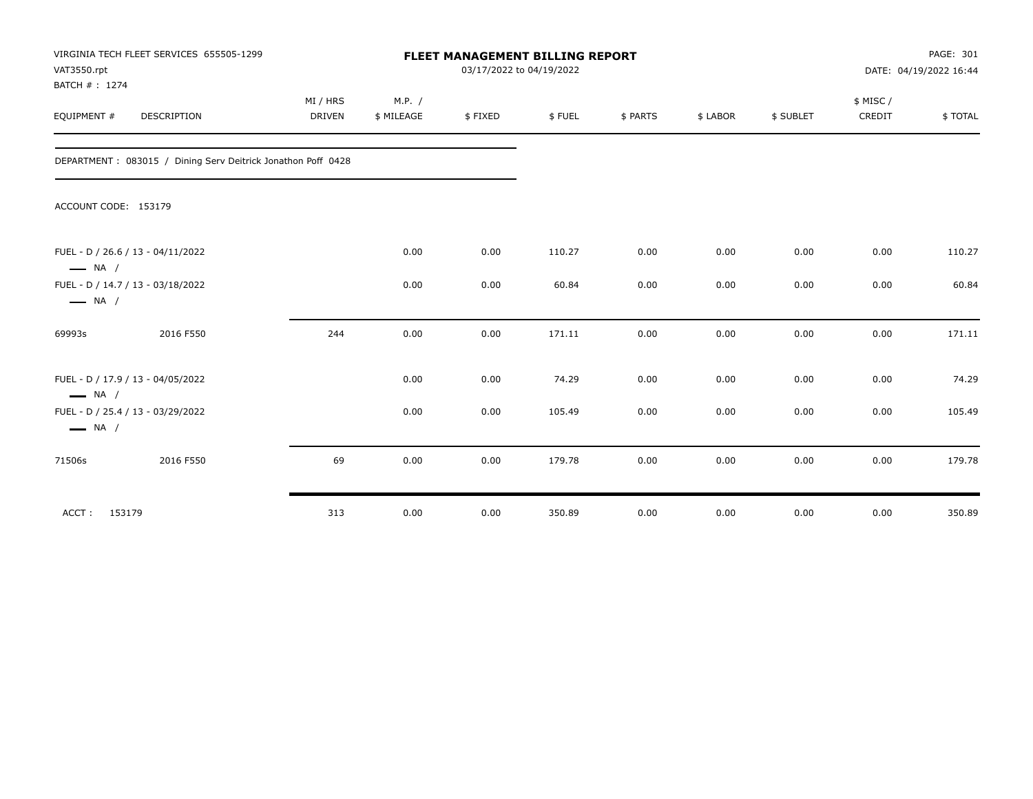| VAT3550.rpt<br>BATCH #: 1274 | VIRGINIA TECH FLEET SERVICES 655505-1299                     |                           | <b>FLEET MANAGEMENT BILLING REPORT</b><br>03/17/2022 to 04/19/2022 |         |        |          |          |           |                     | PAGE: 301<br>DATE: 04/19/2022 16:44 |  |
|------------------------------|--------------------------------------------------------------|---------------------------|--------------------------------------------------------------------|---------|--------|----------|----------|-----------|---------------------|-------------------------------------|--|
| EQUIPMENT #                  | DESCRIPTION                                                  | MI / HRS<br><b>DRIVEN</b> | M.P. /<br>\$ MILEAGE                                               | \$FIXED | \$FUEL | \$ PARTS | \$ LABOR | \$ SUBLET | \$ MISC /<br>CREDIT | \$TOTAL                             |  |
|                              | DEPARTMENT: 083015 / Dining Serv Deitrick Jonathon Poff 0428 |                           |                                                                    |         |        |          |          |           |                     |                                     |  |
| ACCOUNT CODE: 153179         |                                                              |                           |                                                                    |         |        |          |          |           |                     |                                     |  |
| $\longrightarrow$ NA /       | FUEL - D / 26.6 / 13 - 04/11/2022                            |                           | 0.00                                                               | 0.00    | 110.27 | 0.00     | 0.00     | 0.00      | 0.00                | 110.27                              |  |
| $\equiv$ NA /                | FUEL - D / 14.7 / 13 - 03/18/2022                            |                           | 0.00                                                               | 0.00    | 60.84  | 0.00     | 0.00     | 0.00      | 0.00                | 60.84                               |  |
| 69993s                       | 2016 F550                                                    | 244                       | 0.00                                                               | 0.00    | 171.11 | 0.00     | 0.00     | 0.00      | 0.00                | 171.11                              |  |
| $\longrightarrow$ NA /       | FUEL - D / 17.9 / 13 - 04/05/2022                            |                           | 0.00                                                               | 0.00    | 74.29  | 0.00     | 0.00     | 0.00      | 0.00                | 74.29                               |  |
| $\longrightarrow$ NA /       | FUEL - D / 25.4 / 13 - 03/29/2022                            |                           | 0.00                                                               | 0.00    | 105.49 | 0.00     | 0.00     | 0.00      | 0.00                | 105.49                              |  |
| 71506s                       | 2016 F550                                                    | 69                        | 0.00                                                               | 0.00    | 179.78 | 0.00     | 0.00     | 0.00      | 0.00                | 179.78                              |  |
| ACCT: 153179                 |                                                              | 313                       | 0.00                                                               | 0.00    | 350.89 | 0.00     | 0.00     | 0.00      | 0.00                | 350.89                              |  |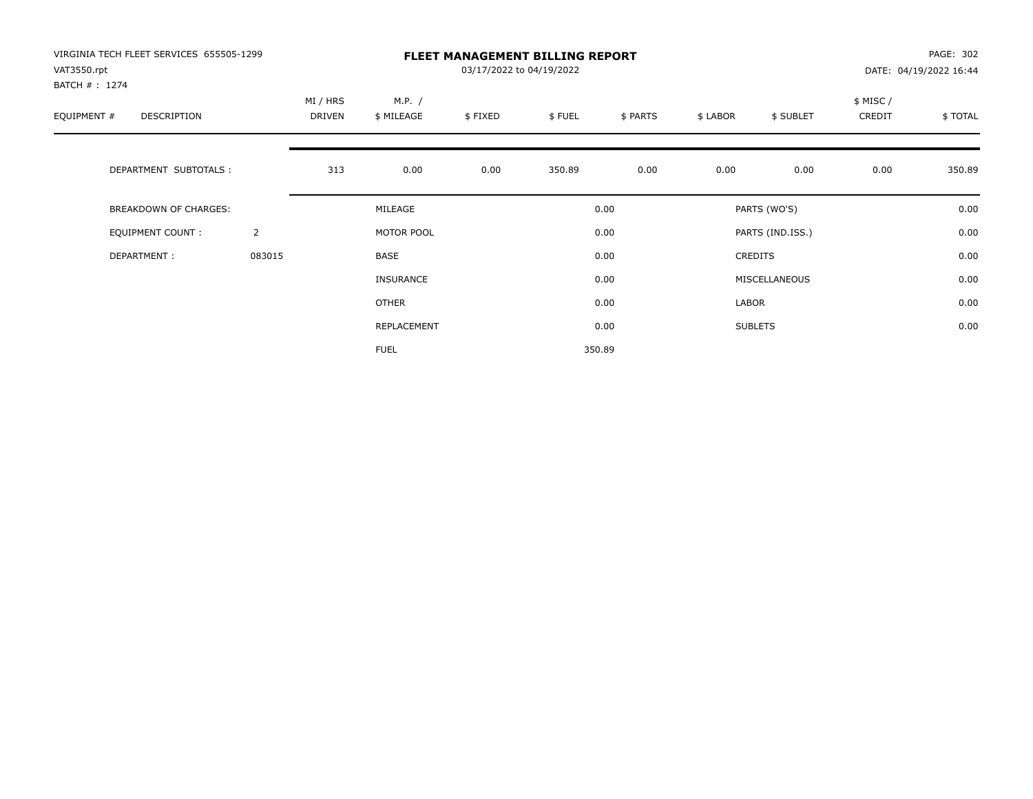| VIRGINIA TECH FLEET SERVICES 655505-1299<br>VAT3550.rpt<br>BATCH #: 1274 |                | <b>FLEET MANAGEMENT BILLING REPORT</b><br>03/17/2022 to 04/19/2022 |                      |         |        |          |          |                  |                     | PAGE: 302<br>DATE: 04/19/2022 16:44 |  |
|--------------------------------------------------------------------------|----------------|--------------------------------------------------------------------|----------------------|---------|--------|----------|----------|------------------|---------------------|-------------------------------------|--|
| EQUIPMENT #<br><b>DESCRIPTION</b>                                        |                | MI / HRS<br>DRIVEN                                                 | M.P. /<br>\$ MILEAGE | \$FIXED | \$FUEL | \$ PARTS | \$ LABOR | \$ SUBLET        | \$ MISC /<br>CREDIT | \$TOTAL                             |  |
| DEPARTMENT SUBTOTALS :                                                   |                | 313                                                                | 0.00                 | 0.00    | 350.89 | 0.00     | 0.00     | 0.00             | 0.00                | 350.89                              |  |
| <b>BREAKDOWN OF CHARGES:</b>                                             |                |                                                                    | MILEAGE              |         |        | 0.00     |          | PARTS (WO'S)     |                     | 0.00                                |  |
| EQUIPMENT COUNT:                                                         | $\overline{2}$ |                                                                    | MOTOR POOL           |         |        | 0.00     |          | PARTS (IND.ISS.) |                     | 0.00                                |  |
| DEPARTMENT:                                                              | 083015         |                                                                    | <b>BASE</b>          |         |        | 0.00     |          | <b>CREDITS</b>   |                     | 0.00                                |  |
|                                                                          |                |                                                                    | INSURANCE            |         |        | 0.00     |          | MISCELLANEOUS    |                     | 0.00                                |  |
|                                                                          |                |                                                                    | OTHER                |         |        | 0.00     | LABOR    |                  |                     | 0.00                                |  |
|                                                                          |                |                                                                    | REPLACEMENT          |         |        | 0.00     |          | <b>SUBLETS</b>   |                     | 0.00                                |  |
|                                                                          |                |                                                                    | <b>FUEL</b>          |         |        | 350.89   |          |                  |                     |                                     |  |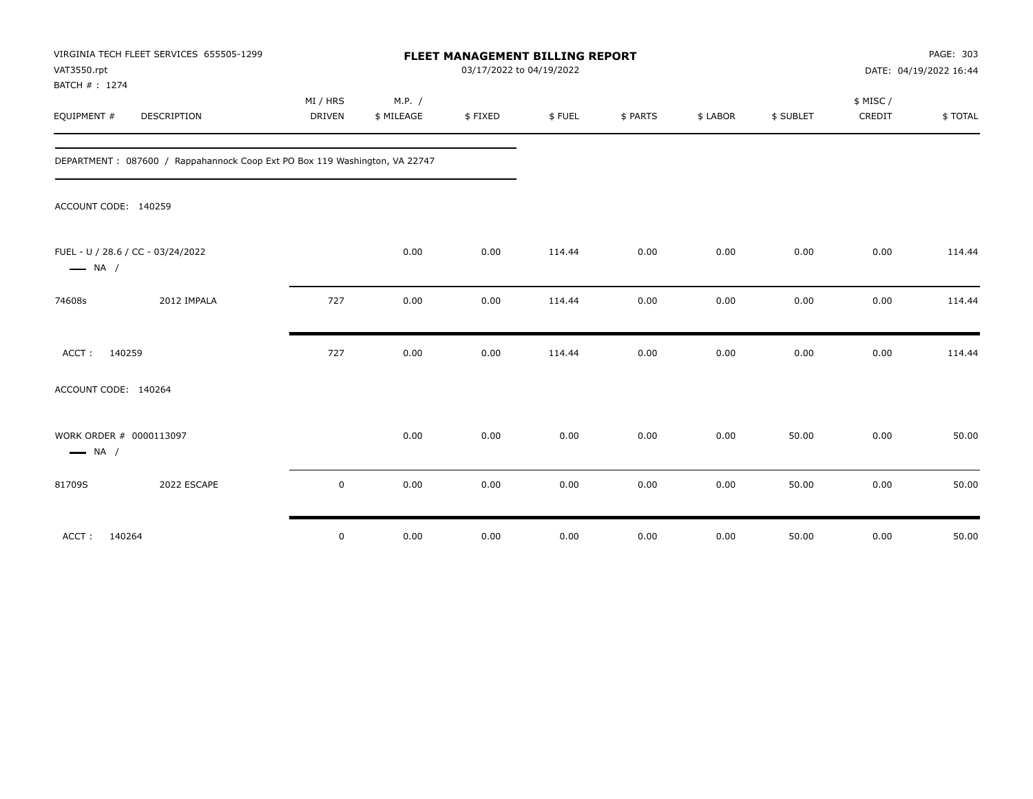| VIRGINIA TECH FLEET SERVICES 655505-1299<br>VAT3550.rpt<br>BATCH #: 1274   | FLEET MANAGEMENT BILLING REPORT<br>03/17/2022 to 04/19/2022 |                      |         |        |          |          |           | PAGE: 303<br>DATE: 04/19/2022 16:44 |         |
|----------------------------------------------------------------------------|-------------------------------------------------------------|----------------------|---------|--------|----------|----------|-----------|-------------------------------------|---------|
| EQUIPMENT #<br><b>DESCRIPTION</b>                                          | MI / HRS<br>DRIVEN                                          | M.P. /<br>\$ MILEAGE | \$FIXED | \$FUEL | \$ PARTS | \$ LABOR | \$ SUBLET | \$ MISC/<br>CREDIT                  | \$TOTAL |
| DEPARTMENT: 087600 / Rappahannock Coop Ext PO Box 119 Washington, VA 22747 |                                                             |                      |         |        |          |          |           |                                     |         |
| ACCOUNT CODE: 140259                                                       |                                                             |                      |         |        |          |          |           |                                     |         |
| FUEL - U / 28.6 / CC - 03/24/2022<br>$\longrightarrow$ NA /                |                                                             | 0.00                 | 0.00    | 114.44 | 0.00     | 0.00     | 0.00      | 0.00                                | 114.44  |
| 2012 IMPALA<br>74608s                                                      | 727                                                         | 0.00                 | 0.00    | 114.44 | 0.00     | 0.00     | 0.00      | 0.00                                | 114.44  |
| ACCT:<br>140259                                                            | 727                                                         | 0.00                 | 0.00    | 114.44 | 0.00     | 0.00     | 0.00      | 0.00                                | 114.44  |
| ACCOUNT CODE: 140264                                                       |                                                             |                      |         |        |          |          |           |                                     |         |
| WORK ORDER # 0000113097<br>$\longrightarrow$ NA /                          |                                                             | 0.00                 | 0.00    | 0.00   | 0.00     | 0.00     | 50.00     | 0.00                                | 50.00   |
| 2022 ESCAPE<br>81709S                                                      | $\mathsf 0$                                                 | 0.00                 | 0.00    | 0.00   | 0.00     | 0.00     | 50.00     | 0.00                                | 50.00   |
| ACCT:<br>140264                                                            | $\mathsf 0$                                                 | 0.00                 | 0.00    | 0.00   | 0.00     | 0.00     | 50.00     | 0.00                                | 50.00   |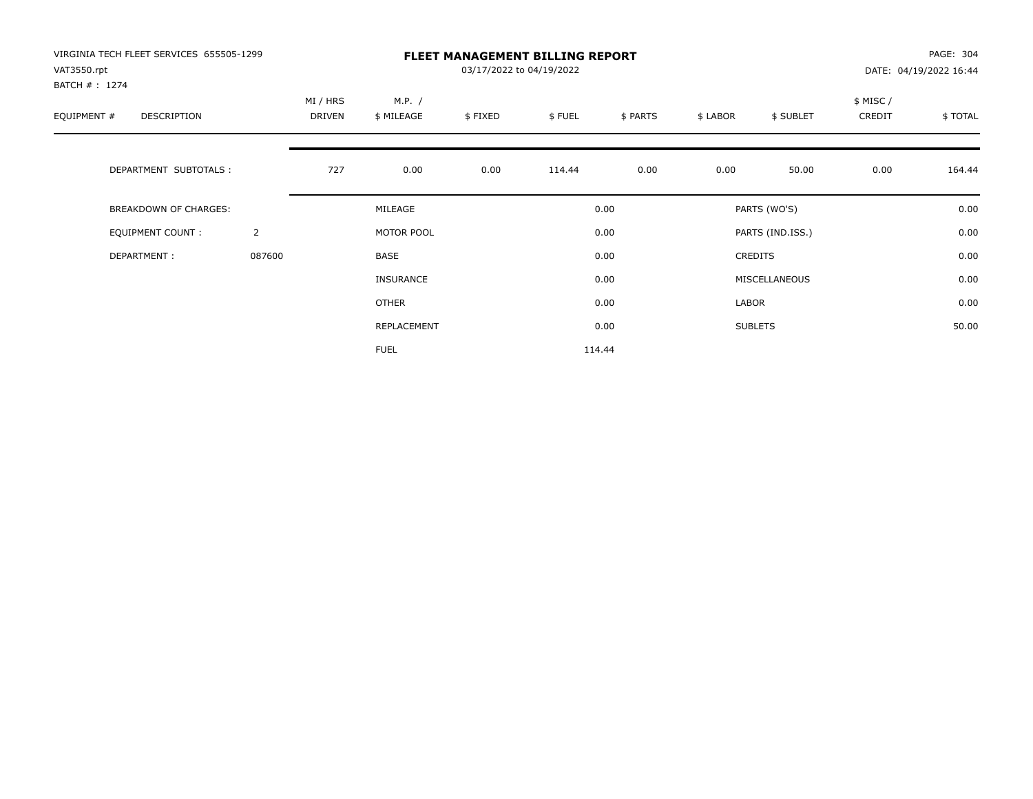| VIRGINIA TECH FLEET SERVICES 655505-1299<br>VAT3550.rpt<br>BATCH #: 1274 |                | <b>FLEET MANAGEMENT BILLING REPORT</b><br>03/17/2022 to 04/19/2022 |                      |         |        |          |          |                  |                     | PAGE: 304<br>DATE: 04/19/2022 16:44 |  |
|--------------------------------------------------------------------------|----------------|--------------------------------------------------------------------|----------------------|---------|--------|----------|----------|------------------|---------------------|-------------------------------------|--|
| EQUIPMENT #<br><b>DESCRIPTION</b>                                        |                | MI / HRS<br>DRIVEN                                                 | M.P. /<br>\$ MILEAGE | \$FIXED | \$FUEL | \$ PARTS | \$ LABOR | \$ SUBLET        | \$ MISC /<br>CREDIT | \$TOTAL                             |  |
| DEPARTMENT SUBTOTALS :                                                   |                | 727                                                                | 0.00                 | 0.00    | 114.44 | 0.00     | 0.00     | 50.00            | 0.00                | 164.44                              |  |
| <b>BREAKDOWN OF CHARGES:</b>                                             |                |                                                                    | MILEAGE              |         |        | 0.00     |          | PARTS (WO'S)     |                     | 0.00                                |  |
| EQUIPMENT COUNT:                                                         | $\overline{2}$ |                                                                    | MOTOR POOL           |         |        | 0.00     |          | PARTS (IND.ISS.) |                     | 0.00                                |  |
| DEPARTMENT:                                                              | 087600         |                                                                    | <b>BASE</b>          |         |        | 0.00     |          | <b>CREDITS</b>   |                     | 0.00                                |  |
|                                                                          |                |                                                                    | INSURANCE            |         |        | 0.00     |          | MISCELLANEOUS    |                     | 0.00                                |  |
|                                                                          |                |                                                                    | OTHER                |         |        | 0.00     | LABOR    |                  |                     | 0.00                                |  |
|                                                                          |                |                                                                    | REPLACEMENT          |         |        | 0.00     |          | <b>SUBLETS</b>   |                     | 50.00                               |  |
|                                                                          |                |                                                                    | <b>FUEL</b>          |         |        | 114.44   |          |                  |                     |                                     |  |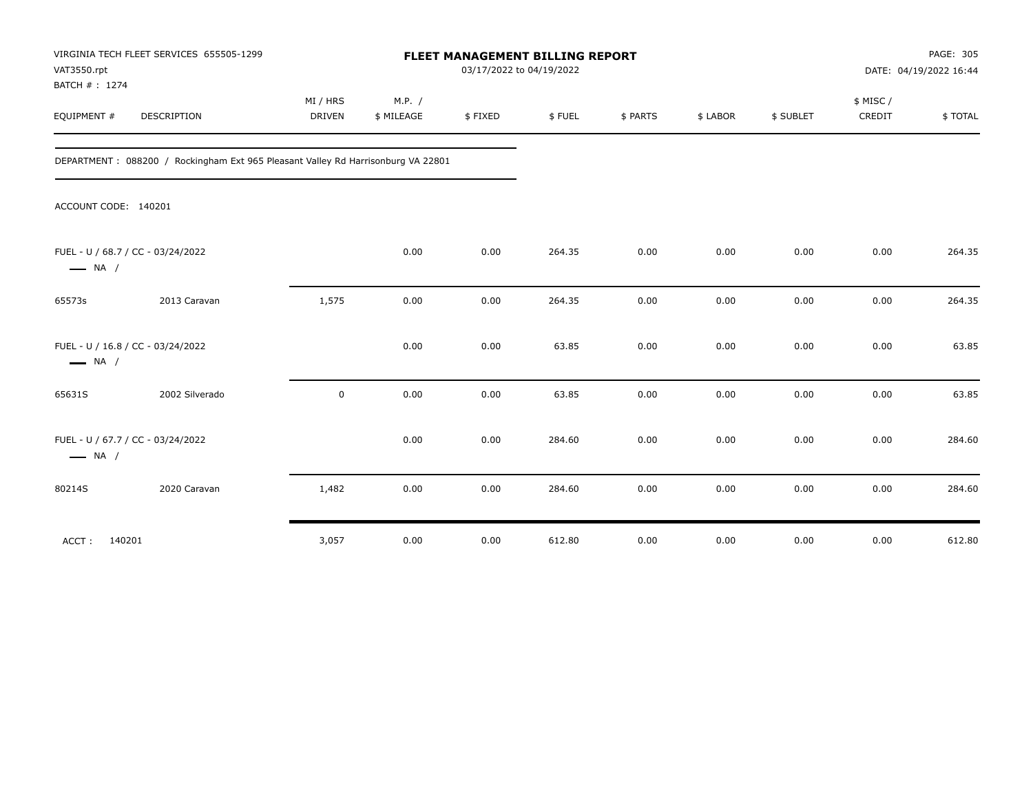| VAT3550.rpt<br>BATCH #: 1274 | VIRGINIA TECH FLEET SERVICES 655505-1299                                         | FLEET MANAGEMENT BILLING REPORT<br>03/17/2022 to 04/19/2022 |                      |         |        |          |          |           | PAGE: 305<br>DATE: 04/19/2022 16:44 |         |
|------------------------------|----------------------------------------------------------------------------------|-------------------------------------------------------------|----------------------|---------|--------|----------|----------|-----------|-------------------------------------|---------|
| EQUIPMENT #                  | <b>DESCRIPTION</b>                                                               | MI / HRS<br><b>DRIVEN</b>                                   | M.P. /<br>\$ MILEAGE | \$FIXED | \$FUEL | \$ PARTS | \$ LABOR | \$ SUBLET | \$ MISC /<br>CREDIT                 | \$TOTAL |
|                              | DEPARTMENT: 088200 / Rockingham Ext 965 Pleasant Valley Rd Harrisonburg VA 22801 |                                                             |                      |         |        |          |          |           |                                     |         |
| ACCOUNT CODE: 140201         |                                                                                  |                                                             |                      |         |        |          |          |           |                                     |         |
| $\longrightarrow$ NA /       | FUEL - U / 68.7 / CC - 03/24/2022                                                |                                                             | 0.00                 | 0.00    | 264.35 | 0.00     | 0.00     | 0.00      | 0.00                                | 264.35  |
| 65573s                       | 2013 Caravan                                                                     | 1,575                                                       | 0.00                 | 0.00    | 264.35 | 0.00     | 0.00     | 0.00      | 0.00                                | 264.35  |
| $\longrightarrow$ NA /       | FUEL - U / 16.8 / CC - 03/24/2022                                                |                                                             | 0.00                 | 0.00    | 63.85  | 0.00     | 0.00     | 0.00      | 0.00                                | 63.85   |
| 65631S                       | 2002 Silverado                                                                   | $\mathsf 0$                                                 | 0.00                 | 0.00    | 63.85  | 0.00     | 0.00     | 0.00      | 0.00                                | 63.85   |
| $\longrightarrow$ NA /       | FUEL - U / 67.7 / CC - 03/24/2022                                                |                                                             | 0.00                 | 0.00    | 284.60 | 0.00     | 0.00     | 0.00      | 0.00                                | 284.60  |
| 80214S                       | 2020 Caravan                                                                     | 1,482                                                       | 0.00                 | 0.00    | 284.60 | 0.00     | 0.00     | 0.00      | 0.00                                | 284.60  |
| 140201<br>ACCT:              |                                                                                  | 3,057                                                       | 0.00                 | 0.00    | 612.80 | 0.00     | 0.00     | 0.00      | 0.00                                | 612.80  |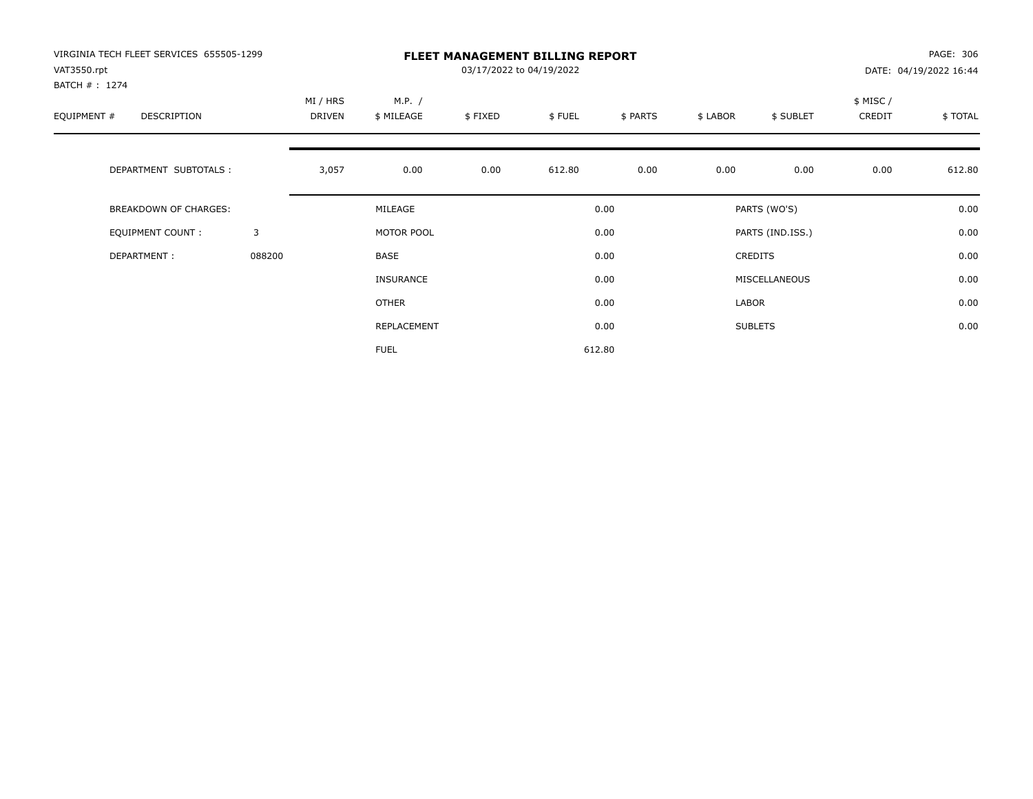| VIRGINIA TECH FLEET SERVICES 655505-1299<br>VAT3550.rpt<br>BATCH #: 1274 |        |                    |                      | PAGE: 306<br>DATE: 04/19/2022 16:44 |        |          |          |                  |                     |         |
|--------------------------------------------------------------------------|--------|--------------------|----------------------|-------------------------------------|--------|----------|----------|------------------|---------------------|---------|
| EQUIPMENT #<br>DESCRIPTION                                               |        | MI / HRS<br>DRIVEN | M.P. /<br>\$ MILEAGE | \$FIXED                             | \$FUEL | \$ PARTS | \$ LABOR | \$ SUBLET        | \$ MISC /<br>CREDIT | \$TOTAL |
| DEPARTMENT SUBTOTALS :                                                   |        | 3,057              | 0.00                 | 0.00                                | 612.80 | 0.00     | 0.00     | 0.00             | 0.00                | 612.80  |
| <b>BREAKDOWN OF CHARGES:</b>                                             |        |                    | MILEAGE              |                                     |        | 0.00     |          | PARTS (WO'S)     |                     | 0.00    |
| EQUIPMENT COUNT:                                                         | 3      |                    | MOTOR POOL           |                                     |        | 0.00     |          | PARTS (IND.ISS.) |                     | 0.00    |
| DEPARTMENT:                                                              | 088200 |                    | <b>BASE</b>          |                                     |        | 0.00     |          | <b>CREDITS</b>   |                     | 0.00    |
|                                                                          |        |                    | INSURANCE            |                                     |        | 0.00     |          | MISCELLANEOUS    |                     | 0.00    |
|                                                                          |        |                    | <b>OTHER</b>         |                                     |        | 0.00     | LABOR    |                  |                     | 0.00    |
|                                                                          |        |                    | <b>REPLACEMENT</b>   |                                     |        | 0.00     |          | <b>SUBLETS</b>   |                     | 0.00    |
|                                                                          |        |                    | <b>FUEL</b>          |                                     |        | 612.80   |          |                  |                     |         |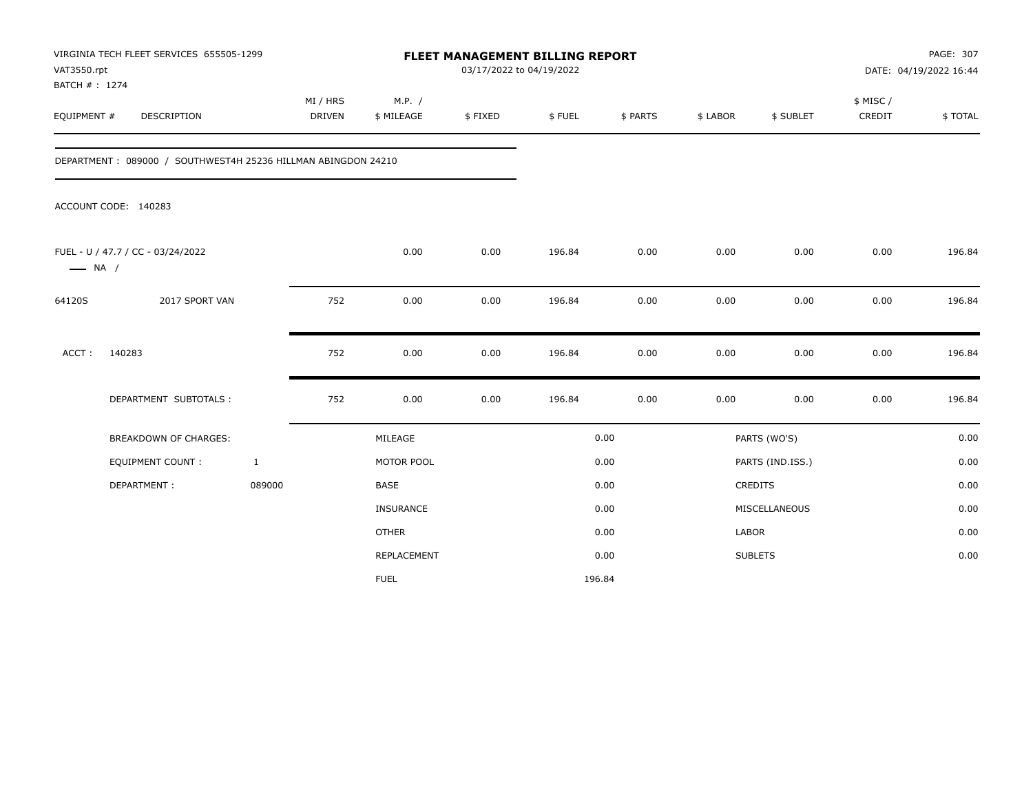| VAT3550.rpt<br>BATCH #: 1274 | VIRGINIA TECH FLEET SERVICES 655505-1299                      |                           | <b>FLEET MANAGEMENT BILLING REPORT</b><br>03/17/2022 to 04/19/2022 |         |        |          |              |                  |                    | PAGE: 307<br>DATE: 04/19/2022 16:44 |  |
|------------------------------|---------------------------------------------------------------|---------------------------|--------------------------------------------------------------------|---------|--------|----------|--------------|------------------|--------------------|-------------------------------------|--|
| EQUIPMENT #                  | DESCRIPTION                                                   | MI / HRS<br><b>DRIVEN</b> | M.P. /<br>\$ MILEAGE                                               | \$FIXED | \$FUEL | \$ PARTS | \$ LABOR     | \$ SUBLET        | \$ MISC/<br>CREDIT | \$TOTAL                             |  |
|                              | DEPARTMENT: 089000 / SOUTHWEST4H 25236 HILLMAN ABINGDON 24210 |                           |                                                                    |         |        |          |              |                  |                    |                                     |  |
|                              | ACCOUNT CODE: 140283                                          |                           |                                                                    |         |        |          |              |                  |                    |                                     |  |
| $\longrightarrow$ NA /       | FUEL - U / 47.7 / CC - 03/24/2022                             |                           | 0.00                                                               | 0.00    | 196.84 | 0.00     | 0.00         | 0.00             | 0.00               | 196.84                              |  |
| 64120S                       | 2017 SPORT VAN                                                | 752                       | 0.00                                                               | 0.00    | 196.84 | 0.00     | 0.00         | 0.00             | 0.00               | 196.84                              |  |
| ACCT:                        | 140283                                                        | 752                       | 0.00                                                               | 0.00    | 196.84 | 0.00     | 0.00         | 0.00             | 0.00               | 196.84                              |  |
|                              | DEPARTMENT SUBTOTALS :                                        | 752                       | 0.00                                                               | 0.00    | 196.84 | 0.00     | 0.00         | 0.00             | 0.00               | 196.84                              |  |
|                              | <b>BREAKDOWN OF CHARGES:</b>                                  |                           | MILEAGE                                                            |         |        | 0.00     |              | PARTS (WO'S)     |                    | 0.00                                |  |
|                              | EQUIPMENT COUNT :                                             | $\mathbf{1}$              | MOTOR POOL                                                         |         |        | 0.00     |              | PARTS (IND.ISS.) |                    | 0.00                                |  |
|                              | DEPARTMENT:                                                   | 089000                    | BASE                                                               |         |        | 0.00     |              | CREDITS          |                    | 0.00                                |  |
|                              |                                                               |                           | INSURANCE                                                          |         |        | 0.00     |              | MISCELLANEOUS    |                    | 0.00                                |  |
|                              |                                                               |                           | <b>OTHER</b>                                                       |         |        | 0.00     | <b>LABOR</b> |                  |                    | 0.00                                |  |
|                              |                                                               |                           | REPLACEMENT                                                        |         |        | 0.00     |              | <b>SUBLETS</b>   |                    | 0.00                                |  |
|                              |                                                               |                           | <b>FUEL</b>                                                        |         |        | 196.84   |              |                  |                    |                                     |  |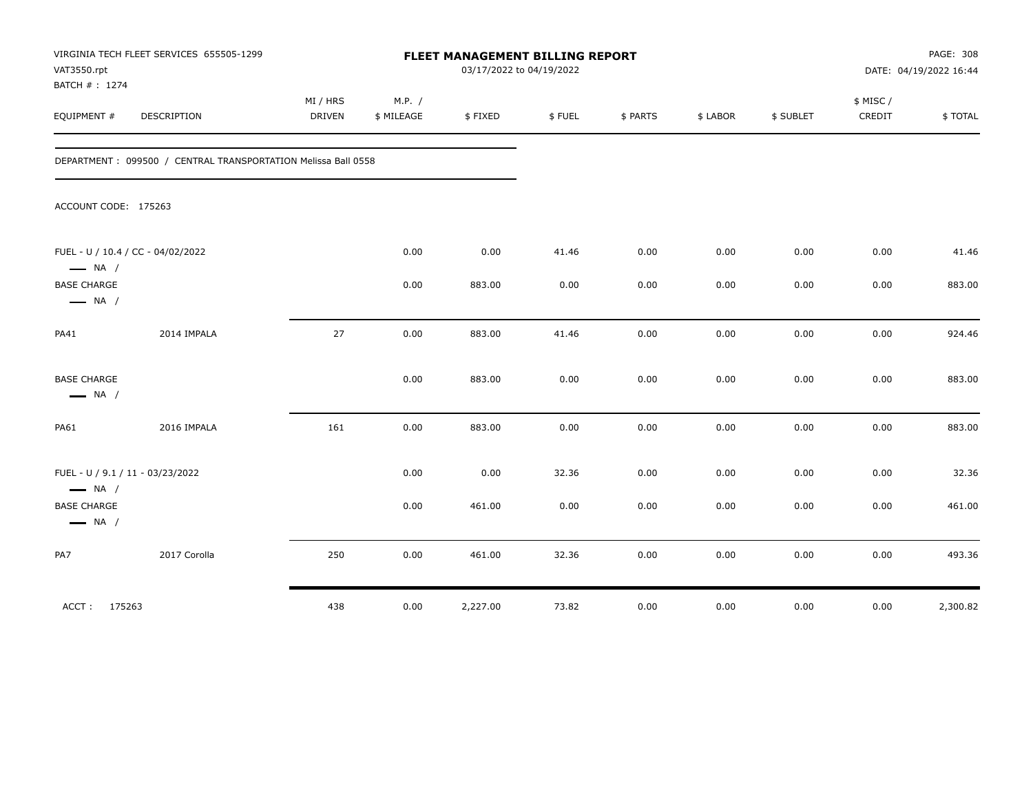| VAT3550.rpt<br>BATCH #: 1274                 | VIRGINIA TECH FLEET SERVICES 655505-1299                      | FLEET MANAGEMENT BILLING REPORT<br>03/17/2022 to 04/19/2022 |                      |          |        |          |          |           |                    | PAGE: 308<br>DATE: 04/19/2022 16:44 |  |
|----------------------------------------------|---------------------------------------------------------------|-------------------------------------------------------------|----------------------|----------|--------|----------|----------|-----------|--------------------|-------------------------------------|--|
| EQUIPMENT #                                  | <b>DESCRIPTION</b>                                            | MI / HRS<br><b>DRIVEN</b>                                   | M.P. /<br>\$ MILEAGE | \$FIXED  | \$FUEL | \$ PARTS | \$ LABOR | \$ SUBLET | \$ MISC/<br>CREDIT | \$TOTAL                             |  |
|                                              | DEPARTMENT: 099500 / CENTRAL TRANSPORTATION Melissa Ball 0558 |                                                             |                      |          |        |          |          |           |                    |                                     |  |
| ACCOUNT CODE: 175263                         |                                                               |                                                             |                      |          |        |          |          |           |                    |                                     |  |
| $\longrightarrow$ NA /                       | FUEL - U / 10.4 / CC - 04/02/2022                             |                                                             | 0.00                 | 0.00     | 41.46  | 0.00     | 0.00     | 0.00      | 0.00               | 41.46                               |  |
| <b>BASE CHARGE</b><br>$\longrightarrow$ NA / |                                                               |                                                             | 0.00                 | 883.00   | 0.00   | 0.00     | 0.00     | 0.00      | 0.00               | 883.00                              |  |
| <b>PA41</b>                                  | 2014 IMPALA                                                   | 27                                                          | 0.00                 | 883.00   | 41.46  | 0.00     | 0.00     | 0.00      | 0.00               | 924.46                              |  |
| <b>BASE CHARGE</b><br>$\longrightarrow$ NA / |                                                               |                                                             | 0.00                 | 883.00   | 0.00   | 0.00     | 0.00     | 0.00      | 0.00               | 883.00                              |  |
| PA61                                         | 2016 IMPALA                                                   | 161                                                         | 0.00                 | 883.00   | 0.00   | 0.00     | 0.00     | 0.00      | 0.00               | 883.00                              |  |
| $\longrightarrow$ NA /                       | FUEL - U / 9.1 / 11 - 03/23/2022                              |                                                             | 0.00                 | 0.00     | 32.36  | 0.00     | 0.00     | 0.00      | 0.00               | 32.36                               |  |
| <b>BASE CHARGE</b><br>$\longrightarrow$ NA / |                                                               |                                                             | 0.00                 | 461.00   | 0.00   | 0.00     | 0.00     | 0.00      | 0.00               | 461.00                              |  |
| PA7                                          | 2017 Corolla                                                  | 250                                                         | 0.00                 | 461.00   | 32.36  | 0.00     | 0.00     | 0.00      | 0.00               | 493.36                              |  |
| ACCT: 175263                                 |                                                               | 438                                                         | 0.00                 | 2,227.00 | 73.82  | 0.00     | 0.00     | 0.00      | 0.00               | 2,300.82                            |  |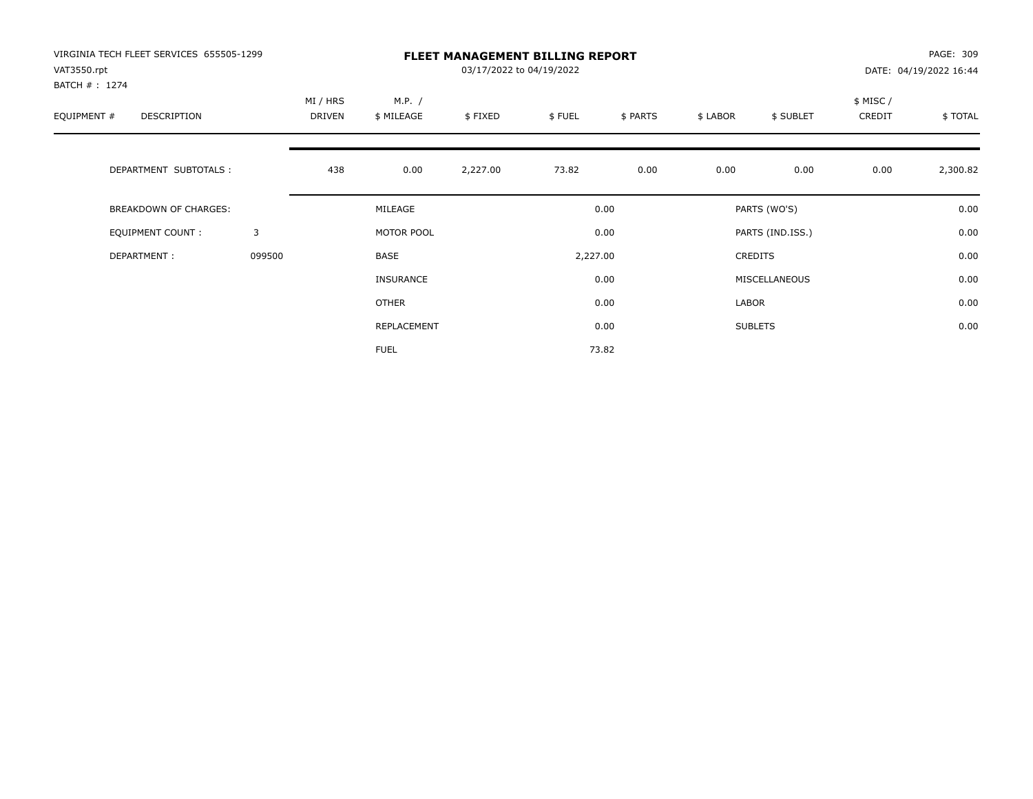| VIRGINIA TECH FLEET SERVICES 655505-1299<br>VAT3550.rpt<br>BATCH #: 1274 |        | <b>FLEET MANAGEMENT BILLING REPORT</b><br>03/17/2022 to 04/19/2022 |                      |          |          |          |          |                  |                    | PAGE: 309<br>DATE: 04/19/2022 16:44 |  |
|--------------------------------------------------------------------------|--------|--------------------------------------------------------------------|----------------------|----------|----------|----------|----------|------------------|--------------------|-------------------------------------|--|
| EQUIPMENT #<br>DESCRIPTION                                               |        | MI / HRS<br>DRIVEN                                                 | M.P. /<br>\$ MILEAGE | \$FIXED  | \$FUEL   | \$ PARTS | \$ LABOR | \$ SUBLET        | \$ MISC/<br>CREDIT | \$TOTAL                             |  |
| DEPARTMENT SUBTOTALS :                                                   |        | 438                                                                | 0.00                 | 2,227.00 | 73.82    | 0.00     | 0.00     | 0.00             | 0.00               | 2,300.82                            |  |
| <b>BREAKDOWN OF CHARGES:</b>                                             |        |                                                                    | MILEAGE              |          |          | 0.00     |          | PARTS (WO'S)     |                    | 0.00                                |  |
| EQUIPMENT COUNT:                                                         | 3      |                                                                    | MOTOR POOL           |          |          | 0.00     |          | PARTS (IND.ISS.) |                    | 0.00                                |  |
| DEPARTMENT:                                                              | 099500 |                                                                    | BASE                 |          | 2,227.00 |          |          | CREDITS          |                    | 0.00                                |  |
|                                                                          |        |                                                                    | <b>INSURANCE</b>     |          |          | 0.00     |          | MISCELLANEOUS    |                    | 0.00                                |  |
|                                                                          |        |                                                                    | OTHER                |          |          | 0.00     | LABOR    |                  |                    | 0.00                                |  |
|                                                                          |        |                                                                    | REPLACEMENT          |          |          | 0.00     |          | <b>SUBLETS</b>   |                    | 0.00                                |  |
|                                                                          |        |                                                                    | <b>FUEL</b>          |          |          | 73.82    |          |                  |                    |                                     |  |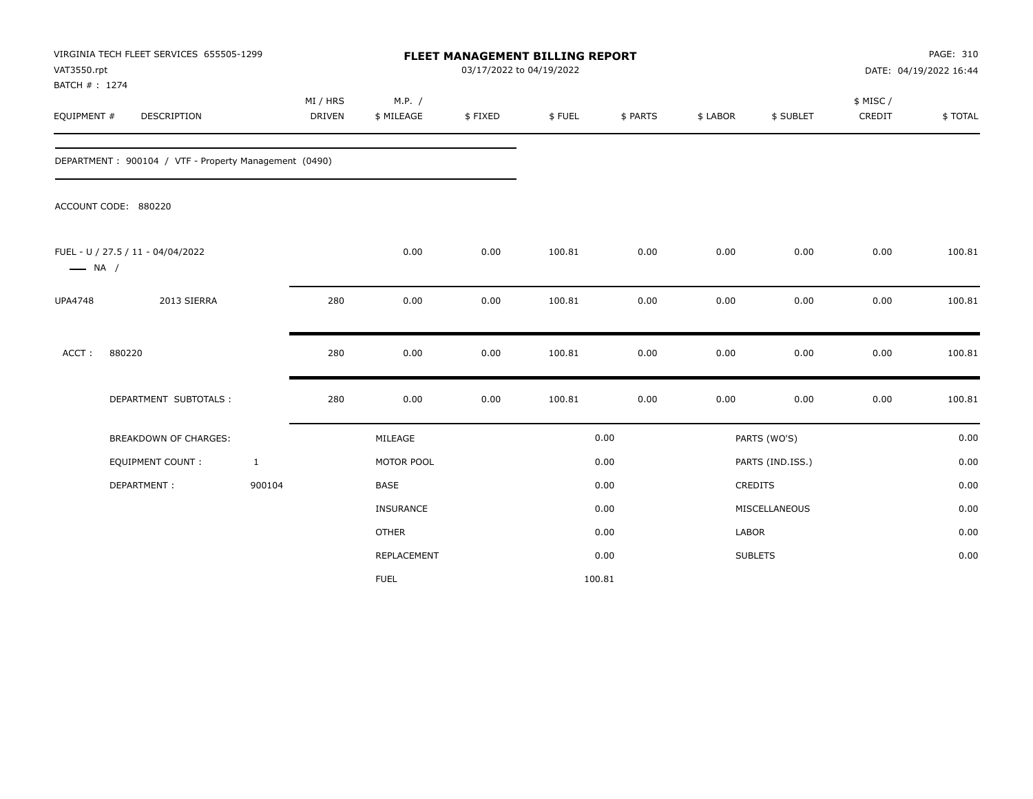| VAT3550.rpt<br>BATCH #: 1274 | VIRGINIA TECH FLEET SERVICES 655505-1299              |              |                           |                      | FLEET MANAGEMENT BILLING REPORT<br>03/17/2022 to 04/19/2022 |        |          |          | PAGE: 310<br>DATE: 04/19/2022 16:44 |                     |         |
|------------------------------|-------------------------------------------------------|--------------|---------------------------|----------------------|-------------------------------------------------------------|--------|----------|----------|-------------------------------------|---------------------|---------|
| EQUIPMENT #                  | DESCRIPTION                                           |              | MI / HRS<br><b>DRIVEN</b> | M.P. /<br>\$ MILEAGE | \$FIXED                                                     | \$FUEL | \$ PARTS | \$ LABOR | \$ SUBLET                           | \$ MISC /<br>CREDIT | \$TOTAL |
|                              | DEPARTMENT: 900104 / VTF - Property Management (0490) |              |                           |                      |                                                             |        |          |          |                                     |                     |         |
|                              | ACCOUNT CODE: 880220                                  |              |                           |                      |                                                             |        |          |          |                                     |                     |         |
| $\longrightarrow$ NA /       | FUEL - U / 27.5 / 11 - 04/04/2022                     |              |                           | 0.00                 | 0.00                                                        | 100.81 | 0.00     | 0.00     | 0.00                                | 0.00                | 100.81  |
| <b>UPA4748</b>               | 2013 SIERRA                                           |              | 280                       | 0.00                 | 0.00                                                        | 100.81 | 0.00     | 0.00     | 0.00                                | 0.00                | 100.81  |
| ACCT:                        | 880220                                                |              | 280                       | 0.00                 | 0.00                                                        | 100.81 | 0.00     | 0.00     | 0.00                                | 0.00                | 100.81  |
|                              | DEPARTMENT SUBTOTALS :                                |              | 280                       | 0.00                 | 0.00                                                        | 100.81 | 0.00     | 0.00     | 0.00                                | 0.00                | 100.81  |
|                              | <b>BREAKDOWN OF CHARGES:</b>                          |              |                           | MILEAGE              |                                                             |        | 0.00     |          | PARTS (WO'S)                        |                     | 0.00    |
|                              | <b>EQUIPMENT COUNT:</b>                               | $\mathbf{1}$ |                           | MOTOR POOL           |                                                             |        | 0.00     |          | PARTS (IND.ISS.)                    |                     | 0.00    |
|                              | DEPARTMENT:                                           | 900104       |                           | <b>BASE</b>          |                                                             |        | 0.00     |          | <b>CREDITS</b>                      |                     | 0.00    |
|                              |                                                       |              |                           | INSURANCE            |                                                             |        | 0.00     |          | MISCELLANEOUS                       |                     | 0.00    |
|                              |                                                       |              |                           | <b>OTHER</b>         |                                                             |        | 0.00     | LABOR    |                                     |                     | 0.00    |
|                              |                                                       |              |                           | REPLACEMENT          |                                                             |        | 0.00     |          | <b>SUBLETS</b>                      |                     | 0.00    |
|                              |                                                       |              |                           | <b>FUEL</b>          |                                                             |        | 100.81   |          |                                     |                     |         |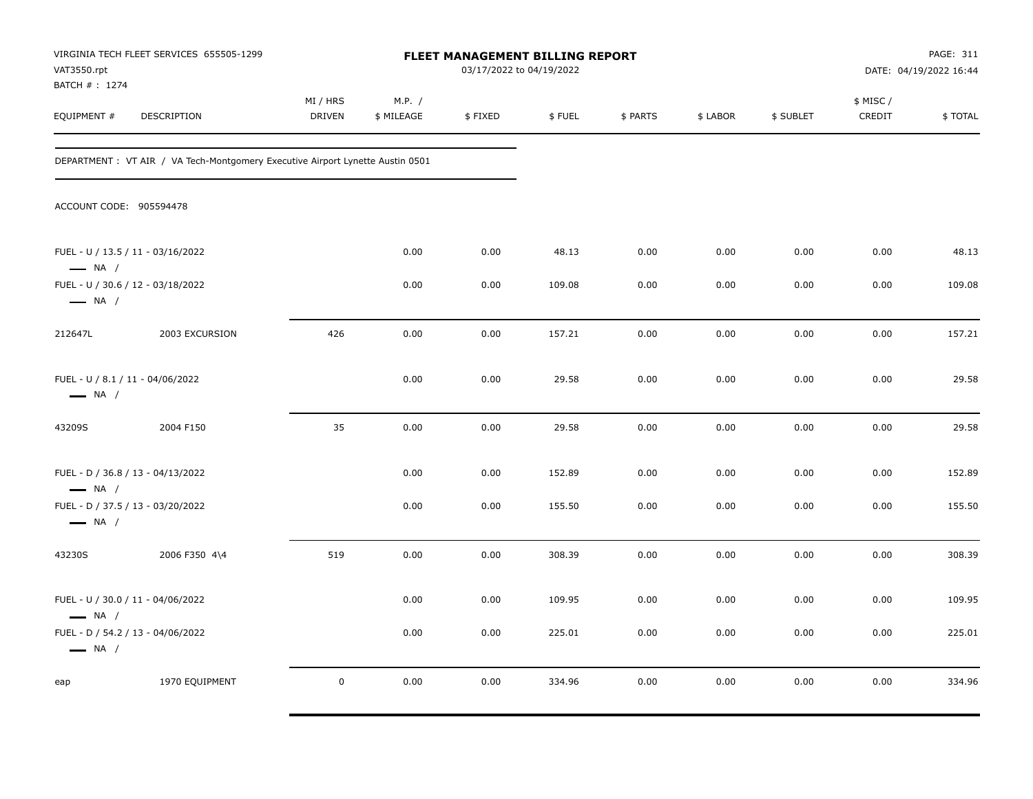| VAT3550.rpt<br>BATCH # : 1274                               | VIRGINIA TECH FLEET SERVICES 655505-1299                                       |                           |                      | <b>FLEET MANAGEMENT BILLING REPORT</b><br>03/17/2022 to 04/19/2022 |        |          |          |           |                     | PAGE: 311<br>DATE: 04/19/2022 16:44 |
|-------------------------------------------------------------|--------------------------------------------------------------------------------|---------------------------|----------------------|--------------------------------------------------------------------|--------|----------|----------|-----------|---------------------|-------------------------------------|
| EQUIPMENT #                                                 | DESCRIPTION                                                                    | MI / HRS<br><b>DRIVEN</b> | M.P. /<br>\$ MILEAGE | \$FIXED                                                            | \$FUEL | \$ PARTS | \$ LABOR | \$ SUBLET | \$ MISC /<br>CREDIT | \$TOTAL                             |
|                                                             | DEPARTMENT : VT AIR / VA Tech-Montgomery Executive Airport Lynette Austin 0501 |                           |                      |                                                                    |        |          |          |           |                     |                                     |
| ACCOUNT CODE: 905594478                                     |                                                                                |                           |                      |                                                                    |        |          |          |           |                     |                                     |
| $\longrightarrow$ NA /                                      | FUEL - U / 13.5 / 11 - 03/16/2022                                              |                           | 0.00                 | 0.00                                                               | 48.13  | 0.00     | 0.00     | 0.00      | 0.00                | 48.13                               |
| $\longrightarrow$ NA /                                      | FUEL - U / 30.6 / 12 - 03/18/2022                                              |                           | 0.00                 | 0.00                                                               | 109.08 | 0.00     | 0.00     | 0.00      | 0.00                | 109.08                              |
| 212647L                                                     | 2003 EXCURSION                                                                 | 426                       | 0.00                 | 0.00                                                               | 157.21 | 0.00     | 0.00     | 0.00      | 0.00                | 157.21                              |
| FUEL - U / 8.1 / 11 - 04/06/2022<br>$\longrightarrow$ NA /  |                                                                                |                           | 0.00                 | 0.00                                                               | 29.58  | 0.00     | 0.00     | 0.00      | 0.00                | 29.58                               |
| 43209S                                                      | 2004 F150                                                                      | 35                        | 0.00                 | 0.00                                                               | 29.58  | 0.00     | 0.00     | 0.00      | 0.00                | 29.58                               |
| $\longrightarrow$ NA /                                      | FUEL - D / 36.8 / 13 - 04/13/2022                                              |                           | 0.00                 | 0.00                                                               | 152.89 | 0.00     | 0.00     | 0.00      | 0.00                | 152.89                              |
| $\longrightarrow$ NA /                                      | FUEL - D / 37.5 / 13 - 03/20/2022                                              |                           | 0.00                 | 0.00                                                               | 155.50 | 0.00     | 0.00     | 0.00      | 0.00                | 155.50                              |
| 43230S                                                      | 2006 F350 4\4                                                                  | 519                       | 0.00                 | 0.00                                                               | 308.39 | 0.00     | 0.00     | 0.00      | 0.00                | 308.39                              |
| $\longrightarrow$ NA /                                      | FUEL - U / 30.0 / 11 - 04/06/2022                                              |                           | 0.00                 | 0.00                                                               | 109.95 | 0.00     | 0.00     | 0.00      | 0.00                | 109.95                              |
| FUEL - D / 54.2 / 13 - 04/06/2022<br>$\longrightarrow$ NA / |                                                                                |                           | 0.00                 | 0.00                                                               | 225.01 | 0.00     | 0.00     | 0.00      | 0.00                | 225.01                              |
| eap                                                         | 1970 EQUIPMENT                                                                 | $\mathbf 0$               | 0.00                 | 0.00                                                               | 334.96 | 0.00     | 0.00     | 0.00      | 0.00                | 334.96                              |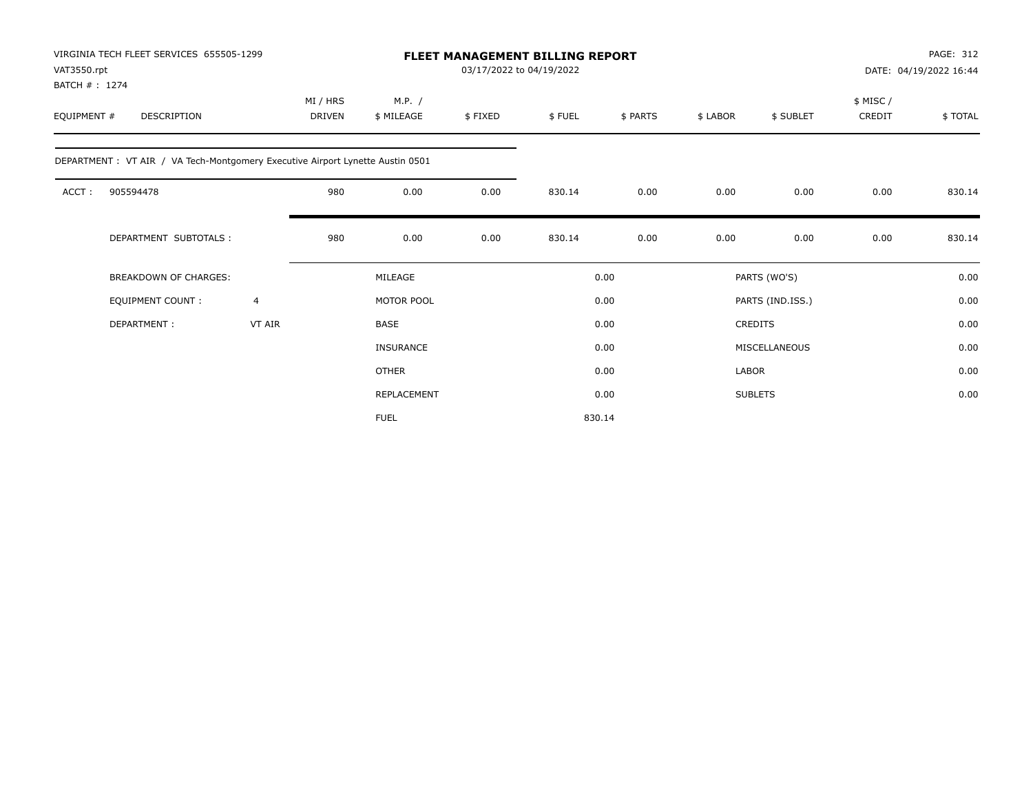| VIRGINIA TECH FLEET SERVICES 655505-1299<br>VAT3550.rpt                        |                |                           |                      |         | <b>FLEET MANAGEMENT BILLING REPORT</b><br>03/17/2022 to 04/19/2022 |          |              |                  | PAGE: 312<br>DATE: 04/19/2022 16:44 |         |  |
|--------------------------------------------------------------------------------|----------------|---------------------------|----------------------|---------|--------------------------------------------------------------------|----------|--------------|------------------|-------------------------------------|---------|--|
| BATCH # : 1274<br>EQUIPMENT #<br><b>DESCRIPTION</b>                            |                | MI / HRS<br><b>DRIVEN</b> | M.P. /<br>\$ MILEAGE | \$FIXED | \$FUEL                                                             | \$ PARTS | \$ LABOR     | \$ SUBLET        | \$ MISC/<br>CREDIT                  | \$TOTAL |  |
| DEPARTMENT : VT AIR / VA Tech-Montgomery Executive Airport Lynette Austin 0501 |                |                           |                      |         |                                                                    |          |              |                  |                                     |         |  |
| ACCT:<br>905594478                                                             |                | 980                       | 0.00                 | 0.00    | 830.14                                                             | 0.00     | 0.00         | 0.00             | 0.00                                | 830.14  |  |
| DEPARTMENT SUBTOTALS :                                                         |                | 980                       | 0.00                 | 0.00    | 830.14                                                             | 0.00     | 0.00         | 0.00             | 0.00                                | 830.14  |  |
| <b>BREAKDOWN OF CHARGES:</b>                                                   |                |                           | MILEAGE              |         |                                                                    | 0.00     |              | PARTS (WO'S)     |                                     | 0.00    |  |
| <b>EQUIPMENT COUNT:</b>                                                        | $\overline{4}$ |                           | MOTOR POOL           |         |                                                                    | 0.00     |              | PARTS (IND.ISS.) |                                     | 0.00    |  |
| DEPARTMENT:                                                                    | VT AIR         |                           | <b>BASE</b>          |         |                                                                    | 0.00     |              | CREDITS          |                                     | 0.00    |  |
|                                                                                |                |                           | <b>INSURANCE</b>     |         |                                                                    | 0.00     |              | MISCELLANEOUS    |                                     | 0.00    |  |
|                                                                                |                |                           | <b>OTHER</b>         |         |                                                                    | 0.00     | <b>LABOR</b> |                  |                                     | 0.00    |  |
|                                                                                |                |                           | REPLACEMENT          |         |                                                                    | 0.00     |              | <b>SUBLETS</b>   |                                     | 0.00    |  |
|                                                                                |                |                           | <b>FUEL</b>          |         |                                                                    | 830.14   |              |                  |                                     |         |  |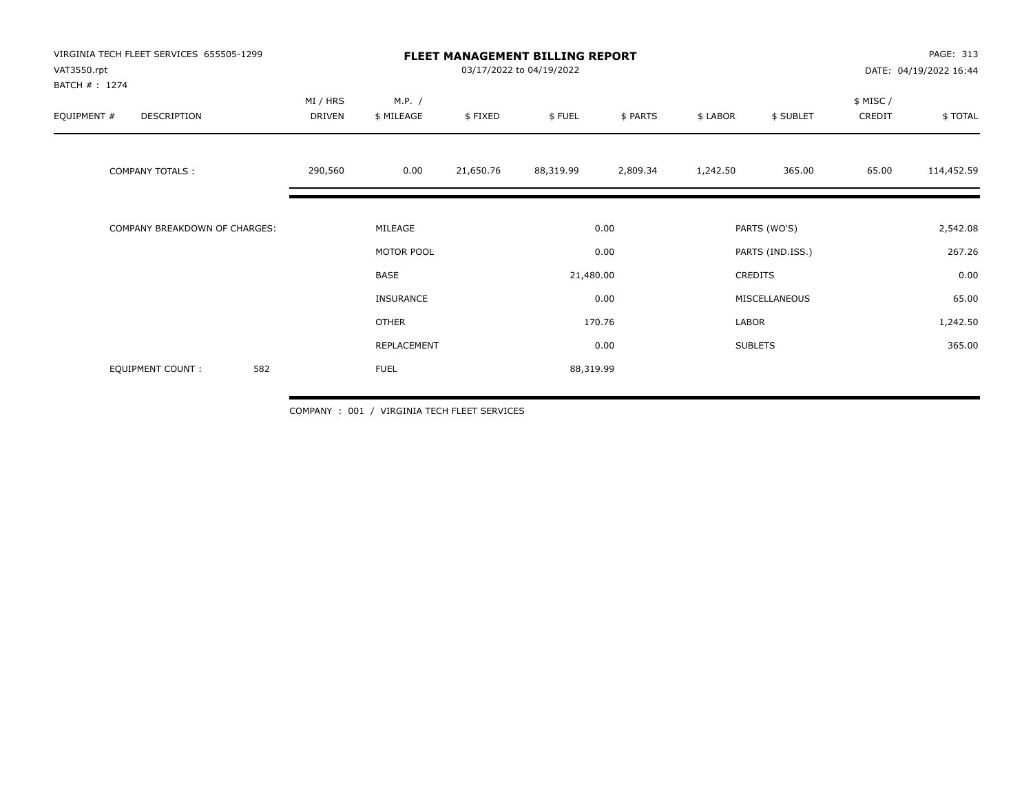| VIRGINIA TECH FLEET SERVICES 655505-1299<br>VAT3550.rpt<br>BATCH #: 1274 | <b>FLEET MANAGEMENT BILLING REPORT</b><br>03/17/2022 to 04/19/2022 |                      |           |           |              |                  |           | PAGE: 313<br>DATE: 04/19/2022 16:44 |            |
|--------------------------------------------------------------------------|--------------------------------------------------------------------|----------------------|-----------|-----------|--------------|------------------|-----------|-------------------------------------|------------|
| EQUIPMENT #<br>DESCRIPTION                                               | MI / HRS<br>DRIVEN                                                 | M.P. /<br>\$ MILEAGE | \$FIXED   | \$FUEL    | \$ PARTS     | \$ LABOR         | \$ SUBLET | \$ MISC/<br>CREDIT                  | \$TOTAL    |
| <b>COMPANY TOTALS:</b>                                                   | 290,560                                                            | 0.00                 | 21,650.76 | 88,319.99 | 2,809.34     | 1,242.50         | 365.00    | 65.00                               | 114,452.59 |
| COMPANY BREAKDOWN OF CHARGES:                                            | MILEAGE                                                            |                      | 0.00      |           | PARTS (WO'S) |                  | 2,542.08  |                                     |            |
|                                                                          |                                                                    | MOTOR POOL           |           | 0.00      |              | PARTS (IND.ISS.) |           | 267.26                              |            |
|                                                                          |                                                                    | BASE                 |           | 21,480.00 |              | CREDITS          |           | 0.00                                |            |
|                                                                          |                                                                    | <b>INSURANCE</b>     |           | 0.00      |              | MISCELLANEOUS    |           | 65.00                               |            |
|                                                                          |                                                                    | <b>OTHER</b>         |           | 170.76    |              | LABOR            |           | 1,242.50                            |            |
|                                                                          |                                                                    | REPLACEMENT          |           | 0.00      |              | <b>SUBLETS</b>   |           | 365.00                              |            |
| 582<br><b>EQUIPMENT COUNT:</b>                                           |                                                                    | <b>FUEL</b>          |           | 88,319.99 |              |                  |           |                                     |            |

COMPANY : 001 / VIRGINIA TECH FLEET SERVICES